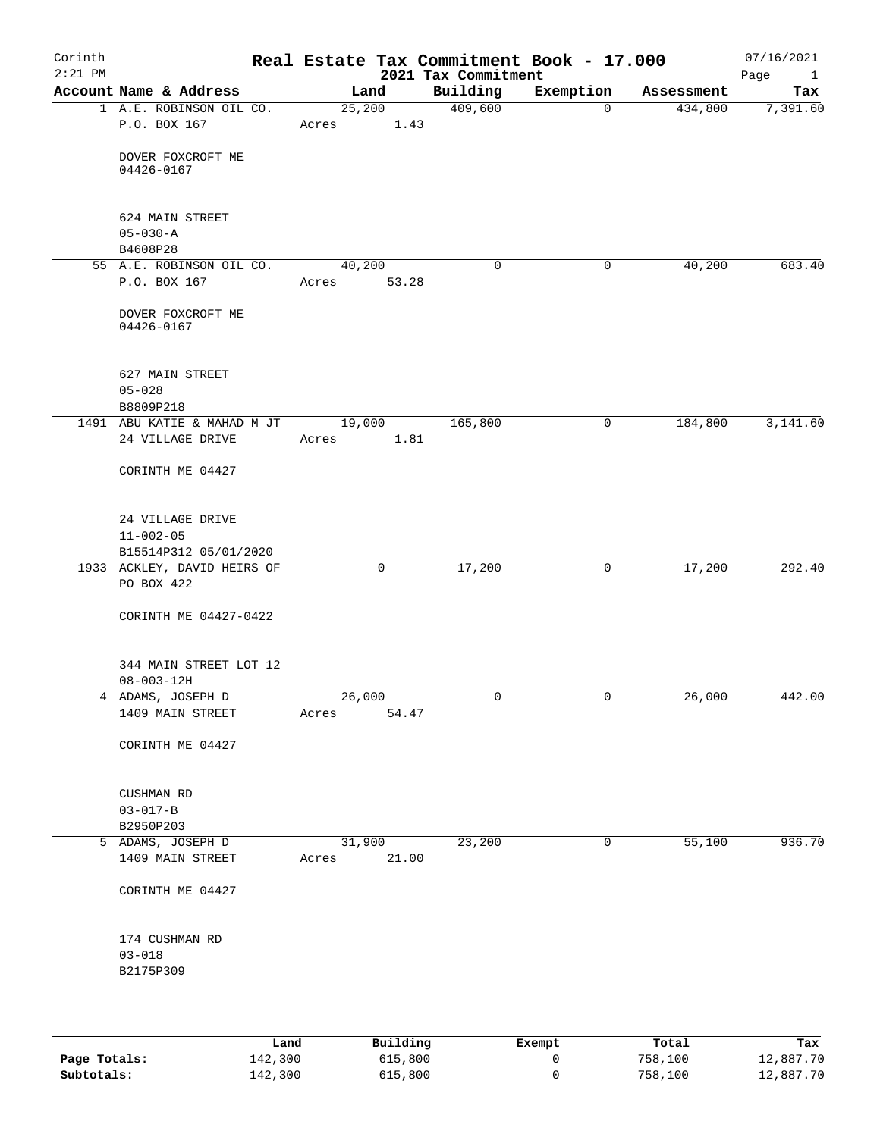| Corinth<br>$2:21$ PM |                                                        |       |             | 2021 Tax Commitment | Real Estate Tax Commitment Book - 17.000 |            | 07/16/2021<br>Page<br>$\overline{1}$ |
|----------------------|--------------------------------------------------------|-------|-------------|---------------------|------------------------------------------|------------|--------------------------------------|
|                      | Account Name & Address                                 |       | Land        | Building            | Exemption                                | Assessment | Tax                                  |
|                      | 1 A.E. ROBINSON OIL CO.                                |       | 25,200      | 409,600             | $\mathbf 0$                              | 434,800    | 7,391.60                             |
|                      | P.O. BOX 167                                           |       | Acres 1.43  |                     |                                          |            |                                      |
|                      | DOVER FOXCROFT ME                                      |       |             |                     |                                          |            |                                      |
|                      | 04426-0167                                             |       |             |                     |                                          |            |                                      |
|                      |                                                        |       |             |                     |                                          |            |                                      |
|                      | 624 MAIN STREET                                        |       |             |                     |                                          |            |                                      |
|                      | $05 - 030 - A$                                         |       |             |                     |                                          |            |                                      |
|                      | B4608P28<br>55 A.E. ROBINSON OIL CO.                   |       | 40,200      | $\mathbf 0$         | 0                                        | 40,200     | 683.40                               |
|                      | P.O. BOX 167                                           |       | Acres 53.28 |                     |                                          |            |                                      |
|                      |                                                        |       |             |                     |                                          |            |                                      |
|                      | DOVER FOXCROFT ME<br>04426-0167                        |       |             |                     |                                          |            |                                      |
|                      | 627 MAIN STREET                                        |       |             |                     |                                          |            |                                      |
|                      | $05 - 028$                                             |       |             |                     |                                          |            |                                      |
|                      | B8809P218                                              |       |             |                     |                                          |            |                                      |
|                      | 1491 ABU KATIE & MAHAD M JT 19,000<br>24 VILLAGE DRIVE |       | 1.81        | 165,800             | $\mathsf{O}$                             | 184,800    | 3,141.60                             |
|                      |                                                        | Acres |             |                     |                                          |            |                                      |
|                      | CORINTH ME 04427                                       |       |             |                     |                                          |            |                                      |
|                      | 24 VILLAGE DRIVE                                       |       |             |                     |                                          |            |                                      |
|                      | $11 - 002 - 05$                                        |       |             |                     |                                          |            |                                      |
|                      | B15514P312 05/01/2020                                  |       |             |                     |                                          |            |                                      |
|                      | 1933 ACKLEY, DAVID HEIRS OF<br>PO BOX 422              |       | 0           | 17,200              | 0                                        | 17,200     | 292.40                               |
|                      | CORINTH ME 04427-0422                                  |       |             |                     |                                          |            |                                      |
|                      | 344 MAIN STREET LOT 12<br>$08 - 003 - 12H$             |       |             |                     |                                          |            |                                      |
|                      | 4 ADAMS, JOSEPH D                                      |       | 26,000      | 0                   |                                          | 26,000     | 442.00                               |
|                      | 1409 MAIN STREET                                       | Acres | 54.47       |                     |                                          |            |                                      |
|                      | CORINTH ME 04427                                       |       |             |                     |                                          |            |                                      |
|                      | CUSHMAN RD                                             |       |             |                     |                                          |            |                                      |
|                      | $03 - 017 - B$                                         |       |             |                     |                                          |            |                                      |
|                      | B2950P203                                              |       |             |                     |                                          |            |                                      |
|                      | 5 ADAMS, JOSEPH D                                      |       | 31,900      | 23,200              | 0                                        | 55,100     | 936.70                               |
|                      | 1409 MAIN STREET                                       | Acres | 21.00       |                     |                                          |            |                                      |
|                      | CORINTH ME 04427                                       |       |             |                     |                                          |            |                                      |
|                      | 174 CUSHMAN RD                                         |       |             |                     |                                          |            |                                      |
|                      | $03 - 018$                                             |       |             |                     |                                          |            |                                      |
|                      | B2175P309                                              |       |             |                     |                                          |            |                                      |
|                      |                                                        |       |             |                     |                                          |            |                                      |
|                      |                                                        |       |             |                     |                                          |            |                                      |
|                      |                                                        |       |             |                     |                                          |            |                                      |

|              | Land    | Building | Exempt | Total   | Tax       |
|--------------|---------|----------|--------|---------|-----------|
| Page Totals: | 142,300 | 615,800  |        | 758,100 | 12,887.70 |
| Subtotals:   | 142,300 | 615,800  |        | 758,100 | 12,887.70 |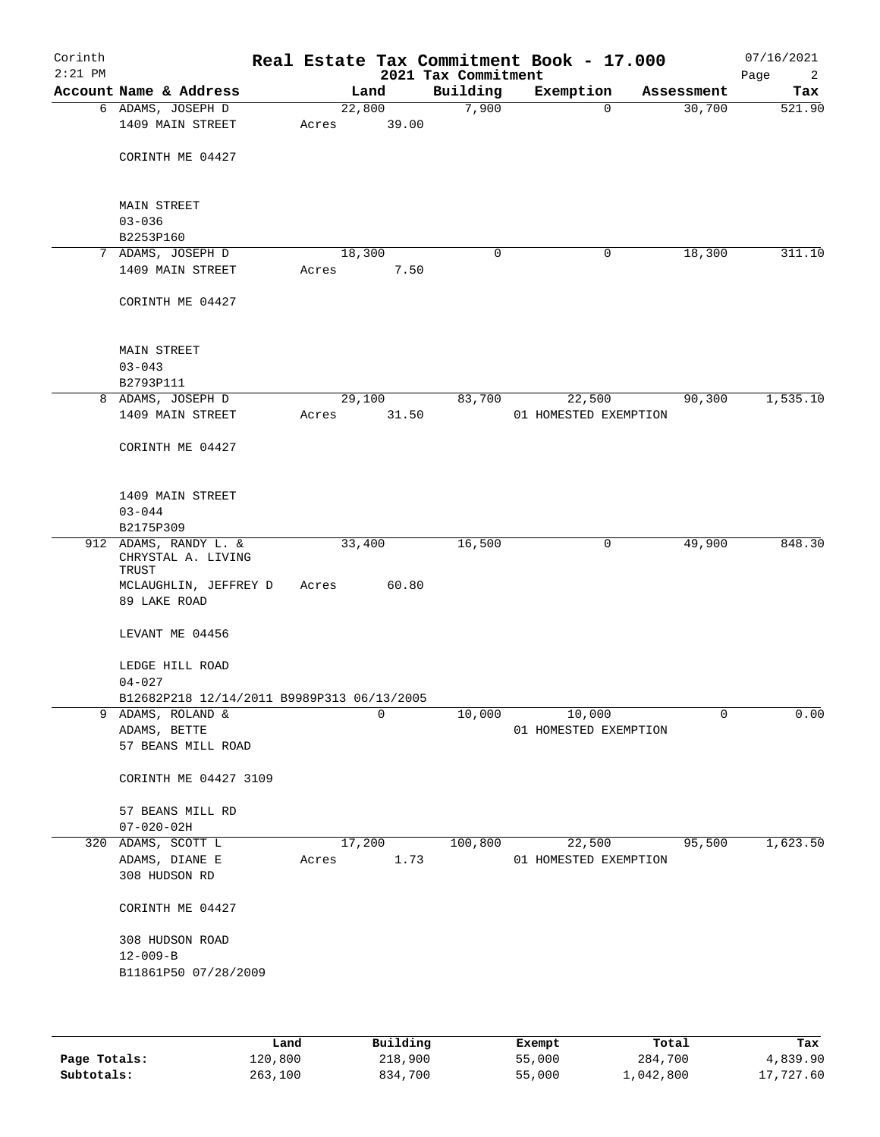| Corinth<br>$2:21$ PM |                                                          |       |        | 2021 Tax Commitment | Real Estate Tax Commitment Book - 17.000 |            | 07/16/2021<br>Page<br>2 |
|----------------------|----------------------------------------------------------|-------|--------|---------------------|------------------------------------------|------------|-------------------------|
|                      | Account Name & Address                                   |       | Land   | Building            | Exemption                                | Assessment | Tax                     |
|                      | 6 ADAMS, JOSEPH D                                        |       | 22,800 | 7,900               | $\Omega$                                 | 30,700     | 521.90                  |
|                      | 1409 MAIN STREET                                         | Acres | 39.00  |                     |                                          |            |                         |
|                      | CORINTH ME 04427                                         |       |        |                     |                                          |            |                         |
|                      | MAIN STREET                                              |       |        |                     |                                          |            |                         |
|                      | $03 - 036$<br>B2253P160                                  |       |        |                     |                                          |            |                         |
|                      | 7 ADAMS, JOSEPH D                                        |       | 18,300 | 0                   | $\mathbf 0$                              | 18,300     | 311.10                  |
|                      | 1409 MAIN STREET                                         | Acres | 7.50   |                     |                                          |            |                         |
|                      | CORINTH ME 04427                                         |       |        |                     |                                          |            |                         |
|                      | MAIN STREET                                              |       |        |                     |                                          |            |                         |
|                      | $03 - 043$                                               |       |        |                     |                                          |            |                         |
|                      | B2793P111                                                |       |        |                     |                                          |            |                         |
|                      | 8 ADAMS, JOSEPH D                                        |       | 29,100 | 83,700              | 22,500                                   | 90,300     | 1,535.10                |
|                      | 1409 MAIN STREET                                         | Acres | 31.50  |                     | 01 HOMESTED EXEMPTION                    |            |                         |
|                      | CORINTH ME 04427                                         |       |        |                     |                                          |            |                         |
|                      | 1409 MAIN STREET                                         |       |        |                     |                                          |            |                         |
|                      | $03 - 044$                                               |       |        |                     |                                          |            |                         |
|                      | B2175P309                                                |       |        |                     |                                          |            |                         |
|                      | 912 ADAMS, RANDY L. &<br>CHRYSTAL A. LIVING<br>TRUST     |       | 33,400 | 16,500              | 0                                        | 49,900     | 848.30                  |
|                      | MCLAUGHLIN, JEFFREY D<br>89 LAKE ROAD                    | Acres | 60.80  |                     |                                          |            |                         |
|                      | LEVANT ME 04456                                          |       |        |                     |                                          |            |                         |
|                      | LEDGE HILL ROAD                                          |       |        |                     |                                          |            |                         |
|                      | $04 - 027$<br>B12682P218 12/14/2011 B9989P313 06/13/2005 |       |        |                     |                                          |            |                         |
|                      | 9 ADAMS, ROLAND &                                        |       | 0      | 10,000              | 10,000                                   | 0          | 0.00                    |
|                      | ADAMS, BETTE                                             |       |        |                     | 01 HOMESTED EXEMPTION                    |            |                         |
|                      | 57 BEANS MILL ROAD                                       |       |        |                     |                                          |            |                         |
|                      | CORINTH ME 04427 3109                                    |       |        |                     |                                          |            |                         |
|                      | 57 BEANS MILL RD<br>$07 - 020 - 02H$                     |       |        |                     |                                          |            |                         |
|                      | 320 ADAMS, SCOTT L                                       |       | 17,200 | 100,800             | 22,500                                   | 95,500     | 1,623.50                |
|                      | ADAMS, DIANE E                                           | Acres | 1.73   |                     | 01 HOMESTED EXEMPTION                    |            |                         |
|                      | 308 HUDSON RD                                            |       |        |                     |                                          |            |                         |
|                      | CORINTH ME 04427                                         |       |        |                     |                                          |            |                         |
|                      | 308 HUDSON ROAD<br>$12 - 009 - B$                        |       |        |                     |                                          |            |                         |
|                      | B11861P50 07/28/2009                                     |       |        |                     |                                          |            |                         |
|                      |                                                          |       |        |                     |                                          |            |                         |

|              | Land    | Building | Exempt | Total     | Tax       |
|--------------|---------|----------|--------|-----------|-----------|
| Page Totals: | 120,800 | 218,900  | 55,000 | 284,700   | 4,839.90  |
| Subtotals:   | 263,100 | 834,700  | 55,000 | .,042,800 | 17,727.60 |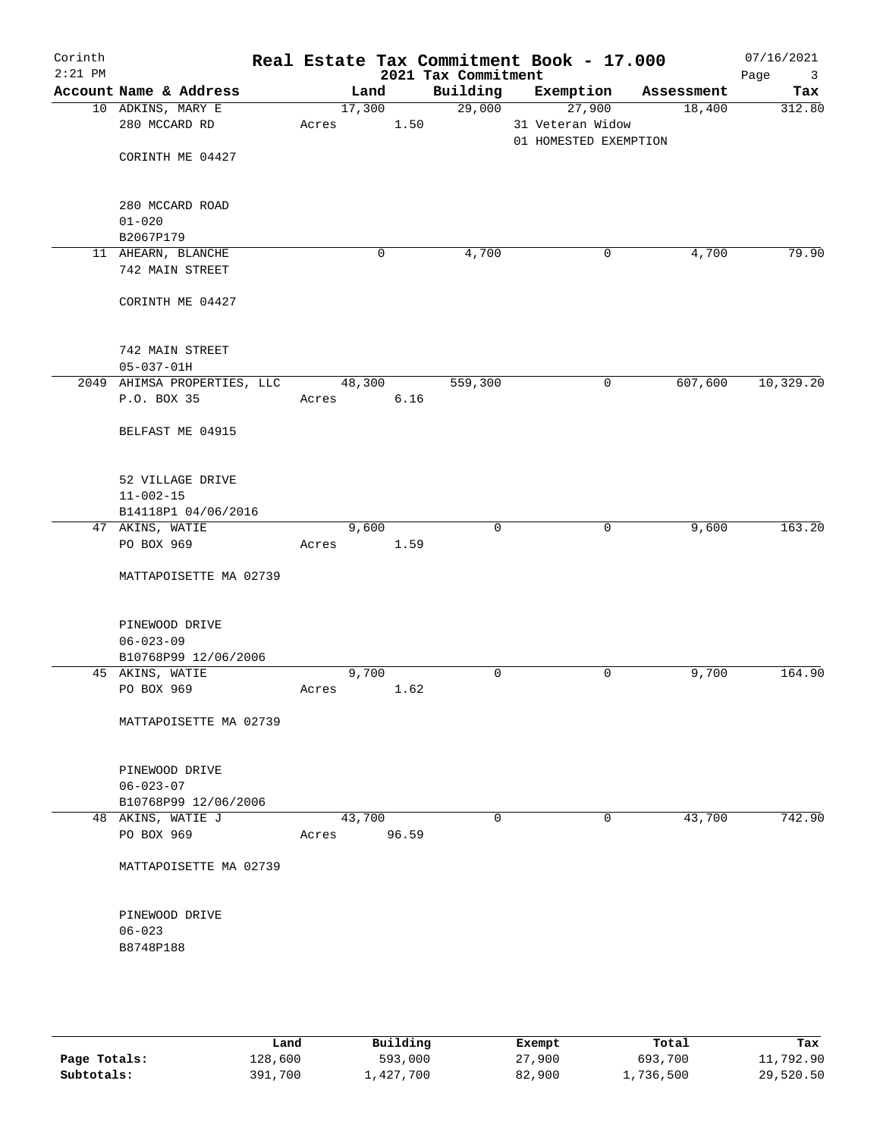| Corinth<br>$2:21$ PM |                                         |        |                | 2021 Tax Commitment | Real Estate Tax Commitment Book - 17.000            |            | 07/16/2021<br>Page<br>$\overline{\mathbf{3}}$ |
|----------------------|-----------------------------------------|--------|----------------|---------------------|-----------------------------------------------------|------------|-----------------------------------------------|
|                      | Account Name & Address                  |        | Land           | Building            | Exemption                                           | Assessment | Tax                                           |
|                      | 10 ADKINS, MARY E<br>280 MCCARD RD      | Acres  | 17,300<br>1.50 | 29,000              | 27,900<br>31 Veteran Widow<br>01 HOMESTED EXEMPTION | 18,400     | 312.80                                        |
|                      | CORINTH ME 04427                        |        |                |                     |                                                     |            |                                               |
|                      | 280 MCCARD ROAD<br>$01 - 020$           |        |                |                     |                                                     |            |                                               |
|                      | B2067P179                               |        |                |                     |                                                     |            |                                               |
|                      | 11 AHEARN, BLANCHE<br>742 MAIN STREET   |        | 0              | 4,700               | 0                                                   | 4,700      | 79.90                                         |
|                      | CORINTH ME 04427                        |        |                |                     |                                                     |            |                                               |
|                      | 742 MAIN STREET<br>$05 - 037 - 01H$     |        |                |                     |                                                     |            |                                               |
|                      | 2049 AHIMSA PROPERTIES, LLC             |        | 48,300         | 559,300             | $\mathbf 0$                                         | 607,600    | 10, 329.20                                    |
|                      | P.O. BOX 35                             | Acres  | 6.16           |                     |                                                     |            |                                               |
|                      | BELFAST ME 04915                        |        |                |                     |                                                     |            |                                               |
|                      | 52 VILLAGE DRIVE<br>$11 - 002 - 15$     |        |                |                     |                                                     |            |                                               |
|                      | B14118P1 04/06/2016                     |        |                |                     |                                                     |            |                                               |
|                      | 47 AKINS, WATIE                         |        | 9,600          | $\mathbf 0$         | 0                                                   | 9,600      | 163.20                                        |
|                      | PO BOX 969                              | Acres  | 1.59           |                     |                                                     |            |                                               |
|                      | MATTAPOISETTE MA 02739                  |        |                |                     |                                                     |            |                                               |
|                      | PINEWOOD DRIVE                          |        |                |                     |                                                     |            |                                               |
|                      | $06 - 023 - 09$<br>B10768P99 12/06/2006 |        |                |                     |                                                     |            |                                               |
|                      | 45 AKINS, WATIE                         |        | 9,700          | $\mathbf 0$         | 0                                                   | 9,700      | 164.90                                        |
|                      | PO BOX 969                              | Acres  | 1.62           |                     |                                                     |            |                                               |
|                      | MATTAPOISETTE MA 02739                  |        |                |                     |                                                     |            |                                               |
|                      | PINEWOOD DRIVE                          |        |                |                     |                                                     |            |                                               |
|                      | $06 - 023 - 07$<br>B10768P99 12/06/2006 |        |                |                     |                                                     |            |                                               |
|                      | 48 AKINS, WATIE J                       | 43,700 |                | $\mathbf 0$         | $\mathbf 0$                                         | 43,700     | 742.90                                        |
|                      | PO BOX 969                              | Acres  | 96.59          |                     |                                                     |            |                                               |
|                      | MATTAPOISETTE MA 02739                  |        |                |                     |                                                     |            |                                               |
|                      | PINEWOOD DRIVE                          |        |                |                     |                                                     |            |                                               |
|                      | $06 - 023$<br>B8748P188                 |        |                |                     |                                                     |            |                                               |
|                      |                                         |        |                |                     |                                                     |            |                                               |

|              | Land    | Building   | Exempt | Total     | Tax       |
|--------------|---------|------------|--------|-----------|-----------|
| Page Totals: | 128,600 | 593,000    | 27,900 | 693,700   | 11,792.90 |
| Subtotals:   | 391,700 | , 427, 700 | 82,900 | l,736,500 | 29,520.50 |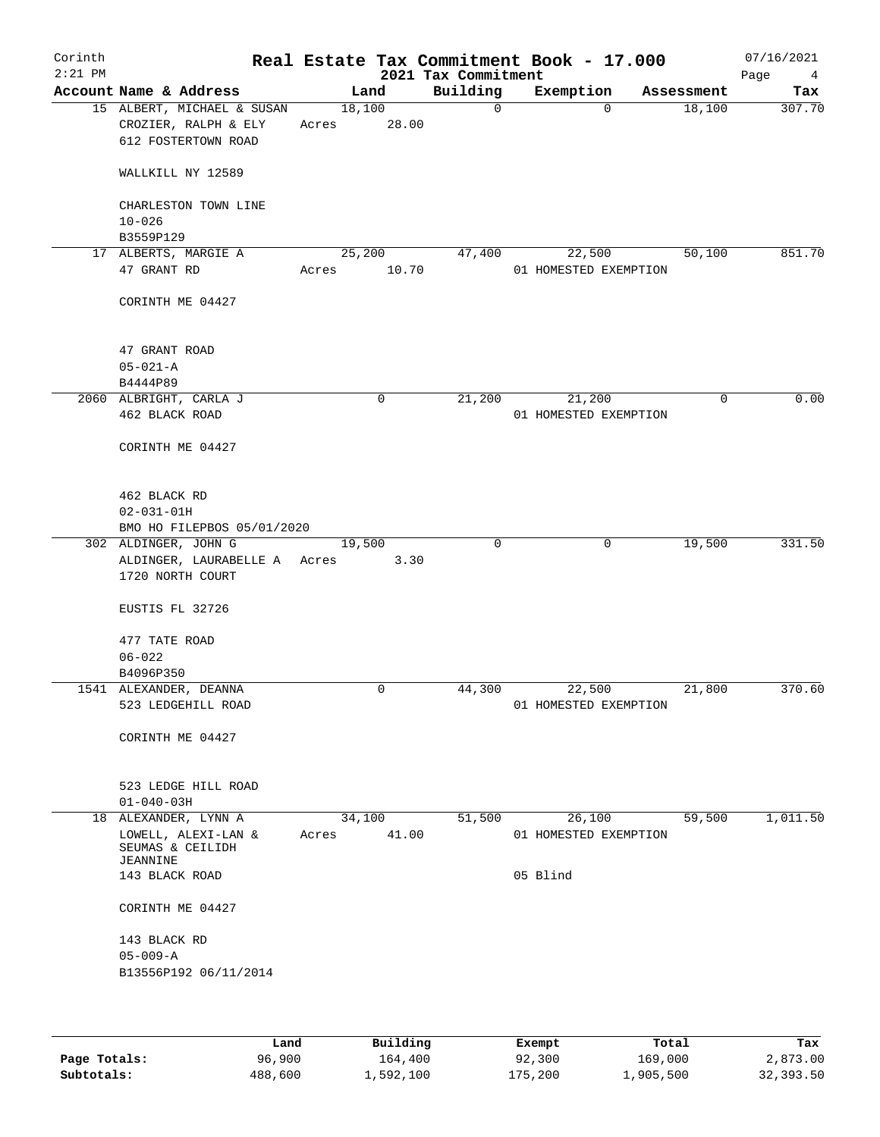| Corinth<br>$2:21$ PM |                                                                          |             | 2021 Tax Commitment | Real Estate Tax Commitment Book - 17.000 |            | 07/16/2021<br>Page<br>$\overline{4}$ |
|----------------------|--------------------------------------------------------------------------|-------------|---------------------|------------------------------------------|------------|--------------------------------------|
|                      | Account Name & Address                                                   | Land        | Building            | Exemption                                | Assessment | Tax                                  |
|                      | 15 ALBERT, MICHAEL & SUSAN                                               | 18,100      | $\Omega$            | $\Omega$                                 | 18,100     | 307.70                               |
|                      | CROZIER, RALPH & ELY                                                     | Acres       | 28.00               |                                          |            |                                      |
|                      | 612 FOSTERTOWN ROAD                                                      |             |                     |                                          |            |                                      |
|                      | WALLKILL NY 12589                                                        |             |                     |                                          |            |                                      |
|                      | CHARLESTON TOWN LINE<br>$10 - 026$                                       |             |                     |                                          |            |                                      |
|                      | B3559P129                                                                |             |                     |                                          |            |                                      |
|                      | 17 ALBERTS, MARGIE A                                                     | 25,200      | 47,400              | 22,500                                   | 50,100     | 851.70                               |
|                      | 47 GRANT RD                                                              | Acres       | 10.70               | 01 HOMESTED EXEMPTION                    |            |                                      |
|                      | CORINTH ME 04427                                                         |             |                     |                                          |            |                                      |
|                      | 47 GRANT ROAD                                                            |             |                     |                                          |            |                                      |
|                      | $05 - 021 - A$                                                           |             |                     |                                          |            |                                      |
|                      | B4444P89                                                                 |             |                     |                                          |            |                                      |
|                      | 2060 ALBRIGHT, CARLA J                                                   | $\mathbf 0$ | 21,200              | 21,200                                   | 0          | 0.00                                 |
|                      | 462 BLACK ROAD                                                           |             |                     | 01 HOMESTED EXEMPTION                    |            |                                      |
|                      | CORINTH ME 04427                                                         |             |                     |                                          |            |                                      |
|                      | 462 BLACK RD                                                             |             |                     |                                          |            |                                      |
|                      | $02 - 031 - 01H$                                                         |             |                     |                                          |            |                                      |
|                      | BMO HO FILEPBOS 05/01/2020                                               |             |                     |                                          |            |                                      |
|                      | 302 ALDINGER, JOHN G<br>ALDINGER, LAURABELLE A Acres<br>1720 NORTH COURT | 19,500      | $\mathbf 0$<br>3.30 | 0                                        | 19,500     | 331.50                               |
|                      | EUSTIS FL 32726                                                          |             |                     |                                          |            |                                      |
|                      | 477 TATE ROAD<br>$06 - 022$                                              |             |                     |                                          |            |                                      |
|                      | B4096P350                                                                |             |                     |                                          |            |                                      |
|                      | 1541 ALEXANDER, DEANNA                                                   | 0           | 44,300              | 22,500                                   | 21,800     | 370.60                               |
|                      | 523 LEDGEHILL ROAD                                                       |             |                     | 01 HOMESTED EXEMPTION                    |            |                                      |
|                      | CORINTH ME 04427                                                         |             |                     |                                          |            |                                      |
|                      | 523 LEDGE HILL ROAD<br>$01 - 040 - 03H$                                  |             |                     |                                          |            |                                      |
|                      | 18 ALEXANDER, LYNN A                                                     | 34,100      | 51,500              | 26,100                                   | 59,500     | 1,011.50                             |
|                      | LOWELL, ALEXI-LAN &<br>SEUMAS & CEILIDH<br>JEANNINE                      | Acres       | 41.00               | 01 HOMESTED EXEMPTION                    |            |                                      |
|                      | 143 BLACK ROAD                                                           |             |                     | 05 Blind                                 |            |                                      |
|                      | CORINTH ME 04427                                                         |             |                     |                                          |            |                                      |
|                      | 143 BLACK RD                                                             |             |                     |                                          |            |                                      |
|                      | $05 - 009 - A$<br>B13556P192 06/11/2014                                  |             |                     |                                          |            |                                      |
|                      |                                                                          |             |                     |                                          |            |                                      |

|              | Land    | Building  | Exempt  | Total     | Tax       |
|--------------|---------|-----------|---------|-----------|-----------|
| Page Totals: | 96,900  | 164,400   | 92,300  | 169,000   | 2,873.00  |
| Subtotals:   | 488,600 | 1,592,100 | 175,200 | 1,905,500 | 32,393.50 |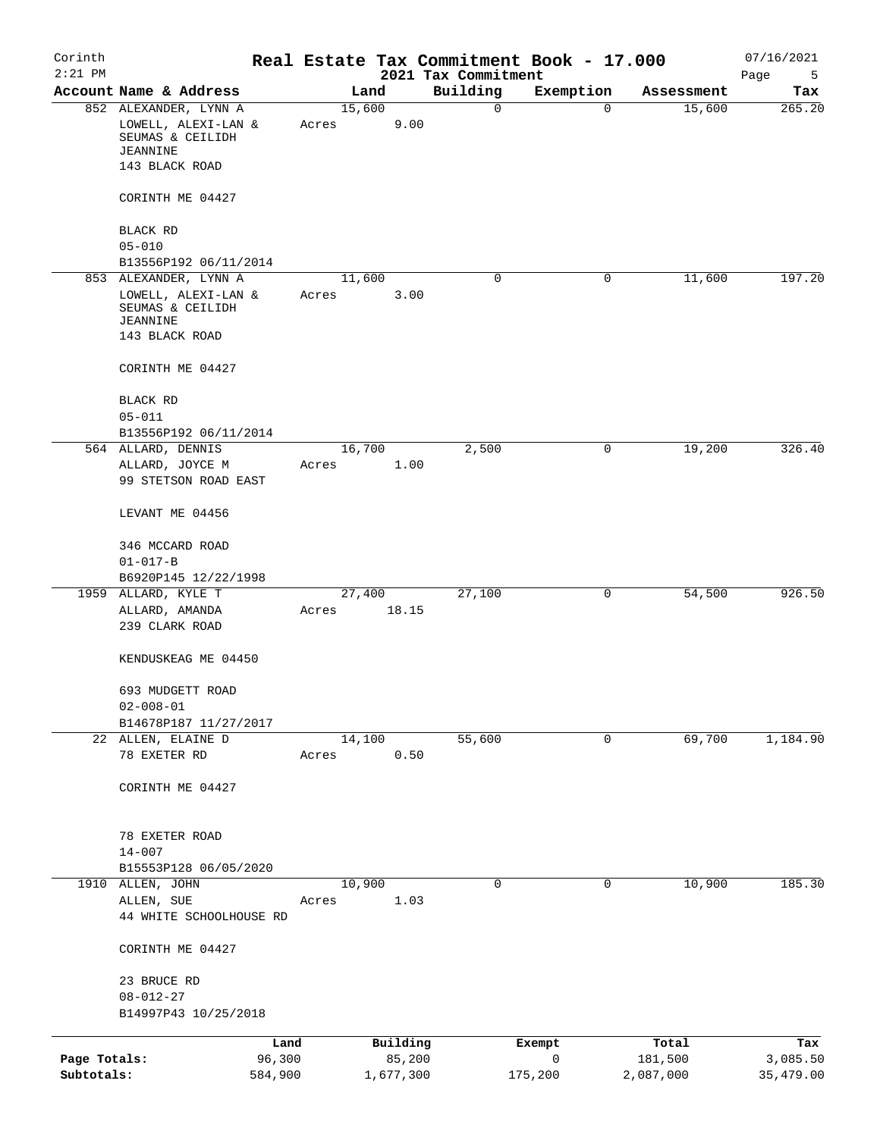| Corinth<br>$2:21$ PM       |                                                                       |                   |       |        |                     | 2021 Tax Commitment | Real Estate Tax Commitment Book - 17.000 |                      | 07/16/2021<br>Page<br>5 |
|----------------------------|-----------------------------------------------------------------------|-------------------|-------|--------|---------------------|---------------------|------------------------------------------|----------------------|-------------------------|
|                            | Account Name & Address                                                |                   |       | Land   |                     | Building            | Exemption                                | Assessment           | Tax                     |
|                            | 852 ALEXANDER, LYNN A<br>LOWELL, ALEXI-LAN &<br>SEUMAS & CEILIDH      |                   | Acres | 15,600 | 9.00                | $\mathbf 0$         | $\mathbf 0$                              | 15,600               | 265.20                  |
|                            | JEANNINE<br>143 BLACK ROAD                                            |                   |       |        |                     |                     |                                          |                      |                         |
|                            | CORINTH ME 04427                                                      |                   |       |        |                     |                     |                                          |                      |                         |
|                            | BLACK RD                                                              |                   |       |        |                     |                     |                                          |                      |                         |
|                            | $05 - 010$                                                            |                   |       |        |                     |                     |                                          |                      |                         |
|                            | B13556P192 06/11/2014<br>853 ALEXANDER, LYNN A                        |                   |       | 11,600 |                     | 0                   | 0                                        | 11,600               | 197.20                  |
|                            | LOWELL, ALEXI-LAN &<br>SEUMAS & CEILIDH<br>JEANNINE<br>143 BLACK ROAD |                   | Acres |        | 3.00                |                     |                                          |                      |                         |
|                            | CORINTH ME 04427                                                      |                   |       |        |                     |                     |                                          |                      |                         |
|                            | BLACK RD                                                              |                   |       |        |                     |                     |                                          |                      |                         |
|                            | $05 - 011$                                                            |                   |       |        |                     |                     |                                          |                      |                         |
|                            | B13556P192 06/11/2014                                                 |                   |       |        |                     |                     |                                          |                      |                         |
|                            | 564 ALLARD, DENNIS                                                    |                   |       | 16,700 |                     | 2,500               | 0                                        | 19,200               | 326.40                  |
|                            | ALLARD, JOYCE M<br>99 STETSON ROAD EAST                               |                   | Acres |        | 1.00                |                     |                                          |                      |                         |
|                            | LEVANT ME 04456                                                       |                   |       |        |                     |                     |                                          |                      |                         |
|                            | 346 MCCARD ROAD                                                       |                   |       |        |                     |                     |                                          |                      |                         |
|                            | $01 - 017 - B$                                                        |                   |       |        |                     |                     |                                          |                      |                         |
| 1959                       | B6920P145 12/22/1998<br>ALLARD, KYLE T                                |                   |       | 27,400 |                     | 27,100              | 0                                        | 54,500               | 926.50                  |
|                            | ALLARD, AMANDA<br>239 CLARK ROAD                                      |                   | Acres |        | 18.15               |                     |                                          |                      |                         |
|                            | KENDUSKEAG ME 04450                                                   |                   |       |        |                     |                     |                                          |                      |                         |
|                            | 693 MUDGETT ROAD<br>$02 - 008 - 01$                                   |                   |       |        |                     |                     |                                          |                      |                         |
|                            | B14678P187 11/27/2017                                                 |                   |       |        |                     |                     |                                          |                      |                         |
|                            | 22 ALLEN, ELAINE D                                                    |                   |       | 14,100 |                     | 55,600              | 0                                        | 69,700               | 1,184.90                |
|                            | 78 EXETER RD                                                          |                   | Acres |        | 0.50                |                     |                                          |                      |                         |
|                            | CORINTH ME 04427                                                      |                   |       |        |                     |                     |                                          |                      |                         |
|                            | 78 EXETER ROAD                                                        |                   |       |        |                     |                     |                                          |                      |                         |
|                            | $14 - 007$                                                            |                   |       |        |                     |                     |                                          |                      |                         |
|                            | B15553P128 06/05/2020                                                 |                   |       |        |                     |                     |                                          |                      |                         |
|                            | 1910 ALLEN, JOHN                                                      |                   |       | 10,900 |                     | 0                   | 0                                        | 10,900               | 185.30                  |
|                            | ALLEN, SUE<br>44 WHITE SCHOOLHOUSE RD                                 |                   | Acres |        | 1.03                |                     |                                          |                      |                         |
|                            | CORINTH ME 04427                                                      |                   |       |        |                     |                     |                                          |                      |                         |
|                            | 23 BRUCE RD                                                           |                   |       |        |                     |                     |                                          |                      |                         |
|                            | $08 - 012 - 27$                                                       |                   |       |        |                     |                     |                                          |                      |                         |
|                            | B14997P43 10/25/2018                                                  |                   |       |        |                     |                     |                                          |                      |                         |
|                            |                                                                       | Land              |       |        | Building            |                     | Exempt                                   | Total                | Tax                     |
| Page Totals:<br>Subtotals: |                                                                       | 96,300<br>584,900 |       |        | 85,200<br>1,677,300 |                     | 0<br>175,200                             | 181,500<br>2,087,000 | 3,085.50<br>35,479.00   |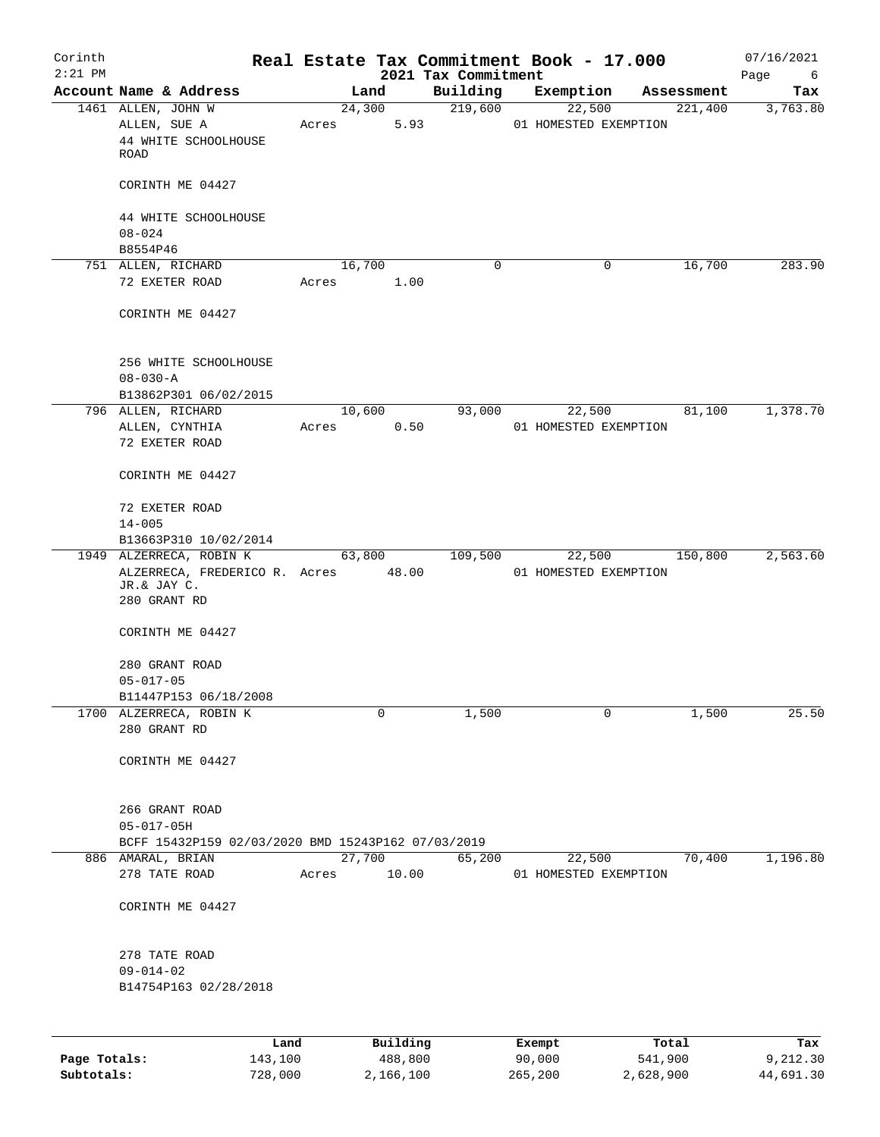| Corinth<br>$2:21$ PM |                                                                |        |          | 2021 Tax Commitment | Real Estate Tax Commitment Book - 17.000 |         |            | 07/16/2021<br>Page<br>6 |
|----------------------|----------------------------------------------------------------|--------|----------|---------------------|------------------------------------------|---------|------------|-------------------------|
|                      | Account Name & Address                                         |        | Land     | Building            | Exemption                                |         | Assessment | Tax                     |
|                      | 1461 ALLEN, JOHN W                                             |        | 24,300   | 219,600             |                                          | 22,500  | 221,400    | 3,763.80                |
|                      | ALLEN, SUE A                                                   | Acres  | 5.93     |                     | 01 HOMESTED EXEMPTION                    |         |            |                         |
|                      | 44 WHITE SCHOOLHOUSE                                           |        |          |                     |                                          |         |            |                         |
|                      | ROAD                                                           |        |          |                     |                                          |         |            |                         |
|                      | CORINTH ME 04427                                               |        |          |                     |                                          |         |            |                         |
|                      | 44 WHITE SCHOOLHOUSE                                           |        |          |                     |                                          |         |            |                         |
|                      | $08 - 024$                                                     |        |          |                     |                                          |         |            |                         |
|                      | B8554P46                                                       |        |          |                     |                                          |         |            |                         |
|                      | 751 ALLEN, RICHARD                                             | 16,700 |          | 0                   |                                          | 0       | 16,700     | 283.90                  |
|                      | 72 EXETER ROAD                                                 | Acres  | 1.00     |                     |                                          |         |            |                         |
|                      | CORINTH ME 04427                                               |        |          |                     |                                          |         |            |                         |
|                      | 256 WHITE SCHOOLHOUSE                                          |        |          |                     |                                          |         |            |                         |
|                      | $08 - 030 - A$                                                 |        |          |                     |                                          |         |            |                         |
|                      | B13862P301 06/02/2015                                          |        |          |                     |                                          |         |            |                         |
|                      | 796 ALLEN, RICHARD                                             | 10,600 |          | 93,000              |                                          | 22,500  | 81,100     | 1,378.70                |
|                      | ALLEN, CYNTHIA<br>72 EXETER ROAD                               | Acres  | 0.50     |                     | 01 HOMESTED EXEMPTION                    |         |            |                         |
|                      |                                                                |        |          |                     |                                          |         |            |                         |
|                      | CORINTH ME 04427                                               |        |          |                     |                                          |         |            |                         |
|                      | 72 EXETER ROAD                                                 |        |          |                     |                                          |         |            |                         |
|                      | $14 - 005$                                                     |        |          |                     |                                          |         |            |                         |
|                      | B13663P310 10/02/2014                                          |        |          |                     |                                          |         |            |                         |
|                      | 1949 ALZERRECA, ROBIN K<br>ALZERRECA, FREDERICO R. Acres 48.00 | 63,800 |          | 109,500             | 22,500<br>01 HOMESTED EXEMPTION          |         | 150,800    | 2,563.60                |
|                      | JR.& JAY C.                                                    |        |          |                     |                                          |         |            |                         |
|                      | 280 GRANT RD                                                   |        |          |                     |                                          |         |            |                         |
|                      | CORINTH ME 04427                                               |        |          |                     |                                          |         |            |                         |
|                      |                                                                |        |          |                     |                                          |         |            |                         |
|                      | 280 GRANT ROAD                                                 |        |          |                     |                                          |         |            |                         |
|                      | $05 - 017 - 05$                                                |        |          |                     |                                          |         |            |                         |
|                      | B11447P153 06/18/2008                                          |        |          |                     |                                          |         |            |                         |
|                      | 1700 ALZERRECA, ROBIN K<br>280 GRANT RD                        |        | 0        | 1,500               |                                          | 0       | 1,500      | 25.50                   |
|                      |                                                                |        |          |                     |                                          |         |            |                         |
|                      | CORINTH ME 04427                                               |        |          |                     |                                          |         |            |                         |
|                      | 266 GRANT ROAD                                                 |        |          |                     |                                          |         |            |                         |
|                      | $05 - 017 - 05H$                                               |        |          |                     |                                          |         |            |                         |
|                      | BCFF 15432P159 02/03/2020 BMD 15243P162 07/03/2019             |        |          |                     |                                          |         |            |                         |
|                      | 886 AMARAL, BRIAN                                              | 27,700 |          | 65,200              | 22,500                                   |         | 70,400     | 1,196.80                |
|                      | 278 TATE ROAD                                                  | Acres  | 10.00    |                     | 01 HOMESTED EXEMPTION                    |         |            |                         |
|                      | CORINTH ME 04427                                               |        |          |                     |                                          |         |            |                         |
|                      |                                                                |        |          |                     |                                          |         |            |                         |
|                      | 278 TATE ROAD                                                  |        |          |                     |                                          |         |            |                         |
|                      | $09 - 014 - 02$                                                |        |          |                     |                                          |         |            |                         |
|                      | B14754P163 02/28/2018                                          |        |          |                     |                                          |         |            |                         |
|                      |                                                                |        |          |                     |                                          |         |            |                         |
|                      | Land                                                           |        | Building |                     | Exempt                                   | Total   |            | Tax                     |
| Page Totals:         | 143,100                                                        |        | 488,800  |                     | 90,000                                   | 541,900 |            | 9,212.30                |

**Subtotals:** 728,000 2,166,100 265,200 2,628,900 44,691.30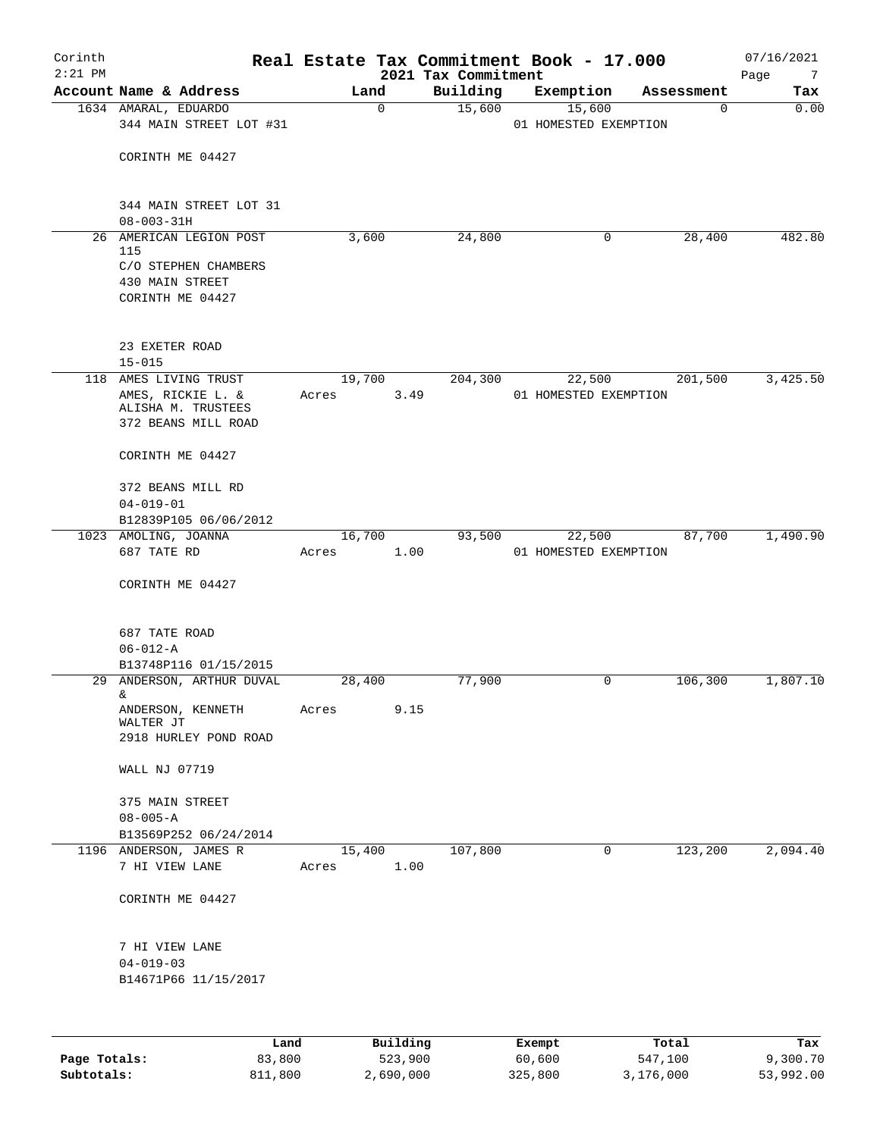| Corinth<br>$2:21$ PM       |                                                                                                                                                                                                                                                             |        |                      | Real Estate Tax Commitment Book - 17.000<br>2021 Tax Commitment |                       |        |                      | 07/16/2021<br>7       |
|----------------------------|-------------------------------------------------------------------------------------------------------------------------------------------------------------------------------------------------------------------------------------------------------------|--------|----------------------|-----------------------------------------------------------------|-----------------------|--------|----------------------|-----------------------|
|                            | Account Name & Address                                                                                                                                                                                                                                      |        | Land                 | Building                                                        | Exemption             |        | Assessment           | Page<br>Tax           |
|                            | 1634 AMARAL, EDUARDO                                                                                                                                                                                                                                        |        | $\mathbf 0$          | 15,600                                                          |                       | 15,600 | $\mathbf 0$          | 0.00                  |
|                            | 344 MAIN STREET LOT #31                                                                                                                                                                                                                                     |        |                      |                                                                 | 01 HOMESTED EXEMPTION |        |                      |                       |
|                            | CORINTH ME 04427                                                                                                                                                                                                                                            |        |                      |                                                                 |                       |        |                      |                       |
|                            |                                                                                                                                                                                                                                                             |        |                      |                                                                 |                       |        |                      |                       |
|                            | 344 MAIN STREET LOT 31<br>$08 - 003 - 31H$                                                                                                                                                                                                                  |        |                      |                                                                 |                       |        |                      |                       |
|                            | 26 AMERICAN LEGION POST                                                                                                                                                                                                                                     | 3,600  |                      | 24,800                                                          |                       | 0      | 28,400               | 482.80                |
|                            | 115                                                                                                                                                                                                                                                         |        |                      |                                                                 |                       |        |                      |                       |
|                            | C/O STEPHEN CHAMBERS                                                                                                                                                                                                                                        |        |                      |                                                                 |                       |        |                      |                       |
|                            | 430 MAIN STREET<br>CORINTH ME 04427                                                                                                                                                                                                                         |        |                      |                                                                 |                       |        |                      |                       |
|                            | 23 EXETER ROAD<br>$15 - 015$                                                                                                                                                                                                                                |        |                      |                                                                 |                       |        |                      |                       |
|                            | 118 AMES LIVING TRUST                                                                                                                                                                                                                                       | 19,700 |                      | 204,300                                                         |                       | 22,500 | 201,500              | 3,425.50              |
|                            | AMES, RICKIE L. &                                                                                                                                                                                                                                           | Acres  | 3.49                 |                                                                 | 01 HOMESTED EXEMPTION |        |                      |                       |
|                            | ALISHA M. TRUSTEES                                                                                                                                                                                                                                          |        |                      |                                                                 |                       |        |                      |                       |
|                            | 372 BEANS MILL ROAD                                                                                                                                                                                                                                         |        |                      |                                                                 |                       |        |                      |                       |
|                            | CORINTH ME 04427                                                                                                                                                                                                                                            |        |                      |                                                                 |                       |        |                      |                       |
|                            | 372 BEANS MILL RD                                                                                                                                                                                                                                           |        |                      |                                                                 |                       |        |                      |                       |
|                            | $04 - 019 - 01$                                                                                                                                                                                                                                             |        |                      |                                                                 |                       |        |                      |                       |
|                            | B12839P105 06/06/2012                                                                                                                                                                                                                                       |        |                      |                                                                 |                       |        |                      |                       |
|                            | 1023 AMOLING, JOANNA                                                                                                                                                                                                                                        | 16,700 |                      | 93,500                                                          |                       | 22,500 | 87,700               | 1,490.90              |
|                            | 687 TATE RD                                                                                                                                                                                                                                                 | Acres  | 1.00                 |                                                                 | 01 HOMESTED EXEMPTION |        |                      |                       |
|                            | CORINTH ME 04427                                                                                                                                                                                                                                            |        |                      |                                                                 |                       |        |                      |                       |
|                            | 687 TATE ROAD                                                                                                                                                                                                                                               |        |                      |                                                                 |                       |        |                      |                       |
|                            | $06 - 012 - A$                                                                                                                                                                                                                                              |        |                      |                                                                 |                       |        |                      |                       |
|                            | B13748P116 01/15/2015                                                                                                                                                                                                                                       |        |                      |                                                                 |                       |        |                      |                       |
|                            | 29 ANDERSON, ARTHUR DUVAL<br>& and the second second second second second second second second second second second second second second second second second second second second second second second second second second second second second second se | 28,400 |                      | 77,900                                                          |                       | 0      | 106,300              | 1,807.10              |
|                            | ANDERSON, KENNETH                                                                                                                                                                                                                                           | Acres  | 9.15                 |                                                                 |                       |        |                      |                       |
|                            | WALTER JT<br>2918 HURLEY POND ROAD                                                                                                                                                                                                                          |        |                      |                                                                 |                       |        |                      |                       |
|                            | WALL NJ 07719                                                                                                                                                                                                                                               |        |                      |                                                                 |                       |        |                      |                       |
|                            |                                                                                                                                                                                                                                                             |        |                      |                                                                 |                       |        |                      |                       |
|                            | 375 MAIN STREET                                                                                                                                                                                                                                             |        |                      |                                                                 |                       |        |                      |                       |
|                            | $08 - 005 - A$                                                                                                                                                                                                                                              |        |                      |                                                                 |                       |        |                      |                       |
|                            | B13569P252 06/24/2014<br>1196 ANDERSON, JAMES R                                                                                                                                                                                                             | 15,400 |                      | 107,800                                                         |                       | 0      | 123,200              | 2,094.40              |
|                            | 7 HI VIEW LANE                                                                                                                                                                                                                                              | Acres  | 1.00                 |                                                                 |                       |        |                      |                       |
|                            | CORINTH ME 04427                                                                                                                                                                                                                                            |        |                      |                                                                 |                       |        |                      |                       |
|                            |                                                                                                                                                                                                                                                             |        |                      |                                                                 |                       |        |                      |                       |
|                            | 7 HI VIEW LANE                                                                                                                                                                                                                                              |        |                      |                                                                 |                       |        |                      |                       |
|                            | $04 - 019 - 03$                                                                                                                                                                                                                                             |        |                      |                                                                 |                       |        |                      |                       |
|                            | B14671P66 11/15/2017                                                                                                                                                                                                                                        |        |                      |                                                                 |                       |        |                      |                       |
|                            |                                                                                                                                                                                                                                                             |        |                      |                                                                 |                       |        |                      |                       |
|                            | Land                                                                                                                                                                                                                                                        |        | Building             |                                                                 | Exempt                |        | Total                | Tax                   |
| Page Totals:<br>Subtotals: | 83,800<br>811,800                                                                                                                                                                                                                                           |        | 523,900<br>2,690,000 |                                                                 | 60,600<br>325,800     |        | 547,100<br>3,176,000 | 9,300.70<br>53,992.00 |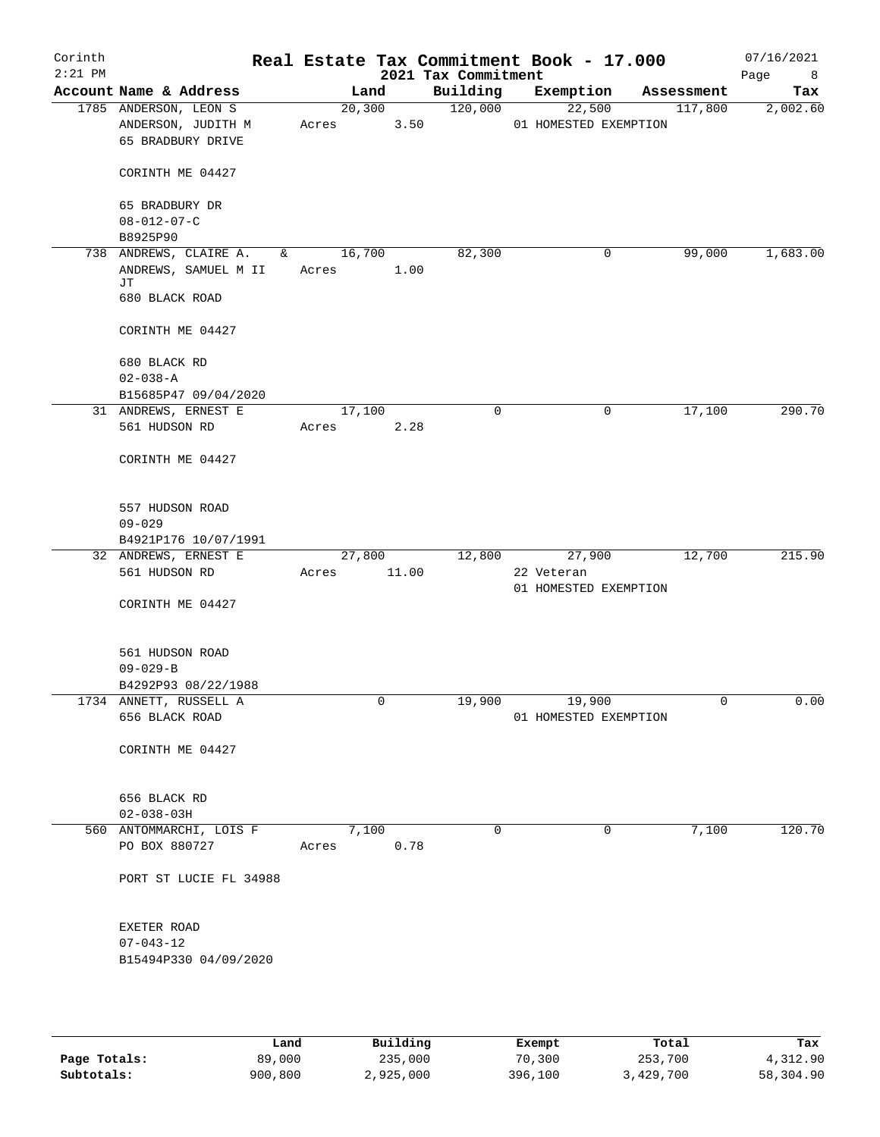| Corinth<br>$2:21$ PM |                                                                  |                                                                                                                                                                                                                                                                                                                                            |                 | 2021 Tax Commitment | Real Estate Tax Commitment Book - 17.000      |   |            | 07/16/2021<br>Page<br>8 <sup>8</sup> |
|----------------------|------------------------------------------------------------------|--------------------------------------------------------------------------------------------------------------------------------------------------------------------------------------------------------------------------------------------------------------------------------------------------------------------------------------------|-----------------|---------------------|-----------------------------------------------|---|------------|--------------------------------------|
|                      | Account Name & Address                                           |                                                                                                                                                                                                                                                                                                                                            | Land            | Building            | Exemption                                     |   | Assessment | Tax                                  |
|                      | 1785 ANDERSON, LEON S<br>ANDERSON, JUDITH M<br>65 BRADBURY DRIVE | Acres                                                                                                                                                                                                                                                                                                                                      | 20,300<br>3.50  | 120,000             | 22,500<br>01 HOMESTED EXEMPTION               |   | 117,800    | 2,002.60                             |
|                      | CORINTH ME 04427                                                 |                                                                                                                                                                                                                                                                                                                                            |                 |                     |                                               |   |            |                                      |
|                      | 65 BRADBURY DR<br>$08 - 012 - 07 - C$                            |                                                                                                                                                                                                                                                                                                                                            |                 |                     |                                               |   |            |                                      |
|                      | B8925P90<br>738 ANDREWS, CLAIRE A.                               | 16,700<br>$\delta$ and $\delta$ and $\delta$ and $\delta$ and $\delta$ and $\delta$ and $\delta$ and $\delta$ and $\delta$ and $\delta$ and $\delta$ and $\delta$ and $\delta$ and $\delta$ and $\delta$ and $\delta$ and $\delta$ and $\delta$ and $\delta$ and $\delta$ and $\delta$ and $\delta$ and $\delta$ and $\delta$ and $\delta$ |                 | 82,300              |                                               | 0 | 99,000     | 1,683.00                             |
|                      | ANDREWS, SAMUEL M II<br>JТ<br>680 BLACK ROAD                     | Acres                                                                                                                                                                                                                                                                                                                                      | 1.00            |                     |                                               |   |            |                                      |
|                      | CORINTH ME 04427                                                 |                                                                                                                                                                                                                                                                                                                                            |                 |                     |                                               |   |            |                                      |
|                      | 680 BLACK RD<br>$02 - 038 - A$                                   |                                                                                                                                                                                                                                                                                                                                            |                 |                     |                                               |   |            |                                      |
|                      | B15685P47 09/04/2020                                             |                                                                                                                                                                                                                                                                                                                                            |                 |                     |                                               |   |            |                                      |
|                      | 31 ANDREWS, ERNEST E<br>561 HUDSON RD                            | 17,100<br>Acres                                                                                                                                                                                                                                                                                                                            | 2.28            | 0                   |                                               | 0 | 17,100     | 290.70                               |
|                      | CORINTH ME 04427                                                 |                                                                                                                                                                                                                                                                                                                                            |                 |                     |                                               |   |            |                                      |
|                      | 557 HUDSON ROAD                                                  |                                                                                                                                                                                                                                                                                                                                            |                 |                     |                                               |   |            |                                      |
|                      | $09 - 029$                                                       |                                                                                                                                                                                                                                                                                                                                            |                 |                     |                                               |   |            |                                      |
|                      | B4921P176 10/07/1991                                             |                                                                                                                                                                                                                                                                                                                                            |                 |                     |                                               |   |            | 215.90                               |
|                      | 32 ANDREWS, ERNEST E<br>561 HUDSON RD                            | Acres                                                                                                                                                                                                                                                                                                                                      | 27,800<br>11.00 | 12,800              | 27,900<br>22 Veteran<br>01 HOMESTED EXEMPTION |   | 12,700     |                                      |
|                      | CORINTH ME 04427                                                 |                                                                                                                                                                                                                                                                                                                                            |                 |                     |                                               |   |            |                                      |
|                      | 561 HUDSON ROAD<br>$09 - 029 - B$                                |                                                                                                                                                                                                                                                                                                                                            |                 |                     |                                               |   |            |                                      |
|                      | B4292P93 08/22/1988                                              |                                                                                                                                                                                                                                                                                                                                            |                 |                     |                                               |   |            |                                      |
|                      | 1734 ANNETT, RUSSELL A                                           |                                                                                                                                                                                                                                                                                                                                            | 0               | 19,900              | 19,900                                        |   | 0          | 0.00                                 |
|                      | 656 BLACK ROAD                                                   |                                                                                                                                                                                                                                                                                                                                            |                 |                     | 01 HOMESTED EXEMPTION                         |   |            |                                      |
|                      | CORINTH ME 04427                                                 |                                                                                                                                                                                                                                                                                                                                            |                 |                     |                                               |   |            |                                      |
|                      | 656 BLACK RD<br>$02 - 038 - 03H$                                 |                                                                                                                                                                                                                                                                                                                                            |                 |                     |                                               |   |            |                                      |
|                      | 560 ANTOMMARCHI, LOIS F                                          |                                                                                                                                                                                                                                                                                                                                            | 7,100           | $\Omega$            |                                               | 0 | 7,100      | 120.70                               |
|                      | PO BOX 880727                                                    | Acres                                                                                                                                                                                                                                                                                                                                      | 0.78            |                     |                                               |   |            |                                      |
|                      | PORT ST LUCIE FL 34988                                           |                                                                                                                                                                                                                                                                                                                                            |                 |                     |                                               |   |            |                                      |
|                      | EXETER ROAD                                                      |                                                                                                                                                                                                                                                                                                                                            |                 |                     |                                               |   |            |                                      |
|                      | $07 - 043 - 12$<br>B15494P330 04/09/2020                         |                                                                                                                                                                                                                                                                                                                                            |                 |                     |                                               |   |            |                                      |
|                      |                                                                  |                                                                                                                                                                                                                                                                                                                                            |                 |                     |                                               |   |            |                                      |

|              | Land    | Building  | Exempt  | Total     | Tax       |
|--------------|---------|-----------|---------|-----------|-----------|
| Page Totals: | 89,000  | 235,000   | 70,300  | 253,700   | 4,312.90  |
| Subtotals:   | 900,800 | 2,925,000 | 396,100 | 3,429,700 | 58,304.90 |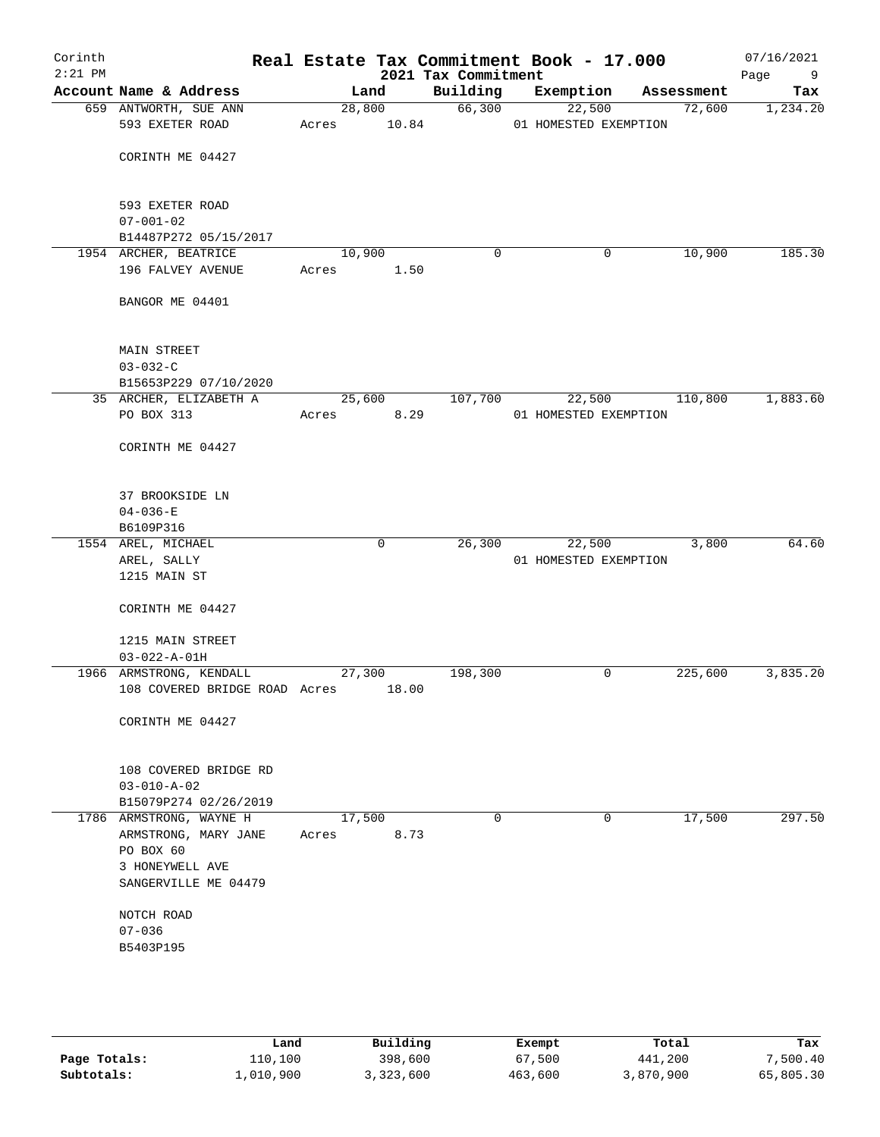| Corinth<br>$2:21$ PM |                                    |       |             | 2021 Tax Commitment | Real Estate Tax Commitment Book - 17.000 |                | 07/16/2021<br>Page<br>9 |
|----------------------|------------------------------------|-------|-------------|---------------------|------------------------------------------|----------------|-------------------------|
|                      | Account Name & Address             |       | Land        | Building            | Exemption                                | Assessment     | Tax                     |
|                      | 659 ANTWORTH, SUE ANN              |       | 28,800      | 66,300              | 22,500                                   | 72,600         | 1,234.20                |
|                      | 593 EXETER ROAD                    |       | Acres 10.84 |                     | 01 HOMESTED EXEMPTION                    |                |                         |
|                      |                                    |       |             |                     |                                          |                |                         |
|                      | CORINTH ME 04427                   |       |             |                     |                                          |                |                         |
|                      |                                    |       |             |                     |                                          |                |                         |
|                      | 593 EXETER ROAD<br>$07 - 001 - 02$ |       |             |                     |                                          |                |                         |
|                      | B14487P272 05/15/2017              |       |             |                     |                                          |                |                         |
|                      | 1954 ARCHER, BEATRICE              |       | 10,900      | $\mathbf 0$         | $\mathsf{O}$                             | 10,900         | 185.30                  |
|                      | 196 FALVEY AVENUE                  | Acres | 1.50        |                     |                                          |                |                         |
|                      |                                    |       |             |                     |                                          |                |                         |
|                      | BANGOR ME 04401                    |       |             |                     |                                          |                |                         |
|                      | <b>MAIN STREET</b>                 |       |             |                     |                                          |                |                         |
|                      | $03 - 032 - C$                     |       |             |                     |                                          |                |                         |
|                      | B15653P229 07/10/2020              |       |             |                     |                                          |                |                         |
|                      | 35 ARCHER, ELIZABETH A             |       | 25,600      | 107,700             |                                          | 22,500 110,800 | 1,883.60                |
|                      | PO BOX 313                         | Acres | 8.29        |                     | 01 HOMESTED EXEMPTION                    |                |                         |
|                      | CORINTH ME 04427                   |       |             |                     |                                          |                |                         |
|                      |                                    |       |             |                     |                                          |                |                         |
|                      | 37 BROOKSIDE LN                    |       |             |                     |                                          |                |                         |
|                      | $04 - 036 - E$                     |       |             |                     |                                          |                |                         |
|                      | B6109P316                          |       |             |                     |                                          |                |                         |
|                      | 1554 AREL, MICHAEL                 |       | $\mathbf 0$ | 26,300              | 22,500                                   | 3,800          | 64.60                   |
|                      | AREL, SALLY                        |       |             |                     | 01 HOMESTED EXEMPTION                    |                |                         |
|                      | 1215 MAIN ST                       |       |             |                     |                                          |                |                         |
|                      | CORINTH ME 04427                   |       |             |                     |                                          |                |                         |
|                      | 1215 MAIN STREET                   |       |             |                     |                                          |                |                         |
|                      | $03 - 022 - A - 01H$               |       |             |                     |                                          |                |                         |
|                      | 1966 ARMSTRONG, KENDALL            |       | 27,300      | 198,300             | 0                                        | 225,600        | 3,835.20                |
|                      | 108 COVERED BRIDGE ROAD Acres      |       | 18.00       |                     |                                          |                |                         |
|                      |                                    |       |             |                     |                                          |                |                         |
|                      | CORINTH ME 04427                   |       |             |                     |                                          |                |                         |
|                      | 108 COVERED BRIDGE RD              |       |             |                     |                                          |                |                         |
|                      | $03 - 010 - A - 02$                |       |             |                     |                                          |                |                         |
|                      | B15079P274 02/26/2019              |       |             |                     |                                          |                |                         |
|                      | 1786 ARMSTRONG, WAYNE H            |       | 17,500      | 0                   | 0                                        | 17,500         | 297.50                  |
|                      | ARMSTRONG, MARY JANE               | Acres | 8.73        |                     |                                          |                |                         |
|                      | PO BOX 60<br>3 HONEYWELL AVE       |       |             |                     |                                          |                |                         |
|                      | SANGERVILLE ME 04479               |       |             |                     |                                          |                |                         |
|                      |                                    |       |             |                     |                                          |                |                         |
|                      | NOTCH ROAD<br>$07 - 036$           |       |             |                     |                                          |                |                         |
|                      | B5403P195                          |       |             |                     |                                          |                |                         |
|                      |                                    |       |             |                     |                                          |                |                         |
|                      |                                    |       |             |                     |                                          |                |                         |
|                      |                                    |       |             |                     |                                          |                |                         |

|              | Land      | Building  | Exempt  | Total     | Tax       |
|--------------|-----------|-----------|---------|-----------|-----------|
| Page Totals: | 110,100   | 398,600   | 67,500  | 441,200   | 7,500.40  |
| Subtotals:   | 1,010,900 | 3,323,600 | 463,600 | 3,870,900 | 65,805.30 |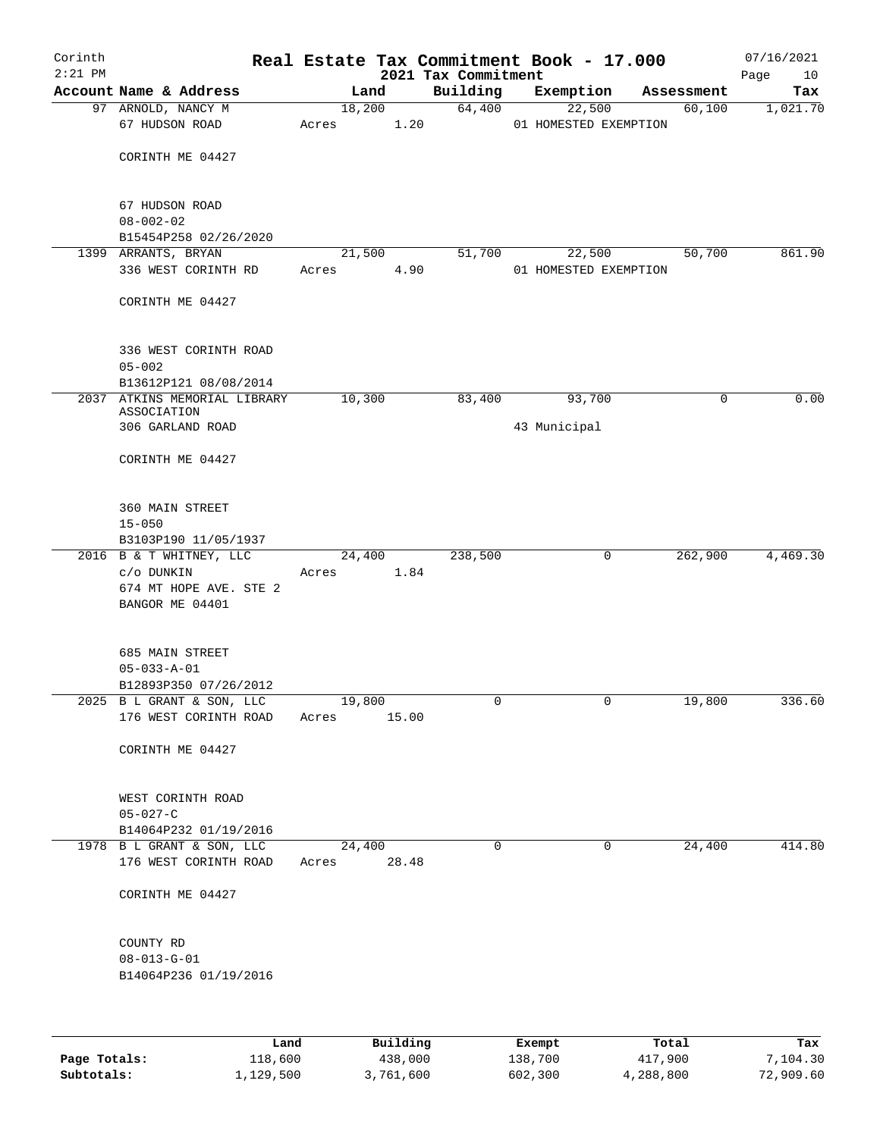| Corinth<br>$2:21$ PM |                                                    |      |       |        |          | Real Estate Tax Commitment Book - 17.000<br>2021 Tax Commitment |                       |             |            | 07/16/2021<br>Page<br>10 |
|----------------------|----------------------------------------------------|------|-------|--------|----------|-----------------------------------------------------------------|-----------------------|-------------|------------|--------------------------|
|                      | Account Name & Address                             |      |       | Land   |          | Building                                                        | Exemption             |             | Assessment | Tax                      |
|                      | 97 ARNOLD, NANCY M                                 |      |       | 18,200 |          | 64,400                                                          | 22,500                |             | 60,100     | 1,021.70                 |
|                      | 67 HUDSON ROAD                                     |      | Acres |        | 1.20     |                                                                 | 01 HOMESTED EXEMPTION |             |            |                          |
|                      |                                                    |      |       |        |          |                                                                 |                       |             |            |                          |
|                      | CORINTH ME 04427                                   |      |       |        |          |                                                                 |                       |             |            |                          |
|                      | 67 HUDSON ROAD                                     |      |       |        |          |                                                                 |                       |             |            |                          |
|                      | $08 - 002 - 02$                                    |      |       |        |          |                                                                 |                       |             |            |                          |
|                      | B15454P258 02/26/2020                              |      |       |        |          |                                                                 |                       |             |            |                          |
|                      | 1399 ARRANTS, BRYAN                                |      |       | 21,500 |          | 51,700                                                          | 22,500                |             | 50,700     | 861.90                   |
|                      | 336 WEST CORINTH RD                                |      | Acres |        | 4.90     |                                                                 | 01 HOMESTED EXEMPTION |             |            |                          |
|                      | CORINTH ME 04427                                   |      |       |        |          |                                                                 |                       |             |            |                          |
|                      |                                                    |      |       |        |          |                                                                 |                       |             |            |                          |
|                      | 336 WEST CORINTH ROAD<br>$05 - 002$                |      |       |        |          |                                                                 |                       |             |            |                          |
|                      | B13612P121 08/08/2014                              |      |       |        |          |                                                                 |                       |             |            |                          |
|                      | 2037 ATKINS MEMORIAL LIBRARY                       |      |       | 10,300 |          | 83,400                                                          | 93,700                |             | 0          | 0.00                     |
|                      | ASSOCIATION                                        |      |       |        |          |                                                                 |                       |             |            |                          |
|                      | 306 GARLAND ROAD                                   |      |       |        |          |                                                                 | 43 Municipal          |             |            |                          |
|                      | CORINTH ME 04427                                   |      |       |        |          |                                                                 |                       |             |            |                          |
|                      | 360 MAIN STREET                                    |      |       |        |          |                                                                 |                       |             |            |                          |
|                      | $15 - 050$                                         |      |       |        |          |                                                                 |                       |             |            |                          |
|                      | B3103P190 11/05/1937                               |      |       |        |          |                                                                 |                       |             |            |                          |
|                      | 2016 B & T WHITNEY, LLC                            |      |       | 24,400 |          | 238,500                                                         |                       | 0           | 262,900    | 4,469.30                 |
|                      | c/o DUNKIN<br>674 MT HOPE AVE. STE 2               |      | Acres |        | 1.84     |                                                                 |                       |             |            |                          |
|                      | BANGOR ME 04401                                    |      |       |        |          |                                                                 |                       |             |            |                          |
|                      |                                                    |      |       |        |          |                                                                 |                       |             |            |                          |
|                      | 685 MAIN STREET                                    |      |       |        |          |                                                                 |                       |             |            |                          |
|                      | $05 - 033 - A - 01$                                |      |       |        |          |                                                                 |                       |             |            |                          |
|                      | B12893P350 07/26/2012                              |      |       |        |          |                                                                 |                       |             |            |                          |
|                      | 2025 B L GRANT & SON, LLC                          |      |       | 19,800 |          | 0                                                               |                       | 0           | 19,800     | 336.60                   |
|                      | 176 WEST CORINTH ROAD                              |      | Acres |        | 15.00    |                                                                 |                       |             |            |                          |
|                      | CORINTH ME 04427                                   |      |       |        |          |                                                                 |                       |             |            |                          |
|                      | WEST CORINTH ROAD                                  |      |       |        |          |                                                                 |                       |             |            |                          |
|                      | $05 - 027 - C$                                     |      |       |        |          |                                                                 |                       |             |            |                          |
|                      | B14064P232 01/19/2016                              |      |       |        |          |                                                                 |                       |             |            |                          |
|                      | 1978 B L GRANT & SON, LLC<br>176 WEST CORINTH ROAD |      | Acres | 24,400 | 28.48    | $\Omega$                                                        |                       | $\mathbf 0$ | 24,400     | 414.80                   |
|                      | CORINTH ME 04427                                   |      |       |        |          |                                                                 |                       |             |            |                          |
|                      | COUNTY RD                                          |      |       |        |          |                                                                 |                       |             |            |                          |
|                      | $08 - 013 - G - 01$                                |      |       |        |          |                                                                 |                       |             |            |                          |
|                      | B14064P236 01/19/2016                              |      |       |        |          |                                                                 |                       |             |            |                          |
|                      |                                                    |      |       |        |          |                                                                 |                       |             |            |                          |
|                      |                                                    | Land |       |        | Building |                                                                 | Exempt                |             | Total      | Tax                      |
|                      |                                                    |      |       |        |          |                                                                 |                       |             |            |                          |

| Page Totals: | 118,600   | 438,000   | 138,700 | 417,900   | 7,104.30  |
|--------------|-----------|-----------|---------|-----------|-----------|
| Subtotals:   | 1,129,500 | 3,761,600 | 602,300 | 4,288,800 | 72,909.60 |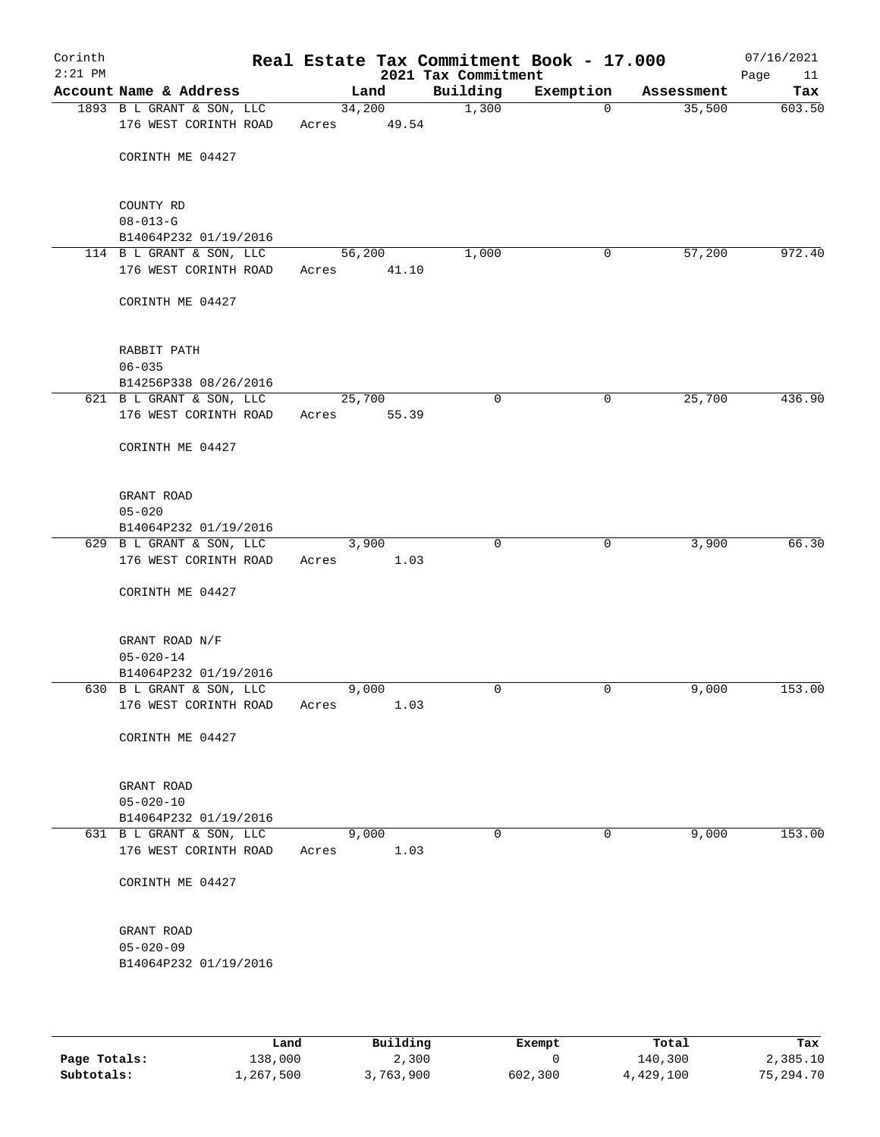| Corinth<br>$2:21$ PM |                                                    |       |                 | Real Estate Tax Commitment Book - 17.000<br>2021 Tax Commitment |             |            | 07/16/2021<br>Page<br>11 |
|----------------------|----------------------------------------------------|-------|-----------------|-----------------------------------------------------------------|-------------|------------|--------------------------|
|                      | Account Name & Address                             |       | Land            | Building                                                        | Exemption   | Assessment | Tax                      |
|                      | 1893 B L GRANT & SON, LLC<br>176 WEST CORINTH ROAD | Acres | 34,200<br>49.54 | 1,300                                                           | $\Omega$    | 35,500     | 603.50                   |
|                      | CORINTH ME 04427                                   |       |                 |                                                                 |             |            |                          |
|                      |                                                    |       |                 |                                                                 |             |            |                          |
|                      | COUNTY RD<br>$08 - 013 - G$                        |       |                 |                                                                 |             |            |                          |
|                      | B14064P232 01/19/2016                              |       |                 |                                                                 |             |            |                          |
|                      | 114 B L GRANT & SON, LLC                           |       | 56,200          | 1,000                                                           | 0           | 57,200     | 972.40                   |
|                      | 176 WEST CORINTH ROAD                              | Acres | 41.10           |                                                                 |             |            |                          |
|                      | CORINTH ME 04427                                   |       |                 |                                                                 |             |            |                          |
|                      | RABBIT PATH                                        |       |                 |                                                                 |             |            |                          |
|                      | $06 - 035$                                         |       |                 |                                                                 |             |            |                          |
|                      | B14256P338 08/26/2016                              |       |                 |                                                                 |             |            |                          |
|                      | 621 B L GRANT & SON, LLC<br>176 WEST CORINTH ROAD  | Acres | 25,700<br>55.39 | $\mathbf 0$                                                     | 0           | 25,700     | 436.90                   |
|                      | CORINTH ME 04427                                   |       |                 |                                                                 |             |            |                          |
|                      | GRANT ROAD                                         |       |                 |                                                                 |             |            |                          |
|                      | $05 - 020$                                         |       |                 |                                                                 |             |            |                          |
|                      | B14064P232 01/19/2016                              |       |                 |                                                                 |             |            |                          |
|                      | 629 B L GRANT & SON, LLC<br>176 WEST CORINTH ROAD  | Acres | 3,900<br>1.03   | $\mathbf 0$                                                     | $\mathbf 0$ | 3,900      | 66.30                    |
|                      | CORINTH ME 04427                                   |       |                 |                                                                 |             |            |                          |
|                      | GRANT ROAD N/F                                     |       |                 |                                                                 |             |            |                          |
|                      | $05 - 020 - 14$                                    |       |                 |                                                                 |             |            |                          |
|                      | B14064P232 01/19/2016<br>630 B L GRANT & SON, LLC  |       | 9,000           | 0                                                               | 0           | 9,000      | 153.00                   |
|                      | 176 WEST CORINTH ROAD                              | Acres | 1.03            |                                                                 |             |            |                          |
|                      | CORINTH ME 04427                                   |       |                 |                                                                 |             |            |                          |
|                      | GRANT ROAD                                         |       |                 |                                                                 |             |            |                          |
|                      | $05 - 020 - 10$                                    |       |                 |                                                                 |             |            |                          |
|                      | B14064P232 01/19/2016                              |       |                 |                                                                 |             |            |                          |
|                      | 631 B L GRANT & SON, LLC<br>176 WEST CORINTH ROAD  | Acres | 9,000<br>1.03   | $\mathbf 0$                                                     | 0           | 9,000      | 153.00                   |
|                      | CORINTH ME 04427                                   |       |                 |                                                                 |             |            |                          |
|                      | GRANT ROAD                                         |       |                 |                                                                 |             |            |                          |
|                      | $05 - 020 - 09$                                    |       |                 |                                                                 |             |            |                          |
|                      | B14064P232 01/19/2016                              |       |                 |                                                                 |             |            |                          |
|                      |                                                    |       |                 |                                                                 |             |            |                          |

|              | Land      | Building | Exempt  | Total     | Tax       |
|--------------|-----------|----------|---------|-----------|-----------|
| Page Totals: | 138,000   | 2,300    |         | 140,300   | 2,385.10  |
| Subtotals:   | 1,267,500 | ,763,900 | 602,300 | 4,429,100 | 75,294.70 |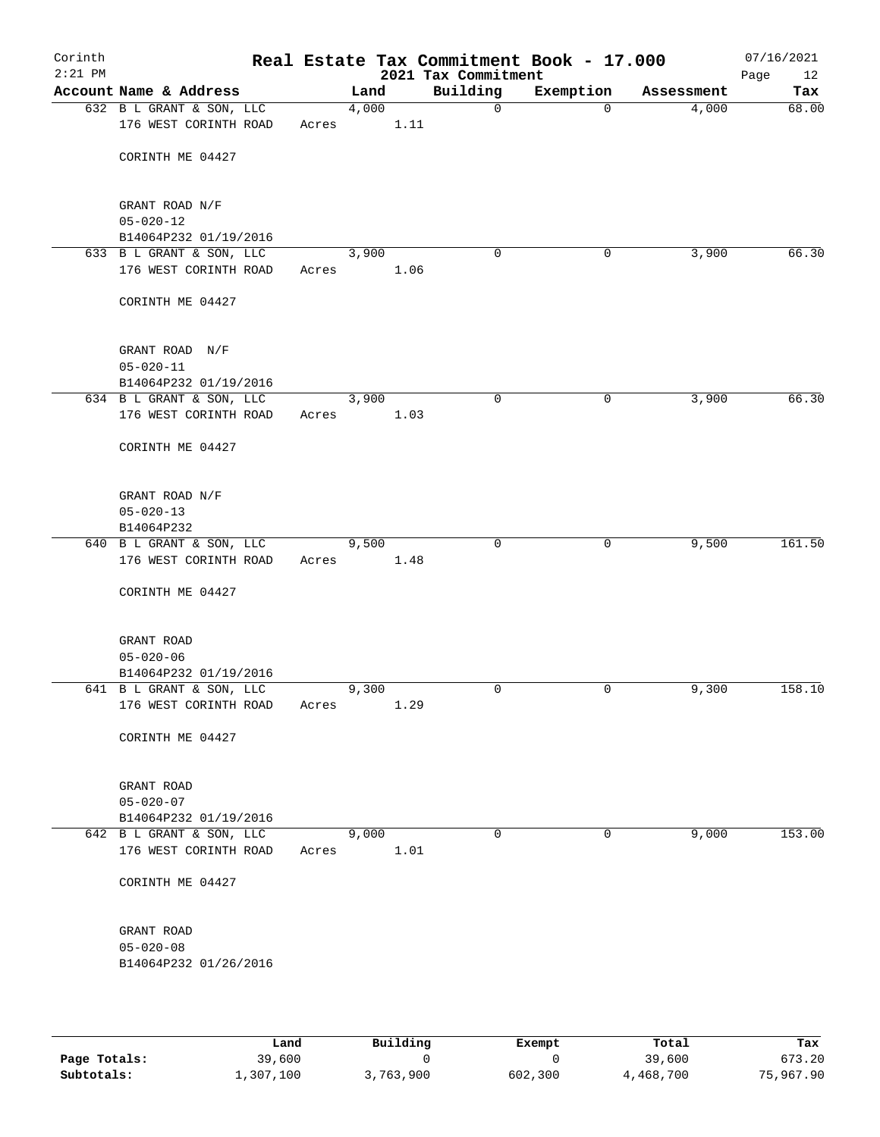| Corinth<br>$2:21$ PM |                               |       |       |      | Real Estate Tax Commitment Book - 17.000<br>2021 Tax Commitment |           |            | 07/16/2021<br>Page<br>12 |
|----------------------|-------------------------------|-------|-------|------|-----------------------------------------------------------------|-----------|------------|--------------------------|
|                      | Account Name & Address        |       | Land  |      | Building                                                        | Exemption | Assessment | Tax                      |
|                      | 632 B L GRANT & SON, LLC      |       | 4,000 |      | $\mathsf{O}$                                                    | $\Omega$  | 4,000      | 68.00                    |
|                      | 176 WEST CORINTH ROAD         | Acres |       | 1.11 |                                                                 |           |            |                          |
|                      |                               |       |       |      |                                                                 |           |            |                          |
|                      | CORINTH ME 04427              |       |       |      |                                                                 |           |            |                          |
|                      | GRANT ROAD N/F                |       |       |      |                                                                 |           |            |                          |
|                      | $05 - 020 - 12$               |       |       |      |                                                                 |           |            |                          |
|                      | B14064P232 01/19/2016         |       |       |      |                                                                 |           |            |                          |
|                      | 633 B L GRANT & SON, LLC      |       | 3,900 |      | 0                                                               | 0         | 3,900      | 66.30                    |
|                      | 176 WEST CORINTH ROAD         | Acres |       | 1.06 |                                                                 |           |            |                          |
|                      | CORINTH ME 04427              |       |       |      |                                                                 |           |            |                          |
|                      | GRANT ROAD N/F                |       |       |      |                                                                 |           |            |                          |
|                      | $05 - 020 - 11$               |       |       |      |                                                                 |           |            |                          |
|                      | B14064P232 01/19/2016         |       |       |      |                                                                 |           |            |                          |
|                      | 634 B L GRANT & SON, LLC      |       | 3,900 |      | $\mathbf 0$                                                     | 0         | 3,900      | 66.30                    |
|                      | 176 WEST CORINTH ROAD         | Acres |       | 1.03 |                                                                 |           |            |                          |
|                      | CORINTH ME 04427              |       |       |      |                                                                 |           |            |                          |
|                      |                               |       |       |      |                                                                 |           |            |                          |
|                      | GRANT ROAD N/F                |       |       |      |                                                                 |           |            |                          |
|                      | $05 - 020 - 13$<br>B14064P232 |       |       |      |                                                                 |           |            |                          |
|                      | 640 B L GRANT & SON, LLC      |       | 9,500 |      | $\mathbf 0$                                                     | 0         | 9,500      | 161.50                   |
|                      | 176 WEST CORINTH ROAD         | Acres |       | 1.48 |                                                                 |           |            |                          |
|                      | CORINTH ME 04427              |       |       |      |                                                                 |           |            |                          |
|                      |                               |       |       |      |                                                                 |           |            |                          |
|                      | GRANT ROAD                    |       |       |      |                                                                 |           |            |                          |
|                      | $05 - 020 - 06$               |       |       |      |                                                                 |           |            |                          |
|                      | B14064P232 01/19/2016         |       |       |      |                                                                 |           |            |                          |
|                      | 641 B L GRANT & SON, LLC      |       | 9,300 |      | 0                                                               | 0         | 9,300      | 158.10                   |
|                      | 176 WEST CORINTH ROAD         | Acres |       | 1.29 |                                                                 |           |            |                          |
|                      | CORINTH ME 04427              |       |       |      |                                                                 |           |            |                          |
|                      |                               |       |       |      |                                                                 |           |            |                          |
|                      | GRANT ROAD<br>$05 - 020 - 07$ |       |       |      |                                                                 |           |            |                          |
|                      | B14064P232 01/19/2016         |       |       |      |                                                                 |           |            |                          |
|                      | 642 B L GRANT & SON, LLC      |       | 9,000 |      | 0                                                               | 0         | 9,000      | 153.00                   |
|                      | 176 WEST CORINTH ROAD         | Acres |       | 1.01 |                                                                 |           |            |                          |
|                      | CORINTH ME 04427              |       |       |      |                                                                 |           |            |                          |
|                      |                               |       |       |      |                                                                 |           |            |                          |
|                      | GRANT ROAD<br>$05 - 020 - 08$ |       |       |      |                                                                 |           |            |                          |
|                      | B14064P232 01/26/2016         |       |       |      |                                                                 |           |            |                          |
|                      |                               |       |       |      |                                                                 |           |            |                          |
|                      |                               |       |       |      |                                                                 |           |            |                          |

|              | Land      | Building | Exempt  | Total     | Tax       |
|--------------|-----------|----------|---------|-----------|-----------|
| Page Totals: | 39,600    |          |         | 39,600    | 673.20    |
| Subtotals:   | 1,307,100 | ,763,900 | 602,300 | 4,468,700 | 75,967.90 |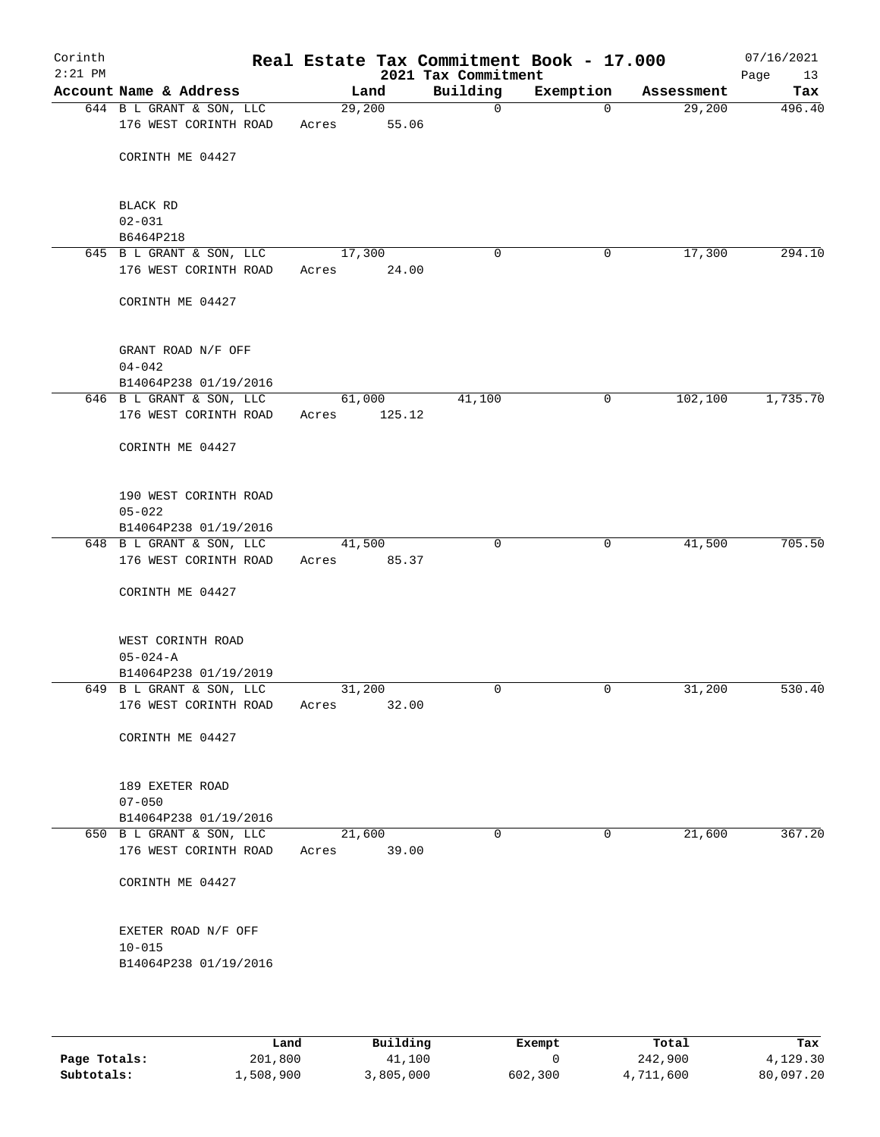| Corinth<br>$2:21$ PM |                                                   |                       |                  | Real Estate Tax Commitment Book - 17.000<br>2021 Tax Commitment |             |            | 07/16/2021<br>Page<br>13 |
|----------------------|---------------------------------------------------|-----------------------|------------------|-----------------------------------------------------------------|-------------|------------|--------------------------|
|                      | Account Name & Address                            |                       | Land             | Building                                                        | Exemption   | Assessment | Tax                      |
|                      | 644 B L GRANT & SON, LLC<br>176 WEST CORINTH ROAD | 29,200<br>Acres       | 55.06            | $\mathbf 0$                                                     | $\Omega$    | 29,200     | 496.40                   |
|                      | CORINTH ME 04427                                  |                       |                  |                                                                 |             |            |                          |
|                      | <b>BLACK RD</b><br>$02 - 031$                     |                       |                  |                                                                 |             |            |                          |
|                      | B6464P218                                         |                       |                  |                                                                 |             |            |                          |
|                      | 645 B L GRANT & SON, LLC                          | 17,300                |                  | 0                                                               | 0           | 17,300     | 294.10                   |
|                      | 176 WEST CORINTH ROAD                             | Acres                 | 24.00            |                                                                 |             |            |                          |
|                      | CORINTH ME 04427                                  |                       |                  |                                                                 |             |            |                          |
|                      | GRANT ROAD N/F OFF                                |                       |                  |                                                                 |             |            |                          |
|                      | $04 - 042$                                        |                       |                  |                                                                 |             |            |                          |
|                      | B14064P238 01/19/2016                             |                       |                  |                                                                 |             |            |                          |
|                      | 646 B L GRANT & SON, LLC<br>176 WEST CORINTH ROAD | Acres                 | 61,000<br>125.12 | 41,100                                                          | 0           | 102, 100   | 1,735.70                 |
|                      | CORINTH ME 04427                                  |                       |                  |                                                                 |             |            |                          |
|                      | 190 WEST CORINTH ROAD                             |                       |                  |                                                                 |             |            |                          |
|                      | $05 - 022$                                        |                       |                  |                                                                 |             |            |                          |
|                      | B14064P238 01/19/2016                             |                       |                  |                                                                 |             |            |                          |
|                      | 648 B L GRANT & SON, LLC<br>176 WEST CORINTH ROAD | 41,500<br>Acres 85.37 |                  | $\mathbf 0$                                                     | $\mathbf 0$ | 41,500     | 705.50                   |
|                      | CORINTH ME 04427                                  |                       |                  |                                                                 |             |            |                          |
|                      | WEST CORINTH ROAD                                 |                       |                  |                                                                 |             |            |                          |
|                      | $05 - 024 - A$                                    |                       |                  |                                                                 |             |            |                          |
|                      | B14064P238 01/19/2019<br>649 B L GRANT & SON, LLC | 31,200                |                  | 0                                                               | 0           | 31,200     | 530.40                   |
|                      | 176 WEST CORINTH ROAD                             | Acres                 | 32.00            |                                                                 |             |            |                          |
|                      | CORINTH ME 04427                                  |                       |                  |                                                                 |             |            |                          |
|                      | 189 EXETER ROAD                                   |                       |                  |                                                                 |             |            |                          |
|                      | $07 - 050$                                        |                       |                  |                                                                 |             |            |                          |
|                      | B14064P238 01/19/2016                             |                       |                  |                                                                 |             |            |                          |
|                      | 650 B L GRANT & SON, LLC                          | 21,600                |                  | 0                                                               | 0           | 21,600     | 367.20                   |
|                      | 176 WEST CORINTH ROAD                             | Acres                 | 39.00            |                                                                 |             |            |                          |
|                      | CORINTH ME 04427                                  |                       |                  |                                                                 |             |            |                          |
|                      | EXETER ROAD N/F OFF<br>$10 - 015$                 |                       |                  |                                                                 |             |            |                          |
|                      | B14064P238 01/19/2016                             |                       |                  |                                                                 |             |            |                          |
|                      |                                                   |                       |                  |                                                                 |             |            |                          |

|              | Land      | Building  | Exempt  | Total     | Tax       |
|--------------|-----------|-----------|---------|-----------|-----------|
| Page Totals: | 201,800   | 41,100    |         | 242,900   | 4,129.30  |
| Subtotals:   | 1,508,900 | 3,805,000 | 602,300 | 4,711,600 | 80,097.20 |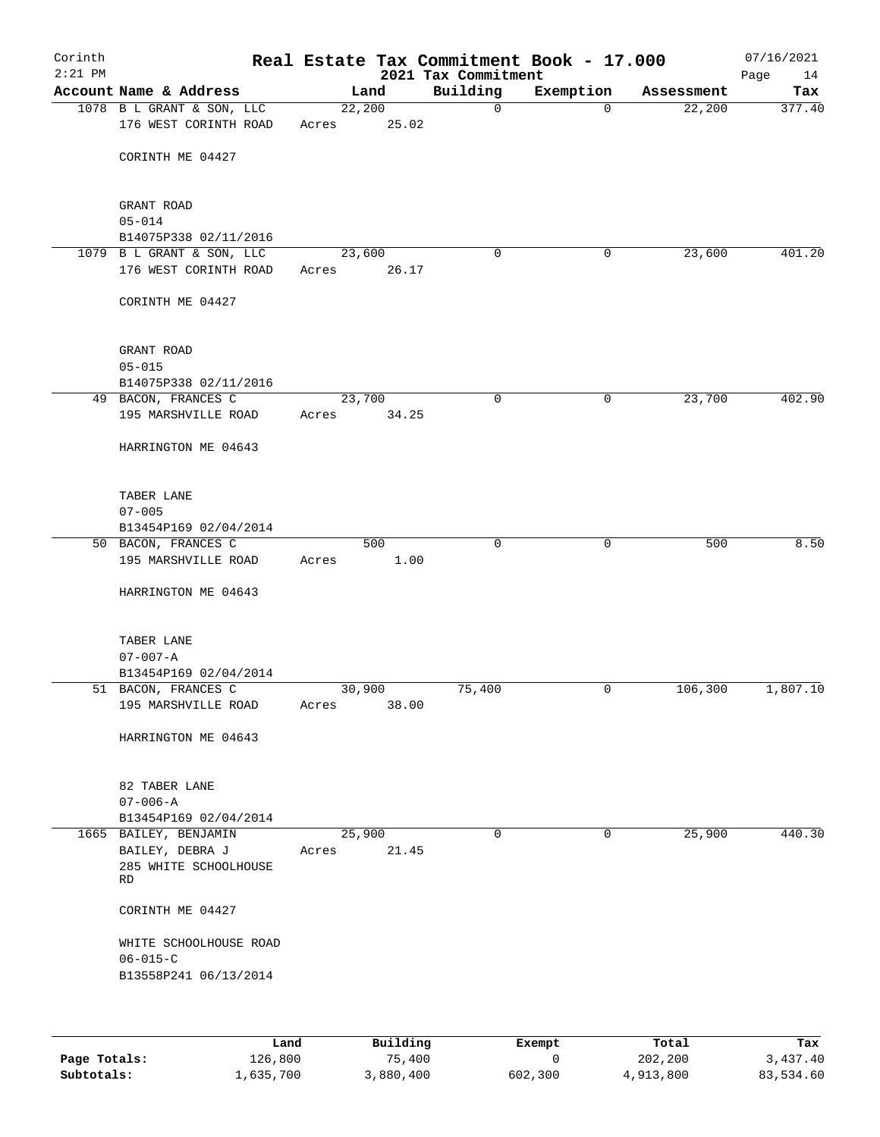| Corinth<br>$2:21$ PM |                                                    |       |                 | 2021 Tax Commitment | Real Estate Tax Commitment Book - 17.000 |            | 07/16/2021<br>Page<br>14 |
|----------------------|----------------------------------------------------|-------|-----------------|---------------------|------------------------------------------|------------|--------------------------|
|                      | Account Name & Address                             |       | Land            | Building            | Exemption                                | Assessment | Tax                      |
|                      | 1078 B L GRANT & SON, LLC<br>176 WEST CORINTH ROAD | Acres | 22,200<br>25.02 | $\mathbf 0$         | $\mathbf 0$                              | 22,200     | 377.40                   |
|                      | CORINTH ME 04427                                   |       |                 |                     |                                          |            |                          |
|                      | GRANT ROAD                                         |       |                 |                     |                                          |            |                          |
|                      | $05 - 014$<br>B14075P338 02/11/2016                |       |                 |                     |                                          |            |                          |
|                      | 1079 B L GRANT & SON, LLC                          |       | 23,600          | 0                   | 0                                        | 23,600     | 401.20                   |
|                      | 176 WEST CORINTH ROAD                              | Acres | 26.17           |                     |                                          |            |                          |
|                      | CORINTH ME 04427                                   |       |                 |                     |                                          |            |                          |
|                      | GRANT ROAD                                         |       |                 |                     |                                          |            |                          |
|                      | $05 - 015$<br>B14075P338 02/11/2016                |       |                 |                     |                                          |            |                          |
|                      | 49 BACON, FRANCES C                                |       | 23,700          | $\mathbf 0$         | 0                                        | 23,700     | 402.90                   |
|                      | 195 MARSHVILLE ROAD                                | Acres | 34.25           |                     |                                          |            |                          |
|                      | HARRINGTON ME 04643                                |       |                 |                     |                                          |            |                          |
|                      | TABER LANE                                         |       |                 |                     |                                          |            |                          |
|                      | $07 - 005$                                         |       |                 |                     |                                          |            |                          |
|                      | B13454P169 02/04/2014                              |       |                 | $\mathbf 0$         | $\mathbf 0$                              |            | 8.50                     |
|                      | 50 BACON, FRANCES C<br>195 MARSHVILLE ROAD         | Acres | 500<br>1.00     |                     |                                          | 500        |                          |
|                      | HARRINGTON ME 04643                                |       |                 |                     |                                          |            |                          |
|                      | TABER LANE                                         |       |                 |                     |                                          |            |                          |
|                      | $07 - 007 - A$                                     |       |                 |                     |                                          |            |                          |
|                      | B13454P169 02/04/2014                              |       |                 |                     |                                          |            |                          |
|                      | 51 BACON, FRANCES C<br>195 MARSHVILLE ROAD         | Acres | 30,900<br>38.00 | 75,400              | 0                                        | 106,300    | 1,807.10                 |
|                      | HARRINGTON ME 04643                                |       |                 |                     |                                          |            |                          |
|                      | 82 TABER LANE                                      |       |                 |                     |                                          |            |                          |
|                      | $07 - 006 - A$                                     |       |                 |                     |                                          |            |                          |
|                      | B13454P169 02/04/2014<br>1665 BAILEY, BENJAMIN     |       | 25,900          | $\mathbf 0$         | $\mathbf 0$                              | 25,900     | 440.30                   |
|                      | BAILEY, DEBRA J<br>285 WHITE SCHOOLHOUSE<br>RD     | Acres | 21.45           |                     |                                          |            |                          |
|                      | CORINTH ME 04427                                   |       |                 |                     |                                          |            |                          |
|                      | WHITE SCHOOLHOUSE ROAD                             |       |                 |                     |                                          |            |                          |
|                      | $06 - 015 - C$<br>B13558P241 06/13/2014            |       |                 |                     |                                          |            |                          |
|                      |                                                    |       |                 |                     |                                          |            |                          |

|              | ⊥and      | Building  | Exempt  | Total     | Tax       |
|--------------|-----------|-----------|---------|-----------|-----------|
| Page Totals: | 126,800   | 75,400    |         | 202,200   | 3,437.40  |
| Subtotals:   | 1,635,700 | 3,880,400 | 602,300 | 4,913,800 | 83,534.60 |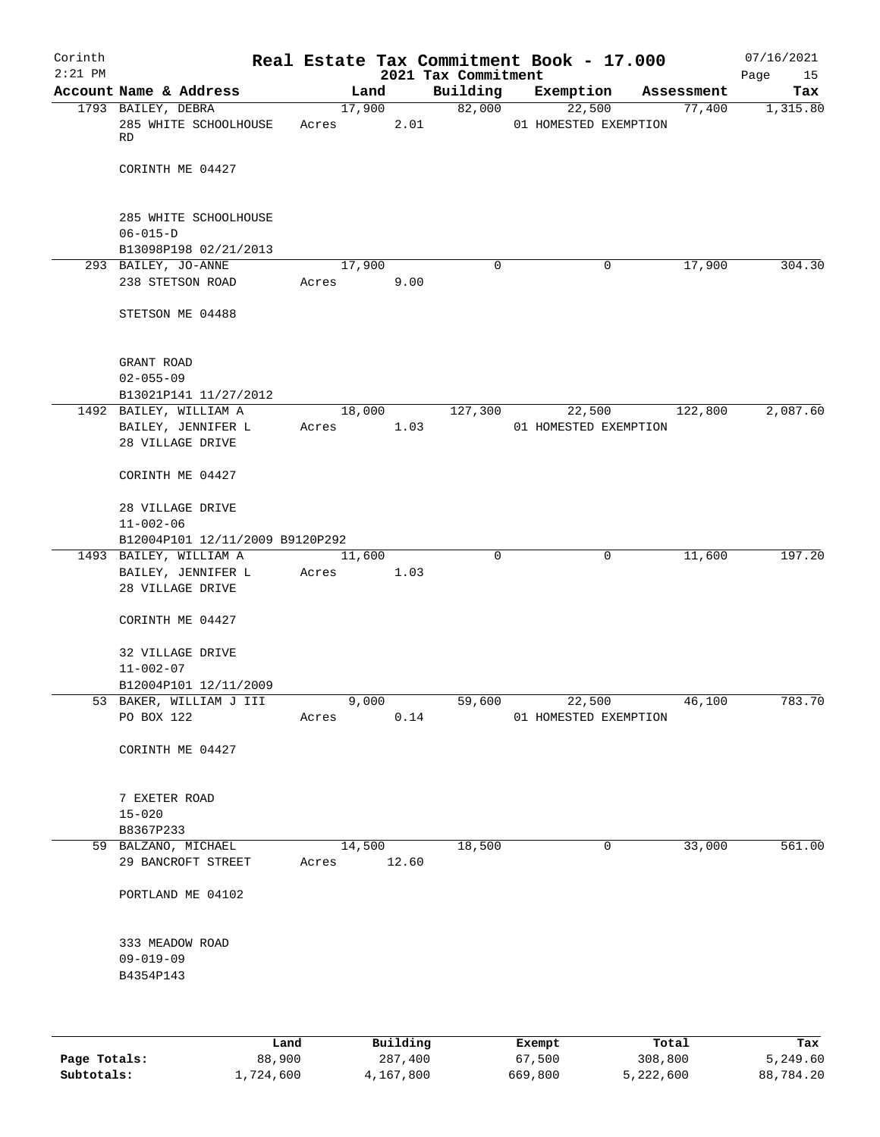| Corinth   |                                         |       |             |          |                                 | Real Estate Tax Commitment Book - 17.000 |             |                      | 07/16/2021      |
|-----------|-----------------------------------------|-------|-------------|----------|---------------------------------|------------------------------------------|-------------|----------------------|-----------------|
| $2:21$ PM | Account Name & Address                  |       | Land        |          | 2021 Tax Commitment<br>Building |                                          |             |                      | Page<br>15      |
|           | 1793 BAILEY, DEBRA                      |       | 17,900      |          | 82,000                          | Exemption<br>22,500                      |             | Assessment<br>77,400 | Tax<br>1,315.80 |
|           | 285 WHITE SCHOOLHOUSE<br>RD             | Acres |             | 2.01     |                                 | 01 HOMESTED EXEMPTION                    |             |                      |                 |
|           | CORINTH ME 04427                        |       |             |          |                                 |                                          |             |                      |                 |
|           | 285 WHITE SCHOOLHOUSE                   |       |             |          |                                 |                                          |             |                      |                 |
|           | $06 - 015 - D$<br>B13098P198 02/21/2013 |       |             |          |                                 |                                          |             |                      |                 |
|           | 293 BAILEY, JO-ANNE                     |       | 17,900      |          | $\mathbf 0$                     |                                          | $\mathbf 0$ | 17,900               | 304.30          |
|           | 238 STETSON ROAD                        | Acres |             | 9.00     |                                 |                                          |             |                      |                 |
|           | STETSON ME 04488                        |       |             |          |                                 |                                          |             |                      |                 |
|           | GRANT ROAD                              |       |             |          |                                 |                                          |             |                      |                 |
|           | $02 - 055 - 09$                         |       |             |          |                                 |                                          |             |                      |                 |
|           | B13021P141 11/27/2012                   |       |             |          |                                 |                                          |             |                      |                 |
|           | 1492 BAILEY, WILLIAM A                  |       | 18,000      |          | 127,300                         | 22,500                                   |             | 122,800              | 2,087.60        |
|           | BAILEY, JENNIFER L<br>28 VILLAGE DRIVE  | Acres |             | 1.03     |                                 | 01 HOMESTED EXEMPTION                    |             |                      |                 |
|           | CORINTH ME 04427                        |       |             |          |                                 |                                          |             |                      |                 |
|           | 28 VILLAGE DRIVE<br>$11 - 002 - 06$     |       |             |          |                                 |                                          |             |                      |                 |
|           | B12004P101 12/11/2009 B9120P292         |       |             |          |                                 |                                          |             |                      |                 |
|           | 1493 BAILEY, WILLIAM A                  |       | 11,600      |          | 0                               |                                          | 0           | 11,600               | 197.20          |
|           | BAILEY, JENNIFER L<br>28 VILLAGE DRIVE  | Acres |             | 1.03     |                                 |                                          |             |                      |                 |
|           | CORINTH ME 04427                        |       |             |          |                                 |                                          |             |                      |                 |
|           | 32 VILLAGE DRIVE<br>$11 - 002 - 07$     |       |             |          |                                 |                                          |             |                      |                 |
|           | B12004P101 12/11/2009                   |       |             |          |                                 |                                          |             |                      |                 |
|           | 53 BAKER, WILLIAM J III                 |       | 9,000       |          | 59,600                          |                                          | 22,500      | 46,100               | 783.70          |
|           | PO BOX 122                              | Acres |             | 0.14     |                                 | 01 HOMESTED EXEMPTION                    |             |                      |                 |
|           | CORINTH ME 04427                        |       |             |          |                                 |                                          |             |                      |                 |
|           | 7 EXETER ROAD                           |       |             |          |                                 |                                          |             |                      |                 |
|           | $15 - 020$                              |       |             |          |                                 |                                          |             |                      |                 |
|           | B8367P233<br>59 BALZANO, MICHAEL        |       | 14,500      |          | 18,500                          |                                          | 0           | 33,000               | 561.00          |
|           | 29 BANCROFT STREET                      |       | Acres 12.60 |          |                                 |                                          |             |                      |                 |
|           | PORTLAND ME 04102                       |       |             |          |                                 |                                          |             |                      |                 |
|           | 333 MEADOW ROAD                         |       |             |          |                                 |                                          |             |                      |                 |
|           | $09 - 019 - 09$                         |       |             |          |                                 |                                          |             |                      |                 |
|           | B4354P143                               |       |             |          |                                 |                                          |             |                      |                 |
|           |                                         |       |             |          |                                 |                                          |             |                      |                 |
|           | Land.                                   |       |             | Building |                                 | <b>Ryomnt</b>                            | $T0+a1$     |                      | Tav             |

|              | Land      | Building  | Exempt  | Total     | Tax       |
|--------------|-----------|-----------|---------|-----------|-----------|
| Page Totals: | 88,900    | 287,400   | 67,500  | 308,800   | 5,249.60  |
| Subtotals:   | 1,724,600 | 4,167,800 | 669,800 | 5,222,600 | 88,784.20 |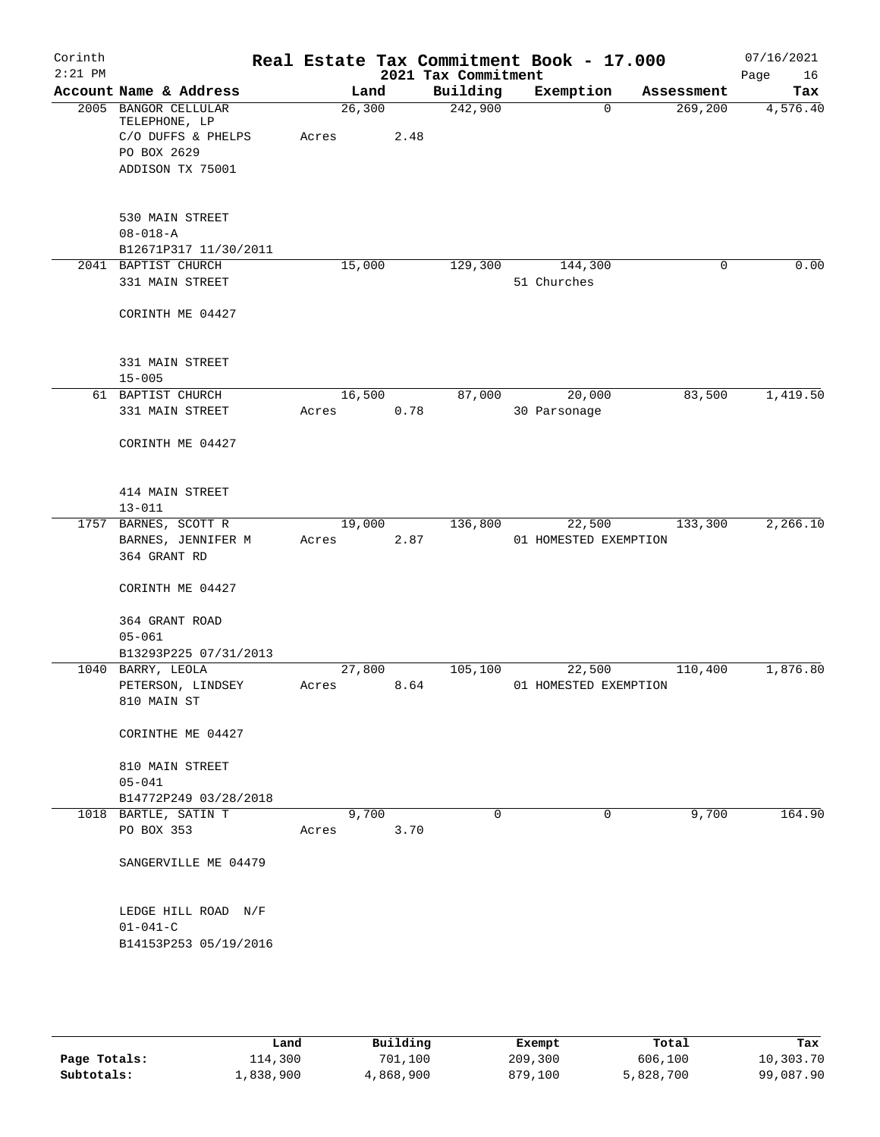| Corinth<br>$2:21$ PM |                                                                                                |                 |      | 2021 Tax Commitment | Real Estate Tax Commitment Book - 17.000 |            | 07/16/2021<br>Page<br>16 |
|----------------------|------------------------------------------------------------------------------------------------|-----------------|------|---------------------|------------------------------------------|------------|--------------------------|
|                      | Account Name & Address                                                                         | Land            |      | Building            | Exemption                                | Assessment | Tax                      |
|                      | 2005 BANGOR CELLULAR<br>TELEPHONE, LP<br>C/O DUFFS & PHELPS<br>PO BOX 2629<br>ADDISON TX 75001 | 26,300<br>Acres | 2.48 | 242,900             | $\Omega$                                 | 269,200    | 4,576.40                 |
|                      | 530 MAIN STREET<br>$08 - 018 - A$<br>B12671P317 11/30/2011                                     |                 |      |                     |                                          |            |                          |
|                      | 2041 BAPTIST CHURCH<br>331 MAIN STREET                                                         | 15,000          |      | 129,300             | 144,300<br>51 Churches                   | 0          | 0.00                     |
|                      | CORINTH ME 04427                                                                               |                 |      |                     |                                          |            |                          |
|                      | 331 MAIN STREET<br>$15 - 005$                                                                  |                 |      |                     |                                          |            |                          |
|                      | 61 BAPTIST CHURCH<br>331 MAIN STREET                                                           | 16,500<br>Acres | 0.78 | 87,000              | 20,000<br>30 Parsonage                   | 83,500     | 1,419.50                 |
|                      | CORINTH ME 04427                                                                               |                 |      |                     |                                          |            |                          |
|                      | 414 MAIN STREET<br>$13 - 011$                                                                  |                 |      |                     |                                          |            |                          |
|                      | 1757 BARNES, SCOTT R<br>BARNES, JENNIFER M<br>364 GRANT RD                                     | 19,000<br>Acres | 2.87 | 136,800             | 22,500<br>01 HOMESTED EXEMPTION          | 133,300    | 2,266.10                 |
|                      | CORINTH ME 04427                                                                               |                 |      |                     |                                          |            |                          |
|                      | 364 GRANT ROAD<br>$05 - 061$<br>B13293P225 07/31/2013                                          |                 |      |                     |                                          |            |                          |
|                      | 1040 BARRY, LEOLA<br>PETERSON, LINDSEY<br>810 MAIN ST                                          | 27,800<br>Acres | 8.64 | 105,100             | 22,500<br>01 HOMESTED EXEMPTION          | 110,400    | 1,876.80                 |
|                      | CORINTHE ME 04427                                                                              |                 |      |                     |                                          |            |                          |
|                      | 810 MAIN STREET<br>$05 - 041$                                                                  |                 |      |                     |                                          |            |                          |
|                      | B14772P249 03/28/2018                                                                          |                 |      |                     |                                          |            |                          |
|                      | 1018 BARTLE, SATIN T<br>PO BOX 353                                                             | 9,700<br>Acres  | 3.70 | $\Omega$            | 0                                        | 9,700      | 164.90                   |
|                      | SANGERVILLE ME 04479                                                                           |                 |      |                     |                                          |            |                          |
|                      | LEDGE HILL ROAD N/F<br>$01 - 041 - C$                                                          |                 |      |                     |                                          |            |                          |
|                      | B14153P253 05/19/2016                                                                          |                 |      |                     |                                          |            |                          |
|                      |                                                                                                |                 |      |                     |                                          |            |                          |
|                      |                                                                                                |                 |      |                     |                                          |            |                          |

|              | Land      | Building  | Exempt  | Total     | Tax       |
|--------------|-----------|-----------|---------|-----------|-----------|
| Page Totals: | 114,300   | 701,100   | 209,300 | 606,100   | 10,303.70 |
| Subtotals:   | 1,838,900 | 4,868,900 | 879,100 | 5,828,700 | 99,087.90 |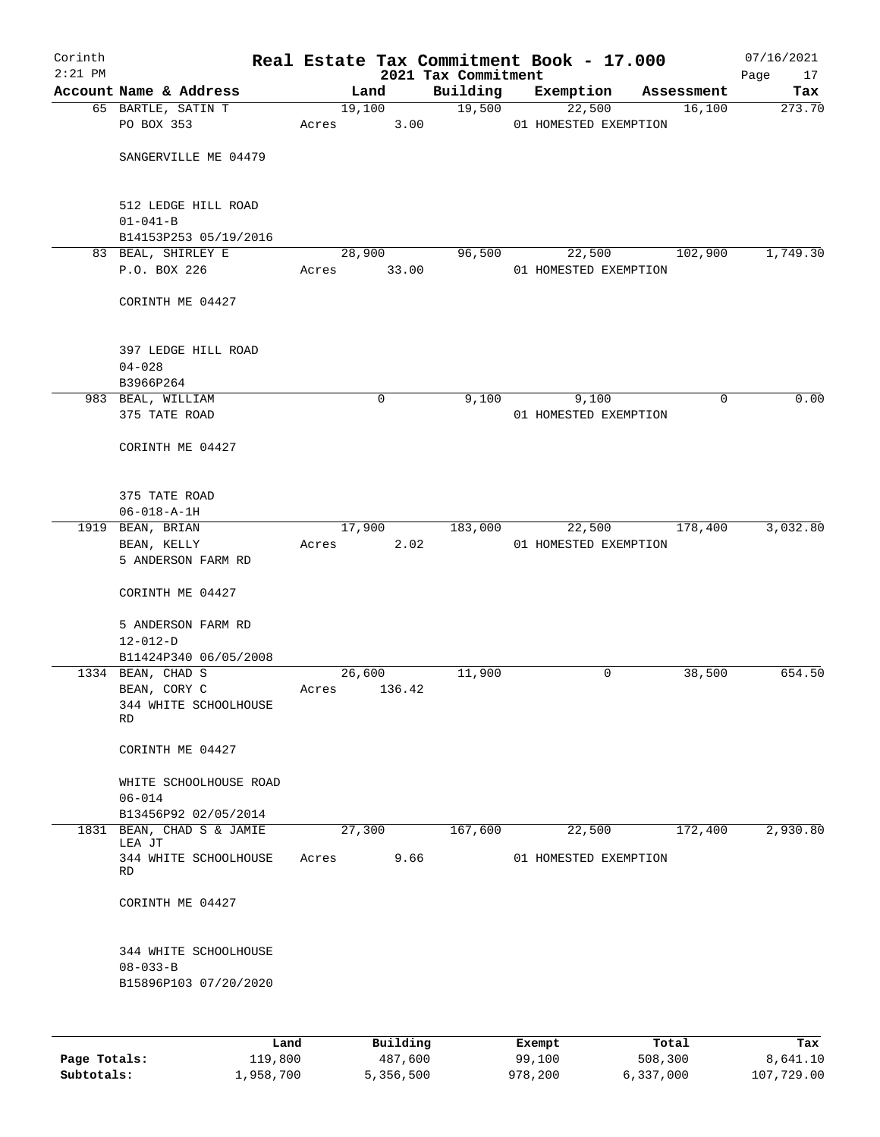| Corinth<br>$2:21$ PM |                                     |       |             | Real Estate Tax Commitment Book - 17.000<br>2021 Tax Commitment |                       |            | 07/16/2021<br>Page<br>17 |
|----------------------|-------------------------------------|-------|-------------|-----------------------------------------------------------------|-----------------------|------------|--------------------------|
|                      | Account Name & Address              |       | Land        | Building                                                        | Exemption             | Assessment | Tax                      |
|                      | 65 BARTLE, SATIN T                  |       | 19,100      | 19,500                                                          | 22,500                | 16,100     | 273.70                   |
|                      | PO BOX 353                          | Acres | 3.00        |                                                                 | 01 HOMESTED EXEMPTION |            |                          |
|                      |                                     |       |             |                                                                 |                       |            |                          |
|                      | SANGERVILLE ME 04479                |       |             |                                                                 |                       |            |                          |
|                      | 512 LEDGE HILL ROAD                 |       |             |                                                                 |                       |            |                          |
|                      | $01 - 041 - B$                      |       |             |                                                                 |                       |            |                          |
|                      | B14153P253 05/19/2016               |       |             |                                                                 |                       |            |                          |
|                      | 83 BEAL, SHIRLEY E                  |       | 28,900      | 96,500                                                          | 22,500                | 102,900    | 1,749.30                 |
|                      | P.O. BOX 226                        | Acres | 33.00       |                                                                 | 01 HOMESTED EXEMPTION |            |                          |
|                      | CORINTH ME 04427                    |       |             |                                                                 |                       |            |                          |
|                      | 397 LEDGE HILL ROAD                 |       |             |                                                                 |                       |            |                          |
|                      | $04 - 028$                          |       |             |                                                                 |                       |            |                          |
|                      | B3966P264                           |       |             |                                                                 |                       |            |                          |
|                      | 983 BEAL, WILLIAM                   |       | $\mathbf 0$ | 9,100                                                           | 9,100                 |            | 0.00<br>0                |
|                      | 375 TATE ROAD                       |       |             |                                                                 | 01 HOMESTED EXEMPTION |            |                          |
|                      | CORINTH ME 04427                    |       |             |                                                                 |                       |            |                          |
|                      | 375 TATE ROAD                       |       |             |                                                                 |                       |            |                          |
|                      | $06 - 018 - A - 1H$                 |       |             |                                                                 |                       |            |                          |
|                      | 1919 BEAN, BRIAN                    |       | 17,900      | 183,000                                                         | 22,500                | 178,400    | 3,032.80                 |
|                      | BEAN, KELLY                         | Acres | 2.02        |                                                                 | 01 HOMESTED EXEMPTION |            |                          |
|                      | 5 ANDERSON FARM RD                  |       |             |                                                                 |                       |            |                          |
|                      | CORINTH ME 04427                    |       |             |                                                                 |                       |            |                          |
|                      | 5 ANDERSON FARM RD                  |       |             |                                                                 |                       |            |                          |
|                      | $12 - 012 - D$                      |       |             |                                                                 |                       |            |                          |
|                      | B11424P340 06/05/2008               |       |             |                                                                 |                       |            |                          |
|                      | 1334 BEAN, CHAD S                   |       | 26,600      | 11,900                                                          | 0                     | 38,500     | 654.50                   |
|                      | BEAN, CORY C                        | Acres | 136.42      |                                                                 |                       |            |                          |
|                      | 344 WHITE SCHOOLHOUSE<br>RD         |       |             |                                                                 |                       |            |                          |
|                      |                                     |       |             |                                                                 |                       |            |                          |
|                      | CORINTH ME 04427                    |       |             |                                                                 |                       |            |                          |
|                      | WHITE SCHOOLHOUSE ROAD              |       |             |                                                                 |                       |            |                          |
|                      | $06 - 014$                          |       |             |                                                                 |                       |            |                          |
|                      | B13456P92 02/05/2014                |       |             |                                                                 |                       |            |                          |
|                      | 1831 BEAN, CHAD S & JAMIE<br>LEA JT |       | 27,300      | 167,600                                                         | 22,500                | 172,400    | 2,930.80                 |
|                      | 344 WHITE SCHOOLHOUSE               | Acres | 9.66        |                                                                 | 01 HOMESTED EXEMPTION |            |                          |
|                      | RD                                  |       |             |                                                                 |                       |            |                          |
|                      | CORINTH ME 04427                    |       |             |                                                                 |                       |            |                          |
|                      | 344 WHITE SCHOOLHOUSE               |       |             |                                                                 |                       |            |                          |
|                      | $08 - 033 - B$                      |       |             |                                                                 |                       |            |                          |
|                      | B15896P103 07/20/2020               |       |             |                                                                 |                       |            |                          |
|                      |                                     |       |             |                                                                 |                       |            |                          |
|                      |                                     |       |             |                                                                 |                       |            |                          |
|                      |                                     |       |             |                                                                 |                       |            |                          |

|              | Land      | Building  | Exempt  | Total     | Tax        |
|--------------|-----------|-----------|---------|-----------|------------|
| Page Totals: | 119,800   | 487,600   | 99,100  | 508,300   | 8,641.10   |
| Subtotals:   | 1,958,700 | 5,356,500 | 978,200 | 6,337,000 | 107,729.00 |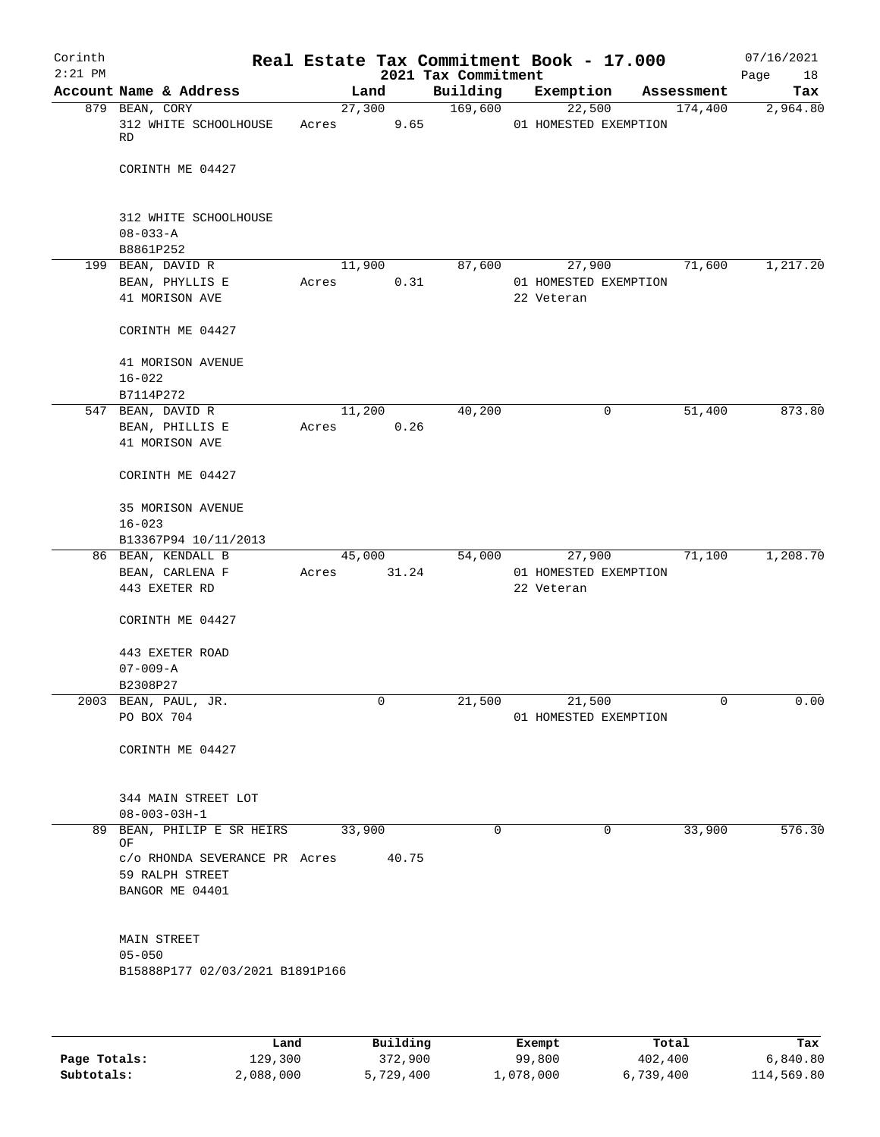| Corinth   |                                               |       |                |                     | Real Estate Tax Commitment Book - 17.000 |            | 07/16/2021 |
|-----------|-----------------------------------------------|-------|----------------|---------------------|------------------------------------------|------------|------------|
| $2:21$ PM |                                               |       |                | 2021 Tax Commitment |                                          |            | 18<br>Page |
|           | Account Name & Address                        |       | Land           | Building            | Exemption                                | Assessment | Tax        |
|           | 879 BEAN, CORY<br>312 WHITE SCHOOLHOUSE<br>RD | Acres | 27,300<br>9.65 | 169,600             | 22,500<br>01 HOMESTED EXEMPTION          | 174,400    | 2,964.80   |
|           | CORINTH ME 04427                              |       |                |                     |                                          |            |            |
|           | 312 WHITE SCHOOLHOUSE<br>$08 - 033 - A$       |       |                |                     |                                          |            |            |
|           | B8861P252                                     |       |                |                     |                                          |            |            |
|           | 199 BEAN, DAVID R                             |       | 11,900         | 87,600              | 27,900                                   | 71,600     | 1,217.20   |
|           | BEAN, PHYLLIS E<br>41 MORISON AVE             | Acres | 0.31           |                     | 01 HOMESTED EXEMPTION<br>22 Veteran      |            |            |
|           | CORINTH ME 04427                              |       |                |                     |                                          |            |            |
|           | 41 MORISON AVENUE<br>$16 - 022$               |       |                |                     |                                          |            |            |
|           | B7114P272                                     |       |                |                     |                                          |            |            |
|           | 547 BEAN, DAVID R                             |       | 11,200         | 40,200              | 0                                        | 51,400     | 873.80     |
|           | BEAN, PHILLIS E<br>41 MORISON AVE             | Acres | 0.26           |                     |                                          |            |            |
|           | CORINTH ME 04427                              |       |                |                     |                                          |            |            |
|           | 35 MORISON AVENUE<br>$16 - 023$               |       |                |                     |                                          |            |            |
|           | B13367P94 10/11/2013                          |       |                |                     |                                          |            |            |
|           | 86 BEAN, KENDALL B                            |       | 45,000         | 54,000              | 27,900                                   | 71,100     | 1,208.70   |
|           | BEAN, CARLENA F<br>443 EXETER RD              | Acres | 31.24          |                     | 01 HOMESTED EXEMPTION<br>22 Veteran      |            |            |
|           | CORINTH ME 04427                              |       |                |                     |                                          |            |            |
|           | 443 EXETER ROAD<br>$07 - 009 - A$             |       |                |                     |                                          |            |            |
|           | B2308P27                                      |       |                |                     |                                          |            |            |
|           | 2003 BEAN, PAUL, JR.                          |       | 0              | 21,500              | 21,500                                   | 0          | 0.00       |
|           | PO BOX 704                                    |       |                |                     | 01 HOMESTED EXEMPTION                    |            |            |
|           | CORINTH ME 04427                              |       |                |                     |                                          |            |            |
|           | 344 MAIN STREET LOT<br>$08 - 003 - 03H - 1$   |       |                |                     |                                          |            |            |
|           | 89 BEAN, PHILIP E SR HEIRS                    |       | 33,900         | 0                   | 0                                        | 33,900     | 576.30     |
|           | ΟF<br>c/o RHONDA SEVERANCE PR Acres           |       | 40.75          |                     |                                          |            |            |
|           | 59 RALPH STREET<br>BANGOR ME 04401            |       |                |                     |                                          |            |            |
|           | MAIN STREET                                   |       |                |                     |                                          |            |            |
|           | $05 - 050$                                    |       |                |                     |                                          |            |            |
|           | B15888P177 02/03/2021 B1891P166               |       |                |                     |                                          |            |            |
|           |                                               |       |                |                     |                                          |            |            |
|           |                                               |       |                |                     |                                          |            |            |

|              | Land      | Building  | Exempt    | Total     | Tax        |
|--------------|-----------|-----------|-----------|-----------|------------|
| Page Totals: | 129,300   | 372,900   | 99,800    | 402,400   | 6,840.80   |
| Subtotals:   | 2,088,000 | 5,729,400 | 1,078,000 | 6,739,400 | 114,569.80 |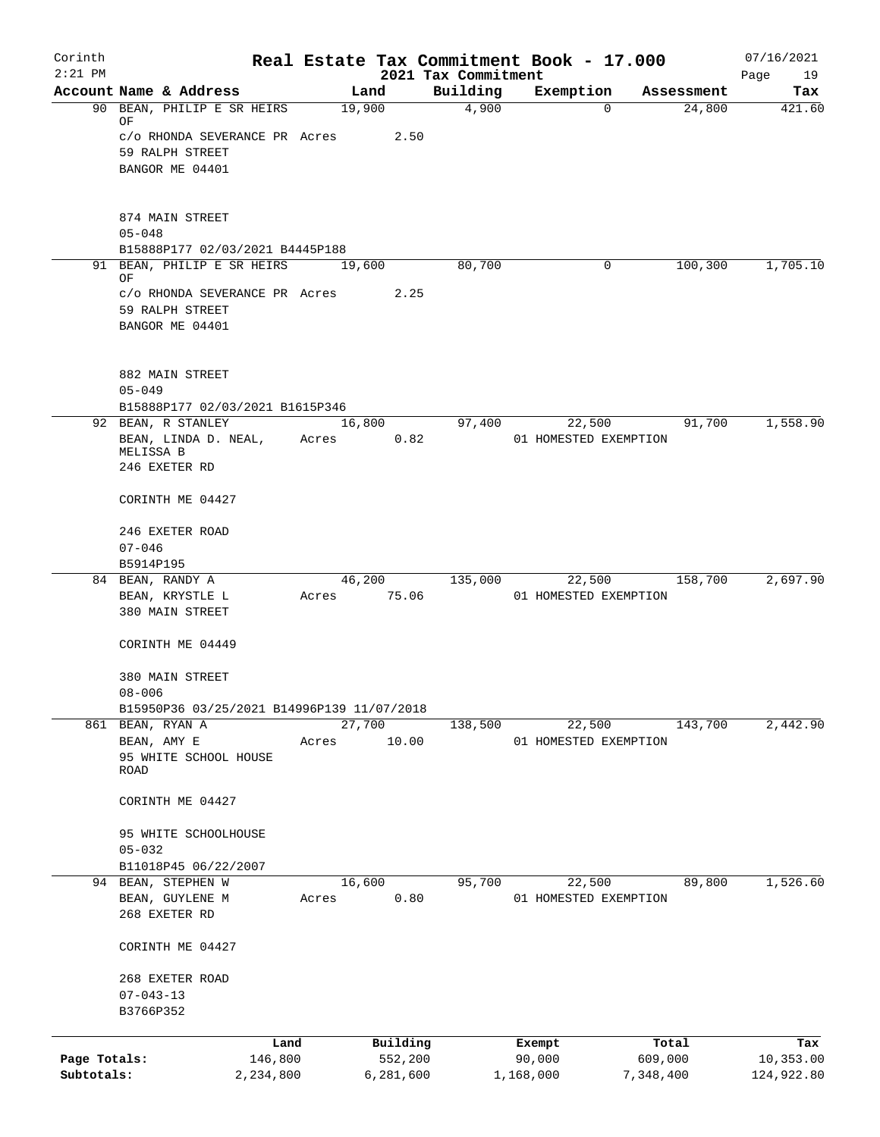| Corinth      |                                                          |                 |           |                                 | Real Estate Tax Commitment Book - 17.000 |            | 07/16/2021        |
|--------------|----------------------------------------------------------|-----------------|-----------|---------------------------------|------------------------------------------|------------|-------------------|
| $2:21$ PM    | Account Name & Address                                   |                 | Land      | 2021 Tax Commitment<br>Building | Exemption                                | Assessment | Page<br>19<br>Tax |
|              | 90 BEAN, PHILIP E SR HEIRS                               | 19,900          |           | 4,900                           | $\Omega$                                 | 24,800     | 421.60            |
|              | ΟF                                                       |                 |           |                                 |                                          |            |                   |
|              | c/o RHONDA SEVERANCE PR Acres                            |                 | 2.50      |                                 |                                          |            |                   |
|              | 59 RALPH STREET                                          |                 |           |                                 |                                          |            |                   |
|              | BANGOR ME 04401                                          |                 |           |                                 |                                          |            |                   |
|              |                                                          |                 |           |                                 |                                          |            |                   |
|              | 874 MAIN STREET                                          |                 |           |                                 |                                          |            |                   |
|              | $05 - 048$<br>B15888P177 02/03/2021 B4445P188            |                 |           |                                 |                                          |            |                   |
|              | 91 BEAN, PHILIP E SR HEIRS                               | 19,600          |           | 80,700                          | $\mathbf 0$                              | 100,300    | 1,705.10          |
|              | ΟF                                                       |                 |           |                                 |                                          |            |                   |
|              | c/o RHONDA SEVERANCE PR Acres<br>59 RALPH STREET         |                 | 2.25      |                                 |                                          |            |                   |
|              | BANGOR ME 04401                                          |                 |           |                                 |                                          |            |                   |
|              |                                                          |                 |           |                                 |                                          |            |                   |
|              | 882 MAIN STREET                                          |                 |           |                                 |                                          |            |                   |
|              | $05 - 049$                                               |                 |           |                                 |                                          |            |                   |
|              | B15888P177 02/03/2021 B1615P346                          |                 |           |                                 |                                          |            |                   |
|              | 92 BEAN, R STANLEY                                       | 16,800          |           | 97,400                          | 22,500                                   | 91,700     | 1,558.90          |
|              | BEAN, LINDA D. NEAL,                                     | Acres           | 0.82      |                                 | 01 HOMESTED EXEMPTION                    |            |                   |
|              | MELISSA B<br>246 EXETER RD                               |                 |           |                                 |                                          |            |                   |
|              |                                                          |                 |           |                                 |                                          |            |                   |
|              | CORINTH ME 04427                                         |                 |           |                                 |                                          |            |                   |
|              | 246 EXETER ROAD                                          |                 |           |                                 |                                          |            |                   |
|              | $07 - 046$                                               |                 |           |                                 |                                          |            |                   |
|              | B5914P195                                                |                 |           | 135,000                         |                                          |            | 2,697.90          |
|              | 84 BEAN, RANDY A<br>BEAN, KRYSTLE L                      | 46,200<br>Acres | 75.06     |                                 | 22,500<br>01 HOMESTED EXEMPTION          | 158,700    |                   |
|              | 380 MAIN STREET                                          |                 |           |                                 |                                          |            |                   |
|              | CORINTH ME 04449                                         |                 |           |                                 |                                          |            |                   |
|              |                                                          |                 |           |                                 |                                          |            |                   |
|              | 380 MAIN STREET                                          |                 |           |                                 |                                          |            |                   |
|              | $08 - 006$<br>B15950P36 03/25/2021 B14996P139 11/07/2018 |                 |           |                                 |                                          |            |                   |
|              | 861 BEAN, RYAN A                                         | 27,700          |           | 138,500                         | 22,500                                   | 143,700    | 2,442.90          |
|              | BEAN, AMY E                                              | Acres           | 10.00     |                                 | 01 HOMESTED EXEMPTION                    |            |                   |
|              | 95 WHITE SCHOOL HOUSE                                    |                 |           |                                 |                                          |            |                   |
|              | ROAD                                                     |                 |           |                                 |                                          |            |                   |
|              | CORINTH ME 04427                                         |                 |           |                                 |                                          |            |                   |
|              | 95 WHITE SCHOOLHOUSE                                     |                 |           |                                 |                                          |            |                   |
|              | $05 - 032$                                               |                 |           |                                 |                                          |            |                   |
|              | B11018P45 06/22/2007                                     |                 |           |                                 |                                          |            |                   |
|              | 94 BEAN, STEPHEN W                                       | 16,600          |           | 95,700                          | 22,500                                   | 89,800     | 1,526.60          |
|              | BEAN, GUYLENE M                                          | Acres           | 0.80      |                                 | 01 HOMESTED EXEMPTION                    |            |                   |
|              | 268 EXETER RD                                            |                 |           |                                 |                                          |            |                   |
|              | CORINTH ME 04427                                         |                 |           |                                 |                                          |            |                   |
|              | 268 EXETER ROAD                                          |                 |           |                                 |                                          |            |                   |
|              | $07 - 043 - 13$                                          |                 |           |                                 |                                          |            |                   |
|              | B3766P352                                                |                 |           |                                 |                                          |            |                   |
|              | Land                                                     |                 | Building  |                                 | Exempt                                   | Total      | Tax               |
| Page Totals: | 146,800                                                  |                 | 552,200   |                                 | 90,000                                   | 609,000    | 10,353.00         |
| Subtotals:   | 2,234,800                                                |                 | 6,281,600 |                                 | 1,168,000                                | 7,348,400  | 124,922.80        |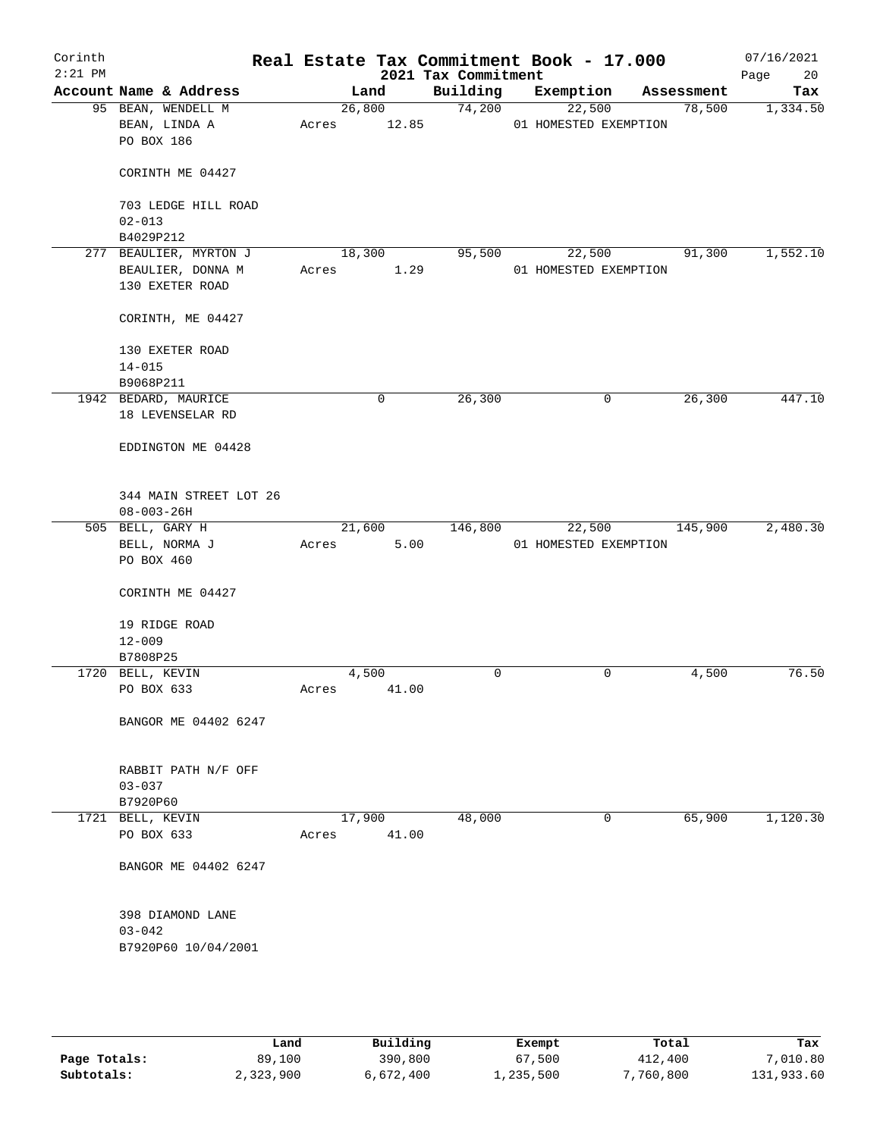| Corinth<br>$2:21$ PM |                                                   |                          | 2021 Tax Commitment | Real Estate Tax Commitment Book - 17.000 |            | 07/16/2021<br>20<br>Page |
|----------------------|---------------------------------------------------|--------------------------|---------------------|------------------------------------------|------------|--------------------------|
|                      | Account Name & Address                            | Land                     | Building            | Exemption                                | Assessment | Tax                      |
|                      | 95 BEAN, WENDELL M<br>BEAN, LINDA A<br>PO BOX 186 | 26,800<br>12.85<br>Acres | 74,200              | 22,500<br>01 HOMESTED EXEMPTION          | 78,500     | 1,334.50                 |
|                      | CORINTH ME 04427                                  |                          |                     |                                          |            |                          |
|                      | 703 LEDGE HILL ROAD<br>$02 - 013$                 |                          |                     |                                          |            |                          |
|                      | B4029P212<br>277 BEAULIER, MYRTON J               |                          |                     |                                          | 91,300     |                          |
|                      | BEAULIER, DONNA M<br>130 EXETER ROAD              | 18,300<br>1.29<br>Acres  | 95,500              | 22,500<br>01 HOMESTED EXEMPTION          |            | 1,552.10                 |
|                      | CORINTH, ME 04427                                 |                          |                     |                                          |            |                          |
|                      | 130 EXETER ROAD<br>$14 - 015$                     |                          |                     |                                          |            |                          |
|                      | B9068P211                                         |                          |                     |                                          |            |                          |
|                      | 1942 BEDARD, MAURICE<br>18 LEVENSELAR RD          | $\mathbf 0$              | 26,300              | 0                                        | 26,300     | 447.10                   |
|                      | EDDINGTON ME 04428                                |                          |                     |                                          |            |                          |
|                      | 344 MAIN STREET LOT 26<br>$08 - 003 - 26H$        |                          |                     |                                          |            |                          |
|                      | 505 BELL, GARY H                                  | 21,600                   | 146,800             | 22,500                                   | 145,900    | 2,480.30                 |
|                      | BELL, NORMA J<br>PO BOX 460                       | Acres<br>5.00            |                     | 01 HOMESTED EXEMPTION                    |            |                          |
|                      | CORINTH ME 04427                                  |                          |                     |                                          |            |                          |
|                      | 19 RIDGE ROAD                                     |                          |                     |                                          |            |                          |
|                      | $12 - 009$                                        |                          |                     |                                          |            |                          |
|                      | B7808P25                                          |                          |                     |                                          |            |                          |
|                      | 1720 BELL, KEVIN                                  | 4,500                    | 0                   | 0                                        | 4,500      | 76.50                    |
|                      | PO BOX 633                                        | Acres<br>41.00           |                     |                                          |            |                          |
|                      | BANGOR ME 04402 6247                              |                          |                     |                                          |            |                          |
|                      | RABBIT PATH N/F OFF<br>$03 - 037$                 |                          |                     |                                          |            |                          |
|                      | B7920P60                                          |                          |                     |                                          |            |                          |
|                      | 1721 BELL, KEVIN<br>PO BOX 633                    | 17,900<br>41.00<br>Acres | 48,000              | 0                                        | 65,900     | 1,120.30                 |
|                      | BANGOR ME 04402 6247                              |                          |                     |                                          |            |                          |
|                      | 398 DIAMOND LANE<br>$03 - 042$                    |                          |                     |                                          |            |                          |
|                      | B7920P60 10/04/2001                               |                          |                     |                                          |            |                          |
|                      |                                                   |                          |                     |                                          |            |                          |

|              | Land      | Building  | Exempt    | Total     | Tax        |
|--------------|-----------|-----------|-----------|-----------|------------|
| Page Totals: | 89,100    | 390,800   | 67,500    | 412,400   | 7,010.80   |
| Subtotals:   | 2,323,900 | 6,672,400 | ⊥,235,500 | 7,760,800 | 131,933.60 |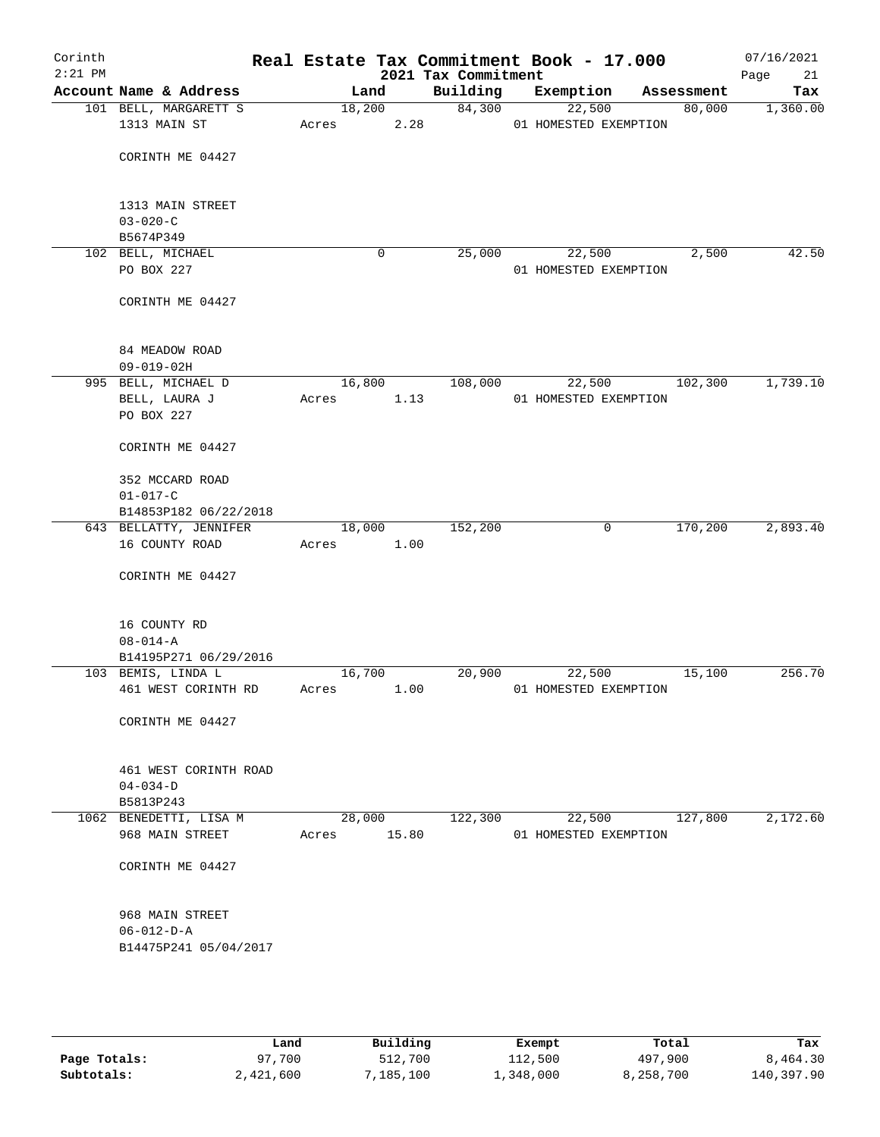| Corinth<br>$2:21$ PM |                                           |       |        |             | 2021 Tax Commitment | Real Estate Tax Commitment Book - 17.000 |            | 07/16/2021<br>Page<br>21 |
|----------------------|-------------------------------------------|-------|--------|-------------|---------------------|------------------------------------------|------------|--------------------------|
|                      | Account Name & Address                    |       | Land   |             | Building            | Exemption                                | Assessment | Tax                      |
|                      | 101 BELL, MARGARETT S                     |       | 18,200 |             | 84,300              | 22,500                                   | 80,000     | 1,360.00                 |
|                      | 1313 MAIN ST                              | Acres |        | 2.28        |                     | 01 HOMESTED EXEMPTION                    |            |                          |
|                      |                                           |       |        |             |                     |                                          |            |                          |
|                      | CORINTH ME 04427                          |       |        |             |                     |                                          |            |                          |
|                      |                                           |       |        |             |                     |                                          |            |                          |
|                      | 1313 MAIN STREET                          |       |        |             |                     |                                          |            |                          |
|                      | $03 - 020 - C$                            |       |        |             |                     |                                          |            |                          |
|                      | B5674P349<br>102 BELL, MICHAEL            |       |        | 0           | 25,000              | 22,500                                   | 2,500      | 42.50                    |
|                      | PO BOX 227                                |       |        |             |                     | 01 HOMESTED EXEMPTION                    |            |                          |
|                      |                                           |       |        |             |                     |                                          |            |                          |
|                      | CORINTH ME 04427                          |       |        |             |                     |                                          |            |                          |
|                      |                                           |       |        |             |                     |                                          |            |                          |
|                      | 84 MEADOW ROAD                            |       |        |             |                     |                                          |            |                          |
|                      | $09 - 019 - 02H$                          |       |        |             |                     |                                          |            |                          |
|                      | 995 BELL, MICHAEL D                       |       | 16,800 |             | 108,000             | 22,500                                   | 102,300    | 1,739.10                 |
|                      | BELL, LAURA J                             | Acres |        | 1.13        |                     | 01 HOMESTED EXEMPTION                    |            |                          |
|                      | PO BOX 227                                |       |        |             |                     |                                          |            |                          |
|                      | CORINTH ME 04427                          |       |        |             |                     |                                          |            |                          |
|                      |                                           |       |        |             |                     |                                          |            |                          |
|                      | 352 MCCARD ROAD                           |       |        |             |                     |                                          |            |                          |
|                      | $01 - 017 - C$                            |       |        |             |                     |                                          |            |                          |
|                      | B14853P182 06/22/2018                     |       |        |             |                     |                                          |            |                          |
|                      | 643 BELLATTY, JENNIFER<br>16 COUNTY ROAD  | Acres | 18,000 | 1.00        | 152,200             | 0                                        | 170,200    | 2,893.40                 |
|                      |                                           |       |        |             |                     |                                          |            |                          |
|                      | CORINTH ME 04427                          |       |        |             |                     |                                          |            |                          |
|                      |                                           |       |        |             |                     |                                          |            |                          |
|                      |                                           |       |        |             |                     |                                          |            |                          |
|                      | 16 COUNTY RD<br>$08 - 014 - A$            |       |        |             |                     |                                          |            |                          |
|                      | B14195P271 06/29/2016                     |       |        |             |                     |                                          |            |                          |
|                      | 103 BEMIS, LINDA L                        |       | 16,700 |             | 20,900              | 22,500                                   | 15,100     | 256.70                   |
|                      | 461 WEST CORINTH RD                       | Acres |        | 1.00        |                     | 01 HOMESTED EXEMPTION                    |            |                          |
|                      |                                           |       |        |             |                     |                                          |            |                          |
|                      | CORINTH ME 04427                          |       |        |             |                     |                                          |            |                          |
|                      |                                           |       |        |             |                     |                                          |            |                          |
|                      | 461 WEST CORINTH ROAD                     |       |        |             |                     |                                          |            |                          |
|                      | $04 - 034 - D$                            |       |        |             |                     |                                          |            |                          |
|                      | B5813P243                                 |       | 28,000 |             |                     |                                          |            |                          |
|                      | 1062 BENEDETTI, LISA M<br>968 MAIN STREET |       |        | Acres 15.80 | 122,300             | 22,500<br>01 HOMESTED EXEMPTION          | 127,800    | 2,172.60                 |
|                      |                                           |       |        |             |                     |                                          |            |                          |
|                      | CORINTH ME 04427                          |       |        |             |                     |                                          |            |                          |
|                      |                                           |       |        |             |                     |                                          |            |                          |
|                      | 968 MAIN STREET                           |       |        |             |                     |                                          |            |                          |
|                      | $06 - 012 - D - A$                        |       |        |             |                     |                                          |            |                          |
|                      | B14475P241 05/04/2017                     |       |        |             |                     |                                          |            |                          |
|                      |                                           |       |        |             |                     |                                          |            |                          |
|                      |                                           |       |        |             |                     |                                          |            |                          |
|                      |                                           |       |        |             |                     |                                          |            |                          |
|                      |                                           |       |        |             |                     |                                          |            |                          |

|              | Land      | Building | Exempt    | Total     | Tax        |
|--------------|-----------|----------|-----------|-----------|------------|
| Page Totals: | 97,700    | 512,700  | 112,500   | 497,900   | 8,464.30   |
| Subtotals:   | 2,421,600 | 185,100, | 1,348,000 | 8,258,700 | 140,397.90 |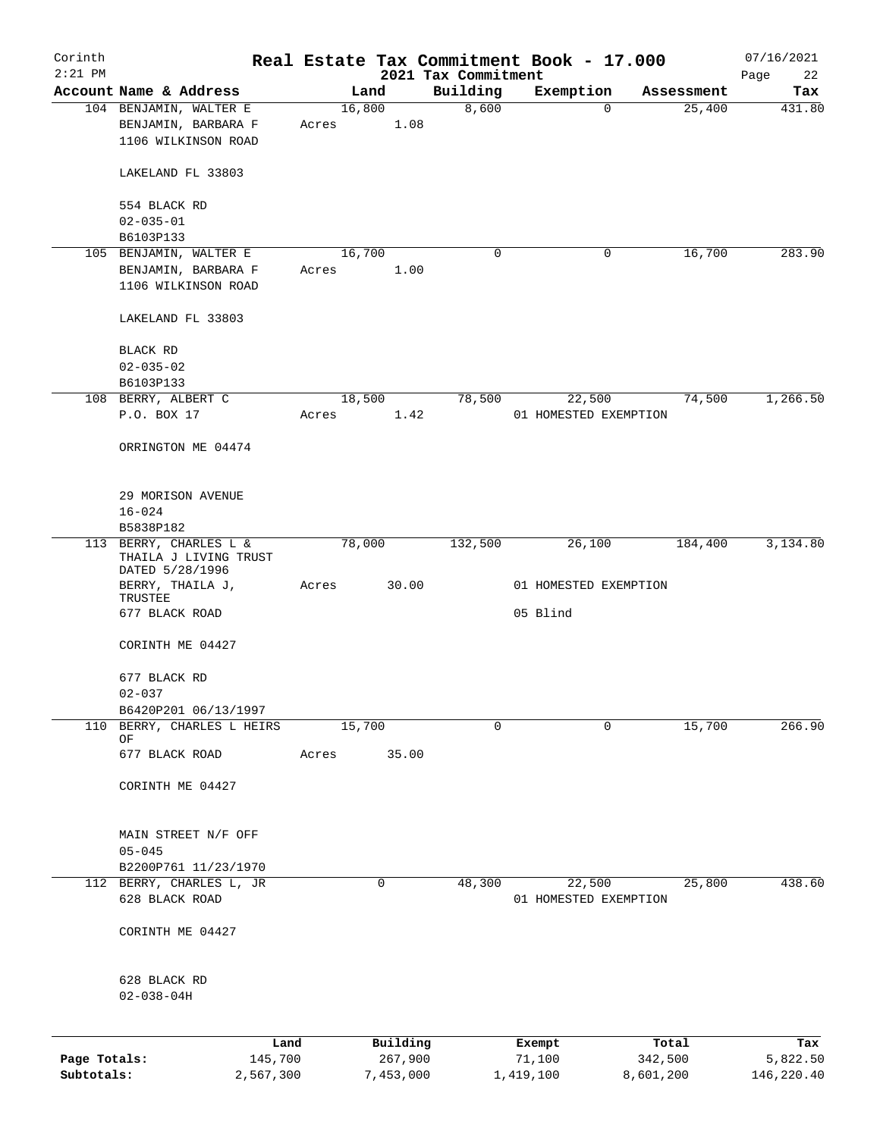| Corinth      |                                                                    |           |       |                |           | Real Estate Tax Commitment Book - 17.000 |           |                       |             |                      | 07/16/2021    |
|--------------|--------------------------------------------------------------------|-----------|-------|----------------|-----------|------------------------------------------|-----------|-----------------------|-------------|----------------------|---------------|
| $2:21$ PM    |                                                                    |           |       |                |           | 2021 Tax Commitment                      |           |                       |             |                      | Page<br>22    |
|              | Account Name & Address                                             |           |       | Land<br>16,800 |           | Building<br>8,600                        |           | Exemption             | $\mathbf 0$ | Assessment<br>25,400 | Tax<br>431.80 |
|              | 104 BENJAMIN, WALTER E<br>BENJAMIN, BARBARA F                      |           | Acres |                | 1.08      |                                          |           |                       |             |                      |               |
|              | 1106 WILKINSON ROAD                                                |           |       |                |           |                                          |           |                       |             |                      |               |
|              | LAKELAND FL 33803                                                  |           |       |                |           |                                          |           |                       |             |                      |               |
|              | 554 BLACK RD                                                       |           |       |                |           |                                          |           |                       |             |                      |               |
|              | $02 - 035 - 01$                                                    |           |       |                |           |                                          |           |                       |             |                      |               |
|              | B6103P133                                                          |           |       |                |           |                                          |           |                       |             |                      |               |
|              | 105 BENJAMIN, WALTER E<br>BENJAMIN, BARBARA F                      |           |       | 16,700         | 1.00      | 0                                        |           |                       | 0           | 16,700               | 283.90        |
|              | 1106 WILKINSON ROAD                                                |           | Acres |                |           |                                          |           |                       |             |                      |               |
|              | LAKELAND FL 33803                                                  |           |       |                |           |                                          |           |                       |             |                      |               |
|              | BLACK RD                                                           |           |       |                |           |                                          |           |                       |             |                      |               |
|              | $02 - 035 - 02$                                                    |           |       |                |           |                                          |           |                       |             |                      |               |
|              | B6103P133                                                          |           |       |                |           |                                          |           |                       |             |                      |               |
|              | 108 BERRY, ALBERT C                                                |           |       | 18,500         |           | 78,500                                   |           | 22,500                |             | 74,500               | 1,266.50      |
|              | P.O. BOX 17                                                        |           | Acres |                | 1.42      |                                          |           | 01 HOMESTED EXEMPTION |             |                      |               |
|              | ORRINGTON ME 04474                                                 |           |       |                |           |                                          |           |                       |             |                      |               |
|              | 29 MORISON AVENUE                                                  |           |       |                |           |                                          |           |                       |             |                      |               |
|              | $16 - 024$                                                         |           |       |                |           |                                          |           |                       |             |                      |               |
|              | B5838P182                                                          |           |       |                |           |                                          |           |                       |             |                      |               |
|              | 113 BERRY, CHARLES L &<br>THAILA J LIVING TRUST<br>DATED 5/28/1996 |           |       | 78,000         |           | 132,500                                  |           | 26,100                |             | 184,400              | 3,134.80      |
|              | BERRY, THAILA J,<br>TRUSTEE                                        |           | Acres |                | 30.00     |                                          |           | 01 HOMESTED EXEMPTION |             |                      |               |
|              | 677 BLACK ROAD                                                     |           |       |                |           |                                          |           | 05 Blind              |             |                      |               |
|              | CORINTH ME 04427                                                   |           |       |                |           |                                          |           |                       |             |                      |               |
|              | 677 BLACK RD                                                       |           |       |                |           |                                          |           |                       |             |                      |               |
|              | $02 - 037$                                                         |           |       |                |           |                                          |           |                       |             |                      |               |
| 110          | B6420P201 06/13/1997                                               |           |       | 15,700         |           | 0                                        |           |                       | $\Omega$    | 15,700               | 266.90        |
|              | BERRY, CHARLES L HEIRS<br>OF                                       |           |       |                |           |                                          |           |                       |             |                      |               |
|              | 677 BLACK ROAD                                                     |           | Acres |                | 35.00     |                                          |           |                       |             |                      |               |
|              | CORINTH ME 04427                                                   |           |       |                |           |                                          |           |                       |             |                      |               |
|              | MAIN STREET N/F OFF                                                |           |       |                |           |                                          |           |                       |             |                      |               |
|              | $05 - 045$                                                         |           |       |                |           |                                          |           |                       |             |                      |               |
|              | B2200P761 11/23/1970                                               |           |       |                |           |                                          |           |                       |             |                      |               |
|              | 112 BERRY, CHARLES L, JR                                           |           |       |                | 0         | 48,300                                   |           | 22,500                |             | 25,800               | 438.60        |
|              | 628 BLACK ROAD                                                     |           |       |                |           |                                          |           | 01 HOMESTED EXEMPTION |             |                      |               |
|              | CORINTH ME 04427                                                   |           |       |                |           |                                          |           |                       |             |                      |               |
|              | 628 BLACK RD<br>$02 - 038 - 04H$                                   |           |       |                |           |                                          |           |                       |             |                      |               |
|              |                                                                    | Land      |       |                | Building  |                                          |           | Exempt                |             | Total                | Tax           |
| Page Totals: |                                                                    | 145,700   |       |                | 267,900   |                                          |           | 71,100                | 342,500     |                      | 5,822.50      |
| Subtotals:   |                                                                    | 2,567,300 |       |                | 7,453,000 |                                          | 1,419,100 |                       | 8,601,200   |                      | 146,220.40    |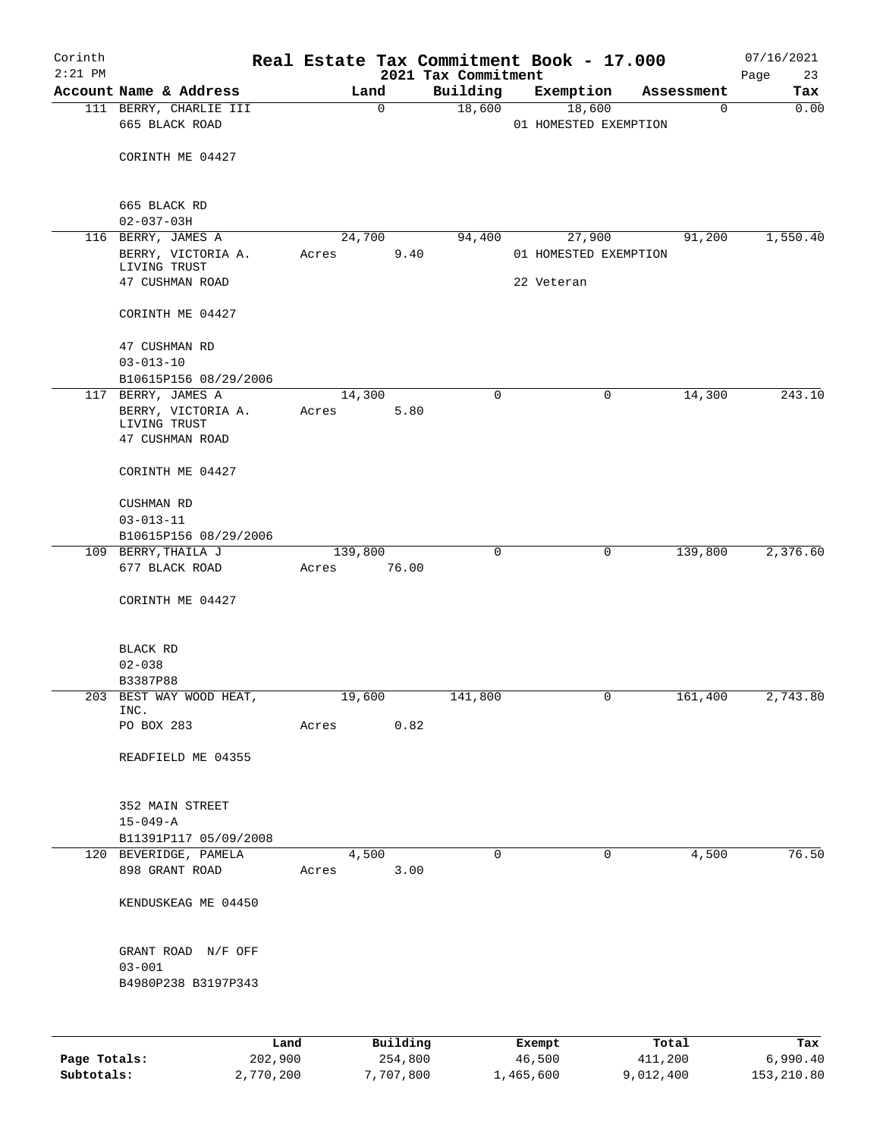| Corinth<br>$2:21$ PM |                                                          |       |                  | Real Estate Tax Commitment Book - 17.000 |                       |        |             | 07/16/2021        |
|----------------------|----------------------------------------------------------|-------|------------------|------------------------------------------|-----------------------|--------|-------------|-------------------|
|                      | Account Name & Address                                   |       | Land             | 2021 Tax Commitment<br>Building          | Exemption             |        | Assessment  | 23<br>Page<br>Tax |
|                      | 111 BERRY, CHARLIE III                                   |       | $\mathbf 0$      | 18,600                                   |                       | 18,600 | $\mathbf 0$ | 0.00              |
|                      | 665 BLACK ROAD                                           |       |                  |                                          | 01 HOMESTED EXEMPTION |        |             |                   |
|                      | CORINTH ME 04427                                         |       |                  |                                          |                       |        |             |                   |
|                      | 665 BLACK RD                                             |       |                  |                                          |                       |        |             |                   |
|                      | $02 - 037 - 03H$                                         |       |                  |                                          |                       |        |             |                   |
|                      | 116 BERRY, JAMES A<br>BERRY, VICTORIA A.<br>LIVING TRUST | Acres | 24,700<br>9.40   | 94,400                                   | 01 HOMESTED EXEMPTION | 27,900 | 91,200      | 1,550.40          |
|                      | 47 CUSHMAN ROAD                                          |       |                  |                                          | 22 Veteran            |        |             |                   |
|                      | CORINTH ME 04427                                         |       |                  |                                          |                       |        |             |                   |
|                      | 47 CUSHMAN RD<br>$03 - 013 - 10$                         |       |                  |                                          |                       |        |             |                   |
|                      | B10615P156 08/29/2006                                    |       |                  |                                          |                       |        |             |                   |
|                      | 117 BERRY, JAMES A                                       |       | 14,300           | 0                                        |                       | 0      | 14,300      | 243.10            |
|                      | BERRY, VICTORIA A.                                       | Acres | 5.80             |                                          |                       |        |             |                   |
|                      | LIVING TRUST<br>47 CUSHMAN ROAD                          |       |                  |                                          |                       |        |             |                   |
|                      | CORINTH ME 04427                                         |       |                  |                                          |                       |        |             |                   |
|                      | CUSHMAN RD                                               |       |                  |                                          |                       |        |             |                   |
|                      | $03 - 013 - 11$                                          |       |                  |                                          |                       |        |             |                   |
|                      | B10615P156 08/29/2006                                    |       |                  |                                          |                       |        |             |                   |
|                      | 109 BERRY, THAILA J<br>677 BLACK ROAD                    | Acres | 139,800<br>76.00 | 0                                        |                       | 0      | 139,800     | 2,376.60          |
|                      | CORINTH ME 04427                                         |       |                  |                                          |                       |        |             |                   |
|                      | BLACK RD                                                 |       |                  |                                          |                       |        |             |                   |
|                      | $02 - 038$                                               |       |                  |                                          |                       |        |             |                   |
|                      | B3387P88                                                 |       |                  |                                          |                       |        |             |                   |
|                      | 203 BEST WAY WOOD HEAT,<br>INC.                          |       | 19,600           | 141,800                                  |                       | 0      | 161,400     | 2,743.80          |
|                      | PO BOX 283                                               | Acres | 0.82             |                                          |                       |        |             |                   |
|                      | READFIELD ME 04355                                       |       |                  |                                          |                       |        |             |                   |
|                      |                                                          |       |                  |                                          |                       |        |             |                   |
|                      | 352 MAIN STREET                                          |       |                  |                                          |                       |        |             |                   |
|                      | $15 - 049 - A$                                           |       |                  |                                          |                       |        |             |                   |
|                      | B11391P117 05/09/2008                                    |       |                  |                                          |                       |        |             |                   |
|                      | 120 BEVERIDGE, PAMELA<br>898 GRANT ROAD                  | Acres | 4,500<br>3.00    | 0                                        |                       | 0      | 4,500       | 76.50             |
|                      | KENDUSKEAG ME 04450                                      |       |                  |                                          |                       |        |             |                   |
|                      |                                                          |       |                  |                                          |                       |        |             |                   |
|                      | GRANT ROAD N/F OFF                                       |       |                  |                                          |                       |        |             |                   |
|                      | $03 - 001$<br>B4980P238 B3197P343                        |       |                  |                                          |                       |        |             |                   |
|                      |                                                          |       |                  |                                          |                       |        |             |                   |
|                      |                                                          | Land  | Building         |                                          | Exempt                |        | Total       | Tax               |
| Page Totals:         | 202,900                                                  |       | 254,800          |                                          | 46,500                |        | 411,200     | 6,990.40          |
| Subtotals:           | 2,770,200                                                |       | 7,707,800        |                                          | 1,465,600             |        | 9,012,400   | 153,210.80        |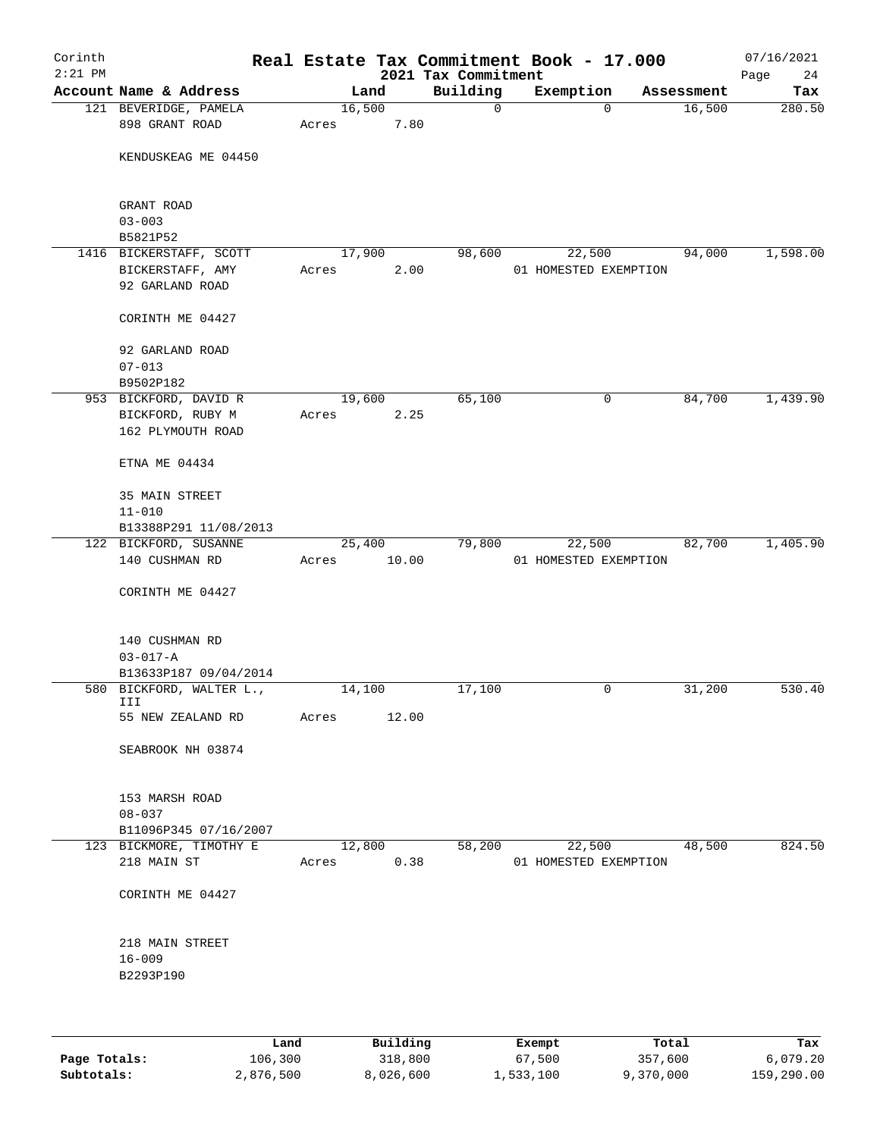| Corinth<br>$2:21$ PM |                                         |       |        |       |                                 | Real Estate Tax Commitment Book - 17.000 |             |            | 07/16/2021        |
|----------------------|-----------------------------------------|-------|--------|-------|---------------------------------|------------------------------------------|-------------|------------|-------------------|
|                      | Account Name & Address                  |       | Land   |       | 2021 Tax Commitment<br>Building | Exemption                                |             | Assessment | 24<br>Page<br>Tax |
|                      | 121 BEVERIDGE, PAMELA                   |       | 16,500 |       | $\mathbf 0$                     |                                          | $\mathbf 0$ | 16,500     | 280.50            |
|                      | 898 GRANT ROAD                          | Acres |        | 7.80  |                                 |                                          |             |            |                   |
|                      | KENDUSKEAG ME 04450                     |       |        |       |                                 |                                          |             |            |                   |
|                      | GRANT ROAD<br>$03 - 003$                |       |        |       |                                 |                                          |             |            |                   |
|                      | B5821P52                                |       |        |       |                                 |                                          |             |            |                   |
|                      | 1416 BICKERSTAFF, SCOTT                 |       | 17,900 |       | 98,600                          | 22,500                                   |             | 94,000     | 1,598.00          |
|                      | BICKERSTAFF, AMY                        | Acres |        | 2.00  |                                 | 01 HOMESTED EXEMPTION                    |             |            |                   |
|                      | 92 GARLAND ROAD                         |       |        |       |                                 |                                          |             |            |                   |
|                      | CORINTH ME 04427                        |       |        |       |                                 |                                          |             |            |                   |
|                      | 92 GARLAND ROAD                         |       |        |       |                                 |                                          |             |            |                   |
|                      | $07 - 013$                              |       |        |       |                                 |                                          |             |            |                   |
|                      | B9502P182                               |       |        |       |                                 |                                          |             |            |                   |
|                      | 953 BICKFORD, DAVID R                   |       | 19,600 |       | 65,100                          |                                          | 0           | 84,700     | 1,439.90          |
|                      | BICKFORD, RUBY M                        | Acres |        | 2.25  |                                 |                                          |             |            |                   |
|                      | 162 PLYMOUTH ROAD                       |       |        |       |                                 |                                          |             |            |                   |
|                      | ETNA ME 04434                           |       |        |       |                                 |                                          |             |            |                   |
|                      | 35 MAIN STREET                          |       |        |       |                                 |                                          |             |            |                   |
|                      | $11 - 010$                              |       |        |       |                                 |                                          |             |            |                   |
|                      | B13388P291 11/08/2013                   |       |        |       |                                 |                                          |             |            |                   |
|                      | 122 BICKFORD, SUSANNE<br>140 CUSHMAN RD |       | 25,400 | 10.00 | 79,800                          | 22,500<br>01 HOMESTED EXEMPTION          |             | 82,700     | 1,405.90          |
|                      |                                         | Acres |        |       |                                 |                                          |             |            |                   |
|                      | CORINTH ME 04427                        |       |        |       |                                 |                                          |             |            |                   |
|                      | 140 CUSHMAN RD                          |       |        |       |                                 |                                          |             |            |                   |
|                      | $03 - 017 - A$                          |       |        |       |                                 |                                          |             |            |                   |
|                      | B13633P187 09/04/2014                   |       |        |       |                                 |                                          |             |            |                   |
|                      | 580 BICKFORD, WALTER L.,<br>III         |       | 14,100 |       | 17,100                          |                                          | 0           | 31,200     | 530.40            |
|                      | 55 NEW ZEALAND RD                       | Acres |        | 12.00 |                                 |                                          |             |            |                   |
|                      | SEABROOK NH 03874                       |       |        |       |                                 |                                          |             |            |                   |
|                      |                                         |       |        |       |                                 |                                          |             |            |                   |
|                      | 153 MARSH ROAD                          |       |        |       |                                 |                                          |             |            |                   |
|                      | $08 - 037$                              |       |        |       |                                 |                                          |             |            |                   |
|                      | B11096P345 07/16/2007                   |       |        |       |                                 |                                          |             |            |                   |
|                      | 123 BICKMORE, TIMOTHY E                 |       | 12,800 |       | 58,200                          | 22,500                                   |             | 48,500     | 824.50            |
|                      | 218 MAIN ST                             | Acres |        | 0.38  |                                 | 01 HOMESTED EXEMPTION                    |             |            |                   |
|                      | CORINTH ME 04427                        |       |        |       |                                 |                                          |             |            |                   |
|                      | 218 MAIN STREET                         |       |        |       |                                 |                                          |             |            |                   |
|                      | $16 - 009$                              |       |        |       |                                 |                                          |             |            |                   |
|                      | B2293P190                               |       |        |       |                                 |                                          |             |            |                   |
|                      |                                         |       |        |       |                                 |                                          |             |            |                   |
|                      |                                         |       |        |       |                                 |                                          |             |            |                   |

|              | Land      | Building  | Exempt    | Total     | Tax        |
|--------------|-----------|-----------|-----------|-----------|------------|
| Page Totals: | 106,300   | 318,800   | 67,500    | 357,600   | 6.079.20   |
| Subtotals:   | 2,876,500 | 8,026,600 | 1,533,100 | 9,370,000 | 159,290.00 |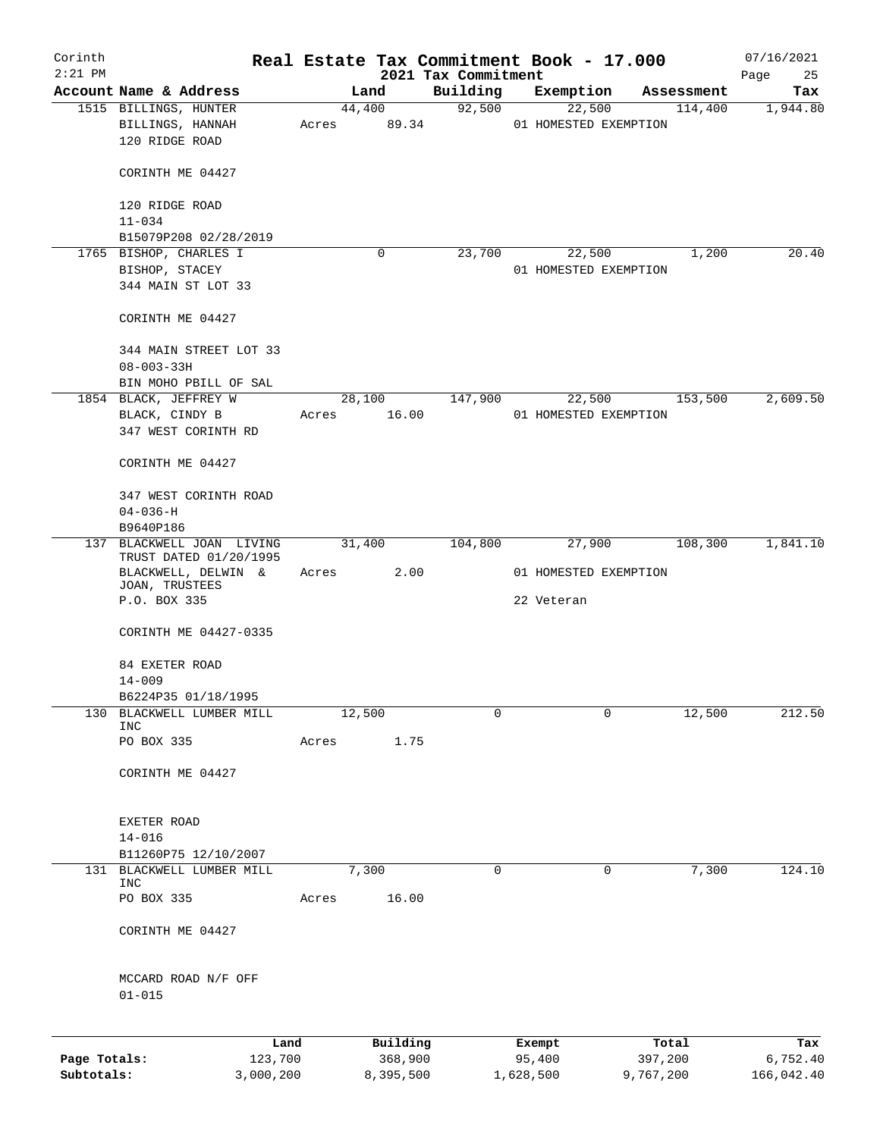| Corinth<br>$2:21$ PM       |                                                                            |                      |       |        |                      | 2021 Tax Commitment |        |                     | Real Estate Tax Commitment Book - 17.000 |            | 07/16/2021<br>Page<br>25 |
|----------------------------|----------------------------------------------------------------------------|----------------------|-------|--------|----------------------|---------------------|--------|---------------------|------------------------------------------|------------|--------------------------|
|                            | Account Name & Address                                                     |                      |       | Land   |                      | Building            |        | Exemption           |                                          | Assessment | Tax                      |
|                            | 1515 BILLINGS, HUNTER                                                      |                      |       |        | 44,400               |                     | 92,500 |                     | 22,500                                   | 114,400    | 1,944.80                 |
|                            | BILLINGS, HANNAH<br>120 RIDGE ROAD                                         |                      | Acres |        | 89.34                |                     |        |                     | 01 HOMESTED EXEMPTION                    |            |                          |
|                            | CORINTH ME 04427                                                           |                      |       |        |                      |                     |        |                     |                                          |            |                          |
|                            | 120 RIDGE ROAD<br>$11 - 034$                                               |                      |       |        |                      |                     |        |                     |                                          |            |                          |
|                            | B15079P208 02/28/2019                                                      |                      |       |        |                      |                     |        |                     |                                          |            |                          |
|                            | 1765 BISHOP, CHARLES I                                                     |                      |       |        | $\mathbf 0$          | 23,700              |        | 22,500              |                                          | 1,200      | 20.40                    |
|                            | BISHOP, STACEY<br>344 MAIN ST LOT 33                                       |                      |       |        |                      |                     |        |                     | 01 HOMESTED EXEMPTION                    |            |                          |
|                            | CORINTH ME 04427                                                           |                      |       |        |                      |                     |        |                     |                                          |            |                          |
|                            | 344 MAIN STREET LOT 33<br>$08 - 003 - 33H$                                 |                      |       |        |                      |                     |        |                     |                                          |            |                          |
|                            | BIN MOHO PBILL OF SAL                                                      |                      |       |        |                      |                     |        |                     |                                          |            |                          |
|                            | 1854 BLACK, JEFFREY W<br>BLACK, CINDY B                                    |                      | Acres |        | 28,100<br>16.00      | 147,900             |        | 22,500              | 01 HOMESTED EXEMPTION                    | 153,500    | 2,609.50                 |
|                            | 347 WEST CORINTH RD                                                        |                      |       |        |                      |                     |        |                     |                                          |            |                          |
|                            | CORINTH ME 04427                                                           |                      |       |        |                      |                     |        |                     |                                          |            |                          |
|                            | 347 WEST CORINTH ROAD                                                      |                      |       |        |                      |                     |        |                     |                                          |            |                          |
|                            | $04 - 036 - H$                                                             |                      |       |        |                      |                     |        |                     |                                          |            |                          |
|                            | B9640P186                                                                  |                      |       |        |                      |                     |        |                     |                                          |            |                          |
|                            | 137 BLACKWELL JOAN LIVING<br>TRUST DATED 01/20/1995<br>BLACKWELL, DELWIN & |                      | Acres | 31,400 | 2.00                 | 104,800             |        | 27,900              | 01 HOMESTED EXEMPTION                    | 108,300    | 1,841.10                 |
|                            | JOAN, TRUSTEES<br>P.O. BOX 335                                             |                      |       |        |                      |                     |        | 22 Veteran          |                                          |            |                          |
|                            | CORINTH ME 04427-0335                                                      |                      |       |        |                      |                     |        |                     |                                          |            |                          |
|                            | 84 EXETER ROAD<br>$14 - 009$                                               |                      |       |        |                      |                     |        |                     |                                          |            |                          |
|                            | B6224P35 01/18/1995                                                        |                      |       |        |                      |                     |        |                     |                                          |            |                          |
| 130                        | BLACKWELL LUMBER MILL<br><b>INC</b>                                        |                      |       | 12,500 |                      |                     | 0      |                     | 0                                        | 12,500     | 212.50                   |
|                            | PO BOX 335                                                                 |                      | Acres |        | 1.75                 |                     |        |                     |                                          |            |                          |
|                            | CORINTH ME 04427                                                           |                      |       |        |                      |                     |        |                     |                                          |            |                          |
|                            | EXETER ROAD                                                                |                      |       |        |                      |                     |        |                     |                                          |            |                          |
|                            | $14 - 016$                                                                 |                      |       |        |                      |                     |        |                     |                                          |            |                          |
|                            | B11260P75 12/10/2007<br>BLACKWELL LUMBER MILL                              |                      |       |        |                      |                     | 0      |                     | 0                                        |            |                          |
| 131                        | <b>INC</b>                                                                 |                      |       | 7,300  |                      |                     |        |                     |                                          | 7,300      | 124.10                   |
|                            | PO BOX 335                                                                 |                      | Acres |        | 16.00                |                     |        |                     |                                          |            |                          |
|                            | CORINTH ME 04427                                                           |                      |       |        |                      |                     |        |                     |                                          |            |                          |
|                            | MCCARD ROAD N/F OFF<br>$01 - 015$                                          |                      |       |        |                      |                     |        |                     |                                          |            |                          |
|                            |                                                                            | Land                 |       |        | Building             |                     |        | Exempt              |                                          | Total      | Tax                      |
| Page Totals:<br>Subtotals: |                                                                            | 123,700<br>3,000,200 |       |        | 368,900<br>8,395,500 |                     |        | 95,400<br>1,628,500 | 397,200<br>9,767,200                     |            | 6,752.40<br>166,042.40   |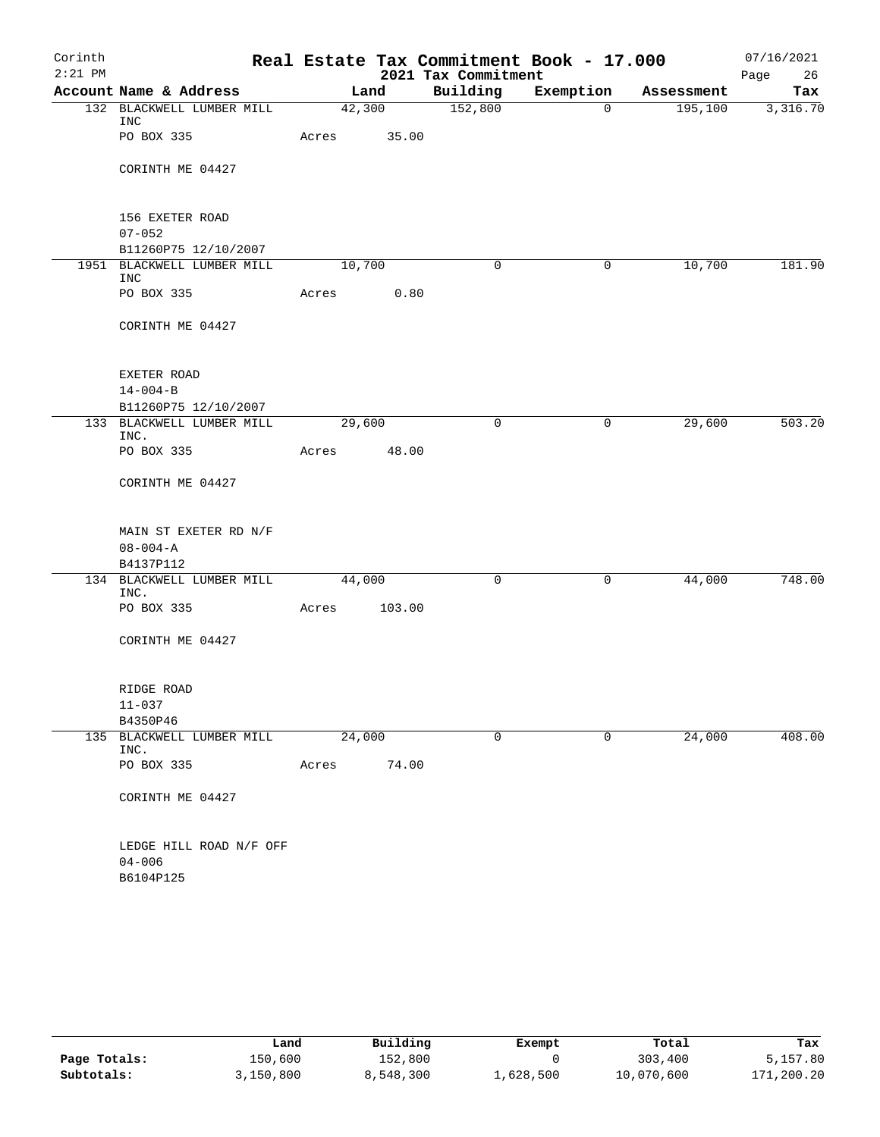| Corinth   |                                    |        |        |                     | Real Estate Tax Commitment Book - 17.000 |            | 07/16/2021 |
|-----------|------------------------------------|--------|--------|---------------------|------------------------------------------|------------|------------|
| $2:21$ PM |                                    |        |        | 2021 Tax Commitment |                                          |            | Page<br>26 |
|           | Account Name & Address             |        | Land   | Building            | Exemption                                | Assessment | Tax        |
|           | 132 BLACKWELL LUMBER MILL<br>INC   |        | 42,300 | 152,800             | $\mathbf 0$                              | 195,100    | 3,316.70   |
|           | PO BOX 335                         | Acres  | 35.00  |                     |                                          |            |            |
|           | CORINTH ME 04427                   |        |        |                     |                                          |            |            |
|           | 156 EXETER ROAD                    |        |        |                     |                                          |            |            |
|           | $07 - 052$<br>B11260P75 12/10/2007 |        |        |                     |                                          |            |            |
|           | 1951 BLACKWELL LUMBER MILL         | 10,700 |        | 0                   | 0                                        | 10,700     | 181.90     |
|           | <b>INC</b>                         |        |        |                     |                                          |            |            |
|           | PO BOX 335                         | Acres  | 0.80   |                     |                                          |            |            |
|           | CORINTH ME 04427                   |        |        |                     |                                          |            |            |
|           | EXETER ROAD                        |        |        |                     |                                          |            |            |
|           | $14 - 004 - B$                     |        |        |                     |                                          |            |            |
|           | B11260P75 12/10/2007               |        |        |                     |                                          |            |            |
|           | 133 BLACKWELL LUMBER MILL<br>INC.  | 29,600 |        | 0                   | 0                                        | 29,600     | 503.20     |
|           | PO BOX 335                         | Acres  | 48.00  |                     |                                          |            |            |
|           | CORINTH ME 04427                   |        |        |                     |                                          |            |            |
|           | MAIN ST EXETER RD N/F              |        |        |                     |                                          |            |            |
|           | $08 - 004 - A$                     |        |        |                     |                                          |            |            |
|           | B4137P112                          |        |        |                     |                                          |            |            |
|           | 134 BLACKWELL LUMBER MILL<br>INC.  | 44,000 |        | 0                   | 0                                        | 44,000     | 748.00     |
|           | PO BOX 335                         | Acres  | 103.00 |                     |                                          |            |            |
|           | CORINTH ME 04427                   |        |        |                     |                                          |            |            |
|           | RIDGE ROAD                         |        |        |                     |                                          |            |            |
|           | $11 - 037$                         |        |        |                     |                                          |            |            |
|           | B4350P46                           |        |        |                     |                                          |            |            |
|           | 135 BLACKWELL LUMBER MILL<br>INC.  | 24,000 |        | 0                   | 0                                        | 24,000     | 408.00     |
|           | PO BOX 335                         | Acres  | 74.00  |                     |                                          |            |            |
|           | CORINTH ME 04427                   |        |        |                     |                                          |            |            |
|           | LEDGE HILL ROAD N/F OFF            |        |        |                     |                                          |            |            |
|           | $04 - 006$                         |        |        |                     |                                          |            |            |
|           | B6104P125                          |        |        |                     |                                          |            |            |

|              | Land      | Building  | Exempt    | Total      | Tax        |
|--------------|-----------|-----------|-----------|------------|------------|
| Page Totals: | 150,600   | 152,800   |           | 303,400    | 5,157.80   |
| Subtotals:   | 3,150,800 | 8,548,300 | 1,628,500 | 10,070,600 | 171,200.20 |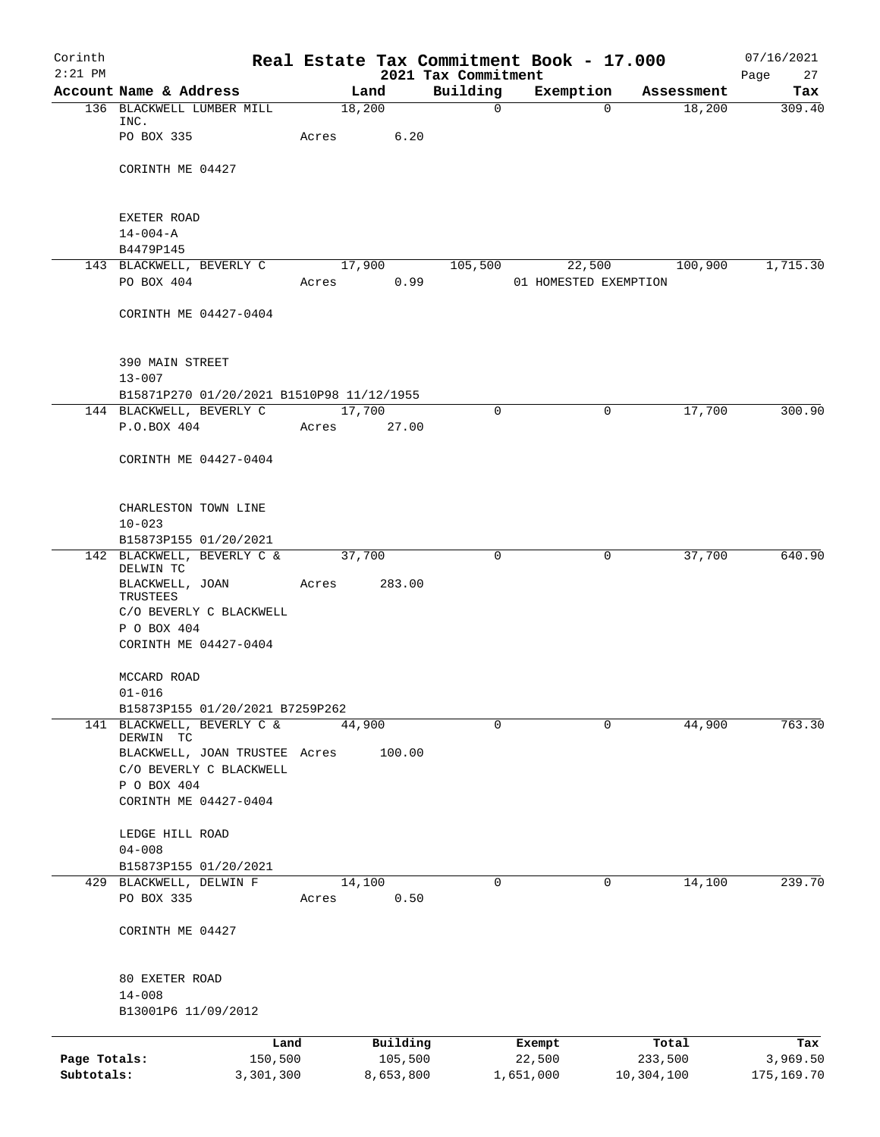| Corinth                    |                                                                       |        |                      |                                 | Real Estate Tax Commitment Book - 17.000 |                       | 07/16/2021             |
|----------------------------|-----------------------------------------------------------------------|--------|----------------------|---------------------------------|------------------------------------------|-----------------------|------------------------|
| $2:21$ PM                  | Account Name & Address                                                |        | Land                 | 2021 Tax Commitment<br>Building | Exemption                                | Assessment            | Page<br>27<br>Tax      |
|                            | 136 BLACKWELL LUMBER MILL                                             |        | 18,200               | $\mathbf 0$                     |                                          | 18,200<br>$\Omega$    | 309.40                 |
|                            | INC.<br>PO BOX 335                                                    | Acres  | 6.20                 |                                 |                                          |                       |                        |
|                            | CORINTH ME 04427                                                      |        |                      |                                 |                                          |                       |                        |
|                            | EXETER ROAD                                                           |        |                      |                                 |                                          |                       |                        |
|                            | $14 - 004 - A$<br>B4479P145                                           |        |                      |                                 |                                          |                       |                        |
|                            | 143 BLACKWELL, BEVERLY C                                              |        | 17,900               | 105,500                         | 22,500                                   | 100,900               | 1,715.30               |
|                            | PO BOX 404                                                            | Acres  | 0.99                 |                                 | 01 HOMESTED EXEMPTION                    |                       |                        |
|                            | CORINTH ME 04427-0404                                                 |        |                      |                                 |                                          |                       |                        |
|                            | 390 MAIN STREET                                                       |        |                      |                                 |                                          |                       |                        |
|                            | $13 - 007$                                                            |        |                      |                                 |                                          |                       |                        |
|                            | B15871P270 01/20/2021 B1510P98 11/12/1955<br>144 BLACKWELL, BEVERLY C | 17,700 |                      | 0                               |                                          | 17,700<br>0           | 300.90                 |
|                            | P.O.BOX 404                                                           | Acres  | 27.00                |                                 |                                          |                       |                        |
|                            | CORINTH ME 04427-0404                                                 |        |                      |                                 |                                          |                       |                        |
|                            | CHARLESTON TOWN LINE<br>$10 - 023$                                    |        |                      |                                 |                                          |                       |                        |
|                            | B15873P155 01/20/2021                                                 |        |                      |                                 |                                          |                       |                        |
|                            | 142 BLACKWELL, BEVERLY C &                                            |        | 37,700               | 0                               | 0                                        | 37,700                | 640.90                 |
|                            | DELWIN TC<br>BLACKWELL, JOAN                                          | Acres  | 283.00               |                                 |                                          |                       |                        |
|                            | TRUSTEES                                                              |        |                      |                                 |                                          |                       |                        |
|                            | C/O BEVERLY C BLACKWELL<br>P O BOX 404                                |        |                      |                                 |                                          |                       |                        |
|                            | CORINTH ME 04427-0404                                                 |        |                      |                                 |                                          |                       |                        |
|                            | MCCARD ROAD                                                           |        |                      |                                 |                                          |                       |                        |
|                            | $01 - 016$                                                            |        |                      |                                 |                                          |                       |                        |
|                            | B15873P155 01/20/2021 B7259P262                                       |        |                      |                                 |                                          |                       |                        |
|                            | 141 BLACKWELL, BEVERLY C &<br>DERWIN TC                               |        | 44,900               | $\mathbf 0$                     |                                          | 44,900<br>$\Omega$    | 763.30                 |
|                            | BLACKWELL, JOAN TRUSTEE Acres                                         |        | 100.00               |                                 |                                          |                       |                        |
|                            | C/O BEVERLY C BLACKWELL                                               |        |                      |                                 |                                          |                       |                        |
|                            | P O BOX 404<br>CORINTH ME 04427-0404                                  |        |                      |                                 |                                          |                       |                        |
|                            |                                                                       |        |                      |                                 |                                          |                       |                        |
|                            | LEDGE HILL ROAD                                                       |        |                      |                                 |                                          |                       |                        |
|                            | $04 - 008$                                                            |        |                      |                                 |                                          |                       |                        |
|                            | B15873P155 01/20/2021<br>429 BLACKWELL, DELWIN F                      |        | 14,100               | $\Omega$                        |                                          | 14,100<br>0           | 239.70                 |
|                            | PO BOX 335                                                            | Acres  | 0.50                 |                                 |                                          |                       |                        |
|                            | CORINTH ME 04427                                                      |        |                      |                                 |                                          |                       |                        |
|                            |                                                                       |        |                      |                                 |                                          |                       |                        |
|                            | 80 EXETER ROAD<br>$14 - 008$                                          |        |                      |                                 |                                          |                       |                        |
|                            | B13001P6 11/09/2012                                                   |        |                      |                                 |                                          |                       |                        |
|                            | Land                                                                  |        | Building             |                                 | Exempt                                   | Total                 | Tax                    |
| Page Totals:<br>Subtotals: | 150,500<br>3,301,300                                                  |        | 105,500<br>8,653,800 |                                 | 22,500<br>1,651,000                      | 233,500<br>10,304,100 | 3,969.50<br>175,169.70 |
|                            |                                                                       |        |                      |                                 |                                          |                       |                        |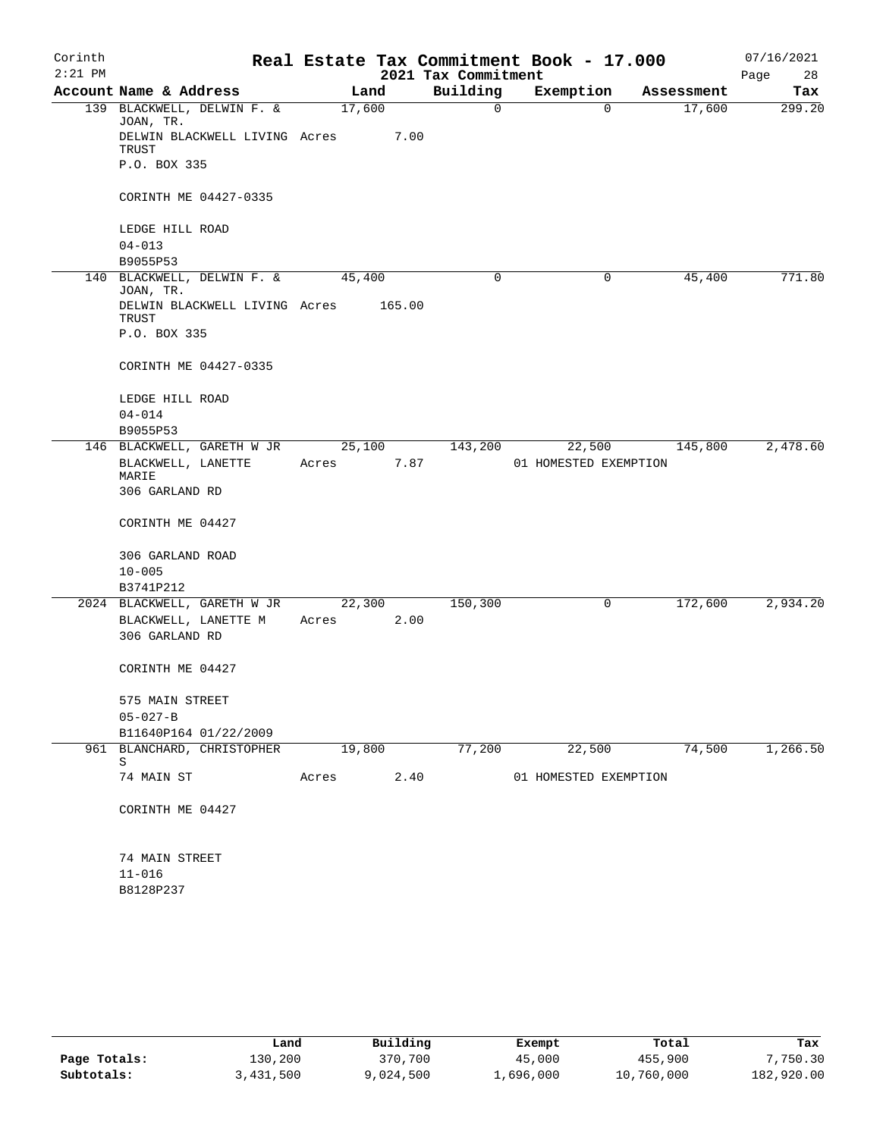| Corinth   |                                         |        |        |                     | Real Estate Tax Commitment Book - 17.000 |            | 07/16/2021 |
|-----------|-----------------------------------------|--------|--------|---------------------|------------------------------------------|------------|------------|
| $2:21$ PM |                                         |        |        | 2021 Tax Commitment |                                          |            | Page<br>28 |
|           | Account Name & Address                  |        | Land   | Building            | Exemption                                | Assessment | Tax        |
|           | 139 BLACKWELL, DELWIN F. &<br>JOAN, TR. | 17,600 |        | 0                   | 0                                        | 17,600     | 299.20     |
|           | DELWIN BLACKWELL LIVING Acres<br>TRUST  |        | 7.00   |                     |                                          |            |            |
|           | P.O. BOX 335                            |        |        |                     |                                          |            |            |
|           | CORINTH ME 04427-0335                   |        |        |                     |                                          |            |            |
|           | LEDGE HILL ROAD                         |        |        |                     |                                          |            |            |
|           | $04 - 013$                              |        |        |                     |                                          |            |            |
|           | B9055P53<br>140 BLACKWELL, DELWIN F. &  | 45,400 |        | $\mathbf 0$         | 0                                        | 45,400     | 771.80     |
|           | JOAN, TR.                               |        |        |                     |                                          |            |            |
|           | DELWIN BLACKWELL LIVING Acres<br>TRUST  |        | 165.00 |                     |                                          |            |            |
|           | P.O. BOX 335                            |        |        |                     |                                          |            |            |
|           | CORINTH ME 04427-0335                   |        |        |                     |                                          |            |            |
|           | LEDGE HILL ROAD                         |        |        |                     |                                          |            |            |
|           | $04 - 014$<br>B9055P53                  |        |        |                     |                                          |            |            |
|           | 146 BLACKWELL, GARETH W JR              |        | 25,100 | 143,200             | 22,500                                   | 145,800    | 2,478.60   |
|           | BLACKWELL, LANETTE<br>MARIE             | Acres  | 7.87   |                     | 01 HOMESTED EXEMPTION                    |            |            |
|           | 306 GARLAND RD                          |        |        |                     |                                          |            |            |
|           | CORINTH ME 04427                        |        |        |                     |                                          |            |            |
|           | 306 GARLAND ROAD                        |        |        |                     |                                          |            |            |
|           | $10 - 005$                              |        |        |                     |                                          |            |            |
|           | B3741P212                               |        |        |                     |                                          |            |            |
|           | 2024 BLACKWELL, GARETH W JR             |        | 22,300 | 150,300             | 0                                        | 172,600    | 2,934.20   |
|           | BLACKWELL, LANETTE M                    | Acres  | 2.00   |                     |                                          |            |            |
|           | 306 GARLAND RD                          |        |        |                     |                                          |            |            |
|           | CORINTH ME 04427                        |        |        |                     |                                          |            |            |
|           | 575 MAIN STREET                         |        |        |                     |                                          |            |            |
|           | $05 - 027 - B$                          |        |        |                     |                                          |            |            |
|           | B11640P164 01/22/2009                   |        |        |                     |                                          |            |            |
|           | 961 BLANCHARD, CHRISTOPHER              | 19,800 |        | 77,200              | 22,500                                   | 74,500     | 1,266.50   |
|           | S                                       |        |        |                     |                                          |            |            |
|           | 74 MAIN ST                              | Acres  | 2.40   |                     | 01 HOMESTED EXEMPTION                    |            |            |
|           | CORINTH ME 04427                        |        |        |                     |                                          |            |            |
|           | 74 MAIN STREET                          |        |        |                     |                                          |            |            |
|           | $11 - 016$                              |        |        |                     |                                          |            |            |
|           | B8128P237                               |        |        |                     |                                          |            |            |

|              | Land      | Building  | Exempt    | Total      | Tax        |
|--------------|-----------|-----------|-----------|------------|------------|
| Page Totals: | L30,200   | 370,700   | 45,000    | 455,900    | 7,750.30   |
| Subtotals:   | 3,431,500 | 9,024,500 | 1,696,000 | 10,760,000 | 182,920.00 |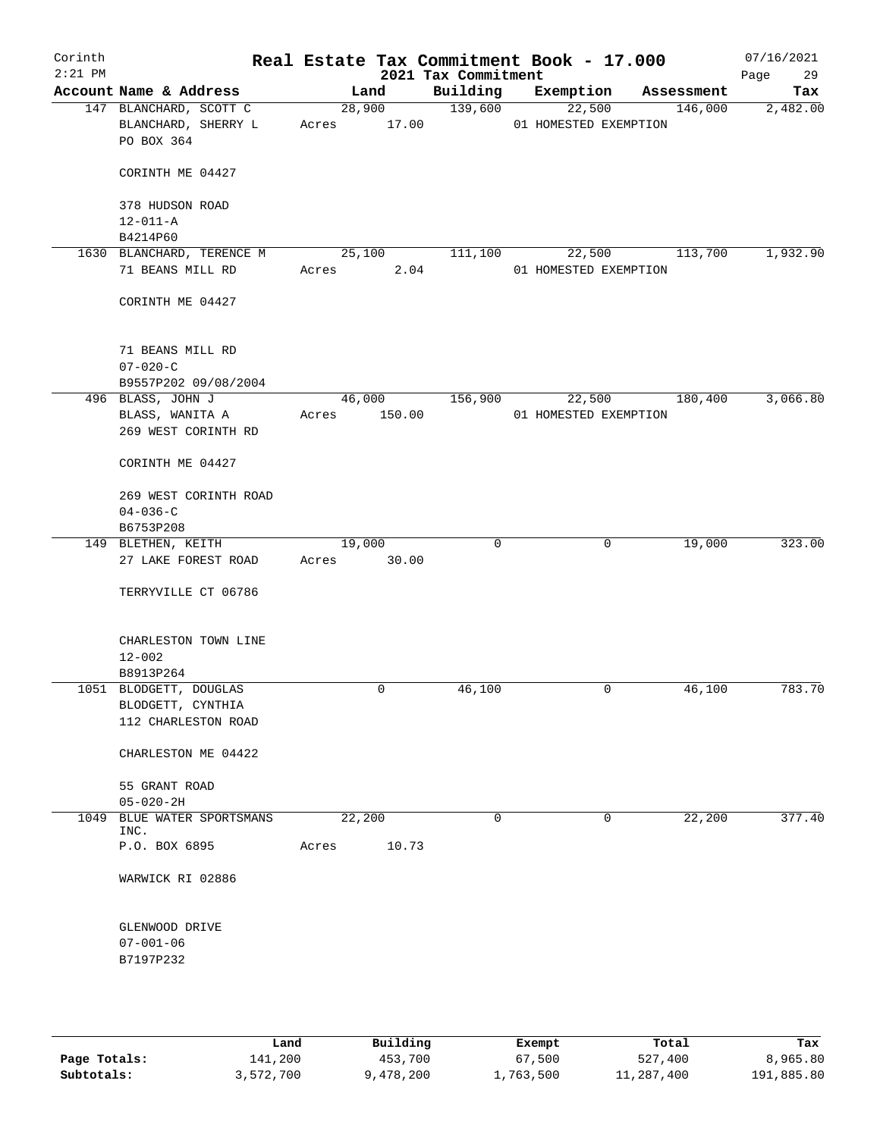| Corinth<br>$2:21$ PM |                                                             | Real Estate Tax Commitment Book - 17.000 | 2021 Tax Commitment |                                 |                   | 07/16/2021<br>Page<br>29 |
|----------------------|-------------------------------------------------------------|------------------------------------------|---------------------|---------------------------------|-------------------|--------------------------|
|                      | Account Name & Address                                      | Land                                     | Building            | Exemption                       | Assessment        | Tax                      |
|                      | 147 BLANCHARD, SCOTT C<br>BLANCHARD, SHERRY L<br>PO BOX 364 | 28,900<br>Acres 17.00                    | 139,600             | 22,500<br>01 HOMESTED EXEMPTION | 146,000           | 2,482.00                 |
|                      | CORINTH ME 04427                                            |                                          |                     |                                 |                   |                          |
|                      | 378 HUDSON ROAD<br>$12 - 011 - A$                           |                                          |                     |                                 |                   |                          |
|                      | B4214P60                                                    |                                          |                     |                                 |                   |                          |
|                      | 1630 BLANCHARD, TERENCE M                                   | 25,100                                   | 111,100             |                                 | 22,500<br>113,700 | 1,932.90                 |
|                      | 71 BEANS MILL RD                                            | Acres<br>2.04                            |                     | 01 HOMESTED EXEMPTION           |                   |                          |
|                      | CORINTH ME 04427                                            |                                          |                     |                                 |                   |                          |
|                      | 71 BEANS MILL RD<br>$07 - 020 - C$                          |                                          |                     |                                 |                   |                          |
|                      | B9557P202 09/08/2004                                        |                                          |                     |                                 |                   |                          |
|                      | 496 BLASS, JOHN J                                           | 46,000 156,900                           |                     |                                 | 22,500 180,400    | 3,066.80                 |
|                      | BLASS, WANITA A<br>269 WEST CORINTH RD                      | 150.00<br>Acres                          |                     | 01 HOMESTED EXEMPTION           |                   |                          |
|                      | CORINTH ME 04427                                            |                                          |                     |                                 |                   |                          |
|                      | 269 WEST CORINTH ROAD<br>$04 - 036 - C$                     |                                          |                     |                                 |                   |                          |
|                      | B6753P208                                                   |                                          |                     |                                 |                   |                          |
|                      | 149 BLETHEN, KEITH                                          | 19,000                                   | 0                   | 0                               | 19,000            | 323.00                   |
|                      | 27 LAKE FOREST ROAD                                         | 30.00<br>Acres                           |                     |                                 |                   |                          |
|                      | TERRYVILLE CT 06786                                         |                                          |                     |                                 |                   |                          |
|                      | CHARLESTON TOWN LINE<br>$12 - 002$                          |                                          |                     |                                 |                   |                          |
|                      | B8913P264                                                   |                                          |                     |                                 |                   |                          |
|                      | 1051 BLODGETT, DOUGLAS                                      | 0                                        | 46,100              | 0                               | 46,100            | 783.70                   |
|                      | BLODGETT, CYNTHIA<br>112 CHARLESTON ROAD                    |                                          |                     |                                 |                   |                          |
|                      | CHARLESTON ME 04422                                         |                                          |                     |                                 |                   |                          |
|                      | 55 GRANT ROAD<br>$05 - 020 - 2H$                            |                                          |                     |                                 |                   |                          |
|                      | 1049 BLUE WATER SPORTSMANS                                  | 22,200                                   | $\mathsf{O}$        | 0                               | 22,200            | 377.40                   |
|                      | INC.<br>P.O. BOX 6895                                       | 10.73<br>Acres                           |                     |                                 |                   |                          |
|                      | WARWICK RI 02886                                            |                                          |                     |                                 |                   |                          |
|                      | GLENWOOD DRIVE                                              |                                          |                     |                                 |                   |                          |
|                      | $07 - 001 - 06$<br>B7197P232                                |                                          |                     |                                 |                   |                          |
|                      |                                                             |                                          |                     |                                 |                   |                          |

|              | Land      | Building  | Exempt    | Total      | Tax        |
|--------------|-----------|-----------|-----------|------------|------------|
| Page Totals: | 141,200   | 453,700   | 67,500    | 527,400    | 8,965.80   |
| Subtotals:   | 3,572,700 | 9,478,200 | 1,763,500 | 11,287,400 | 191,885.80 |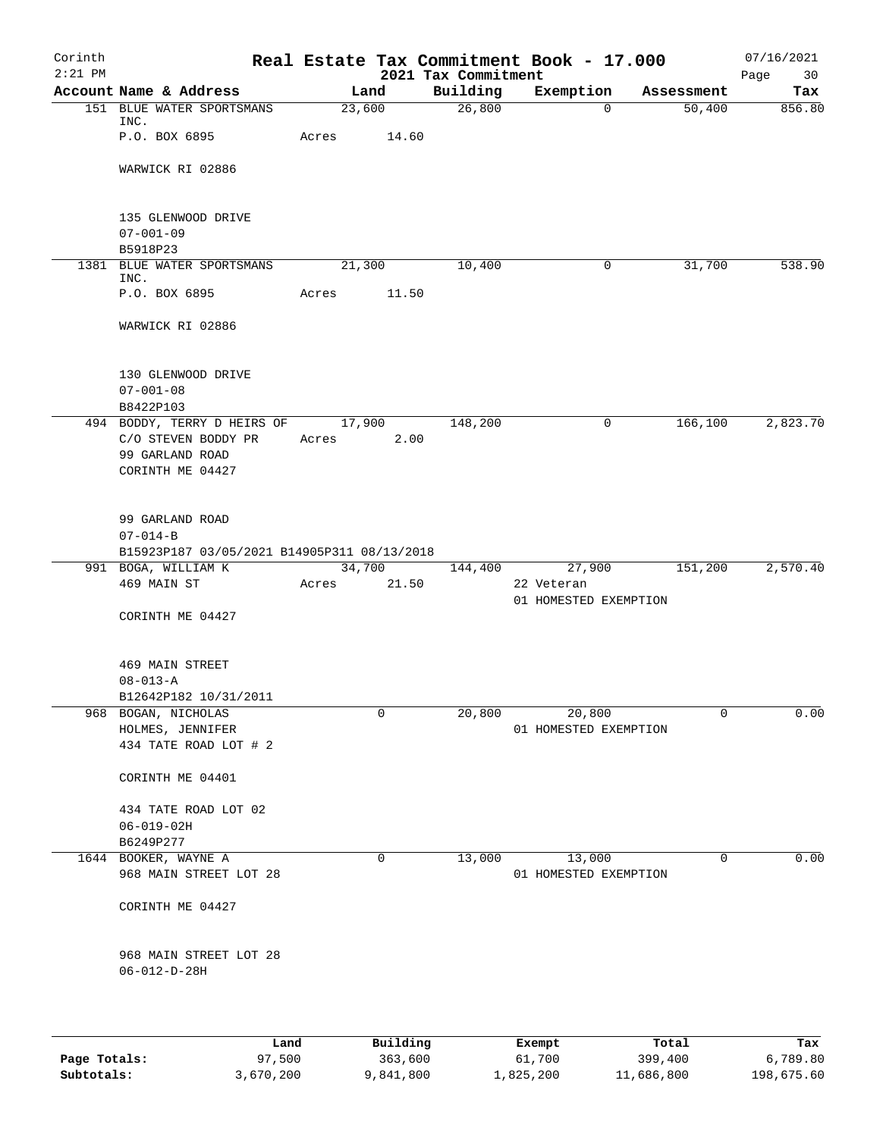| Corinth<br>$2:21$ PM |                                                |       |                     | 2021 Tax Commitment | Real Estate Tax Commitment Book - 17.000 |                  | 07/16/2021<br>Page<br>30 |
|----------------------|------------------------------------------------|-------|---------------------|---------------------|------------------------------------------|------------------|--------------------------|
|                      | Account Name & Address                         |       | Land                | Building            | Exemption                                | Assessment       | Tax                      |
|                      | 151 BLUE WATER SPORTSMANS<br>INC.              |       | 23,600              | 26,800              | $\Omega$                                 | 50,400           | 856.80                   |
|                      | P.O. BOX 6895                                  | Acres | 14.60               |                     |                                          |                  |                          |
|                      | WARWICK RI 02886                               |       |                     |                     |                                          |                  |                          |
|                      | 135 GLENWOOD DRIVE                             |       |                     |                     |                                          |                  |                          |
|                      | $07 - 001 - 09$<br>B5918P23                    |       |                     |                     |                                          |                  |                          |
| 1381                 | BLUE WATER SPORTSMANS<br>INC.                  |       | 21,300              | 10,400              | 0                                        | 31,700           | 538.90                   |
|                      | P.O. BOX 6895                                  | Acres | 11.50               |                     |                                          |                  |                          |
|                      | WARWICK RI 02886                               |       |                     |                     |                                          |                  |                          |
|                      | 130 GLENWOOD DRIVE<br>$07 - 001 - 08$          |       |                     |                     |                                          |                  |                          |
|                      | B8422P103<br>494 BODDY, TERRY D HEIRS OF       |       | 17,900              | 148,200             | 0                                        | 166,100          | 2,823.70                 |
|                      | C/O STEVEN BODDY PR                            | Acres | 2.00                |                     |                                          |                  |                          |
|                      | 99 GARLAND ROAD                                |       |                     |                     |                                          |                  |                          |
|                      | CORINTH ME 04427                               |       |                     |                     |                                          |                  |                          |
|                      | 99 GARLAND ROAD<br>$07 - 014 - B$              |       |                     |                     |                                          |                  |                          |
|                      | B15923P187 03/05/2021 B14905P311 08/13/2018    |       |                     |                     |                                          |                  |                          |
|                      | 991 BOGA, WILLIAM K                            |       | 34,700              | 144,400             | 27,900                                   | 151,200          | 2,570.40                 |
|                      | 469 MAIN ST                                    | Acres | 21.50               |                     | 22 Veteran<br>01 HOMESTED EXEMPTION      |                  |                          |
|                      | CORINTH ME 04427                               |       |                     |                     |                                          |                  |                          |
|                      | <b>469 MAIN STREET</b>                         |       |                     |                     |                                          |                  |                          |
|                      | $08 - 013 - A$                                 |       |                     |                     |                                          |                  |                          |
| 968                  | B12642P182 10/31/2011                          |       | 0                   |                     | 20,800                                   | 0                | 0.00                     |
|                      | BOGAN, NICHOLAS<br>HOLMES, JENNIFER            |       |                     | 20,800              | 01 HOMESTED EXEMPTION                    |                  |                          |
|                      | 434 TATE ROAD LOT # 2                          |       |                     |                     |                                          |                  |                          |
|                      | CORINTH ME 04401                               |       |                     |                     |                                          |                  |                          |
|                      | 434 TATE ROAD LOT 02                           |       |                     |                     |                                          |                  |                          |
|                      | $06 - 019 - 02H$<br>B6249P277                  |       |                     |                     |                                          |                  |                          |
|                      | 1644 BOOKER, WAYNE A                           |       | 0                   | 13,000              | 13,000                                   | 0                | 0.00                     |
|                      | 968 MAIN STREET LOT 28                         |       |                     |                     | 01 HOMESTED EXEMPTION                    |                  |                          |
|                      | CORINTH ME 04427                               |       |                     |                     |                                          |                  |                          |
|                      | 968 MAIN STREET LOT 28<br>$06 - 012 - D - 28H$ |       |                     |                     |                                          |                  |                          |
|                      |                                                |       |                     |                     |                                          |                  |                          |
| Page Totals:         | Land<br>97,500                                 |       | Building<br>363,600 |                     | Exempt<br>61,700                         | Total<br>399,400 | Tax<br>6,789.80          |

**Subtotals:** 3,670,200 9,841,800 1,825,200 11,686,800 198,675.60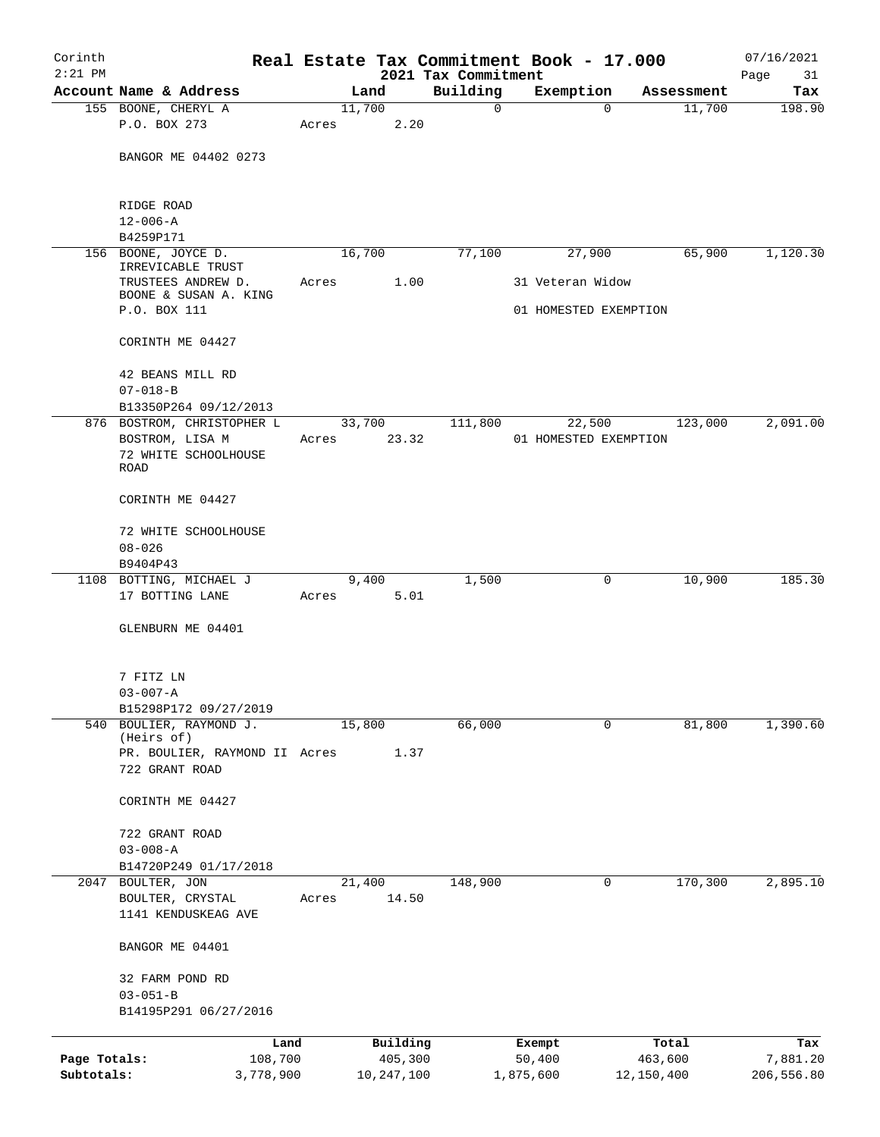| Corinth      |                                                  |       |                     | Real Estate Tax Commitment Book - 17.000 |                       |          |                  | 07/16/2021        |
|--------------|--------------------------------------------------|-------|---------------------|------------------------------------------|-----------------------|----------|------------------|-------------------|
| $2:21$ PM    | Account Name & Address                           |       | Land                | 2021 Tax Commitment<br>Building          | Exemption             |          | Assessment       | Page<br>31<br>Tax |
|              | 155 BOONE, CHERYL A                              |       | 11,700              | $\mathbf 0$                              |                       | $\Omega$ | 11,700           | 198.90            |
|              | P.O. BOX 273                                     | Acres | 2.20                |                                          |                       |          |                  |                   |
|              | BANGOR ME 04402 0273                             |       |                     |                                          |                       |          |                  |                   |
|              | RIDGE ROAD<br>$12 - 006 - A$                     |       |                     |                                          |                       |          |                  |                   |
|              | B4259P171                                        |       |                     |                                          |                       |          |                  |                   |
|              | 156 BOONE, JOYCE D.<br>IRREVICABLE TRUST         |       | 16,700              | 77,100                                   |                       | 27,900   | 65,900           | 1,120.30          |
|              | TRUSTEES ANDREW D.<br>BOONE & SUSAN A. KING      | Acres | 1.00                |                                          | 31 Veteran Widow      |          |                  |                   |
|              | P.O. BOX 111                                     |       |                     |                                          | 01 HOMESTED EXEMPTION |          |                  |                   |
|              | CORINTH ME 04427                                 |       |                     |                                          |                       |          |                  |                   |
|              | 42 BEANS MILL RD<br>$07 - 018 - B$               |       |                     |                                          |                       |          |                  |                   |
|              | B13350P264 09/12/2013                            |       |                     |                                          |                       |          |                  |                   |
|              | 876 BOSTROM, CHRISTOPHER L                       |       | 33,700              | 111,800                                  |                       | 22,500   | 123,000          | 2,091.00          |
|              | BOSTROM, LISA M                                  | Acres | 23.32               |                                          | 01 HOMESTED EXEMPTION |          |                  |                   |
|              | 72 WHITE SCHOOLHOUSE<br>ROAD                     |       |                     |                                          |                       |          |                  |                   |
|              | CORINTH ME 04427                                 |       |                     |                                          |                       |          |                  |                   |
|              | 72 WHITE SCHOOLHOUSE                             |       |                     |                                          |                       |          |                  |                   |
|              | $08 - 026$                                       |       |                     |                                          |                       |          |                  |                   |
|              | B9404P43                                         |       |                     |                                          |                       |          |                  |                   |
|              | 1108 BOTTING, MICHAEL J                          |       | 9,400               | 1,500                                    |                       | 0        | 10,900           | 185.30            |
|              | 17 BOTTING LANE                                  | Acres | 5.01                |                                          |                       |          |                  |                   |
|              | GLENBURN ME 04401                                |       |                     |                                          |                       |          |                  |                   |
|              | 7 FITZ LN                                        |       |                     |                                          |                       |          |                  |                   |
|              | $03 - 007 - A$                                   |       |                     |                                          |                       |          |                  |                   |
|              | B15298P172 09/27/2019<br>540 BOULIER, RAYMOND J. |       | 15,800              | 66,000                                   |                       | 0        | 81,800           | 1,390.60          |
|              | (Heirs of)                                       |       |                     |                                          |                       |          |                  |                   |
|              | PR. BOULIER, RAYMOND II Acres<br>722 GRANT ROAD  |       | 1.37                |                                          |                       |          |                  |                   |
|              | CORINTH ME 04427                                 |       |                     |                                          |                       |          |                  |                   |
|              | 722 GRANT ROAD                                   |       |                     |                                          |                       |          |                  |                   |
|              | $03 - 008 - A$                                   |       |                     |                                          |                       |          |                  |                   |
|              | B14720P249 01/17/2018                            |       |                     |                                          |                       |          |                  |                   |
| 2047         | BOULTER, JON                                     |       | 21,400              | 148,900                                  |                       | 0        | 170,300          | 2,895.10          |
|              | BOULTER, CRYSTAL<br>1141 KENDUSKEAG AVE          | Acres | 14.50               |                                          |                       |          |                  |                   |
|              | BANGOR ME 04401                                  |       |                     |                                          |                       |          |                  |                   |
|              | 32 FARM POND RD                                  |       |                     |                                          |                       |          |                  |                   |
|              | $03 - 051 - B$<br>B14195P291 06/27/2016          |       |                     |                                          |                       |          |                  |                   |
|              |                                                  |       |                     |                                          |                       |          |                  |                   |
| Page Totals: | Land<br>108,700                                  |       | Building<br>405,300 |                                          | Exempt<br>50,400      |          | Total<br>463,600 | Tax<br>7,881.20   |
| Subtotals:   | 3,778,900                                        |       | 10,247,100          |                                          | 1,875,600             |          | 12,150,400       | 206,556.80        |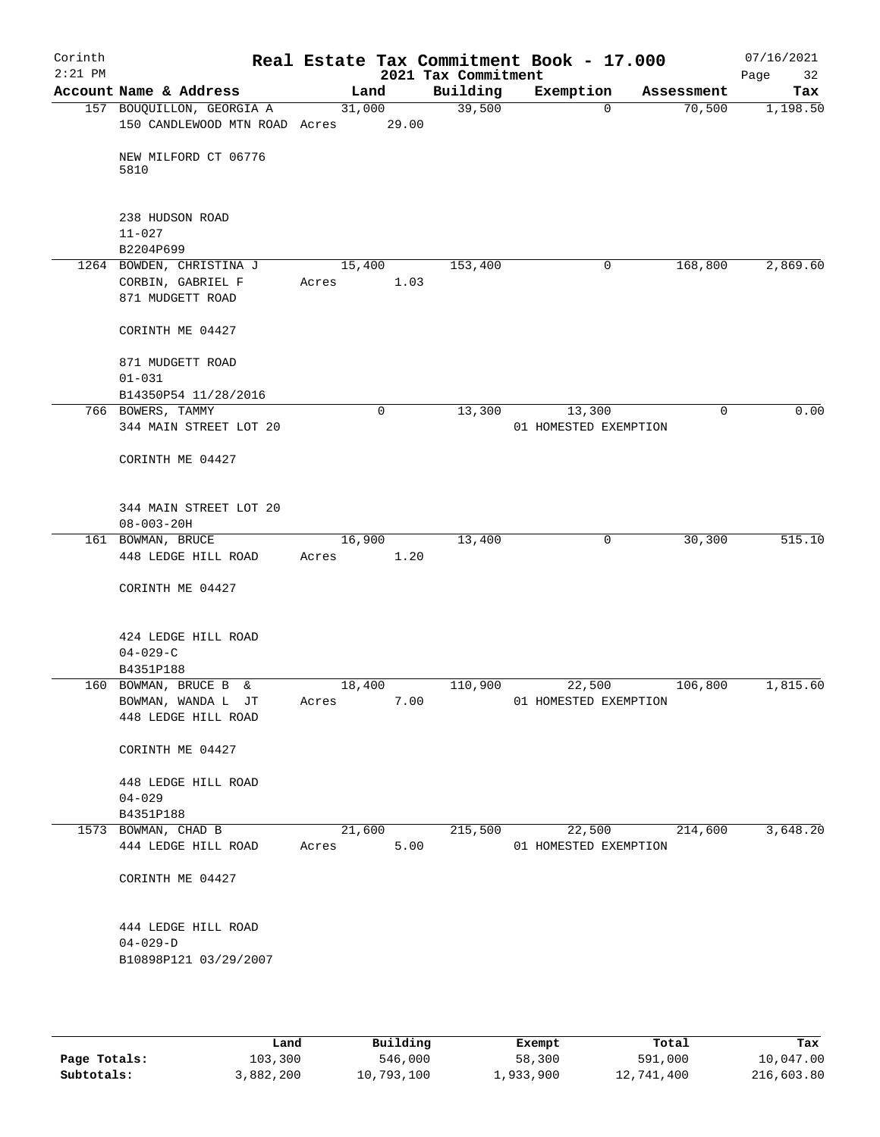| Corinth<br>$2:21$ PM |                                                                   |                 |             | 2021 Tax Commitment | Real Estate Tax Commitment Book - 17.000 |            | 07/16/2021<br>Page<br>32 |
|----------------------|-------------------------------------------------------------------|-----------------|-------------|---------------------|------------------------------------------|------------|--------------------------|
|                      | Account Name & Address                                            | Land            |             | Building            | Exemption                                | Assessment | Tax                      |
|                      | 157 BOUQUILLON, GEORGIA A<br>150 CANDLEWOOD MTN ROAD Acres        | 31,000          | 29.00       | 39,500              | $\mathbf 0$                              | 70,500     | 1,198.50                 |
|                      | NEW MILFORD CT 06776<br>5810                                      |                 |             |                     |                                          |            |                          |
|                      | 238 HUDSON ROAD                                                   |                 |             |                     |                                          |            |                          |
|                      | $11 - 027$                                                        |                 |             |                     |                                          |            |                          |
|                      | B2204P699                                                         |                 |             |                     |                                          |            |                          |
|                      | 1264 BOWDEN, CHRISTINA J<br>CORBIN, GABRIEL F<br>871 MUDGETT ROAD | 15,400<br>Acres | 1.03        | 153,400             | 0                                        | 168,800    | 2,869.60                 |
|                      | CORINTH ME 04427                                                  |                 |             |                     |                                          |            |                          |
|                      | 871 MUDGETT ROAD<br>$01 - 031$                                    |                 |             |                     |                                          |            |                          |
|                      | B14350P54 11/28/2016                                              |                 |             |                     |                                          |            |                          |
|                      | 766 BOWERS, TAMMY<br>344 MAIN STREET LOT 20                       |                 | $\mathbf 0$ | 13,300              | 13,300<br>01 HOMESTED EXEMPTION          | 0          | 0.00                     |
|                      | CORINTH ME 04427                                                  |                 |             |                     |                                          |            |                          |
|                      | 344 MAIN STREET LOT 20                                            |                 |             |                     |                                          |            |                          |
|                      | $08 - 003 - 20H$                                                  |                 |             |                     |                                          |            |                          |
|                      | 161 BOWMAN, BRUCE<br>448 LEDGE HILL ROAD                          | 16,900<br>Acres | 1.20        | 13,400              | $\mathbf 0$                              | 30,300     | 515.10                   |
|                      |                                                                   |                 |             |                     |                                          |            |                          |
|                      | CORINTH ME 04427                                                  |                 |             |                     |                                          |            |                          |
|                      | 424 LEDGE HILL ROAD<br>$04 - 029 - C$                             |                 |             |                     |                                          |            |                          |
|                      | B4351P188                                                         |                 |             |                     |                                          |            |                          |
|                      | 160 BOWMAN, BRUCE B &                                             | 18,400          |             | 110,900             | 22,500                                   | 106,800    | 1,815.60                 |
|                      | BOWMAN, WANDA L JT                                                | Acres           | 7.00        |                     | 01 HOMESTED EXEMPTION                    |            |                          |
|                      | 448 LEDGE HILL ROAD                                               |                 |             |                     |                                          |            |                          |
|                      | CORINTH ME 04427                                                  |                 |             |                     |                                          |            |                          |
|                      | 448 LEDGE HILL ROAD                                               |                 |             |                     |                                          |            |                          |
|                      | $04 - 029$                                                        |                 |             |                     |                                          |            |                          |
|                      | B4351P188                                                         |                 |             |                     |                                          |            |                          |
|                      | 1573 BOWMAN, CHAD B                                               | 21,600          |             | 215,500             | 22,500                                   | 214,600    | 3,648.20                 |
|                      | 444 LEDGE HILL ROAD                                               | Acres           | 5.00        |                     | 01 HOMESTED EXEMPTION                    |            |                          |
|                      | CORINTH ME 04427                                                  |                 |             |                     |                                          |            |                          |
|                      | 444 LEDGE HILL ROAD                                               |                 |             |                     |                                          |            |                          |
|                      | $04 - 029 - D$<br>B10898P121 03/29/2007                           |                 |             |                     |                                          |            |                          |
|                      |                                                                   |                 |             |                     |                                          |            |                          |

|              | Land      | Building   | Exempt    | Total      | Tax        |
|--------------|-----------|------------|-----------|------------|------------|
| Page Totals: | 103,300   | 546,000    | 58,300    | 591,000    | 10,047.00  |
| Subtotals:   | 3,882,200 | 10,793,100 | 1,933,900 | 12,741,400 | 216,603.80 |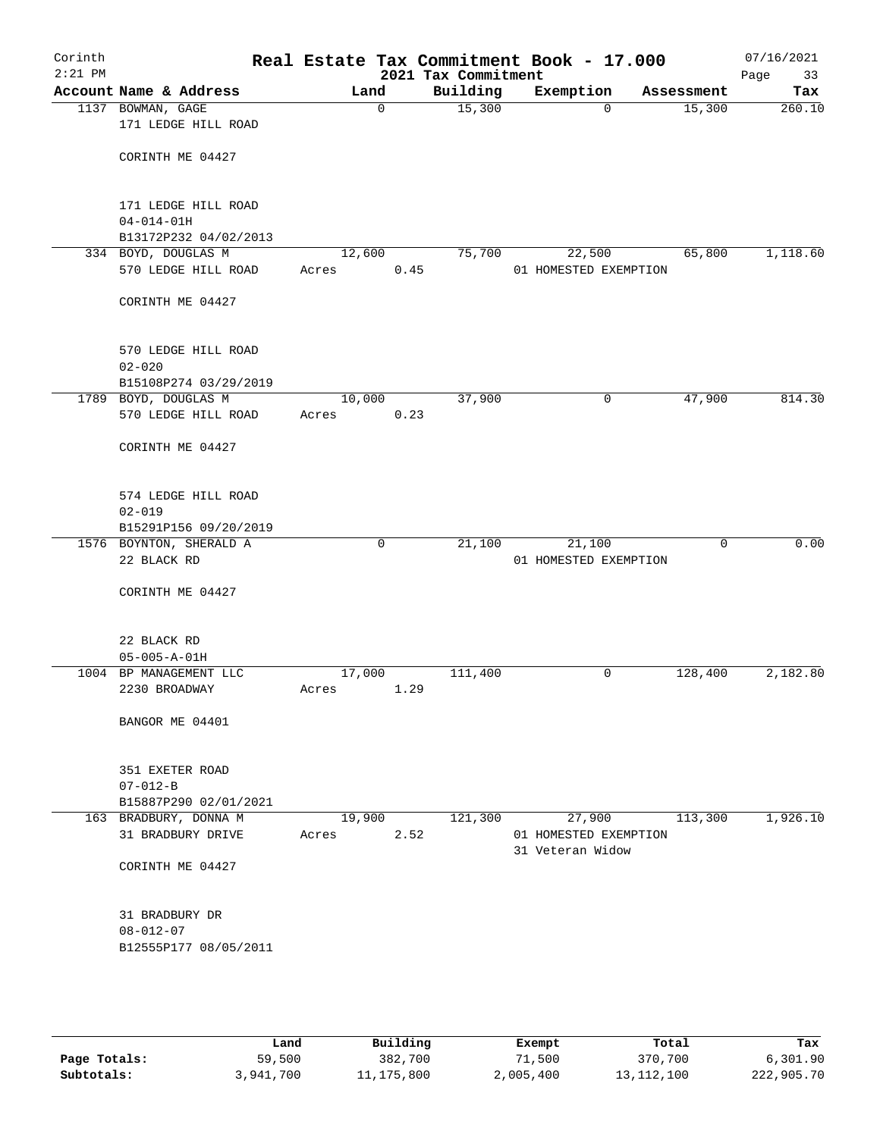| Corinth<br>$2:21$ PM |                                           |        |             | Real Estate Tax Commitment Book - 17.000<br>2021 Tax Commitment |                       |             |            | 07/16/2021<br>Page<br>33 |
|----------------------|-------------------------------------------|--------|-------------|-----------------------------------------------------------------|-----------------------|-------------|------------|--------------------------|
|                      | Account Name & Address                    |        | Land        | Building                                                        | Exemption             |             | Assessment | Tax                      |
|                      | 1137 BOWMAN, GAGE                         |        | $\mathbf 0$ | 15,300                                                          |                       | $\mathbf 0$ | 15,300     | 260.10                   |
|                      | 171 LEDGE HILL ROAD                       |        |             |                                                                 |                       |             |            |                          |
|                      |                                           |        |             |                                                                 |                       |             |            |                          |
|                      | CORINTH ME 04427                          |        |             |                                                                 |                       |             |            |                          |
|                      |                                           |        |             |                                                                 |                       |             |            |                          |
|                      |                                           |        |             |                                                                 |                       |             |            |                          |
|                      | 171 LEDGE HILL ROAD                       |        |             |                                                                 |                       |             |            |                          |
|                      | $04 - 014 - 01H$<br>B13172P232 04/02/2013 |        |             |                                                                 |                       |             |            |                          |
|                      | 334 BOYD, DOUGLAS M                       |        | 12,600      | 75,700                                                          | 22,500                |             | 65,800     | 1,118.60                 |
|                      | 570 LEDGE HILL ROAD                       | Acres  | 0.45        |                                                                 | 01 HOMESTED EXEMPTION |             |            |                          |
|                      |                                           |        |             |                                                                 |                       |             |            |                          |
|                      | CORINTH ME 04427                          |        |             |                                                                 |                       |             |            |                          |
|                      |                                           |        |             |                                                                 |                       |             |            |                          |
|                      |                                           |        |             |                                                                 |                       |             |            |                          |
|                      | 570 LEDGE HILL ROAD                       |        |             |                                                                 |                       |             |            |                          |
|                      | $02 - 020$                                |        |             |                                                                 |                       |             |            |                          |
|                      | B15108P274 03/29/2019                     |        |             |                                                                 |                       |             |            |                          |
|                      | 1789 BOYD, DOUGLAS M                      | 10,000 |             | 37,900                                                          |                       | 0           | 47,900     | 814.30                   |
|                      | 570 LEDGE HILL ROAD                       | Acres  | 0.23        |                                                                 |                       |             |            |                          |
|                      |                                           |        |             |                                                                 |                       |             |            |                          |
|                      | CORINTH ME 04427                          |        |             |                                                                 |                       |             |            |                          |
|                      |                                           |        |             |                                                                 |                       |             |            |                          |
|                      | 574 LEDGE HILL ROAD                       |        |             |                                                                 |                       |             |            |                          |
|                      | $02 - 019$                                |        |             |                                                                 |                       |             |            |                          |
|                      | B15291P156 09/20/2019                     |        |             |                                                                 |                       |             |            |                          |
|                      | 1576 BOYNTON, SHERALD A                   |        | $\mathbf 0$ | 21,100                                                          | 21,100                |             | 0          | 0.00                     |
|                      | 22 BLACK RD                               |        |             |                                                                 | 01 HOMESTED EXEMPTION |             |            |                          |
|                      |                                           |        |             |                                                                 |                       |             |            |                          |
|                      | CORINTH ME 04427                          |        |             |                                                                 |                       |             |            |                          |
|                      |                                           |        |             |                                                                 |                       |             |            |                          |
|                      |                                           |        |             |                                                                 |                       |             |            |                          |
|                      | 22 BLACK RD                               |        |             |                                                                 |                       |             |            |                          |
|                      | $05 - 005 - A - 01H$                      |        |             |                                                                 |                       |             |            |                          |
|                      | 1004 BP MANAGEMENT LLC                    | 17,000 |             | 111,400                                                         |                       | 0           | 128,400    | 2,182.80                 |
|                      | 2230 BROADWAY                             | Acres  | 1.29        |                                                                 |                       |             |            |                          |
|                      | BANGOR ME 04401                           |        |             |                                                                 |                       |             |            |                          |
|                      |                                           |        |             |                                                                 |                       |             |            |                          |
|                      |                                           |        |             |                                                                 |                       |             |            |                          |
|                      | 351 EXETER ROAD                           |        |             |                                                                 |                       |             |            |                          |
|                      | $07 - 012 - B$                            |        |             |                                                                 |                       |             |            |                          |
|                      | B15887P290 02/01/2021                     |        |             |                                                                 |                       |             |            |                          |
|                      | 163 BRADBURY, DONNA M                     |        | 19,900      | 121,300                                                         | 27,900                |             | 113,300    | 1,926.10                 |
|                      | 31 BRADBURY DRIVE                         | Acres  | 2.52        |                                                                 | 01 HOMESTED EXEMPTION |             |            |                          |
|                      |                                           |        |             |                                                                 | 31 Veteran Widow      |             |            |                          |
|                      | CORINTH ME 04427                          |        |             |                                                                 |                       |             |            |                          |
|                      |                                           |        |             |                                                                 |                       |             |            |                          |
|                      | 31 BRADBURY DR                            |        |             |                                                                 |                       |             |            |                          |
|                      | $08 - 012 - 07$                           |        |             |                                                                 |                       |             |            |                          |
|                      | B12555P177 08/05/2011                     |        |             |                                                                 |                       |             |            |                          |
|                      |                                           |        |             |                                                                 |                       |             |            |                          |
|                      |                                           |        |             |                                                                 |                       |             |            |                          |
|                      |                                           |        |             |                                                                 |                       |             |            |                          |

|              | Land      | Building   | Exempt    | Total        | Tax        |
|--------------|-----------|------------|-----------|--------------|------------|
| Page Totals: | 59,500    | 382,700    | 71,500    | 370,700      | 6,301.90   |
| Subtotals:   | 3,941,700 | 11,175,800 | 2,005,400 | 13, 112, 100 | 222,905.70 |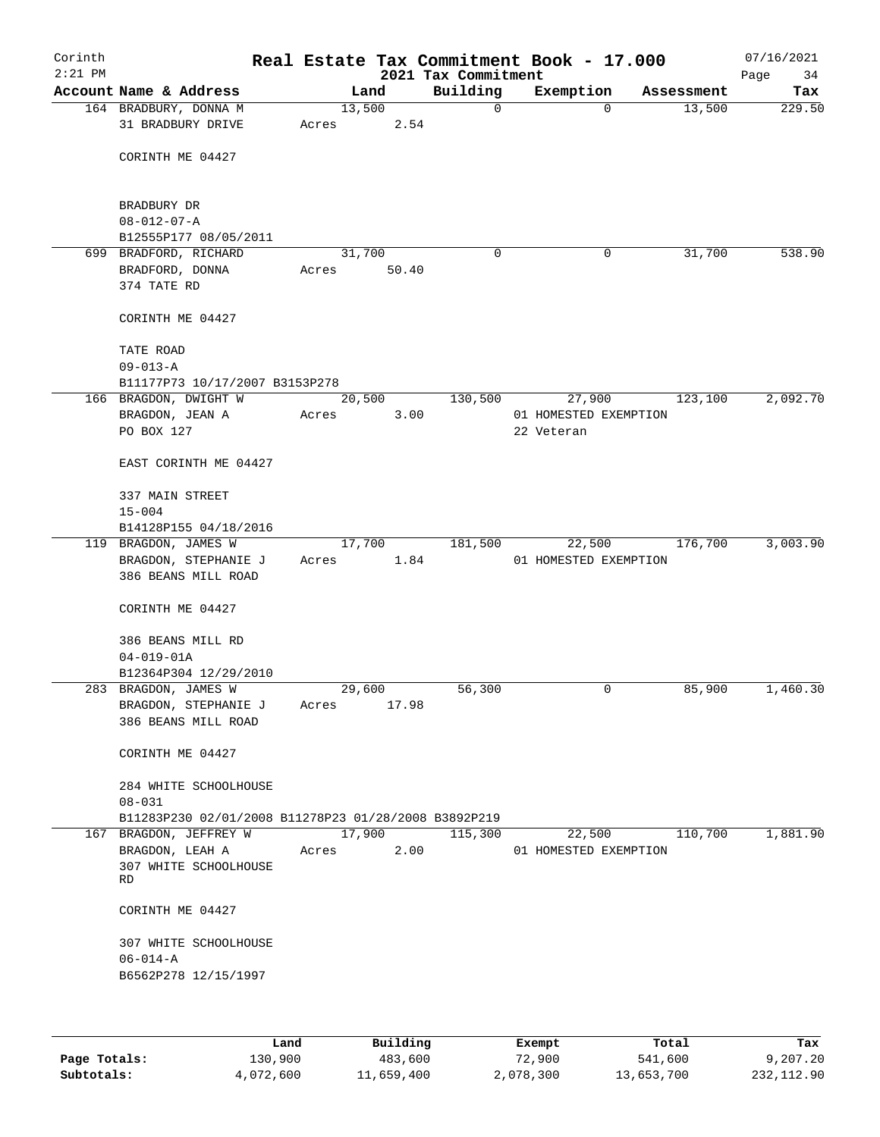| Corinth<br>$2:21$ PM |                                                      |       |        |       | Real Estate Tax Commitment Book - 17.000<br>2021 Tax Commitment |                       |          |            | 07/16/2021<br>Page<br>34 |
|----------------------|------------------------------------------------------|-------|--------|-------|-----------------------------------------------------------------|-----------------------|----------|------------|--------------------------|
|                      | Account Name & Address                               |       | Land   |       | Building                                                        | Exemption             |          | Assessment | Tax                      |
|                      | 164 BRADBURY, DONNA M<br>31 BRADBURY DRIVE           | Acres | 13,500 | 2.54  | 0                                                               |                       | $\Omega$ | 13,500     | 229.50                   |
|                      |                                                      |       |        |       |                                                                 |                       |          |            |                          |
|                      | CORINTH ME 04427                                     |       |        |       |                                                                 |                       |          |            |                          |
|                      | BRADBURY DR                                          |       |        |       |                                                                 |                       |          |            |                          |
|                      | $08 - 012 - 07 - A$                                  |       |        |       |                                                                 |                       |          |            |                          |
|                      | B12555P177 08/05/2011                                |       |        |       |                                                                 |                       |          |            |                          |
|                      | 699 BRADFORD, RICHARD<br>BRADFORD, DONNA             |       | 31,700 | 50.40 | 0                                                               |                       | 0        | 31,700     | 538.90                   |
|                      |                                                      | Acres |        |       |                                                                 |                       |          |            |                          |
|                      | 374 TATE RD                                          |       |        |       |                                                                 |                       |          |            |                          |
|                      | CORINTH ME 04427                                     |       |        |       |                                                                 |                       |          |            |                          |
|                      | TATE ROAD                                            |       |        |       |                                                                 |                       |          |            |                          |
|                      | $09 - 013 - A$                                       |       |        |       |                                                                 |                       |          |            |                          |
|                      | B11177P73 10/17/2007 B3153P278                       |       |        |       |                                                                 |                       |          |            |                          |
|                      | 166 BRAGDON, DWIGHT W                                |       | 20,500 |       | 130,500                                                         | 27,900                |          | 123,100    | 2,092.70                 |
|                      | BRAGDON, JEAN A                                      | Acres |        | 3.00  |                                                                 | 01 HOMESTED EXEMPTION |          |            |                          |
|                      | PO BOX 127                                           |       |        |       |                                                                 | 22 Veteran            |          |            |                          |
|                      | EAST CORINTH ME 04427                                |       |        |       |                                                                 |                       |          |            |                          |
|                      | 337 MAIN STREET                                      |       |        |       |                                                                 |                       |          |            |                          |
|                      | $15 - 004$                                           |       |        |       |                                                                 |                       |          |            |                          |
|                      | B14128P155 04/18/2016                                |       |        |       |                                                                 |                       |          |            |                          |
|                      | 119 BRAGDON, JAMES W                                 |       | 17,700 |       | 181,500                                                         | 22,500                |          | 176,700    | 3,003.90                 |
|                      | BRAGDON, STEPHANIE J                                 | Acres |        | 1.84  |                                                                 | 01 HOMESTED EXEMPTION |          |            |                          |
|                      | 386 BEANS MILL ROAD                                  |       |        |       |                                                                 |                       |          |            |                          |
|                      | CORINTH ME 04427                                     |       |        |       |                                                                 |                       |          |            |                          |
|                      | 386 BEANS MILL RD                                    |       |        |       |                                                                 |                       |          |            |                          |
|                      | $04 - 019 - 01A$                                     |       |        |       |                                                                 |                       |          |            |                          |
|                      | B12364P304 12/29/2010                                |       |        |       |                                                                 |                       |          |            |                          |
|                      | 283 BRAGDON, JAMES W                                 |       | 29,600 |       | 56,300                                                          |                       | 0        | 85,900     | 1,460.30                 |
|                      | BRAGDON, STEPHANIE J                                 | Acres |        | 17.98 |                                                                 |                       |          |            |                          |
|                      | 386 BEANS MILL ROAD                                  |       |        |       |                                                                 |                       |          |            |                          |
|                      |                                                      |       |        |       |                                                                 |                       |          |            |                          |
|                      | CORINTH ME 04427                                     |       |        |       |                                                                 |                       |          |            |                          |
|                      | 284 WHITE SCHOOLHOUSE                                |       |        |       |                                                                 |                       |          |            |                          |
|                      | $08 - 031$                                           |       |        |       |                                                                 |                       |          |            |                          |
|                      | B11283P230 02/01/2008 B11278P23 01/28/2008 B3892P219 |       |        |       |                                                                 |                       |          |            |                          |
|                      | 167 BRAGDON, JEFFREY W                               |       | 17,900 |       | 115,300                                                         | 22,500                |          | 110,700    | 1,881.90                 |
|                      | BRAGDON, LEAH A                                      | Acres |        | 2.00  |                                                                 | 01 HOMESTED EXEMPTION |          |            |                          |
|                      | 307 WHITE SCHOOLHOUSE                                |       |        |       |                                                                 |                       |          |            |                          |
|                      | <b>RD</b>                                            |       |        |       |                                                                 |                       |          |            |                          |
|                      | CORINTH ME 04427                                     |       |        |       |                                                                 |                       |          |            |                          |
|                      | 307 WHITE SCHOOLHOUSE                                |       |        |       |                                                                 |                       |          |            |                          |
|                      | $06 - 014 - A$                                       |       |        |       |                                                                 |                       |          |            |                          |
|                      | B6562P278 12/15/1997                                 |       |        |       |                                                                 |                       |          |            |                          |
|                      |                                                      |       |        |       |                                                                 |                       |          |            |                          |
|                      |                                                      |       |        |       |                                                                 |                       |          |            |                          |
|                      |                                                      |       |        |       |                                                                 |                       |          |            |                          |

|              | Land      | Building   | Exempt    | Total      | Tax        |
|--------------|-----------|------------|-----------|------------|------------|
| Page Totals: | 130,900   | 483,600    | 72,900    | 541,600    | 9,207,20   |
| Subtotals:   | 4,072,600 | 11,659,400 | 2,078,300 | 13,653,700 | 232,112.90 |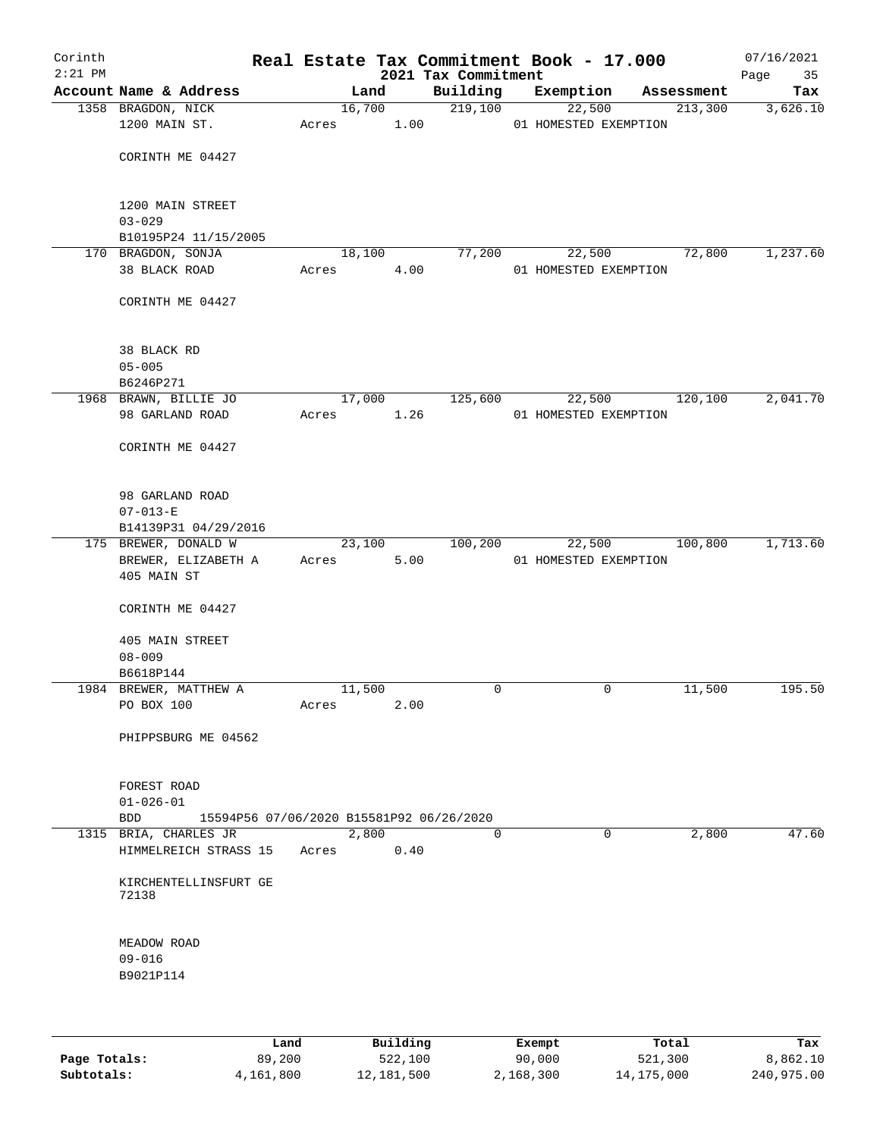| Corinth<br>$2:21$ PM |                                    |       |        |      | 2021 Tax Commitment                      | Real Estate Tax Commitment Book - 17.000 |            | 07/16/2021<br>Page<br>35 |
|----------------------|------------------------------------|-------|--------|------|------------------------------------------|------------------------------------------|------------|--------------------------|
|                      | Account Name & Address             |       | Land   |      | Building                                 | Exemption                                | Assessment | Tax                      |
|                      | 1358 BRAGDON, NICK                 |       | 16,700 |      | 219,100                                  | 22,500                                   | 213,300    | 3,626.10                 |
|                      | 1200 MAIN ST.                      | Acres |        | 1.00 |                                          | 01 HOMESTED EXEMPTION                    |            |                          |
|                      | CORINTH ME 04427                   |       |        |      |                                          |                                          |            |                          |
|                      | 1200 MAIN STREET                   |       |        |      |                                          |                                          |            |                          |
|                      | $03 - 029$<br>B10195P24 11/15/2005 |       |        |      |                                          |                                          |            |                          |
|                      | 170 BRAGDON, SONJA                 |       | 18,100 |      | 77,200                                   | 22,500                                   | 72,800     | 1,237.60                 |
|                      | 38 BLACK ROAD                      | Acres |        | 4.00 |                                          | 01 HOMESTED EXEMPTION                    |            |                          |
|                      | CORINTH ME 04427                   |       |        |      |                                          |                                          |            |                          |
|                      | 38 BLACK RD                        |       |        |      |                                          |                                          |            |                          |
|                      | $05 - 005$                         |       |        |      |                                          |                                          |            |                          |
|                      | B6246P271                          |       |        |      |                                          |                                          |            |                          |
|                      | 1968 BRAWN, BILLIE JO              |       | 17,000 |      | 125,600                                  | 22,500                                   | 120,100    | 2,041.70                 |
|                      | 98 GARLAND ROAD                    | Acres |        | 1.26 |                                          | 01 HOMESTED EXEMPTION                    |            |                          |
|                      | CORINTH ME 04427                   |       |        |      |                                          |                                          |            |                          |
|                      | 98 GARLAND ROAD                    |       |        |      |                                          |                                          |            |                          |
|                      | $07 - 013 - E$                     |       |        |      |                                          |                                          |            |                          |
|                      | B14139P31 04/29/2016               |       |        |      |                                          |                                          |            |                          |
|                      | 175 BREWER, DONALD W               |       | 23,100 |      | 100,200                                  | 22,500                                   | 100,800    | 1,713.60                 |
|                      | BREWER, ELIZABETH A<br>405 MAIN ST |       | Acres  | 5.00 |                                          | 01 HOMESTED EXEMPTION                    |            |                          |
|                      | CORINTH ME 04427                   |       |        |      |                                          |                                          |            |                          |
|                      | 405 MAIN STREET<br>$08 - 009$      |       |        |      |                                          |                                          |            |                          |
|                      | B6618P144                          |       |        |      |                                          |                                          |            |                          |
|                      | 1984 BREWER, MATTHEW A             |       | 11,500 |      | 0                                        | 0                                        | 11,500     | 195.50                   |
|                      | PO BOX 100                         | Acres |        | 2.00 |                                          |                                          |            |                          |
|                      | PHIPPSBURG ME 04562                |       |        |      |                                          |                                          |            |                          |
|                      | FOREST ROAD<br>$01 - 026 - 01$     |       |        |      |                                          |                                          |            |                          |
|                      | BDD                                |       |        |      | 15594P56 07/06/2020 B15581P92 06/26/2020 |                                          |            |                          |
|                      | 1315 BRIA, CHARLES JR              |       | 2,800  |      | $\Omega$                                 | $\mathbf 0$                              | 2,800      | 47.60                    |
|                      | HIMMELREICH STRASS 15              | Acres |        | 0.40 |                                          |                                          |            |                          |
|                      | KIRCHENTELLINSFURT GE<br>72138     |       |        |      |                                          |                                          |            |                          |
|                      | MEADOW ROAD<br>$09 - 016$          |       |        |      |                                          |                                          |            |                          |
|                      | B9021P114                          |       |        |      |                                          |                                          |            |                          |
|                      |                                    |       |        |      |                                          |                                          |            |                          |

|              | Land      | Building   | Exempt    | Total      | Tax        |
|--------------|-----------|------------|-----------|------------|------------|
| Page Totals: | 89,200    | 522,100    | 90,000    | 521,300    | 8,862.10   |
| Subtotals:   | 4,161,800 | 12,181,500 | 2,168,300 | 14,175,000 | 240,975.00 |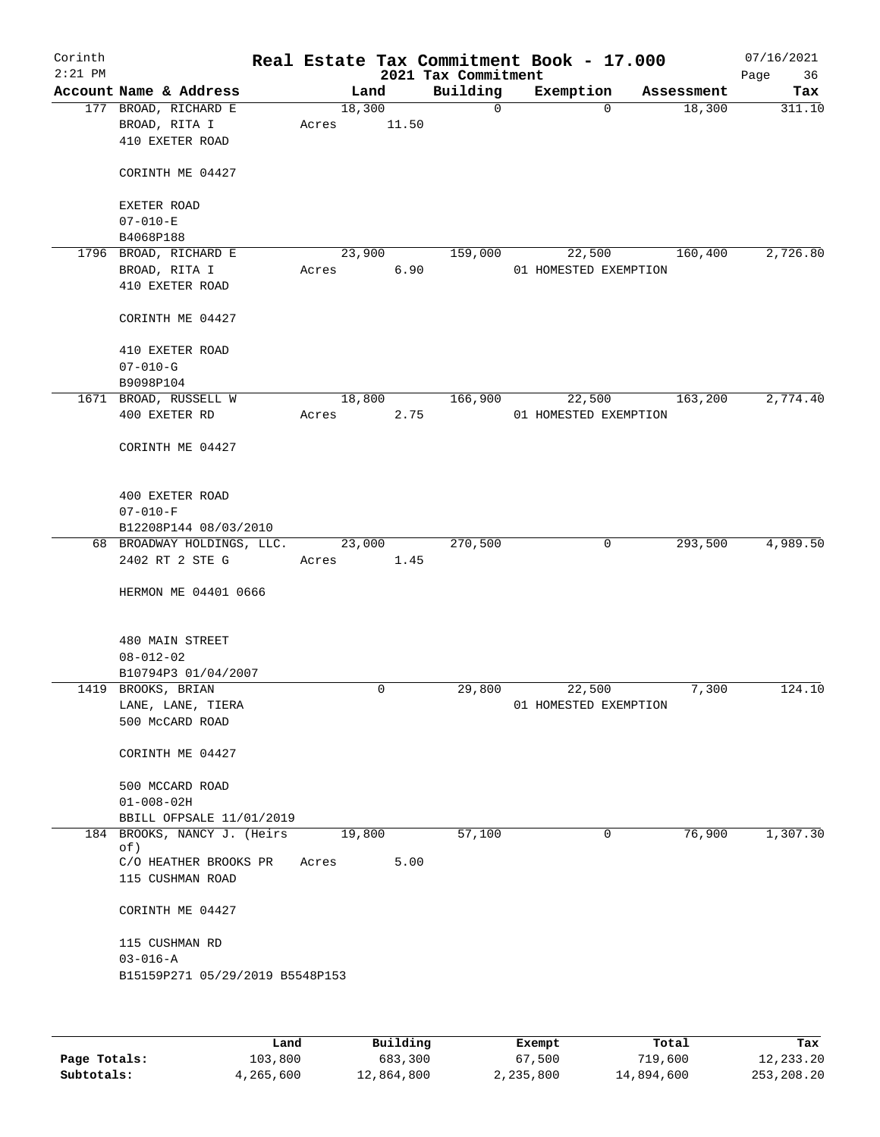| Corinth<br>$2:21$ PM |                                 |       |        | 2021 Tax Commitment | Real Estate Tax Commitment Book - 17.000 |            | 07/16/2021<br>Page<br>36 |
|----------------------|---------------------------------|-------|--------|---------------------|------------------------------------------|------------|--------------------------|
|                      | Account Name & Address          |       | Land   | Building            | Exemption                                | Assessment | Tax                      |
|                      | 177 BROAD, RICHARD E            |       | 18,300 | $\mathsf{O}$        | $\Omega$                                 | 18,300     | 311.10                   |
|                      | BROAD, RITA I                   | Acres | 11.50  |                     |                                          |            |                          |
|                      | 410 EXETER ROAD                 |       |        |                     |                                          |            |                          |
|                      |                                 |       |        |                     |                                          |            |                          |
|                      | CORINTH ME 04427                |       |        |                     |                                          |            |                          |
|                      |                                 |       |        |                     |                                          |            |                          |
|                      | EXETER ROAD                     |       |        |                     |                                          |            |                          |
|                      | $07 - 010 - E$                  |       |        |                     |                                          |            |                          |
|                      | B4068P188                       |       |        |                     |                                          |            |                          |
|                      | 1796 BROAD, RICHARD E           |       | 23,900 | 159,000             | 22,500                                   | 160,400    | 2,726.80                 |
|                      | BROAD, RITA I                   | Acres | 6.90   |                     | 01 HOMESTED EXEMPTION                    |            |                          |
|                      | 410 EXETER ROAD                 |       |        |                     |                                          |            |                          |
|                      |                                 |       |        |                     |                                          |            |                          |
|                      | CORINTH ME 04427                |       |        |                     |                                          |            |                          |
|                      |                                 |       |        |                     |                                          |            |                          |
|                      | 410 EXETER ROAD                 |       |        |                     |                                          |            |                          |
|                      | $07 - 010 - G$                  |       |        |                     |                                          |            |                          |
|                      | B9098P104                       |       |        |                     |                                          |            |                          |
|                      | 1671 BROAD, RUSSELL W           |       | 18,800 | 166,900             | 22,500                                   | 163,200    | 2,774.40                 |
|                      | 400 EXETER RD                   | Acres | 2.75   |                     | 01 HOMESTED EXEMPTION                    |            |                          |
|                      |                                 |       |        |                     |                                          |            |                          |
|                      | CORINTH ME 04427                |       |        |                     |                                          |            |                          |
|                      |                                 |       |        |                     |                                          |            |                          |
|                      |                                 |       |        |                     |                                          |            |                          |
|                      | 400 EXETER ROAD                 |       |        |                     |                                          |            |                          |
|                      | $07 - 010 - F$                  |       |        |                     |                                          |            |                          |
|                      | B12208P144 08/03/2010           |       |        |                     |                                          |            |                          |
|                      | 68 BROADWAY HOLDINGS, LLC.      |       | 23,000 | 270,500             | 0                                        | 293,500    | 4,989.50                 |
|                      | 2402 RT 2 STE G                 | Acres | 1.45   |                     |                                          |            |                          |
|                      |                                 |       |        |                     |                                          |            |                          |
|                      | HERMON ME 04401 0666            |       |        |                     |                                          |            |                          |
|                      |                                 |       |        |                     |                                          |            |                          |
|                      | 480 MAIN STREET                 |       |        |                     |                                          |            |                          |
|                      | $08 - 012 - 02$                 |       |        |                     |                                          |            |                          |
|                      | B10794P3 01/04/2007             |       |        |                     |                                          |            |                          |
|                      | 1419 BROOKS, BRIAN              |       | 0      | 29,800              | 22,500                                   | 7,300      | 124.10                   |
|                      | LANE, LANE, TIERA               |       |        |                     | 01 HOMESTED EXEMPTION                    |            |                          |
|                      | 500 McCARD ROAD                 |       |        |                     |                                          |            |                          |
|                      |                                 |       |        |                     |                                          |            |                          |
|                      | CORINTH ME 04427                |       |        |                     |                                          |            |                          |
|                      |                                 |       |        |                     |                                          |            |                          |
|                      | 500 MCCARD ROAD                 |       |        |                     |                                          |            |                          |
|                      | $01 - 008 - 02H$                |       |        |                     |                                          |            |                          |
|                      | BBILL OFPSALE 11/01/2019        |       |        |                     |                                          |            |                          |
|                      | 184 BROOKS, NANCY J. (Heirs     |       | 19,800 | 57,100              | 0                                        | 76,900     | 1,307.30                 |
|                      | of)                             |       |        |                     |                                          |            |                          |
|                      | C/O HEATHER BROOKS PR           | Acres | 5.00   |                     |                                          |            |                          |
|                      | 115 CUSHMAN ROAD                |       |        |                     |                                          |            |                          |
|                      |                                 |       |        |                     |                                          |            |                          |
|                      | CORINTH ME 04427                |       |        |                     |                                          |            |                          |
|                      |                                 |       |        |                     |                                          |            |                          |
|                      | 115 CUSHMAN RD                  |       |        |                     |                                          |            |                          |
|                      | $03 - 016 - A$                  |       |        |                     |                                          |            |                          |
|                      | B15159P271 05/29/2019 B5548P153 |       |        |                     |                                          |            |                          |
|                      |                                 |       |        |                     |                                          |            |                          |
|                      |                                 |       |        |                     |                                          |            |                          |

|              | Land      | Building   | Exempt    | Total      | Tax        |
|--------------|-----------|------------|-----------|------------|------------|
| Page Totals: | 103,800   | 683,300    | 67,500    | 719,600    | 12,233.20  |
| Subtotals:   | 4,265,600 | 12,864,800 | 2,235,800 | 14,894,600 | 253,208.20 |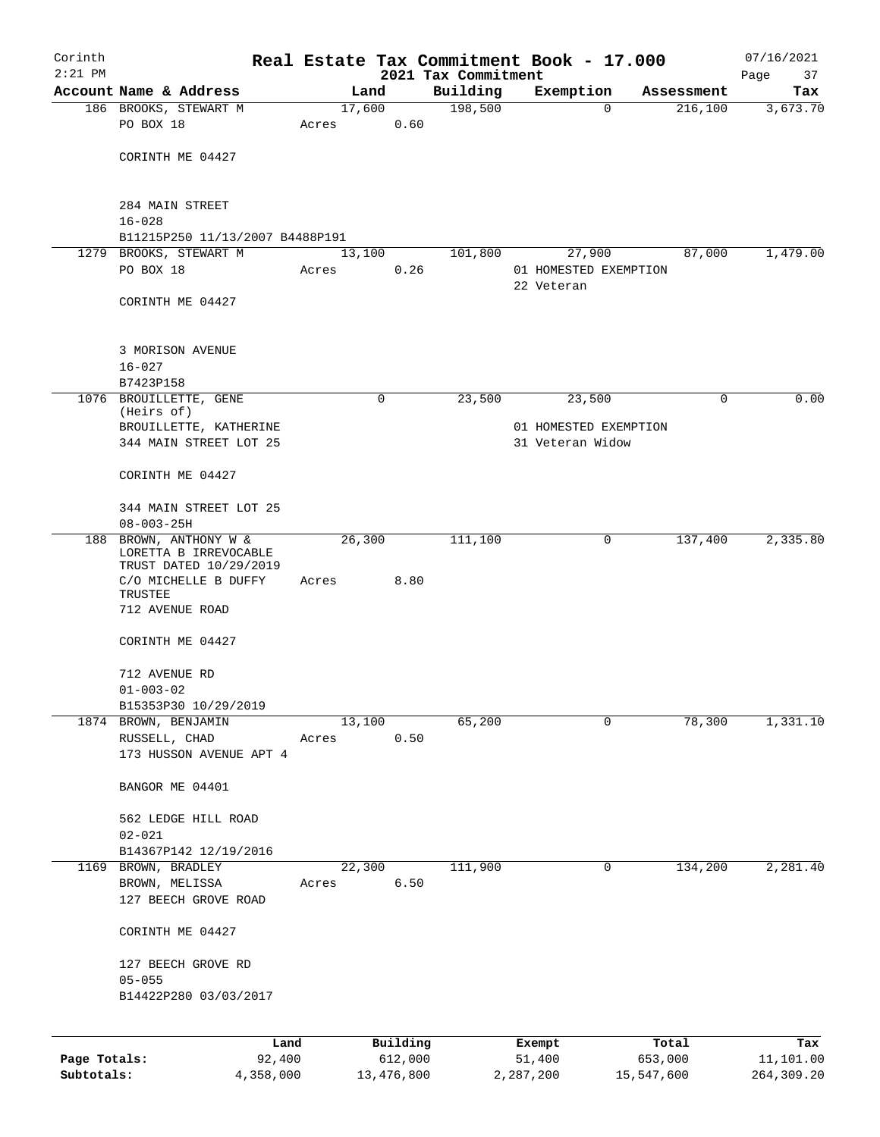| Corinth      |                                                 |        |       |                |             |      |                     | Real Estate Tax Commitment Book - 17.000 |         |                        | 07/16/2021      |
|--------------|-------------------------------------------------|--------|-------|----------------|-------------|------|---------------------|------------------------------------------|---------|------------------------|-----------------|
| $2:21$ PM    | Account Name & Address                          |        |       |                |             |      | 2021 Tax Commitment |                                          |         |                        | Page<br>37      |
|              |                                                 |        |       | Land<br>17,600 |             |      | Building<br>198,500 | Exemption<br>$\Omega$                    |         | Assessment<br>216, 100 | Tax<br>3,673.70 |
|              | 186 BROOKS, STEWART M<br>PO BOX 18              |        | Acres |                |             | 0.60 |                     |                                          |         |                        |                 |
|              |                                                 |        |       |                |             |      |                     |                                          |         |                        |                 |
|              | CORINTH ME 04427                                |        |       |                |             |      |                     |                                          |         |                        |                 |
|              |                                                 |        |       |                |             |      |                     |                                          |         |                        |                 |
|              |                                                 |        |       |                |             |      |                     |                                          |         |                        |                 |
|              | 284 MAIN STREET                                 |        |       |                |             |      |                     |                                          |         |                        |                 |
|              | $16 - 028$                                      |        |       |                |             |      |                     |                                          |         |                        |                 |
|              | B11215P250 11/13/2007 B4488P191                 |        |       |                |             |      |                     |                                          |         |                        |                 |
| 1279         | BROOKS, STEWART M                               |        |       | 13,100         |             |      | 101,800             | 27,900                                   |         | 87,000                 | 1,479.00        |
|              | PO BOX 18                                       |        | Acres |                |             | 0.26 |                     | 01 HOMESTED EXEMPTION                    |         |                        |                 |
|              |                                                 |        |       |                |             |      |                     | 22 Veteran                               |         |                        |                 |
|              | CORINTH ME 04427                                |        |       |                |             |      |                     |                                          |         |                        |                 |
|              |                                                 |        |       |                |             |      |                     |                                          |         |                        |                 |
|              | 3 MORISON AVENUE                                |        |       |                |             |      |                     |                                          |         |                        |                 |
|              | $16 - 027$                                      |        |       |                |             |      |                     |                                          |         |                        |                 |
|              | B7423P158                                       |        |       |                |             |      |                     |                                          |         |                        |                 |
| 1076         | BROUILLETTE, GENE                               |        |       |                | $\mathbf 0$ |      | 23,500              | 23,500                                   |         | 0                      | 0.00            |
|              | (Heirs of)                                      |        |       |                |             |      |                     |                                          |         |                        |                 |
|              | BROUILLETTE, KATHERINE                          |        |       |                |             |      |                     | 01 HOMESTED EXEMPTION                    |         |                        |                 |
|              | 344 MAIN STREET LOT 25                          |        |       |                |             |      |                     | 31 Veteran Widow                         |         |                        |                 |
|              | CORINTH ME 04427                                |        |       |                |             |      |                     |                                          |         |                        |                 |
|              |                                                 |        |       |                |             |      |                     |                                          |         |                        |                 |
|              | 344 MAIN STREET LOT 25<br>$08 - 003 - 25H$      |        |       |                |             |      |                     |                                          |         |                        |                 |
| 188          | BROWN, ANTHONY W &                              |        |       | 26,300         |             |      | 111,100             | 0                                        |         | 137,400                | 2,335.80        |
|              | LORETTA B IRREVOCABLE<br>TRUST DATED 10/29/2019 |        |       |                |             |      |                     |                                          |         |                        |                 |
|              | C/O MICHELLE B DUFFY                            |        | Acres |                |             | 8.80 |                     |                                          |         |                        |                 |
|              | TRUSTEE                                         |        |       |                |             |      |                     |                                          |         |                        |                 |
|              | 712 AVENUE ROAD                                 |        |       |                |             |      |                     |                                          |         |                        |                 |
|              |                                                 |        |       |                |             |      |                     |                                          |         |                        |                 |
|              | CORINTH ME 04427                                |        |       |                |             |      |                     |                                          |         |                        |                 |
|              | 712 AVENUE RD                                   |        |       |                |             |      |                     |                                          |         |                        |                 |
|              | $01 - 003 - 02$                                 |        |       |                |             |      |                     |                                          |         |                        |                 |
|              | B15353P30 10/29/2019                            |        |       |                |             |      |                     |                                          |         |                        |                 |
|              | 1874 BROWN, BENJAMIN                            |        |       | 13,100         |             |      | 65,200              | $\mathbf 0$                              |         | 78,300                 | 1,331.10        |
|              | RUSSELL, CHAD                                   |        | Acres |                |             | 0.50 |                     |                                          |         |                        |                 |
|              | 173 HUSSON AVENUE APT 4                         |        |       |                |             |      |                     |                                          |         |                        |                 |
|              |                                                 |        |       |                |             |      |                     |                                          |         |                        |                 |
|              | BANGOR ME 04401                                 |        |       |                |             |      |                     |                                          |         |                        |                 |
|              | 562 LEDGE HILL ROAD                             |        |       |                |             |      |                     |                                          |         |                        |                 |
|              | $02 - 021$                                      |        |       |                |             |      |                     |                                          |         |                        |                 |
|              | B14367P142 12/19/2016                           |        |       |                |             |      |                     |                                          |         |                        |                 |
| 1169         | BROWN, BRADLEY                                  |        |       | 22,300         |             |      | 111,900             | 0                                        |         | 134,200                | 2,281.40        |
|              | BROWN, MELISSA                                  |        | Acres |                |             | 6.50 |                     |                                          |         |                        |                 |
|              | 127 BEECH GROVE ROAD                            |        |       |                |             |      |                     |                                          |         |                        |                 |
|              |                                                 |        |       |                |             |      |                     |                                          |         |                        |                 |
|              | CORINTH ME 04427                                |        |       |                |             |      |                     |                                          |         |                        |                 |
|              | 127 BEECH GROVE RD                              |        |       |                |             |      |                     |                                          |         |                        |                 |
|              | $05 - 055$                                      |        |       |                |             |      |                     |                                          |         |                        |                 |
|              | B14422P280 03/03/2017                           |        |       |                |             |      |                     |                                          |         |                        |                 |
|              |                                                 |        |       |                |             |      |                     |                                          |         |                        |                 |
|              |                                                 | Land   |       |                | Building    |      |                     | Exempt                                   | Total   |                        | Tax             |
| Page Totals: |                                                 | 92,400 |       |                | 612,000     |      |                     | 51,400                                   | 653,000 |                        | 11,101.00       |

**Subtotals:** 4,358,000 13,476,800 2,287,200 15,547,600 264,309.20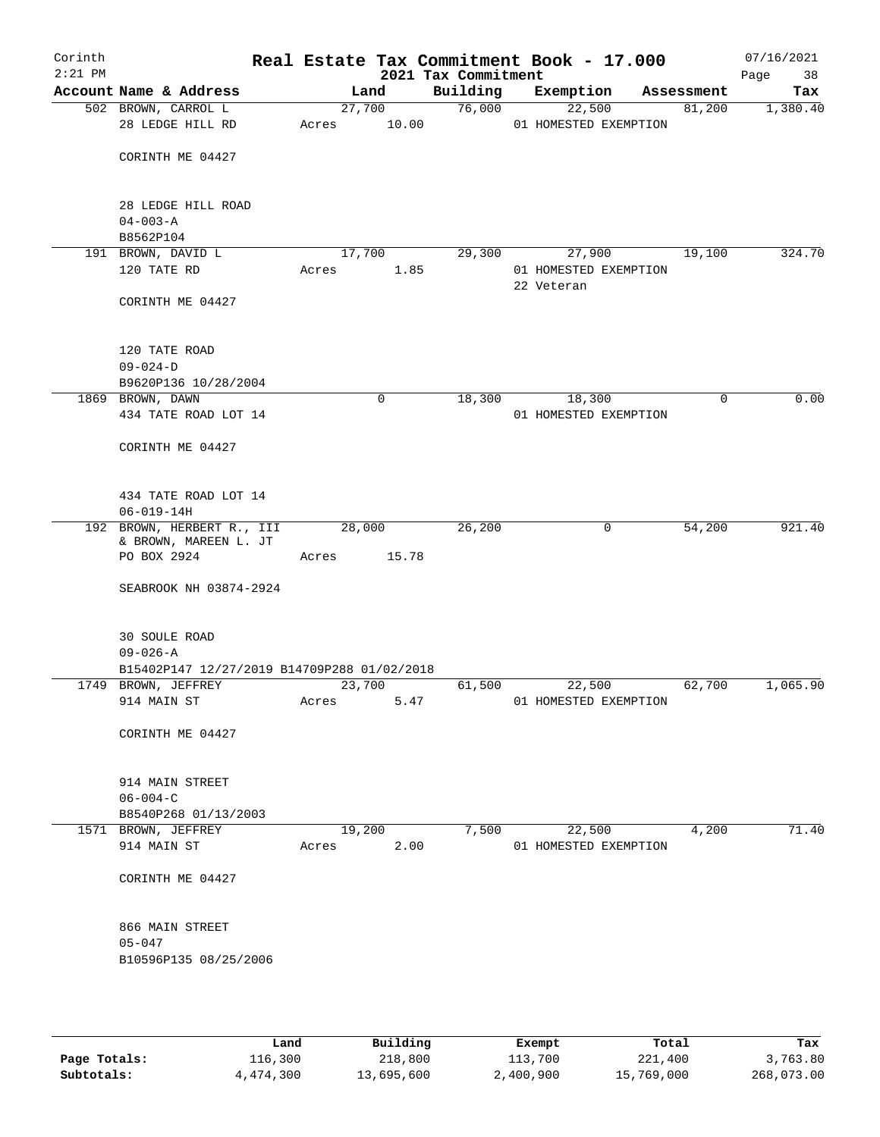| Corinth<br>$2:21$ PM |                                                     |       |                | 2021 Tax Commitment | Real Estate Tax Commitment Book - 17.000 |            | 07/16/2021<br>Page<br>38 |
|----------------------|-----------------------------------------------------|-------|----------------|---------------------|------------------------------------------|------------|--------------------------|
|                      | Account Name & Address                              |       | Land           | Building            | Exemption                                | Assessment | Tax                      |
|                      | 502 BROWN, CARROL L                                 |       | 27,700         | 76,000              | 22,500                                   | 81,200     | 1,380.40                 |
|                      | 28 LEDGE HILL RD                                    | Acres | 10.00          |                     | 01 HOMESTED EXEMPTION                    |            |                          |
|                      | CORINTH ME 04427                                    |       |                |                     |                                          |            |                          |
|                      | 28 LEDGE HILL ROAD                                  |       |                |                     |                                          |            |                          |
|                      | $04 - 003 - A$<br>B8562P104                         |       |                |                     |                                          |            |                          |
|                      | 191 BROWN, DAVID L                                  |       | 17,700         | 29,300              | 27,900                                   | 19,100     | 324.70                   |
|                      | 120 TATE RD                                         | Acres | 1.85           |                     | 01 HOMESTED EXEMPTION<br>22 Veteran      |            |                          |
|                      | CORINTH ME 04427                                    |       |                |                     |                                          |            |                          |
|                      | 120 TATE ROAD                                       |       |                |                     |                                          |            |                          |
|                      | $09 - 024 - D$                                      |       |                |                     |                                          |            |                          |
|                      | B9620P136 10/28/2004                                |       |                |                     |                                          |            |                          |
|                      | 1869 BROWN, DAWN                                    |       | 0              | 18,300              | 18,300                                   | 0          | 0.00                     |
|                      | 434 TATE ROAD LOT 14                                |       |                |                     | 01 HOMESTED EXEMPTION                    |            |                          |
|                      | CORINTH ME 04427                                    |       |                |                     |                                          |            |                          |
|                      | 434 TATE ROAD LOT 14                                |       |                |                     |                                          |            |                          |
|                      | $06 - 019 - 14H$                                    |       |                |                     |                                          |            |                          |
|                      | 192 BROWN, HERBERT R., III<br>& BROWN, MAREEN L. JT |       | 28,000         | 26,200              | 0                                        | 54,200     | 921.40                   |
|                      | PO BOX 2924                                         | Acres | 15.78          |                     |                                          |            |                          |
|                      | SEABROOK NH 03874-2924                              |       |                |                     |                                          |            |                          |
|                      | <b>30 SOULE ROAD</b><br>$09 - 026 - A$              |       |                |                     |                                          |            |                          |
|                      | B15402P147 12/27/2019 B14709P288 01/02/2018         |       |                |                     |                                          |            |                          |
|                      | 1749 BROWN, JEFFREY                                 |       | 23,700         | 61,500              | 22,500                                   | 62,700     | 1,065.90                 |
|                      | 914 MAIN ST                                         | Acres | 5.47           |                     | 01 HOMESTED EXEMPTION                    |            |                          |
|                      | CORINTH ME 04427                                    |       |                |                     |                                          |            |                          |
|                      | 914 MAIN STREET<br>$06 - 004 - C$                   |       |                |                     |                                          |            |                          |
|                      | B8540P268 01/13/2003                                |       |                |                     |                                          |            |                          |
|                      | 1571 BROWN, JEFFREY<br>914 MAIN ST                  | Acres | 19,200<br>2.00 | 7,500               | 22,500<br>01 HOMESTED EXEMPTION          | 4,200      | 71.40                    |
|                      |                                                     |       |                |                     |                                          |            |                          |
|                      | CORINTH ME 04427                                    |       |                |                     |                                          |            |                          |
|                      | 866 MAIN STREET                                     |       |                |                     |                                          |            |                          |
|                      | $05 - 047$                                          |       |                |                     |                                          |            |                          |
|                      | B10596P135 08/25/2006                               |       |                |                     |                                          |            |                          |
|                      |                                                     |       |                |                     |                                          |            |                          |

|              | Land      | Building   | Exempt    | Total      | Tax        |
|--------------|-----------|------------|-----------|------------|------------|
| Page Totals: | 116,300   | 218,800    | 113,700   | 221,400    | 3,763.80   |
| Subtotals:   | 4,474,300 | 13,695,600 | 2,400,900 | 15,769,000 | 268,073.00 |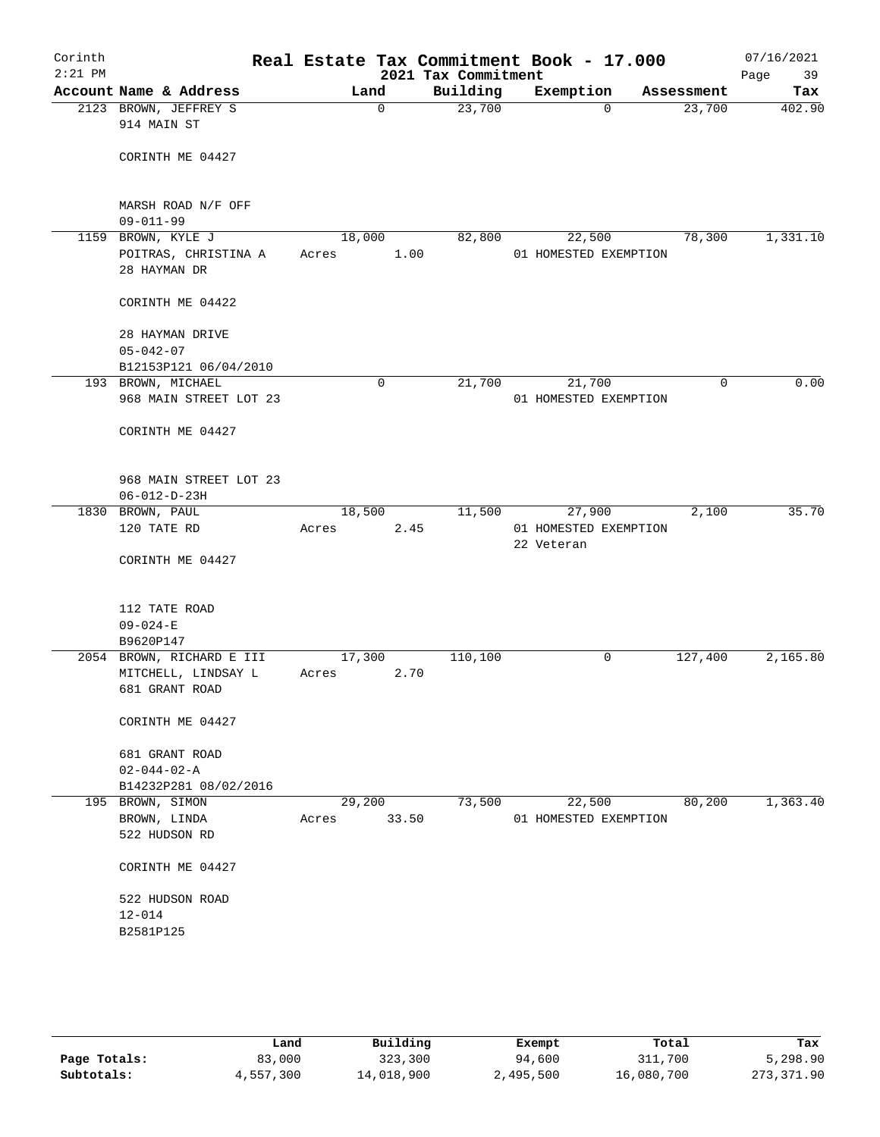| Corinth<br>$2:21$ PM |                                                                    |                 |             | Real Estate Tax Commitment Book - 17.000<br>2021 Tax Commitment |            |                                 |            | 07/16/2021<br>Page<br>39 |
|----------------------|--------------------------------------------------------------------|-----------------|-------------|-----------------------------------------------------------------|------------|---------------------------------|------------|--------------------------|
|                      | Account Name & Address                                             |                 | Land        | Building                                                        |            | Exemption                       | Assessment | Tax                      |
|                      | 2123 BROWN, JEFFREY S<br>914 MAIN ST                               |                 | $\mathbf 0$ | 23,700                                                          |            | $\mathbf 0$                     | 23,700     | 402.90                   |
|                      | CORINTH ME 04427                                                   |                 |             |                                                                 |            |                                 |            |                          |
|                      | MARSH ROAD N/F OFF<br>$09 - 011 - 99$                              |                 |             |                                                                 |            |                                 |            |                          |
|                      | 1159 BROWN, KYLE J                                                 | 18,000          |             | 82,800                                                          |            | 22,500                          | 78,300     | 1,331.10                 |
|                      | POITRAS, CHRISTINA A<br>28 HAYMAN DR                               | Acres           | 1.00        |                                                                 |            | 01 HOMESTED EXEMPTION           |            |                          |
|                      | CORINTH ME 04422                                                   |                 |             |                                                                 |            |                                 |            |                          |
|                      | 28 HAYMAN DRIVE<br>$05 - 042 - 07$<br>B12153P121 06/04/2010        |                 |             |                                                                 |            |                                 |            |                          |
|                      | 193 BROWN, MICHAEL                                                 |                 | 0           | 21,700                                                          |            | 21,700                          | 0          | 0.00                     |
|                      | 968 MAIN STREET LOT 23                                             |                 |             |                                                                 |            | 01 HOMESTED EXEMPTION           |            |                          |
|                      | CORINTH ME 04427                                                   |                 |             |                                                                 |            |                                 |            |                          |
|                      | 968 MAIN STREET LOT 23                                             |                 |             |                                                                 |            |                                 |            |                          |
|                      | $06 - 012 - D - 23H$                                               |                 |             |                                                                 |            |                                 |            | 35.70                    |
|                      | 1830 BROWN, PAUL<br>120 TATE RD                                    | 18,500<br>Acres | 2.45        | 11,500                                                          | 22 Veteran | 27,900<br>01 HOMESTED EXEMPTION | 2,100      |                          |
|                      | CORINTH ME 04427                                                   |                 |             |                                                                 |            |                                 |            |                          |
|                      | 112 TATE ROAD<br>$09 - 024 - E$                                    |                 |             |                                                                 |            |                                 |            |                          |
|                      | B9620P147                                                          |                 |             |                                                                 |            |                                 |            |                          |
|                      | 2054 BROWN, RICHARD E III<br>MITCHELL, LINDSAY L<br>681 GRANT ROAD | 17,300<br>Acres | 2.70        | 110,100                                                         |            | 0                               | 127,400    | 2,165.80                 |
|                      | CORINTH ME 04427                                                   |                 |             |                                                                 |            |                                 |            |                          |
|                      | 681 GRANT ROAD<br>$02 - 044 - 02 - A$<br>B14232P281 08/02/2016     |                 |             |                                                                 |            |                                 |            |                          |
|                      | 195 BROWN, SIMON<br>BROWN, LINDA<br>522 HUDSON RD                  | 29,200<br>Acres | 33.50       | 73,500                                                          |            | 22,500<br>01 HOMESTED EXEMPTION | 80,200     | 1,363.40                 |
|                      | CORINTH ME 04427                                                   |                 |             |                                                                 |            |                                 |            |                          |
|                      | 522 HUDSON ROAD<br>$12 - 014$                                      |                 |             |                                                                 |            |                                 |            |                          |
|                      | B2581P125                                                          |                 |             |                                                                 |            |                                 |            |                          |
|                      |                                                                    |                 |             |                                                                 |            |                                 |            |                          |

|              | Land      | Building   | Exempt    | Total      | Tax        |
|--------------|-----------|------------|-----------|------------|------------|
| Page Totals: | 83,000    | 323,300    | 94,600    | 311,700    | 5,298.90   |
| Subtotals:   | 4,557,300 | 14,018,900 | 2,495,500 | 16,080,700 | 273,371.90 |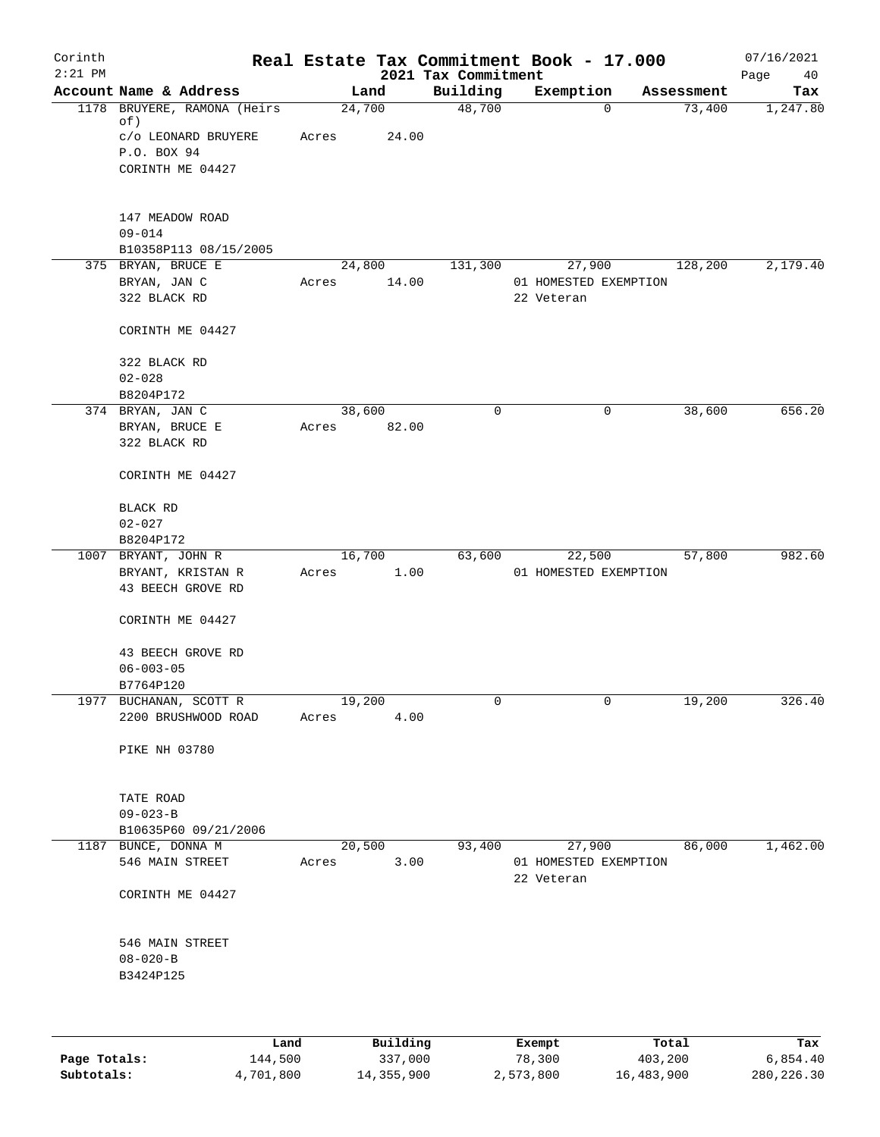| Corinth      |                                        |                 |          |                                 | Real Estate Tax Commitment Book - 17.000 |         |            | 07/16/2021        |
|--------------|----------------------------------------|-----------------|----------|---------------------------------|------------------------------------------|---------|------------|-------------------|
| $2:21$ PM    | Account Name & Address                 |                 | Land     | 2021 Tax Commitment<br>Building | Exemption                                |         | Assessment | Page<br>40<br>Tax |
|              | 1178 BRUYERE, RAMONA (Heirs)           | 24,700          |          | 48,700                          |                                          | 0       | 73,400     | 1,247.80          |
|              | of)                                    |                 |          |                                 |                                          |         |            |                   |
|              | C/O LEONARD BRUYERE                    | Acres           | 24.00    |                                 |                                          |         |            |                   |
|              | P.O. BOX 94<br>CORINTH ME 04427        |                 |          |                                 |                                          |         |            |                   |
|              |                                        |                 |          |                                 |                                          |         |            |                   |
|              | 147 MEADOW ROAD                        |                 |          |                                 |                                          |         |            |                   |
|              | $09 - 014$                             |                 |          |                                 |                                          |         |            |                   |
|              | B10358P113 08/15/2005                  |                 |          |                                 |                                          |         |            |                   |
|              | 375 BRYAN, BRUCE E                     | 24,800          |          | 131,300                         | 27,900                                   |         | 128,200    | 2,179.40          |
|              | BRYAN, JAN C                           | Acres           | 14.00    |                                 | 01 HOMESTED EXEMPTION                    |         |            |                   |
|              | 322 BLACK RD                           |                 |          |                                 | 22 Veteran                               |         |            |                   |
|              | CORINTH ME 04427                       |                 |          |                                 |                                          |         |            |                   |
|              | 322 BLACK RD                           |                 |          |                                 |                                          |         |            |                   |
|              | $02 - 028$                             |                 |          |                                 |                                          |         |            |                   |
|              | B8204P172<br>374 BRYAN, JAN C          | 38,600          |          | 0                               |                                          | 0       | 38,600     | 656.20            |
|              | BRYAN, BRUCE E                         | Acres           | 82.00    |                                 |                                          |         |            |                   |
|              | 322 BLACK RD                           |                 |          |                                 |                                          |         |            |                   |
|              | CORINTH ME 04427                       |                 |          |                                 |                                          |         |            |                   |
|              | BLACK RD                               |                 |          |                                 |                                          |         |            |                   |
|              | $02 - 027$                             |                 |          |                                 |                                          |         |            |                   |
|              | B8204P172                              |                 |          |                                 |                                          |         |            |                   |
|              | 1007 BRYANT, JOHN R                    | 16,700          |          | 63,600                          | 22,500                                   |         | 57,800     | 982.60            |
|              | BRYANT, KRISTAN R<br>43 BEECH GROVE RD | Acres           | 1.00     |                                 | 01 HOMESTED EXEMPTION                    |         |            |                   |
|              | CORINTH ME 04427                       |                 |          |                                 |                                          |         |            |                   |
|              |                                        |                 |          |                                 |                                          |         |            |                   |
|              | 43 BEECH GROVE RD                      |                 |          |                                 |                                          |         |            |                   |
|              | $06 - 003 - 05$<br>B7764P120           |                 |          |                                 |                                          |         |            |                   |
|              | 1977 BUCHANAN, SCOTT R                 | 19,200          |          | 0                               |                                          | 0       | 19,200     | 326.40            |
|              | 2200 BRUSHWOOD ROAD                    | Acres           | 4.00     |                                 |                                          |         |            |                   |
|              | <b>PIKE NH 03780</b>                   |                 |          |                                 |                                          |         |            |                   |
|              |                                        |                 |          |                                 |                                          |         |            |                   |
|              | TATE ROAD                              |                 |          |                                 |                                          |         |            |                   |
|              | $09 - 023 - B$                         |                 |          |                                 |                                          |         |            |                   |
|              | B10635P60 09/21/2006                   |                 |          |                                 |                                          |         |            |                   |
|              | 1187 BUNCE, DONNA M<br>546 MAIN STREET | 20,500<br>Acres | 3.00     | 93,400                          | 27,900<br>01 HOMESTED EXEMPTION          |         | 86,000     | 1,462.00          |
|              | CORINTH ME 04427                       |                 |          |                                 | 22 Veteran                               |         |            |                   |
|              | 546 MAIN STREET                        |                 |          |                                 |                                          |         |            |                   |
|              | $08 - 020 - B$                         |                 |          |                                 |                                          |         |            |                   |
|              | B3424P125                              |                 |          |                                 |                                          |         |            |                   |
|              |                                        |                 |          |                                 |                                          |         |            |                   |
|              | Land                                   |                 | Building |                                 | Exempt                                   | Total   |            | Tax               |
| Page Totals: | 144,500                                |                 | 337,000  |                                 | 78,300                                   | 403,200 |            | 6,854.40          |

**Subtotals:** 4,701,800 14,355,900 2,573,800 16,483,900 280,226.30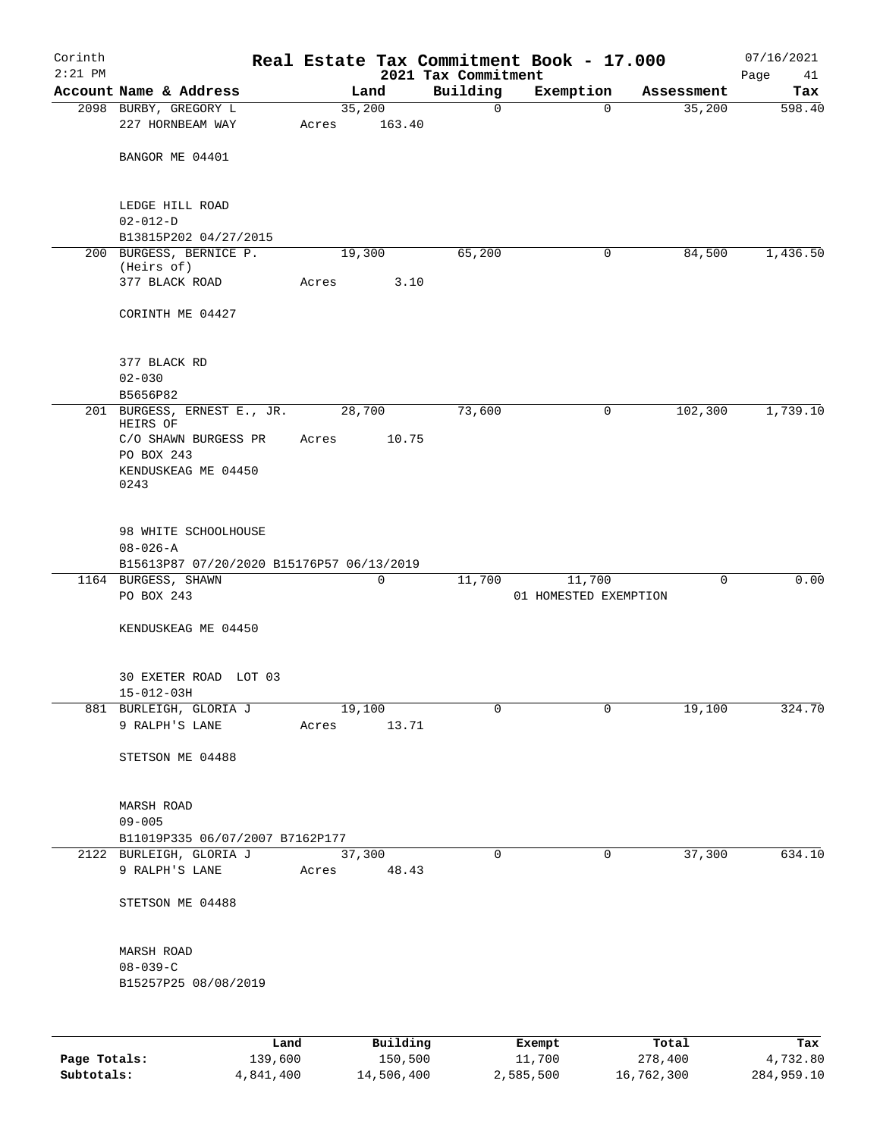| Corinth      |                                                            |       |                 |                                 | Real Estate Tax Commitment Book - 17.000 |                      | 07/16/2021    |
|--------------|------------------------------------------------------------|-------|-----------------|---------------------------------|------------------------------------------|----------------------|---------------|
| $2:21$ PM    | Account Name & Address                                     |       |                 | 2021 Tax Commitment<br>Building |                                          |                      | Page<br>41    |
|              | 2098 BURBY, GREGORY L                                      |       | Land<br>35,200  | $\mathbf 0$                     | Exemption<br>$\mathbf 0$                 | Assessment<br>35,200 | Tax<br>598.40 |
|              | 227 HORNBEAM WAY                                           | Acres | 163.40          |                                 |                                          |                      |               |
|              | BANGOR ME 04401                                            |       |                 |                                 |                                          |                      |               |
|              | LEDGE HILL ROAD<br>$02 - 012 - D$                          |       |                 |                                 |                                          |                      |               |
|              | B13815P202 04/27/2015                                      |       |                 |                                 |                                          |                      |               |
|              | 200 BURGESS, BERNICE P.<br>(Heirs of)                      |       | 19,300          | 65,200                          | 0                                        | 84,500               | 1,436.50      |
|              | 377 BLACK ROAD                                             | Acres | 3.10            |                                 |                                          |                      |               |
|              | CORINTH ME 04427                                           |       |                 |                                 |                                          |                      |               |
|              | 377 BLACK RD                                               |       |                 |                                 |                                          |                      |               |
|              | $02 - 030$<br>B5656P82                                     |       |                 |                                 |                                          |                      |               |
|              | 201 BURGESS, ERNEST E., JR.                                |       | 28,700          | 73,600                          | 0                                        | 102,300              | 1,739.10      |
|              | HEIRS OF<br>C/O SHAWN BURGESS PR                           | Acres | 10.75           |                                 |                                          |                      |               |
|              | PO BOX 243<br>KENDUSKEAG ME 04450<br>0243                  |       |                 |                                 |                                          |                      |               |
|              |                                                            |       |                 |                                 |                                          |                      |               |
|              | 98 WHITE SCHOOLHOUSE<br>$08 - 026 - A$                     |       |                 |                                 |                                          |                      |               |
|              | B15613P87 07/20/2020 B15176P57 06/13/2019                  |       | $\overline{0}$  |                                 |                                          |                      |               |
|              | 1164 BURGESS, SHAWN<br>PO BOX 243                          |       |                 | 11,700                          | 11,700<br>01 HOMESTED EXEMPTION          | 0                    | 0.00          |
|              | KENDUSKEAG ME 04450                                        |       |                 |                                 |                                          |                      |               |
|              | 30 EXETER ROAD LOT 03<br>$15 - 012 - 03H$                  |       |                 |                                 |                                          |                      |               |
|              | 881 BURLEIGH, GLORIA J<br>9 RALPH'S LANE                   | Acres | 19,100<br>13.71 | $\mathbf 0$                     | $\mathbf 0$                              | 19,100               | 324.70        |
|              |                                                            |       |                 |                                 |                                          |                      |               |
|              | STETSON ME 04488                                           |       |                 |                                 |                                          |                      |               |
|              | MARSH ROAD                                                 |       |                 |                                 |                                          |                      |               |
|              | $09 - 005$                                                 |       |                 |                                 |                                          |                      |               |
|              | B11019P335 06/07/2007 B7162P177<br>2122 BURLEIGH, GLORIA J |       | 37,300          | $\mathbf 0$                     | 0                                        | 37,300               | 634.10        |
|              | 9 RALPH'S LANE                                             | Acres | 48.43           |                                 |                                          |                      |               |
|              | STETSON ME 04488                                           |       |                 |                                 |                                          |                      |               |
|              | MARSH ROAD                                                 |       |                 |                                 |                                          |                      |               |
|              | $08 - 039 - C$<br>B15257P25 08/08/2019                     |       |                 |                                 |                                          |                      |               |
|              |                                                            |       |                 |                                 |                                          |                      |               |
|              | Land                                                       |       | Building        |                                 | Exempt                                   | Total                | Tax           |
| Page Totals: | 139,600                                                    |       | 150,500         |                                 | 11,700                                   | 278,400              | 4,732.80      |

**Subtotals:** 4,841,400 14,506,400 2,585,500 16,762,300 284,959.10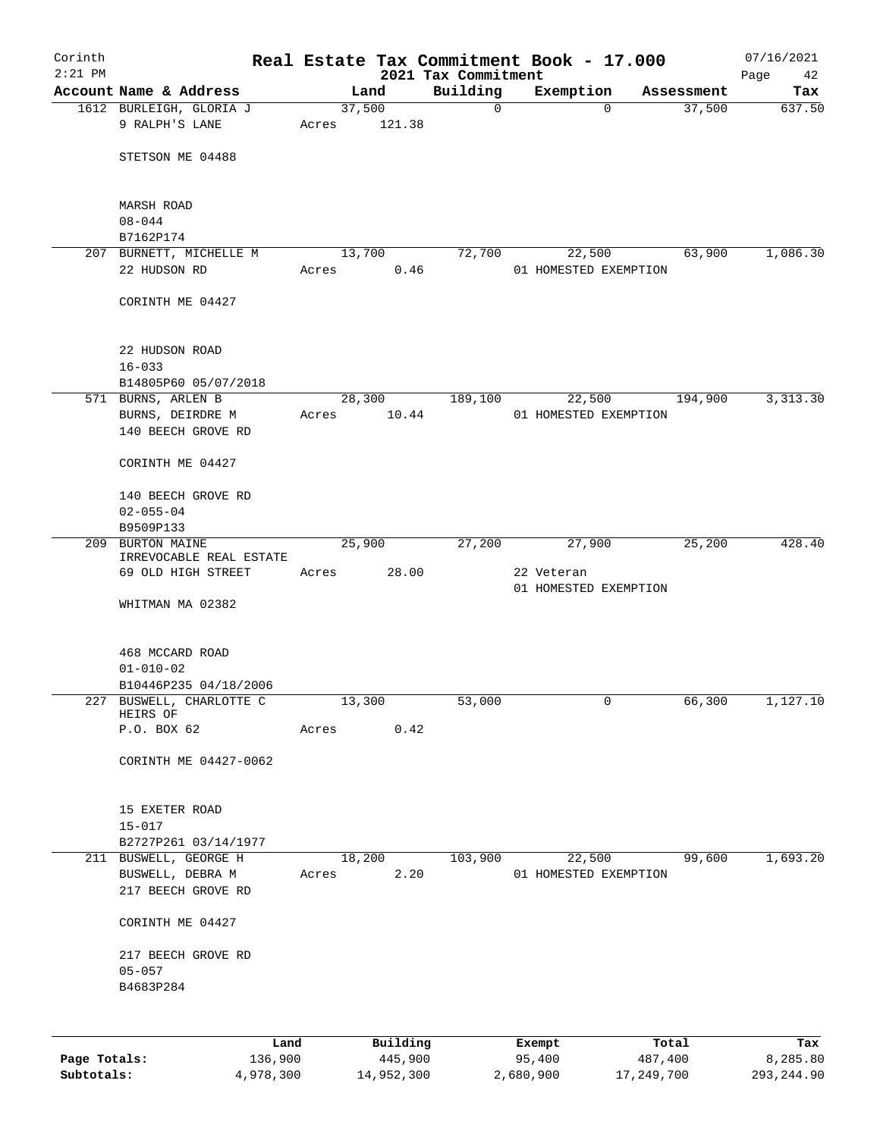| Corinth      |                                            |       |                     |                                 | Real Estate Tax Commitment Book - 17.000 |                  | 07/16/2021        |
|--------------|--------------------------------------------|-------|---------------------|---------------------------------|------------------------------------------|------------------|-------------------|
| $2:21$ PM    | Account Name & Address                     |       | Land                | 2021 Tax Commitment<br>Building | Exemption                                | Assessment       | Page<br>42<br>Tax |
|              | 1612 BURLEIGH, GLORIA J                    |       | 37,500              | $\mathbf 0$                     | $\Omega$                                 | 37,500           | 637.50            |
|              | 9 RALPH'S LANE                             | Acres | 121.38              |                                 |                                          |                  |                   |
|              |                                            |       |                     |                                 |                                          |                  |                   |
|              | STETSON ME 04488                           |       |                     |                                 |                                          |                  |                   |
|              |                                            |       |                     |                                 |                                          |                  |                   |
|              | MARSH ROAD                                 |       |                     |                                 |                                          |                  |                   |
|              | $08 - 044$                                 |       |                     |                                 |                                          |                  |                   |
|              | B7162P174                                  |       |                     |                                 |                                          |                  |                   |
|              | 207 BURNETT, MICHELLE M                    |       | 13,700              | 72,700                          | 22,500                                   | 63,900           | 1,086.30          |
|              | 22 HUDSON RD                               | Acres | 0.46                |                                 | 01 HOMESTED EXEMPTION                    |                  |                   |
|              | CORINTH ME 04427                           |       |                     |                                 |                                          |                  |                   |
|              |                                            |       |                     |                                 |                                          |                  |                   |
|              |                                            |       |                     |                                 |                                          |                  |                   |
|              | 22 HUDSON ROAD                             |       |                     |                                 |                                          |                  |                   |
|              | $16 - 033$                                 |       |                     |                                 |                                          |                  |                   |
|              | B14805P60 05/07/2018<br>571 BURNS, ARLEN B |       |                     |                                 |                                          |                  | 3, 313.30         |
|              | BURNS, DEIRDRE M                           | Acres | 28,300<br>10.44     | 189,100                         | 22,500<br>01 HOMESTED EXEMPTION          | 194,900          |                   |
|              | 140 BEECH GROVE RD                         |       |                     |                                 |                                          |                  |                   |
|              |                                            |       |                     |                                 |                                          |                  |                   |
|              | CORINTH ME 04427                           |       |                     |                                 |                                          |                  |                   |
|              |                                            |       |                     |                                 |                                          |                  |                   |
|              | 140 BEECH GROVE RD<br>$02 - 055 - 04$      |       |                     |                                 |                                          |                  |                   |
|              | B9509P133                                  |       |                     |                                 |                                          |                  |                   |
|              | 209 BURTON MAINE                           |       | 25,900              | 27,200                          | 27,900                                   | 25,200           | 428.40            |
|              | IRREVOCABLE REAL ESTATE                    |       |                     |                                 |                                          |                  |                   |
|              | 69 OLD HIGH STREET                         | Acres | 28.00               |                                 | 22 Veteran<br>01 HOMESTED EXEMPTION      |                  |                   |
|              | WHITMAN MA 02382                           |       |                     |                                 |                                          |                  |                   |
|              |                                            |       |                     |                                 |                                          |                  |                   |
|              |                                            |       |                     |                                 |                                          |                  |                   |
|              | 468 MCCARD ROAD                            |       |                     |                                 |                                          |                  |                   |
|              | $01 - 010 - 02$<br>B10446P235 04/18/2006   |       |                     |                                 |                                          |                  |                   |
|              | 227 BUSWELL, CHARLOTTE C                   |       | 13,300              | 53,000                          | 0                                        | 66,300           | 1,127.10          |
|              | HEIRS OF                                   |       |                     |                                 |                                          |                  |                   |
|              | P.O. BOX 62                                | Acres | 0.42                |                                 |                                          |                  |                   |
|              | CORINTH ME 04427-0062                      |       |                     |                                 |                                          |                  |                   |
|              |                                            |       |                     |                                 |                                          |                  |                   |
|              |                                            |       |                     |                                 |                                          |                  |                   |
|              | 15 EXETER ROAD                             |       |                     |                                 |                                          |                  |                   |
|              | $15 - 017$<br>B2727P261 03/14/1977         |       |                     |                                 |                                          |                  |                   |
|              | 211 BUSWELL, GEORGE H                      |       | 18,200              | 103,900                         | 22,500                                   | 99,600           | 1,693.20          |
|              | BUSWELL, DEBRA M                           | Acres | 2.20                |                                 | 01 HOMESTED EXEMPTION                    |                  |                   |
|              | 217 BEECH GROVE RD                         |       |                     |                                 |                                          |                  |                   |
|              |                                            |       |                     |                                 |                                          |                  |                   |
|              | CORINTH ME 04427                           |       |                     |                                 |                                          |                  |                   |
|              | 217 BEECH GROVE RD                         |       |                     |                                 |                                          |                  |                   |
|              | $05 - 057$                                 |       |                     |                                 |                                          |                  |                   |
|              | B4683P284                                  |       |                     |                                 |                                          |                  |                   |
|              |                                            |       |                     |                                 |                                          |                  |                   |
|              |                                            |       |                     |                                 |                                          |                  |                   |
| Page Totals: | Land<br>136,900                            |       | Building<br>445,900 |                                 | Exempt<br>95,400                         | Total<br>487,400 | Tax<br>8,285.80   |
|              |                                            |       |                     |                                 |                                          |                  |                   |

**Subtotals:** 4,978,300 14,952,300 2,680,900 17,249,700 293,244.90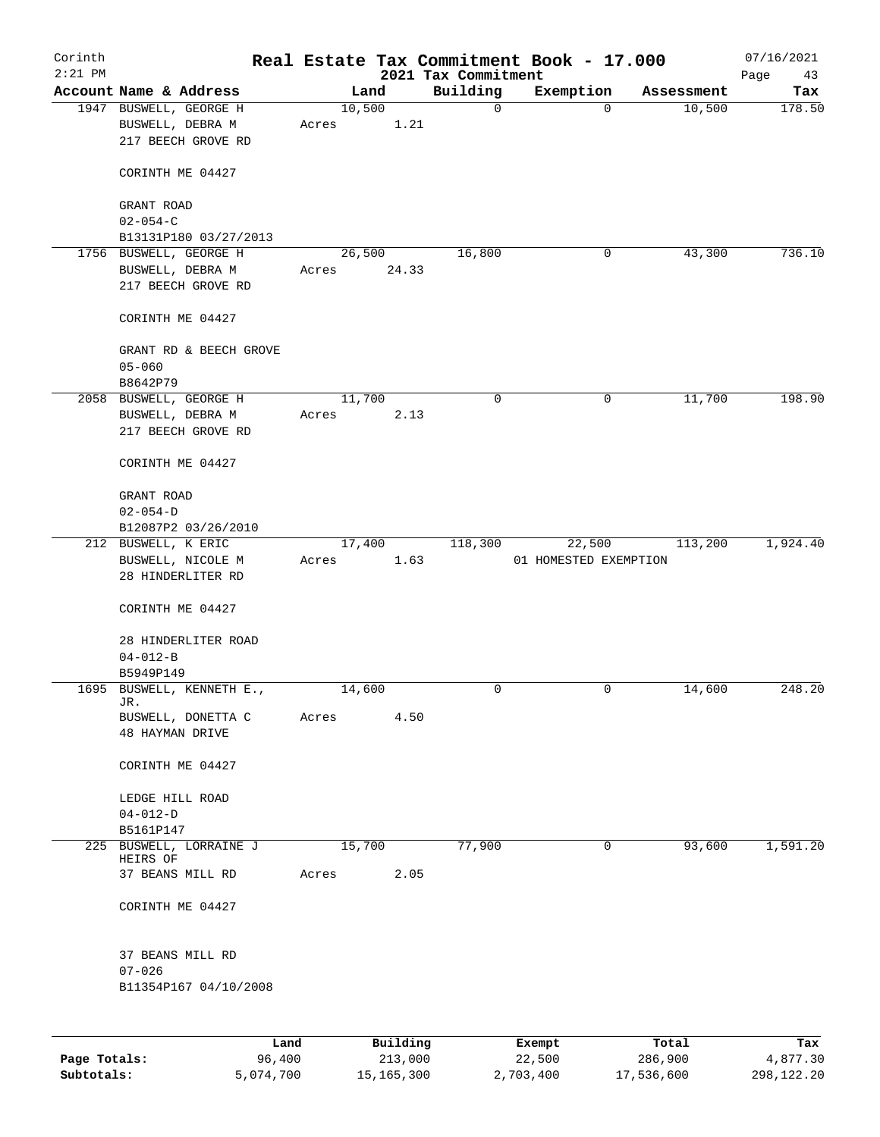| Corinth<br>$2:21$ PM |                                                                  |       |        |          | 2021 Tax Commitment | Real Estate Tax Commitment Book - 17.000 |            | 07/16/2021<br>Page<br>43 |
|----------------------|------------------------------------------------------------------|-------|--------|----------|---------------------|------------------------------------------|------------|--------------------------|
|                      | Account Name & Address                                           |       | Land   |          | Building            | Exemption                                | Assessment | Tax                      |
|                      | 1947 BUSWELL, GEORGE H<br>BUSWELL, DEBRA M<br>217 BEECH GROVE RD | Acres | 10,500 | 1.21     | 0                   | $\Omega$                                 | 10,500     | 178.50                   |
|                      | CORINTH ME 04427                                                 |       |        |          |                     |                                          |            |                          |
|                      | GRANT ROAD<br>$02 - 054 - C$                                     |       |        |          |                     |                                          |            |                          |
|                      | B13131P180 03/27/2013                                            |       |        |          |                     |                                          |            |                          |
|                      | 1756 BUSWELL, GEORGE H                                           |       | 26,500 |          | 16,800              | 0                                        | 43,300     | 736.10                   |
|                      | BUSWELL, DEBRA M<br>217 BEECH GROVE RD                           | Acres |        | 24.33    |                     |                                          |            |                          |
|                      | CORINTH ME 04427                                                 |       |        |          |                     |                                          |            |                          |
|                      | GRANT RD & BEECH GROVE<br>$05 - 060$<br>B8642P79                 |       |        |          |                     |                                          |            |                          |
|                      | 2058 BUSWELL, GEORGE H                                           |       | 11,700 |          | 0                   | $\mathbf 0$                              | 11,700     | 198.90                   |
|                      | BUSWELL, DEBRA M<br>217 BEECH GROVE RD                           | Acres |        | 2.13     |                     |                                          |            |                          |
|                      | CORINTH ME 04427                                                 |       |        |          |                     |                                          |            |                          |
|                      | GRANT ROAD                                                       |       |        |          |                     |                                          |            |                          |
|                      | $02 - 054 - D$                                                   |       |        |          |                     |                                          |            |                          |
|                      | B12087P2 03/26/2010                                              |       |        |          |                     |                                          |            |                          |
|                      | 212 BUSWELL, K ERIC                                              |       | 17,400 |          | 118,300             | 22,500                                   | 113,200    | 1,924.40                 |
|                      | BUSWELL, NICOLE M<br>28 HINDERLITER RD                           | Acres |        | 1.63     |                     | 01 HOMESTED EXEMPTION                    |            |                          |
|                      | CORINTH ME 04427                                                 |       |        |          |                     |                                          |            |                          |
|                      | 28 HINDERLITER ROAD<br>$04 - 012 - B$                            |       |        |          |                     |                                          |            |                          |
|                      | B5949P149                                                        |       |        |          |                     |                                          |            |                          |
|                      | 1695 BUSWELL, KENNETH E.,                                        |       | 14,600 |          | 0                   | 0                                        | 14,600     | 248.20                   |
|                      | JR.<br>BUSWELL, DONETTA C<br><b>48 HAYMAN DRIVE</b>              | Acres |        | 4.50     |                     |                                          |            |                          |
|                      | CORINTH ME 04427                                                 |       |        |          |                     |                                          |            |                          |
|                      | LEDGE HILL ROAD                                                  |       |        |          |                     |                                          |            |                          |
|                      | $04 - 012 - D$                                                   |       |        |          |                     |                                          |            |                          |
|                      | B5161P147<br>225 BUSWELL, LORRAINE J<br>HEIRS OF                 |       | 15,700 |          | 77,900              | $\mathbf 0$                              | 93,600     | 1,591.20                 |
|                      | 37 BEANS MILL RD                                                 | Acres |        | 2.05     |                     |                                          |            |                          |
|                      | CORINTH ME 04427                                                 |       |        |          |                     |                                          |            |                          |
|                      | 37 BEANS MILL RD<br>$07 - 026$<br>B11354P167 04/10/2008          |       |        |          |                     |                                          |            |                          |
|                      |                                                                  | Land  |        | Building |                     | Exempt                                   | Total      | Tax                      |

**Page Totals:** 96,400 213,000 22,500 286,900 4,877.30 **Subtotals:** 5,074,700 15,165,300 2,703,400 17,536,600 298,122.20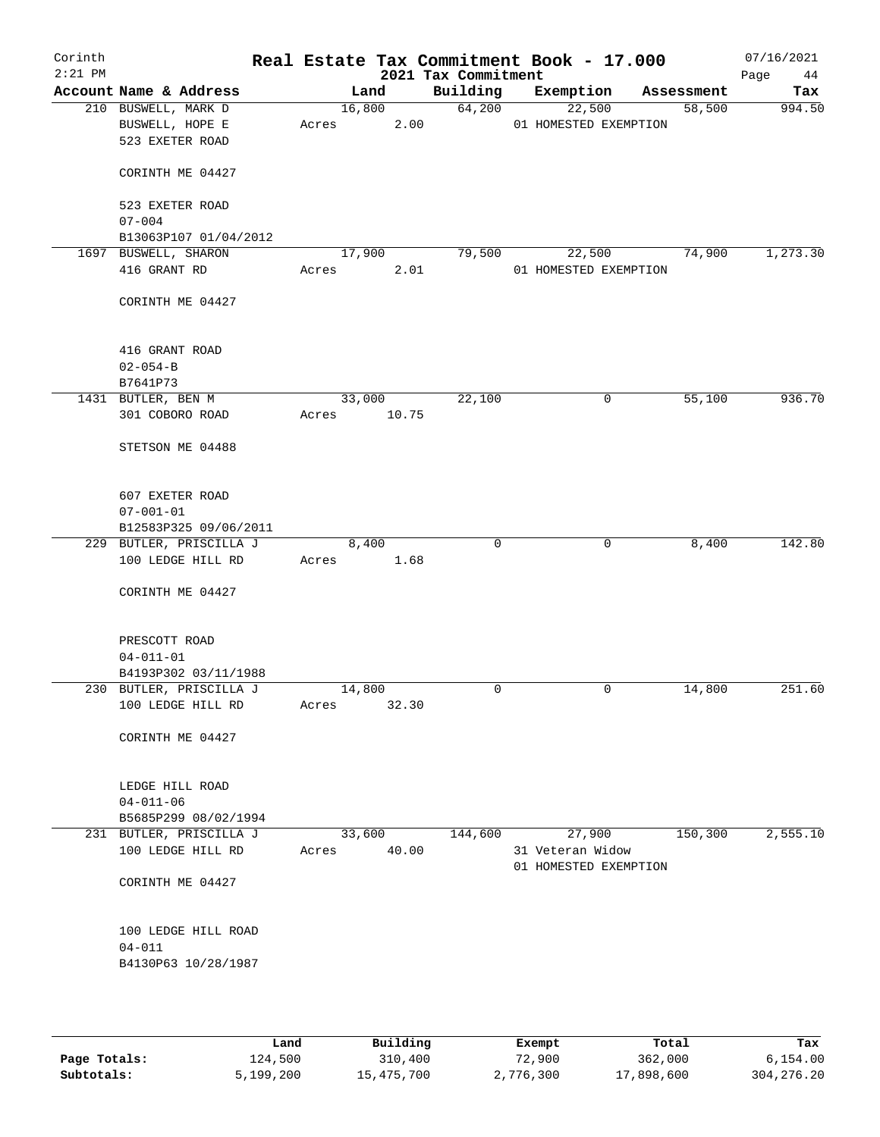| Corinth<br>$2:21$ PM |                         |       |        | 2021 Tax Commitment | Real Estate Tax Commitment Book - 17.000  |            | 07/16/2021<br>Page<br>44 |
|----------------------|-------------------------|-------|--------|---------------------|-------------------------------------------|------------|--------------------------|
|                      | Account Name & Address  |       | Land   | Building            | Exemption                                 | Assessment | Tax                      |
|                      | 210 BUSWELL, MARK D     |       | 16,800 | 64,200              | 22,500                                    | 58,500     | 994.50                   |
|                      | BUSWELL, HOPE E         | Acres | 2.00   |                     | 01 HOMESTED EXEMPTION                     |            |                          |
|                      | 523 EXETER ROAD         |       |        |                     |                                           |            |                          |
|                      | CORINTH ME 04427        |       |        |                     |                                           |            |                          |
|                      | 523 EXETER ROAD         |       |        |                     |                                           |            |                          |
|                      | $07 - 004$              |       |        |                     |                                           |            |                          |
|                      | B13063P107 01/04/2012   |       |        |                     |                                           |            |                          |
|                      | 1697 BUSWELL, SHARON    |       | 17,900 | 79,500              | 22,500                                    | 74,900     | 1,273.30                 |
|                      | 416 GRANT RD            | Acres | 2.01   |                     | 01 HOMESTED EXEMPTION                     |            |                          |
|                      |                         |       |        |                     |                                           |            |                          |
|                      | CORINTH ME 04427        |       |        |                     |                                           |            |                          |
|                      | 416 GRANT ROAD          |       |        |                     |                                           |            |                          |
|                      | $02 - 054 - B$          |       |        |                     |                                           |            |                          |
|                      | B7641P73                |       |        |                     |                                           |            |                          |
|                      | 1431 BUTLER, BEN M      |       | 33,000 | 22,100              | 0                                         | 55,100     | 936.70                   |
|                      | 301 COBORO ROAD         | Acres | 10.75  |                     |                                           |            |                          |
|                      | STETSON ME 04488        |       |        |                     |                                           |            |                          |
|                      |                         |       |        |                     |                                           |            |                          |
|                      | 607 EXETER ROAD         |       |        |                     |                                           |            |                          |
|                      | $07 - 001 - 01$         |       |        |                     |                                           |            |                          |
|                      | B12583P325 09/06/2011   |       |        |                     |                                           |            |                          |
|                      | 229 BUTLER, PRISCILLA J |       | 8,400  | $\mathbf 0$         | 0                                         | 8,400      | 142.80                   |
|                      | 100 LEDGE HILL RD       | Acres | 1.68   |                     |                                           |            |                          |
|                      |                         |       |        |                     |                                           |            |                          |
|                      | CORINTH ME 04427        |       |        |                     |                                           |            |                          |
|                      | PRESCOTT ROAD           |       |        |                     |                                           |            |                          |
|                      | $04 - 011 - 01$         |       |        |                     |                                           |            |                          |
|                      | B4193P302 03/11/1988    |       |        |                     |                                           |            |                          |
|                      | 230 BUTLER, PRISCILLA J |       | 14,800 | 0                   | $\mathbf 0$                               | 14,800     | 251.60                   |
|                      | 100 LEDGE HILL RD       | Acres | 32.30  |                     |                                           |            |                          |
|                      | CORINTH ME 04427        |       |        |                     |                                           |            |                          |
|                      | LEDGE HILL ROAD         |       |        |                     |                                           |            |                          |
|                      | $04 - 011 - 06$         |       |        |                     |                                           |            |                          |
|                      | B5685P299 08/02/1994    |       |        |                     |                                           |            |                          |
|                      | 231 BUTLER, PRISCILLA J |       | 33,600 | 144,600             | 27,900                                    | 150, 300   | 2,555.10                 |
|                      | 100 LEDGE HILL RD       | Acres | 40.00  |                     | 31 Veteran Widow<br>01 HOMESTED EXEMPTION |            |                          |
|                      | CORINTH ME 04427        |       |        |                     |                                           |            |                          |
|                      | 100 LEDGE HILL ROAD     |       |        |                     |                                           |            |                          |
|                      | $04 - 011$              |       |        |                     |                                           |            |                          |
|                      | B4130P63 10/28/1987     |       |        |                     |                                           |            |                          |
|                      |                         |       |        |                     |                                           |            |                          |

|              | Land      | Building   | Exempt    | Total      | Tax          |
|--------------|-----------|------------|-----------|------------|--------------|
| Page Totals: | 124,500   | 310,400    | 72,900    | 362,000    | 6.154.00     |
| Subtotals:   | 5,199,200 | 15,475,700 | 2,776,300 | 17,898,600 | 304, 276. 20 |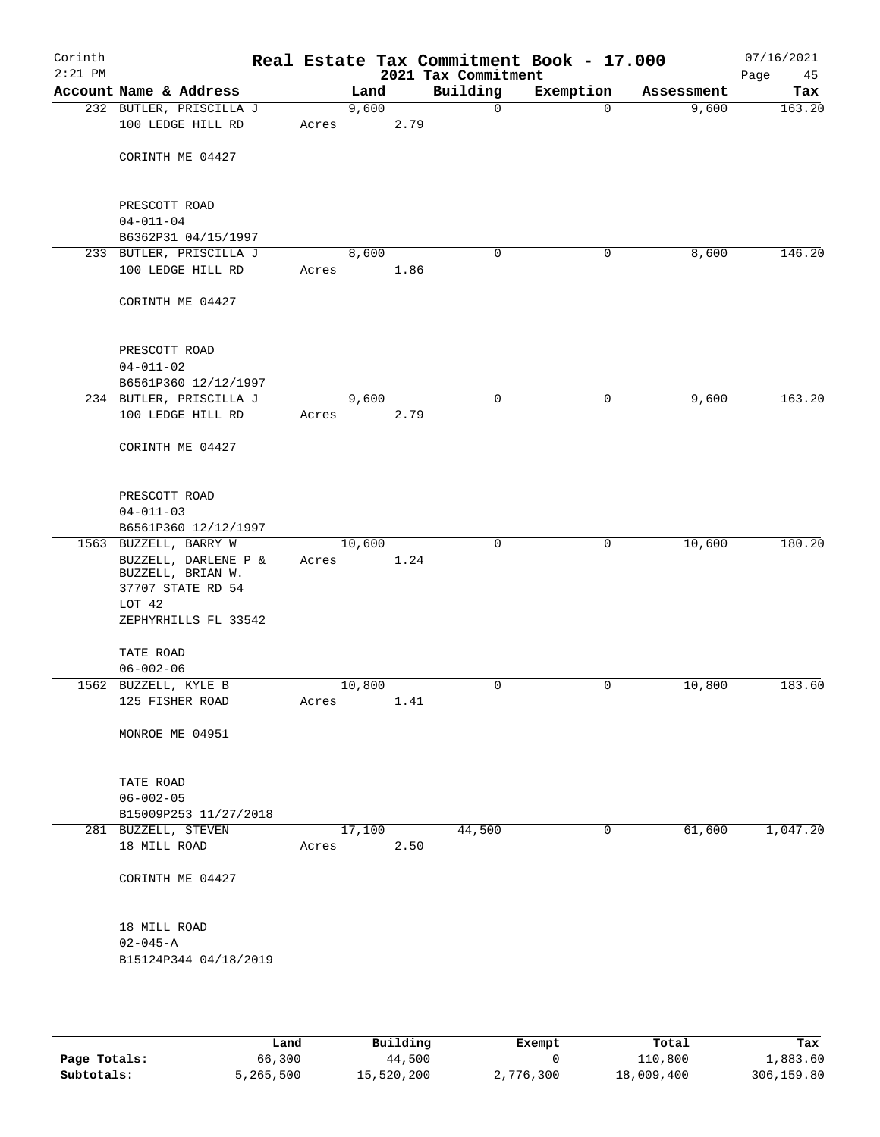| Corinth<br>$2:21$ PM |                                                                |       |        |      | Real Estate Tax Commitment Book - 17.000<br>2021 Tax Commitment |             |            | 07/16/2021<br>Page<br>45 |
|----------------------|----------------------------------------------------------------|-------|--------|------|-----------------------------------------------------------------|-------------|------------|--------------------------|
|                      | Account Name & Address                                         |       | Land   |      | Building                                                        | Exemption   | Assessment | Tax                      |
|                      | 232 BUTLER, PRISCILLA J                                        |       | 9,600  |      | $\mathbf 0$                                                     | $\mathbf 0$ | 9,600      | 163.20                   |
|                      | 100 LEDGE HILL RD                                              | Acres |        | 2.79 |                                                                 |             |            |                          |
|                      | CORINTH ME 04427                                               |       |        |      |                                                                 |             |            |                          |
|                      | PRESCOTT ROAD                                                  |       |        |      |                                                                 |             |            |                          |
|                      | $04 - 011 - 04$                                                |       |        |      |                                                                 |             |            |                          |
|                      | B6362P31 04/15/1997                                            |       |        |      |                                                                 |             |            |                          |
|                      | 233 BUTLER, PRISCILLA J                                        |       | 8,600  |      | 0                                                               | 0           | 8,600      | 146.20                   |
|                      | 100 LEDGE HILL RD                                              | Acres |        | 1.86 |                                                                 |             |            |                          |
|                      | CORINTH ME 04427                                               |       |        |      |                                                                 |             |            |                          |
|                      | PRESCOTT ROAD                                                  |       |        |      |                                                                 |             |            |                          |
|                      | $04 - 011 - 02$                                                |       |        |      |                                                                 |             |            |                          |
|                      | B6561P360 12/12/1997                                           |       |        |      |                                                                 |             |            |                          |
|                      | 234 BUTLER, PRISCILLA J                                        |       | 9,600  |      | $\mathbf 0$                                                     | 0           | 9,600      | 163.20                   |
|                      | 100 LEDGE HILL RD                                              | Acres |        | 2.79 |                                                                 |             |            |                          |
|                      | CORINTH ME 04427                                               |       |        |      |                                                                 |             |            |                          |
|                      |                                                                |       |        |      |                                                                 |             |            |                          |
|                      | PRESCOTT ROAD<br>$04 - 011 - 03$                               |       |        |      |                                                                 |             |            |                          |
|                      | B6561P360 12/12/1997                                           |       |        |      |                                                                 |             |            |                          |
|                      | 1563 BUZZELL, BARRY W                                          |       | 10,600 |      | $\mathbf 0$                                                     | 0           | 10,600     | 180.20                   |
|                      | BUZZELL, DARLENE P &<br>BUZZELL, BRIAN W.<br>37707 STATE RD 54 | Acres |        | 1.24 |                                                                 |             |            |                          |
|                      | LOT 42                                                         |       |        |      |                                                                 |             |            |                          |
|                      | ZEPHYRHILLS FL 33542                                           |       |        |      |                                                                 |             |            |                          |
|                      | TATE ROAD                                                      |       |        |      |                                                                 |             |            |                          |
|                      | $06 - 002 - 06$                                                |       |        |      |                                                                 |             |            |                          |
|                      | 1562 BUZZELL, KYLE B                                           |       | 10,800 |      | 0                                                               | 0           | 10,800     | 183.60                   |
|                      | 125 FISHER ROAD                                                | Acres |        | 1.41 |                                                                 |             |            |                          |
|                      | MONROE ME 04951                                                |       |        |      |                                                                 |             |            |                          |
|                      | TATE ROAD                                                      |       |        |      |                                                                 |             |            |                          |
|                      | $06 - 002 - 05$                                                |       |        |      |                                                                 |             |            |                          |
|                      | B15009P253 11/27/2018                                          |       |        |      |                                                                 |             |            |                          |
|                      | 281 BUZZELL, STEVEN                                            |       | 17,100 |      | 44,500                                                          | 0           | 61,600     | 1,047.20                 |
|                      | 18 MILL ROAD                                                   | Acres |        | 2.50 |                                                                 |             |            |                          |
|                      | CORINTH ME 04427                                               |       |        |      |                                                                 |             |            |                          |
|                      | 18 MILL ROAD                                                   |       |        |      |                                                                 |             |            |                          |
|                      | $02 - 045 - A$                                                 |       |        |      |                                                                 |             |            |                          |
|                      | B15124P344 04/18/2019                                          |       |        |      |                                                                 |             |            |                          |
|                      |                                                                |       |        |      |                                                                 |             |            |                          |

|              | Land      | Building   | Exempt    | Total      | Tax        |
|--------------|-----------|------------|-----------|------------|------------|
| Page Totals: | 66,300    | 44,500     |           | 110,800    | 1,883.60   |
| Subtotals:   | 5,265,500 | 15,520,200 | 2,776,300 | 18,009,400 | 306,159.80 |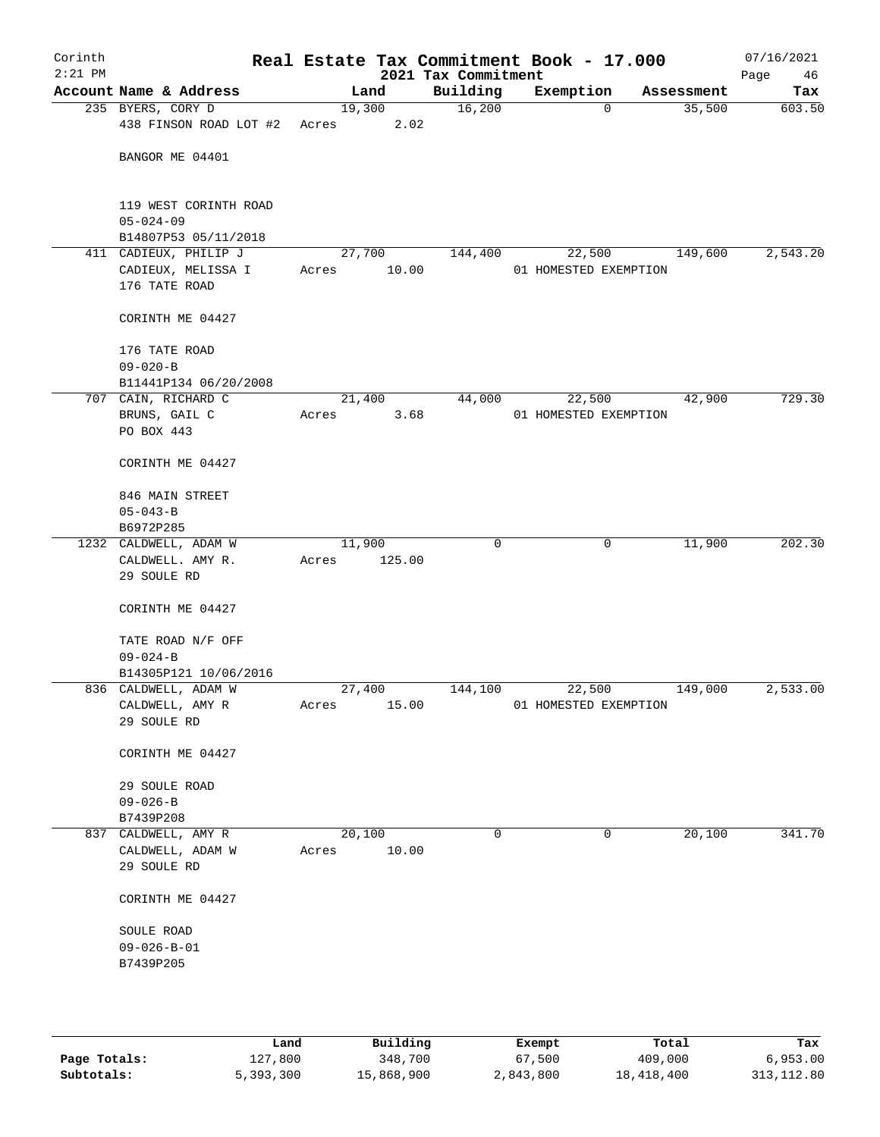| Corinth<br>$2:21$ PM |                                           |                 |        | 2021 Tax Commitment | Real Estate Tax Commitment Book - 17.000 |            | 07/16/2021<br>Page<br>46 |
|----------------------|-------------------------------------------|-----------------|--------|---------------------|------------------------------------------|------------|--------------------------|
|                      | Account Name & Address                    |                 | Land   | Building            | Exemption                                | Assessment | Tax                      |
|                      | 235 BYERS, CORY D                         | 19,300          |        | 16,200              | $\mathbf 0$                              | 35,500     | 603.50                   |
|                      | 438 FINSON ROAD LOT #2                    | Acres           | 2.02   |                     |                                          |            |                          |
|                      | BANGOR ME 04401                           |                 |        |                     |                                          |            |                          |
|                      | 119 WEST CORINTH ROAD<br>$05 - 024 - 09$  |                 |        |                     |                                          |            |                          |
|                      | B14807P53 05/11/2018                      |                 |        |                     |                                          |            |                          |
|                      | 411 CADIEUX, PHILIP J                     | 27,700          |        | 144,400             | 22,500                                   | 149,600    | 2,543.20                 |
|                      | CADIEUX, MELISSA I                        | Acres           | 10.00  |                     | 01 HOMESTED EXEMPTION                    |            |                          |
|                      | 176 TATE ROAD                             |                 |        |                     |                                          |            |                          |
|                      | CORINTH ME 04427                          |                 |        |                     |                                          |            |                          |
|                      | 176 TATE ROAD                             |                 |        |                     |                                          |            |                          |
|                      | $09 - 020 - B$                            |                 |        |                     |                                          |            |                          |
|                      | B11441P134 06/20/2008                     |                 |        |                     |                                          |            |                          |
|                      | 707 CAIN, RICHARD C                       |                 | 21,400 | 44,000              | 22,500                                   | 42,900     | 729.30                   |
|                      | BRUNS, GAIL C<br>PO BOX 443               | Acres           | 3.68   |                     | 01 HOMESTED EXEMPTION                    |            |                          |
|                      |                                           |                 |        |                     |                                          |            |                          |
|                      | CORINTH ME 04427                          |                 |        |                     |                                          |            |                          |
|                      | 846 MAIN STREET                           |                 |        |                     |                                          |            |                          |
|                      | $05 - 043 - B$                            |                 |        |                     |                                          |            |                          |
|                      | B6972P285                                 |                 |        |                     |                                          |            |                          |
|                      | 1232 CALDWELL, ADAM W<br>CALDWELL. AMY R. | 11,900<br>Acres | 125.00 | $\Omega$            | $\mathbf 0$                              | 11,900     | 202.30                   |
|                      | 29 SOULE RD                               |                 |        |                     |                                          |            |                          |
|                      | CORINTH ME 04427                          |                 |        |                     |                                          |            |                          |
|                      | TATE ROAD N/F OFF                         |                 |        |                     |                                          |            |                          |
|                      | $09 - 024 - B$                            |                 |        |                     |                                          |            |                          |
|                      | B14305P121 10/06/2016                     |                 |        |                     |                                          |            |                          |
|                      | 836 CALDWELL, ADAM W                      | 27,400          |        | 144,100             | 22,500                                   | 149,000    | 2,533.00                 |
|                      | CALDWELL, AMY R                           | Acres           | 15.00  |                     | 01 HOMESTED EXEMPTION                    |            |                          |
|                      | 29 SOULE RD                               |                 |        |                     |                                          |            |                          |
|                      | CORINTH ME 04427                          |                 |        |                     |                                          |            |                          |
|                      | 29 SOULE ROAD                             |                 |        |                     |                                          |            |                          |
|                      | $09 - 026 - B$                            |                 |        |                     |                                          |            |                          |
|                      | B7439P208                                 |                 |        |                     |                                          |            |                          |
|                      | 837 CALDWELL, AMY R                       | 20,100          |        | 0                   | $\mathbf 0$                              | 20,100     | 341.70                   |
|                      | CALDWELL, ADAM W<br>29 SOULE RD           | Acres           | 10.00  |                     |                                          |            |                          |
|                      | CORINTH ME 04427                          |                 |        |                     |                                          |            |                          |
|                      | SOULE ROAD                                |                 |        |                     |                                          |            |                          |
|                      | $09 - 026 - B - 01$                       |                 |        |                     |                                          |            |                          |
|                      | B7439P205                                 |                 |        |                     |                                          |            |                          |
|                      |                                           |                 |        |                     |                                          |            |                          |
|                      |                                           |                 |        |                     |                                          |            |                          |
|                      |                                           |                 |        |                     |                                          |            |                          |

|              | Land      | Building   | Exempt    | Total      | Tax          |
|--------------|-----------|------------|-----------|------------|--------------|
| Page Totals: | 127,800   | 348,700    | 67,500    | 409,000    | 6.953.00     |
| Subtotals:   | 5,393,300 | 15,868,900 | 2,843,800 | 18,418,400 | 313, 112, 80 |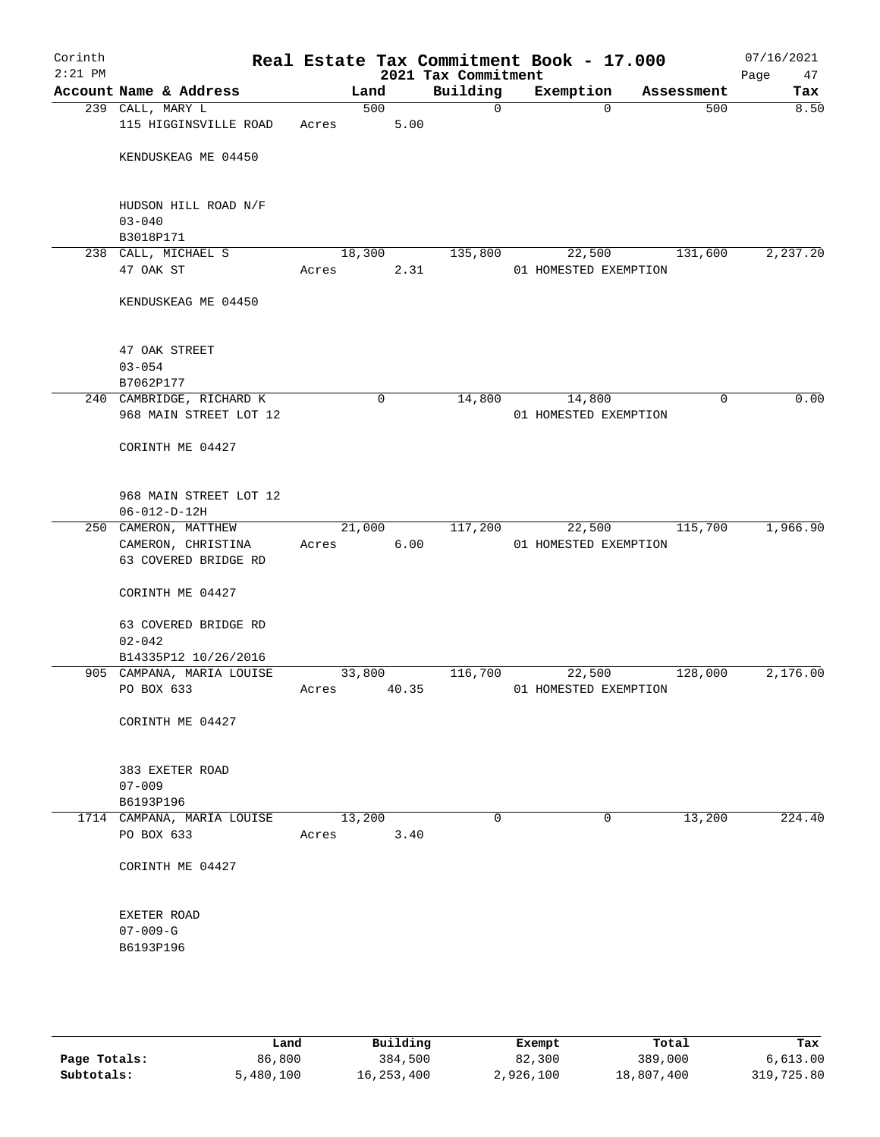| Corinth<br>$2:21$ PM |                                                |                   |                | 2021 Tax Commitment | Real Estate Tax Commitment Book - 17.000 |            | 07/16/2021<br>Page<br>47 |
|----------------------|------------------------------------------------|-------------------|----------------|---------------------|------------------------------------------|------------|--------------------------|
|                      | Account Name & Address                         |                   | Land           | Building            | Exemption                                | Assessment | Tax                      |
|                      | 239 CALL, MARY L                               |                   | 500            | 0                   | $\mathbf 0$                              | 500        | 8.50                     |
|                      | 115 HIGGINSVILLE ROAD                          | Acres             | 5.00           |                     |                                          |            |                          |
|                      | KENDUSKEAG ME 04450                            |                   |                |                     |                                          |            |                          |
|                      | HUDSON HILL ROAD N/F                           |                   |                |                     |                                          |            |                          |
|                      | $03 - 040$<br>B3018P171                        |                   |                |                     |                                          |            |                          |
|                      | 238 CALL, MICHAEL S                            |                   | 18,300         | 135,800             | 22,500                                   | 131,600    | 2,237.20                 |
|                      | 47 OAK ST                                      | Acres             | 2.31           |                     | 01 HOMESTED EXEMPTION                    |            |                          |
|                      | KENDUSKEAG ME 04450                            |                   |                |                     |                                          |            |                          |
|                      | 47 OAK STREET                                  |                   |                |                     |                                          |            |                          |
|                      | $03 - 054$<br>B7062P177                        |                   |                |                     |                                          |            |                          |
|                      | 240 CAMBRIDGE, RICHARD K                       |                   | $\mathbf 0$    | 14,800              | 14,800                                   | 0          | 0.00                     |
|                      | 968 MAIN STREET LOT 12                         |                   |                |                     | 01 HOMESTED EXEMPTION                    |            |                          |
|                      | CORINTH ME 04427                               |                   |                |                     |                                          |            |                          |
|                      | 968 MAIN STREET LOT 12<br>$06 - 012 - D - 12H$ |                   |                |                     |                                          |            |                          |
|                      | 250 CAMERON, MATTHEW                           |                   | 21,000         | 117,200             | 22,500                                   | 115,700    | 1,966.90                 |
|                      | CAMERON, CHRISTINA<br>63 COVERED BRIDGE RD     | Acres             | 6.00           |                     | 01 HOMESTED EXEMPTION                    |            |                          |
|                      | CORINTH ME 04427                               |                   |                |                     |                                          |            |                          |
|                      | 63 COVERED BRIDGE RD                           |                   |                |                     |                                          |            |                          |
|                      | $02 - 042$<br>B14335P12 10/26/2016             |                   |                |                     |                                          |            |                          |
|                      | 905 CAMPANA, MARIA LOUISE                      |                   | 33,800         | 116,700             | 22,500                                   | 128,000    | 2,176.00                 |
|                      | PO BOX 633                                     | Acres             | 40.35          |                     | 01 HOMESTED EXEMPTION                    |            |                          |
|                      | CORINTH ME 04427                               |                   |                |                     |                                          |            |                          |
|                      | 383 EXETER ROAD                                |                   |                |                     |                                          |            |                          |
|                      | $07 - 009$                                     |                   |                |                     |                                          |            |                          |
|                      | B6193P196                                      |                   |                |                     |                                          |            |                          |
|                      | 1714 CAMPANA, MARIA LOUISE<br>PO BOX 633       | Acres             | 13,200<br>3.40 | 0                   | 0                                        | 13,200     | 224.40                   |
|                      | CORINTH ME 04427                               |                   |                |                     |                                          |            |                          |
|                      |                                                |                   |                |                     |                                          |            |                          |
|                      | EXETER ROAD                                    |                   |                |                     |                                          |            |                          |
|                      | $07 - 009 - G$                                 |                   |                |                     |                                          |            |                          |
|                      | B6193P196                                      |                   |                |                     |                                          |            |                          |
|                      |                                                |                   |                |                     |                                          |            |                          |
|                      |                                                |                   |                |                     |                                          |            |                          |
|                      |                                                | Land <sub>.</sub> | Building       |                     | <b>Ryomnt</b>                            | Total      | Tav                      |

|              | Land      | Building   | Exempt    | Total      | Tax        |
|--------------|-----------|------------|-----------|------------|------------|
| Page Totals: | 86,800    | 384,500    | 82,300    | 389,000    | 6.613.00   |
| Subtotals:   | 5,480,100 | 16,253,400 | 2,926,100 | 18,807,400 | 319,725.80 |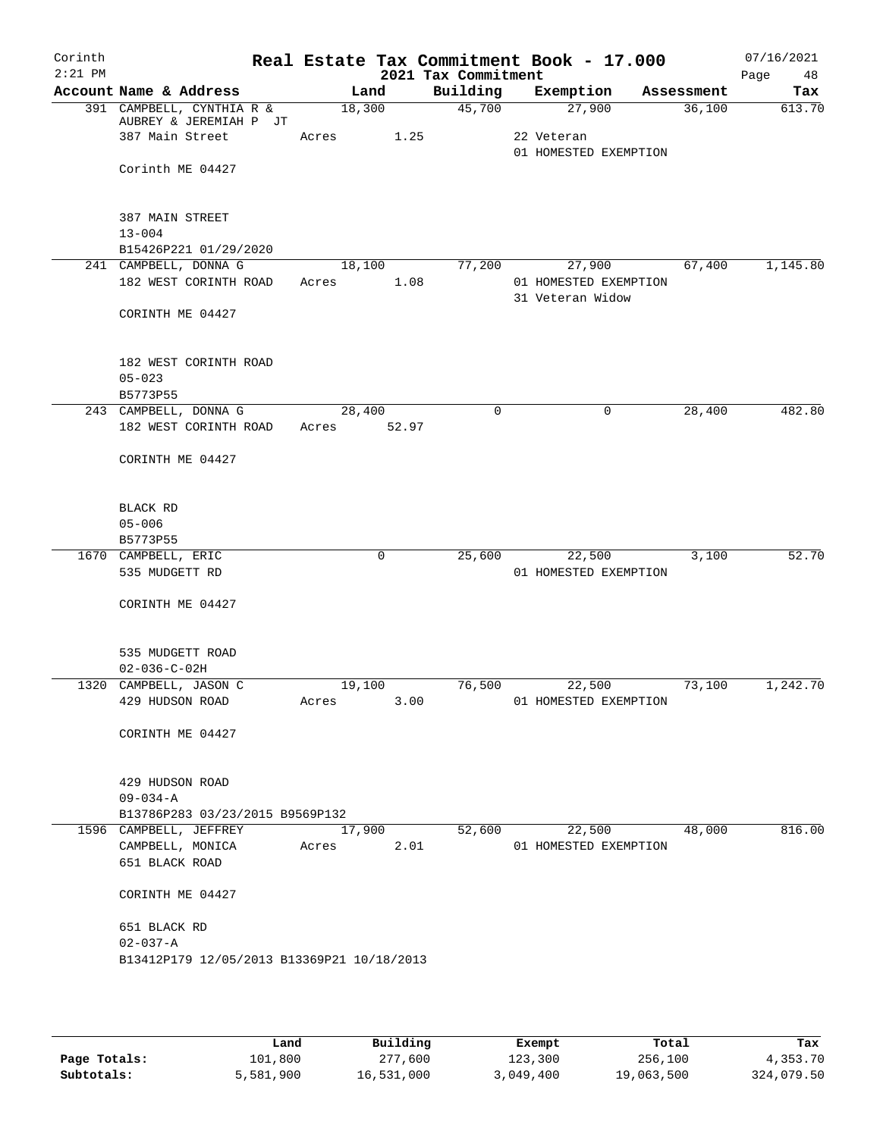| Corinth<br>$2:21$ PM |                                                        |                          | 2021 Tax Commitment | Real Estate Tax Commitment Book - 17.000  |            | 07/16/2021<br>Page<br>48 |
|----------------------|--------------------------------------------------------|--------------------------|---------------------|-------------------------------------------|------------|--------------------------|
|                      | Account Name & Address                                 | Land                     | Building            | Exemption                                 | Assessment | Tax                      |
|                      | 391 CAMPBELL, CYNTHIA R &                              | 18,300                   | 45,700              | 27,900                                    | 36,100     | 613.70                   |
|                      | AUBREY & JEREMIAH P JT<br>387 Main Street              | 1.25<br>Acres            |                     | 22 Veteran<br>01 HOMESTED EXEMPTION       |            |                          |
|                      | Corinth ME 04427                                       |                          |                     |                                           |            |                          |
|                      | 387 MAIN STREET<br>$13 - 004$<br>B15426P221 01/29/2020 |                          |                     |                                           |            |                          |
|                      | 241 CAMPBELL, DONNA G                                  | 18,100                   | 77,200              | 27,900                                    | 67,400     | 1,145.80                 |
|                      | 182 WEST CORINTH ROAD                                  | 1.08<br>Acres            |                     | 01 HOMESTED EXEMPTION<br>31 Veteran Widow |            |                          |
|                      | CORINTH ME 04427                                       |                          |                     |                                           |            |                          |
|                      | 182 WEST CORINTH ROAD<br>$05 - 023$                    |                          |                     |                                           |            |                          |
|                      | B5773P55                                               |                          |                     |                                           |            |                          |
|                      | 243 CAMPBELL, DONNA G<br>182 WEST CORINTH ROAD         | 28,400<br>52.97<br>Acres | $\mathbf 0$         | 0                                         | 28,400     | 482.80                   |
|                      | CORINTH ME 04427                                       |                          |                     |                                           |            |                          |
|                      | BLACK RD                                               |                          |                     |                                           |            |                          |
|                      | $05 - 006$                                             |                          |                     |                                           |            |                          |
|                      | B5773P55                                               |                          |                     |                                           |            |                          |
|                      | 1670 CAMPBELL, ERIC                                    | 0                        | 25,600              | 22,500                                    | 3,100      | 52.70                    |
|                      | 535 MUDGETT RD                                         |                          |                     | 01 HOMESTED EXEMPTION                     |            |                          |
|                      | CORINTH ME 04427                                       |                          |                     |                                           |            |                          |
|                      | 535 MUDGETT ROAD                                       |                          |                     |                                           |            |                          |
|                      | $02 - 036 - C - 02H$<br>1320 CAMPBELL, JASON C         | 19,100                   | 76,500              | 22,500                                    | 73,100     | 1,242.70                 |
|                      | 429 HUDSON ROAD                                        | 3.00<br>Acres            |                     | 01 HOMESTED EXEMPTION                     |            |                          |
|                      | CORINTH ME 04427                                       |                          |                     |                                           |            |                          |
|                      | 429 HUDSON ROAD<br>$09 - 034 - A$                      |                          |                     |                                           |            |                          |
|                      | B13786P283 03/23/2015 B9569P132                        |                          |                     |                                           |            |                          |
|                      | 1596 CAMPBELL, JEFFREY                                 | 17,900                   | 52,600              | 22,500                                    | 48,000     | 816.00                   |
|                      | CAMPBELL, MONICA                                       | 2.01<br>Acres            |                     | 01 HOMESTED EXEMPTION                     |            |                          |
|                      | 651 BLACK ROAD                                         |                          |                     |                                           |            |                          |
|                      | CORINTH ME 04427                                       |                          |                     |                                           |            |                          |
|                      | 651 BLACK RD<br>$02 - 037 - A$                         |                          |                     |                                           |            |                          |
|                      | B13412P179 12/05/2013 B13369P21 10/18/2013             |                          |                     |                                           |            |                          |
|                      |                                                        |                          |                     |                                           |            |                          |

|              | Land      | Building   | Exempt    | Total      | Tax        |
|--------------|-----------|------------|-----------|------------|------------|
| Page Totals: | 101,800   | 277,600    | 123,300   | 256,100    | 4,353.70   |
| Subtotals:   | 5,581,900 | 16,531,000 | 3,049,400 | 19,063,500 | 324,079.50 |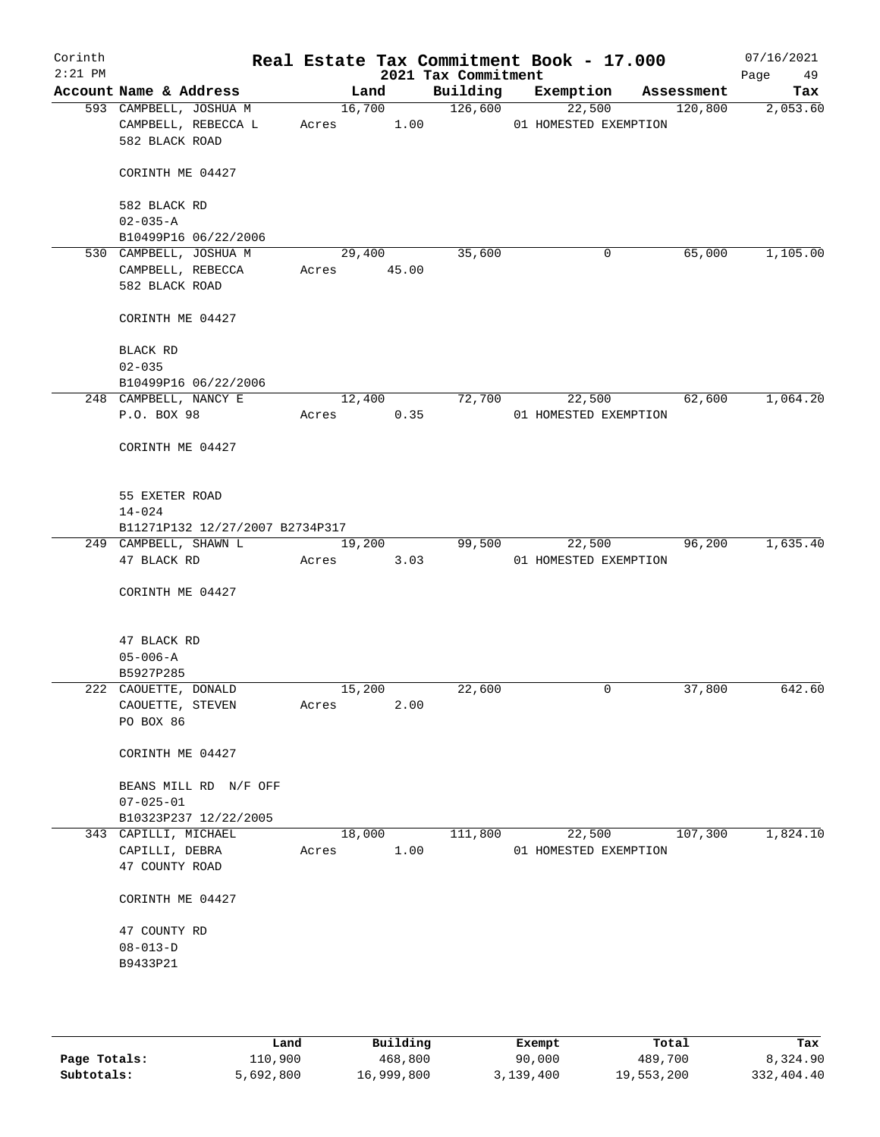| Corinth<br>$2:21$ PM |                                 |             |        | 2021 Tax Commitment | Real Estate Tax Commitment Book - 17.000 |                       |            | 07/16/2021<br>Page<br>49 |
|----------------------|---------------------------------|-------------|--------|---------------------|------------------------------------------|-----------------------|------------|--------------------------|
|                      | Account Name & Address          |             | Land   | Building            | Exemption                                |                       | Assessment | Tax                      |
|                      | 593 CAMPBELL, JOSHUA M          |             | 16,700 | 126,600             |                                          | 22,500                | 120,800    | 2,053.60                 |
|                      | CAMPBELL, REBECCA L             | Acres       | 1.00   |                     | 01 HOMESTED EXEMPTION                    |                       |            |                          |
|                      | 582 BLACK ROAD                  |             |        |                     |                                          |                       |            |                          |
|                      | CORINTH ME 04427                |             |        |                     |                                          |                       |            |                          |
|                      | 582 BLACK RD                    |             |        |                     |                                          |                       |            |                          |
|                      | $02 - 035 - A$                  |             |        |                     |                                          |                       |            |                          |
|                      | B10499P16 06/22/2006            |             |        |                     |                                          |                       |            |                          |
|                      | 530 CAMPBELL, JOSHUA M          |             | 29,400 | 35,600              |                                          | 0                     | 65,000     | 1,105.00                 |
|                      | CAMPBELL, REBECCA               | Acres 45.00 |        |                     |                                          |                       |            |                          |
|                      | 582 BLACK ROAD                  |             |        |                     |                                          |                       |            |                          |
|                      |                                 |             |        |                     |                                          |                       |            |                          |
|                      | CORINTH ME 04427                |             |        |                     |                                          |                       |            |                          |
|                      | BLACK RD                        |             |        |                     |                                          |                       |            |                          |
|                      | $02 - 035$                      |             |        |                     |                                          |                       |            |                          |
|                      | B10499P16 06/22/2006            |             |        |                     |                                          |                       |            |                          |
|                      | 248 CAMPBELL, NANCY E           |             | 12,400 | 72,700              |                                          | 22,500                | 62,600     | 1,064.20                 |
|                      | P.O. BOX 98                     | Acres       | 0.35   |                     | 01 HOMESTED EXEMPTION                    |                       |            |                          |
|                      | CORINTH ME 04427                |             |        |                     |                                          |                       |            |                          |
|                      | 55 EXETER ROAD                  |             |        |                     |                                          |                       |            |                          |
|                      | $14 - 024$                      |             |        |                     |                                          |                       |            |                          |
|                      | B11271P132 12/27/2007 B2734P317 |             |        |                     |                                          |                       |            |                          |
|                      | 249 CAMPBELL, SHAWN L           |             | 19,200 | 99,500              | 22,500                                   |                       | 96,200     | 1,635.40                 |
|                      | 47 BLACK RD                     | Acres       | 3.03   |                     | 01 HOMESTED EXEMPTION                    |                       |            |                          |
|                      |                                 |             |        |                     |                                          |                       |            |                          |
|                      | CORINTH ME 04427                |             |        |                     |                                          |                       |            |                          |
|                      |                                 |             |        |                     |                                          |                       |            |                          |
|                      | 47 BLACK RD                     |             |        |                     |                                          |                       |            |                          |
|                      | $05 - 006 - A$                  |             |        |                     |                                          |                       |            |                          |
|                      | B5927P285                       |             |        |                     |                                          |                       |            |                          |
|                      | 222 CAOUETTE, DONALD            | 15,200      |        | 22,600              |                                          | 0                     | 37,800     | 642.60                   |
|                      | CAOUETTE, STEVEN                | Acres       | 2.00   |                     |                                          |                       |            |                          |
|                      | PO BOX 86                       |             |        |                     |                                          |                       |            |                          |
|                      |                                 |             |        |                     |                                          |                       |            |                          |
|                      | CORINTH ME 04427                |             |        |                     |                                          |                       |            |                          |
|                      | BEANS MILL RD N/F OFF           |             |        |                     |                                          |                       |            |                          |
|                      | $07 - 025 - 01$                 |             |        |                     |                                          |                       |            |                          |
|                      | B10323P237 12/22/2005           |             |        |                     |                                          |                       |            |                          |
|                      | 343 CAPILLI, MICHAEL            |             | 18,000 | 111,800             |                                          | 22,500                | 107,300    | 1,824.10                 |
|                      | CAPILLI, DEBRA                  | Acres       | 1.00   |                     |                                          | 01 HOMESTED EXEMPTION |            |                          |
|                      | 47 COUNTY ROAD                  |             |        |                     |                                          |                       |            |                          |
|                      | CORINTH ME 04427                |             |        |                     |                                          |                       |            |                          |
|                      | 47 COUNTY RD                    |             |        |                     |                                          |                       |            |                          |
|                      | $08 - 013 - D$                  |             |        |                     |                                          |                       |            |                          |
|                      | B9433P21                        |             |        |                     |                                          |                       |            |                          |
|                      |                                 |             |        |                     |                                          |                       |            |                          |
|                      |                                 |             |        |                     |                                          |                       |            |                          |
|                      |                                 |             |        |                     |                                          |                       |            |                          |

|              | Land      | Building   | Exempt    | Total      | Tax        |
|--------------|-----------|------------|-----------|------------|------------|
| Page Totals: | 110,900   | 468,800    | 90,000    | 489,700    | 8,324.90   |
| Subtotals:   | 5,692,800 | 16,999,800 | 3,139,400 | 19,553,200 | 332,404.40 |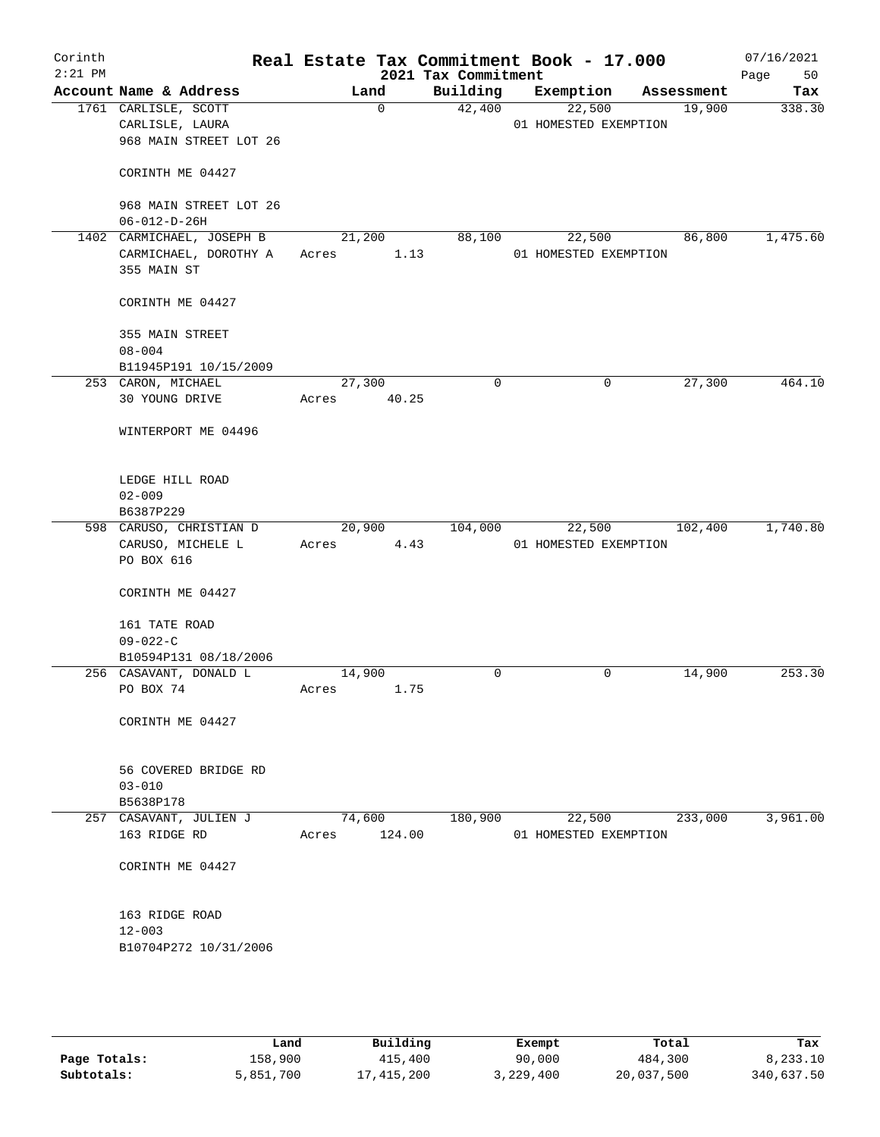| Corinth<br>$2:21$ PM |                                                |        |             | 2021 Tax Commitment | Real Estate Tax Commitment Book - 17.000 |            |         | 07/16/2021<br>Page<br>50 |
|----------------------|------------------------------------------------|--------|-------------|---------------------|------------------------------------------|------------|---------|--------------------------|
|                      | Account Name & Address                         |        | Land        | Building            | Exemption                                | Assessment |         | Tax                      |
|                      | 1761 CARLISLE, SCOTT                           |        | $\mathbf 0$ | 42,400              | 22,500                                   |            | 19,900  | 338.30                   |
|                      | CARLISLE, LAURA                                |        |             |                     | 01 HOMESTED EXEMPTION                    |            |         |                          |
|                      | 968 MAIN STREET LOT 26                         |        |             |                     |                                          |            |         |                          |
|                      |                                                |        |             |                     |                                          |            |         |                          |
|                      | CORINTH ME 04427                               |        |             |                     |                                          |            |         |                          |
|                      |                                                |        |             |                     |                                          |            |         |                          |
|                      | 968 MAIN STREET LOT 26<br>$06 - 012 - D - 26H$ |        |             |                     |                                          |            |         |                          |
|                      | 1402 CARMICHAEL, JOSEPH B                      | 21,200 |             | 88,100              | 22,500                                   |            | 86,800  | 1,475.60                 |
|                      | CARMICHAEL, DOROTHY A                          | Acres  | 1.13        |                     | 01 HOMESTED EXEMPTION                    |            |         |                          |
|                      | 355 MAIN ST                                    |        |             |                     |                                          |            |         |                          |
|                      |                                                |        |             |                     |                                          |            |         |                          |
|                      | CORINTH ME 04427                               |        |             |                     |                                          |            |         |                          |
|                      | 355 MAIN STREET                                |        |             |                     |                                          |            |         |                          |
|                      | $08 - 004$                                     |        |             |                     |                                          |            |         |                          |
|                      | B11945P191 10/15/2009                          |        |             |                     |                                          |            |         |                          |
|                      | 253 CARON, MICHAEL                             | 27,300 |             | $\mathbf 0$         | 0                                        |            | 27,300  | 464.10                   |
|                      | 30 YOUNG DRIVE                                 | Acres  | 40.25       |                     |                                          |            |         |                          |
|                      |                                                |        |             |                     |                                          |            |         |                          |
|                      | WINTERPORT ME 04496                            |        |             |                     |                                          |            |         |                          |
|                      | LEDGE HILL ROAD                                |        |             |                     |                                          |            |         |                          |
|                      | $02 - 009$                                     |        |             |                     |                                          |            |         |                          |
|                      | B6387P229                                      |        |             |                     |                                          |            |         |                          |
|                      | 598 CARUSO, CHRISTIAN D                        | 20,900 |             | 104,000             | 22,500                                   |            | 102,400 | 1,740.80                 |
|                      | CARUSO, MICHELE L                              | Acres  | 4.43        |                     | 01 HOMESTED EXEMPTION                    |            |         |                          |
|                      | PO BOX 616                                     |        |             |                     |                                          |            |         |                          |
|                      |                                                |        |             |                     |                                          |            |         |                          |
|                      | CORINTH ME 04427                               |        |             |                     |                                          |            |         |                          |
|                      |                                                |        |             |                     |                                          |            |         |                          |
|                      | 161 TATE ROAD<br>$09 - 022 - C$                |        |             |                     |                                          |            |         |                          |
|                      | B10594P131 08/18/2006                          |        |             |                     |                                          |            |         |                          |
|                      | 256 CASAVANT, DONALD L                         | 14,900 |             | 0                   | 0                                        |            | 14,900  | 253.30                   |
|                      | PO BOX 74                                      | Acres  | 1.75        |                     |                                          |            |         |                          |
|                      |                                                |        |             |                     |                                          |            |         |                          |
|                      | CORINTH ME 04427                               |        |             |                     |                                          |            |         |                          |
|                      |                                                |        |             |                     |                                          |            |         |                          |
|                      | 56 COVERED BRIDGE RD                           |        |             |                     |                                          |            |         |                          |
|                      | $03 - 010$                                     |        |             |                     |                                          |            |         |                          |
|                      | B5638P178                                      |        |             |                     |                                          |            |         |                          |
|                      | 257 CASAVANT, JULIEN J                         |        | 74,600      | 180,900             | 22,500                                   |            | 233,000 | 3,961.00                 |
|                      | 163 RIDGE RD                                   | Acres  | 124.00      |                     | 01 HOMESTED EXEMPTION                    |            |         |                          |
|                      |                                                |        |             |                     |                                          |            |         |                          |
|                      | CORINTH ME 04427                               |        |             |                     |                                          |            |         |                          |
|                      | 163 RIDGE ROAD                                 |        |             |                     |                                          |            |         |                          |
|                      | $12 - 003$                                     |        |             |                     |                                          |            |         |                          |
|                      | B10704P272 10/31/2006                          |        |             |                     |                                          |            |         |                          |
|                      |                                                |        |             |                     |                                          |            |         |                          |
|                      |                                                |        |             |                     |                                          |            |         |                          |
|                      |                                                |        |             |                     |                                          |            |         |                          |
|                      |                                                |        |             |                     |                                          |            |         |                          |
|                      |                                                |        |             |                     |                                          |            |         |                          |

|              | Land      | Building   | Exempt    | Total      | Tax        |
|--------------|-----------|------------|-----------|------------|------------|
| Page Totals: | 158,900   | 415,400    | 90,000    | 484,300    | 8,233.10   |
| Subtotals:   | 5,851,700 | 17,415,200 | 3,229,400 | 20,037,500 | 340,637.50 |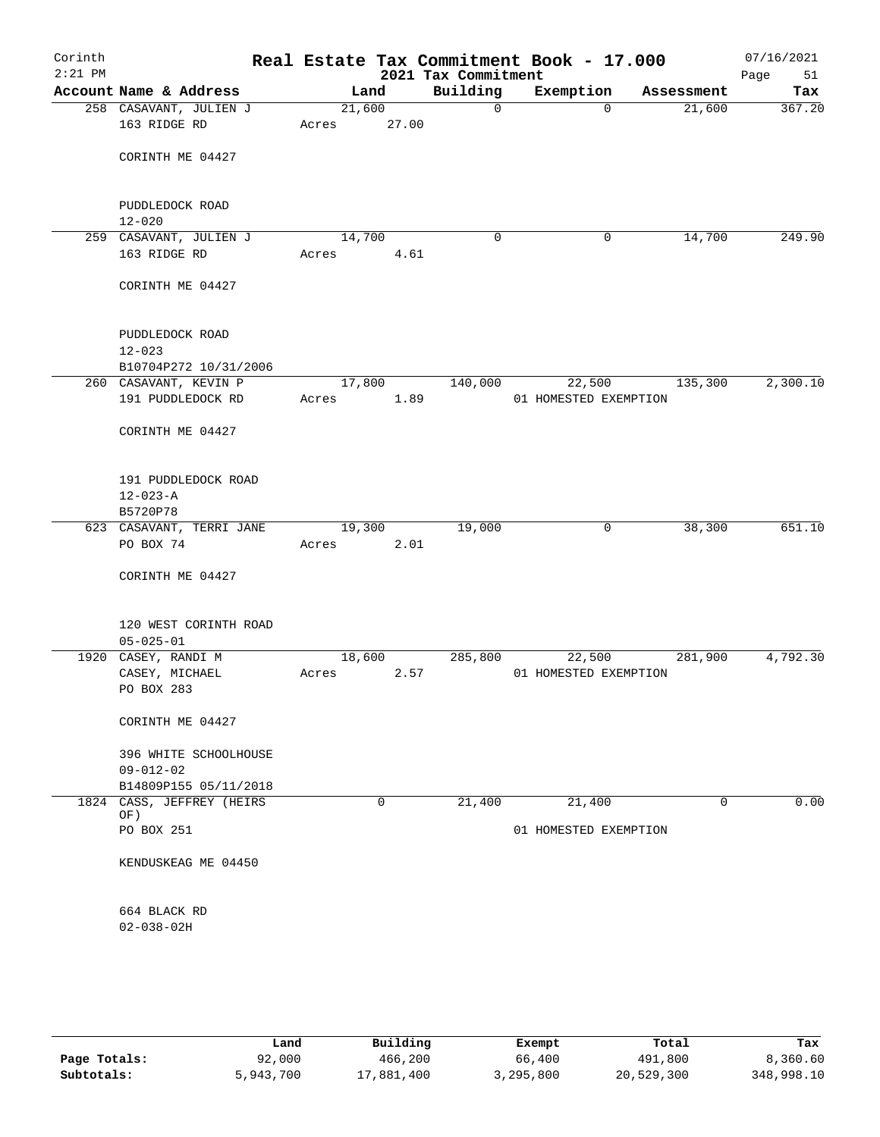| Corinth<br>$2:21$ PM |                                          |       |                 | 2021 Tax Commitment | Real Estate Tax Commitment Book - 17.000 |            | 07/16/2021<br>Page<br>51 |
|----------------------|------------------------------------------|-------|-----------------|---------------------|------------------------------------------|------------|--------------------------|
|                      | Account Name & Address                   |       | Land            | Building            | Exemption                                | Assessment | Tax                      |
|                      | 258 CASAVANT, JULIEN J<br>163 RIDGE RD   | Acres | 21,600<br>27.00 | $\mathbf 0$         | $\Omega$                                 | 21,600     | 367.20                   |
|                      | CORINTH ME 04427                         |       |                 |                     |                                          |            |                          |
|                      | PUDDLEDOCK ROAD<br>$12 - 020$            |       |                 |                     |                                          |            |                          |
|                      | 259 CASAVANT, JULIEN J                   |       | 14,700          | $\mathbf 0$         | 0                                        | 14,700     | 249.90                   |
|                      | 163 RIDGE RD                             | Acres | 4.61            |                     |                                          |            |                          |
|                      | CORINTH ME 04427                         |       |                 |                     |                                          |            |                          |
|                      | PUDDLEDOCK ROAD<br>$12 - 023$            |       |                 |                     |                                          |            |                          |
|                      | B10704P272 10/31/2006                    |       |                 |                     |                                          |            |                          |
|                      | 260 CASAVANT, KEVIN P                    |       | 17,800          | 140,000             | 22,500                                   | 135,300    | 2,300.10                 |
|                      | 191 PUDDLEDOCK RD                        | Acres | 1.89            |                     | 01 HOMESTED EXEMPTION                    |            |                          |
|                      | CORINTH ME 04427                         |       |                 |                     |                                          |            |                          |
|                      | 191 PUDDLEDOCK ROAD                      |       |                 |                     |                                          |            |                          |
|                      | $12 - 023 - A$                           |       |                 |                     |                                          |            |                          |
|                      | B5720P78                                 |       | 19,300          | 19,000              | 0                                        | 38,300     | 651.10                   |
|                      | 623 CASAVANT, TERRI JANE<br>PO BOX 74    | Acres | 2.01            |                     |                                          |            |                          |
|                      | CORINTH ME 04427                         |       |                 |                     |                                          |            |                          |
|                      | 120 WEST CORINTH ROAD<br>$05 - 025 - 01$ |       |                 |                     |                                          |            |                          |
|                      | 1920 CASEY, RANDI M                      |       | 18,600          | 285,800             | 22,500                                   | 281,900    | 4,792.30                 |
|                      | CASEY, MICHAEL                           | Acres | 2.57            |                     | 01 HOMESTED EXEMPTION                    |            |                          |
|                      | PO BOX 283                               |       |                 |                     |                                          |            |                          |
|                      | CORINTH ME 04427                         |       |                 |                     |                                          |            |                          |
|                      | 396 WHITE SCHOOLHOUSE                    |       |                 |                     |                                          |            |                          |
|                      | $09 - 012 - 02$                          |       |                 |                     |                                          |            |                          |
|                      | B14809P155 05/11/2018                    |       |                 |                     |                                          |            |                          |
|                      | 1824 CASS, JEFFREY (HEIRS<br>OF)         |       | 0               | 21,400              | 21,400                                   | 0          | 0.00                     |
|                      | PO BOX 251                               |       |                 |                     | 01 HOMESTED EXEMPTION                    |            |                          |
|                      | KENDUSKEAG ME 04450                      |       |                 |                     |                                          |            |                          |
|                      | 664 BLACK RD                             |       |                 |                     |                                          |            |                          |
|                      | $02 - 038 - 02H$                         |       |                 |                     |                                          |            |                          |
|                      |                                          |       |                 |                     |                                          |            |                          |

|              | Land      | Building   | Exempt    | Total      | Tax        |
|--------------|-----------|------------|-----------|------------|------------|
| Page Totals: | 92,000    | 466,200    | 66,400    | 491,800    | 8,360.60   |
| Subtotals:   | 5,943,700 | 17,881,400 | 3,295,800 | 20,529,300 | 348,998.10 |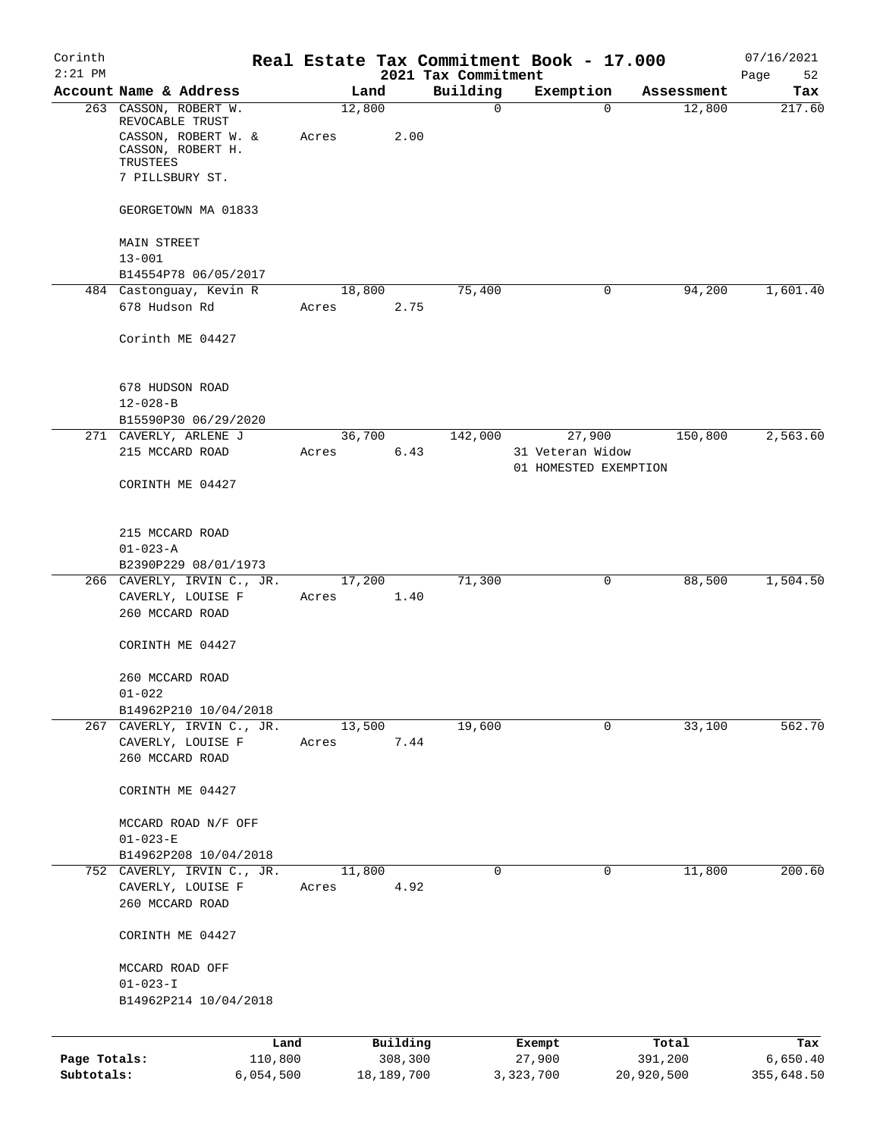| Corinth<br>$2:21$ PM       |                                                                                      |                 |                       | 2021 Tax Commitment | Real Estate Tax Commitment Book - 17.000 |                       | 07/16/2021             |
|----------------------------|--------------------------------------------------------------------------------------|-----------------|-----------------------|---------------------|------------------------------------------|-----------------------|------------------------|
|                            | Account Name & Address                                                               | Land            |                       | Building            | Exemption                                | Assessment            | Page<br>52<br>Tax      |
|                            | 263 CASSON, ROBERT W.<br>REVOCABLE TRUST<br>CASSON, ROBERT W. &<br>CASSON, ROBERT H. | 12,800<br>Acres | 2.00                  | $\mathbf 0$         | $\Omega$                                 | 12,800                | 217.60                 |
|                            | TRUSTEES<br>7 PILLSBURY ST.                                                          |                 |                       |                     |                                          |                       |                        |
|                            | GEORGETOWN MA 01833                                                                  |                 |                       |                     |                                          |                       |                        |
|                            | MAIN STREET                                                                          |                 |                       |                     |                                          |                       |                        |
|                            | $13 - 001$                                                                           |                 |                       |                     |                                          |                       |                        |
|                            | B14554P78 06/05/2017<br>484 Castonguay, Kevin R                                      | 18,800          |                       | 75,400              | 0                                        | 94,200                | 1,601.40               |
|                            | 678 Hudson Rd                                                                        | Acres           | 2.75                  |                     |                                          |                       |                        |
|                            | Corinth ME 04427                                                                     |                 |                       |                     |                                          |                       |                        |
|                            | 678 HUDSON ROAD<br>$12 - 028 - B$                                                    |                 |                       |                     |                                          |                       |                        |
|                            | B15590P30 06/29/2020                                                                 |                 |                       |                     |                                          |                       |                        |
|                            | 271 CAVERLY, ARLENE J                                                                | 36,700          |                       | 142,000             | 27,900                                   | 150,800               | 2,563.60               |
|                            | 215 MCCARD ROAD                                                                      | Acres           | 6.43                  |                     | 31 Veteran Widow                         |                       |                        |
|                            | CORINTH ME 04427                                                                     |                 |                       |                     | 01 HOMESTED EXEMPTION                    |                       |                        |
|                            | 215 MCCARD ROAD                                                                      |                 |                       |                     |                                          |                       |                        |
|                            | $01 - 023 - A$                                                                       |                 |                       |                     |                                          |                       |                        |
|                            | B2390P229 08/01/1973                                                                 |                 |                       |                     |                                          |                       |                        |
|                            | 266 CAVERLY, IRVIN C., JR.<br>CAVERLY, LOUISE F<br>260 MCCARD ROAD                   | 17,200<br>Acres | 1.40                  | 71,300              | 0                                        | 88,500                | 1,504.50               |
|                            | CORINTH ME 04427                                                                     |                 |                       |                     |                                          |                       |                        |
|                            | 260 MCCARD ROAD<br>$01 - 022$                                                        |                 |                       |                     |                                          |                       |                        |
|                            | B14962P210 10/04/2018                                                                | 13,500          |                       | 19,600              | 0                                        | 33,100                |                        |
|                            | 267 CAVERLY, IRVIN C., JR.<br>CAVERLY, LOUISE F<br>260 MCCARD ROAD                   | Acres           | 7.44                  |                     |                                          |                       | 562.70                 |
|                            | CORINTH ME 04427                                                                     |                 |                       |                     |                                          |                       |                        |
|                            | MCCARD ROAD N/F OFF                                                                  |                 |                       |                     |                                          |                       |                        |
|                            | $01 - 023 - E$<br>B14962P208 10/04/2018                                              |                 |                       |                     |                                          |                       |                        |
|                            | 752 CAVERLY, IRVIN C., JR.                                                           | 11,800          |                       | $\mathbf 0$         | 0                                        | 11,800                | 200.60                 |
|                            | CAVERLY, LOUISE F                                                                    | Acres           | 4.92                  |                     |                                          |                       |                        |
|                            | 260 MCCARD ROAD                                                                      |                 |                       |                     |                                          |                       |                        |
|                            | CORINTH ME 04427                                                                     |                 |                       |                     |                                          |                       |                        |
|                            | MCCARD ROAD OFF                                                                      |                 |                       |                     |                                          |                       |                        |
|                            | $01 - 023 - I$                                                                       |                 |                       |                     |                                          |                       |                        |
|                            | B14962P214 10/04/2018                                                                |                 |                       |                     |                                          |                       |                        |
|                            | Land                                                                                 |                 | Building              |                     | Exempt                                   | Total                 | Tax                    |
| Page Totals:<br>Subtotals: | 110,800<br>6,054,500                                                                 |                 | 308,300<br>18,189,700 |                     | 27,900<br>3,323,700                      | 391,200<br>20,920,500 | 6,650.40<br>355,648.50 |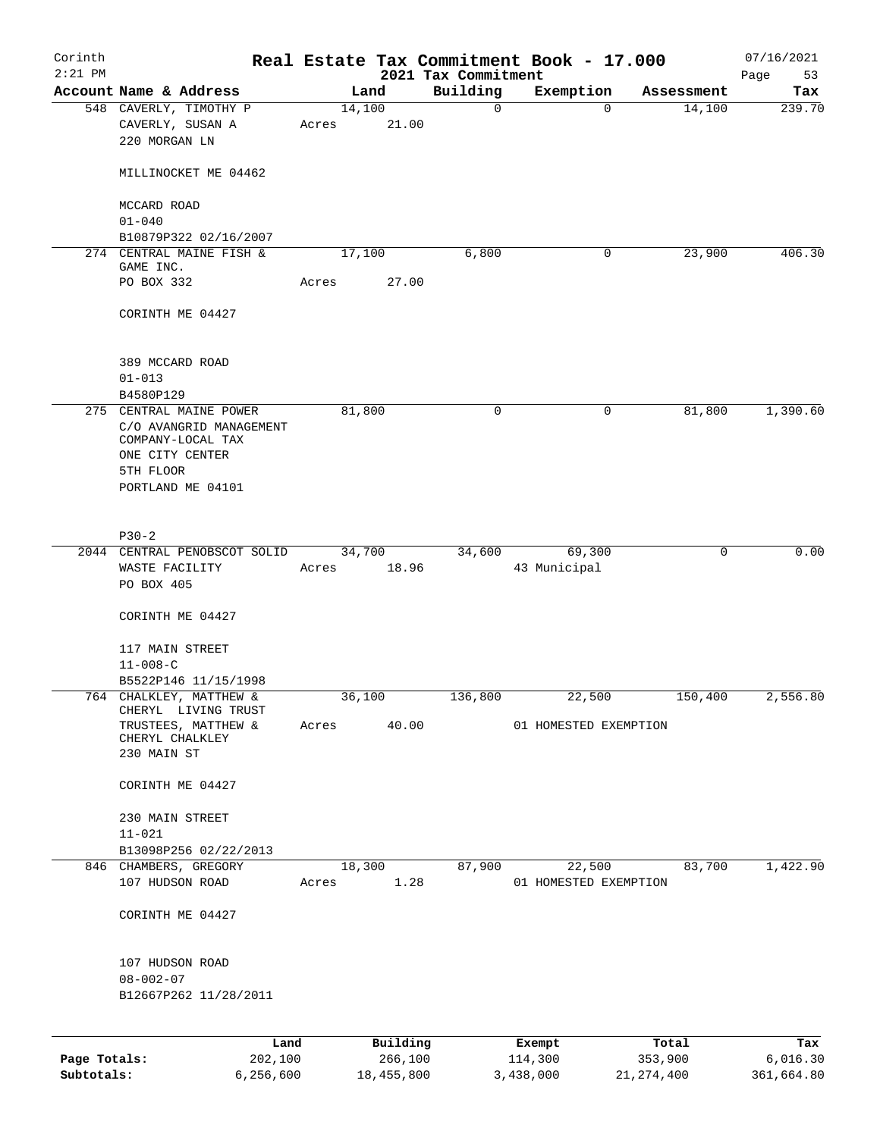| Corinth<br>$2:21$ PM |                                                                              |             |                     | 2021 Tax Commitment | Real Estate Tax Commitment Book - 17.000 |             | 07/16/2021<br>Page<br>53 |
|----------------------|------------------------------------------------------------------------------|-------------|---------------------|---------------------|------------------------------------------|-------------|--------------------------|
|                      | Account Name & Address                                                       |             | Land                | Building            | Exemption                                | Assessment  | Tax                      |
|                      | 548 CAVERLY, TIMOTHY P                                                       |             | 14,100              | $\overline{0}$      | $\Omega$                                 | 14,100      | 239.70                   |
|                      | CAVERLY, SUSAN A<br>220 MORGAN LN                                            | Acres       | 21.00               |                     |                                          |             |                          |
|                      | MILLINOCKET ME 04462                                                         |             |                     |                     |                                          |             |                          |
|                      | MCCARD ROAD                                                                  |             |                     |                     |                                          |             |                          |
|                      | $01 - 040$                                                                   |             |                     |                     |                                          |             |                          |
|                      | B10879P322 02/16/2007<br>274 CENTRAL MAINE FISH &                            |             | 17,100              | 6,800               | 0                                        | 23,900      | 406.30                   |
|                      | GAME INC.                                                                    |             |                     |                     |                                          |             |                          |
|                      | PO BOX 332                                                                   | Acres       | 27.00               |                     |                                          |             |                          |
|                      | CORINTH ME 04427                                                             |             |                     |                     |                                          |             |                          |
|                      | 389 MCCARD ROAD<br>$01 - 013$                                                |             |                     |                     |                                          |             |                          |
|                      | B4580P129                                                                    |             |                     |                     |                                          |             |                          |
|                      | 275 CENTRAL MAINE POWER                                                      |             | 81,800              | $\mathbf 0$         | $\mathbf 0$                              | 81,800      | 1,390.60                 |
|                      | C/O AVANGRID MANAGEMENT<br>COMPANY-LOCAL TAX<br>ONE CITY CENTER<br>5TH FLOOR |             |                     |                     |                                          |             |                          |
|                      | PORTLAND ME 04101                                                            |             |                     |                     |                                          |             |                          |
|                      |                                                                              |             |                     |                     |                                          |             |                          |
|                      | $P30-2$                                                                      |             |                     |                     |                                          |             | 0.00                     |
|                      | 2044 CENTRAL PENOBSCOT SOLID                                                 | Acres 18.96 | 34,700              |                     | 34,600<br>69,300<br>43 Municipal         | $\mathbf 0$ |                          |
|                      | WASTE FACILITY<br>PO BOX 405                                                 |             |                     |                     |                                          |             |                          |
|                      | CORINTH ME 04427                                                             |             |                     |                     |                                          |             |                          |
|                      | 117 MAIN STREET                                                              |             |                     |                     |                                          |             |                          |
|                      | $11 - 008 - C$                                                               |             |                     |                     |                                          |             |                          |
|                      | B5522P146 11/15/1998                                                         |             |                     |                     |                                          |             |                          |
|                      | 764 CHALKLEY, MATTHEW &<br>CHERYL LIVING TRUST                               |             | 36,100              | 136,800             | 22,500                                   | 150,400     | 2,556.80                 |
|                      | TRUSTEES, MATTHEW &<br>CHERYL CHALKLEY<br>230 MAIN ST                        | Acres 40.00 |                     |                     | 01 HOMESTED EXEMPTION                    |             |                          |
|                      | CORINTH ME 04427                                                             |             |                     |                     |                                          |             |                          |
|                      | 230 MAIN STREET<br>$11 - 021$                                                |             |                     |                     |                                          |             |                          |
|                      | B13098P256 02/22/2013                                                        |             |                     |                     |                                          |             |                          |
|                      | 846 CHAMBERS, GREGORY                                                        |             | 18,300              | 87,900              | 22,500                                   | 83,700      | 1,422.90                 |
|                      | 107 HUDSON ROAD                                                              | Acres       | 1.28                |                     | 01 HOMESTED EXEMPTION                    |             |                          |
|                      | CORINTH ME 04427                                                             |             |                     |                     |                                          |             |                          |
|                      | 107 HUDSON ROAD<br>$08 - 002 - 07$                                           |             |                     |                     |                                          |             |                          |
|                      | B12667P262 11/28/2011                                                        |             |                     |                     |                                          |             |                          |
|                      |                                                                              |             |                     |                     |                                          |             |                          |
|                      | Land                                                                         |             | Building<br>266,100 |                     | Exempt<br>114,300                        | Total       | Tax                      |
| Page Totals:         | 202,100                                                                      |             |                     |                     |                                          | 353,900     | 6,016.30                 |

**Subtotals:** 6,256,600 18,455,800 3,438,000 21,274,400 361,664.80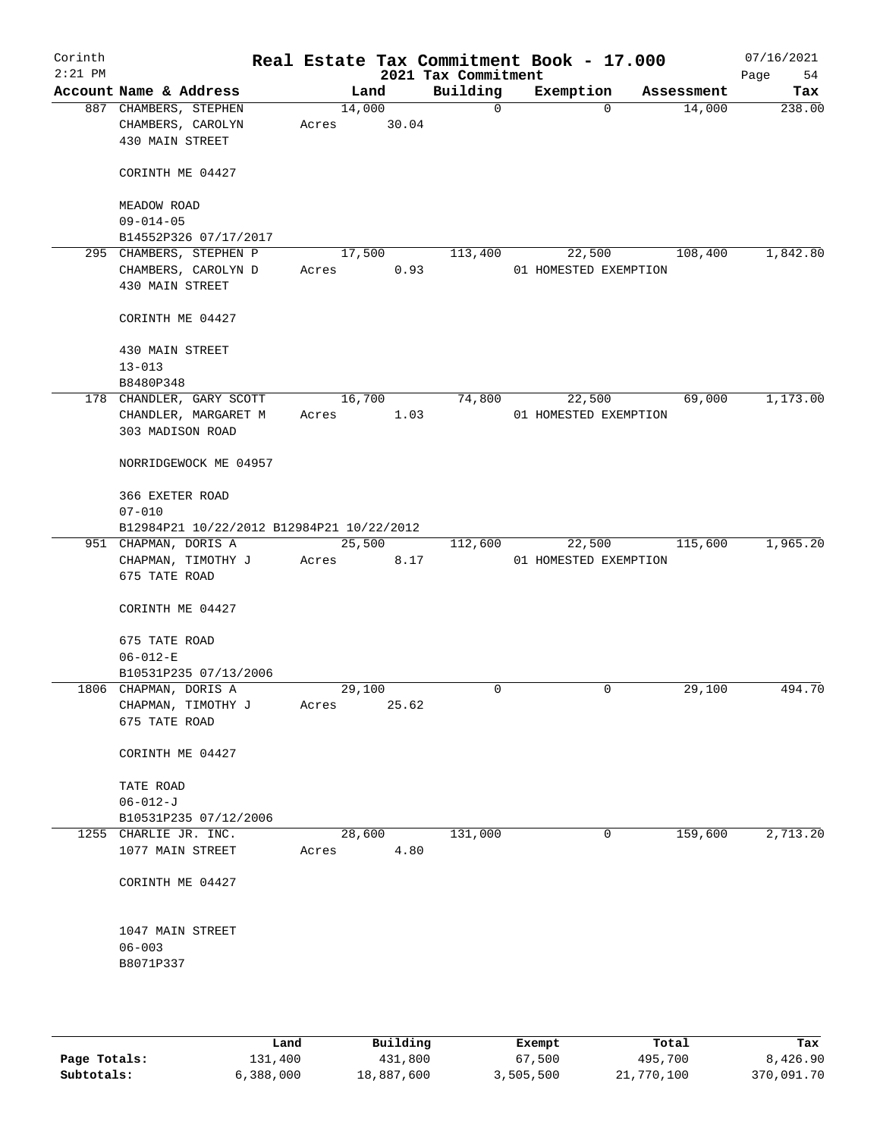| Corinth<br>$2:21$ PM |                                                               |       |                 | 2021 Tax Commitment | Real Estate Tax Commitment Book - 17.000 |            | 07/16/2021<br>Page<br>54 |
|----------------------|---------------------------------------------------------------|-------|-----------------|---------------------|------------------------------------------|------------|--------------------------|
|                      | Account Name & Address                                        |       | Land            | Building            | Exemption                                | Assessment | Tax                      |
|                      | 887 CHAMBERS, STEPHEN<br>CHAMBERS, CAROLYN<br>430 MAIN STREET | Acres | 14,000<br>30.04 | $\mathsf{O}$        | $\Omega$                                 | 14,000     | 238.00                   |
|                      | CORINTH ME 04427                                              |       |                 |                     |                                          |            |                          |
|                      | MEADOW ROAD                                                   |       |                 |                     |                                          |            |                          |
|                      | $09 - 014 - 05$                                               |       |                 |                     |                                          |            |                          |
|                      | B14552P326 07/17/2017<br>295 CHAMBERS, STEPHEN P              |       | 17,500          | 113,400             | 22,500                                   | 108,400    | 1,842.80                 |
|                      | CHAMBERS, CAROLYN D                                           | Acres | 0.93            |                     | 01 HOMESTED EXEMPTION                    |            |                          |
|                      | 430 MAIN STREET                                               |       |                 |                     |                                          |            |                          |
|                      | CORINTH ME 04427                                              |       |                 |                     |                                          |            |                          |
|                      | 430 MAIN STREET                                               |       |                 |                     |                                          |            |                          |
|                      | $13 - 013$                                                    |       |                 |                     |                                          |            |                          |
|                      | B8480P348                                                     |       |                 |                     |                                          |            |                          |
|                      | 178 CHANDLER, GARY SCOTT                                      |       | 16,700          | 74,800              | 22,500                                   | 69,000     | 1,173.00                 |
|                      | CHANDLER, MARGARET M<br>303 MADISON ROAD                      | Acres | 1.03            |                     | 01 HOMESTED EXEMPTION                    |            |                          |
|                      | NORRIDGEWOCK ME 04957                                         |       |                 |                     |                                          |            |                          |
|                      | 366 EXETER ROAD                                               |       |                 |                     |                                          |            |                          |
|                      | $07 - 010$                                                    |       |                 |                     |                                          |            |                          |
|                      | B12984P21 10/22/2012 B12984P21 10/22/2012                     |       |                 |                     |                                          |            |                          |
|                      | 951 CHAPMAN, DORIS A                                          |       | 25,500          | 112,600             | 22,500                                   | 115,600    | 1,965.20                 |
|                      | СНАРМАН, ТІМОТНҮ Ј<br>675 TATE ROAD                           | Acres | 8.17            |                     | 01 HOMESTED EXEMPTION                    |            |                          |
|                      | CORINTH ME 04427                                              |       |                 |                     |                                          |            |                          |
|                      | 675 TATE ROAD                                                 |       |                 |                     |                                          |            |                          |
|                      | $06 - 012 - E$                                                |       |                 |                     |                                          |            |                          |
|                      | B10531P235 07/13/2006                                         |       |                 |                     |                                          |            |                          |
|                      | 1806 CHAPMAN, DORIS A<br>CHAPMAN, TIMOTHY J<br>675 TATE ROAD  | Acres | 29,100<br>25.62 | $\Omega$            | $\mathbf 0$                              | 29,100     | 494.70                   |
|                      |                                                               |       |                 |                     |                                          |            |                          |
|                      | CORINTH ME 04427                                              |       |                 |                     |                                          |            |                          |
|                      | TATE ROAD                                                     |       |                 |                     |                                          |            |                          |
|                      | $06 - 012 - J$                                                |       |                 |                     |                                          |            |                          |
|                      | B10531P235 07/12/2006                                         |       |                 |                     |                                          |            |                          |
|                      | 1255 CHARLIE JR. INC.                                         |       | 28,600          | 131,000             | 0                                        | 159,600    | 2,713.20                 |
|                      | 1077 MAIN STREET                                              | Acres | 4.80            |                     |                                          |            |                          |
|                      | CORINTH ME 04427                                              |       |                 |                     |                                          |            |                          |
|                      | 1047 MAIN STREET                                              |       |                 |                     |                                          |            |                          |
|                      | $06 - 003$                                                    |       |                 |                     |                                          |            |                          |
|                      | B8071P337                                                     |       |                 |                     |                                          |            |                          |
|                      |                                                               |       |                 |                     |                                          |            |                          |
|                      |                                                               |       |                 |                     |                                          |            |                          |

|              | Land      | Building   | Exempt    | Total      | Tax        |
|--------------|-----------|------------|-----------|------------|------------|
| Page Totals: | 131,400   | 431,800    | 67,500    | 495,700    | 8,426.90   |
| Subtotals:   | 6,388,000 | 18,887,600 | 3,505,500 | 21,770,100 | 370,091.70 |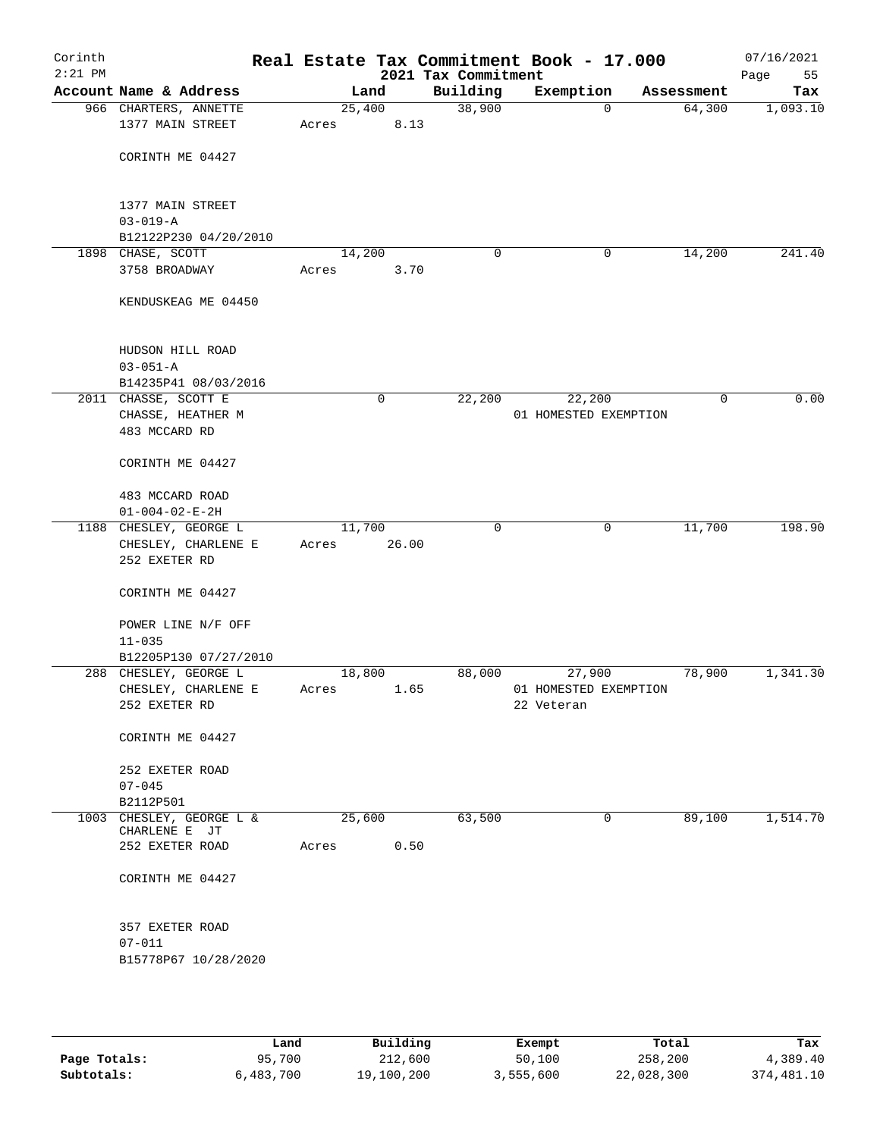| Corinth<br>$2:21$ PM |                                         |        |             | 2021 Tax Commitment | Real Estate Tax Commitment Book - 17.000 |             | 07/16/2021<br>55<br>Page |
|----------------------|-----------------------------------------|--------|-------------|---------------------|------------------------------------------|-------------|--------------------------|
|                      | Account Name & Address                  |        | Land        | Building            | Exemption                                | Assessment  | Tax                      |
|                      | 966 CHARTERS, ANNETTE                   | 25,400 |             | 38,900              | $\mathbf 0$                              | 64,300      | 1,093.10                 |
|                      | 1377 MAIN STREET                        | Acres  | 8.13        |                     |                                          |             |                          |
|                      |                                         |        |             |                     |                                          |             |                          |
|                      | CORINTH ME 04427                        |        |             |                     |                                          |             |                          |
|                      |                                         |        |             |                     |                                          |             |                          |
|                      | 1377 MAIN STREET                        |        |             |                     |                                          |             |                          |
|                      | $03 - 019 - A$<br>B12122P230 04/20/2010 |        |             |                     |                                          |             |                          |
|                      | 1898 CHASE, SCOTT                       | 14,200 |             | 0                   | 0                                        | 14,200      | 241.40                   |
|                      | 3758 BROADWAY                           | Acres  | 3.70        |                     |                                          |             |                          |
|                      | KENDUSKEAG ME 04450                     |        |             |                     |                                          |             |                          |
|                      |                                         |        |             |                     |                                          |             |                          |
|                      | HUDSON HILL ROAD                        |        |             |                     |                                          |             |                          |
|                      | $03 - 051 - A$                          |        |             |                     |                                          |             |                          |
|                      | B14235P41 08/03/2016                    |        |             |                     |                                          |             |                          |
|                      | 2011 CHASSE, SCOTT E                    |        | $\mathbf 0$ | 22,200              | 22,200                                   | $\mathbf 0$ | 0.00                     |
|                      | CHASSE, HEATHER M                       |        |             |                     | 01 HOMESTED EXEMPTION                    |             |                          |
|                      | 483 MCCARD RD                           |        |             |                     |                                          |             |                          |
|                      | CORINTH ME 04427                        |        |             |                     |                                          |             |                          |
|                      | 483 MCCARD ROAD                         |        |             |                     |                                          |             |                          |
|                      | $01 - 004 - 02 - E - 2H$                |        |             |                     |                                          |             |                          |
|                      | 1188 CHESLEY, GEORGE L                  | 11,700 |             | $\mathbf 0$         | $\mathbf 0$                              | 11,700      | 198.90                   |
|                      | CHESLEY, CHARLENE E                     | Acres  | 26.00       |                     |                                          |             |                          |
|                      | 252 EXETER RD                           |        |             |                     |                                          |             |                          |
|                      | CORINTH ME 04427                        |        |             |                     |                                          |             |                          |
|                      | POWER LINE N/F OFF                      |        |             |                     |                                          |             |                          |
|                      | $11 - 035$                              |        |             |                     |                                          |             |                          |
|                      | B12205P130 07/27/2010                   |        |             |                     |                                          |             |                          |
|                      | 288 CHESLEY, GEORGE L                   | 18,800 |             | 88,000              | 27,900                                   | 78,900      | 1,341.30                 |
|                      | CHESLEY, CHARLENE E                     | Acres  | 1.65        |                     | 01 HOMESTED EXEMPTION                    |             |                          |
|                      | 252 EXETER RD                           |        |             |                     | 22 Veteran                               |             |                          |
|                      | CORINTH ME 04427                        |        |             |                     |                                          |             |                          |
|                      | 252 EXETER ROAD                         |        |             |                     |                                          |             |                          |
|                      | $07 - 045$                              |        |             |                     |                                          |             |                          |
|                      | B2112P501<br>1003 CHESLEY, GEORGE L &   | 25,600 |             | 63,500              | 0                                        | 89,100      | 1,514.70                 |
|                      | CHARLENE E JT                           |        |             |                     |                                          |             |                          |
|                      | 252 EXETER ROAD                         | Acres  | 0.50        |                     |                                          |             |                          |
|                      |                                         |        |             |                     |                                          |             |                          |
|                      | CORINTH ME 04427                        |        |             |                     |                                          |             |                          |
|                      | 357 EXETER ROAD                         |        |             |                     |                                          |             |                          |
|                      | $07 - 011$                              |        |             |                     |                                          |             |                          |
|                      | B15778P67 10/28/2020                    |        |             |                     |                                          |             |                          |
|                      |                                         |        |             |                     |                                          |             |                          |
|                      |                                         |        |             |                     |                                          |             |                          |
|                      |                                         |        |             |                     |                                          |             |                          |

|              | Land      | Building   | Exempt    | Total      | Tax        |
|--------------|-----------|------------|-----------|------------|------------|
| Page Totals: | 95,700    | 212,600    | 50,100    | 258,200    | 4,389.40   |
| Subtotals:   | 6,483,700 | 19,100,200 | 3,555,600 | 22,028,300 | 374,481.10 |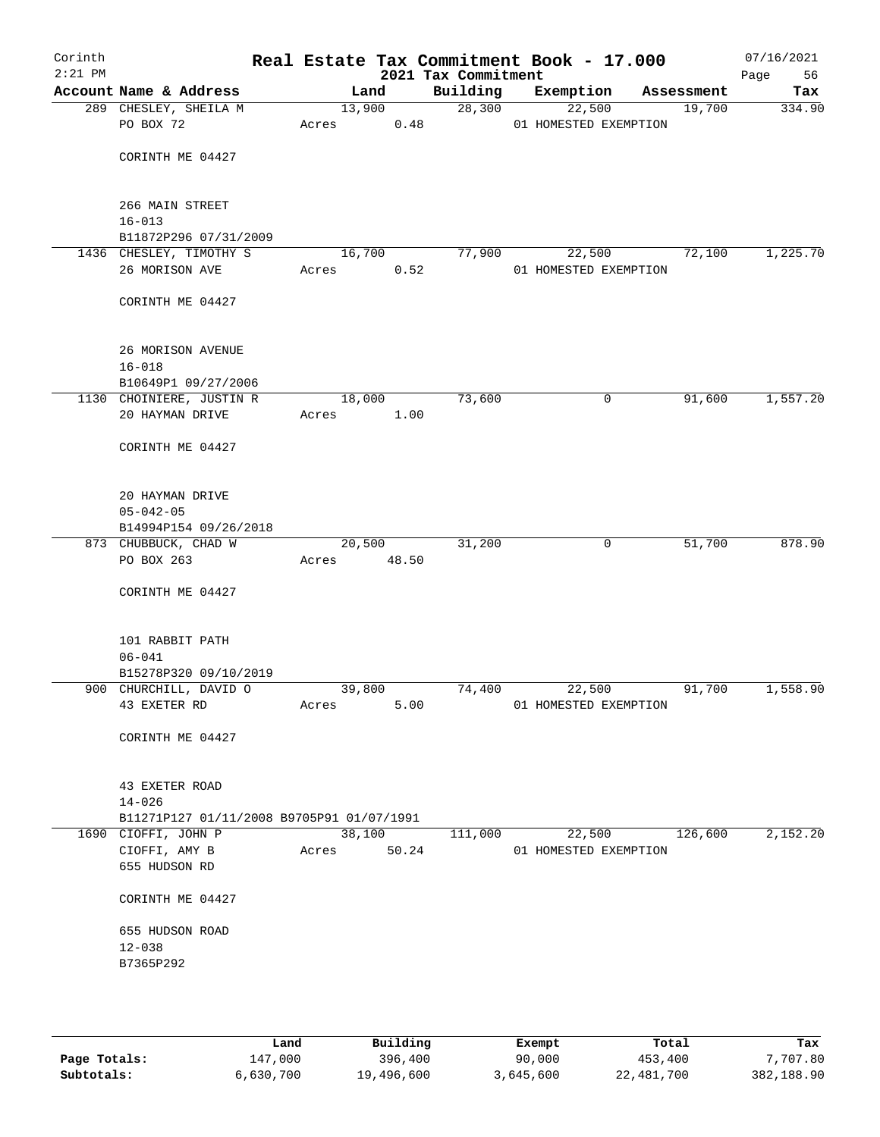| Account Name & Address<br>Building<br>Exemption<br>Land<br>Assessment<br>28,300<br>13,900<br>22,500<br>19,700<br>289 CHESLEY, SHEILA M<br>PO BOX 72<br>0.48<br>01 HOMESTED EXEMPTION<br>Acres<br>CORINTH ME 04427<br>266 MAIN STREET<br>$16 - 013$<br>B11872P296 07/31/2009<br>1436 CHESLEY, TIMOTHY S<br>77,900<br>72,100<br>16,700<br>22,500<br>26 MORISON AVE<br>0.52<br>Acres<br>01 HOMESTED EXEMPTION<br>CORINTH ME 04427<br>26 MORISON AVENUE<br>$16 - 018$<br>B10649P1 09/27/2006<br>18,000<br>73,600<br>0<br>91,600<br>1130 CHOINIERE, JUSTIN R<br>20 HAYMAN DRIVE<br>Acres<br>1.00<br>CORINTH ME 04427<br>20 HAYMAN DRIVE<br>$05 - 042 - 05$<br>B14994P154 09/26/2018<br>873 CHUBBUCK, CHAD W<br>31,200<br>0<br>51,700<br>20,500<br>PO BOX 263<br>Acres 48.50<br>CORINTH ME 04427<br>101 RABBIT PATH<br>$06 - 041$<br>B15278P320 09/10/2019<br>900 CHURCHILL, DAVID O<br>39,800<br>74,400<br>22,500<br>91,700<br>43 EXETER RD<br>5.00<br>Acres<br>01 HOMESTED EXEMPTION<br>CORINTH ME 04427<br>43 EXETER ROAD<br>$14 - 026$<br>B11271P127 01/11/2008 B9705P91 01/07/1991<br>38,100<br>22,500<br>126,600<br>2,152.20<br>1690 CIOFFI, JOHN P<br>111,000<br>50.24<br>CIOFFI, AMY B<br>01 HOMESTED EXEMPTION<br>Acres<br>655 HUDSON RD<br>CORINTH ME 04427<br>655 HUDSON ROAD<br>$12 - 038$<br>B7365P292 | Corinth<br>$2:21$ PM |  | 2021 Tax Commitment | Real Estate Tax Commitment Book - 17.000 | 07/16/2021<br>56<br>Page |
|---------------------------------------------------------------------------------------------------------------------------------------------------------------------------------------------------------------------------------------------------------------------------------------------------------------------------------------------------------------------------------------------------------------------------------------------------------------------------------------------------------------------------------------------------------------------------------------------------------------------------------------------------------------------------------------------------------------------------------------------------------------------------------------------------------------------------------------------------------------------------------------------------------------------------------------------------------------------------------------------------------------------------------------------------------------------------------------------------------------------------------------------------------------------------------------------------------------------------------------------------------------------------------------------------------------|----------------------|--|---------------------|------------------------------------------|--------------------------|
|                                                                                                                                                                                                                                                                                                                                                                                                                                                                                                                                                                                                                                                                                                                                                                                                                                                                                                                                                                                                                                                                                                                                                                                                                                                                                                               |                      |  |                     |                                          | Tax                      |
|                                                                                                                                                                                                                                                                                                                                                                                                                                                                                                                                                                                                                                                                                                                                                                                                                                                                                                                                                                                                                                                                                                                                                                                                                                                                                                               |                      |  |                     |                                          | 334.90                   |
|                                                                                                                                                                                                                                                                                                                                                                                                                                                                                                                                                                                                                                                                                                                                                                                                                                                                                                                                                                                                                                                                                                                                                                                                                                                                                                               |                      |  |                     |                                          |                          |
|                                                                                                                                                                                                                                                                                                                                                                                                                                                                                                                                                                                                                                                                                                                                                                                                                                                                                                                                                                                                                                                                                                                                                                                                                                                                                                               |                      |  |                     |                                          |                          |
|                                                                                                                                                                                                                                                                                                                                                                                                                                                                                                                                                                                                                                                                                                                                                                                                                                                                                                                                                                                                                                                                                                                                                                                                                                                                                                               |                      |  |                     |                                          |                          |
|                                                                                                                                                                                                                                                                                                                                                                                                                                                                                                                                                                                                                                                                                                                                                                                                                                                                                                                                                                                                                                                                                                                                                                                                                                                                                                               |                      |  |                     |                                          |                          |
|                                                                                                                                                                                                                                                                                                                                                                                                                                                                                                                                                                                                                                                                                                                                                                                                                                                                                                                                                                                                                                                                                                                                                                                                                                                                                                               |                      |  |                     |                                          |                          |
|                                                                                                                                                                                                                                                                                                                                                                                                                                                                                                                                                                                                                                                                                                                                                                                                                                                                                                                                                                                                                                                                                                                                                                                                                                                                                                               |                      |  |                     |                                          | 1,225.70                 |
|                                                                                                                                                                                                                                                                                                                                                                                                                                                                                                                                                                                                                                                                                                                                                                                                                                                                                                                                                                                                                                                                                                                                                                                                                                                                                                               |                      |  |                     |                                          |                          |
|                                                                                                                                                                                                                                                                                                                                                                                                                                                                                                                                                                                                                                                                                                                                                                                                                                                                                                                                                                                                                                                                                                                                                                                                                                                                                                               |                      |  |                     |                                          |                          |
|                                                                                                                                                                                                                                                                                                                                                                                                                                                                                                                                                                                                                                                                                                                                                                                                                                                                                                                                                                                                                                                                                                                                                                                                                                                                                                               |                      |  |                     |                                          |                          |
|                                                                                                                                                                                                                                                                                                                                                                                                                                                                                                                                                                                                                                                                                                                                                                                                                                                                                                                                                                                                                                                                                                                                                                                                                                                                                                               |                      |  |                     |                                          |                          |
|                                                                                                                                                                                                                                                                                                                                                                                                                                                                                                                                                                                                                                                                                                                                                                                                                                                                                                                                                                                                                                                                                                                                                                                                                                                                                                               |                      |  |                     |                                          |                          |
|                                                                                                                                                                                                                                                                                                                                                                                                                                                                                                                                                                                                                                                                                                                                                                                                                                                                                                                                                                                                                                                                                                                                                                                                                                                                                                               |                      |  |                     |                                          | 1,557.20                 |
|                                                                                                                                                                                                                                                                                                                                                                                                                                                                                                                                                                                                                                                                                                                                                                                                                                                                                                                                                                                                                                                                                                                                                                                                                                                                                                               |                      |  |                     |                                          |                          |
|                                                                                                                                                                                                                                                                                                                                                                                                                                                                                                                                                                                                                                                                                                                                                                                                                                                                                                                                                                                                                                                                                                                                                                                                                                                                                                               |                      |  |                     |                                          |                          |
|                                                                                                                                                                                                                                                                                                                                                                                                                                                                                                                                                                                                                                                                                                                                                                                                                                                                                                                                                                                                                                                                                                                                                                                                                                                                                                               |                      |  |                     |                                          |                          |
|                                                                                                                                                                                                                                                                                                                                                                                                                                                                                                                                                                                                                                                                                                                                                                                                                                                                                                                                                                                                                                                                                                                                                                                                                                                                                                               |                      |  |                     |                                          |                          |
|                                                                                                                                                                                                                                                                                                                                                                                                                                                                                                                                                                                                                                                                                                                                                                                                                                                                                                                                                                                                                                                                                                                                                                                                                                                                                                               |                      |  |                     |                                          |                          |
|                                                                                                                                                                                                                                                                                                                                                                                                                                                                                                                                                                                                                                                                                                                                                                                                                                                                                                                                                                                                                                                                                                                                                                                                                                                                                                               |                      |  |                     |                                          | 878.90                   |
|                                                                                                                                                                                                                                                                                                                                                                                                                                                                                                                                                                                                                                                                                                                                                                                                                                                                                                                                                                                                                                                                                                                                                                                                                                                                                                               |                      |  |                     |                                          |                          |
|                                                                                                                                                                                                                                                                                                                                                                                                                                                                                                                                                                                                                                                                                                                                                                                                                                                                                                                                                                                                                                                                                                                                                                                                                                                                                                               |                      |  |                     |                                          |                          |
|                                                                                                                                                                                                                                                                                                                                                                                                                                                                                                                                                                                                                                                                                                                                                                                                                                                                                                                                                                                                                                                                                                                                                                                                                                                                                                               |                      |  |                     |                                          |                          |
|                                                                                                                                                                                                                                                                                                                                                                                                                                                                                                                                                                                                                                                                                                                                                                                                                                                                                                                                                                                                                                                                                                                                                                                                                                                                                                               |                      |  |                     |                                          |                          |
|                                                                                                                                                                                                                                                                                                                                                                                                                                                                                                                                                                                                                                                                                                                                                                                                                                                                                                                                                                                                                                                                                                                                                                                                                                                                                                               |                      |  |                     |                                          |                          |
|                                                                                                                                                                                                                                                                                                                                                                                                                                                                                                                                                                                                                                                                                                                                                                                                                                                                                                                                                                                                                                                                                                                                                                                                                                                                                                               |                      |  |                     |                                          | 1,558.90                 |
|                                                                                                                                                                                                                                                                                                                                                                                                                                                                                                                                                                                                                                                                                                                                                                                                                                                                                                                                                                                                                                                                                                                                                                                                                                                                                                               |                      |  |                     |                                          |                          |
|                                                                                                                                                                                                                                                                                                                                                                                                                                                                                                                                                                                                                                                                                                                                                                                                                                                                                                                                                                                                                                                                                                                                                                                                                                                                                                               |                      |  |                     |                                          |                          |
|                                                                                                                                                                                                                                                                                                                                                                                                                                                                                                                                                                                                                                                                                                                                                                                                                                                                                                                                                                                                                                                                                                                                                                                                                                                                                                               |                      |  |                     |                                          |                          |
|                                                                                                                                                                                                                                                                                                                                                                                                                                                                                                                                                                                                                                                                                                                                                                                                                                                                                                                                                                                                                                                                                                                                                                                                                                                                                                               |                      |  |                     |                                          |                          |
|                                                                                                                                                                                                                                                                                                                                                                                                                                                                                                                                                                                                                                                                                                                                                                                                                                                                                                                                                                                                                                                                                                                                                                                                                                                                                                               |                      |  |                     |                                          |                          |
|                                                                                                                                                                                                                                                                                                                                                                                                                                                                                                                                                                                                                                                                                                                                                                                                                                                                                                                                                                                                                                                                                                                                                                                                                                                                                                               |                      |  |                     |                                          |                          |
|                                                                                                                                                                                                                                                                                                                                                                                                                                                                                                                                                                                                                                                                                                                                                                                                                                                                                                                                                                                                                                                                                                                                                                                                                                                                                                               |                      |  |                     |                                          |                          |
|                                                                                                                                                                                                                                                                                                                                                                                                                                                                                                                                                                                                                                                                                                                                                                                                                                                                                                                                                                                                                                                                                                                                                                                                                                                                                                               |                      |  |                     |                                          |                          |
|                                                                                                                                                                                                                                                                                                                                                                                                                                                                                                                                                                                                                                                                                                                                                                                                                                                                                                                                                                                                                                                                                                                                                                                                                                                                                                               |                      |  |                     |                                          |                          |
|                                                                                                                                                                                                                                                                                                                                                                                                                                                                                                                                                                                                                                                                                                                                                                                                                                                                                                                                                                                                                                                                                                                                                                                                                                                                                                               |                      |  |                     |                                          |                          |
|                                                                                                                                                                                                                                                                                                                                                                                                                                                                                                                                                                                                                                                                                                                                                                                                                                                                                                                                                                                                                                                                                                                                                                                                                                                                                                               |                      |  |                     |                                          |                          |
|                                                                                                                                                                                                                                                                                                                                                                                                                                                                                                                                                                                                                                                                                                                                                                                                                                                                                                                                                                                                                                                                                                                                                                                                                                                                                                               |                      |  |                     |                                          |                          |
|                                                                                                                                                                                                                                                                                                                                                                                                                                                                                                                                                                                                                                                                                                                                                                                                                                                                                                                                                                                                                                                                                                                                                                                                                                                                                                               |                      |  |                     |                                          |                          |

|              | Land      | Building   | Exempt    | Total      | Tax        |
|--------------|-----------|------------|-----------|------------|------------|
| Page Totals: | 147.000   | 396,400    | 90,000    | 453,400    | 7,707.80   |
| Subtotals:   | 6,630,700 | 19,496,600 | 3,645,600 | 22,481,700 | 382,188.90 |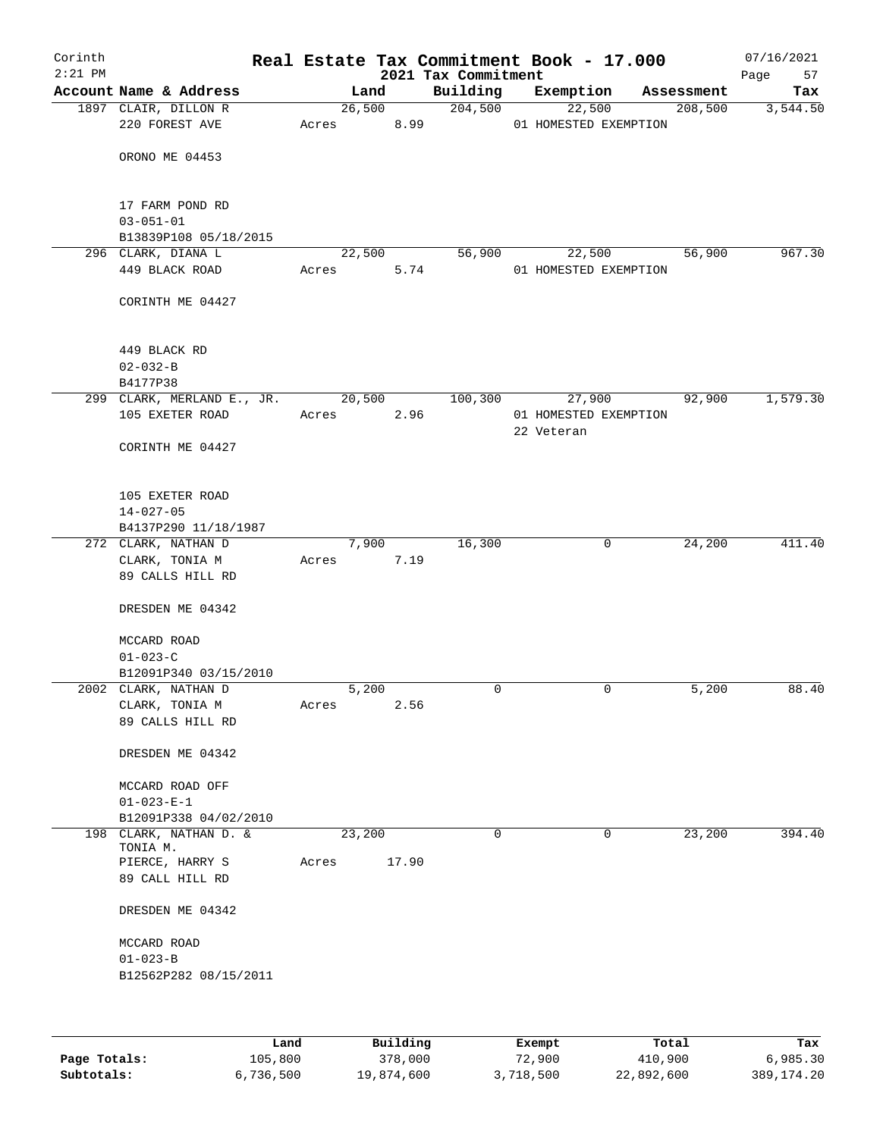| Corinth<br>$2:21$ PM |                                         |       |        |                | Real Estate Tax Commitment Book - 17.000<br>2021 Tax Commitment |   |            |                       |                      | 07/16/2021<br>57<br>Page |
|----------------------|-----------------------------------------|-------|--------|----------------|-----------------------------------------------------------------|---|------------|-----------------------|----------------------|--------------------------|
|                      | Account Name & Address                  |       | Land   |                | Building                                                        |   | Exemption  |                       | Assessment           | Tax                      |
|                      | 1897 CLAIR, DILLON R                    |       |        | 26,500         | 204,500                                                         |   |            | 22,500                | $\overline{208,500}$ | 3,544.50                 |
|                      | 220 FOREST AVE                          | Acres |        | 8.99           |                                                                 |   |            | 01 HOMESTED EXEMPTION |                      |                          |
|                      |                                         |       |        |                |                                                                 |   |            |                       |                      |                          |
|                      | ORONO ME 04453                          |       |        |                |                                                                 |   |            |                       |                      |                          |
|                      |                                         |       |        |                |                                                                 |   |            |                       |                      |                          |
|                      | 17 FARM POND RD                         |       |        |                |                                                                 |   |            |                       |                      |                          |
|                      | $03 - 051 - 01$                         |       |        |                |                                                                 |   |            |                       |                      |                          |
|                      | B13839P108 05/18/2015                   |       |        |                |                                                                 |   |            |                       |                      |                          |
|                      | 296 CLARK, DIANA L<br>449 BLACK ROAD    | Acres |        | 22,500<br>5.74 | 56,900                                                          |   | 22,500     |                       | 56,900               | 967.30                   |
|                      |                                         |       |        |                |                                                                 |   |            | 01 HOMESTED EXEMPTION |                      |                          |
|                      | CORINTH ME 04427                        |       |        |                |                                                                 |   |            |                       |                      |                          |
|                      |                                         |       |        |                |                                                                 |   |            |                       |                      |                          |
|                      | 449 BLACK RD                            |       |        |                |                                                                 |   |            |                       |                      |                          |
|                      | $02 - 032 - B$                          |       |        |                |                                                                 |   |            |                       |                      |                          |
|                      | B4177P38                                |       |        |                |                                                                 |   |            |                       |                      |                          |
|                      | 299 CLARK, MERLAND E., JR.              |       |        | 20,500         | 100,300                                                         |   | 27,900     |                       | 92,900               | 1,579.30                 |
|                      | 105 EXETER ROAD                         | Acres |        | 2.96           |                                                                 |   |            | 01 HOMESTED EXEMPTION |                      |                          |
|                      | CORINTH ME 04427                        |       |        |                |                                                                 |   | 22 Veteran |                       |                      |                          |
|                      |                                         |       |        |                |                                                                 |   |            |                       |                      |                          |
|                      |                                         |       |        |                |                                                                 |   |            |                       |                      |                          |
|                      | 105 EXETER ROAD                         |       |        |                |                                                                 |   |            |                       |                      |                          |
|                      | $14 - 027 - 05$                         |       |        |                |                                                                 |   |            |                       |                      |                          |
|                      | B4137P290 11/18/1987                    |       |        |                |                                                                 |   |            |                       |                      |                          |
|                      | 272 CLARK, NATHAN D                     |       |        | 7,900          | 16,300                                                          |   |            | $\mathsf{O}$          | 24,200               | 411.40                   |
|                      | CLARK, TONIA M<br>89 CALLS HILL RD      | Acres |        | 7.19           |                                                                 |   |            |                       |                      |                          |
|                      |                                         |       |        |                |                                                                 |   |            |                       |                      |                          |
|                      | DRESDEN ME 04342                        |       |        |                |                                                                 |   |            |                       |                      |                          |
|                      |                                         |       |        |                |                                                                 |   |            |                       |                      |                          |
|                      | MCCARD ROAD                             |       |        |                |                                                                 |   |            |                       |                      |                          |
|                      | $01 - 023 - C$<br>B12091P340 03/15/2010 |       |        |                |                                                                 |   |            |                       |                      |                          |
|                      | 2002 CLARK, NATHAN D                    |       | 5,200  |                |                                                                 | 0 |            | 0                     | 5,200                | 88.40                    |
|                      | CLARK, TONIA M                          | Acres |        | 2.56           |                                                                 |   |            |                       |                      |                          |
|                      | 89 CALLS HILL RD                        |       |        |                |                                                                 |   |            |                       |                      |                          |
|                      |                                         |       |        |                |                                                                 |   |            |                       |                      |                          |
|                      | DRESDEN ME 04342                        |       |        |                |                                                                 |   |            |                       |                      |                          |
|                      | MCCARD ROAD OFF                         |       |        |                |                                                                 |   |            |                       |                      |                          |
|                      | $01 - 023 - E - 1$                      |       |        |                |                                                                 |   |            |                       |                      |                          |
|                      | B12091P338 04/02/2010                   |       |        |                |                                                                 |   |            |                       |                      |                          |
|                      | 198 CLARK, NATHAN D. &<br>TONIA M.      |       | 23,200 |                |                                                                 | 0 |            | 0                     | 23,200               | 394.40                   |
|                      | PIERCE, HARRY S                         | Acres |        | 17.90          |                                                                 |   |            |                       |                      |                          |
|                      | 89 CALL HILL RD                         |       |        |                |                                                                 |   |            |                       |                      |                          |
|                      | DRESDEN ME 04342                        |       |        |                |                                                                 |   |            |                       |                      |                          |
|                      | MCCARD ROAD                             |       |        |                |                                                                 |   |            |                       |                      |                          |
|                      | $01 - 023 - B$                          |       |        |                |                                                                 |   |            |                       |                      |                          |
|                      | B12562P282 08/15/2011                   |       |        |                |                                                                 |   |            |                       |                      |                          |
|                      |                                         |       |        |                |                                                                 |   |            |                       |                      |                          |
|                      |                                         |       |        |                |                                                                 |   |            |                       |                      |                          |
|                      |                                         |       |        |                |                                                                 |   |            |                       |                      |                          |

|              | Land      | Building   | Exempt    | Total      | Tax          |
|--------------|-----------|------------|-----------|------------|--------------|
| Page Totals: | 105,800   | 378,000    | 72,900    | 410,900    | 6,985.30     |
| Subtotals:   | 6,736,500 | 19,874,600 | 3,718,500 | 22,892,600 | 389, 174. 20 |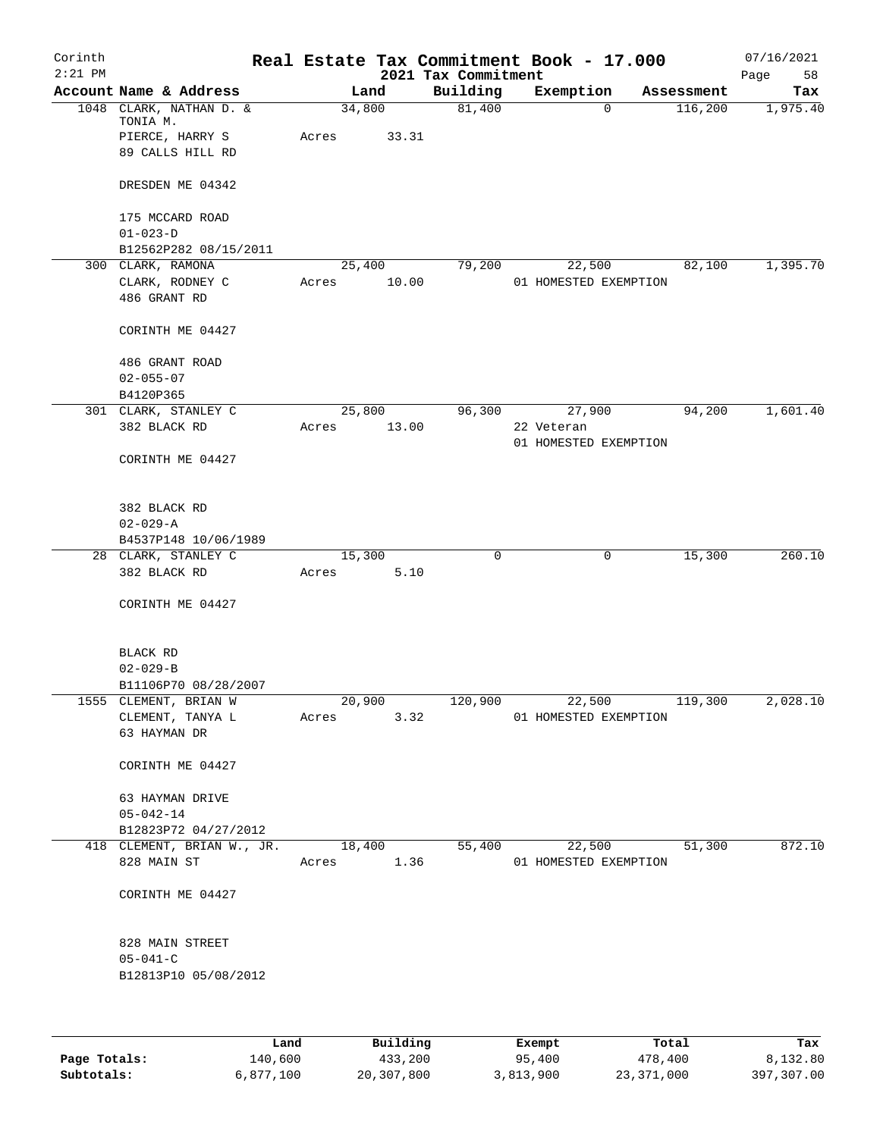| Corinth<br>$2:21$ PM |                                     |       |            | 2021 Tax Commitment | Real Estate Tax Commitment Book - 17.000 |            | 07/16/2021<br>Page<br>58 |
|----------------------|-------------------------------------|-------|------------|---------------------|------------------------------------------|------------|--------------------------|
|                      | Account Name & Address              |       | Land       | Building            | Exemption                                | Assessment | Tax                      |
|                      | 1048 CLARK, NATHAN D. &<br>TONIA M. |       | 34,800     | 81,400              | $\Omega$                                 | 116,200    | 1,975.40                 |
|                      | PIERCE, HARRY S                     | Acres | 33.31      |                     |                                          |            |                          |
|                      | 89 CALLS HILL RD                    |       |            |                     |                                          |            |                          |
|                      | DRESDEN ME 04342                    |       |            |                     |                                          |            |                          |
|                      | 175 MCCARD ROAD                     |       |            |                     |                                          |            |                          |
|                      | $01 - 023 - D$                      |       |            |                     |                                          |            |                          |
|                      | B12562P282 08/15/2011               |       |            |                     |                                          |            |                          |
|                      | 300 CLARK, RAMONA                   |       | 25,400     | 79,200              | 22,500                                   | 82,100     | 1,395.70                 |
|                      | CLARK, RODNEY C<br>486 GRANT RD     | Acres | 10.00      |                     | 01 HOMESTED EXEMPTION                    |            |                          |
|                      | CORINTH ME 04427                    |       |            |                     |                                          |            |                          |
|                      | 486 GRANT ROAD<br>$02 - 055 - 07$   |       |            |                     |                                          |            |                          |
|                      | B4120P365                           |       |            |                     |                                          |            |                          |
|                      | 301 CLARK, STANLEY C                |       | 25,800     | 96,300              | 27,900                                   | 94,200     | 1,601.40                 |
|                      | 382 BLACK RD                        | Acres | 13.00      |                     | 22 Veteran                               |            |                          |
|                      |                                     |       |            |                     | 01 HOMESTED EXEMPTION                    |            |                          |
|                      | CORINTH ME 04427                    |       |            |                     |                                          |            |                          |
|                      | 382 BLACK RD                        |       |            |                     |                                          |            |                          |
|                      | $02 - 029 - A$                      |       |            |                     |                                          |            |                          |
|                      | B4537P148 10/06/1989                |       |            |                     |                                          |            |                          |
|                      | 28 CLARK, STANLEY C                 |       | 15,300     | 0                   | 0                                        | 15,300     | 260.10                   |
|                      | 382 BLACK RD                        | Acres | 5.10       |                     |                                          |            |                          |
|                      | CORINTH ME 04427                    |       |            |                     |                                          |            |                          |
|                      | BLACK RD                            |       |            |                     |                                          |            |                          |
|                      | $02 - 029 - B$                      |       |            |                     |                                          |            |                          |
|                      | B11106P70 08/28/2007                |       |            |                     |                                          |            |                          |
|                      | 1555 CLEMENT, BRIAN W               |       | 20,900     | 120,900             | 22,500                                   | 119,300    | 2,028.10                 |
|                      | CLEMENT, TANYA L<br>63 HAYMAN DR    | Acres | 3.32       |                     | 01 HOMESTED EXEMPTION                    |            |                          |
|                      | CORINTH ME 04427                    |       |            |                     |                                          |            |                          |
|                      | 63 HAYMAN DRIVE<br>$05 - 042 - 14$  |       |            |                     |                                          |            |                          |
|                      | B12823P72 04/27/2012                |       |            |                     |                                          |            |                          |
|                      | 418 CLEMENT, BRIAN W., JR.          |       | 18,400     | 55,400              | 22,500                                   | 51,300     | 872.10                   |
|                      | 828 MAIN ST                         |       | Acres 1.36 |                     | 01 HOMESTED EXEMPTION                    |            |                          |
|                      | CORINTH ME 04427                    |       |            |                     |                                          |            |                          |
|                      | 828 MAIN STREET                     |       |            |                     |                                          |            |                          |
|                      | $05 - 041 - C$                      |       |            |                     |                                          |            |                          |
|                      | B12813P10 05/08/2012                |       |            |                     |                                          |            |                          |
|                      |                                     |       |            |                     |                                          |            |                          |

|              | Land      | Building   | Exempt    | Total      | Tax        |
|--------------|-----------|------------|-----------|------------|------------|
| Page Totals: | 140,600   | 433,200    | 95,400    | 478,400    | 8,132.80   |
| Subtotals:   | 6,877,100 | 20,307,800 | 3,813,900 | 23,371,000 | 397,307.00 |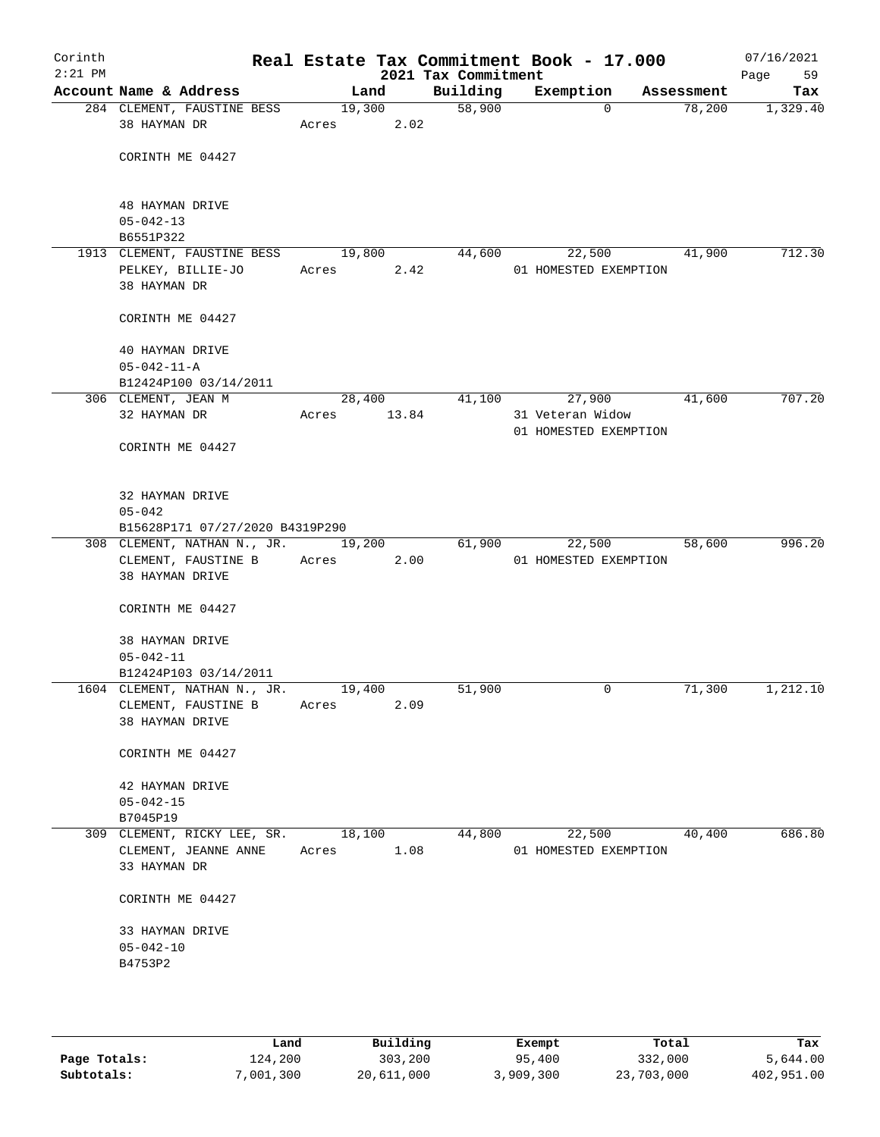| Corinth<br>$2:21$ PM |                                                                        |                 |                | Real Estate Tax Commitment Book - 17.000<br>2021 Tax Commitment |                                           |            | 07/16/2021<br>59<br>Page |
|----------------------|------------------------------------------------------------------------|-----------------|----------------|-----------------------------------------------------------------|-------------------------------------------|------------|--------------------------|
|                      | Account Name & Address                                                 |                 | Land           | Building                                                        | Exemption                                 | Assessment | Tax                      |
|                      | 284 CLEMENT, FAUSTINE BESS<br>38 HAYMAN DR                             | Acres           | 19,300<br>2.02 | 58,900                                                          | $\Omega$                                  | 78,200     | 1,329.40                 |
|                      | CORINTH ME 04427                                                       |                 |                |                                                                 |                                           |            |                          |
|                      | <b>48 HAYMAN DRIVE</b><br>$05 - 042 - 13$                              |                 |                |                                                                 |                                           |            |                          |
|                      | B6551P322                                                              |                 |                |                                                                 |                                           |            |                          |
|                      | 1913 CLEMENT, FAUSTINE BESS<br>PELKEY, BILLIE-JO                       | 19,800<br>Acres | 2.42           | 44,600                                                          | 22,500<br>01 HOMESTED EXEMPTION           | 41,900     | 712.30                   |
|                      | 38 HAYMAN DR                                                           |                 |                |                                                                 |                                           |            |                          |
|                      | CORINTH ME 04427                                                       |                 |                |                                                                 |                                           |            |                          |
|                      | 40 HAYMAN DRIVE<br>$05 - 042 - 11 - A$                                 |                 |                |                                                                 |                                           |            |                          |
|                      | B12424P100 03/14/2011                                                  |                 |                |                                                                 |                                           |            |                          |
|                      | 306 CLEMENT, JEAN M                                                    |                 | 28,400         | 41,100                                                          | 27,900                                    | 41,600     | 707.20                   |
|                      | 32 HAYMAN DR                                                           | Acres           | 13.84          |                                                                 | 31 Veteran Widow<br>01 HOMESTED EXEMPTION |            |                          |
|                      | CORINTH ME 04427                                                       |                 |                |                                                                 |                                           |            |                          |
|                      | 32 HAYMAN DRIVE<br>$05 - 042$                                          |                 |                |                                                                 |                                           |            |                          |
|                      | B15628P171 07/27/2020 B4319P290                                        |                 |                |                                                                 |                                           |            |                          |
|                      | 308 CLEMENT, NATHAN N., JR.                                            |                 | 19,200         | 61,900                                                          | 22,500                                    | 58,600     | 996.20                   |
|                      | CLEMENT, FAUSTINE B<br>38 HAYMAN DRIVE                                 | Acres           | 2.00           |                                                                 | 01 HOMESTED EXEMPTION                     |            |                          |
|                      | CORINTH ME 04427                                                       |                 |                |                                                                 |                                           |            |                          |
|                      | 38 HAYMAN DRIVE<br>$05 - 042 - 11$                                     |                 |                |                                                                 |                                           |            |                          |
|                      | B12424P103 03/14/2011                                                  |                 |                |                                                                 |                                           |            |                          |
|                      | 1604 CLEMENT, NATHAN N., JR.<br>CLEMENT, FAUSTINE B<br>38 HAYMAN DRIVE | 19,400<br>Acres | 2.09           | 51,900                                                          | $\mathbf 0$                               | 71,300     | 1,212.10                 |
|                      | CORINTH ME 04427                                                       |                 |                |                                                                 |                                           |            |                          |
|                      | 42 HAYMAN DRIVE                                                        |                 |                |                                                                 |                                           |            |                          |
|                      | $05 - 042 - 15$                                                        |                 |                |                                                                 |                                           |            |                          |
|                      | B7045P19                                                               |                 |                |                                                                 |                                           |            |                          |
|                      | 309 CLEMENT, RICKY LEE, SR.                                            | 18,100          |                | 44,800                                                          | 22,500                                    | 40,400     | 686.80                   |
|                      | CLEMENT, JEANNE ANNE<br>33 HAYMAN DR                                   | Acres           | 1.08           |                                                                 | 01 HOMESTED EXEMPTION                     |            |                          |
|                      | CORINTH ME 04427                                                       |                 |                |                                                                 |                                           |            |                          |
|                      | 33 HAYMAN DRIVE                                                        |                 |                |                                                                 |                                           |            |                          |
|                      | $05 - 042 - 10$                                                        |                 |                |                                                                 |                                           |            |                          |
|                      | B4753P2                                                                |                 |                |                                                                 |                                           |            |                          |
|                      |                                                                        |                 |                |                                                                 |                                           |            |                          |

|              | Land      | Building   | Exempt    | Total      | Tax        |
|--------------|-----------|------------|-----------|------------|------------|
| Page Totals: | 124,200   | 303,200    | 95,400    | 332,000    | 5,644.00   |
| Subtotals:   | 7,001,300 | 20,611,000 | 3,909,300 | 23,703,000 | 402,951.00 |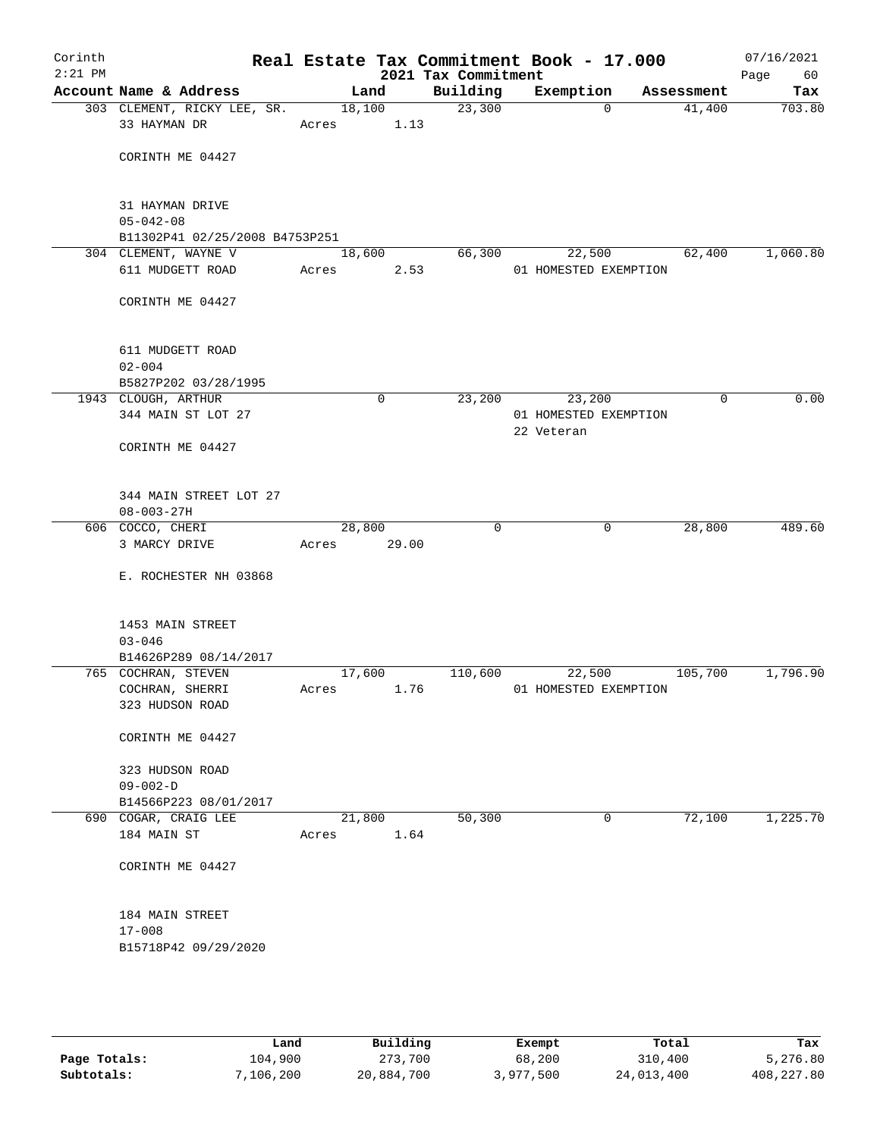| Corinth<br>$2:21$ PM |                                                        |       |                | Real Estate Tax Commitment Book - 17.000<br>2021 Tax Commitment |            |                                 |            | 07/16/2021<br>Page<br>60 |
|----------------------|--------------------------------------------------------|-------|----------------|-----------------------------------------------------------------|------------|---------------------------------|------------|--------------------------|
|                      | Account Name & Address                                 |       | Land           | Building                                                        |            | Exemption                       | Assessment | Tax                      |
|                      | 303 CLEMENT, RICKY LEE, SR.<br>33 HAYMAN DR            | Acres | 18,100<br>1.13 | 23,300                                                          |            | $\Omega$                        | 41,400     | 703.80                   |
|                      | CORINTH ME 04427                                       |       |                |                                                                 |            |                                 |            |                          |
|                      | 31 HAYMAN DRIVE<br>$05 - 042 - 08$                     |       |                |                                                                 |            |                                 |            |                          |
|                      | B11302P41 02/25/2008 B4753P251<br>304 CLEMENT, WAYNE V |       | 18,600         | 66,300                                                          |            | 22,500                          | 62,400     | 1,060.80                 |
|                      | 611 MUDGETT ROAD                                       | Acres | 2.53           |                                                                 |            | 01 HOMESTED EXEMPTION           |            |                          |
|                      | CORINTH ME 04427                                       |       |                |                                                                 |            |                                 |            |                          |
|                      | 611 MUDGETT ROAD<br>$02 - 004$                         |       |                |                                                                 |            |                                 |            |                          |
|                      | B5827P202 03/28/1995<br>1943 CLOUGH, ARTHUR            |       | $\mathbf 0$    | 23,200                                                          |            | 23,200                          | 0          | 0.00                     |
|                      | 344 MAIN ST LOT 27                                     |       |                |                                                                 | 22 Veteran | 01 HOMESTED EXEMPTION           |            |                          |
|                      | CORINTH ME 04427                                       |       |                |                                                                 |            |                                 |            |                          |
|                      | 344 MAIN STREET LOT 27<br>$08 - 003 - 27H$             |       |                |                                                                 |            |                                 |            |                          |
|                      | 606 COCCO, CHERI                                       |       | 28,800         | $\mathbf 0$                                                     |            | 0                               | 28,800     | 489.60                   |
|                      | 3 MARCY DRIVE                                          | Acres | 29.00          |                                                                 |            |                                 |            |                          |
|                      | E. ROCHESTER NH 03868                                  |       |                |                                                                 |            |                                 |            |                          |
|                      | 1453 MAIN STREET<br>$03 - 046$                         |       |                |                                                                 |            |                                 |            |                          |
|                      | B14626P289 08/14/2017                                  |       |                |                                                                 |            |                                 |            |                          |
|                      | 765 COCHRAN, STEVEN<br>COCHRAN, SHERRI                 | Acres | 17,600<br>1.76 | 110,600                                                         |            | 22,500<br>01 HOMESTED EXEMPTION | 105,700    | 1,796.90                 |
|                      | 323 HUDSON ROAD                                        |       |                |                                                                 |            |                                 |            |                          |
|                      | CORINTH ME 04427                                       |       |                |                                                                 |            |                                 |            |                          |
|                      | 323 HUDSON ROAD<br>$09 - 002 - D$                      |       |                |                                                                 |            |                                 |            |                          |
|                      | B14566P223 08/01/2017                                  |       |                |                                                                 |            |                                 |            |                          |
|                      | 690 COGAR, CRAIG LEE<br>184 MAIN ST                    | Acres | 21,800<br>1.64 | 50,300                                                          |            | 0                               | 72,100     | 1,225.70                 |
|                      | CORINTH ME 04427                                       |       |                |                                                                 |            |                                 |            |                          |
|                      | 184 MAIN STREET<br>$17 - 008$                          |       |                |                                                                 |            |                                 |            |                          |
|                      | B15718P42 09/29/2020                                   |       |                |                                                                 |            |                                 |            |                          |
|                      |                                                        |       |                |                                                                 |            |                                 |            |                          |

|              | Land      | Building   | Exempt    | Total      | Tax          |
|--------------|-----------|------------|-----------|------------|--------------|
| Page Totals: | 104,900   | 273,700    | 68,200    | 310,400    | 5,276.80     |
| Subtotals:   | 7,106,200 | 20,884,700 | 3,977,500 | 24,013,400 | 408, 227, 80 |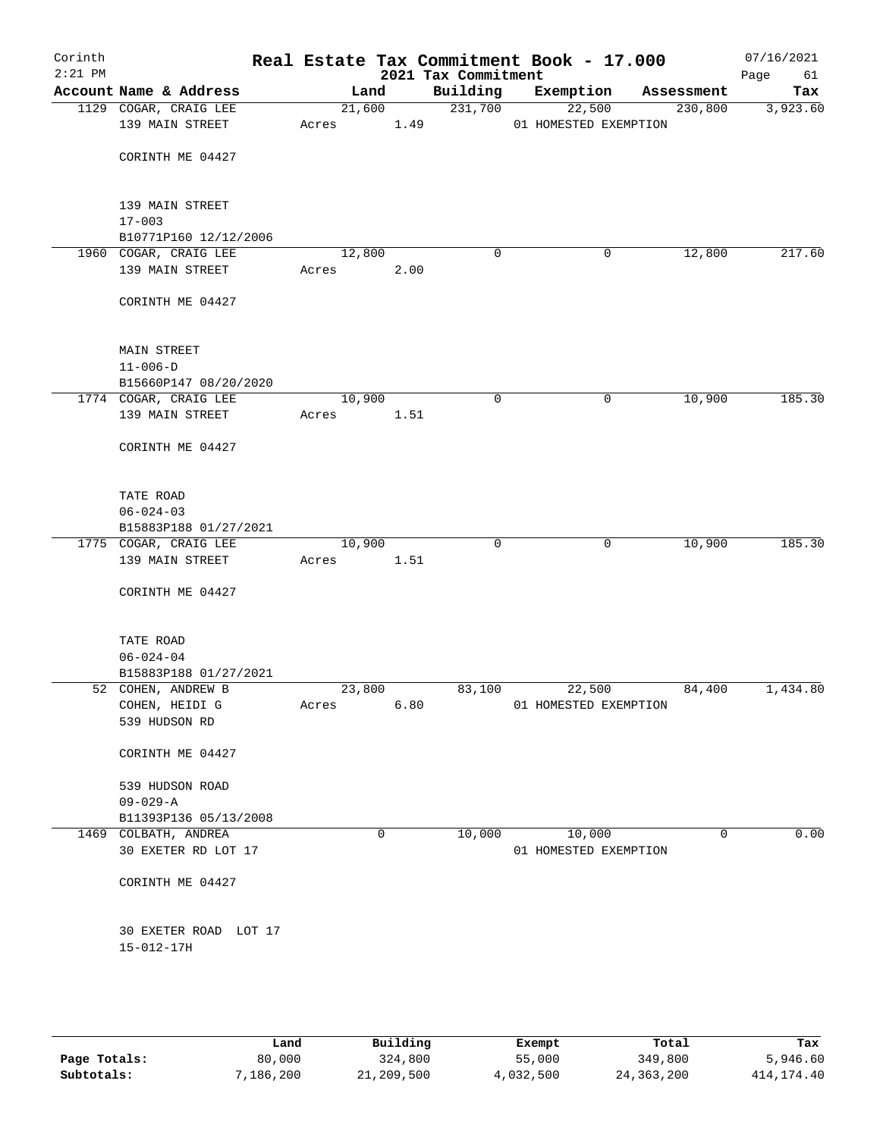| Corinth<br>$2:21$ PM |                                     |       |        |        | Real Estate Tax Commitment Book - 17.000<br>2021 Tax Commitment |                       |        |            | 07/16/2021<br>61<br>Page |
|----------------------|-------------------------------------|-------|--------|--------|-----------------------------------------------------------------|-----------------------|--------|------------|--------------------------|
|                      | Account Name & Address              |       | Land   |        | Building                                                        | Exemption             |        | Assessment | Tax                      |
|                      | 1129 COGAR, CRAIG LEE               |       |        | 21,600 | 231,700                                                         |                       | 22,500 | 230,800    | 3,923.60                 |
|                      | 139 MAIN STREET                     | Acres |        | 1.49   |                                                                 | 01 HOMESTED EXEMPTION |        |            |                          |
|                      | CORINTH ME 04427                    |       |        |        |                                                                 |                       |        |            |                          |
|                      | 139 MAIN STREET                     |       |        |        |                                                                 |                       |        |            |                          |
|                      | $17 - 003$                          |       |        |        |                                                                 |                       |        |            |                          |
|                      | B10771P160 12/12/2006               |       |        |        |                                                                 |                       |        |            |                          |
|                      | 1960 COGAR, CRAIG LEE               |       | 12,800 |        | 0                                                               |                       | 0      | 12,800     | 217.60                   |
|                      | 139 MAIN STREET                     | Acres |        | 2.00   |                                                                 |                       |        |            |                          |
|                      | CORINTH ME 04427                    |       |        |        |                                                                 |                       |        |            |                          |
|                      | <b>MAIN STREET</b>                  |       |        |        |                                                                 |                       |        |            |                          |
|                      | $11 - 006 - D$                      |       |        |        |                                                                 |                       |        |            |                          |
|                      | B15660P147 08/20/2020               |       |        |        |                                                                 |                       |        |            |                          |
|                      | 1774 COGAR, CRAIG LEE               |       | 10,900 |        | $\mathbf 0$                                                     |                       | 0      | 10,900     | 185.30                   |
|                      | 139 MAIN STREET                     | Acres |        | 1.51   |                                                                 |                       |        |            |                          |
|                      | CORINTH ME 04427                    |       |        |        |                                                                 |                       |        |            |                          |
|                      |                                     |       |        |        |                                                                 |                       |        |            |                          |
|                      | TATE ROAD                           |       |        |        |                                                                 |                       |        |            |                          |
|                      | $06 - 024 - 03$                     |       |        |        |                                                                 |                       |        |            |                          |
|                      | B15883P188 01/27/2021               |       |        |        |                                                                 |                       |        |            |                          |
|                      | 1775 COGAR, CRAIG LEE               |       | 10,900 |        | $\mathbf 0$                                                     |                       | 0      | 10,900     | 185.30                   |
|                      | 139 MAIN STREET                     | Acres |        | 1.51   |                                                                 |                       |        |            |                          |
|                      | CORINTH ME 04427                    |       |        |        |                                                                 |                       |        |            |                          |
|                      |                                     |       |        |        |                                                                 |                       |        |            |                          |
|                      | TATE ROAD<br>$06 - 024 - 04$        |       |        |        |                                                                 |                       |        |            |                          |
|                      | B15883P188 01/27/2021               |       |        |        |                                                                 |                       |        |            |                          |
|                      | 52 COHEN, ANDREW B                  |       | 23,800 |        | 83,100                                                          |                       | 22,500 | 84,400     | 1,434.80                 |
|                      | COHEN, HEIDI G                      | Acres |        | 6.80   |                                                                 | 01 HOMESTED EXEMPTION |        |            |                          |
|                      | 539 HUDSON RD                       |       |        |        |                                                                 |                       |        |            |                          |
|                      | CORINTH ME 04427                    |       |        |        |                                                                 |                       |        |            |                          |
|                      | 539 HUDSON ROAD                     |       |        |        |                                                                 |                       |        |            |                          |
|                      | $09 - 029 - A$                      |       |        |        |                                                                 |                       |        |            |                          |
|                      | B11393P136 05/13/2008               |       |        |        |                                                                 |                       |        |            |                          |
|                      | 1469 COLBATH, ANDREA                |       | 0      |        | 10,000                                                          |                       | 10,000 | 0          | 0.00                     |
|                      | 30 EXETER RD LOT 17                 |       |        |        |                                                                 | 01 HOMESTED EXEMPTION |        |            |                          |
|                      | CORINTH ME 04427                    |       |        |        |                                                                 |                       |        |            |                          |
|                      | 30 EXETER ROAD LOT 17<br>15-012-17H |       |        |        |                                                                 |                       |        |            |                          |
|                      |                                     |       |        |        |                                                                 |                       |        |            |                          |

|              | Land      | Building   | Exempt    | Total        | Tax          |
|--------------|-----------|------------|-----------|--------------|--------------|
| Page Totals: | 80,000    | 324,800    | 55,000    | 349,800      | 5,946.60     |
| Subtotals:   | 7,186,200 | 21,209,500 | 4,032,500 | 24, 363, 200 | 414, 174. 40 |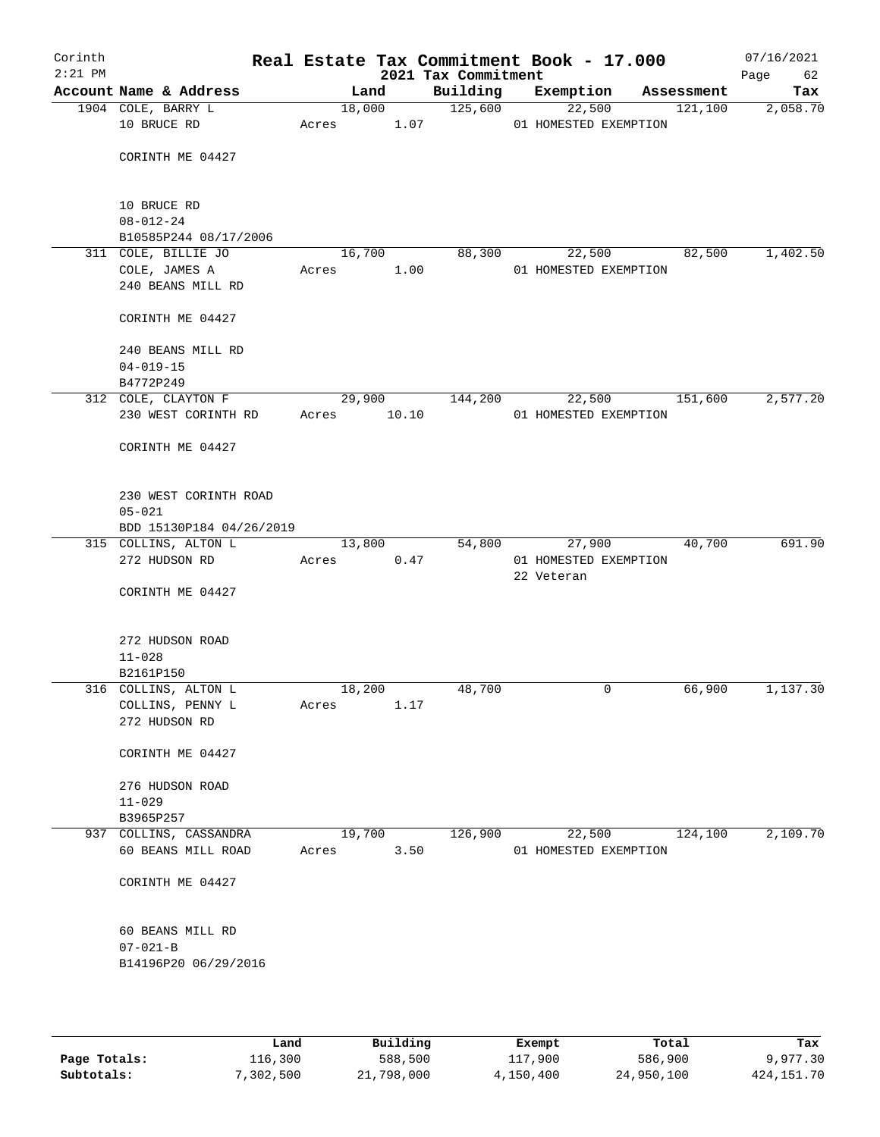| Corinth<br>$2:21$ PM |                                        |       |        |       | Real Estate Tax Commitment Book - 17.000<br>2021 Tax Commitment |            |                       |            | 07/16/2021<br>62<br>Page |
|----------------------|----------------------------------------|-------|--------|-------|-----------------------------------------------------------------|------------|-----------------------|------------|--------------------------|
|                      | Account Name & Address                 |       | Land   |       | Building                                                        | Exemption  |                       | Assessment | Tax                      |
|                      | 1904 COLE, BARRY L                     |       | 18,000 |       | 125,600                                                         | 22,500     |                       | 121,100    | 2,058.70                 |
|                      | 10 BRUCE RD                            |       |        |       | Acres 1.07                                                      |            | 01 HOMESTED EXEMPTION |            |                          |
|                      |                                        |       |        |       |                                                                 |            |                       |            |                          |
|                      | CORINTH ME 04427                       |       |        |       |                                                                 |            |                       |            |                          |
|                      |                                        |       |        |       |                                                                 |            |                       |            |                          |
|                      | 10 BRUCE RD                            |       |        |       |                                                                 |            |                       |            |                          |
|                      | $08 - 012 - 24$                        |       |        |       |                                                                 |            |                       |            |                          |
|                      | B10585P244 08/17/2006                  |       |        |       |                                                                 |            |                       |            |                          |
|                      | 311 COLE, BILLIE JO                    |       | 16,700 |       | 88,300                                                          | 22,500     |                       | 82,500     | 1,402.50                 |
|                      | COLE, JAMES A                          | Acres |        | 1.00  |                                                                 |            | 01 HOMESTED EXEMPTION |            |                          |
|                      | 240 BEANS MILL RD                      |       |        |       |                                                                 |            |                       |            |                          |
|                      |                                        |       |        |       |                                                                 |            |                       |            |                          |
|                      | CORINTH ME 04427                       |       |        |       |                                                                 |            |                       |            |                          |
|                      | 240 BEANS MILL RD                      |       |        |       |                                                                 |            |                       |            |                          |
|                      | $04 - 019 - 15$                        |       |        |       |                                                                 |            |                       |            |                          |
|                      | B4772P249                              |       |        |       |                                                                 |            |                       |            |                          |
|                      | 312 COLE, CLAYTON F                    |       | 29,900 |       | 144,200                                                         |            | 22,500 151,600        |            | 2,577.20                 |
|                      | 230 WEST CORINTH RD                    | Acres |        | 10.10 |                                                                 |            | 01 HOMESTED EXEMPTION |            |                          |
|                      |                                        |       |        |       |                                                                 |            |                       |            |                          |
|                      | CORINTH ME 04427                       |       |        |       |                                                                 |            |                       |            |                          |
|                      |                                        |       |        |       |                                                                 |            |                       |            |                          |
|                      | 230 WEST CORINTH ROAD                  |       |        |       |                                                                 |            |                       |            |                          |
|                      | $05 - 021$                             |       |        |       |                                                                 |            |                       |            |                          |
|                      | BDD 15130P184 04/26/2019               |       |        |       |                                                                 |            |                       |            |                          |
|                      | 315 COLLINS, ALTON L                   |       | 13,800 |       | 54,800                                                          | 27,900     |                       | 40,700     | 691.90                   |
|                      | 272 HUDSON RD                          | Acres |        | 0.47  |                                                                 |            | 01 HOMESTED EXEMPTION |            |                          |
|                      |                                        |       |        |       |                                                                 | 22 Veteran |                       |            |                          |
|                      | CORINTH ME 04427                       |       |        |       |                                                                 |            |                       |            |                          |
|                      |                                        |       |        |       |                                                                 |            |                       |            |                          |
|                      |                                        |       |        |       |                                                                 |            |                       |            |                          |
|                      | 272 HUDSON ROAD<br>$11 - 028$          |       |        |       |                                                                 |            |                       |            |                          |
|                      | B2161P150                              |       |        |       |                                                                 |            |                       |            |                          |
|                      | 316 COLLINS, ALTON L                   |       | 18,200 |       | 48,700                                                          |            | 0                     | 66,900     | 1,137.30                 |
|                      | COLLINS, PENNY L                       | Acres |        | 1.17  |                                                                 |            |                       |            |                          |
|                      | 272 HUDSON RD                          |       |        |       |                                                                 |            |                       |            |                          |
|                      |                                        |       |        |       |                                                                 |            |                       |            |                          |
|                      | CORINTH ME 04427                       |       |        |       |                                                                 |            |                       |            |                          |
|                      | 276 HUDSON ROAD                        |       |        |       |                                                                 |            |                       |            |                          |
|                      | $11 - 029$                             |       |        |       |                                                                 |            |                       |            |                          |
|                      | B3965P257                              |       |        |       |                                                                 |            |                       |            |                          |
|                      | 937 COLLINS, CASSANDRA                 |       | 19,700 |       | 126,900                                                         | 22,500     |                       | 124,100    | 2,109.70                 |
|                      | 60 BEANS MILL ROAD                     | Acres |        | 3.50  |                                                                 |            | 01 HOMESTED EXEMPTION |            |                          |
|                      |                                        |       |        |       |                                                                 |            |                       |            |                          |
|                      | CORINTH ME 04427                       |       |        |       |                                                                 |            |                       |            |                          |
|                      |                                        |       |        |       |                                                                 |            |                       |            |                          |
|                      |                                        |       |        |       |                                                                 |            |                       |            |                          |
|                      | 60 BEANS MILL RD                       |       |        |       |                                                                 |            |                       |            |                          |
|                      | $07 - 021 - B$<br>B14196P20 06/29/2016 |       |        |       |                                                                 |            |                       |            |                          |
|                      |                                        |       |        |       |                                                                 |            |                       |            |                          |
|                      |                                        |       |        |       |                                                                 |            |                       |            |                          |
|                      |                                        |       |        |       |                                                                 |            |                       |            |                          |

|              | Land      | Building   | Exempt    | Total      | Tax          |
|--------------|-----------|------------|-----------|------------|--------------|
| Page Totals: | 116,300   | 588,500    | 117,900   | 586,900    | 9,977.30     |
| Subtotals:   | 7,302,500 | 21,798,000 | 4,150,400 | 24,950,100 | 424, 151. 70 |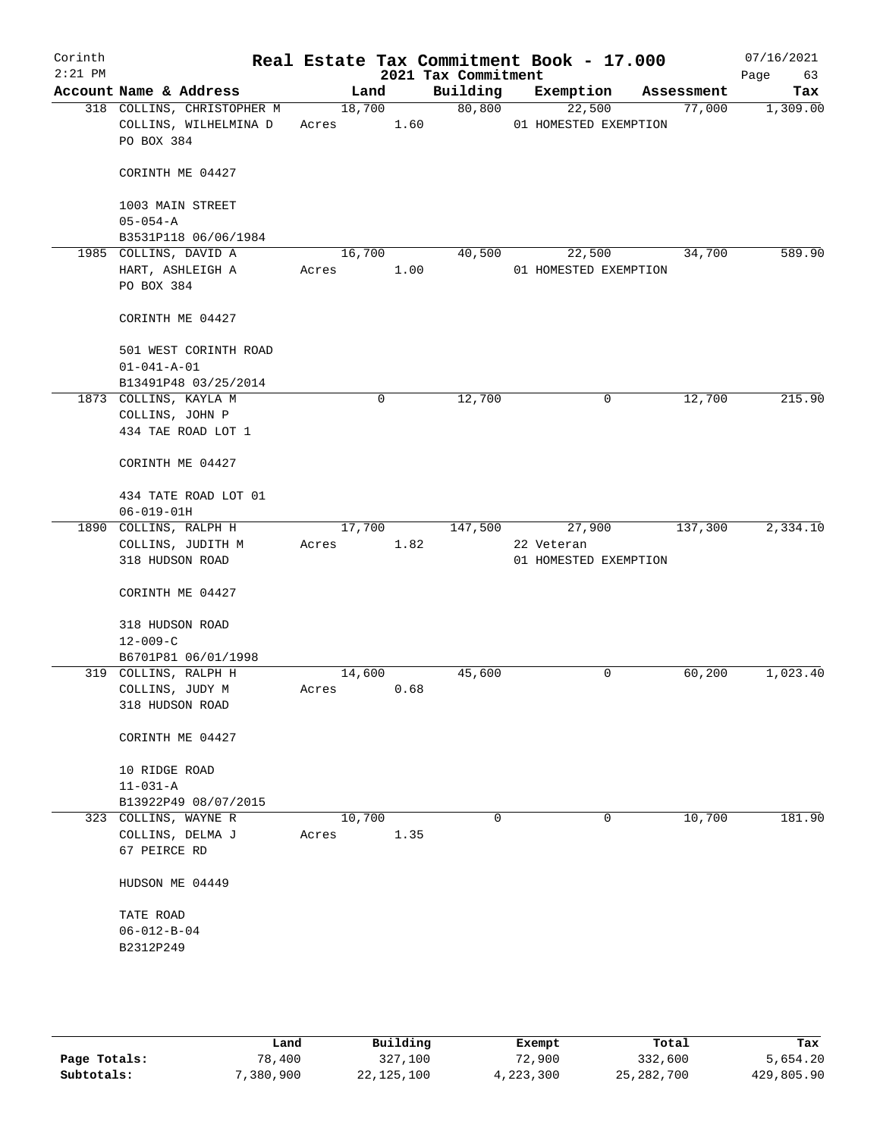| Corinth<br>$2:21$ PM |                                                                   |            |        |      | 2021 Tax Commitment | Real Estate Tax Commitment Book - 17.000 |            | 07/16/2021<br>63<br>Page |
|----------------------|-------------------------------------------------------------------|------------|--------|------|---------------------|------------------------------------------|------------|--------------------------|
|                      | Account Name & Address                                            |            | Land   |      | Building            | Exemption                                | Assessment | Tax                      |
|                      | 318 COLLINS, CHRISTOPHER M<br>COLLINS, WILHELMINA D<br>PO BOX 384 | Acres 1.60 | 18,700 |      | 80,800              | 22,500<br>01 HOMESTED EXEMPTION          | 77,000     | 1,309.00                 |
|                      | CORINTH ME 04427                                                  |            |        |      |                     |                                          |            |                          |
|                      | 1003 MAIN STREET<br>$05 - 054 - A$                                |            |        |      |                     |                                          |            |                          |
|                      | B3531P118 06/06/1984                                              |            |        |      |                     |                                          |            |                          |
|                      | 1985 COLLINS, DAVID A<br>HART, ASHLEIGH A<br>PO BOX 384           | Acres      | 16,700 | 1.00 | 40,500              | 22,500<br>01 HOMESTED EXEMPTION          | 34,700     | 589.90                   |
|                      | CORINTH ME 04427                                                  |            |        |      |                     |                                          |            |                          |
|                      | 501 WEST CORINTH ROAD<br>$01 - 041 - A - 01$                      |            |        |      |                     |                                          |            |                          |
|                      | B13491P48 03/25/2014<br>1873 COLLINS, KAYLA M                     |            | 0      |      | 12,700              | $\mathbf 0$                              | 12,700     | 215.90                   |
|                      | COLLINS, JOHN P<br>434 TAE ROAD LOT 1                             |            |        |      |                     |                                          |            |                          |
|                      | CORINTH ME 04427                                                  |            |        |      |                     |                                          |            |                          |
|                      | 434 TATE ROAD LOT 01<br>$06 - 019 - 01H$                          |            |        |      |                     |                                          |            |                          |
|                      | 1890 COLLINS, RALPH H                                             |            | 17,700 |      | 147,500             | 27,900                                   | 137,300    | 2,334.10                 |
|                      | COLLINS, JUDITH M<br>318 HUDSON ROAD                              | Acres      |        | 1.82 |                     | 22 Veteran<br>01 HOMESTED EXEMPTION      |            |                          |
|                      | CORINTH ME 04427                                                  |            |        |      |                     |                                          |            |                          |
|                      | 318 HUDSON ROAD<br>$12 - 009 - C$                                 |            |        |      |                     |                                          |            |                          |
|                      | B6701P81 06/01/1998                                               |            |        |      |                     |                                          |            |                          |
|                      | 319 COLLINS, RALPH H<br>COLLINS, JUDY M                           | Acres      | 14,600 | 0.68 | 45,600              | 0                                        | 60,200     | 1,023.40                 |
|                      | 318 HUDSON ROAD                                                   |            |        |      |                     |                                          |            |                          |
|                      | CORINTH ME 04427                                                  |            |        |      |                     |                                          |            |                          |
|                      | 10 RIDGE ROAD<br>$11 - 031 - A$                                   |            |        |      |                     |                                          |            |                          |
|                      | B13922P49 08/07/2015<br>323 COLLINS, WAYNE R                      |            | 10,700 |      | 0                   | 0                                        | 10,700     | 181.90                   |
|                      | COLLINS, DELMA J<br>67 PEIRCE RD                                  | Acres      |        | 1.35 |                     |                                          |            |                          |
|                      | HUDSON ME 04449                                                   |            |        |      |                     |                                          |            |                          |
|                      | TATE ROAD                                                         |            |        |      |                     |                                          |            |                          |
|                      | $06 - 012 - B - 04$                                               |            |        |      |                     |                                          |            |                          |
|                      | B2312P249                                                         |            |        |      |                     |                                          |            |                          |
|                      |                                                                   |            |        |      |                     |                                          |            |                          |

|              | Land     | Building     | Exempt    | Total        | Tax        |
|--------------|----------|--------------|-----------|--------------|------------|
| Page Totals: | 78,400   | 327,100      | 72,900    | 332,600      | 5,654.20   |
| Subtotals:   | ,380,900 | 22, 125, 100 | 4,223,300 | 25, 282, 700 | 429,805.90 |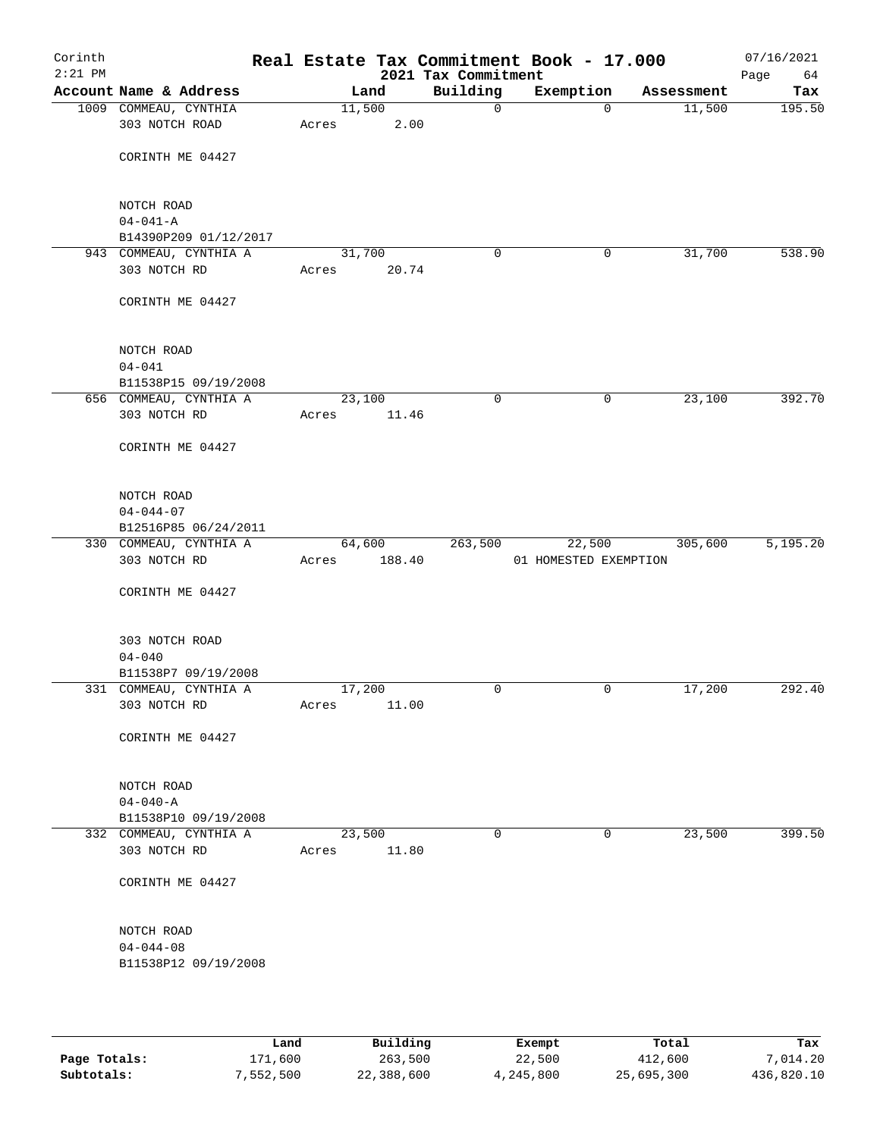| Corinth<br>$2:21$ PM |                                                |                 |        | 2021 Tax Commitment | Real Estate Tax Commitment Book - 17.000 |            | 07/16/2021<br>Page<br>64 |
|----------------------|------------------------------------------------|-----------------|--------|---------------------|------------------------------------------|------------|--------------------------|
|                      | Account Name & Address                         |                 | Land   | Building            | Exemption                                | Assessment | Tax                      |
|                      | 1009 COMMEAU, CYNTHIA<br>303 NOTCH ROAD        | 11,500<br>Acres | 2.00   | $\mathsf{O}$        | $\Omega$                                 | 11,500     | 195.50                   |
|                      | CORINTH ME 04427                               |                 |        |                     |                                          |            |                          |
|                      | NOTCH ROAD<br>$04 - 041 - A$                   |                 |        |                     |                                          |            |                          |
|                      | B14390P209 01/12/2017                          |                 |        |                     |                                          |            |                          |
|                      | 943 COMMEAU, CYNTHIA A                         | 31,700          |        | 0                   | 0                                        | 31,700     | 538.90                   |
|                      | 303 NOTCH RD                                   | Acres           | 20.74  |                     |                                          |            |                          |
|                      | CORINTH ME 04427                               |                 |        |                     |                                          |            |                          |
|                      | NOTCH ROAD                                     |                 |        |                     |                                          |            |                          |
|                      | $04 - 041$                                     |                 |        |                     |                                          |            |                          |
|                      | B11538P15 09/19/2008<br>656 COMMEAU, CYNTHIA A | 23,100          |        | $\mathbf 0$         | 0                                        | 23,100     | 392.70                   |
|                      | 303 NOTCH RD                                   | Acres           | 11.46  |                     |                                          |            |                          |
|                      | CORINTH ME 04427                               |                 |        |                     |                                          |            |                          |
|                      | NOTCH ROAD                                     |                 |        |                     |                                          |            |                          |
|                      | $04 - 044 - 07$                                |                 |        |                     |                                          |            |                          |
|                      | B12516P85 06/24/2011                           |                 |        | 263,500             |                                          | 305,600    | 5,195.20                 |
|                      | 330 COMMEAU, CYNTHIA A<br>303 NOTCH RD         | 64,600<br>Acres | 188.40 |                     | 22,500<br>01 HOMESTED EXEMPTION          |            |                          |
|                      | CORINTH ME 04427                               |                 |        |                     |                                          |            |                          |
|                      | 303 NOTCH ROAD                                 |                 |        |                     |                                          |            |                          |
|                      | $04 - 040$<br>B11538P7 09/19/2008              |                 |        |                     |                                          |            |                          |
|                      | 331 COMMEAU, CYNTHIA A                         | 17,200          |        | 0                   | 0                                        | 17,200     | 292.40                   |
|                      | 303 NOTCH RD                                   | Acres           | 11.00  |                     |                                          |            |                          |
|                      | CORINTH ME 04427                               |                 |        |                     |                                          |            |                          |
|                      | NOTCH ROAD                                     |                 |        |                     |                                          |            |                          |
|                      | $04 - 040 - A$                                 |                 |        |                     |                                          |            |                          |
|                      | B11538P10 09/19/2008<br>332 COMMEAU, CYNTHIA A | 23,500          |        | 0                   | 0                                        | 23,500     | 399.50                   |
|                      | 303 NOTCH RD                                   | Acres           | 11.80  |                     |                                          |            |                          |
|                      | CORINTH ME 04427                               |                 |        |                     |                                          |            |                          |
|                      | NOTCH ROAD                                     |                 |        |                     |                                          |            |                          |
|                      | $04 - 044 - 08$<br>B11538P12 09/19/2008        |                 |        |                     |                                          |            |                          |
|                      |                                                |                 |        |                     |                                          |            |                          |
|                      |                                                |                 |        |                     |                                          |            |                          |

|              | Land      | Building   | Exempt    | Total      | Tax        |
|--------------|-----------|------------|-----------|------------|------------|
| Page Totals: | 171,600   | 263,500    | 22,500    | 412,600    | 7,014.20   |
| Subtotals:   | 7,552,500 | 22,388,600 | 4,245,800 | 25,695,300 | 436,820.10 |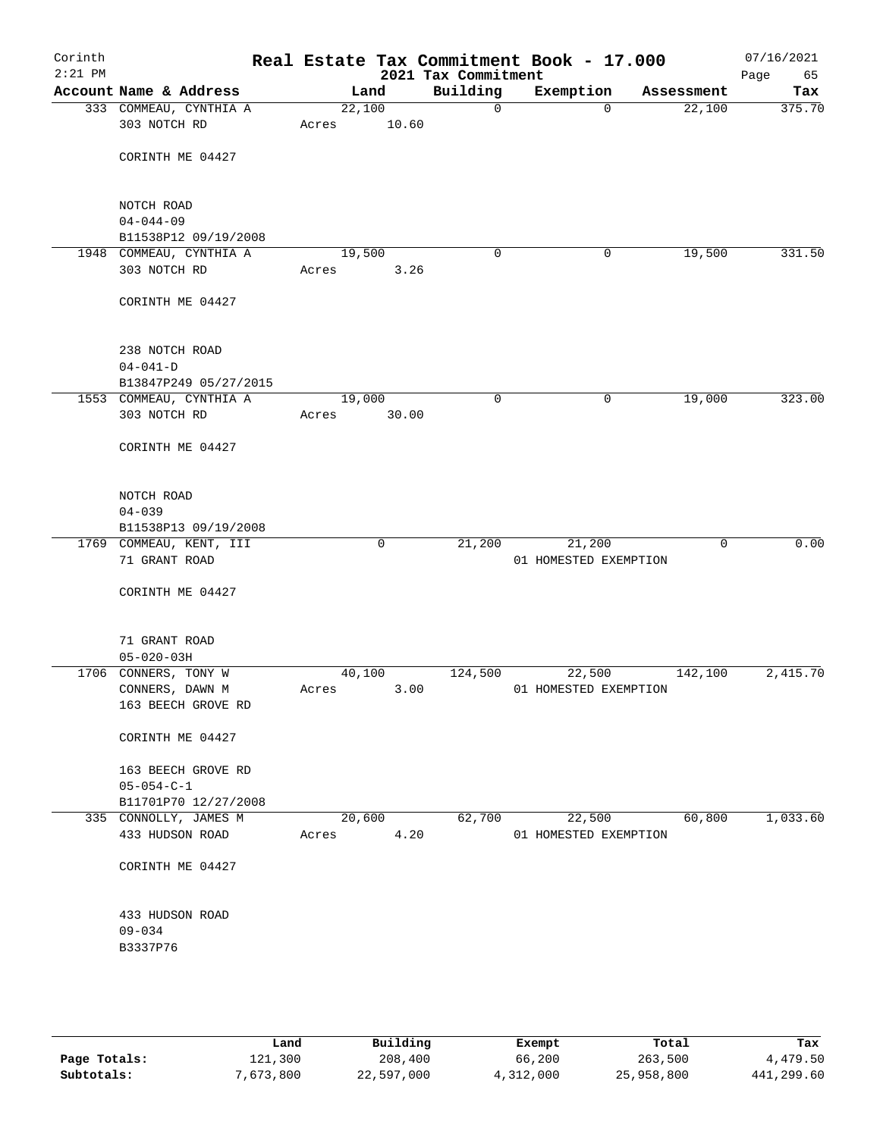| Corinth<br>$2:21$ PM |                                                 |       |                 | 2021 Tax Commitment | Real Estate Tax Commitment Book - 17.000 |            | 07/16/2021<br>Page<br>65 |
|----------------------|-------------------------------------------------|-------|-----------------|---------------------|------------------------------------------|------------|--------------------------|
|                      | Account Name & Address                          |       | Land            | Building            | Exemption                                | Assessment | Tax                      |
|                      | 333 COMMEAU, CYNTHIA A<br>303 NOTCH RD          | Acres | 22,100<br>10.60 | $\mathbf 0$         | $\mathbf 0$                              | 22,100     | 375.70                   |
|                      | CORINTH ME 04427                                |       |                 |                     |                                          |            |                          |
|                      | NOTCH ROAD                                      |       |                 |                     |                                          |            |                          |
|                      | $04 - 044 - 09$                                 |       |                 |                     |                                          |            |                          |
|                      | B11538P12 09/19/2008<br>1948 COMMEAU, CYNTHIA A |       | 19,500          | 0                   | 0                                        | 19,500     | 331.50                   |
|                      | 303 NOTCH RD                                    | Acres | 3.26            |                     |                                          |            |                          |
|                      | CORINTH ME 04427                                |       |                 |                     |                                          |            |                          |
|                      | 238 NOTCH ROAD                                  |       |                 |                     |                                          |            |                          |
|                      | $04 - 041 - D$                                  |       |                 |                     |                                          |            |                          |
|                      | B13847P249 05/27/2015                           |       |                 |                     |                                          |            |                          |
|                      | 1553 COMMEAU, CYNTHIA A                         |       | 19,000          | $\mathbf 0$         | 0                                        | 19,000     | 323.00                   |
|                      | 303 NOTCH RD                                    | Acres | 30.00           |                     |                                          |            |                          |
|                      | CORINTH ME 04427                                |       |                 |                     |                                          |            |                          |
|                      | NOTCH ROAD                                      |       |                 |                     |                                          |            |                          |
|                      | $04 - 039$                                      |       |                 |                     |                                          |            |                          |
|                      | B11538P13 09/19/2008                            |       |                 |                     |                                          |            |                          |
|                      | 1769 COMMEAU, KENT, III                         |       | 0               | 21,200              | 21,200                                   | $\Omega$   | 0.00                     |
|                      | 71 GRANT ROAD                                   |       |                 |                     | 01 HOMESTED EXEMPTION                    |            |                          |
|                      | CORINTH ME 04427                                |       |                 |                     |                                          |            |                          |
|                      | 71 GRANT ROAD                                   |       |                 |                     |                                          |            |                          |
|                      | $05 - 020 - 03H$                                |       | 40,100          | 124,500             |                                          |            | 2,415.70                 |
|                      | 1706 CONNERS, TONY W<br>CONNERS, DAWN M         | Acres | 3.00            |                     | 22,500<br>01 HOMESTED EXEMPTION          | 142,100    |                          |
|                      | 163 BEECH GROVE RD                              |       |                 |                     |                                          |            |                          |
|                      | CORINTH ME 04427                                |       |                 |                     |                                          |            |                          |
|                      | 163 BEECH GROVE RD                              |       |                 |                     |                                          |            |                          |
|                      | $05 - 054 - C - 1$                              |       |                 |                     |                                          |            |                          |
|                      | B11701P70 12/27/2008<br>335 CONNOLLY, JAMES M   |       | 20,600          | 62,700              | 22,500                                   | 60,800     | 1,033.60                 |
|                      | 433 HUDSON ROAD                                 | Acres | 4.20            |                     | 01 HOMESTED EXEMPTION                    |            |                          |
|                      | CORINTH ME 04427                                |       |                 |                     |                                          |            |                          |
|                      | 433 HUDSON ROAD                                 |       |                 |                     |                                          |            |                          |
|                      | $09 - 034$                                      |       |                 |                     |                                          |            |                          |
|                      | B3337P76                                        |       |                 |                     |                                          |            |                          |
|                      |                                                 |       |                 |                     |                                          |            |                          |
|                      |                                                 |       |                 |                     |                                          |            |                          |

|              | Land      | Building   | Exempt    | Total      | Tax        |
|--------------|-----------|------------|-----------|------------|------------|
| Page Totals: | 121,300   | 208,400    | 66,200    | 263,500    | 4,479.50   |
| Subtotals:   | 7,673,800 | 22,597,000 | 4,312,000 | 25,958,800 | 441,299.60 |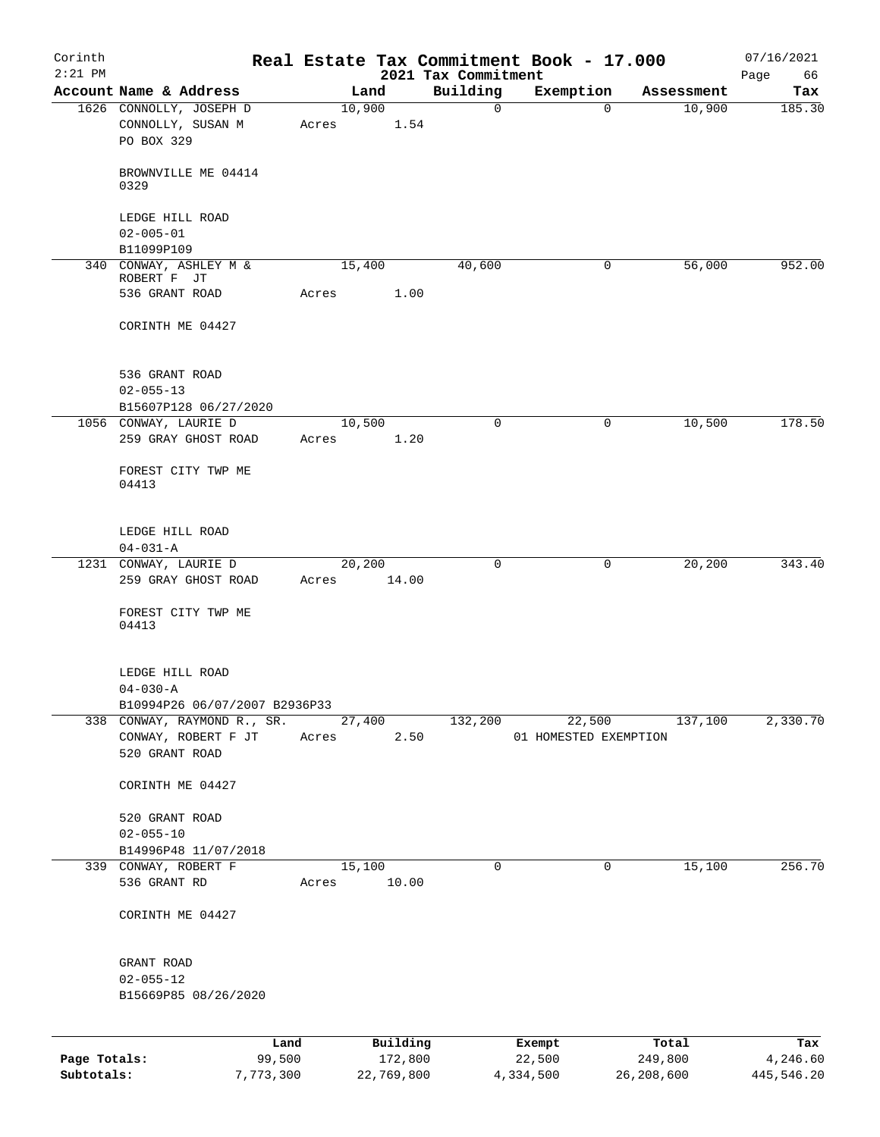| Corinth      |                                                 |                 |            |                                 | Real Estate Tax Commitment Book - 17.000 |            | 07/16/2021        |
|--------------|-------------------------------------------------|-----------------|------------|---------------------------------|------------------------------------------|------------|-------------------|
| $2:21$ PM    | Account Name & Address                          |                 | Land       | 2021 Tax Commitment<br>Building | Exemption                                | Assessment | Page<br>66<br>Tax |
|              | 1626 CONNOLLY, JOSEPH D                         | 10,900          |            | $\mathsf{O}$                    | $\Omega$                                 | 10,900     | 185.30            |
|              | CONNOLLY, SUSAN M<br>PO BOX 329                 | Acres           | 1.54       |                                 |                                          |            |                   |
|              | BROWNVILLE ME 04414<br>0329                     |                 |            |                                 |                                          |            |                   |
|              | LEDGE HILL ROAD<br>$02 - 005 - 01$              |                 |            |                                 |                                          |            |                   |
|              | B11099P109                                      |                 |            |                                 |                                          |            |                   |
|              | 340 CONWAY, ASHLEY M &<br>ROBERT F JT           | 15,400          |            | 40,600                          | 0                                        | 56,000     | 952.00            |
|              | 536 GRANT ROAD                                  | Acres           | 1.00       |                                 |                                          |            |                   |
|              | CORINTH ME 04427                                |                 |            |                                 |                                          |            |                   |
|              | 536 GRANT ROAD                                  |                 |            |                                 |                                          |            |                   |
|              | $02 - 055 - 13$                                 |                 |            |                                 |                                          |            |                   |
|              | B15607P128 06/27/2020                           |                 |            |                                 |                                          |            |                   |
|              | 1056 CONWAY, LAURIE D<br>259 GRAY GHOST ROAD    | 10,500<br>Acres | 1.20       | $\Omega$                        | 0                                        | 10,500     | 178.50            |
|              | FOREST CITY TWP ME<br>04413                     |                 |            |                                 |                                          |            |                   |
|              | LEDGE HILL ROAD                                 |                 |            |                                 |                                          |            |                   |
|              | $04 - 031 - A$<br>1231 CONWAY, LAURIE D         | 20,200          |            | $\mathbf 0$                     | 0                                        | 20, 200    | 343.40            |
|              | 259 GRAY GHOST ROAD                             | Acres           | 14.00      |                                 |                                          |            |                   |
|              | FOREST CITY TWP ME<br>04413                     |                 |            |                                 |                                          |            |                   |
|              | LEDGE HILL ROAD                                 |                 |            |                                 |                                          |            |                   |
|              | $04 - 030 - A$<br>B10994P26 06/07/2007 B2936P33 |                 |            |                                 |                                          |            |                   |
|              | 338 CONWAY, RAYMOND R., SR.                     | 27,400          |            | 132,200                         | 22,500                                   | 137,100    | 2,330.70          |
|              | CONWAY, ROBERT F JT<br>520 GRANT ROAD           | Acres           | 2.50       |                                 | 01 HOMESTED EXEMPTION                    |            |                   |
|              | CORINTH ME 04427                                |                 |            |                                 |                                          |            |                   |
|              | 520 GRANT ROAD                                  |                 |            |                                 |                                          |            |                   |
|              | $02 - 055 - 10$<br>B14996P48 11/07/2018         |                 |            |                                 |                                          |            |                   |
| 339          | CONWAY, ROBERT F                                | 15,100          |            | 0                               | 0                                        | 15,100     | 256.70            |
|              | 536 GRANT RD                                    | Acres           | 10.00      |                                 |                                          |            |                   |
|              | CORINTH ME 04427                                |                 |            |                                 |                                          |            |                   |
|              | GRANT ROAD                                      |                 |            |                                 |                                          |            |                   |
|              | $02 - 055 - 12$                                 |                 |            |                                 |                                          |            |                   |
|              | B15669P85 08/26/2020                            |                 |            |                                 |                                          |            |                   |
|              |                                                 | Land            | Building   |                                 | Exempt                                   | Total      | Tax               |
| Page Totals: | 99,500                                          |                 | 172,800    |                                 | 22,500                                   | 249,800    | 4,246.60          |
| Subtotals:   | 7,773,300                                       |                 | 22,769,800 |                                 | 4,334,500                                | 26,208,600 | 445,546.20        |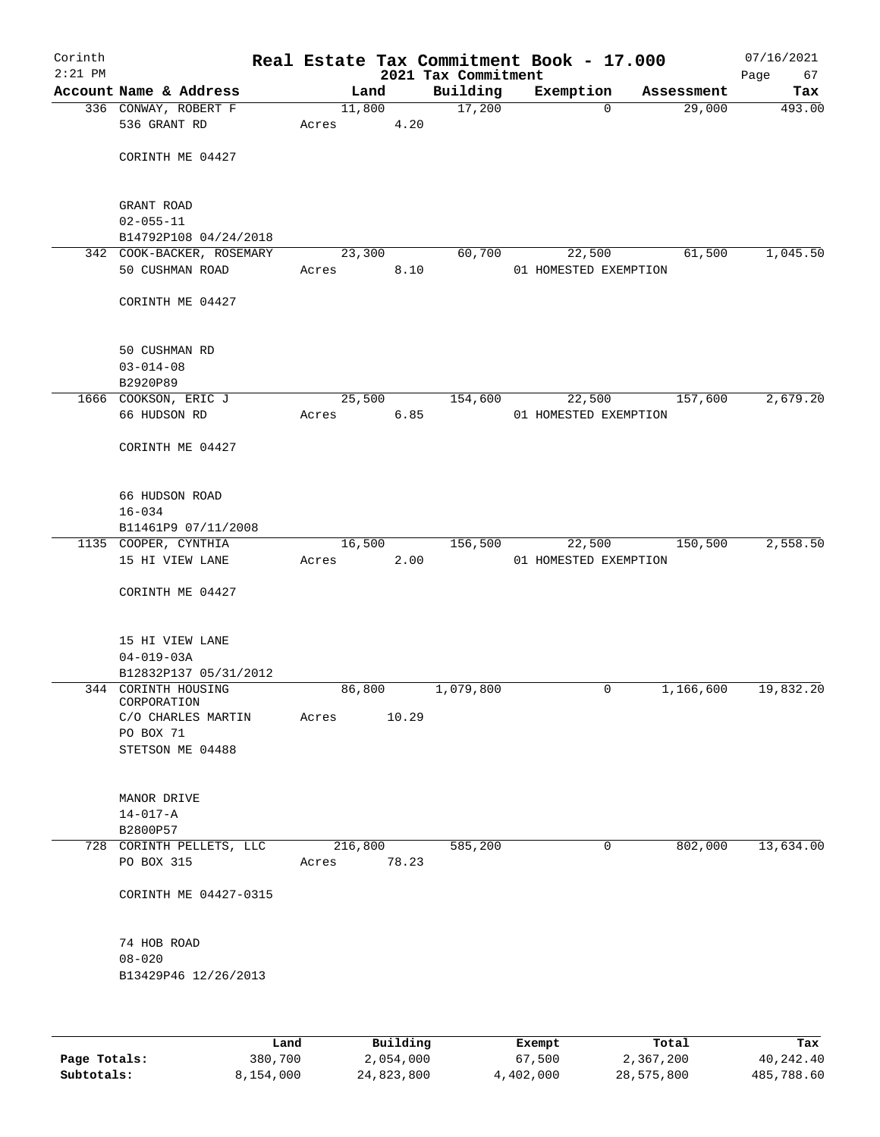| Corinth<br>$2:21$ PM |                                         |       |                |                                 | Real Estate Tax Commitment Book - 17.000 |            | 07/16/2021        |
|----------------------|-----------------------------------------|-------|----------------|---------------------------------|------------------------------------------|------------|-------------------|
|                      | Account Name & Address                  |       | Land           | 2021 Tax Commitment<br>Building | Exemption                                | Assessment | Page<br>67<br>Tax |
|                      | 336 CONWAY, ROBERT F                    |       | 11,800         | 17,200                          | 0                                        | 29,000     | 493.00            |
|                      | 536 GRANT RD                            | Acres | 4.20           |                                 |                                          |            |                   |
|                      |                                         |       |                |                                 |                                          |            |                   |
|                      | CORINTH ME 04427                        |       |                |                                 |                                          |            |                   |
|                      | GRANT ROAD                              |       |                |                                 |                                          |            |                   |
|                      | $02 - 055 - 11$                         |       |                |                                 |                                          |            |                   |
|                      | B14792P108 04/24/2018                   |       |                |                                 |                                          |            |                   |
|                      | 342 COOK-BACKER, ROSEMARY               |       | 23,300         | 60,700                          | 22,500                                   | 61,500     | 1,045.50          |
|                      | 50 CUSHMAN ROAD                         | Acres | 8.10           |                                 | 01 HOMESTED EXEMPTION                    |            |                   |
|                      | CORINTH ME 04427                        |       |                |                                 |                                          |            |                   |
|                      | 50 CUSHMAN RD                           |       |                |                                 |                                          |            |                   |
|                      | $03 - 014 - 08$                         |       |                |                                 |                                          |            |                   |
|                      | B2920P89                                |       |                |                                 |                                          |            |                   |
|                      | 1666 COOKSON, ERIC J                    |       | 25,500         | 154,600                         | 22,500                                   | 157,600    | 2,679.20          |
|                      | 66 HUDSON RD                            | Acres | 6.85           |                                 | 01 HOMESTED EXEMPTION                    |            |                   |
|                      |                                         |       |                |                                 |                                          |            |                   |
|                      | CORINTH ME 04427                        |       |                |                                 |                                          |            |                   |
|                      | 66 HUDSON ROAD                          |       |                |                                 |                                          |            |                   |
|                      | $16 - 034$                              |       |                |                                 |                                          |            |                   |
|                      | B11461P9 07/11/2008                     |       |                |                                 |                                          |            |                   |
|                      | 1135 COOPER, CYNTHIA<br>15 HI VIEW LANE |       | 16,500<br>2.00 | 156,500                         | 22,500                                   | 150,500    | 2,558.50          |
|                      |                                         | Acres |                |                                 | 01 HOMESTED EXEMPTION                    |            |                   |
|                      | CORINTH ME 04427                        |       |                |                                 |                                          |            |                   |
|                      | 15 HI VIEW LANE                         |       |                |                                 |                                          |            |                   |
|                      | $04 - 019 - 03A$                        |       |                |                                 |                                          |            |                   |
|                      | B12832P137 05/31/2012                   |       |                |                                 |                                          |            |                   |
|                      | 344 CORINTH HOUSING                     |       | 86,800         | 1,079,800                       | 0                                        | 1,166,600  | 19,832.20         |
|                      | CORPORATION                             |       |                |                                 |                                          |            |                   |
|                      | C/O CHARLES MARTIN<br>PO BOX 71         | Acres | 10.29          |                                 |                                          |            |                   |
|                      | STETSON ME 04488                        |       |                |                                 |                                          |            |                   |
|                      |                                         |       |                |                                 |                                          |            |                   |
|                      | MANOR DRIVE                             |       |                |                                 |                                          |            |                   |
|                      | $14 - 017 - A$                          |       |                |                                 |                                          |            |                   |
|                      | B2800P57                                |       |                |                                 |                                          |            |                   |
|                      | 728 CORINTH PELLETS, LLC                |       | 216,800        | 585,200                         | 0                                        | 802,000    | 13,634.00         |
|                      | PO BOX 315                              | Acres | 78.23          |                                 |                                          |            |                   |
|                      | CORINTH ME 04427-0315                   |       |                |                                 |                                          |            |                   |
|                      | 74 HOB ROAD                             |       |                |                                 |                                          |            |                   |
|                      | $08 - 020$                              |       |                |                                 |                                          |            |                   |
|                      | B13429P46 12/26/2013                    |       |                |                                 |                                          |            |                   |
|                      |                                         |       |                |                                 |                                          |            |                   |
|                      |                                         | Land  | Building       |                                 | Exempt.                                  | Total      | Tax               |

|              | Land      | Building   | Exempt    | Total      | Tax        |
|--------------|-----------|------------|-----------|------------|------------|
| Page Totals: | 380,700   | 2,054,000  | 67,500    | 2,367,200  | 40,242.40  |
| Subtotals:   | 8,154,000 | 24,823,800 | 4,402,000 | 28,575,800 | 485,788.60 |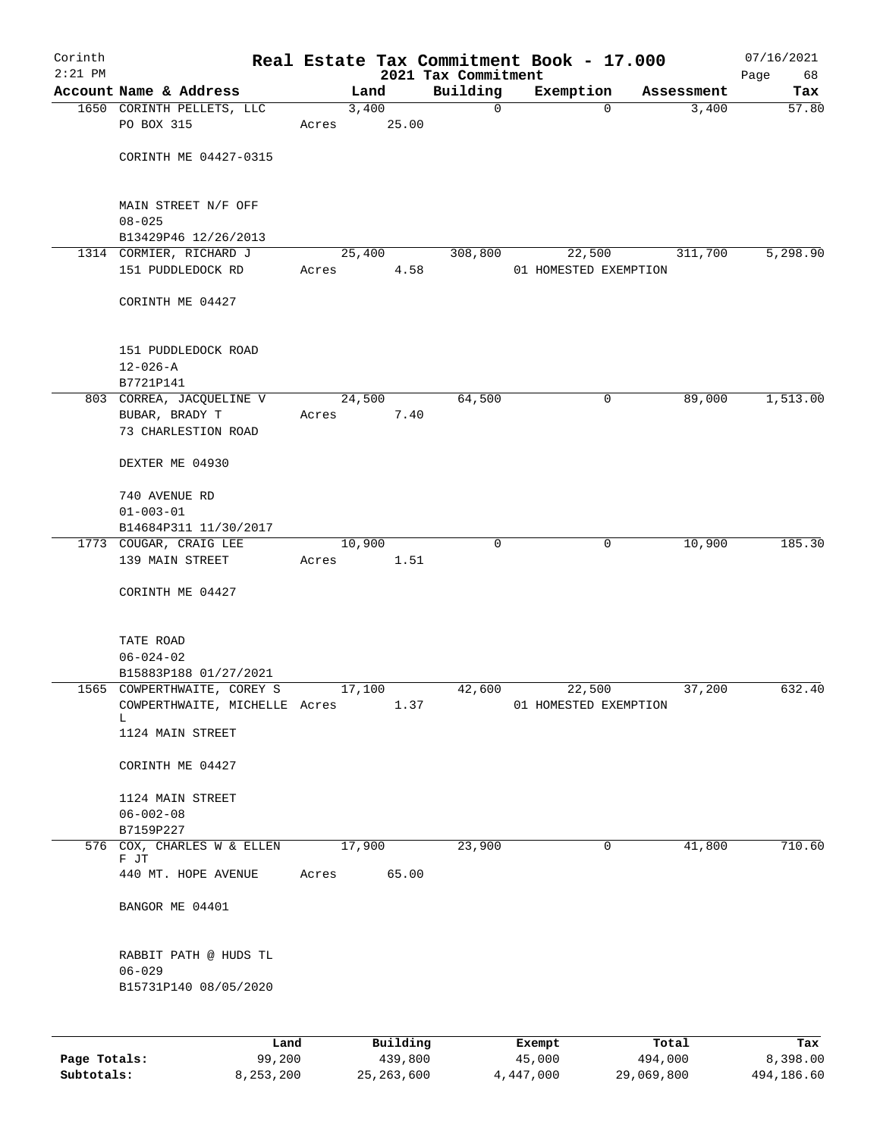| Corinth<br>$2:21$ PM |                                                              |       |                |                                 | Real Estate Tax Commitment Book - 17.000 |                     | 07/16/2021   |
|----------------------|--------------------------------------------------------------|-------|----------------|---------------------------------|------------------------------------------|---------------------|--------------|
|                      | Account Name & Address                                       |       | Land           | 2021 Tax Commitment<br>Building | Exemption                                |                     | Page<br>68   |
|                      | 1650 CORINTH PELLETS, LLC                                    |       | 3,400          | $\mathbf 0$                     | $\Omega$                                 | Assessment<br>3,400 | Tax<br>57.80 |
|                      | PO BOX 315                                                   | Acres | 25.00          |                                 |                                          |                     |              |
|                      |                                                              |       |                |                                 |                                          |                     |              |
|                      | CORINTH ME 04427-0315                                        |       |                |                                 |                                          |                     |              |
|                      | MAIN STREET N/F OFF<br>$08 - 025$                            |       |                |                                 |                                          |                     |              |
|                      | B13429P46 12/26/2013                                         |       |                |                                 |                                          |                     |              |
|                      | 1314 CORMIER, RICHARD J                                      |       | 25,400         | 308,800                         | 22,500                                   | 311,700             | 5,298.90     |
|                      | 151 PUDDLEDOCK RD                                            | Acres | 4.58           |                                 | 01 HOMESTED EXEMPTION                    |                     |              |
|                      | CORINTH ME 04427                                             |       |                |                                 |                                          |                     |              |
|                      | 151 PUDDLEDOCK ROAD<br>$12 - 026 - A$                        |       |                |                                 |                                          |                     |              |
|                      | B7721P141                                                    |       |                |                                 |                                          |                     |              |
|                      | 803 CORREA, JACQUELINE V                                     |       | 24,500         | 64,500                          | 0                                        | 89,000              | 1,513.00     |
|                      | BUBAR, BRADY T<br>73 CHARLESTION ROAD                        | Acres | 7.40           |                                 |                                          |                     |              |
|                      | DEXTER ME 04930                                              |       |                |                                 |                                          |                     |              |
|                      | 740 AVENUE RD                                                |       |                |                                 |                                          |                     |              |
|                      | $01 - 003 - 01$                                              |       |                |                                 |                                          |                     |              |
|                      | B14684P311 11/30/2017                                        |       |                |                                 |                                          |                     |              |
|                      | 1773 COUGAR, CRAIG LEE                                       |       | 10,900         | $\Omega$                        | $\mathbf{0}$                             | 10,900              | 185.30       |
|                      | 139 MAIN STREET                                              | Acres | 1.51           |                                 |                                          |                     |              |
|                      | CORINTH ME 04427                                             |       |                |                                 |                                          |                     |              |
|                      | TATE ROAD                                                    |       |                |                                 |                                          |                     |              |
|                      | $06 - 024 - 02$                                              |       |                |                                 |                                          |                     |              |
|                      | B15883P188 01/27/2021                                        |       |                |                                 |                                          |                     |              |
|                      | 1565 COWPERTHWAITE, COREY S<br>COWPERTHWAITE, MICHELLE Acres |       | 17,100<br>1.37 | 42,600                          | 22,500<br>01 HOMESTED EXEMPTION          | 37,200              | 632.40       |
|                      | L.                                                           |       |                |                                 |                                          |                     |              |
|                      | 1124 MAIN STREET                                             |       |                |                                 |                                          |                     |              |
|                      | CORINTH ME 04427                                             |       |                |                                 |                                          |                     |              |
|                      | 1124 MAIN STREET                                             |       |                |                                 |                                          |                     |              |
|                      | $06 - 002 - 08$                                              |       |                |                                 |                                          |                     |              |
|                      | B7159P227                                                    |       |                |                                 |                                          |                     |              |
|                      | 576 COX, CHARLES W & ELLEN<br>F JT                           |       | 17,900         | 23,900                          | 0                                        | 41,800              | 710.60       |
|                      | 440 MT. HOPE AVENUE                                          | Acres | 65.00          |                                 |                                          |                     |              |
|                      | BANGOR ME 04401                                              |       |                |                                 |                                          |                     |              |
|                      | RABBIT PATH @ HUDS TL                                        |       |                |                                 |                                          |                     |              |
|                      | $06 - 029$                                                   |       |                |                                 |                                          |                     |              |
|                      | B15731P140 08/05/2020                                        |       |                |                                 |                                          |                     |              |
|                      |                                                              |       |                |                                 |                                          |                     |              |
|                      | Land                                                         |       | Building       |                                 | Exempt                                   | Total               | Tax          |
| Page Totals:         | 99,200                                                       |       | 439,800        |                                 | 45,000                                   | 494,000             | 8,398.00     |

**Subtotals:** 8,253,200 25,263,600 4,447,000 29,069,800 494,186.60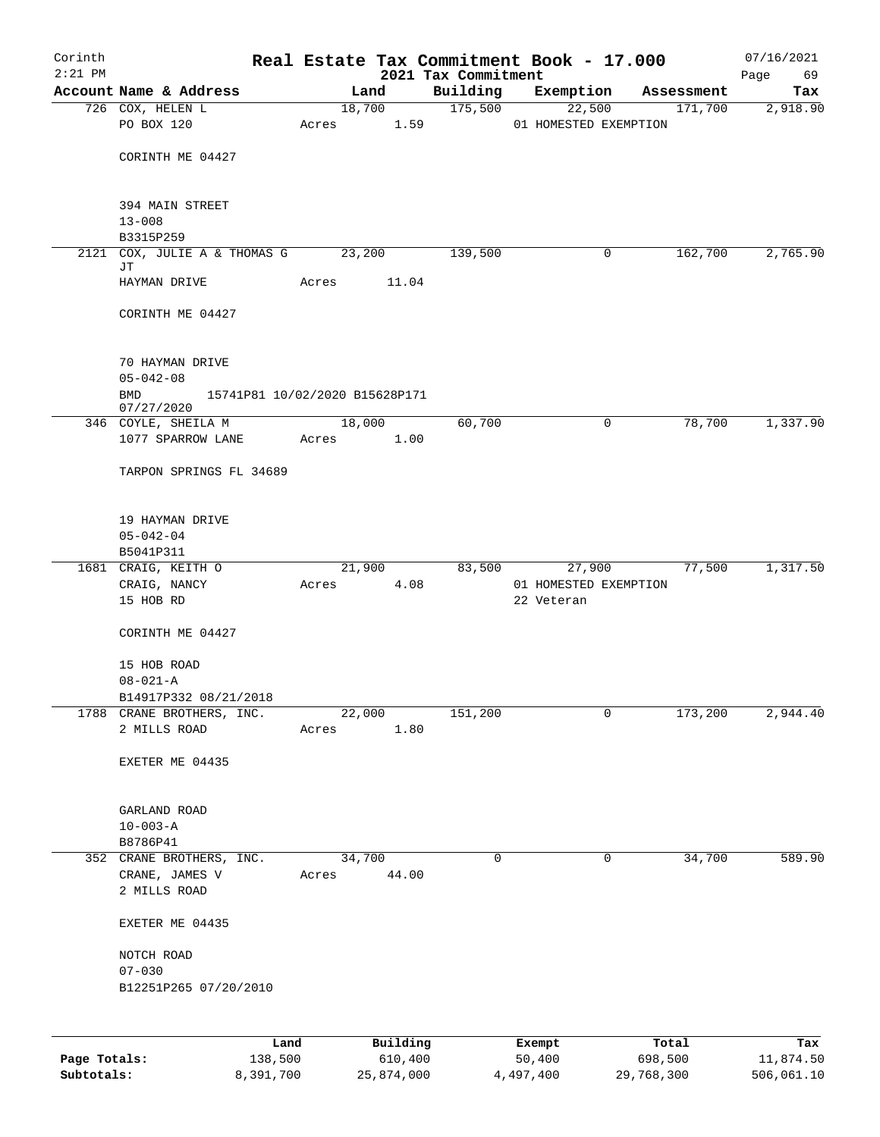| Corinth                    |                                            |                      |       |                                |                     | Real Estate Tax Commitment Book - 17.000 |             |                       | 07/16/2021              |
|----------------------------|--------------------------------------------|----------------------|-------|--------------------------------|---------------------|------------------------------------------|-------------|-----------------------|-------------------------|
| $2:21$ PM                  |                                            |                      |       |                                | 2021 Tax Commitment |                                          |             |                       | 69<br>Page              |
|                            | Account Name & Address<br>726 COX, HELEN L |                      |       | Land<br>18,700                 | Building<br>175,500 | Exemption                                | 22,500      | Assessment<br>171,700 | Tax<br>2,918.90         |
|                            | PO BOX 120                                 |                      |       | Acres 1.59                     |                     | 01 HOMESTED EXEMPTION                    |             |                       |                         |
|                            |                                            |                      |       |                                |                     |                                          |             |                       |                         |
|                            | CORINTH ME 04427                           |                      |       |                                |                     |                                          |             |                       |                         |
|                            | 394 MAIN STREET                            |                      |       |                                |                     |                                          |             |                       |                         |
|                            | $13 - 008$                                 |                      |       |                                |                     |                                          |             |                       |                         |
|                            | B3315P259<br>2121 COX, JULIE A & THOMAS G  |                      |       | 23,200                         | 139,500             |                                          | 0           | 162,700               | 2,765.90                |
|                            | JТ                                         |                      |       |                                |                     |                                          |             |                       |                         |
|                            | HAYMAN DRIVE                               |                      | Acres | 11.04                          |                     |                                          |             |                       |                         |
|                            | CORINTH ME 04427                           |                      |       |                                |                     |                                          |             |                       |                         |
|                            | 70 HAYMAN DRIVE                            |                      |       |                                |                     |                                          |             |                       |                         |
|                            | $05 - 042 - 08$                            |                      |       |                                |                     |                                          |             |                       |                         |
|                            | BMD<br>07/27/2020                          |                      |       | 15741P81 10/02/2020 B15628P171 |                     |                                          |             |                       |                         |
|                            | 346 COYLE, SHEILA M                        |                      |       | 18,000                         | 60,700              |                                          | $\mathbf 0$ | 78,700                | 1,337.90                |
|                            | 1077 SPARROW LANE                          |                      |       | Acres 1.00                     |                     |                                          |             |                       |                         |
|                            | TARPON SPRINGS FL 34689                    |                      |       |                                |                     |                                          |             |                       |                         |
|                            | 19 HAYMAN DRIVE                            |                      |       |                                |                     |                                          |             |                       |                         |
|                            | $05 - 042 - 04$                            |                      |       |                                |                     |                                          |             |                       |                         |
|                            | B5041P311<br>1681 CRAIG, KEITH O           |                      |       | 21,900                         |                     | 83,500                                   | 27,900      | 77,500                | 1,317.50                |
|                            | CRAIG, NANCY                               |                      | Acres | 4.08                           |                     | 01 HOMESTED EXEMPTION                    |             |                       |                         |
|                            | 15 HOB RD                                  |                      |       |                                |                     | 22 Veteran                               |             |                       |                         |
|                            | CORINTH ME 04427                           |                      |       |                                |                     |                                          |             |                       |                         |
|                            | 15 HOB ROAD                                |                      |       |                                |                     |                                          |             |                       |                         |
|                            | $08 - 021 - A$                             |                      |       |                                |                     |                                          |             |                       |                         |
|                            | B14917P332 08/21/2018                      |                      |       |                                |                     |                                          |             |                       |                         |
|                            | 1788 CRANE BROTHERS, INC.<br>2 MILLS ROAD  |                      | Acres | 22,000<br>1.80                 | 151,200             |                                          | 0           | 173,200               | 2,944.40                |
|                            |                                            |                      |       |                                |                     |                                          |             |                       |                         |
|                            | EXETER ME 04435                            |                      |       |                                |                     |                                          |             |                       |                         |
|                            | GARLAND ROAD                               |                      |       |                                |                     |                                          |             |                       |                         |
|                            | $10 - 003 - A$                             |                      |       |                                |                     |                                          |             |                       |                         |
|                            | B8786P41<br>352 CRANE BROTHERS, INC.       |                      |       | 34,700                         | 0                   |                                          | 0           | 34,700                | 589.90                  |
|                            | CRANE, JAMES V                             |                      | Acres | 44.00                          |                     |                                          |             |                       |                         |
|                            | 2 MILLS ROAD                               |                      |       |                                |                     |                                          |             |                       |                         |
|                            | EXETER ME 04435                            |                      |       |                                |                     |                                          |             |                       |                         |
|                            | NOTCH ROAD                                 |                      |       |                                |                     |                                          |             |                       |                         |
|                            | $07 - 030$<br>B12251P265 07/20/2010        |                      |       |                                |                     |                                          |             |                       |                         |
|                            |                                            |                      |       |                                |                     |                                          |             |                       |                         |
|                            |                                            | Land                 |       | Building                       |                     | Exempt                                   |             | Total                 | Tax                     |
| Page Totals:<br>Subtotals: |                                            | 138,500<br>8,391,700 |       | 610,400<br>25,874,000          |                     | 50,400<br>4,497,400                      | 29,768,300  | 698,500               | 11,874.50<br>506,061.10 |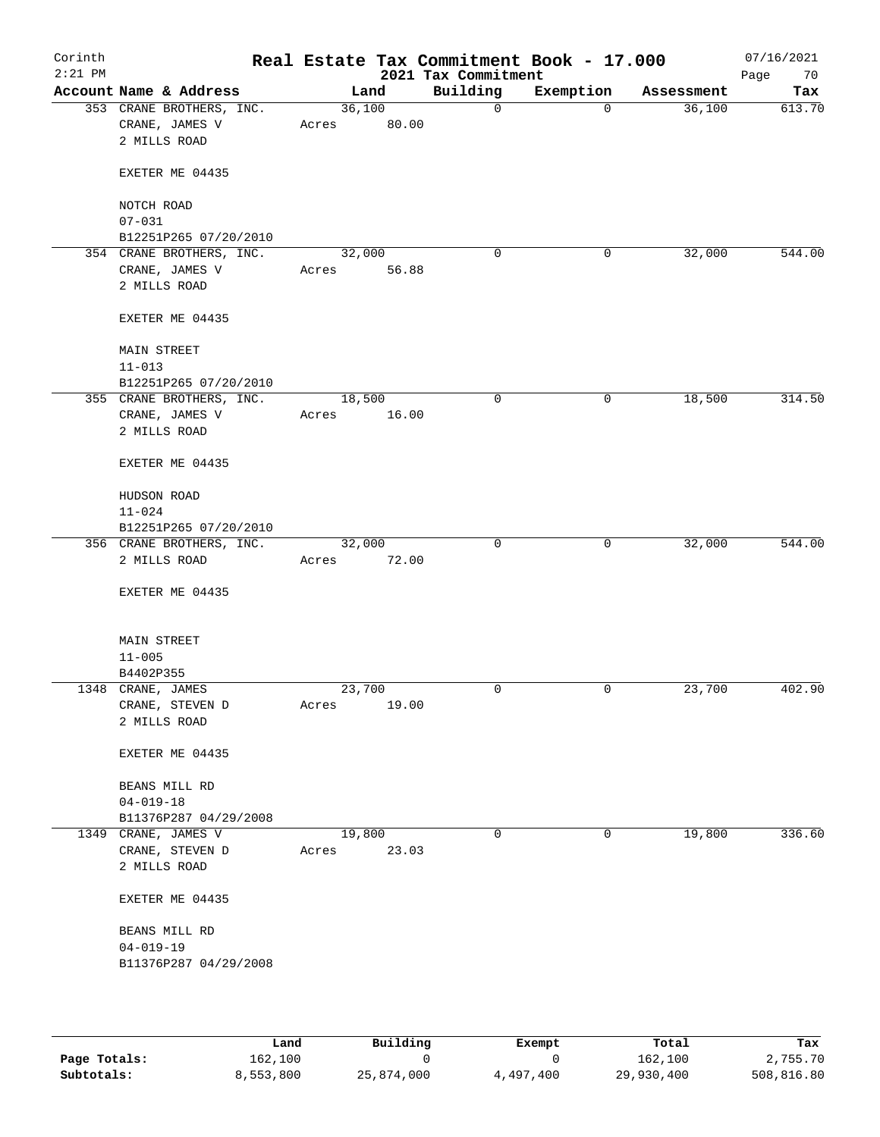| Corinth<br>$2:21$ PM |                                            |                 |       | 2021 Tax Commitment | Real Estate Tax Commitment Book - 17.000 |            | 07/16/2021<br>Page<br>70 |
|----------------------|--------------------------------------------|-----------------|-------|---------------------|------------------------------------------|------------|--------------------------|
|                      | Account Name & Address                     |                 | Land  | Building            | Exemption                                | Assessment | Tax                      |
|                      | 353 CRANE BROTHERS, INC.<br>CRANE, JAMES V | 36,100<br>Acres | 80.00 | $\mathsf{O}$        | $\overline{0}$                           | 36,100     | 613.70                   |
|                      | 2 MILLS ROAD                               |                 |       |                     |                                          |            |                          |
|                      | EXETER ME 04435                            |                 |       |                     |                                          |            |                          |
|                      | NOTCH ROAD<br>$07 - 031$                   |                 |       |                     |                                          |            |                          |
|                      | B12251P265 07/20/2010                      |                 |       |                     |                                          |            |                          |
|                      | 354 CRANE BROTHERS, INC.                   | 32,000          |       | 0                   | 0                                        | 32,000     | 544.00                   |
|                      | CRANE, JAMES V<br>2 MILLS ROAD             | Acres           | 56.88 |                     |                                          |            |                          |
|                      | EXETER ME 04435                            |                 |       |                     |                                          |            |                          |
|                      | <b>MAIN STREET</b>                         |                 |       |                     |                                          |            |                          |
|                      | $11 - 013$<br>B12251P265 07/20/2010        |                 |       |                     |                                          |            |                          |
|                      | 355 CRANE BROTHERS, INC.                   | 18,500          |       | 0                   | $\mathbf 0$                              | 18,500     | 314.50                   |
|                      | CRANE, JAMES V                             | Acres           | 16.00 |                     |                                          |            |                          |
|                      | 2 MILLS ROAD                               |                 |       |                     |                                          |            |                          |
|                      | EXETER ME 04435                            |                 |       |                     |                                          |            |                          |
|                      | HUDSON ROAD                                |                 |       |                     |                                          |            |                          |
|                      | $11 - 024$<br>B12251P265 07/20/2010        |                 |       |                     |                                          |            |                          |
|                      | 356 CRANE BROTHERS, INC.                   | 32,000          |       | $\mathbf 0$         | $\mathbf 0$                              | 32,000     | 544.00                   |
|                      | 2 MILLS ROAD                               | Acres           | 72.00 |                     |                                          |            |                          |
|                      | EXETER ME 04435                            |                 |       |                     |                                          |            |                          |
|                      | <b>MAIN STREET</b>                         |                 |       |                     |                                          |            |                          |
|                      | $11 - 005$                                 |                 |       |                     |                                          |            |                          |
|                      | B4402P355                                  |                 |       |                     |                                          |            |                          |
|                      | 1348 CRANE, JAMES                          | 23,700          |       | $\mathbf 0$         | $\mathbf 0$                              | 23,700     | 402.90                   |
|                      | CRANE, STEVEN D                            | Acres           | 19.00 |                     |                                          |            |                          |
|                      | 2 MILLS ROAD                               |                 |       |                     |                                          |            |                          |
|                      | EXETER ME 04435                            |                 |       |                     |                                          |            |                          |
|                      | BEANS MILL RD                              |                 |       |                     |                                          |            |                          |
|                      | $04 - 019 - 18$                            |                 |       |                     |                                          |            |                          |
|                      | B11376P287 04/29/2008                      |                 |       |                     |                                          |            |                          |
|                      | 1349 CRANE, JAMES V                        | 19,800          |       | 0                   | 0                                        | 19,800     | 336.60                   |
|                      | CRANE, STEVEN D<br>2 MILLS ROAD            | Acres           | 23.03 |                     |                                          |            |                          |
|                      | EXETER ME 04435                            |                 |       |                     |                                          |            |                          |
|                      | BEANS MILL RD                              |                 |       |                     |                                          |            |                          |
|                      | $04 - 019 - 19$<br>B11376P287 04/29/2008   |                 |       |                     |                                          |            |                          |
|                      |                                            |                 |       |                     |                                          |            |                          |

|              | Land      | Building   | Exempt    | Total      | Tax        |
|--------------|-----------|------------|-----------|------------|------------|
| Page Totals: | 162,100   |            |           | 162,100    | 2,755.70   |
| Subtotals:   | 8,553,800 | 25,874,000 | 4,497,400 | 29,930,400 | 508,816.80 |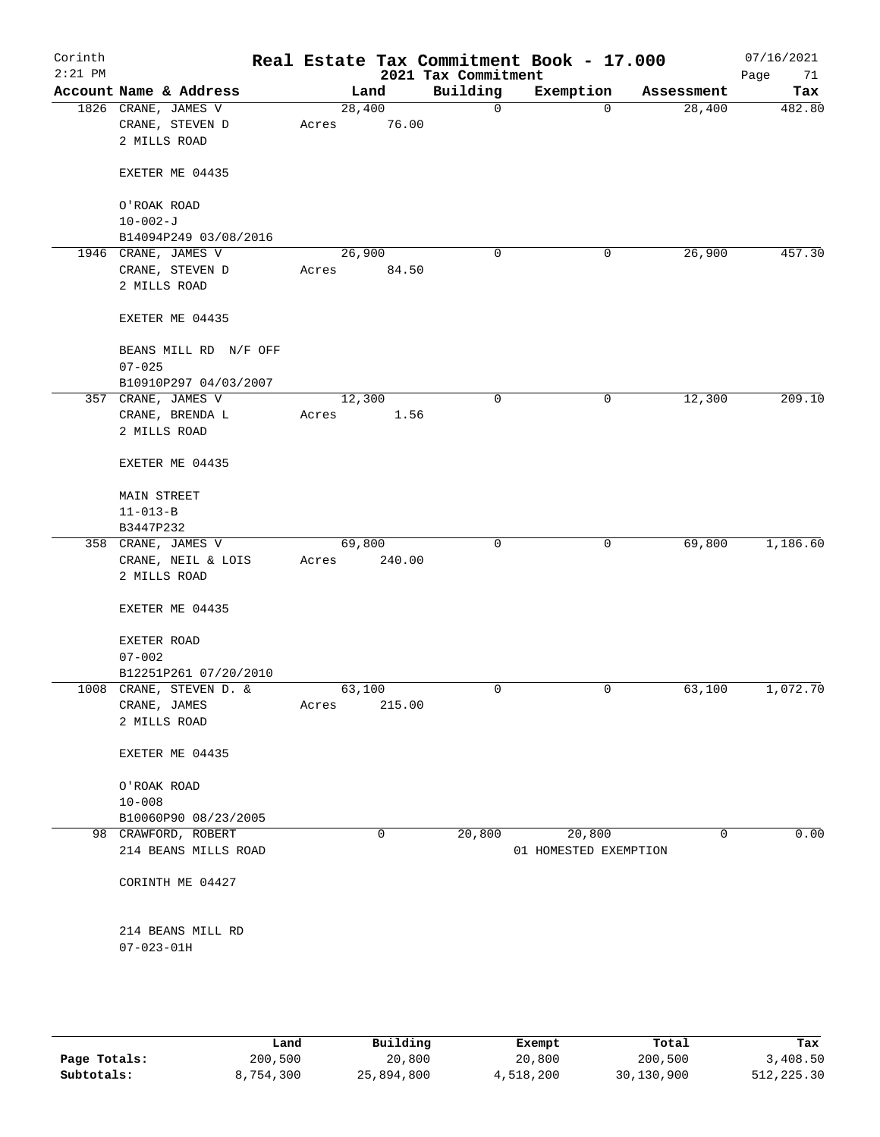| Corinth<br>$2:21$ PM |                                                        |       |                 | 2021 Tax Commitment | Real Estate Tax Commitment Book - 17.000 |            | 07/16/2021<br>Page<br>71 |
|----------------------|--------------------------------------------------------|-------|-----------------|---------------------|------------------------------------------|------------|--------------------------|
|                      | Account Name & Address                                 |       | Land            | Building            | Exemption                                | Assessment | Tax                      |
|                      | 1826 CRANE, JAMES V<br>CRANE, STEVEN D<br>2 MILLS ROAD | Acres | 28,400<br>76.00 | $\mathbf 0$         | $\mathbf 0$                              | 28,400     | 482.80                   |
|                      | EXETER ME 04435                                        |       |                 |                     |                                          |            |                          |
|                      | O'ROAK ROAD                                            |       |                 |                     |                                          |            |                          |
|                      | $10 - 002 - J$                                         |       |                 |                     |                                          |            |                          |
|                      | B14094P249 03/08/2016                                  |       |                 |                     |                                          |            |                          |
|                      | 1946 CRANE, JAMES V                                    |       | 26,900          | $\mathbf 0$         | 0                                        | 26,900     | 457.30                   |
|                      | CRANE, STEVEN D<br>2 MILLS ROAD                        | Acres | 84.50           |                     |                                          |            |                          |
|                      | EXETER ME 04435                                        |       |                 |                     |                                          |            |                          |
|                      | BEANS MILL RD N/F OFF<br>$07 - 025$                    |       |                 |                     |                                          |            |                          |
|                      | B10910P297 04/03/2007                                  |       |                 |                     |                                          |            |                          |
|                      | 357 CRANE, JAMES V                                     |       | 12,300          | 0                   | 0                                        | 12,300     | 209.10                   |
|                      | CRANE, BRENDA L<br>2 MILLS ROAD                        | Acres | 1.56            |                     |                                          |            |                          |
|                      | EXETER ME 04435                                        |       |                 |                     |                                          |            |                          |
|                      | <b>MAIN STREET</b>                                     |       |                 |                     |                                          |            |                          |
|                      | $11 - 013 - B$                                         |       |                 |                     |                                          |            |                          |
|                      | B3447P232                                              |       |                 |                     |                                          |            |                          |
|                      | 358 CRANE, JAMES V                                     |       | 69,800          | 0                   | 0                                        | 69,800     | 1,186.60                 |
|                      | CRANE, NEIL & LOIS<br>2 MILLS ROAD                     | Acres | 240.00          |                     |                                          |            |                          |
|                      | EXETER ME 04435                                        |       |                 |                     |                                          |            |                          |
|                      | EXETER ROAD<br>$07 - 002$                              |       |                 |                     |                                          |            |                          |
|                      | B12251P261 07/20/2010                                  |       |                 |                     |                                          |            |                          |
|                      | 1008 CRANE, STEVEN D. &                                |       | 63,100          | 0                   | 0                                        | 63,100     | 1,072.70                 |
|                      | CRANE, JAMES<br>2 MILLS ROAD                           | Acres | 215.00          |                     |                                          |            |                          |
|                      | EXETER ME 04435                                        |       |                 |                     |                                          |            |                          |
|                      | O'ROAK ROAD                                            |       |                 |                     |                                          |            |                          |
|                      | $10 - 008$                                             |       |                 |                     |                                          |            |                          |
|                      | B10060P90 08/23/2005                                   |       |                 |                     |                                          |            |                          |
|                      | 98 CRAWFORD, ROBERT                                    |       | 0               | 20,800              | 20,800                                   | 0          | 0.00                     |
|                      | 214 BEANS MILLS ROAD                                   |       |                 |                     | 01 HOMESTED EXEMPTION                    |            |                          |
|                      | CORINTH ME 04427                                       |       |                 |                     |                                          |            |                          |
|                      | 214 BEANS MILL RD<br>$07 - 023 - 01H$                  |       |                 |                     |                                          |            |                          |
|                      |                                                        |       |                 |                     |                                          |            |                          |

|              | Land      | Building   | Exempt    | Total      | Tax        |
|--------------|-----------|------------|-----------|------------|------------|
| Page Totals: | 200,500   | 20,800     | 20,800    | 200,500    | 3,408.50   |
| Subtotals:   | 8,754,300 | 25,894,800 | 4,518,200 | 30,130,900 | 512,225.30 |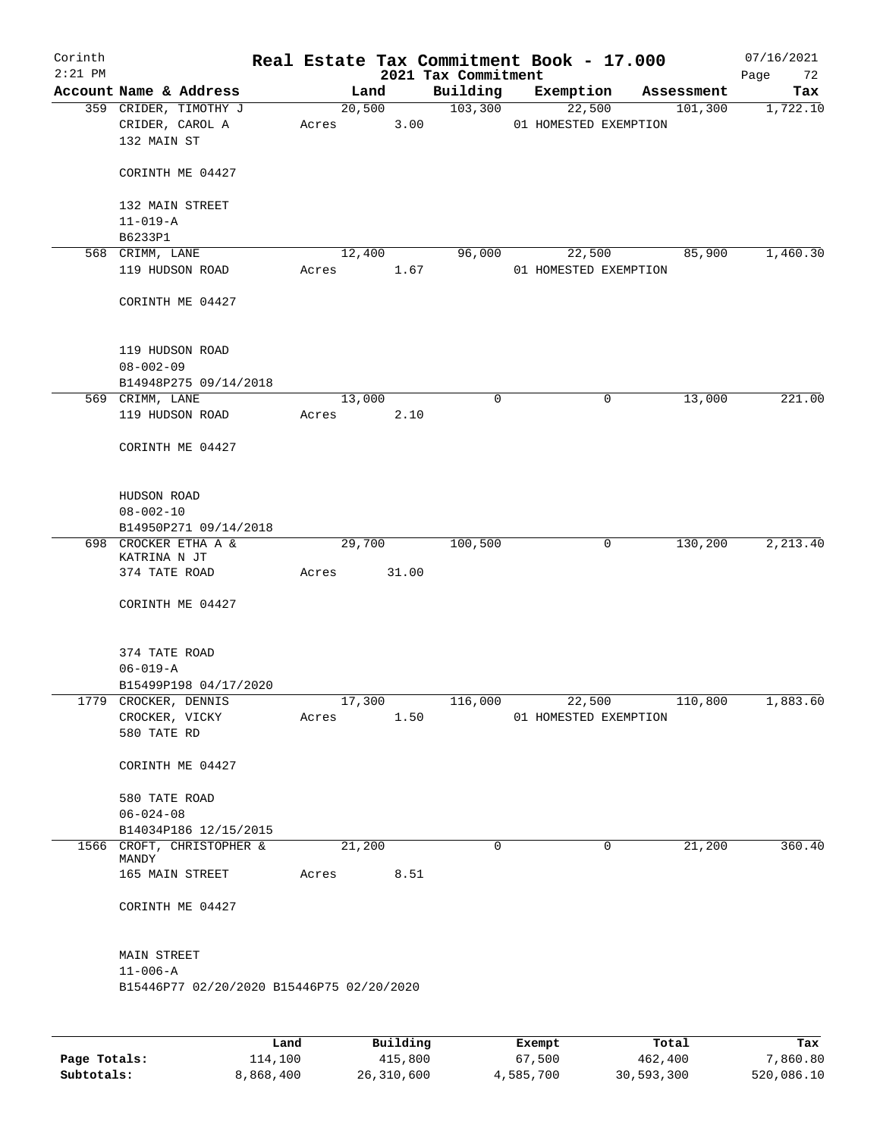| Corinth<br>$2:21$ PM |                                                             |       |                           | Real Estate Tax Commitment Book - 17.000<br>2021 Tax Commitment |                                               |                                 |            | 07/16/2021<br>72<br>Page |
|----------------------|-------------------------------------------------------------|-------|---------------------------|-----------------------------------------------------------------|-----------------------------------------------|---------------------------------|------------|--------------------------|
|                      | Account Name & Address                                      |       | Land                      | Building                                                        | Exemption                                     |                                 | Assessment | Tax                      |
|                      | 359 CRIDER, TIMOTHY J<br>CRIDER, CAROL A<br>132 MAIN ST     | Acres | 20,500<br>3.00            | 103,300                                                         |                                               | 22,500<br>01 HOMESTED EXEMPTION | 101,300    | 1,722.10                 |
|                      | CORINTH ME 04427                                            |       |                           |                                                                 |                                               |                                 |            |                          |
|                      | 132 MAIN STREET<br>$11 - 019 - A$                           |       |                           |                                                                 |                                               |                                 |            |                          |
|                      | B6233P1                                                     |       |                           |                                                                 |                                               |                                 |            |                          |
|                      | 568 CRIMM, LANE                                             |       | 12,400                    | 96,000                                                          |                                               | 22,500                          | 85,900     | 1,460.30                 |
|                      | 119 HUDSON ROAD                                             | Acres | 1.67                      |                                                                 |                                               | 01 HOMESTED EXEMPTION           |            |                          |
|                      | CORINTH ME 04427                                            |       |                           |                                                                 |                                               |                                 |            |                          |
|                      | 119 HUDSON ROAD                                             |       |                           |                                                                 |                                               |                                 |            |                          |
|                      | $08 - 002 - 09$<br>B14948P275 09/14/2018                    |       |                           |                                                                 |                                               |                                 |            |                          |
|                      | 569 CRIMM, LANE                                             |       | 13,000                    | $\mathbf 0$                                                     |                                               | 0                               | 13,000     | 221.00                   |
|                      | 119 HUDSON ROAD                                             | Acres | 2.10                      |                                                                 |                                               |                                 |            |                          |
|                      | CORINTH ME 04427                                            |       |                           |                                                                 |                                               |                                 |            |                          |
|                      | HUDSON ROAD                                                 |       |                           |                                                                 |                                               |                                 |            |                          |
|                      | $08 - 002 - 10$                                             |       |                           |                                                                 |                                               |                                 |            |                          |
|                      | B14950P271 09/14/2018                                       |       |                           |                                                                 |                                               |                                 |            |                          |
|                      | 698 CROCKER ETHA A &<br>KATRINA N JT                        |       | 29,700                    | 100,500                                                         |                                               | 0                               | 130,200    | 2,213.40                 |
|                      | 374 TATE ROAD                                               | Acres | 31.00                     |                                                                 |                                               |                                 |            |                          |
|                      | CORINTH ME 04427                                            |       |                           |                                                                 |                                               |                                 |            |                          |
|                      | 374 TATE ROAD                                               |       |                           |                                                                 |                                               |                                 |            |                          |
|                      | $06 - 019 - A$                                              |       |                           |                                                                 |                                               |                                 |            |                          |
|                      | B15499P198 04/17/2020<br>1779 CROCKER, DENNIS               |       | 17,300                    | 116,000                                                         |                                               | 22,500                          | 110,800    | 1,883.60                 |
|                      | CROCKER, VICKY                                              | Acres | 1.50                      |                                                                 |                                               | 01 HOMESTED EXEMPTION           |            |                          |
|                      | 580 TATE RD                                                 |       |                           |                                                                 |                                               |                                 |            |                          |
|                      | CORINTH ME 04427                                            |       |                           |                                                                 |                                               |                                 |            |                          |
|                      | 580 TATE ROAD                                               |       |                           |                                                                 |                                               |                                 |            |                          |
|                      | $06 - 024 - 08$                                             |       |                           |                                                                 |                                               |                                 |            |                          |
|                      | B14034P186 12/15/2015                                       |       |                           |                                                                 |                                               |                                 |            |                          |
|                      | 1566 CROFT, CHRISTOPHER &<br>MANDY                          |       | 21,200                    | $\Omega$                                                        |                                               | 0                               | 21,200     | 360.40                   |
|                      | 165 MAIN STREET                                             | Acres | 8.51                      |                                                                 |                                               |                                 |            |                          |
|                      | CORINTH ME 04427                                            |       |                           |                                                                 |                                               |                                 |            |                          |
|                      | MAIN STREET                                                 |       |                           |                                                                 |                                               |                                 |            |                          |
|                      | $11 - 006 - A$<br>B15446P77 02/20/2020 B15446P75 02/20/2020 |       |                           |                                                                 |                                               |                                 |            |                          |
|                      |                                                             |       |                           |                                                                 |                                               |                                 |            |                          |
|                      |                                                             |       | $D_{11}$ in $I$ in $\sim$ |                                                                 | $P$ <sub>r</sub> $\sim$ m $\sim$ <sup>+</sup> | <b>Tota</b>                     |            | щ.                       |

|              | Land      | Building   | Exempt    | Total      | Tax        |
|--------------|-----------|------------|-----------|------------|------------|
| Page Totals: | 114,100   | 415,800    | 67,500    | 462,400    | 7,860.80   |
| Subtotals:   | 8,868,400 | 26,310,600 | 4,585,700 | 30,593,300 | 520,086.10 |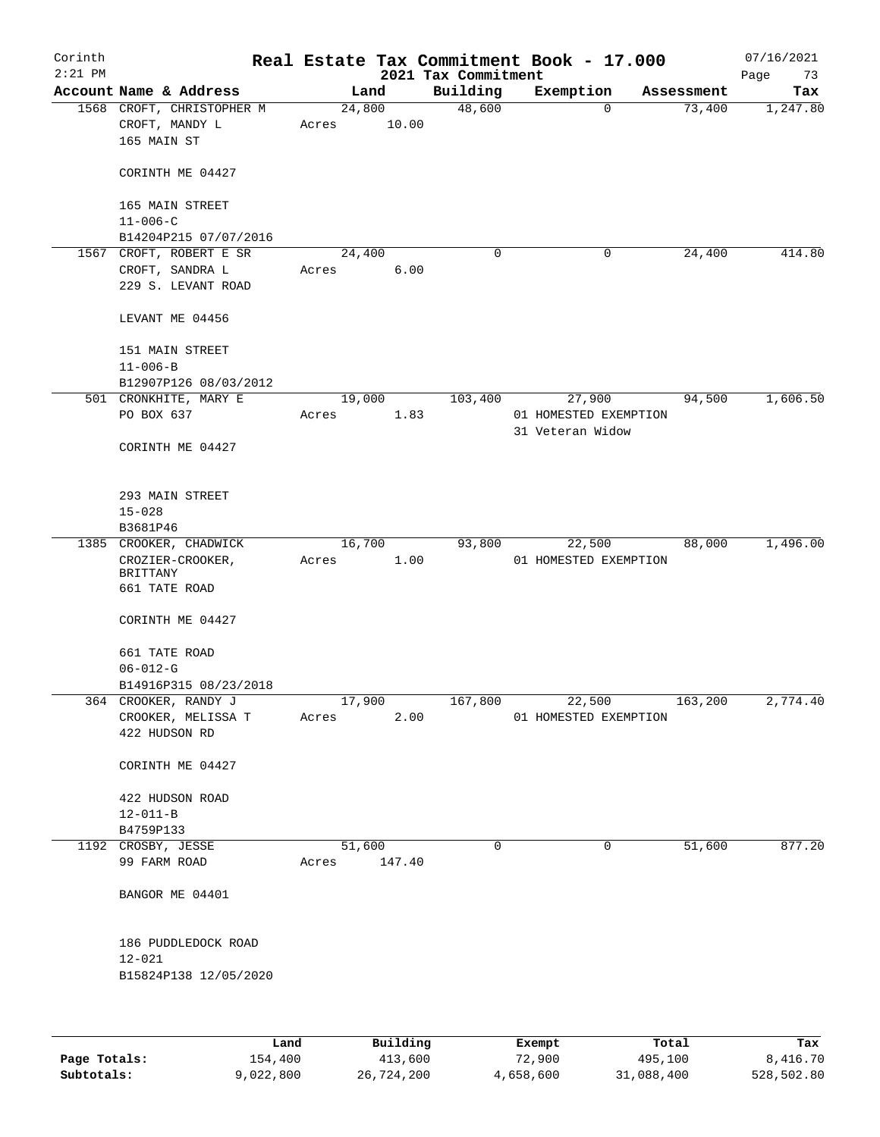| Corinth<br>$2:21$ PM |                                                            |       |                 | 2021 Tax Commitment | Real Estate Tax Commitment Book - 17.000  |            | 07/16/2021<br>Page<br>73 |
|----------------------|------------------------------------------------------------|-------|-----------------|---------------------|-------------------------------------------|------------|--------------------------|
|                      | Account Name & Address                                     |       | Land            | Building            | Exemption                                 | Assessment | Tax                      |
|                      | 1568 CROFT, CHRISTOPHER M<br>CROFT, MANDY L<br>165 MAIN ST | Acres | 24,800<br>10.00 | 48,600              | $\Omega$                                  | 73,400     | 1,247.80                 |
|                      | CORINTH ME 04427                                           |       |                 |                     |                                           |            |                          |
|                      | 165 MAIN STREET<br>$11 - 006 - C$                          |       |                 |                     |                                           |            |                          |
|                      | B14204P215 07/07/2016                                      |       |                 |                     |                                           |            |                          |
|                      | 1567 CROFT, ROBERT E SR                                    |       | 24,400          | 0                   | 0                                         | 24, 400    | 414.80                   |
|                      | CROFT, SANDRA L<br>229 S. LEVANT ROAD                      | Acres | 6.00            |                     |                                           |            |                          |
|                      | LEVANT ME 04456                                            |       |                 |                     |                                           |            |                          |
|                      | 151 MAIN STREET<br>$11 - 006 - B$<br>B12907P126 08/03/2012 |       |                 |                     |                                           |            |                          |
|                      | 501 CRONKHITE, MARY E                                      |       | 19,000          | 103,400             | 27,900                                    | 94,500     | 1,606.50                 |
|                      | PO BOX 637                                                 | Acres | 1.83            |                     | 01 HOMESTED EXEMPTION<br>31 Veteran Widow |            |                          |
|                      | CORINTH ME 04427                                           |       |                 |                     |                                           |            |                          |
|                      | 293 MAIN STREET<br>$15 - 028$                              |       |                 |                     |                                           |            |                          |
|                      | B3681P46                                                   |       |                 |                     |                                           |            |                          |
|                      | 1385 CROOKER, CHADWICK                                     |       | 16,700          | 93,800              | 22,500                                    | 88,000     | 1,496.00                 |
|                      | CROZIER-CROOKER,<br>BRITTANY                               | Acres | 1.00            |                     | 01 HOMESTED EXEMPTION                     |            |                          |
|                      | 661 TATE ROAD                                              |       |                 |                     |                                           |            |                          |
|                      | CORINTH ME 04427                                           |       |                 |                     |                                           |            |                          |
|                      | 661 TATE ROAD                                              |       |                 |                     |                                           |            |                          |
|                      | $06 - 012 - G$                                             |       |                 |                     |                                           |            |                          |
|                      | B14916P315 08/23/2018                                      |       |                 |                     |                                           |            |                          |
|                      | 364 CROOKER, RANDY J                                       |       | 17,900          | 167,800             | 22,500                                    | 163,200    | 2,774.40                 |
|                      | CROOKER, MELISSA T<br>422 HUDSON RD                        | Acres | 2.00            |                     | 01 HOMESTED EXEMPTION                     |            |                          |
|                      | CORINTH ME 04427                                           |       |                 |                     |                                           |            |                          |
|                      | 422 HUDSON ROAD<br>$12 - 011 - B$                          |       |                 |                     |                                           |            |                          |
|                      | B4759P133                                                  |       |                 |                     |                                           |            |                          |
|                      | 1192 CROSBY, JESSE                                         |       | 51,600          | 0                   | 0                                         | 51,600     | 877.20                   |
|                      | 99 FARM ROAD                                               | Acres | 147.40          |                     |                                           |            |                          |
|                      | BANGOR ME 04401                                            |       |                 |                     |                                           |            |                          |
|                      | 186 PUDDLEDOCK ROAD                                        |       |                 |                     |                                           |            |                          |
|                      | $12 - 021$                                                 |       |                 |                     |                                           |            |                          |
|                      | B15824P138 12/05/2020                                      |       |                 |                     |                                           |            |                          |
|                      |                                                            |       |                 |                     |                                           |            |                          |
|                      |                                                            | Land  | Building        |                     | Exempt                                    | Total      | Tax                      |

|              | nana      | <b>DUITOTII</b> | LACINUL   | TOLAT      | ias.       |
|--------------|-----------|-----------------|-----------|------------|------------|
| Page Totals: | 154,400   | 413,600         | 72,900    | 495,100    | 8,416.70   |
| Subtotals:   | 9,022,800 | 26,724,200      | 4,658,600 | 31,088,400 | 528,502.80 |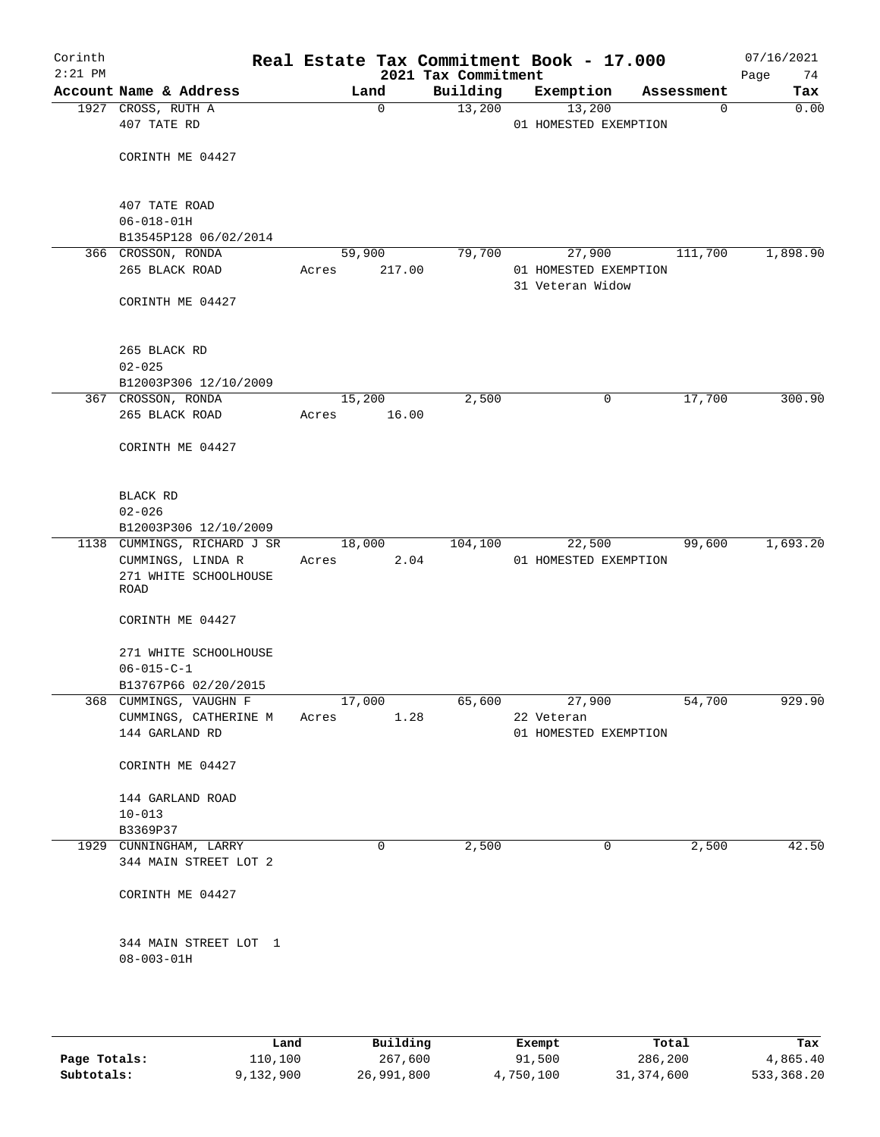| Corinth<br>$2:21$ PM |                                                      |       |        | 2021 Tax Commitment | Real Estate Tax Commitment Book - 17.000  |             | 07/16/2021<br>Page<br>74 |
|----------------------|------------------------------------------------------|-------|--------|---------------------|-------------------------------------------|-------------|--------------------------|
|                      | Account Name & Address                               |       | Land   | Building            | Exemption                                 | Assessment  | Tax                      |
|                      | 1927 CROSS, RUTH A<br>407 TATE RD                    |       | 0      | 13,200              | 13,200<br>01 HOMESTED EXEMPTION           | $\mathbf 0$ | 0.00                     |
|                      | CORINTH ME 04427                                     |       |        |                     |                                           |             |                          |
|                      | 407 TATE ROAD<br>$06 - 018 - 01H$                    |       |        |                     |                                           |             |                          |
|                      | B13545P128 06/02/2014                                |       |        |                     |                                           |             |                          |
|                      | 366 CROSSON, RONDA                                   |       | 59,900 | 79,700              | 27,900                                    | 111,700     | 1,898.90                 |
|                      | 265 BLACK ROAD                                       | Acres | 217.00 |                     | 01 HOMESTED EXEMPTION<br>31 Veteran Widow |             |                          |
|                      | CORINTH ME 04427                                     |       |        |                     |                                           |             |                          |
|                      | 265 BLACK RD<br>$02 - 025$                           |       |        |                     |                                           |             |                          |
|                      | B12003P306 12/10/2009                                |       |        |                     |                                           |             |                          |
|                      | 367 CROSSON, RONDA                                   |       | 15,200 | 2,500               | 0                                         | 17,700      | 300.90                   |
|                      | 265 BLACK ROAD                                       | Acres | 16.00  |                     |                                           |             |                          |
|                      | CORINTH ME 04427                                     |       |        |                     |                                           |             |                          |
|                      | BLACK RD                                             |       |        |                     |                                           |             |                          |
|                      | $02 - 026$                                           |       |        |                     |                                           |             |                          |
|                      | B12003P306 12/10/2009<br>1138 CUMMINGS, RICHARD J SR |       | 18,000 | 104,100             | 22,500                                    | 99,600      | 1,693.20                 |
|                      | CUMMINGS, LINDA R                                    | Acres |        | 2.04                | 01 HOMESTED EXEMPTION                     |             |                          |
|                      | 271 WHITE SCHOOLHOUSE<br>ROAD                        |       |        |                     |                                           |             |                          |
|                      | CORINTH ME 04427                                     |       |        |                     |                                           |             |                          |
|                      | 271 WHITE SCHOOLHOUSE<br>$06 - 015 - C - 1$          |       |        |                     |                                           |             |                          |
|                      | B13767P66 02/20/2015                                 |       |        |                     |                                           |             |                          |
|                      | 368 CUMMINGS, VAUGHN F                               |       | 17,000 | 65,600              | 27,900                                    | 54,700      | 929.90                   |
|                      | CUMMINGS, CATHERINE M                                | Acres |        | 1.28                | 22 Veteran                                |             |                          |
|                      | 144 GARLAND RD                                       |       |        |                     | 01 HOMESTED EXEMPTION                     |             |                          |
|                      | CORINTH ME 04427                                     |       |        |                     |                                           |             |                          |
|                      | 144 GARLAND ROAD                                     |       |        |                     |                                           |             |                          |
|                      | $10 - 013$                                           |       |        |                     |                                           |             |                          |
|                      | B3369P37<br>1929 CUNNINGHAM, LARRY                   |       | 0      | 2,500               | 0                                         | 2,500       | 42.50                    |
|                      | 344 MAIN STREET LOT 2                                |       |        |                     |                                           |             |                          |
|                      | CORINTH ME 04427                                     |       |        |                     |                                           |             |                          |
|                      | 344 MAIN STREET LOT 1<br>$08 - 003 - 01H$            |       |        |                     |                                           |             |                          |
|                      |                                                      |       |        |                     |                                           |             |                          |
|                      |                                                      |       |        |                     |                                           |             |                          |

|              | Land      | Building   | Exempt    | Total      | Tax        |
|--------------|-----------|------------|-----------|------------|------------|
| Page Totals: | 110,100   | 267,600    | 91,500    | 286,200    | 4,865.40   |
| Subtotals:   | 9,132,900 | 26,991,800 | 4,750,100 | 31,374,600 | 533,368.20 |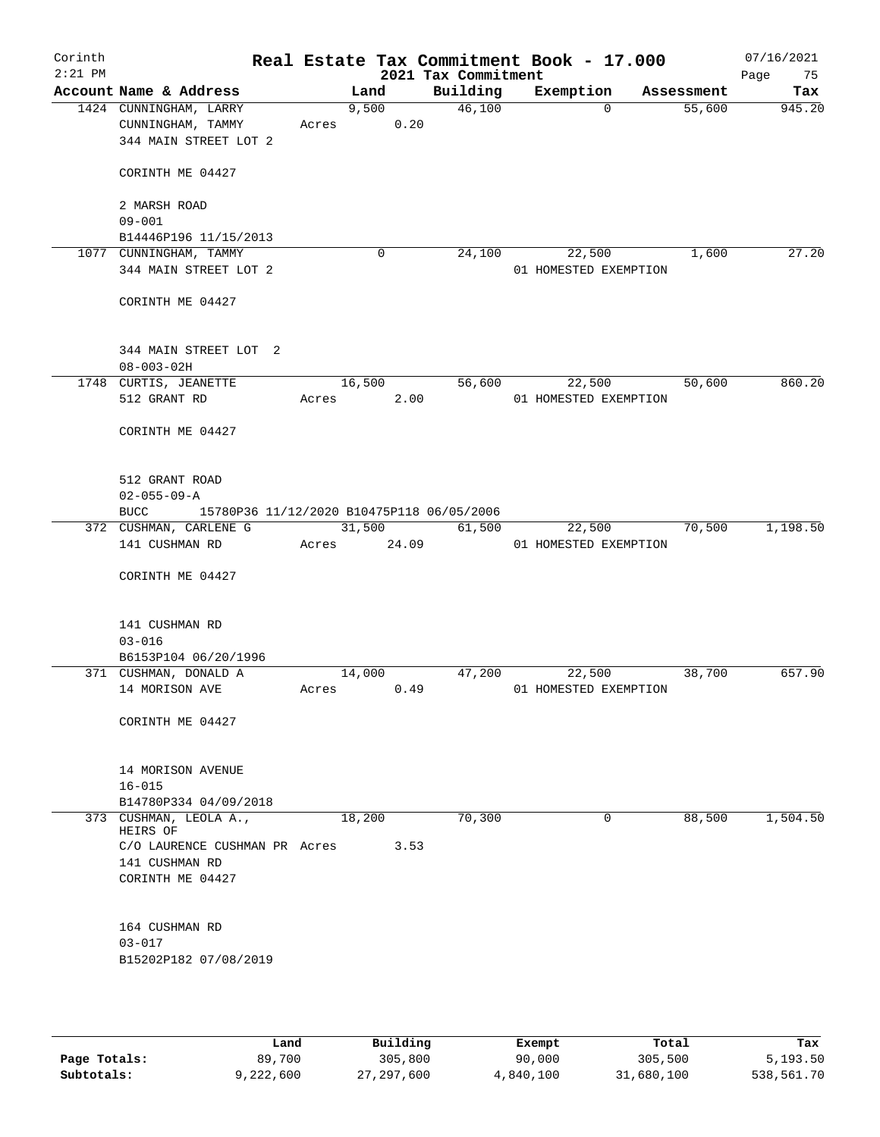| Corinth<br>$2:21$ PM |                                                          |       |        | 2021 Tax Commitment | Real Estate Tax Commitment Book - 17.000 | 07/16/2021<br>Page | 75       |
|----------------------|----------------------------------------------------------|-------|--------|---------------------|------------------------------------------|--------------------|----------|
|                      | Account Name & Address                                   |       | Land   | Building            | Exemption                                | Assessment         | Tax      |
|                      | 1424 CUNNINGHAM, LARRY                                   |       | 9,500  | 46,100              | $\Omega$                                 | 55,600             | 945.20   |
|                      | CUNNINGHAM, TAMMY                                        | Acres | 0.20   |                     |                                          |                    |          |
|                      | 344 MAIN STREET LOT 2                                    |       |        |                     |                                          |                    |          |
|                      | CORINTH ME 04427                                         |       |        |                     |                                          |                    |          |
|                      | 2 MARSH ROAD                                             |       |        |                     |                                          |                    |          |
|                      | $09 - 001$<br>B14446P196 11/15/2013                      |       |        |                     |                                          |                    |          |
|                      | 1077 CUNNINGHAM, TAMMY                                   |       | 0      | 24,100              | 22,500                                   | 1,600              | 27.20    |
|                      | 344 MAIN STREET LOT 2                                    |       |        |                     | 01 HOMESTED EXEMPTION                    |                    |          |
|                      | CORINTH ME 04427                                         |       |        |                     |                                          |                    |          |
|                      | 344 MAIN STREET LOT 2                                    |       |        |                     |                                          |                    |          |
|                      | $08 - 003 - 02H$                                         |       |        |                     |                                          |                    |          |
|                      | 1748 CURTIS, JEANETTE                                    |       | 16,500 | 56,600              | 22,500                                   | 50,600             | 860.20   |
|                      | 512 GRANT RD                                             | Acres | 2.00   |                     | 01 HOMESTED EXEMPTION                    |                    |          |
|                      | CORINTH ME 04427                                         |       |        |                     |                                          |                    |          |
|                      | 512 GRANT ROAD<br>$02 - 055 - 09 - A$                    |       |        |                     |                                          |                    |          |
|                      | <b>BUCC</b><br>15780P36 11/12/2020 B10475P118 06/05/2006 |       |        |                     |                                          |                    |          |
|                      | 372 CUSHMAN, CARLENE G                                   |       | 31,500 | 61,500              | 22,500                                   | 70,500             | 1,198.50 |
|                      | 141 CUSHMAN RD                                           | Acres | 24.09  |                     | 01 HOMESTED EXEMPTION                    |                    |          |
|                      | CORINTH ME 04427                                         |       |        |                     |                                          |                    |          |
|                      | 141 CUSHMAN RD                                           |       |        |                     |                                          |                    |          |
|                      | $03 - 016$                                               |       |        |                     |                                          |                    |          |
|                      | B6153P104 06/20/1996                                     |       |        |                     |                                          |                    |          |
|                      | 371 CUSHMAN, DONALD A                                    |       | 14,000 | 47,200              | 22,500                                   | 38,700             | 657.90   |
|                      | 14 MORISON AVE                                           | Acres | 0.49   |                     | 01 HOMESTED EXEMPTION                    |                    |          |
|                      | CORINTH ME 04427                                         |       |        |                     |                                          |                    |          |
|                      | 14 MORISON AVENUE                                        |       |        |                     |                                          |                    |          |
|                      | $16 - 015$                                               |       |        |                     |                                          |                    |          |
|                      | B14780P334 04/09/2018                                    |       |        |                     |                                          |                    |          |
|                      | 373 CUSHMAN, LEOLA A.,<br>HEIRS OF                       |       | 18,200 | 70,300              | 0                                        | 88,500             | 1,504.50 |
|                      | C/O LAURENCE CUSHMAN PR Acres                            |       | 3.53   |                     |                                          |                    |          |
|                      | 141 CUSHMAN RD                                           |       |        |                     |                                          |                    |          |
|                      | CORINTH ME 04427                                         |       |        |                     |                                          |                    |          |
|                      | 164 CUSHMAN RD                                           |       |        |                     |                                          |                    |          |
|                      | $03 - 017$                                               |       |        |                     |                                          |                    |          |
|                      | B15202P182 07/08/2019                                    |       |        |                     |                                          |                    |          |
|                      |                                                          |       |        |                     |                                          |                    |          |

|              | Land      | Building   | Exempt    | Total      | Tax        |
|--------------|-----------|------------|-----------|------------|------------|
| Page Totals: | 89,700    | 305,800    | 90,000    | 305,500    | 5,193.50   |
| Subtotals:   | 9,222,600 | 27,297,600 | 4,840,100 | 31,680,100 | 538,561.70 |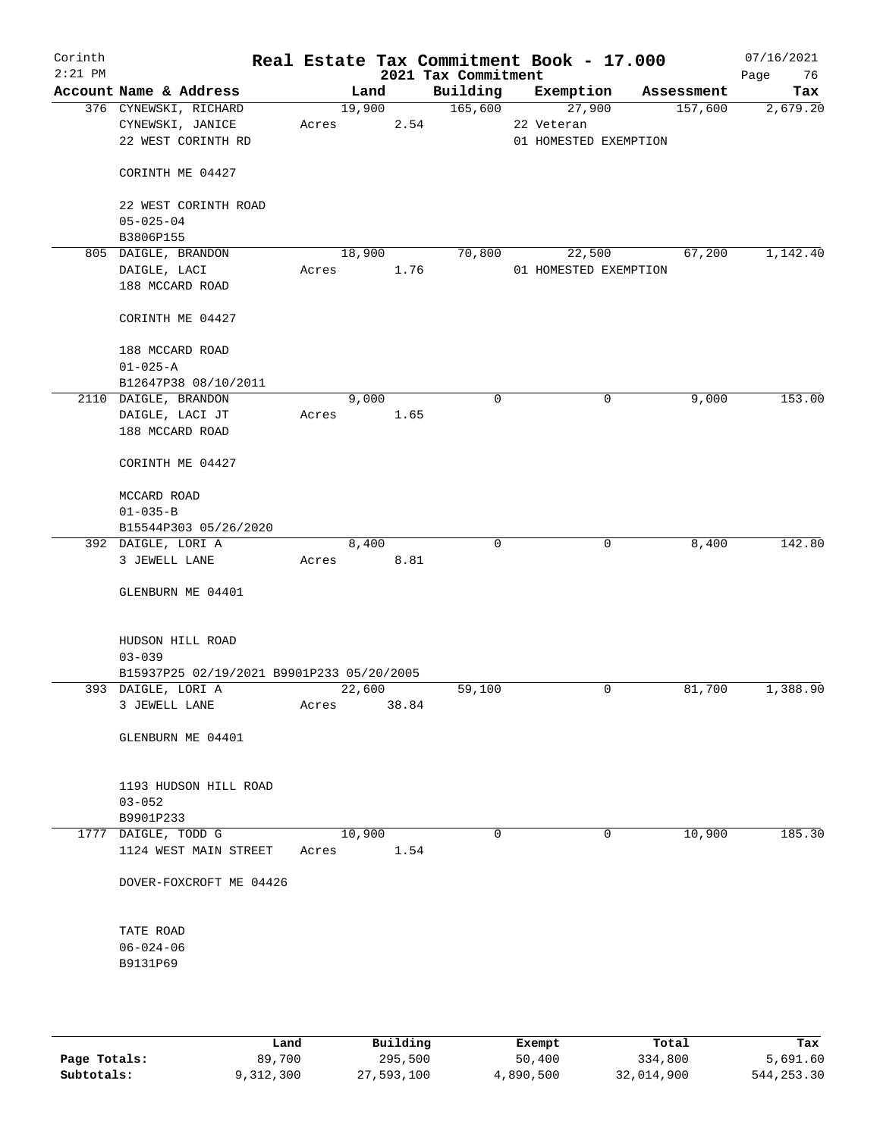| Corinth<br>$2:21$ PM |                                              |       |        |       | 2021 Tax Commitment | Real Estate Tax Commitment Book - 17.000 |            | 07/16/2021<br>Page<br>76 |
|----------------------|----------------------------------------------|-------|--------|-------|---------------------|------------------------------------------|------------|--------------------------|
|                      | Account Name & Address                       |       | Land   |       | Building            | Exemption                                | Assessment | Tax                      |
|                      | 376 CYNEWSKI, RICHARD                        |       | 19,900 |       | 165,600             | 27,900                                   | 157,600    | 2,679.20                 |
|                      | CYNEWSKI, JANICE                             | Acres |        | 2.54  |                     | 22 Veteran                               |            |                          |
|                      | 22 WEST CORINTH RD                           |       |        |       |                     | 01 HOMESTED EXEMPTION                    |            |                          |
|                      |                                              |       |        |       |                     |                                          |            |                          |
|                      | CORINTH ME 04427                             |       |        |       |                     |                                          |            |                          |
|                      |                                              |       |        |       |                     |                                          |            |                          |
|                      | 22 WEST CORINTH ROAD                         |       |        |       |                     |                                          |            |                          |
|                      | $05 - 025 - 04$                              |       |        |       |                     |                                          |            |                          |
|                      | B3806P155                                    |       |        |       |                     |                                          |            |                          |
|                      | 805 DAIGLE, BRANDON                          |       | 18,900 |       | 70,800              | 22,500                                   | 67,200     | 1,142.40                 |
|                      | DAIGLE, LACI                                 | Acres |        | 1.76  |                     | 01 HOMESTED EXEMPTION                    |            |                          |
|                      | 188 MCCARD ROAD                              |       |        |       |                     |                                          |            |                          |
|                      |                                              |       |        |       |                     |                                          |            |                          |
|                      | CORINTH ME 04427                             |       |        |       |                     |                                          |            |                          |
|                      |                                              |       |        |       |                     |                                          |            |                          |
|                      | 188 MCCARD ROAD                              |       |        |       |                     |                                          |            |                          |
|                      | $01 - 025 - A$                               |       |        |       |                     |                                          |            |                          |
|                      | B12647P38 08/10/2011<br>2110 DAIGLE, BRANDON |       | 9,000  |       | 0                   |                                          |            | 153.00                   |
|                      | DAIGLE, LACI JT                              | Acres |        |       |                     | 0                                        | 9,000      |                          |
|                      | 188 MCCARD ROAD                              |       |        | 1.65  |                     |                                          |            |                          |
|                      |                                              |       |        |       |                     |                                          |            |                          |
|                      | CORINTH ME 04427                             |       |        |       |                     |                                          |            |                          |
|                      |                                              |       |        |       |                     |                                          |            |                          |
|                      | MCCARD ROAD                                  |       |        |       |                     |                                          |            |                          |
|                      | $01 - 035 - B$                               |       |        |       |                     |                                          |            |                          |
|                      | B15544P303 05/26/2020                        |       |        |       |                     |                                          |            |                          |
|                      | 392 DAIGLE, LORI A                           |       | 8,400  |       | $\mathbf 0$         | 0                                        | 8,400      | 142.80                   |
|                      | 3 JEWELL LANE                                | Acres |        | 8.81  |                     |                                          |            |                          |
|                      |                                              |       |        |       |                     |                                          |            |                          |
|                      | GLENBURN ME 04401                            |       |        |       |                     |                                          |            |                          |
|                      |                                              |       |        |       |                     |                                          |            |                          |
|                      |                                              |       |        |       |                     |                                          |            |                          |
|                      | HUDSON HILL ROAD                             |       |        |       |                     |                                          |            |                          |
|                      | $03 - 039$                                   |       |        |       |                     |                                          |            |                          |
|                      | B15937P25 02/19/2021 B9901P233 05/20/2005    |       |        |       |                     |                                          |            |                          |
|                      | 393 DAIGLE, LORI A                           |       | 22,600 |       | 59,100              | $\mathbf 0$                              | 81,700     | 1,388.90                 |
|                      | 3 JEWELL LANE                                | Acres |        | 38.84 |                     |                                          |            |                          |
|                      |                                              |       |        |       |                     |                                          |            |                          |
|                      | GLENBURN ME 04401                            |       |        |       |                     |                                          |            |                          |
|                      |                                              |       |        |       |                     |                                          |            |                          |
|                      |                                              |       |        |       |                     |                                          |            |                          |
|                      | 1193 HUDSON HILL ROAD                        |       |        |       |                     |                                          |            |                          |
|                      | $03 - 052$                                   |       |        |       |                     |                                          |            |                          |
|                      | B9901P233<br>1777 DAIGLE, TODD G             |       | 10,900 |       | 0                   | 0                                        | 10,900     | 185.30                   |
|                      | 1124 WEST MAIN STREET                        |       |        | 1.54  |                     |                                          |            |                          |
|                      |                                              | Acres |        |       |                     |                                          |            |                          |
|                      | DOVER-FOXCROFT ME 04426                      |       |        |       |                     |                                          |            |                          |
|                      |                                              |       |        |       |                     |                                          |            |                          |
|                      |                                              |       |        |       |                     |                                          |            |                          |
|                      | TATE ROAD                                    |       |        |       |                     |                                          |            |                          |
|                      | $06 - 024 - 06$                              |       |        |       |                     |                                          |            |                          |
|                      | B9131P69                                     |       |        |       |                     |                                          |            |                          |
|                      |                                              |       |        |       |                     |                                          |            |                          |
|                      |                                              |       |        |       |                     |                                          |            |                          |
|                      |                                              |       |        |       |                     |                                          |            |                          |

|              | Land      | Building   | Exempt    | Total      | Tax         |
|--------------|-----------|------------|-----------|------------|-------------|
| Page Totals: | 89,700    | 295,500    | 50,400    | 334,800    | 5,691.60    |
| Subtotals:   | 9,312,300 | 27,593,100 | 4,890,500 | 32,014,900 | 544, 253.30 |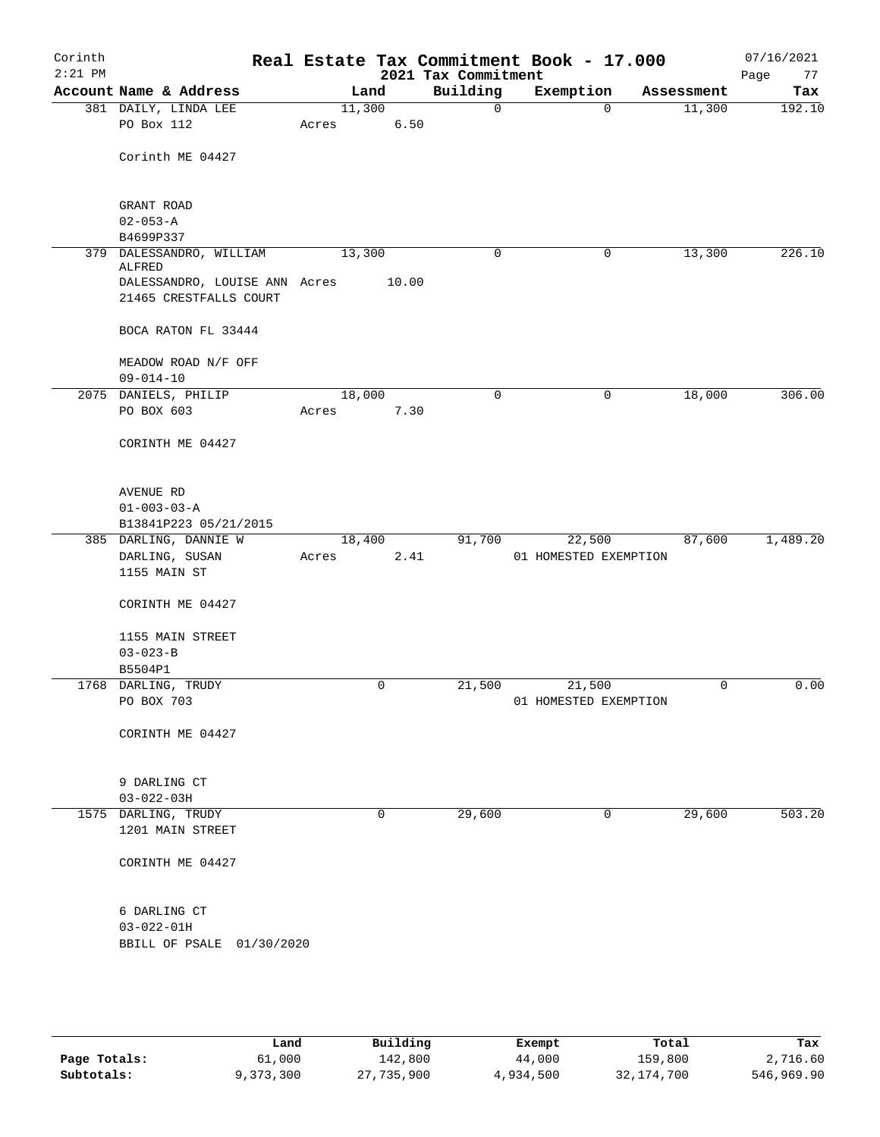| Corinth<br>$2:21$ PM |                                         |        |        | 2021 Tax Commitment | Real Estate Tax Commitment Book - 17.000 |            | 07/16/2021<br>Page<br>77 |
|----------------------|-----------------------------------------|--------|--------|---------------------|------------------------------------------|------------|--------------------------|
|                      | Account Name & Address                  |        | Land   | Building            | Exemption                                | Assessment | Tax                      |
|                      | 381 DAILY, LINDA LEE                    |        | 11,300 | $\mathbf 0$         | $\mathbf 0$                              | 11,300     | 192.10                   |
|                      | PO Box 112                              | Acres  | 6.50   |                     |                                          |            |                          |
|                      |                                         |        |        |                     |                                          |            |                          |
|                      | Corinth ME 04427                        |        |        |                     |                                          |            |                          |
|                      |                                         |        |        |                     |                                          |            |                          |
|                      | GRANT ROAD                              |        |        |                     |                                          |            |                          |
|                      | $02 - 053 - A$                          |        |        |                     |                                          |            |                          |
|                      | B4699P337                               |        |        |                     |                                          |            |                          |
|                      | 379 DALESSANDRO, WILLIAM                | 13,300 |        | 0                   | 0                                        | 13,300     | 226.10                   |
|                      | ALFRED<br>DALESSANDRO, LOUISE ANN Acres |        | 10.00  |                     |                                          |            |                          |
|                      | 21465 CRESTFALLS COURT                  |        |        |                     |                                          |            |                          |
|                      |                                         |        |        |                     |                                          |            |                          |
|                      | BOCA RATON FL 33444                     |        |        |                     |                                          |            |                          |
|                      |                                         |        |        |                     |                                          |            |                          |
|                      | MEADOW ROAD N/F OFF                     |        |        |                     |                                          |            |                          |
|                      | $09 - 014 - 10$                         |        |        |                     |                                          |            |                          |
|                      | 2075 DANIELS, PHILIP                    |        | 18,000 | 0                   | $\mathbf 0$                              | 18,000     | 306.00                   |
|                      | PO BOX 603                              | Acres  | 7.30   |                     |                                          |            |                          |
|                      | CORINTH ME 04427                        |        |        |                     |                                          |            |                          |
|                      |                                         |        |        |                     |                                          |            |                          |
|                      |                                         |        |        |                     |                                          |            |                          |
|                      | AVENUE RD                               |        |        |                     |                                          |            |                          |
|                      | $01 - 003 - 03 - A$                     |        |        |                     |                                          |            |                          |
|                      | B13841P223 05/21/2015                   |        |        |                     |                                          |            |                          |
|                      | 385 DARLING, DANNIE W                   |        | 18,400 | 91,700              | 22,500                                   | 87,600     | 1,489.20                 |
|                      | DARLING, SUSAN                          | Acres  | 2.41   |                     | 01 HOMESTED EXEMPTION                    |            |                          |
|                      | 1155 MAIN ST                            |        |        |                     |                                          |            |                          |
|                      |                                         |        |        |                     |                                          |            |                          |
|                      | CORINTH ME 04427                        |        |        |                     |                                          |            |                          |
|                      | 1155 MAIN STREET                        |        |        |                     |                                          |            |                          |
|                      | $03 - 023 - B$                          |        |        |                     |                                          |            |                          |
|                      | B5504P1                                 |        |        |                     |                                          |            |                          |
|                      | 1768 DARLING, TRUDY                     |        | 0      | 21,500              | 21,500                                   | 0          | 0.00                     |
|                      | PO BOX 703                              |        |        |                     | 01 HOMESTED EXEMPTION                    |            |                          |
|                      |                                         |        |        |                     |                                          |            |                          |
|                      | CORINTH ME 04427                        |        |        |                     |                                          |            |                          |
|                      |                                         |        |        |                     |                                          |            |                          |
|                      | 9 DARLING CT                            |        |        |                     |                                          |            |                          |
|                      | $03 - 022 - 03H$                        |        |        |                     |                                          |            |                          |
|                      | 1575 DARLING, TRUDY                     |        | 0      | 29,600              | 0                                        | 29,600     | 503.20                   |
|                      | 1201 MAIN STREET                        |        |        |                     |                                          |            |                          |
|                      |                                         |        |        |                     |                                          |            |                          |
|                      | CORINTH ME 04427                        |        |        |                     |                                          |            |                          |
|                      |                                         |        |        |                     |                                          |            |                          |
|                      |                                         |        |        |                     |                                          |            |                          |
|                      | 6 DARLING CT                            |        |        |                     |                                          |            |                          |
|                      | $03 - 022 - 01H$                        |        |        |                     |                                          |            |                          |
|                      | BBILL OF PSALE 01/30/2020               |        |        |                     |                                          |            |                          |
|                      |                                         |        |        |                     |                                          |            |                          |
|                      |                                         |        |        |                     |                                          |            |                          |
|                      |                                         |        |        |                     |                                          |            |                          |

|              | Land      | Building   | Exempt    | Total      | Tax        |
|--------------|-----------|------------|-----------|------------|------------|
| Page Totals: | 61,000    | 142,800    | 44,000    | 159,800    | 2,716.60   |
| Subtotals:   | 9,373,300 | 27,735,900 | 4,934,500 | 32,174,700 | 546,969.90 |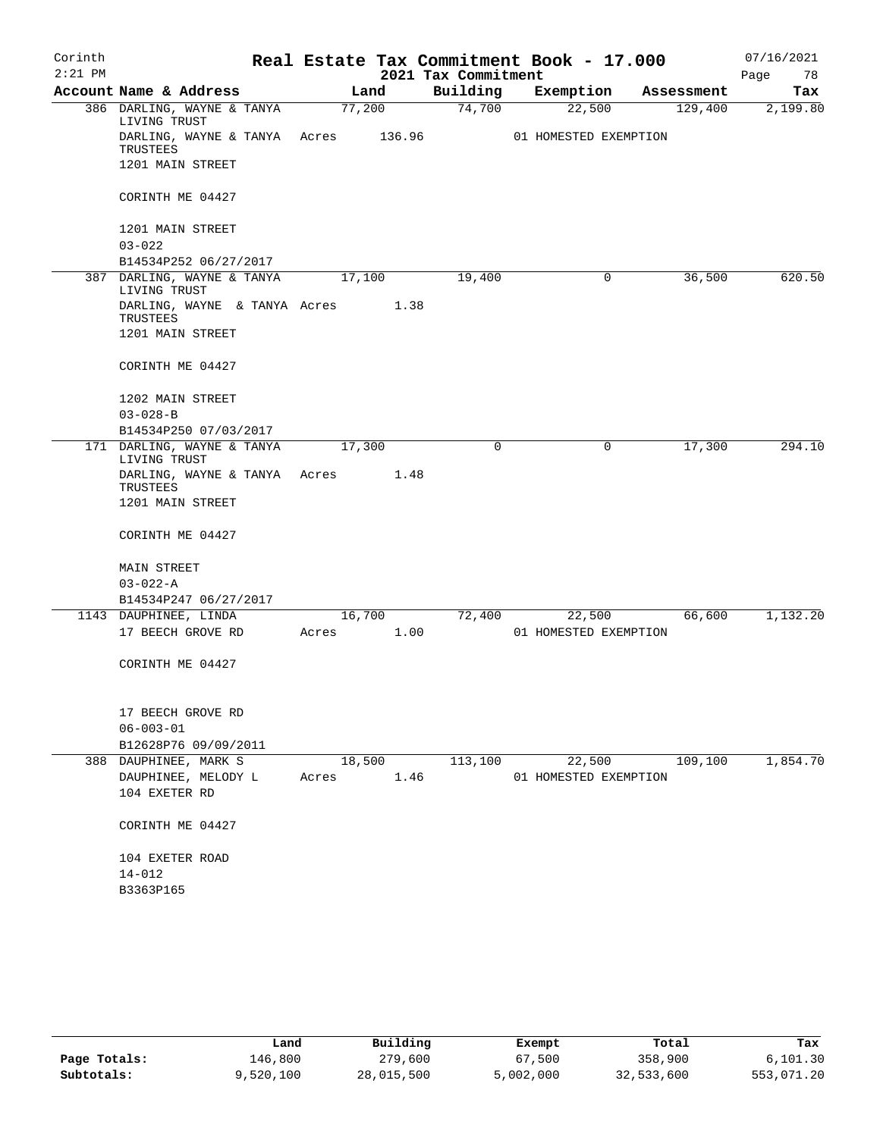| Corinth   |                                            |       |        | Real Estate Tax Commitment Book - 17.000 |                       |   |            | 07/16/2021 |
|-----------|--------------------------------------------|-------|--------|------------------------------------------|-----------------------|---|------------|------------|
| $2:21$ PM |                                            |       |        | 2021 Tax Commitment                      |                       |   |            | Page<br>78 |
|           | Account Name & Address                     |       | Land   | Building                                 | Exemption             |   | Assessment | Tax        |
|           | 386 DARLING, WAYNE & TANYA<br>LIVING TRUST |       | 77,200 | 74,700                                   | 22,500                |   | 129,400    | 2,199.80   |
|           | DARLING, WAYNE & TANYA Acres<br>TRUSTEES   |       | 136.96 |                                          | 01 HOMESTED EXEMPTION |   |            |            |
|           | 1201 MAIN STREET                           |       |        |                                          |                       |   |            |            |
|           | CORINTH ME 04427                           |       |        |                                          |                       |   |            |            |
|           | 1201 MAIN STREET                           |       |        |                                          |                       |   |            |            |
|           | $03 - 022$<br>B14534P252 06/27/2017        |       |        |                                          |                       |   |            |            |
|           | 387 DARLING, WAYNE & TANYA                 |       | 17,100 | 19,400                                   |                       | 0 | 36,500     | 620.50     |
|           | LIVING TRUST                               |       |        |                                          |                       |   |            |            |
|           | DARLING, WAYNE & TANYA Acres<br>TRUSTEES   |       | 1.38   |                                          |                       |   |            |            |
|           | 1201 MAIN STREET                           |       |        |                                          |                       |   |            |            |
|           | CORINTH ME 04427                           |       |        |                                          |                       |   |            |            |
|           | 1202 MAIN STREET                           |       |        |                                          |                       |   |            |            |
|           | $03 - 028 - B$                             |       |        |                                          |                       |   |            |            |
|           | B14534P250 07/03/2017                      |       |        |                                          |                       |   |            |            |
|           | 171 DARLING, WAYNE & TANYA<br>LIVING TRUST |       | 17,300 | 0                                        |                       | 0 | 17,300     | 294.10     |
|           | DARLING, WAYNE & TANYA Acres<br>TRUSTEES   |       | 1.48   |                                          |                       |   |            |            |
|           | 1201 MAIN STREET                           |       |        |                                          |                       |   |            |            |
|           | CORINTH ME 04427                           |       |        |                                          |                       |   |            |            |
|           | <b>MAIN STREET</b>                         |       |        |                                          |                       |   |            |            |
|           | $03 - 022 - A$                             |       |        |                                          |                       |   |            |            |
|           | B14534P247 06/27/2017                      |       |        |                                          |                       |   |            |            |
|           | 1143 DAUPHINEE, LINDA<br>17 BEECH GROVE RD | Acres | 16,700 | 72,400                                   | 22,500                |   | 66,600     | 1,132.20   |
|           |                                            |       | 1.00   |                                          | 01 HOMESTED EXEMPTION |   |            |            |
|           | CORINTH ME 04427                           |       |        |                                          |                       |   |            |            |
|           | 17 BEECH GROVE RD                          |       |        |                                          |                       |   |            |            |
|           | $06 - 003 - 01$                            |       |        |                                          |                       |   |            |            |
|           | B12628P76 09/09/2011                       |       |        |                                          |                       |   |            |            |
|           | 388 DAUPHINEE, MARK S                      |       | 18,500 | 113,100                                  | 22,500                |   | 109,100    | 1,854.70   |
|           | DAUPHINEE, MELODY L<br>104 EXETER RD       | Acres | 1.46   |                                          | 01 HOMESTED EXEMPTION |   |            |            |
|           | CORINTH ME 04427                           |       |        |                                          |                       |   |            |            |
|           | 104 EXETER ROAD                            |       |        |                                          |                       |   |            |            |
|           | 14-012                                     |       |        |                                          |                       |   |            |            |
|           | B3363P165                                  |       |        |                                          |                       |   |            |            |

|              | Land      | Building   | Exempt    | Total      | Tax        |
|--------------|-----------|------------|-----------|------------|------------|
| Page Totals: | 146,800   | 279,600    | 67,500    | 358,900    | 6,101.30   |
| Subtotals:   | 9,520,100 | 28,015,500 | 5,002,000 | 32,533,600 | 553,071.20 |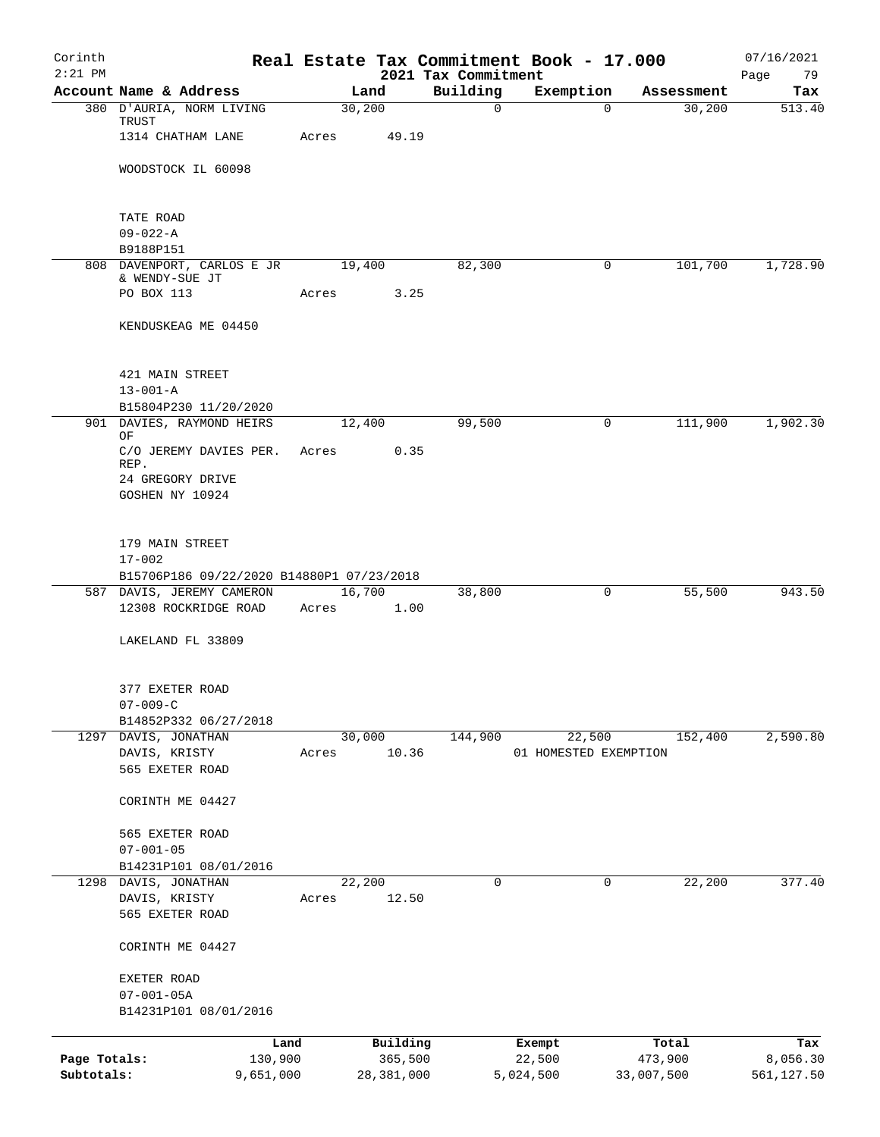| Corinth<br>$2:21$ PM       |                                                         |        |                       | Real Estate Tax Commitment Book - 17.000 |                       |                       |            | 07/16/2021             |
|----------------------------|---------------------------------------------------------|--------|-----------------------|------------------------------------------|-----------------------|-----------------------|------------|------------------------|
|                            | Account Name & Address                                  |        | Land                  | 2021 Tax Commitment<br>Building          | Exemption             |                       | Assessment | Page<br>79<br>Tax      |
|                            | 380 D'AURIA, NORM LIVING<br>TRUST                       | 30,200 |                       | $\mathbf 0$                              |                       | $\Omega$              | 30,200     | 513.40                 |
|                            | 1314 CHATHAM LANE                                       | Acres  | 49.19                 |                                          |                       |                       |            |                        |
|                            | WOODSTOCK IL 60098                                      |        |                       |                                          |                       |                       |            |                        |
|                            | TATE ROAD                                               |        |                       |                                          |                       |                       |            |                        |
|                            | $09 - 022 - A$<br>B9188P151                             |        |                       |                                          |                       |                       |            |                        |
|                            | 808 DAVENPORT, CARLOS E JR                              | 19,400 |                       | 82,300                                   |                       | 0                     | 101,700    | 1,728.90               |
|                            | & WENDY-SUE JT                                          |        |                       |                                          |                       |                       |            |                        |
|                            | PO BOX 113                                              | Acres  | 3.25                  |                                          |                       |                       |            |                        |
|                            | KENDUSKEAG ME 04450                                     |        |                       |                                          |                       |                       |            |                        |
|                            | 421 MAIN STREET                                         |        |                       |                                          |                       |                       |            |                        |
|                            | $13 - 001 - A$                                          |        |                       |                                          |                       |                       |            |                        |
|                            | B15804P230 11/20/2020<br>901 DAVIES, RAYMOND HEIRS      |        | 12,400                | 99,500                                   |                       | 0                     | 111,900    | 1,902.30               |
|                            | ΟF                                                      |        |                       |                                          |                       |                       |            |                        |
|                            | C/O JEREMY DAVIES PER.<br>REP.                          | Acres  | 0.35                  |                                          |                       |                       |            |                        |
|                            | 24 GREGORY DRIVE                                        |        |                       |                                          |                       |                       |            |                        |
|                            | GOSHEN NY 10924                                         |        |                       |                                          |                       |                       |            |                        |
|                            | 179 MAIN STREET                                         |        |                       |                                          |                       |                       |            |                        |
|                            | $17 - 002$<br>B15706P186 09/22/2020 B14880P1 07/23/2018 |        |                       |                                          |                       |                       |            |                        |
|                            | 587 DAVIS, JEREMY CAMERON                               |        | 16,700                | 38,800                                   |                       | 0                     | 55,500     | 943.50                 |
|                            | 12308 ROCKRIDGE ROAD                                    | Acres  | 1.00                  |                                          |                       |                       |            |                        |
|                            | LAKELAND FL 33809                                       |        |                       |                                          |                       |                       |            |                        |
|                            | 377 EXETER ROAD                                         |        |                       |                                          |                       |                       |            |                        |
|                            | $07 - 009 - C$                                          |        |                       |                                          |                       |                       |            |                        |
|                            | B14852P332 06/27/2018<br>1297 DAVIS, JONATHAN           | 30,000 |                       | 144,900                                  | 22,500                |                       | 152,400    | 2,590.80               |
|                            | DAVIS, KRISTY                                           | Acres  | 10.36                 |                                          | 01 HOMESTED EXEMPTION |                       |            |                        |
|                            | 565 EXETER ROAD                                         |        |                       |                                          |                       |                       |            |                        |
|                            | CORINTH ME 04427                                        |        |                       |                                          |                       |                       |            |                        |
|                            | 565 EXETER ROAD                                         |        |                       |                                          |                       |                       |            |                        |
|                            | $07 - 001 - 05$                                         |        |                       |                                          |                       |                       |            |                        |
| 1298                       | B14231P101 08/01/2016<br>DAVIS, JONATHAN                | 22,200 |                       | 0                                        |                       | 0                     | 22,200     | 377.40                 |
|                            | DAVIS, KRISTY                                           | Acres  | 12.50                 |                                          |                       |                       |            |                        |
|                            | 565 EXETER ROAD                                         |        |                       |                                          |                       |                       |            |                        |
|                            | CORINTH ME 04427                                        |        |                       |                                          |                       |                       |            |                        |
|                            | EXETER ROAD                                             |        |                       |                                          |                       |                       |            |                        |
|                            | $07 - 001 - 05A$                                        |        |                       |                                          |                       |                       |            |                        |
|                            | B14231P101 08/01/2016                                   |        |                       |                                          |                       |                       |            |                        |
|                            | Land                                                    |        | Building              |                                          | Exempt                |                       | Total      | Tax                    |
| Page Totals:<br>Subtotals: | 130,900<br>9,651,000                                    |        | 365,500<br>28,381,000 |                                          | 22,500<br>5,024,500   | 473,900<br>33,007,500 |            | 8,056.30<br>561,127.50 |
|                            |                                                         |        |                       |                                          |                       |                       |            |                        |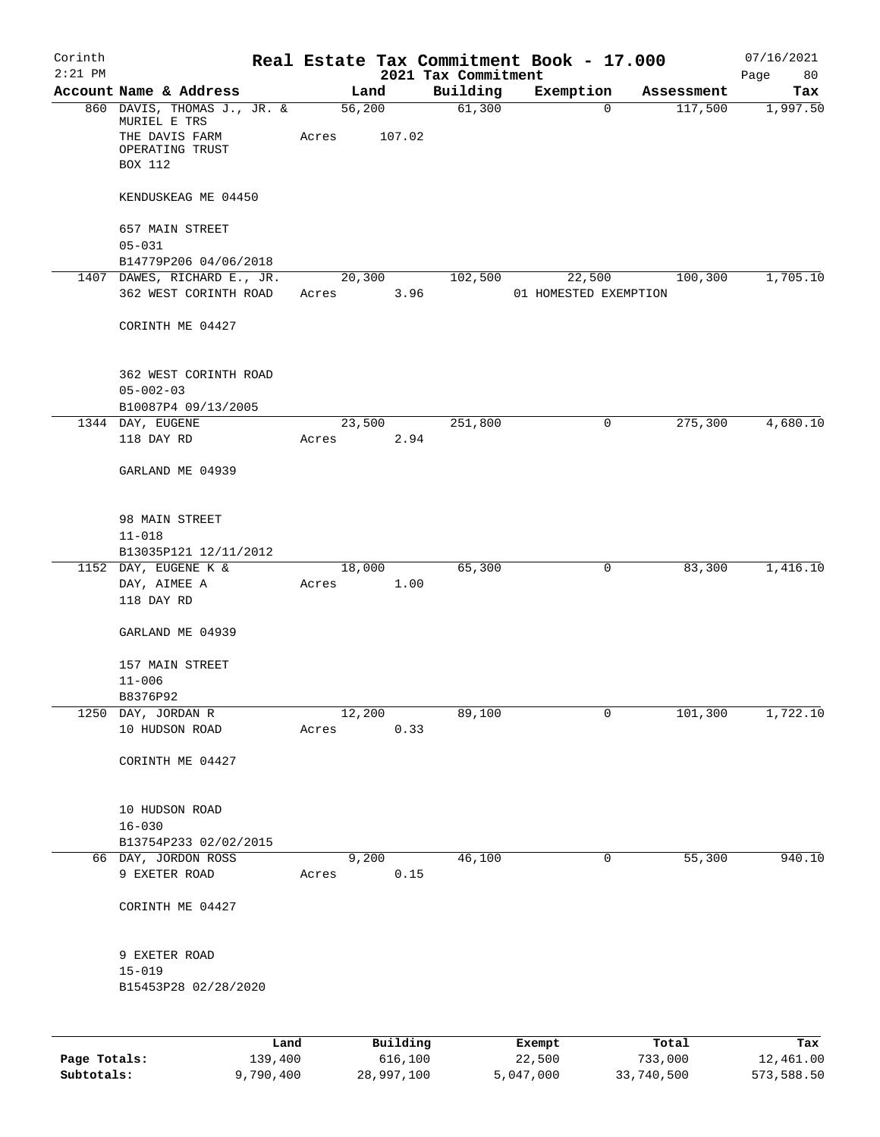| Corinth<br>$2:21$ PM |                                                                                             |                 |       |                     |      | Real Estate Tax Commitment Book - 17.000<br>2021 Tax Commitment |                       |             |                  | 07/16/2021<br>80<br>Page |
|----------------------|---------------------------------------------------------------------------------------------|-----------------|-------|---------------------|------|-----------------------------------------------------------------|-----------------------|-------------|------------------|--------------------------|
|                      | Account Name & Address                                                                      |                 |       | Land                |      | Building                                                        | Exemption             |             | Assessment       | Tax                      |
|                      | 860 DAVIS, THOMAS J., JR. &<br>MURIEL E TRS<br>THE DAVIS FARM<br>OPERATING TRUST<br>BOX 112 |                 | Acres | 56,200<br>107.02    |      | 61,300                                                          |                       | 0           | 117,500          | 1,997.50                 |
|                      | KENDUSKEAG ME 04450                                                                         |                 |       |                     |      |                                                                 |                       |             |                  |                          |
|                      | 657 MAIN STREET<br>$05 - 031$                                                               |                 |       |                     |      |                                                                 |                       |             |                  |                          |
|                      | B14779P206 04/06/2018                                                                       |                 |       |                     |      |                                                                 |                       |             |                  |                          |
|                      | 1407 DAWES, RICHARD E., JR.                                                                 |                 |       | 20,300              |      | 102,500                                                         | 22,500                |             | 100,300          | 1,705.10                 |
|                      | 362 WEST CORINTH ROAD                                                                       |                 | Acres |                     | 3.96 |                                                                 | 01 HOMESTED EXEMPTION |             |                  |                          |
|                      | CORINTH ME 04427                                                                            |                 |       |                     |      |                                                                 |                       |             |                  |                          |
|                      | 362 WEST CORINTH ROAD<br>$05 - 002 - 03$<br>B10087P4 09/13/2005                             |                 |       |                     |      |                                                                 |                       |             |                  |                          |
|                      | 1344 DAY, EUGENE                                                                            |                 |       | 23,500              |      | 251,800                                                         |                       | $\mathbf 0$ | 275,300          | 4,680.10                 |
|                      | 118 DAY RD                                                                                  |                 | Acres |                     | 2.94 |                                                                 |                       |             |                  |                          |
|                      | GARLAND ME 04939                                                                            |                 |       |                     |      |                                                                 |                       |             |                  |                          |
|                      | 98 MAIN STREET<br>$11 - 018$                                                                |                 |       |                     |      |                                                                 |                       |             |                  |                          |
|                      | B13035P121 12/11/2012<br>1152 DAY, EUGENE K &                                               |                 |       | 18,000              |      | 65,300                                                          |                       | 0           | 83,300           | 1,416.10                 |
|                      | DAY, AIMEE A<br>118 DAY RD                                                                  |                 | Acres |                     | 1.00 |                                                                 |                       |             |                  |                          |
|                      | GARLAND ME 04939                                                                            |                 |       |                     |      |                                                                 |                       |             |                  |                          |
|                      | 157 MAIN STREET                                                                             |                 |       |                     |      |                                                                 |                       |             |                  |                          |
|                      | $11 - 006$                                                                                  |                 |       |                     |      |                                                                 |                       |             |                  |                          |
|                      | B8376P92                                                                                    |                 |       |                     |      |                                                                 |                       |             |                  |                          |
|                      | 1250 DAY, JORDAN R<br>10 HUDSON ROAD                                                        |                 | Acres | 12,200              | 0.33 | 89,100                                                          |                       | 0           | 101,300          | 1,722.10                 |
|                      | CORINTH ME 04427                                                                            |                 |       |                     |      |                                                                 |                       |             |                  |                          |
|                      | 10 HUDSON ROAD<br>$16 - 030$                                                                |                 |       |                     |      |                                                                 |                       |             |                  |                          |
|                      | B13754P233 02/02/2015                                                                       |                 |       |                     |      |                                                                 |                       |             |                  |                          |
|                      | 66 DAY, JORDON ROSS                                                                         |                 |       | 9,200               |      | 46,100                                                          |                       | $\mathbf 0$ | 55,300           | 940.10                   |
|                      | 9 EXETER ROAD                                                                               |                 | Acres |                     | 0.15 |                                                                 |                       |             |                  |                          |
|                      | CORINTH ME 04427                                                                            |                 |       |                     |      |                                                                 |                       |             |                  |                          |
|                      | 9 EXETER ROAD<br>$15 - 019$<br>B15453P28 02/28/2020                                         |                 |       |                     |      |                                                                 |                       |             |                  |                          |
|                      |                                                                                             |                 |       |                     |      |                                                                 |                       |             |                  |                          |
| Page Totals:         |                                                                                             | Land<br>139,400 |       | Building<br>616,100 |      |                                                                 | Exempt<br>22,500      |             | Total<br>733,000 | Tax<br>12,461.00         |

**Subtotals:** 9,790,400 28,997,100 5,047,000 33,740,500 573,588.50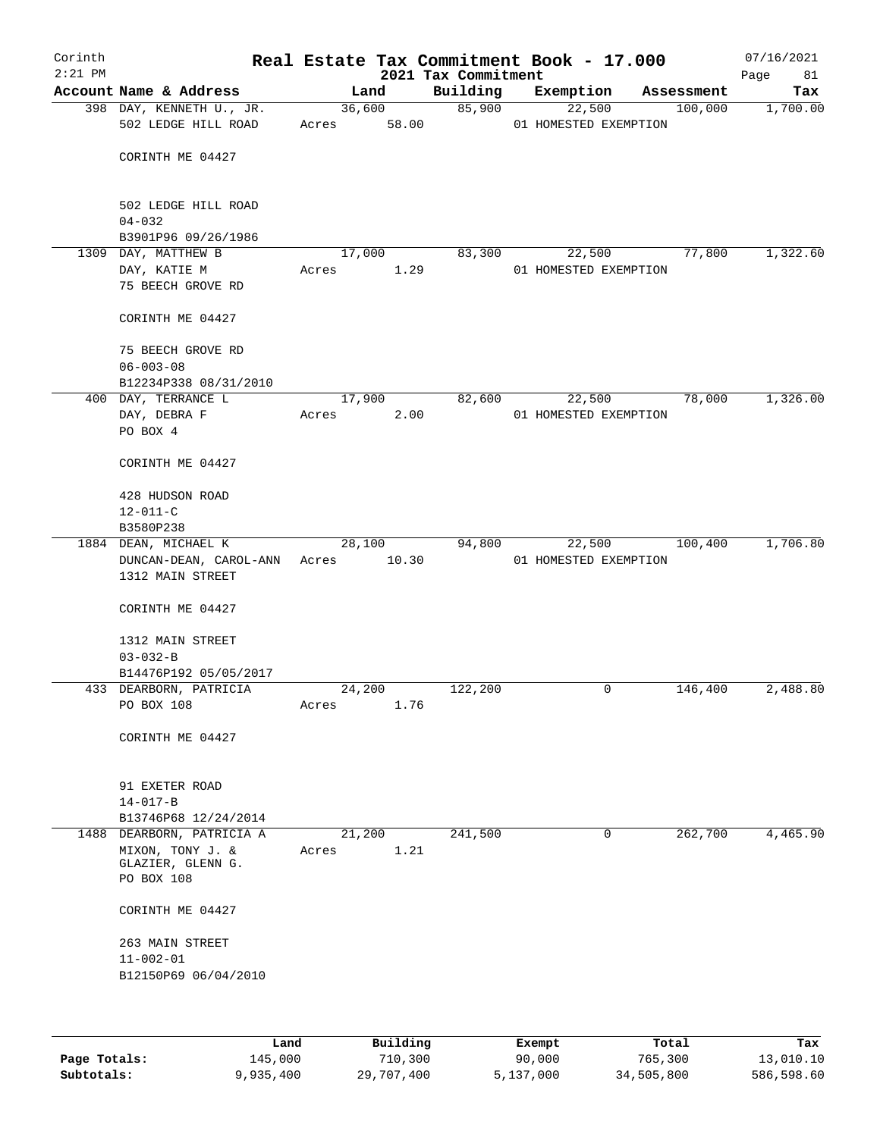| Corinth<br>$2:21$ PM |                                                                                  |                 |        | 2021 Tax Commitment | Real Estate Tax Commitment Book - 17.000 |                    | 07/16/2021<br>Page<br>81 |
|----------------------|----------------------------------------------------------------------------------|-----------------|--------|---------------------|------------------------------------------|--------------------|--------------------------|
|                      | Account Name & Address                                                           |                 | Land   | Building            | Exemption                                | Assessment         | Tax                      |
|                      | 398 DAY, KENNETH U., JR.<br>502 LEDGE HILL ROAD                                  | Acres 58.00     | 36,600 | 85,900              | 22,500<br>01 HOMESTED EXEMPTION          | 100,000            | 1,700.00                 |
|                      | CORINTH ME 04427                                                                 |                 |        |                     |                                          |                    |                          |
|                      | 502 LEDGE HILL ROAD<br>$04 - 032$<br>B3901P96 09/26/1986                         |                 |        |                     |                                          |                    |                          |
|                      | 1309 DAY, MATTHEW B                                                              |                 | 17,000 | 83,300              | 22,500                                   | 77,800             | 1,322.60                 |
|                      | DAY, KATIE M<br>75 BEECH GROVE RD                                                | Acres           | 1.29   |                     | 01 HOMESTED EXEMPTION                    |                    |                          |
|                      | CORINTH ME 04427                                                                 |                 |        |                     |                                          |                    |                          |
|                      | 75 BEECH GROVE RD<br>$06 - 003 - 08$<br>B12234P338 08/31/2010                    |                 |        |                     |                                          |                    |                          |
|                      | 400 DAY, TERRANCE L                                                              |                 | 17,900 | 82,600              | 22,500                                   | 78,000             | 1,326.00                 |
|                      | DAY, DEBRA F                                                                     | Acres           | 2.00   |                     | 01 HOMESTED EXEMPTION                    |                    |                          |
|                      | PO BOX 4                                                                         |                 |        |                     |                                          |                    |                          |
|                      | CORINTH ME 04427                                                                 |                 |        |                     |                                          |                    |                          |
|                      | 428 HUDSON ROAD                                                                  |                 |        |                     |                                          |                    |                          |
|                      | $12 - 011 - C$<br>B3580P238                                                      |                 |        |                     |                                          |                    |                          |
|                      | 1884 DEAN, MICHAEL K                                                             |                 | 28,100 | 94,800              |                                          | $22,500$ $100,400$ | 1,706.80                 |
|                      | DUNCAN-DEAN, CAROL-ANN Acres 10.30<br>1312 MAIN STREET                           |                 |        |                     | 01 HOMESTED EXEMPTION                    |                    |                          |
|                      | CORINTH ME 04427                                                                 |                 |        |                     |                                          |                    |                          |
|                      | 1312 MAIN STREET<br>$03 - 032 - B$                                               |                 |        |                     |                                          |                    |                          |
|                      | B14476P192 05/05/2017                                                            |                 |        |                     |                                          |                    |                          |
|                      | 433 DEARBORN, PATRICIA                                                           | 24,200          |        | 122,200             | 0                                        | 146,400            | 2,488.80                 |
|                      | PO BOX 108                                                                       | Acres           | 1.76   |                     |                                          |                    |                          |
|                      | CORINTH ME 04427                                                                 |                 |        |                     |                                          |                    |                          |
|                      | 91 EXETER ROAD<br>$14 - 017 - B$                                                 |                 |        |                     |                                          |                    |                          |
|                      | B13746P68 12/24/2014                                                             |                 |        |                     |                                          |                    |                          |
|                      | 1488 DEARBORN, PATRICIA A<br>MIXON, TONY J. &<br>GLAZIER, GLENN G.<br>PO BOX 108 | 21,200<br>Acres | 1.21   | 241,500             | 0                                        | 262,700            | 4,465.90                 |
|                      | CORINTH ME 04427                                                                 |                 |        |                     |                                          |                    |                          |
|                      | 263 MAIN STREET<br>$11 - 002 - 01$<br>B12150P69 06/04/2010                       |                 |        |                     |                                          |                    |                          |
|                      |                                                                                  |                 |        |                     |                                          |                    |                          |

|              | Land      | Building   | Exempt    | Total      | Tax        |
|--------------|-----------|------------|-----------|------------|------------|
| Page Totals: | 145,000   | 710,300    | 90,000    | 765,300    | 13,010.10  |
| Subtotals:   | 9,935,400 | 29,707,400 | 5,137,000 | 34,505,800 | 586,598.60 |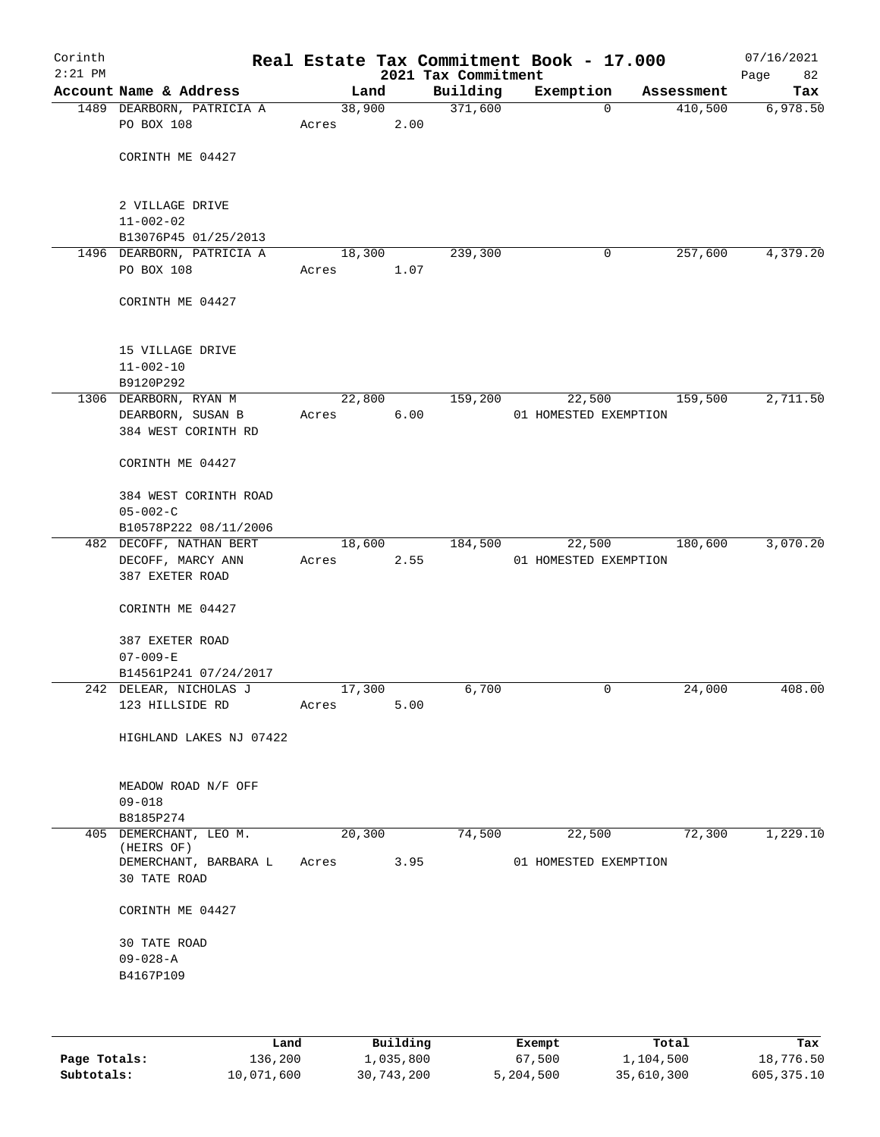| Corinth<br>$2:21$ PM |                                         |                 |      | 2021 Tax Commitment | Real Estate Tax Commitment Book - 17.000 |            | 07/16/2021<br>82<br>Page |
|----------------------|-----------------------------------------|-----------------|------|---------------------|------------------------------------------|------------|--------------------------|
|                      | Account Name & Address                  | Land            |      | Building            | Exemption                                | Assessment | Tax                      |
|                      | 1489 DEARBORN, PATRICIA A               | 38,900          |      | 371,600             | $\Omega$                                 | 410,500    | 6,978.50                 |
|                      | PO BOX 108                              | Acres           | 2.00 |                     |                                          |            |                          |
|                      |                                         |                 |      |                     |                                          |            |                          |
|                      | CORINTH ME 04427                        |                 |      |                     |                                          |            |                          |
|                      |                                         |                 |      |                     |                                          |            |                          |
|                      | 2 VILLAGE DRIVE                         |                 |      |                     |                                          |            |                          |
|                      | $11 - 002 - 02$                         |                 |      |                     |                                          |            |                          |
|                      | B13076P45 01/25/2013                    |                 |      |                     |                                          |            |                          |
|                      | 1496 DEARBORN, PATRICIA A<br>PO BOX 108 | 18,300<br>Acres | 1.07 | 239,300             | 0                                        | 257,600    | 4,379.20                 |
|                      |                                         |                 |      |                     |                                          |            |                          |
|                      | CORINTH ME 04427                        |                 |      |                     |                                          |            |                          |
|                      | 15 VILLAGE DRIVE                        |                 |      |                     |                                          |            |                          |
|                      | $11 - 002 - 10$                         |                 |      |                     |                                          |            |                          |
|                      | B9120P292                               |                 |      |                     |                                          |            |                          |
|                      | 1306 DEARBORN, RYAN M                   | 22,800          |      | 159,200             | 22,500                                   | 159,500    | 2,711.50                 |
|                      | DEARBORN, SUSAN B                       | Acres           | 6.00 |                     | 01 HOMESTED EXEMPTION                    |            |                          |
|                      | 384 WEST CORINTH RD                     |                 |      |                     |                                          |            |                          |
|                      | CORINTH ME 04427                        |                 |      |                     |                                          |            |                          |
|                      | 384 WEST CORINTH ROAD                   |                 |      |                     |                                          |            |                          |
|                      | $05 - 002 - C$                          |                 |      |                     |                                          |            |                          |
|                      | B10578P222 08/11/2006                   |                 |      |                     |                                          |            |                          |
|                      | 482 DECOFF, NATHAN BERT                 | 18,600          | 2.55 | 184,500             | 22,500                                   | 180,600    | 3,070.20                 |
|                      | DECOFF, MARCY ANN<br>387 EXETER ROAD    | Acres           |      |                     | 01 HOMESTED EXEMPTION                    |            |                          |
|                      |                                         |                 |      |                     |                                          |            |                          |
|                      | CORINTH ME 04427                        |                 |      |                     |                                          |            |                          |
|                      | 387 EXETER ROAD                         |                 |      |                     |                                          |            |                          |
|                      | $07 - 009 - E$                          |                 |      |                     |                                          |            |                          |
|                      | B14561P241 07/24/2017                   |                 |      |                     |                                          |            |                          |
|                      | 242 DELEAR, NICHOLAS J                  | 17,300          |      | 6,700               | 0                                        | 24,000     | 408.00                   |
|                      | 123 HILLSIDE RD                         | Acres           | 5.00 |                     |                                          |            |                          |
|                      | HIGHLAND LAKES NJ 07422                 |                 |      |                     |                                          |            |                          |
|                      | MEADOW ROAD N/F OFF                     |                 |      |                     |                                          |            |                          |
|                      | $09 - 018$                              |                 |      |                     |                                          |            |                          |
|                      | B8185P274                               |                 |      |                     |                                          |            |                          |
|                      | 405 DEMERCHANT, LEO M.                  | 20,300          |      | 74,500              | 22,500                                   | 72,300     | 1,229.10                 |
|                      | (HEIRS OF)<br>DEMERCHANT, BARBARA L     | Acres           | 3.95 |                     | 01 HOMESTED EXEMPTION                    |            |                          |
|                      | 30 TATE ROAD                            |                 |      |                     |                                          |            |                          |
|                      | CORINTH ME 04427                        |                 |      |                     |                                          |            |                          |
|                      | <b>30 TATE ROAD</b>                     |                 |      |                     |                                          |            |                          |
|                      | $09 - 028 - A$                          |                 |      |                     |                                          |            |                          |
|                      | B4167P109                               |                 |      |                     |                                          |            |                          |
|                      |                                         |                 |      |                     |                                          |            |                          |
|                      |                                         |                 |      |                     |                                          |            |                          |
|                      |                                         |                 |      |                     |                                          |            |                          |

|              | Land       | Building   | Exempt    | Total      | Tax        |
|--------------|------------|------------|-----------|------------|------------|
| Page Totals: | 136,200    | 1,035,800  | 67,500    | 1,104,500  | 18,776.50  |
| Subtotals:   | 10,071,600 | 30,743,200 | 5,204,500 | 35,610,300 | 605,375.10 |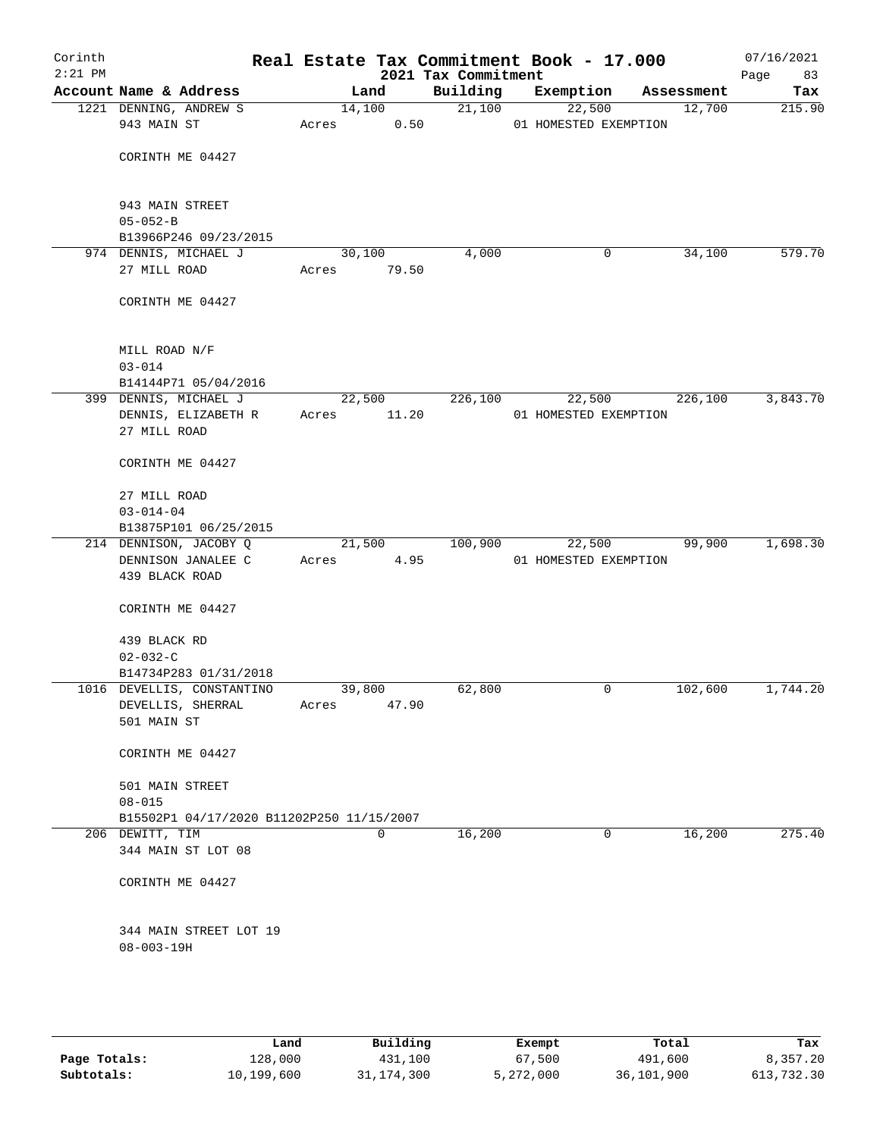| Corinth<br>$2:21$ PM |                                      |                                           |       |                | 2021 Tax Commitment | Real Estate Tax Commitment Book - 17.000 |            | 07/16/2021<br>Page<br>83 |
|----------------------|--------------------------------------|-------------------------------------------|-------|----------------|---------------------|------------------------------------------|------------|--------------------------|
|                      | Account Name & Address               |                                           |       | Land           | Building            | Exemption                                | Assessment | Tax                      |
|                      | 1221 DENNING, ANDREW S               |                                           |       | 14,100         | 21,100              | 22,500                                   | 12,700     | 215.90                   |
|                      | 943 MAIN ST                          |                                           | Acres | 0.50           |                     | 01 HOMESTED EXEMPTION                    |            |                          |
|                      |                                      |                                           |       |                |                     |                                          |            |                          |
|                      | CORINTH ME 04427                     |                                           |       |                |                     |                                          |            |                          |
|                      |                                      |                                           |       |                |                     |                                          |            |                          |
|                      | 943 MAIN STREET                      |                                           |       |                |                     |                                          |            |                          |
|                      | $05 - 052 - B$                       |                                           |       |                |                     |                                          |            |                          |
|                      | B13966P246 09/23/2015                |                                           |       |                |                     |                                          |            |                          |
|                      | 974 DENNIS, MICHAEL J                |                                           |       | 30,100         | 4,000               | 0                                        | 34,100     | 579.70                   |
|                      | 27 MILL ROAD                         |                                           | Acres | 79.50          |                     |                                          |            |                          |
|                      |                                      |                                           |       |                |                     |                                          |            |                          |
|                      | CORINTH ME 04427                     |                                           |       |                |                     |                                          |            |                          |
|                      | MILL ROAD N/F                        |                                           |       |                |                     |                                          |            |                          |
|                      | $03 - 014$                           |                                           |       |                |                     |                                          |            |                          |
|                      | B14144P71 05/04/2016                 |                                           |       |                |                     |                                          |            |                          |
|                      | 399 DENNIS, MICHAEL J                |                                           |       | 22,500         | 226,100             | 22,500                                   | 226,100    | 3,843.70                 |
|                      | DENNIS, ELIZABETH R                  |                                           | Acres | 11.20          |                     | 01 HOMESTED EXEMPTION                    |            |                          |
|                      | 27 MILL ROAD                         |                                           |       |                |                     |                                          |            |                          |
|                      | CORINTH ME 04427                     |                                           |       |                |                     |                                          |            |                          |
|                      |                                      |                                           |       |                |                     |                                          |            |                          |
|                      | 27 MILL ROAD                         |                                           |       |                |                     |                                          |            |                          |
|                      | $03 - 014 - 04$                      |                                           |       |                |                     |                                          |            |                          |
|                      | B13875P101 06/25/2015                |                                           |       |                |                     |                                          |            |                          |
|                      | 214 DENNISON, JACOBY Q               |                                           |       | 21,500<br>4.95 | 100,900             | 22,500                                   | 99,900     | 1,698.30                 |
|                      | DENNISON JANALEE C<br>439 BLACK ROAD |                                           | Acres |                |                     | 01 HOMESTED EXEMPTION                    |            |                          |
|                      |                                      |                                           |       |                |                     |                                          |            |                          |
|                      | CORINTH ME 04427                     |                                           |       |                |                     |                                          |            |                          |
|                      | 439 BLACK RD                         |                                           |       |                |                     |                                          |            |                          |
|                      | $02 - 032 - C$                       |                                           |       |                |                     |                                          |            |                          |
|                      | B14734P283 01/31/2018                |                                           |       |                |                     |                                          |            |                          |
|                      | 1016 DEVELLIS, CONSTANTINO           |                                           |       | 39,800         | 62,800              | 0                                        | 102,600    | 1,744.20                 |
|                      | DEVELLIS, SHERRAL                    |                                           | Acres | 47.90          |                     |                                          |            |                          |
|                      | 501 MAIN ST                          |                                           |       |                |                     |                                          |            |                          |
|                      | CORINTH ME 04427                     |                                           |       |                |                     |                                          |            |                          |
|                      | 501 MAIN STREET                      |                                           |       |                |                     |                                          |            |                          |
|                      | $08 - 015$                           |                                           |       |                |                     |                                          |            |                          |
|                      |                                      | B15502P1 04/17/2020 B11202P250 11/15/2007 |       |                |                     |                                          |            |                          |
|                      | 206 DEWITT, TIM                      |                                           |       | $\Omega$       | 16,200              | 0                                        | 16,200     | 275.40                   |
|                      | 344 MAIN ST LOT 08                   |                                           |       |                |                     |                                          |            |                          |
|                      | CORINTH ME 04427                     |                                           |       |                |                     |                                          |            |                          |
|                      |                                      | 344 MAIN STREET LOT 19                    |       |                |                     |                                          |            |                          |
|                      | $08 - 003 - 19H$                     |                                           |       |                |                     |                                          |            |                          |
|                      |                                      |                                           |       |                |                     |                                          |            |                          |
|                      |                                      |                                           |       |                |                     |                                          |            |                          |

|              | Land       | Building   | Exempt    | Total      | Tax        |
|--------------|------------|------------|-----------|------------|------------|
| Page Totals: | 128,000    | 431,100    | 67,500    | 491,600    | 8,357.20   |
| Subtotals:   | 10,199,600 | 31,174,300 | 5,272,000 | 36,101,900 | 613,732.30 |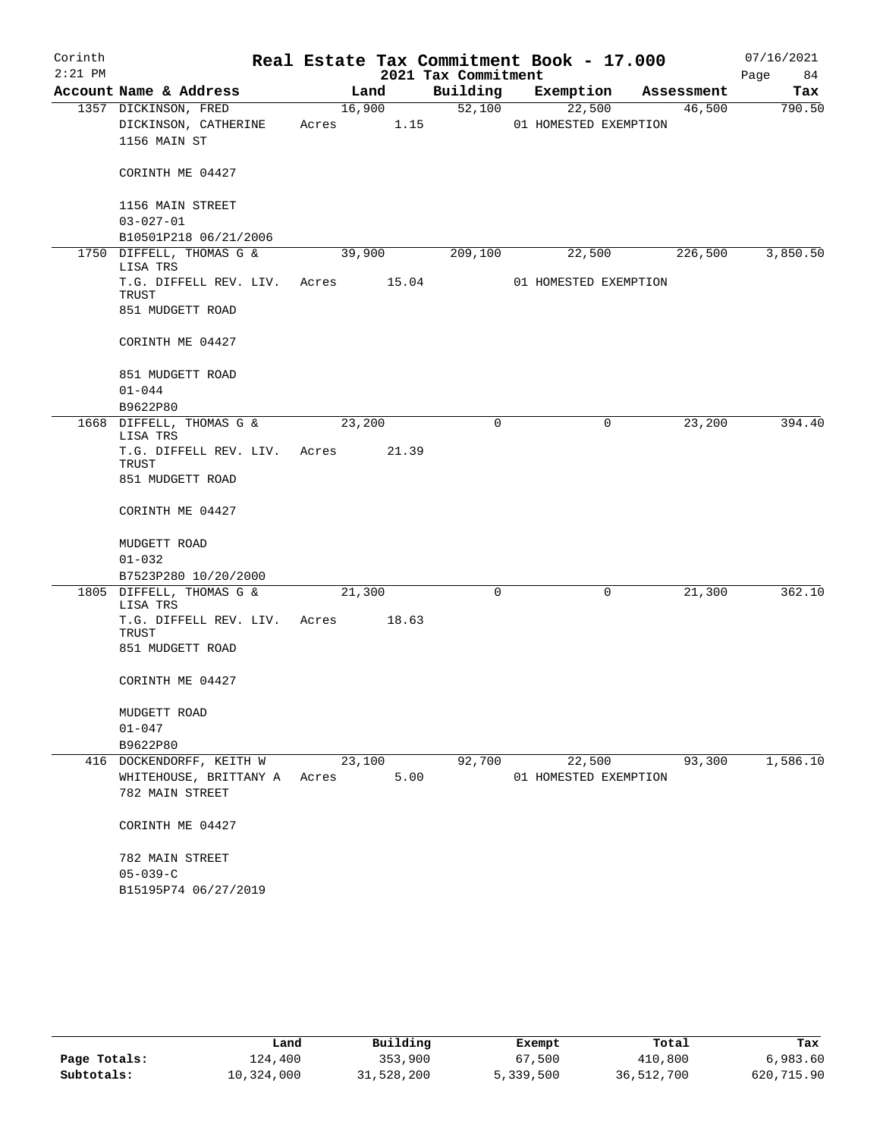| Corinth   |                                          |       |        |       | Real Estate Tax Commitment Book - 17.000 |           |                       |            | 07/16/2021 |
|-----------|------------------------------------------|-------|--------|-------|------------------------------------------|-----------|-----------------------|------------|------------|
| $2:21$ PM |                                          |       |        |       | 2021 Tax Commitment                      |           |                       |            | 84<br>Page |
|           | Account Name & Address                   |       | Land   |       | Building                                 | Exemption |                       | Assessment | Tax        |
|           | 1357 DICKINSON, FRED                     |       | 16,900 |       | 52,100                                   | 22,500    |                       | 46,500     | 790.50     |
|           | DICKINSON, CATHERINE                     | Acres |        | 1.15  |                                          |           | 01 HOMESTED EXEMPTION |            |            |
|           | 1156 MAIN ST                             |       |        |       |                                          |           |                       |            |            |
|           | CORINTH ME 04427                         |       |        |       |                                          |           |                       |            |            |
|           | 1156 MAIN STREET                         |       |        |       |                                          |           |                       |            |            |
|           | $03 - 027 - 01$<br>B10501P218 06/21/2006 |       |        |       |                                          |           |                       |            |            |
|           | 1750 DIFFELL, THOMAS G &                 |       | 39,900 |       | 209,100                                  | 22,500    |                       | 226,500    | 3,850.50   |
|           | LISA TRS                                 |       |        |       |                                          |           |                       |            |            |
|           | T.G. DIFFELL REV. LIV. Acres             |       |        | 15.04 |                                          |           | 01 HOMESTED EXEMPTION |            |            |
|           | TRUST                                    |       |        |       |                                          |           |                       |            |            |
|           | 851 MUDGETT ROAD                         |       |        |       |                                          |           |                       |            |            |
|           | CORINTH ME 04427                         |       |        |       |                                          |           |                       |            |            |
|           | 851 MUDGETT ROAD                         |       |        |       |                                          |           |                       |            |            |
|           | $01 - 044$                               |       |        |       |                                          |           |                       |            |            |
|           | B9622P80                                 |       |        |       |                                          |           |                       |            |            |
|           | 1668 DIFFELL, THOMAS G &<br>LISA TRS     |       | 23,200 |       | 0                                        |           | 0                     | 23,200     | 394.40     |
|           | T.G. DIFFELL REV. LIV.                   | Acres |        | 21.39 |                                          |           |                       |            |            |
|           | TRUST                                    |       |        |       |                                          |           |                       |            |            |
|           | 851 MUDGETT ROAD                         |       |        |       |                                          |           |                       |            |            |
|           | CORINTH ME 04427                         |       |        |       |                                          |           |                       |            |            |
|           | MUDGETT ROAD                             |       |        |       |                                          |           |                       |            |            |
|           | $01 - 032$                               |       |        |       |                                          |           |                       |            |            |
|           | B7523P280 10/20/2000                     |       |        |       |                                          |           |                       |            |            |
|           | 1805 DIFFELL, THOMAS G &<br>LISA TRS     |       | 21,300 |       | 0                                        |           | 0                     | 21,300     | 362.10     |
|           | T.G. DIFFELL REV. LIV.                   | Acres |        | 18.63 |                                          |           |                       |            |            |
|           | TRUST                                    |       |        |       |                                          |           |                       |            |            |
|           | 851 MUDGETT ROAD                         |       |        |       |                                          |           |                       |            |            |
|           | CORINTH ME 04427                         |       |        |       |                                          |           |                       |            |            |
|           | MUDGETT ROAD                             |       |        |       |                                          |           |                       |            |            |
|           | $01 - 047$                               |       |        |       |                                          |           |                       |            |            |
|           | B9622P80                                 |       |        |       |                                          |           |                       |            |            |
|           | 416 DOCKENDORFF, KEITH W                 |       | 23,100 |       | 92,700                                   | 22,500    |                       | 93,300     | 1,586.10   |
|           | WHITEHOUSE, BRITTANY A                   | Acres |        | 5.00  |                                          |           | 01 HOMESTED EXEMPTION |            |            |
|           | 782 MAIN STREET                          |       |        |       |                                          |           |                       |            |            |
|           | CORINTH ME 04427                         |       |        |       |                                          |           |                       |            |            |
|           | 782 MAIN STREET                          |       |        |       |                                          |           |                       |            |            |
|           | $05 - 039 - C$                           |       |        |       |                                          |           |                       |            |            |
|           | B15195P74 06/27/2019                     |       |        |       |                                          |           |                       |            |            |

|              | Land       | Building   | Exempt    | Total      | Tax        |
|--------------|------------|------------|-----------|------------|------------|
| Page Totals: | 124,400    | 353,900    | 67,500    | 410,800    | 6,983.60   |
| Subtotals:   | 10,324,000 | 31,528,200 | 5,339,500 | 36,512,700 | 620,715.90 |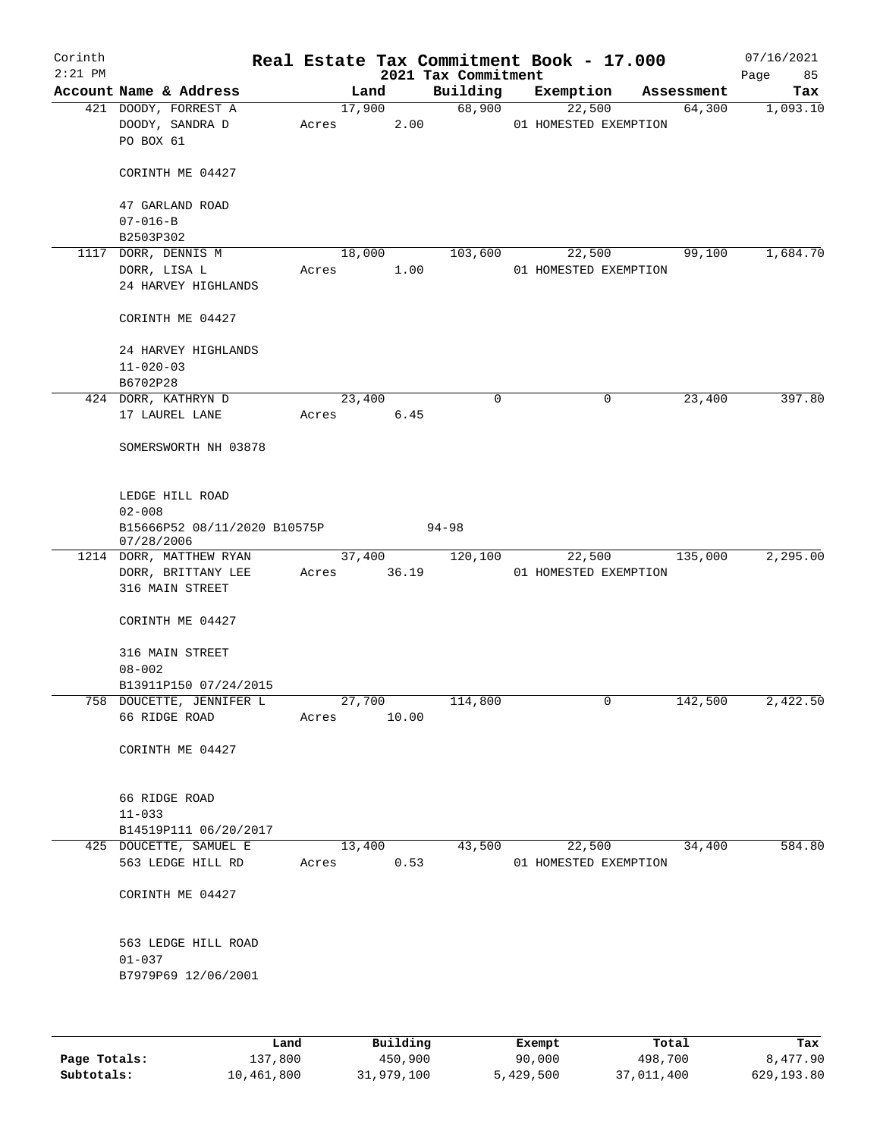| Corinth<br>$2:21$ PM |                                                          |        |        |      | Real Estate Tax Commitment Book - 17.000<br>2021 Tax Commitment |                       |                       |            | 07/16/2021<br>85<br>Page |
|----------------------|----------------------------------------------------------|--------|--------|------|-----------------------------------------------------------------|-----------------------|-----------------------|------------|--------------------------|
|                      | Account Name & Address                                   |        | Land   |      | Building                                                        | Exemption             |                       | Assessment | Tax                      |
|                      | 421 DOODY, FORREST A<br>DOODY, SANDRA D<br>PO BOX 61     | Acres  | 17,900 | 2.00 | 68,900                                                          | 22,500                | 01 HOMESTED EXEMPTION | 64,300     | 1,093.10                 |
|                      | CORINTH ME 04427                                         |        |        |      |                                                                 |                       |                       |            |                          |
|                      | 47 GARLAND ROAD<br>$07 - 016 - B$                        |        |        |      |                                                                 |                       |                       |            |                          |
|                      | B2503P302                                                |        |        |      |                                                                 |                       |                       |            |                          |
|                      | 1117 DORR, DENNIS M                                      |        | 18,000 |      | 103,600                                                         | 22,500                |                       | 99,100     | 1,684.70                 |
|                      | DORR, LISA L                                             | Acres  |        | 1.00 |                                                                 |                       | 01 HOMESTED EXEMPTION |            |                          |
|                      | 24 HARVEY HIGHLANDS                                      |        |        |      |                                                                 |                       |                       |            |                          |
|                      | CORINTH ME 04427                                         |        |        |      |                                                                 |                       |                       |            |                          |
|                      | 24 HARVEY HIGHLANDS                                      |        |        |      |                                                                 |                       |                       |            |                          |
|                      | $11 - 020 - 03$                                          |        |        |      |                                                                 |                       |                       |            |                          |
|                      | B6702P28                                                 |        |        |      |                                                                 |                       |                       |            |                          |
|                      | 424 DORR, KATHRYN D                                      | 23,400 |        |      | 0                                                               |                       | 0                     | 23,400     | 397.80                   |
|                      | 17 LAUREL LANE                                           | Acres  |        | 6.45 |                                                                 |                       |                       |            |                          |
|                      | SOMERSWORTH NH 03878                                     |        |        |      |                                                                 |                       |                       |            |                          |
|                      | LEDGE HILL ROAD                                          |        |        |      |                                                                 |                       |                       |            |                          |
|                      | $02 - 008$<br>B15666P52 08/11/2020 B10575P<br>07/28/2006 |        |        |      | $94 - 98$                                                       |                       |                       |            |                          |
|                      | 1214 DORR, MATTHEW RYAN                                  |        | 37,400 |      | 120,100                                                         | 22,500                |                       | 135,000    | 2,295.00                 |
|                      | DORR, BRITTANY LEE<br>316 MAIN STREET                    | Acres  | 36.19  |      |                                                                 | 01 HOMESTED EXEMPTION |                       |            |                          |
|                      | CORINTH ME 04427                                         |        |        |      |                                                                 |                       |                       |            |                          |
|                      | 316 MAIN STREET<br>$08 - 002$                            |        |        |      |                                                                 |                       |                       |            |                          |
|                      | B13911P150 07/24/2015                                    |        |        |      |                                                                 |                       |                       |            |                          |
|                      | 758 DOUCETTE, JENNIFER L                                 | 27,700 |        |      | 114,800                                                         |                       | $\mathsf{O}$          | 142,500    | 2,422.50                 |
|                      | 66 RIDGE ROAD                                            | Acres  | 10.00  |      |                                                                 |                       |                       |            |                          |
|                      | CORINTH ME 04427                                         |        |        |      |                                                                 |                       |                       |            |                          |
|                      | 66 RIDGE ROAD                                            |        |        |      |                                                                 |                       |                       |            |                          |
|                      | $11 - 033$                                               |        |        |      |                                                                 |                       |                       |            |                          |
|                      | B14519P111 06/20/2017                                    |        |        |      |                                                                 |                       |                       |            |                          |
|                      | 425 DOUCETTE, SAMUEL E<br>563 LEDGE HILL RD              | Acres  | 13,400 | 0.53 | 43,500                                                          | 22,500                | 01 HOMESTED EXEMPTION | 34,400     | 584.80                   |
|                      | CORINTH ME 04427                                         |        |        |      |                                                                 |                       |                       |            |                          |
|                      | 563 LEDGE HILL ROAD                                      |        |        |      |                                                                 |                       |                       |            |                          |
|                      | $01 - 037$<br>B7979P69 12/06/2001                        |        |        |      |                                                                 |                       |                       |            |                          |
|                      |                                                          |        |        |      |                                                                 |                       |                       |            |                          |

|              | Land       | Building   | Exempt    | Total      | Tax        |
|--------------|------------|------------|-----------|------------|------------|
| Page Totals: | 137,800    | 450,900    | 90,000    | 498,700    | 8,477.90   |
| Subtotals:   | 10,461,800 | 31,979,100 | 5,429,500 | 37,011,400 | 629,193.80 |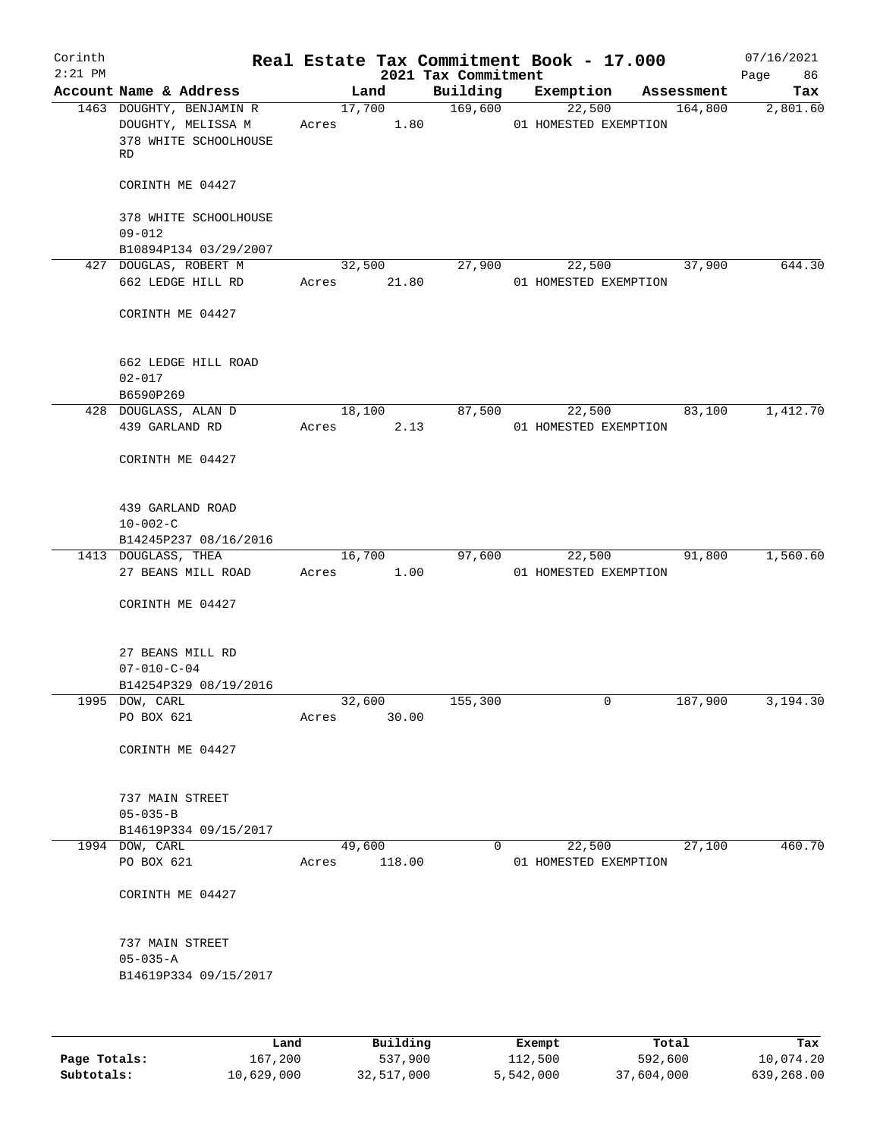| Corinth   |                                                                               |                 |                |                                 | Real Estate Tax Commitment Book - 17.000 |        |            | 07/16/2021        |
|-----------|-------------------------------------------------------------------------------|-----------------|----------------|---------------------------------|------------------------------------------|--------|------------|-------------------|
| $2:21$ PM | Account Name & Address                                                        |                 | Land           | 2021 Tax Commitment<br>Building | Exemption                                |        | Assessment | 86<br>Page<br>Tax |
|           | 1463 DOUGHTY, BENJAMIN R<br>DOUGHTY, MELISSA M<br>378 WHITE SCHOOLHOUSE<br>RD | Acres           | 17,700<br>1.80 | 169,600                         | 01 HOMESTED EXEMPTION                    | 22,500 | 164,800    | 2,801.60          |
|           | CORINTH ME 04427                                                              |                 |                |                                 |                                          |        |            |                   |
|           | 378 WHITE SCHOOLHOUSE<br>$09 - 012$                                           |                 |                |                                 |                                          |        |            |                   |
|           | B10894P134 03/29/2007                                                         |                 |                |                                 |                                          |        |            |                   |
|           | 427 DOUGLAS, ROBERT M                                                         |                 | 32,500         | 27,900                          | 22,500                                   |        | 37,900     | 644.30            |
|           | 662 LEDGE HILL RD                                                             | Acres           | 21.80          |                                 | 01 HOMESTED EXEMPTION                    |        |            |                   |
|           | CORINTH ME 04427                                                              |                 |                |                                 |                                          |        |            |                   |
|           | 662 LEDGE HILL ROAD<br>$02 - 017$                                             |                 |                |                                 |                                          |        |            |                   |
|           | B6590P269                                                                     |                 |                |                                 |                                          |        |            |                   |
|           | 428 DOUGLASS, ALAN D                                                          |                 | 18,100         | 87,500                          | 22,500                                   |        | 83,100     | 1,412.70          |
|           | 439 GARLAND RD                                                                | Acres           | 2.13           |                                 | 01 HOMESTED EXEMPTION                    |        |            |                   |
|           | CORINTH ME 04427                                                              |                 |                |                                 |                                          |        |            |                   |
|           | 439 GARLAND ROAD                                                              |                 |                |                                 |                                          |        |            |                   |
|           | $10 - 002 - C$                                                                |                 |                |                                 |                                          |        |            |                   |
|           | B14245P237 08/16/2016                                                         |                 |                |                                 |                                          |        |            |                   |
|           | 1413 DOUGLASS, THEA<br>27 BEANS MILL ROAD                                     | 16,700<br>Acres | 1.00           | 97,600                          | 22,500<br>01 HOMESTED EXEMPTION          |        | 91,800     | 1,560.60          |
|           | CORINTH ME 04427                                                              |                 |                |                                 |                                          |        |            |                   |
|           | 27 BEANS MILL RD                                                              |                 |                |                                 |                                          |        |            |                   |
|           | $07 - 010 - C - 04$                                                           |                 |                |                                 |                                          |        |            |                   |
|           | B14254P329 08/19/2016                                                         |                 |                |                                 |                                          |        |            |                   |
|           | 1995 DOW, CARL<br>PO BOX 621                                                  | 32,600<br>Acres | 30.00          | 155,300                         |                                          | 0      | 187,900    | 3,194.30          |
|           | CORINTH ME 04427                                                              |                 |                |                                 |                                          |        |            |                   |
|           | 737 MAIN STREET                                                               |                 |                |                                 |                                          |        |            |                   |
|           | $05 - 035 - B$<br>B14619P334 09/15/2017                                       |                 |                |                                 |                                          |        |            |                   |
|           | 1994 DOW, CARL                                                                | 49,600          |                | $\mathbf{0}$                    | 22,500                                   |        | 27,100     | 460.70            |
|           | PO BOX 621                                                                    | Acres           | 118.00         |                                 | 01 HOMESTED EXEMPTION                    |        |            |                   |
|           | CORINTH ME 04427                                                              |                 |                |                                 |                                          |        |            |                   |
|           | 737 MAIN STREET                                                               |                 |                |                                 |                                          |        |            |                   |
|           | $05 - 035 - A$<br>B14619P334 09/15/2017                                       |                 |                |                                 |                                          |        |            |                   |
|           |                                                                               |                 |                |                                 |                                          |        |            |                   |
|           |                                                                               |                 |                |                                 |                                          |        |            |                   |
|           | Land <sub>.</sub>                                                             |                 | Building       |                                 | <b>Ryomnt</b>                            |        | Total      | Tav               |

|              | Land       | Building   | Exempt    | Total      | Tax        |
|--------------|------------|------------|-----------|------------|------------|
| Page Totals: | 167.200    | 537,900    | 112,500   | 592,600    | 10,074.20  |
| Subtotals:   | 10,629,000 | 32,517,000 | 5,542,000 | 37,604,000 | 639,268.00 |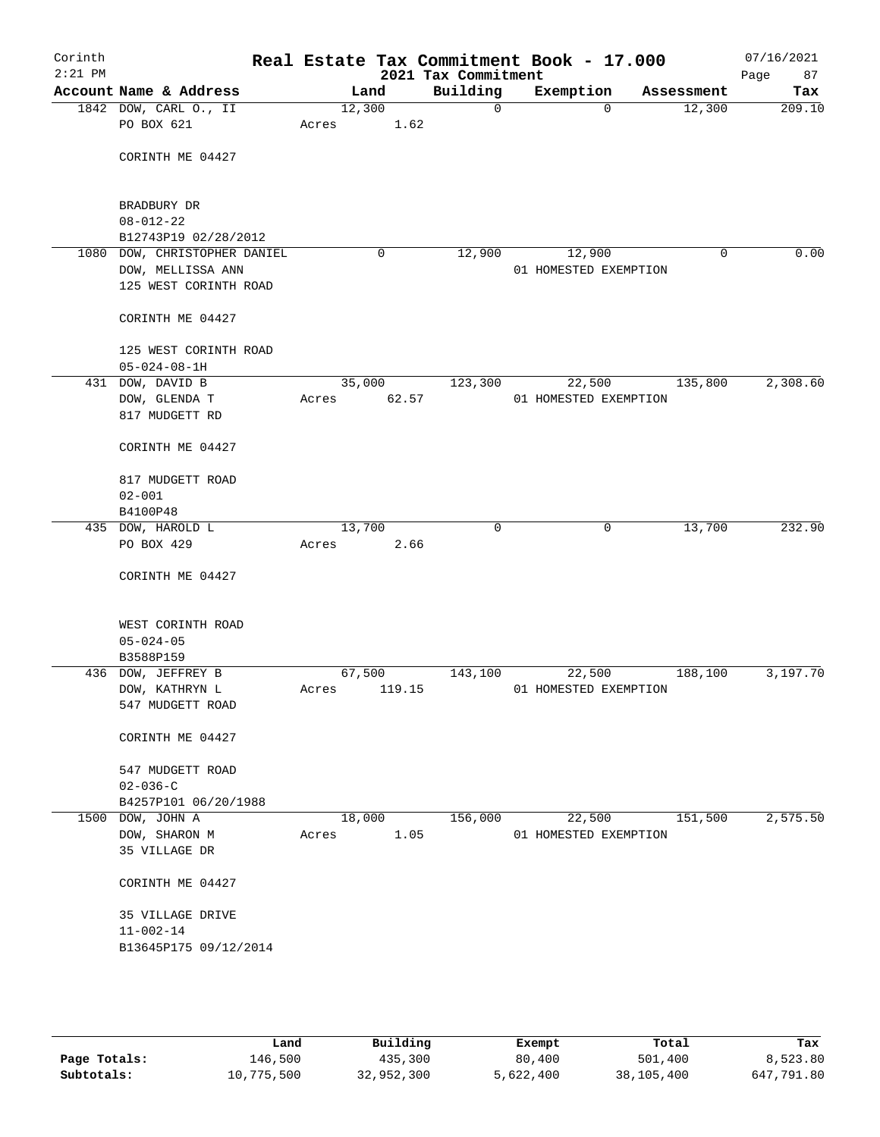| Corinth<br>$2:21$ PM |                                                                            |        |        | 2021 Tax Commitment | Real Estate Tax Commitment Book - 17.000 |            | 07/16/2021<br>Page<br>87 |
|----------------------|----------------------------------------------------------------------------|--------|--------|---------------------|------------------------------------------|------------|--------------------------|
|                      | Account Name & Address                                                     |        | Land   | Building            | Exemption                                | Assessment | Tax                      |
|                      | 1842 DOW, CARL O., II                                                      | 12,300 |        | $\mathbf 0$         | $\Omega$                                 | 12,300     | 209.10                   |
|                      | PO BOX 621                                                                 | Acres  | 1.62   |                     |                                          |            |                          |
|                      | CORINTH ME 04427                                                           |        |        |                     |                                          |            |                          |
|                      | BRADBURY DR<br>$08 - 012 - 22$<br>B12743P19 02/28/2012                     |        |        |                     |                                          |            |                          |
|                      | 1080 DOW, CHRISTOPHER DANIEL<br>DOW, MELLISSA ANN<br>125 WEST CORINTH ROAD |        | 0      | 12,900              | 12,900<br>01 HOMESTED EXEMPTION          | 0          | 0.00                     |
|                      | CORINTH ME 04427                                                           |        |        |                     |                                          |            |                          |
|                      | 125 WEST CORINTH ROAD<br>$05 - 024 - 08 - 1H$                              |        |        |                     |                                          |            |                          |
|                      | 431 DOW, DAVID B                                                           | 35,000 |        | 123,300             | 22,500                                   | 135,800    | 2,308.60                 |
|                      | DOW, GLENDA T<br>817 MUDGETT RD                                            | Acres  | 62.57  |                     | 01 HOMESTED EXEMPTION                    |            |                          |
|                      | CORINTH ME 04427                                                           |        |        |                     |                                          |            |                          |
|                      | 817 MUDGETT ROAD                                                           |        |        |                     |                                          |            |                          |
|                      | $02 - 001$                                                                 |        |        |                     |                                          |            |                          |
|                      | B4100P48<br>435 DOW, HAROLD L                                              | 13,700 |        | 0                   | 0                                        | 13,700     | 232.90                   |
|                      | PO BOX 429                                                                 | Acres  | 2.66   |                     |                                          |            |                          |
|                      | CORINTH ME 04427                                                           |        |        |                     |                                          |            |                          |
|                      | WEST CORINTH ROAD<br>$05 - 024 - 05$<br>B3588P159                          |        |        |                     |                                          |            |                          |
|                      | 436 DOW, JEFFREY B                                                         | 67,500 |        | 143,100             | 22,500                                   | 188,100    | 3,197.70                 |
|                      | DOW, KATHRYN L<br>547 MUDGETT ROAD                                         | Acres  | 119.15 |                     | 01 HOMESTED EXEMPTION                    |            |                          |
|                      | CORINTH ME 04427                                                           |        |        |                     |                                          |            |                          |
|                      | 547 MUDGETT ROAD<br>$02 - 036 - C$                                         |        |        |                     |                                          |            |                          |
|                      | B4257P101 06/20/1988                                                       |        |        |                     |                                          |            |                          |
|                      | 1500 DOW, JOHN A                                                           |        | 18,000 | 156,000             | 22,500                                   | 151,500    | 2,575.50                 |
|                      | DOW, SHARON M<br>35 VILLAGE DR                                             | Acres  | 1.05   |                     | 01 HOMESTED EXEMPTION                    |            |                          |
|                      | CORINTH ME 04427                                                           |        |        |                     |                                          |            |                          |
|                      | 35 VILLAGE DRIVE<br>$11 - 002 - 14$                                        |        |        |                     |                                          |            |                          |
|                      | B13645P175 09/12/2014                                                      |        |        |                     |                                          |            |                          |
|                      |                                                                            |        |        |                     |                                          |            |                          |

|              | Land       | Building   | Exempt    | Total      | Tax        |
|--------------|------------|------------|-----------|------------|------------|
| Page Totals: | 146,500    | 435,300    | 80,400    | 501,400    | 8,523.80   |
| Subtotals:   | 10,775,500 | 32,952,300 | 5,622,400 | 38,105,400 | 647,791.80 |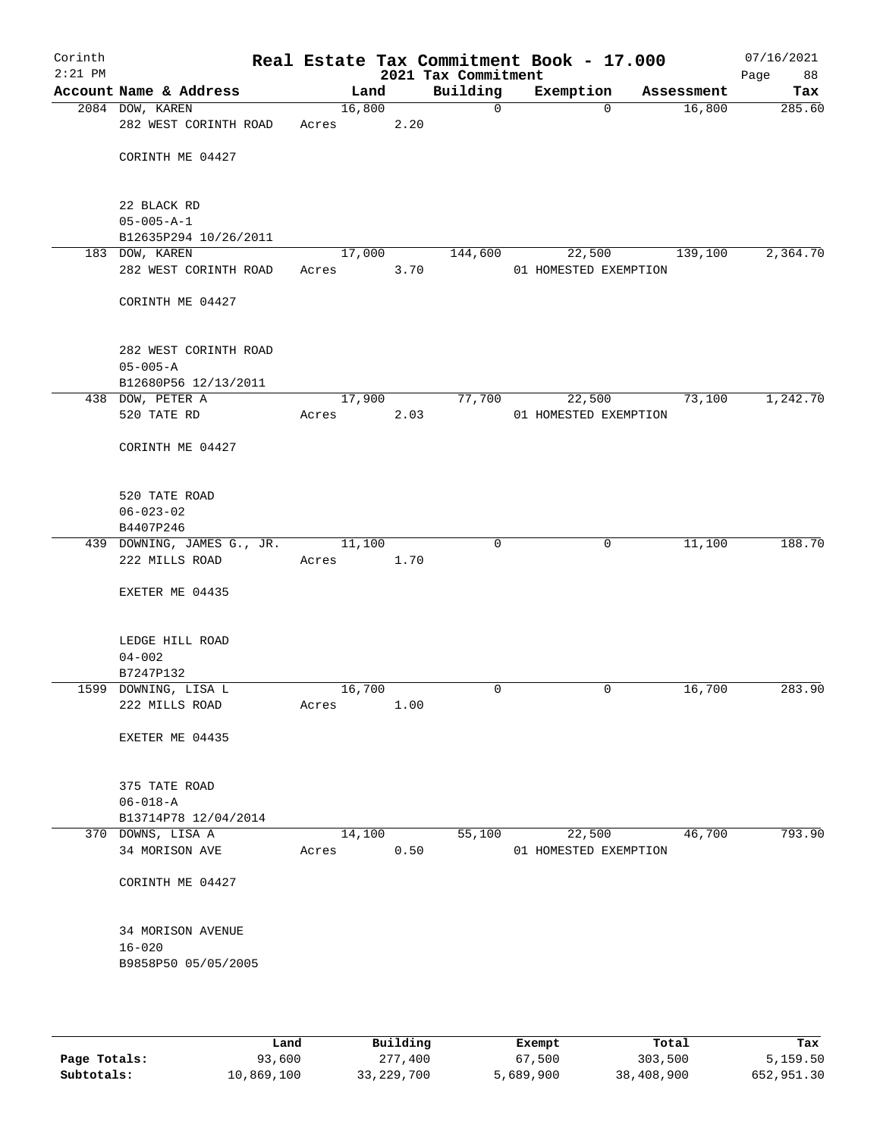| Corinth<br>$2:21$ PM |                                        |                 |      | Real Estate Tax Commitment Book - 17.000<br>2021 Tax Commitment |                       |            | 07/16/2021<br>Page<br>88 |
|----------------------|----------------------------------------|-----------------|------|-----------------------------------------------------------------|-----------------------|------------|--------------------------|
|                      | Account Name & Address                 | Land            |      | Building                                                        | Exemption             | Assessment | Tax                      |
|                      | 2084 DOW, KAREN                        | 16,800          |      | $\mathsf{O}$                                                    | $\mathbf 0$           | 16,800     | 285.60                   |
|                      | 282 WEST CORINTH ROAD                  | Acres           | 2.20 |                                                                 |                       |            |                          |
|                      | CORINTH ME 04427                       |                 |      |                                                                 |                       |            |                          |
|                      |                                        |                 |      |                                                                 |                       |            |                          |
|                      | 22 BLACK RD                            |                 |      |                                                                 |                       |            |                          |
|                      | $05 - 005 - A - 1$                     |                 |      |                                                                 |                       |            |                          |
|                      | B12635P294 10/26/2011                  |                 |      |                                                                 |                       |            |                          |
|                      | 183 DOW, KAREN                         | 17,000          |      | 144,600                                                         | 22,500                | 139,100    | 2,364.70                 |
|                      | 282 WEST CORINTH ROAD                  | Acres           | 3.70 |                                                                 | 01 HOMESTED EXEMPTION |            |                          |
|                      | CORINTH ME 04427                       |                 |      |                                                                 |                       |            |                          |
|                      | 282 WEST CORINTH ROAD                  |                 |      |                                                                 |                       |            |                          |
|                      | $05 - 005 - A$                         |                 |      |                                                                 |                       |            |                          |
|                      | B12680P56 12/13/2011                   |                 |      |                                                                 |                       |            |                          |
|                      | 438 DOW, PETER A                       | 17,900          |      | 77,700                                                          | 22,500                | 73,100     | 1,242.70                 |
|                      | 520 TATE RD                            | Acres           | 2.03 |                                                                 | 01 HOMESTED EXEMPTION |            |                          |
|                      | CORINTH ME 04427                       |                 |      |                                                                 |                       |            |                          |
|                      |                                        |                 |      |                                                                 |                       |            |                          |
|                      | 520 TATE ROAD                          |                 |      |                                                                 |                       |            |                          |
|                      | $06 - 023 - 02$<br>B4407P246           |                 |      |                                                                 |                       |            |                          |
|                      | 439 DOWNING, JAMES G., JR.             | 11,100          |      | $\mathbf 0$                                                     | $\mathbf 0$           | 11,100     | 188.70                   |
|                      | 222 MILLS ROAD                         | Acres           | 1.70 |                                                                 |                       |            |                          |
|                      | EXETER ME 04435                        |                 |      |                                                                 |                       |            |                          |
|                      |                                        |                 |      |                                                                 |                       |            |                          |
|                      | LEDGE HILL ROAD                        |                 |      |                                                                 |                       |            |                          |
|                      | $04 - 002$                             |                 |      |                                                                 |                       |            |                          |
|                      | B7247P132                              |                 |      | $\mathbf 0$                                                     | $\mathbf 0$           |            | 283.90                   |
|                      | 1599 DOWNING, LISA L<br>222 MILLS ROAD | 16,700<br>Acres | 1.00 |                                                                 |                       | 16,700     |                          |
|                      |                                        |                 |      |                                                                 |                       |            |                          |
|                      | EXETER ME 04435                        |                 |      |                                                                 |                       |            |                          |
|                      | 375 TATE ROAD                          |                 |      |                                                                 |                       |            |                          |
|                      | $06 - 018 - A$                         |                 |      |                                                                 |                       |            |                          |
|                      | B13714P78 12/04/2014                   |                 |      |                                                                 |                       |            |                          |
|                      | 370 DOWNS, LISA A                      | 14,100          |      | 55,100                                                          | 22,500                | 46,700     | 793.90                   |
|                      | 34 MORISON AVE                         | Acres           | 0.50 |                                                                 | 01 HOMESTED EXEMPTION |            |                          |
|                      | CORINTH ME 04427                       |                 |      |                                                                 |                       |            |                          |
|                      | 34 MORISON AVENUE                      |                 |      |                                                                 |                       |            |                          |
|                      | $16 - 020$                             |                 |      |                                                                 |                       |            |                          |
|                      | B9858P50 05/05/2005                    |                 |      |                                                                 |                       |            |                          |
|                      |                                        |                 |      |                                                                 |                       |            |                          |

|              | Land       | Building   | Exempt    | Total      | Tax        |
|--------------|------------|------------|-----------|------------|------------|
| Page Totals: | 93,600     | 277,400    | 67,500    | 303,500    | 5,159.50   |
| Subtotals:   | 10,869,100 | 33,229,700 | 5,689,900 | 38,408,900 | 652,951.30 |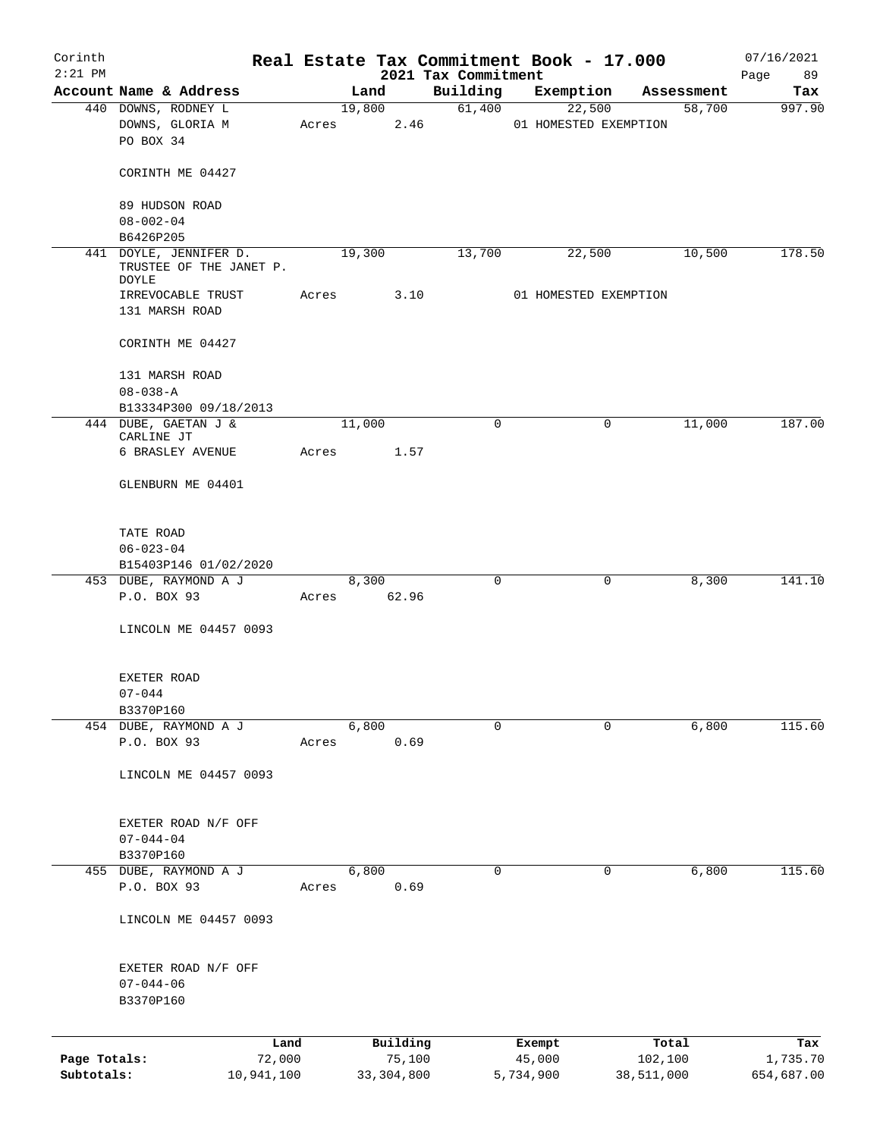| Corinth      |                                                                   |       |                    |                                 | Real Estate Tax Commitment Book - 17.000 |                  | 07/16/2021             |
|--------------|-------------------------------------------------------------------|-------|--------------------|---------------------------------|------------------------------------------|------------------|------------------------|
| $2:21$ PM    | Account Name & Address                                            |       | Land               | 2021 Tax Commitment<br>Building | Exemption                                | Assessment       | Page<br>89<br>Tax      |
|              | 440 DOWNS, RODNEY L                                               |       | 19,800             | 61,400                          | 22,500                                   | 58,700           | 997.90                 |
|              | DOWNS, GLORIA M<br>PO BOX 34                                      | Acres | 2.46               |                                 | 01 HOMESTED EXEMPTION                    |                  |                        |
|              | CORINTH ME 04427                                                  |       |                    |                                 |                                          |                  |                        |
|              | 89 HUDSON ROAD<br>$08 - 002 - 04$                                 |       |                    |                                 |                                          |                  |                        |
|              | B6426P205                                                         |       |                    |                                 |                                          |                  |                        |
|              | 441 DOYLE, JENNIFER D.<br>TRUSTEE OF THE JANET P.<br><b>DOYLE</b> |       | 19,300             | 13,700                          | 22,500                                   | 10,500           | 178.50                 |
|              | IRREVOCABLE TRUST<br>131 MARSH ROAD                               | Acres | 3.10               |                                 | 01 HOMESTED EXEMPTION                    |                  |                        |
|              | CORINTH ME 04427                                                  |       |                    |                                 |                                          |                  |                        |
|              | 131 MARSH ROAD<br>$08 - 038 - A$                                  |       |                    |                                 |                                          |                  |                        |
|              | B13334P300 09/18/2013                                             |       |                    |                                 |                                          |                  |                        |
|              | 444 DUBE, GAETAN J &                                              |       | 11,000             | 0                               | $\mathbf 0$                              | 11,000           | 187.00                 |
|              | CARLINE JT<br>6 BRASLEY AVENUE                                    | Acres | 1.57               |                                 |                                          |                  |                        |
|              | GLENBURN ME 04401                                                 |       |                    |                                 |                                          |                  |                        |
|              | TATE ROAD                                                         |       |                    |                                 |                                          |                  |                        |
|              | $06 - 023 - 04$                                                   |       |                    |                                 |                                          |                  |                        |
|              | B15403P146 01/02/2020                                             |       |                    |                                 |                                          |                  |                        |
|              | 453 DUBE, RAYMOND A J<br>P.O. BOX 93                              | Acres | 8,300<br>62.96     | $\mathbf 0$                     | $\mathbf 0$                              | 8,300            | 141.10                 |
|              | LINCOLN ME 04457 0093                                             |       |                    |                                 |                                          |                  |                        |
|              | EXETER ROAD<br>$07 - 044$                                         |       |                    |                                 |                                          |                  |                        |
|              | B3370P160                                                         |       |                    |                                 |                                          |                  |                        |
|              | 454 DUBE, RAYMOND A J                                             |       | 6,800              | $\Omega$                        | 0                                        | 6,800            | 115.60                 |
|              | P.O. BOX 93                                                       | Acres | 0.69               |                                 |                                          |                  |                        |
|              | LINCOLN ME 04457 0093                                             |       |                    |                                 |                                          |                  |                        |
|              | EXETER ROAD N/F OFF                                               |       |                    |                                 |                                          |                  |                        |
|              | $07 - 044 - 04$                                                   |       |                    |                                 |                                          |                  |                        |
|              | B3370P160                                                         |       |                    |                                 |                                          |                  |                        |
|              | 455 DUBE, RAYMOND A J<br>P.O. BOX 93                              | Acres | 6,800<br>0.69      | 0                               | 0                                        | 6,800            | 115.60                 |
|              | LINCOLN ME 04457 0093                                             |       |                    |                                 |                                          |                  |                        |
|              | EXETER ROAD N/F OFF                                               |       |                    |                                 |                                          |                  |                        |
|              | $07 - 044 - 06$                                                   |       |                    |                                 |                                          |                  |                        |
|              | B3370P160                                                         |       |                    |                                 |                                          |                  |                        |
| Page Totals: | Land<br>72,000                                                    |       | Building<br>75,100 |                                 | Exempt<br>45,000                         | Total<br>102,100 | Tax                    |
| Subtotals:   | 10,941,100                                                        |       | 33, 304, 800       |                                 | 5,734,900                                | 38,511,000       | 1,735.70<br>654,687.00 |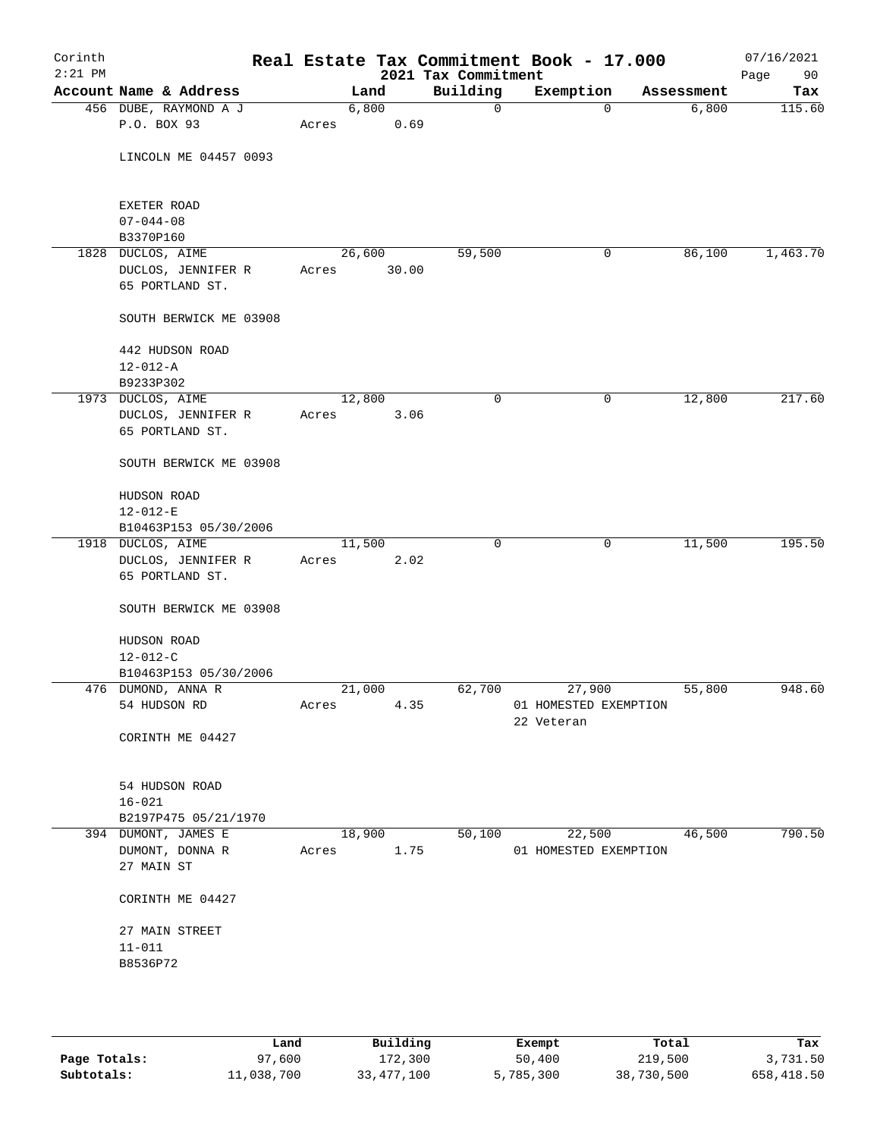| Corinth<br>$2:21$ PM |                              |        |       | 2021 Tax Commitment | Real Estate Tax Commitment Book - 17.000 |            | 07/16/2021<br>90<br>Page |
|----------------------|------------------------------|--------|-------|---------------------|------------------------------------------|------------|--------------------------|
|                      | Account Name & Address       |        | Land  | Building            | Exemption                                | Assessment | Tax                      |
|                      | 456 DUBE, RAYMOND A J        |        | 6,800 | $\mathbf 0$         | $\mathbf 0$                              | 6,800      | 115.60                   |
|                      | P.O. BOX 93                  | Acres  | 0.69  |                     |                                          |            |                          |
|                      | LINCOLN ME 04457 0093        |        |       |                     |                                          |            |                          |
|                      | EXETER ROAD                  |        |       |                     |                                          |            |                          |
|                      | $07 - 044 - 08$<br>B3370P160 |        |       |                     |                                          |            |                          |
|                      | 1828 DUCLOS, AIME            | 26,600 |       | 59,500              | 0                                        | 86,100     | 1,463.70                 |
|                      | DUCLOS, JENNIFER R           | Acres  | 30.00 |                     |                                          |            |                          |
|                      | 65 PORTLAND ST.              |        |       |                     |                                          |            |                          |
|                      | SOUTH BERWICK ME 03908       |        |       |                     |                                          |            |                          |
|                      | 442 HUDSON ROAD              |        |       |                     |                                          |            |                          |
|                      | $12 - 012 - A$               |        |       |                     |                                          |            |                          |
|                      | B9233P302                    |        |       |                     |                                          |            |                          |
|                      | 1973 DUCLOS, AIME            | 12,800 |       | $\mathbf 0$         | $\mathsf{O}$                             | 12,800     | 217.60                   |
|                      | DUCLOS, JENNIFER R           | Acres  | 3.06  |                     |                                          |            |                          |
|                      | 65 PORTLAND ST.              |        |       |                     |                                          |            |                          |
|                      | SOUTH BERWICK ME 03908       |        |       |                     |                                          |            |                          |
|                      | HUDSON ROAD                  |        |       |                     |                                          |            |                          |
|                      | $12 - 012 - E$               |        |       |                     |                                          |            |                          |
|                      | B10463P153 05/30/2006        |        |       |                     |                                          |            |                          |
|                      | 1918 DUCLOS, AIME            | 11,500 |       | $\mathbf 0$         | $\mathbf 0$                              | 11,500     | 195.50                   |
|                      | DUCLOS, JENNIFER R           | Acres  | 2.02  |                     |                                          |            |                          |
|                      | 65 PORTLAND ST.              |        |       |                     |                                          |            |                          |
|                      | SOUTH BERWICK ME 03908       |        |       |                     |                                          |            |                          |
|                      | HUDSON ROAD                  |        |       |                     |                                          |            |                          |
|                      | $12 - 012 - C$               |        |       |                     |                                          |            |                          |
|                      | B10463P153 05/30/2006        |        |       |                     |                                          |            |                          |
|                      | 476 DUMOND, ANNA R           | 21,000 |       | 62,700              | 27,900                                   | 55,800     | 948.60                   |
|                      | 54 HUDSON RD                 | Acres  | 4.35  |                     | 01 HOMESTED EXEMPTION                    |            |                          |
|                      | CORINTH ME 04427             |        |       |                     | 22 Veteran                               |            |                          |
|                      |                              |        |       |                     |                                          |            |                          |
|                      | 54 HUDSON ROAD               |        |       |                     |                                          |            |                          |
|                      | $16 - 021$                   |        |       |                     |                                          |            |                          |
|                      | B2197P475 05/21/1970         |        |       |                     |                                          |            |                          |
|                      | 394 DUMONT, JAMES E          | 18,900 |       | 50,100              | 22,500                                   | 46,500     | 790.50                   |
|                      | DUMONT, DONNA R              | Acres  | 1.75  |                     | 01 HOMESTED EXEMPTION                    |            |                          |
|                      | 27 MAIN ST                   |        |       |                     |                                          |            |                          |
|                      | CORINTH ME 04427             |        |       |                     |                                          |            |                          |
|                      | 27 MAIN STREET               |        |       |                     |                                          |            |                          |
|                      | $11 - 011$                   |        |       |                     |                                          |            |                          |
|                      | B8536P72                     |        |       |                     |                                          |            |                          |
|                      |                              |        |       |                     |                                          |            |                          |
|                      |                              |        |       |                     |                                          |            |                          |
|                      |                              |        |       |                     |                                          |            |                          |

|              | Land       | Building   | Exempt    | Total      | Tax        |
|--------------|------------|------------|-----------|------------|------------|
| Page Totals: | 97,600     | 172,300    | 50,400    | 219,500    | 3,731.50   |
| Subtotals:   | 11,038,700 | 33,477,100 | 5,785,300 | 38,730,500 | 658,418.50 |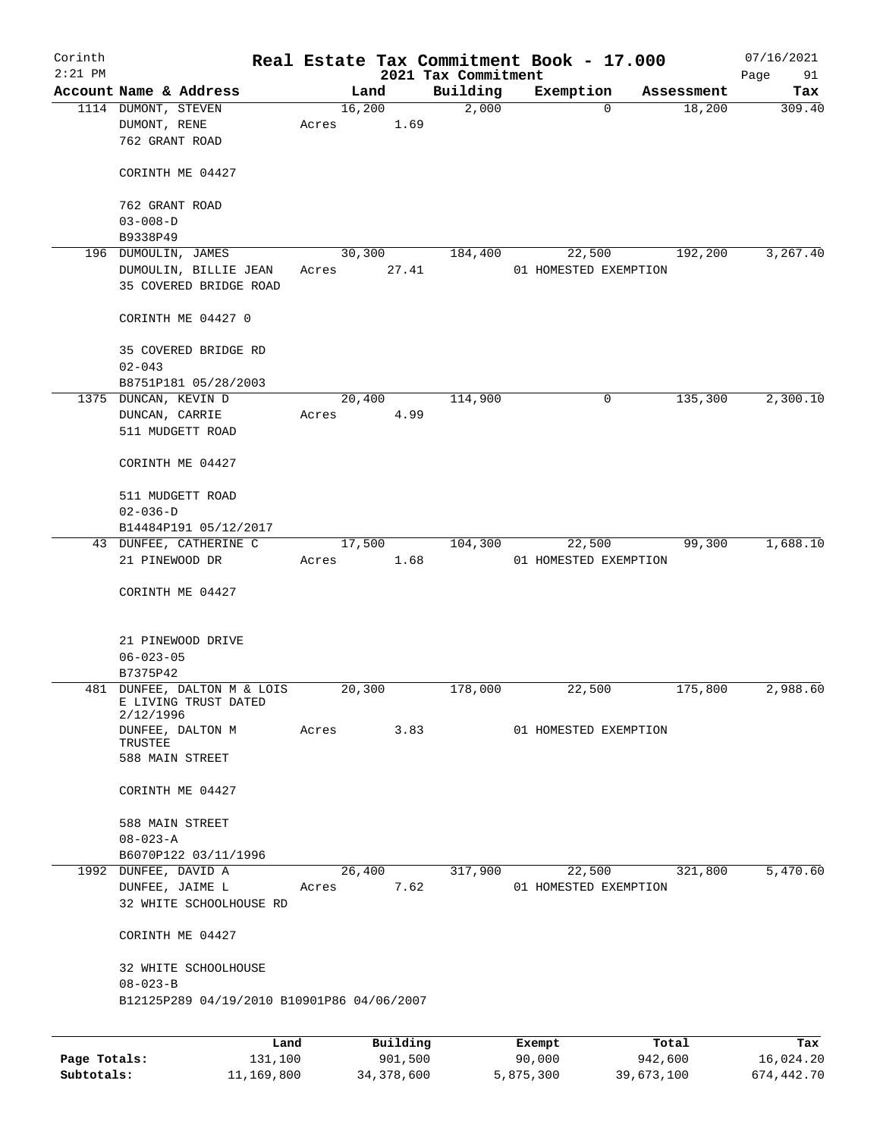| Corinth      |                                            |         |       |        |          |                     | Real Estate Tax Commitment Book - 17.000 |                      | 07/16/2021 |
|--------------|--------------------------------------------|---------|-------|--------|----------|---------------------|------------------------------------------|----------------------|------------|
| $2:21$ PM    | Account Name & Address                     |         |       |        |          | 2021 Tax Commitment |                                          |                      | Page<br>91 |
|              | 1114 DUMONT, STEVEN                        |         |       | Land   |          | Building            | Exemption<br>$\Omega$                    | Assessment<br>18,200 | Tax        |
|              | DUMONT, RENE                               |         | Acres | 16,200 | 1.69     | 2,000               |                                          |                      | 309.40     |
|              | 762 GRANT ROAD                             |         |       |        |          |                     |                                          |                      |            |
|              |                                            |         |       |        |          |                     |                                          |                      |            |
|              | CORINTH ME 04427                           |         |       |        |          |                     |                                          |                      |            |
|              |                                            |         |       |        |          |                     |                                          |                      |            |
|              | 762 GRANT ROAD                             |         |       |        |          |                     |                                          |                      |            |
|              | $03 - 008 - D$                             |         |       |        |          |                     |                                          |                      |            |
|              | B9338P49                                   |         |       |        |          |                     |                                          |                      |            |
|              | 196 DUMOULIN, JAMES                        |         |       | 30,300 |          | 184,400             | 22,500                                   | 192,200              | 3, 267.40  |
|              | DUMOULIN, BILLIE JEAN                      |         | Acres |        | 27.41    |                     | 01 HOMESTED EXEMPTION                    |                      |            |
|              | 35 COVERED BRIDGE ROAD                     |         |       |        |          |                     |                                          |                      |            |
|              |                                            |         |       |        |          |                     |                                          |                      |            |
|              | CORINTH ME 04427 0                         |         |       |        |          |                     |                                          |                      |            |
|              |                                            |         |       |        |          |                     |                                          |                      |            |
|              | 35 COVERED BRIDGE RD                       |         |       |        |          |                     |                                          |                      |            |
|              | $02 - 043$                                 |         |       |        |          |                     |                                          |                      |            |
|              | B8751P181 05/28/2003                       |         |       |        |          |                     |                                          |                      |            |
|              | 1375 DUNCAN, KEVIN D                       |         |       | 20,400 |          | 114,900             | 0                                        | 135,300              | 2,300.10   |
|              | DUNCAN, CARRIE                             |         | Acres |        | 4.99     |                     |                                          |                      |            |
|              | 511 MUDGETT ROAD                           |         |       |        |          |                     |                                          |                      |            |
|              |                                            |         |       |        |          |                     |                                          |                      |            |
|              | CORINTH ME 04427                           |         |       |        |          |                     |                                          |                      |            |
|              |                                            |         |       |        |          |                     |                                          |                      |            |
|              | 511 MUDGETT ROAD                           |         |       |        |          |                     |                                          |                      |            |
|              | $02 - 036 - D$                             |         |       |        |          |                     |                                          |                      |            |
|              | B14484P191 05/12/2017                      |         |       |        |          |                     |                                          |                      |            |
|              | 43 DUNFEE, CATHERINE C<br>21 PINEWOOD DR   |         | Acres | 17,500 | 1.68     | 104,300             | 22,500<br>01 HOMESTED EXEMPTION          | 99,300               | 1,688.10   |
|              |                                            |         |       |        |          |                     |                                          |                      |            |
|              | CORINTH ME 04427                           |         |       |        |          |                     |                                          |                      |            |
|              |                                            |         |       |        |          |                     |                                          |                      |            |
|              |                                            |         |       |        |          |                     |                                          |                      |            |
|              | 21 PINEWOOD DRIVE                          |         |       |        |          |                     |                                          |                      |            |
|              | $06 - 023 - 05$                            |         |       |        |          |                     |                                          |                      |            |
|              | B7375P42                                   |         |       |        |          |                     |                                          |                      |            |
|              | 481 DUNFEE, DALTON M & LOIS                |         |       | 20,300 |          | 178,000             | 22,500                                   | 175,800              | 2,988.60   |
|              | E LIVING TRUST DATED<br>2/12/1996          |         |       |        |          |                     |                                          |                      |            |
|              | DUNFEE, DALTON M                           |         | Acres |        | 3.83     |                     | 01 HOMESTED EXEMPTION                    |                      |            |
|              | TRUSTEE                                    |         |       |        |          |                     |                                          |                      |            |
|              | 588 MAIN STREET                            |         |       |        |          |                     |                                          |                      |            |
|              |                                            |         |       |        |          |                     |                                          |                      |            |
|              | CORINTH ME 04427                           |         |       |        |          |                     |                                          |                      |            |
|              | 588 MAIN STREET                            |         |       |        |          |                     |                                          |                      |            |
|              | $08 - 023 - A$                             |         |       |        |          |                     |                                          |                      |            |
|              | B6070P122 03/11/1996                       |         |       |        |          |                     |                                          |                      |            |
|              | 1992 DUNFEE, DAVID A                       |         |       | 26,400 |          | 317,900             | 22,500                                   | 321,800              | 5,470.60   |
|              | DUNFEE, JAIME L                            |         | Acres |        | 7.62     |                     | 01 HOMESTED EXEMPTION                    |                      |            |
|              | 32 WHITE SCHOOLHOUSE RD                    |         |       |        |          |                     |                                          |                      |            |
|              |                                            |         |       |        |          |                     |                                          |                      |            |
|              | CORINTH ME 04427                           |         |       |        |          |                     |                                          |                      |            |
|              | 32 WHITE SCHOOLHOUSE                       |         |       |        |          |                     |                                          |                      |            |
|              | $08 - 023 - B$                             |         |       |        |          |                     |                                          |                      |            |
|              | B12125P289 04/19/2010 B10901P86 04/06/2007 |         |       |        |          |                     |                                          |                      |            |
|              |                                            |         |       |        |          |                     |                                          |                      |            |
|              |                                            | Land    |       |        | Building |                     | Exempt                                   | Total                | Tax        |
| Page Totals: |                                            | 131,100 |       |        | 901,500  |                     | 90,000                                   | 942,600              | 16,024.20  |

**Subtotals:** 11,169,800 34,378,600 5,875,300 39,673,100 674,442.70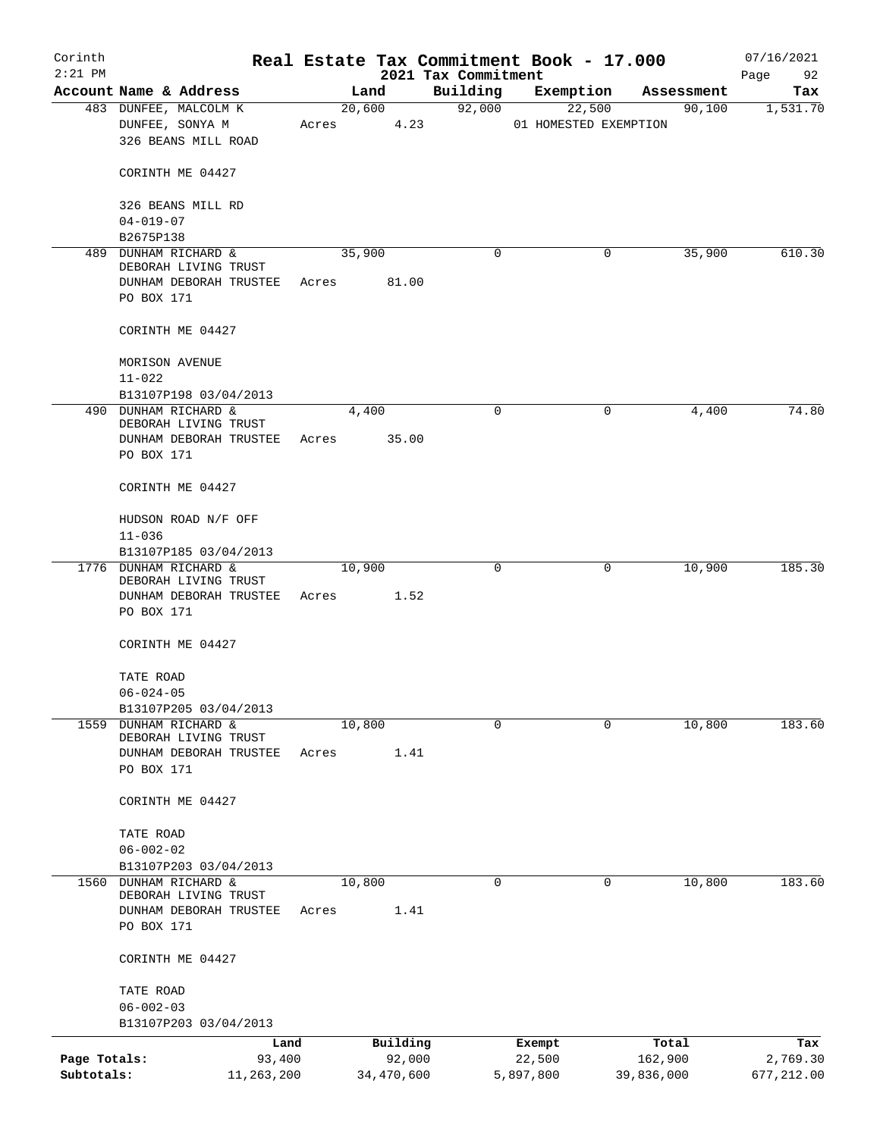| Corinth      |                                                                                      |       |            |          |                                 | Real Estate Tax Commitment Book - 17.000 |            | 07/16/2021        |
|--------------|--------------------------------------------------------------------------------------|-------|------------|----------|---------------------------------|------------------------------------------|------------|-------------------|
| $2:21$ PM    | Account Name & Address                                                               |       | Land       |          | 2021 Tax Commitment<br>Building | Exemption                                | Assessment | 92<br>Page<br>Tax |
|              | 483 DUNFEE, MALCOLM K                                                                |       | 20,600     |          | 92,000                          | 22,500                                   | 90,100     | 1,531.70          |
|              | DUNFEE, SONYA M<br>326 BEANS MILL ROAD                                               | Acres |            | 4.23     |                                 | 01 HOMESTED EXEMPTION                    |            |                   |
|              | CORINTH ME 04427                                                                     |       |            |          |                                 |                                          |            |                   |
|              | 326 BEANS MILL RD<br>$04 - 019 - 07$                                                 |       |            |          |                                 |                                          |            |                   |
|              | B2675P138                                                                            |       |            |          |                                 |                                          |            |                   |
|              | 489 DUNHAM RICHARD &<br>DEBORAH LIVING TRUST                                         |       | 35,900     |          | 0                               | 0                                        | 35,900     | 610.30            |
|              | DUNHAM DEBORAH TRUSTEE<br>PO BOX 171                                                 | Acres |            | 81.00    |                                 |                                          |            |                   |
|              | CORINTH ME 04427                                                                     |       |            |          |                                 |                                          |            |                   |
|              | MORISON AVENUE<br>$11 - 022$                                                         |       |            |          |                                 |                                          |            |                   |
|              | B13107P198 03/04/2013                                                                |       |            |          |                                 |                                          |            |                   |
|              | 490 DUNHAM RICHARD &<br>DEBORAH LIVING TRUST<br>DUNHAM DEBORAH TRUSTEE<br>PO BOX 171 | Acres | 4,400      | 35.00    | $\mathbf 0$                     | 0                                        | 4,400      | 74.80             |
|              | CORINTH ME 04427                                                                     |       |            |          |                                 |                                          |            |                   |
|              | HUDSON ROAD N/F OFF                                                                  |       |            |          |                                 |                                          |            |                   |
|              | $11 - 036$<br>B13107P185 03/04/2013                                                  |       |            |          |                                 |                                          |            |                   |
|              | 1776 DUNHAM RICHARD &                                                                |       | 10,900     |          | $\mathbf 0$                     | 0                                        | 10,900     | 185.30            |
|              | DEBORAH LIVING TRUST<br>DUNHAM DEBORAH TRUSTEE<br>PO BOX 171                         | Acres |            | 1.52     |                                 |                                          |            |                   |
|              | CORINTH ME 04427                                                                     |       |            |          |                                 |                                          |            |                   |
|              | TATE ROAD<br>$06 - 024 - 05$                                                         |       |            |          |                                 |                                          |            |                   |
|              | B13107P205 03/04/2013                                                                |       |            |          |                                 |                                          |            |                   |
| 1559         | DUNHAM RICHARD &                                                                     |       | 10,800     |          | $\mathbf 0$                     | 0                                        | 10,800     | 183.60            |
|              | DEBORAH LIVING TRUST<br>DUNHAM DEBORAH TRUSTEE                                       | Acres |            | 1.41     |                                 |                                          |            |                   |
|              | PO BOX 171                                                                           |       |            |          |                                 |                                          |            |                   |
|              | CORINTH ME 04427                                                                     |       |            |          |                                 |                                          |            |                   |
|              | TATE ROAD                                                                            |       |            |          |                                 |                                          |            |                   |
|              | $06 - 002 - 02$                                                                      |       |            |          |                                 |                                          |            |                   |
|              | B13107P203 03/04/2013                                                                |       |            |          |                                 |                                          |            |                   |
| 1560         | DUNHAM RICHARD &<br>DEBORAH LIVING TRUST<br>DUNHAM DEBORAH TRUSTEE                   | Acres | 10,800     | 1.41     | 0                               | 0                                        | 10,800     | 183.60            |
|              | PO BOX 171                                                                           |       |            |          |                                 |                                          |            |                   |
|              | CORINTH ME 04427                                                                     |       |            |          |                                 |                                          |            |                   |
|              | TATE ROAD                                                                            |       |            |          |                                 |                                          |            |                   |
|              | $06 - 002 - 03$<br>B13107P203 03/04/2013                                             |       |            |          |                                 |                                          |            |                   |
|              | Land                                                                                 |       |            | Building |                                 | Exempt                                   | Total      | Tax               |
| Page Totals: | 93,400                                                                               |       |            | 92,000   |                                 | 22,500                                   | 162,900    | 2,769.30          |
| Subtotals:   | 11,263,200                                                                           |       | 34,470,600 |          |                                 | 5,897,800                                | 39,836,000 | 677,212.00        |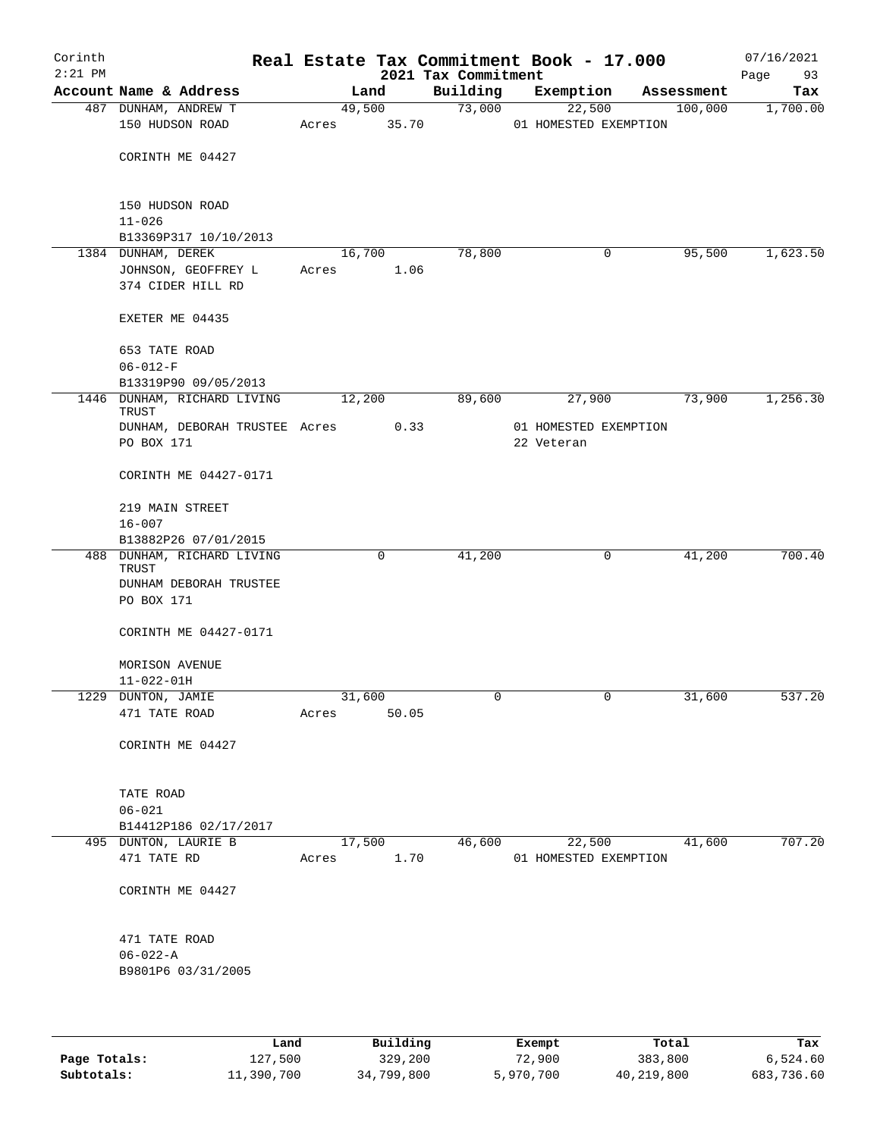| Corinth<br>$2:21$ PM |                                                |                 |        | 2021 Tax Commitment | Real Estate Tax Commitment Book - 17.000 |             | 07/16/2021<br>93<br>Page |
|----------------------|------------------------------------------------|-----------------|--------|---------------------|------------------------------------------|-------------|--------------------------|
|                      | Account Name & Address                         |                 | Land   | Building            | Exemption                                | Assessment  | Tax                      |
|                      | 487 DUNHAM, ANDREW T                           |                 | 49,500 | 73,000              | 22,500                                   | 100,000     | 1,700.00                 |
|                      | 150 HUDSON ROAD                                | Acres           | 35.70  |                     | 01 HOMESTED EXEMPTION                    |             |                          |
|                      |                                                |                 |        |                     |                                          |             |                          |
|                      | CORINTH ME 04427                               |                 |        |                     |                                          |             |                          |
|                      |                                                |                 |        |                     |                                          |             |                          |
|                      | 150 HUDSON ROAD                                |                 |        |                     |                                          |             |                          |
|                      | $11 - 026$                                     |                 |        |                     |                                          |             |                          |
|                      | B13369P317 10/10/2013                          |                 |        |                     |                                          |             |                          |
|                      | 1384 DUNHAM, DEREK                             | 16,700          |        | 78,800              |                                          | 95,500<br>0 | 1,623.50                 |
|                      | JOHNSON, GEOFFREY L                            | Acres           | 1.06   |                     |                                          |             |                          |
|                      | 374 CIDER HILL RD                              |                 |        |                     |                                          |             |                          |
|                      | EXETER ME 04435                                |                 |        |                     |                                          |             |                          |
|                      |                                                |                 |        |                     |                                          |             |                          |
|                      | 653 TATE ROAD<br>$06 - 012 - F$                |                 |        |                     |                                          |             |                          |
|                      | B13319P90 09/05/2013                           |                 |        |                     |                                          |             |                          |
|                      | 1446 DUNHAM, RICHARD LIVING                    | 12,200          |        | 89,600              | 27,900                                   | 73,900      | 1,256.30                 |
|                      | TRUST                                          |                 |        |                     |                                          |             |                          |
|                      | DUNHAM, DEBORAH TRUSTEE Acres                  |                 | 0.33   |                     | 01 HOMESTED EXEMPTION                    |             |                          |
|                      | PO BOX 171                                     |                 |        |                     | 22 Veteran                               |             |                          |
|                      | CORINTH ME 04427-0171                          |                 |        |                     |                                          |             |                          |
|                      |                                                |                 |        |                     |                                          |             |                          |
|                      | 219 MAIN STREET                                |                 |        |                     |                                          |             |                          |
|                      | $16 - 007$                                     |                 |        |                     |                                          |             |                          |
| 488                  | B13882P26 07/01/2015<br>DUNHAM, RICHARD LIVING |                 | 0      | 41,200              |                                          | 41,200<br>0 | 700.40                   |
|                      | TRUST                                          |                 |        |                     |                                          |             |                          |
|                      | DUNHAM DEBORAH TRUSTEE                         |                 |        |                     |                                          |             |                          |
|                      | PO BOX 171                                     |                 |        |                     |                                          |             |                          |
|                      | CORINTH ME 04427-0171                          |                 |        |                     |                                          |             |                          |
|                      |                                                |                 |        |                     |                                          |             |                          |
|                      | MORISON AVENUE                                 |                 |        |                     |                                          |             |                          |
|                      | $11 - 022 - 01H$                               |                 |        |                     |                                          |             |                          |
|                      | 1229 DUNTON, JAMIE                             | 31,600          |        | 0                   |                                          | 31,600<br>0 | 537.20                   |
|                      | 471 TATE ROAD                                  | Acres           | 50.05  |                     |                                          |             |                          |
|                      | CORINTH ME 04427                               |                 |        |                     |                                          |             |                          |
|                      |                                                |                 |        |                     |                                          |             |                          |
|                      |                                                |                 |        |                     |                                          |             |                          |
|                      | TATE ROAD                                      |                 |        |                     |                                          |             |                          |
|                      | $06 - 021$                                     |                 |        |                     |                                          |             |                          |
|                      | B14412P186 02/17/2017                          |                 |        |                     |                                          |             |                          |
|                      | 495 DUNTON, LAURIE B<br>471 TATE RD            | 17,500<br>Acres | 1.70   | 46,600              | 22,500<br>01 HOMESTED EXEMPTION          | 41,600      | 707.20                   |
|                      |                                                |                 |        |                     |                                          |             |                          |
|                      | CORINTH ME 04427                               |                 |        |                     |                                          |             |                          |
|                      |                                                |                 |        |                     |                                          |             |                          |
|                      | 471 TATE ROAD                                  |                 |        |                     |                                          |             |                          |
|                      | $06 - 022 - A$                                 |                 |        |                     |                                          |             |                          |
|                      | B9801P6 03/31/2005                             |                 |        |                     |                                          |             |                          |
|                      |                                                |                 |        |                     |                                          |             |                          |
|                      |                                                |                 |        |                     |                                          |             |                          |

|              | Land       | Building   | Exempt    | Total      | Tax        |
|--------------|------------|------------|-----------|------------|------------|
| Page Totals: | 127,500    | 329,200    | 72,900    | 383,800    | 6,524.60   |
| Subtotals:   | 11,390,700 | 34,799,800 | 5,970,700 | 40,219,800 | 683,736.60 |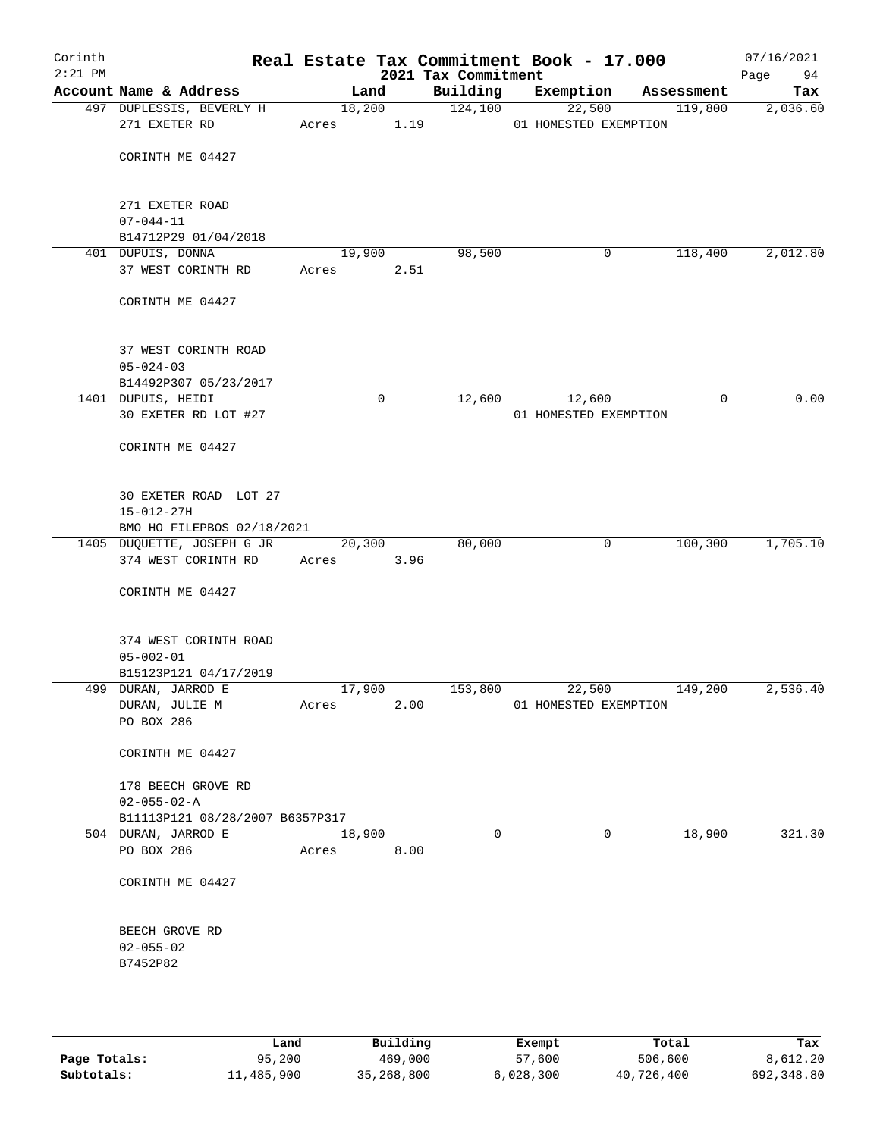| Corinth<br>$2:21$ PM |                                                   |                 |                | 2021 Tax Commitment | Real Estate Tax Commitment Book - 17.000 |                        | 07/16/2021<br>Page<br>94 |
|----------------------|---------------------------------------------------|-----------------|----------------|---------------------|------------------------------------------|------------------------|--------------------------|
|                      | Account Name & Address                            |                 | Land           | Building            | Exemption                                | Assessment             | Tax                      |
|                      | 497 DUPLESSIS, BEVERLY H<br>271 EXETER RD         | Acres           | 18,200<br>1.19 | 124,100             | 22,500<br>01 HOMESTED EXEMPTION          | 119,800                | 2,036.60                 |
|                      | CORINTH ME 04427                                  |                 |                |                     |                                          |                        |                          |
|                      | 271 EXETER ROAD                                   |                 |                |                     |                                          |                        |                          |
|                      | $07 - 044 - 11$<br>B14712P29 01/04/2018           |                 |                |                     |                                          |                        |                          |
|                      | 401 DUPUIS, DONNA                                 | 19,900          |                | 98,500              |                                          | 118,400<br>$\mathbf 0$ | 2,012.80                 |
|                      | 37 WEST CORINTH RD                                | Acres           | 2.51           |                     |                                          |                        |                          |
|                      | CORINTH ME 04427                                  |                 |                |                     |                                          |                        |                          |
|                      | 37 WEST CORINTH ROAD<br>$05 - 024 - 03$           |                 |                |                     |                                          |                        |                          |
|                      | B14492P307 05/23/2017                             |                 |                |                     |                                          |                        |                          |
|                      | 1401 DUPUIS, HEIDI                                |                 | $\mathbf 0$    | 12,600              | 12,600                                   | $\mathbf 0$            | 0.00                     |
|                      | 30 EXETER RD LOT #27                              |                 |                |                     | 01 HOMESTED EXEMPTION                    |                        |                          |
|                      | CORINTH ME 04427                                  |                 |                |                     |                                          |                        |                          |
|                      | 30 EXETER ROAD LOT 27<br>$15 - 012 - 27H$         |                 |                |                     |                                          |                        |                          |
|                      | BMO HO FILEPBOS 02/18/2021                        |                 |                |                     |                                          |                        |                          |
|                      | 1405 DUQUETTE, JOSEPH G JR<br>374 WEST CORINTH RD | Acres           | 20,300<br>3.96 | 80,000              |                                          | $\mathbf 0$<br>100,300 | 1,705.10                 |
|                      | CORINTH ME 04427                                  |                 |                |                     |                                          |                        |                          |
|                      | 374 WEST CORINTH ROAD                             |                 |                |                     |                                          |                        |                          |
|                      | $05 - 002 - 01$                                   |                 |                |                     |                                          |                        |                          |
|                      | B15123P121 04/17/2019<br>499 DURAN, JARROD E      |                 |                | 153,800             |                                          |                        | 2,536.40                 |
|                      | DURAN, JULIE M                                    | 17,900<br>Acres | 2.00           |                     | 22,500<br>01 HOMESTED EXEMPTION          | 149,200                |                          |
|                      | PO BOX 286                                        |                 |                |                     |                                          |                        |                          |
|                      | CORINTH ME 04427                                  |                 |                |                     |                                          |                        |                          |
|                      | 178 BEECH GROVE RD<br>$02 - 055 - 02 - A$         |                 |                |                     |                                          |                        |                          |
|                      | B11113P121 08/28/2007 B6357P317                   |                 |                |                     |                                          |                        |                          |
|                      | 504 DURAN, JARROD E                               | 18,900          |                | $\mathbf 0$         |                                          | $\mathbf 0$<br>18,900  | 321.30                   |
|                      | PO BOX 286                                        | Acres           | 8.00           |                     |                                          |                        |                          |
|                      | CORINTH ME 04427                                  |                 |                |                     |                                          |                        |                          |
|                      | BEECH GROVE RD<br>$02 - 055 - 02$                 |                 |                |                     |                                          |                        |                          |
|                      | B7452P82                                          |                 |                |                     |                                          |                        |                          |
|                      |                                                   |                 |                |                     |                                          |                        |                          |

|              | Land       | Building   | Exempt    | Total      | Tax        |
|--------------|------------|------------|-----------|------------|------------|
| Page Totals: | 95,200     | 469,000    | 57,600    | 506,600    | 8,612.20   |
| Subtotals:   | 11,485,900 | 35,268,800 | 6,028,300 | 40,726,400 | 692,348.80 |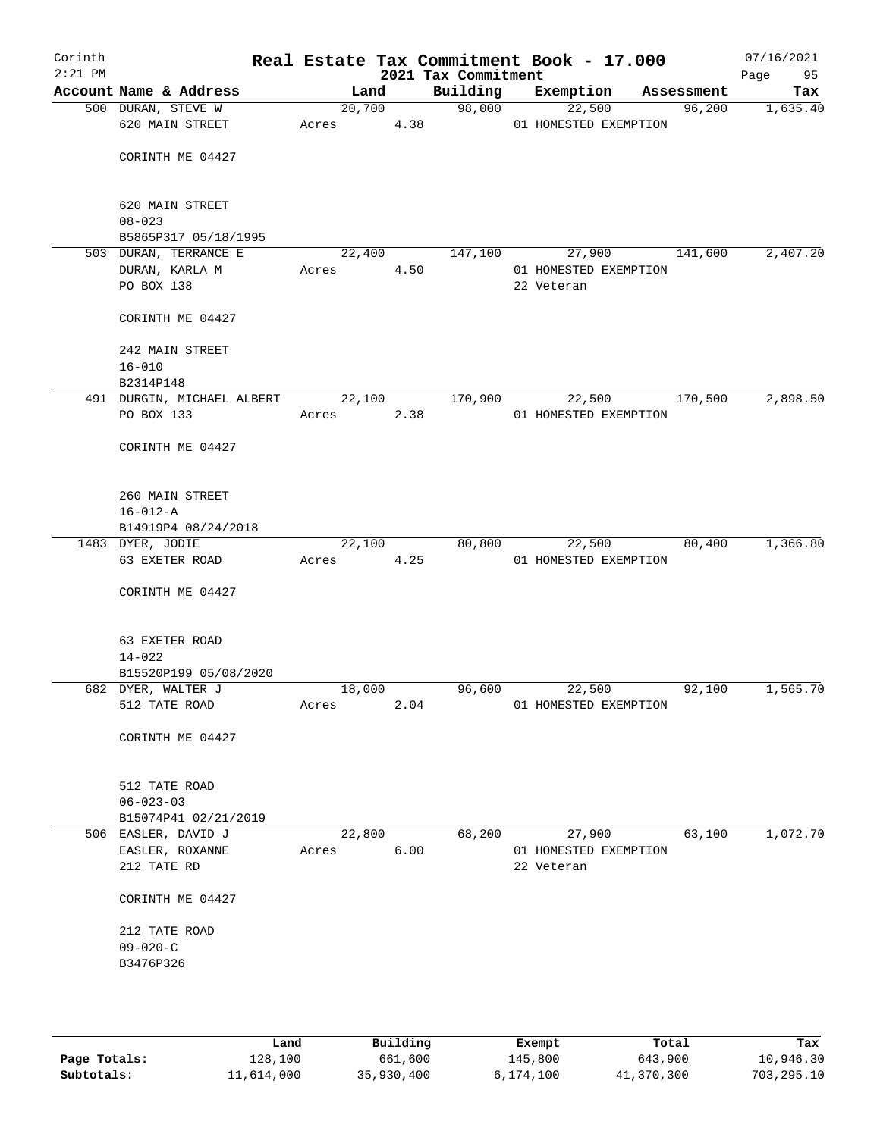| Corinth<br>$2:21$ PM |                                   |            |        | 2021 Tax Commitment | Real Estate Tax Commitment Book - 17.000 |            | 07/16/2021<br>Page<br>95 |
|----------------------|-----------------------------------|------------|--------|---------------------|------------------------------------------|------------|--------------------------|
|                      | Account Name & Address            |            | Land   | Building            | Exemption                                | Assessment | Tax                      |
|                      | 500 DURAN, STEVE W                |            | 20,700 | 98,000              | 22,500                                   | 96,200     | 1,635.40                 |
|                      | 620 MAIN STREET                   | Acres      | 4.38   |                     | 01 HOMESTED EXEMPTION                    |            |                          |
|                      | CORINTH ME 04427                  |            |        |                     |                                          |            |                          |
|                      | 620 MAIN STREET<br>$08 - 023$     |            |        |                     |                                          |            |                          |
|                      | B5865P317 05/18/1995              |            |        |                     |                                          |            |                          |
|                      | 503 DURAN, TERRANCE E             |            | 22,400 | 147,100             | 27,900                                   | 141,600    | 2,407.20                 |
|                      | DURAN, KARLA M                    | Acres      | 4.50   |                     | 01 HOMESTED EXEMPTION                    |            |                          |
|                      | PO BOX 138                        |            |        |                     | 22 Veteran                               |            |                          |
|                      | CORINTH ME 04427                  |            |        |                     |                                          |            |                          |
|                      | 242 MAIN STREET                   |            |        |                     |                                          |            |                          |
|                      | $16 - 010$                        |            |        |                     |                                          |            |                          |
|                      | B2314P148                         |            |        |                     |                                          |            |                          |
|                      | 491 DURGIN, MICHAEL ALBERT 22,100 |            |        | 170,900             | 22,500                                   | 170,500    | 2,898.50                 |
|                      | PO BOX 133                        | Acres 2.38 |        |                     | 01 HOMESTED EXEMPTION                    |            |                          |
|                      | CORINTH ME 04427                  |            |        |                     |                                          |            |                          |
|                      | 260 MAIN STREET                   |            |        |                     |                                          |            |                          |
|                      | $16 - 012 - A$                    |            |        |                     |                                          |            |                          |
|                      | B14919P4 08/24/2018               |            |        |                     |                                          |            |                          |
|                      | 1483 DYER, JODIE                  |            | 22,100 | 80,800              | 22,500                                   | 80,400     | 1,366.80                 |
|                      | 63 EXETER ROAD                    | Acres      | 4.25   |                     | 01 HOMESTED EXEMPTION                    |            |                          |
|                      | CORINTH ME 04427                  |            |        |                     |                                          |            |                          |
|                      | 63 EXETER ROAD                    |            |        |                     |                                          |            |                          |
|                      | $14 - 022$                        |            |        |                     |                                          |            |                          |
|                      | B15520P199 05/08/2020             |            |        |                     |                                          |            |                          |
|                      | 682 DYER, WALTER J                | 18,000     |        | 96,600              | 22,500                                   | 92,100     | 1,565.70                 |
|                      | 512 TATE ROAD                     | Acres      | 2.04   |                     | 01 HOMESTED EXEMPTION                    |            |                          |
|                      | CORINTH ME 04427                  |            |        |                     |                                          |            |                          |
|                      | 512 TATE ROAD                     |            |        |                     |                                          |            |                          |
|                      | $06 - 023 - 03$                   |            |        |                     |                                          |            |                          |
|                      | B15074P41 02/21/2019              |            |        |                     |                                          |            |                          |
|                      | 506 EASLER, DAVID J               |            | 22,800 | 68,200              | 27,900                                   | 63,100     | 1,072.70                 |
|                      | EASLER, ROXANNE<br>212 TATE RD    | Acres      | 6.00   |                     | 01 HOMESTED EXEMPTION<br>22 Veteran      |            |                          |
|                      | CORINTH ME 04427                  |            |        |                     |                                          |            |                          |
|                      | 212 TATE ROAD                     |            |        |                     |                                          |            |                          |
|                      | $09 - 020 - C$                    |            |        |                     |                                          |            |                          |
|                      | B3476P326                         |            |        |                     |                                          |            |                          |
|                      |                                   |            |        |                     |                                          |            |                          |
|                      |                                   |            |        |                     |                                          |            |                          |
|                      |                                   |            |        |                     |                                          |            |                          |

|              | Land       | Building   | Exempt    | Total      | Tax        |
|--------------|------------|------------|-----------|------------|------------|
| Page Totals: | 128,100    | 661,600    | 145,800   | 643,900    | 10,946.30  |
| Subtotals:   | 11,614,000 | 35,930,400 | 6,174,100 | 41,370,300 | 703,295.10 |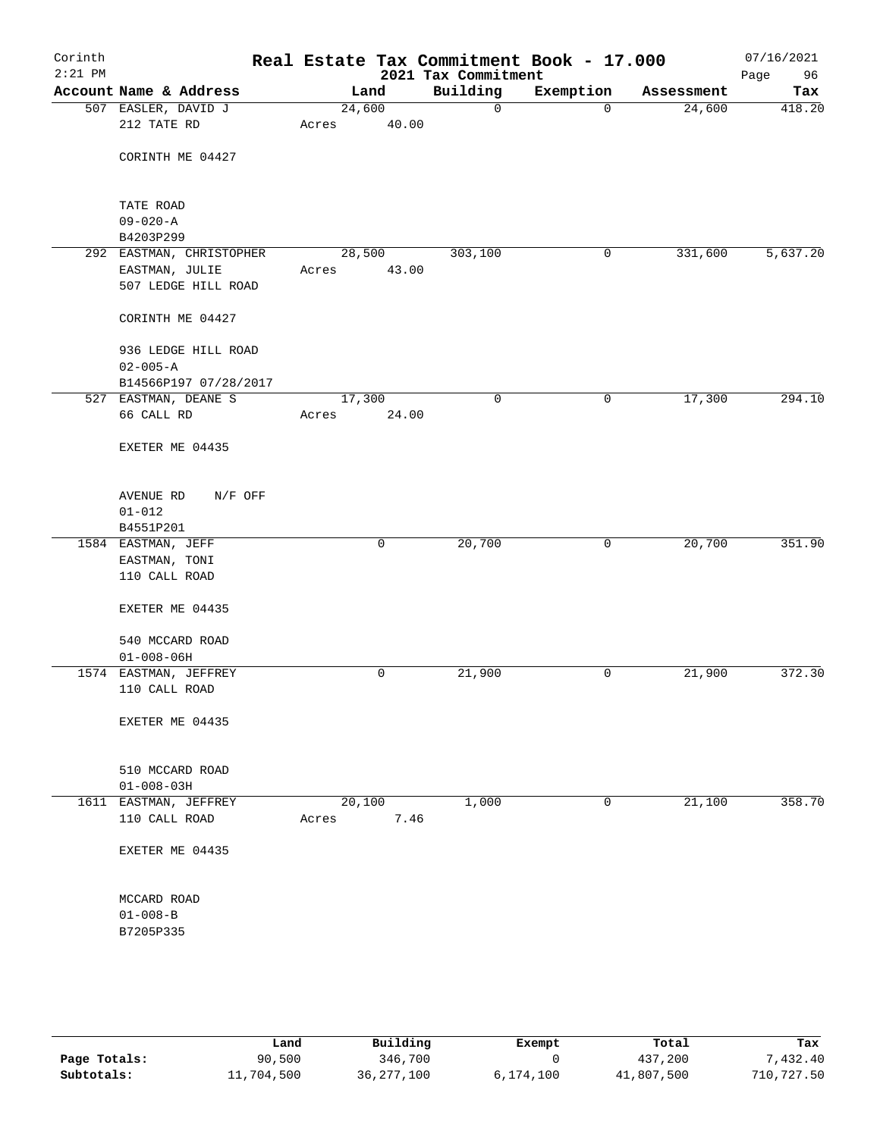| Corinth<br>$2:21$ PM |                          |        |        | 2021 Tax Commitment | Real Estate Tax Commitment Book - 17.000 |            | 07/16/2021<br>Page<br>96 |
|----------------------|--------------------------|--------|--------|---------------------|------------------------------------------|------------|--------------------------|
|                      | Account Name & Address   |        | Land   | Building            | Exemption                                | Assessment | Tax                      |
|                      | 507 EASLER, DAVID J      | 24,600 |        | 0                   | $\mathbf 0$                              | 24,600     | 418.20                   |
|                      | 212 TATE RD              | Acres  | 40.00  |                     |                                          |            |                          |
|                      |                          |        |        |                     |                                          |            |                          |
|                      | CORINTH ME 04427         |        |        |                     |                                          |            |                          |
|                      |                          |        |        |                     |                                          |            |                          |
|                      | TATE ROAD                |        |        |                     |                                          |            |                          |
|                      | $09 - 020 - A$           |        |        |                     |                                          |            |                          |
|                      | B4203P299                |        |        |                     |                                          |            |                          |
|                      | 292 EASTMAN, CHRISTOPHER |        | 28,500 | 303,100             | 0                                        | 331,600    | 5,637.20                 |
|                      | EASTMAN, JULIE           | Acres  | 43.00  |                     |                                          |            |                          |
|                      | 507 LEDGE HILL ROAD      |        |        |                     |                                          |            |                          |
|                      | CORINTH ME 04427         |        |        |                     |                                          |            |                          |
|                      | 936 LEDGE HILL ROAD      |        |        |                     |                                          |            |                          |
|                      | $02 - 005 - A$           |        |        |                     |                                          |            |                          |
|                      | B14566P197 07/28/2017    |        |        |                     |                                          |            |                          |
|                      | 527 EASTMAN, DEANE S     | 17,300 |        | $\mathbf 0$         | 0                                        | 17,300     | 294.10                   |
|                      | 66 CALL RD               | Acres  | 24.00  |                     |                                          |            |                          |
|                      | EXETER ME 04435          |        |        |                     |                                          |            |                          |
|                      |                          |        |        |                     |                                          |            |                          |
|                      | AVENUE RD<br>N/F OFF     |        |        |                     |                                          |            |                          |
|                      | $01 - 012$               |        |        |                     |                                          |            |                          |
|                      | B4551P201                |        |        |                     |                                          |            |                          |
|                      | 1584 EASTMAN, JEFF       |        | 0      | 20,700              | 0                                        | 20,700     | 351.90                   |
|                      | EASTMAN, TONI            |        |        |                     |                                          |            |                          |
|                      | 110 CALL ROAD            |        |        |                     |                                          |            |                          |
|                      | EXETER ME 04435          |        |        |                     |                                          |            |                          |
|                      | 540 MCCARD ROAD          |        |        |                     |                                          |            |                          |
|                      | $01 - 008 - 06H$         |        |        |                     |                                          |            |                          |
|                      | 1574 EASTMAN, JEFFREY    |        | 0      | 21,900              | 0                                        | 21,900     | 372.30                   |
|                      | 110 CALL ROAD            |        |        |                     |                                          |            |                          |
|                      | EXETER ME 04435          |        |        |                     |                                          |            |                          |
|                      |                          |        |        |                     |                                          |            |                          |
|                      | 510 MCCARD ROAD          |        |        |                     |                                          |            |                          |
|                      | $01 - 008 - 03H$         |        |        |                     |                                          |            |                          |
|                      | 1611 EASTMAN, JEFFREY    | 20,100 |        | 1,000               | 0                                        | 21,100     | 358.70                   |
|                      | 110 CALL ROAD            | Acres  | 7.46   |                     |                                          |            |                          |
|                      |                          |        |        |                     |                                          |            |                          |
|                      | EXETER ME 04435          |        |        |                     |                                          |            |                          |
|                      | MCCARD ROAD              |        |        |                     |                                          |            |                          |
|                      | $01 - 008 - B$           |        |        |                     |                                          |            |                          |
|                      | B7205P335                |        |        |                     |                                          |            |                          |
|                      |                          |        |        |                     |                                          |            |                          |
|                      |                          |        |        |                     |                                          |            |                          |

|              | Land       | Building   | Exempt    | Total      | Tax        |
|--------------|------------|------------|-----------|------------|------------|
| Page Totals: | 90,500     | 346,700    |           | 437,200    | 7,432.40   |
| Subtotals:   | 11,704,500 | 36,277,100 | 6,174,100 | 41,807,500 | 710,727.50 |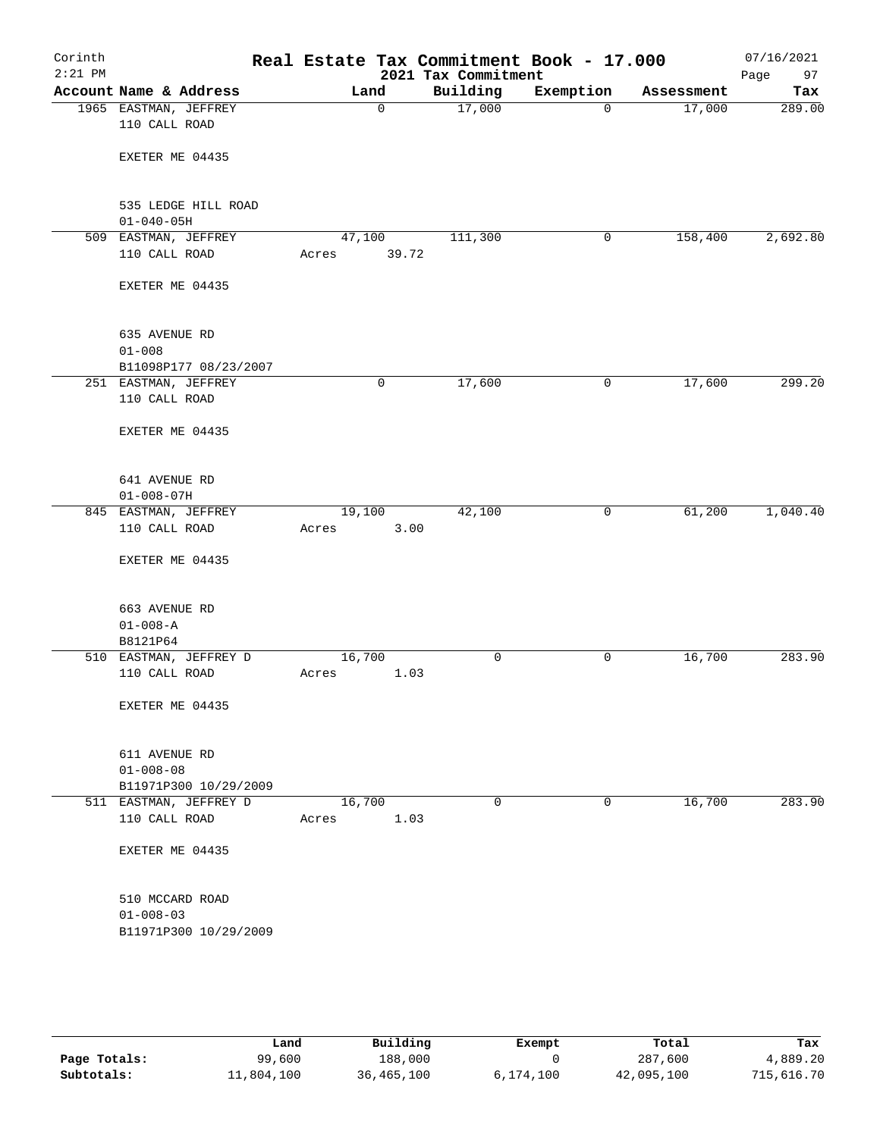| Corinth<br>$2:21$ PM |                                          |                 |             | 2021 Tax Commitment | Real Estate Tax Commitment Book - 17.000 |            | 07/16/2021<br>Page<br>97 |
|----------------------|------------------------------------------|-----------------|-------------|---------------------|------------------------------------------|------------|--------------------------|
|                      | Account Name & Address                   |                 | Land        | Building            | Exemption                                | Assessment | Tax                      |
|                      | 1965 EASTMAN, JEFFREY<br>110 CALL ROAD   |                 | $\mathbf 0$ | 17,000              | $\mathbf 0$                              | 17,000     | 289.00                   |
|                      | EXETER ME 04435                          |                 |             |                     |                                          |            |                          |
|                      | 535 LEDGE HILL ROAD<br>$01 - 040 - 05H$  |                 |             |                     |                                          |            |                          |
|                      | 509 EASTMAN, JEFFREY                     | 47,100          |             | 111,300             | 0                                        | 158,400    | 2,692.80                 |
|                      | 110 CALL ROAD                            | Acres           | 39.72       |                     |                                          |            |                          |
|                      | EXETER ME 04435                          |                 |             |                     |                                          |            |                          |
|                      | 635 AVENUE RD<br>$01 - 008$              |                 |             |                     |                                          |            |                          |
|                      | B11098P177 08/23/2007                    |                 |             |                     |                                          |            |                          |
|                      | 251 EASTMAN, JEFFREY                     |                 | 0           | 17,600              | 0                                        | 17,600     | 299.20                   |
|                      | 110 CALL ROAD                            |                 |             |                     |                                          |            |                          |
|                      | EXETER ME 04435                          |                 |             |                     |                                          |            |                          |
|                      | 641 AVENUE RD<br>$01 - 008 - 07H$        |                 |             |                     |                                          |            |                          |
|                      | 845 EASTMAN, JEFFREY                     | 19,100          |             | 42,100              | 0                                        | 61,200     | 1,040.40                 |
|                      | 110 CALL ROAD                            | Acres           | 3.00        |                     |                                          |            |                          |
|                      | EXETER ME 04435                          |                 |             |                     |                                          |            |                          |
|                      | 663 AVENUE RD                            |                 |             |                     |                                          |            |                          |
|                      | $01 - 008 - A$                           |                 |             |                     |                                          |            |                          |
|                      | B8121P64<br>510 EASTMAN, JEFFREY D       | 16,700          |             | 0                   | 0                                        | 16,700     | 283.90                   |
|                      | 110 CALL ROAD                            | Acres           | 1.03        |                     |                                          |            |                          |
|                      |                                          |                 |             |                     |                                          |            |                          |
|                      | EXETER ME 04435                          |                 |             |                     |                                          |            |                          |
|                      | 611 AVENUE RD                            |                 |             |                     |                                          |            |                          |
|                      | $01 - 008 - 08$                          |                 |             |                     |                                          |            |                          |
|                      | B11971P300 10/29/2009                    |                 |             |                     |                                          |            |                          |
|                      | 511 EASTMAN, JEFFREY D<br>110 CALL ROAD  | 16,700<br>Acres | 1.03        | 0                   | 0                                        | 16,700     | 283.90                   |
|                      | EXETER ME 04435                          |                 |             |                     |                                          |            |                          |
|                      | 510 MCCARD ROAD                          |                 |             |                     |                                          |            |                          |
|                      | $01 - 008 - 03$<br>B11971P300 10/29/2009 |                 |             |                     |                                          |            |                          |
|                      |                                          |                 |             |                     |                                          |            |                          |

|              | Land       | Building   | Exempt    | Total      | Tax        |
|--------------|------------|------------|-----------|------------|------------|
| Page Totals: | 99,600     | 188,000    |           | 287,600    | 4,889.20   |
| Subtotals:   | 11,804,100 | 36,465,100 | 6,174,100 | 42,095,100 | 715,616.70 |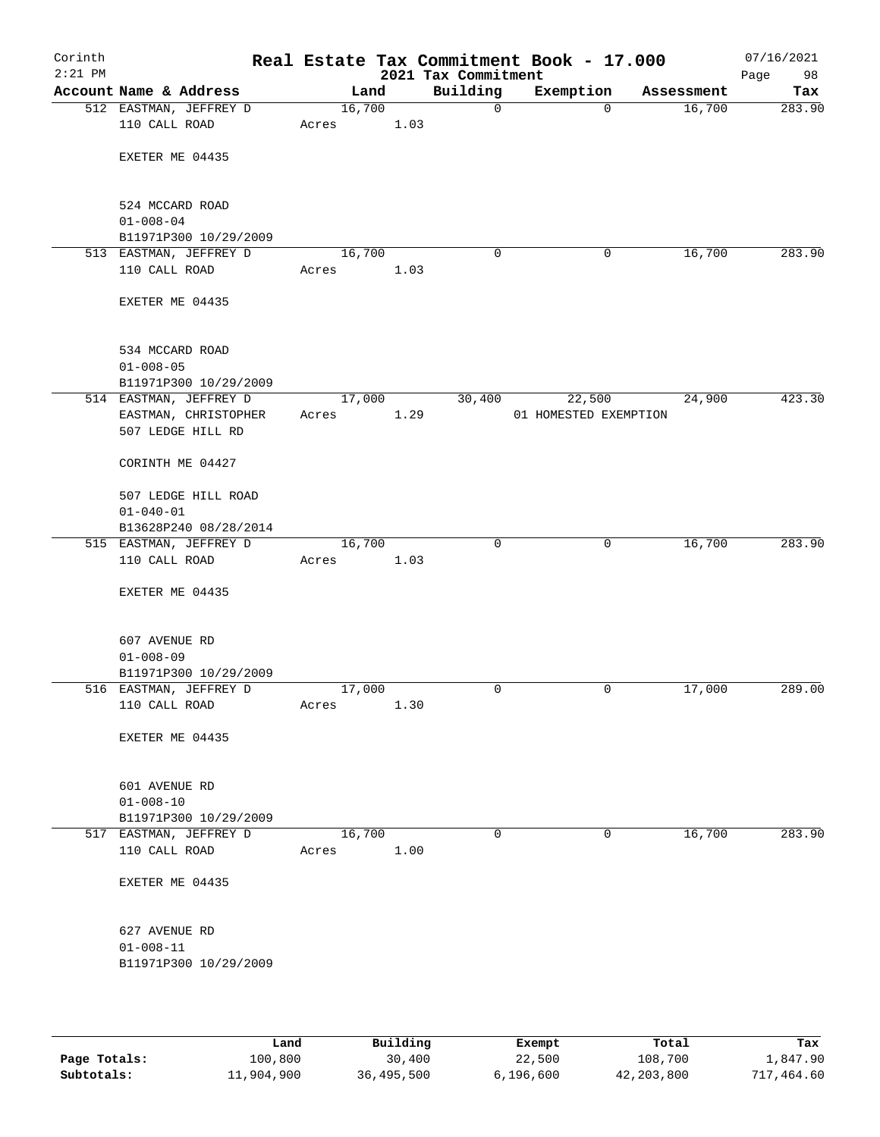| Corinth<br>$2:21$ PM |                                                 |       |        | 2021 Tax Commitment |              | Real Estate Tax Commitment Book - 17.000 |            | 07/16/2021<br>Page<br>98 |
|----------------------|-------------------------------------------------|-------|--------|---------------------|--------------|------------------------------------------|------------|--------------------------|
|                      | Account Name & Address                          |       | Land   | Building            |              | Exemption                                | Assessment | Tax                      |
|                      | 512 EASTMAN, JEFFREY D                          |       | 16,700 |                     | $\mathsf{O}$ | $\mathbf 0$                              | 16,700     | 283.90                   |
|                      | 110 CALL ROAD                                   | Acres |        | 1.03                |              |                                          |            |                          |
|                      | EXETER ME 04435                                 |       |        |                     |              |                                          |            |                          |
|                      |                                                 |       |        |                     |              |                                          |            |                          |
|                      |                                                 |       |        |                     |              |                                          |            |                          |
|                      | 524 MCCARD ROAD                                 |       |        |                     |              |                                          |            |                          |
|                      | $01 - 008 - 04$                                 |       |        |                     |              |                                          |            |                          |
|                      | B11971P300 10/29/2009<br>513 EASTMAN, JEFFREY D |       | 16,700 |                     | 0            | 0                                        | 16,700     | 283.90                   |
|                      | 110 CALL ROAD                                   | Acres |        | 1.03                |              |                                          |            |                          |
|                      |                                                 |       |        |                     |              |                                          |            |                          |
|                      | EXETER ME 04435                                 |       |        |                     |              |                                          |            |                          |
|                      | 534 MCCARD ROAD                                 |       |        |                     |              |                                          |            |                          |
|                      | $01 - 008 - 05$                                 |       |        |                     |              |                                          |            |                          |
|                      | B11971P300 10/29/2009                           |       |        |                     |              |                                          |            |                          |
|                      | 514 EASTMAN, JEFFREY D                          |       | 17,000 |                     | 30,400       | 22,500                                   | 24,900     | 423.30                   |
|                      | EASTMAN, CHRISTOPHER                            | Acres |        | 1.29                |              | 01 HOMESTED EXEMPTION                    |            |                          |
|                      | 507 LEDGE HILL RD                               |       |        |                     |              |                                          |            |                          |
|                      | CORINTH ME 04427                                |       |        |                     |              |                                          |            |                          |
|                      | 507 LEDGE HILL ROAD                             |       |        |                     |              |                                          |            |                          |
|                      | $01 - 040 - 01$                                 |       |        |                     |              |                                          |            |                          |
|                      | B13628P240 08/28/2014                           |       |        |                     |              |                                          |            |                          |
|                      | 515 EASTMAN, JEFFREY D                          |       | 16,700 |                     | $\Omega$     | $\mathbf 0$                              | 16,700     | 283.90                   |
|                      | 110 CALL ROAD                                   | Acres |        | 1.03                |              |                                          |            |                          |
|                      | EXETER ME 04435                                 |       |        |                     |              |                                          |            |                          |
|                      |                                                 |       |        |                     |              |                                          |            |                          |
|                      | 607 AVENUE RD                                   |       |        |                     |              |                                          |            |                          |
|                      | $01 - 008 - 09$                                 |       |        |                     |              |                                          |            |                          |
|                      | B11971P300 10/29/2009                           |       |        |                     |              |                                          |            |                          |
|                      | 516 EASTMAN, JEFFREY D                          |       | 17,000 |                     | 0            | 0                                        | 17,000     | 289.00                   |
|                      | 110 CALL ROAD                                   | Acres |        | 1.30                |              |                                          |            |                          |
|                      | EXETER ME 04435                                 |       |        |                     |              |                                          |            |                          |
|                      |                                                 |       |        |                     |              |                                          |            |                          |
|                      | 601 AVENUE RD                                   |       |        |                     |              |                                          |            |                          |
|                      | $01 - 008 - 10$                                 |       |        |                     |              |                                          |            |                          |
|                      | B11971P300 10/29/2009<br>517 EASTMAN, JEFFREY D |       | 16,700 |                     | $\mathbf 0$  | $\mathbf 0$                              | 16,700     | 283.90                   |
|                      | 110 CALL ROAD                                   | Acres |        | 1.00                |              |                                          |            |                          |
|                      |                                                 |       |        |                     |              |                                          |            |                          |
|                      | EXETER ME 04435                                 |       |        |                     |              |                                          |            |                          |
|                      | 627 AVENUE RD                                   |       |        |                     |              |                                          |            |                          |
|                      | $01 - 008 - 11$                                 |       |        |                     |              |                                          |            |                          |
|                      | B11971P300 10/29/2009                           |       |        |                     |              |                                          |            |                          |
|                      |                                                 |       |        |                     |              |                                          |            |                          |
|                      |                                                 |       |        |                     |              |                                          |            |                          |

|              | Land       | Building   | Exempt    | Total      | Tax        |
|--------------|------------|------------|-----------|------------|------------|
| Page Totals: | 100,800    | 30,400     | 22,500    | 108,700    | 1,847.90   |
| Subtotals:   | 11,904,900 | 36,495,500 | 6,196,600 | 42,203,800 | 717,464.60 |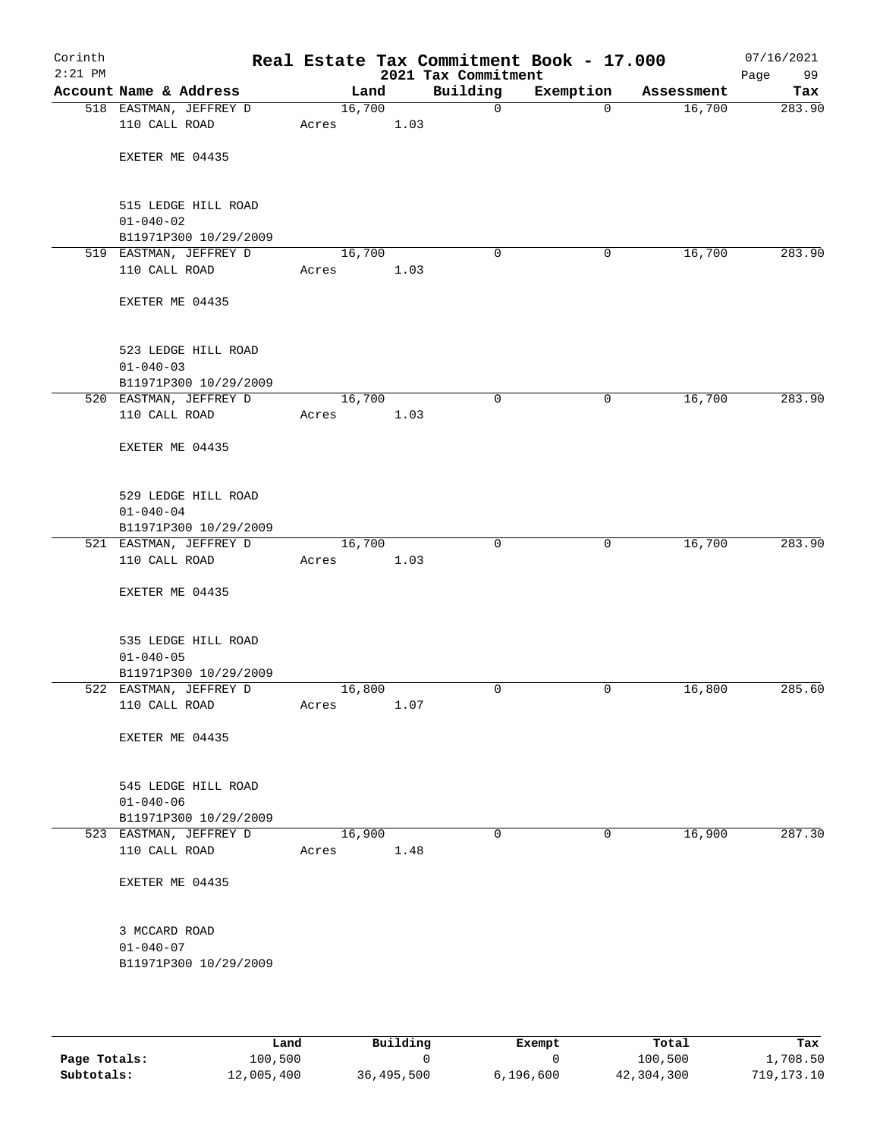| Corinth<br>$2:21$ PM |                                                 |                 |      | 2021 Tax Commitment | Real Estate Tax Commitment Book - 17.000 |            | 07/16/2021<br>Page<br>99 |
|----------------------|-------------------------------------------------|-----------------|------|---------------------|------------------------------------------|------------|--------------------------|
|                      | Account Name & Address                          | Land            |      | Building            | Exemption                                | Assessment | Tax                      |
|                      | 518 EASTMAN, JEFFREY D                          | 16,700          |      | $\mathsf{O}$        | $\mathbf 0$                              | 16,700     | 283.90                   |
|                      | 110 CALL ROAD                                   | Acres           | 1.03 |                     |                                          |            |                          |
|                      | EXETER ME 04435                                 |                 |      |                     |                                          |            |                          |
|                      | 515 LEDGE HILL ROAD                             |                 |      |                     |                                          |            |                          |
|                      | $01 - 040 - 02$                                 |                 |      |                     |                                          |            |                          |
|                      | B11971P300 10/29/2009<br>519 EASTMAN, JEFFREY D | 16,700          |      | 0                   | 0                                        | 16,700     | 283.90                   |
|                      | 110 CALL ROAD                                   | Acres           | 1.03 |                     |                                          |            |                          |
|                      | EXETER ME 04435                                 |                 |      |                     |                                          |            |                          |
|                      | 523 LEDGE HILL ROAD                             |                 |      |                     |                                          |            |                          |
|                      | $01 - 040 - 03$<br>B11971P300 10/29/2009        |                 |      |                     |                                          |            |                          |
|                      | 520 EASTMAN, JEFFREY D                          | 16,700          |      | $\mathbf 0$         | 0                                        | 16,700     | 283.90                   |
|                      | 110 CALL ROAD                                   | Acres           | 1.03 |                     |                                          |            |                          |
|                      | EXETER ME 04435                                 |                 |      |                     |                                          |            |                          |
|                      | 529 LEDGE HILL ROAD                             |                 |      |                     |                                          |            |                          |
|                      | $01 - 040 - 04$<br>B11971P300 10/29/2009        |                 |      |                     |                                          |            |                          |
|                      | 521 EASTMAN, JEFFREY D                          | 16,700          |      | $\mathbf 0$         | $\mathbf 0$                              | 16,700     | 283.90                   |
|                      | 110 CALL ROAD                                   | Acres           | 1.03 |                     |                                          |            |                          |
|                      | EXETER ME 04435                                 |                 |      |                     |                                          |            |                          |
|                      | 535 LEDGE HILL ROAD                             |                 |      |                     |                                          |            |                          |
|                      | $01 - 040 - 05$                                 |                 |      |                     |                                          |            |                          |
|                      | B11971P300 10/29/2009<br>522 EASTMAN, JEFFREY D | 16,800          |      | 0                   | 0                                        | 16,800     | 285.60                   |
|                      | 110 CALL ROAD                                   | Acres           | 1.07 |                     |                                          |            |                          |
|                      | EXETER ME 04435                                 |                 |      |                     |                                          |            |                          |
|                      | 545 LEDGE HILL ROAD                             |                 |      |                     |                                          |            |                          |
|                      | $01 - 040 - 06$                                 |                 |      |                     |                                          |            |                          |
|                      | B11971P300 10/29/2009                           |                 |      | $\mathbf 0$         | $\mathbf 0$                              |            |                          |
|                      | 523 EASTMAN, JEFFREY D<br>110 CALL ROAD         | 16,900<br>Acres | 1.48 |                     |                                          | 16,900     | 287.30                   |
|                      | EXETER ME 04435                                 |                 |      |                     |                                          |            |                          |
|                      | 3 MCCARD ROAD                                   |                 |      |                     |                                          |            |                          |
|                      | $01 - 040 - 07$                                 |                 |      |                     |                                          |            |                          |
|                      | B11971P300 10/29/2009                           |                 |      |                     |                                          |            |                          |
|                      |                                                 |                 |      |                     |                                          |            |                          |

|              | Land       | Building   | Exempt      | Total      | Tax          |
|--------------|------------|------------|-------------|------------|--------------|
| Page Totals: | 100,500    |            |             | 100,500    | 1,708.50     |
| Subtotals:   | 12,005,400 | 36,495,500 | 6, 196, 600 | 42,304,300 | 719, 173, 10 |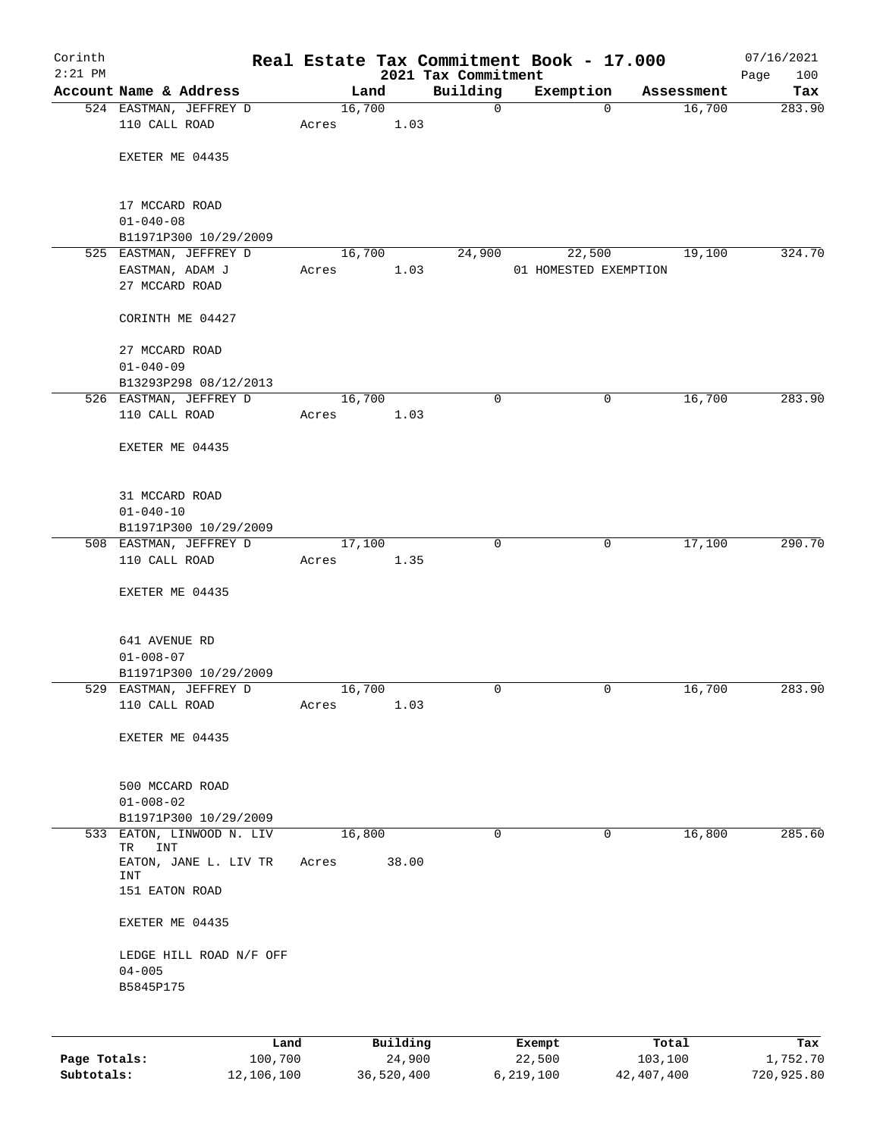| Corinth   |                                                 |       |                |                                 | Real Estate Tax Commitment Book - 17.000 |            | 07/16/2021         |
|-----------|-------------------------------------------------|-------|----------------|---------------------------------|------------------------------------------|------------|--------------------|
| $2:21$ PM | Account Name & Address                          |       | Land           | 2021 Tax Commitment<br>Building | Exemption                                | Assessment | Page<br>100<br>Tax |
|           | 524 EASTMAN, JEFFREY D                          |       | 16,700         | $\mathbf 0$                     | $\mathbf 0$                              | 16,700     | 283.90             |
|           | 110 CALL ROAD                                   | Acres | 1.03           |                                 |                                          |            |                    |
|           |                                                 |       |                |                                 |                                          |            |                    |
|           | EXETER ME 04435                                 |       |                |                                 |                                          |            |                    |
|           | 17 MCCARD ROAD                                  |       |                |                                 |                                          |            |                    |
|           | $01 - 040 - 08$                                 |       |                |                                 |                                          |            |                    |
|           | B11971P300 10/29/2009                           |       |                |                                 |                                          |            |                    |
|           | 525 EASTMAN, JEFFREY D                          |       | 16,700<br>1.03 | 24,900                          | 22,500<br>01 HOMESTED EXEMPTION          | 19,100     | 324.70             |
|           | EASTMAN, ADAM J<br>27 MCCARD ROAD               | Acres |                |                                 |                                          |            |                    |
|           | CORINTH ME 04427                                |       |                |                                 |                                          |            |                    |
|           | 27 MCCARD ROAD<br>$01 - 040 - 09$               |       |                |                                 |                                          |            |                    |
|           | B13293P298 08/12/2013                           |       |                |                                 |                                          |            |                    |
|           | 526 EASTMAN, JEFFREY D                          |       | 16,700         | $\mathbf 0$                     | 0                                        | 16,700     | 283.90             |
|           | 110 CALL ROAD                                   | Acres | 1.03           |                                 |                                          |            |                    |
|           | EXETER ME 04435                                 |       |                |                                 |                                          |            |                    |
|           | 31 MCCARD ROAD                                  |       |                |                                 |                                          |            |                    |
|           | $01 - 040 - 10$                                 |       |                |                                 |                                          |            |                    |
|           | B11971P300 10/29/2009                           |       |                |                                 |                                          |            |                    |
|           | 508 EASTMAN, JEFFREY D<br>110 CALL ROAD         | Acres | 17,100<br>1.35 | $\mathbf 0$                     | 0                                        | 17,100     | 290.70             |
|           | EXETER ME 04435                                 |       |                |                                 |                                          |            |                    |
|           |                                                 |       |                |                                 |                                          |            |                    |
|           | 641 AVENUE RD                                   |       |                |                                 |                                          |            |                    |
|           | $01 - 008 - 07$                                 |       |                |                                 |                                          |            |                    |
|           | B11971P300 10/29/2009<br>529 EASTMAN, JEFFREY D |       | 16,700         | 0                               | 0                                        | 16,700     | 283.90             |
|           | 110 CALL ROAD                                   | Acres | 1.03           |                                 |                                          |            |                    |
|           | EXETER ME 04435                                 |       |                |                                 |                                          |            |                    |
|           |                                                 |       |                |                                 |                                          |            |                    |
|           | 500 MCCARD ROAD                                 |       |                |                                 |                                          |            |                    |
|           | $01 - 008 - 02$                                 |       |                |                                 |                                          |            |                    |
|           | B11971P300 10/29/2009                           |       |                |                                 |                                          |            |                    |
|           | 533 EATON, LINWOOD N. LIV<br>TR<br>INT          |       | 16,800         | $\mathbf 0$                     | 0                                        | 16,800     | 285.60             |
|           | EATON, JANE L. LIV TR<br>INT                    | Acres | 38.00          |                                 |                                          |            |                    |
|           | 151 EATON ROAD                                  |       |                |                                 |                                          |            |                    |
|           | EXETER ME 04435                                 |       |                |                                 |                                          |            |                    |
|           | LEDGE HILL ROAD N/F OFF                         |       |                |                                 |                                          |            |                    |
|           | $04 - 005$                                      |       |                |                                 |                                          |            |                    |
|           | B5845P175                                       |       |                |                                 |                                          |            |                    |
|           |                                                 |       |                |                                 |                                          |            |                    |
|           |                                                 | Land  | Building       |                                 | Exempt                                   | Total      | Tax                |

|              | nana       | <b>Building</b> | вхешрс    | IOCAL      | 1 ax       |
|--------------|------------|-----------------|-----------|------------|------------|
| Page Totals: | 100,700    | 24,900          | 22,500    | 103,100    | 1,752.70   |
| Subtotals:   | 12,106,100 | 36,520,400      | 6,219,100 | 42,407,400 | 720,925.80 |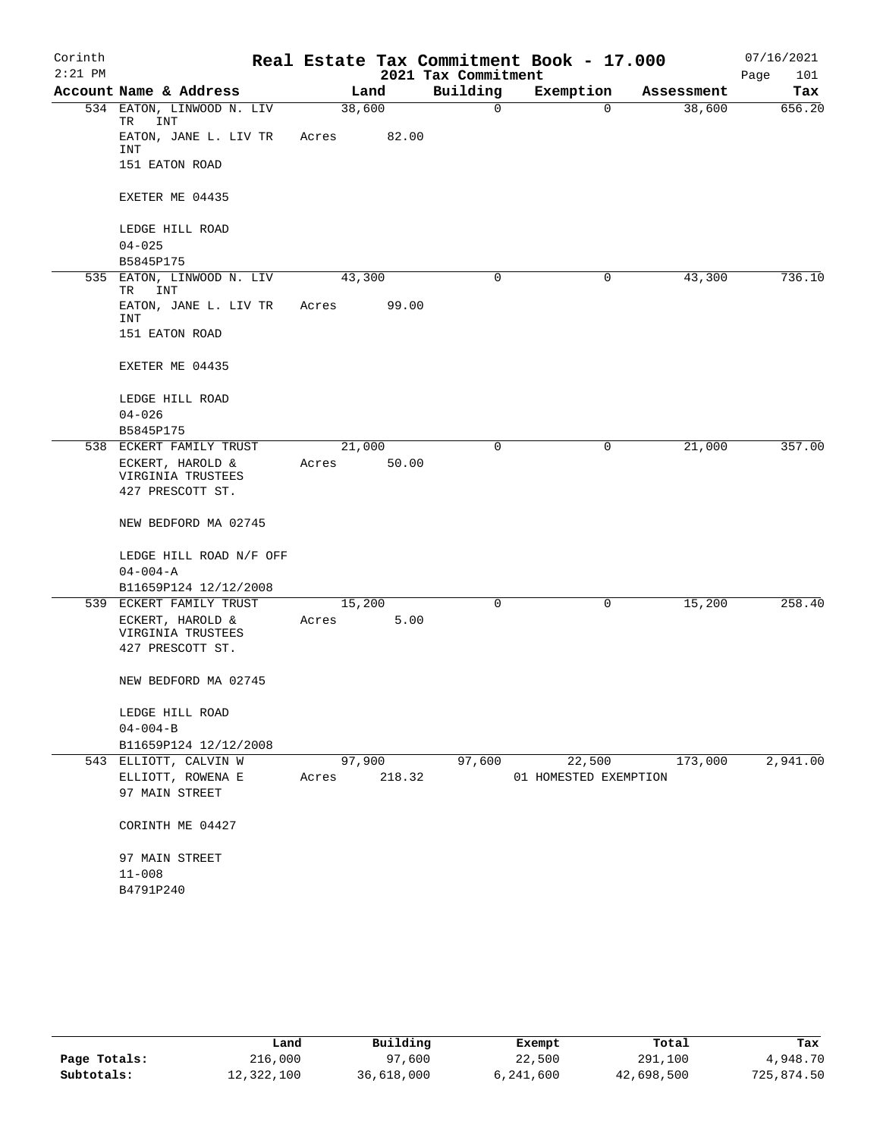| Corinth   |                                             |                 |        |                     | Real Estate Tax Commitment Book - 17.000 |            | 07/16/2021  |
|-----------|---------------------------------------------|-----------------|--------|---------------------|------------------------------------------|------------|-------------|
| $2:21$ PM |                                             |                 |        | 2021 Tax Commitment |                                          |            | Page<br>101 |
|           | Account Name & Address                      |                 | Land   | Building            | Exemption                                | Assessment | Tax         |
| 534       | EATON, LINWOOD N. LIV<br>INT<br>TR          | 38,600          |        | 0                   | $\Omega$                                 | 38,600     | 656.20      |
|           | EATON, JANE L. LIV TR<br><b>INT</b>         | Acres           | 82.00  |                     |                                          |            |             |
|           | 151 EATON ROAD                              |                 |        |                     |                                          |            |             |
|           | EXETER ME 04435                             |                 |        |                     |                                          |            |             |
|           | LEDGE HILL ROAD<br>$04 - 025$               |                 |        |                     |                                          |            |             |
|           | B5845P175                                   |                 |        |                     |                                          |            |             |
| 535       | EATON, LINWOOD N. LIV<br>INT<br>TR          | 43,300          |        | 0                   | 0                                        | 43,300     | 736.10      |
|           | EATON, JANE L. LIV TR                       | Acres           | 99.00  |                     |                                          |            |             |
|           | INT<br>151 EATON ROAD                       |                 |        |                     |                                          |            |             |
|           | EXETER ME 04435                             |                 |        |                     |                                          |            |             |
|           | LEDGE HILL ROAD                             |                 |        |                     |                                          |            |             |
|           | $04 - 026$                                  |                 |        |                     |                                          |            |             |
|           | B5845P175                                   |                 |        |                     |                                          |            |             |
|           | 538 ECKERT FAMILY TRUST                     | 21,000          |        | 0                   | 0                                        | 21,000     | 357.00      |
|           | ECKERT, HAROLD &<br>VIRGINIA TRUSTEES       | Acres           | 50.00  |                     |                                          |            |             |
|           | 427 PRESCOTT ST.                            |                 |        |                     |                                          |            |             |
|           | NEW BEDFORD MA 02745                        |                 |        |                     |                                          |            |             |
|           | LEDGE HILL ROAD N/F OFF                     |                 |        |                     |                                          |            |             |
|           | $04 - 004 - A$                              |                 |        |                     |                                          |            |             |
|           | B11659P124 12/12/2008                       |                 |        |                     |                                          |            |             |
|           | 539 ECKERT FAMILY TRUST<br>ECKERT, HAROLD & | 15,200<br>Acres | 5.00   | 0                   | 0                                        | 15,200     | 258.40      |
|           | VIRGINIA TRUSTEES<br>427 PRESCOTT ST.       |                 |        |                     |                                          |            |             |
|           |                                             |                 |        |                     |                                          |            |             |
|           | NEW BEDFORD MA 02745                        |                 |        |                     |                                          |            |             |
|           | LEDGE HILL ROAD                             |                 |        |                     |                                          |            |             |
|           | $04 - 004 - B$                              |                 |        |                     |                                          |            |             |
|           | B11659P124 12/12/2008                       |                 |        |                     |                                          |            |             |
|           | 543 ELLIOTT, CALVIN W                       | 97,900          |        | 97,600              | 22,500                                   | 173,000    | 2,941.00    |
|           | ELLIOTT, ROWENA E<br>97 MAIN STREET         | Acres           | 218.32 |                     | 01 HOMESTED EXEMPTION                    |            |             |
|           | CORINTH ME 04427                            |                 |        |                     |                                          |            |             |
|           | 97 MAIN STREET                              |                 |        |                     |                                          |            |             |
|           | $11 - 008$                                  |                 |        |                     |                                          |            |             |
|           | B4791P240                                   |                 |        |                     |                                          |            |             |

|              | Land       | Building   | Exempt    | Total      | Tax        |  |
|--------------|------------|------------|-----------|------------|------------|--|
| Page Totals: | 216,000    | 97,600     | 22,500    | 291,100    | 4,948.70   |  |
| Subtotals:   | 12,322,100 | 36,618,000 | 6,241,600 | 42,698,500 | 725,874.50 |  |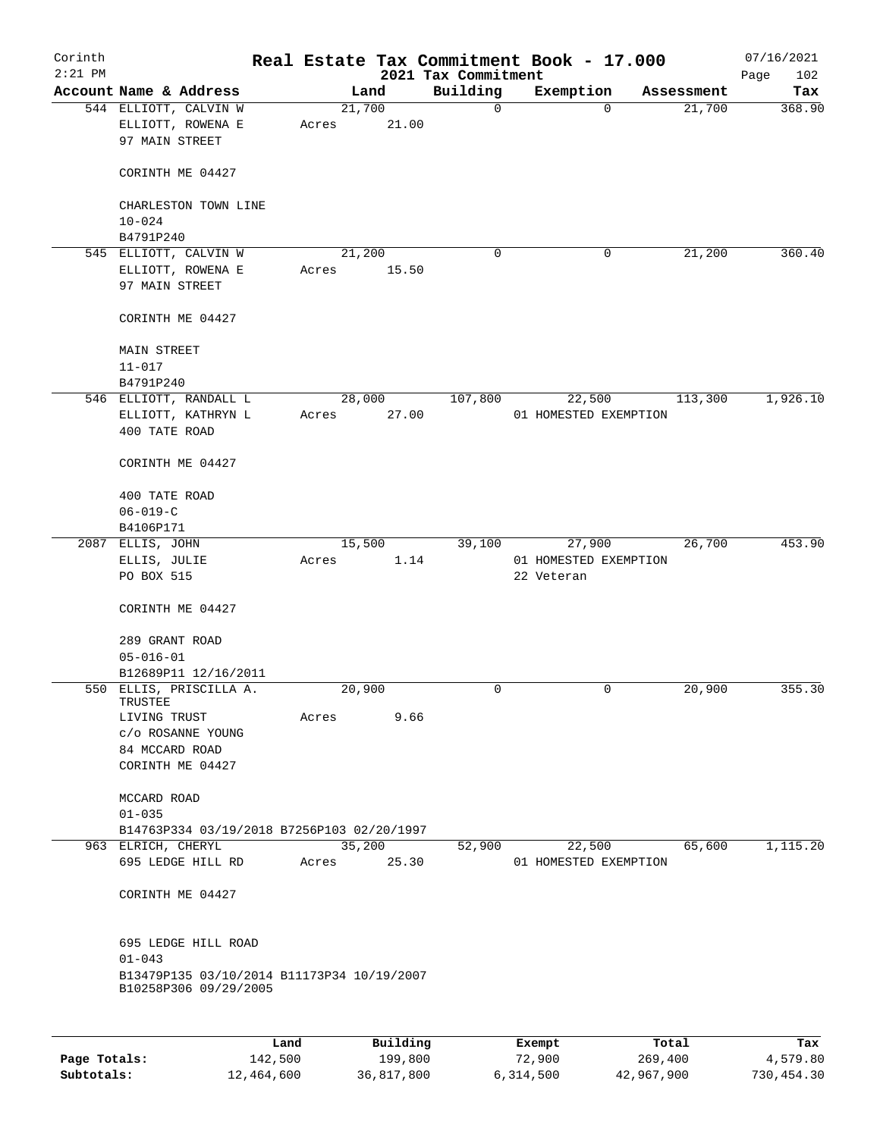| Corinth<br>$2:21$ PM |                                                                         |                 |                     | 2021 Tax Commitment | Real Estate Tax Commitment Book - 17.000 |                  | 07/16/2021<br>102<br>Page |
|----------------------|-------------------------------------------------------------------------|-----------------|---------------------|---------------------|------------------------------------------|------------------|---------------------------|
|                      | Account Name & Address                                                  |                 | Land                | Building            | Exemption                                | Assessment       | Tax                       |
|                      | 544 ELLIOTT, CALVIN W<br>ELLIOTT, ROWENA E<br>97 MAIN STREET            | 21,700<br>Acres | 21.00               | 0                   | $\Omega$                                 | 21,700           | 368.90                    |
|                      | CORINTH ME 04427                                                        |                 |                     |                     |                                          |                  |                           |
|                      | CHARLESTON TOWN LINE<br>$10 - 024$                                      |                 |                     |                     |                                          |                  |                           |
|                      | B4791P240                                                               |                 |                     |                     |                                          |                  |                           |
|                      | 545 ELLIOTT, CALVIN W<br>ELLIOTT, ROWENA E<br>97 MAIN STREET            | 21,200<br>Acres | 15.50               | 0                   | $\mathbf 0$                              | 21,200           | 360.40                    |
|                      | CORINTH ME 04427                                                        |                 |                     |                     |                                          |                  |                           |
|                      | MAIN STREET<br>$11 - 017$                                               |                 |                     |                     |                                          |                  |                           |
|                      | B4791P240                                                               |                 |                     |                     |                                          |                  |                           |
|                      | 546 ELLIOTT, RANDALL L<br>ELLIOTT, KATHRYN L<br>400 TATE ROAD           | Acres           | 28,000<br>27.00     | 107,800             | 22,500<br>01 HOMESTED EXEMPTION          | 113,300          | 1,926.10                  |
|                      | CORINTH ME 04427                                                        |                 |                     |                     |                                          |                  |                           |
|                      | 400 TATE ROAD                                                           |                 |                     |                     |                                          |                  |                           |
|                      | $06 - 019 - C$                                                          |                 |                     |                     |                                          |                  |                           |
|                      | B4106P171                                                               |                 |                     |                     |                                          |                  |                           |
|                      | 2087 ELLIS, JOHN                                                        |                 | 15,500              | 39,100              | 27,900                                   | 26,700           | 453.90                    |
|                      | ELLIS, JULIE<br>PO BOX 515                                              | Acres           | 1.14                |                     | 01 HOMESTED EXEMPTION<br>22 Veteran      |                  |                           |
|                      | CORINTH ME 04427                                                        |                 |                     |                     |                                          |                  |                           |
|                      | 289 GRANT ROAD<br>$05 - 016 - 01$<br>B12689P11 12/16/2011               |                 |                     |                     |                                          |                  |                           |
|                      | 550 ELLIS, PRISCILLA A.                                                 | 20,900          |                     | 0                   | 0                                        | 20,900           | 355.30                    |
|                      | TRUSTEE                                                                 |                 |                     |                     |                                          |                  |                           |
|                      | LIVING TRUST<br>c/o ROSANNE YOUNG<br>84 MCCARD ROAD<br>CORINTH ME 04427 | Acres           | 9.66                |                     |                                          |                  |                           |
|                      | MCCARD ROAD<br>$01 - 035$                                               |                 |                     |                     |                                          |                  |                           |
|                      | B14763P334 03/19/2018 B7256P103 02/20/1997                              |                 |                     |                     |                                          |                  |                           |
|                      | 963 ELRICH, CHERYL                                                      | 35,200          |                     | 52,900              | 22,500                                   | 65,600           | 1,115.20                  |
|                      | 695 LEDGE HILL RD                                                       | Acres           | 25.30               |                     | 01 HOMESTED EXEMPTION                    |                  |                           |
|                      | CORINTH ME 04427                                                        |                 |                     |                     |                                          |                  |                           |
|                      | 695 LEDGE HILL ROAD<br>$01 - 043$                                       |                 |                     |                     |                                          |                  |                           |
|                      | B13479P135 03/10/2014 B11173P34 10/19/2007<br>B10258P306 09/29/2005     |                 |                     |                     |                                          |                  |                           |
|                      |                                                                         |                 |                     |                     |                                          |                  |                           |
| Page Totals:         | Land<br>142,500                                                         |                 | Building<br>199,800 |                     | Exempt<br>72,900                         | Total<br>269,400 | Tax<br>4,579.80           |

**Subtotals:** 12,464,600 36,817,800 6,314,500 42,967,900 730,454.30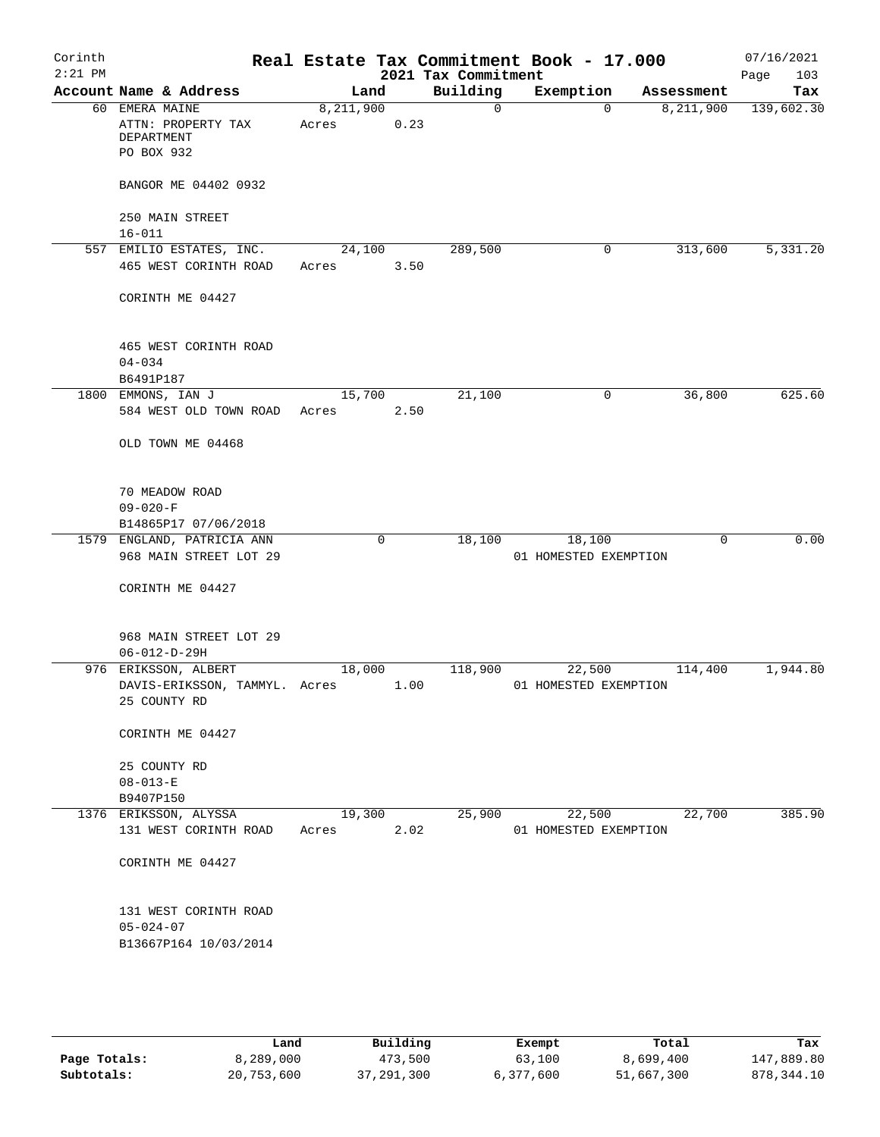| Corinth<br>$2:21$ PM |                                                                   |                    |             | 2021 Tax Commitment | Real Estate Tax Commitment Book - 17.000 |            | 07/16/2021<br>103<br>Page |
|----------------------|-------------------------------------------------------------------|--------------------|-------------|---------------------|------------------------------------------|------------|---------------------------|
|                      | Account Name & Address                                            | Land               |             | Building            | Exemption                                | Assessment | Tax                       |
|                      | 60 EMERA MAINE<br>ATTN: PROPERTY TAX<br>DEPARTMENT<br>PO BOX 932  | 8,211,900<br>Acres | 0.23        | $\Omega$            | $\Omega$                                 | 8,211,900  | 139,602.30                |
|                      | BANGOR ME 04402 0932                                              |                    |             |                     |                                          |            |                           |
|                      | 250 MAIN STREET<br>$16 - 011$                                     |                    |             |                     |                                          |            |                           |
|                      | 557 EMILIO ESTATES, INC.                                          | 24,100             |             | 289,500             | $\mathbf 0$                              | 313,600    | 5,331.20                  |
|                      | 465 WEST CORINTH ROAD                                             | Acres              | 3.50        |                     |                                          |            |                           |
|                      | CORINTH ME 04427                                                  |                    |             |                     |                                          |            |                           |
|                      | 465 WEST CORINTH ROAD<br>$04 - 034$<br>B6491P187                  |                    |             |                     |                                          |            |                           |
|                      | 1800 EMMONS, IAN J                                                | 15,700             |             | 21,100              | 0                                        | 36,800     | 625.60                    |
|                      | 584 WEST OLD TOWN ROAD                                            | Acres              | 2.50        |                     |                                          |            |                           |
|                      | OLD TOWN ME 04468                                                 |                    |             |                     |                                          |            |                           |
|                      | 70 MEADOW ROAD<br>$09 - 020 - F$                                  |                    |             |                     |                                          |            |                           |
|                      | B14865P17 07/06/2018                                              |                    |             |                     |                                          |            |                           |
|                      | 1579 ENGLAND, PATRICIA ANN<br>968 MAIN STREET LOT 29              |                    | $\mathbf 0$ | 18,100              | 18,100<br>01 HOMESTED EXEMPTION          | $\Omega$   | 0.00                      |
|                      | CORINTH ME 04427                                                  |                    |             |                     |                                          |            |                           |
|                      | 968 MAIN STREET LOT 29<br>$06 - 012 - D - 29H$                    |                    |             |                     |                                          |            |                           |
|                      | 976 ERIKSSON, ALBERT                                              | 18,000             |             | 118,900             | 22,500                                   | 114,400    | 1,944.80                  |
|                      | DAVIS-ERIKSSON, TAMMYL. Acres<br>25 COUNTY RD                     |                    | 1.00        |                     | 01 HOMESTED EXEMPTION                    |            |                           |
|                      | CORINTH ME 04427                                                  |                    |             |                     |                                          |            |                           |
|                      | 25 COUNTY RD                                                      |                    |             |                     |                                          |            |                           |
|                      | $08 - 013 - E$                                                    |                    |             |                     |                                          |            |                           |
|                      | B9407P150<br>1376 ERIKSSON, ALYSSA                                | 19,300             |             | 25,900              | 22,500                                   | 22,700     | 385.90                    |
|                      | 131 WEST CORINTH ROAD                                             | Acres              | 2.02        |                     | 01 HOMESTED EXEMPTION                    |            |                           |
|                      | CORINTH ME 04427                                                  |                    |             |                     |                                          |            |                           |
|                      | 131 WEST CORINTH ROAD<br>$05 - 024 - 07$<br>B13667P164 10/03/2014 |                    |             |                     |                                          |            |                           |
|                      |                                                                   |                    |             |                     |                                          |            |                           |

|              | Land       | Building     | Exempt    | Total      | Tax         |
|--------------|------------|--------------|-----------|------------|-------------|
| Page Totals: | 8,289,000  | 473,500      | 63,100    | 8,699,400  | 147,889.80  |
| Subtotals:   | 20,753,600 | 37, 291, 300 | 6,377,600 | 51,667,300 | 878, 344.10 |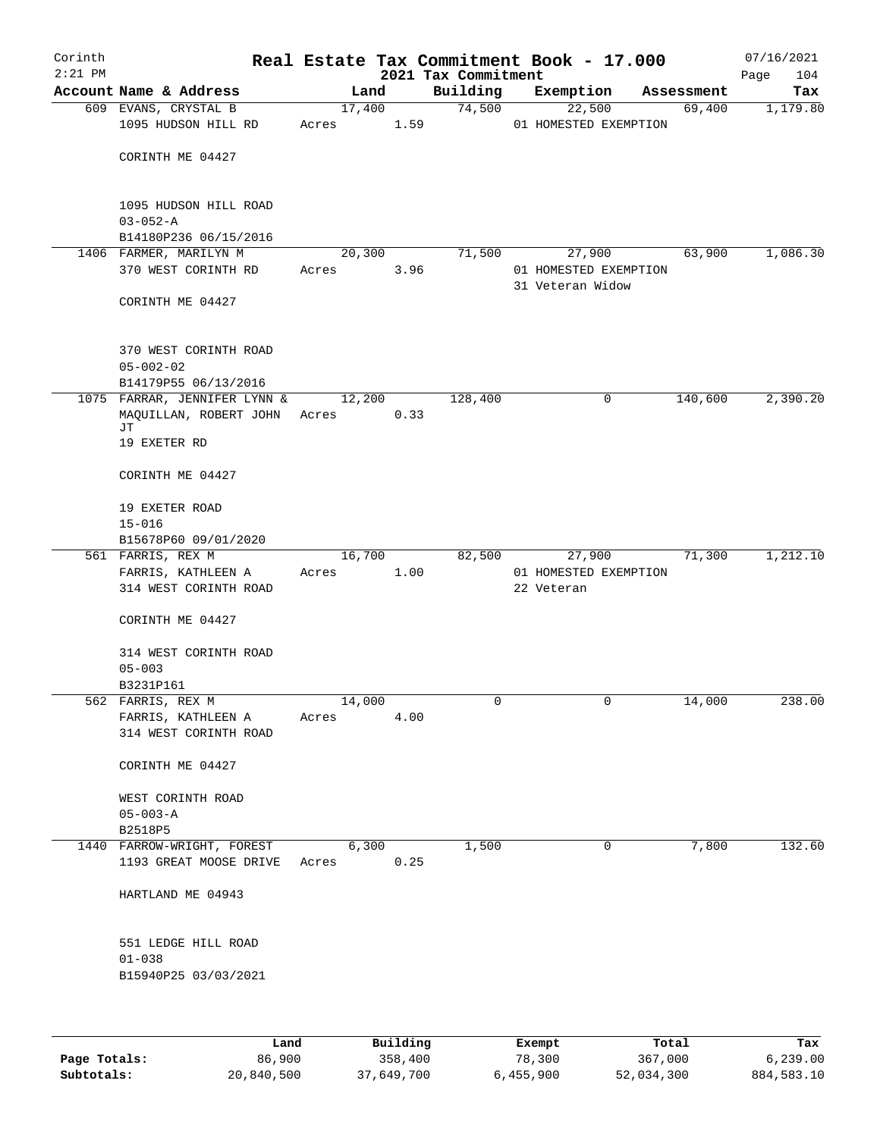| Corinth   |                                                              |       |                |      |                     | Real Estate Tax Commitment Book - 17.000  |                      | 07/16/2021      |
|-----------|--------------------------------------------------------------|-------|----------------|------|---------------------|-------------------------------------------|----------------------|-----------------|
| $2:21$ PM |                                                              |       |                |      | 2021 Tax Commitment |                                           |                      | 104<br>Page     |
|           | Account Name & Address                                       |       | Land<br>17,400 |      | Building<br>74,500  | Exemption<br>22,500                       | Assessment<br>69,400 | Tax<br>1,179.80 |
|           | 609 EVANS, CRYSTAL B<br>1095 HUDSON HILL RD                  | Acres |                | 1.59 |                     | 01 HOMESTED EXEMPTION                     |                      |                 |
|           | CORINTH ME 04427                                             |       |                |      |                     |                                           |                      |                 |
|           | 1095 HUDSON HILL ROAD<br>$03 - 052 - A$                      |       |                |      |                     |                                           |                      |                 |
|           | B14180P236 06/15/2016                                        |       |                |      |                     |                                           |                      |                 |
|           | 1406 FARMER, MARILYN M                                       |       | 20,300         |      | 71,500              | 27,900                                    | 63,900               | 1,086.30        |
|           | 370 WEST CORINTH RD                                          | Acres |                | 3.96 |                     | 01 HOMESTED EXEMPTION<br>31 Veteran Widow |                      |                 |
|           | CORINTH ME 04427                                             |       |                |      |                     |                                           |                      |                 |
|           | 370 WEST CORINTH ROAD<br>$05 - 002 - 02$                     |       |                |      |                     |                                           |                      |                 |
|           | B14179P55 06/13/2016                                         |       |                |      |                     |                                           |                      |                 |
|           | 1075 FARRAR, JENNIFER LYNN &<br>MAQUILLAN, ROBERT JOHN<br>JТ | Acres | 12,200         | 0.33 | 128,400             | 0                                         | 140,600              | 2,390.20        |
|           | 19 EXETER RD                                                 |       |                |      |                     |                                           |                      |                 |
|           | CORINTH ME 04427                                             |       |                |      |                     |                                           |                      |                 |
|           | 19 EXETER ROAD<br>$15 - 016$                                 |       |                |      |                     |                                           |                      |                 |
|           | B15678P60 09/01/2020                                         |       |                |      |                     |                                           |                      |                 |
|           | 561 FARRIS, REX M                                            |       | 16,700         |      | 82,500              | 27,900                                    | 71,300               | 1,212.10        |
|           | FARRIS, KATHLEEN A<br>314 WEST CORINTH ROAD                  | Acres |                | 1.00 |                     | 01 HOMESTED EXEMPTION<br>22 Veteran       |                      |                 |
|           | CORINTH ME 04427                                             |       |                |      |                     |                                           |                      |                 |
|           | 314 WEST CORINTH ROAD                                        |       |                |      |                     |                                           |                      |                 |
|           | $05 - 003$<br>B3231P161                                      |       |                |      |                     |                                           |                      |                 |
|           | 562 FARRIS, REX M                                            |       | 14,000         |      | 0                   | 0                                         | 14,000               | 238.00          |
|           | FARRIS, KATHLEEN A                                           | Acres |                | 4.00 |                     |                                           |                      |                 |
|           | 314 WEST CORINTH ROAD                                        |       |                |      |                     |                                           |                      |                 |
|           | CORINTH ME 04427                                             |       |                |      |                     |                                           |                      |                 |
|           | WEST CORINTH ROAD<br>$05 - 003 - A$                          |       |                |      |                     |                                           |                      |                 |
|           | B2518P5                                                      |       |                |      |                     |                                           |                      |                 |
|           | 1440 FARROW-WRIGHT, FOREST                                   |       | 6,300          |      | 1,500               | 0                                         | 7,800                | 132.60          |
|           | 1193 GREAT MOOSE DRIVE                                       | Acres |                | 0.25 |                     |                                           |                      |                 |
|           | HARTLAND ME 04943                                            |       |                |      |                     |                                           |                      |                 |
|           | 551 LEDGE HILL ROAD                                          |       |                |      |                     |                                           |                      |                 |
|           | $01 - 038$<br>B15940P25 03/03/2021                           |       |                |      |                     |                                           |                      |                 |
|           |                                                              |       |                |      |                     |                                           |                      |                 |
|           |                                                              |       |                |      |                     |                                           |                      |                 |

|              | Land       | Building   | Exempt    | Total      | Tax        |
|--------------|------------|------------|-----------|------------|------------|
| Page Totals: | 86,900     | 358,400    | 78,300    | 367,000    | 6, 239, 00 |
| Subtotals:   | 20,840,500 | 37,649,700 | 6,455,900 | 52,034,300 | 884,583.10 |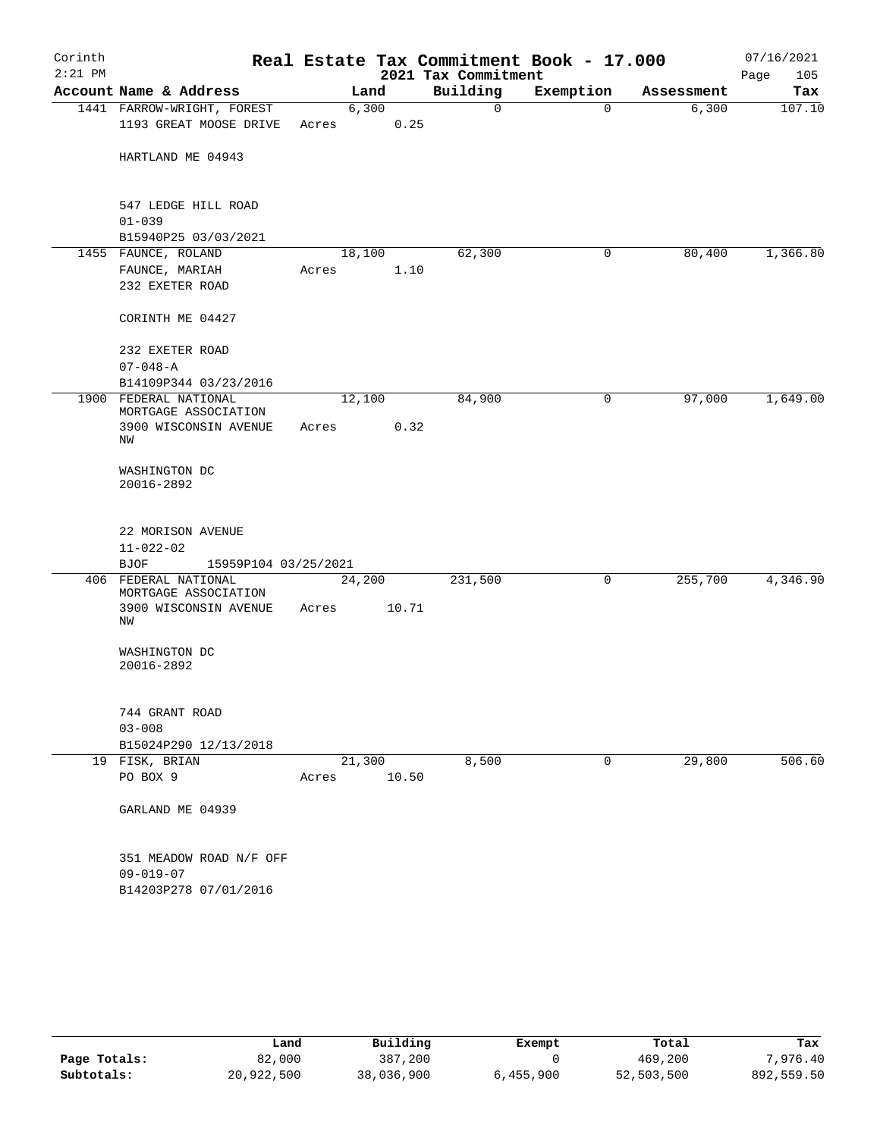| Corinth<br>$2:21$ PM |                                                                        |                 |       | 2021 Tax Commitment | Real Estate Tax Commitment Book - 17.000 |            | 07/16/2021<br>Page<br>105 |
|----------------------|------------------------------------------------------------------------|-----------------|-------|---------------------|------------------------------------------|------------|---------------------------|
|                      | Account Name & Address                                                 | Land            |       | Building            | Exemption                                | Assessment | Tax                       |
|                      | 1441 FARROW-WRIGHT, FOREST                                             | 6,300           |       | 0                   | $\Omega$                                 | 6,300      | 107.10                    |
|                      | 1193 GREAT MOOSE DRIVE                                                 | Acres           | 0.25  |                     |                                          |            |                           |
|                      | HARTLAND ME 04943                                                      |                 |       |                     |                                          |            |                           |
|                      | 547 LEDGE HILL ROAD<br>$01 - 039$                                      |                 |       |                     |                                          |            |                           |
|                      | B15940P25 03/03/2021                                                   |                 |       |                     |                                          |            |                           |
|                      | 1455 FAUNCE, ROLAND                                                    | 18,100          |       | 62,300              | 0                                        | 80,400     | 1,366.80                  |
|                      | FAUNCE, MARIAH<br>232 EXETER ROAD                                      | Acres           | 1.10  |                     |                                          |            |                           |
|                      | CORINTH ME 04427                                                       |                 |       |                     |                                          |            |                           |
|                      | 232 EXETER ROAD<br>$07 - 048 - A$                                      |                 |       |                     |                                          |            |                           |
|                      | B14109P344 03/23/2016                                                  |                 |       |                     |                                          |            |                           |
|                      | 1900 FEDERAL NATIONAL<br>MORTGAGE ASSOCIATION<br>3900 WISCONSIN AVENUE | 12,100<br>Acres | 0.32  | 84,900              | $\mathsf{O}$                             | 97,000     | 1,649.00                  |
|                      | ΝW                                                                     |                 |       |                     |                                          |            |                           |
|                      | WASHINGTON DC<br>20016-2892                                            |                 |       |                     |                                          |            |                           |
|                      | 22 MORISON AVENUE<br>$11 - 022 - 02$                                   |                 |       |                     |                                          |            |                           |
|                      | <b>BJOF</b><br>15959P104 03/25/2021                                    |                 |       |                     |                                          |            |                           |
|                      | 406 FEDERAL NATIONAL<br>MORTGAGE ASSOCIATION                           | 24,200          |       | 231,500             | 0                                        | 255,700    | 4,346.90                  |
|                      | 3900 WISCONSIN AVENUE<br>ΝW                                            | Acres           | 10.71 |                     |                                          |            |                           |
|                      | WASHINGTON DC<br>20016-2892                                            |                 |       |                     |                                          |            |                           |
|                      | 744 GRANT ROAD                                                         |                 |       |                     |                                          |            |                           |
|                      | $03 - 008$                                                             |                 |       |                     |                                          |            |                           |
|                      | B15024P290 12/13/2018                                                  |                 |       |                     |                                          |            |                           |
|                      | 19 FISK, BRIAN<br>PO BOX 9                                             | 21,300          | 10.50 | 8,500               | $\mathbf{0}$                             | 29,800     | 506.60                    |
|                      |                                                                        | Acres           |       |                     |                                          |            |                           |
|                      | GARLAND ME 04939                                                       |                 |       |                     |                                          |            |                           |
|                      | 351 MEADOW ROAD N/F OFF                                                |                 |       |                     |                                          |            |                           |
|                      | $09 - 019 - 07$                                                        |                 |       |                     |                                          |            |                           |
|                      | B14203P278 07/01/2016                                                  |                 |       |                     |                                          |            |                           |

|              | Land       | Building   | Exempt    | Total      | Tax        |
|--------------|------------|------------|-----------|------------|------------|
| Page Totals: | 82,000     | 387,200    |           | 469,200    | 7,976.40   |
| Subtotals:   | 20,922,500 | 38,036,900 | 6,455,900 | 52,503,500 | 892,559.50 |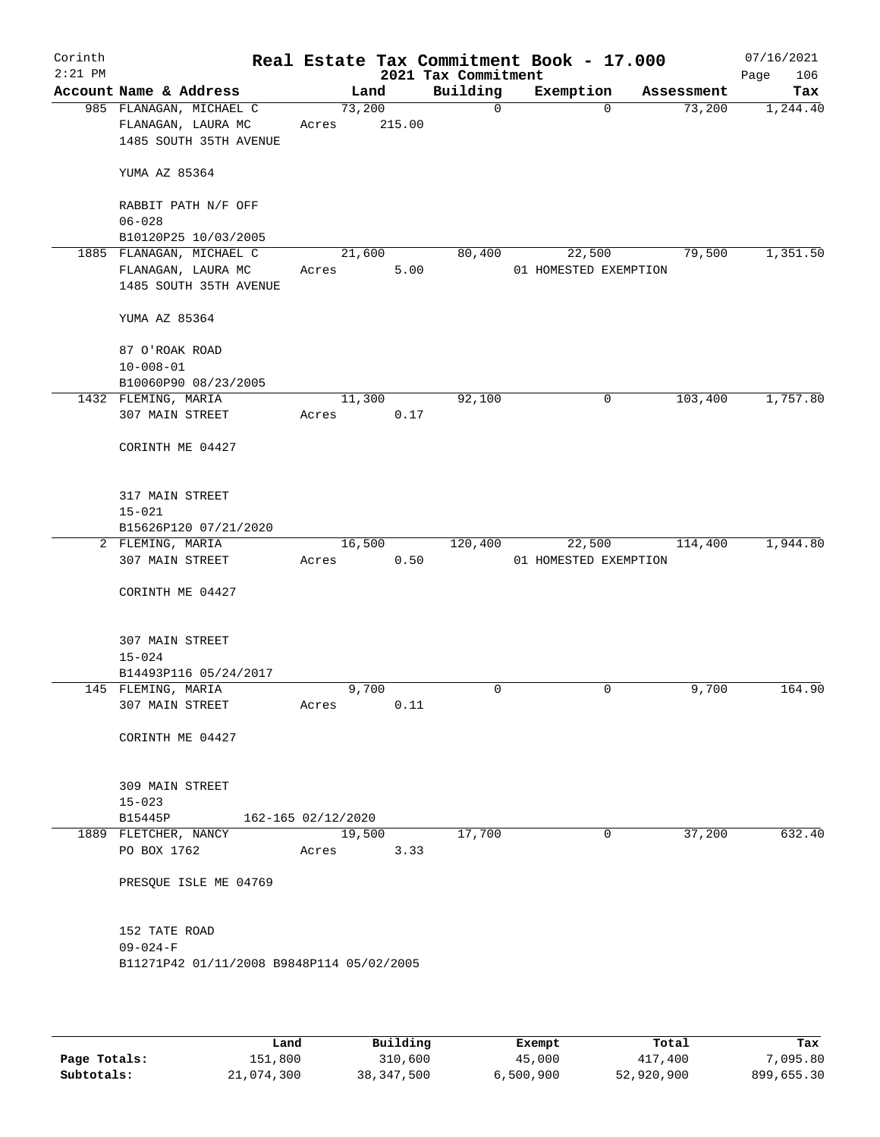| Corinth<br>$2:21$ PM |                                           |                    |        | 2021 Tax Commitment | Real Estate Tax Commitment Book - 17.000 |            | 07/16/2021<br>Page<br>106 |
|----------------------|-------------------------------------------|--------------------|--------|---------------------|------------------------------------------|------------|---------------------------|
|                      | Account Name & Address                    | Land               |        | Building            | Exemption                                | Assessment | Tax                       |
|                      | 985 FLANAGAN, MICHAEL C                   | 73,200             |        | $\mathsf{O}$        | $\Omega$                                 | 73,200     | 1,244.40                  |
|                      | FLANAGAN, LAURA MC                        | Acres              | 215.00 |                     |                                          |            |                           |
|                      | 1485 SOUTH 35TH AVENUE                    |                    |        |                     |                                          |            |                           |
|                      |                                           |                    |        |                     |                                          |            |                           |
|                      | YUMA AZ 85364                             |                    |        |                     |                                          |            |                           |
|                      |                                           |                    |        |                     |                                          |            |                           |
|                      | RABBIT PATH N/F OFF                       |                    |        |                     |                                          |            |                           |
|                      | $06 - 028$                                |                    |        |                     |                                          |            |                           |
|                      | B10120P25 10/03/2005                      |                    |        |                     |                                          |            |                           |
|                      | 1885 FLANAGAN, MICHAEL C                  | 21,600             |        | 80,400              | 22,500                                   | 79,500     | 1,351.50                  |
|                      | FLANAGAN, LAURA MC                        | Acres              | 5.00   |                     | 01 HOMESTED EXEMPTION                    |            |                           |
|                      | 1485 SOUTH 35TH AVENUE                    |                    |        |                     |                                          |            |                           |
|                      |                                           |                    |        |                     |                                          |            |                           |
|                      | YUMA AZ 85364                             |                    |        |                     |                                          |            |                           |
|                      |                                           |                    |        |                     |                                          |            |                           |
|                      | 87 O'ROAK ROAD                            |                    |        |                     |                                          |            |                           |
|                      | $10 - 008 - 01$                           |                    |        |                     |                                          |            |                           |
|                      | B10060P90 08/23/2005                      |                    |        |                     |                                          |            |                           |
|                      | 1432 FLEMING, MARIA                       | 11,300             |        | 92,100              | 0                                        | 103,400    | 1,757.80                  |
|                      | 307 MAIN STREET                           | Acres              | 0.17   |                     |                                          |            |                           |
|                      |                                           |                    |        |                     |                                          |            |                           |
|                      | CORINTH ME 04427                          |                    |        |                     |                                          |            |                           |
|                      |                                           |                    |        |                     |                                          |            |                           |
|                      |                                           |                    |        |                     |                                          |            |                           |
|                      | 317 MAIN STREET                           |                    |        |                     |                                          |            |                           |
|                      | $15 - 021$                                |                    |        |                     |                                          |            |                           |
|                      | B15626P120 07/21/2020                     |                    |        |                     |                                          |            |                           |
|                      | 2 FLEMING, MARIA                          | 16,500             |        | 120,400             | 22,500                                   | 114,400    | 1,944.80                  |
|                      | 307 MAIN STREET                           | Acres              | 0.50   |                     | 01 HOMESTED EXEMPTION                    |            |                           |
|                      |                                           |                    |        |                     |                                          |            |                           |
|                      | CORINTH ME 04427                          |                    |        |                     |                                          |            |                           |
|                      |                                           |                    |        |                     |                                          |            |                           |
|                      |                                           |                    |        |                     |                                          |            |                           |
|                      | 307 MAIN STREET                           |                    |        |                     |                                          |            |                           |
|                      | $15 - 024$                                |                    |        |                     |                                          |            |                           |
|                      | B14493P116 05/24/2017                     |                    |        |                     |                                          |            |                           |
|                      | 145 FLEMING, MARIA                        | 9,700              |        | 0                   | $\mathbf 0$                              | 9,700      | 164.90                    |
|                      | 307 MAIN STREET                           | Acres              | 0.11   |                     |                                          |            |                           |
|                      |                                           |                    |        |                     |                                          |            |                           |
|                      | CORINTH ME 04427                          |                    |        |                     |                                          |            |                           |
|                      |                                           |                    |        |                     |                                          |            |                           |
|                      |                                           |                    |        |                     |                                          |            |                           |
|                      | 309 MAIN STREET                           |                    |        |                     |                                          |            |                           |
|                      | $15 - 023$                                |                    |        |                     |                                          |            |                           |
|                      | B15445P                                   | 162-165 02/12/2020 |        |                     |                                          |            |                           |
|                      |                                           | 19,500             |        |                     | 0                                        |            | 632.40                    |
|                      | 1889 FLETCHER, NANCY                      |                    |        | 17,700              |                                          | 37,200     |                           |
|                      | PO BOX 1762                               | Acres              | 3.33   |                     |                                          |            |                           |
|                      |                                           |                    |        |                     |                                          |            |                           |
|                      | PRESQUE ISLE ME 04769                     |                    |        |                     |                                          |            |                           |
|                      |                                           |                    |        |                     |                                          |            |                           |
|                      |                                           |                    |        |                     |                                          |            |                           |
|                      | 152 TATE ROAD                             |                    |        |                     |                                          |            |                           |
|                      | $09 - 024 - F$                            |                    |        |                     |                                          |            |                           |
|                      | B11271P42 01/11/2008 B9848P114 05/02/2005 |                    |        |                     |                                          |            |                           |
|                      |                                           |                    |        |                     |                                          |            |                           |
|                      |                                           |                    |        |                     |                                          |            |                           |
|                      |                                           |                    |        |                     |                                          |            |                           |

|              | Land       | Building   | Exempt    | Total      | Tax        |
|--------------|------------|------------|-----------|------------|------------|
| Page Totals: | 151,800    | 310,600    | 45,000    | 417,400    | 7,095.80   |
| Subtotals:   | 21,074,300 | 38,347,500 | 6,500,900 | 52,920,900 | 899,655.30 |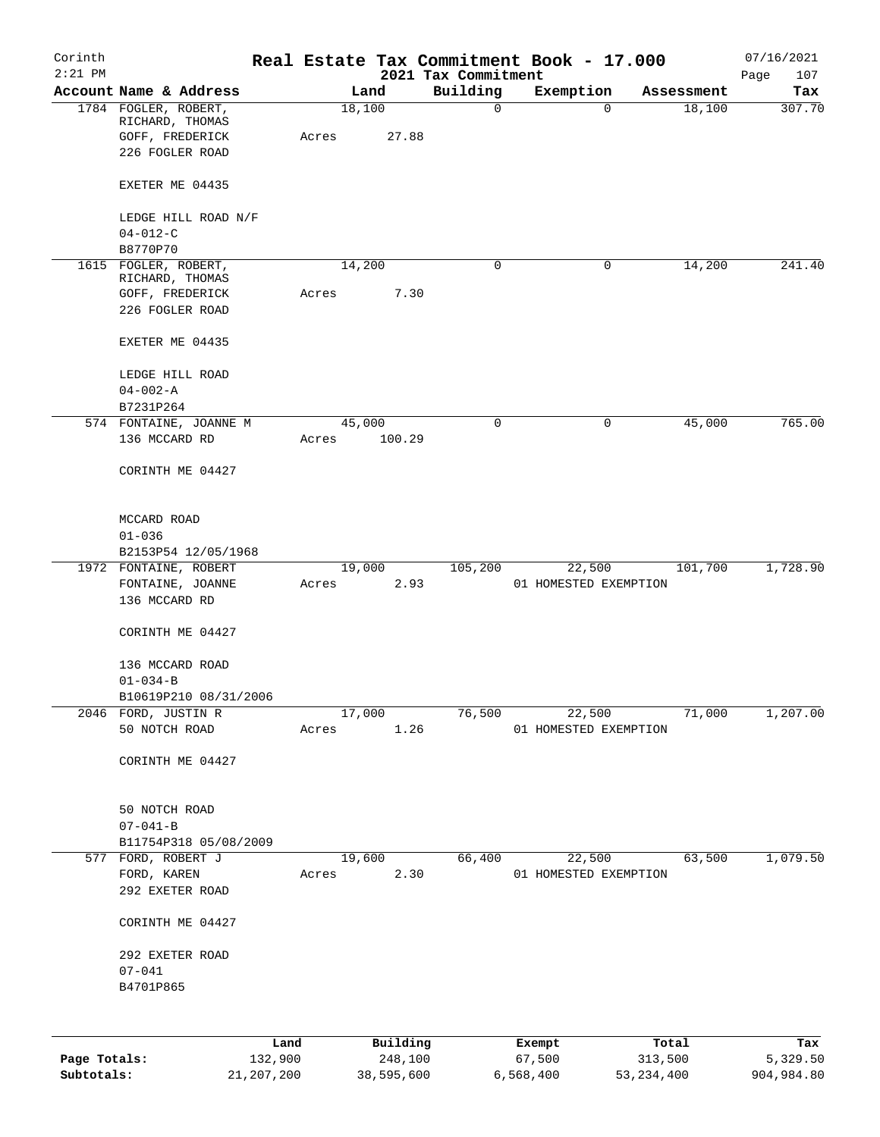| Corinth<br>$2:21$ PM |                                                                               |                 |       |        |                     | 2021 Tax Commitment |                  | Real Estate Tax Commitment Book - 17.000 |                  | 07/16/2021<br>Page<br>107 |
|----------------------|-------------------------------------------------------------------------------|-----------------|-------|--------|---------------------|---------------------|------------------|------------------------------------------|------------------|---------------------------|
|                      | Account Name & Address                                                        |                 |       | Land   |                     | Building            |                  | Exemption                                | Assessment       | Tax                       |
|                      | 1784 FOGLER, ROBERT,<br>RICHARD, THOMAS<br>GOFF, FREDERICK<br>226 FOGLER ROAD |                 | Acres | 18,100 | 27.88               | $\mathbf 0$         |                  | 0                                        | 18,100           | 307.70                    |
|                      | EXETER ME 04435                                                               |                 |       |        |                     |                     |                  |                                          |                  |                           |
|                      | LEDGE HILL ROAD N/F                                                           |                 |       |        |                     |                     |                  |                                          |                  |                           |
|                      | $04 - 012 - C$                                                                |                 |       |        |                     |                     |                  |                                          |                  |                           |
|                      | B8770P70<br>1615 FOGLER, ROBERT,                                              |                 |       | 14,200 |                     | 0                   |                  | 0                                        | 14,200           | 241.40                    |
|                      | RICHARD, THOMAS                                                               |                 |       |        |                     |                     |                  |                                          |                  |                           |
|                      | GOFF, FREDERICK                                                               |                 | Acres |        | 7.30                |                     |                  |                                          |                  |                           |
|                      | 226 FOGLER ROAD                                                               |                 |       |        |                     |                     |                  |                                          |                  |                           |
|                      | EXETER ME 04435                                                               |                 |       |        |                     |                     |                  |                                          |                  |                           |
|                      | LEDGE HILL ROAD                                                               |                 |       |        |                     |                     |                  |                                          |                  |                           |
|                      | $04 - 002 - A$                                                                |                 |       |        |                     |                     |                  |                                          |                  |                           |
|                      | B7231P264                                                                     |                 |       |        |                     |                     |                  |                                          |                  |                           |
|                      | 574 FONTAINE, JOANNE M<br>136 MCCARD RD                                       |                 |       | 45,000 |                     | 0                   |                  | 0                                        | 45,000           | 765.00                    |
|                      |                                                                               |                 | Acres |        | 100.29              |                     |                  |                                          |                  |                           |
|                      | CORINTH ME 04427                                                              |                 |       |        |                     |                     |                  |                                          |                  |                           |
|                      | MCCARD ROAD                                                                   |                 |       |        |                     |                     |                  |                                          |                  |                           |
|                      | $01 - 036$                                                                    |                 |       |        |                     |                     |                  |                                          |                  |                           |
|                      | B2153P54 12/05/1968                                                           |                 |       |        |                     |                     |                  |                                          |                  |                           |
|                      | 1972 FONTAINE, ROBERT                                                         |                 |       | 19,000 | 2.93                | 105,200             |                  | 22,500                                   | 101,700          | 1,728.90                  |
|                      | FONTAINE, JOANNE<br>136 MCCARD RD                                             |                 | Acres |        |                     |                     |                  | 01 HOMESTED EXEMPTION                    |                  |                           |
|                      | CORINTH ME 04427                                                              |                 |       |        |                     |                     |                  |                                          |                  |                           |
|                      | 136 MCCARD ROAD                                                               |                 |       |        |                     |                     |                  |                                          |                  |                           |
|                      | $01 - 034 - B$                                                                |                 |       |        |                     |                     |                  |                                          |                  |                           |
|                      | B10619P210 08/31/2006                                                         |                 |       |        |                     |                     |                  |                                          |                  |                           |
|                      | 2046 FORD, JUSTIN R                                                           |                 |       | 17,000 |                     | 76,500              |                  | 22,500                                   | 71,000           | 1,207.00                  |
|                      | 50 NOTCH ROAD                                                                 |                 | Acres |        | 1.26                |                     |                  | 01 HOMESTED EXEMPTION                    |                  |                           |
|                      | CORINTH ME 04427                                                              |                 |       |        |                     |                     |                  |                                          |                  |                           |
|                      | 50 NOTCH ROAD                                                                 |                 |       |        |                     |                     |                  |                                          |                  |                           |
|                      | $07 - 041 - B$                                                                |                 |       |        |                     |                     |                  |                                          |                  |                           |
|                      | B11754P318 05/08/2009                                                         |                 |       |        |                     |                     |                  |                                          |                  |                           |
|                      | 577 FORD, ROBERT J                                                            |                 |       | 19,600 |                     | 66,400              |                  | 22,500                                   | 63,500           | 1,079.50                  |
|                      | FORD, KAREN<br>292 EXETER ROAD                                                |                 | Acres |        | 2.30                |                     |                  | 01 HOMESTED EXEMPTION                    |                  |                           |
|                      |                                                                               |                 |       |        |                     |                     |                  |                                          |                  |                           |
|                      | CORINTH ME 04427                                                              |                 |       |        |                     |                     |                  |                                          |                  |                           |
|                      | 292 EXETER ROAD                                                               |                 |       |        |                     |                     |                  |                                          |                  |                           |
|                      | $07 - 041$                                                                    |                 |       |        |                     |                     |                  |                                          |                  |                           |
|                      | B4701P865                                                                     |                 |       |        |                     |                     |                  |                                          |                  |                           |
|                      |                                                                               |                 |       |        |                     |                     |                  |                                          |                  |                           |
| Page Totals:         |                                                                               | Land<br>132,900 |       |        | Building<br>248,100 |                     | Exempt<br>67,500 |                                          | Total<br>313,500 | Tax<br>5,329.50           |
|                      |                                                                               |                 |       |        |                     |                     |                  |                                          |                  |                           |

**Subtotals:** 21,207,200 38,595,600 6,568,400 53,234,400 904,984.80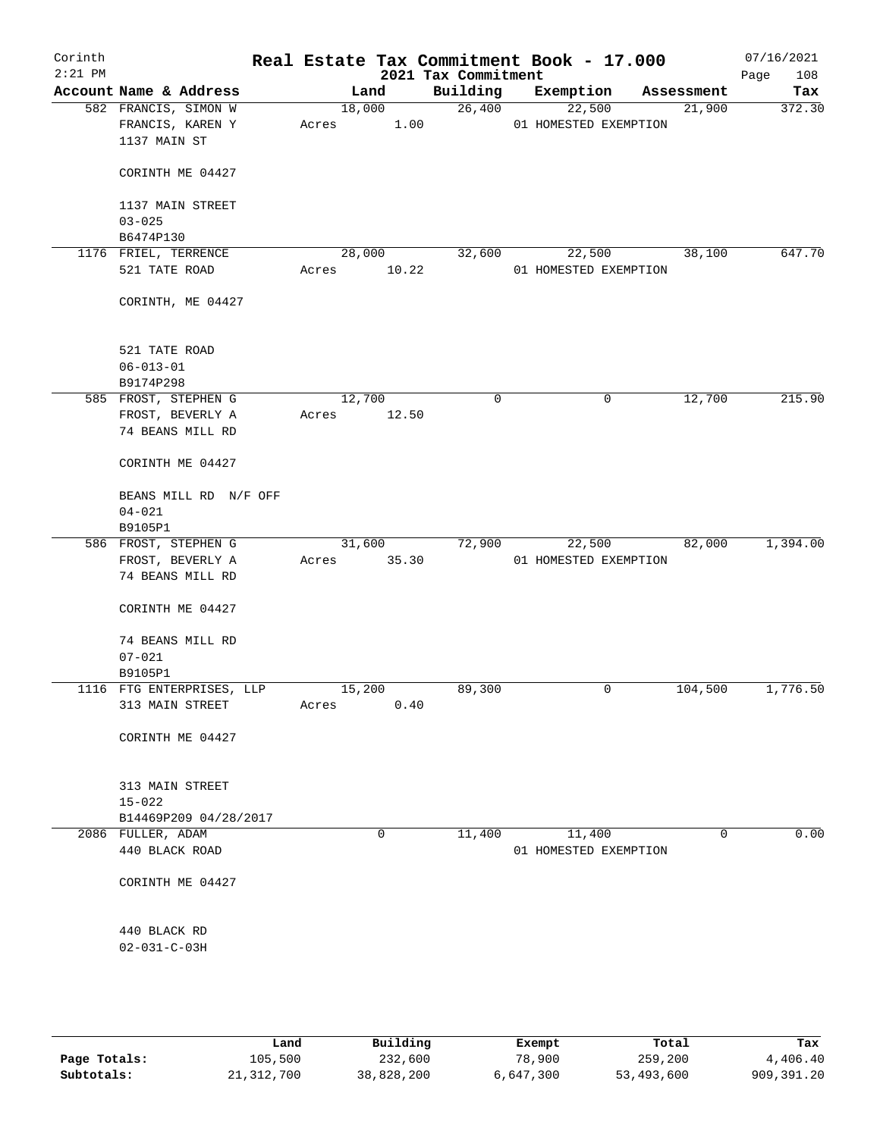| Corinth<br>$2:21$ PM |                                                          |       |        | Real Estate Tax Commitment Book - 17.000<br>2021 Tax Commitment |                                 |            | 07/16/2021<br>108<br>Page |
|----------------------|----------------------------------------------------------|-------|--------|-----------------------------------------------------------------|---------------------------------|------------|---------------------------|
|                      | Account Name & Address                                   |       | Land   | Building                                                        | Exemption                       | Assessment | Tax                       |
|                      | 582 FRANCIS, SIMON W<br>FRANCIS, KAREN Y<br>1137 MAIN ST | Acres | 18,000 | 26,400<br>1.00                                                  | 22,500<br>01 HOMESTED EXEMPTION | 21,900     | 372.30                    |
|                      | CORINTH ME 04427                                         |       |        |                                                                 |                                 |            |                           |
|                      | 1137 MAIN STREET                                         |       |        |                                                                 |                                 |            |                           |
|                      | $03 - 025$<br>B6474P130                                  |       |        |                                                                 |                                 |            |                           |
|                      | 1176 FRIEL, TERRENCE                                     |       | 28,000 | 32,600                                                          | 22,500                          | 38,100     | 647.70                    |
|                      | 521 TATE ROAD                                            | Acres | 10.22  |                                                                 | 01 HOMESTED EXEMPTION           |            |                           |
|                      | CORINTH, ME 04427                                        |       |        |                                                                 |                                 |            |                           |
|                      | 521 TATE ROAD                                            |       |        |                                                                 |                                 |            |                           |
|                      | $06 - 013 - 01$                                          |       |        |                                                                 |                                 |            |                           |
|                      | B9174P298                                                |       |        |                                                                 |                                 |            |                           |
|                      | 585 FROST, STEPHEN G                                     |       | 12,700 | $\mathbf 0$                                                     | 0                               | 12,700     | 215.90                    |
|                      | FROST, BEVERLY A<br>74 BEANS MILL RD                     | Acres | 12.50  |                                                                 |                                 |            |                           |
|                      | CORINTH ME 04427                                         |       |        |                                                                 |                                 |            |                           |
|                      | BEANS MILL RD N/F OFF<br>$04 - 021$                      |       |        |                                                                 |                                 |            |                           |
|                      | B9105P1                                                  |       |        |                                                                 |                                 |            |                           |
|                      | 586 FROST, STEPHEN G                                     |       | 31,600 | 72,900                                                          | 22,500                          | 82,000     | 1,394.00                  |
|                      | FROST, BEVERLY A                                         | Acres | 35.30  |                                                                 | 01 HOMESTED EXEMPTION           |            |                           |
|                      | 74 BEANS MILL RD                                         |       |        |                                                                 |                                 |            |                           |
|                      | CORINTH ME 04427                                         |       |        |                                                                 |                                 |            |                           |
|                      | 74 BEANS MILL RD                                         |       |        |                                                                 |                                 |            |                           |
|                      | $07 - 021$                                               |       |        |                                                                 |                                 |            |                           |
|                      | B9105P1                                                  |       |        |                                                                 |                                 |            |                           |
|                      | 1116 FTG ENTERPRISES, LLP                                |       | 15,200 | 89,300                                                          | 0                               | 104,500    | 1,776.50                  |
|                      | 313 MAIN STREET                                          | Acres | 0.40   |                                                                 |                                 |            |                           |
|                      | CORINTH ME 04427                                         |       |        |                                                                 |                                 |            |                           |
|                      | 313 MAIN STREET                                          |       |        |                                                                 |                                 |            |                           |
|                      | $15 - 022$                                               |       |        |                                                                 |                                 |            |                           |
|                      | B14469P209 04/28/2017                                    |       |        |                                                                 |                                 |            |                           |
|                      | 2086 FULLER, ADAM                                        |       | 0      | 11,400                                                          | 11,400                          | 0          | 0.00                      |
|                      | 440 BLACK ROAD                                           |       |        |                                                                 | 01 HOMESTED EXEMPTION           |            |                           |
|                      | CORINTH ME 04427                                         |       |        |                                                                 |                                 |            |                           |
|                      | 440 BLACK RD                                             |       |        |                                                                 |                                 |            |                           |
|                      | $02 - 031 - C - 03H$                                     |       |        |                                                                 |                                 |            |                           |
|                      |                                                          |       |        |                                                                 |                                 |            |                           |
|                      |                                                          |       |        |                                                                 |                                 |            |                           |

|              | Land       | Building   | Exempt    | Total      | Tax        |
|--------------|------------|------------|-----------|------------|------------|
| Page Totals: | 105,500    | 232,600    | 78,900    | 259,200    | 4,406.40   |
| Subtotals:   | 21,312,700 | 38,828,200 | 6,647,300 | 53,493,600 | 909,391.20 |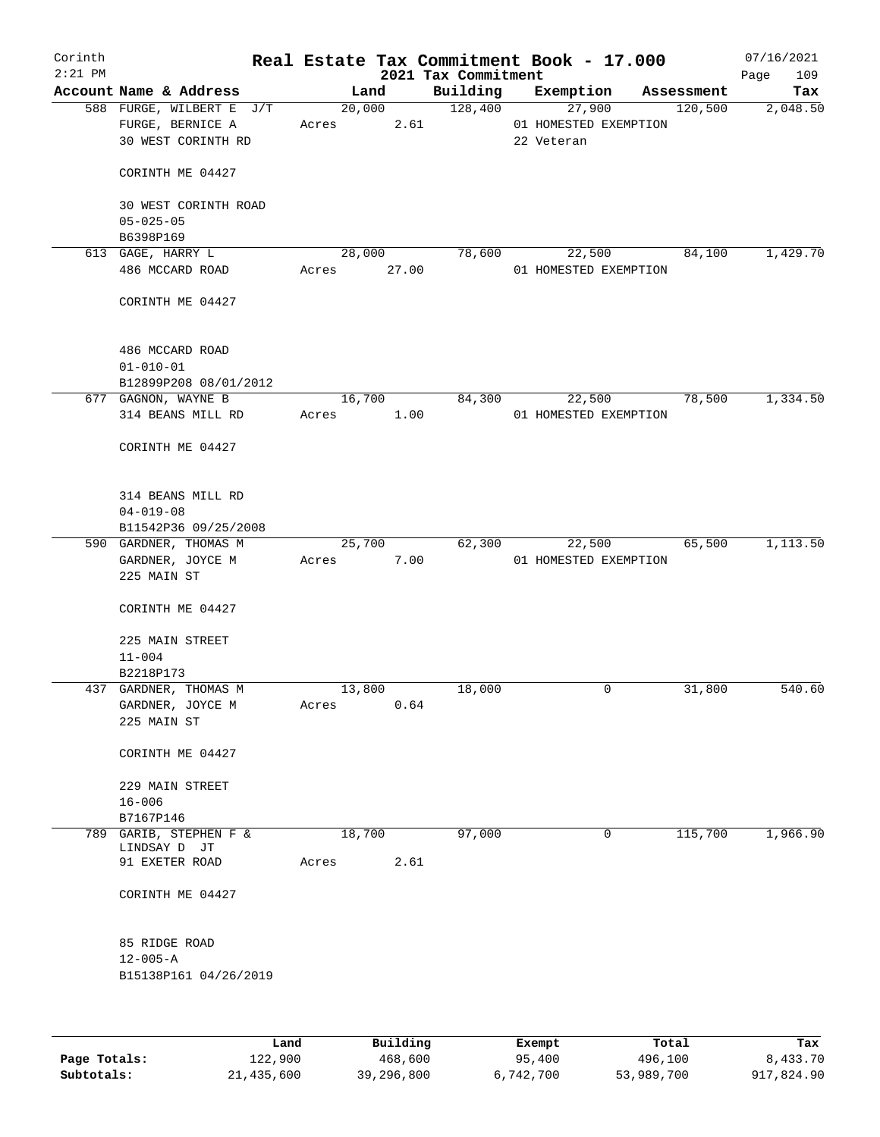| Corinth<br>$2:21$ PM |                                                                    |            |                | 2021 Tax Commitment   |            | Real Estate Tax Commitment Book - 17.000 |         | 07/16/2021<br>109<br>Page |
|----------------------|--------------------------------------------------------------------|------------|----------------|-----------------------|------------|------------------------------------------|---------|---------------------------|
|                      | Account Name & Address                                             |            | Land           |                       |            | Building Exemption Assessment            |         | Tax                       |
|                      | 588 FURGE, WILBERT E J/T<br>FURGE, BERNICE A<br>30 WEST CORINTH RD | Acres 2.61 |                | 20,000 128,400 27,900 | 22 Veteran | 01 HOMESTED EXEMPTION                    | 120,500 | 2,048.50                  |
|                      | CORINTH ME 04427                                                   |            |                |                       |            |                                          |         |                           |
|                      | 30 WEST CORINTH ROAD<br>$05 - 025 - 05$                            |            |                |                       |            |                                          |         |                           |
|                      | B6398P169                                                          |            |                |                       |            |                                          |         |                           |
|                      | 613 GAGE, HARRY L<br>486 MCCARD ROAD                               |            | Acres 27.00    | 28,000 78,600         |            | 22,500<br>01 HOMESTED EXEMPTION          | 84,100  | 1,429.70                  |
|                      | CORINTH ME 04427                                                   |            |                |                       |            |                                          |         |                           |
|                      | 486 MCCARD ROAD<br>$01 - 010 - 01$<br>B12899P208 08/01/2012        |            |                |                       |            |                                          |         |                           |
|                      | 677 GAGNON, WAYNE B                                                |            | 16,700         |                       | 84,300     | 22,500                                   | 78,500  | 1,334.50                  |
|                      | 314 BEANS MILL RD                                                  |            | Acres 1.00     |                       |            | 01 HOMESTED EXEMPTION                    |         |                           |
|                      | CORINTH ME 04427                                                   |            |                |                       |            |                                          |         |                           |
|                      | 314 BEANS MILL RD<br>$04 - 019 - 08$                               |            |                |                       |            |                                          |         |                           |
|                      | B11542P36 09/25/2008<br>590 GARDNER, THOMAS M                      |            | 25,700         |                       | 62,300     | 22,500                                   | 65,500  | 1,113.50                  |
|                      | GARDNER, JOYCE M<br>225 MAIN ST                                    | Acres      | 7.00           |                       |            | 01 HOMESTED EXEMPTION                    |         |                           |
|                      | CORINTH ME 04427                                                   |            |                |                       |            |                                          |         |                           |
|                      | 225 MAIN STREET<br>$11 - 004$                                      |            |                |                       |            |                                          |         |                           |
|                      | B2218P173                                                          |            |                |                       |            |                                          |         |                           |
|                      | 437 GARDNER, THOMAS M<br>GARDNER, JOYCE M<br>225 MAIN ST           | Acres      | 13,800<br>0.64 | 18,000                |            | $\mathbf 0$                              | 31,800  | 540.60                    |
|                      | CORINTH ME 04427                                                   |            |                |                       |            |                                          |         |                           |
|                      | 229 MAIN STREET<br>$16 - 006$                                      |            |                |                       |            |                                          |         |                           |
|                      | B7167P146                                                          |            |                |                       |            |                                          |         |                           |
|                      | 789 GARIB, STEPHEN F &                                             |            | 18,700         | 97,000                |            | 0                                        | 115,700 | 1,966.90                  |
|                      | LINDSAY D JT<br>91 EXETER ROAD                                     | Acres      | 2.61           |                       |            |                                          |         |                           |
|                      | CORINTH ME 04427                                                   |            |                |                       |            |                                          |         |                           |
|                      | 85 RIDGE ROAD<br>$12 - 005 - A$                                    |            |                |                       |            |                                          |         |                           |
|                      | B15138P161 04/26/2019                                              |            |                |                       |            |                                          |         |                           |
|                      |                                                                    |            |                |                       |            |                                          |         |                           |
|                      |                                                                    |            |                |                       |            |                                          |         |                           |

|              | Land       | Building   | Exempt    | Total      | Tax        |
|--------------|------------|------------|-----------|------------|------------|
| Page Totals: | 122,900    | 468,600    | 95,400    | 496,100    | 8,433.70   |
| Subtotals:   | 21,435,600 | 39,296,800 | 6,742,700 | 53,989,700 | 917,824.90 |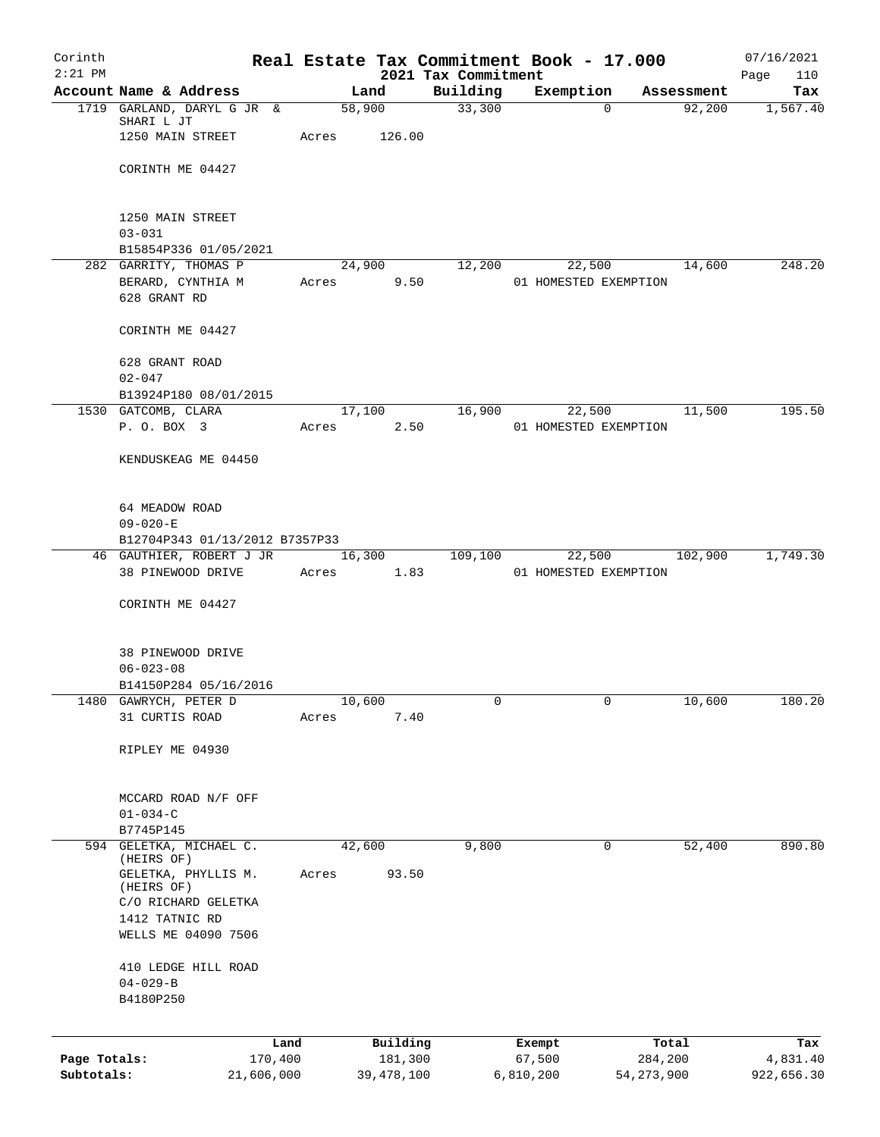| Corinth<br>$2:21$ PM |                                                            | Real Estate Tax Commitment Book - 17.000 |                                 |           |                       |            | 07/16/2021         |
|----------------------|------------------------------------------------------------|------------------------------------------|---------------------------------|-----------|-----------------------|------------|--------------------|
|                      | Account Name & Address                                     | Land                                     | 2021 Tax Commitment<br>Building |           | Exemption             | Assessment | Page<br>110<br>Tax |
|                      | 1719 GARLAND, DARYL G JR &                                 | 58,900                                   |                                 | 33,300    | $\Omega$              | 92,200     | 1,567.40           |
|                      | SHARI L JT<br>1250 MAIN STREET                             | Acres                                    | 126.00                          |           |                       |            |                    |
|                      | CORINTH ME 04427                                           |                                          |                                 |           |                       |            |                    |
|                      | 1250 MAIN STREET                                           |                                          |                                 |           |                       |            |                    |
|                      | $03 - 031$                                                 |                                          |                                 |           |                       |            |                    |
|                      | B15854P336 01/05/2021                                      |                                          |                                 |           |                       |            |                    |
|                      | 282 GARRITY, THOMAS P                                      | 24,900                                   |                                 | 12,200    | 22,500                | 14,600     | 248.20             |
|                      | BERARD, CYNTHIA M<br>628 GRANT RD                          | Acres                                    | 9.50                            |           | 01 HOMESTED EXEMPTION |            |                    |
|                      | CORINTH ME 04427                                           |                                          |                                 |           |                       |            |                    |
|                      | 628 GRANT ROAD<br>$02 - 047$                               |                                          |                                 |           |                       |            |                    |
|                      | B13924P180 08/01/2015                                      |                                          |                                 |           |                       |            |                    |
|                      | 1530 GATCOMB, CLARA                                        | 17,100                                   |                                 | 16,900    | 22,500                | 11,500     | 195.50             |
|                      | P. O. BOX 3                                                | Acres                                    | 2.50                            |           | 01 HOMESTED EXEMPTION |            |                    |
|                      | KENDUSKEAG ME 04450                                        |                                          |                                 |           |                       |            |                    |
|                      | 64 MEADOW ROAD                                             |                                          |                                 |           |                       |            |                    |
|                      | $09 - 020 - E$                                             |                                          |                                 |           |                       |            |                    |
|                      | B12704P343 01/13/2012 B7357P33<br>46 GAUTHIER, ROBERT J JR | 16,300                                   | 109,100                         |           | 22,500                | 102,900    | 1,749.30           |
|                      | 38 PINEWOOD DRIVE                                          | 1.83<br>Acres                            |                                 |           | 01 HOMESTED EXEMPTION |            |                    |
|                      | CORINTH ME 04427                                           |                                          |                                 |           |                       |            |                    |
|                      | 38 PINEWOOD DRIVE                                          |                                          |                                 |           |                       |            |                    |
|                      | $06 - 023 - 08$                                            |                                          |                                 |           |                       |            |                    |
|                      | B14150P284 05/16/2016                                      |                                          |                                 |           |                       |            |                    |
| 1480                 | GAWRYCH, PETER D                                           | 10,600                                   |                                 | 0         | 0                     | 10,600     | 180.20             |
|                      | 31 CURTIS ROAD                                             | Acres                                    | 7.40                            |           |                       |            |                    |
|                      | RIPLEY ME 04930                                            |                                          |                                 |           |                       |            |                    |
|                      | MCCARD ROAD N/F OFF                                        |                                          |                                 |           |                       |            |                    |
|                      | $01 - 034 - C$                                             |                                          |                                 |           |                       |            |                    |
|                      | B7745P145<br>594 GELETKA, MICHAEL C.                       |                                          |                                 | 9,800     | 0                     |            | 890.80             |
|                      | (HEIRS OF)                                                 | 42,600                                   |                                 |           |                       | 52,400     |                    |
|                      | GELETKA, PHYLLIS M.<br>(HEIRS OF)                          | Acres                                    | 93.50                           |           |                       |            |                    |
|                      | C/O RICHARD GELETKA                                        |                                          |                                 |           |                       |            |                    |
|                      | 1412 TATNIC RD                                             |                                          |                                 |           |                       |            |                    |
|                      | WELLS ME 04090 7506                                        |                                          |                                 |           |                       |            |                    |
|                      | 410 LEDGE HILL ROAD                                        |                                          |                                 |           |                       |            |                    |
|                      | $04 - 029 - B$<br>B4180P250                                |                                          |                                 |           |                       |            |                    |
|                      |                                                            |                                          |                                 |           |                       |            |                    |
|                      | Land                                                       |                                          | Building                        | Exempt    |                       | Total      | Tax                |
| Page Totals:         | 170,400                                                    |                                          | 181,300                         | 67,500    |                       | 284,200    | 4,831.40           |
| Subtotals:           | 21,606,000                                                 | 39,478,100                               |                                 | 6,810,200 | 54, 273, 900          |            | 922,656.30         |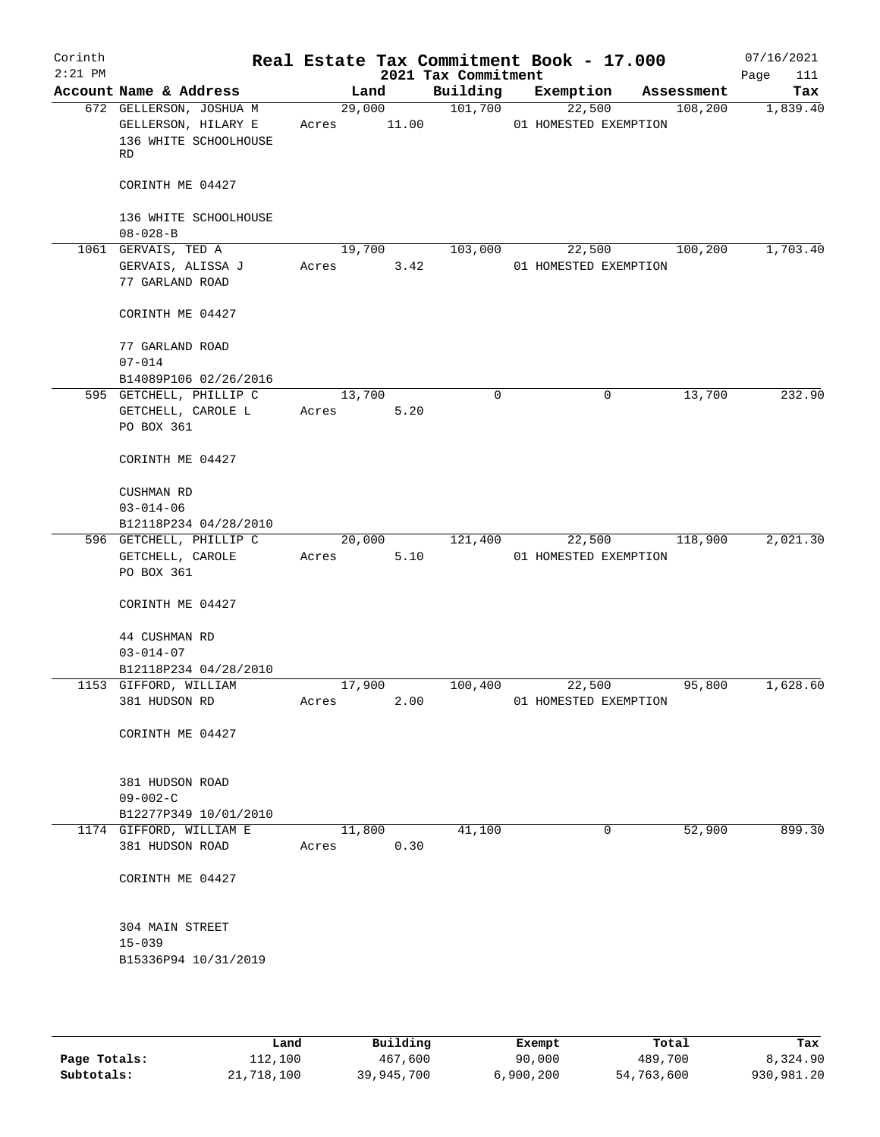| Corinth<br>$2:21$ PM |                                                                               |        |                 | 2021 Tax Commitment | Real Estate Tax Commitment Book - 17.000 |            | 07/16/2021<br>Page<br>111 |
|----------------------|-------------------------------------------------------------------------------|--------|-----------------|---------------------|------------------------------------------|------------|---------------------------|
|                      | Account Name & Address                                                        |        | Land            | Building            | Exemption                                | Assessment | Tax                       |
|                      | 672 GELLERSON, JOSHUA M<br>GELLERSON, HILARY E<br>136 WHITE SCHOOLHOUSE<br>RD | Acres  | 29,000<br>11.00 | 101,700             | 22,500<br>01 HOMESTED EXEMPTION          | 108,200    | 1,839.40                  |
|                      | CORINTH ME 04427                                                              |        |                 |                     |                                          |            |                           |
|                      | 136 WHITE SCHOOLHOUSE<br>$08 - 028 - B$                                       |        |                 |                     |                                          |            |                           |
|                      | 1061 GERVAIS, TED A                                                           |        | 19,700          | 103,000             | 22,500                                   | 100,200    | 1,703.40                  |
|                      | GERVAIS, ALISSA J                                                             | Acres  | 3.42            |                     | 01 HOMESTED EXEMPTION                    |            |                           |
|                      | 77 GARLAND ROAD                                                               |        |                 |                     |                                          |            |                           |
|                      | CORINTH ME 04427                                                              |        |                 |                     |                                          |            |                           |
|                      | 77 GARLAND ROAD                                                               |        |                 |                     |                                          |            |                           |
|                      | $07 - 014$                                                                    |        |                 |                     |                                          |            |                           |
|                      | B14089P106 02/26/2016                                                         |        |                 |                     |                                          |            |                           |
|                      | 595 GETCHELL, PHILLIP C                                                       | 13,700 |                 | $\mathbf 0$         | 0                                        | 13,700     | 232.90                    |
|                      | GETCHELL, CAROLE L<br>PO BOX 361                                              | Acres  | 5.20            |                     |                                          |            |                           |
|                      | CORINTH ME 04427                                                              |        |                 |                     |                                          |            |                           |
|                      | CUSHMAN RD                                                                    |        |                 |                     |                                          |            |                           |
|                      | $03 - 014 - 06$                                                               |        |                 |                     |                                          |            |                           |
|                      | B12118P234 04/28/2010                                                         |        |                 |                     |                                          |            |                           |
|                      | 596 GETCHELL, PHILLIP C                                                       |        | 20,000          | 121,400             | 22,500                                   | 118,900    | 2,021.30                  |
|                      | GETCHELL, CAROLE<br>PO BOX 361                                                | Acres  | 5.10            |                     | 01 HOMESTED EXEMPTION                    |            |                           |
|                      | CORINTH ME 04427                                                              |        |                 |                     |                                          |            |                           |
|                      | 44 CUSHMAN RD                                                                 |        |                 |                     |                                          |            |                           |
|                      | $03 - 014 - 07$                                                               |        |                 |                     |                                          |            |                           |
|                      | B12118P234 04/28/2010                                                         |        |                 |                     |                                          |            |                           |
|                      | 1153 GIFFORD, WILLIAM                                                         | 17,900 |                 | 100,400             | 22,500                                   | 95,800     | 1,628.60                  |
|                      | 381 HUDSON RD                                                                 | Acres  | 2.00            |                     | 01 HOMESTED EXEMPTION                    |            |                           |
|                      | CORINTH ME 04427                                                              |        |                 |                     |                                          |            |                           |
|                      | 381 HUDSON ROAD                                                               |        |                 |                     |                                          |            |                           |
|                      | $09 - 002 - C$                                                                |        |                 |                     |                                          |            |                           |
|                      | B12277P349 10/01/2010                                                         |        |                 |                     |                                          |            |                           |
|                      | 1174 GIFFORD, WILLIAM E                                                       |        | 11,800          | 41,100              | 0                                        | 52,900     | 899.30                    |
|                      | 381 HUDSON ROAD                                                               | Acres  | 0.30            |                     |                                          |            |                           |
|                      | CORINTH ME 04427                                                              |        |                 |                     |                                          |            |                           |
|                      | 304 MAIN STREET                                                               |        |                 |                     |                                          |            |                           |
|                      | $15 - 039$                                                                    |        |                 |                     |                                          |            |                           |
|                      | B15336P94 10/31/2019                                                          |        |                 |                     |                                          |            |                           |
|                      |                                                                               |        |                 |                     |                                          |            |                           |

|              | Land       | Building   | Exempt    | Total      | Tax        |
|--------------|------------|------------|-----------|------------|------------|
| Page Totals: | 112,100    | 467,600    | 90,000    | 489,700    | 8,324.90   |
| Subtotals:   | 21,718,100 | 39,945,700 | 6,900,200 | 54,763,600 | 930,981.20 |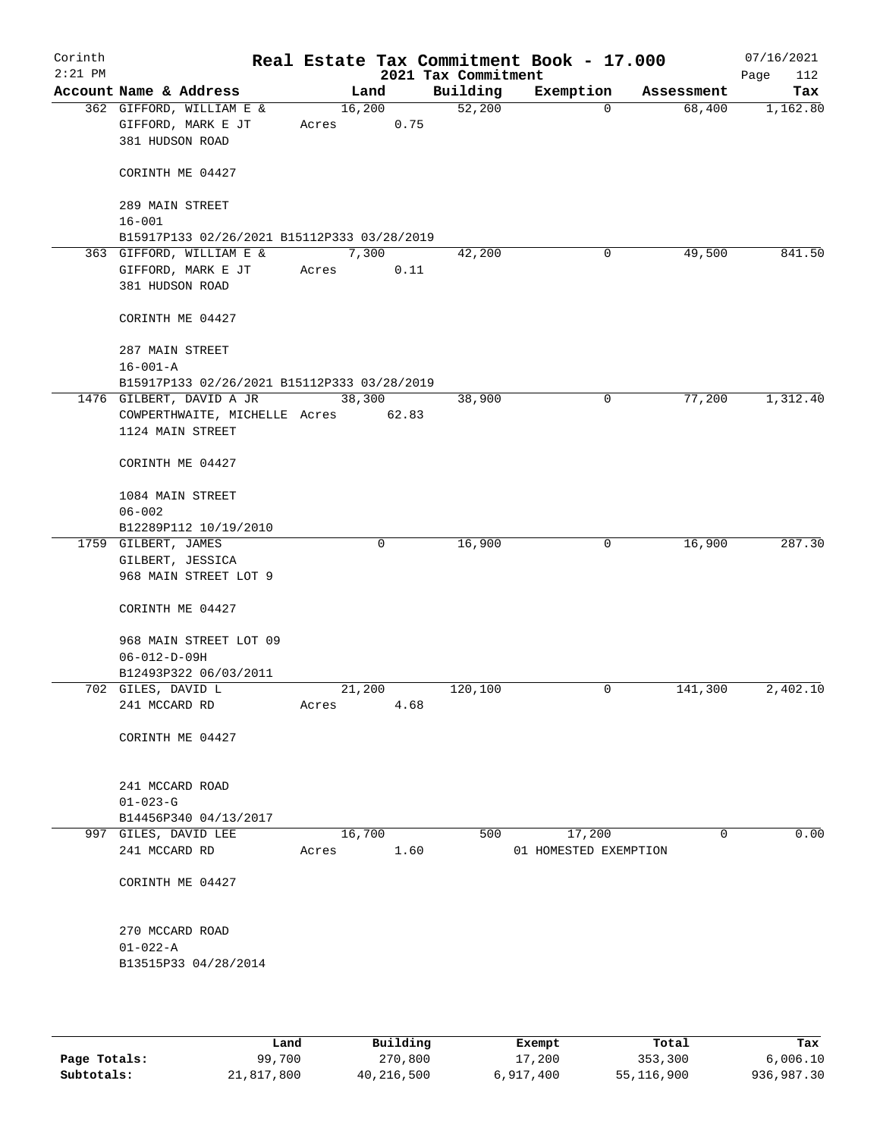| Corinth<br>$2:21$ PM |                        |                                                                         |       |                | 2021 Tax Commitment | Real Estate Tax Commitment Book - 17.000 |            | 07/16/2021<br>112<br>Page |
|----------------------|------------------------|-------------------------------------------------------------------------|-------|----------------|---------------------|------------------------------------------|------------|---------------------------|
|                      | Account Name & Address |                                                                         |       | Land           | Building            | Exemption                                | Assessment | Tax                       |
|                      | 381 HUDSON ROAD        | 362 GIFFORD, WILLIAM E &<br>GIFFORD, MARK E JT                          | Acres | 16,200<br>0.75 | 52,200              | $\mathbf 0$                              | 68,400     | 1,162.80                  |
|                      |                        | CORINTH ME 04427                                                        |       |                |                     |                                          |            |                           |
|                      | 289 MAIN STREET        |                                                                         |       |                |                     |                                          |            |                           |
|                      | $16 - 001$             |                                                                         |       |                |                     |                                          |            |                           |
|                      |                        | B15917P133 02/26/2021 B15112P333 03/28/2019<br>363 GIFFORD, WILLIAM E & |       | 7,300          | 42,200              | 0                                        | 49,500     | 841.50                    |
|                      | 381 HUDSON ROAD        | GIFFORD, MARK E JT                                                      | Acres | 0.11           |                     |                                          |            |                           |
|                      |                        | CORINTH ME 04427                                                        |       |                |                     |                                          |            |                           |
|                      | 287 MAIN STREET        |                                                                         |       |                |                     |                                          |            |                           |
|                      | $16 - 001 - A$         |                                                                         |       |                |                     |                                          |            |                           |
|                      |                        | B15917P133 02/26/2021 B15112P333 03/28/2019<br>1476 GILBERT, DAVID A JR |       | 38,300         | 38,900              | 0                                        | 77,200     | 1,312.40                  |
|                      |                        | COWPERTHWAITE, MICHELLE Acres 62.83                                     |       |                |                     |                                          |            |                           |
|                      |                        | 1124 MAIN STREET                                                        |       |                |                     |                                          |            |                           |
|                      |                        | CORINTH ME 04427                                                        |       |                |                     |                                          |            |                           |
|                      | $06 - 002$             | 1084 MAIN STREET                                                        |       |                |                     |                                          |            |                           |
|                      |                        | B12289P112 10/19/2010                                                   |       |                |                     |                                          |            |                           |
|                      | 1759 GILBERT, JAMES    |                                                                         |       | 0              | 16,900              | $\mathbf 0$                              | 16,900     | 287.30                    |
|                      |                        | GILBERT, JESSICA<br>968 MAIN STREET LOT 9                               |       |                |                     |                                          |            |                           |
|                      |                        | CORINTH ME 04427                                                        |       |                |                     |                                          |            |                           |
|                      | $06 - 012 - D - 09H$   | 968 MAIN STREET LOT 09                                                  |       |                |                     |                                          |            |                           |
|                      |                        | B12493P322 06/03/2011                                                   |       |                |                     |                                          |            |                           |
|                      | 702 GILES, DAVID L     |                                                                         |       | 21,200         | 120,100             | 0                                        | 141,300    | 2,402.10                  |
|                      | 241 MCCARD RD          |                                                                         | Acres | 4.68           |                     |                                          |            |                           |
|                      |                        | CORINTH ME 04427                                                        |       |                |                     |                                          |            |                           |
|                      | 241 MCCARD ROAD        |                                                                         |       |                |                     |                                          |            |                           |
|                      | $01 - 023 - G$         |                                                                         |       |                |                     |                                          |            |                           |
|                      |                        | B14456P340 04/13/2017                                                   |       |                |                     |                                          |            |                           |
|                      | 997 GILES, DAVID LEE   |                                                                         |       | 16,700         | 500                 | 17,200                                   | $\Omega$   | 0.00                      |
|                      | 241 MCCARD RD          |                                                                         | Acres | 1.60           |                     | 01 HOMESTED EXEMPTION                    |            |                           |
|                      |                        | CORINTH ME 04427                                                        |       |                |                     |                                          |            |                           |
|                      | 270 MCCARD ROAD        |                                                                         |       |                |                     |                                          |            |                           |
|                      | $01 - 022 - A$         |                                                                         |       |                |                     |                                          |            |                           |
|                      |                        | B13515P33 04/28/2014                                                    |       |                |                     |                                          |            |                           |
|                      |                        |                                                                         |       |                |                     |                                          |            |                           |

|              | Land       | Building   | Exempt    | Total      | Tax        |
|--------------|------------|------------|-----------|------------|------------|
| Page Totals: | 99,700     | 270,800    | 17,200    | 353,300    | 6,006.10   |
| Subtotals:   | 21,817,800 | 40,216,500 | 6,917,400 | 55,116,900 | 936,987.30 |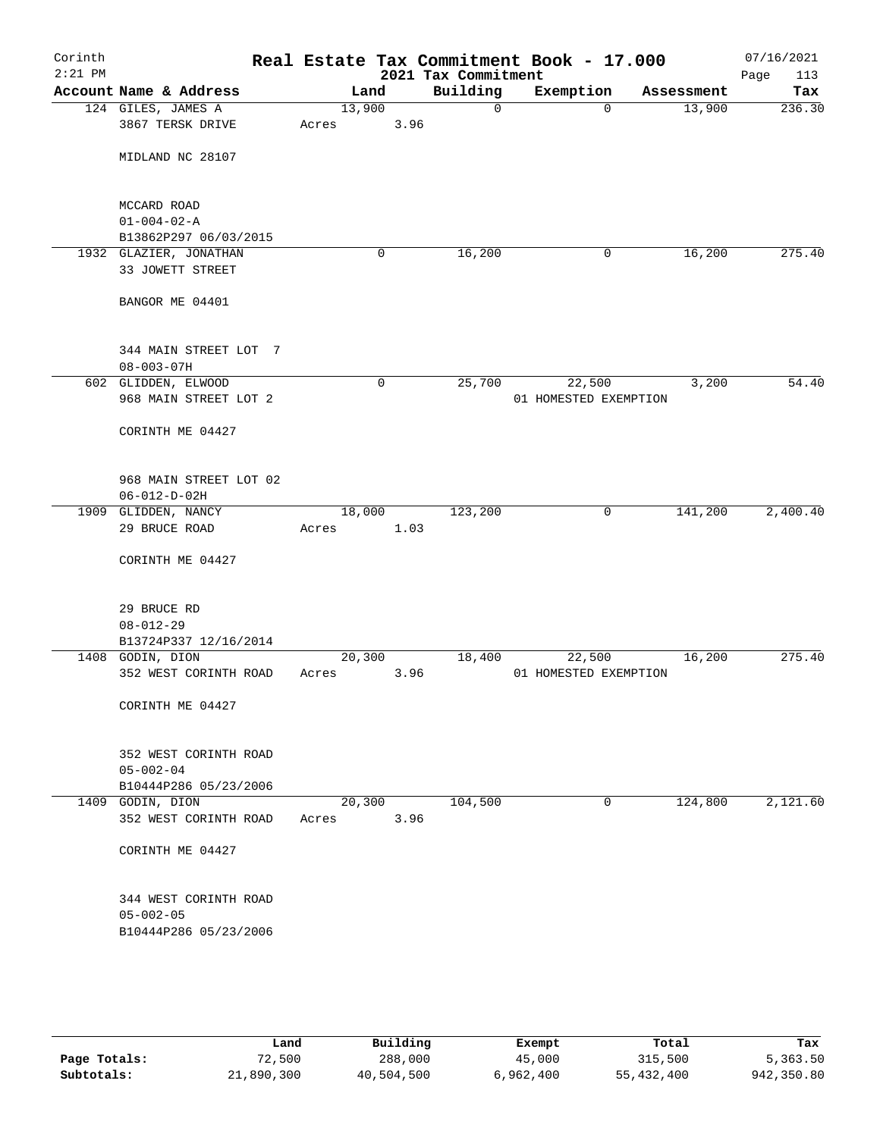| Corinth<br>$2:21$ PM |                                      |                 |        |      | Real Estate Tax Commitment Book - 17.000<br>2021 Tax Commitment |                       |             |            | 07/16/2021<br>Page<br>113 |
|----------------------|--------------------------------------|-----------------|--------|------|-----------------------------------------------------------------|-----------------------|-------------|------------|---------------------------|
|                      | Account Name & Address               |                 | Land   |      | Building                                                        | Exemption             |             | Assessment | Tax                       |
|                      | 124 GILES, JAMES A                   | 13,900          |        |      | 0                                                               |                       | $\mathbf 0$ | 13,900     | 236.30                    |
|                      | 3867 TERSK DRIVE                     | Acres           |        | 3.96 |                                                                 |                       |             |            |                           |
|                      | MIDLAND NC 28107                     |                 |        |      |                                                                 |                       |             |            |                           |
|                      | MCCARD ROAD                          |                 |        |      |                                                                 |                       |             |            |                           |
|                      | $01 - 004 - 02 - A$                  |                 |        |      |                                                                 |                       |             |            |                           |
|                      | B13862P297 06/03/2015                |                 |        |      |                                                                 |                       |             |            |                           |
|                      | 1932 GLAZIER, JONATHAN               |                 | 0      |      | 16,200                                                          |                       | 0           | 16,200     | 275.40                    |
|                      | 33 JOWETT STREET                     |                 |        |      |                                                                 |                       |             |            |                           |
|                      | BANGOR ME 04401                      |                 |        |      |                                                                 |                       |             |            |                           |
|                      | 344 MAIN STREET LOT 7                |                 |        |      |                                                                 |                       |             |            |                           |
|                      | $08 - 003 - 07H$                     |                 |        |      |                                                                 |                       |             |            |                           |
|                      | 602 GLIDDEN, ELWOOD                  |                 | 0      |      | 25,700                                                          | 22,500                |             | 3,200      | 54.40                     |
|                      | 968 MAIN STREET LOT 2                |                 |        |      |                                                                 | 01 HOMESTED EXEMPTION |             |            |                           |
|                      | CORINTH ME 04427                     |                 |        |      |                                                                 |                       |             |            |                           |
|                      | 968 MAIN STREET LOT 02               |                 |        |      |                                                                 |                       |             |            |                           |
|                      | $06 - 012 - D - 02H$                 |                 |        |      |                                                                 |                       |             |            |                           |
|                      | 1909 GLIDDEN, NANCY<br>29 BRUCE ROAD | 18,000<br>Acres |        | 1.03 | 123,200                                                         |                       | 0           | 141,200    | 2,400.40                  |
|                      | CORINTH ME 04427                     |                 |        |      |                                                                 |                       |             |            |                           |
|                      |                                      |                 |        |      |                                                                 |                       |             |            |                           |
|                      | 29 BRUCE RD                          |                 |        |      |                                                                 |                       |             |            |                           |
|                      | $08 - 012 - 29$                      |                 |        |      |                                                                 |                       |             |            |                           |
|                      | B13724P337 12/16/2014                |                 |        |      |                                                                 |                       |             |            |                           |
|                      | 1408 GODIN, DION                     | 20,300          |        |      | 18,400                                                          | 22,500                |             | 16,200     | 275.40                    |
|                      | 352 WEST CORINTH ROAD                | Acres           |        | 3.96 |                                                                 | 01 HOMESTED EXEMPTION |             |            |                           |
|                      | CORINTH ME 04427                     |                 |        |      |                                                                 |                       |             |            |                           |
|                      | 352 WEST CORINTH ROAD                |                 |        |      |                                                                 |                       |             |            |                           |
|                      | $05 - 002 - 04$                      |                 |        |      |                                                                 |                       |             |            |                           |
|                      | B10444P286 05/23/2006                |                 |        |      |                                                                 |                       |             |            |                           |
|                      | 1409 GODIN, DION                     |                 | 20,300 |      | 104,500                                                         |                       | 0           | 124,800    | 2,121.60                  |
|                      | 352 WEST CORINTH ROAD                | Acres           |        | 3.96 |                                                                 |                       |             |            |                           |
|                      | CORINTH ME 04427                     |                 |        |      |                                                                 |                       |             |            |                           |
|                      | 344 WEST CORINTH ROAD                |                 |        |      |                                                                 |                       |             |            |                           |
|                      | $05 - 002 - 05$                      |                 |        |      |                                                                 |                       |             |            |                           |
|                      | B10444P286 05/23/2006                |                 |        |      |                                                                 |                       |             |            |                           |
|                      |                                      |                 |        |      |                                                                 |                       |             |            |                           |
|                      |                                      |                 |        |      |                                                                 |                       |             |            |                           |
|                      |                                      |                 |        |      |                                                                 |                       |             |            |                           |

|              | Land       | Building   | Exempt    | Total      | Tax        |
|--------------|------------|------------|-----------|------------|------------|
| Page Totals: | 72,500     | 288,000    | 45,000    | 315,500    | 5,363.50   |
| Subtotals:   | 21,890,300 | 40,504,500 | 6,962,400 | 55,432,400 | 942,350.80 |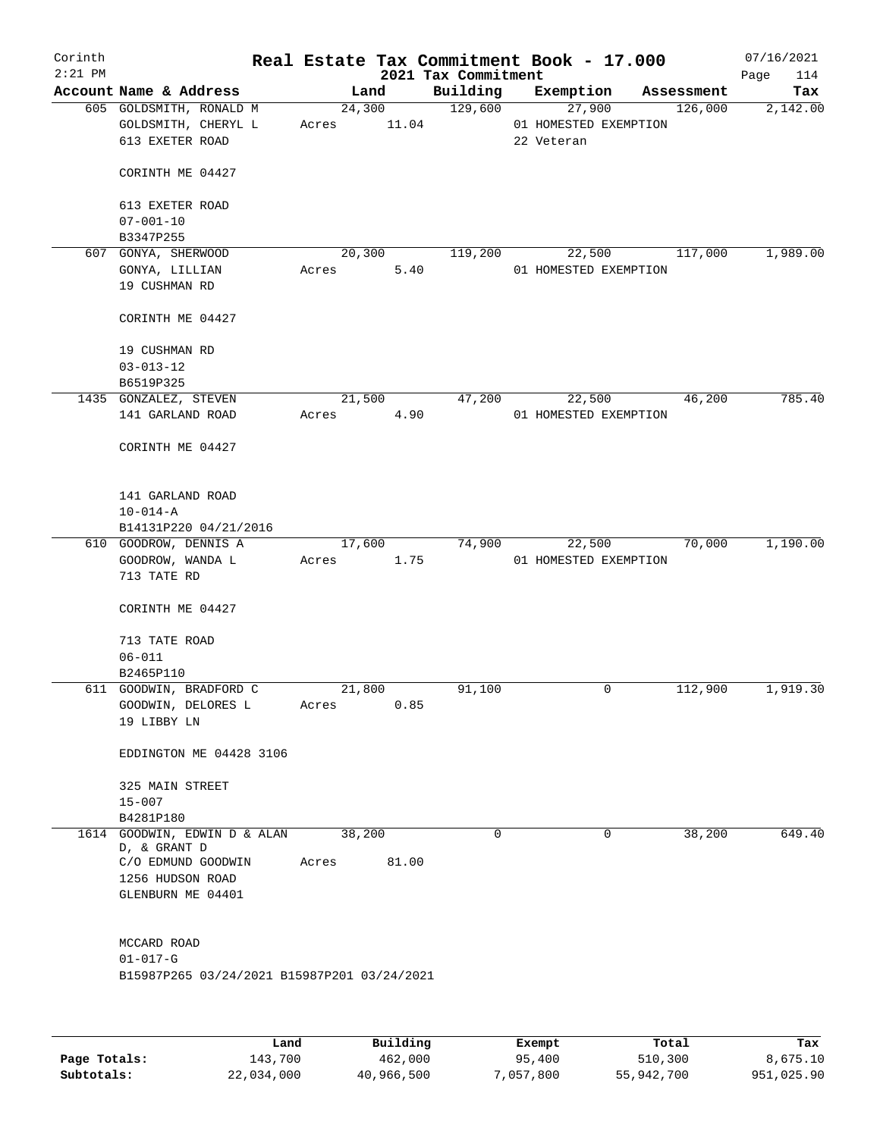| Corinth   |                                             |             |        |                     | Real Estate Tax Commitment Book - 17.000 |            | 07/16/2021  |
|-----------|---------------------------------------------|-------------|--------|---------------------|------------------------------------------|------------|-------------|
| $2:21$ PM |                                             |             |        | 2021 Tax Commitment |                                          |            | 114<br>Page |
|           | Account Name & Address                      | Land        |        | Building            | Exemption                                | Assessment | Tax         |
|           | 605 GOLDSMITH, RONALD M                     |             |        | 24,300 129,600      | 27,900                                   | 126,000    | 2,142.00    |
|           | GOLDSMITH, CHERYL L                         | Acres 11.04 |        |                     | 01 HOMESTED EXEMPTION                    |            |             |
|           | 613 EXETER ROAD                             |             |        |                     | 22 Veteran                               |            |             |
|           |                                             |             |        |                     |                                          |            |             |
|           | CORINTH ME 04427                            |             |        |                     |                                          |            |             |
|           | 613 EXETER ROAD                             |             |        |                     |                                          |            |             |
|           | $07 - 001 - 10$                             |             |        |                     |                                          |            |             |
|           | B3347P255                                   |             |        |                     |                                          |            |             |
|           | 607 GONYA, SHERWOOD                         |             | 20,300 | 119,200             | 22,500 117,000                           |            | 1,989.00    |
|           | GONYA, LILLIAN                              | Acres       | 5.40   |                     | 01 HOMESTED EXEMPTION                    |            |             |
|           | 19 CUSHMAN RD                               |             |        |                     |                                          |            |             |
|           |                                             |             |        |                     |                                          |            |             |
|           | CORINTH ME 04427                            |             |        |                     |                                          |            |             |
|           |                                             |             |        |                     |                                          |            |             |
|           | 19 CUSHMAN RD                               |             |        |                     |                                          |            |             |
|           | $03 - 013 - 12$                             |             |        |                     |                                          |            |             |
|           | B6519P325                                   |             |        |                     |                                          |            |             |
|           | 1435 GONZALEZ, STEVEN                       |             | 21,500 | 47,200              | 22,500                                   | 46,200     | 785.40      |
|           | 141 GARLAND ROAD                            | Acres       | 4.90   |                     | 01 HOMESTED EXEMPTION                    |            |             |
|           |                                             |             |        |                     |                                          |            |             |
|           | CORINTH ME 04427                            |             |        |                     |                                          |            |             |
|           |                                             |             |        |                     |                                          |            |             |
|           |                                             |             |        |                     |                                          |            |             |
|           | 141 GARLAND ROAD                            |             |        |                     |                                          |            |             |
|           | $10 - 014 - A$                              |             |        |                     |                                          |            |             |
|           | B14131P220 04/21/2016                       |             |        |                     |                                          |            |             |
|           | 610 GOODROW, DENNIS A                       |             | 17,600 | 74,900              | 22,500                                   | 70,000     | 1,190.00    |
|           | GOODROW, WANDA L                            | Acres 1.75  |        |                     | 01 HOMESTED EXEMPTION                    |            |             |
|           | 713 TATE RD                                 |             |        |                     |                                          |            |             |
|           |                                             |             |        |                     |                                          |            |             |
|           | CORINTH ME 04427                            |             |        |                     |                                          |            |             |
|           |                                             |             |        |                     |                                          |            |             |
|           | 713 TATE ROAD                               |             |        |                     |                                          |            |             |
|           | $06 - 011$<br>B2465P110                     |             |        |                     |                                          |            |             |
|           | 611 GOODWIN, BRADFORD C                     | 21,800      |        | 91,100              | 0                                        | 112,900    | 1,919.30    |
|           | GOODWIN, DELORES L                          | Acres       | 0.85   |                     |                                          |            |             |
|           | 19 LIBBY LN                                 |             |        |                     |                                          |            |             |
|           |                                             |             |        |                     |                                          |            |             |
|           | EDDINGTON ME 04428 3106                     |             |        |                     |                                          |            |             |
|           |                                             |             |        |                     |                                          |            |             |
|           | 325 MAIN STREET                             |             |        |                     |                                          |            |             |
|           | $15 - 007$                                  |             |        |                     |                                          |            |             |
|           | B4281P180                                   |             |        |                     |                                          |            |             |
|           | 1614 GOODWIN, EDWIN D & ALAN                | 38,200      |        | 0                   | 0                                        | 38,200     | 649.40      |
|           | D, & GRANT D                                |             |        |                     |                                          |            |             |
|           | C/O EDMUND GOODWIN                          | Acres       | 81.00  |                     |                                          |            |             |
|           | 1256 HUDSON ROAD                            |             |        |                     |                                          |            |             |
|           | GLENBURN ME 04401                           |             |        |                     |                                          |            |             |
|           |                                             |             |        |                     |                                          |            |             |
|           |                                             |             |        |                     |                                          |            |             |
|           | MCCARD ROAD                                 |             |        |                     |                                          |            |             |
|           | $01 - 017 - G$                              |             |        |                     |                                          |            |             |
|           | B15987P265 03/24/2021 B15987P201 03/24/2021 |             |        |                     |                                          |            |             |
|           |                                             |             |        |                     |                                          |            |             |
|           |                                             |             |        |                     |                                          |            |             |
|           |                                             |             |        |                     |                                          |            |             |

|              | Land       | Building   | Exempt    | Total      | Tax        |
|--------------|------------|------------|-----------|------------|------------|
| Page Totals: | 143,700    | 462,000    | 95,400    | 510,300    | 8,675.10   |
| Subtotals:   | 22,034,000 | 40,966,500 | 7,057,800 | 55,942,700 | 951,025.90 |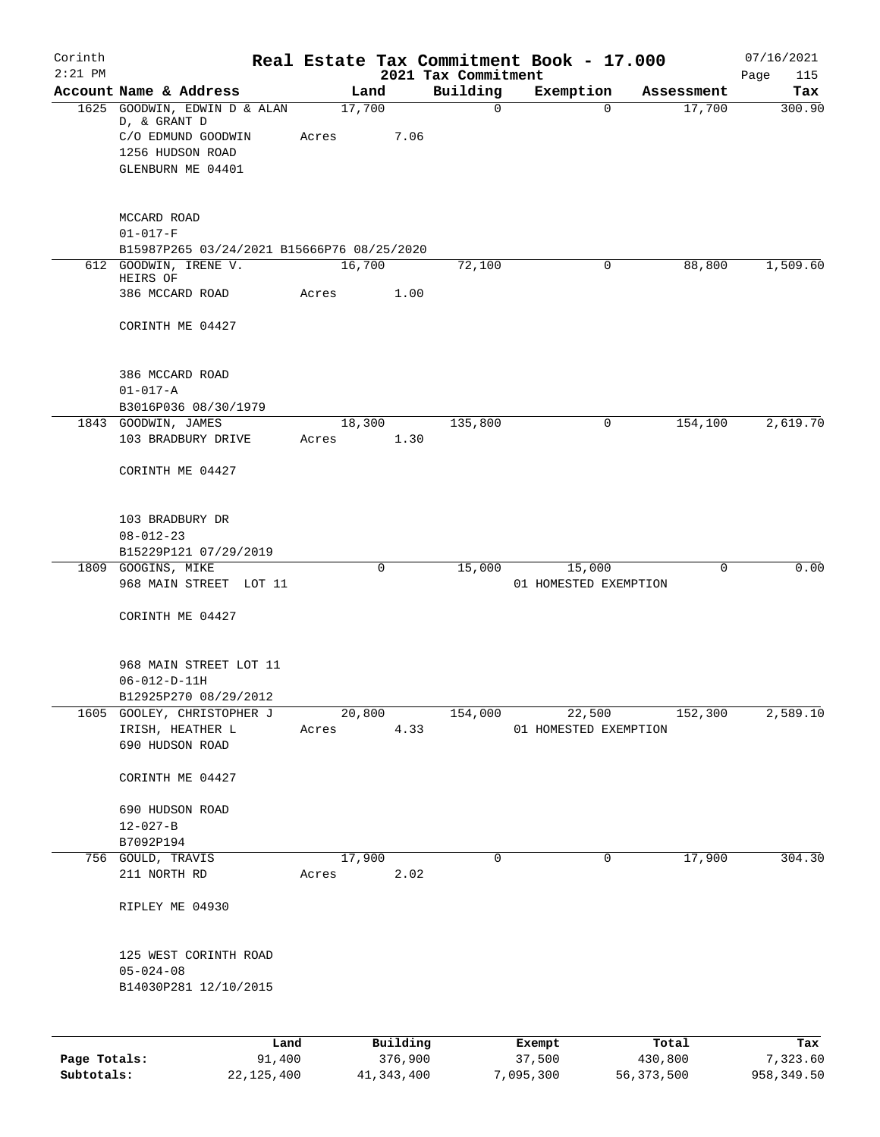| $2:21$ PM    | Account Name & Address<br>1625 GOODWIN, EDWIN D & ALAN<br>D, & GRANT D<br>C/O EDMUND GOODWIN<br>1256 HUDSON ROAD<br>GLENBURN ME 04401<br>MCCARD ROAD<br>$01 - 017 - F$<br>B15987P265 03/24/2021 B15666P76 08/25/2020<br>612 GOODWIN, IRENE V.<br>HEIRS OF<br>386 MCCARD ROAD<br>CORINTH ME 04427<br>386 MCCARD ROAD | Acres<br>Acres | Land<br>17,700<br>7.06<br>16,700<br>1.00 | 2021 Tax Commitment<br>Building<br>$\mathbf 0$<br>72,100 | Exemption<br>$\Omega$<br>0      | Assessment<br>17,700<br>88,800 | Page<br>115<br>Tax |
|--------------|---------------------------------------------------------------------------------------------------------------------------------------------------------------------------------------------------------------------------------------------------------------------------------------------------------------------|----------------|------------------------------------------|----------------------------------------------------------|---------------------------------|--------------------------------|--------------------|
|              |                                                                                                                                                                                                                                                                                                                     |                |                                          |                                                          |                                 |                                | 300.90             |
|              |                                                                                                                                                                                                                                                                                                                     |                |                                          |                                                          |                                 |                                |                    |
|              |                                                                                                                                                                                                                                                                                                                     |                |                                          |                                                          |                                 |                                | 1,509.60           |
|              |                                                                                                                                                                                                                                                                                                                     |                |                                          |                                                          |                                 |                                |                    |
|              |                                                                                                                                                                                                                                                                                                                     |                |                                          |                                                          |                                 |                                |                    |
|              |                                                                                                                                                                                                                                                                                                                     |                |                                          |                                                          |                                 |                                |                    |
|              |                                                                                                                                                                                                                                                                                                                     |                |                                          |                                                          |                                 |                                |                    |
|              |                                                                                                                                                                                                                                                                                                                     |                |                                          |                                                          |                                 |                                |                    |
|              | $01 - 017 - A$<br>B3016P036 08/30/1979                                                                                                                                                                                                                                                                              |                |                                          |                                                          |                                 |                                |                    |
|              | 1843 GOODWIN, JAMES                                                                                                                                                                                                                                                                                                 |                | 18,300                                   | 135,800                                                  | 0                               | 154,100                        | 2,619.70           |
|              | 103 BRADBURY DRIVE<br>CORINTH ME 04427                                                                                                                                                                                                                                                                              | Acres          | 1.30                                     |                                                          |                                 |                                |                    |
|              | 103 BRADBURY DR<br>$08 - 012 - 23$<br>B15229P121 07/29/2019<br>1809 GOOGINS, MIKE                                                                                                                                                                                                                                   |                | $\mathbf 0$                              | 15,000                                                   | 15,000                          | $\mathbf 0$                    | 0.00               |
|              | 968 MAIN STREET LOT 11<br>CORINTH ME 04427                                                                                                                                                                                                                                                                          |                |                                          |                                                          | 01 HOMESTED EXEMPTION           |                                |                    |
|              | 968 MAIN STREET LOT 11<br>$06 - 012 - D - 11H$<br>B12925P270 08/29/2012                                                                                                                                                                                                                                             |                |                                          |                                                          |                                 |                                |                    |
|              | 1605 GOOLEY, CHRISTOPHER J<br>IRISH, HEATHER L<br>690 HUDSON ROAD                                                                                                                                                                                                                                                   | Acres          | 20,800<br>4.33                           | 154,000                                                  | 22,500<br>01 HOMESTED EXEMPTION | 152,300                        | 2,589.10           |
|              | CORINTH ME 04427                                                                                                                                                                                                                                                                                                    |                |                                          |                                                          |                                 |                                |                    |
|              | 690 HUDSON ROAD<br>$12 - 027 - B$<br>B7092P194                                                                                                                                                                                                                                                                      |                |                                          |                                                          |                                 |                                |                    |
|              | 756 GOULD, TRAVIS<br>211 NORTH RD                                                                                                                                                                                                                                                                                   | Acres          | 17,900<br>2.02                           | 0                                                        | 0                               | 17,900                         | 304.30             |
|              | RIPLEY ME 04930                                                                                                                                                                                                                                                                                                     |                |                                          |                                                          |                                 |                                |                    |
|              | 125 WEST CORINTH ROAD<br>$05 - 024 - 08$<br>B14030P281 12/10/2015                                                                                                                                                                                                                                                   |                |                                          |                                                          |                                 |                                |                    |
| Page Totals: | Land<br>91,400                                                                                                                                                                                                                                                                                                      |                | Building<br>376,900                      |                                                          | Exempt<br>37,500                | Total<br>430,800               | Tax<br>7,323.60    |

**Subtotals:** 22,125,400 41,343,400 7,095,300 56,373,500 958,349.50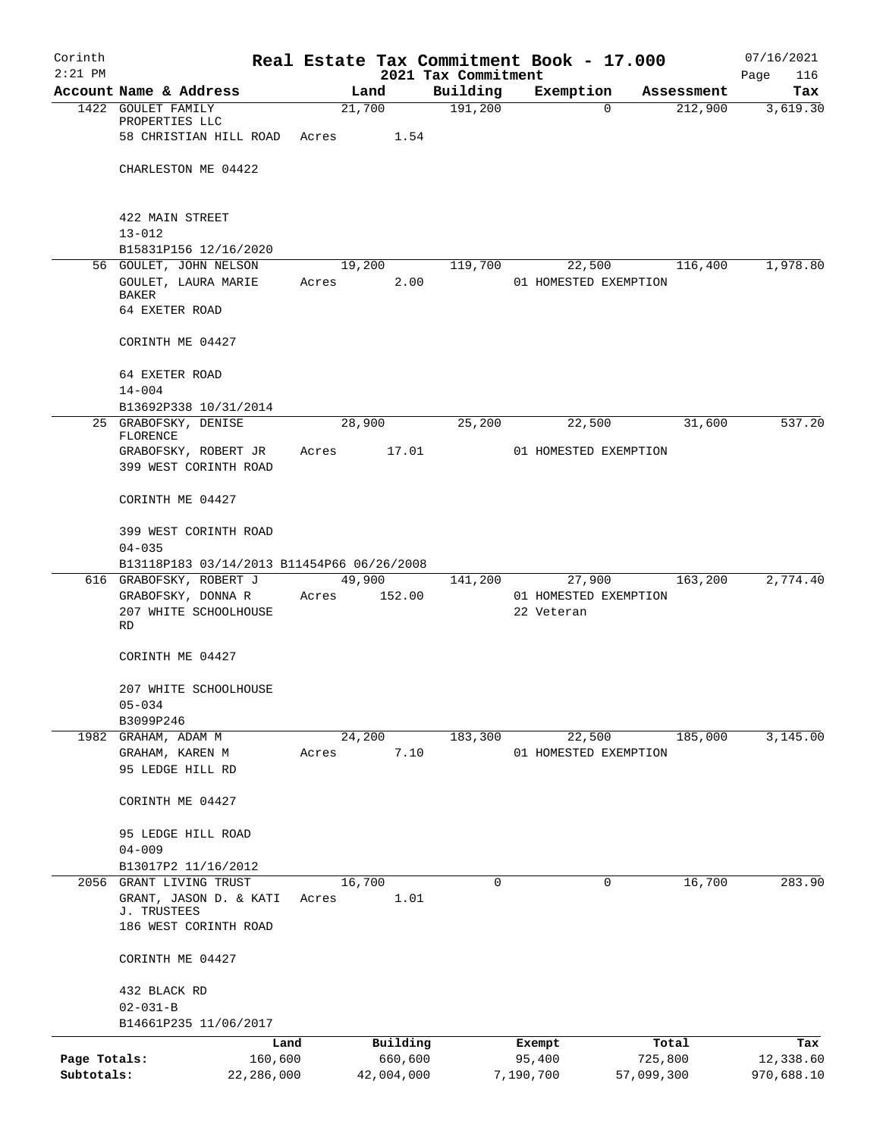| Corinth      |                                               |       |                  |                     | Real Estate Tax Commitment Book - 17.000 |            |                       | 07/16/2021      |
|--------------|-----------------------------------------------|-------|------------------|---------------------|------------------------------------------|------------|-----------------------|-----------------|
| $2:21$ PM    | Account Name & Address                        |       |                  | 2021 Tax Commitment |                                          |            |                       | Page<br>116     |
|              | 1422 GOULET FAMILY                            |       | Land<br>21,700   | Building<br>191,200 | Exemption                                | $\Omega$   | Assessment<br>212,900 | Tax<br>3,619.30 |
|              | PROPERTIES LLC                                |       |                  |                     |                                          |            |                       |                 |
|              | 58 CHRISTIAN HILL ROAD Acres                  |       | 1.54             |                     |                                          |            |                       |                 |
|              |                                               |       |                  |                     |                                          |            |                       |                 |
|              | CHARLESTON ME 04422                           |       |                  |                     |                                          |            |                       |                 |
|              | 422 MAIN STREET                               |       |                  |                     |                                          |            |                       |                 |
|              | $13 - 012$                                    |       |                  |                     |                                          |            |                       |                 |
|              | B15831P156 12/16/2020                         |       |                  |                     |                                          |            |                       |                 |
|              | 56 GOULET, JOHN NELSON                        |       | 19,200           | 119,700             | 22,500                                   |            | 116,400               | 1,978.80        |
|              | GOULET, LAURA MARIE<br>BAKER                  | Acres | 2.00             |                     | 01 HOMESTED EXEMPTION                    |            |                       |                 |
|              | 64 EXETER ROAD                                |       |                  |                     |                                          |            |                       |                 |
|              | CORINTH ME 04427                              |       |                  |                     |                                          |            |                       |                 |
|              | 64 EXETER ROAD                                |       |                  |                     |                                          |            |                       |                 |
|              | $14 - 004$                                    |       |                  |                     |                                          |            |                       |                 |
|              | B13692P338 10/31/2014<br>25 GRABOFSKY, DENISE |       | 28,900           | 25,200              | 22,500                                   |            | 31,600                | 537.20          |
|              | FLORENCE                                      |       |                  |                     |                                          |            |                       |                 |
|              | GRABOFSKY, ROBERT JR                          | Acres | 17.01            |                     | 01 HOMESTED EXEMPTION                    |            |                       |                 |
|              | 399 WEST CORINTH ROAD                         |       |                  |                     |                                          |            |                       |                 |
|              | CORINTH ME 04427                              |       |                  |                     |                                          |            |                       |                 |
|              | 399 WEST CORINTH ROAD                         |       |                  |                     |                                          |            |                       |                 |
|              | $04 - 035$                                    |       |                  |                     |                                          |            |                       |                 |
|              | B13118P183 03/14/2013 B11454P66 06/26/2008    |       |                  |                     |                                          |            | 163,200               | 2,774.40        |
|              | 616 GRABOFSKY, ROBERT J<br>GRABOFSKY, DONNA R | Acres | 49,900<br>152.00 | 141,200             | 27,900<br>01 HOMESTED EXEMPTION          |            |                       |                 |
|              | 207 WHITE SCHOOLHOUSE                         |       |                  |                     | 22 Veteran                               |            |                       |                 |
|              | RD                                            |       |                  |                     |                                          |            |                       |                 |
|              | CORINTH ME 04427                              |       |                  |                     |                                          |            |                       |                 |
|              | 207 WHITE SCHOOLHOUSE                         |       |                  |                     |                                          |            |                       |                 |
|              | $05 - 034$                                    |       |                  |                     |                                          |            |                       |                 |
|              | B3099P246                                     |       |                  |                     |                                          |            |                       |                 |
| 1982         | GRAHAM, ADAM M<br>GRAHAM, KAREN M             | Acres | 24,200<br>7.10   | 183,300             | 22,500<br>01 HOMESTED EXEMPTION          |            | 185,000               | 3,145.00        |
|              | 95 LEDGE HILL RD                              |       |                  |                     |                                          |            |                       |                 |
|              |                                               |       |                  |                     |                                          |            |                       |                 |
|              | CORINTH ME 04427                              |       |                  |                     |                                          |            |                       |                 |
|              | 95 LEDGE HILL ROAD                            |       |                  |                     |                                          |            |                       |                 |
|              | $04 - 009$                                    |       |                  |                     |                                          |            |                       |                 |
|              | B13017P2 11/16/2012                           |       |                  |                     |                                          |            |                       |                 |
| 2056         | GRANT LIVING TRUST                            |       | 16,700           | 0                   |                                          | 0          | 16,700                | 283.90          |
|              | GRANT, JASON D. & KATI                        | Acres | 1.01             |                     |                                          |            |                       |                 |
|              | J. TRUSTEES<br>186 WEST CORINTH ROAD          |       |                  |                     |                                          |            |                       |                 |
|              |                                               |       |                  |                     |                                          |            |                       |                 |
|              | CORINTH ME 04427                              |       |                  |                     |                                          |            |                       |                 |
|              | 432 BLACK RD                                  |       |                  |                     |                                          |            |                       |                 |
|              | $02 - 031 - B$                                |       |                  |                     |                                          |            |                       |                 |
|              | B14661P235 11/06/2017                         |       |                  |                     |                                          |            |                       |                 |
|              |                                               | Land  | Building         |                     | Exempt                                   |            | Total                 | Tax             |
| Page Totals: | 160,600                                       |       | 660,600          |                     | 95,400                                   | 725,800    |                       | 12,338.60       |
| Subtotals:   | 22,286,000                                    |       | 42,004,000       |                     | 7,190,700                                | 57,099,300 |                       | 970,688.10      |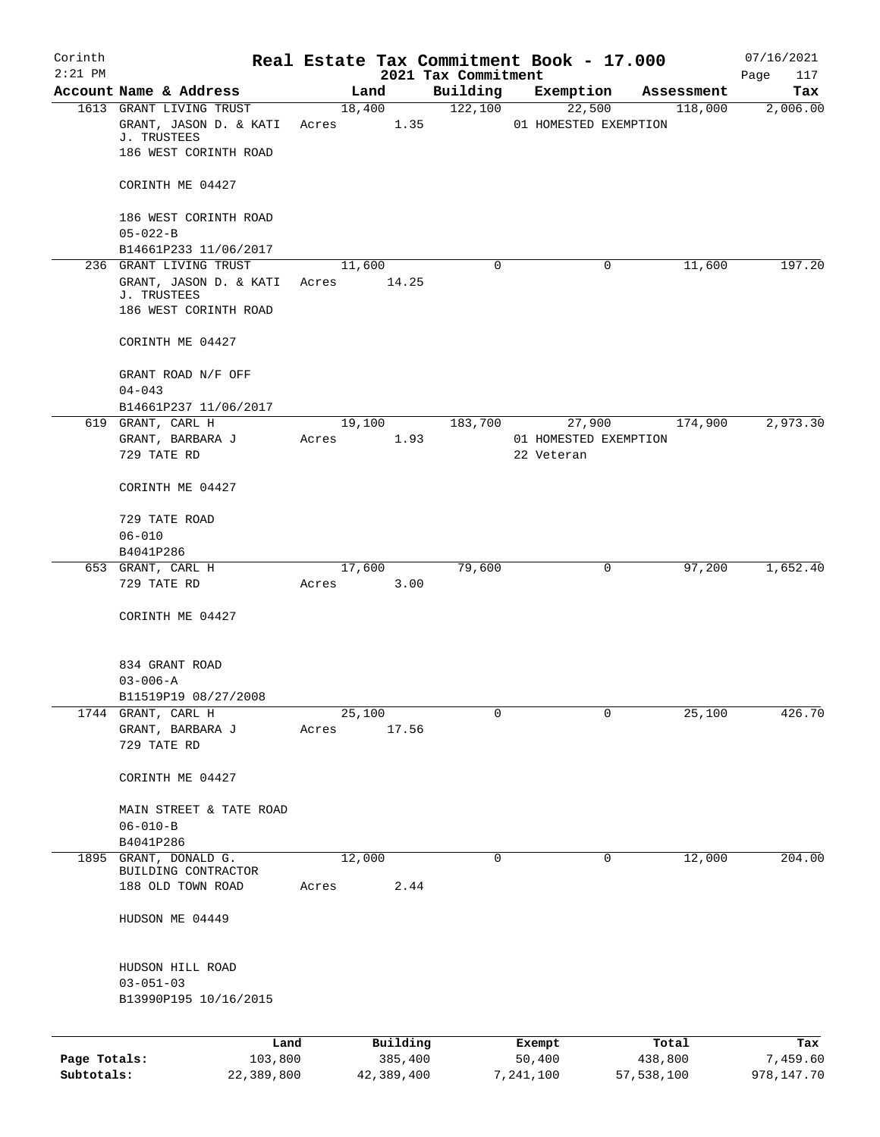| Corinth      |                                         |       |                |                     | Real Estate Tax Commitment Book - 17.000 |                       | 07/16/2021      |
|--------------|-----------------------------------------|-------|----------------|---------------------|------------------------------------------|-----------------------|-----------------|
| $2:21$ PM    | Account Name & Address                  |       |                | 2021 Tax Commitment |                                          |                       | Page<br>117     |
|              | 1613 GRANT LIVING TRUST                 |       | Land<br>18,400 | Building<br>122,100 | Exemption<br>22,500                      | Assessment<br>118,000 | Tax<br>2,006.00 |
|              | GRANT, JASON D. & KATI<br>J. TRUSTEES   | Acres | 1.35           |                     | 01 HOMESTED EXEMPTION                    |                       |                 |
|              | 186 WEST CORINTH ROAD                   |       |                |                     |                                          |                       |                 |
|              | CORINTH ME 04427                        |       |                |                     |                                          |                       |                 |
|              | 186 WEST CORINTH ROAD<br>$05 - 022 - B$ |       |                |                     |                                          |                       |                 |
|              | B14661P233 11/06/2017                   |       |                |                     |                                          |                       |                 |
|              | 236 GRANT LIVING TRUST                  |       | 11,600         | 0                   |                                          | $\mathbf 0$<br>11,600 | 197.20          |
|              | GRANT, JASON D. & KATI                  | Acres | 14.25          |                     |                                          |                       |                 |
|              | J. TRUSTEES<br>186 WEST CORINTH ROAD    |       |                |                     |                                          |                       |                 |
|              | CORINTH ME 04427                        |       |                |                     |                                          |                       |                 |
|              | GRANT ROAD N/F OFF                      |       |                |                     |                                          |                       |                 |
|              | $04 - 043$                              |       |                |                     |                                          |                       |                 |
|              | B14661P237 11/06/2017                   |       |                |                     |                                          |                       |                 |
|              | 619 GRANT, CARL H<br>GRANT, BARBARA J   | Acres | 19,100<br>1.93 | 183,700             | 27,900<br>01 HOMESTED EXEMPTION          | 174,900               | 2,973.30        |
|              | 729 TATE RD                             |       |                |                     | 22 Veteran                               |                       |                 |
|              | CORINTH ME 04427                        |       |                |                     |                                          |                       |                 |
|              | 729 TATE ROAD                           |       |                |                     |                                          |                       |                 |
|              | $06 - 010$                              |       |                |                     |                                          |                       |                 |
|              | B4041P286<br>653 GRANT, CARL H          |       | 17,600         | 79,600              |                                          | 97,200<br>0           | 1,652.40        |
|              | 729 TATE RD                             | Acres | 3.00           |                     |                                          |                       |                 |
|              | CORINTH ME 04427                        |       |                |                     |                                          |                       |                 |
|              |                                         |       |                |                     |                                          |                       |                 |
|              | 834 GRANT ROAD                          |       |                |                     |                                          |                       |                 |
|              | $03 - 006 - A$                          |       |                |                     |                                          |                       |                 |
| 1744         | B11519P19 08/27/2008<br>GRANT, CARL H   |       | 25,100         | 0                   |                                          | 25,100<br>0           | 426.70          |
|              | GRANT, BARBARA J                        | Acres | 17.56          |                     |                                          |                       |                 |
|              | 729 TATE RD                             |       |                |                     |                                          |                       |                 |
|              | CORINTH ME 04427                        |       |                |                     |                                          |                       |                 |
|              | MAIN STREET & TATE ROAD                 |       |                |                     |                                          |                       |                 |
|              | $06 - 010 - B$                          |       |                |                     |                                          |                       |                 |
|              | B4041P286                               |       |                |                     |                                          |                       |                 |
| 1895         | GRANT, DONALD G.<br>BUILDING CONTRACTOR |       | 12,000         | 0                   |                                          | 12,000<br>0           | 204.00          |
|              | 188 OLD TOWN ROAD                       | Acres | 2.44           |                     |                                          |                       |                 |
|              | HUDSON ME 04449                         |       |                |                     |                                          |                       |                 |
|              | HUDSON HILL ROAD                        |       |                |                     |                                          |                       |                 |
|              | $03 - 051 - 03$                         |       |                |                     |                                          |                       |                 |
|              | B13990P195 10/16/2015                   |       |                |                     |                                          |                       |                 |
|              | Land                                    |       | Building       |                     | Exempt                                   | Total                 | Tax             |
| Page Totals: | 103,800                                 |       | 385,400        |                     | 50,400                                   | 438,800               | 7,459.60        |
| Subtotals:   | 22,389,800                              |       | 42,389,400     |                     | 7,241,100                                | 57,538,100            | 978,147.70      |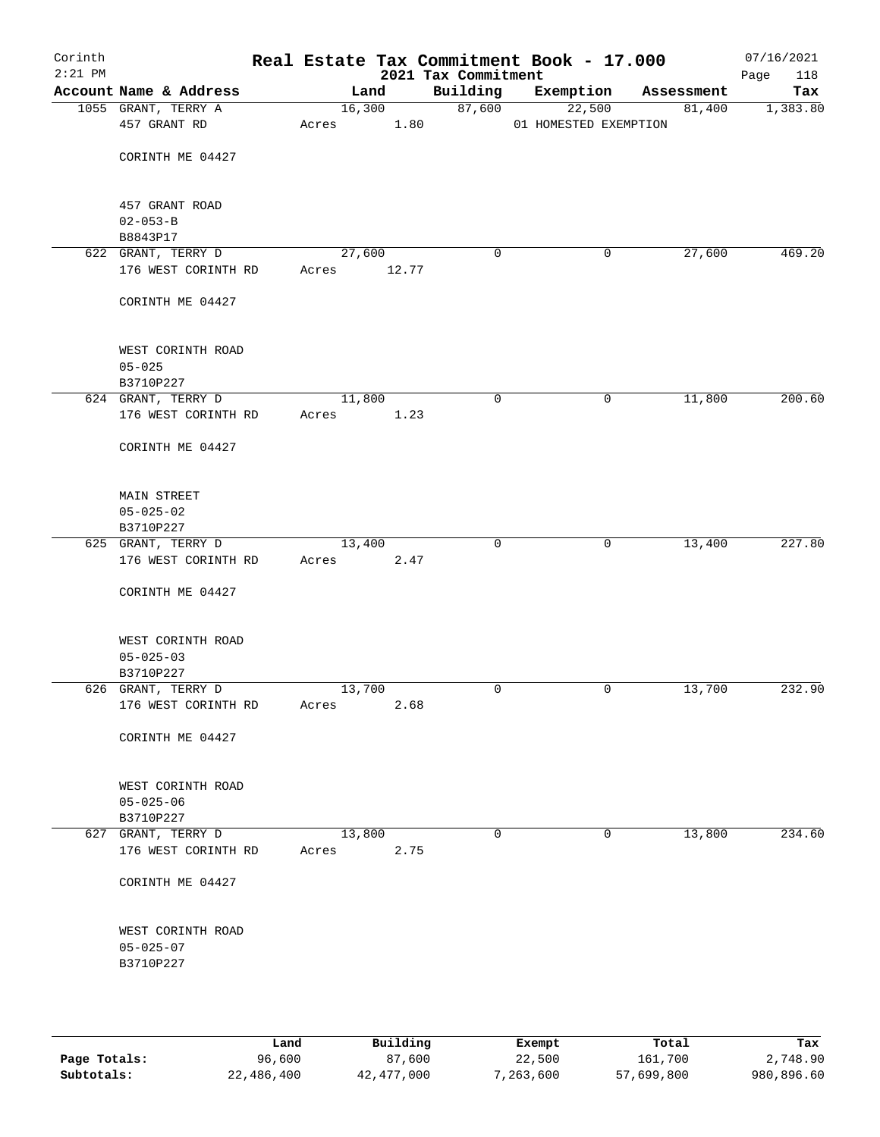| Corinth<br>$2:21$ PM |                                           |                 |        | 2021 Tax Commitment | Real Estate Tax Commitment Book - 17.000 |            | 07/16/2021<br>Page<br>118 |
|----------------------|-------------------------------------------|-----------------|--------|---------------------|------------------------------------------|------------|---------------------------|
|                      | Account Name & Address                    | Land            |        | Building            | Exemption                                | Assessment | Tax                       |
|                      | 1055 GRANT, TERRY A                       |                 | 16,300 | 87,600              | 22,500                                   | 81,400     | 1,383.80                  |
|                      | 457 GRANT RD                              | Acres           | 1.80   |                     | 01 HOMESTED EXEMPTION                    |            |                           |
|                      |                                           |                 |        |                     |                                          |            |                           |
|                      | CORINTH ME 04427                          |                 |        |                     |                                          |            |                           |
|                      | 457 GRANT ROAD                            |                 |        |                     |                                          |            |                           |
|                      | $02 - 053 - B$                            |                 |        |                     |                                          |            |                           |
|                      | B8843P17                                  |                 |        |                     |                                          |            |                           |
|                      | 622 GRANT, TERRY D                        | 27,600          |        | 0                   | 0                                        | 27,600     | 469.20                    |
|                      | 176 WEST CORINTH RD                       | Acres           | 12.77  |                     |                                          |            |                           |
|                      | CORINTH ME 04427                          |                 |        |                     |                                          |            |                           |
|                      | WEST CORINTH ROAD                         |                 |        |                     |                                          |            |                           |
|                      | $05 - 025$                                |                 |        |                     |                                          |            |                           |
|                      | B3710P227                                 |                 |        |                     |                                          |            |                           |
|                      | 624 GRANT, TERRY D                        | 11,800          |        | $\mathbf 0$         | 0                                        | 11,800     | 200.60                    |
|                      | 176 WEST CORINTH RD                       | Acres           | 1.23   |                     |                                          |            |                           |
|                      | CORINTH ME 04427                          |                 |        |                     |                                          |            |                           |
|                      | MAIN STREET                               |                 |        |                     |                                          |            |                           |
|                      | $05 - 025 - 02$                           |                 |        |                     |                                          |            |                           |
|                      | B3710P227                                 |                 |        |                     |                                          |            |                           |
|                      | 625 GRANT, TERRY D                        | 13,400          |        | 0                   | $\mathbf 0$                              | 13,400     | 227.80                    |
|                      | 176 WEST CORINTH RD                       | Acres           | 2.47   |                     |                                          |            |                           |
|                      | CORINTH ME 04427                          |                 |        |                     |                                          |            |                           |
|                      | WEST CORINTH ROAD                         |                 |        |                     |                                          |            |                           |
|                      | $05 - 025 - 03$                           |                 |        |                     |                                          |            |                           |
|                      | B3710P227                                 |                 |        |                     |                                          |            |                           |
|                      | 626 GRANT, TERRY D<br>176 WEST CORINTH RD | 13,700<br>Acres | 2.68   | 0                   | 0                                        | 13,700     | 232.90                    |
|                      |                                           |                 |        |                     |                                          |            |                           |
|                      | CORINTH ME 04427                          |                 |        |                     |                                          |            |                           |
|                      | WEST CORINTH ROAD                         |                 |        |                     |                                          |            |                           |
|                      | $05 - 025 - 06$                           |                 |        |                     |                                          |            |                           |
|                      | B3710P227                                 |                 |        |                     |                                          |            |                           |
|                      | 627 GRANT, TERRY D<br>176 WEST CORINTH RD | 13,800<br>Acres | 2.75   | $\mathbf 0$         | 0                                        | 13,800     | 234.60                    |
|                      | CORINTH ME 04427                          |                 |        |                     |                                          |            |                           |
|                      |                                           |                 |        |                     |                                          |            |                           |
|                      | WEST CORINTH ROAD                         |                 |        |                     |                                          |            |                           |
|                      | $05 - 025 - 07$                           |                 |        |                     |                                          |            |                           |
|                      | B3710P227                                 |                 |        |                     |                                          |            |                           |
|                      |                                           |                 |        |                     |                                          |            |                           |
|                      |                                           |                 |        |                     |                                          |            |                           |
|                      |                                           |                 |        |                     |                                          |            |                           |

|              | Land       | Building   | Exempt    | Total      | Tax        |
|--------------|------------|------------|-----------|------------|------------|
| Page Totals: | 96,600     | 87,600     | 22,500    | 161,700    | 2,748.90   |
| Subtotals:   | 22,486,400 | 42,477,000 | 7,263,600 | 57,699,800 | 980,896.60 |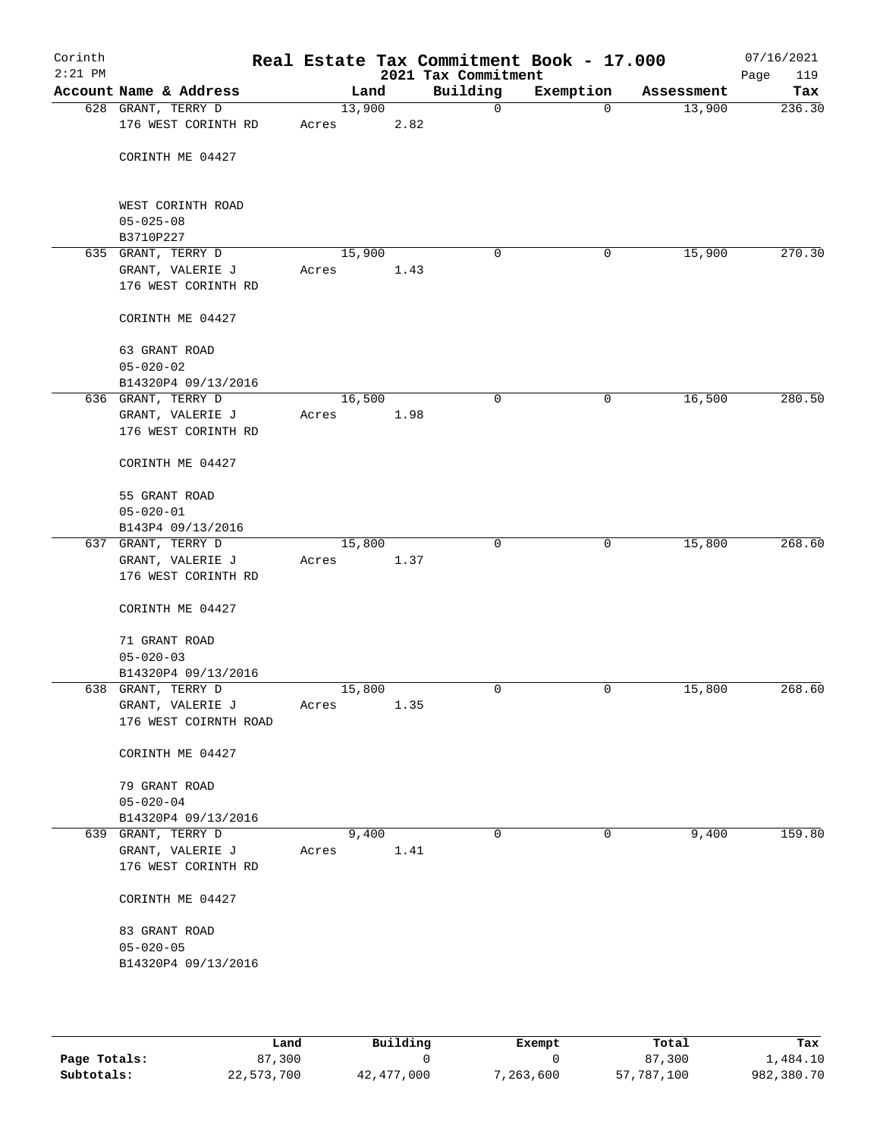| Corinth<br>$2:21$ PM |                                                               |                 |               | Real Estate Tax Commitment Book - 17.000<br>2021 Tax Commitment |             |            | 07/16/2021<br>119<br>Page |
|----------------------|---------------------------------------------------------------|-----------------|---------------|-----------------------------------------------------------------|-------------|------------|---------------------------|
|                      | Account Name & Address                                        |                 | Land          | Building                                                        | Exemption   | Assessment | Tax                       |
|                      | 628 GRANT, TERRY D<br>176 WEST CORINTH RD                     | 13,900<br>Acres | 2.82          | 0                                                               | $\mathbf 0$ | 13,900     | 236.30                    |
|                      | CORINTH ME 04427                                              |                 |               |                                                                 |             |            |                           |
|                      | WEST CORINTH ROAD<br>$05 - 025 - 08$<br>B3710P227             |                 |               |                                                                 |             |            |                           |
|                      | 635 GRANT, TERRY D                                            | 15,900          |               | 0                                                               | 0           | 15,900     | 270.30                    |
|                      | GRANT, VALERIE J<br>176 WEST CORINTH RD                       | Acres           | 1.43          |                                                                 |             |            |                           |
|                      | CORINTH ME 04427                                              |                 |               |                                                                 |             |            |                           |
|                      | 63 GRANT ROAD<br>$05 - 020 - 02$                              |                 |               |                                                                 |             |            |                           |
|                      | B14320P4 09/13/2016                                           |                 |               |                                                                 |             |            |                           |
|                      | 636 GRANT, TERRY D                                            | 16,500          |               | $\mathbf 0$                                                     | 0           | 16,500     | 280.50                    |
|                      | GRANT, VALERIE J<br>176 WEST CORINTH RD                       | Acres           | 1.98          |                                                                 |             |            |                           |
|                      | CORINTH ME 04427                                              |                 |               |                                                                 |             |            |                           |
|                      | 55 GRANT ROAD                                                 |                 |               |                                                                 |             |            |                           |
|                      | $05 - 020 - 01$                                               |                 |               |                                                                 |             |            |                           |
|                      | B143P4 09/13/2016                                             |                 |               | $\mathbf 0$                                                     | 0           | 15,800     | 268.60                    |
|                      | 637 GRANT, TERRY D<br>GRANT, VALERIE J<br>176 WEST CORINTH RD | 15,800<br>Acres | 1.37          |                                                                 |             |            |                           |
|                      | CORINTH ME 04427                                              |                 |               |                                                                 |             |            |                           |
|                      | 71 GRANT ROAD<br>$05 - 020 - 03$                              |                 |               |                                                                 |             |            |                           |
|                      | B14320P4 09/13/2016                                           |                 |               |                                                                 |             |            |                           |
|                      | 638 GRANT, TERRY D                                            | 15,800          |               | 0                                                               | 0           | 15,800     | 268.60                    |
|                      | GRANT, VALERIE J<br>176 WEST COIRNTH ROAD                     | Acres           | 1.35          |                                                                 |             |            |                           |
|                      | CORINTH ME 04427                                              |                 |               |                                                                 |             |            |                           |
|                      | 79 GRANT ROAD<br>$05 - 020 - 04$                              |                 |               |                                                                 |             |            |                           |
|                      | B14320P4 09/13/2016                                           |                 |               |                                                                 |             |            |                           |
|                      | 639 GRANT, TERRY D<br>GRANT, VALERIE J<br>176 WEST CORINTH RD | Acres           | 9,400<br>1.41 | 0                                                               | $\mathbf 0$ | 9,400      | 159.80                    |
|                      | CORINTH ME 04427                                              |                 |               |                                                                 |             |            |                           |
|                      | 83 GRANT ROAD                                                 |                 |               |                                                                 |             |            |                           |
|                      | $05 - 020 - 05$<br>B14320P4 09/13/2016                        |                 |               |                                                                 |             |            |                           |
|                      |                                                               |                 |               |                                                                 |             |            |                           |

|              | Land       | Building   | Exempt    | Total      | Tax        |
|--------------|------------|------------|-----------|------------|------------|
| Page Totals: | 87,300     |            |           | 87,300     | 1,484.10   |
| Subtotals:   | 22,573,700 | 42,477,000 | 7,263,600 | 57,787,100 | 982,380.70 |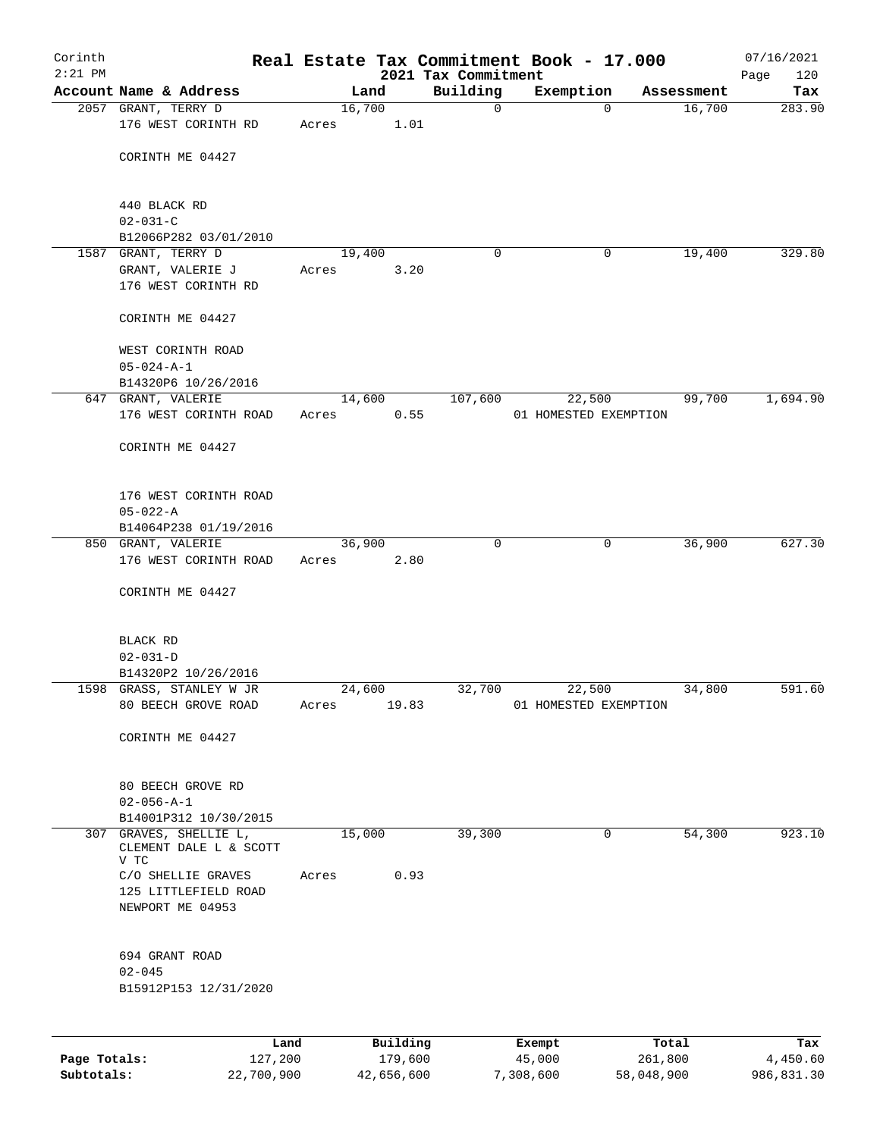| Corinth<br>$2:21$ PM |                                                      |                 |       |        |                     | Real Estate Tax Commitment Book - 17.000<br>2021 Tax Commitment |                       |             |                  | 07/16/2021<br>120 |
|----------------------|------------------------------------------------------|-----------------|-------|--------|---------------------|-----------------------------------------------------------------|-----------------------|-------------|------------------|-------------------|
|                      | Account Name & Address                               |                 |       | Land   |                     | Building                                                        | Exemption             |             | Assessment       | Page<br>Tax       |
|                      | 2057 GRANT, TERRY D                                  |                 |       | 16,700 |                     | $\mathbf 0$                                                     |                       | $\Omega$    | 16,700           | 283.90            |
|                      | 176 WEST CORINTH RD                                  |                 | Acres |        | 1.01                |                                                                 |                       |             |                  |                   |
|                      | CORINTH ME 04427                                     |                 |       |        |                     |                                                                 |                       |             |                  |                   |
|                      | 440 BLACK RD                                         |                 |       |        |                     |                                                                 |                       |             |                  |                   |
|                      | $02 - 031 - C$                                       |                 |       |        |                     |                                                                 |                       |             |                  |                   |
|                      | B12066P282 03/01/2010                                |                 |       |        |                     |                                                                 |                       |             |                  |                   |
|                      | 1587 GRANT, TERRY D                                  |                 |       | 19,400 |                     | $\Omega$                                                        |                       | 0           | 19,400           | 329.80            |
|                      | GRANT, VALERIE J<br>176 WEST CORINTH RD              |                 | Acres |        | 3.20                |                                                                 |                       |             |                  |                   |
|                      | CORINTH ME 04427                                     |                 |       |        |                     |                                                                 |                       |             |                  |                   |
|                      | WEST CORINTH ROAD<br>$05 - 024 - A - 1$              |                 |       |        |                     |                                                                 |                       |             |                  |                   |
|                      | B14320P6 10/26/2016                                  |                 |       |        |                     |                                                                 |                       |             |                  |                   |
|                      | 647 GRANT, VALERIE                                   |                 |       | 14,600 |                     | 107,600                                                         |                       | 22,500      | 99,700           | 1,694.90          |
|                      | 176 WEST CORINTH ROAD                                |                 | Acres |        | 0.55                |                                                                 | 01 HOMESTED EXEMPTION |             |                  |                   |
|                      | CORINTH ME 04427                                     |                 |       |        |                     |                                                                 |                       |             |                  |                   |
|                      | 176 WEST CORINTH ROAD                                |                 |       |        |                     |                                                                 |                       |             |                  |                   |
|                      | $05 - 022 - A$                                       |                 |       |        |                     |                                                                 |                       |             |                  |                   |
|                      | B14064P238 01/19/2016                                |                 |       |        |                     | $\Omega$                                                        |                       |             |                  |                   |
|                      | 850 GRANT, VALERIE<br>176 WEST CORINTH ROAD          |                 | Acres | 36,900 | 2.80                |                                                                 |                       | $\mathbf 0$ | 36,900           | 627.30            |
|                      | CORINTH ME 04427                                     |                 |       |        |                     |                                                                 |                       |             |                  |                   |
|                      | BLACK RD                                             |                 |       |        |                     |                                                                 |                       |             |                  |                   |
|                      | $02 - 031 - D$                                       |                 |       |        |                     |                                                                 |                       |             |                  |                   |
|                      | B14320P2 10/26/2016                                  |                 |       |        |                     |                                                                 |                       |             |                  |                   |
|                      | 1598 GRASS, STANLEY W JR                             |                 |       | 24,600 |                     | 32,700                                                          | 22,500                |             | 34,800           | 591.60            |
|                      | 80 BEECH GROVE ROAD                                  |                 | Acres |        | 19.83               |                                                                 | 01 HOMESTED EXEMPTION |             |                  |                   |
|                      | CORINTH ME 04427                                     |                 |       |        |                     |                                                                 |                       |             |                  |                   |
|                      | 80 BEECH GROVE RD                                    |                 |       |        |                     |                                                                 |                       |             |                  |                   |
|                      | $02 - 056 - A - 1$                                   |                 |       |        |                     |                                                                 |                       |             |                  |                   |
|                      | B14001P312 10/30/2015                                |                 |       |        |                     |                                                                 |                       |             |                  |                   |
| 307                  | GRAVES, SHELLIE L,<br>CLEMENT DALE L & SCOTT<br>V TC |                 |       | 15,000 |                     | 39,300                                                          |                       | 0           | 54,300           | 923.10            |
|                      | C/O SHELLIE GRAVES                                   |                 | Acres |        | 0.93                |                                                                 |                       |             |                  |                   |
|                      | 125 LITTLEFIELD ROAD                                 |                 |       |        |                     |                                                                 |                       |             |                  |                   |
|                      | NEWPORT ME 04953                                     |                 |       |        |                     |                                                                 |                       |             |                  |                   |
|                      | 694 GRANT ROAD                                       |                 |       |        |                     |                                                                 |                       |             |                  |                   |
|                      | $02 - 045$                                           |                 |       |        |                     |                                                                 |                       |             |                  |                   |
|                      | B15912P153 12/31/2020                                |                 |       |        |                     |                                                                 |                       |             |                  |                   |
|                      |                                                      |                 |       |        |                     |                                                                 |                       |             |                  |                   |
| Page Totals:         |                                                      | Land<br>127,200 |       |        | Building<br>179,600 |                                                                 | Exempt<br>45,000      |             | Total<br>261,800 | Tax<br>4,450.60   |

**Subtotals:** 22,700,900 42,656,600 7,308,600 58,048,900 986,831.30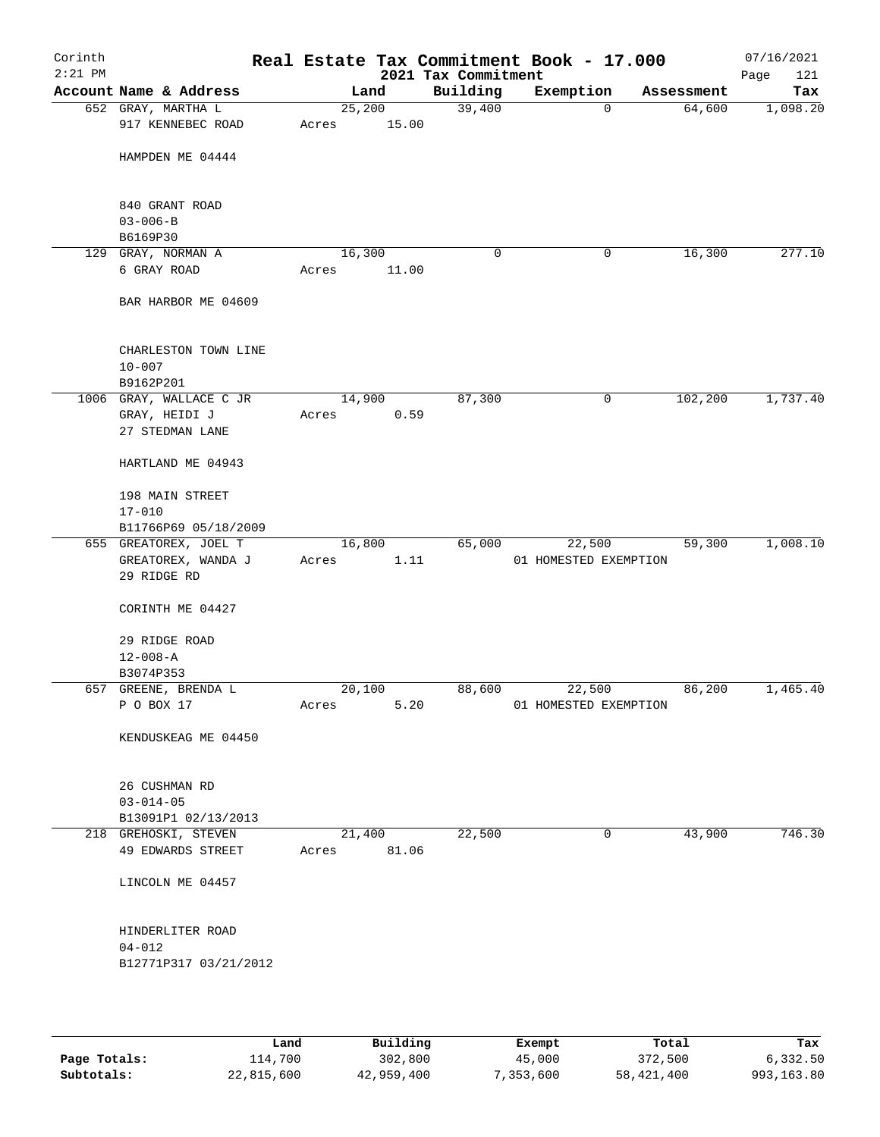| Corinth<br>$2:21$ PM |                                                             |                 |                | 2021 Tax Commitment | Real Estate Tax Commitment Book - 17.000 |            | 07/16/2021<br>121<br>Page |
|----------------------|-------------------------------------------------------------|-----------------|----------------|---------------------|------------------------------------------|------------|---------------------------|
|                      | Account Name & Address                                      |                 | Land           | Building            | Exemption                                | Assessment | Tax                       |
|                      | 652 GRAY, MARTHA L<br>917 KENNEBEC ROAD                     | 25,200<br>Acres | 15.00          | 39,400              | $\mathbf 0$                              | 64,600     | 1,098.20                  |
|                      | HAMPDEN ME 04444                                            |                 |                |                     |                                          |            |                           |
|                      | 840 GRANT ROAD<br>$03 - 006 - B$                            |                 |                |                     |                                          |            |                           |
|                      | B6169P30                                                    |                 |                |                     |                                          |            |                           |
|                      | 129 GRAY, NORMAN A<br>6 GRAY ROAD                           | 16,300<br>Acres | 11.00          | 0                   | 0                                        | 16,300     | 277.10                    |
|                      | BAR HARBOR ME 04609                                         |                 |                |                     |                                          |            |                           |
|                      | CHARLESTON TOWN LINE<br>$10 - 007$<br>B9162P201             |                 |                |                     |                                          |            |                           |
|                      | 1006 GRAY, WALLACE C JR<br>GRAY, HEIDI J<br>27 STEDMAN LANE | Acres           | 14,900<br>0.59 | 87,300              | 0                                        | 102,200    | 1,737.40                  |
|                      | HARTLAND ME 04943                                           |                 |                |                     |                                          |            |                           |
|                      | 198 MAIN STREET<br>$17 - 010$                               |                 |                |                     |                                          |            |                           |
|                      | B11766P69 05/18/2009                                        |                 |                |                     |                                          |            |                           |
|                      | 655 GREATOREX, JOEL T<br>GREATOREX, WANDA J<br>29 RIDGE RD  | 16,800<br>Acres | 1.11           | 65,000              | 22,500<br>01 HOMESTED EXEMPTION          | 59,300     | 1,008.10                  |
|                      | CORINTH ME 04427                                            |                 |                |                     |                                          |            |                           |
|                      | 29 RIDGE ROAD<br>$12 - 008 - A$                             |                 |                |                     |                                          |            |                           |
|                      | B3074P353                                                   |                 |                |                     |                                          |            |                           |
|                      | 657 GREENE, BRENDA L<br>P O BOX 17                          | 20,100<br>Acres | 5.20           | 88,600              | 22,500<br>01 HOMESTED EXEMPTION          | 86,200     | 1,465.40                  |
|                      | KENDUSKEAG ME 04450                                         |                 |                |                     |                                          |            |                           |
|                      | 26 CUSHMAN RD<br>$03 - 014 - 05$                            |                 |                |                     |                                          |            |                           |
|                      | B13091P1 02/13/2013                                         |                 |                |                     |                                          |            |                           |
|                      | 218 GREHOSKI, STEVEN<br>49 EDWARDS STREET                   | 21,400<br>Acres | 81.06          | 22,500              | 0                                        | 43,900     | 746.30                    |
|                      | LINCOLN ME 04457                                            |                 |                |                     |                                          |            |                           |
|                      | HINDERLITER ROAD<br>$04 - 012$<br>B12771P317 03/21/2012     |                 |                |                     |                                          |            |                           |
|                      |                                                             |                 |                |                     |                                          |            |                           |

|              | Land       | Building   | Exempt    | Total      | Tax        |
|--------------|------------|------------|-----------|------------|------------|
| Page Totals: | 114,700    | 302,800    | 45,000    | 372,500    | 6,332.50   |
| Subtotals:   | 22,815,600 | 42,959,400 | 7,353,600 | 58,421,400 | 993,163.80 |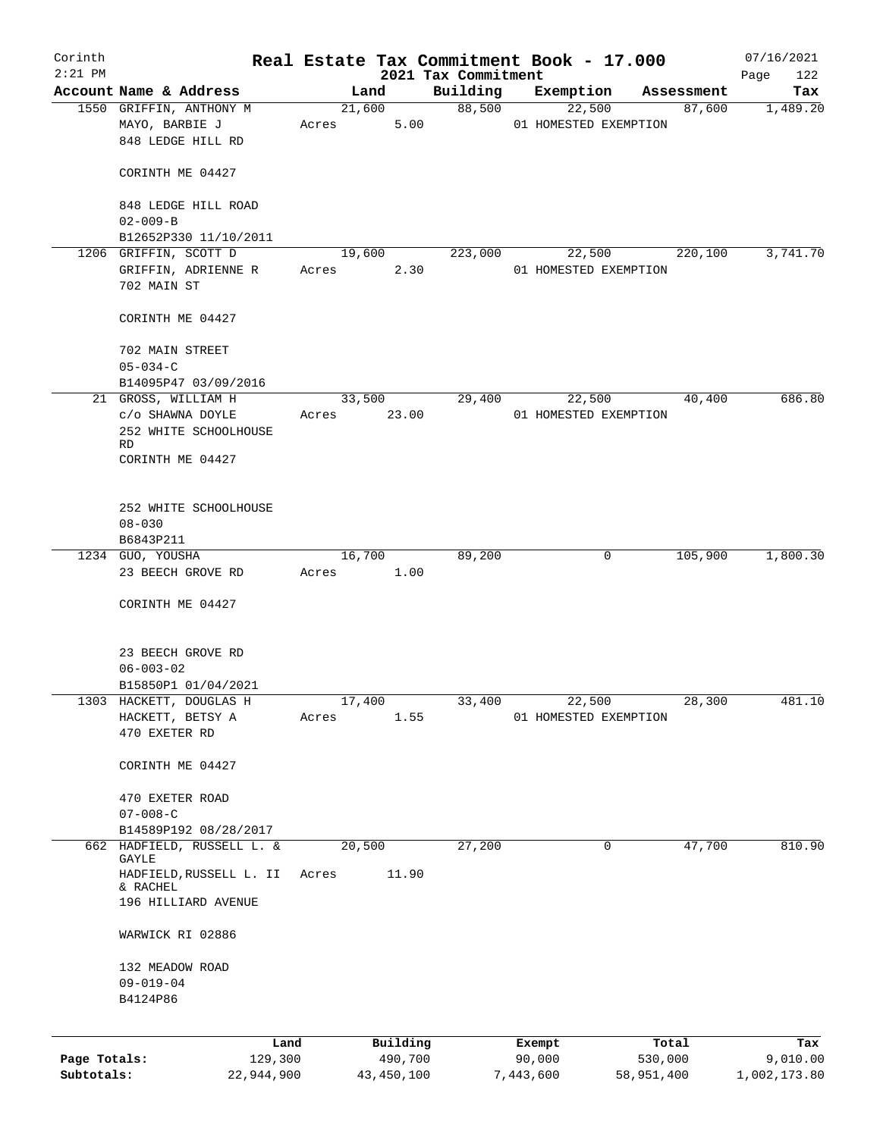| Corinth      |                                                                |       |                |                     |           | Real Estate Tax Commitment Book - 17.000 |            | 07/16/2021   |
|--------------|----------------------------------------------------------------|-------|----------------|---------------------|-----------|------------------------------------------|------------|--------------|
| $2:21$ PM    |                                                                |       |                | 2021 Tax Commitment |           |                                          |            | Page<br>122  |
|              | Account Name & Address                                         |       | Land           | Building            |           | Exemption                                | Assessment | Tax          |
|              | 1550 GRIFFIN, ANTHONY M<br>MAYO, BARBIE J<br>848 LEDGE HILL RD | Acres | 21,600<br>5.00 | 88,500              |           | 22,500<br>01 HOMESTED EXEMPTION          | 87,600     | 1,489.20     |
|              | CORINTH ME 04427                                               |       |                |                     |           |                                          |            |              |
|              | 848 LEDGE HILL ROAD<br>$02 - 009 - B$                          |       |                |                     |           |                                          |            |              |
|              | B12652P330 11/10/2011                                          |       |                |                     |           |                                          |            |              |
|              | 1206 GRIFFIN, SCOTT D                                          |       | 19,600         | 223,000             |           | 22,500                                   | 220,100    | 3,741.70     |
|              | GRIFFIN, ADRIENNE R<br>702 MAIN ST                             | Acres | 2.30           |                     |           | 01 HOMESTED EXEMPTION                    |            |              |
|              | CORINTH ME 04427                                               |       |                |                     |           |                                          |            |              |
|              | 702 MAIN STREET<br>$05 - 034 - C$                              |       |                |                     |           |                                          |            |              |
|              | B14095P47 03/09/2016                                           |       |                |                     |           |                                          |            |              |
|              | 21 GROSS, WILLIAM H                                            |       | 33,500         | 29,400              |           | 22,500                                   | 40,400     | 686.80       |
|              | c/o SHAWNA DOYLE                                               | Acres | 23.00          |                     |           | 01 HOMESTED EXEMPTION                    |            |              |
|              | 252 WHITE SCHOOLHOUSE<br>RD.                                   |       |                |                     |           |                                          |            |              |
|              | CORINTH ME 04427                                               |       |                |                     |           |                                          |            |              |
|              | 252 WHITE SCHOOLHOUSE<br>$08 - 030$                            |       |                |                     |           |                                          |            |              |
|              | B6843P211                                                      |       |                |                     |           |                                          |            |              |
|              | 1234 GUO, YOUSHA                                               |       | 16,700         | 89,200              |           | 0                                        | 105,900    | 1,800.30     |
|              | 23 BEECH GROVE RD                                              | Acres | 1.00           |                     |           |                                          |            |              |
|              | CORINTH ME 04427                                               |       |                |                     |           |                                          |            |              |
|              | 23 BEECH GROVE RD                                              |       |                |                     |           |                                          |            |              |
|              | $06 - 003 - 02$                                                |       |                |                     |           |                                          |            |              |
|              | B15850P1 01/04/2021                                            |       |                |                     |           |                                          |            |              |
|              | 1303 HACKETT, DOUGLAS H<br>HACKETT, BETSY A<br>470 EXETER RD   | Acres | 17,400<br>1.55 | 33,400              |           | 22,500<br>01 HOMESTED EXEMPTION          | 28,300     | 481.10       |
|              | CORINTH ME 04427                                               |       |                |                     |           |                                          |            |              |
|              | 470 EXETER ROAD<br>$07 - 008 - C$                              |       |                |                     |           |                                          |            |              |
|              | B14589P192 08/28/2017                                          |       |                |                     |           |                                          |            |              |
|              | 662 HADFIELD, RUSSELL L. &<br><b>GAYLE</b>                     |       | 20,500         | 27,200              |           | 0                                        | 47,700     | 810.90       |
|              | HADFIELD, RUSSELL L. II<br>& RACHEL                            | Acres | 11.90          |                     |           |                                          |            |              |
|              | 196 HILLIARD AVENUE                                            |       |                |                     |           |                                          |            |              |
|              | WARWICK RI 02886                                               |       |                |                     |           |                                          |            |              |
|              | 132 MEADOW ROAD                                                |       |                |                     |           |                                          |            |              |
|              | $09 - 019 - 04$                                                |       |                |                     |           |                                          |            |              |
|              | B4124P86                                                       |       |                |                     |           |                                          |            |              |
|              | Land                                                           |       | Building       |                     |           | Exempt                                   | Total      | Tax          |
| Page Totals: | 129,300                                                        |       | 490,700        |                     |           | 90,000                                   | 530,000    | 9,010.00     |
| Subtotals:   | 22,944,900                                                     |       | 43, 450, 100   |                     | 7,443,600 |                                          | 58,951,400 | 1,002,173.80 |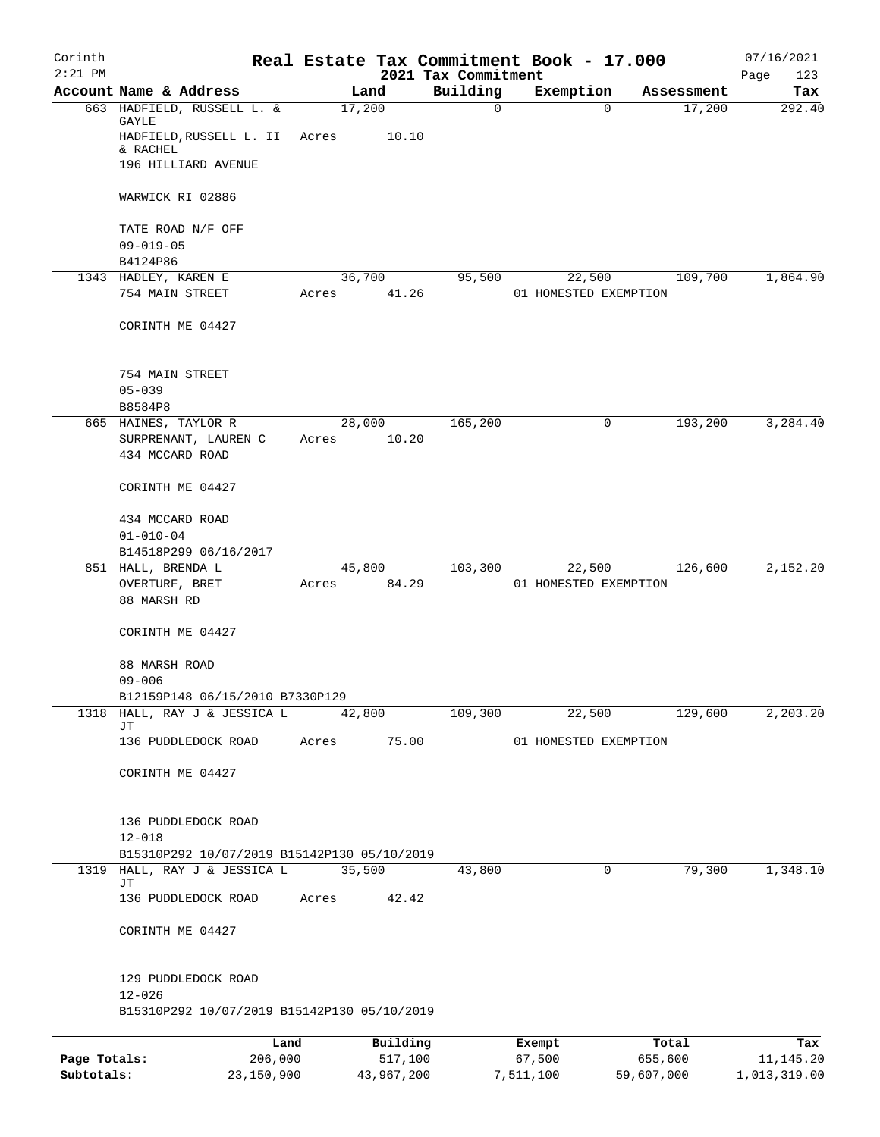| Corinth<br>$2:21$ PM |                                                                                  |                       |                 | 2021 Tax Commitment | Real Estate Tax Commitment Book - 17.000 |            | 07/16/2021<br>Page<br>123 |
|----------------------|----------------------------------------------------------------------------------|-----------------------|-----------------|---------------------|------------------------------------------|------------|---------------------------|
|                      | Account Name & Address                                                           | Land                  |                 | Building            | Exemption                                | Assessment | Tax                       |
|                      | 663 HADFIELD, RUSSELL L. &<br>GAYLE<br>HADFIELD, RUSSELL L. II                   | 17,200<br>Acres       | 10.10           | $\mathbf 0$         | $\Omega$                                 | 17,200     | 292.40                    |
|                      | & RACHEL<br>196 HILLIARD AVENUE                                                  |                       |                 |                     |                                          |            |                           |
|                      | WARWICK RI 02886                                                                 |                       |                 |                     |                                          |            |                           |
|                      | TATE ROAD N/F OFF<br>$09 - 019 - 05$                                             |                       |                 |                     |                                          |            |                           |
|                      | B4124P86                                                                         |                       |                 |                     |                                          |            |                           |
|                      | 1343 HADLEY, KAREN E<br>754 MAIN STREET                                          | 36,700<br>Acres       | 41.26           | 95,500              | 22,500<br>01 HOMESTED EXEMPTION          | 109,700    | 1,864.90                  |
|                      | CORINTH ME 04427                                                                 |                       |                 |                     |                                          |            |                           |
|                      | 754 MAIN STREET<br>$05 - 039$                                                    |                       |                 |                     |                                          |            |                           |
|                      | B8584P8                                                                          |                       |                 |                     |                                          |            |                           |
|                      | 665 HAINES, TAYLOR R<br>SURPRENANT, LAUREN C<br>434 MCCARD ROAD                  | Acres                 | 28,000<br>10.20 | 165,200             | 0                                        | 193,200    | 3,284.40                  |
|                      | CORINTH ME 04427                                                                 |                       |                 |                     |                                          |            |                           |
|                      | 434 MCCARD ROAD<br>$01 - 010 - 04$<br>B14518P299 06/16/2017                      |                       |                 |                     |                                          |            |                           |
|                      | 851 HALL, BRENDA L<br>OVERTURF, BRET<br>88 MARSH RD                              | 45,800<br>Acres 84.29 |                 | 103,300             | 22,500<br>01 HOMESTED EXEMPTION          | 126,600    | 2,152.20                  |
|                      | CORINTH ME 04427                                                                 |                       |                 |                     |                                          |            |                           |
|                      | 88 MARSH ROAD<br>$09 - 006$                                                      |                       |                 |                     |                                          |            |                           |
|                      | B12159P148 06/15/2010 B7330P129<br>HALL, RAY J & JESSICA L                       |                       |                 |                     |                                          |            |                           |
| 1318                 | JΤ                                                                               | 42,800                |                 | 109,300             | 22,500                                   | 129,600    | 2,203.20                  |
|                      | 136 PUDDLEDOCK ROAD                                                              | Acres                 | 75.00           |                     | 01 HOMESTED EXEMPTION                    |            |                           |
|                      | CORINTH ME 04427                                                                 |                       |                 |                     |                                          |            |                           |
|                      | 136 PUDDLEDOCK ROAD<br>$12 - 018$<br>B15310P292 10/07/2019 B15142P130 05/10/2019 |                       |                 |                     |                                          |            |                           |
|                      | 1319 HALL, RAY J & JESSICA L                                                     | 35,500                |                 | 43,800              | 0                                        | 79,300     | 1,348.10                  |
|                      | JΤ<br>136 PUDDLEDOCK ROAD                                                        | Acres                 | 42.42           |                     |                                          |            |                           |
|                      | CORINTH ME 04427                                                                 |                       |                 |                     |                                          |            |                           |
|                      | 129 PUDDLEDOCK ROAD<br>$12 - 026$                                                |                       |                 |                     |                                          |            |                           |
|                      | B15310P292 10/07/2019 B15142P130 05/10/2019                                      |                       |                 |                     |                                          |            |                           |
|                      | Land                                                                             |                       | Building        |                     | Exempt                                   | Total      | Tax                       |
| Page Totals:         | 206,000                                                                          |                       | 517,100         |                     | 67,500                                   | 655,600    | 11,145.20                 |
| Subtotals:           | 23,150,900                                                                       |                       | 43,967,200      |                     | 7,511,100                                | 59,607,000 | 1,013,319.00              |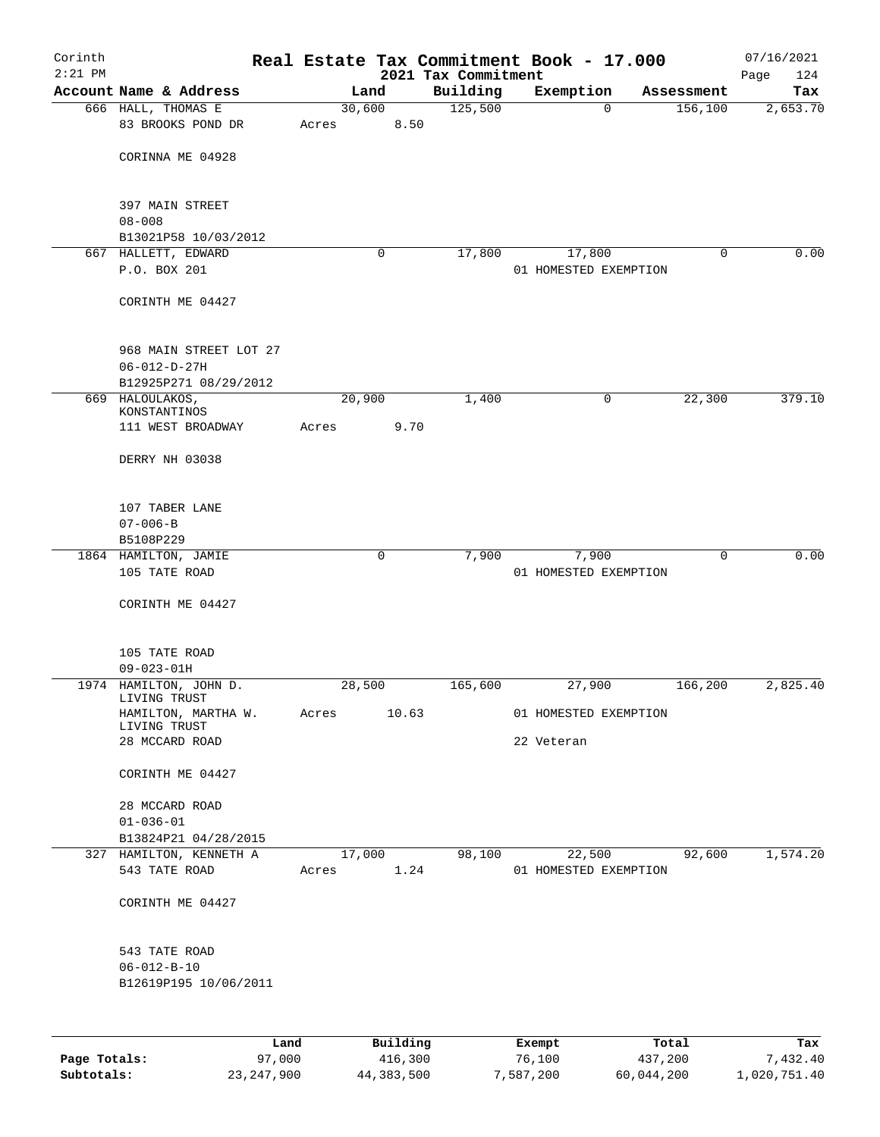| Corinth<br>$2:21$ PM |                                                 |        |          |                                 | Real Estate Tax Commitment Book - 17.000 |            | 07/16/2021         |
|----------------------|-------------------------------------------------|--------|----------|---------------------------------|------------------------------------------|------------|--------------------|
|                      | Account Name & Address                          |        | Land     | 2021 Tax Commitment<br>Building | Exemption                                | Assessment | Page<br>124<br>Tax |
|                      | 666 HALL, THOMAS E                              | 30,600 |          | 125,500                         | $\mathbf 0$                              | 156,100    | 2,653.70           |
|                      | 83 BROOKS POND DR                               | Acres  | 8.50     |                                 |                                          |            |                    |
|                      | CORINNA ME 04928                                |        |          |                                 |                                          |            |                    |
|                      |                                                 |        |          |                                 |                                          |            |                    |
|                      | 397 MAIN STREET<br>$08 - 008$                   |        |          |                                 |                                          |            |                    |
|                      | B13021P58 10/03/2012                            |        |          |                                 |                                          |            |                    |
|                      | 667 HALLETT, EDWARD                             |        | 0        | 17,800                          | 17,800                                   | 0          | 0.00               |
|                      | P.O. BOX 201                                    |        |          |                                 | 01 HOMESTED EXEMPTION                    |            |                    |
|                      | CORINTH ME 04427                                |        |          |                                 |                                          |            |                    |
|                      | 968 MAIN STREET LOT 27                          |        |          |                                 |                                          |            |                    |
|                      | $06 - 012 - D - 27H$                            |        |          |                                 |                                          |            |                    |
|                      | B12925P271 08/29/2012                           |        |          |                                 |                                          |            |                    |
|                      | 669 HALOULAKOS,<br>KONSTANTINOS                 | 20,900 |          | 1,400                           | 0                                        | 22,300     | 379.10             |
|                      | 111 WEST BROADWAY                               | Acres  | 9.70     |                                 |                                          |            |                    |
|                      |                                                 |        |          |                                 |                                          |            |                    |
|                      | DERRY NH 03038                                  |        |          |                                 |                                          |            |                    |
|                      | 107 TABER LANE                                  |        |          |                                 |                                          |            |                    |
|                      | $07 - 006 - B$                                  |        |          |                                 |                                          |            |                    |
|                      | B5108P229                                       |        | 0        | 7,900                           |                                          | 0          | 0.00               |
|                      | 1864 HAMILTON, JAMIE<br>105 TATE ROAD           |        |          |                                 | 7,900<br>01 HOMESTED EXEMPTION           |            |                    |
|                      | CORINTH ME 04427                                |        |          |                                 |                                          |            |                    |
|                      | 105 TATE ROAD                                   |        |          |                                 |                                          |            |                    |
|                      | $09 - 023 - 01H$                                |        |          |                                 |                                          |            |                    |
|                      | 1974 HAMILTON, JOHN D.                          | 28,500 |          | 165,600                         | 27,900                                   | 166,200    | 2,825.40           |
|                      | LIVING TRUST<br>HAMILTON, MARTHA W.             | Acres  | 10.63    |                                 | 01 HOMESTED EXEMPTION                    |            |                    |
|                      | LIVING TRUST                                    |        |          |                                 |                                          |            |                    |
|                      | 28 MCCARD ROAD                                  |        |          |                                 | 22 Veteran                               |            |                    |
|                      | CORINTH ME 04427                                |        |          |                                 |                                          |            |                    |
|                      | 28 MCCARD ROAD                                  |        |          |                                 |                                          |            |                    |
|                      | $01 - 036 - 01$                                 |        |          |                                 |                                          |            |                    |
|                      | B13824P21 04/28/2015<br>327 HAMILTON, KENNETH A | 17,000 |          | 98,100                          | 22,500                                   | 92,600     | 1,574.20           |
|                      | 543 TATE ROAD                                   | Acres  | 1.24     |                                 | 01 HOMESTED EXEMPTION                    |            |                    |
|                      | CORINTH ME 04427                                |        |          |                                 |                                          |            |                    |
|                      | 543 TATE ROAD                                   |        |          |                                 |                                          |            |                    |
|                      | $06 - 012 - B - 10$                             |        |          |                                 |                                          |            |                    |
|                      | B12619P195 10/06/2011                           |        |          |                                 |                                          |            |                    |
|                      |                                                 |        |          |                                 |                                          |            |                    |
|                      | Land                                            |        | Building |                                 | Exempt                                   | Total      | Tax                |
| Page Totals:         | 97,000                                          |        | 416,300  |                                 | 76,100                                   | 437,200    | 7,432.40           |

**Subtotals:** 23,247,900 44,383,500 7,587,200 60,044,200 1,020,751.40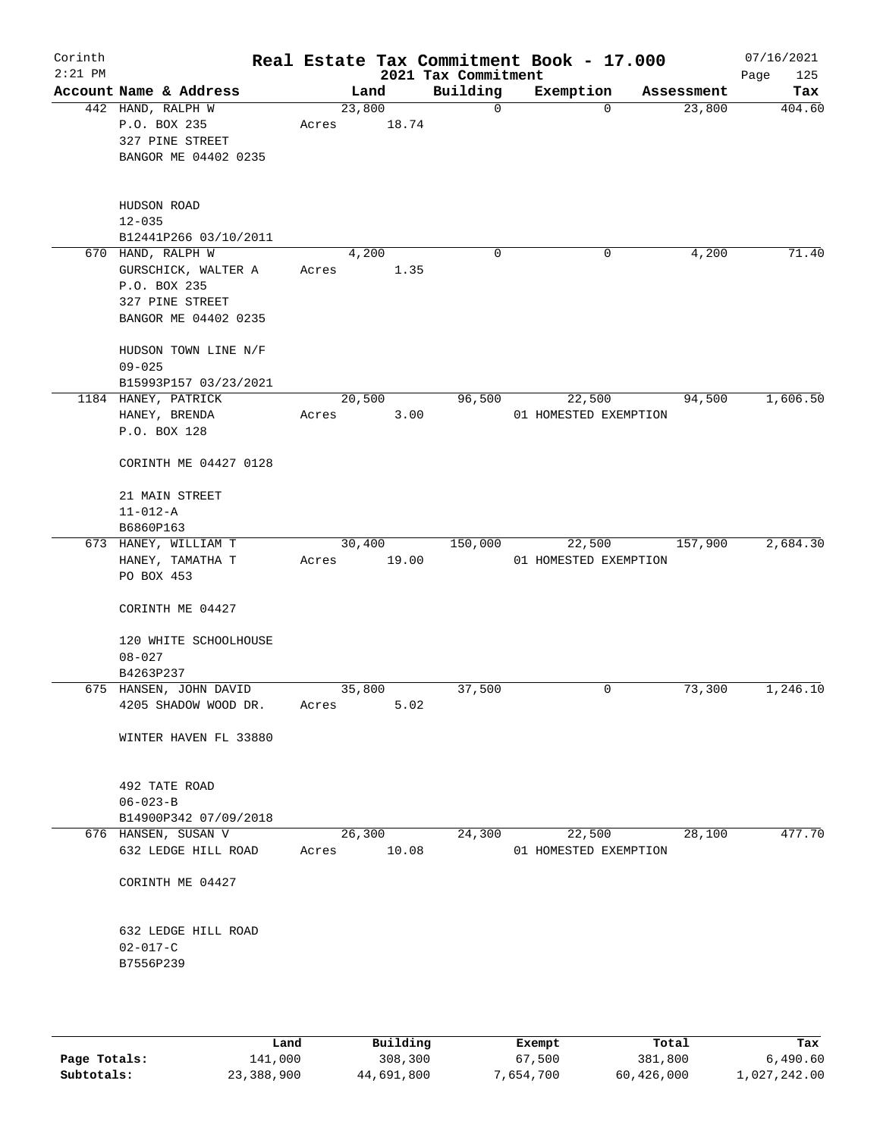| Corinth<br>$2:21$ PM |                                                                                                     |       |                 | 2021 Tax Commitment | Real Estate Tax Commitment Book - 17.000 |            | 07/16/2021<br>Page<br>125 |
|----------------------|-----------------------------------------------------------------------------------------------------|-------|-----------------|---------------------|------------------------------------------|------------|---------------------------|
|                      | Account Name & Address                                                                              |       | Land            | Building            | Exemption                                | Assessment | Tax                       |
|                      | 442 HAND, RALPH W<br>P.O. BOX 235<br>327 PINE STREET<br>BANGOR ME 04402 0235                        | Acres | 23,800<br>18.74 | $\mathbf 0$         | $\mathbf 0$                              | 23,800     | 404.60                    |
|                      | HUDSON ROAD<br>$12 - 035$<br>B12441P266 03/10/2011                                                  |       |                 |                     |                                          |            |                           |
|                      | 670 HAND, RALPH W<br>GURSCHICK, WALTER A<br>P.O. BOX 235<br>327 PINE STREET<br>BANGOR ME 04402 0235 | Acres | 4,200<br>1.35   | 0                   | 0                                        | 4,200      | 71.40                     |
|                      | HUDSON TOWN LINE N/F<br>$09 - 025$<br>B15993P157 03/23/2021                                         |       |                 |                     |                                          |            |                           |
|                      | 1184 HANEY, PATRICK<br>HANEY, BRENDA<br>P.O. BOX 128                                                | Acres | 20,500<br>3.00  | 96,500              | 22,500<br>01 HOMESTED EXEMPTION          | 94,500     | 1,606.50                  |
|                      | CORINTH ME 04427 0128                                                                               |       |                 |                     |                                          |            |                           |
|                      | 21 MAIN STREET<br>$11 - 012 - A$<br>B6860P163                                                       |       |                 |                     |                                          |            |                           |
|                      | 673 HANEY, WILLIAM T                                                                                |       | 30,400          | 150,000             | 22,500                                   | 157,900    | 2,684.30                  |
|                      | HANEY, TAMATHA T<br>PO BOX 453<br>CORINTH ME 04427                                                  | Acres | 19.00           |                     | 01 HOMESTED EXEMPTION                    |            |                           |
|                      | 120 WHITE SCHOOLHOUSE<br>$08 - 027$                                                                 |       |                 |                     |                                          |            |                           |
|                      | B4263P237                                                                                           |       |                 |                     |                                          |            |                           |
|                      | 675 HANSEN, JOHN DAVID<br>4205 SHADOW WOOD DR.                                                      | Acres | 35,800<br>5.02  | 37,500              | 0                                        | 73,300     | 1,246.10                  |
|                      | WINTER HAVEN FL 33880                                                                               |       |                 |                     |                                          |            |                           |
|                      | 492 TATE ROAD<br>$06 - 023 - B$<br>B14900P342 07/09/2018                                            |       |                 |                     |                                          |            |                           |
|                      | 676 HANSEN, SUSAN V                                                                                 |       | 26,300          | 24,300              | 22,500                                   | 28,100     | 477.70                    |
|                      | 632 LEDGE HILL ROAD                                                                                 | Acres | 10.08           |                     | 01 HOMESTED EXEMPTION                    |            |                           |
|                      | CORINTH ME 04427                                                                                    |       |                 |                     |                                          |            |                           |
|                      | 632 LEDGE HILL ROAD<br>$02 - 017 - C$<br>B7556P239                                                  |       |                 |                     |                                          |            |                           |
|                      |                                                                                                     |       |                 |                     |                                          |            |                           |

|              | Land       | Building   | Exempt    | Total      | Tax          |
|--------------|------------|------------|-----------|------------|--------------|
| Page Totals: | 141,000    | 308,300    | 67,500    | 381,800    | 6.490.60     |
| Subtotals:   | 23,388,900 | 44,691,800 | 7,654,700 | 60,426,000 | 1,027,242.00 |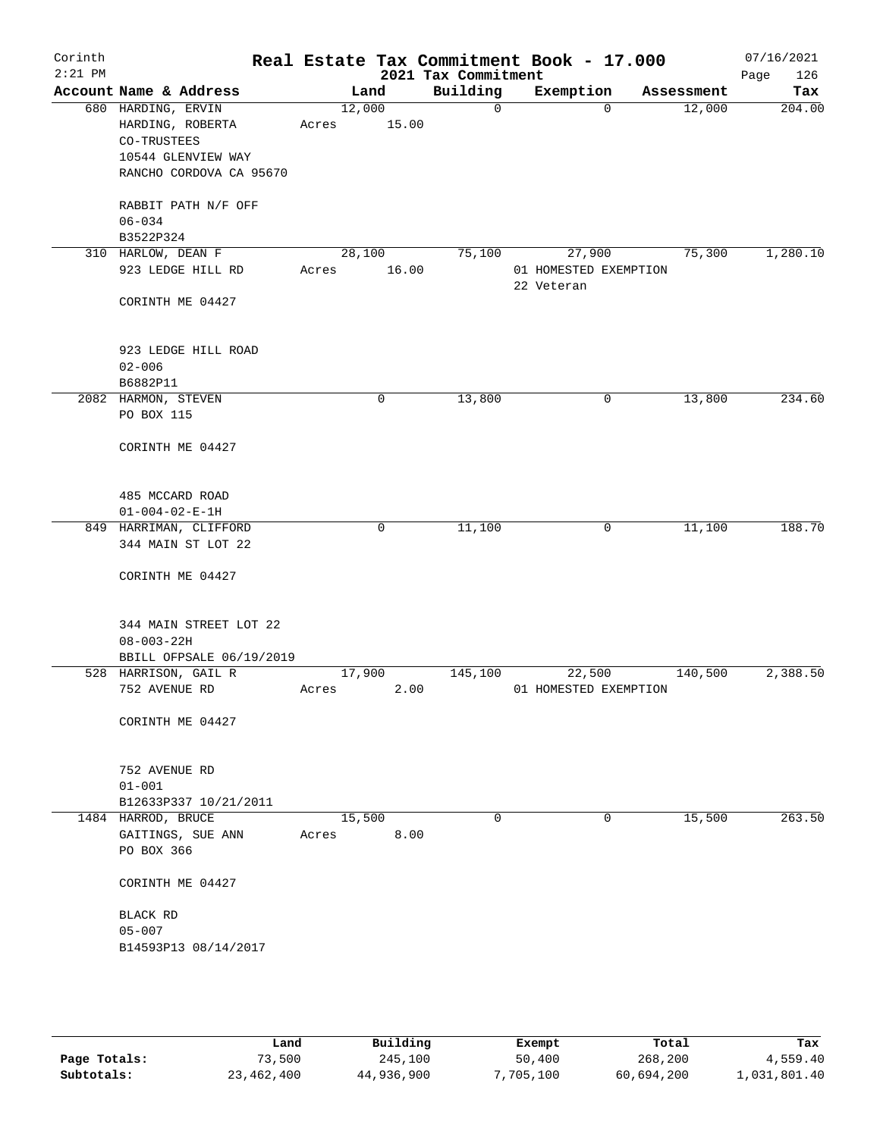| Corinth<br>$2:21$ PM |                                                       |                 |       | 2021 Tax Commitment | Real Estate Tax Commitment Book - 17.000      |            | 07/16/2021<br>126<br>Page |
|----------------------|-------------------------------------------------------|-----------------|-------|---------------------|-----------------------------------------------|------------|---------------------------|
|                      | Account Name & Address                                |                 | Land  | Building            | Exemption                                     | Assessment | Tax                       |
|                      | 680 HARDING, ERVIN<br>HARDING, ROBERTA<br>CO-TRUSTEES | 12,000<br>Acres | 15.00 | $\Omega$            | $\Omega$                                      | 12,000     | 204.00                    |
|                      | 10544 GLENVIEW WAY<br>RANCHO CORDOVA CA 95670         |                 |       |                     |                                               |            |                           |
|                      | RABBIT PATH N/F OFF<br>$06 - 034$                     |                 |       |                     |                                               |            |                           |
|                      | B3522P324                                             |                 |       |                     |                                               |            |                           |
|                      | 310 HARLOW, DEAN F<br>923 LEDGE HILL RD               | 28,100<br>Acres | 16.00 | 75,100              | 27,900<br>01 HOMESTED EXEMPTION<br>22 Veteran | 75,300     | 1,280.10                  |
|                      | CORINTH ME 04427                                      |                 |       |                     |                                               |            |                           |
|                      | 923 LEDGE HILL ROAD<br>$02 - 006$                     |                 |       |                     |                                               |            |                           |
|                      | B6882P11                                              |                 |       |                     |                                               |            |                           |
|                      | 2082 HARMON, STEVEN<br>PO BOX 115                     |                 | 0     | 13,800              | 0                                             | 13,800     | 234.60                    |
|                      | CORINTH ME 04427                                      |                 |       |                     |                                               |            |                           |
|                      | 485 MCCARD ROAD<br>$01 - 004 - 02 - E - 1H$           |                 |       |                     |                                               |            |                           |
|                      | 849 HARRIMAN, CLIFFORD                                |                 | 0     | 11,100              | 0                                             | 11,100     | 188.70                    |
|                      | 344 MAIN ST LOT 22                                    |                 |       |                     |                                               |            |                           |
|                      | CORINTH ME 04427                                      |                 |       |                     |                                               |            |                           |
|                      | 344 MAIN STREET LOT 22<br>$08 - 003 - 22H$            |                 |       |                     |                                               |            |                           |
|                      | BBILL OFPSALE 06/19/2019                              |                 |       |                     |                                               |            |                           |
|                      | 528 HARRISON, GAIL R<br>752 AVENUE RD                 | 17,900<br>Acres | 2.00  | 145,100             | 22,500<br>01 HOMESTED EXEMPTION               | 140,500    | 2,388.50                  |
|                      | CORINTH ME 04427                                      |                 |       |                     |                                               |            |                           |
|                      | 752 AVENUE RD<br>$01 - 001$                           |                 |       |                     |                                               |            |                           |
|                      | B12633P337 10/21/2011                                 |                 |       |                     |                                               |            |                           |
|                      | 1484 HARROD, BRUCE                                    | 15,500          |       | 0                   | 0                                             | 15,500     | 263.50                    |
|                      | GAITINGS, SUE ANN<br>PO BOX 366                       | Acres           | 8.00  |                     |                                               |            |                           |
|                      | CORINTH ME 04427                                      |                 |       |                     |                                               |            |                           |
|                      | BLACK RD<br>$05 - 007$                                |                 |       |                     |                                               |            |                           |
|                      | B14593P13 08/14/2017                                  |                 |       |                     |                                               |            |                           |
|                      |                                                       |                 |       |                     |                                               |            |                           |

|              | Land       | Building   | Exempt    | Total      | Tax          |
|--------------|------------|------------|-----------|------------|--------------|
| Page Totals: | 73,500     | 245,100    | 50,400    | 268,200    | 4,559.40     |
| Subtotals:   | 23,462,400 | 44,936,900 | 7,705,100 | 60,694,200 | 1,031,801.40 |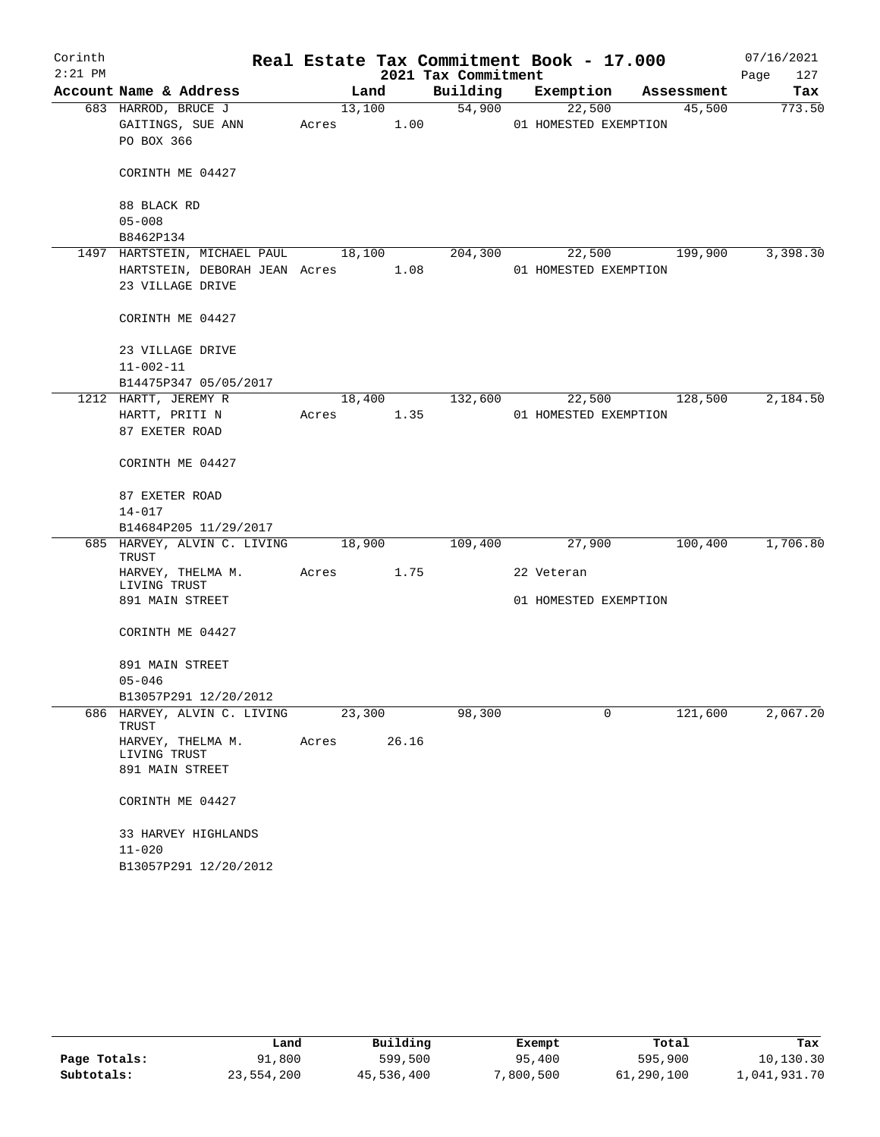| Corinth   |                                                                                   |            |                |                     | Real Estate Tax Commitment Book - 17.000 |        |            | 07/16/2021  |
|-----------|-----------------------------------------------------------------------------------|------------|----------------|---------------------|------------------------------------------|--------|------------|-------------|
| $2:21$ PM |                                                                                   |            |                | 2021 Tax Commitment |                                          |        |            | 127<br>Page |
|           | Account Name & Address                                                            |            | Land           | Building            | Exemption                                |        | Assessment | Tax         |
|           | 683 HARROD, BRUCE J<br>GAITINGS, SUE ANN<br>PO BOX 366                            | Acres      | 13,100<br>1.00 | 54,900              | 22,500<br>01 HOMESTED EXEMPTION          |        | 45,500     | 773.50      |
|           | CORINTH ME 04427                                                                  |            |                |                     |                                          |        |            |             |
|           | 88 BLACK RD<br>$05 - 008$                                                         |            |                |                     |                                          |        |            |             |
|           | B8462P134                                                                         |            |                |                     |                                          |        |            |             |
|           | 1497 HARTSTEIN, MICHAEL PAUL<br>HARTSTEIN, DEBORAH JEAN Acres<br>23 VILLAGE DRIVE |            | 18,100<br>1.08 | 204,300             | 01 HOMESTED EXEMPTION                    | 22,500 | 199,900    | 3,398.30    |
|           | CORINTH ME 04427                                                                  |            |                |                     |                                          |        |            |             |
|           | 23 VILLAGE DRIVE<br>$11 - 002 - 11$<br>B14475P347 05/05/2017                      |            |                |                     |                                          |        |            |             |
|           | 1212 HARTT, JEREMY R                                                              |            | 18,400         | 132,600             | 22,500                                   |        | 128,500    | 2,184.50    |
|           | HARTT, PRITI N                                                                    | Acres 1.35 |                |                     | 01 HOMESTED EXEMPTION                    |        |            |             |
|           | 87 EXETER ROAD                                                                    |            |                |                     |                                          |        |            |             |
|           | CORINTH ME 04427                                                                  |            |                |                     |                                          |        |            |             |
|           | 87 EXETER ROAD                                                                    |            |                |                     |                                          |        |            |             |
|           | $14 - 017$                                                                        |            |                |                     |                                          |        |            |             |
|           | B14684P205 11/29/2017                                                             |            |                |                     |                                          |        |            |             |
|           | 685 HARVEY, ALVIN C. LIVING<br>TRUST                                              | 18,900     |                | 109,400             | 27,900                                   |        | 100,400    | 1,706.80    |
|           | HARVEY, THELMA M.<br>LIVING TRUST                                                 | Acres      | 1.75           |                     | 22 Veteran                               |        |            |             |
|           | 891 MAIN STREET                                                                   |            |                |                     | 01 HOMESTED EXEMPTION                    |        |            |             |
|           | CORINTH ME 04427                                                                  |            |                |                     |                                          |        |            |             |
|           | 891 MAIN STREET                                                                   |            |                |                     |                                          |        |            |             |
|           | $05 - 046$                                                                        |            |                |                     |                                          |        |            |             |
| 686       | B13057P291 12/20/2012<br>HARVEY, ALVIN C. LIVING                                  | 23,300     |                | 98,300              |                                          | 0      | 121,600    | 2,067.20    |
|           | TRUST                                                                             |            |                |                     |                                          |        |            |             |
|           | HARVEY, THELMA M.<br>LIVING TRUST                                                 | Acres      | 26.16          |                     |                                          |        |            |             |
|           | 891 MAIN STREET                                                                   |            |                |                     |                                          |        |            |             |
|           | CORINTH ME 04427                                                                  |            |                |                     |                                          |        |            |             |
|           | 33 HARVEY HIGHLANDS                                                               |            |                |                     |                                          |        |            |             |
|           | $11 - 020$                                                                        |            |                |                     |                                          |        |            |             |
|           | B13057P291 12/20/2012                                                             |            |                |                     |                                          |        |            |             |

|              | úand       | Building   | Exempt   | Total      | Tax          |
|--------------|------------|------------|----------|------------|--------------|
| Page Totals: | 91,800     | 599,500    | 95,400   | 595,900    | 10,130.30    |
| Subtotals:   | 23,554,200 | 45,536,400 | ,800,500 | 61,290,100 | l,041,931.70 |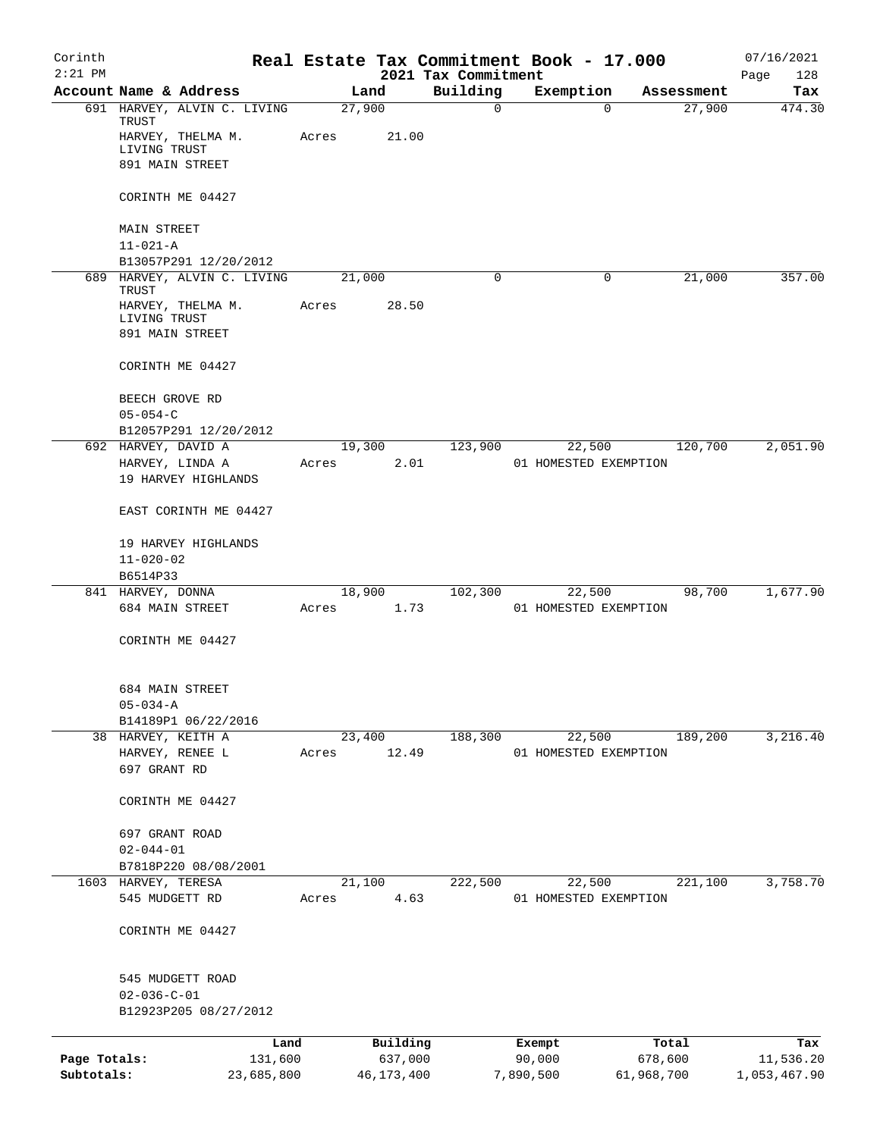| Corinth      |                                              | Real Estate Tax Commitment Book - 17.000 |                |                                 |                                 |            |            | 07/16/2021         |
|--------------|----------------------------------------------|------------------------------------------|----------------|---------------------------------|---------------------------------|------------|------------|--------------------|
| $2:21$ PM    | Account Name & Address                       |                                          | Land           | 2021 Tax Commitment<br>Building | Exemption                       |            | Assessment | Page<br>128<br>Tax |
|              | 691 HARVEY, ALVIN C. LIVING                  |                                          | 27,900         | 0                               |                                 | $\Omega$   | 27,900     | 474.30             |
|              | TRUST<br>HARVEY, THELMA M.<br>LIVING TRUST   | Acres                                    | 21.00          |                                 |                                 |            |            |                    |
|              | 891 MAIN STREET                              |                                          |                |                                 |                                 |            |            |                    |
|              | CORINTH ME 04427                             |                                          |                |                                 |                                 |            |            |                    |
|              | <b>MAIN STREET</b><br>$11 - 021 - A$         |                                          |                |                                 |                                 |            |            |                    |
|              | B13057P291 12/20/2012                        |                                          |                |                                 |                                 |            |            |                    |
|              | 689 HARVEY, ALVIN C. LIVING                  |                                          | 21,000         | 0                               |                                 | 0          | 21,000     | 357.00             |
|              | TRUST<br>HARVEY, THELMA M.<br>LIVING TRUST   | Acres                                    | 28.50          |                                 |                                 |            |            |                    |
|              | 891 MAIN STREET                              |                                          |                |                                 |                                 |            |            |                    |
|              | CORINTH ME 04427                             |                                          |                |                                 |                                 |            |            |                    |
|              | BEECH GROVE RD<br>$05 - 054 - C$             |                                          |                |                                 |                                 |            |            |                    |
|              | B12057P291 12/20/2012                        |                                          |                |                                 |                                 |            |            |                    |
|              | 692 HARVEY, DAVID A                          |                                          | 19,300         | 123,900                         | 22,500                          |            | 120,700    | 2,051.90           |
|              | HARVEY, LINDA A<br>19 HARVEY HIGHLANDS       | Acres                                    | 2.01           |                                 | 01 HOMESTED EXEMPTION           |            |            |                    |
|              | EAST CORINTH ME 04427                        |                                          |                |                                 |                                 |            |            |                    |
|              | 19 HARVEY HIGHLANDS                          |                                          |                |                                 |                                 |            |            |                    |
|              | $11 - 020 - 02$<br>B6514P33                  |                                          |                |                                 |                                 |            |            |                    |
|              | 841 HARVEY, DONNA                            |                                          | 18,900         | 102,300                         | 22,500                          |            | 98,700     | 1,677.90           |
|              | 684 MAIN STREET                              | Acres                                    | 1.73           |                                 | 01 HOMESTED EXEMPTION           |            |            |                    |
|              | CORINTH ME 04427                             |                                          |                |                                 |                                 |            |            |                    |
|              | 684 MAIN STREET                              |                                          |                |                                 |                                 |            |            |                    |
|              | $05 - 034 - A$                               |                                          |                |                                 |                                 |            |            |                    |
|              | B14189P1 06/22/2016<br>38 HARVEY, KEITH A    |                                          | 23,400         | 188,300                         | 22,500                          |            | 189,200    | 3,216.40           |
|              | HARVEY, RENEE L                              | Acres                                    | 12.49          |                                 | 01 HOMESTED EXEMPTION           |            |            |                    |
|              | 697 GRANT RD                                 |                                          |                |                                 |                                 |            |            |                    |
|              | CORINTH ME 04427                             |                                          |                |                                 |                                 |            |            |                    |
|              | 697 GRANT ROAD                               |                                          |                |                                 |                                 |            |            |                    |
|              | $02 - 044 - 01$                              |                                          |                |                                 |                                 |            |            |                    |
|              | B7818P220 08/08/2001                         |                                          |                |                                 |                                 |            |            |                    |
|              | 1603 HARVEY, TERESA<br>545 MUDGETT RD        | Acres                                    | 21,100<br>4.63 | 222,500                         | 22,500<br>01 HOMESTED EXEMPTION |            | 221,100    | 3,758.70           |
|              |                                              |                                          |                |                                 |                                 |            |            |                    |
|              | CORINTH ME 04427                             |                                          |                |                                 |                                 |            |            |                    |
|              | 545 MUDGETT ROAD                             |                                          |                |                                 |                                 |            |            |                    |
|              | $02 - 036 - C - 01$<br>B12923P205 08/27/2012 |                                          |                |                                 |                                 |            |            |                    |
|              |                                              | Land                                     | Building       |                                 | Exempt                          |            | Total      | Tax                |
| Page Totals: |                                              | 131,600                                  | 637,000        |                                 | 90,000                          | 678,600    |            | 11,536.20          |
| Subtotals:   |                                              | 23,685,800                               | 46, 173, 400   |                                 | 7,890,500                       | 61,968,700 |            | 1,053,467.90       |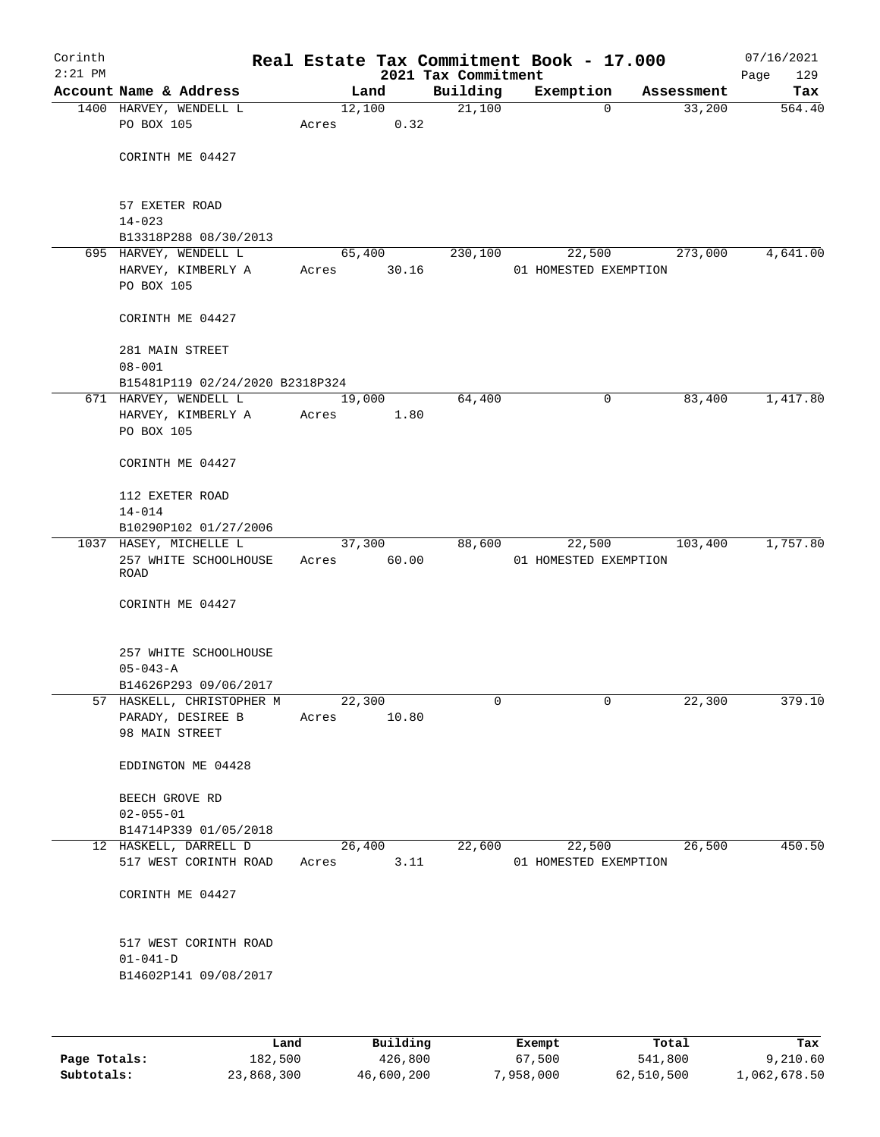| Corinth   |                                         |                 |        | Real Estate Tax Commitment Book - 17.000 |                       |                |            | 07/16/2021  |
|-----------|-----------------------------------------|-----------------|--------|------------------------------------------|-----------------------|----------------|------------|-------------|
| $2:21$ PM |                                         |                 |        | 2021 Tax Commitment                      |                       |                |            | 129<br>Page |
|           | Account Name & Address                  |                 | Land   | Building                                 | Exemption             |                | Assessment | Tax         |
|           | 1400 HARVEY, WENDELL L<br>PO BOX 105    | 12,100<br>Acres | 0.32   | 21,100                                   |                       | $\mathbf 0$    | 33,200     | 564.40      |
|           |                                         |                 |        |                                          |                       |                |            |             |
|           | CORINTH ME 04427                        |                 |        |                                          |                       |                |            |             |
|           |                                         |                 |        |                                          |                       |                |            |             |
|           |                                         |                 |        |                                          |                       |                |            |             |
|           | 57 EXETER ROAD                          |                 |        |                                          |                       |                |            |             |
|           | $14 - 023$<br>B13318P288 08/30/2013     |                 |        |                                          |                       |                |            |             |
|           | 695 HARVEY, WENDELL L                   |                 | 65,400 | 230,100                                  |                       | 22,500         | 273,000    | 4,641.00    |
|           | HARVEY, KIMBERLY A                      | Acres           | 30.16  |                                          | 01 HOMESTED EXEMPTION |                |            |             |
|           | PO BOX 105                              |                 |        |                                          |                       |                |            |             |
|           |                                         |                 |        |                                          |                       |                |            |             |
|           | CORINTH ME 04427                        |                 |        |                                          |                       |                |            |             |
|           | 281 MAIN STREET                         |                 |        |                                          |                       |                |            |             |
|           | $08 - 001$                              |                 |        |                                          |                       |                |            |             |
|           | B15481P119 02/24/2020 B2318P324         |                 |        |                                          |                       |                |            |             |
|           | 671 HARVEY, WENDELL L                   |                 | 19,000 | 64,400                                   |                       | 0              | 83,400     | 1,417.80    |
|           | HARVEY, KIMBERLY A<br>PO BOX 105        | Acres           | 1.80   |                                          |                       |                |            |             |
|           |                                         |                 |        |                                          |                       |                |            |             |
|           | CORINTH ME 04427                        |                 |        |                                          |                       |                |            |             |
|           |                                         |                 |        |                                          |                       |                |            |             |
|           | 112 EXETER ROAD<br>$14 - 014$           |                 |        |                                          |                       |                |            |             |
|           | B10290P102 01/27/2006                   |                 |        |                                          |                       |                |            |             |
|           | 1037 HASEY, MICHELLE L                  |                 | 37,300 | 88,600                                   |                       | 22,500         | 103,400    | 1,757.80    |
|           | 257 WHITE SCHOOLHOUSE                   | Acres           | 60.00  |                                          | 01 HOMESTED EXEMPTION |                |            |             |
|           | ROAD                                    |                 |        |                                          |                       |                |            |             |
|           | CORINTH ME 04427                        |                 |        |                                          |                       |                |            |             |
|           |                                         |                 |        |                                          |                       |                |            |             |
|           |                                         |                 |        |                                          |                       |                |            |             |
|           | 257 WHITE SCHOOLHOUSE<br>$05 - 043 - A$ |                 |        |                                          |                       |                |            |             |
|           | B14626P293 09/06/2017                   |                 |        |                                          |                       |                |            |             |
|           | 57 HASKELL, CHRISTOPHER M               | 22,300          |        | 0                                        |                       | $\overline{0}$ | 22,300     | 379.10      |
|           | PARADY, DESIREE B                       | Acres           | 10.80  |                                          |                       |                |            |             |
|           | 98 MAIN STREET                          |                 |        |                                          |                       |                |            |             |
|           |                                         |                 |        |                                          |                       |                |            |             |
|           | EDDINGTON ME 04428                      |                 |        |                                          |                       |                |            |             |
|           | BEECH GROVE RD                          |                 |        |                                          |                       |                |            |             |
|           | $02 - 055 - 01$                         |                 |        |                                          |                       |                |            |             |
|           | B14714P339 01/05/2018                   |                 |        |                                          |                       |                |            |             |
|           | 12 HASKELL, DARRELL D                   |                 | 26,400 | 22,600                                   |                       | 22,500         | 26,500     | 450.50      |
|           | 517 WEST CORINTH ROAD                   | Acres           | 3.11   |                                          | 01 HOMESTED EXEMPTION |                |            |             |
|           | CORINTH ME 04427                        |                 |        |                                          |                       |                |            |             |
|           |                                         |                 |        |                                          |                       |                |            |             |
|           | 517 WEST CORINTH ROAD                   |                 |        |                                          |                       |                |            |             |
|           | $01 - 041 - D$                          |                 |        |                                          |                       |                |            |             |
|           | B14602P141 09/08/2017                   |                 |        |                                          |                       |                |            |             |
|           |                                         |                 |        |                                          |                       |                |            |             |
|           |                                         |                 |        |                                          |                       |                |            |             |
|           |                                         |                 |        |                                          |                       |                |            |             |

|              | Land       | Building   | Exempt    | Total      | Tax          |
|--------------|------------|------------|-----------|------------|--------------|
| Page Totals: | 182,500    | 426,800    | 67,500    | 541,800    | 9,210.60     |
| Subtotals:   | 23,868,300 | 46,600,200 | 7,958,000 | 62,510,500 | 1,062,678.50 |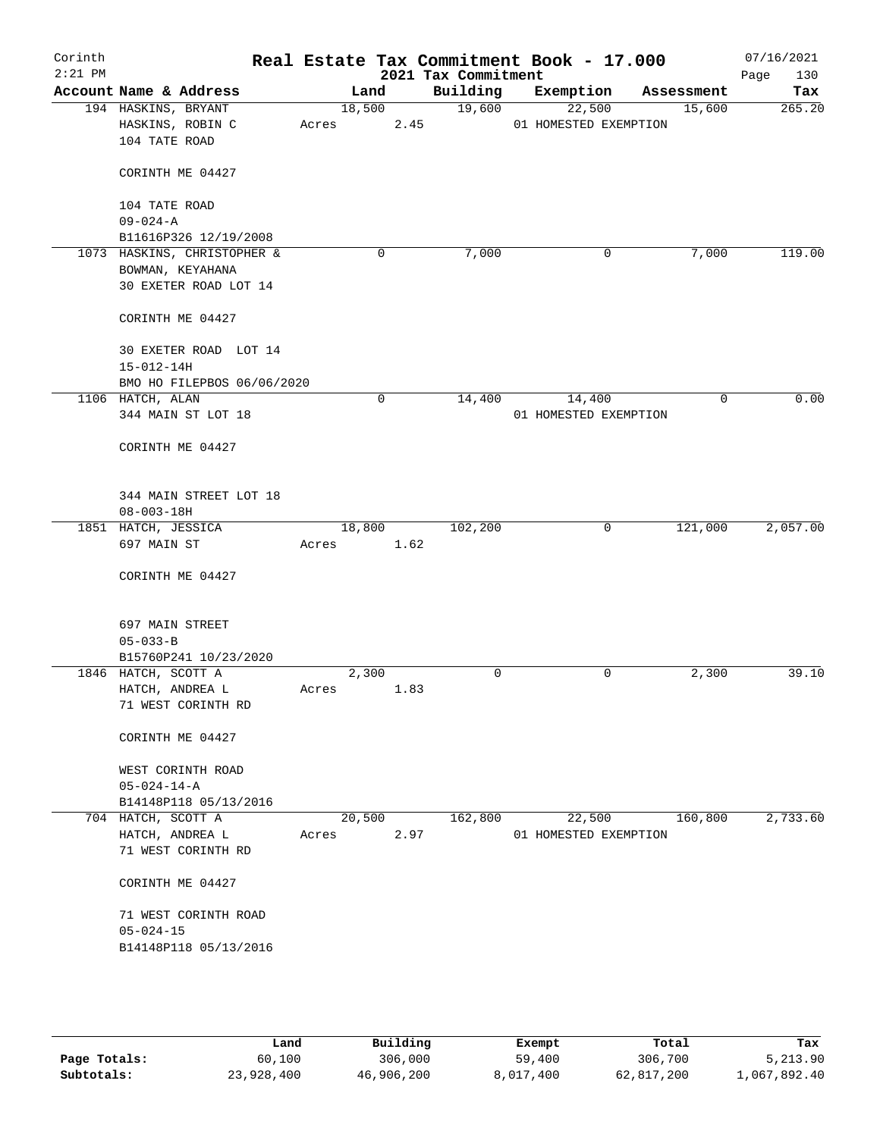| Corinth<br>$2:21$ PM |                                       |                                           |       |        |      | 2021 Tax Commitment | Real Estate Tax Commitment Book - 17.000 |            | 07/16/2021<br>Page<br>130 |
|----------------------|---------------------------------------|-------------------------------------------|-------|--------|------|---------------------|------------------------------------------|------------|---------------------------|
|                      | Account Name & Address                |                                           |       | Land   |      | Building            | Exemption                                | Assessment | Tax                       |
|                      | 194 HASKINS, BRYANT<br>104 TATE ROAD  | HASKINS, ROBIN C                          | Acres | 18,500 | 2.45 | 19,600              | 22,500<br>01 HOMESTED EXEMPTION          | 15,600     | 265.20                    |
|                      |                                       | CORINTH ME 04427                          |       |        |      |                     |                                          |            |                           |
|                      | 104 TATE ROAD<br>$09 - 024 - A$       |                                           |       |        |      |                     |                                          |            |                           |
|                      |                                       | B11616P326 12/19/2008                     |       |        |      |                     |                                          |            |                           |
|                      | 1073 HASKINS, CHRISTOPHER &           | BOWMAN, KEYAHANA<br>30 EXETER ROAD LOT 14 |       | 0      |      | 7,000               | 0                                        | 7,000      | 119.00                    |
|                      |                                       | CORINTH ME 04427                          |       |        |      |                     |                                          |            |                           |
|                      | $15 - 012 - 14H$                      | 30 EXETER ROAD LOT 14                     |       |        |      |                     |                                          |            |                           |
|                      | 1106 HATCH, ALAN                      | BMO HO FILEPBOS 06/06/2020                |       | 0      |      | 14,400              | 14,400                                   | 0          | 0.00                      |
|                      |                                       | 344 MAIN ST LOT 18                        |       |        |      |                     | 01 HOMESTED EXEMPTION                    |            |                           |
|                      |                                       | CORINTH ME 04427                          |       |        |      |                     |                                          |            |                           |
|                      | $08 - 003 - 18H$                      | 344 MAIN STREET LOT 18                    |       |        |      |                     |                                          |            |                           |
|                      | 1851 HATCH, JESSICA                   |                                           |       | 18,800 |      | 102,200             | 0                                        | 121,000    | 2,057.00                  |
|                      | 697 MAIN ST                           |                                           | Acres |        | 1.62 |                     |                                          |            |                           |
|                      |                                       | CORINTH ME 04427                          |       |        |      |                     |                                          |            |                           |
|                      | 697 MAIN STREET                       |                                           |       |        |      |                     |                                          |            |                           |
|                      | $05 - 033 - B$                        | B15760P241 10/23/2020                     |       |        |      |                     |                                          |            |                           |
|                      | 1846 HATCH, SCOTT A                   |                                           |       | 2,300  |      | 0                   | 0                                        | 2,300      | 39.10                     |
|                      | HATCH, ANDREA L                       | 71 WEST CORINTH RD                        | Acres |        | 1.83 |                     |                                          |            |                           |
|                      |                                       | CORINTH ME 04427                          |       |        |      |                     |                                          |            |                           |
|                      | $05 - 024 - 14 - A$                   | WEST CORINTH ROAD                         |       |        |      |                     |                                          |            |                           |
|                      |                                       | B14148P118 05/13/2016                     |       |        |      |                     |                                          |            |                           |
|                      | 704 HATCH, SCOTT A<br>HATCH, ANDREA L | 71 WEST CORINTH RD                        | Acres | 20,500 | 2.97 | 162,800             | 22,500<br>01 HOMESTED EXEMPTION          | 160,800    | 2,733.60                  |
|                      |                                       | CORINTH ME 04427                          |       |        |      |                     |                                          |            |                           |
|                      | $05 - 024 - 15$                       | 71 WEST CORINTH ROAD                      |       |        |      |                     |                                          |            |                           |
|                      |                                       | B14148P118 05/13/2016                     |       |        |      |                     |                                          |            |                           |
|                      |                                       |                                           |       |        |      |                     |                                          |            |                           |

|              | Land       | Building   | Exempt    | Total      | Tax          |
|--------------|------------|------------|-----------|------------|--------------|
| Page Totals: | 60,100     | 306,000    | 59,400    | 306,700    | 5,213.90     |
| Subtotals:   | 23,928,400 | 46,906,200 | 8,017,400 | 62,817,200 | 1,067,892.40 |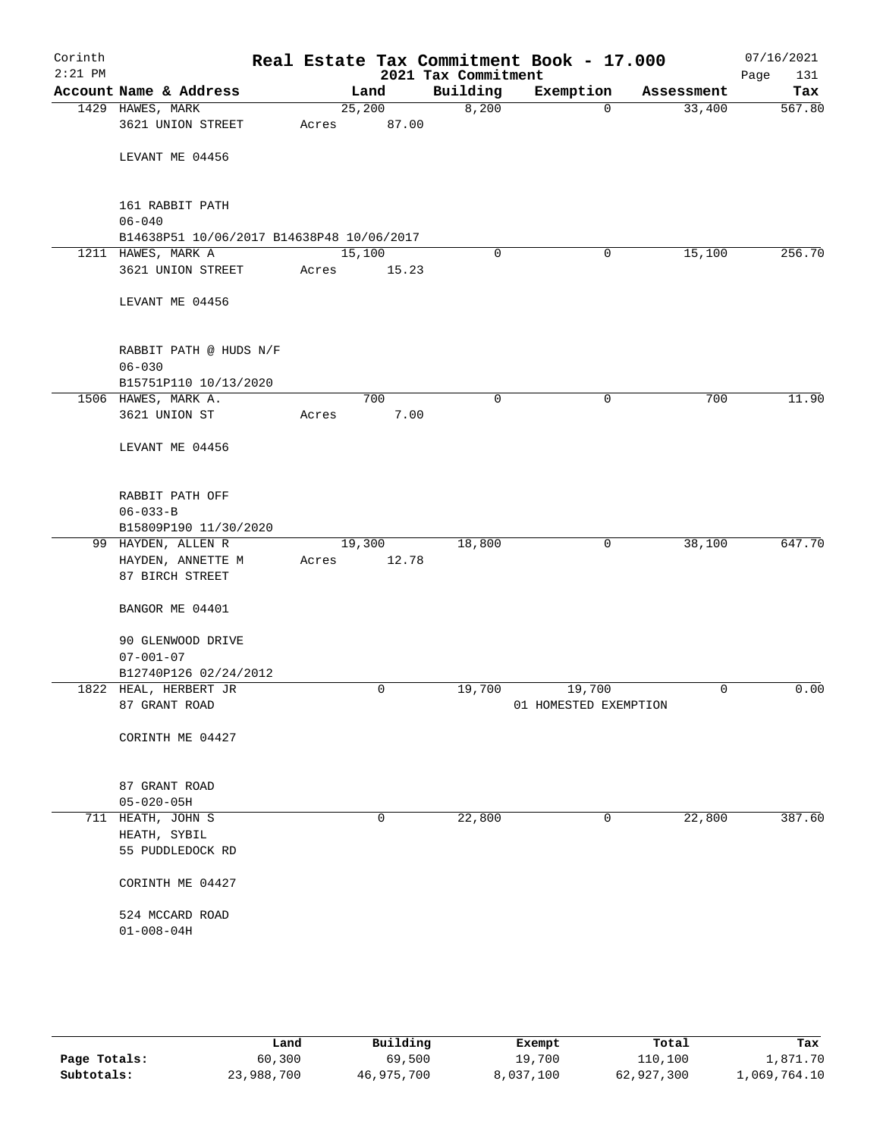| Corinth<br>$2:21$ PM |                                                         |        |       | 2021 Tax Commitment | Real Estate Tax Commitment Book - 17.000 |            | 07/16/2021<br>131<br>Page |
|----------------------|---------------------------------------------------------|--------|-------|---------------------|------------------------------------------|------------|---------------------------|
|                      | Account Name & Address                                  |        | Land  | Building            | Exemption                                | Assessment | Tax                       |
|                      | 1429 HAWES, MARK                                        | 25,200 |       | 8,200               | $\mathbf 0$                              | 33,400     | 567.80                    |
|                      | 3621 UNION STREET                                       | Acres  | 87.00 |                     |                                          |            |                           |
|                      | LEVANT ME 04456                                         |        |       |                     |                                          |            |                           |
|                      |                                                         |        |       |                     |                                          |            |                           |
|                      | 161 RABBIT PATH                                         |        |       |                     |                                          |            |                           |
|                      | $06 - 040$<br>B14638P51 10/06/2017 B14638P48 10/06/2017 |        |       |                     |                                          |            |                           |
|                      | 1211 HAWES, MARK A                                      | 15,100 |       | $\mathbf 0$         | 0                                        | 15,100     | 256.70                    |
|                      | 3621 UNION STREET                                       | Acres  | 15.23 |                     |                                          |            |                           |
|                      | LEVANT ME 04456                                         |        |       |                     |                                          |            |                           |
|                      | RABBIT PATH @ HUDS N/F                                  |        |       |                     |                                          |            |                           |
|                      | $06 - 030$                                              |        |       |                     |                                          |            |                           |
|                      | B15751P110 10/13/2020                                   |        |       |                     |                                          |            |                           |
|                      | 1506 HAWES, MARK A.                                     |        | 700   | $\mathbf 0$         | 0                                        | 700        | 11.90                     |
|                      | 3621 UNION ST                                           | Acres  | 7.00  |                     |                                          |            |                           |
|                      | LEVANT ME 04456                                         |        |       |                     |                                          |            |                           |
|                      | RABBIT PATH OFF                                         |        |       |                     |                                          |            |                           |
|                      | $06 - 033 - B$                                          |        |       |                     |                                          |            |                           |
|                      | B15809P190 11/30/2020<br>99 HAYDEN, ALLEN R             | 19,300 |       | 18,800              | 0                                        | 38,100     | 647.70                    |
|                      | HAYDEN, ANNETTE M                                       | Acres  | 12.78 |                     |                                          |            |                           |
|                      | 87 BIRCH STREET                                         |        |       |                     |                                          |            |                           |
|                      | BANGOR ME 04401                                         |        |       |                     |                                          |            |                           |
|                      | 90 GLENWOOD DRIVE<br>$07 - 001 - 07$                    |        |       |                     |                                          |            |                           |
|                      | B12740P126 02/24/2012                                   |        |       |                     |                                          |            |                           |
|                      | 1822 HEAL, HERBERT JR                                   |        | 0     | 19,700              | 19,700                                   | 0          | 0.00                      |
|                      | 87 GRANT ROAD                                           |        |       |                     | 01 HOMESTED EXEMPTION                    |            |                           |
|                      | CORINTH ME 04427                                        |        |       |                     |                                          |            |                           |
|                      | 87 GRANT ROAD                                           |        |       |                     |                                          |            |                           |
|                      | $05 - 020 - 05H$                                        |        |       |                     |                                          |            |                           |
|                      | 711 HEATH, JOHN S                                       |        | 0     | 22,800              | 0                                        | 22,800     | 387.60                    |
|                      | HEATH, SYBIL                                            |        |       |                     |                                          |            |                           |
|                      | 55 PUDDLEDOCK RD                                        |        |       |                     |                                          |            |                           |
|                      | CORINTH ME 04427                                        |        |       |                     |                                          |            |                           |
|                      | 524 MCCARD ROAD                                         |        |       |                     |                                          |            |                           |
|                      | $01 - 008 - 04H$                                        |        |       |                     |                                          |            |                           |
|                      |                                                         |        |       |                     |                                          |            |                           |
|                      |                                                         |        |       |                     |                                          |            |                           |

|              | Land       | Building   | Exempt    | Total      | Tax          |
|--------------|------------|------------|-----------|------------|--------------|
| Page Totals: | 60,300     | 69,500     | 19,700    | 110,100    | 1,871.70     |
| Subtotals:   | 23,988,700 | 46,975,700 | 8,037,100 | 62,927,300 | 1,069,764.10 |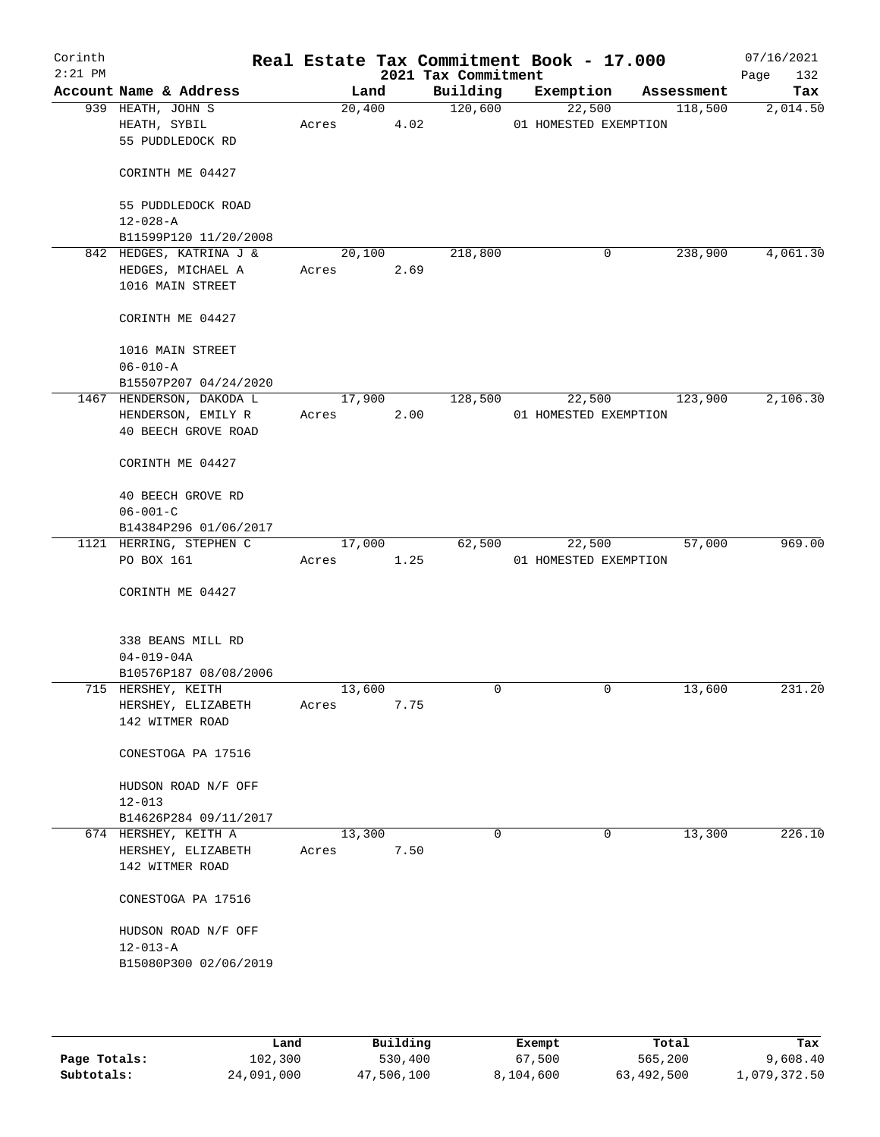| Corinth<br>$2:21$ PM |                          |       |        |      | 2021 Tax Commitment | Real Estate Tax Commitment Book - 17.000 |            | 07/16/2021<br>Page<br>132 |
|----------------------|--------------------------|-------|--------|------|---------------------|------------------------------------------|------------|---------------------------|
|                      | Account Name & Address   |       | Land   |      | Building            | Exemption                                | Assessment | Tax                       |
|                      | 939 HEATH, JOHN S        |       | 20,400 |      | 120,600             | 22,500                                   | 118,500    | 2,014.50                  |
|                      | HEATH, SYBIL             | Acres |        | 4.02 |                     | 01 HOMESTED EXEMPTION                    |            |                           |
|                      | 55 PUDDLEDOCK RD         |       |        |      |                     |                                          |            |                           |
|                      |                          |       |        |      |                     |                                          |            |                           |
|                      | CORINTH ME 04427         |       |        |      |                     |                                          |            |                           |
|                      | 55 PUDDLEDOCK ROAD       |       |        |      |                     |                                          |            |                           |
|                      | $12 - 028 - A$           |       |        |      |                     |                                          |            |                           |
|                      | B11599P120 11/20/2008    |       |        |      |                     |                                          |            |                           |
|                      | 842 HEDGES, KATRINA J &  |       | 20,100 |      | 218,800             | $\mathbf 0$                              | 238,900    | 4,061.30                  |
|                      | HEDGES, MICHAEL A        | Acres |        | 2.69 |                     |                                          |            |                           |
|                      | 1016 MAIN STREET         |       |        |      |                     |                                          |            |                           |
|                      | CORINTH ME 04427         |       |        |      |                     |                                          |            |                           |
|                      | 1016 MAIN STREET         |       |        |      |                     |                                          |            |                           |
|                      | $06 - 010 - A$           |       |        |      |                     |                                          |            |                           |
|                      | B15507P207 04/24/2020    |       |        |      |                     |                                          |            |                           |
|                      | 1467 HENDERSON, DAKODA L |       | 17,900 |      | 128,500             | 22,500                                   | 123,900    | 2,106.30                  |
|                      | HENDERSON, EMILY R       | Acres |        | 2.00 |                     | 01 HOMESTED EXEMPTION                    |            |                           |
|                      | 40 BEECH GROVE ROAD      |       |        |      |                     |                                          |            |                           |
|                      | CORINTH ME 04427         |       |        |      |                     |                                          |            |                           |
|                      |                          |       |        |      |                     |                                          |            |                           |
|                      | 40 BEECH GROVE RD        |       |        |      |                     |                                          |            |                           |
|                      | $06 - 001 - C$           |       |        |      |                     |                                          |            |                           |
|                      | B14384P296 01/06/2017    |       |        |      |                     |                                          |            |                           |
|                      | 1121 HERRING, STEPHEN C  |       | 17,000 |      | 62,500              | 22,500                                   | 57,000     | 969.00                    |
|                      | PO BOX 161               | Acres |        | 1.25 |                     | 01 HOMESTED EXEMPTION                    |            |                           |
|                      | CORINTH ME 04427         |       |        |      |                     |                                          |            |                           |
|                      |                          |       |        |      |                     |                                          |            |                           |
|                      | 338 BEANS MILL RD        |       |        |      |                     |                                          |            |                           |
|                      | $04 - 019 - 04A$         |       |        |      |                     |                                          |            |                           |
|                      | B10576P187 08/08/2006    |       |        |      |                     |                                          |            |                           |
|                      | 715 HERSHEY, KEITH       |       | 13,600 |      | 0                   | 0                                        | 13,600     | 231.20                    |
|                      | HERSHEY, ELIZABETH       | Acres |        | 7.75 |                     |                                          |            |                           |
|                      | 142 WITMER ROAD          |       |        |      |                     |                                          |            |                           |
|                      | CONESTOGA PA 17516       |       |        |      |                     |                                          |            |                           |
|                      | HUDSON ROAD N/F OFF      |       |        |      |                     |                                          |            |                           |
|                      | $12 - 013$               |       |        |      |                     |                                          |            |                           |
|                      | B14626P284 09/11/2017    |       |        |      |                     |                                          |            |                           |
|                      | 674 HERSHEY, KEITH A     |       | 13,300 |      | 0                   | 0                                        | 13,300     | 226.10                    |
|                      | HERSHEY, ELIZABETH       | Acres |        | 7.50 |                     |                                          |            |                           |
|                      | 142 WITMER ROAD          |       |        |      |                     |                                          |            |                           |
|                      |                          |       |        |      |                     |                                          |            |                           |
|                      | CONESTOGA PA 17516       |       |        |      |                     |                                          |            |                           |
|                      | HUDSON ROAD N/F OFF      |       |        |      |                     |                                          |            |                           |
|                      | $12 - 013 - A$           |       |        |      |                     |                                          |            |                           |
|                      | B15080P300 02/06/2019    |       |        |      |                     |                                          |            |                           |
|                      |                          |       |        |      |                     |                                          |            |                           |
|                      |                          |       |        |      |                     |                                          |            |                           |
|                      |                          |       |        |      |                     |                                          |            |                           |

|              | Land       | Building   | Exempt    | Total      | Tax          |
|--------------|------------|------------|-----------|------------|--------------|
| Page Totals: | 102,300    | 530,400    | 67,500    | 565,200    | 9,608.40     |
| Subtotals:   | 24,091,000 | 47,506,100 | 8,104,600 | 63,492,500 | l,079,372.50 |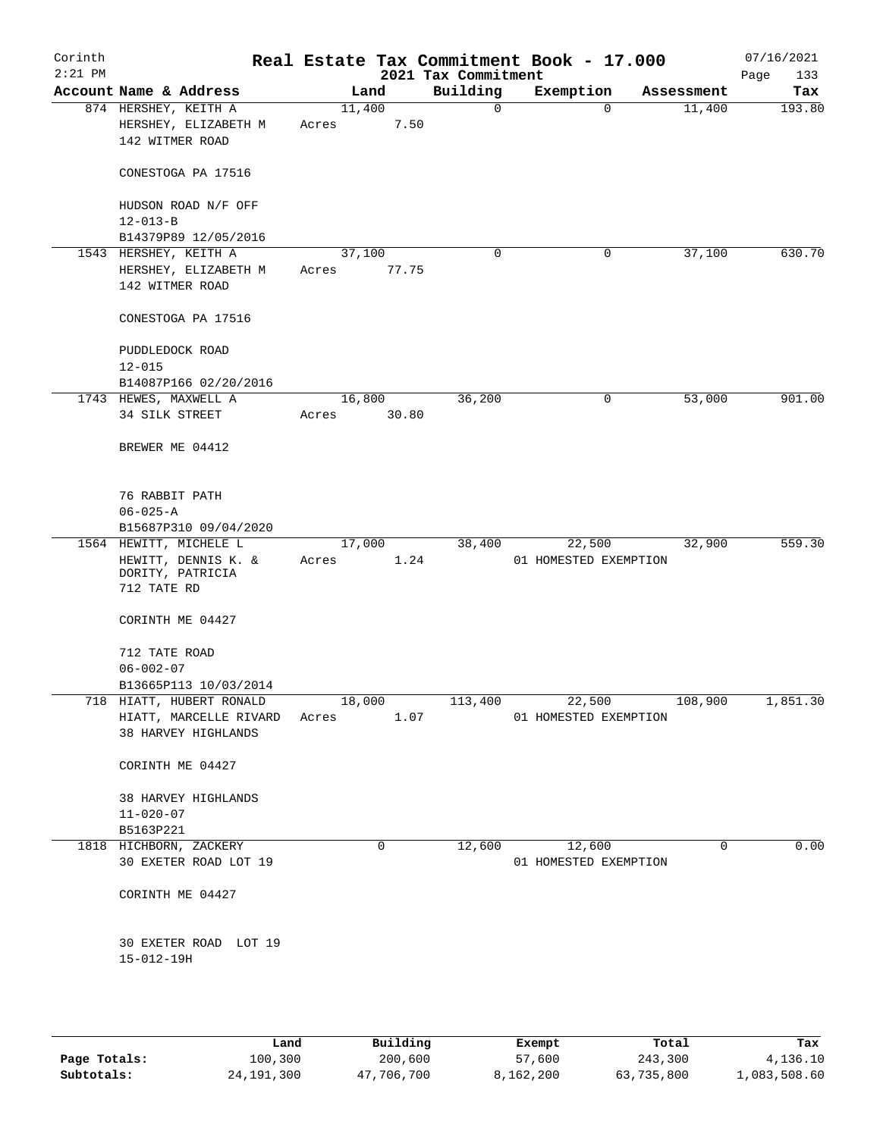| Corinth<br>$2:21$ PM |                                                                                  |                 |       | 2021 Tax Commitment | Real Estate Tax Commitment Book - 17.000 |            | 07/16/2021<br>133<br>Page |
|----------------------|----------------------------------------------------------------------------------|-----------------|-------|---------------------|------------------------------------------|------------|---------------------------|
|                      | Account Name & Address                                                           |                 | Land  | Building            | Exemption                                | Assessment | Tax                       |
|                      | 874 HERSHEY, KEITH A<br>HERSHEY, ELIZABETH M<br>142 WITMER ROAD                  | 11,400<br>Acres | 7.50  | 0                   | $\mathbf 0$                              | 11,400     | 193.80                    |
|                      | CONESTOGA PA 17516                                                               |                 |       |                     |                                          |            |                           |
|                      | HUDSON ROAD N/F OFF<br>$12 - 013 - B$                                            |                 |       |                     |                                          |            |                           |
|                      | B14379P89 12/05/2016                                                             |                 |       |                     |                                          |            |                           |
|                      | 1543 HERSHEY, KEITH A                                                            | 37,100          |       | 0                   | 0                                        | 37,100     | 630.70                    |
|                      | HERSHEY, ELIZABETH M                                                             | Acres           | 77.75 |                     |                                          |            |                           |
|                      | 142 WITMER ROAD                                                                  |                 |       |                     |                                          |            |                           |
|                      | CONESTOGA PA 17516                                                               |                 |       |                     |                                          |            |                           |
|                      | PUDDLEDOCK ROAD                                                                  |                 |       |                     |                                          |            |                           |
|                      | $12 - 015$                                                                       |                 |       |                     |                                          |            |                           |
|                      | B14087P166 02/20/2016                                                            |                 |       |                     |                                          |            |                           |
|                      | 1743 HEWES, MAXWELL A                                                            | 16,800          |       | 36,200              | 0                                        | 53,000     | 901.00                    |
|                      | 34 SILK STREET                                                                   | Acres           | 30.80 |                     |                                          |            |                           |
|                      | BREWER ME 04412                                                                  |                 |       |                     |                                          |            |                           |
|                      | 76 RABBIT PATH                                                                   |                 |       |                     |                                          |            |                           |
|                      | $06 - 025 - A$                                                                   |                 |       |                     |                                          |            |                           |
|                      | B15687P310 09/04/2020                                                            |                 |       |                     |                                          |            |                           |
|                      | 1564 HEWITT, MICHELE L<br>HEWITT, DENNIS K. &<br>DORITY, PATRICIA<br>712 TATE RD | 17,000<br>Acres | 1.24  | 38,400              | 22,500<br>01 HOMESTED EXEMPTION          | 32,900     | 559.30                    |
|                      | CORINTH ME 04427                                                                 |                 |       |                     |                                          |            |                           |
|                      | 712 TATE ROAD                                                                    |                 |       |                     |                                          |            |                           |
|                      | $06 - 002 - 07$                                                                  |                 |       |                     |                                          |            |                           |
|                      | B13665P113 10/03/2014                                                            |                 |       |                     |                                          |            |                           |
|                      | 718 HIATT, HUBERT RONALD                                                         | 18,000          |       | 113,400             | 22,500                                   | 108,900    | 1,851.30                  |
|                      | HIATT, MARCELLE RIVARD<br>38 HARVEY HIGHLANDS                                    | Acres           | 1.07  |                     | 01 HOMESTED EXEMPTION                    |            |                           |
|                      | CORINTH ME 04427                                                                 |                 |       |                     |                                          |            |                           |
|                      | 38 HARVEY HIGHLANDS                                                              |                 |       |                     |                                          |            |                           |
|                      | $11 - 020 - 07$                                                                  |                 |       |                     |                                          |            |                           |
|                      | B5163P221                                                                        |                 |       |                     |                                          |            |                           |
|                      | 1818 HICHBORN, ZACKERY                                                           |                 | 0     | 12,600              | 12,600                                   | 0          | 0.00                      |
|                      | 30 EXETER ROAD LOT 19                                                            |                 |       |                     | 01 HOMESTED EXEMPTION                    |            |                           |
|                      | CORINTH ME 04427                                                                 |                 |       |                     |                                          |            |                           |
|                      | 30 EXETER ROAD LOT 19<br>$15 - 012 - 19H$                                        |                 |       |                     |                                          |            |                           |
|                      |                                                                                  |                 |       |                     |                                          |            |                           |

|              | Land       | Building   | Exempt    | Total      | Tax          |
|--------------|------------|------------|-----------|------------|--------------|
| Page Totals: | 100,300    | 200,600    | 57,600    | 243,300    | 4,136.10     |
| Subtotals:   | 24,191,300 | 47,706,700 | 8,162,200 | 63,735,800 | 1,083,508.60 |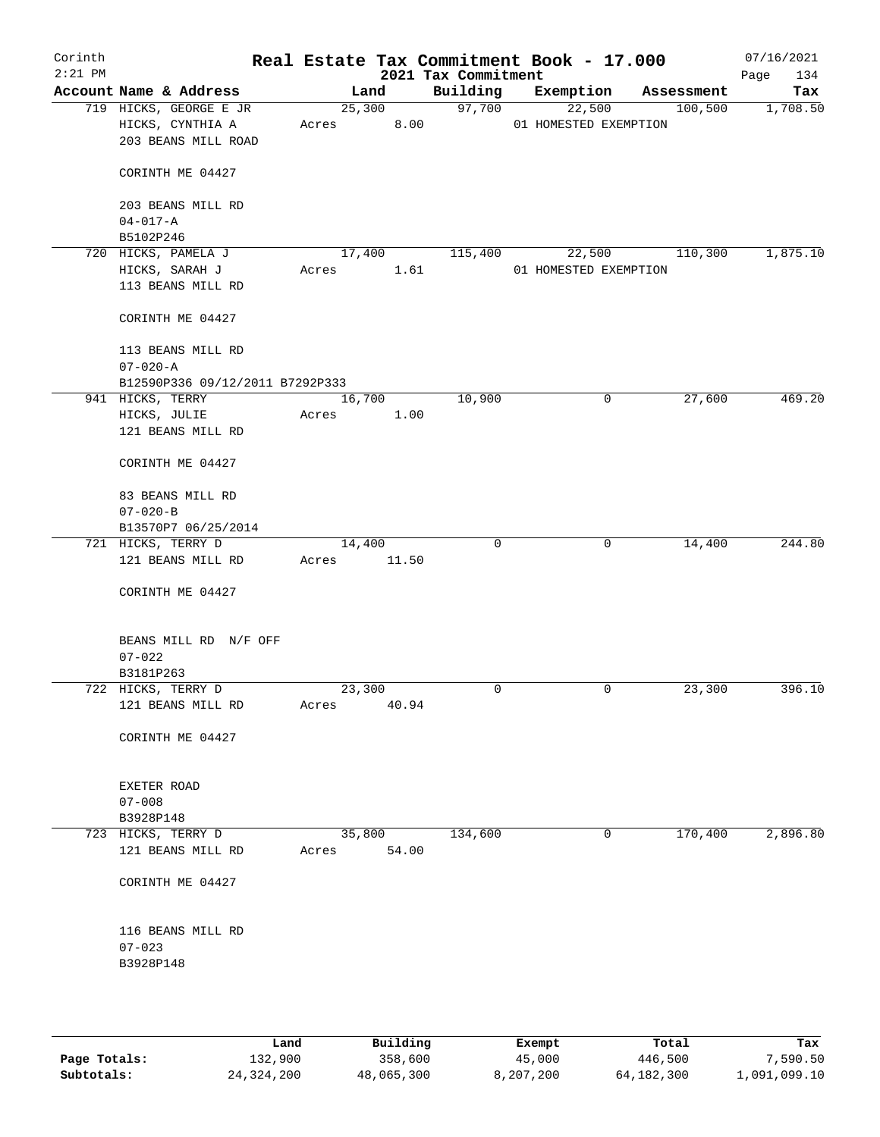| Corinth<br>$2:21$ PM |                                                                   |                 |       | 2021 Tax Commitment | Real Estate Tax Commitment Book - 17.000 |            | 07/16/2021<br>134<br>Page |
|----------------------|-------------------------------------------------------------------|-----------------|-------|---------------------|------------------------------------------|------------|---------------------------|
|                      | Account Name & Address                                            | Land            |       | Building            | Exemption                                | Assessment | Tax                       |
|                      | 719 HICKS, GEORGE E JR<br>HICKS, CYNTHIA A<br>203 BEANS MILL ROAD | 25,300<br>Acres | 8.00  | 97,700              | 22,500<br>01 HOMESTED EXEMPTION          | 100,500    | 1,708.50                  |
|                      | CORINTH ME 04427                                                  |                 |       |                     |                                          |            |                           |
|                      | 203 BEANS MILL RD<br>$04 - 017 - A$                               |                 |       |                     |                                          |            |                           |
|                      | B5102P246                                                         |                 |       |                     |                                          |            |                           |
|                      | 720 HICKS, PAMELA J                                               | 17,400          |       | 115,400             | 22,500                                   | 110,300    | 1,875.10                  |
|                      | HICKS, SARAH J<br>113 BEANS MILL RD                               | Acres           | 1.61  |                     | 01 HOMESTED EXEMPTION                    |            |                           |
|                      | CORINTH ME 04427                                                  |                 |       |                     |                                          |            |                           |
|                      | 113 BEANS MILL RD<br>$07 - 020 - A$                               |                 |       |                     |                                          |            |                           |
|                      | B12590P336 09/12/2011 B7292P333                                   |                 |       |                     |                                          |            |                           |
|                      | 941 HICKS, TERRY                                                  | 16,700          |       | 10,900              | 0                                        | 27,600     | 469.20                    |
|                      | HICKS, JULIE<br>121 BEANS MILL RD                                 | Acres           | 1.00  |                     |                                          |            |                           |
|                      | CORINTH ME 04427                                                  |                 |       |                     |                                          |            |                           |
|                      | 83 BEANS MILL RD                                                  |                 |       |                     |                                          |            |                           |
|                      | $07 - 020 - B$                                                    |                 |       |                     |                                          |            |                           |
|                      | B13570P7 06/25/2014                                               |                 |       |                     |                                          |            |                           |
|                      | 721 HICKS, TERRY D                                                | 14,400          |       | 0                   | 0                                        | 14,400     | 244.80                    |
|                      | 121 BEANS MILL RD                                                 | Acres           | 11.50 |                     |                                          |            |                           |
|                      | CORINTH ME 04427                                                  |                 |       |                     |                                          |            |                           |
|                      | BEANS MILL RD N/F OFF<br>$07 - 022$                               |                 |       |                     |                                          |            |                           |
|                      | B3181P263                                                         |                 |       |                     |                                          |            |                           |
|                      | 722 HICKS, TERRY D                                                | 23,300          |       | 0                   | 0                                        | 23,300     | 396.10                    |
|                      | 121 BEANS MILL RD                                                 | Acres           | 40.94 |                     |                                          |            |                           |
|                      | CORINTH ME 04427                                                  |                 |       |                     |                                          |            |                           |
|                      | EXETER ROAD                                                       |                 |       |                     |                                          |            |                           |
|                      | $07 - 008$                                                        |                 |       |                     |                                          |            |                           |
|                      | B3928P148<br>723 HICKS, TERRY D                                   | 35,800          |       | 134,600             | 0                                        | 170,400    | 2,896.80                  |
|                      | 121 BEANS MILL RD                                                 | Acres           | 54.00 |                     |                                          |            |                           |
|                      | CORINTH ME 04427                                                  |                 |       |                     |                                          |            |                           |
|                      | 116 BEANS MILL RD                                                 |                 |       |                     |                                          |            |                           |
|                      | $07 - 023$<br>B3928P148                                           |                 |       |                     |                                          |            |                           |
|                      |                                                                   |                 |       |                     |                                          |            |                           |

|              | Land       | Building   | Exempt    | Total        | Tax          |
|--------------|------------|------------|-----------|--------------|--------------|
| Page Totals: | 132,900    | 358,600    | 45,000    | 446,500      | 7,590.50     |
| Subtotals:   | 24,324,200 | 48,065,300 | 8,207,200 | 64, 182, 300 | 1,091,099.10 |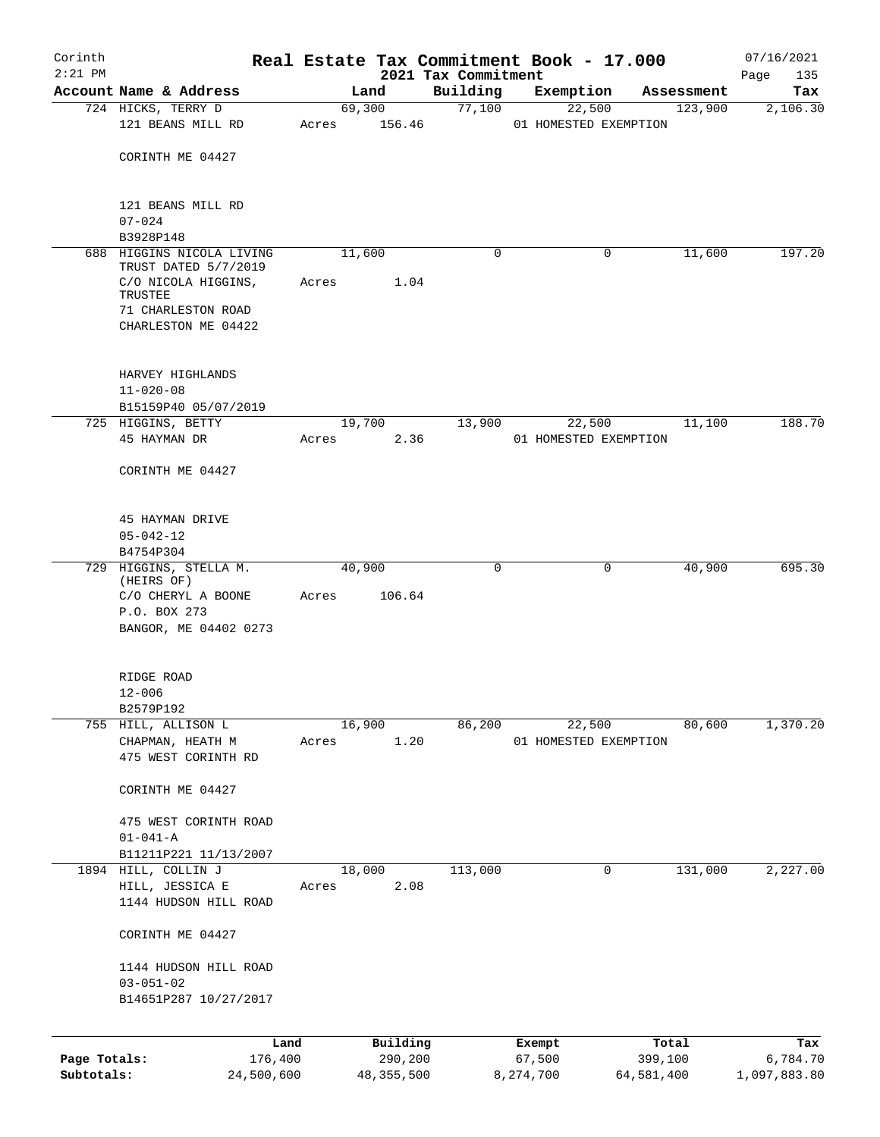| Corinth                    |                                                   |       |                |                                 | Real Estate Tax Commitment Book - 17.000 |            | 07/16/2021         |
|----------------------------|---------------------------------------------------|-------|----------------|---------------------------------|------------------------------------------|------------|--------------------|
| $2:21$ PM                  | Account Name & Address                            |       | Land           | 2021 Tax Commitment<br>Building | Exemption                                | Assessment | 135<br>Page<br>Tax |
|                            | 724 HICKS, TERRY D                                |       | 69,300         | 77,100                          | 22,500                                   | 123,900    | 2,106.30           |
|                            | 121 BEANS MILL RD                                 | Acres | 156.46         |                                 | 01 HOMESTED EXEMPTION                    |            |                    |
|                            | CORINTH ME 04427                                  |       |                |                                 |                                          |            |                    |
|                            | 121 BEANS MILL RD<br>$07 - 024$                   |       |                |                                 |                                          |            |                    |
|                            | B3928P148                                         |       |                |                                 |                                          |            |                    |
|                            | 688 HIGGINS NICOLA LIVING<br>TRUST DATED 5/7/2019 |       | 11,600         | 0                               | 0                                        | 11,600     | 197.20             |
|                            | C/O NICOLA HIGGINS,<br>TRUSTEE                    | Acres | 1.04           |                                 |                                          |            |                    |
|                            | 71 CHARLESTON ROAD<br>CHARLESTON ME 04422         |       |                |                                 |                                          |            |                    |
|                            | HARVEY HIGHLANDS                                  |       |                |                                 |                                          |            |                    |
|                            | $11 - 020 - 08$                                   |       |                |                                 |                                          |            |                    |
|                            | B15159P40 05/07/2019                              |       |                |                                 |                                          |            |                    |
|                            | 725 HIGGINS, BETTY<br>45 HAYMAN DR                | Acres | 19,700<br>2.36 | 13,900                          | 22,500<br>01 HOMESTED EXEMPTION          | 11,100     | 188.70             |
|                            | CORINTH ME 04427                                  |       |                |                                 |                                          |            |                    |
|                            | 45 HAYMAN DRIVE                                   |       |                |                                 |                                          |            |                    |
|                            | $05 - 042 - 12$<br>B4754P304                      |       |                |                                 |                                          |            |                    |
|                            | 729 HIGGINS, STELLA M.                            |       | 40,900         | $\mathbf 0$                     | 0                                        | 40,900     | 695.30             |
|                            | (HEIRS OF)<br>C/O CHERYL A BOONE                  | Acres | 106.64         |                                 |                                          |            |                    |
|                            | P.O. BOX 273<br>BANGOR, ME 04402 0273             |       |                |                                 |                                          |            |                    |
|                            | RIDGE ROAD                                        |       |                |                                 |                                          |            |                    |
|                            | $12 - 006$                                        |       |                |                                 |                                          |            |                    |
|                            | B2579P192<br>755 HILL, ALLISON L                  |       | 16,900         | 86,200                          | 22,500                                   | 80,600     | 1,370.20           |
|                            | CHAPMAN, HEATH M                                  | Acres | 1.20           |                                 | 01 HOMESTED EXEMPTION                    |            |                    |
|                            | 475 WEST CORINTH RD                               |       |                |                                 |                                          |            |                    |
|                            | CORINTH ME 04427                                  |       |                |                                 |                                          |            |                    |
|                            | 475 WEST CORINTH ROAD<br>$01 - 041 - A$           |       |                |                                 |                                          |            |                    |
|                            | B11211P221 11/13/2007                             |       |                |                                 |                                          |            |                    |
|                            | 1894 HILL, COLLIN J                               |       | 18,000         | 113,000                         | 0                                        | 131,000    | 2,227.00           |
|                            | HILL, JESSICA E<br>1144 HUDSON HILL ROAD          | Acres | 2.08           |                                 |                                          |            |                    |
|                            | CORINTH ME 04427                                  |       |                |                                 |                                          |            |                    |
|                            | 1144 HUDSON HILL ROAD                             |       |                |                                 |                                          |            |                    |
|                            | $03 - 051 - 02$<br>B14651P287 10/27/2017          |       |                |                                 |                                          |            |                    |
|                            |                                                   |       |                |                                 |                                          |            |                    |
|                            | Land                                              |       | Building       |                                 | Exempt                                   | Total      | Tax                |
| Page Totals:<br>Subtotals: | 176,400                                           |       | 290,200        |                                 | 67,500                                   | 399,100    | 6,784.70           |
|                            | 24,500,600                                        |       | 48, 355, 500   |                                 | 8,274,700                                | 64,581,400 | 1,097,883.80       |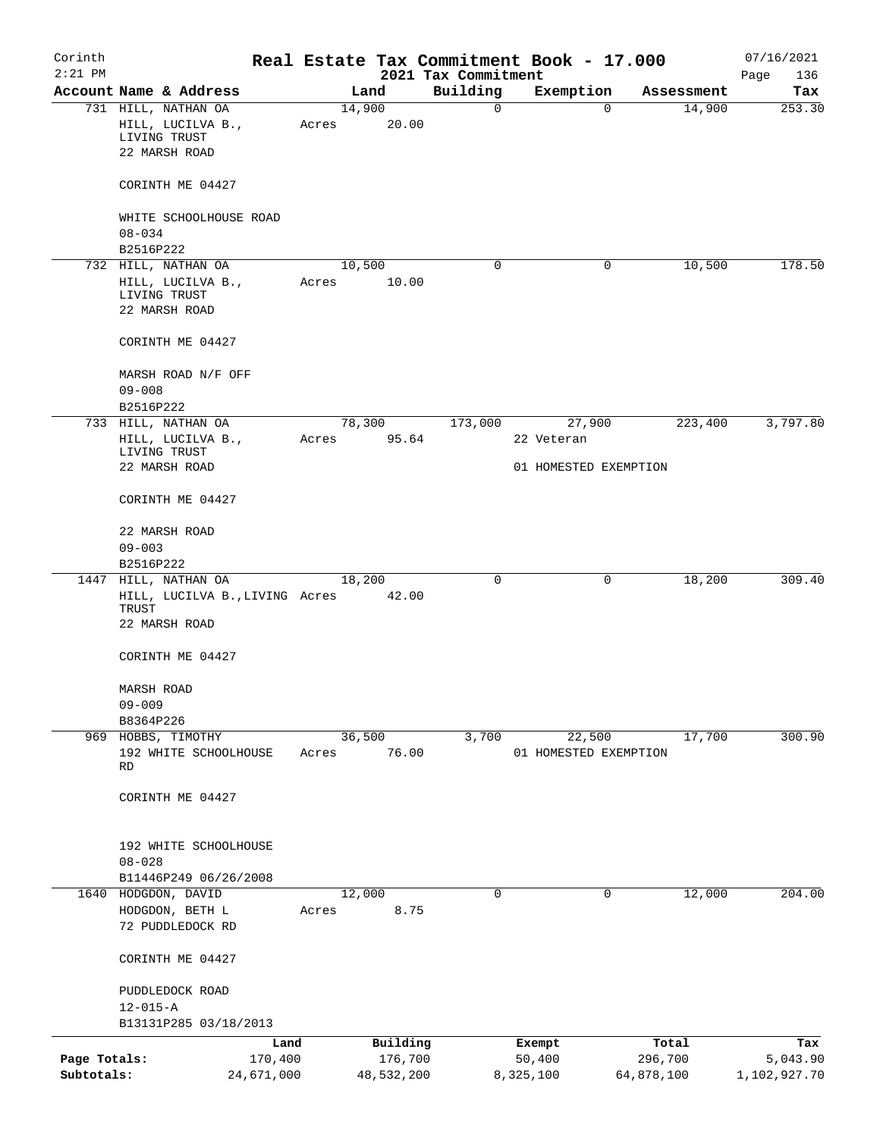| Corinth<br>$2:21$ PM       |                                                                 |                       |                 |                       | Real Estate Tax Commitment Book - 17.000 |                       |                       |            | 07/16/2021               |
|----------------------------|-----------------------------------------------------------------|-----------------------|-----------------|-----------------------|------------------------------------------|-----------------------|-----------------------|------------|--------------------------|
|                            | Account Name & Address                                          |                       |                 | Land                  | 2021 Tax Commitment<br>Building          | Exemption             |                       | Assessment | Page<br>136<br>Tax       |
|                            | 731 HILL, NATHAN OA                                             |                       | 14,900          |                       | $\mathbf 0$                              |                       | $\mathbf 0$           | 14,900     | 253.30                   |
|                            | HILL, LUCILVA B.,<br>LIVING TRUST                               |                       | Acres           | 20.00                 |                                          |                       |                       |            |                          |
|                            | 22 MARSH ROAD                                                   |                       |                 |                       |                                          |                       |                       |            |                          |
|                            | CORINTH ME 04427                                                |                       |                 |                       |                                          |                       |                       |            |                          |
|                            | WHITE SCHOOLHOUSE ROAD<br>$08 - 034$                            |                       |                 |                       |                                          |                       |                       |            |                          |
|                            | B2516P222                                                       |                       |                 |                       |                                          |                       |                       |            |                          |
|                            | 732 HILL, NATHAN OA                                             |                       | 10,500          |                       | 0                                        |                       | 0                     | 10,500     | 178.50                   |
|                            | HILL, LUCILVA B.,                                               |                       | Acres           | 10.00                 |                                          |                       |                       |            |                          |
|                            | LIVING TRUST<br>22 MARSH ROAD                                   |                       |                 |                       |                                          |                       |                       |            |                          |
|                            | CORINTH ME 04427                                                |                       |                 |                       |                                          |                       |                       |            |                          |
|                            | MARSH ROAD N/F OFF                                              |                       |                 |                       |                                          |                       |                       |            |                          |
|                            | $09 - 008$                                                      |                       |                 |                       |                                          |                       |                       |            |                          |
|                            | B2516P222                                                       |                       |                 |                       |                                          |                       |                       |            |                          |
|                            | 733 HILL, NATHAN OA<br>HILL, LUCILVA B.,                        |                       | 78,300<br>Acres | 95.64                 | 173,000                                  | 27,900<br>22 Veteran  |                       | 223,400    | 3,797.80                 |
|                            | LIVING TRUST<br>22 MARSH ROAD                                   |                       |                 |                       |                                          | 01 HOMESTED EXEMPTION |                       |            |                          |
|                            | CORINTH ME 04427                                                |                       |                 |                       |                                          |                       |                       |            |                          |
|                            | 22 MARSH ROAD                                                   |                       |                 |                       |                                          |                       |                       |            |                          |
|                            | $09 - 003$                                                      |                       |                 |                       |                                          |                       |                       |            |                          |
|                            | B2516P222                                                       |                       |                 |                       |                                          |                       |                       |            |                          |
|                            | 1447 HILL, NATHAN OA<br>HILL, LUCILVA B., LIVING Acres<br>TRUST |                       | 18,200          | 42.00                 | 0                                        |                       | 0                     | 18,200     | 309.40                   |
|                            | 22 MARSH ROAD                                                   |                       |                 |                       |                                          |                       |                       |            |                          |
|                            | CORINTH ME 04427                                                |                       |                 |                       |                                          |                       |                       |            |                          |
|                            | MARSH ROAD                                                      |                       |                 |                       |                                          |                       |                       |            |                          |
|                            | $09 - 009$                                                      |                       |                 |                       |                                          |                       |                       |            |                          |
|                            | B8364P226<br>969 HOBBS, TIMOTHY                                 |                       | 36,500          |                       | 3,700                                    | 22,500                |                       | 17,700     | 300.90                   |
|                            | 192 WHITE SCHOOLHOUSE<br>RD                                     |                       | Acres           | 76.00                 |                                          | 01 HOMESTED EXEMPTION |                       |            |                          |
|                            | CORINTH ME 04427                                                |                       |                 |                       |                                          |                       |                       |            |                          |
|                            | 192 WHITE SCHOOLHOUSE                                           |                       |                 |                       |                                          |                       |                       |            |                          |
|                            | $08 - 028$                                                      |                       |                 |                       |                                          |                       |                       |            |                          |
|                            | B11446P249 06/26/2008<br>1640 HODGDON, DAVID                    |                       | 12,000          |                       | $\mathbf 0$                              |                       | 0                     | 12,000     | 204.00                   |
|                            | HODGDON, BETH L                                                 |                       | Acres           | 8.75                  |                                          |                       |                       |            |                          |
|                            | 72 PUDDLEDOCK RD                                                |                       |                 |                       |                                          |                       |                       |            |                          |
|                            | CORINTH ME 04427                                                |                       |                 |                       |                                          |                       |                       |            |                          |
|                            | PUDDLEDOCK ROAD                                                 |                       |                 |                       |                                          |                       |                       |            |                          |
|                            | $12 - 015 - A$                                                  |                       |                 |                       |                                          |                       |                       |            |                          |
|                            | B13131P285 03/18/2013                                           |                       |                 |                       |                                          |                       |                       |            |                          |
|                            |                                                                 | Land                  |                 | Building              |                                          | Exempt                |                       | Total      | Tax                      |
| Page Totals:<br>Subtotals: |                                                                 | 170,400<br>24,671,000 |                 | 176,700<br>48,532,200 |                                          | 50,400<br>8,325,100   | 296,700<br>64,878,100 |            | 5,043.90<br>1,102,927.70 |
|                            |                                                                 |                       |                 |                       |                                          |                       |                       |            |                          |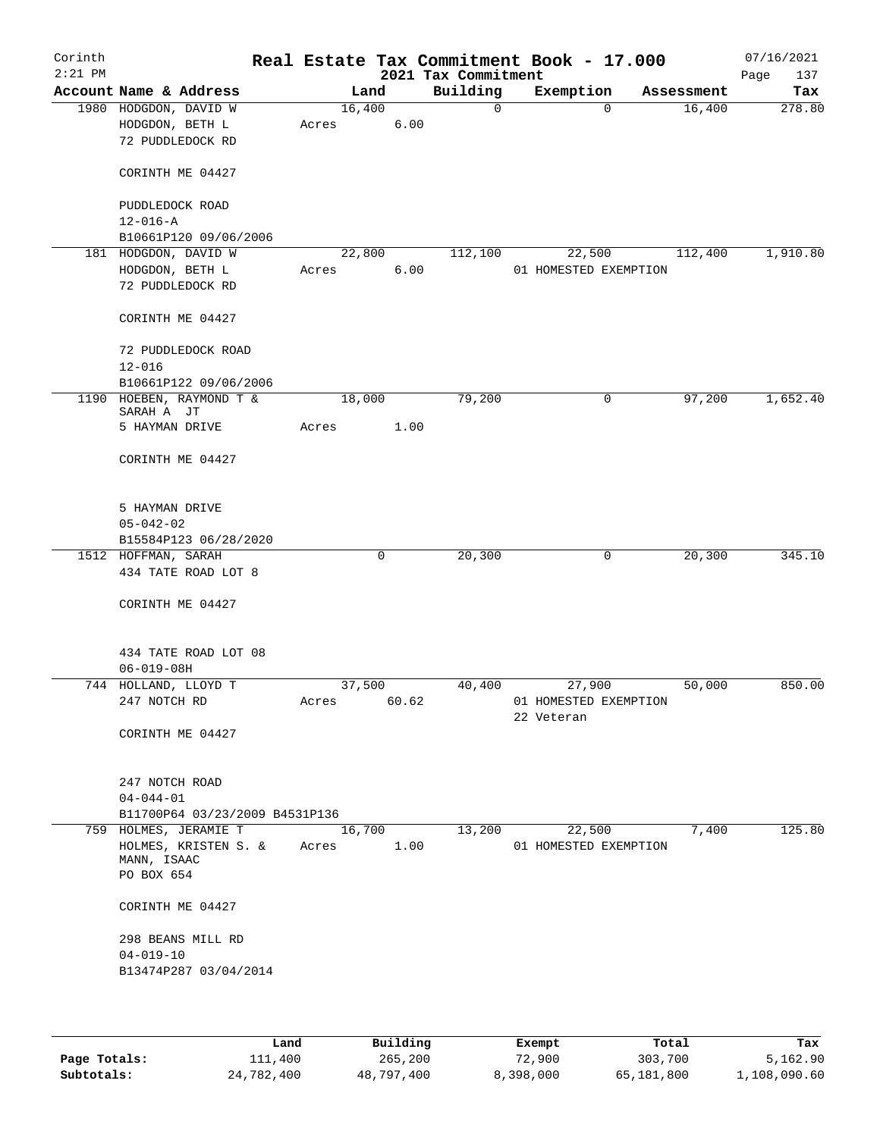| Corinth<br>$2:21$ PM |                                          |        |       | 2021 Tax Commitment | Real Estate Tax Commitment Book - 17.000 |            | 07/16/2021<br>Page<br>137 |
|----------------------|------------------------------------------|--------|-------|---------------------|------------------------------------------|------------|---------------------------|
|                      | Account Name & Address                   |        | Land  | Building            | Exemption                                | Assessment | Tax                       |
|                      | 1980 HODGDON, DAVID W                    | 16,400 |       | $\mathsf{O}$        | 0                                        | 16,400     | 278.80                    |
|                      | HODGDON, BETH L                          | Acres  | 6.00  |                     |                                          |            |                           |
|                      | 72 PUDDLEDOCK RD                         |        |       |                     |                                          |            |                           |
|                      | CORINTH ME 04427                         |        |       |                     |                                          |            |                           |
|                      | PUDDLEDOCK ROAD<br>$12 - 016 - A$        |        |       |                     |                                          |            |                           |
|                      | B10661P120 09/06/2006                    |        |       |                     |                                          |            |                           |
|                      | 181 HODGDON, DAVID W                     | 22,800 |       | 112,100             | 22,500                                   | 112,400    | 1,910.80                  |
|                      | HODGDON, BETH L                          | Acres  | 6.00  |                     | 01 HOMESTED EXEMPTION                    |            |                           |
|                      | 72 PUDDLEDOCK RD                         |        |       |                     |                                          |            |                           |
|                      | CORINTH ME 04427                         |        |       |                     |                                          |            |                           |
|                      | 72 PUDDLEDOCK ROAD                       |        |       |                     |                                          |            |                           |
|                      | $12 - 016$                               |        |       |                     |                                          |            |                           |
|                      | B10661P122 09/06/2006                    |        |       |                     |                                          |            |                           |
|                      | 1190 HOEBEN, RAYMOND T &<br>SARAH A JT   | 18,000 |       | 79,200              | 0                                        | 97,200     | 1,652.40                  |
|                      | 5 HAYMAN DRIVE                           | Acres  | 1.00  |                     |                                          |            |                           |
|                      | CORINTH ME 04427                         |        |       |                     |                                          |            |                           |
|                      | 5 HAYMAN DRIVE<br>$05 - 042 - 02$        |        |       |                     |                                          |            |                           |
|                      | B15584P123 06/28/2020                    |        |       |                     |                                          |            |                           |
|                      | 1512 HOFFMAN, SARAH                      |        | 0     | 20,300              | 0                                        | 20,300     | 345.10                    |
|                      | 434 TATE ROAD LOT 8                      |        |       |                     |                                          |            |                           |
|                      | CORINTH ME 04427                         |        |       |                     |                                          |            |                           |
|                      | 434 TATE ROAD LOT 08                     |        |       |                     |                                          |            |                           |
|                      | $06 - 019 - 08H$                         |        |       |                     |                                          |            |                           |
|                      | 744 HOLLAND, LLOYD T                     | 37,500 |       | 40,400              | 27,900                                   | 50,000     | 850.00                    |
|                      | 247 NOTCH RD                             | Acres  | 60.62 |                     | 01 HOMESTED EXEMPTION<br>22 Veteran      |            |                           |
|                      | CORINTH ME 04427                         |        |       |                     |                                          |            |                           |
|                      | 247 NOTCH ROAD<br>$04 - 044 - 01$        |        |       |                     |                                          |            |                           |
|                      | B11700P64 03/23/2009 B4531P136           |        |       |                     |                                          |            |                           |
|                      | 759 HOLMES, JERAMIE T                    | 16,700 |       | 13,200              | 22,500                                   | 7,400      | 125.80                    |
|                      | HOLMES, KRISTEN S. &<br>MANN, ISAAC      | Acres  | 1.00  |                     | 01 HOMESTED EXEMPTION                    |            |                           |
|                      | PO BOX 654                               |        |       |                     |                                          |            |                           |
|                      | CORINTH ME 04427                         |        |       |                     |                                          |            |                           |
|                      | 298 BEANS MILL RD                        |        |       |                     |                                          |            |                           |
|                      | $04 - 019 - 10$<br>B13474P287 03/04/2014 |        |       |                     |                                          |            |                           |
|                      |                                          |        |       |                     |                                          |            |                           |

|              | Land       | Building   | Exempt    | Total      | Tax          |
|--------------|------------|------------|-----------|------------|--------------|
| Page Totals: | ⊥11,400    | 265,200    | 72,900    | 303,700    | 5,162.90     |
| Subtotals:   | 24,782,400 | 48,797,400 | 8,398,000 | 65,181,800 | 1,108,090.60 |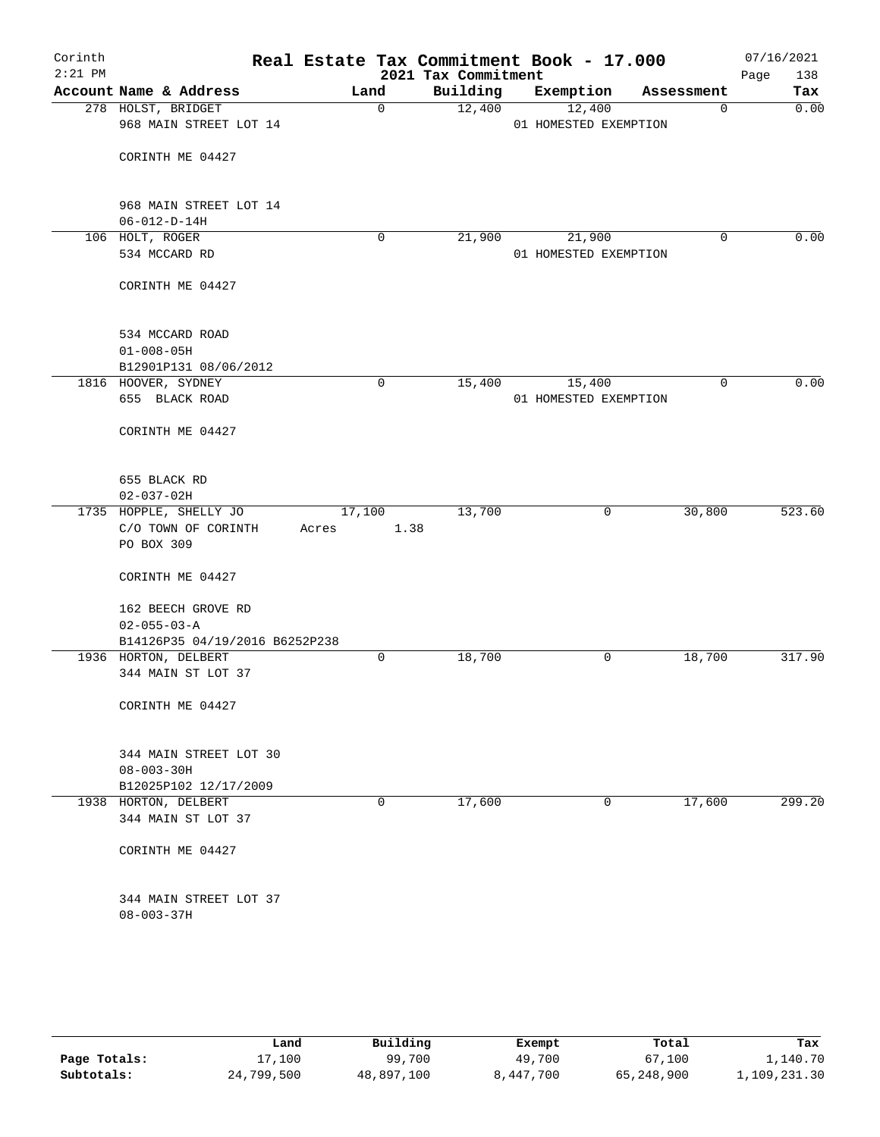| Corinth<br>$2:21$ PM |                                              |        |             | 2021 Tax Commitment | Real Estate Tax Commitment Book - 17.000 |             | 07/16/2021<br>Page<br>138 |
|----------------------|----------------------------------------------|--------|-------------|---------------------|------------------------------------------|-------------|---------------------------|
|                      | Account Name & Address                       |        | Land        | Building            | Exemption                                | Assessment  | Tax                       |
|                      | 278 HOLST, BRIDGET<br>968 MAIN STREET LOT 14 |        | $\mathbf 0$ | 12,400              | 12,400<br>01 HOMESTED EXEMPTION          | $\mathbf 0$ | 0.00                      |
|                      | CORINTH ME 04427                             |        |             |                     |                                          |             |                           |
|                      | 968 MAIN STREET LOT 14                       |        |             |                     |                                          |             |                           |
|                      | $06 - 012 - D - 14H$<br>106 HOLT, ROGER      |        | 0           | 21,900              | 21,900                                   | 0           | 0.00                      |
|                      | 534 MCCARD RD                                |        |             |                     | 01 HOMESTED EXEMPTION                    |             |                           |
|                      | CORINTH ME 04427                             |        |             |                     |                                          |             |                           |
|                      | 534 MCCARD ROAD                              |        |             |                     |                                          |             |                           |
|                      | $01 - 008 - 05H$                             |        |             |                     |                                          |             |                           |
|                      | B12901P131 08/06/2012<br>1816 HOOVER, SYDNEY |        | 0           | 15,400              | 15,400                                   | 0           | 0.00                      |
|                      | 655 BLACK ROAD                               |        |             |                     | 01 HOMESTED EXEMPTION                    |             |                           |
|                      | CORINTH ME 04427                             |        |             |                     |                                          |             |                           |
|                      | 655 BLACK RD                                 |        |             |                     |                                          |             |                           |
|                      | $02 - 037 - 02H$                             |        |             |                     |                                          |             |                           |
|                      | 1735 HOPPLE, SHELLY JO                       | 17,100 |             | 13,700              | 0                                        | 30,800      | 523.60                    |
|                      | C/O TOWN OF CORINTH<br>PO BOX 309            | Acres  | 1.38        |                     |                                          |             |                           |
|                      | CORINTH ME 04427                             |        |             |                     |                                          |             |                           |
|                      | 162 BEECH GROVE RD                           |        |             |                     |                                          |             |                           |
|                      | $02 - 055 - 03 - A$                          |        |             |                     |                                          |             |                           |
|                      | B14126P35 04/19/2016 B6252P238               |        |             |                     |                                          |             |                           |
|                      | 1936 HORTON, DELBERT                         |        | 0           | 18,700              | 0                                        | 18,700      | 317.90                    |
|                      | 344 MAIN ST LOT 37                           |        |             |                     |                                          |             |                           |
|                      | CORINTH ME 04427                             |        |             |                     |                                          |             |                           |
|                      | 344 MAIN STREET LOT 30                       |        |             |                     |                                          |             |                           |
|                      | $08 - 003 - 30H$                             |        |             |                     |                                          |             |                           |
|                      | B12025P102 12/17/2009                        |        |             |                     |                                          |             |                           |
|                      | 1938 HORTON, DELBERT<br>344 MAIN ST LOT 37   |        | 0           | 17,600              | 0                                        | 17,600      | 299.20                    |
|                      | CORINTH ME 04427                             |        |             |                     |                                          |             |                           |
|                      | 344 MAIN STREET LOT 37<br>$08 - 003 - 37H$   |        |             |                     |                                          |             |                           |
|                      |                                              |        |             |                     |                                          |             |                           |

|              | Land       | Building   | Exempt    | Total      | Tax          |
|--------------|------------|------------|-----------|------------|--------------|
| Page Totals: | 17,100     | 99,700     | 49,700    | 67,100     | 1,140.70     |
| Subtotals:   | 24,799,500 | 48,897,100 | 8,447,700 | 65,248,900 | 1,109,231.30 |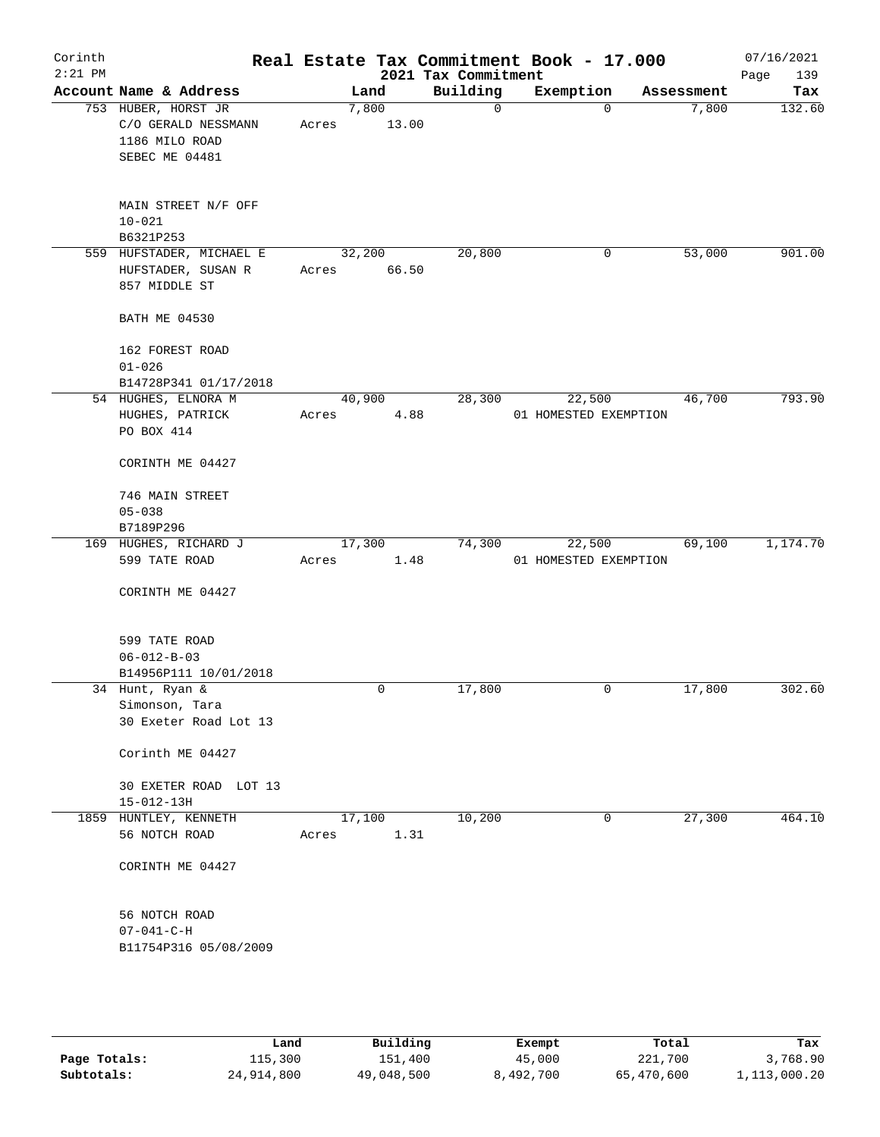| Corinth<br>$2:21$ PM |                                                                                |       |                 | 2021 Tax Commitment |              | Real Estate Tax Commitment Book - 17.000 |            | 07/16/2021<br>Page<br>139 |
|----------------------|--------------------------------------------------------------------------------|-------|-----------------|---------------------|--------------|------------------------------------------|------------|---------------------------|
|                      | Account Name & Address                                                         |       | Land            | Building            |              | Exemption                                | Assessment | Tax                       |
|                      | 753 HUBER, HORST JR<br>C/O GERALD NESSMANN<br>1186 MILO ROAD<br>SEBEC ME 04481 | Acres | 7,800<br>13.00  |                     | $\mathsf{O}$ | $\mathbf 0$                              | 7,800      | 132.60                    |
|                      | MAIN STREET N/F OFF<br>$10 - 021$<br>B6321P253                                 |       |                 |                     |              |                                          |            |                           |
|                      | 559 HUFSTADER, MICHAEL E<br>HUFSTADER, SUSAN R<br>857 MIDDLE ST                | Acres | 32,200<br>66.50 | 20,800              |              | 0                                        | 53,000     | 901.00                    |
|                      | <b>BATH ME 04530</b>                                                           |       |                 |                     |              |                                          |            |                           |
|                      | 162 FOREST ROAD<br>$01 - 026$<br>B14728P341 01/17/2018                         |       |                 |                     |              |                                          |            |                           |
|                      | 54 HUGHES, ELNORA M<br>HUGHES, PATRICK<br>PO BOX 414                           | Acres | 40,900          | 28,300<br>4.88      |              | 22,500<br>01 HOMESTED EXEMPTION          | 46,700     | 793.90                    |
|                      | CORINTH ME 04427                                                               |       |                 |                     |              |                                          |            |                           |
|                      | 746 MAIN STREET<br>$05 - 038$<br>B7189P296                                     |       |                 |                     |              |                                          |            |                           |
|                      | 169 HUGHES, RICHARD J                                                          |       | 17,300          | 74,300              |              | 22,500                                   | 69,100     | 1,174.70                  |
|                      | 599 TATE ROAD<br>CORINTH ME 04427                                              | Acres |                 | 1.48                |              | 01 HOMESTED EXEMPTION                    |            |                           |
|                      | 599 TATE ROAD<br>$06 - 012 - B - 03$                                           |       |                 |                     |              |                                          |            |                           |
|                      | B14956P111 10/01/2018<br>34 Hunt, Ryan &                                       |       | 0               | 17,800              |              | 0                                        | 17,800     | 302.60                    |
|                      | Simonson, Tara<br>30 Exeter Road Lot 13                                        |       |                 |                     |              |                                          |            |                           |
|                      | Corinth ME 04427                                                               |       |                 |                     |              |                                          |            |                           |
|                      | 30 EXETER ROAD LOT 13<br>$15 - 012 - 13H$                                      |       |                 |                     |              |                                          |            |                           |
|                      | 1859 HUNTLEY, KENNETH<br>56 NOTCH ROAD                                         | Acres | 17,100          | 10,200<br>1.31      |              | 0                                        | 27,300     | 464.10                    |
|                      | CORINTH ME 04427                                                               |       |                 |                     |              |                                          |            |                           |
|                      | 56 NOTCH ROAD<br>$07 - 041 - C - H$<br>B11754P316 05/08/2009                   |       |                 |                     |              |                                          |            |                           |
|                      |                                                                                |       |                 |                     |              |                                          |            |                           |

|              | Land       | Building   | Exempt    | Total      | Tax          |
|--------------|------------|------------|-----------|------------|--------------|
| Page Totals: | 115,300    | 151,400    | 45,000    | 221,700    | 3,768.90     |
| Subtotals:   | 24,914,800 | 49,048,500 | 8,492,700 | 65,470,600 | 1,113,000.20 |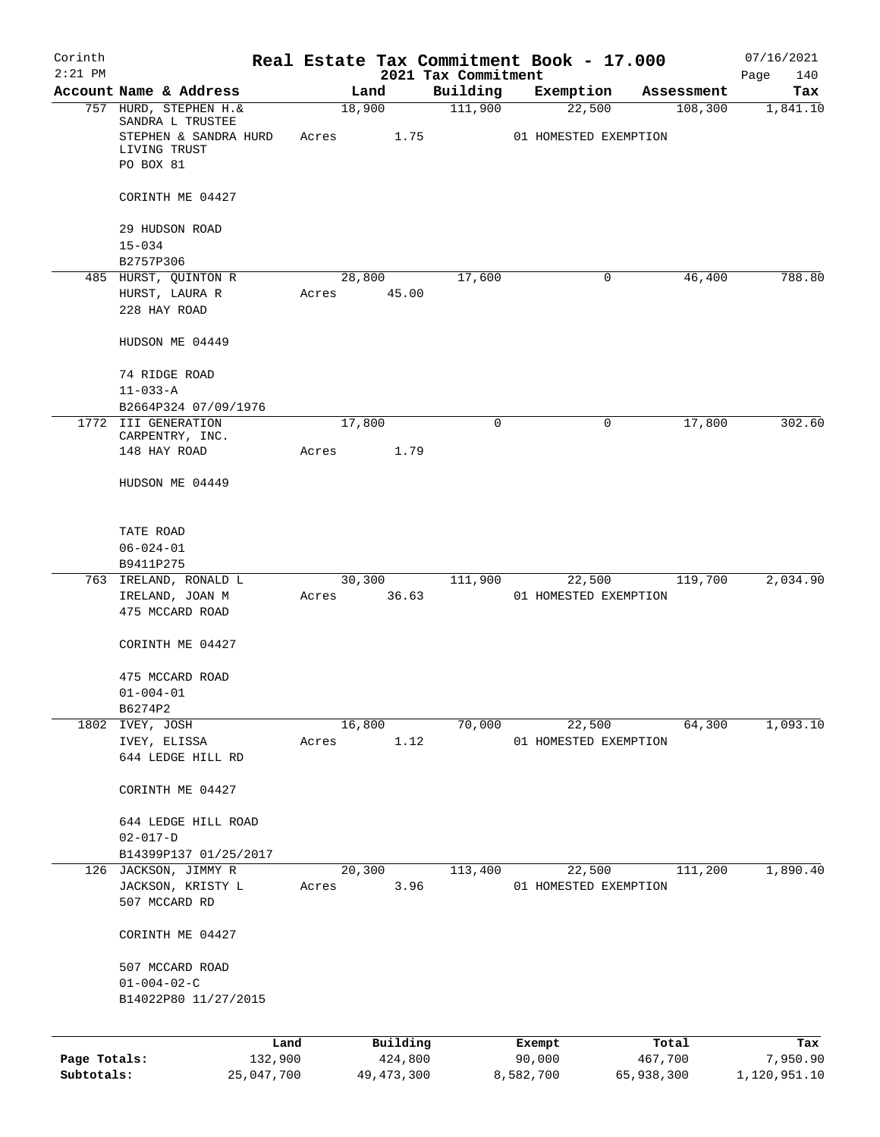| Corinth      |                                                                        |            |       |                 | Real Estate Tax Commitment Book - 17.000 |                       |             |                       | 07/16/2021      |
|--------------|------------------------------------------------------------------------|------------|-------|-----------------|------------------------------------------|-----------------------|-------------|-----------------------|-----------------|
| $2:21$ PM    |                                                                        |            |       |                 | 2021 Tax Commitment                      |                       |             |                       | Page<br>140     |
|              | Account Name & Address<br>757 HURD, STEPHEN H. &                       |            |       | Land<br>18,900  | Building<br>111,900                      | Exemption             | 22,500      | Assessment<br>108,300 | Tax<br>1,841.10 |
|              | SANDRA L TRUSTEE<br>STEPHEN & SANDRA HURD<br>LIVING TRUST<br>PO BOX 81 |            | Acres | 1.75            |                                          | 01 HOMESTED EXEMPTION |             |                       |                 |
|              | CORINTH ME 04427                                                       |            |       |                 |                                          |                       |             |                       |                 |
|              | 29 HUDSON ROAD<br>$15 - 034$                                           |            |       |                 |                                          |                       |             |                       |                 |
|              | B2757P306                                                              |            |       |                 |                                          |                       |             |                       |                 |
|              | 485 HURST, QUINTON R                                                   |            |       | 28,800          | 17,600                                   |                       | 0           | 46,400                | 788.80          |
|              | HURST, LAURA R<br>228 HAY ROAD                                         |            | Acres | 45.00           |                                          |                       |             |                       |                 |
|              | HUDSON ME 04449                                                        |            |       |                 |                                          |                       |             |                       |                 |
|              | 74 RIDGE ROAD<br>$11 - 033 - A$                                        |            |       |                 |                                          |                       |             |                       |                 |
|              | B2664P324 07/09/1976                                                   |            |       |                 |                                          |                       |             |                       |                 |
|              | 1772 III GENERATION<br>CARPENTRY, INC.                                 |            |       | 17,800          | $\Omega$                                 |                       | $\mathbf 0$ | 17,800                | 302.60          |
|              | 148 HAY ROAD                                                           |            | Acres | 1.79            |                                          |                       |             |                       |                 |
|              | HUDSON ME 04449                                                        |            |       |                 |                                          |                       |             |                       |                 |
|              | TATE ROAD                                                              |            |       |                 |                                          |                       |             |                       |                 |
|              | $06 - 024 - 01$                                                        |            |       |                 |                                          |                       |             |                       |                 |
|              | B9411P275                                                              |            |       |                 |                                          |                       |             |                       |                 |
|              | 763 IRELAND, RONALD L<br>IRELAND, JOAN M                               |            | Acres | 30,300<br>36.63 | 111,900                                  | 01 HOMESTED EXEMPTION | 22,500      | 119,700               | 2,034.90        |
|              | 475 MCCARD ROAD                                                        |            |       |                 |                                          |                       |             |                       |                 |
|              | CORINTH ME 04427                                                       |            |       |                 |                                          |                       |             |                       |                 |
|              | 475 MCCARD ROAD                                                        |            |       |                 |                                          |                       |             |                       |                 |
|              | $01 - 004 - 01$                                                        |            |       |                 |                                          |                       |             |                       |                 |
|              | B6274P2<br>1802 IVEY, JOSH                                             |            |       | 16,800          | 70,000                                   |                       | 22,500      | 64,300                | 1,093.10        |
|              | IVEY, ELISSA                                                           |            | Acres | 1.12            |                                          | 01 HOMESTED EXEMPTION |             |                       |                 |
|              | 644 LEDGE HILL RD                                                      |            |       |                 |                                          |                       |             |                       |                 |
|              | CORINTH ME 04427                                                       |            |       |                 |                                          |                       |             |                       |                 |
|              | 644 LEDGE HILL ROAD                                                    |            |       |                 |                                          |                       |             |                       |                 |
|              | $02 - 017 - D$<br>B14399P137 01/25/2017                                |            |       |                 |                                          |                       |             |                       |                 |
|              | 126 JACKSON, JIMMY R                                                   |            |       | 20,300          | 113,400                                  |                       | 22,500      | 111,200               | 1,890.40        |
|              | JACKSON, KRISTY L                                                      |            | Acres | 3.96            |                                          | 01 HOMESTED EXEMPTION |             |                       |                 |
|              | 507 MCCARD RD                                                          |            |       |                 |                                          |                       |             |                       |                 |
|              | CORINTH ME 04427                                                       |            |       |                 |                                          |                       |             |                       |                 |
|              | 507 MCCARD ROAD                                                        |            |       |                 |                                          |                       |             |                       |                 |
|              | $01 - 004 - 02 - C$                                                    |            |       |                 |                                          |                       |             |                       |                 |
|              | B14022P80 11/27/2015                                                   |            |       |                 |                                          |                       |             |                       |                 |
|              |                                                                        | Land       |       | Building        |                                          | Exempt                |             | Total                 | Tax             |
| Page Totals: |                                                                        | 132,900    |       | 424,800         |                                          | 90,000                |             | 467,700               | 7,950.90        |
| Subtotals:   |                                                                        | 25,047,700 |       | 49, 473, 300    |                                          | 8,582,700             | 65,938,300  |                       | 1,120,951.10    |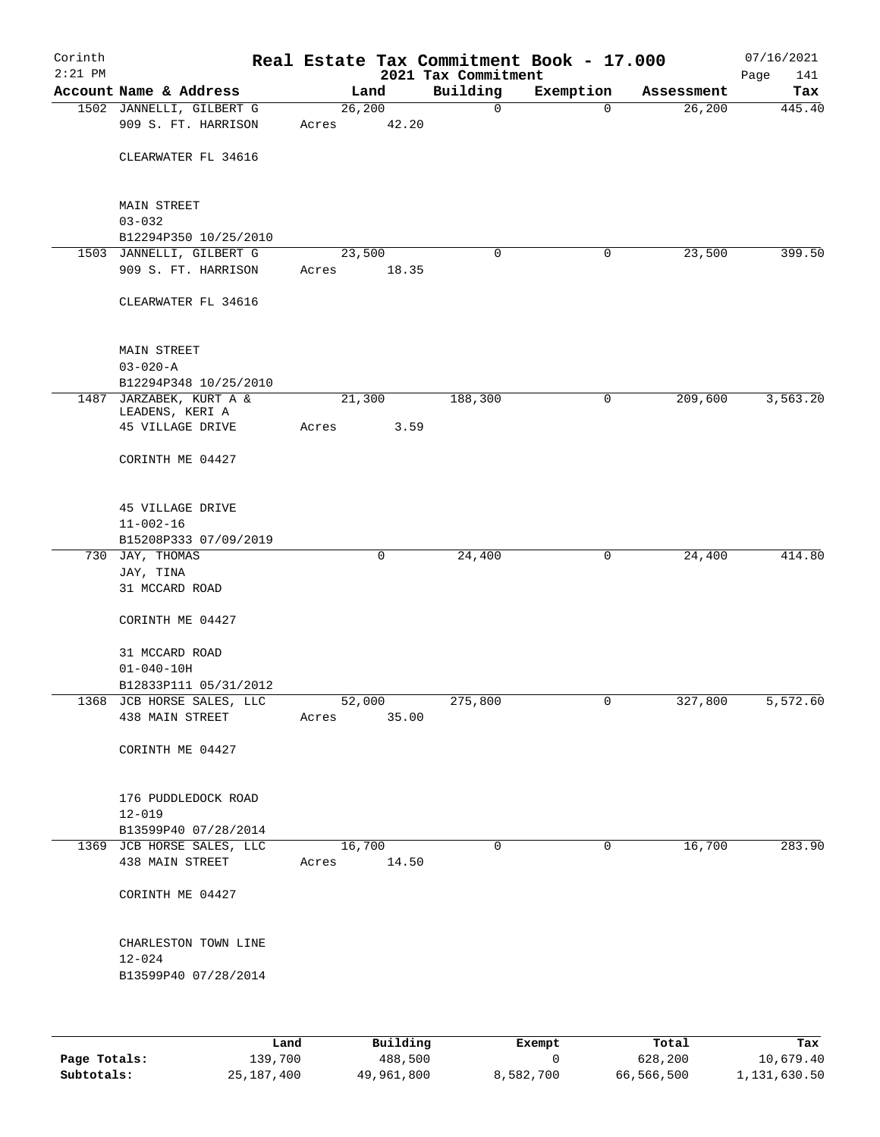| Corinth<br>$2:21$ PM |                                                   |       |                 | 2021 Tax Commitment | Real Estate Tax Commitment Book - 17.000 |            | 07/16/2021<br>Page<br>141 |
|----------------------|---------------------------------------------------|-------|-----------------|---------------------|------------------------------------------|------------|---------------------------|
|                      | Account Name & Address                            |       | Land            | Building            | Exemption                                | Assessment | Tax                       |
|                      | 1502 JANNELLI, GILBERT G                          |       | 26, 200         | 0                   | $\mathbf 0$                              | 26,200     | 445.40                    |
|                      | 909 S. FT. HARRISON                               | Acres | 42.20           |                     |                                          |            |                           |
|                      | CLEARWATER FL 34616                               |       |                 |                     |                                          |            |                           |
|                      | <b>MAIN STREET</b>                                |       |                 |                     |                                          |            |                           |
|                      | $03 - 032$                                        |       |                 |                     |                                          |            |                           |
|                      | B12294P350 10/25/2010<br>1503 JANNELLI, GILBERT G |       | 23,500          | 0                   | 0                                        | 23,500     | 399.50                    |
|                      | 909 S. FT. HARRISON                               | Acres | 18.35           |                     |                                          |            |                           |
|                      | CLEARWATER FL 34616                               |       |                 |                     |                                          |            |                           |
|                      |                                                   |       |                 |                     |                                          |            |                           |
|                      | <b>MAIN STREET</b>                                |       |                 |                     |                                          |            |                           |
|                      | $03 - 020 - A$                                    |       |                 |                     |                                          |            |                           |
|                      | B12294P348 10/25/2010                             |       |                 |                     |                                          |            |                           |
|                      | 1487 JARZABEK, KURT A &                           |       | 21,300          | 188,300             | 0                                        | 209,600    | 3,563.20                  |
|                      | LEADENS, KERI A<br>45 VILLAGE DRIVE               | Acres | 3.59            |                     |                                          |            |                           |
|                      | CORINTH ME 04427                                  |       |                 |                     |                                          |            |                           |
|                      |                                                   |       |                 |                     |                                          |            |                           |
|                      | 45 VILLAGE DRIVE                                  |       |                 |                     |                                          |            |                           |
|                      | $11 - 002 - 16$                                   |       |                 |                     |                                          |            |                           |
|                      | B15208P333 07/09/2019                             |       |                 |                     |                                          |            |                           |
|                      | 730 JAY, THOMAS                                   |       | 0               | 24,400              | 0                                        | 24,400     | 414.80                    |
|                      | JAY, TINA<br>31 MCCARD ROAD                       |       |                 |                     |                                          |            |                           |
|                      | CORINTH ME 04427                                  |       |                 |                     |                                          |            |                           |
|                      | 31 MCCARD ROAD                                    |       |                 |                     |                                          |            |                           |
|                      | $01 - 040 - 10H$                                  |       |                 |                     |                                          |            |                           |
|                      | B12833P111 05/31/2012                             |       |                 |                     |                                          |            |                           |
|                      | 1368 JCB HORSE SALES, LLC                         |       | 52,000          | 275,800             | $\overline{0}$                           | 327,800    | 5,572.60                  |
|                      | 438 MAIN STREET                                   | Acres | 35.00           |                     |                                          |            |                           |
|                      | CORINTH ME 04427                                  |       |                 |                     |                                          |            |                           |
|                      | 176 PUDDLEDOCK ROAD                               |       |                 |                     |                                          |            |                           |
|                      | $12 - 019$                                        |       |                 |                     |                                          |            |                           |
|                      | B13599P40 07/28/2014                              |       |                 |                     |                                          |            |                           |
|                      | 1369 JCB HORSE SALES, LLC<br>438 MAIN STREET      | Acres | 16,700<br>14.50 | 0                   | $\mathbf 0$                              | 16,700     | 283.90                    |
|                      | CORINTH ME 04427                                  |       |                 |                     |                                          |            |                           |
|                      | CHARLESTON TOWN LINE                              |       |                 |                     |                                          |            |                           |
|                      | $12 - 024$                                        |       |                 |                     |                                          |            |                           |
|                      | B13599P40 07/28/2014                              |       |                 |                     |                                          |            |                           |
|                      |                                                   |       |                 |                     |                                          |            |                           |
|                      | Land                                              |       | Building        |                     | Exempt                                   | Total      | Tax                       |

|              | Land         | Building   | Exempt    | Total      | Tax          |
|--------------|--------------|------------|-----------|------------|--------------|
| Page Totals: | 139,700      | 488,500    |           | 628,200    | 10,679.40    |
| Subtotals:   | 25, 187, 400 | 49,961,800 | 8,582,700 | 66,566,500 | 1,131,630.50 |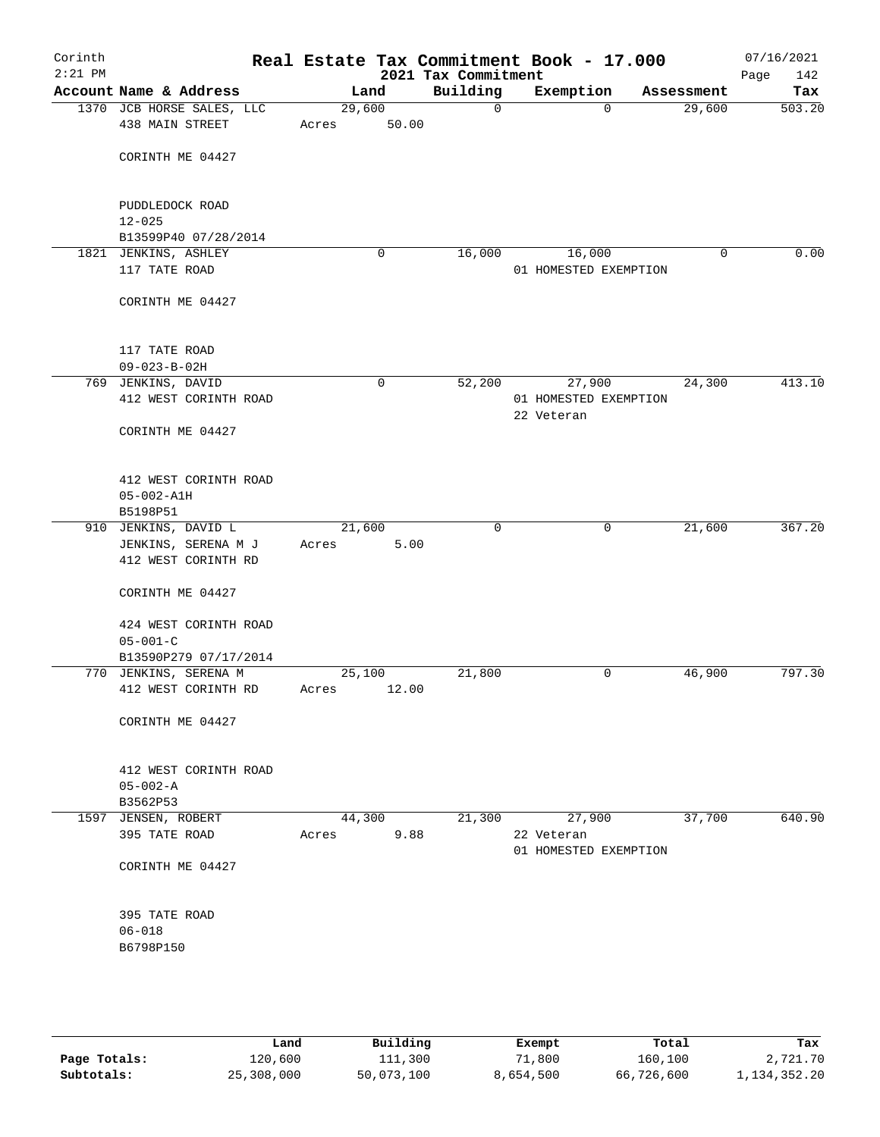| Corinth<br>$2:21$ PM |                                              |                 |             | Real Estate Tax Commitment Book - 17.000<br>2021 Tax Commitment |                      |                       |             | 07/16/2021<br>142<br>Page |
|----------------------|----------------------------------------------|-----------------|-------------|-----------------------------------------------------------------|----------------------|-----------------------|-------------|---------------------------|
|                      | Account Name & Address                       | Land            |             | Building                                                        | Exemption            |                       | Assessment  | Tax                       |
|                      | 1370 JCB HORSE SALES, LLC<br>438 MAIN STREET | 29,600<br>Acres | 50.00       | $\mathsf{O}$                                                    |                      | $\Omega$              | 29,600      | 503.20                    |
|                      | CORINTH ME 04427                             |                 |             |                                                                 |                      |                       |             |                           |
|                      | PUDDLEDOCK ROAD<br>$12 - 025$                |                 |             |                                                                 |                      |                       |             |                           |
|                      | B13599P40 07/28/2014                         |                 |             |                                                                 |                      |                       |             |                           |
|                      | 1821 JENKINS, ASHLEY                         |                 | $\mathbf 0$ | 16,000                                                          | 16,000               |                       | $\mathbf 0$ | 0.00                      |
|                      | 117 TATE ROAD                                |                 |             |                                                                 |                      | 01 HOMESTED EXEMPTION |             |                           |
|                      | CORINTH ME 04427                             |                 |             |                                                                 |                      |                       |             |                           |
|                      | 117 TATE ROAD                                |                 |             |                                                                 |                      |                       |             |                           |
|                      | $09 - 023 - B - 02H$                         |                 |             |                                                                 |                      |                       |             |                           |
|                      | 769 JENKINS, DAVID<br>412 WEST CORINTH ROAD  |                 | $\mathbf 0$ | 52,200                                                          | 27,900<br>22 Veteran | 01 HOMESTED EXEMPTION | 24,300      | 413.10                    |
|                      | CORINTH ME 04427                             |                 |             |                                                                 |                      |                       |             |                           |
|                      | 412 WEST CORINTH ROAD                        |                 |             |                                                                 |                      |                       |             |                           |
|                      | $05 - 002 - A1H$<br>B5198P51                 |                 |             |                                                                 |                      |                       |             |                           |
|                      | 910 JENKINS, DAVID L                         | 21,600          |             | $\mathbf 0$                                                     |                      | 0                     | 21,600      | 367.20                    |
|                      | JENKINS, SERENA M J                          | Acres           | 5.00        |                                                                 |                      |                       |             |                           |
|                      | 412 WEST CORINTH RD                          |                 |             |                                                                 |                      |                       |             |                           |
|                      | CORINTH ME 04427                             |                 |             |                                                                 |                      |                       |             |                           |
|                      | 424 WEST CORINTH ROAD<br>$05 - 001 - C$      |                 |             |                                                                 |                      |                       |             |                           |
|                      | B13590P279 07/17/2014                        |                 |             |                                                                 |                      |                       |             |                           |
|                      | 770 JENKINS, SERENA M                        | 25,100          |             | 21,800                                                          |                      | 0                     | 46,900      | 797.30                    |
|                      | 412 WEST CORINTH RD                          | Acres           | 12.00       |                                                                 |                      |                       |             |                           |
|                      | CORINTH ME 04427                             |                 |             |                                                                 |                      |                       |             |                           |
|                      | 412 WEST CORINTH ROAD                        |                 |             |                                                                 |                      |                       |             |                           |
|                      | $05 - 002 - A$<br>B3562P53                   |                 |             |                                                                 |                      |                       |             |                           |
|                      | 1597 JENSEN, ROBERT                          | 44,300          |             | 21,300                                                          | 27,900               |                       | 37,700      | 640.90                    |
|                      | 395 TATE ROAD                                | Acres           | 9.88        |                                                                 | 22 Veteran           | 01 HOMESTED EXEMPTION |             |                           |
|                      | CORINTH ME 04427                             |                 |             |                                                                 |                      |                       |             |                           |
|                      | 395 TATE ROAD                                |                 |             |                                                                 |                      |                       |             |                           |
|                      | $06 - 018$<br>B6798P150                      |                 |             |                                                                 |                      |                       |             |                           |
|                      |                                              |                 |             |                                                                 |                      |                       |             |                           |

|              | Land       | Building   | Exempt    | Total      | Tax          |
|--------------|------------|------------|-----------|------------|--------------|
|              |            |            |           |            |              |
| Page Totals: | 120,600    | 111,300    | 71,800    | 160,100    | 2,721.70     |
| Subtotals:   | 25,308,000 | 50,073,100 | 8,654,500 | 66,726,600 | 1,134,352.20 |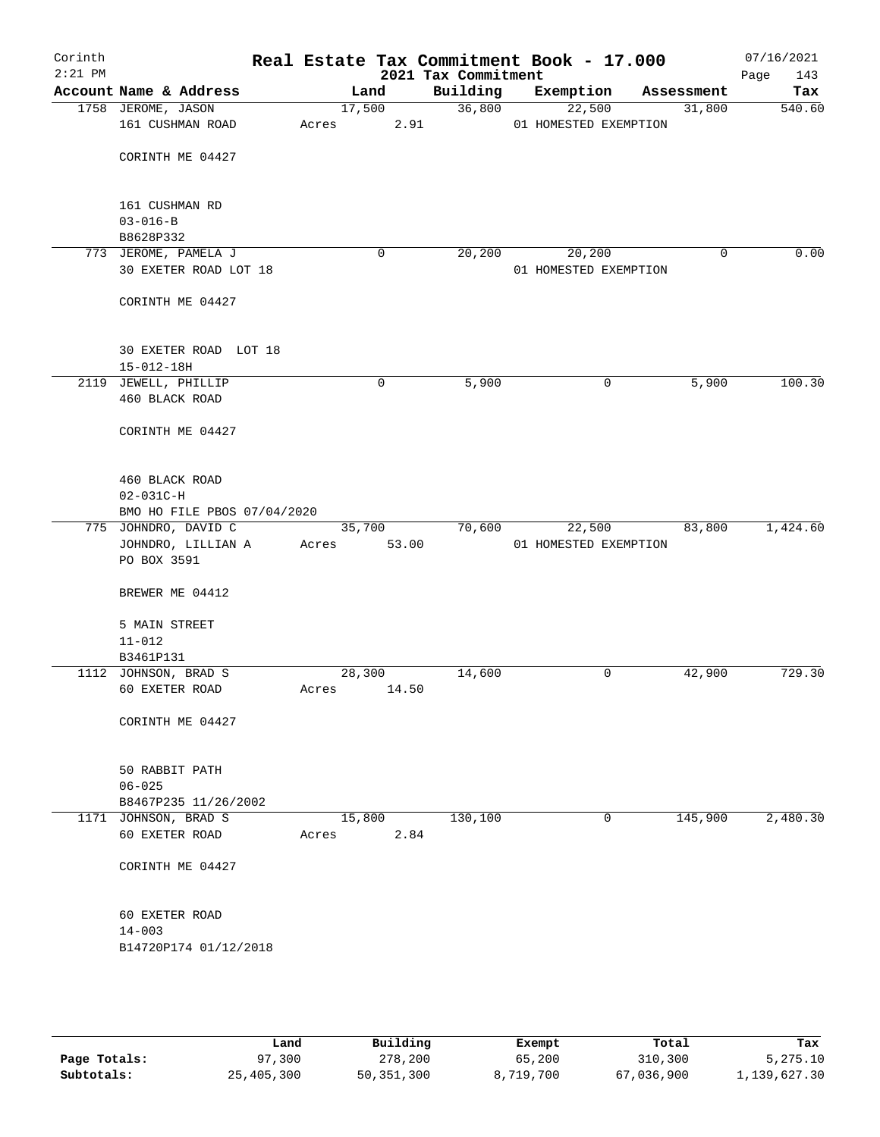| Corinth<br>$2:21$ PM |                                                |             |                | 2021 Tax Commitment | Real Estate Tax Commitment Book - 17.000 |   |            | 07/16/2021<br>Page<br>143 |
|----------------------|------------------------------------------------|-------------|----------------|---------------------|------------------------------------------|---|------------|---------------------------|
|                      | Account Name & Address                         |             | Land           | Building            | Exemption                                |   | Assessment | Tax                       |
|                      | 1758 JEROME, JASON                             |             | 17,500         | 36,800              | 22,500                                   |   | 31,800     | 540.60                    |
|                      | 161 CUSHMAN ROAD                               | Acres       | 2.91           |                     | 01 HOMESTED EXEMPTION                    |   |            |                           |
|                      |                                                |             |                |                     |                                          |   |            |                           |
|                      | CORINTH ME 04427                               |             |                |                     |                                          |   |            |                           |
|                      |                                                |             |                |                     |                                          |   |            |                           |
|                      | 161 CUSHMAN RD                                 |             |                |                     |                                          |   |            |                           |
|                      | $03 - 016 - B$                                 |             |                |                     |                                          |   |            |                           |
|                      | B8628P332                                      |             |                |                     |                                          |   |            |                           |
|                      | 773 JEROME, PAMELA J<br>30 EXETER ROAD LOT 18  |             | 0              | 20,200              | 20,200<br>01 HOMESTED EXEMPTION          |   | 0          | 0.00                      |
|                      |                                                |             |                |                     |                                          |   |            |                           |
|                      | CORINTH ME 04427                               |             |                |                     |                                          |   |            |                           |
|                      |                                                |             |                |                     |                                          |   |            |                           |
|                      |                                                |             |                |                     |                                          |   |            |                           |
|                      | 30 EXETER ROAD LOT 18                          |             |                |                     |                                          |   |            |                           |
|                      | $15 - 012 - 18H$<br>2119 JEWELL, PHILLIP       |             |                | 5,900               |                                          |   | 5,900      | 100.30                    |
|                      | 460 BLACK ROAD                                 |             | 0              |                     |                                          | 0 |            |                           |
|                      |                                                |             |                |                     |                                          |   |            |                           |
|                      | CORINTH ME 04427                               |             |                |                     |                                          |   |            |                           |
|                      |                                                |             |                |                     |                                          |   |            |                           |
|                      |                                                |             |                |                     |                                          |   |            |                           |
|                      | 460 BLACK ROAD                                 |             |                |                     |                                          |   |            |                           |
|                      | $02 - 031C - H$<br>BMO HO FILE PBOS 07/04/2020 |             |                |                     |                                          |   |            |                           |
|                      | 775 JOHNDRO, DAVID C                           |             | 35,700         | 70,600              | 22,500                                   |   | 83,800     | 1,424.60                  |
|                      | JOHNDRO, LILLIAN A                             | Acres       | 53.00          |                     | 01 HOMESTED EXEMPTION                    |   |            |                           |
|                      | PO BOX 3591                                    |             |                |                     |                                          |   |            |                           |
|                      |                                                |             |                |                     |                                          |   |            |                           |
|                      | BREWER ME 04412                                |             |                |                     |                                          |   |            |                           |
|                      | 5 MAIN STREET                                  |             |                |                     |                                          |   |            |                           |
|                      | $11 - 012$                                     |             |                |                     |                                          |   |            |                           |
|                      | B3461P131                                      |             |                |                     |                                          |   |            |                           |
|                      | 1112 JOHNSON, BRAD S                           |             | 28,300         | 14,600              |                                          | 0 | 42,900     | 729.30                    |
|                      | 60 EXETER ROAD                                 | Acres 14.50 |                |                     |                                          |   |            |                           |
|                      | CORINTH ME 04427                               |             |                |                     |                                          |   |            |                           |
|                      |                                                |             |                |                     |                                          |   |            |                           |
|                      |                                                |             |                |                     |                                          |   |            |                           |
|                      | 50 RABBIT PATH                                 |             |                |                     |                                          |   |            |                           |
|                      | $06 - 025$                                     |             |                |                     |                                          |   |            |                           |
|                      | B8467P235 11/26/2002                           |             |                |                     |                                          |   |            |                           |
|                      | 1171 JOHNSON, BRAD S<br>60 EXETER ROAD         |             | 15,800<br>2.84 | 130,100             |                                          | 0 | 145,900    | 2,480.30                  |
|                      |                                                | Acres       |                |                     |                                          |   |            |                           |
|                      | CORINTH ME 04427                               |             |                |                     |                                          |   |            |                           |
|                      |                                                |             |                |                     |                                          |   |            |                           |
|                      |                                                |             |                |                     |                                          |   |            |                           |
|                      | 60 EXETER ROAD                                 |             |                |                     |                                          |   |            |                           |
|                      | $14 - 003$<br>B14720P174 01/12/2018            |             |                |                     |                                          |   |            |                           |
|                      |                                                |             |                |                     |                                          |   |            |                           |
|                      |                                                |             |                |                     |                                          |   |            |                           |
|                      |                                                |             |                |                     |                                          |   |            |                           |
|                      |                                                |             |                |                     |                                          |   |            |                           |

|              | Land       | Building   | Exempt    | Total      | Tax          |
|--------------|------------|------------|-----------|------------|--------------|
| Page Totals: | 97,300     | 278,200    | 65,200    | 310,300    | 5,275.10     |
| Subtotals:   | 25,405,300 | 50,351,300 | 8,719,700 | 67,036,900 | 1,139,627.30 |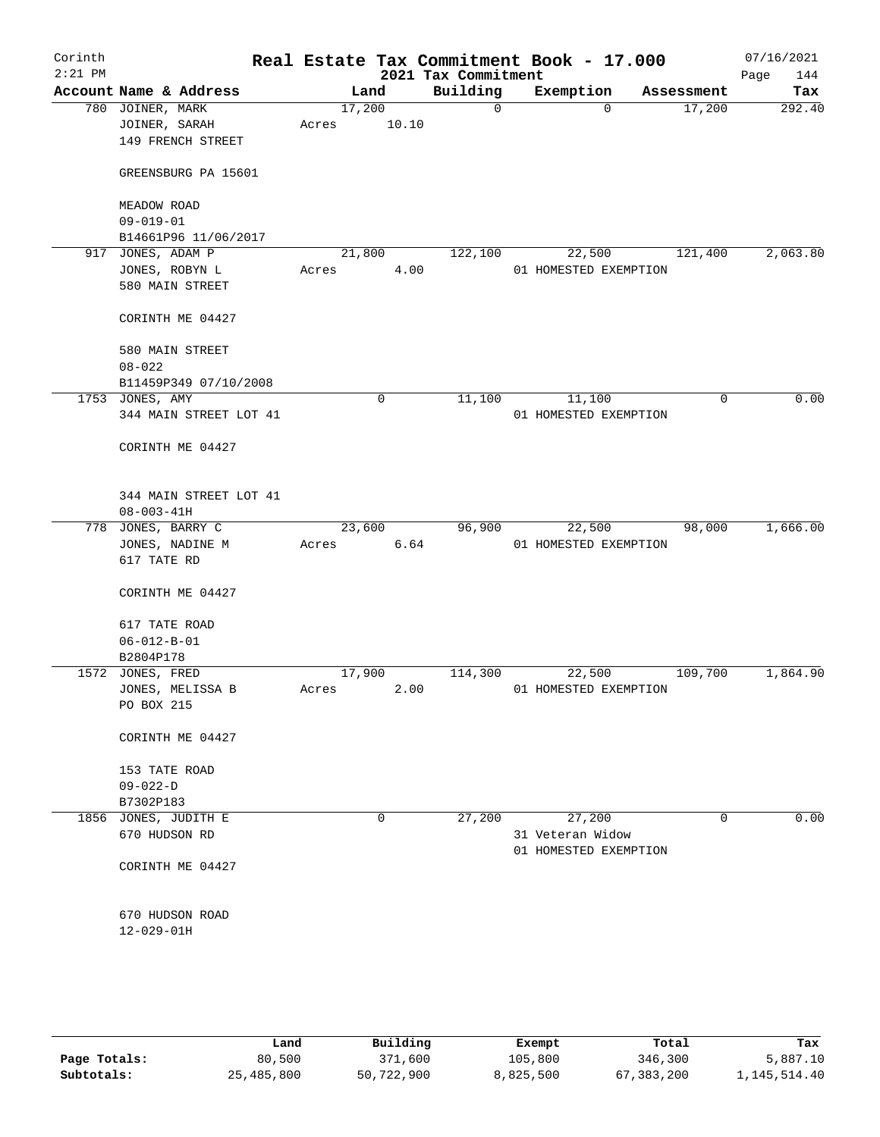| Corinth<br>$2:21$ PM |                                                        |       |                 | Real Estate Tax Commitment Book - 17.000<br>2021 Tax Commitment |                                           |            | 07/16/2021<br>Page<br>144 |
|----------------------|--------------------------------------------------------|-------|-----------------|-----------------------------------------------------------------|-------------------------------------------|------------|---------------------------|
|                      | Account Name & Address                                 |       | Land            | Building                                                        | Exemption                                 | Assessment | Tax                       |
|                      | 780 JOINER, MARK<br>JOINER, SARAH<br>149 FRENCH STREET | Acres | 17,200<br>10.10 | $\mathbf 0$                                                     | $\mathbf 0$                               | 17,200     | 292.40                    |
|                      | GREENSBURG PA 15601                                    |       |                 |                                                                 |                                           |            |                           |
|                      | MEADOW ROAD<br>$09 - 019 - 01$                         |       |                 |                                                                 |                                           |            |                           |
|                      | B14661P96 11/06/2017                                   |       |                 |                                                                 |                                           |            |                           |
|                      | 917 JONES, ADAM P                                      |       | 21,800          | 122,100                                                         | 22,500                                    | 121,400    | 2,063.80                  |
|                      | JONES, ROBYN L<br>580 MAIN STREET                      | Acres | 4.00            |                                                                 | 01 HOMESTED EXEMPTION                     |            |                           |
|                      | CORINTH ME 04427                                       |       |                 |                                                                 |                                           |            |                           |
|                      | 580 MAIN STREET<br>$08 - 022$                          |       |                 |                                                                 |                                           |            |                           |
|                      | B11459P349 07/10/2008                                  |       |                 |                                                                 |                                           |            |                           |
|                      | 1753 JONES, AMY                                        |       | $\mathbf 0$     | 11,100                                                          | 11,100                                    |            | 0.00<br>0                 |
|                      | 344 MAIN STREET LOT 41                                 |       |                 |                                                                 | 01 HOMESTED EXEMPTION                     |            |                           |
|                      | CORINTH ME 04427                                       |       |                 |                                                                 |                                           |            |                           |
|                      | 344 MAIN STREET LOT 41<br>$08 - 003 - 41H$             |       |                 |                                                                 |                                           |            |                           |
|                      | 778 JONES, BARRY C                                     |       | 23,600          | 96,900                                                          | 22,500                                    | 98,000     | 1,666.00                  |
|                      | JONES, NADINE M<br>617 TATE RD                         | Acres | 6.64            |                                                                 | 01 HOMESTED EXEMPTION                     |            |                           |
|                      | CORINTH ME 04427                                       |       |                 |                                                                 |                                           |            |                           |
|                      | 617 TATE ROAD<br>$06 - 012 - B - 01$                   |       |                 |                                                                 |                                           |            |                           |
|                      | B2804P178                                              |       |                 |                                                                 |                                           |            |                           |
|                      | 1572 JONES, FRED                                       |       | 17,900          | 114,300                                                         | 22,500                                    | 109,700    | 1,864.90                  |
|                      | JONES, MELISSA B                                       | Acres | 2.00            |                                                                 | 01 HOMESTED EXEMPTION                     |            |                           |
|                      | PO BOX 215                                             |       |                 |                                                                 |                                           |            |                           |
|                      | CORINTH ME 04427                                       |       |                 |                                                                 |                                           |            |                           |
|                      | 153 TATE ROAD<br>$09 - 022 - D$                        |       |                 |                                                                 |                                           |            |                           |
|                      | B7302P183                                              |       |                 |                                                                 |                                           |            |                           |
|                      | 1856 JONES, JUDITH E                                   |       | 0               | 27,200                                                          | 27,200                                    |            | 0.00<br>0                 |
|                      | 670 HUDSON RD                                          |       |                 |                                                                 | 31 Veteran Widow<br>01 HOMESTED EXEMPTION |            |                           |
|                      | CORINTH ME 04427                                       |       |                 |                                                                 |                                           |            |                           |
|                      | 670 HUDSON ROAD                                        |       |                 |                                                                 |                                           |            |                           |
|                      | 12-029-01H                                             |       |                 |                                                                 |                                           |            |                           |
|                      |                                                        |       |                 |                                                                 |                                           |            |                           |

|              | Land       | Building   | Exempt    | Total      | Tax          |
|--------------|------------|------------|-----------|------------|--------------|
| Page Totals: | 80,500     | 371,600    | 105,800   | 346,300    | 5,887.10     |
| Subtotals:   | 25,485,800 | 50,722,900 | 8,825,500 | 67,383,200 | 1,145,514.40 |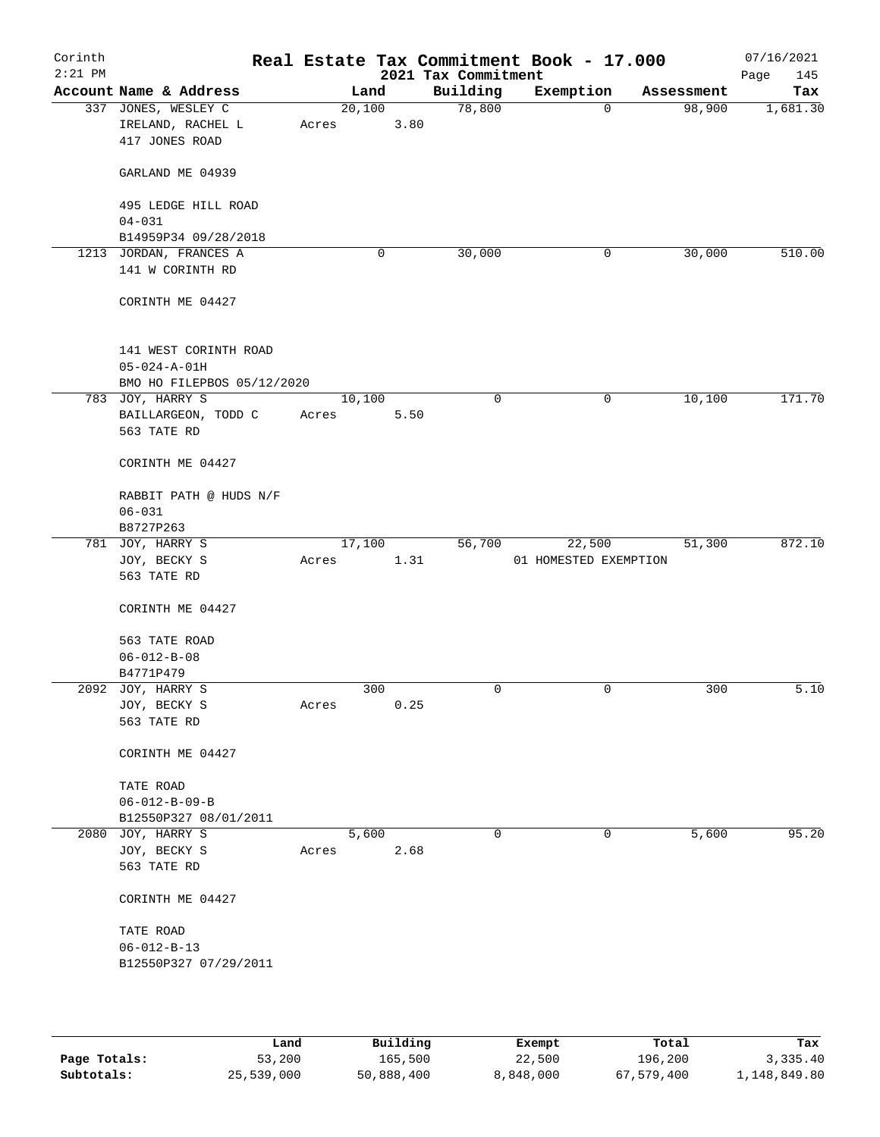| Corinth<br>$2:21$ PM |                                                                             |       |        | 2021 Tax Commitment | Real Estate Tax Commitment Book - 17.000 |            | 07/16/2021<br>Page<br>145 |
|----------------------|-----------------------------------------------------------------------------|-------|--------|---------------------|------------------------------------------|------------|---------------------------|
|                      | Account Name & Address                                                      |       | Land   | Building            | Exemption                                | Assessment | Tax                       |
|                      | 337 JONES, WESLEY C<br>IRELAND, RACHEL L<br>417 JONES ROAD                  | Acres | 20,100 | 78,800<br>3.80      | $\mathbf 0$                              | 98,900     | 1,681.30                  |
|                      | GARLAND ME 04939                                                            |       |        |                     |                                          |            |                           |
|                      | 495 LEDGE HILL ROAD<br>$04 - 031$                                           |       |        |                     |                                          |            |                           |
|                      | B14959P34 09/28/2018                                                        |       |        |                     |                                          |            |                           |
|                      | 1213 JORDAN, FRANCES A                                                      |       | 0      | 30,000              | 0                                        | 30,000     | 510.00                    |
|                      | 141 W CORINTH RD                                                            |       |        |                     |                                          |            |                           |
|                      | CORINTH ME 04427                                                            |       |        |                     |                                          |            |                           |
|                      | 141 WEST CORINTH ROAD<br>$05 - 024 - A - 01H$<br>BMO HO FILEPBOS 05/12/2020 |       |        |                     |                                          |            |                           |
|                      | 783 JOY, HARRY S                                                            |       | 10,100 | $\mathbf 0$         | 0                                        | 10,100     | 171.70                    |
|                      | BAILLARGEON, TODD C                                                         | Acres |        | 5.50                |                                          |            |                           |
|                      | 563 TATE RD                                                                 |       |        |                     |                                          |            |                           |
|                      | CORINTH ME 04427                                                            |       |        |                     |                                          |            |                           |
|                      | RABBIT PATH @ HUDS N/F                                                      |       |        |                     |                                          |            |                           |
|                      | $06 - 031$                                                                  |       |        |                     |                                          |            |                           |
|                      | B8727P263                                                                   |       |        |                     |                                          |            |                           |
|                      | 781 JOY, HARRY S                                                            |       | 17,100 | 56,700              | 22,500                                   | 51,300     | 872.10                    |
|                      | JOY, BECKY S                                                                | Acres |        | 1.31                | 01 HOMESTED EXEMPTION                    |            |                           |
|                      | 563 TATE RD                                                                 |       |        |                     |                                          |            |                           |
|                      | CORINTH ME 04427                                                            |       |        |                     |                                          |            |                           |
|                      | 563 TATE ROAD                                                               |       |        |                     |                                          |            |                           |
|                      | $06 - 012 - B - 08$                                                         |       |        |                     |                                          |            |                           |
|                      | B4771P479                                                                   |       |        |                     |                                          |            |                           |
|                      | 2092 JOY, HARRY S                                                           |       | 300    | $\mathbf 0$         | $\mathbf 0$                              | 300        | 5.10                      |
|                      | JOY, BECKY S                                                                | Acres |        | 0.25                |                                          |            |                           |
|                      | 563 TATE RD                                                                 |       |        |                     |                                          |            |                           |
|                      | CORINTH ME 04427                                                            |       |        |                     |                                          |            |                           |
|                      | TATE ROAD                                                                   |       |        |                     |                                          |            |                           |
|                      | $06 - 012 - B - 09 - B$                                                     |       |        |                     |                                          |            |                           |
|                      | B12550P327 08/01/2011                                                       |       |        |                     |                                          |            |                           |
|                      | 2080 JOY, HARRY S                                                           |       | 5,600  | $\mathbf 0$         | 0                                        | 5,600      | 95.20                     |
|                      | JOY, BECKY S                                                                | Acres |        | 2.68                |                                          |            |                           |
|                      | 563 TATE RD                                                                 |       |        |                     |                                          |            |                           |
|                      | CORINTH ME 04427                                                            |       |        |                     |                                          |            |                           |
|                      | TATE ROAD                                                                   |       |        |                     |                                          |            |                           |
|                      | $06 - 012 - B - 13$                                                         |       |        |                     |                                          |            |                           |
|                      | B12550P327 07/29/2011                                                       |       |        |                     |                                          |            |                           |
|                      |                                                                             |       |        |                     |                                          |            |                           |
|                      |                                                                             |       |        |                     |                                          |            |                           |
|                      |                                                                             |       |        |                     |                                          |            |                           |

|              | Land       | Building   | Exempt    | Total      | Tax          |
|--------------|------------|------------|-----------|------------|--------------|
| Page Totals: | 53,200     | 165,500    | 22,500    | 196,200    | 3,335.40     |
| Subtotals:   | 25,539,000 | 50,888,400 | 8,848,000 | 67,579,400 | 1,148,849.80 |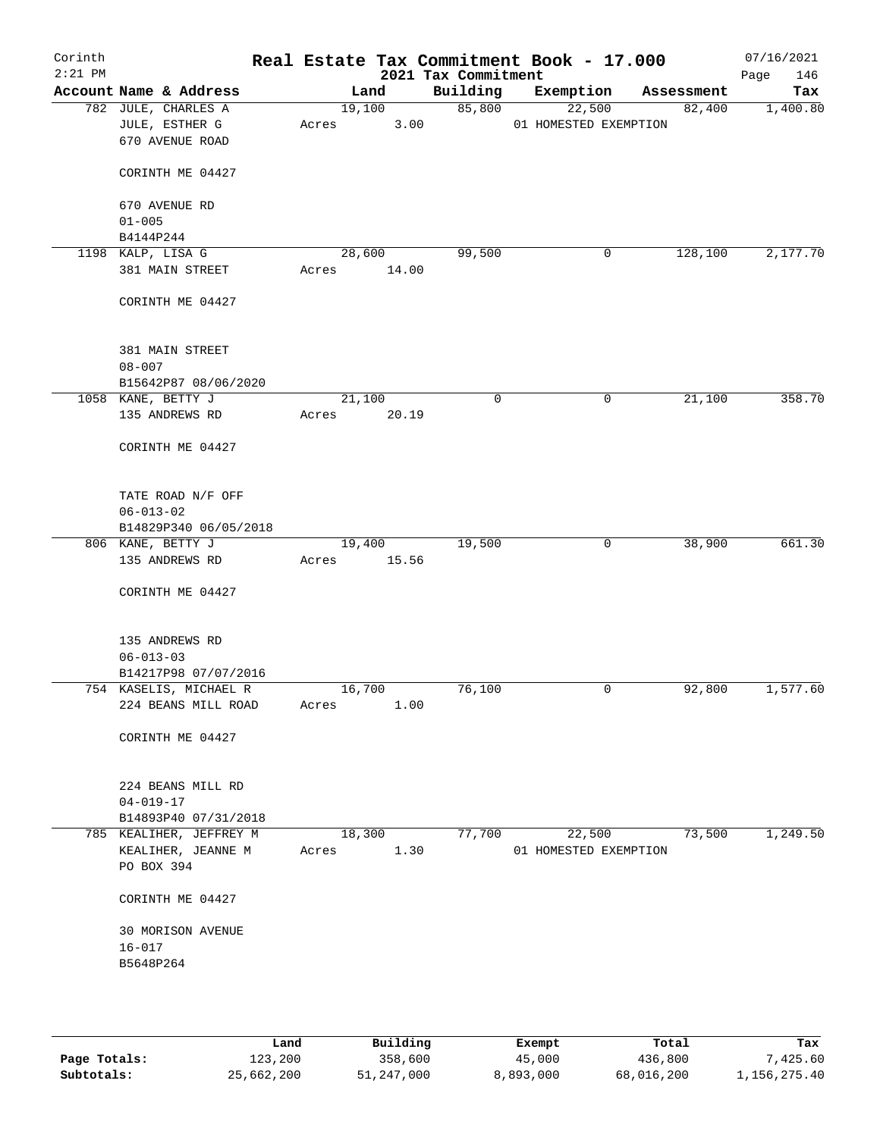| Corinth<br>$2:21$ PM |                                                          |                 | 2021 Tax Commitment | Real Estate Tax Commitment Book - 17.000 |            | 07/16/2021<br>146<br>Page |
|----------------------|----------------------------------------------------------|-----------------|---------------------|------------------------------------------|------------|---------------------------|
|                      | Account Name & Address                                   | Land            | Building            | Exemption                                | Assessment | Tax                       |
|                      | 782 JULE, CHARLES A<br>JULE, ESTHER G<br>670 AVENUE ROAD | 19,100<br>Acres | 85,800<br>3.00      | 22,500<br>01 HOMESTED EXEMPTION          | 82,400     | 1,400.80                  |
|                      | CORINTH ME 04427                                         |                 |                     |                                          |            |                           |
|                      | 670 AVENUE RD<br>$01 - 005$                              |                 |                     |                                          |            |                           |
|                      | B4144P244                                                |                 |                     |                                          |            |                           |
|                      | 1198 KALP, LISA G                                        | 28,600          | 99,500              | 0                                        | 128,100    | 2,177.70                  |
|                      | 381 MAIN STREET                                          | Acres           | 14.00               |                                          |            |                           |
|                      | CORINTH ME 04427                                         |                 |                     |                                          |            |                           |
|                      | 381 MAIN STREET<br>$08 - 007$                            |                 |                     |                                          |            |                           |
|                      | B15642P87 08/06/2020                                     |                 |                     |                                          |            |                           |
|                      | 1058 KANE, BETTY J                                       | 21,100          | 0                   | 0                                        | 21,100     | 358.70                    |
|                      | 135 ANDREWS RD                                           | Acres           | 20.19               |                                          |            |                           |
|                      | CORINTH ME 04427                                         |                 |                     |                                          |            |                           |
|                      | TATE ROAD N/F OFF                                        |                 |                     |                                          |            |                           |
|                      | $06 - 013 - 02$                                          |                 |                     |                                          |            |                           |
|                      | B14829P340 06/05/2018                                    |                 |                     |                                          |            |                           |
|                      | 806 KANE, BETTY J                                        | 19,400          | 19,500              | 0                                        | 38,900     | 661.30                    |
|                      | 135 ANDREWS RD                                           | Acres           | 15.56               |                                          |            |                           |
|                      | CORINTH ME 04427                                         |                 |                     |                                          |            |                           |
|                      | 135 ANDREWS RD                                           |                 |                     |                                          |            |                           |
|                      | $06 - 013 - 03$                                          |                 |                     |                                          |            |                           |
|                      | B14217P98 07/07/2016                                     |                 |                     | 0                                        | 92,800     | 1,577.60                  |
|                      | 754 KASELIS, MICHAEL R<br>224 BEANS MILL ROAD            | 16,700<br>Acres | 76,100<br>1.00      |                                          |            |                           |
|                      | CORINTH ME 04427                                         |                 |                     |                                          |            |                           |
|                      | 224 BEANS MILL RD<br>$04 - 019 - 17$                     |                 |                     |                                          |            |                           |
|                      | B14893P40 07/31/2018                                     |                 |                     |                                          |            |                           |
|                      | 785 KEALIHER, JEFFREY M                                  | 18,300          | 77,700              | 22,500                                   | 73,500     | 1,249.50                  |
|                      | KEALIHER, JEANNE M<br>PO BOX 394                         | Acres           | 1.30                | 01 HOMESTED EXEMPTION                    |            |                           |
|                      | CORINTH ME 04427                                         |                 |                     |                                          |            |                           |
|                      | 30 MORISON AVENUE<br>$16 - 017$                          |                 |                     |                                          |            |                           |
|                      | B5648P264                                                |                 |                     |                                          |            |                           |
|                      |                                                          |                 |                     |                                          |            |                           |
|                      |                                                          |                 |                     |                                          |            |                           |

|              | Land       | Building   | Exempt    | Total      | Tax          |
|--------------|------------|------------|-----------|------------|--------------|
| Page Totals: | 123,200    | 358,600    | 45,000    | 436,800    | 7,425.60     |
| Subtotals:   | 25,662,200 | 51,247,000 | 8,893,000 | 68,016,200 | 1,156,275.40 |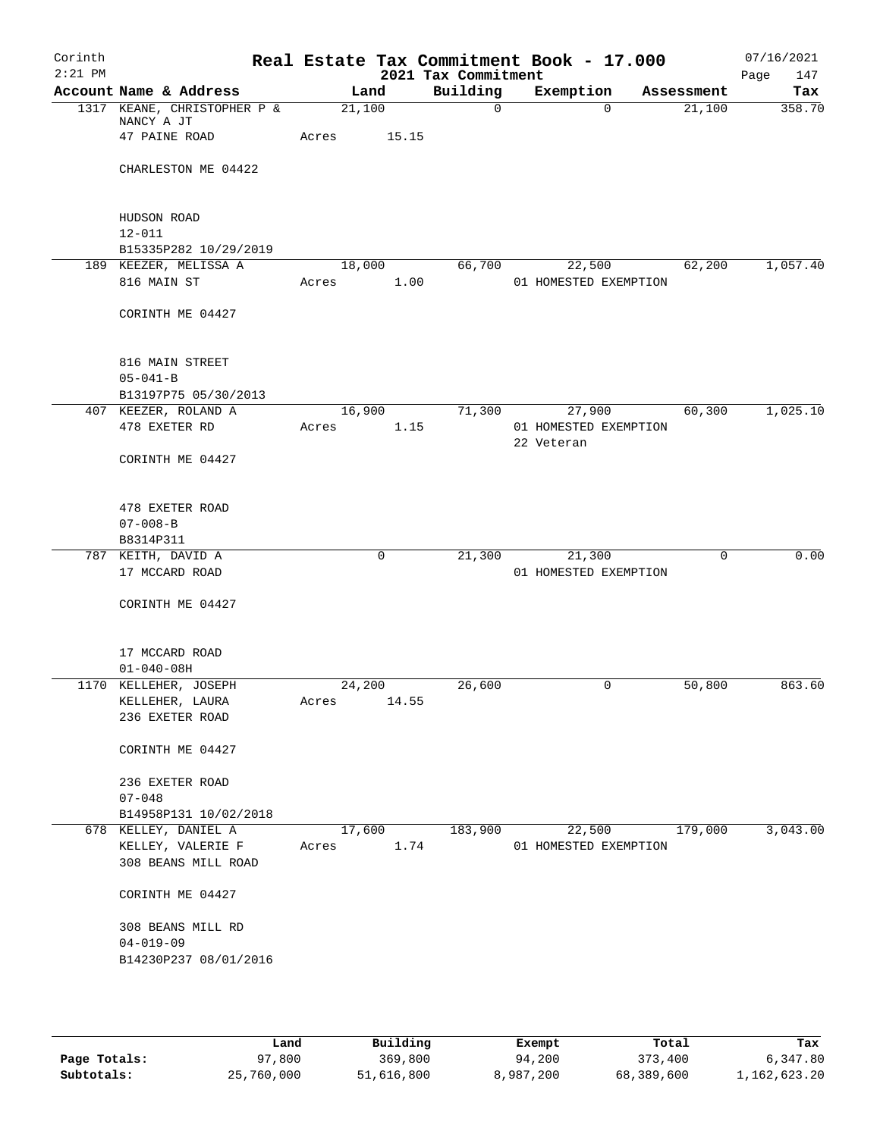| Corinth<br>$2:21$ PM |                                    |       |        | 2021 Tax Commitment | Real Estate Tax Commitment Book - 17.000 |            |         | 07/16/2021<br>Page<br>147 |
|----------------------|------------------------------------|-------|--------|---------------------|------------------------------------------|------------|---------|---------------------------|
|                      | Account Name & Address             |       | Land   | Building            | Exemption                                | Assessment |         | Tax                       |
|                      | 1317 KEANE, CHRISTOPHER P &        |       | 21,100 | $\mathbf 0$         | $\Omega$                                 |            | 21,100  | 358.70                    |
|                      | NANCY A JT<br>47 PAINE ROAD        | Acres | 15.15  |                     |                                          |            |         |                           |
|                      | CHARLESTON ME 04422                |       |        |                     |                                          |            |         |                           |
|                      | HUDSON ROAD                        |       |        |                     |                                          |            |         |                           |
|                      | $12 - 011$                         |       |        |                     |                                          |            |         |                           |
|                      | B15335P282 10/29/2019              |       |        |                     |                                          |            |         |                           |
|                      | 189 KEEZER, MELISSA A              |       | 18,000 | 66,700              | 22,500                                   |            | 62,200  | 1,057.40                  |
|                      | 816 MAIN ST                        | Acres | 1.00   |                     | 01 HOMESTED EXEMPTION                    |            |         |                           |
|                      | CORINTH ME 04427                   |       |        |                     |                                          |            |         |                           |
|                      | 816 MAIN STREET                    |       |        |                     |                                          |            |         |                           |
|                      | $05 - 041 - B$                     |       |        |                     |                                          |            |         |                           |
|                      | B13197P75 05/30/2013               |       |        |                     |                                          |            |         |                           |
|                      | 407 KEEZER, ROLAND A               |       | 16,900 | 71,300              | 27,900                                   |            | 60,300  | 1,025.10                  |
|                      | 478 EXETER RD                      | Acres | 1.15   |                     | 01 HOMESTED EXEMPTION<br>22 Veteran      |            |         |                           |
|                      | CORINTH ME 04427                   |       |        |                     |                                          |            |         |                           |
|                      | 478 EXETER ROAD                    |       |        |                     |                                          |            |         |                           |
|                      | $07 - 008 - B$                     |       |        |                     |                                          |            |         |                           |
|                      | B8314P311                          |       |        |                     |                                          |            |         |                           |
|                      | 787 KEITH, DAVID A                 |       | 0      | 21,300              | 21,300                                   |            | 0       | 0.00                      |
|                      | 17 MCCARD ROAD                     |       |        |                     | 01 HOMESTED EXEMPTION                    |            |         |                           |
|                      | CORINTH ME 04427                   |       |        |                     |                                          |            |         |                           |
|                      | 17 MCCARD ROAD                     |       |        |                     |                                          |            |         |                           |
|                      | $01 - 040 - 08H$                   |       |        |                     |                                          |            |         |                           |
|                      | 1170 KELLEHER, JOSEPH              |       | 24,200 | 26,600              | 0                                        |            | 50,800  | 863.60                    |
|                      | KELLEHER, LAURA<br>236 EXETER ROAD | Acres | 14.55  |                     |                                          |            |         |                           |
|                      | CORINTH ME 04427                   |       |        |                     |                                          |            |         |                           |
|                      | 236 EXETER ROAD                    |       |        |                     |                                          |            |         |                           |
|                      | $07 - 048$                         |       |        |                     |                                          |            |         |                           |
|                      | B14958P131 10/02/2018              |       |        |                     |                                          |            |         |                           |
|                      | 678 KELLEY, DANIEL A               |       | 17,600 | 183,900             | 22,500                                   |            | 179,000 | 3,043.00                  |
|                      | KELLEY, VALERIE F                  | Acres | 1.74   |                     | 01 HOMESTED EXEMPTION                    |            |         |                           |
|                      | 308 BEANS MILL ROAD                |       |        |                     |                                          |            |         |                           |
|                      | CORINTH ME 04427                   |       |        |                     |                                          |            |         |                           |
|                      | 308 BEANS MILL RD                  |       |        |                     |                                          |            |         |                           |
|                      | $04 - 019 - 09$                    |       |        |                     |                                          |            |         |                           |
|                      | B14230P237 08/01/2016              |       |        |                     |                                          |            |         |                           |
|                      |                                    |       |        |                     |                                          |            |         |                           |
|                      |                                    |       |        |                     |                                          |            |         |                           |

|              | Land       | Building   | Exempt    | Total      | Tax          |
|--------------|------------|------------|-----------|------------|--------------|
| Page Totals: | 97,800     | 369,800    | 94,200    | 373,400    | 6,347.80     |
| Subtotals:   | 25,760,000 | 51,616,800 | 8,987,200 | 68,389,600 | 1,162,623.20 |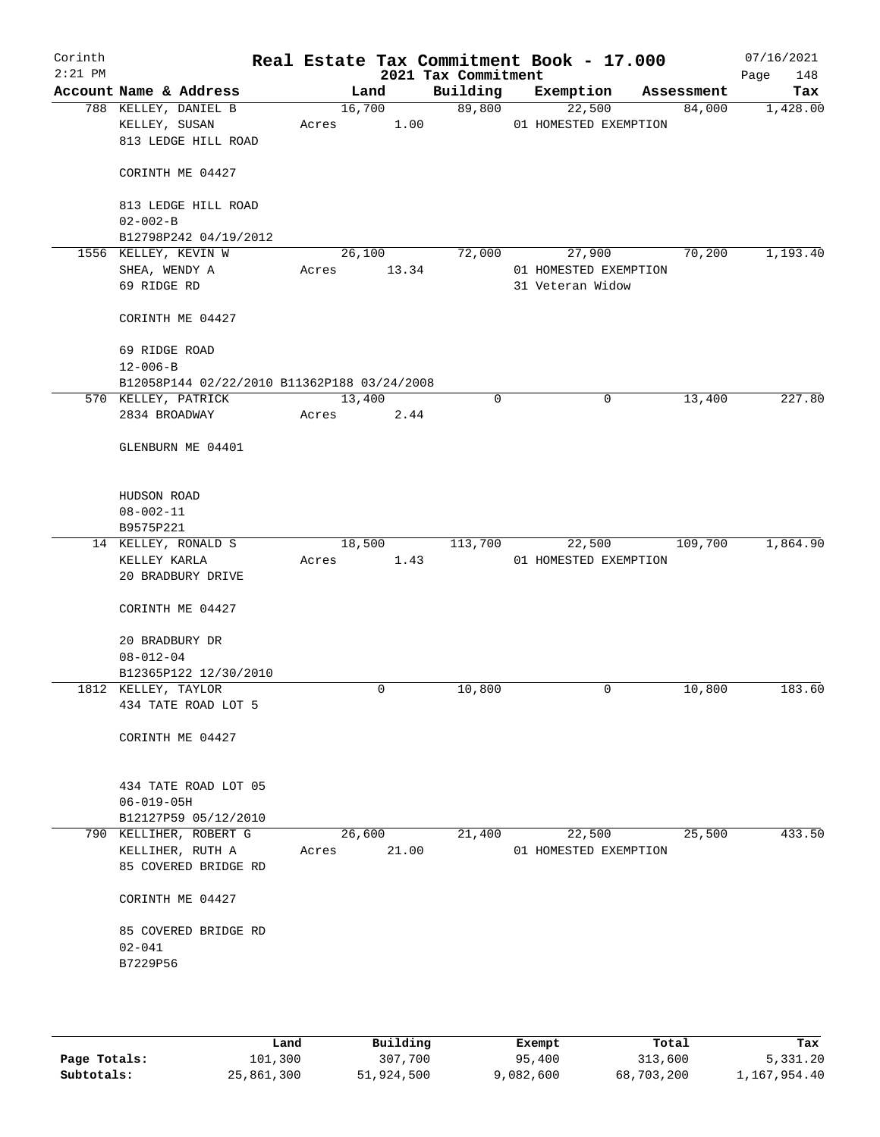| Corinth<br>$2:21$ PM |                                                                    |        |                | 2021 Tax Commitment | Real Estate Tax Commitment Book - 17.000 |            | 07/16/2021<br>Page<br>148 |
|----------------------|--------------------------------------------------------------------|--------|----------------|---------------------|------------------------------------------|------------|---------------------------|
|                      | Account Name & Address                                             | Land   |                | Building            | Exemption                                | Assessment | Tax                       |
|                      | 788 KELLEY, DANIEL B<br>KELLEY, SUSAN<br>813 LEDGE HILL ROAD       | Acres  | 16,700<br>1.00 | 89,800              | 22,500<br>01 HOMESTED EXEMPTION          | 84,000     | 1,428.00                  |
|                      | CORINTH ME 04427                                                   |        |                |                     |                                          |            |                           |
|                      | 813 LEDGE HILL ROAD<br>$02 - 002 - B$                              |        |                |                     |                                          |            |                           |
|                      | B12798P242 04/19/2012                                              |        |                |                     |                                          |            |                           |
|                      | 1556 KELLEY, KEVIN W                                               | 26,100 |                | 72,000              | 27,900                                   | 70,200     | 1,193.40                  |
|                      | SHEA, WENDY A                                                      | Acres  | 13.34          |                     | 01 HOMESTED EXEMPTION                    |            |                           |
|                      | 69 RIDGE RD                                                        |        |                |                     | 31 Veteran Widow                         |            |                           |
|                      | CORINTH ME 04427                                                   |        |                |                     |                                          |            |                           |
|                      | 69 RIDGE ROAD                                                      |        |                |                     |                                          |            |                           |
|                      | $12 - 006 - B$                                                     |        |                |                     |                                          |            |                           |
|                      | B12058P144 02/22/2010 B11362P188 03/24/2008<br>570 KELLEY, PATRICK | 13,400 |                | 0                   | $\mathbf 0$                              | 13,400     | 227.80                    |
|                      | 2834 BROADWAY                                                      | Acres  | 2.44           |                     |                                          |            |                           |
|                      | GLENBURN ME 04401                                                  |        |                |                     |                                          |            |                           |
|                      | HUDSON ROAD                                                        |        |                |                     |                                          |            |                           |
|                      | $08 - 002 - 11$                                                    |        |                |                     |                                          |            |                           |
|                      | B9575P221                                                          |        |                |                     |                                          |            |                           |
|                      | 14 KELLEY, RONALD S                                                | 18,500 |                | 113,700             | 22,500                                   | 109,700    | 1,864.90                  |
|                      | KELLEY KARLA<br>20 BRADBURY DRIVE                                  | Acres  | 1.43           |                     | 01 HOMESTED EXEMPTION                    |            |                           |
|                      | CORINTH ME 04427                                                   |        |                |                     |                                          |            |                           |
|                      | 20 BRADBURY DR<br>$08 - 012 - 04$                                  |        |                |                     |                                          |            |                           |
|                      | B12365P122 12/30/2010                                              |        |                |                     |                                          |            |                           |
|                      | 1812 KELLEY, TAYLOR                                                |        | 0              | 10,800              | $\mathbf 0$                              | 10,800     | 183.60                    |
|                      | 434 TATE ROAD LOT 5                                                |        |                |                     |                                          |            |                           |
|                      | CORINTH ME 04427                                                   |        |                |                     |                                          |            |                           |
|                      | 434 TATE ROAD LOT 05                                               |        |                |                     |                                          |            |                           |
|                      | $06 - 019 - 05H$                                                   |        |                |                     |                                          |            |                           |
|                      | B12127P59 05/12/2010                                               |        |                |                     |                                          |            |                           |
|                      | 790 KELLIHER, ROBERT G                                             | 26,600 |                | 21,400              | 22,500                                   | 25,500     | 433.50                    |
|                      | KELLIHER, RUTH A<br>85 COVERED BRIDGE RD                           | Acres  | 21.00          |                     | 01 HOMESTED EXEMPTION                    |            |                           |
|                      | CORINTH ME 04427                                                   |        |                |                     |                                          |            |                           |
|                      | 85 COVERED BRIDGE RD                                               |        |                |                     |                                          |            |                           |
|                      | $02 - 041$<br>B7229P56                                             |        |                |                     |                                          |            |                           |
|                      |                                                                    |        |                |                     |                                          |            |                           |

|              | Land       | Building   | Exempt    | Total      | Tax          |
|--------------|------------|------------|-----------|------------|--------------|
| Page Totals: | 101,300    | 307,700    | 95,400    | 313,600    | 5,331.20     |
| Subtotals:   | 25,861,300 | 51,924,500 | 9,082,600 | 68,703,200 | 1,167,954.40 |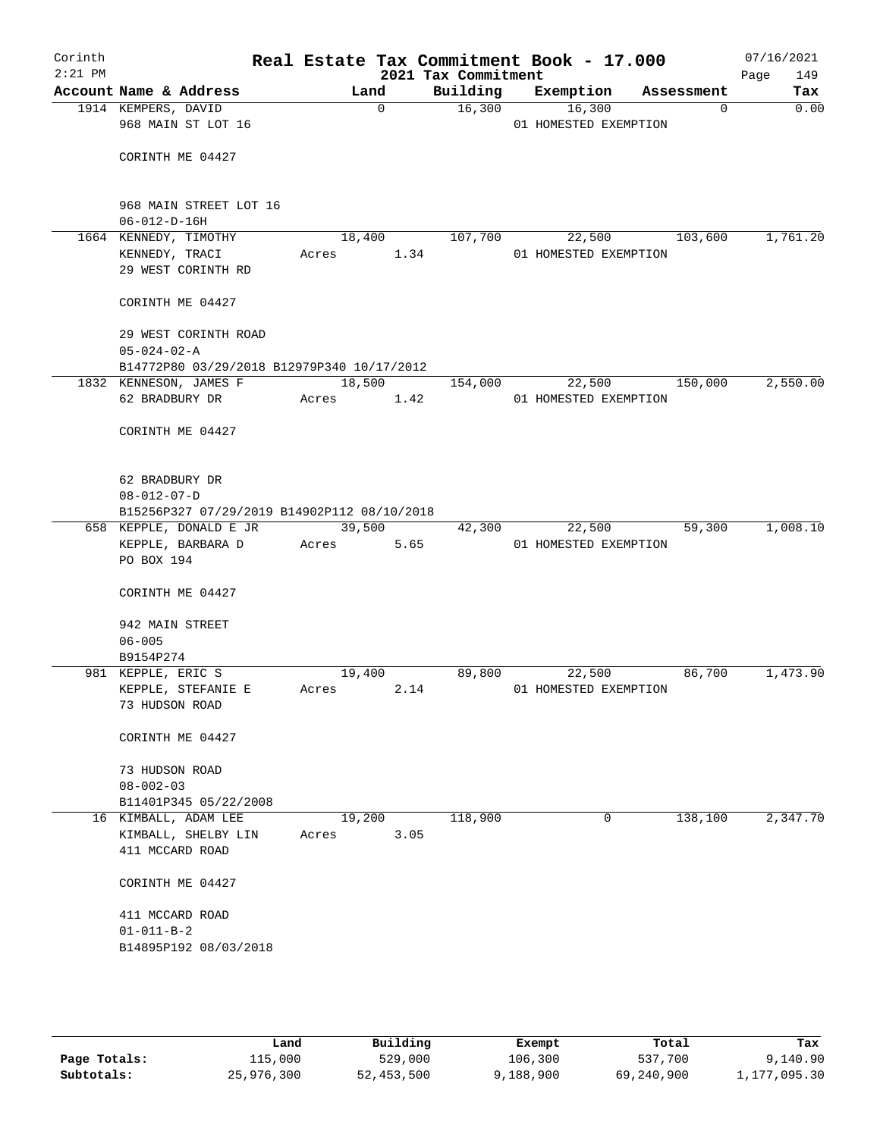| Corinth   |                                   |                                             |                  |             | Real Estate Tax Commitment Book - 17.000 |                       |        |                 | 07/16/2021  |
|-----------|-----------------------------------|---------------------------------------------|------------------|-------------|------------------------------------------|-----------------------|--------|-----------------|-------------|
| $2:21$ PM |                                   | Account Name & Address                      |                  |             | 2021 Tax Commitment                      |                       |        |                 | Page<br>149 |
|           | 1914 KEMPERS, DAVID               |                                             | Land             | $\mathbf 0$ | Building<br>16,300                       | Exemption             | 16,300 | Assessment<br>0 | Tax<br>0.00 |
|           |                                   | 968 MAIN ST LOT 16                          |                  |             |                                          | 01 HOMESTED EXEMPTION |        |                 |             |
|           |                                   |                                             |                  |             |                                          |                       |        |                 |             |
|           |                                   | CORINTH ME 04427                            |                  |             |                                          |                       |        |                 |             |
|           |                                   |                                             |                  |             |                                          |                       |        |                 |             |
|           |                                   |                                             |                  |             |                                          |                       |        |                 |             |
|           |                                   | 968 MAIN STREET LOT 16                      |                  |             |                                          |                       |        |                 |             |
|           | $06 - 012 - D - 16H$              |                                             |                  |             |                                          |                       |        |                 |             |
|           |                                   | 1664 KENNEDY, TIMOTHY                       | 18,400           |             | 107,700                                  |                       | 22,500 | 103,600         | 1,761.20    |
|           | KENNEDY, TRACI                    | 29 WEST CORINTH RD                          | Acres            | 1.34        |                                          | 01 HOMESTED EXEMPTION |        |                 |             |
|           |                                   |                                             |                  |             |                                          |                       |        |                 |             |
|           |                                   | CORINTH ME 04427                            |                  |             |                                          |                       |        |                 |             |
|           |                                   |                                             |                  |             |                                          |                       |        |                 |             |
|           |                                   | 29 WEST CORINTH ROAD                        |                  |             |                                          |                       |        |                 |             |
|           | $05 - 024 - 02 - A$               |                                             |                  |             |                                          |                       |        |                 |             |
|           |                                   | B14772P80 03/29/2018 B12979P340 10/17/2012  |                  |             |                                          |                       |        |                 |             |
|           |                                   | 1832 KENNESON, JAMES F                      |                  | 18,500      | 154,000                                  |                       | 22,500 | 150,000         | 2,550.00    |
|           | 62 BRADBURY DR                    |                                             | Acres 1.42       |             |                                          | 01 HOMESTED EXEMPTION |        |                 |             |
|           |                                   |                                             |                  |             |                                          |                       |        |                 |             |
|           |                                   | CORINTH ME 04427                            |                  |             |                                          |                       |        |                 |             |
|           |                                   |                                             |                  |             |                                          |                       |        |                 |             |
|           | 62 BRADBURY DR                    |                                             |                  |             |                                          |                       |        |                 |             |
|           | $08 - 012 - 07 - D$               |                                             |                  |             |                                          |                       |        |                 |             |
|           |                                   | B15256P327 07/29/2019 B14902P112 08/10/2018 |                  |             |                                          |                       |        |                 |             |
|           |                                   | 658 KEPPLE, DONALD E JR                     | 39,500<br>The Co |             | 42,300                                   |                       | 22,500 | 59,300          | 1,008.10    |
|           |                                   | KEPPLE, BARBARA D                           | Acres            | 5.65        |                                          | 01 HOMESTED EXEMPTION |        |                 |             |
|           | PO BOX 194                        |                                             |                  |             |                                          |                       |        |                 |             |
|           |                                   |                                             |                  |             |                                          |                       |        |                 |             |
|           |                                   | CORINTH ME 04427                            |                  |             |                                          |                       |        |                 |             |
|           | 942 MAIN STREET                   |                                             |                  |             |                                          |                       |        |                 |             |
|           | $06 - 005$                        |                                             |                  |             |                                          |                       |        |                 |             |
|           | B9154P274                         |                                             |                  |             |                                          |                       |        |                 |             |
|           | 981 KEPPLE, ERIC S                |                                             | 19,400           |             | 89,800                                   |                       | 22,500 | 86,700          | 1,473.90    |
|           |                                   | KEPPLE, STEFANIE E                          | Acres            | 2.14        |                                          | 01 HOMESTED EXEMPTION |        |                 |             |
|           | 73 HUDSON ROAD                    |                                             |                  |             |                                          |                       |        |                 |             |
|           |                                   |                                             |                  |             |                                          |                       |        |                 |             |
|           |                                   | CORINTH ME 04427                            |                  |             |                                          |                       |        |                 |             |
|           |                                   |                                             |                  |             |                                          |                       |        |                 |             |
|           | 73 HUDSON ROAD<br>$08 - 002 - 03$ |                                             |                  |             |                                          |                       |        |                 |             |
|           |                                   | B11401P345 05/22/2008                       |                  |             |                                          |                       |        |                 |             |
|           |                                   | 16 KIMBALL, ADAM LEE                        | 19,200           |             | 118,900                                  |                       | 0      | 138,100         | 2,347.70    |
|           |                                   | KIMBALL, SHELBY LIN                         | Acres            | 3.05        |                                          |                       |        |                 |             |
|           | 411 MCCARD ROAD                   |                                             |                  |             |                                          |                       |        |                 |             |
|           |                                   |                                             |                  |             |                                          |                       |        |                 |             |
|           |                                   | CORINTH ME 04427                            |                  |             |                                          |                       |        |                 |             |
|           |                                   |                                             |                  |             |                                          |                       |        |                 |             |
|           | 411 MCCARD ROAD                   |                                             |                  |             |                                          |                       |        |                 |             |
|           | $01 - 011 - B - 2$                | B14895P192 08/03/2018                       |                  |             |                                          |                       |        |                 |             |
|           |                                   |                                             |                  |             |                                          |                       |        |                 |             |
|           |                                   |                                             |                  |             |                                          |                       |        |                 |             |
|           |                                   |                                             |                  |             |                                          |                       |        |                 |             |
|           |                                   |                                             |                  |             |                                          |                       |        |                 |             |

|              | Land       | Building   | Exempt    | Total      | Tax          |
|--------------|------------|------------|-----------|------------|--------------|
| Page Totals: | 115,000    | 529,000    | 106,300   | 537,700    | 9,140.90     |
| Subtotals:   | 25,976,300 | 52,453,500 | 9,188,900 | 69,240,900 | 1,177,095.30 |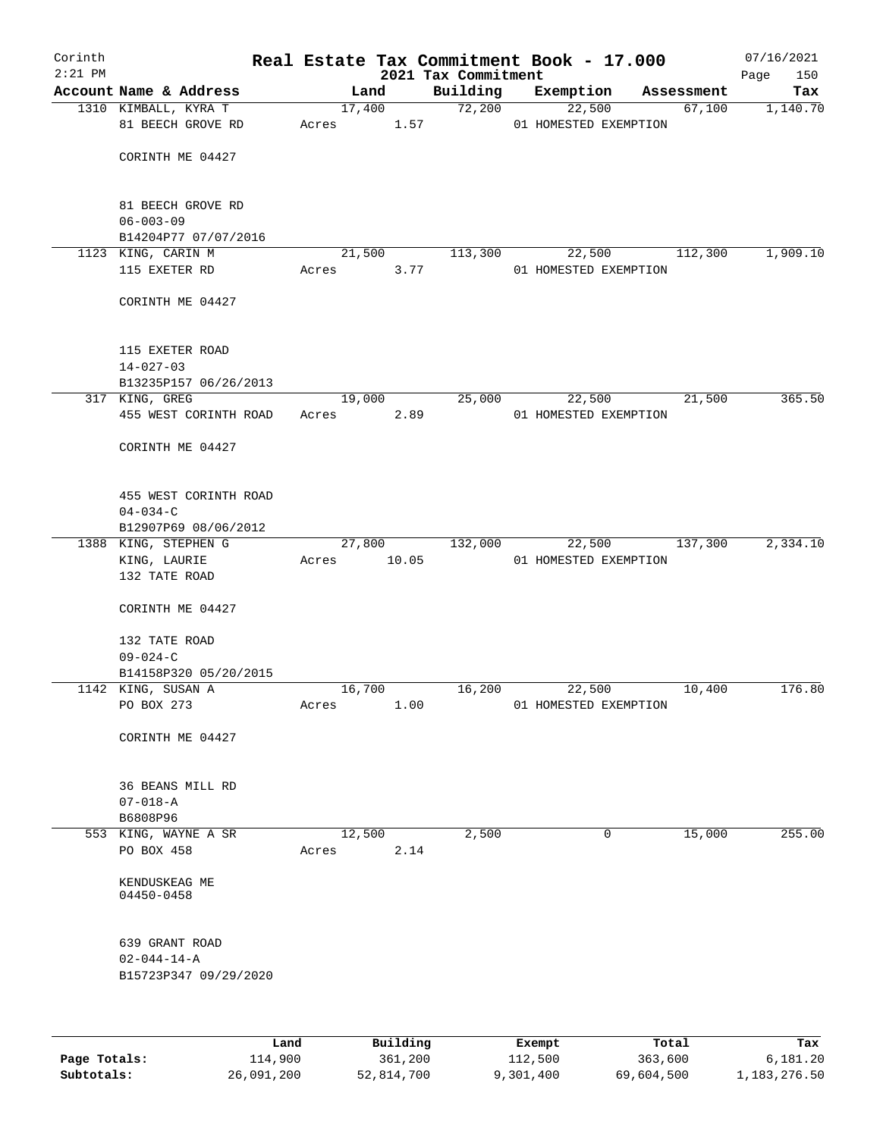| Corinth      |                                          |            |          | Real Estate Tax Commitment Book - 17.000 |                       |        |            | 07/16/2021         |
|--------------|------------------------------------------|------------|----------|------------------------------------------|-----------------------|--------|------------|--------------------|
| $2:21$ PM    | Account Name & Address                   |            | Land     | 2021 Tax Commitment<br>Building          | Exemption             |        | Assessment | 150<br>Page<br>Tax |
|              | 1310 KIMBALL, KYRA T                     |            | 17,400   | 72,200                                   |                       | 22,500 | 67,100     | 1,140.70           |
|              | 81 BEECH GROVE RD                        | Acres 1.57 |          |                                          | 01 HOMESTED EXEMPTION |        |            |                    |
|              |                                          |            |          |                                          |                       |        |            |                    |
|              | CORINTH ME 04427                         |            |          |                                          |                       |        |            |                    |
|              |                                          |            |          |                                          |                       |        |            |                    |
|              | 81 BEECH GROVE RD                        |            |          |                                          |                       |        |            |                    |
|              | $06 - 003 - 09$                          |            |          |                                          |                       |        |            |                    |
|              | B14204P77 07/07/2016                     |            |          |                                          |                       |        |            |                    |
|              | 1123 KING, CARIN M                       |            | 21,500   | 113,300                                  |                       | 22,500 | 112,300    | 1,909.10           |
|              | 115 EXETER RD                            | Acres      | 3.77     |                                          | 01 HOMESTED EXEMPTION |        |            |                    |
|              | CORINTH ME 04427                         |            |          |                                          |                       |        |            |                    |
|              |                                          |            |          |                                          |                       |        |            |                    |
|              |                                          |            |          |                                          |                       |        |            |                    |
|              | 115 EXETER ROAD                          |            |          |                                          |                       |        |            |                    |
|              | $14 - 027 - 03$<br>B13235P157 06/26/2013 |            |          |                                          |                       |        |            |                    |
|              | 317 KING, GREG                           |            | 19,000   | 25,000                                   |                       | 22,500 | 21,500     | 365.50             |
|              | 455 WEST CORINTH ROAD                    | Acres      | 2.89     |                                          | 01 HOMESTED EXEMPTION |        |            |                    |
|              |                                          |            |          |                                          |                       |        |            |                    |
|              | CORINTH ME 04427                         |            |          |                                          |                       |        |            |                    |
|              |                                          |            |          |                                          |                       |        |            |                    |
|              | 455 WEST CORINTH ROAD                    |            |          |                                          |                       |        |            |                    |
|              | $04 - 034 - C$                           |            |          |                                          |                       |        |            |                    |
|              | B12907P69 08/06/2012                     |            |          |                                          |                       |        |            |                    |
|              | 1388 KING, STEPHEN G                     |            | 27,800   | 132,000                                  |                       | 22,500 | 137,300    | 2,334.10           |
|              | KING, LAURIE<br>132 TATE ROAD            | Acres      | 10.05    |                                          | 01 HOMESTED EXEMPTION |        |            |                    |
|              |                                          |            |          |                                          |                       |        |            |                    |
|              | CORINTH ME 04427                         |            |          |                                          |                       |        |            |                    |
|              |                                          |            |          |                                          |                       |        |            |                    |
|              | 132 TATE ROAD<br>$09 - 024 - C$          |            |          |                                          |                       |        |            |                    |
|              | B14158P320 05/20/2015                    |            |          |                                          |                       |        |            |                    |
|              | 1142 KING, SUSAN A                       |            | 16,700   | 16,200                                   |                       | 22,500 | 10,400     | 176.80             |
|              | PO BOX 273                               | Acres      | 1.00     |                                          | 01 HOMESTED EXEMPTION |        |            |                    |
|              |                                          |            |          |                                          |                       |        |            |                    |
|              | CORINTH ME 04427                         |            |          |                                          |                       |        |            |                    |
|              |                                          |            |          |                                          |                       |        |            |                    |
|              | 36 BEANS MILL RD                         |            |          |                                          |                       |        |            |                    |
|              | $07 - 018 - A$                           |            |          |                                          |                       |        |            |                    |
|              | B6808P96                                 |            |          |                                          |                       |        |            |                    |
|              | 553 KING, WAYNE A SR                     |            | 12,500   | 2,500                                    |                       | 0      | 15,000     | 255.00             |
|              | PO BOX 458                               | Acres      | 2.14     |                                          |                       |        |            |                    |
|              | KENDUSKEAG ME                            |            |          |                                          |                       |        |            |                    |
|              | 04450-0458                               |            |          |                                          |                       |        |            |                    |
|              |                                          |            |          |                                          |                       |        |            |                    |
|              | 639 GRANT ROAD                           |            |          |                                          |                       |        |            |                    |
|              | $02 - 044 - 14 - A$                      |            |          |                                          |                       |        |            |                    |
|              | B15723P347 09/29/2020                    |            |          |                                          |                       |        |            |                    |
|              |                                          |            |          |                                          |                       |        |            |                    |
|              |                                          |            |          |                                          |                       |        |            |                    |
|              | Land                                     |            | Building |                                          | Exempt                |        | Total      | Tax                |
| Page Totals: | 114,900                                  |            | 361,200  |                                          | 112,500               |        | 363,600    | 6,181.20           |

**Subtotals:** 26,091,200 52,814,700 9,301,400 69,604,500 1,183,276.50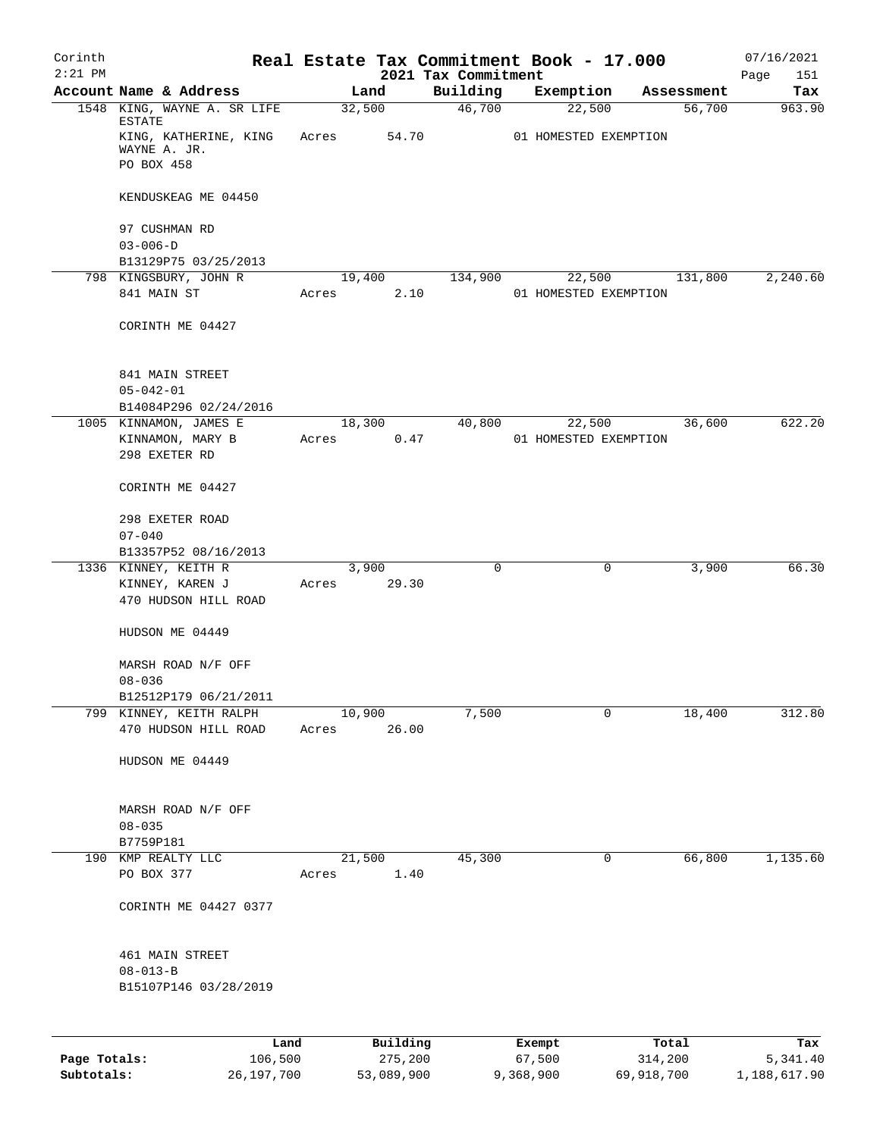| Corinth      |                                                                 |       |                      |                                 | Real Estate Tax Commitment Book - 17.000 |         |            | 07/16/2021         |
|--------------|-----------------------------------------------------------------|-------|----------------------|---------------------------------|------------------------------------------|---------|------------|--------------------|
| $2:21$ PM    | Account Name & Address                                          |       | Land                 | 2021 Tax Commitment<br>Building | Exemption                                |         | Assessment | Page<br>151<br>Tax |
|              | 1548 KING, WAYNE A. SR LIFE                                     |       | 32,500               | 46,700                          | 22,500                                   |         | 56,700     | 963.90             |
|              | ESTATE<br>KING, KATHERINE, KING<br>WAYNE A. JR.<br>PO BOX 458   | Acres | 54.70                |                                 | 01 HOMESTED EXEMPTION                    |         |            |                    |
|              | KENDUSKEAG ME 04450                                             |       |                      |                                 |                                          |         |            |                    |
|              | 97 CUSHMAN RD                                                   |       |                      |                                 |                                          |         |            |                    |
|              | $03 - 006 - D$                                                  |       |                      |                                 |                                          |         |            |                    |
|              | B13129P75 03/25/2013<br>798 KINGSBURY, JOHN R                   |       | 19,400               | 134,900                         | 22,500                                   |         | 131,800    | 2,240.60           |
|              | 841 MAIN ST                                                     | Acres | 2.10                 |                                 | 01 HOMESTED EXEMPTION                    |         |            |                    |
|              | CORINTH ME 04427                                                |       |                      |                                 |                                          |         |            |                    |
|              | 841 MAIN STREET<br>$05 - 042 - 01$                              |       |                      |                                 |                                          |         |            |                    |
|              | B14084P296 02/24/2016<br>1005 KINNAMON, JAMES E                 |       | 18,300               | 40,800                          | 22,500                                   |         | 36,600     | 622.20             |
|              | KINNAMON, MARY B<br>298 EXETER RD                               | Acres | 0.47                 |                                 | 01 HOMESTED EXEMPTION                    |         |            |                    |
|              | CORINTH ME 04427                                                |       |                      |                                 |                                          |         |            |                    |
|              | 298 EXETER ROAD<br>$07 - 040$                                   |       |                      |                                 |                                          |         |            |                    |
|              | B13357P52 08/16/2013                                            |       |                      |                                 |                                          |         |            |                    |
|              | 1336 KINNEY, KEITH R<br>KINNEY, KAREN J<br>470 HUDSON HILL ROAD |       | 3,900<br>Acres 29.30 | 0                               |                                          | 0       | 3,900      | 66.30              |
|              | HUDSON ME 04449                                                 |       |                      |                                 |                                          |         |            |                    |
|              | MARSH ROAD N/F OFF<br>$08 - 036$                                |       |                      |                                 |                                          |         |            |                    |
|              | B12512P179 06/21/2011                                           |       |                      |                                 |                                          |         |            |                    |
|              | 799 KINNEY, KEITH RALPH<br>470 HUDSON HILL ROAD                 | Acres | 10,900<br>26.00      | 7,500                           |                                          | 0       | 18,400     | 312.80             |
|              | HUDSON ME 04449                                                 |       |                      |                                 |                                          |         |            |                    |
|              | MARSH ROAD N/F OFF<br>$08 - 035$                                |       |                      |                                 |                                          |         |            |                    |
| 190          | B7759P181<br>KMP REALTY LLC                                     |       | 21,500               | 45,300                          |                                          | 0       | 66,800     | 1,135.60           |
|              | PO BOX 377                                                      | Acres | 1.40                 |                                 |                                          |         |            |                    |
|              | CORINTH ME 04427 0377                                           |       |                      |                                 |                                          |         |            |                    |
|              | 461 MAIN STREET<br>$08 - 013 - B$<br>B15107P146 03/28/2019      |       |                      |                                 |                                          |         |            |                    |
|              |                                                                 |       |                      |                                 |                                          |         |            |                    |
| Page Totals: | Land<br>106,500                                                 |       | Building<br>275,200  |                                 | Exempt<br>67,500                         | 314,200 | Total      | Tax<br>5,341.40    |

**Subtotals:** 26,197,700 53,089,900 9,368,900 69,918,700 1,188,617.90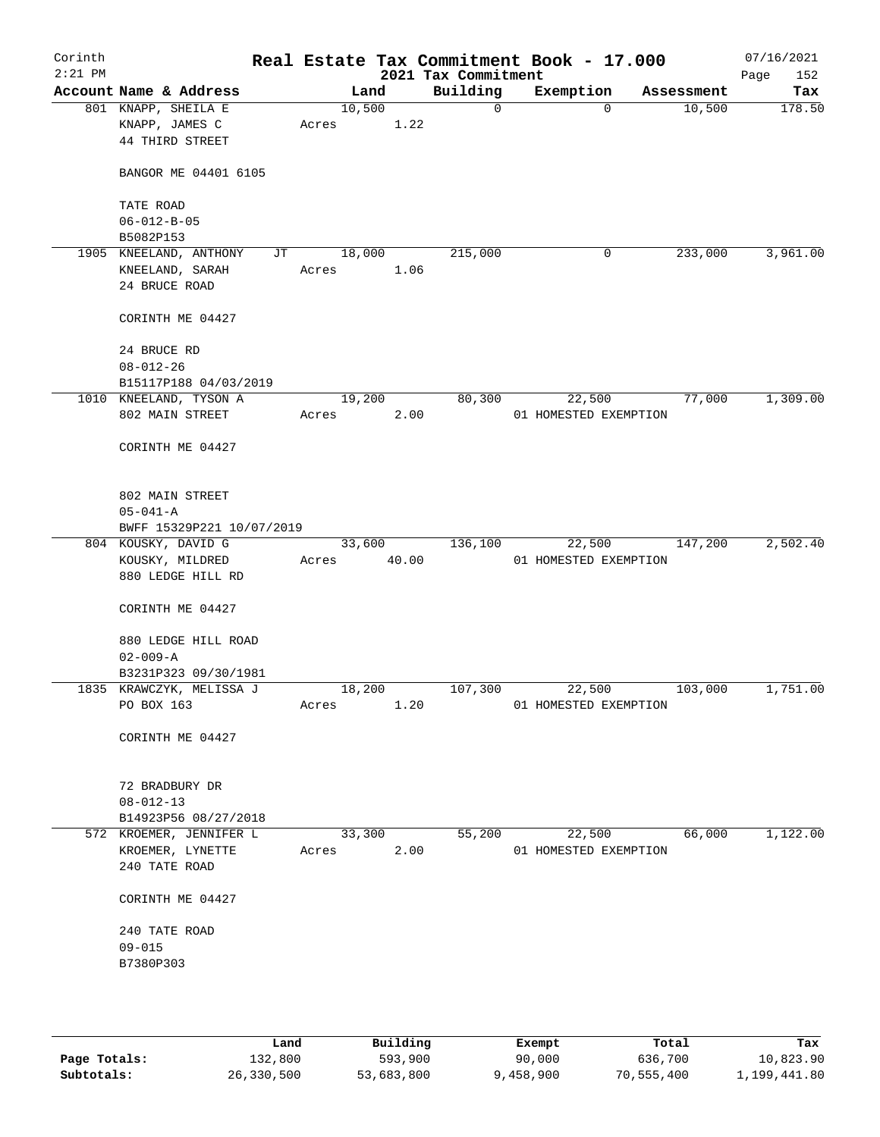| Corinth<br>$2:21$ PM |                                                                  |                 |                | 2021 Tax Commitment | Real Estate Tax Commitment Book - 17.000 |            | 07/16/2021<br>152<br>Page |
|----------------------|------------------------------------------------------------------|-----------------|----------------|---------------------|------------------------------------------|------------|---------------------------|
|                      | Account Name & Address                                           |                 | Land           | Building            | Exemption                                | Assessment | Tax                       |
|                      | 801 KNAPP, SHEILA E<br>KNAPP, JAMES C<br>44 THIRD STREET         | 10,500<br>Acres | 1.22           | $\mathsf{O}$        | $\Omega$                                 | 10,500     | 178.50                    |
|                      | BANGOR ME 04401 6105                                             |                 |                |                     |                                          |            |                           |
|                      | TATE ROAD<br>$06 - 012 - B - 05$                                 |                 |                |                     |                                          |            |                           |
|                      | B5082P153                                                        |                 |                |                     |                                          |            |                           |
|                      | 1905 KNEELAND, ANTHONY<br>JT<br>KNEELAND, SARAH<br>24 BRUCE ROAD | 18,000<br>Acres | 1.06           | 215,000             | 0                                        | 233,000    | 3,961.00                  |
|                      | CORINTH ME 04427                                                 |                 |                |                     |                                          |            |                           |
|                      | 24 BRUCE RD<br>$08 - 012 - 26$                                   |                 |                |                     |                                          |            |                           |
|                      | B15117P188 04/03/2019                                            |                 |                |                     |                                          |            |                           |
|                      | 1010 KNEELAND, TYSON A<br>802 MAIN STREET                        | Acres           | 19,200<br>2.00 | 80,300              | 22,500<br>01 HOMESTED EXEMPTION          | 77,000     | 1,309.00                  |
|                      | CORINTH ME 04427                                                 |                 |                |                     |                                          |            |                           |
|                      | 802 MAIN STREET<br>$05 - 041 - A$<br>BWFF 15329P221 10/07/2019   |                 |                |                     |                                          |            |                           |
|                      | 804 KOUSKY, DAVID G                                              |                 | 33,600         | 136,100             | 22,500                                   | 147,200    | 2,502.40                  |
|                      | KOUSKY, MILDRED<br>880 LEDGE HILL RD                             | Acres           | 40.00          |                     | 01 HOMESTED EXEMPTION                    |            |                           |
|                      | CORINTH ME 04427                                                 |                 |                |                     |                                          |            |                           |
|                      | 880 LEDGE HILL ROAD<br>$02 - 009 - A$                            |                 |                |                     |                                          |            |                           |
|                      | B3231P323 09/30/1981                                             |                 |                |                     |                                          |            |                           |
|                      | 1835 KRAWCZYK, MELISSA J<br>PO BOX 163                           | 18,200<br>Acres | 1.20           | 107,300             | 22,500<br>01 HOMESTED EXEMPTION          | 103,000    | 1,751.00                  |
|                      | CORINTH ME 04427                                                 |                 |                |                     |                                          |            |                           |
|                      | 72 BRADBURY DR<br>$08 - 012 - 13$                                |                 |                |                     |                                          |            |                           |
|                      | B14923P56 08/27/2018                                             |                 |                |                     |                                          |            |                           |
|                      | 572 KROEMER, JENNIFER L<br>KROEMER, LYNETTE<br>240 TATE ROAD     | 33,300<br>Acres | 2.00           | 55,200              | 22,500<br>01 HOMESTED EXEMPTION          | 66,000     | 1,122.00                  |
|                      | CORINTH ME 04427                                                 |                 |                |                     |                                          |            |                           |
|                      | 240 TATE ROAD                                                    |                 |                |                     |                                          |            |                           |
|                      | $09 - 015$<br>B7380P303                                          |                 |                |                     |                                          |            |                           |
|                      |                                                                  |                 |                |                     |                                          |            |                           |

|              | Land       | Building   | Exempt    | Total      | Tax          |
|--------------|------------|------------|-----------|------------|--------------|
| Page Totals: | 132,800    | 593,900    | 90,000    | 636,700    | 10,823.90    |
| Subtotals:   | 26,330,500 | 53,683,800 | 9,458,900 | 70,555,400 | 1,199,441.80 |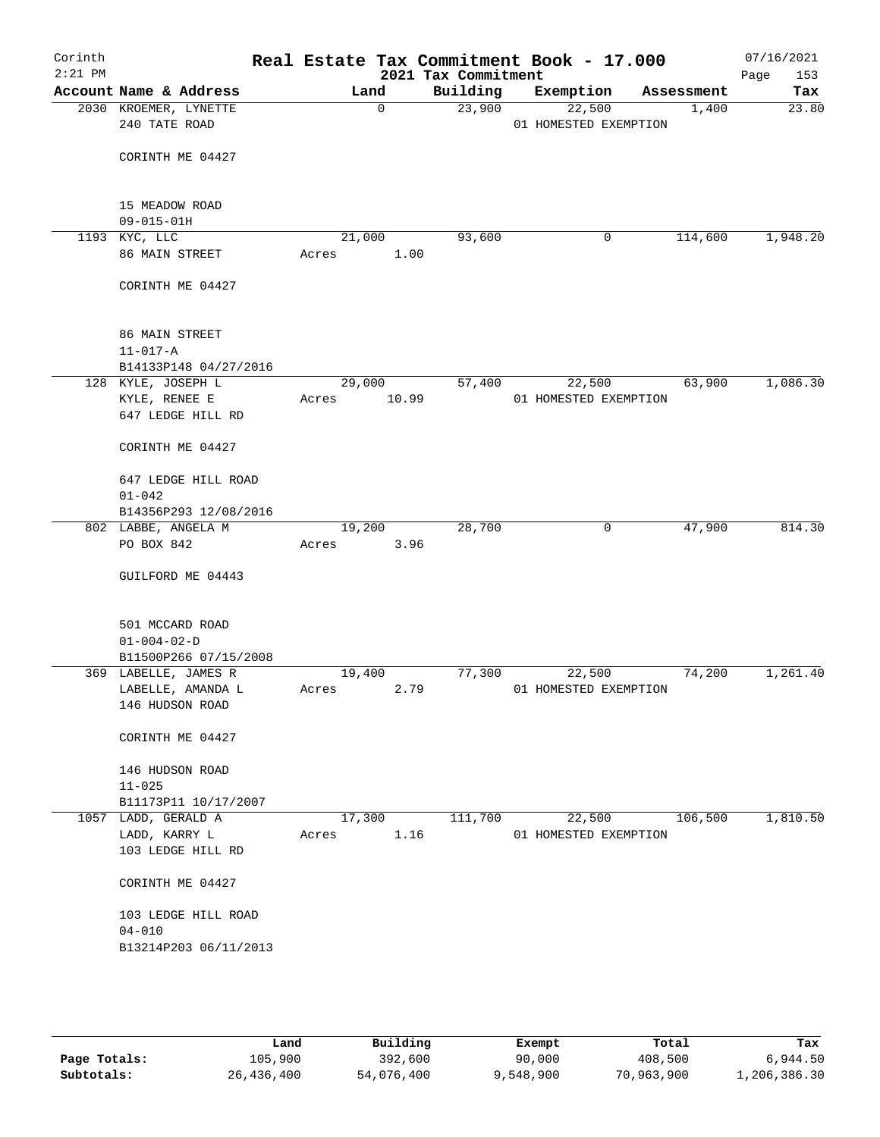| Corinth<br>$2:21$ PM |                                        |        |             | 2021 Tax Commitment | Real Estate Tax Commitment Book - 17.000 |        |            | 07/16/2021<br>153<br>Page |
|----------------------|----------------------------------------|--------|-------------|---------------------|------------------------------------------|--------|------------|---------------------------|
|                      | Account Name & Address                 |        | Land        | Building            | Exemption                                |        | Assessment | Tax                       |
|                      | 2030 KROEMER, LYNETTE<br>240 TATE ROAD |        | $\mathbf 0$ | 23,900              | 22,500<br>01 HOMESTED EXEMPTION          |        | 1,400      | 23.80                     |
|                      | CORINTH ME 04427                       |        |             |                     |                                          |        |            |                           |
|                      | 15 MEADOW ROAD<br>$09 - 015 - 01H$     |        |             |                     |                                          |        |            |                           |
|                      | 1193 KYC, LLC                          |        | 21,000      | 93,600              |                                          | 0      | 114,600    | 1,948.20                  |
|                      | 86 MAIN STREET                         | Acres  | 1.00        |                     |                                          |        |            |                           |
|                      | CORINTH ME 04427                       |        |             |                     |                                          |        |            |                           |
|                      | 86 MAIN STREET<br>$11 - 017 - A$       |        |             |                     |                                          |        |            |                           |
|                      | B14133P148 04/27/2016                  |        |             |                     |                                          |        |            |                           |
|                      | 128 KYLE, JOSEPH L                     |        | 29,000      | 57,400              | 22,500                                   |        | 63,900     | 1,086.30                  |
|                      | KYLE, RENEE E                          | Acres  | 10.99       |                     | 01 HOMESTED EXEMPTION                    |        |            |                           |
|                      | 647 LEDGE HILL RD                      |        |             |                     |                                          |        |            |                           |
|                      | CORINTH ME 04427                       |        |             |                     |                                          |        |            |                           |
|                      | 647 LEDGE HILL ROAD                    |        |             |                     |                                          |        |            |                           |
|                      | $01 - 042$                             |        |             |                     |                                          |        |            |                           |
|                      | B14356P293 12/08/2016                  |        |             |                     |                                          |        |            |                           |
|                      | 802 LABBE, ANGELA M                    |        | 19,200      | 28,700              |                                          | 0      | 47,900     | 814.30                    |
|                      | PO BOX 842                             | Acres  | 3.96        |                     |                                          |        |            |                           |
|                      | GUILFORD ME 04443                      |        |             |                     |                                          |        |            |                           |
|                      | 501 MCCARD ROAD                        |        |             |                     |                                          |        |            |                           |
|                      | $01 - 004 - 02 - D$                    |        |             |                     |                                          |        |            |                           |
|                      | B11500P266 07/15/2008                  |        |             |                     |                                          |        |            |                           |
|                      | 369 LABELLE, JAMES R                   | 19,400 |             | 77,300              | 22,500                                   |        | 74,200     | 1,261.40                  |
|                      | LABELLE, AMANDA L<br>146 HUDSON ROAD   | Acres  | 2.79        |                     | 01 HOMESTED EXEMPTION                    |        |            |                           |
|                      | CORINTH ME 04427                       |        |             |                     |                                          |        |            |                           |
|                      | 146 HUDSON ROAD<br>$11 - 025$          |        |             |                     |                                          |        |            |                           |
|                      | B11173P11 10/17/2007                   |        |             |                     |                                          |        |            |                           |
|                      | 1057 LADD, GERALD A                    |        | 17,300      | 111,700             |                                          | 22,500 | 106,500    | 1,810.50                  |
|                      | LADD, KARRY L<br>103 LEDGE HILL RD     | Acres  | 1.16        |                     | 01 HOMESTED EXEMPTION                    |        |            |                           |
|                      | CORINTH ME 04427                       |        |             |                     |                                          |        |            |                           |
|                      | 103 LEDGE HILL ROAD<br>$04 - 010$      |        |             |                     |                                          |        |            |                           |
|                      | B13214P203 06/11/2013                  |        |             |                     |                                          |        |            |                           |
|                      |                                        |        |             |                     |                                          |        |            |                           |
|                      |                                        |        |             |                     |                                          |        |            |                           |

|              | Land       | Building   | Exempt    | Total      | Tax          |
|--------------|------------|------------|-----------|------------|--------------|
| Page Totals: | 105,900    | 392,600    | 90,000    | 408,500    | 6,944.50     |
| Subtotals:   | 26,436,400 | 54,076,400 | 9,548,900 | 70,963,900 | 1,206,386.30 |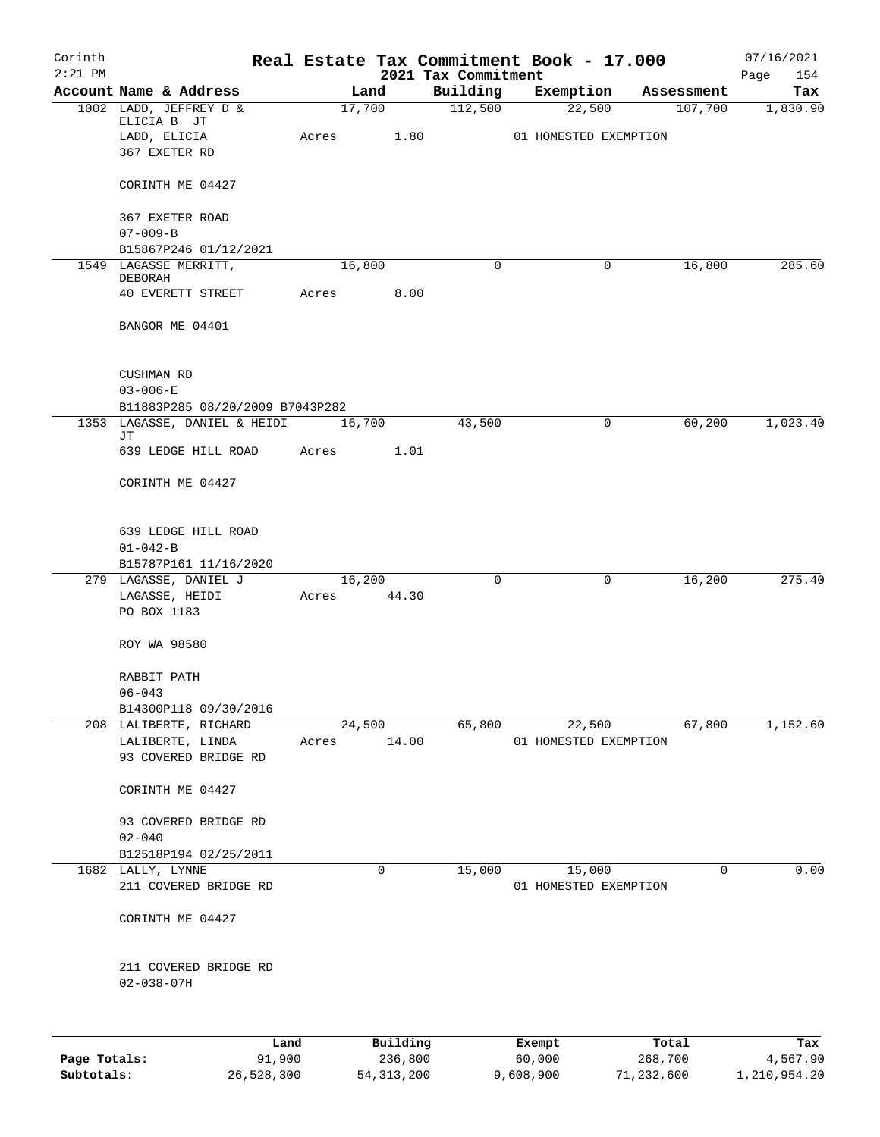| Corinth<br>$2:21$ PM |                                                 |       |        |          |                                 | Real Estate Tax Commitment Book - 17.000 |   |            | 07/16/2021         |
|----------------------|-------------------------------------------------|-------|--------|----------|---------------------------------|------------------------------------------|---|------------|--------------------|
|                      | Account Name & Address                          |       | Land   |          | 2021 Tax Commitment<br>Building | Exemption                                |   | Assessment | 154<br>Page<br>Tax |
|                      | 1002 LADD, JEFFREY D &                          |       | 17,700 |          | 112,500                         | 22,500                                   |   | 107,700    | 1,830.90           |
|                      | ELICIA B JT                                     |       |        |          |                                 |                                          |   |            |                    |
|                      | LADD, ELICIA<br>367 EXETER RD                   | Acres |        | 1.80     |                                 | 01 HOMESTED EXEMPTION                    |   |            |                    |
|                      |                                                 |       |        |          |                                 |                                          |   |            |                    |
|                      | CORINTH ME 04427                                |       |        |          |                                 |                                          |   |            |                    |
|                      | 367 EXETER ROAD                                 |       |        |          |                                 |                                          |   |            |                    |
|                      | $07 - 009 - B$                                  |       |        |          |                                 |                                          |   |            |                    |
|                      | B15867P246 01/12/2021<br>1549 LAGASSE MERRITT,  |       | 16,800 |          | 0                               |                                          | 0 | 16,800     | 285.60             |
|                      | DEBORAH                                         |       |        |          |                                 |                                          |   |            |                    |
|                      | 40 EVERETT STREET                               | Acres |        | 8.00     |                                 |                                          |   |            |                    |
|                      | BANGOR ME 04401                                 |       |        |          |                                 |                                          |   |            |                    |
|                      | <b>CUSHMAN RD</b>                               |       |        |          |                                 |                                          |   |            |                    |
|                      | $03 - 006 - E$                                  |       |        |          |                                 |                                          |   |            |                    |
|                      | B11883P285 08/20/2009 B7043P282                 |       |        |          |                                 |                                          |   |            |                    |
|                      | 1353 LAGASSE, DANIEL & HEIDI<br>JТ              |       | 16,700 |          | 43,500                          |                                          | 0 | 60,200     | 1,023.40           |
|                      | 639 LEDGE HILL ROAD                             | Acres |        | 1.01     |                                 |                                          |   |            |                    |
|                      | CORINTH ME 04427                                |       |        |          |                                 |                                          |   |            |                    |
|                      | 639 LEDGE HILL ROAD<br>$01 - 042 - B$           |       |        |          |                                 |                                          |   |            |                    |
|                      | B15787P161 11/16/2020<br>279 LAGASSE, DANIEL J  |       | 16,200 |          | 0                               |                                          | 0 | 16,200     | 275.40             |
|                      | LAGASSE, HEIDI                                  | Acres |        | 44.30    |                                 |                                          |   |            |                    |
|                      | PO BOX 1183                                     |       |        |          |                                 |                                          |   |            |                    |
|                      | ROY WA 98580                                    |       |        |          |                                 |                                          |   |            |                    |
|                      | RABBIT PATH                                     |       |        |          |                                 |                                          |   |            |                    |
|                      | $06 - 043$                                      |       |        |          |                                 |                                          |   |            |                    |
|                      | B14300P118 09/30/2016<br>208 LALIBERTE, RICHARD |       | 24,500 |          | 65,800                          | 22,500                                   |   | 67,800     | 1,152.60           |
|                      | LALIBERTE, LINDA                                | Acres |        | 14.00    |                                 | 01 HOMESTED EXEMPTION                    |   |            |                    |
|                      | 93 COVERED BRIDGE RD                            |       |        |          |                                 |                                          |   |            |                    |
|                      | CORINTH ME 04427                                |       |        |          |                                 |                                          |   |            |                    |
|                      | 93 COVERED BRIDGE RD                            |       |        |          |                                 |                                          |   |            |                    |
|                      | $02 - 040$                                      |       |        |          |                                 |                                          |   |            |                    |
|                      | B12518P194 02/25/2011                           |       |        |          |                                 |                                          |   |            |                    |
|                      | 1682 LALLY, LYNNE<br>211 COVERED BRIDGE RD      |       | 0      |          | 15,000                          | 15,000<br>01 HOMESTED EXEMPTION          |   | 0          | 0.00               |
|                      | CORINTH ME 04427                                |       |        |          |                                 |                                          |   |            |                    |
|                      | 211 COVERED BRIDGE RD<br>$02 - 038 - 07H$       |       |        |          |                                 |                                          |   |            |                    |
|                      |                                                 |       |        |          |                                 |                                          |   |            |                    |
|                      | Land                                            |       |        | Building |                                 | Exempt                                   |   | Total      | Tax                |
| Page Totals:         | 91,900                                          |       |        | 236,800  |                                 | 60,000                                   |   | 268,700    | 4,567.90           |

**Subtotals:** 26,528,300 54,313,200 9,608,900 71,232,600 1,210,954.20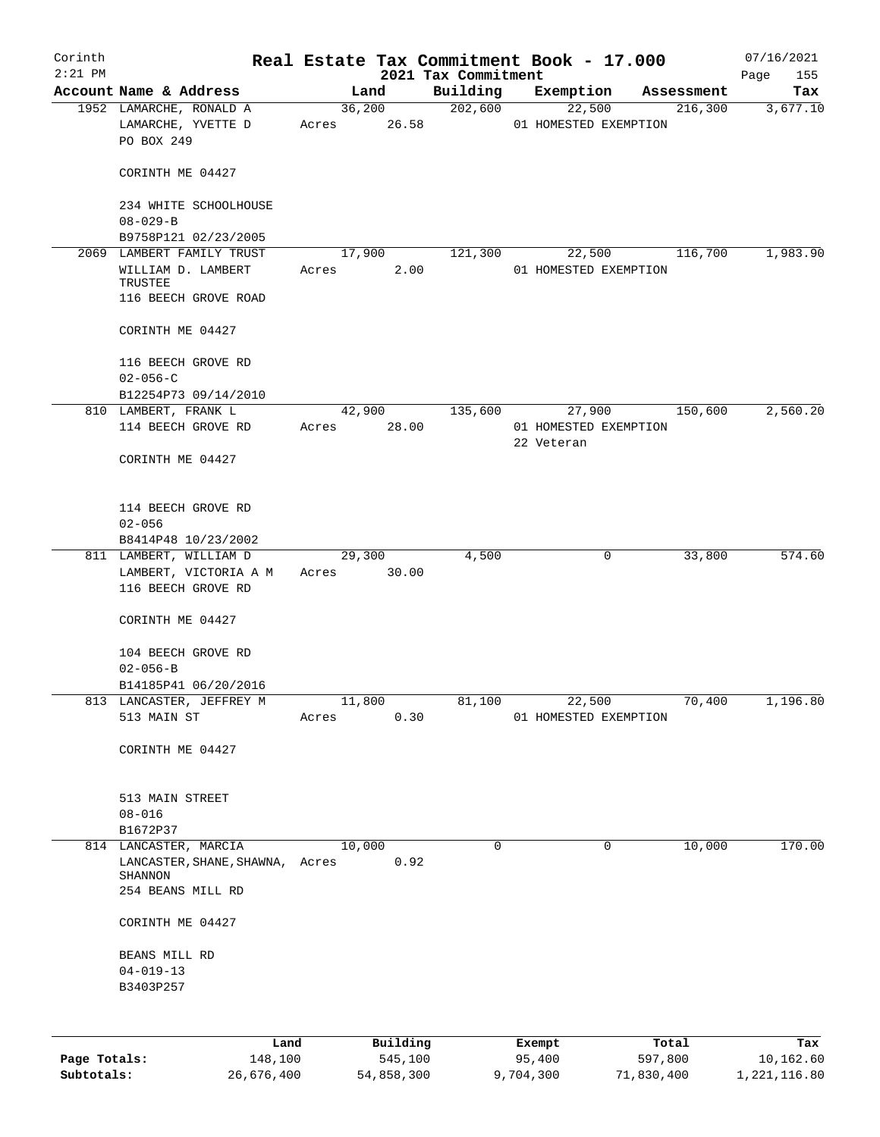| Corinth      |                                                                     |             |                |                     | Real Estate Tax Commitment Book - 17.000 |         |                       | 07/16/2021      |
|--------------|---------------------------------------------------------------------|-------------|----------------|---------------------|------------------------------------------|---------|-----------------------|-----------------|
| $2:21$ PM    |                                                                     |             |                | 2021 Tax Commitment |                                          |         |                       | Page<br>155     |
|              | Account Name & Address<br>1952 LAMARCHE, RONALD A                   |             | Land<br>36,200 | Building<br>202,600 | Exemption<br>22,500                      |         | Assessment<br>216,300 | Tax<br>3,677.10 |
|              | LAMARCHE, YVETTE D<br>PO BOX 249                                    | Acres       | 26.58          |                     | 01 HOMESTED EXEMPTION                    |         |                       |                 |
|              | CORINTH ME 04427                                                    |             |                |                     |                                          |         |                       |                 |
|              | 234 WHITE SCHOOLHOUSE<br>$08 - 029 - B$                             |             |                |                     |                                          |         |                       |                 |
|              | B9758P121 02/23/2005                                                |             |                |                     |                                          |         |                       |                 |
|              | 2069 LAMBERT FAMILY TRUST                                           |             | 17,900         | 121,300             | 22,500                                   |         | 116,700               | 1,983.90        |
|              | WILLIAM D. LAMBERT<br>TRUSTEE<br>116 BEECH GROVE ROAD               | Acres       | 2.00           |                     | 01 HOMESTED EXEMPTION                    |         |                       |                 |
|              | CORINTH ME 04427                                                    |             |                |                     |                                          |         |                       |                 |
|              |                                                                     |             |                |                     |                                          |         |                       |                 |
|              | 116 BEECH GROVE RD<br>$02 - 056 - C$                                |             |                |                     |                                          |         |                       |                 |
|              | B12254P73 09/14/2010                                                |             |                |                     |                                          |         |                       |                 |
|              | 810 LAMBERT, FRANK L                                                |             | 42,900         | 135,600             | 27,900                                   |         | 150,600               | 2,560.20        |
|              | 114 BEECH GROVE RD                                                  | Acres       | 28.00          |                     | 01 HOMESTED EXEMPTION<br>22 Veteran      |         |                       |                 |
|              | CORINTH ME 04427                                                    |             |                |                     |                                          |         |                       |                 |
|              | 114 BEECH GROVE RD                                                  |             |                |                     |                                          |         |                       |                 |
|              | $02 - 056$                                                          |             |                |                     |                                          |         |                       |                 |
|              | B8414P48 10/23/2002                                                 |             |                |                     |                                          |         |                       |                 |
|              | 811 LAMBERT, WILLIAM D                                              | Acres 30.00 | 29,300         | 4,500               |                                          | 0       | 33,800                | 574.60          |
|              | LAMBERT, VICTORIA A M<br>116 BEECH GROVE RD                         |             |                |                     |                                          |         |                       |                 |
|              | CORINTH ME 04427                                                    |             |                |                     |                                          |         |                       |                 |
|              | 104 BEECH GROVE RD<br>$02 - 056 - B$                                |             |                |                     |                                          |         |                       |                 |
|              | B14185P41 06/20/2016                                                |             |                |                     |                                          |         |                       |                 |
|              | 813 LANCASTER, JEFFREY M                                            | 11,800      |                | 81,100              | 22,500                                   |         | 70,400                | 1,196.80        |
|              | 513 MAIN ST                                                         | Acres       | 0.30           |                     | 01 HOMESTED EXEMPTION                    |         |                       |                 |
|              | CORINTH ME 04427                                                    |             |                |                     |                                          |         |                       |                 |
|              |                                                                     |             |                |                     |                                          |         |                       |                 |
|              | 513 MAIN STREET                                                     |             |                |                     |                                          |         |                       |                 |
|              | $08 - 016$                                                          |             |                |                     |                                          |         |                       |                 |
|              | B1672P37                                                            |             |                |                     |                                          |         |                       |                 |
|              | 814 LANCASTER, MARCIA<br>LANCASTER, SHANE, SHAWNA, Acres<br>SHANNON | 10,000      | 0.92           | $\Omega$            |                                          | 0       | 10,000                | 170.00          |
|              | 254 BEANS MILL RD                                                   |             |                |                     |                                          |         |                       |                 |
|              | CORINTH ME 04427                                                    |             |                |                     |                                          |         |                       |                 |
|              | BEANS MILL RD                                                       |             |                |                     |                                          |         |                       |                 |
|              | $04 - 019 - 13$                                                     |             |                |                     |                                          |         |                       |                 |
|              | B3403P257                                                           |             |                |                     |                                          |         |                       |                 |
|              |                                                                     |             |                |                     |                                          |         |                       |                 |
|              | Land                                                                |             | Building       |                     | Exempt                                   |         | Total                 | Tax             |
| Page Totals: | 148,100                                                             |             | 545,100        |                     | 95,400                                   | 597,800 |                       | 10,162.60       |

**Subtotals:** 26,676,400 54,858,300 9,704,300 71,830,400 1,221,116.80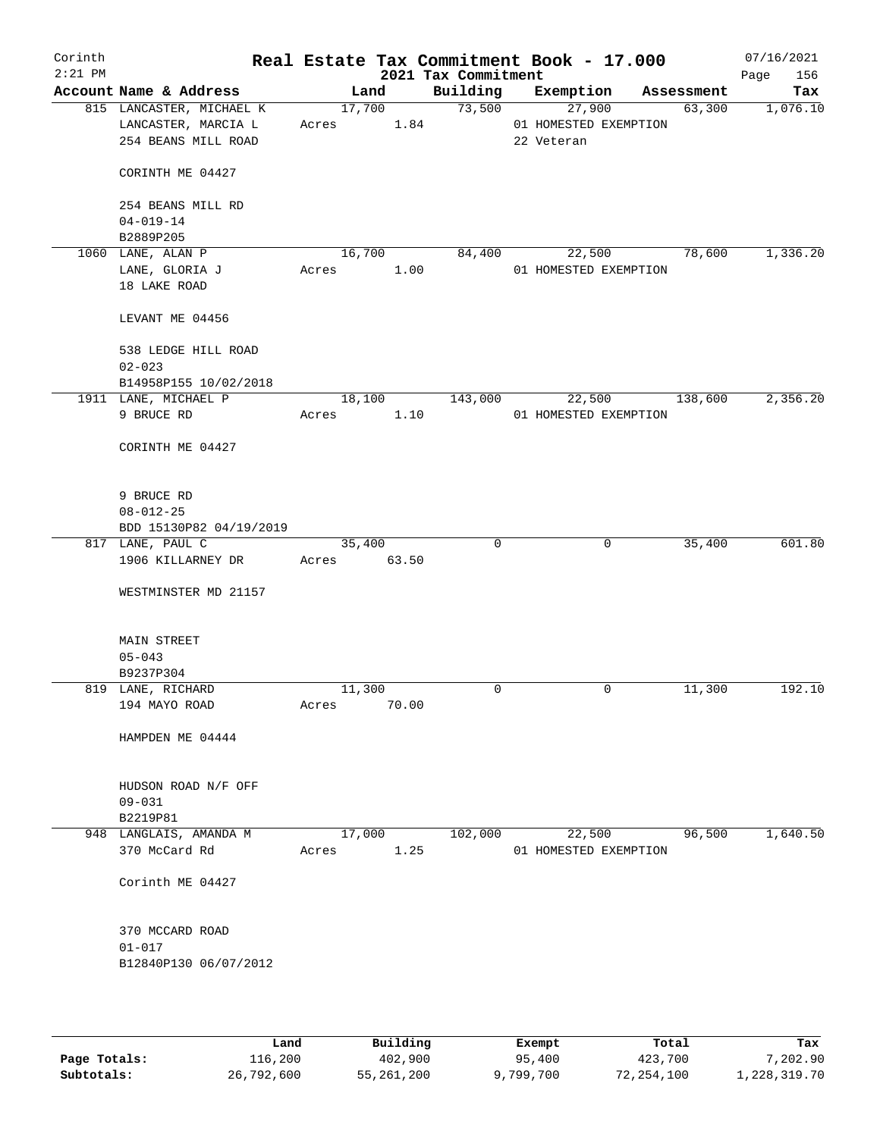| Corinth<br>$2:21$ PM |                          |             |        | 2021 Tax Commitment | Real Estate Tax Commitment Book - 17.000 |            | 07/16/2021<br>156<br>Page |
|----------------------|--------------------------|-------------|--------|---------------------|------------------------------------------|------------|---------------------------|
|                      | Account Name & Address   |             | Land   | Building            | Exemption                                | Assessment | Tax                       |
|                      | 815 LANCASTER, MICHAEL K |             | 17,700 | 73,500              | 27,900                                   | 63,300     | 1,076.10                  |
|                      | LANCASTER, MARCIA L      | Acres       | 1.84   |                     | 01 HOMESTED EXEMPTION                    |            |                           |
|                      | 254 BEANS MILL ROAD      |             |        |                     | 22 Veteran                               |            |                           |
|                      | CORINTH ME 04427         |             |        |                     |                                          |            |                           |
|                      | 254 BEANS MILL RD        |             |        |                     |                                          |            |                           |
|                      | $04 - 019 - 14$          |             |        |                     |                                          |            |                           |
|                      | B2889P205                |             |        |                     |                                          |            |                           |
|                      | 1060 LANE, ALAN P        |             | 16,700 | 84,400              | 22,500                                   | 78,600     | 1,336.20                  |
|                      | LANE, GLORIA J           | Acres       | 1.00   |                     | 01 HOMESTED EXEMPTION                    |            |                           |
|                      | 18 LAKE ROAD             |             |        |                     |                                          |            |                           |
|                      | LEVANT ME 04456          |             |        |                     |                                          |            |                           |
|                      | 538 LEDGE HILL ROAD      |             |        |                     |                                          |            |                           |
|                      | $02 - 023$               |             |        |                     |                                          |            |                           |
|                      | B14958P155 10/02/2018    |             |        |                     |                                          |            |                           |
|                      | 1911 LANE, MICHAEL P     |             | 18,100 | 143,000             | 22,500                                   | 138,600    | 2,356.20                  |
|                      | 9 BRUCE RD               | Acres       | 1.10   |                     | 01 HOMESTED EXEMPTION                    |            |                           |
|                      | CORINTH ME 04427         |             |        |                     |                                          |            |                           |
|                      |                          |             |        |                     |                                          |            |                           |
|                      | 9 BRUCE RD               |             |        |                     |                                          |            |                           |
|                      | $08 - 012 - 25$          |             |        |                     |                                          |            |                           |
|                      | BDD 15130P82 04/19/2019  |             |        |                     |                                          |            |                           |
|                      | 817 LANE, PAUL C         |             | 35,400 | $\mathbf 0$         | 0                                        | 35,400     | 601.80                    |
|                      | 1906 KILLARNEY DR        | Acres 63.50 |        |                     |                                          |            |                           |
|                      | WESTMINSTER MD 21157     |             |        |                     |                                          |            |                           |
|                      |                          |             |        |                     |                                          |            |                           |
|                      | <b>MAIN STREET</b>       |             |        |                     |                                          |            |                           |
|                      | $05 - 043$<br>B9237P304  |             |        |                     |                                          |            |                           |
|                      | 819 LANE, RICHARD        |             | 11,300 | 0                   | 0                                        | 11,300     | 192.10                    |
|                      | 194 MAYO ROAD            | Acres       | 70.00  |                     |                                          |            |                           |
|                      |                          |             |        |                     |                                          |            |                           |
|                      | HAMPDEN ME 04444         |             |        |                     |                                          |            |                           |
|                      | HUDSON ROAD N/F OFF      |             |        |                     |                                          |            |                           |
|                      | $09 - 031$               |             |        |                     |                                          |            |                           |
|                      | B2219P81                 |             |        |                     |                                          |            |                           |
|                      | 948 LANGLAIS, AMANDA M   |             | 17,000 | 102,000             | 22,500                                   | 96,500     | 1,640.50                  |
|                      | 370 McCard Rd            | Acres       | 1.25   |                     | 01 HOMESTED EXEMPTION                    |            |                           |
|                      |                          |             |        |                     |                                          |            |                           |
|                      | Corinth ME 04427         |             |        |                     |                                          |            |                           |
|                      | 370 MCCARD ROAD          |             |        |                     |                                          |            |                           |
|                      | $01 - 017$               |             |        |                     |                                          |            |                           |
|                      | B12840P130 06/07/2012    |             |        |                     |                                          |            |                           |
|                      |                          |             |        |                     |                                          |            |                           |
|                      |                          |             |        |                     |                                          |            |                           |

|              | Land       | Building   | Exempt    | Total      | Tax          |
|--------------|------------|------------|-----------|------------|--------------|
| Page Totals: | 116,200    | 402,900    | 95,400    | 423,700    | 7,202.90     |
| Subtotals:   | 26,792,600 | 55,261,200 | 9,799,700 | 72,254,100 | 1,228,319.70 |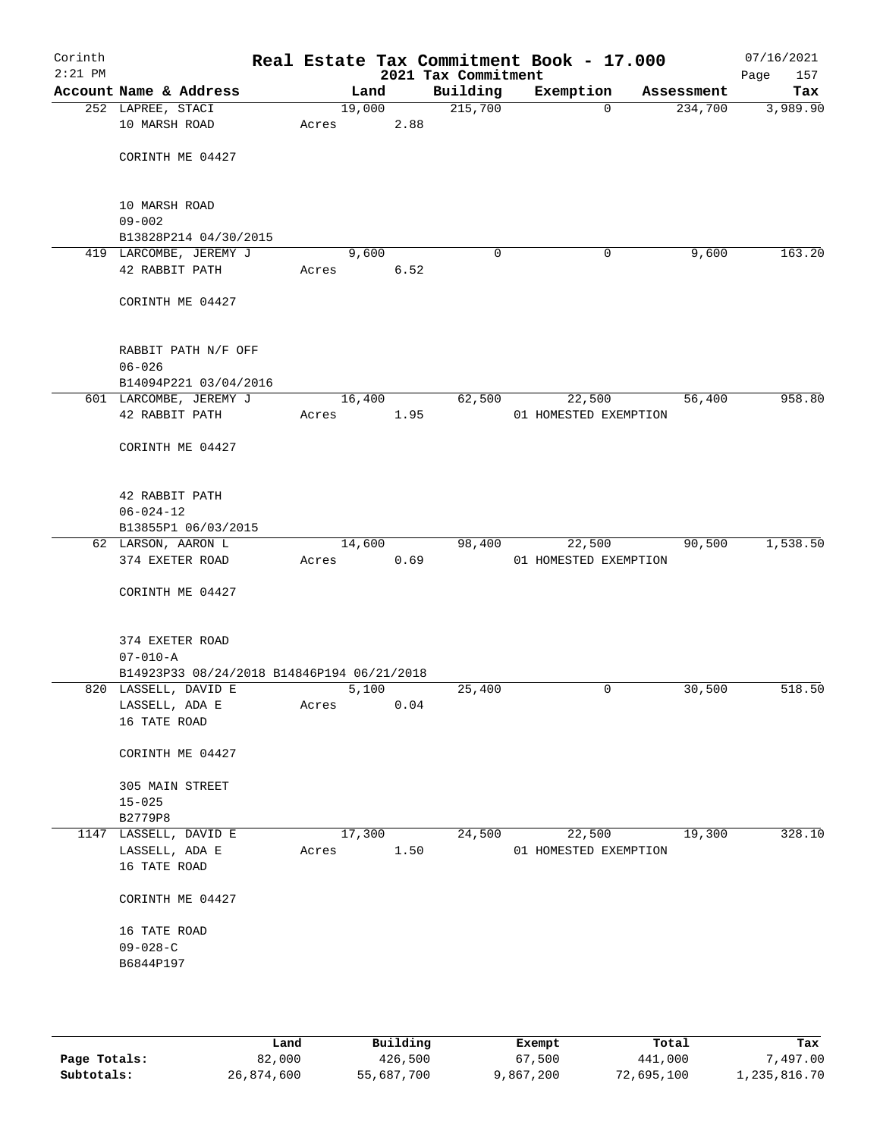| Corinth<br>$2:21$ PM |                                                                    |       |        |      | Real Estate Tax Commitment Book - 17.000<br>2021 Tax Commitment |                       |          |            | 07/16/2021<br>157<br>Page |
|----------------------|--------------------------------------------------------------------|-------|--------|------|-----------------------------------------------------------------|-----------------------|----------|------------|---------------------------|
|                      | Account Name & Address                                             |       | Land   |      | Building                                                        | Exemption             |          | Assessment | Tax                       |
|                      | 252 LAPREE, STACI                                                  |       | 19,000 |      | 215,700                                                         |                       | $\Omega$ | 234,700    | 3,989.90                  |
|                      | 10 MARSH ROAD                                                      | Acres |        | 2.88 |                                                                 |                       |          |            |                           |
|                      | CORINTH ME 04427                                                   |       |        |      |                                                                 |                       |          |            |                           |
|                      | 10 MARSH ROAD                                                      |       |        |      |                                                                 |                       |          |            |                           |
|                      | $09 - 002$                                                         |       |        |      |                                                                 |                       |          |            |                           |
|                      | B13828P214 04/30/2015<br>419 LARCOMBE, JEREMY J                    |       | 9,600  |      | 0                                                               |                       | 0        | 9,600      | 163.20                    |
|                      | 42 RABBIT PATH                                                     | Acres |        | 6.52 |                                                                 |                       |          |            |                           |
|                      |                                                                    |       |        |      |                                                                 |                       |          |            |                           |
|                      | CORINTH ME 04427                                                   |       |        |      |                                                                 |                       |          |            |                           |
|                      | RABBIT PATH N/F OFF                                                |       |        |      |                                                                 |                       |          |            |                           |
|                      | $06 - 026$                                                         |       |        |      |                                                                 |                       |          |            |                           |
|                      | B14094P221 03/04/2016                                              |       |        |      |                                                                 |                       |          |            | 958.80                    |
|                      | 601 LARCOMBE, JEREMY J<br>42 RABBIT PATH                           | Acres | 16,400 | 1.95 | 62,500                                                          | 01 HOMESTED EXEMPTION | 22,500   | 56,400     |                           |
|                      |                                                                    |       |        |      |                                                                 |                       |          |            |                           |
|                      | CORINTH ME 04427                                                   |       |        |      |                                                                 |                       |          |            |                           |
|                      | 42 RABBIT PATH                                                     |       |        |      |                                                                 |                       |          |            |                           |
|                      | $06 - 024 - 12$                                                    |       |        |      |                                                                 |                       |          |            |                           |
|                      | B13855P1 06/03/2015                                                |       |        |      |                                                                 |                       |          |            |                           |
|                      | 62 LARSON, AARON L                                                 |       | 14,600 |      | 98,400                                                          |                       | 22,500   | 90,500     | 1,538.50                  |
|                      | 374 EXETER ROAD                                                    | Acres |        | 0.69 |                                                                 | 01 HOMESTED EXEMPTION |          |            |                           |
|                      | CORINTH ME 04427                                                   |       |        |      |                                                                 |                       |          |            |                           |
|                      | 374 EXETER ROAD                                                    |       |        |      |                                                                 |                       |          |            |                           |
|                      | $07 - 010 - A$                                                     |       |        |      |                                                                 |                       |          |            |                           |
|                      | B14923P33 08/24/2018 B14846P194 06/21/2018<br>820 LASSELL, DAVID E |       | 5,100  |      | 25,400                                                          |                       | 0        | 30,500     | 518.50                    |
|                      | LASSELL, ADA E                                                     | Acres |        | 0.04 |                                                                 |                       |          |            |                           |
|                      | 16 TATE ROAD                                                       |       |        |      |                                                                 |                       |          |            |                           |
|                      | CORINTH ME 04427                                                   |       |        |      |                                                                 |                       |          |            |                           |
|                      | 305 MAIN STREET                                                    |       |        |      |                                                                 |                       |          |            |                           |
|                      | $15 - 025$<br>B2779P8                                              |       |        |      |                                                                 |                       |          |            |                           |
|                      | 1147 LASSELL, DAVID E                                              |       | 17,300 |      | 24,500                                                          |                       | 22,500   | 19,300     | 328.10                    |
|                      | LASSELL, ADA E                                                     | Acres |        | 1.50 |                                                                 | 01 HOMESTED EXEMPTION |          |            |                           |
|                      | 16 TATE ROAD                                                       |       |        |      |                                                                 |                       |          |            |                           |
|                      | CORINTH ME 04427                                                   |       |        |      |                                                                 |                       |          |            |                           |
|                      | 16 TATE ROAD                                                       |       |        |      |                                                                 |                       |          |            |                           |
|                      | $09 - 028 - C$                                                     |       |        |      |                                                                 |                       |          |            |                           |
|                      | B6844P197                                                          |       |        |      |                                                                 |                       |          |            |                           |
|                      |                                                                    |       |        |      |                                                                 |                       |          |            |                           |
|                      |                                                                    |       |        |      |                                                                 |                       |          |            |                           |

|              | úand       | Building   | Exempt    | Total      | Tax          |
|--------------|------------|------------|-----------|------------|--------------|
| Page Totals: | 82,000     | 426,500    | 67,500    | 441,000    | 7,497.00     |
| Subtotals:   | 26,874,600 | 55,687,700 | 9,867,200 | 72,695,100 | 1,235,816.70 |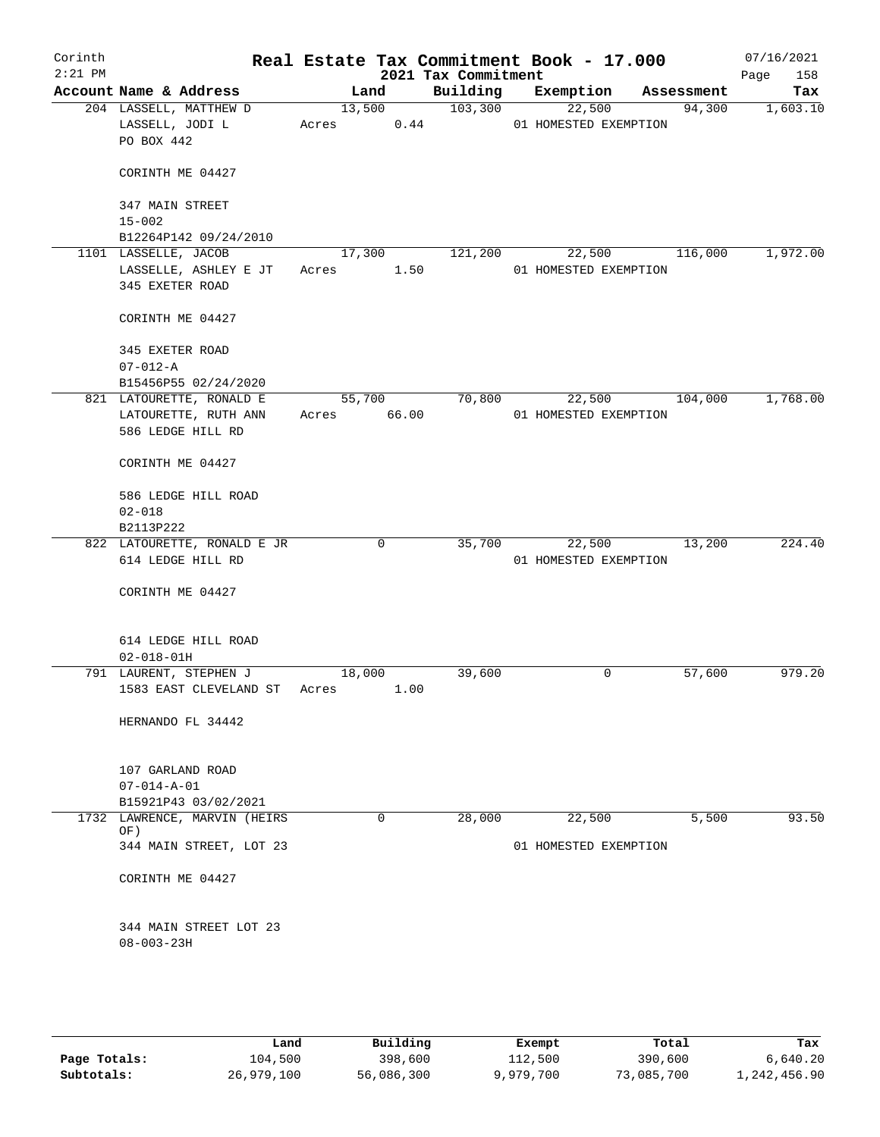| Corinth<br>$2:21$ PM |                                            |             |        | 2021 Tax Commitment | Real Estate Tax Commitment Book - 17.000 |                | 07/16/2021<br>158<br>Page |
|----------------------|--------------------------------------------|-------------|--------|---------------------|------------------------------------------|----------------|---------------------------|
|                      | Account Name & Address                     |             | Land   | Building            | Exemption                                | Assessment     | Tax                       |
|                      | 204 LASSELL, MATTHEW D                     |             | 13,500 | 103,300             | 22,500                                   | 94,300         | 1,603.10                  |
|                      | LASSELL, JODI L                            | Acres 0.44  |        |                     | 01 HOMESTED EXEMPTION                    |                |                           |
|                      | PO BOX 442                                 |             |        |                     |                                          |                |                           |
|                      | CORINTH ME 04427                           |             |        |                     |                                          |                |                           |
|                      | 347 MAIN STREET                            |             |        |                     |                                          |                |                           |
|                      | $15 - 002$                                 |             |        |                     |                                          |                |                           |
|                      | B12264P142 09/24/2010                      |             |        |                     |                                          |                |                           |
|                      | 1101 LASSELLE, JACOB                       |             | 17,300 | 121,200             | 22,500                                   | 116,000        | 1,972.00                  |
|                      | LASSELLE, ASHLEY E JT                      | Acres       | 1.50   |                     | 01 HOMESTED EXEMPTION                    |                |                           |
|                      | 345 EXETER ROAD                            |             |        |                     |                                          |                |                           |
|                      | CORINTH ME 04427                           |             |        |                     |                                          |                |                           |
|                      | 345 EXETER ROAD                            |             |        |                     |                                          |                |                           |
|                      | $07 - 012 - A$                             |             |        |                     |                                          |                |                           |
|                      | B15456P55 02/24/2020                       |             |        |                     |                                          |                |                           |
|                      | 821 LATOURETTE, RONALD E                   |             | 55,700 | 70,800              |                                          | 22,500 104,000 | 1,768.00                  |
|                      | LATOURETTE, RUTH ANN                       | Acres 66.00 |        |                     | 01 HOMESTED EXEMPTION                    |                |                           |
|                      | 586 LEDGE HILL RD                          |             |        |                     |                                          |                |                           |
|                      | CORINTH ME 04427                           |             |        |                     |                                          |                |                           |
|                      | 586 LEDGE HILL ROAD                        |             |        |                     |                                          |                |                           |
|                      | $02 - 018$                                 |             |        |                     |                                          |                |                           |
|                      | B2113P222                                  |             |        |                     |                                          |                |                           |
|                      | 822 LATOURETTE, RONALD E JR                |             | 0      | 35,700              | 22,500                                   | 13,200         | 224.40                    |
|                      | 614 LEDGE HILL RD                          |             |        |                     | 01 HOMESTED EXEMPTION                    |                |                           |
|                      | CORINTH ME 04427                           |             |        |                     |                                          |                |                           |
|                      | 614 LEDGE HILL ROAD                        |             |        |                     |                                          |                |                           |
|                      | $02 - 018 - 01H$                           |             |        |                     |                                          |                |                           |
|                      | 791 LAURENT, STEPHEN J                     | 18,000      |        | 39,600              | 0                                        | 57,600         | 979.20                    |
|                      | 1583 EAST CLEVELAND ST                     | Acres       | 1.00   |                     |                                          |                |                           |
|                      |                                            |             |        |                     |                                          |                |                           |
|                      | HERNANDO FL 34442                          |             |        |                     |                                          |                |                           |
|                      |                                            |             |        |                     |                                          |                |                           |
|                      | 107 GARLAND ROAD                           |             |        |                     |                                          |                |                           |
|                      | $07 - 014 - A - 01$                        |             |        |                     |                                          |                |                           |
|                      | B15921P43 03/02/2021                       |             |        |                     |                                          |                |                           |
|                      | 1732 LAWRENCE, MARVIN (HEIRS<br>OF)        |             | 0      | 28,000              | 22,500                                   | 5,500          | 93.50                     |
|                      | 344 MAIN STREET, LOT 23                    |             |        |                     | 01 HOMESTED EXEMPTION                    |                |                           |
|                      |                                            |             |        |                     |                                          |                |                           |
|                      | CORINTH ME 04427                           |             |        |                     |                                          |                |                           |
|                      |                                            |             |        |                     |                                          |                |                           |
|                      | 344 MAIN STREET LOT 23<br>$08 - 003 - 23H$ |             |        |                     |                                          |                |                           |
|                      |                                            |             |        |                     |                                          |                |                           |
|                      |                                            |             |        |                     |                                          |                |                           |
|                      |                                            |             |        |                     |                                          |                |                           |
|                      |                                            |             |        |                     |                                          |                |                           |

|              | Land       | Building   | Exempt    | Total      | Tax          |
|--------------|------------|------------|-----------|------------|--------------|
| Page Totals: | 104,500    | 398,600    | 112,500   | 390,600    | 6.640.20     |
| Subtotals:   | 26,979,100 | 56,086,300 | 9,979,700 | 73,085,700 | 1,242,456.90 |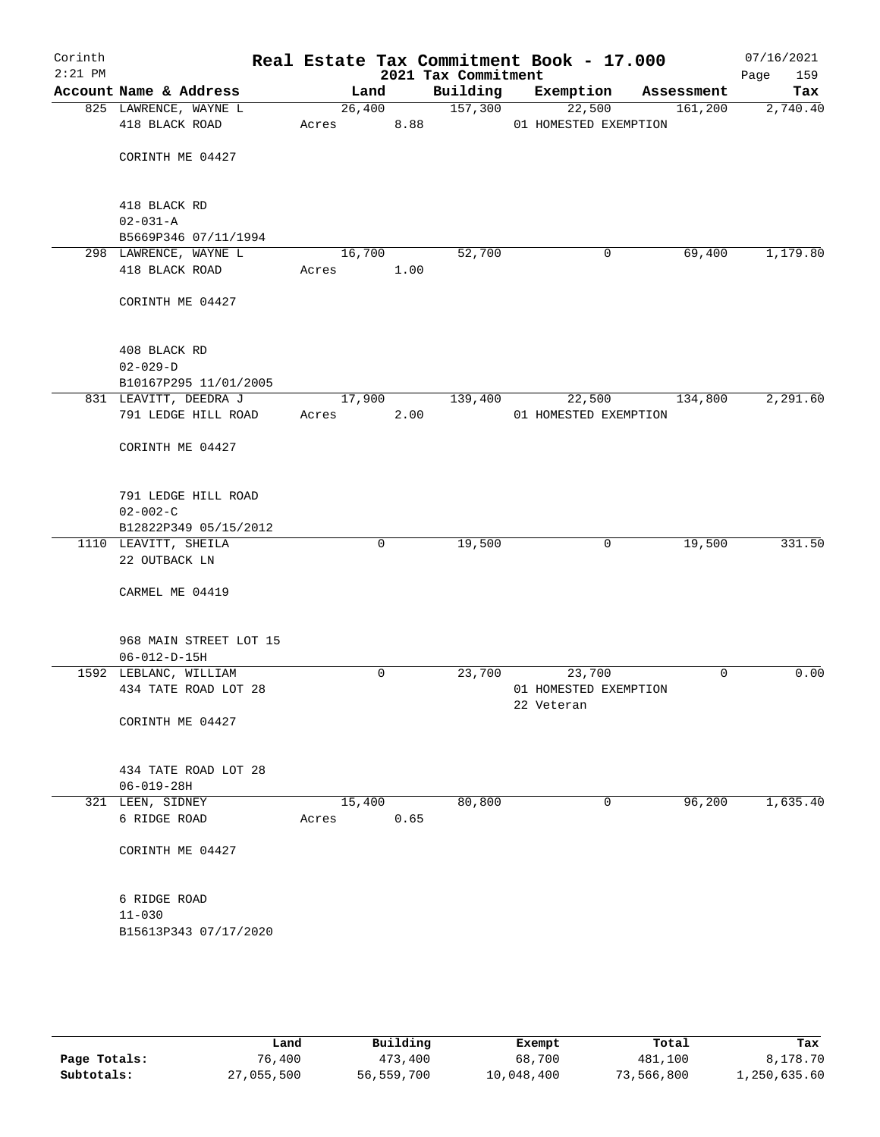| Corinth<br>$2:21$ PM |                                               |       |                | 2021 Tax Commitment | Real Estate Tax Commitment Book - 17.000 |   |            | 07/16/2021<br>Page<br>159 |
|----------------------|-----------------------------------------------|-------|----------------|---------------------|------------------------------------------|---|------------|---------------------------|
|                      | Account Name & Address                        |       | Land           | Building            | Exemption                                |   | Assessment | Tax                       |
|                      | 825 LAWRENCE, WAYNE L<br>418 BLACK ROAD       | Acres | 26,400<br>8.88 | 157,300             | 22,500<br>01 HOMESTED EXEMPTION          |   | 161,200    | 2,740.40                  |
|                      | CORINTH ME 04427                              |       |                |                     |                                          |   |            |                           |
|                      | 418 BLACK RD                                  |       |                |                     |                                          |   |            |                           |
|                      | $02 - 031 - A$                                |       |                |                     |                                          |   |            |                           |
|                      | B5669P346 07/11/1994                          |       |                |                     |                                          | 0 | 69,400     |                           |
|                      | 298 LAWRENCE, WAYNE L<br>418 BLACK ROAD       | Acres | 16,700<br>1.00 | 52,700              |                                          |   |            | 1,179.80                  |
|                      | CORINTH ME 04427                              |       |                |                     |                                          |   |            |                           |
|                      | 408 BLACK RD                                  |       |                |                     |                                          |   |            |                           |
|                      | $02 - 029 - D$<br>B10167P295 11/01/2005       |       |                |                     |                                          |   |            |                           |
|                      | 831 LEAVITT, DEEDRA J                         |       | 17,900         | 139,400             | 22,500                                   |   | 134,800    | 2,291.60                  |
|                      | 791 LEDGE HILL ROAD                           | Acres | 2.00           |                     | 01 HOMESTED EXEMPTION                    |   |            |                           |
|                      | CORINTH ME 04427                              |       |                |                     |                                          |   |            |                           |
|                      | 791 LEDGE HILL ROAD<br>$02 - 002 - C$         |       |                |                     |                                          |   |            |                           |
|                      | B12822P349 05/15/2012                         |       |                |                     |                                          |   |            |                           |
|                      | 1110 LEAVITT, SHEILA                          |       | $\mathbf 0$    | 19,500              |                                          | 0 | 19,500     | 331.50                    |
|                      | 22 OUTBACK LN                                 |       |                |                     |                                          |   |            |                           |
|                      | CARMEL ME 04419                               |       |                |                     |                                          |   |            |                           |
|                      | 968 MAIN STREET LOT 15                        |       |                |                     |                                          |   |            |                           |
|                      | $06 - 012 - D - 15H$<br>1592 LEBLANC, WILLIAM |       | 0              | 23,700              | 23,700                                   |   | 0          | 0.00                      |
|                      | 434 TATE ROAD LOT 28                          |       |                |                     | 01 HOMESTED EXEMPTION<br>22 Veteran      |   |            |                           |
|                      | CORINTH ME 04427                              |       |                |                     |                                          |   |            |                           |
|                      | 434 TATE ROAD LOT 28<br>$06 - 019 - 28H$      |       |                |                     |                                          |   |            |                           |
|                      | 321 LEEN, SIDNEY                              |       | 15,400         | 80,800              |                                          | 0 | 96,200     | 1,635.40                  |
|                      | 6 RIDGE ROAD                                  | Acres | 0.65           |                     |                                          |   |            |                           |
|                      | CORINTH ME 04427                              |       |                |                     |                                          |   |            |                           |
|                      | 6 RIDGE ROAD                                  |       |                |                     |                                          |   |            |                           |
|                      | $11 - 030$                                    |       |                |                     |                                          |   |            |                           |
|                      | B15613P343 07/17/2020                         |       |                |                     |                                          |   |            |                           |
|                      |                                               |       |                |                     |                                          |   |            |                           |

|              | Land       | Building   | Exempt     | Total      | Tax          |
|--------------|------------|------------|------------|------------|--------------|
| Page Totals: | 76,400     | 473,400    | 68,700     | 481,100    | 8,178.70     |
| Subtotals:   | 27,055,500 | 56,559,700 | 10,048,400 | 73,566,800 | 1,250,635.60 |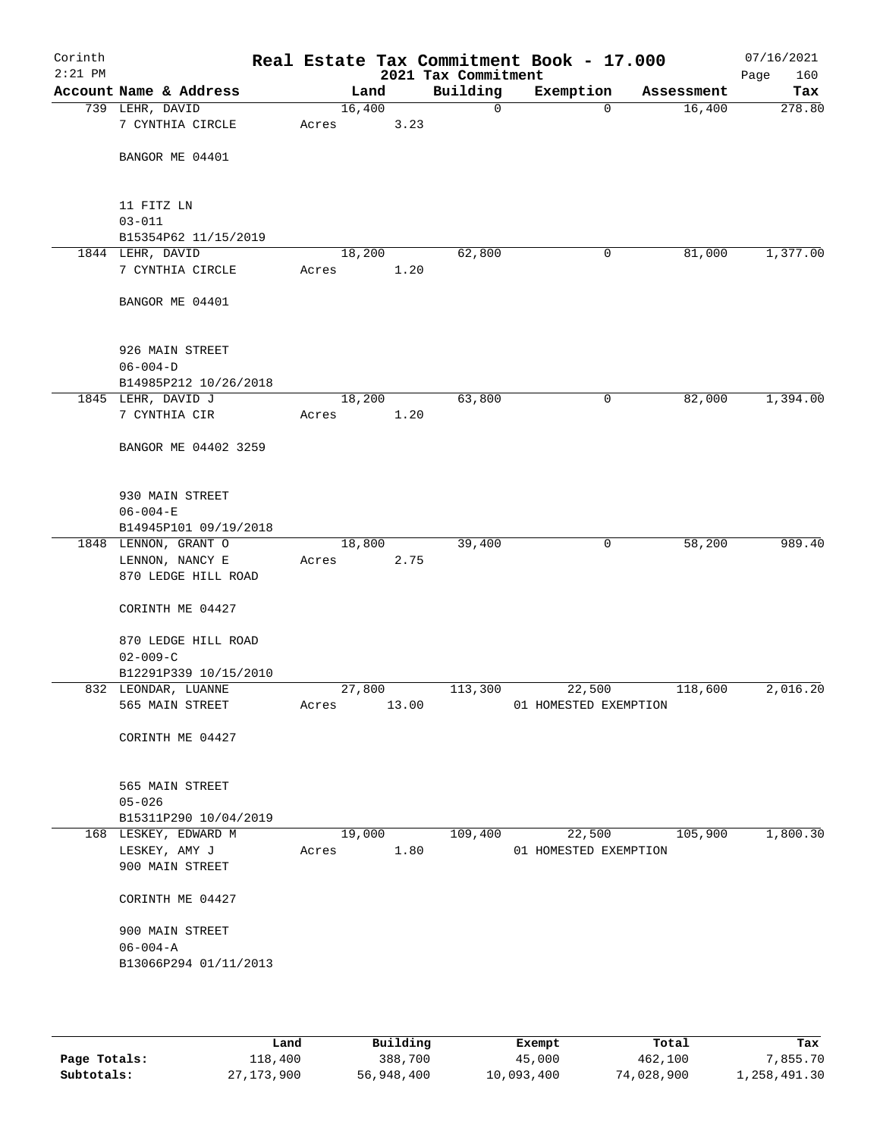| Corinth<br>$2:21$ PM |                                    |        |       | Real Estate Tax Commitment Book - 17.000<br>2021 Tax Commitment |                       |             |            | 07/16/2021<br>160<br>Page |
|----------------------|------------------------------------|--------|-------|-----------------------------------------------------------------|-----------------------|-------------|------------|---------------------------|
|                      | Account Name & Address             |        | Land  | Building                                                        | Exemption             |             | Assessment | Tax                       |
|                      | 739 LEHR, DAVID                    | 16,400 |       | 0                                                               |                       | $\mathbf 0$ | 16,400     | 278.80                    |
|                      | 7 CYNTHIA CIRCLE                   | Acres  | 3.23  |                                                                 |                       |             |            |                           |
|                      | BANGOR ME 04401                    |        |       |                                                                 |                       |             |            |                           |
|                      |                                    |        |       |                                                                 |                       |             |            |                           |
|                      | 11 FITZ LN                         |        |       |                                                                 |                       |             |            |                           |
|                      | $03 - 011$<br>B15354P62 11/15/2019 |        |       |                                                                 |                       |             |            |                           |
|                      | 1844 LEHR, DAVID                   | 18,200 |       | 62,800                                                          |                       | 0           | 81,000     | 1,377.00                  |
|                      | 7 CYNTHIA CIRCLE                   | Acres  | 1.20  |                                                                 |                       |             |            |                           |
|                      | BANGOR ME 04401                    |        |       |                                                                 |                       |             |            |                           |
|                      | 926 MAIN STREET                    |        |       |                                                                 |                       |             |            |                           |
|                      | $06 - 004 - D$                     |        |       |                                                                 |                       |             |            |                           |
|                      | B14985P212 10/26/2018              |        |       |                                                                 |                       |             |            |                           |
|                      | 1845 LEHR, DAVID J                 | 18,200 |       | 63,800                                                          |                       | 0           | 82,000     | 1,394.00                  |
|                      | 7 CYNTHIA CIR                      | Acres  | 1.20  |                                                                 |                       |             |            |                           |
|                      | BANGOR ME 04402 3259               |        |       |                                                                 |                       |             |            |                           |
|                      | 930 MAIN STREET                    |        |       |                                                                 |                       |             |            |                           |
|                      | $06 - 004 - E$                     |        |       |                                                                 |                       |             |            |                           |
|                      | B14945P101 09/19/2018              |        |       |                                                                 |                       |             |            |                           |
|                      | 1848 LENNON, GRANT O               | 18,800 |       | 39,400                                                          |                       | 0           | 58,200     | 989.40                    |
|                      | LENNON, NANCY E                    | Acres  | 2.75  |                                                                 |                       |             |            |                           |
|                      | 870 LEDGE HILL ROAD                |        |       |                                                                 |                       |             |            |                           |
|                      | CORINTH ME 04427                   |        |       |                                                                 |                       |             |            |                           |
|                      | 870 LEDGE HILL ROAD                |        |       |                                                                 |                       |             |            |                           |
|                      | $02 - 009 - C$                     |        |       |                                                                 |                       |             |            |                           |
|                      | B12291P339 10/15/2010              |        |       |                                                                 |                       |             |            |                           |
|                      | 832 LEONDAR, LUANNE                | 27,800 |       | 113,300                                                         | 22,500                |             | 118,600    | 2,016.20                  |
|                      | 565 MAIN STREET                    | Acres  | 13.00 |                                                                 | 01 HOMESTED EXEMPTION |             |            |                           |
|                      | CORINTH ME 04427                   |        |       |                                                                 |                       |             |            |                           |
|                      | 565 MAIN STREET                    |        |       |                                                                 |                       |             |            |                           |
|                      | $05 - 026$                         |        |       |                                                                 |                       |             |            |                           |
|                      | B15311P290 10/04/2019              |        |       |                                                                 |                       |             |            |                           |
|                      | 168 LESKEY, EDWARD M               | 19,000 |       | 109,400                                                         | 22,500                |             | 105,900    | 1,800.30                  |
|                      | LESKEY, AMY J<br>900 MAIN STREET   | Acres  | 1.80  |                                                                 | 01 HOMESTED EXEMPTION |             |            |                           |
|                      | CORINTH ME 04427                   |        |       |                                                                 |                       |             |            |                           |
|                      | 900 MAIN STREET                    |        |       |                                                                 |                       |             |            |                           |
|                      | $06 - 004 - A$                     |        |       |                                                                 |                       |             |            |                           |
|                      | B13066P294 01/11/2013              |        |       |                                                                 |                       |             |            |                           |
|                      |                                    |        |       |                                                                 |                       |             |            |                           |
|                      |                                    |        |       |                                                                 |                       |             |            |                           |

|              | Land         | Building   | Exempt     | Total      | Tax          |
|--------------|--------------|------------|------------|------------|--------------|
| Page Totals: | 118,400      | 388,700    | 45,000     | 462,100    | 7,855.70     |
| Subtotals:   | 27, 173, 900 | 56,948,400 | 10,093,400 | 74,028,900 | 1,258,491.30 |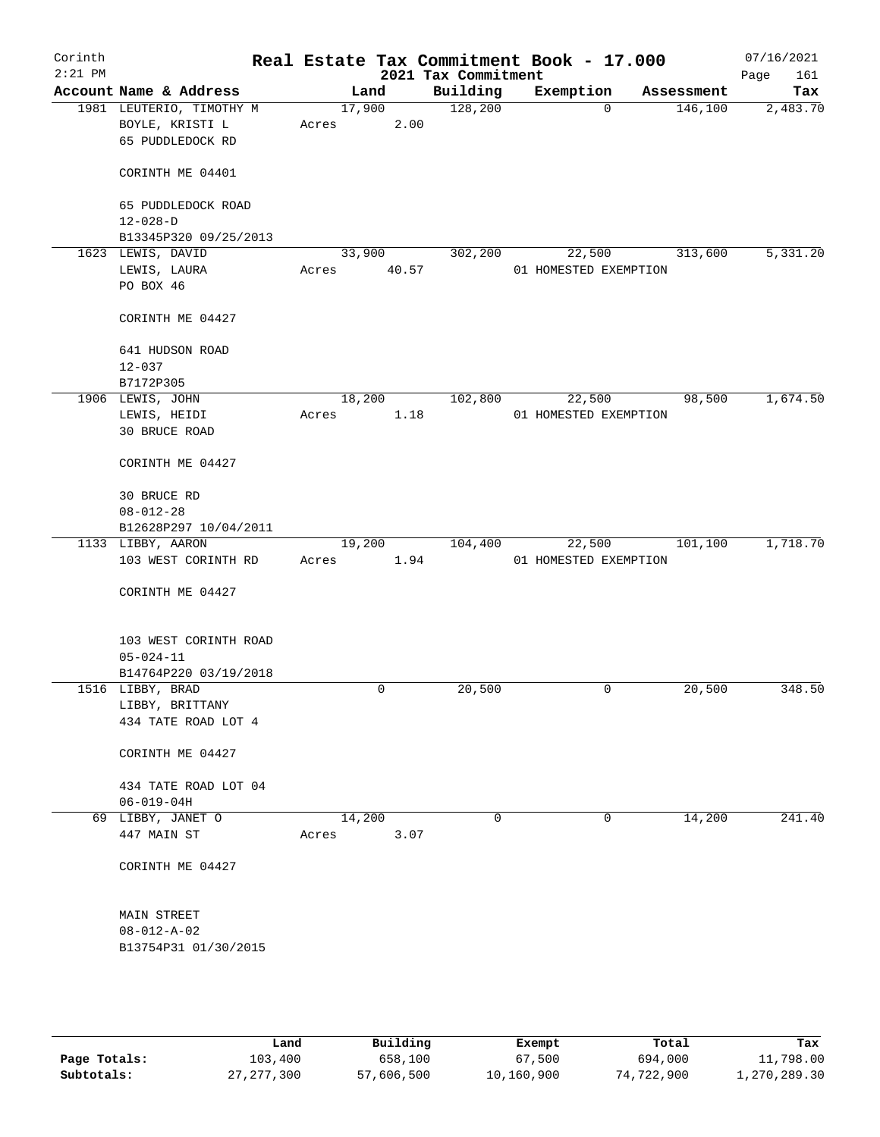| Corinth<br>$2:21$ PM |                                            |        |        | Real Estate Tax Commitment Book - 17.000<br>2021 Tax Commitment |                       |             |            | 07/16/2021<br>161<br>Page |
|----------------------|--------------------------------------------|--------|--------|-----------------------------------------------------------------|-----------------------|-------------|------------|---------------------------|
|                      | Account Name & Address                     |        | Land   | Building                                                        | Exemption             |             | Assessment | Tax                       |
|                      | 1981 LEUTERIO, TIMOTHY M                   |        | 17,900 | 128,200                                                         |                       | $\mathbf 0$ | 146,100    | 2,483.70                  |
|                      | BOYLE, KRISTI L                            | Acres  | 2.00   |                                                                 |                       |             |            |                           |
|                      | 65 PUDDLEDOCK RD                           |        |        |                                                                 |                       |             |            |                           |
|                      | CORINTH ME 04401                           |        |        |                                                                 |                       |             |            |                           |
|                      | 65 PUDDLEDOCK ROAD                         |        |        |                                                                 |                       |             |            |                           |
|                      | $12 - 028 - D$                             |        |        |                                                                 |                       |             |            |                           |
|                      | B13345P320 09/25/2013<br>1623 LEWIS, DAVID |        | 33,900 | 302,200                                                         | 22,500                |             | 313,600    | 5,331.20                  |
|                      | LEWIS, LAURA                               | Acres  | 40.57  |                                                                 | 01 HOMESTED EXEMPTION |             |            |                           |
|                      | PO BOX 46                                  |        |        |                                                                 |                       |             |            |                           |
|                      |                                            |        |        |                                                                 |                       |             |            |                           |
|                      | CORINTH ME 04427                           |        |        |                                                                 |                       |             |            |                           |
|                      | 641 HUDSON ROAD                            |        |        |                                                                 |                       |             |            |                           |
|                      | $12 - 037$                                 |        |        |                                                                 |                       |             |            |                           |
|                      | B7172P305                                  |        |        |                                                                 |                       |             |            |                           |
|                      | 1906 LEWIS, JOHN                           |        | 18,200 | 102,800                                                         | 22,500                |             | 98,500     | 1,674.50                  |
|                      | LEWIS, HEIDI                               | Acres  | 1.18   |                                                                 | 01 HOMESTED EXEMPTION |             |            |                           |
|                      | 30 BRUCE ROAD                              |        |        |                                                                 |                       |             |            |                           |
|                      | CORINTH ME 04427                           |        |        |                                                                 |                       |             |            |                           |
|                      |                                            |        |        |                                                                 |                       |             |            |                           |
|                      | 30 BRUCE RD<br>$08 - 012 - 28$             |        |        |                                                                 |                       |             |            |                           |
|                      | B12628P297 10/04/2011                      |        |        |                                                                 |                       |             |            |                           |
|                      | 1133 LIBBY, AARON                          |        | 19,200 | 104,400                                                         | 22,500                |             | 101,100    | 1,718.70                  |
|                      | 103 WEST CORINTH RD                        | Acres  | 1.94   |                                                                 | 01 HOMESTED EXEMPTION |             |            |                           |
|                      |                                            |        |        |                                                                 |                       |             |            |                           |
|                      | CORINTH ME 04427                           |        |        |                                                                 |                       |             |            |                           |
|                      | 103 WEST CORINTH ROAD                      |        |        |                                                                 |                       |             |            |                           |
|                      | $05 - 024 - 11$                            |        |        |                                                                 |                       |             |            |                           |
|                      | B14764P220 03/19/2018                      |        |        |                                                                 |                       |             |            |                           |
|                      | 1516 LIBBY, BRAD                           |        | 0      | 20,500                                                          |                       | 0           | 20,500     | 348.50                    |
|                      | LIBBY, BRITTANY                            |        |        |                                                                 |                       |             |            |                           |
|                      | 434 TATE ROAD LOT 4                        |        |        |                                                                 |                       |             |            |                           |
|                      | CORINTH ME 04427                           |        |        |                                                                 |                       |             |            |                           |
|                      |                                            |        |        |                                                                 |                       |             |            |                           |
|                      | 434 TATE ROAD LOT 04                       |        |        |                                                                 |                       |             |            |                           |
|                      | $06 - 019 - 04H$                           | 14,200 |        | 0                                                               |                       | 0           | 14,200     | 241.40                    |
|                      | 69 LIBBY, JANET O<br>447 MAIN ST           | Acres  | 3.07   |                                                                 |                       |             |            |                           |
|                      |                                            |        |        |                                                                 |                       |             |            |                           |
|                      | CORINTH ME 04427                           |        |        |                                                                 |                       |             |            |                           |
|                      |                                            |        |        |                                                                 |                       |             |            |                           |
|                      | MAIN STREET                                |        |        |                                                                 |                       |             |            |                           |
|                      | $08 - 012 - A - 02$                        |        |        |                                                                 |                       |             |            |                           |
|                      | B13754P31 01/30/2015                       |        |        |                                                                 |                       |             |            |                           |
|                      |                                            |        |        |                                                                 |                       |             |            |                           |
|                      |                                            |        |        |                                                                 |                       |             |            |                           |
|                      |                                            |        |        |                                                                 |                       |             |            |                           |

|              | Land         | Building   | Exempt     | Total      | Tax          |
|--------------|--------------|------------|------------|------------|--------------|
| Page Totals: | 103,400      | 658,100    | 67,500     | 694,000    | 11,798.00    |
| Subtotals:   | 27, 277, 300 | 57,606,500 | 10,160,900 | 74,722,900 | 1,270,289.30 |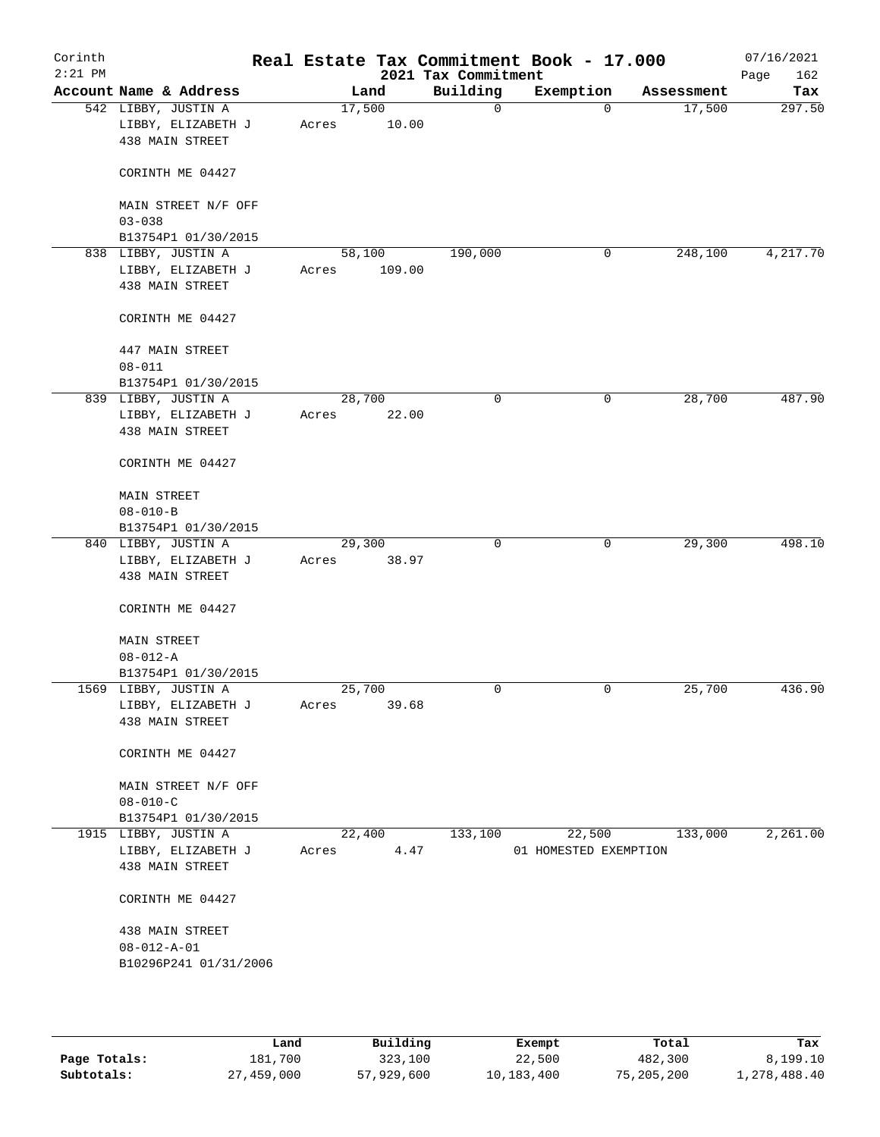| Corinth<br>$2:21$ PM |                                                                 |       |                 | 2021 Tax Commitment | Real Estate Tax Commitment Book - 17.000 |            | 07/16/2021<br>Page<br>162 |
|----------------------|-----------------------------------------------------------------|-------|-----------------|---------------------|------------------------------------------|------------|---------------------------|
|                      | Account Name & Address                                          |       | Land            | Building            | Exemption                                | Assessment | Tax                       |
|                      | 542 LIBBY, JUSTIN A<br>LIBBY, ELIZABETH J<br>438 MAIN STREET    | Acres | 17,500<br>10.00 | 0                   | $\mathbf 0$                              | 17,500     | 297.50                    |
|                      | CORINTH ME 04427                                                |       |                 |                     |                                          |            |                           |
|                      | MAIN STREET N/F OFF<br>$03 - 038$                               |       |                 |                     |                                          |            |                           |
|                      | B13754P1 01/30/2015<br>838 LIBBY, JUSTIN A                      |       | 58,100          | 190,000             | 0                                        | 248,100    | 4,217.70                  |
|                      | LIBBY, ELIZABETH J<br>438 MAIN STREET                           | Acres | 109.00          |                     |                                          |            |                           |
|                      | CORINTH ME 04427                                                |       |                 |                     |                                          |            |                           |
|                      | 447 MAIN STREET<br>$08 - 011$                                   |       |                 |                     |                                          |            |                           |
|                      | B13754P1 01/30/2015                                             |       |                 |                     |                                          |            |                           |
|                      | 839 LIBBY, JUSTIN A                                             |       | 28,700          | 0                   | 0                                        | 28,700     | 487.90                    |
|                      | LIBBY, ELIZABETH J<br>438 MAIN STREET                           | Acres | 22.00           |                     |                                          |            |                           |
|                      | CORINTH ME 04427                                                |       |                 |                     |                                          |            |                           |
|                      | MAIN STREET<br>$08 - 010 - B$                                   |       |                 |                     |                                          |            |                           |
|                      | B13754P1 01/30/2015                                             |       |                 |                     |                                          |            |                           |
|                      | 840 LIBBY, JUSTIN A                                             |       | 29,300          | $\mathbf 0$         | $\mathbf 0$                              | 29,300     | 498.10                    |
|                      | LIBBY, ELIZABETH J<br>438 MAIN STREET                           | Acres | 38.97           |                     |                                          |            |                           |
|                      | CORINTH ME 04427                                                |       |                 |                     |                                          |            |                           |
|                      | <b>MAIN STREET</b>                                              |       |                 |                     |                                          |            |                           |
|                      | $08 - 012 - A$                                                  |       |                 |                     |                                          |            |                           |
|                      | B13754P1 01/30/2015                                             |       |                 |                     |                                          |            |                           |
|                      | 1569 LIBBY, JUSTIN A                                            |       | 25,700          | 0                   | $\mathbf 0$                              | 25,700     | 436.90                    |
|                      | LIBBY, ELIZABETH J<br>438 MAIN STREET                           | Acres | 39.68           |                     |                                          |            |                           |
|                      | CORINTH ME 04427                                                |       |                 |                     |                                          |            |                           |
|                      | MAIN STREET N/F OFF                                             |       |                 |                     |                                          |            |                           |
|                      | $08 - 010 - C$                                                  |       |                 |                     |                                          |            |                           |
|                      | B13754P1 01/30/2015                                             |       |                 |                     |                                          |            |                           |
|                      | 1915 LIBBY, JUSTIN A                                            |       | 22,400          | 133,100             | 22,500                                   | 133,000    | 2,261.00                  |
|                      | LIBBY, ELIZABETH J<br>438 MAIN STREET                           | Acres | 4.47            |                     | 01 HOMESTED EXEMPTION                    |            |                           |
|                      | CORINTH ME 04427                                                |       |                 |                     |                                          |            |                           |
|                      | 438 MAIN STREET<br>$08 - 012 - A - 01$<br>B10296P241 01/31/2006 |       |                 |                     |                                          |            |                           |
|                      |                                                                 |       |                 |                     |                                          |            |                           |

|              | Land       | Building   | Exempt     | Total      | Tax          |
|--------------|------------|------------|------------|------------|--------------|
| Page Totals: | 181,700    | 323,100    | 22,500     | 482,300    | 8,199.10     |
| Subtotals:   | 27,459,000 | 57,929,600 | 10,183,400 | 75,205,200 | 1,278,488.40 |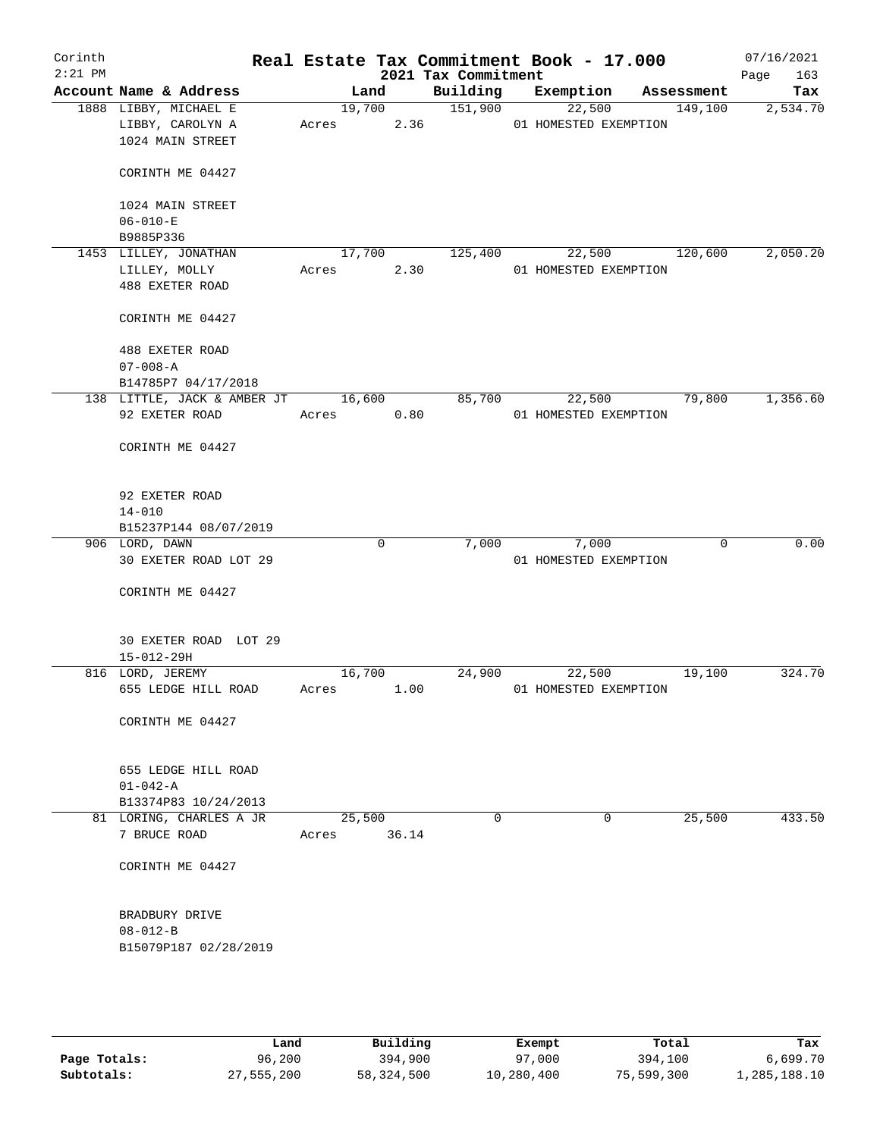| Corinth   |                                    |       |            |       |                     | Real Estate Tax Commitment Book - 17.000 |            | 07/16/2021  |
|-----------|------------------------------------|-------|------------|-------|---------------------|------------------------------------------|------------|-------------|
| $2:21$ PM |                                    |       |            |       | 2021 Tax Commitment |                                          |            | 163<br>Page |
|           | Account Name & Address             |       | Land       |       | Building            | Exemption                                | Assessment | Tax         |
|           | 1888 LIBBY, MICHAEL E              |       |            |       | 19,700 151,900      | 22,500                                   | 149,100    | 2,534.70    |
|           | LIBBY, CAROLYN A                   |       |            |       | Acres 2.36          | 01 HOMESTED EXEMPTION                    |            |             |
|           | 1024 MAIN STREET                   |       |            |       |                     |                                          |            |             |
|           |                                    |       |            |       |                     |                                          |            |             |
|           | CORINTH ME 04427                   |       |            |       |                     |                                          |            |             |
|           |                                    |       |            |       |                     |                                          |            |             |
|           | 1024 MAIN STREET                   |       |            |       |                     |                                          |            |             |
|           | $06 - 010 - E$                     |       |            |       |                     |                                          |            |             |
|           | B9885P336                          |       |            |       |                     |                                          |            |             |
|           | 1453 LILLEY, JONATHAN              |       | 17,700     |       | 125,400             | 22,500                                   | 120,600    | 2,050.20    |
|           | LILLEY, MOLLY                      | Acres |            | 2.30  |                     | 01 HOMESTED EXEMPTION                    |            |             |
|           | 488 EXETER ROAD                    |       |            |       |                     |                                          |            |             |
|           |                                    |       |            |       |                     |                                          |            |             |
|           | CORINTH ME 04427                   |       |            |       |                     |                                          |            |             |
|           |                                    |       |            |       |                     |                                          |            |             |
|           | 488 EXETER ROAD                    |       |            |       |                     |                                          |            |             |
|           | $07 - 008 - A$                     |       |            |       |                     |                                          |            |             |
|           | B14785P7 04/17/2018                |       |            |       |                     |                                          |            |             |
|           | 138 LITTLE, JACK & AMBER JT 16,600 |       |            |       | 85,700              | 22,500                                   | 79,800     | 1,356.60    |
|           | 92 EXETER ROAD                     |       | Acres 0.80 |       |                     | 01 HOMESTED EXEMPTION                    |            |             |
|           |                                    |       |            |       |                     |                                          |            |             |
|           |                                    |       |            |       |                     |                                          |            |             |
|           | CORINTH ME 04427                   |       |            |       |                     |                                          |            |             |
|           |                                    |       |            |       |                     |                                          |            |             |
|           |                                    |       |            |       |                     |                                          |            |             |
|           | 92 EXETER ROAD                     |       |            |       |                     |                                          |            |             |
|           | $14 - 010$                         |       |            |       |                     |                                          |            |             |
|           | B15237P144 08/07/2019              |       |            |       |                     |                                          |            |             |
|           | 906 LORD, DAWN                     |       | 0          |       | 7,000               | 7,000                                    | 0          | 0.00        |
|           | 30 EXETER ROAD LOT 29              |       |            |       |                     | 01 HOMESTED EXEMPTION                    |            |             |
|           |                                    |       |            |       |                     |                                          |            |             |
|           | CORINTH ME 04427                   |       |            |       |                     |                                          |            |             |
|           |                                    |       |            |       |                     |                                          |            |             |
|           |                                    |       |            |       |                     |                                          |            |             |
|           | 30 EXETER ROAD LOT 29              |       |            |       |                     |                                          |            |             |
|           | $15 - 012 - 29H$                   |       |            |       |                     |                                          |            |             |
|           | 816 LORD, JEREMY                   |       | 16,700     |       | 24,900              | 22,500                                   | 19,100     | 324.70      |
|           | 655 LEDGE HILL ROAD                | Acres |            | 1.00  |                     | 01 HOMESTED EXEMPTION                    |            |             |
|           |                                    |       |            |       |                     |                                          |            |             |
|           | CORINTH ME 04427                   |       |            |       |                     |                                          |            |             |
|           |                                    |       |            |       |                     |                                          |            |             |
|           |                                    |       |            |       |                     |                                          |            |             |
|           | 655 LEDGE HILL ROAD                |       |            |       |                     |                                          |            |             |
|           | $01 - 042 - A$                     |       |            |       |                     |                                          |            |             |
|           | B13374P83 10/24/2013               |       |            |       |                     |                                          |            |             |
|           | 81 LORING, CHARLES A JR            |       | 25,500     |       | 0                   | 0                                        | 25,500     | 433.50      |
|           | 7 BRUCE ROAD                       | Acres |            | 36.14 |                     |                                          |            |             |
|           |                                    |       |            |       |                     |                                          |            |             |
|           | CORINTH ME 04427                   |       |            |       |                     |                                          |            |             |
|           |                                    |       |            |       |                     |                                          |            |             |
|           |                                    |       |            |       |                     |                                          |            |             |
|           | BRADBURY DRIVE                     |       |            |       |                     |                                          |            |             |
|           | $08 - 012 - B$                     |       |            |       |                     |                                          |            |             |
|           | B15079P187 02/28/2019              |       |            |       |                     |                                          |            |             |
|           |                                    |       |            |       |                     |                                          |            |             |
|           |                                    |       |            |       |                     |                                          |            |             |
|           |                                    |       |            |       |                     |                                          |            |             |
|           |                                    |       |            |       |                     |                                          |            |             |
|           |                                    |       |            |       |                     |                                          |            |             |

|              | Land       | Building   | Exempt     | Total      | Tax          |
|--------------|------------|------------|------------|------------|--------------|
| Page Totals: | 96,200     | 394,900    | 97,000     | 394,100    | 6,699.70     |
| Subtotals:   | 27,555,200 | 58,324,500 | 10,280,400 | 75,599,300 | 1,285,188.10 |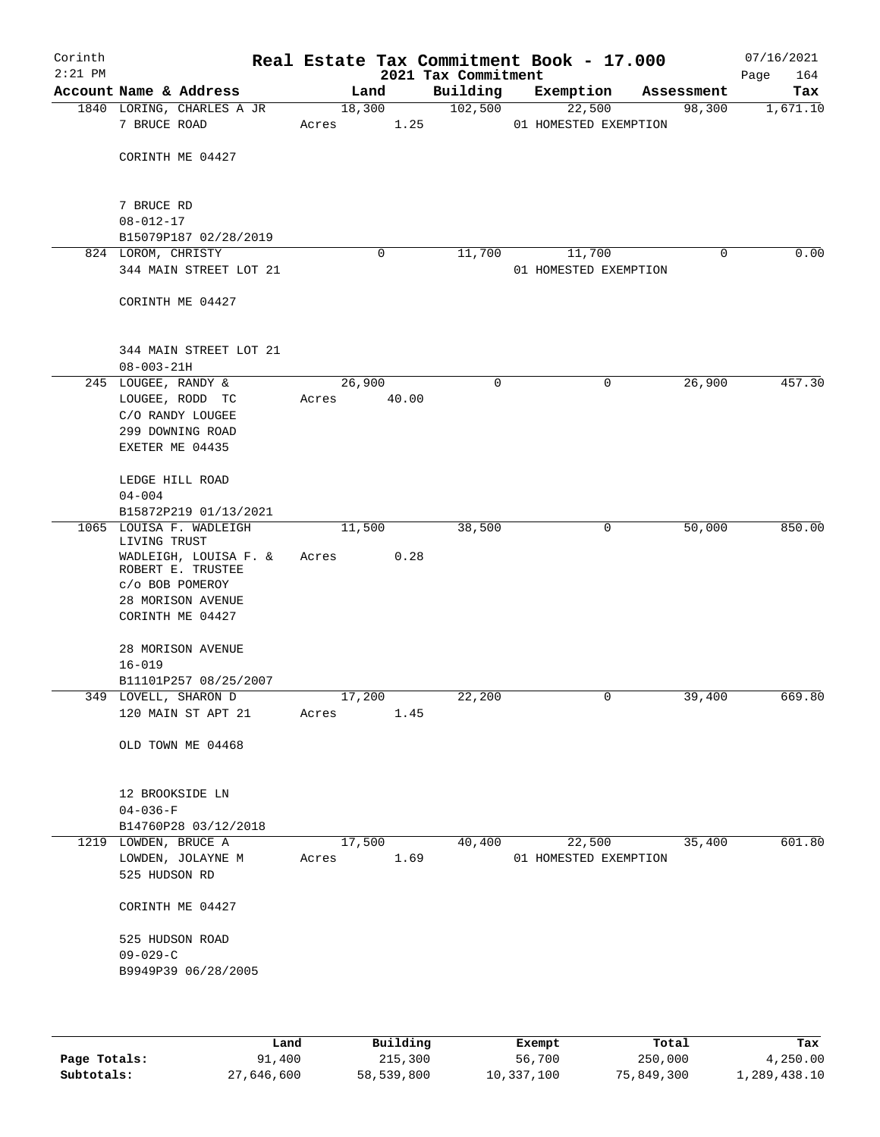| Corinth<br>$2:21$ PM |                                            |        |                | 2021 Tax Commitment | Real Estate Tax Commitment Book - 17.000 |            | 07/16/2021<br>164<br>Page |
|----------------------|--------------------------------------------|--------|----------------|---------------------|------------------------------------------|------------|---------------------------|
|                      | Account Name & Address                     | Land   |                | Building            | Exemption                                | Assessment | Tax                       |
|                      | 1840 LORING, CHARLES A JR<br>7 BRUCE ROAD  | Acres  | 18,300<br>1.25 | 102,500             | 22,500<br>01 HOMESTED EXEMPTION          | 98,300     | 1,671.10                  |
|                      | CORINTH ME 04427                           |        |                |                     |                                          |            |                           |
|                      | 7 BRUCE RD<br>$08 - 012 - 17$              |        |                |                     |                                          |            |                           |
|                      | B15079P187 02/28/2019                      |        |                |                     |                                          |            |                           |
|                      | 824 LOROM, CHRISTY                         |        | 0              | 11,700              | 11,700                                   | 0          | 0.00                      |
|                      | 344 MAIN STREET LOT 21                     |        |                |                     | 01 HOMESTED EXEMPTION                    |            |                           |
|                      | CORINTH ME 04427                           |        |                |                     |                                          |            |                           |
|                      | 344 MAIN STREET LOT 21                     |        |                |                     |                                          |            |                           |
|                      | $08 - 003 - 21H$<br>245 LOUGEE, RANDY &    | 26,900 |                | 0                   | 0                                        | 26,900     | 457.30                    |
|                      | LOUGEE, RODD TC                            | Acres  | 40.00          |                     |                                          |            |                           |
|                      | C/O RANDY LOUGEE                           |        |                |                     |                                          |            |                           |
|                      | 299 DOWNING ROAD                           |        |                |                     |                                          |            |                           |
|                      | EXETER ME 04435                            |        |                |                     |                                          |            |                           |
|                      | LEDGE HILL ROAD                            |        |                |                     |                                          |            |                           |
|                      | $04 - 004$<br>B15872P219 01/13/2021        |        |                |                     |                                          |            |                           |
|                      | 1065 LOUISA F. WADLEIGH                    | 11,500 |                | 38,500              | 0                                        | 50,000     | 850.00                    |
|                      | LIVING TRUST                               |        |                |                     |                                          |            |                           |
|                      | WADLEIGH, LOUISA F. &<br>ROBERT E. TRUSTEE | Acres  | 0.28           |                     |                                          |            |                           |
|                      | c/o BOB POMEROY<br>28 MORISON AVENUE       |        |                |                     |                                          |            |                           |
|                      | CORINTH ME 04427                           |        |                |                     |                                          |            |                           |
|                      |                                            |        |                |                     |                                          |            |                           |
|                      | 28 MORISON AVENUE                          |        |                |                     |                                          |            |                           |
|                      | $16 - 019$<br>B11101P257 08/25/2007        |        |                |                     |                                          |            |                           |
|                      | 349 LOVELL, SHARON D                       | 17,200 |                | 22,200              | 0                                        | 39,400     | 669.80                    |
|                      | 120 MAIN ST APT 21                         | Acres  | 1.45           |                     |                                          |            |                           |
|                      | OLD TOWN ME 04468                          |        |                |                     |                                          |            |                           |
|                      |                                            |        |                |                     |                                          |            |                           |
|                      | 12 BROOKSIDE LN                            |        |                |                     |                                          |            |                           |
|                      | $04 - 036 - F$                             |        |                |                     |                                          |            |                           |
|                      | B14760P28 03/12/2018                       |        |                |                     |                                          |            |                           |
|                      | 1219 LOWDEN, BRUCE A                       | 17,500 |                | 40,400              | 22,500                                   | 35,400     | 601.80                    |
|                      | LOWDEN, JOLAYNE M                          | Acres  | 1.69           |                     | 01 HOMESTED EXEMPTION                    |            |                           |
|                      | 525 HUDSON RD                              |        |                |                     |                                          |            |                           |
|                      | CORINTH ME 04427                           |        |                |                     |                                          |            |                           |
|                      | 525 HUDSON ROAD                            |        |                |                     |                                          |            |                           |
|                      | $09 - 029 - C$                             |        |                |                     |                                          |            |                           |
|                      | B9949P39 06/28/2005                        |        |                |                     |                                          |            |                           |
|                      |                                            |        |                |                     |                                          |            |                           |
|                      |                                            |        |                |                     |                                          |            |                           |

|              | Land       | Building   | Exempt     | Total      | Tax          |
|--------------|------------|------------|------------|------------|--------------|
| Page Totals: | 91,400     | 215,300    | 56,700     | 250,000    | 4,250.00     |
| Subtotals:   | 27,646,600 | 58,539,800 | 10,337,100 | 75,849,300 | 1,289,438.10 |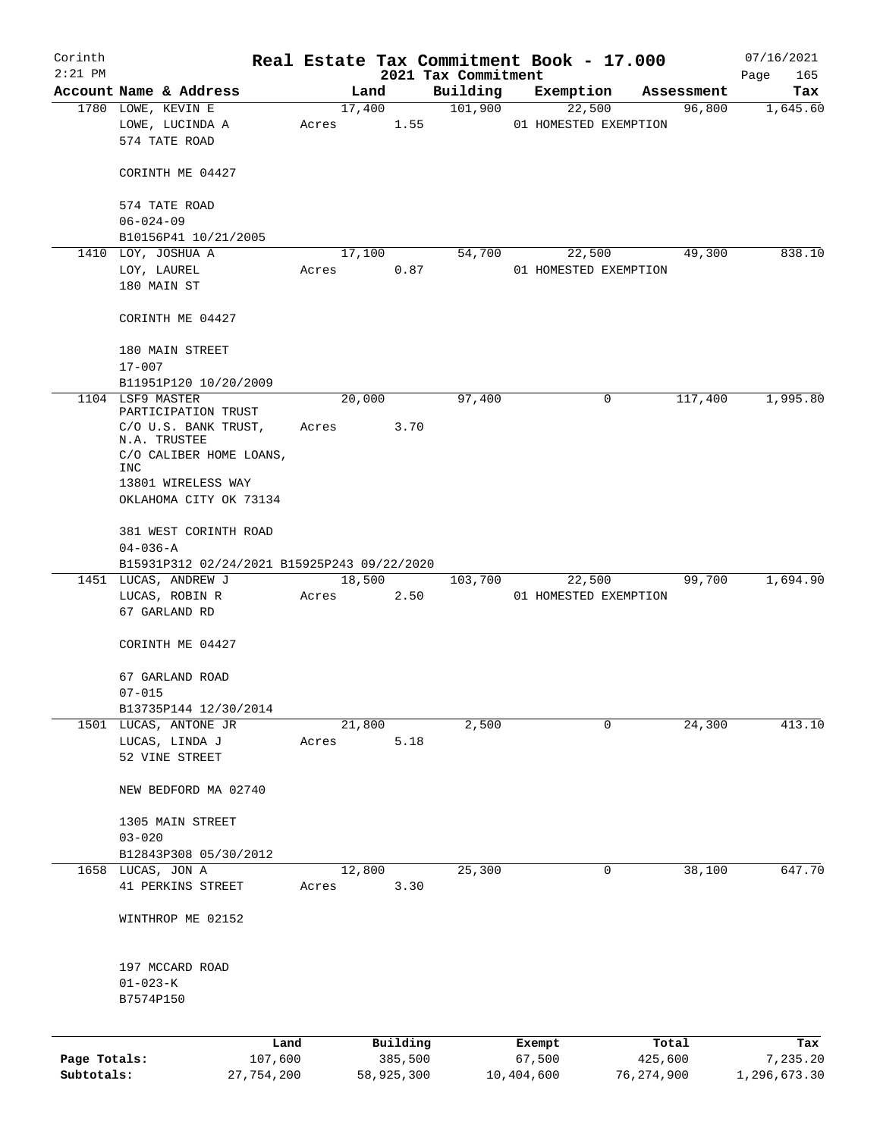| Corinth      |                                              |                 |        |                |                     | Real Estate Tax Commitment Book - 17.000 |                      | 07/16/2021      |
|--------------|----------------------------------------------|-----------------|--------|----------------|---------------------|------------------------------------------|----------------------|-----------------|
| $2:21$ PM    |                                              |                 |        |                | 2021 Tax Commitment |                                          |                      | Page<br>165     |
|              | Account Name & Address<br>1780 LOWE, KEVIN E |                 | Land   |                | Building<br>101,900 | Exemption                                | Assessment<br>96,800 | Tax<br>1,645.60 |
|              | LOWE, LUCINDA A<br>574 TATE ROAD             | Acres           |        | 17,400<br>1.55 |                     | 22,500<br>01 HOMESTED EXEMPTION          |                      |                 |
|              | CORINTH ME 04427                             |                 |        |                |                     |                                          |                      |                 |
|              | 574 TATE ROAD                                |                 |        |                |                     |                                          |                      |                 |
|              | $06 - 024 - 09$                              |                 |        |                |                     |                                          |                      |                 |
|              | B10156P41 10/21/2005                         |                 |        |                |                     |                                          |                      |                 |
|              | 1410 LOY, JOSHUA A<br>LOY, LAUREL            | Acres           |        | 17,100<br>0.87 | 54,700              | 22,500<br>01 HOMESTED EXEMPTION          | 49,300               | 838.10          |
|              | 180 MAIN ST                                  |                 |        |                |                     |                                          |                      |                 |
|              | CORINTH ME 04427                             |                 |        |                |                     |                                          |                      |                 |
|              | 180 MAIN STREET<br>$17 - 007$                |                 |        |                |                     |                                          |                      |                 |
|              | B11951P120 10/20/2009                        |                 |        |                |                     |                                          |                      |                 |
|              | 1104 LSF9 MASTER<br>PARTICIPATION TRUST      |                 | 20,000 |                | 97,400              | 0                                        | 117,400              | 1,995.80        |
|              | C/O U.S. BANK TRUST,<br>N.A. TRUSTEE         | Acres           |        | 3.70           |                     |                                          |                      |                 |
|              | C/O CALIBER HOME LOANS,<br>INC               |                 |        |                |                     |                                          |                      |                 |
|              | 13801 WIRELESS WAY                           |                 |        |                |                     |                                          |                      |                 |
|              | OKLAHOMA CITY OK 73134                       |                 |        |                |                     |                                          |                      |                 |
|              | 381 WEST CORINTH ROAD<br>$04 - 036 - A$      |                 |        |                |                     |                                          |                      |                 |
|              | B15931P312 02/24/2021 B15925P243 09/22/2020  |                 |        |                |                     |                                          |                      |                 |
|              | 1451 LUCAS, ANDREW J                         |                 | 18,500 |                | 103,700             | 22,500                                   | 99,700               | 1,694.90        |
|              | LUCAS, ROBIN R<br>67 GARLAND RD              | Acres           |        | 2.50           |                     | 01 HOMESTED EXEMPTION                    |                      |                 |
|              | CORINTH ME 04427                             |                 |        |                |                     |                                          |                      |                 |
|              | 67 GARLAND ROAD                              |                 |        |                |                     |                                          |                      |                 |
|              | $07 - 015$                                   |                 |        |                |                     |                                          |                      |                 |
|              | B13735P144 12/30/2014                        |                 |        |                |                     |                                          |                      |                 |
|              | 1501 LUCAS, ANTONE JR                        |                 | 21,800 |                | 2,500               | 0                                        | 24,300               | 413.10          |
|              | LUCAS, LINDA J                               | Acres           |        | 5.18           |                     |                                          |                      |                 |
|              | 52 VINE STREET                               |                 |        |                |                     |                                          |                      |                 |
|              | NEW BEDFORD MA 02740                         |                 |        |                |                     |                                          |                      |                 |
|              | 1305 MAIN STREET                             |                 |        |                |                     |                                          |                      |                 |
|              | $03 - 020$                                   |                 |        |                |                     |                                          |                      |                 |
|              | B12843P308 05/30/2012<br>1658 LUCAS, JON A   |                 | 12,800 |                | 25,300              | 0                                        | 38,100               | 647.70          |
|              | 41 PERKINS STREET                            | Acres           |        | 3.30           |                     |                                          |                      |                 |
|              | WINTHROP ME 02152                            |                 |        |                |                     |                                          |                      |                 |
|              | 197 MCCARD ROAD                              |                 |        |                |                     |                                          |                      |                 |
|              | $01 - 023 - K$                               |                 |        |                |                     |                                          |                      |                 |
|              | B7574P150                                    |                 |        |                |                     |                                          |                      |                 |
|              |                                              |                 |        | Building       |                     |                                          | Total                |                 |
| Page Totals: |                                              | Land<br>107,600 |        | 385,500        |                     | Exempt<br>67,500                         | 425,600              | Tax<br>7,235.20 |
| Subtotals:   | 27,754,200                                   |                 |        | 58,925,300     |                     | 10,404,600                               | 76, 274, 900         | 1,296,673.30    |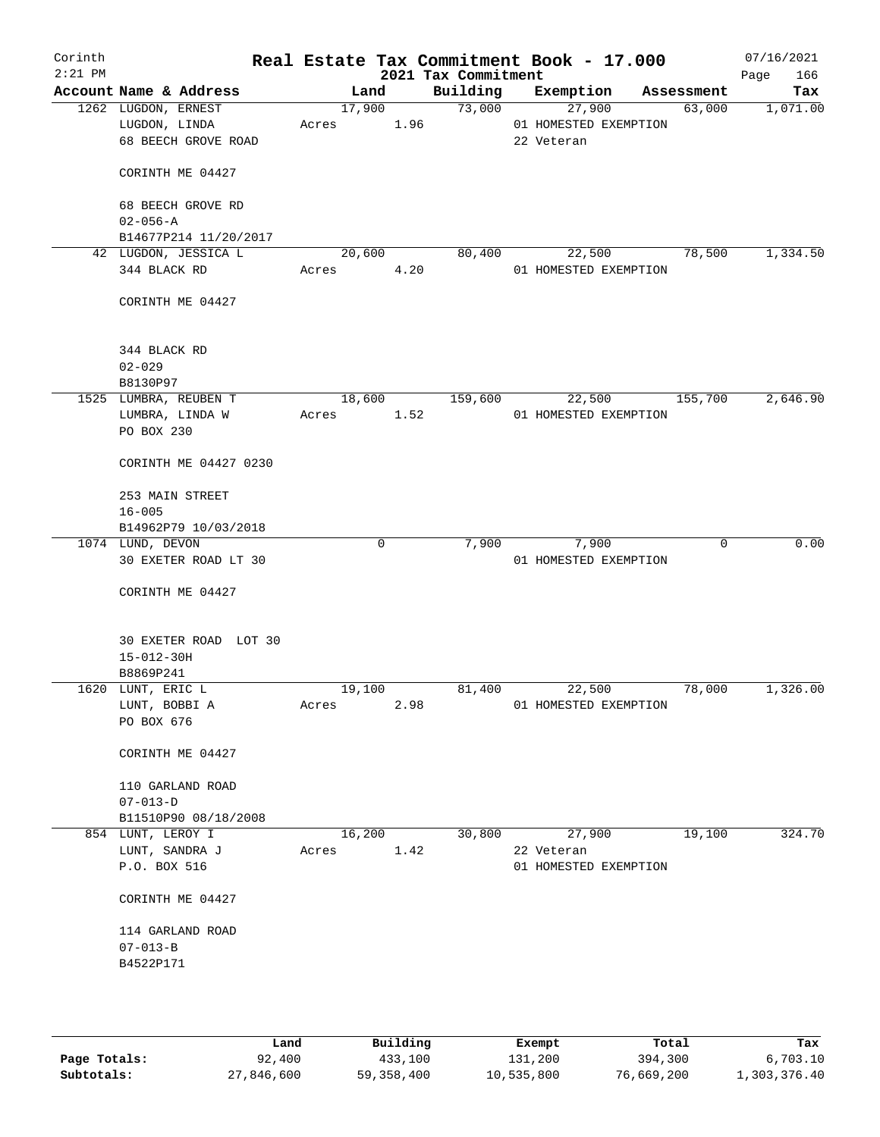| Corinth<br>$2:21$ PM |                                               |        |        | 2021 Tax Commitment | Real Estate Tax Commitment Book - 17.000 |            | 07/16/2021<br>166<br>Page |
|----------------------|-----------------------------------------------|--------|--------|---------------------|------------------------------------------|------------|---------------------------|
|                      | Account Name & Address                        | Land   |        | Building            | Exemption                                | Assessment | Tax                       |
|                      | 1262 LUGDON, ERNEST                           |        | 17,900 | 73,000              | 27,900                                   | 63,000     | 1,071.00                  |
|                      | LUGDON, LINDA                                 | Acres  | 1.96   |                     | 01 HOMESTED EXEMPTION                    |            |                           |
|                      | 68 BEECH GROVE ROAD                           |        |        |                     | 22 Veteran                               |            |                           |
|                      | CORINTH ME 04427                              |        |        |                     |                                          |            |                           |
|                      | 68 BEECH GROVE RD                             |        |        |                     |                                          |            |                           |
|                      | $02 - 056 - A$                                |        |        |                     |                                          |            |                           |
|                      | B14677P214 11/20/2017<br>42 LUGDON, JESSICA L | 20,600 |        | 80,400              | 22,500                                   | 78,500     | 1,334.50                  |
|                      | 344 BLACK RD                                  | Acres  | 4.20   |                     | 01 HOMESTED EXEMPTION                    |            |                           |
|                      |                                               |        |        |                     |                                          |            |                           |
|                      | CORINTH ME 04427                              |        |        |                     |                                          |            |                           |
|                      | 344 BLACK RD                                  |        |        |                     |                                          |            |                           |
|                      | $02 - 029$                                    |        |        |                     |                                          |            |                           |
|                      | B8130P97                                      |        |        |                     |                                          |            |                           |
|                      | 1525 LUMBRA, REUBEN T                         |        | 18,600 | 159,600             | 22,500                                   | 155,700    | 2,646.90                  |
|                      | LUMBRA, LINDA W                               | Acres  | 1.52   |                     | 01 HOMESTED EXEMPTION                    |            |                           |
|                      | PO BOX 230                                    |        |        |                     |                                          |            |                           |
|                      | CORINTH ME 04427 0230                         |        |        |                     |                                          |            |                           |
|                      | 253 MAIN STREET<br>$16 - 005$                 |        |        |                     |                                          |            |                           |
|                      | B14962P79 10/03/2018                          |        |        |                     |                                          |            |                           |
|                      | 1074 LUND, DEVON                              |        | 0      | 7,900               | 7,900                                    | 0          | 0.00                      |
|                      | 30 EXETER ROAD LT 30                          |        |        |                     | 01 HOMESTED EXEMPTION                    |            |                           |
|                      |                                               |        |        |                     |                                          |            |                           |
|                      | CORINTH ME 04427                              |        |        |                     |                                          |            |                           |
|                      | 30 EXETER ROAD LOT 30<br>$15 - 012 - 30H$     |        |        |                     |                                          |            |                           |
|                      | B8869P241                                     |        |        |                     |                                          |            |                           |
|                      | 1620 LUNT, ERIC L                             | 19,100 |        | 81,400              | 22,500                                   | 78,000     | 1,326.00                  |
|                      | LUNT, BOBBI A                                 | Acres  | 2.98   |                     | 01 HOMESTED EXEMPTION                    |            |                           |
|                      | PO BOX 676                                    |        |        |                     |                                          |            |                           |
|                      | CORINTH ME 04427                              |        |        |                     |                                          |            |                           |
|                      | 110 GARLAND ROAD                              |        |        |                     |                                          |            |                           |
|                      | $07 - 013 - D$                                |        |        |                     |                                          |            |                           |
|                      | B11510P90 08/18/2008                          |        |        |                     |                                          |            |                           |
|                      | 854 LUNT, LEROY I                             | 16,200 |        | 30,800              | 27,900                                   | 19,100     | 324.70                    |
|                      | LUNT, SANDRA J                                | Acres  | 1.42   |                     | 22 Veteran                               |            |                           |
|                      | P.O. BOX 516                                  |        |        |                     | 01 HOMESTED EXEMPTION                    |            |                           |
|                      | CORINTH ME 04427                              |        |        |                     |                                          |            |                           |
|                      | 114 GARLAND ROAD                              |        |        |                     |                                          |            |                           |
|                      | $07 - 013 - B$                                |        |        |                     |                                          |            |                           |
|                      | B4522P171                                     |        |        |                     |                                          |            |                           |
|                      |                                               |        |        |                     |                                          |            |                           |
|                      |                                               |        |        |                     |                                          |            |                           |
|                      |                                               |        |        |                     |                                          |            |                           |

|              | Land       | Building   | Exempt     | Total      | Tax          |
|--------------|------------|------------|------------|------------|--------------|
| Page Totals: | 92,400     | 433,100    | 131,200    | 394,300    | 6.703.10     |
| Subtotals:   | 27,846,600 | 59,358,400 | 10,535,800 | 76,669,200 | 1,303,376.40 |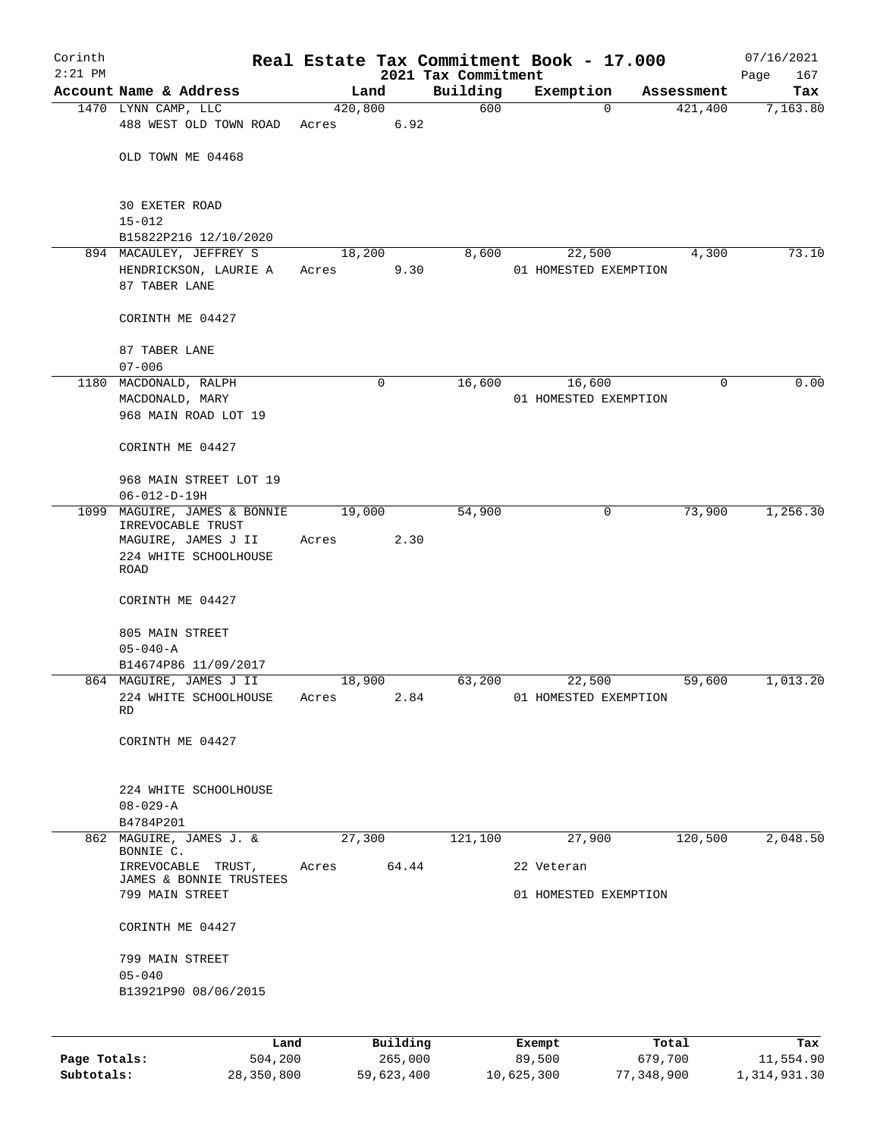| Corinth<br>$2:21$ PM |                                                                                                      |       |                | 2021 Tax Commitment | Real Estate Tax Commitment Book - 17.000 |            | 07/16/2021<br>167<br>Page |
|----------------------|------------------------------------------------------------------------------------------------------|-------|----------------|---------------------|------------------------------------------|------------|---------------------------|
|                      | Account Name & Address                                                                               |       | Land           | Building            | Exemption                                | Assessment | Tax                       |
|                      | 1470 LYNN CAMP, LLC                                                                                  |       | 420,800        | 600                 | $\Omega$                                 | 421,400    | 7,163.80                  |
|                      | 488 WEST OLD TOWN ROAD                                                                               | Acres | 6.92           |                     |                                          |            |                           |
|                      | OLD TOWN ME 04468                                                                                    |       |                |                     |                                          |            |                           |
|                      | 30 EXETER ROAD<br>$15 - 012$                                                                         |       |                |                     |                                          |            |                           |
|                      | B15822P216 12/10/2020                                                                                |       |                |                     |                                          |            |                           |
|                      | 894 MACAULEY, JEFFREY S<br>HENDRICKSON, LAURIE A<br>87 TABER LANE                                    | Acres | 18,200<br>9.30 | 8,600               | 22,500<br>01 HOMESTED EXEMPTION          | 4,300      | 73.10                     |
|                      | CORINTH ME 04427                                                                                     |       |                |                     |                                          |            |                           |
|                      | 87 TABER LANE<br>$07 - 006$                                                                          |       |                |                     |                                          |            |                           |
|                      | 1180 MACDONALD, RALPH                                                                                |       | 0              | 16,600              | 16,600                                   | 0          | 0.00                      |
|                      | MACDONALD, MARY<br>968 MAIN ROAD LOT 19                                                              |       |                |                     | 01 HOMESTED EXEMPTION                    |            |                           |
|                      | CORINTH ME 04427                                                                                     |       |                |                     |                                          |            |                           |
|                      | 968 MAIN STREET LOT 19<br>$06 - 012 - D - 19H$                                                       |       |                |                     |                                          |            |                           |
| 1099                 | MAGUIRE, JAMES & BONNIE<br>IRREVOCABLE TRUST<br>MAGUIRE, JAMES J II<br>224 WHITE SCHOOLHOUSE<br>ROAD | Acres | 19,000<br>2.30 | 54,900              | 0                                        | 73,900     | 1,256.30                  |
|                      | CORINTH ME 04427                                                                                     |       |                |                     |                                          |            |                           |
|                      | 805 MAIN STREET<br>$05 - 040 - A$                                                                    |       |                |                     |                                          |            |                           |
|                      | B14674P86 11/09/2017                                                                                 |       |                |                     |                                          |            |                           |
|                      | 864 MAGUIRE, JAMES J II                                                                              |       | 18,900         | 63,200              | 22,500                                   | 59,600     | 1,013.20                  |
|                      | 224 WHITE SCHOOLHOUSE Acres<br>RD                                                                    |       | 2.84           |                     | 01 HOMESTED EXEMPTION                    |            |                           |
|                      | CORINTH ME 04427                                                                                     |       |                |                     |                                          |            |                           |
|                      | 224 WHITE SCHOOLHOUSE<br>$08 - 029 - A$<br>B4784P201                                                 |       |                |                     |                                          |            |                           |
|                      | 862 MAGUIRE, JAMES J. &<br>BONNIE C.                                                                 |       | 27,300         | 121,100             | 27,900                                   | 120,500    | 2,048.50                  |
|                      | IRREVOCABLE TRUST,<br>JAMES & BONNIE TRUSTEES                                                        | Acres | 64.44          |                     | 22 Veteran                               |            |                           |
|                      | 799 MAIN STREET                                                                                      |       |                |                     | 01 HOMESTED EXEMPTION                    |            |                           |
|                      | CORINTH ME 04427                                                                                     |       |                |                     |                                          |            |                           |
|                      | 799 MAIN STREET<br>$05 - 040$                                                                        |       |                |                     |                                          |            |                           |
|                      | B13921P90 08/06/2015                                                                                 |       |                |                     |                                          |            |                           |
|                      | Land                                                                                                 |       | Building       |                     |                                          | Total      | Tax                       |
| Page Totals:         | 504,200                                                                                              |       | 265,000        |                     | Exempt<br>89,500                         | 679,700    | 11,554.90                 |

**Subtotals:** 28,350,800 59,623,400 10,625,300 77,348,900 1,314,931.30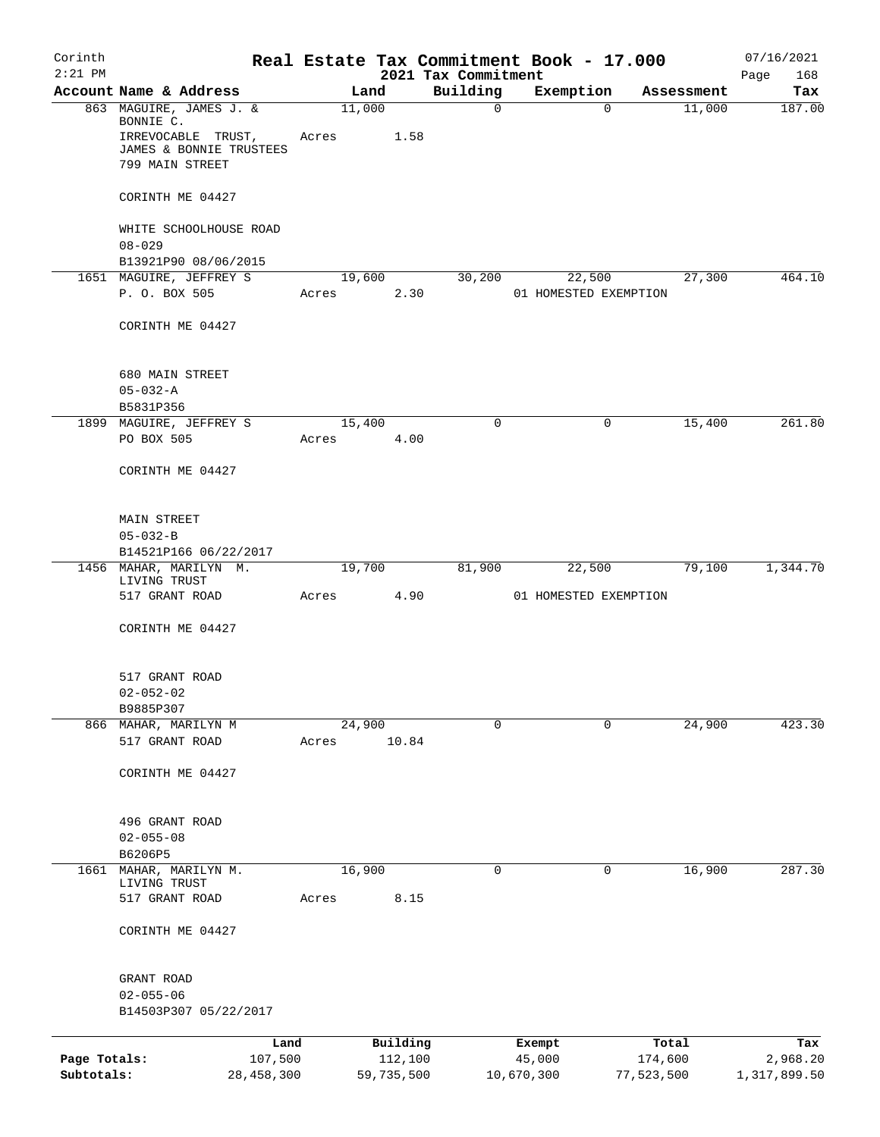| Corinth<br>$2:21$ PM |                                                                                                          |       |                     | 2021 Tax Commitment | Real Estate Tax Commitment Book - 17.000 |                  | 07/16/2021<br>Page<br>168 |
|----------------------|----------------------------------------------------------------------------------------------------------|-------|---------------------|---------------------|------------------------------------------|------------------|---------------------------|
|                      | Account Name & Address                                                                                   |       | Land                | Building            | Exemption                                | Assessment       | Tax                       |
|                      | 863 MAGUIRE, JAMES J. &<br>BONNIE C.<br>IRREVOCABLE TRUST,<br>JAMES & BONNIE TRUSTEES<br>799 MAIN STREET | Acres | 11,000<br>1.58      | $\mathsf{O}$        | $\Omega$                                 | 11,000           | 187.00                    |
|                      | CORINTH ME 04427                                                                                         |       |                     |                     |                                          |                  |                           |
|                      | WHITE SCHOOLHOUSE ROAD<br>$08 - 029$                                                                     |       |                     |                     |                                          |                  |                           |
|                      | B13921P90 08/06/2015                                                                                     |       |                     |                     |                                          |                  |                           |
|                      | 1651 MAGUIRE, JEFFREY S                                                                                  |       | 19,600              | 30,200              | 22,500                                   | 27,300           | 464.10                    |
|                      | P. O. BOX 505                                                                                            | Acres | 2.30                |                     | 01 HOMESTED EXEMPTION                    |                  |                           |
|                      | CORINTH ME 04427                                                                                         |       |                     |                     |                                          |                  |                           |
|                      | 680 MAIN STREET                                                                                          |       |                     |                     |                                          |                  |                           |
|                      | $05 - 032 - A$                                                                                           |       |                     |                     |                                          |                  |                           |
|                      | B5831P356                                                                                                |       |                     |                     |                                          |                  |                           |
|                      | 1899 MAGUIRE, JEFFREY S<br>PO BOX 505                                                                    | Acres | 15,400<br>4.00      | $\Omega$            | 0                                        | 15,400           | 261.80                    |
|                      | CORINTH ME 04427                                                                                         |       |                     |                     |                                          |                  |                           |
|                      | MAIN STREET                                                                                              |       |                     |                     |                                          |                  |                           |
|                      | $05 - 032 - B$                                                                                           |       |                     |                     |                                          |                  |                           |
|                      | B14521P166 06/22/2017<br>1456 MAHAR, MARILYN M.                                                          |       | 19,700              | 81,900              | 22,500                                   | 79,100           | 1,344.70                  |
|                      | LIVING TRUST                                                                                             |       |                     |                     |                                          |                  |                           |
|                      | 517 GRANT ROAD                                                                                           | Acres | 4.90                |                     | 01 HOMESTED EXEMPTION                    |                  |                           |
|                      | CORINTH ME 04427                                                                                         |       |                     |                     |                                          |                  |                           |
|                      | 517 GRANT ROAD                                                                                           |       |                     |                     |                                          |                  |                           |
|                      | $02 - 052 - 02$                                                                                          |       |                     |                     |                                          |                  |                           |
|                      | B9885P307                                                                                                |       |                     |                     |                                          |                  |                           |
|                      | 866 MAHAR, MARILYN M<br>517 GRANT ROAD                                                                   | Acres | 24,900<br>10.84     | $\mathbf 0$         | 0                                        | 24,900           | 423.30                    |
|                      | CORINTH ME 04427                                                                                         |       |                     |                     |                                          |                  |                           |
|                      | 496 GRANT ROAD                                                                                           |       |                     |                     |                                          |                  |                           |
|                      | $02 - 055 - 08$<br>B6206P5                                                                               |       |                     |                     |                                          |                  |                           |
| 1661                 | MAHAR, MARILYN M.<br>LIVING TRUST                                                                        |       | 16,900              | 0                   | 0                                        | 16,900           | 287.30                    |
|                      | 517 GRANT ROAD                                                                                           | Acres | 8.15                |                     |                                          |                  |                           |
|                      | CORINTH ME 04427                                                                                         |       |                     |                     |                                          |                  |                           |
|                      | GRANT ROAD                                                                                               |       |                     |                     |                                          |                  |                           |
|                      | $02 - 055 - 06$<br>B14503P307 05/22/2017                                                                 |       |                     |                     |                                          |                  |                           |
|                      |                                                                                                          |       |                     |                     |                                          |                  |                           |
| Page Totals:         | 107,500                                                                                                  | Land  | Building<br>112,100 |                     | Exempt<br>45,000                         | Total<br>174,600 | Tax<br>2,968.20           |
| Subtotals:           | 28, 458, 300                                                                                             |       | 59,735,500          |                     | 10,670,300                               | 77,523,500       | 1,317,899.50              |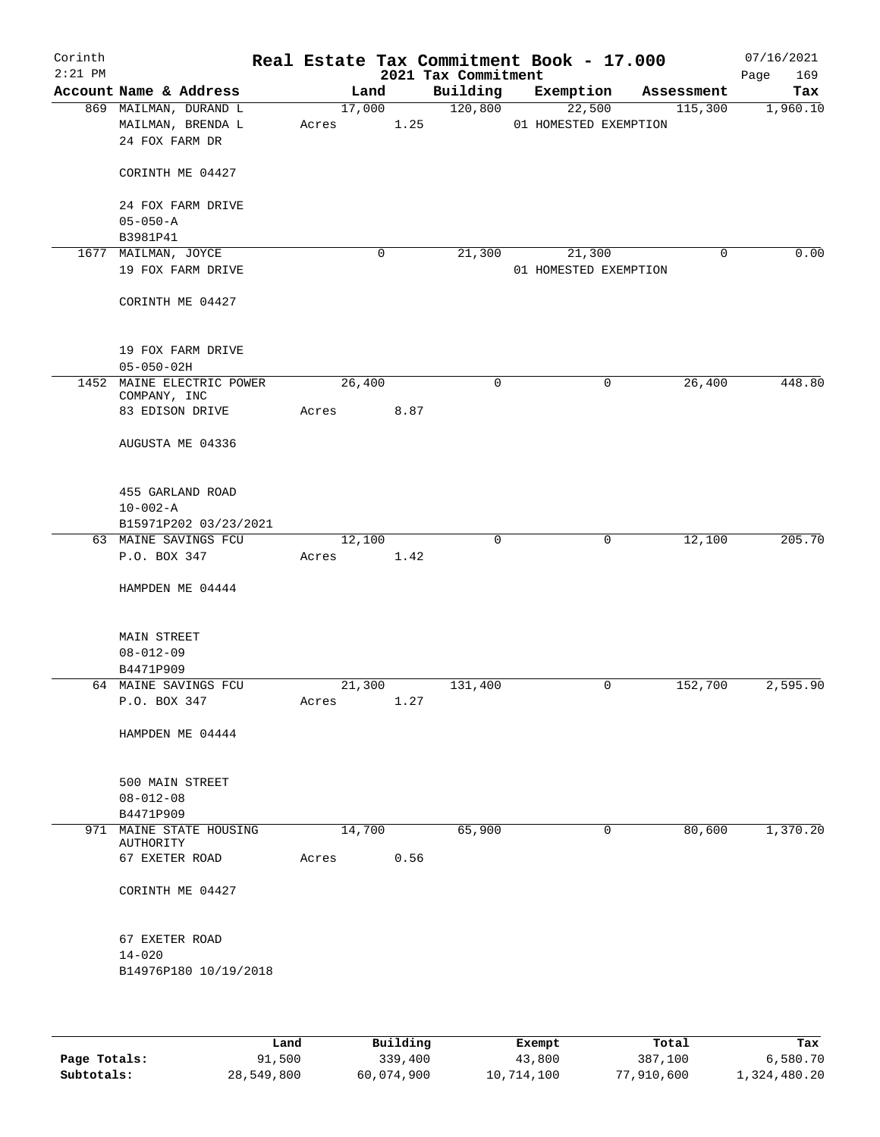| Corinth<br>$2:21$ PM |                                                              |                 |      | 2021 Tax Commitment | Real Estate Tax Commitment Book - 17.000 |                       | 07/16/2021<br>169<br>Page |
|----------------------|--------------------------------------------------------------|-----------------|------|---------------------|------------------------------------------|-----------------------|---------------------------|
|                      | Account Name & Address                                       | Land            |      | Building            | Exemption                                | Assessment            | Tax                       |
|                      | 869 MAILMAN, DURAND L<br>MAILMAN, BRENDA L<br>24 FOX FARM DR | 17,000<br>Acres | 1.25 | 120,800             | 22,500<br>01 HOMESTED EXEMPTION          | 115,300               | 1,960.10                  |
|                      | CORINTH ME 04427                                             |                 |      |                     |                                          |                       |                           |
|                      | 24 FOX FARM DRIVE<br>$05 - 050 - A$                          |                 |      |                     |                                          |                       |                           |
|                      | B3981P41                                                     |                 |      |                     |                                          |                       |                           |
|                      | 1677 MAILMAN, JOYCE                                          |                 | 0    | 21,300              | 21,300                                   | 0                     | 0.00                      |
|                      | 19 FOX FARM DRIVE                                            |                 |      |                     | 01 HOMESTED EXEMPTION                    |                       |                           |
|                      | CORINTH ME 04427                                             |                 |      |                     |                                          |                       |                           |
|                      | 19 FOX FARM DRIVE                                            |                 |      |                     |                                          |                       |                           |
|                      | $05 - 050 - 02H$                                             |                 |      |                     |                                          |                       | 448.80                    |
|                      | 1452 MAINE ELECTRIC POWER<br>COMPANY, INC                    | 26,400          |      | 0                   |                                          | 26,400<br>0           |                           |
|                      | 83 EDISON DRIVE                                              | Acres           | 8.87 |                     |                                          |                       |                           |
|                      | AUGUSTA ME 04336                                             |                 |      |                     |                                          |                       |                           |
|                      | 455 GARLAND ROAD                                             |                 |      |                     |                                          |                       |                           |
|                      | $10 - 002 - A$                                               |                 |      |                     |                                          |                       |                           |
|                      | B15971P202 03/23/2021                                        |                 |      |                     |                                          |                       |                           |
|                      | 63 MAINE SAVINGS FCU<br>P.O. BOX 347                         | 12,100<br>Acres | 1.42 | $\mathbf 0$         |                                          | 12,100<br>$\mathbf 0$ | 205.70                    |
|                      | HAMPDEN ME 04444                                             |                 |      |                     |                                          |                       |                           |
|                      | <b>MAIN STREET</b>                                           |                 |      |                     |                                          |                       |                           |
|                      | $08 - 012 - 09$                                              |                 |      |                     |                                          |                       |                           |
|                      | B4471P909                                                    |                 |      |                     |                                          |                       | 2,595.90                  |
|                      | 64 MAINE SAVINGS FCU<br>P.O. BOX 347                         | 21,300<br>Acres | 1.27 | 131,400             |                                          | 152,700<br>0          |                           |
|                      | HAMPDEN ME 04444                                             |                 |      |                     |                                          |                       |                           |
|                      | 500 MAIN STREET                                              |                 |      |                     |                                          |                       |                           |
|                      | $08 - 012 - 08$                                              |                 |      |                     |                                          |                       |                           |
|                      | B4471P909                                                    |                 |      |                     |                                          |                       |                           |
|                      | 971 MAINE STATE HOUSING<br><b>AUTHORITY</b>                  | 14,700          |      | 65,900              |                                          | 80,600<br>0           | 1,370.20                  |
|                      | 67 EXETER ROAD                                               | Acres           | 0.56 |                     |                                          |                       |                           |
|                      | CORINTH ME 04427                                             |                 |      |                     |                                          |                       |                           |
|                      | 67 EXETER ROAD                                               |                 |      |                     |                                          |                       |                           |
|                      | $14 - 020$<br>B14976P180 10/19/2018                          |                 |      |                     |                                          |                       |                           |
|                      |                                                              |                 |      |                     |                                          |                       |                           |

|              | Land       | Building   | Exempt     | Total      | Tax          |
|--------------|------------|------------|------------|------------|--------------|
| Page Totals: | 91,500     | 339,400    | 43,800     | 387,100    | 6,580.70     |
| Subtotals:   | 28,549,800 | 60,074,900 | 10,714,100 | 77,910,600 | 1,324,480.20 |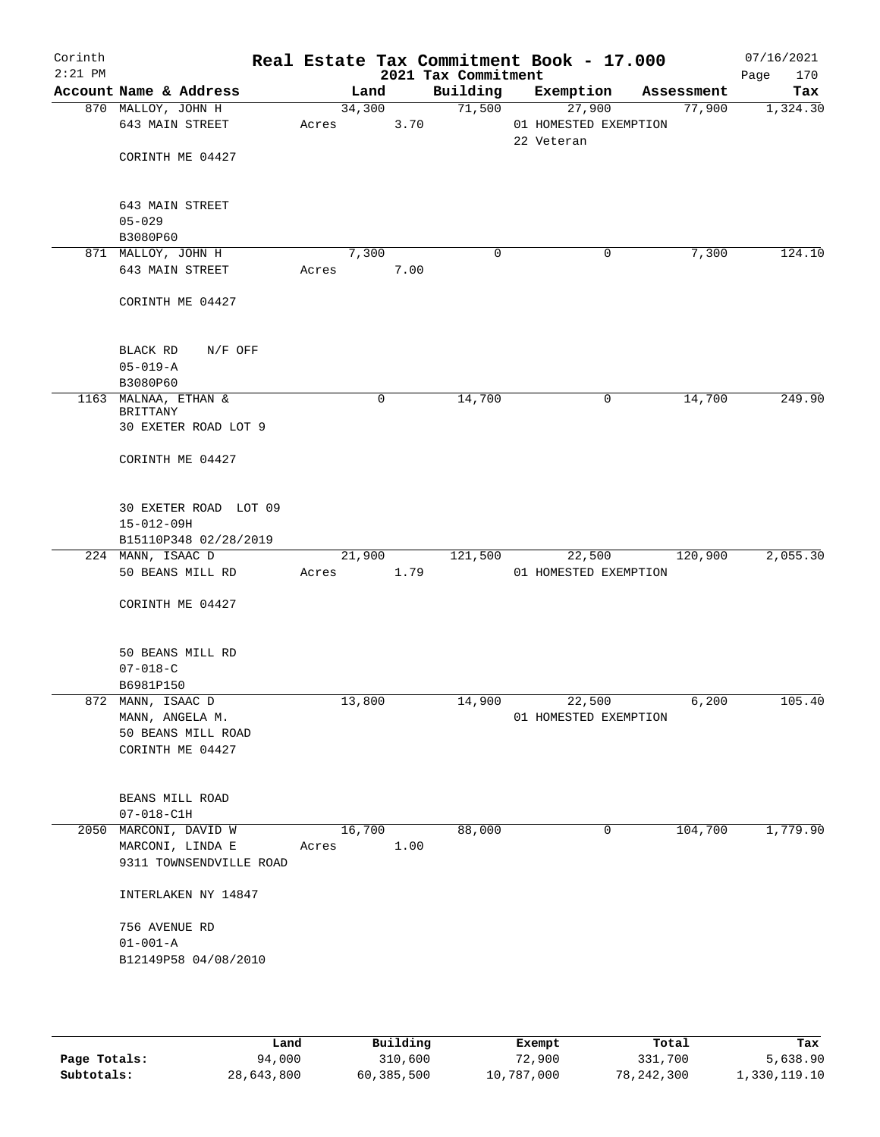| Corinth<br>$2:21$ PM |                                                                                |       |        |      | 2021 Tax Commitment | Real Estate Tax Commitment Book - 17.000      |            | 07/16/2021<br>170<br>Page |
|----------------------|--------------------------------------------------------------------------------|-------|--------|------|---------------------|-----------------------------------------------|------------|---------------------------|
|                      | Account Name & Address                                                         |       | Land   |      | Building            | Exemption                                     | Assessment | Tax                       |
|                      | 870 MALLOY, JOHN H<br>643 MAIN STREET<br>CORINTH ME 04427                      | Acres | 34,300 | 3.70 | 71,500              | 27,900<br>01 HOMESTED EXEMPTION<br>22 Veteran | 77,900     | 1,324.30                  |
|                      | 643 MAIN STREET<br>$05 - 029$<br>B3080P60                                      |       |        |      |                     |                                               |            |                           |
|                      | 871 MALLOY, JOHN H<br>643 MAIN STREET                                          | Acres | 7,300  | 7.00 | 0                   | 0                                             | 7,300      | 124.10                    |
|                      | CORINTH ME 04427                                                               |       |        |      |                     |                                               |            |                           |
|                      | N/F OFF<br>BLACK RD<br>$05 - 019 - A$<br>B3080P60                              |       |        |      |                     |                                               |            |                           |
|                      | 1163 MALNAA, ETHAN &<br>BRITTANY<br>30 EXETER ROAD LOT 9                       |       | 0      |      | 14,700              | 0                                             | 14,700     | 249.90                    |
|                      | CORINTH ME 04427                                                               |       |        |      |                     |                                               |            |                           |
|                      | 30 EXETER ROAD LOT 09<br>$15 - 012 - 09H$<br>B15110P348 02/28/2019             |       |        |      |                     |                                               |            |                           |
|                      | 224 MANN, ISAAC D                                                              |       | 21,900 |      | 121,500             | 22,500                                        | 120,900    | 2,055.30                  |
|                      | 50 BEANS MILL RD<br>CORINTH ME 04427                                           | Acres |        | 1.79 |                     | 01 HOMESTED EXEMPTION                         |            |                           |
|                      |                                                                                |       |        |      |                     |                                               |            |                           |
|                      | 50 BEANS MILL RD<br>$07 - 018 - C$<br>B6981P150                                |       |        |      |                     |                                               |            |                           |
|                      | 872 MANN, ISAAC D<br>MANN, ANGELA M.<br>50 BEANS MILL ROAD<br>CORINTH ME 04427 |       | 13,800 |      | 14,900              | 22,500<br>01 HOMESTED EXEMPTION               | 6,200      | 105.40                    |
|                      | BEANS MILL ROAD<br>$07 - 018 - C1H$                                            |       |        |      |                     |                                               |            |                           |
|                      | 2050 MARCONI, DAVID W<br>MARCONI, LINDA E<br>9311 TOWNSENDVILLE ROAD           | Acres | 16,700 | 1.00 | 88,000              | 0                                             | 104,700    | 1,779.90                  |
|                      | INTERLAKEN NY 14847                                                            |       |        |      |                     |                                               |            |                           |
|                      | 756 AVENUE RD<br>$01 - 001 - A$<br>B12149P58 04/08/2010                        |       |        |      |                     |                                               |            |                           |

|              | Land       | Building   | Exempt     | Total      | Tax          |
|--------------|------------|------------|------------|------------|--------------|
| Page Totals: | 94,000     | 310,600    | 72,900     | 331,700    | 5,638.90     |
| Subtotals:   | 28,643,800 | 60,385,500 | 10,787,000 | 78,242,300 | 1,330,119.10 |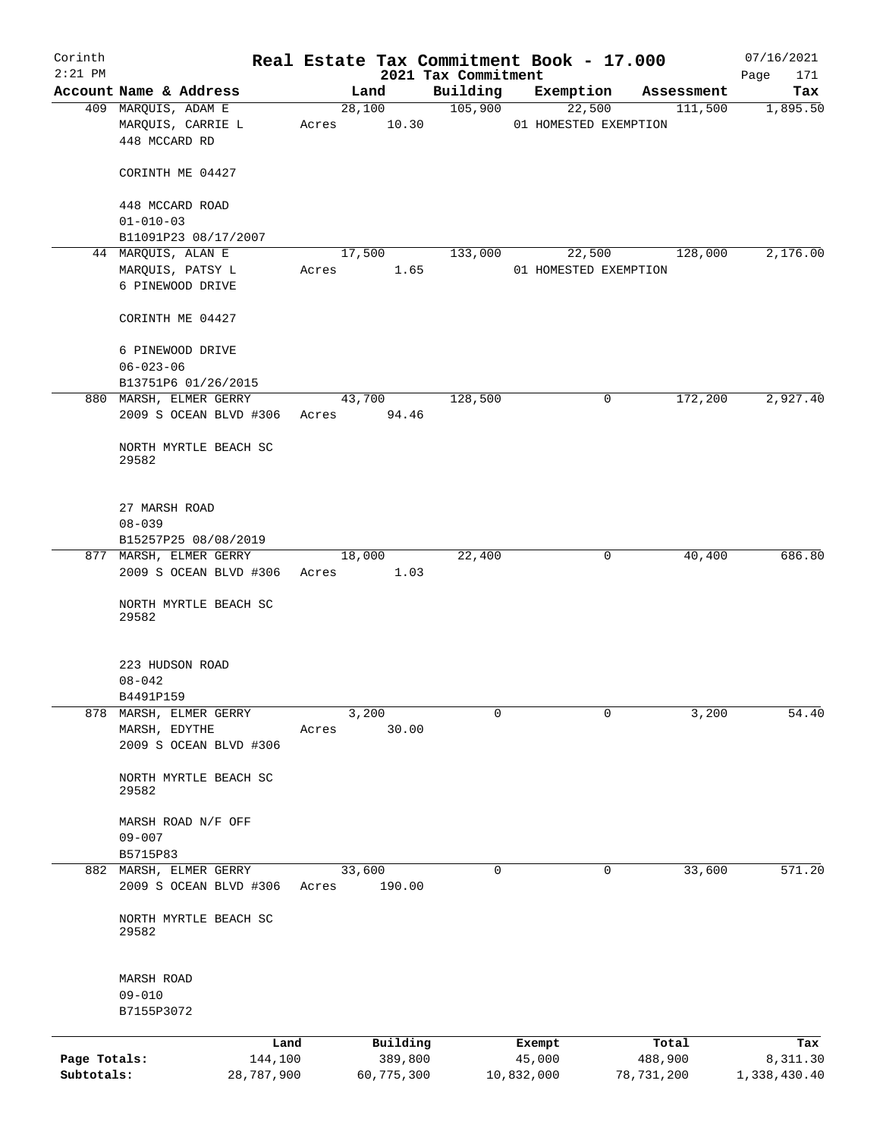| Corinth<br>$2:21$ PM |                                                  |                      |            | Real Estate Tax Commitment Book - 17.000 |                       |              |            | 07/16/2021         |
|----------------------|--------------------------------------------------|----------------------|------------|------------------------------------------|-----------------------|--------------|------------|--------------------|
|                      | Account Name & Address                           |                      | Land       | 2021 Tax Commitment<br>Building          | Exemption             |              | Assessment | 171<br>Page<br>Tax |
|                      | 409 MARQUIS, ADAM E                              |                      | 28,100     | 105,900                                  |                       | 22,500       | 111,500    | 1,895.50           |
|                      | MARQUIS, CARRIE L<br>448 MCCARD RD               | Acres 10.30          |            |                                          | 01 HOMESTED EXEMPTION |              |            |                    |
|                      | CORINTH ME 04427                                 |                      |            |                                          |                       |              |            |                    |
|                      | 448 MCCARD ROAD                                  |                      |            |                                          |                       |              |            |                    |
|                      | $01 - 010 - 03$                                  |                      |            |                                          |                       |              |            |                    |
|                      | B11091P23 08/17/2007                             |                      |            |                                          |                       |              |            |                    |
|                      | 44 MARQUIS, ALAN E                               | 17,500               |            | 133,000                                  |                       | 22,500       | 128,000    | 2,176.00           |
|                      | MARQUIS, PATSY L<br>6 PINEWOOD DRIVE             | Acres                | 1.65       |                                          | 01 HOMESTED EXEMPTION |              |            |                    |
|                      | CORINTH ME 04427                                 |                      |            |                                          |                       |              |            |                    |
|                      | 6 PINEWOOD DRIVE<br>$06 - 023 - 06$              |                      |            |                                          |                       |              |            |                    |
|                      | B13751P6 01/26/2015                              |                      |            |                                          |                       |              |            |                    |
|                      | 880 MARSH, ELMER GERRY                           |                      | 43,700     | 128,500                                  |                       | $\mathsf{O}$ | 172,200    | 2,927.40           |
|                      | 2009 S OCEAN BLVD #306                           | Acres                | 94.46      |                                          |                       |              |            |                    |
|                      | NORTH MYRTLE BEACH SC<br>29582                   |                      |            |                                          |                       |              |            |                    |
|                      | 27 MARSH ROAD                                    |                      |            |                                          |                       |              |            |                    |
|                      | $08 - 039$                                       |                      |            |                                          |                       |              |            |                    |
|                      | B15257P25 08/08/2019                             |                      |            |                                          |                       |              |            |                    |
|                      | 877 MARSH, ELMER GERRY<br>2009 S OCEAN BLVD #306 | 18,000<br>Acres 1.03 |            | 22,400                                   |                       | 0            | 40,400     | 686.80             |
|                      | NORTH MYRTLE BEACH SC<br>29582                   |                      |            |                                          |                       |              |            |                    |
|                      | 223 HUDSON ROAD                                  |                      |            |                                          |                       |              |            |                    |
|                      | $08 - 042$                                       |                      |            |                                          |                       |              |            |                    |
|                      | B4491P159                                        |                      |            |                                          |                       |              |            |                    |
| 878                  | MARSH, ELMER GERRY                               |                      | 3,200      | 0                                        |                       | 0            | 3,200      | 54.40              |
|                      | MARSH, EDYTHE<br>2009 S OCEAN BLVD #306          | Acres                | 30.00      |                                          |                       |              |            |                    |
|                      | NORTH MYRTLE BEACH SC<br>29582                   |                      |            |                                          |                       |              |            |                    |
|                      | MARSH ROAD N/F OFF<br>$09 - 007$                 |                      |            |                                          |                       |              |            |                    |
|                      | B5715P83                                         |                      |            |                                          |                       |              |            |                    |
|                      | 882 MARSH, ELMER GERRY<br>2009 S OCEAN BLVD #306 | 33,600<br>Acres      | 190.00     | 0                                        |                       | 0            | 33,600     | 571.20             |
|                      | NORTH MYRTLE BEACH SC<br>29582                   |                      |            |                                          |                       |              |            |                    |
|                      | <b>MARSH ROAD</b>                                |                      |            |                                          |                       |              |            |                    |
|                      | $09 - 010$<br>B7155P3072                         |                      |            |                                          |                       |              |            |                    |
|                      | Land                                             |                      | Building   |                                          | Exempt                |              | Total      | Tax                |
| Page Totals:         | 144,100                                          |                      | 389,800    |                                          | 45,000                |              | 488,900    | 8,311.30           |
| Subtotals:           | 28,787,900                                       |                      | 60,775,300 |                                          | 10,832,000            |              | 78,731,200 | 1,338,430.40       |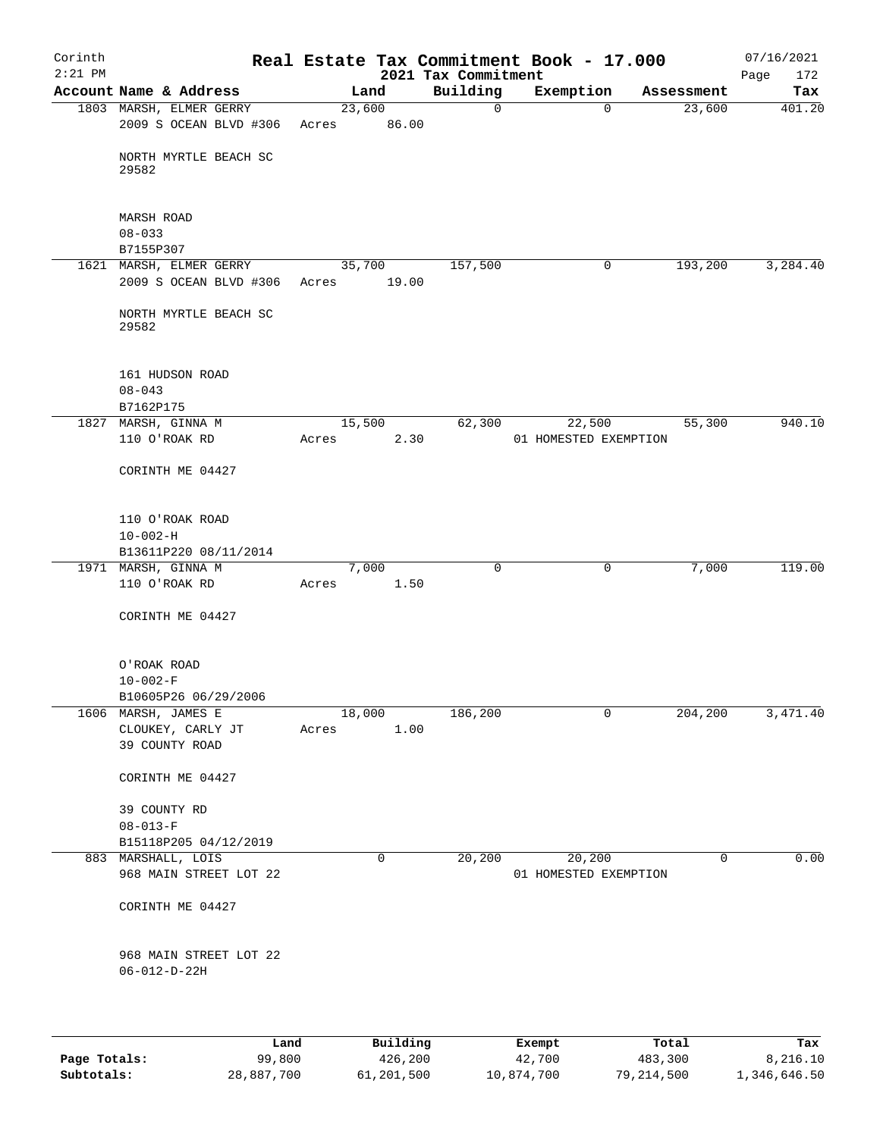| Corinth<br>$2:21$ PM |                                                |                 |                     | 2021 Tax Commitment | Real Estate Tax Commitment Book - 17.000 |            | 07/16/2021         |
|----------------------|------------------------------------------------|-----------------|---------------------|---------------------|------------------------------------------|------------|--------------------|
|                      | Account Name & Address                         |                 | Land                | Building            | Exemption                                | Assessment | Page<br>172<br>Tax |
|                      | 1803 MARSH, ELMER GERRY                        | 23,600          |                     | $\mathbf 0$         | $\mathbf 0$                              | 23,600     | 401.20             |
|                      | 2009 S OCEAN BLVD #306                         | Acres           | 86.00               |                     |                                          |            |                    |
|                      | NORTH MYRTLE BEACH SC<br>29582                 |                 |                     |                     |                                          |            |                    |
|                      | <b>MARSH ROAD</b>                              |                 |                     |                     |                                          |            |                    |
|                      | $08 - 033$<br>B7155P307                        |                 |                     |                     |                                          |            |                    |
|                      | 1621 MARSH, ELMER GERRY                        | 35,700          |                     | 157,500             | 0                                        | 193,200    | 3,284.40           |
|                      | 2009 S OCEAN BLVD #306                         | Acres           | 19.00               |                     |                                          |            |                    |
|                      | NORTH MYRTLE BEACH SC<br>29582                 |                 |                     |                     |                                          |            |                    |
|                      | 161 HUDSON ROAD<br>$08 - 043$                  |                 |                     |                     |                                          |            |                    |
|                      | B7162P175                                      |                 |                     |                     |                                          |            |                    |
|                      | 1827 MARSH, GINNA M<br>110 O'ROAK RD           | 15,500<br>Acres | 2.30                | 62,300              | 22,500<br>01 HOMESTED EXEMPTION          | 55,300     | 940.10             |
|                      | CORINTH ME 04427                               |                 |                     |                     |                                          |            |                    |
|                      | 110 O'ROAK ROAD                                |                 |                     |                     |                                          |            |                    |
|                      | $10 - 002 - H$                                 |                 |                     |                     |                                          |            |                    |
|                      | B13611P220 08/11/2014<br>1971 MARSH, GINNA M   |                 | 7,000               | 0                   | 0                                        | 7,000      | 119.00             |
|                      | 110 O'ROAK RD                                  | Acres           | 1.50                |                     |                                          |            |                    |
|                      | CORINTH ME 04427                               |                 |                     |                     |                                          |            |                    |
|                      | O'ROAK ROAD                                    |                 |                     |                     |                                          |            |                    |
|                      | $10 - 002 - F$                                 |                 |                     |                     |                                          |            |                    |
|                      | B10605P26 06/29/2006<br>1606 MARSH, JAMES E    | 18,000          |                     | 186,200             | 0                                        | 204, 200   | 3,471.40           |
|                      | CLOUKEY, CARLY JT                              | Acres           | 1.00                |                     |                                          |            |                    |
|                      | 39 COUNTY ROAD                                 |                 |                     |                     |                                          |            |                    |
|                      | CORINTH ME 04427                               |                 |                     |                     |                                          |            |                    |
|                      | 39 COUNTY RD                                   |                 |                     |                     |                                          |            |                    |
|                      | $08 - 013 - F$<br>B15118P205 04/12/2019        |                 |                     |                     |                                          |            |                    |
|                      | 883 MARSHALL, LOIS                             |                 | 0                   | 20,200              | 20,200                                   | 0          | 0.00               |
|                      | 968 MAIN STREET LOT 22                         |                 |                     |                     | 01 HOMESTED EXEMPTION                    |            |                    |
|                      | CORINTH ME 04427                               |                 |                     |                     |                                          |            |                    |
|                      | 968 MAIN STREET LOT 22<br>$06 - 012 - D - 22H$ |                 |                     |                     |                                          |            |                    |
|                      |                                                |                 |                     |                     |                                          |            |                    |
|                      | Land<br>99,800                                 |                 | Building<br>426,200 |                     | Exempt                                   | Total      | Tax                |
| Page Totals:         |                                                |                 |                     |                     | 42,700                                   | 483,300    | 8,216.10           |

**Subtotals:** 28,887,700 61,201,500 10,874,700 79,214,500 1,346,646.50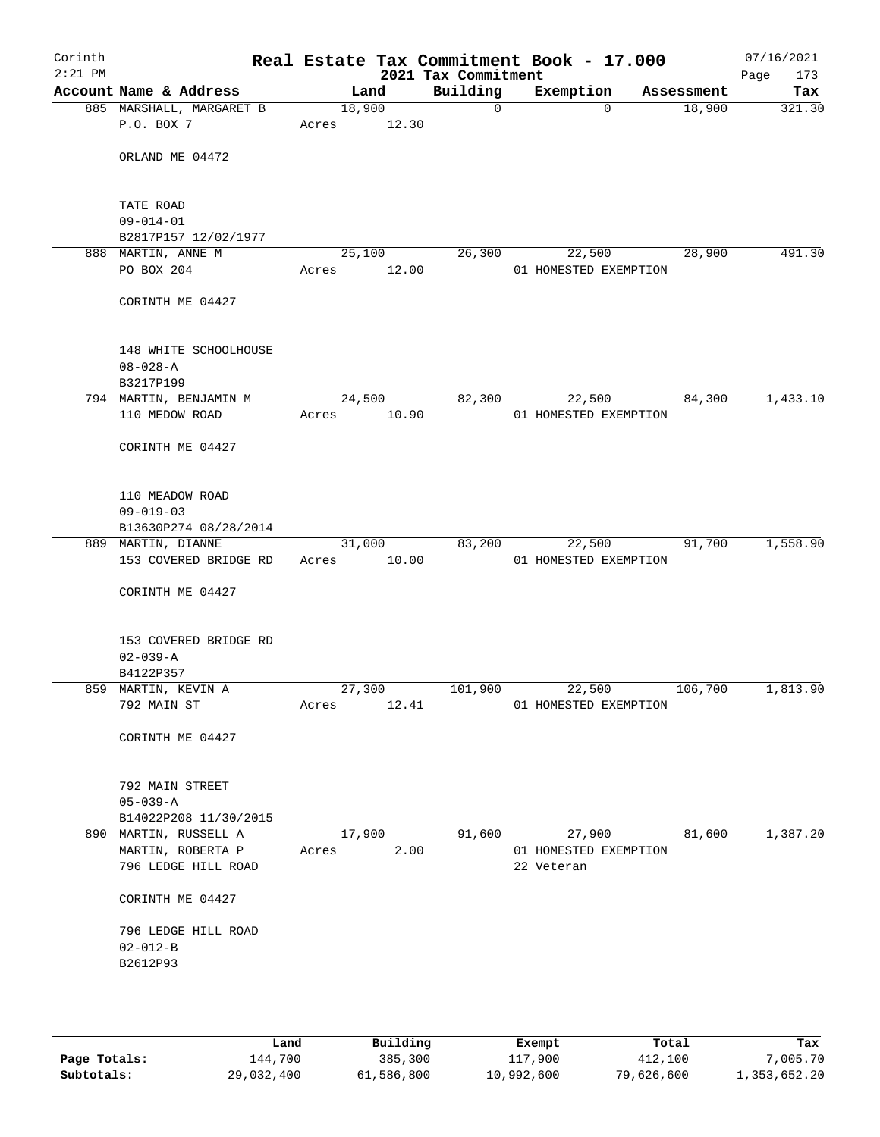| Corinth<br>$2:21$ PM |                                                                   |                 |        | 2021 Tax Commitment | Real Estate Tax Commitment Book - 17.000      |            | 07/16/2021<br>Page<br>173 |
|----------------------|-------------------------------------------------------------------|-----------------|--------|---------------------|-----------------------------------------------|------------|---------------------------|
|                      | Account Name & Address                                            | Land            |        | Building            | Exemption                                     | Assessment | Tax                       |
|                      | 885 MARSHALL, MARGARET B<br>P.O. BOX 7                            | 18,900<br>Acres | 12.30  | $\mathbf 0$         | $\Omega$                                      | 18,900     | 321.30                    |
|                      | ORLAND ME 04472                                                   |                 |        |                     |                                               |            |                           |
|                      | TATE ROAD<br>$09 - 014 - 01$<br>B2817P157 12/02/1977              |                 |        |                     |                                               |            |                           |
|                      | 888 MARTIN, ANNE M                                                | 25,100          |        | 26,300              | 22,500                                        | 28,900     | 491.30                    |
|                      | PO BOX 204                                                        | Acres           | 12.00  |                     | 01 HOMESTED EXEMPTION                         |            |                           |
|                      | CORINTH ME 04427                                                  |                 |        |                     |                                               |            |                           |
|                      | 148 WHITE SCHOOLHOUSE<br>$08 - 028 - A$<br>B3217P199              |                 |        |                     |                                               |            |                           |
|                      | 794 MARTIN, BENJAMIN M                                            |                 | 24,500 | 82,300              | 22,500                                        | 84,300     | 1,433.10                  |
|                      | 110 MEDOW ROAD                                                    | Acres           | 10.90  |                     | 01 HOMESTED EXEMPTION                         |            |                           |
|                      | CORINTH ME 04427                                                  |                 |        |                     |                                               |            |                           |
|                      | 110 MEADOW ROAD<br>$09 - 019 - 03$                                |                 |        |                     |                                               |            |                           |
|                      | B13630P274 08/28/2014                                             |                 | 31,000 | 83,200              |                                               | 91,700     | 1,558.90                  |
|                      | 889 MARTIN, DIANNE<br>153 COVERED BRIDGE RD                       | Acres           | 10.00  |                     | 22,500<br>01 HOMESTED EXEMPTION               |            |                           |
|                      | CORINTH ME 04427                                                  |                 |        |                     |                                               |            |                           |
|                      | 153 COVERED BRIDGE RD<br>$02 - 039 - A$<br>B4122P357              |                 |        |                     |                                               |            |                           |
|                      | 859 MARTIN, KEVIN A                                               | 27,300          |        | 101,900             | 22,500                                        | 106,700    | 1,813.90                  |
|                      | 792 MAIN ST                                                       | Acres           | 12.41  |                     | 01 HOMESTED EXEMPTION                         |            |                           |
|                      | CORINTH ME 04427                                                  |                 |        |                     |                                               |            |                           |
|                      | 792 MAIN STREET<br>$05 - 039 - A$                                 |                 |        |                     |                                               |            |                           |
|                      | B14022P208 11/30/2015                                             |                 |        |                     |                                               |            |                           |
|                      | 890 MARTIN, RUSSELL A<br>MARTIN, ROBERTA P<br>796 LEDGE HILL ROAD | 17,900<br>Acres | 2.00   | 91,600              | 27,900<br>01 HOMESTED EXEMPTION<br>22 Veteran | 81,600     | 1,387.20                  |
|                      | CORINTH ME 04427                                                  |                 |        |                     |                                               |            |                           |
|                      | 796 LEDGE HILL ROAD                                               |                 |        |                     |                                               |            |                           |
|                      | $02 - 012 - B$                                                    |                 |        |                     |                                               |            |                           |
|                      | B2612P93                                                          |                 |        |                     |                                               |            |                           |
|                      |                                                                   |                 |        |                     |                                               |            |                           |
|                      |                                                                   |                 |        |                     |                                               |            |                           |

|              | Land       | Building   | Exempt     | Total      | Tax          |
|--------------|------------|------------|------------|------------|--------------|
| Page Totals: | 144,700    | 385,300    | 117,900    | 412,100    | 7,005.70     |
| Subtotals:   | 29,032,400 | 61,586,800 | 10,992,600 | 79,626,600 | 1,353,652.20 |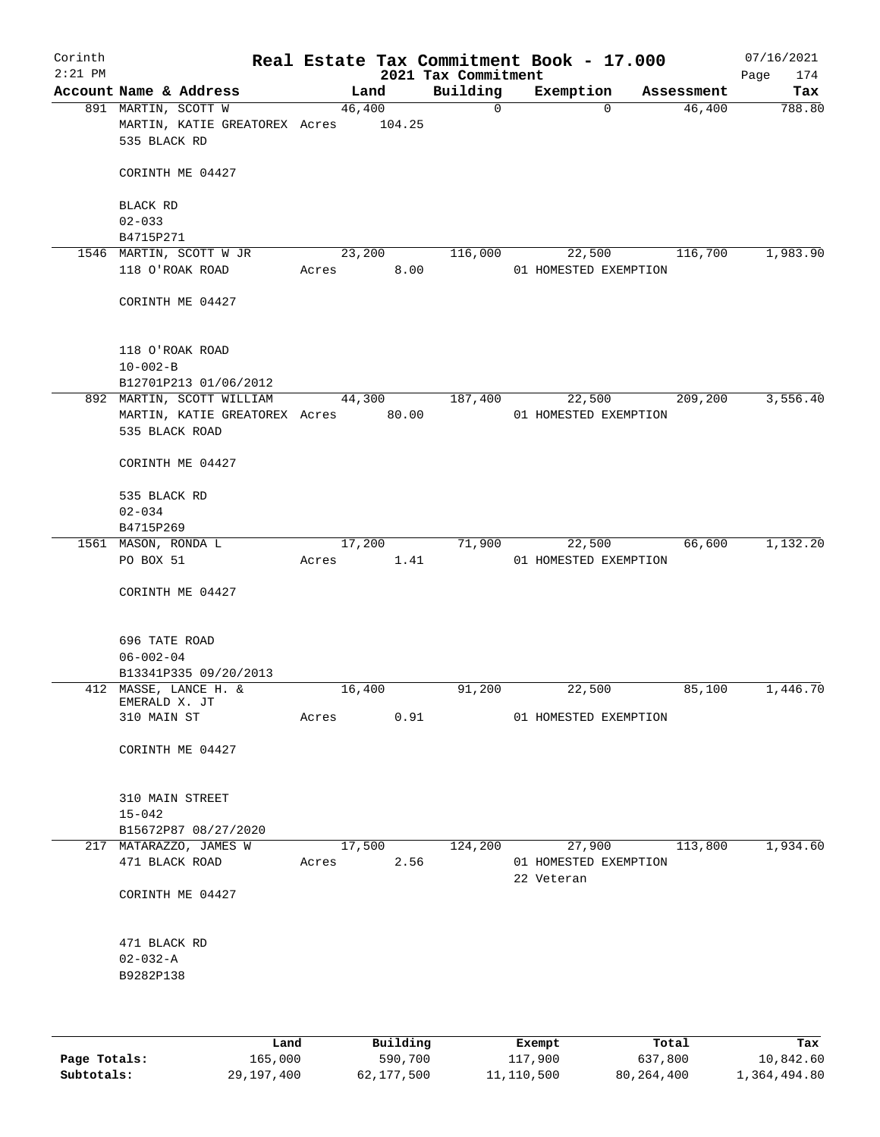| Corinth<br>$2:21$ PM |                                                                      |       |                  | 2021 Tax Commitment | Real Estate Tax Commitment Book - 17.000 |                    | 07/16/2021<br>Page<br>174 |
|----------------------|----------------------------------------------------------------------|-------|------------------|---------------------|------------------------------------------|--------------------|---------------------------|
|                      | Account Name & Address                                               |       | Land             | Building            | Exemption                                | Assessment         | Tax                       |
|                      | 891 MARTIN, SCOTT W<br>MARTIN, KATIE GREATOREX Acres<br>535 BLACK RD |       | 46,400<br>104.25 | $\overline{0}$      |                                          | 46,400<br>$\Omega$ | 788.80                    |
|                      | CORINTH ME 04427                                                     |       |                  |                     |                                          |                    |                           |
|                      | BLACK RD<br>$02 - 033$                                               |       |                  |                     |                                          |                    |                           |
|                      | B4715P271                                                            |       |                  |                     |                                          |                    |                           |
|                      | 1546 MARTIN, SCOTT W JR                                              |       | 23,200           | 116,000             | 22,500                                   | 116,700            | 1,983.90                  |
|                      | 118 O'ROAK ROAD                                                      | Acres | 8.00             |                     | 01 HOMESTED EXEMPTION                    |                    |                           |
|                      | CORINTH ME 04427                                                     |       |                  |                     |                                          |                    |                           |
|                      | 118 O'ROAK ROAD                                                      |       |                  |                     |                                          |                    |                           |
|                      | $10 - 002 - B$<br>B12701P213 01/06/2012                              |       |                  |                     |                                          |                    |                           |
|                      | 892 MARTIN, SCOTT WILLIAM                                            |       | 44,300           | 187,400             | 22,500                                   | 209,200            | 3,556.40                  |
|                      | MARTIN, KATIE GREATOREX Acres 80.00<br>535 BLACK ROAD                |       |                  |                     | 01 HOMESTED EXEMPTION                    |                    |                           |
|                      | CORINTH ME 04427                                                     |       |                  |                     |                                          |                    |                           |
|                      | 535 BLACK RD                                                         |       |                  |                     |                                          |                    |                           |
|                      | $02 - 034$                                                           |       |                  |                     |                                          |                    |                           |
|                      | B4715P269                                                            |       |                  |                     |                                          |                    |                           |
|                      | 1561 MASON, RONDA L                                                  |       | 17,200           | 71,900              | 22,500                                   | 66,600             | 1,132.20                  |
|                      | PO BOX 51                                                            | Acres | 1.41             |                     | 01 HOMESTED EXEMPTION                    |                    |                           |
|                      | CORINTH ME 04427                                                     |       |                  |                     |                                          |                    |                           |
|                      | 696 TATE ROAD                                                        |       |                  |                     |                                          |                    |                           |
|                      | $06 - 002 - 04$                                                      |       |                  |                     |                                          |                    |                           |
|                      | B13341P335 09/20/2013                                                |       |                  |                     |                                          |                    |                           |
|                      | 412 MASSE, LANCE H. &<br>EMERALD X. JT                               |       | 16,400           | 91,200              | 22,500                                   | 85,100             | 1,446.70                  |
|                      | 310 MAIN ST                                                          | Acres | 0.91             |                     | 01 HOMESTED EXEMPTION                    |                    |                           |
|                      |                                                                      |       |                  |                     |                                          |                    |                           |
|                      | CORINTH ME 04427                                                     |       |                  |                     |                                          |                    |                           |
|                      | 310 MAIN STREET                                                      |       |                  |                     |                                          |                    |                           |
|                      | $15 - 042$                                                           |       |                  |                     |                                          |                    |                           |
| 217                  | B15672P87 08/27/2020<br>MATARAZZO, JAMES W                           |       | 17,500           | 124,200             | 27,900                                   | 113,800            | 1,934.60                  |
|                      | 471 BLACK ROAD                                                       | Acres | 2.56             |                     | 01 HOMESTED EXEMPTION<br>22 Veteran      |                    |                           |
|                      | CORINTH ME 04427                                                     |       |                  |                     |                                          |                    |                           |
|                      | 471 BLACK RD                                                         |       |                  |                     |                                          |                    |                           |
|                      | $02 - 032 - A$<br>B9282P138                                          |       |                  |                     |                                          |                    |                           |
|                      |                                                                      |       |                  |                     |                                          |                    |                           |
|                      | Land                                                                 |       | Building         |                     | Exempt                                   | Total              | Tax                       |
| Page Totals:         | 165,000                                                              |       | 590,700          |                     | 117,900                                  | 637,800            | 10,842.60                 |

**Subtotals:** 29,197,400 62,177,500 11,110,500 80,264,400 1,364,494.80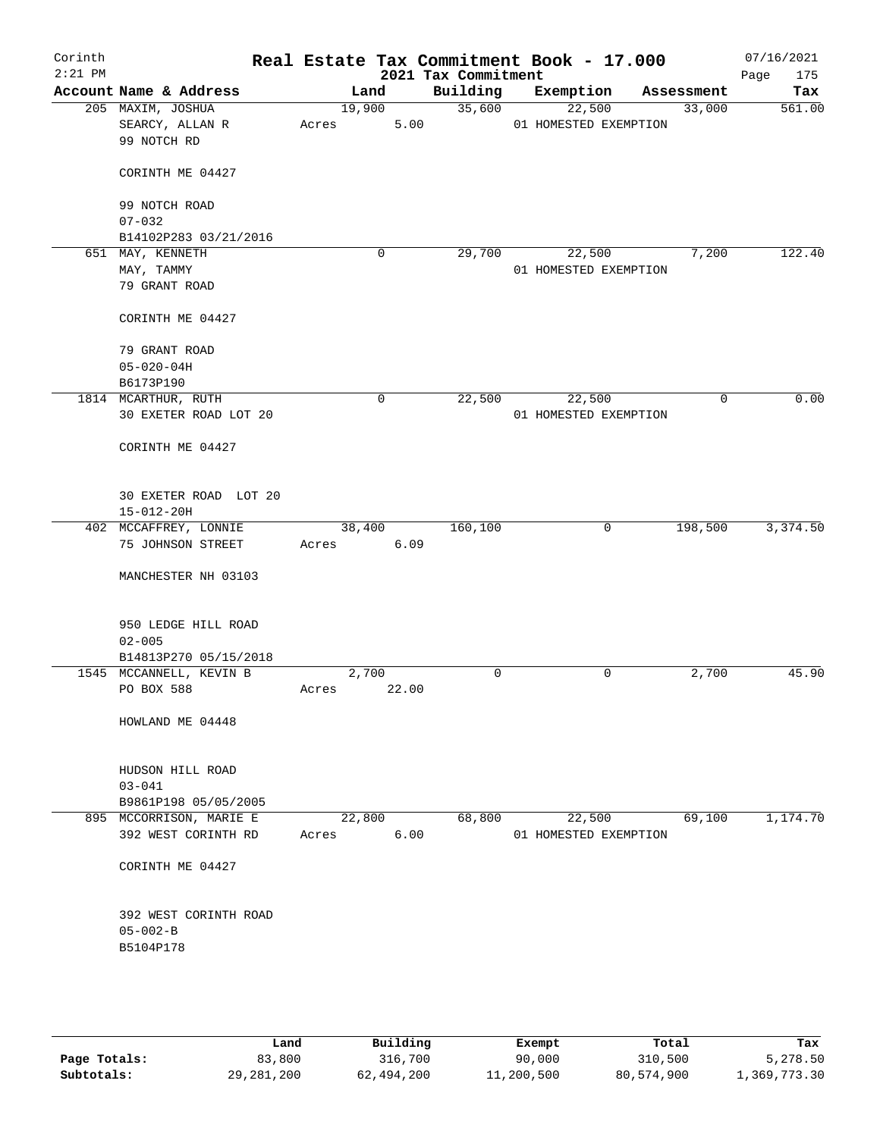| Corinth<br>$2:21$ PM |                                                      |                 | 2021 Tax Commitment | Real Estate Tax Commitment Book - 17.000 |            | 07/16/2021<br>Page<br>175 |
|----------------------|------------------------------------------------------|-----------------|---------------------|------------------------------------------|------------|---------------------------|
|                      | Account Name & Address                               | Land            | Building            | Exemption                                | Assessment | Tax                       |
|                      | 205 MAXIM, JOSHUA<br>SEARCY, ALLAN R<br>99 NOTCH RD  | 19,900<br>Acres | 35,600<br>5.00      | 22,500<br>01 HOMESTED EXEMPTION          | 33,000     | 561.00                    |
|                      | CORINTH ME 04427                                     |                 |                     |                                          |            |                           |
|                      | 99 NOTCH ROAD<br>$07 - 032$                          |                 |                     |                                          |            |                           |
|                      | B14102P283 03/21/2016                                |                 |                     |                                          |            |                           |
|                      | 651 MAY, KENNETH<br>MAY, TAMMY                       | 0               | 29,700              | 22,500<br>01 HOMESTED EXEMPTION          | 7,200      | 122.40                    |
|                      | 79 GRANT ROAD                                        |                 |                     |                                          |            |                           |
|                      | CORINTH ME 04427                                     |                 |                     |                                          |            |                           |
|                      | 79 GRANT ROAD                                        |                 |                     |                                          |            |                           |
|                      | $05 - 020 - 04H$<br>B6173P190                        |                 |                     |                                          |            |                           |
|                      | 1814 MCARTHUR, RUTH                                  | 0               | 22,500              | 22,500                                   | 0          | 0.00                      |
|                      | 30 EXETER ROAD LOT 20                                |                 |                     | 01 HOMESTED EXEMPTION                    |            |                           |
|                      | CORINTH ME 04427                                     |                 |                     |                                          |            |                           |
|                      | 30 EXETER ROAD LOT 20<br>$15 - 012 - 20H$            |                 |                     |                                          |            |                           |
|                      | 402 MCCAFFREY, LONNIE                                | 38,400          | 160,100             | 0                                        | 198,500    | 3,374.50                  |
|                      | 75 JOHNSON STREET                                    | Acres           | 6.09                |                                          |            |                           |
|                      | MANCHESTER NH 03103                                  |                 |                     |                                          |            |                           |
|                      | 950 LEDGE HILL ROAD                                  |                 |                     |                                          |            |                           |
|                      | $02 - 005$<br>B14813P270 05/15/2018                  |                 |                     |                                          |            |                           |
|                      | 1545 MCCANNELL, KEVIN B                              | 2,700           | 0                   | 0                                        | 2,700      | 45.90                     |
|                      | PO BOX 588                                           | Acres<br>22.00  |                     |                                          |            |                           |
|                      | HOWLAND ME 04448                                     |                 |                     |                                          |            |                           |
|                      | HUDSON HILL ROAD                                     |                 |                     |                                          |            |                           |
|                      | $03 - 041$                                           |                 |                     |                                          |            |                           |
|                      | B9861P198 05/05/2005                                 |                 |                     |                                          |            |                           |
|                      | 895 MCCORRISON, MARIE E<br>392 WEST CORINTH RD       | 22,800<br>Acres | 68,800<br>6.00      | 22,500<br>01 HOMESTED EXEMPTION          | 69,100     | 1,174.70                  |
|                      | CORINTH ME 04427                                     |                 |                     |                                          |            |                           |
|                      | 392 WEST CORINTH ROAD<br>$05 - 002 - B$<br>B5104P178 |                 |                     |                                          |            |                           |
|                      |                                                      |                 |                     |                                          |            |                           |

|              | Land       | Building   | Exempt     | Total      | Tax          |
|--------------|------------|------------|------------|------------|--------------|
| Page Totals: | 83,800     | 316,700    | 90,000     | 310,500    | 5,278.50     |
| Subtotals:   | 29,281,200 | 62,494,200 | 11,200,500 | 80,574,900 | 1,369,773.30 |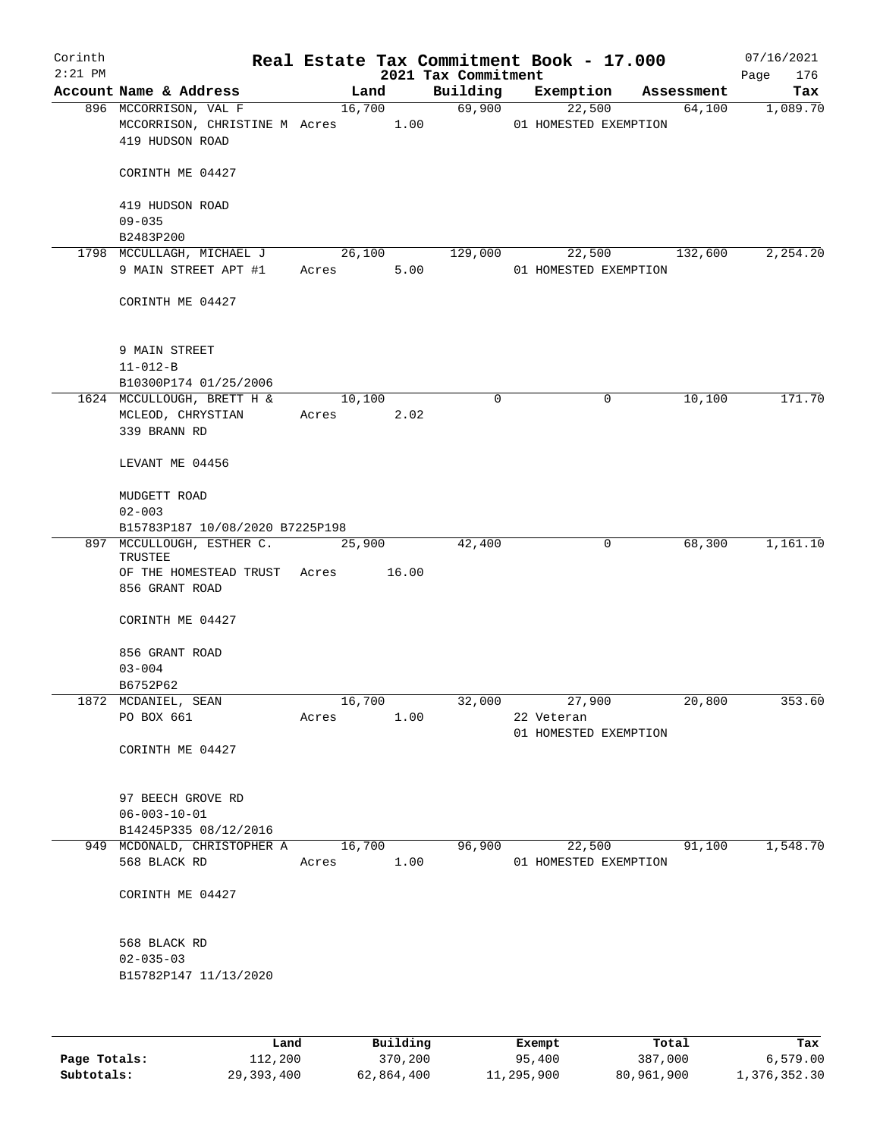| $2:21$ PM | Account Name & Address<br>896 MCCORRISON, VAL F<br>MCCORRISON, CHRISTINE M Acres 1.00<br>419 HUDSON ROAD |       | Land<br>16,700  | 2021 Tax Commitment<br>Building<br>69,900 | Exemption<br>22,500             | Assessment | 176<br>Page<br>Tax |
|-----------|----------------------------------------------------------------------------------------------------------|-------|-----------------|-------------------------------------------|---------------------------------|------------|--------------------|
|           |                                                                                                          |       |                 |                                           |                                 |            |                    |
|           |                                                                                                          |       |                 |                                           | 01 HOMESTED EXEMPTION           | 64,100     | 1,089.70           |
|           | CORINTH ME 04427                                                                                         |       |                 |                                           |                                 |            |                    |
|           | 419 HUDSON ROAD<br>$09 - 035$                                                                            |       |                 |                                           |                                 |            |                    |
|           | B2483P200                                                                                                |       |                 |                                           |                                 |            |                    |
|           | 1798 MCCULLAGH, MICHAEL J<br>9 MAIN STREET APT #1                                                        | Acres | 26,100<br>5.00  | 129,000                                   | 22,500<br>01 HOMESTED EXEMPTION | 132,600    | 2,254.20           |
|           | CORINTH ME 04427                                                                                         |       |                 |                                           |                                 |            |                    |
|           | 9 MAIN STREET<br>$11 - 012 - B$<br>B10300P174 01/25/2006                                                 |       |                 |                                           |                                 |            |                    |
|           | 1624 MCCULLOUGH, BRETT H &                                                                               |       | 10,100          | $\mathbf 0$                               | 0                               | 10,100     | 171.70             |
|           | MCLEOD, CHRYSTIAN<br>339 BRANN RD                                                                        |       | Acres 2.02      |                                           |                                 |            |                    |
|           | LEVANT ME 04456                                                                                          |       |                 |                                           |                                 |            |                    |
|           | MUDGETT ROAD<br>$02 - 003$                                                                               |       |                 |                                           |                                 |            |                    |
|           | B15783P187 10/08/2020 B7225P198                                                                          |       |                 |                                           |                                 |            |                    |
|           | 897 MCCULLOUGH, ESTHER C.<br>TRUSTEE<br>OF THE HOMESTEAD TRUST                                           | Acres | 25,900<br>16.00 | 42,400                                    | 0                               | 68,300     | 1,161.10           |
|           | 856 GRANT ROAD                                                                                           |       |                 |                                           |                                 |            |                    |
|           | CORINTH ME 04427                                                                                         |       |                 |                                           |                                 |            |                    |
|           | 856 GRANT ROAD<br>$03 - 004$                                                                             |       |                 |                                           |                                 |            |                    |
|           | B6752P62                                                                                                 |       |                 |                                           |                                 |            |                    |
|           | 1872 MCDANIEL, SEAN                                                                                      |       | 16,700          |                                           | 32,000<br>27,900                | 20,800     | 353.60             |
|           | PO BOX 661                                                                                               | Acres | 1.00            |                                           | 22 Veteran                      |            |                    |
|           | CORINTH ME 04427                                                                                         |       |                 |                                           | 01 HOMESTED EXEMPTION           |            |                    |
|           | 97 BEECH GROVE RD<br>$06 - 003 - 10 - 01$<br>B14245P335 08/12/2016                                       |       |                 |                                           |                                 |            |                    |
|           | 949 MCDONALD, CHRISTOPHER A                                                                              |       | 16,700          | 96,900                                    | 22,500                          | 91,100     | 1,548.70           |
|           | 568 BLACK RD                                                                                             | Acres | 1.00            |                                           | 01 HOMESTED EXEMPTION           |            |                    |
|           | CORINTH ME 04427                                                                                         |       |                 |                                           |                                 |            |                    |
|           | 568 BLACK RD<br>$02 - 035 - 03$                                                                          |       |                 |                                           |                                 |            |                    |
|           | B15782P147 11/13/2020                                                                                    |       |                 |                                           |                                 |            |                    |

|              | Land       | Building   | Exempt     | Total      | Tax          |
|--------------|------------|------------|------------|------------|--------------|
| Page Totals: | 112,200    | 370,200    | 95,400     | 387,000    | 6.579.00     |
| Subtotals:   | 29,393,400 | 62,864,400 | 11,295,900 | 80,961,900 | 1,376,352.30 |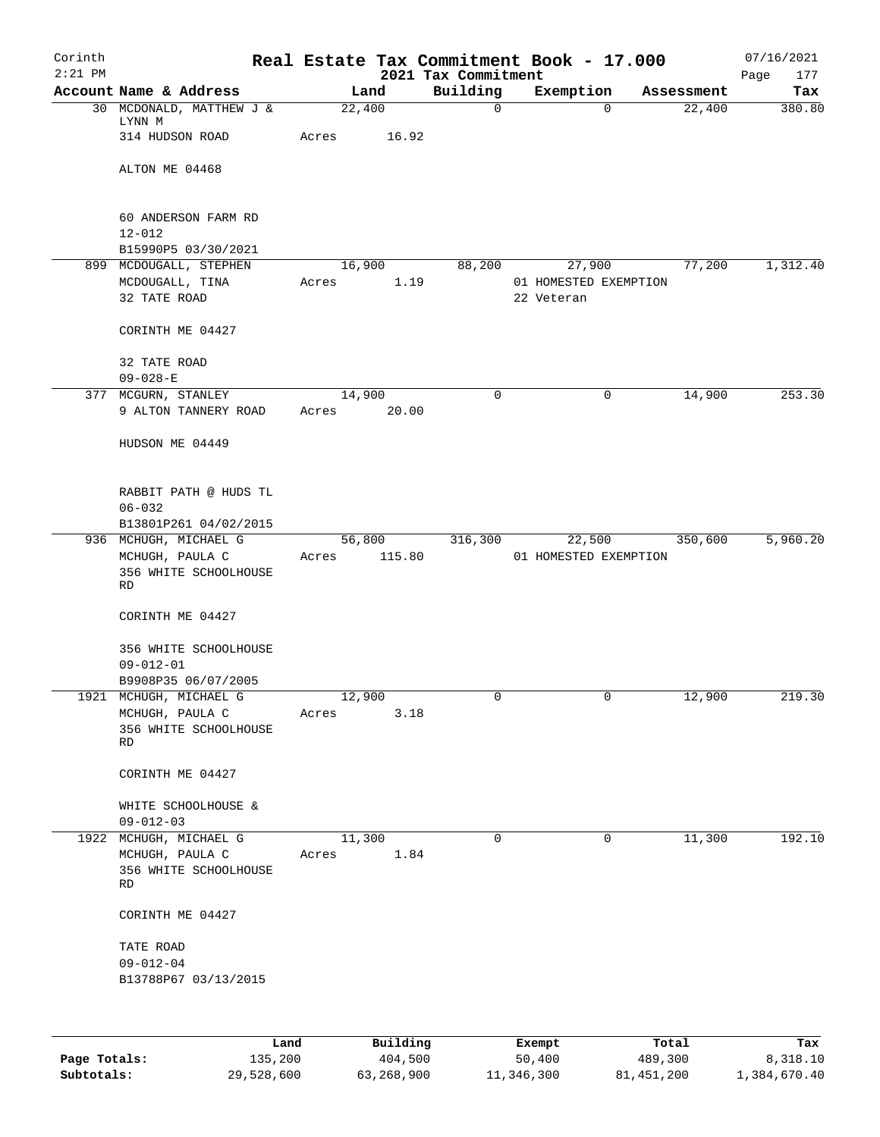| Corinth<br>$2:21$ PM |                                                                          |                 |                  | 2021 Tax Commitment | Real Estate Tax Commitment Book - 17.000      |            | 07/16/2021<br>177<br>Page |
|----------------------|--------------------------------------------------------------------------|-----------------|------------------|---------------------|-----------------------------------------------|------------|---------------------------|
|                      | Account Name & Address                                                   |                 | Land             | Building            | Exemption                                     | Assessment | Tax                       |
|                      | 30 MCDONALD, MATTHEW J &<br>LYNN M                                       | 22,400          |                  | $\mathsf{O}$        | $\Omega$                                      | 22,400     | 380.80                    |
|                      | 314 HUDSON ROAD                                                          | Acres           | 16.92            |                     |                                               |            |                           |
|                      | ALTON ME 04468                                                           |                 |                  |                     |                                               |            |                           |
|                      | 60 ANDERSON FARM RD<br>$12 - 012$                                        |                 |                  |                     |                                               |            |                           |
|                      | B15990P5 03/30/2021                                                      |                 |                  |                     |                                               |            |                           |
|                      | 899 MCDOUGALL, STEPHEN<br>MCDOUGALL, TINA<br>32 TATE ROAD                | Acres           | 16,900<br>1.19   | 88,200              | 27,900<br>01 HOMESTED EXEMPTION<br>22 Veteran | 77,200     | 1,312.40                  |
|                      | CORINTH ME 04427                                                         |                 |                  |                     |                                               |            |                           |
|                      | 32 TATE ROAD<br>$09 - 028 - E$                                           |                 |                  |                     |                                               |            |                           |
|                      | 377 MCGURN, STANLEY                                                      | 14,900          |                  | $\mathbf 0$         | 0                                             | 14,900     | 253.30                    |
|                      | 9 ALTON TANNERY ROAD                                                     | Acres           | 20.00            |                     |                                               |            |                           |
|                      | HUDSON ME 04449                                                          |                 |                  |                     |                                               |            |                           |
|                      | RABBIT PATH @ HUDS TL<br>$06 - 032$                                      |                 |                  |                     |                                               |            |                           |
|                      | B13801P261 04/02/2015                                                    |                 |                  |                     |                                               |            |                           |
|                      | 936 MCHUGH, MICHAEL G<br>MCHUGH, PAULA C<br>356 WHITE SCHOOLHOUSE<br>RD  | Acres           | 56,800<br>115.80 | 316,300             | 22,500<br>01 HOMESTED EXEMPTION               | 350,600    | 5,960.20                  |
|                      | CORINTH ME 04427                                                         |                 |                  |                     |                                               |            |                           |
|                      | 356 WHITE SCHOOLHOUSE<br>$09 - 012 - 01$<br>B9908P35 06/07/2005          |                 |                  |                     |                                               |            |                           |
|                      | 1921 MCHUGH, MICHAEL G                                                   | 12,900          |                  |                     |                                               | 12,900     | 219.30                    |
|                      | MCHUGH, PAULA C<br>356 WHITE SCHOOLHOUSE<br>RD                           | Acres           | 3.18             |                     |                                               |            |                           |
|                      | CORINTH ME 04427                                                         |                 |                  |                     |                                               |            |                           |
|                      | WHITE SCHOOLHOUSE &<br>$09 - 012 - 03$                                   |                 |                  |                     |                                               |            |                           |
|                      | 1922 MCHUGH, MICHAEL G<br>MCHUGH, PAULA C<br>356 WHITE SCHOOLHOUSE<br>RD | 11,300<br>Acres | 1.84             | 0                   | 0                                             | 11,300     | 192.10                    |
|                      | CORINTH ME 04427                                                         |                 |                  |                     |                                               |            |                           |
|                      | TATE ROAD<br>$09 - 012 - 04$<br>B13788P67 03/13/2015                     |                 |                  |                     |                                               |            |                           |
|                      |                                                                          |                 |                  |                     |                                               |            |                           |

|              | Land       | Building   | Exempt     | Total      | Tax          |
|--------------|------------|------------|------------|------------|--------------|
| Page Totals: | 135,200    | 404,500    | 50,400     | 489,300    | 8,318.10     |
| Subtotals:   | 29,528,600 | 63,268,900 | 11,346,300 | 81,451,200 | 1,384,670.40 |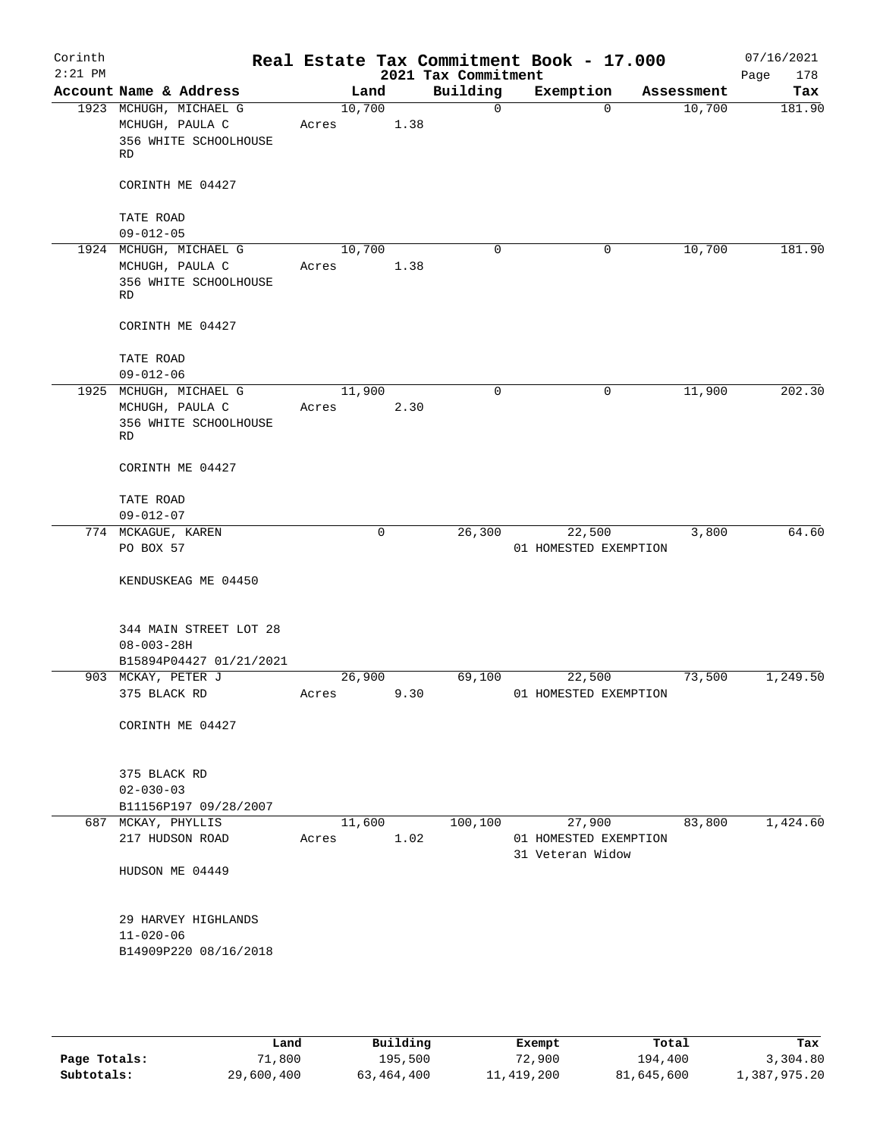| Corinth<br>$2:21$ PM |                                                                          |                 |      | 2021 Tax Commitment | Real Estate Tax Commitment Book - 17.000 |            | 07/16/2021<br>Page<br>178 |
|----------------------|--------------------------------------------------------------------------|-----------------|------|---------------------|------------------------------------------|------------|---------------------------|
|                      | Account Name & Address                                                   | Land            |      | Building            | Exemption                                | Assessment | Tax                       |
|                      | 1923 MCHUGH, MICHAEL G<br>MCHUGH, PAULA C<br>356 WHITE SCHOOLHOUSE<br>RD | 10,700<br>Acres | 1.38 | $\mathbf 0$         | $\mathbf 0$                              | 10,700     | 181.90                    |
|                      | CORINTH ME 04427                                                         |                 |      |                     |                                          |            |                           |
|                      | TATE ROAD<br>$09 - 012 - 05$                                             |                 |      |                     |                                          |            |                           |
|                      | 1924 MCHUGH, MICHAEL G<br>MCHUGH, PAULA C<br>356 WHITE SCHOOLHOUSE<br>RD | 10,700<br>Acres | 1.38 | $\Omega$            | $\mathbf 0$                              | 10,700     | 181.90                    |
|                      | CORINTH ME 04427                                                         |                 |      |                     |                                          |            |                           |
|                      | TATE ROAD<br>$09 - 012 - 06$                                             |                 |      |                     |                                          |            |                           |
|                      | 1925 MCHUGH, MICHAEL G<br>MCHUGH, PAULA C<br>356 WHITE SCHOOLHOUSE<br>RD | 11,900<br>Acres | 2.30 | $\mathbf 0$         | 0                                        | 11,900     | 202.30                    |
|                      | CORINTH ME 04427                                                         |                 |      |                     |                                          |            |                           |
|                      | TATE ROAD<br>$09 - 012 - 07$                                             |                 |      |                     |                                          |            |                           |
|                      | 774 MCKAGUE, KAREN<br>PO BOX 57                                          |                 | 0    | 26,300              | 22,500<br>01 HOMESTED EXEMPTION          | 3,800      | 64.60                     |
|                      | KENDUSKEAG ME 04450                                                      |                 |      |                     |                                          |            |                           |
|                      | 344 MAIN STREET LOT 28<br>$08 - 003 - 28H$<br>B15894P04427 01/21/2021    |                 |      |                     |                                          |            |                           |
|                      | 903 MCKAY, PETER J                                                       | 26,900          |      | 69,100              | 22,500                                   | 73,500     | 1,249.50                  |
|                      | 375 BLACK RD                                                             |                 |      | Acres 9.30          | 01 HOMESTED EXEMPTION                    |            |                           |
|                      | CORINTH ME 04427                                                         |                 |      |                     |                                          |            |                           |
|                      | 375 BLACK RD<br>$02 - 030 - 03$<br>B11156P197 09/28/2007                 |                 |      |                     |                                          |            |                           |
|                      | 687 MCKAY, PHYLLIS<br>217 HUDSON ROAD                                    | 11,600<br>Acres | 1.02 | 100,100             | 27,900<br>01 HOMESTED EXEMPTION          | 83,800     | 1,424.60                  |
|                      |                                                                          |                 |      |                     | 31 Veteran Widow                         |            |                           |
|                      | HUDSON ME 04449                                                          |                 |      |                     |                                          |            |                           |
|                      | 29 HARVEY HIGHLANDS<br>$11 - 020 - 06$<br>B14909P220 08/16/2018          |                 |      |                     |                                          |            |                           |
|                      |                                                                          |                 |      |                     |                                          |            |                           |

|              | Land       | Building   | Exempt       | Total      | Tax          |
|--------------|------------|------------|--------------|------------|--------------|
| Page Totals: | 71,800     | 195,500    | 72,900       | 194,400    | 3,304.80     |
| Subtotals:   | 29,600,400 | 63,464,400 | 11, 419, 200 | 81,645,600 | 1,387,975.20 |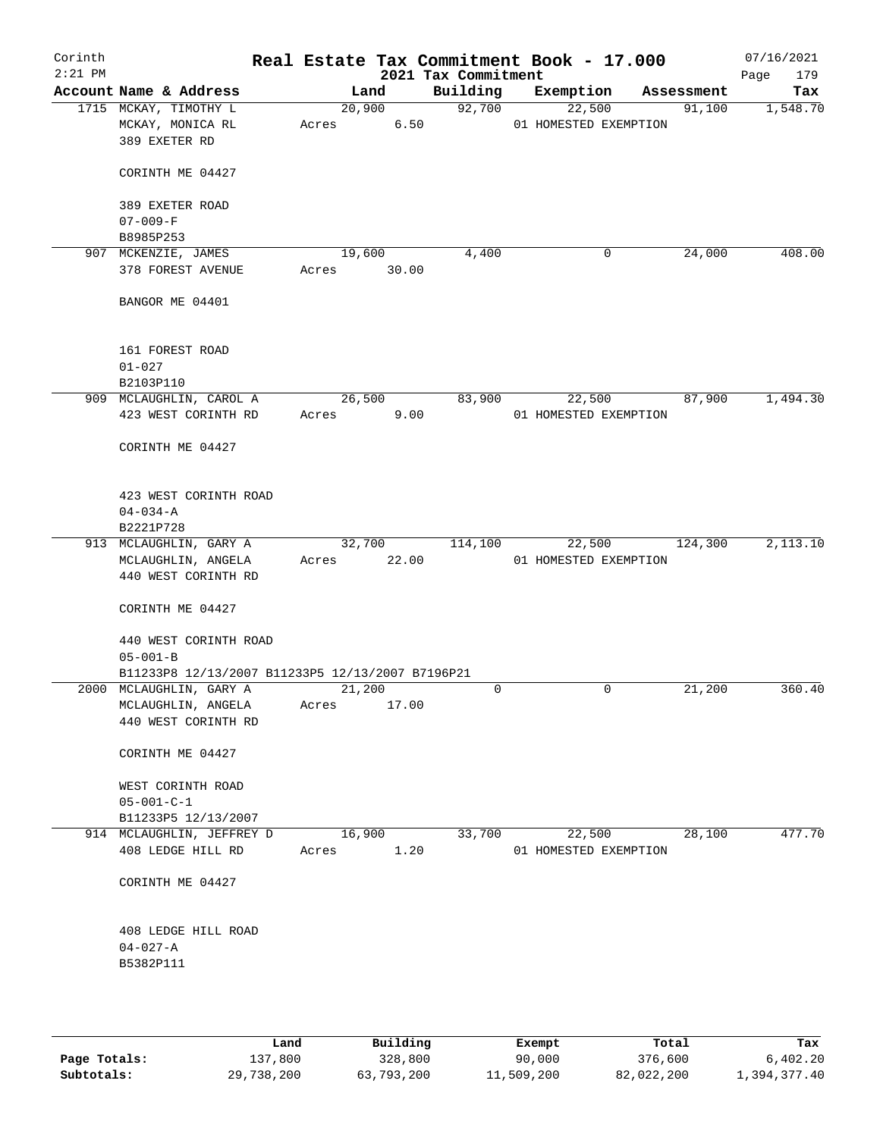| Corinth<br>$2:21$ PM |                                                    |                 |        | Real Estate Tax Commitment Book - 17.000<br>2021 Tax Commitment |                       |             |            | 07/16/2021<br>179<br>Page |
|----------------------|----------------------------------------------------|-----------------|--------|-----------------------------------------------------------------|-----------------------|-------------|------------|---------------------------|
|                      | Account Name & Address                             |                 | Land   | Building                                                        |                       | Exemption   | Assessment | Tax                       |
|                      | 1715 MCKAY, TIMOTHY L                              |                 | 20,900 | 92,700                                                          |                       | 22,500      | 91,100     | 1,548.70                  |
|                      | MCKAY, MONICA RL                                   | Acres           | 6.50   |                                                                 | 01 HOMESTED EXEMPTION |             |            |                           |
|                      | 389 EXETER RD                                      |                 |        |                                                                 |                       |             |            |                           |
|                      | CORINTH ME 04427                                   |                 |        |                                                                 |                       |             |            |                           |
|                      | 389 EXETER ROAD                                    |                 |        |                                                                 |                       |             |            |                           |
|                      | $07 - 009 - F$<br>B8985P253                        |                 |        |                                                                 |                       |             |            |                           |
|                      | 907 MCKENZIE, JAMES                                | 19,600          |        | 4,400                                                           |                       | 0           | 24,000     | 408.00                    |
|                      | 378 FOREST AVENUE                                  | Acres           | 30.00  |                                                                 |                       |             |            |                           |
|                      | BANGOR ME 04401                                    |                 |        |                                                                 |                       |             |            |                           |
|                      | 161 FOREST ROAD                                    |                 |        |                                                                 |                       |             |            |                           |
|                      | $01 - 027$                                         |                 |        |                                                                 |                       |             |            |                           |
|                      | B2103P110                                          |                 |        |                                                                 |                       |             |            |                           |
|                      | 909 MCLAUGHLIN, CAROL A                            |                 | 26,500 | 83,900                                                          |                       | 22,500      | 87,900     | 1,494.30                  |
|                      | 423 WEST CORINTH RD                                | Acres           | 9.00   |                                                                 | 01 HOMESTED EXEMPTION |             |            |                           |
|                      | CORINTH ME 04427                                   |                 |        |                                                                 |                       |             |            |                           |
|                      | 423 WEST CORINTH ROAD                              |                 |        |                                                                 |                       |             |            |                           |
|                      | $04 - 034 - A$                                     |                 |        |                                                                 |                       |             |            |                           |
|                      | B2221P728                                          |                 |        |                                                                 |                       |             |            |                           |
|                      | 913 MCLAUGHLIN, GARY A                             |                 | 32,700 | 114,100                                                         |                       | 22,500      | 124,300    | 2,113.10                  |
|                      | MCLAUGHLIN, ANGELA<br>440 WEST CORINTH RD          | Acres           | 22.00  |                                                                 | 01 HOMESTED EXEMPTION |             |            |                           |
|                      | CORINTH ME 04427                                   |                 |        |                                                                 |                       |             |            |                           |
|                      | 440 WEST CORINTH ROAD                              |                 |        |                                                                 |                       |             |            |                           |
|                      | $05 - 001 - B$                                     |                 |        |                                                                 |                       |             |            |                           |
|                      | B11233P8 12/13/2007 B11233P5 12/13/2007 B7196P21   |                 |        |                                                                 |                       |             |            |                           |
|                      | 2000 MCLAUGHLIN, GARY A                            | 21,200          |        | 0                                                               |                       | $\mathbf 0$ | 21,200     | 360.40                    |
|                      | MCLAUGHLIN, ANGELA<br>440 WEST CORINTH RD          | Acres           | 17.00  |                                                                 |                       |             |            |                           |
|                      | CORINTH ME 04427                                   |                 |        |                                                                 |                       |             |            |                           |
|                      | WEST CORINTH ROAD                                  |                 |        |                                                                 |                       |             |            |                           |
|                      | $05 - 001 - C - 1$                                 |                 |        |                                                                 |                       |             |            |                           |
|                      | B11233P5 12/13/2007                                |                 |        |                                                                 |                       |             |            |                           |
|                      | 914 MCLAUGHLIN, JEFFREY D<br>408 LEDGE HILL RD     | 16,900<br>Acres | 1.20   | 33,700                                                          | 01 HOMESTED EXEMPTION | 22,500      | 28,100     | 477.70                    |
|                      | CORINTH ME 04427                                   |                 |        |                                                                 |                       |             |            |                           |
|                      | 408 LEDGE HILL ROAD<br>$04 - 027 - A$<br>B5382P111 |                 |        |                                                                 |                       |             |            |                           |
|                      |                                                    |                 |        |                                                                 |                       |             |            |                           |

|              | Land       | Building   | Exempt     | Total      | Tax          |
|--------------|------------|------------|------------|------------|--------------|
| Page Totals: | 137,800    | 328,800    | 90,000     | 376,600    | 6.402.20     |
| Subtotals:   | 29,738,200 | 63,793,200 | 11,509,200 | 82,022,200 | 1,394,377.40 |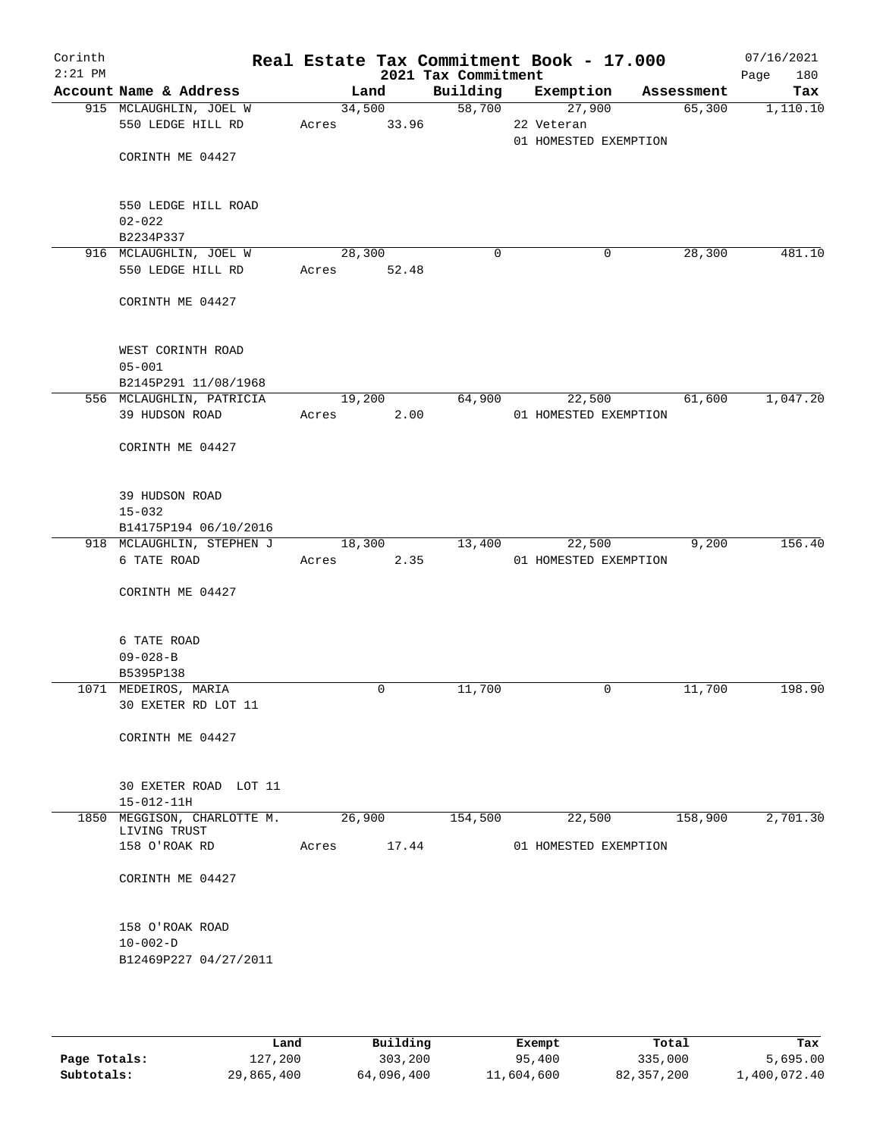| Corinth<br>$2:21$ PM |                                                                 |                          | 2021 Tax Commitment | Real Estate Tax Commitment Book - 17.000                |            | 07/16/2021<br>180<br>Page |
|----------------------|-----------------------------------------------------------------|--------------------------|---------------------|---------------------------------------------------------|------------|---------------------------|
|                      | Account Name & Address                                          | Land                     | Building            | Exemption                                               | Assessment | Tax                       |
|                      | 915 MCLAUGHLIN, JOEL W<br>550 LEDGE HILL RD<br>CORINTH ME 04427 | 34,500<br>33.96<br>Acres |                     | 58,700<br>27,900<br>22 Veteran<br>01 HOMESTED EXEMPTION | 65,300     | 1,110.10                  |
|                      | 550 LEDGE HILL ROAD                                             |                          |                     |                                                         |            |                           |
|                      | $02 - 022$                                                      |                          |                     |                                                         |            |                           |
|                      | B2234P337<br>916 MCLAUGHLIN, JOEL W                             | 28,300                   | 0                   | 0                                                       | 28,300     | 481.10                    |
|                      | 550 LEDGE HILL RD                                               | Acres 52.48              |                     |                                                         |            |                           |
|                      | CORINTH ME 04427                                                |                          |                     |                                                         |            |                           |
|                      | WEST CORINTH ROAD<br>$05 - 001$<br>B2145P291 11/08/1968         |                          |                     |                                                         |            |                           |
|                      | 556 MCLAUGHLIN, PATRICIA                                        | 19,200                   | 64,900              | 22,500                                                  | 61,600     | 1,047.20                  |
|                      | 39 HUDSON ROAD                                                  | Acres                    | 2.00                | 01 HOMESTED EXEMPTION                                   |            |                           |
|                      | CORINTH ME 04427                                                |                          |                     |                                                         |            |                           |
|                      | 39 HUDSON ROAD                                                  |                          |                     |                                                         |            |                           |
|                      | $15 - 032$<br>B14175P194 06/10/2016                             |                          |                     |                                                         |            |                           |
|                      | 918 MCLAUGHLIN, STEPHEN J                                       | 18,300                   | 13,400              | 22,500                                                  | 9,200      | 156.40                    |
|                      | 6 TATE ROAD                                                     | Acres                    | 2.35                | 01 HOMESTED EXEMPTION                                   |            |                           |
|                      | CORINTH ME 04427                                                |                          |                     |                                                         |            |                           |
|                      | 6 TATE ROAD                                                     |                          |                     |                                                         |            |                           |
|                      | $09 - 028 - B$                                                  |                          |                     |                                                         |            |                           |
|                      | B5395P138<br>1071 MEDEIROS, MARIA                               | $\mathbf 0$              | 11,700              | 0                                                       | 11,700     | 198.90                    |
|                      | 30 EXETER RD LOT 11                                             |                          |                     |                                                         |            |                           |
|                      | CORINTH ME 04427                                                |                          |                     |                                                         |            |                           |
|                      | 30 EXETER ROAD LOT 11<br>$15 - 012 - 11H$                       |                          |                     |                                                         |            |                           |
|                      | 1850 MEGGISON, CHARLOTTE M.                                     | 26,900                   | 154,500             | 22,500                                                  | 158,900    | 2,701.30                  |
|                      | LIVING TRUST                                                    |                          |                     | 01 HOMESTED EXEMPTION                                   |            |                           |
|                      | 158 O'ROAK RD                                                   | Acres                    | 17.44               |                                                         |            |                           |
|                      | CORINTH ME 04427                                                |                          |                     |                                                         |            |                           |
|                      | 158 O'ROAK ROAD                                                 |                          |                     |                                                         |            |                           |
|                      | $10 - 002 - D$                                                  |                          |                     |                                                         |            |                           |
|                      | B12469P227 04/27/2011                                           |                          |                     |                                                         |            |                           |
|                      |                                                                 |                          |                     |                                                         |            |                           |

|              | Land       | Building   | Exempt     | Total      | Tax          |
|--------------|------------|------------|------------|------------|--------------|
| Page Totals: | 127,200    | 303,200    | 95,400     | 335,000    | 5,695.00     |
| Subtotals:   | 29,865,400 | 64,096,400 | 11,604,600 | 82,357,200 | 1,400,072.40 |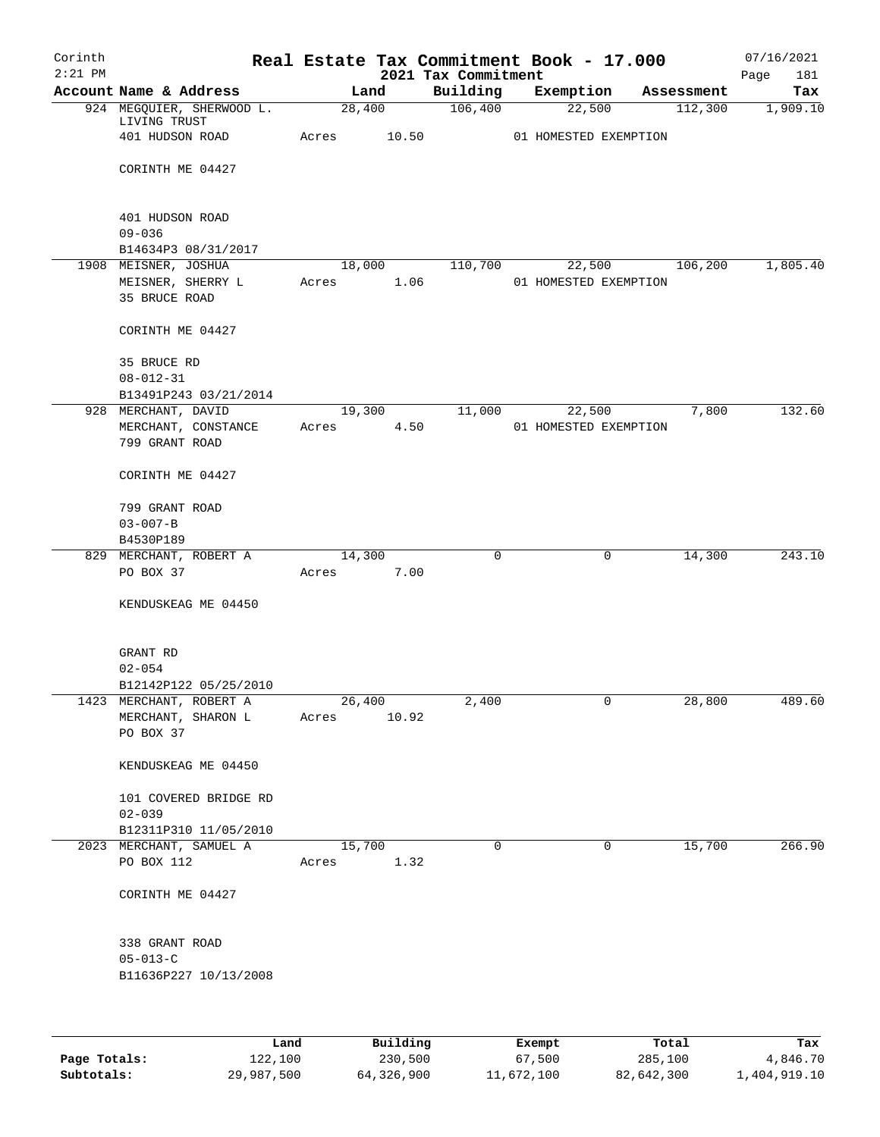| Corinth   |                                             |        |          |                                 | Real Estate Tax Commitment Book - 17.000 |            | 07/16/2021         |
|-----------|---------------------------------------------|--------|----------|---------------------------------|------------------------------------------|------------|--------------------|
| $2:21$ PM | Account Name & Address                      |        | Land     | 2021 Tax Commitment<br>Building | Exemption                                | Assessment | 181<br>Page<br>Tax |
|           | 924 MEGQUIER, SHERWOOD L.                   |        | 28,400   | 106,400                         | 22,500                                   | 112,300    | 1,909.10           |
|           | LIVING TRUST                                |        |          |                                 |                                          |            |                    |
|           | 401 HUDSON ROAD                             | Acres  | 10.50    |                                 | 01 HOMESTED EXEMPTION                    |            |                    |
|           |                                             |        |          |                                 |                                          |            |                    |
|           | CORINTH ME 04427                            |        |          |                                 |                                          |            |                    |
|           |                                             |        |          |                                 |                                          |            |                    |
|           | 401 HUDSON ROAD                             |        |          |                                 |                                          |            |                    |
|           | $09 - 036$                                  |        |          |                                 |                                          |            |                    |
|           | B14634P3 08/31/2017<br>1908 MEISNER, JOSHUA | 18,000 |          | 110,700                         | 22,500                                   | 106,200    | 1,805.40           |
|           | MEISNER, SHERRY L                           | Acres  | 1.06     |                                 | 01 HOMESTED EXEMPTION                    |            |                    |
|           | 35 BRUCE ROAD                               |        |          |                                 |                                          |            |                    |
|           | CORINTH ME 04427                            |        |          |                                 |                                          |            |                    |
|           |                                             |        |          |                                 |                                          |            |                    |
|           | 35 BRUCE RD                                 |        |          |                                 |                                          |            |                    |
|           | $08 - 012 - 31$<br>B13491P243 03/21/2014    |        |          |                                 |                                          |            |                    |
|           | 928 MERCHANT, DAVID                         | 19,300 |          | 11,000                          | 22,500                                   | 7,800      | 132.60             |
|           | MERCHANT, CONSTANCE                         | Acres  | 4.50     |                                 | 01 HOMESTED EXEMPTION                    |            |                    |
|           | 799 GRANT ROAD                              |        |          |                                 |                                          |            |                    |
|           | CORINTH ME 04427                            |        |          |                                 |                                          |            |                    |
|           |                                             |        |          |                                 |                                          |            |                    |
|           | 799 GRANT ROAD<br>$03 - 007 - B$            |        |          |                                 |                                          |            |                    |
|           | B4530P189                                   |        |          |                                 |                                          |            |                    |
|           | 829 MERCHANT, ROBERT A                      | 14,300 |          | 0                               | 0                                        | 14,300     | 243.10             |
|           | PO BOX 37                                   | Acres  | 7.00     |                                 |                                          |            |                    |
|           | KENDUSKEAG ME 04450                         |        |          |                                 |                                          |            |                    |
|           |                                             |        |          |                                 |                                          |            |                    |
|           | GRANT RD                                    |        |          |                                 |                                          |            |                    |
|           | $02 - 054$                                  |        |          |                                 |                                          |            |                    |
|           | B12142P122 05/25/2010                       |        |          |                                 |                                          |            |                    |
|           | 1423 MERCHANT, ROBERT A                     | 26,400 |          | 2,400                           | 0                                        | 28,800     | 489.60             |
|           | MERCHANT, SHARON L                          | Acres  | 10.92    |                                 |                                          |            |                    |
|           | PO BOX 37                                   |        |          |                                 |                                          |            |                    |
|           | KENDUSKEAG ME 04450                         |        |          |                                 |                                          |            |                    |
|           | 101 COVERED BRIDGE RD                       |        |          |                                 |                                          |            |                    |
|           | $02 - 039$                                  |        |          |                                 |                                          |            |                    |
|           | B12311P310 11/05/2010                       |        |          |                                 |                                          |            |                    |
|           | 2023 MERCHANT, SAMUEL A                     | 15,700 |          | $\mathbf 0$                     | $\mathbf 0$                              | 15,700     | 266.90             |
|           | PO BOX 112                                  | Acres  | 1.32     |                                 |                                          |            |                    |
|           | CORINTH ME 04427                            |        |          |                                 |                                          |            |                    |
|           |                                             |        |          |                                 |                                          |            |                    |
|           | 338 GRANT ROAD                              |        |          |                                 |                                          |            |                    |
|           | $05 - 013 - C$                              |        |          |                                 |                                          |            |                    |
|           | B11636P227 10/13/2008                       |        |          |                                 |                                          |            |                    |
|           |                                             |        |          |                                 |                                          |            |                    |
|           | Land                                        |        | Building |                                 | Exempt                                   | Total      | Tax                |

|              | Land       | Building   | Exempt     | Total      | тах          |
|--------------|------------|------------|------------|------------|--------------|
| Page Totals: | 122,100    | 230,500    | 67,500     | 285,100    | 4,846.70     |
| Subtotals:   | 29,987,500 | 64,326,900 | 11,672,100 | 82,642,300 | 1,404,919.10 |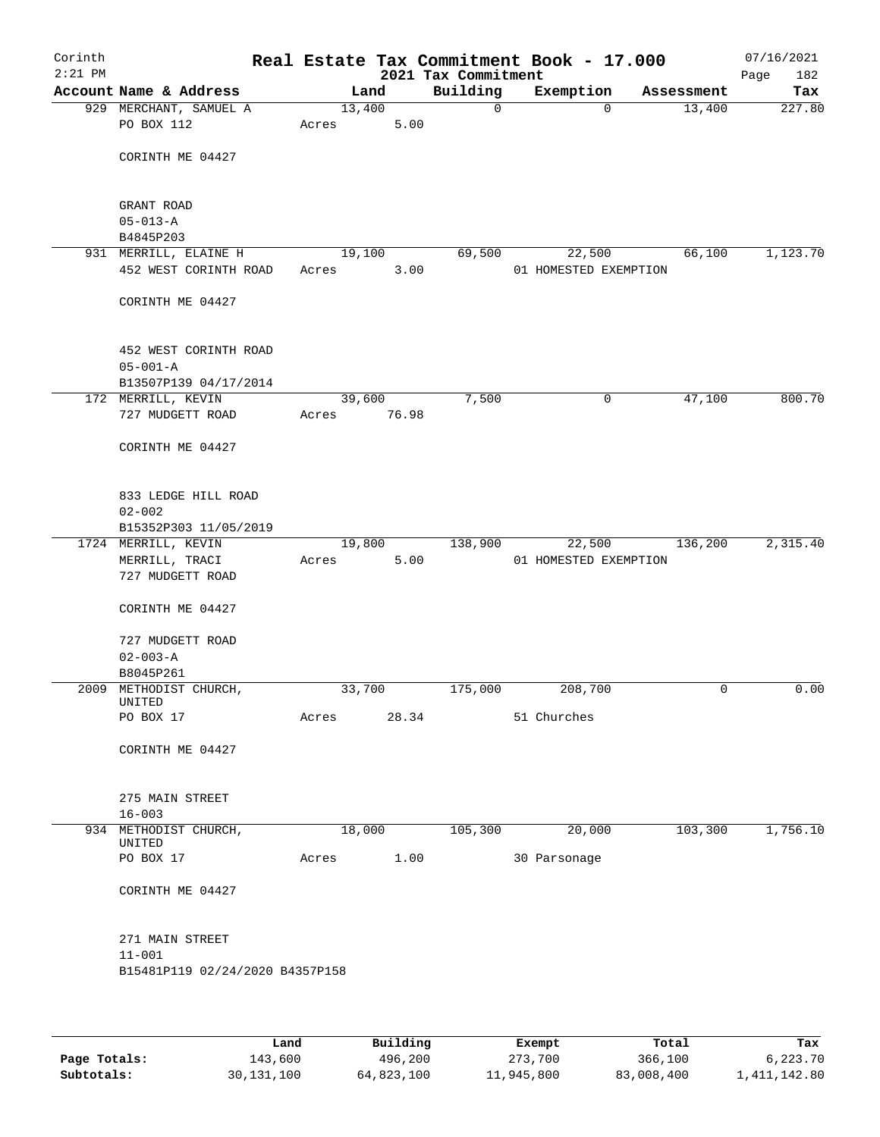| Corinth<br>$2:21$ PM |                                             |        |                | 2021 Tax Commitment | Real Estate Tax Commitment Book - 17.000 |            | 07/16/2021<br>Page<br>182 |
|----------------------|---------------------------------------------|--------|----------------|---------------------|------------------------------------------|------------|---------------------------|
|                      | Account Name & Address                      |        | Land           | Building            | Exemption                                | Assessment | Tax                       |
|                      | 929 MERCHANT, SAMUEL A                      | 13,400 |                | $\mathsf{O}$        | $\Omega$                                 | 13,400     | 227.80                    |
|                      | PO BOX 112                                  | Acres  | 5.00           |                     |                                          |            |                           |
|                      | CORINTH ME 04427                            |        |                |                     |                                          |            |                           |
|                      | GRANT ROAD<br>$05 - 013 - A$                |        |                |                     |                                          |            |                           |
|                      | B4845P203                                   |        |                |                     |                                          |            |                           |
|                      | 931 MERRILL, ELAINE H                       | 19,100 |                | 69,500              | 22,500                                   | 66,100     | 1,123.70                  |
|                      | 452 WEST CORINTH ROAD                       | Acres  | 3.00           |                     | 01 HOMESTED EXEMPTION                    |            |                           |
|                      | CORINTH ME 04427                            |        |                |                     |                                          |            |                           |
|                      | 452 WEST CORINTH ROAD                       |        |                |                     |                                          |            |                           |
|                      | $05 - 001 - A$                              |        |                |                     |                                          |            |                           |
|                      | B13507P139 04/17/2014<br>172 MERRILL, KEVIN |        | 39,600         | 7,500               | $\mathsf{O}$                             | 47,100     | 800.70                    |
|                      | 727 MUDGETT ROAD                            | Acres  | 76.98          |                     |                                          |            |                           |
|                      |                                             |        |                |                     |                                          |            |                           |
|                      | CORINTH ME 04427                            |        |                |                     |                                          |            |                           |
|                      | 833 LEDGE HILL ROAD                         |        |                |                     |                                          |            |                           |
|                      | $02 - 002$                                  |        |                |                     |                                          |            |                           |
|                      | B15352P303 11/05/2019                       |        |                |                     |                                          |            |                           |
|                      | 1724 MERRILL, KEVIN<br>MERRILL, TRACI       |        | 19,800<br>5.00 | 138,900             | 22,500<br>01 HOMESTED EXEMPTION          | 136,200    | 2,315.40                  |
|                      | 727 MUDGETT ROAD                            | Acres  |                |                     |                                          |            |                           |
|                      | CORINTH ME 04427                            |        |                |                     |                                          |            |                           |
|                      | 727 MUDGETT ROAD                            |        |                |                     |                                          |            |                           |
|                      | $02 - 003 - A$                              |        |                |                     |                                          |            |                           |
|                      | B8045P261<br>2009 METHODIST CHURCH,         | 33,700 |                | 175,000             | 208,700                                  | 0          | 0.00                      |
|                      | UNITED                                      |        |                |                     |                                          |            |                           |
|                      | PO BOX 17                                   | Acres  | 28.34          |                     | 51 Churches                              |            |                           |
|                      | CORINTH ME 04427                            |        |                |                     |                                          |            |                           |
|                      | 275 MAIN STREET                             |        |                |                     |                                          |            |                           |
|                      | $16 - 003$                                  |        |                |                     |                                          |            |                           |
|                      | 934 METHODIST CHURCH,                       | 18,000 |                | 105,300             | 20,000                                   | 103,300    | 1,756.10                  |
|                      | UNITED                                      |        |                |                     |                                          |            |                           |
|                      | PO BOX 17                                   | Acres  | 1.00           |                     | 30 Parsonage                             |            |                           |
|                      | CORINTH ME 04427                            |        |                |                     |                                          |            |                           |
|                      | 271 MAIN STREET                             |        |                |                     |                                          |            |                           |
|                      | $11 - 001$                                  |        |                |                     |                                          |            |                           |
|                      | B15481P119 02/24/2020 B4357P158             |        |                |                     |                                          |            |                           |
|                      |                                             |        |                |                     |                                          |            |                           |
|                      |                                             |        |                |                     |                                          |            |                           |

|              | Land       | Building   | Exempt     | Total      | Tax          |
|--------------|------------|------------|------------|------------|--------------|
| Page Totals: | 143,600    | 496,200    | 273,700    | 366,100    | 6,223.70     |
| Subtotals:   | 30,131,100 | 64,823,100 | 11,945,800 | 83,008,400 | 1,411,142.80 |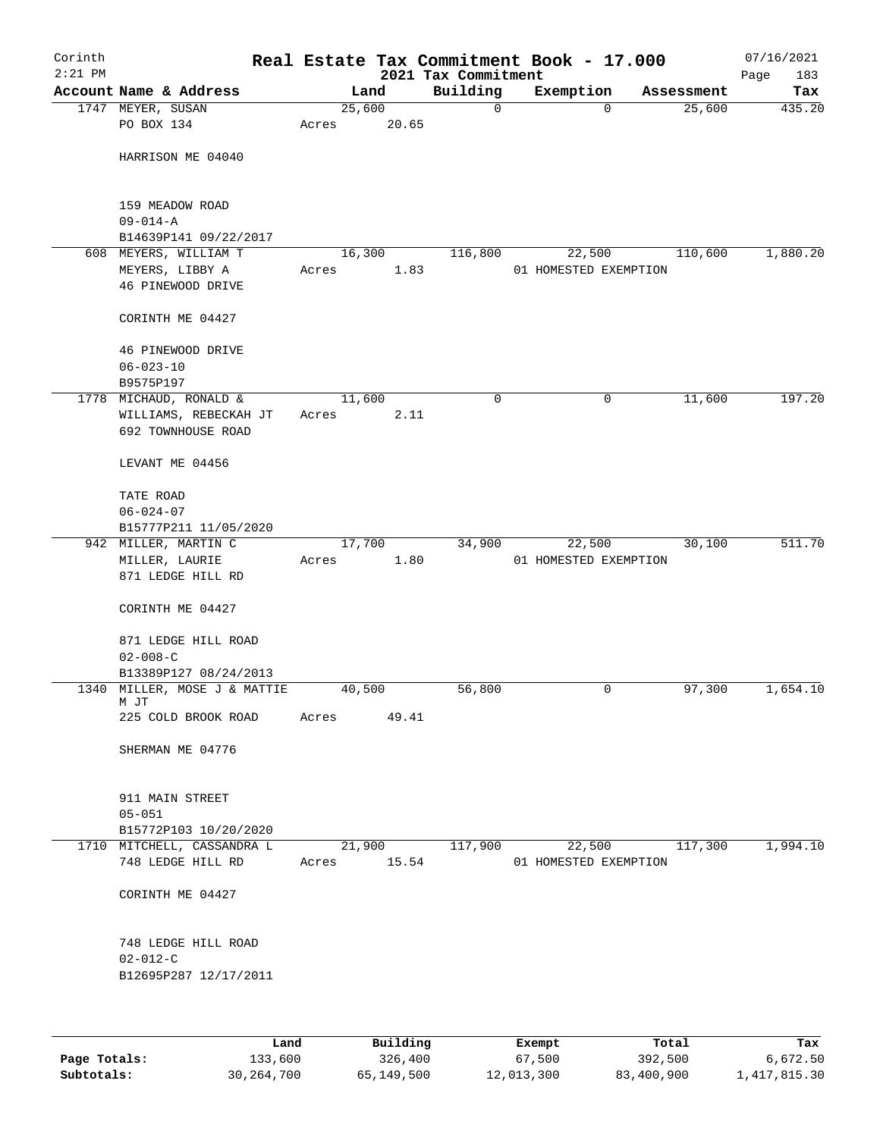| Corinth<br>$2:21$ PM |                                                 |       |         |       | Real Estate Tax Commitment Book - 17.000<br>2021 Tax Commitment |                                 |             |            | 07/16/2021<br>183<br>Page |
|----------------------|-------------------------------------------------|-------|---------|-------|-----------------------------------------------------------------|---------------------------------|-------------|------------|---------------------------|
|                      | Account Name & Address                          |       | Land    |       | Building                                                        | Exemption                       |             | Assessment | Tax                       |
|                      | 1747 MEYER, SUSAN                               |       | 25,600  |       | 0                                                               |                                 | $\mathbf 0$ | 25,600     | 435.20                    |
|                      | PO BOX 134                                      | Acres |         | 20.65 |                                                                 |                                 |             |            |                           |
|                      |                                                 |       |         |       |                                                                 |                                 |             |            |                           |
|                      | HARRISON ME 04040                               |       |         |       |                                                                 |                                 |             |            |                           |
|                      |                                                 |       |         |       |                                                                 |                                 |             |            |                           |
|                      |                                                 |       |         |       |                                                                 |                                 |             |            |                           |
|                      | 159 MEADOW ROAD                                 |       |         |       |                                                                 |                                 |             |            |                           |
|                      | $09 - 014 - A$<br>B14639P141 09/22/2017         |       |         |       |                                                                 |                                 |             |            |                           |
|                      | 608 MEYERS, WILLIAM T                           |       | 16, 300 |       | 116,800                                                         | 22,500                          |             | 110,600    | 1,880.20                  |
|                      | MEYERS, LIBBY A                                 | Acres |         | 1.83  |                                                                 | 01 HOMESTED EXEMPTION           |             |            |                           |
|                      | 46 PINEWOOD DRIVE                               |       |         |       |                                                                 |                                 |             |            |                           |
|                      |                                                 |       |         |       |                                                                 |                                 |             |            |                           |
|                      | CORINTH ME 04427                                |       |         |       |                                                                 |                                 |             |            |                           |
|                      |                                                 |       |         |       |                                                                 |                                 |             |            |                           |
|                      | 46 PINEWOOD DRIVE                               |       |         |       |                                                                 |                                 |             |            |                           |
|                      | $06 - 023 - 10$                                 |       |         |       |                                                                 |                                 |             |            |                           |
|                      | B9575P197                                       |       |         |       |                                                                 |                                 |             |            |                           |
|                      | 1778 MICHAUD, RONALD &                          |       | 11,600  |       | $\mathbf 0$                                                     |                                 | 0           | 11,600     | 197.20                    |
|                      | WILLIAMS, REBECKAH JT<br>692 TOWNHOUSE ROAD     | Acres |         | 2.11  |                                                                 |                                 |             |            |                           |
|                      |                                                 |       |         |       |                                                                 |                                 |             |            |                           |
|                      | LEVANT ME 04456                                 |       |         |       |                                                                 |                                 |             |            |                           |
|                      |                                                 |       |         |       |                                                                 |                                 |             |            |                           |
|                      | TATE ROAD                                       |       |         |       |                                                                 |                                 |             |            |                           |
|                      | $06 - 024 - 07$                                 |       |         |       |                                                                 |                                 |             |            |                           |
|                      | B15777P211 11/05/2020                           |       |         |       |                                                                 |                                 |             |            |                           |
|                      | 942 MILLER, MARTIN C                            |       | 17,700  |       | 34,900                                                          | 22,500                          |             | 30,100     | 511.70                    |
|                      | MILLER, LAURIE                                  | Acres |         | 1.80  |                                                                 | 01 HOMESTED EXEMPTION           |             |            |                           |
|                      | 871 LEDGE HILL RD                               |       |         |       |                                                                 |                                 |             |            |                           |
|                      | CORINTH ME 04427                                |       |         |       |                                                                 |                                 |             |            |                           |
|                      |                                                 |       |         |       |                                                                 |                                 |             |            |                           |
|                      | 871 LEDGE HILL ROAD                             |       |         |       |                                                                 |                                 |             |            |                           |
|                      | $02 - 008 - C$                                  |       |         |       |                                                                 |                                 |             |            |                           |
|                      | B13389P127 08/24/2013                           |       |         |       |                                                                 |                                 |             |            |                           |
|                      | 1340 MILLER, MOSE J & MATTIE                    |       | 40,500  |       | 56,800                                                          |                                 | 0           | 97,300     | 1,654.10                  |
|                      | M JT                                            |       |         |       |                                                                 |                                 |             |            |                           |
|                      | 225 COLD BROOK ROAD                             | Acres |         | 49.41 |                                                                 |                                 |             |            |                           |
|                      | SHERMAN ME 04776                                |       |         |       |                                                                 |                                 |             |            |                           |
|                      |                                                 |       |         |       |                                                                 |                                 |             |            |                           |
|                      |                                                 |       |         |       |                                                                 |                                 |             |            |                           |
|                      | 911 MAIN STREET                                 |       |         |       |                                                                 |                                 |             |            |                           |
|                      | $05 - 051$                                      |       |         |       |                                                                 |                                 |             |            |                           |
|                      | B15772P103 10/20/2020                           |       |         |       |                                                                 |                                 |             |            |                           |
|                      | 1710 MITCHELL, CASSANDRA L<br>748 LEDGE HILL RD |       | 21,900  | 15.54 | 117,900                                                         | 22,500<br>01 HOMESTED EXEMPTION |             | 117,300    | 1,994.10                  |
|                      |                                                 | Acres |         |       |                                                                 |                                 |             |            |                           |
|                      | CORINTH ME 04427                                |       |         |       |                                                                 |                                 |             |            |                           |
|                      |                                                 |       |         |       |                                                                 |                                 |             |            |                           |
|                      |                                                 |       |         |       |                                                                 |                                 |             |            |                           |
|                      | 748 LEDGE HILL ROAD                             |       |         |       |                                                                 |                                 |             |            |                           |
|                      | $02 - 012 - C$                                  |       |         |       |                                                                 |                                 |             |            |                           |
|                      | B12695P287 12/17/2011                           |       |         |       |                                                                 |                                 |             |            |                           |
|                      |                                                 |       |         |       |                                                                 |                                 |             |            |                           |
|                      |                                                 |       |         |       |                                                                 |                                 |             |            |                           |
|                      |                                                 |       |         |       |                                                                 |                                 |             |            |                           |

|              | Land       | Building   | Exempt     | Total      | Tax          |
|--------------|------------|------------|------------|------------|--------------|
| Page Totals: | 133,600    | 326,400    | 67,500     | 392,500    | 6,672.50     |
| Subtotals:   | 30,264,700 | 65,149,500 | 12,013,300 | 83,400,900 | 1,417,815.30 |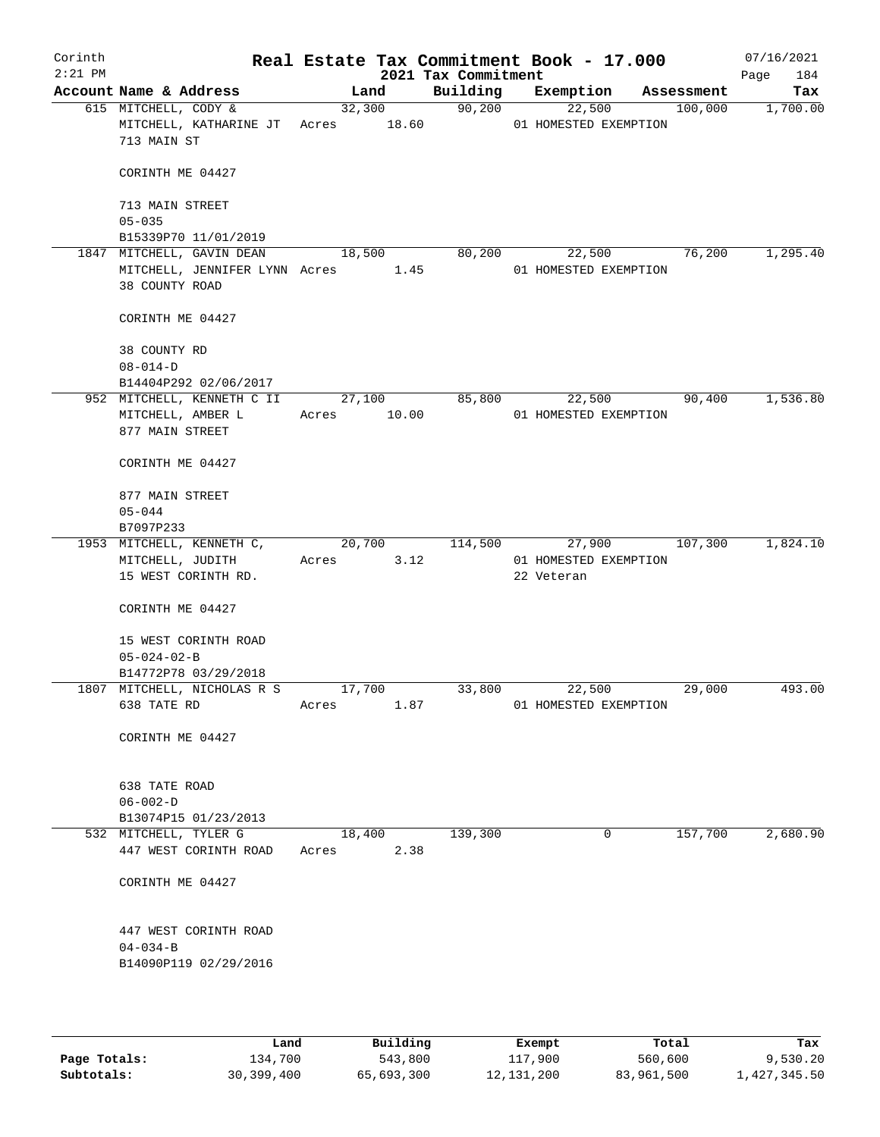| Corinth<br>$2:21$ PM |                                                                                                           |                 |        | 2021 Tax Commitment | Real Estate Tax Commitment Book - 17.000      |                | 07/16/2021<br>184<br>Page |
|----------------------|-----------------------------------------------------------------------------------------------------------|-----------------|--------|---------------------|-----------------------------------------------|----------------|---------------------------|
|                      | Account Name & Address                                                                                    |                 | Land   |                     | Building Exemption Assessment                 |                | Tax                       |
|                      | 615 MITCHELL, CODY &<br>MITCHELL, KATHARINE JT Acres 18.60 01 HOMESTED EXEMPTION<br>713 MAIN ST           |                 | 32,300 | 90,200              |                                               | 22,500 100,000 | 1,700.00                  |
|                      | CORINTH ME 04427                                                                                          |                 |        |                     |                                               |                |                           |
|                      | 713 MAIN STREET<br>$05 - 035$                                                                             |                 |        |                     |                                               |                |                           |
|                      | B15339P70 11/01/2019                                                                                      |                 |        |                     |                                               |                |                           |
|                      | 1847 MITCHELL, GAVIN DEAN<br>MITCHELL, JENNIFER LYNN Acres $1.45$ 01 HOMESTED EXEMPTION<br>38 COUNTY ROAD | 18,500          |        | 80,200              | 22,500                                        |                | 76,200<br>1,295.40        |
|                      | CORINTH ME 04427                                                                                          |                 |        |                     |                                               |                |                           |
|                      | 38 COUNTY RD<br>$08 - 014 - D$                                                                            |                 |        |                     |                                               |                |                           |
|                      | B14404P292 02/06/2017                                                                                     |                 |        |                     |                                               |                |                           |
|                      | 952 MITCHELL, KENNETH C II 27,100 85,800<br>MITCHELL, AMBER L Acres 10.00<br>877 MAIN STREET              |                 |        |                     | 22,500<br>01 HOMESTED EXEMPTION               |                | 1,536.80<br>90,400        |
|                      | CORINTH ME 04427                                                                                          |                 |        |                     |                                               |                |                           |
|                      | 877 MAIN STREET<br>$05 - 044$                                                                             |                 |        |                     |                                               |                |                           |
|                      | B7097P233                                                                                                 |                 |        |                     |                                               |                |                           |
|                      | 1953 MITCHELL, KENNETH C, 20,700 114,500<br>MITCHELL, JUDITH Acres 3.12<br>15 WEST CORINTH RD.            |                 |        |                     | 27,900<br>01 HOMESTED EXEMPTION<br>22 Veteran | 107,300        | 1,824.10                  |
|                      | CORINTH ME 04427                                                                                          |                 |        |                     |                                               |                |                           |
|                      | 15 WEST CORINTH ROAD<br>$05 - 024 - 02 - B$                                                               |                 |        |                     |                                               |                |                           |
|                      | B14772P78 03/29/2018                                                                                      |                 |        |                     | 22,500                                        |                | 493.00                    |
|                      | 1807 MITCHELL, NICHOLAS R S<br>638 TATE RD                                                                | 17,700<br>Acres | 1.87   | 33,800              | 01 HOMESTED EXEMPTION                         |                | 29,000                    |
|                      | CORINTH ME 04427                                                                                          |                 |        |                     |                                               |                |                           |
|                      | 638 TATE ROAD<br>$06 - 002 - D$                                                                           |                 |        |                     |                                               |                |                           |
|                      | B13074P15 01/23/2013                                                                                      |                 |        |                     |                                               |                |                           |
|                      | 532 MITCHELL, TYLER G<br>447 WEST CORINTH ROAD                                                            | 18,400<br>Acres | 2.38   | 139,300             | 0                                             | 157,700        | 2,680.90                  |
|                      | CORINTH ME 04427                                                                                          |                 |        |                     |                                               |                |                           |
|                      | 447 WEST CORINTH ROAD<br>$04 - 034 - B$<br>B14090P119 02/29/2016                                          |                 |        |                     |                                               |                |                           |
|                      |                                                                                                           |                 |        |                     |                                               |                |                           |

|              | Land       | Building   | Exempt     | Total      | Tax          |
|--------------|------------|------------|------------|------------|--------------|
| Page Totals: | 134,700    | 543,800    | 117,900    | 560,600    | 9,530.20     |
| Subtotals:   | 30,399,400 | 65,693,300 | 12,131,200 | 83,961,500 | 1,427,345.50 |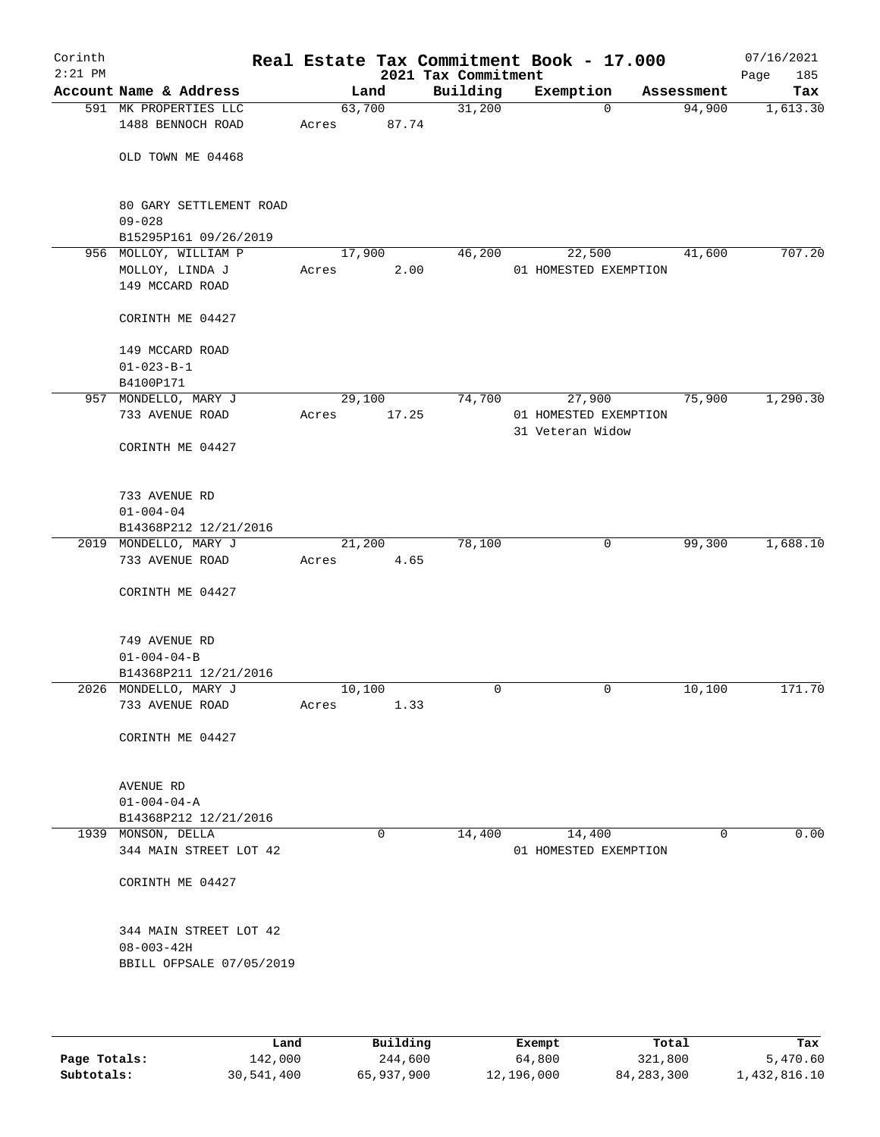| Corinth<br>$2:21$ PM |                                                                        |        |          | Real Estate Tax Commitment Book - 17.000<br>2021 Tax Commitment |                       |             |             | 07/16/2021<br>185<br>Page |
|----------------------|------------------------------------------------------------------------|--------|----------|-----------------------------------------------------------------|-----------------------|-------------|-------------|---------------------------|
|                      | Account Name & Address                                                 |        | Land     | Building                                                        | Exemption             |             | Assessment  | Tax                       |
|                      | 591 MK PROPERTIES LLC                                                  |        | 63,700   | 31,200                                                          |                       | $\mathbf 0$ | 94,900      | 1,613.30                  |
|                      | 1488 BENNOCH ROAD                                                      | Acres  | 87.74    |                                                                 |                       |             |             |                           |
|                      | OLD TOWN ME 04468                                                      |        |          |                                                                 |                       |             |             |                           |
|                      | 80 GARY SETTLEMENT ROAD                                                |        |          |                                                                 |                       |             |             |                           |
|                      | $09 - 028$<br>B15295P161 09/26/2019                                    |        |          |                                                                 |                       |             |             |                           |
|                      | 956 MOLLOY, WILLIAM P                                                  | 17,900 |          | 46,200                                                          |                       | 22,500      | 41,600      | 707.20                    |
|                      | MOLLOY, LINDA J                                                        | Acres  | 2.00     |                                                                 | 01 HOMESTED EXEMPTION |             |             |                           |
|                      | 149 MCCARD ROAD                                                        |        |          |                                                                 |                       |             |             |                           |
|                      | CORINTH ME 04427                                                       |        |          |                                                                 |                       |             |             |                           |
|                      | 149 MCCARD ROAD                                                        |        |          |                                                                 |                       |             |             |                           |
|                      | $01 - 023 - B - 1$                                                     |        |          |                                                                 |                       |             |             |                           |
|                      | B4100P171                                                              |        |          |                                                                 |                       |             |             |                           |
|                      | 957 MONDELLO, MARY J                                                   |        | 29,100   | 74,700                                                          |                       | 27,900      | 75,900      | 1,290.30                  |
|                      | 733 AVENUE ROAD                                                        | Acres  | 17.25    |                                                                 | 01 HOMESTED EXEMPTION |             |             |                           |
|                      | CORINTH ME 04427                                                       |        |          |                                                                 | 31 Veteran Widow      |             |             |                           |
|                      |                                                                        |        |          |                                                                 |                       |             |             |                           |
|                      | 733 AVENUE RD                                                          |        |          |                                                                 |                       |             |             |                           |
|                      | $01 - 004 - 04$                                                        |        |          |                                                                 |                       |             |             |                           |
|                      | B14368P212 12/21/2016                                                  |        |          |                                                                 |                       |             |             |                           |
|                      | 2019 MONDELLO, MARY J                                                  |        | 21,200   | 78,100                                                          |                       | $\mathbf 0$ | 99,300      | 1,688.10                  |
|                      | 733 AVENUE ROAD                                                        | Acres  | 4.65     |                                                                 |                       |             |             |                           |
|                      | CORINTH ME 04427                                                       |        |          |                                                                 |                       |             |             |                           |
|                      | 749 AVENUE RD                                                          |        |          |                                                                 |                       |             |             |                           |
|                      | $01 - 004 - 04 - B$                                                    |        |          |                                                                 |                       |             |             |                           |
|                      | B14368P211 12/21/2016                                                  |        |          |                                                                 |                       |             |             |                           |
|                      | 2026 MONDELLO, MARY J                                                  | 10,100 |          | 0                                                               |                       | 0           | 10,100      | 171.70                    |
|                      | 733 AVENUE ROAD                                                        | Acres  | 1.33     |                                                                 |                       |             |             |                           |
|                      | CORINTH ME 04427                                                       |        |          |                                                                 |                       |             |             |                           |
|                      |                                                                        |        |          |                                                                 |                       |             |             |                           |
|                      | AVENUE RD<br>$01 - 004 - 04 - A$                                       |        |          |                                                                 |                       |             |             |                           |
|                      | B14368P212 12/21/2016                                                  |        |          |                                                                 |                       |             |             |                           |
|                      | 1939 MONSON, DELLA                                                     |        | $\Omega$ | 14,400                                                          |                       | 14,400      | $\mathbf 0$ | 0.00                      |
|                      | 344 MAIN STREET LOT 42                                                 |        |          |                                                                 | 01 HOMESTED EXEMPTION |             |             |                           |
|                      | CORINTH ME 04427                                                       |        |          |                                                                 |                       |             |             |                           |
|                      | 344 MAIN STREET LOT 42<br>$08 - 003 - 42H$<br>BBILL OFPSALE 07/05/2019 |        |          |                                                                 |                       |             |             |                           |
|                      |                                                                        |        |          |                                                                 |                       |             |             |                           |

|              | Land       | Building   | Exempt     | Total        | Tax          |
|--------------|------------|------------|------------|--------------|--------------|
| Page Totals: | 142,000    | 244,600    | 64,800     | 321,800      | 5,470.60     |
| Subtotals:   | 30,541,400 | 65,937,900 | 12,196,000 | 84, 283, 300 | 1,432,816.10 |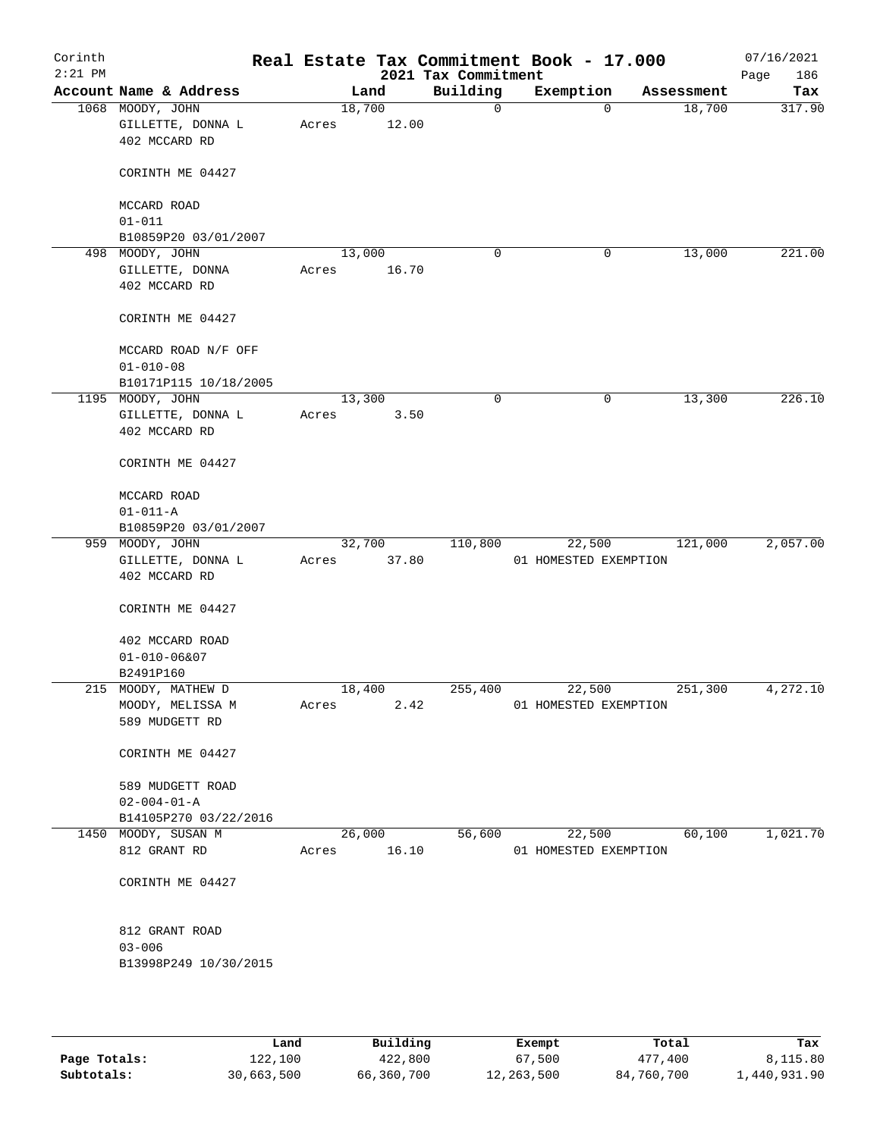| Account Name & Address<br>1068 MOODY, JOHN<br>GILLETTE, DONNA L<br>402 MCCARD RD<br>CORINTH ME 04427<br>MCCARD ROAD<br>$01 - 011$<br>B10859P20 03/01/2007<br>MOODY, JOHN<br>GILLETTE, DONNA<br>402 MCCARD RD<br>CORINTH ME 04427<br>MCCARD ROAD N/F OFF<br>$01 - 010 - 08$<br>B10171P115 10/18/2005<br>1195 MOODY, JOHN | Acres<br>Acres                                                                                                                            | Land<br>18,700<br>13,000 | 12.00<br>16.70 | Building<br>0<br>$\mathbf 0$ | Exemption              | Assessment<br>18,700<br>0<br>13,000<br>0 | Tax                                                                                                                                   |
|-------------------------------------------------------------------------------------------------------------------------------------------------------------------------------------------------------------------------------------------------------------------------------------------------------------------------|-------------------------------------------------------------------------------------------------------------------------------------------|--------------------------|----------------|------------------------------|------------------------|------------------------------------------|---------------------------------------------------------------------------------------------------------------------------------------|
|                                                                                                                                                                                                                                                                                                                         |                                                                                                                                           |                          |                |                              |                        |                                          | 317.90                                                                                                                                |
|                                                                                                                                                                                                                                                                                                                         |                                                                                                                                           |                          |                |                              |                        |                                          | 221.00                                                                                                                                |
|                                                                                                                                                                                                                                                                                                                         |                                                                                                                                           |                          |                |                              |                        |                                          |                                                                                                                                       |
|                                                                                                                                                                                                                                                                                                                         |                                                                                                                                           |                          |                |                              |                        |                                          |                                                                                                                                       |
|                                                                                                                                                                                                                                                                                                                         |                                                                                                                                           |                          |                |                              |                        |                                          |                                                                                                                                       |
|                                                                                                                                                                                                                                                                                                                         |                                                                                                                                           |                          |                |                              |                        |                                          |                                                                                                                                       |
|                                                                                                                                                                                                                                                                                                                         |                                                                                                                                           |                          |                |                              |                        |                                          |                                                                                                                                       |
|                                                                                                                                                                                                                                                                                                                         |                                                                                                                                           |                          |                |                              |                        |                                          |                                                                                                                                       |
|                                                                                                                                                                                                                                                                                                                         |                                                                                                                                           |                          |                |                              |                        |                                          |                                                                                                                                       |
|                                                                                                                                                                                                                                                                                                                         |                                                                                                                                           |                          |                |                              |                        |                                          |                                                                                                                                       |
|                                                                                                                                                                                                                                                                                                                         |                                                                                                                                           | 13,300                   |                | 0                            |                        | 13,300<br>0                              | 226.10                                                                                                                                |
| GILLETTE, DONNA L<br>402 MCCARD RD                                                                                                                                                                                                                                                                                      | Acres                                                                                                                                     |                          | 3.50           |                              |                        |                                          |                                                                                                                                       |
| CORINTH ME 04427                                                                                                                                                                                                                                                                                                        |                                                                                                                                           |                          |                |                              |                        |                                          |                                                                                                                                       |
| MCCARD ROAD                                                                                                                                                                                                                                                                                                             |                                                                                                                                           |                          |                |                              |                        |                                          |                                                                                                                                       |
|                                                                                                                                                                                                                                                                                                                         |                                                                                                                                           |                          |                |                              |                        |                                          |                                                                                                                                       |
|                                                                                                                                                                                                                                                                                                                         |                                                                                                                                           |                          |                |                              |                        |                                          | 2,057.00                                                                                                                              |
| GILLETTE, DONNA L<br>402 MCCARD RD                                                                                                                                                                                                                                                                                      | Acres                                                                                                                                     |                          |                |                              |                        |                                          |                                                                                                                                       |
| CORINTH ME 04427                                                                                                                                                                                                                                                                                                        |                                                                                                                                           |                          |                |                              |                        |                                          |                                                                                                                                       |
| 402 MCCARD ROAD                                                                                                                                                                                                                                                                                                         |                                                                                                                                           |                          |                |                              |                        |                                          |                                                                                                                                       |
|                                                                                                                                                                                                                                                                                                                         |                                                                                                                                           |                          |                |                              |                        |                                          |                                                                                                                                       |
| 215 MOODY, MATHEW D                                                                                                                                                                                                                                                                                                     |                                                                                                                                           |                          |                | 255,400                      |                        |                                          | 4,272.10                                                                                                                              |
| MOODY, MELISSA M<br>589 MUDGETT RD                                                                                                                                                                                                                                                                                      | Acres                                                                                                                                     |                          |                |                              |                        |                                          |                                                                                                                                       |
| CORINTH ME 04427                                                                                                                                                                                                                                                                                                        |                                                                                                                                           |                          |                |                              |                        |                                          |                                                                                                                                       |
|                                                                                                                                                                                                                                                                                                                         |                                                                                                                                           |                          |                |                              |                        |                                          |                                                                                                                                       |
| $02 - 004 - 01 - A$                                                                                                                                                                                                                                                                                                     |                                                                                                                                           |                          |                |                              |                        |                                          |                                                                                                                                       |
| B14105P270 03/22/2016                                                                                                                                                                                                                                                                                                   |                                                                                                                                           |                          |                |                              |                        |                                          |                                                                                                                                       |
| 1450 MOODY, SUSAN M                                                                                                                                                                                                                                                                                                     |                                                                                                                                           |                          |                | 56,600                       |                        |                                          | 1,021.70                                                                                                                              |
| 812 GRANT RD                                                                                                                                                                                                                                                                                                            |                                                                                                                                           |                          |                |                              |                        |                                          |                                                                                                                                       |
| CORINTH ME 04427                                                                                                                                                                                                                                                                                                        |                                                                                                                                           |                          |                |                              |                        |                                          |                                                                                                                                       |
| 812 GRANT ROAD<br>$03 - 006$                                                                                                                                                                                                                                                                                            |                                                                                                                                           |                          |                |                              |                        |                                          |                                                                                                                                       |
|                                                                                                                                                                                                                                                                                                                         | $01 - 011 - A$<br>B10859P20 03/01/2007<br>959 MOODY, JOHN<br>$01 - 010 - 06&07$<br>B2491P160<br>589 MUDGETT ROAD<br>B13998P249 10/30/2015 |                          | Acres          | 32,700<br>18,400<br>26,000   | 37.80<br>2.42<br>16.10 | 110,800                                  | 22,500<br>121,000<br>01 HOMESTED EXEMPTION<br>22,500<br>251,300<br>01 HOMESTED EXEMPTION<br>22,500<br>60,100<br>01 HOMESTED EXEMPTION |

|              | Land       | Building   | Exempt     | Total      | Tax          |
|--------------|------------|------------|------------|------------|--------------|
| Page Totals: | 122,100    | 422,800    | 67,500     | 477,400    | 8,115.80     |
| Subtotals:   | 30,663,500 | 66,360,700 | 12,263,500 | 84,760,700 | 1,440,931.90 |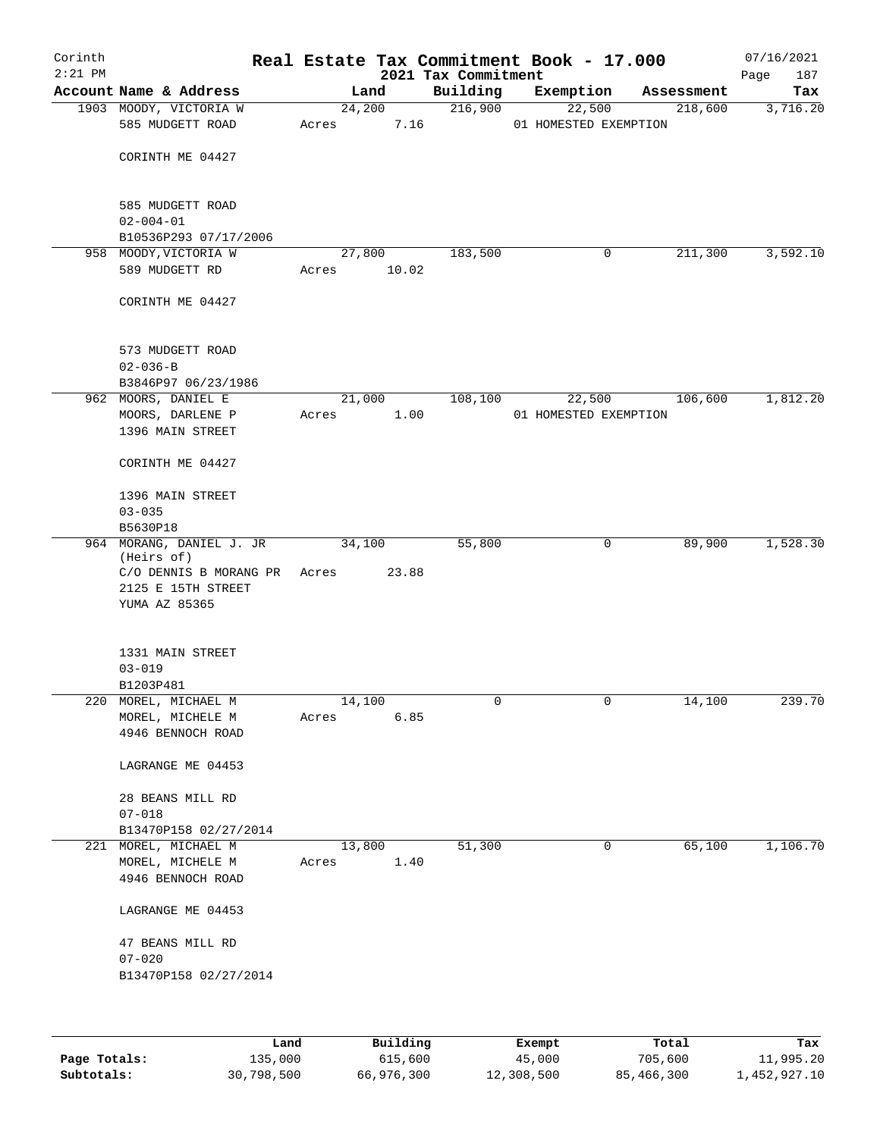| Corinth<br>$2:21$ PM |                                              |        |        | 2021 Tax Commitment | Real Estate Tax Commitment Book - 17.000 |            | 07/16/2021<br>187<br>Page |
|----------------------|----------------------------------------------|--------|--------|---------------------|------------------------------------------|------------|---------------------------|
|                      | Account Name & Address                       |        | Land   | Building            | Exemption                                | Assessment | Tax                       |
|                      | 1903 MOODY, VICTORIA W                       | 24,200 |        | 216,900             | 22,500                                   | 218,600    | 3,716.20                  |
|                      | 585 MUDGETT ROAD                             | Acres  | 7.16   |                     | 01 HOMESTED EXEMPTION                    |            |                           |
|                      | CORINTH ME 04427                             |        |        |                     |                                          |            |                           |
|                      | 585 MUDGETT ROAD<br>$02 - 004 - 01$          |        |        |                     |                                          |            |                           |
|                      | B10536P293 07/17/2006                        |        |        |                     |                                          |            |                           |
|                      | 958 MOODY, VICTORIA W                        | 27,800 |        | 183,500             | 0                                        | 211,300    | 3,592.10                  |
|                      | 589 MUDGETT RD                               | Acres  | 10.02  |                     |                                          |            |                           |
|                      | CORINTH ME 04427                             |        |        |                     |                                          |            |                           |
|                      | 573 MUDGETT ROAD<br>$02 - 036 - B$           |        |        |                     |                                          |            |                           |
|                      | B3846P97 06/23/1986                          |        |        |                     |                                          |            |                           |
|                      | 962 MOORS, DANIEL E                          |        | 21,000 | 108,100             | 22,500                                   | 106,600    | 1,812.20                  |
|                      | MOORS, DARLENE P                             | Acres  | 1.00   |                     | 01 HOMESTED EXEMPTION                    |            |                           |
|                      | 1396 MAIN STREET                             |        |        |                     |                                          |            |                           |
|                      | CORINTH ME 04427                             |        |        |                     |                                          |            |                           |
|                      | 1396 MAIN STREET<br>$03 - 035$               |        |        |                     |                                          |            |                           |
|                      | B5630P18                                     |        |        |                     |                                          |            |                           |
|                      | 964 MORANG, DANIEL J. JR<br>(Heirs of)       | 34,100 |        | 55,800              | 0                                        | 89,900     | 1,528.30                  |
|                      | C/O DENNIS B MORANG PR<br>2125 E 15TH STREET | Acres  | 23.88  |                     |                                          |            |                           |
|                      | YUMA AZ 85365                                |        |        |                     |                                          |            |                           |
|                      | 1331 MAIN STREET                             |        |        |                     |                                          |            |                           |
|                      | $03 - 019$                                   |        |        |                     |                                          |            |                           |
|                      | B1203P481                                    |        |        |                     |                                          |            |                           |
|                      | 220 MOREL, MICHAEL M                         | 14,100 |        | 0                   | 0                                        | 14,100     | 239.70                    |
|                      | MOREL, MICHELE M<br>4946 BENNOCH ROAD        | Acres  | 6.85   |                     |                                          |            |                           |
|                      | LAGRANGE ME 04453                            |        |        |                     |                                          |            |                           |
|                      | 28 BEANS MILL RD<br>$07 - 018$               |        |        |                     |                                          |            |                           |
|                      | B13470P158 02/27/2014                        |        |        |                     |                                          |            |                           |
|                      | 221 MOREL, MICHAEL M                         | 13,800 |        | 51,300              | 0                                        | 65,100     | 1,106.70                  |
|                      | MOREL, MICHELE M<br>4946 BENNOCH ROAD        | Acres  | 1.40   |                     |                                          |            |                           |
|                      | LAGRANGE ME 04453                            |        |        |                     |                                          |            |                           |
|                      | 47 BEANS MILL RD<br>$07 - 020$               |        |        |                     |                                          |            |                           |
|                      | B13470P158 02/27/2014                        |        |        |                     |                                          |            |                           |
|                      |                                              |        |        |                     |                                          |            |                           |

|              | Land       | Building   | Exempt     | Total      | Tax          |
|--------------|------------|------------|------------|------------|--------------|
| Page Totals: | 135,000    | 615,600    | 45,000     | 705,600    | 11,995.20    |
| Subtotals:   | 30,798,500 | 66,976,300 | 12,308,500 | 85,466,300 | 1,452,927.10 |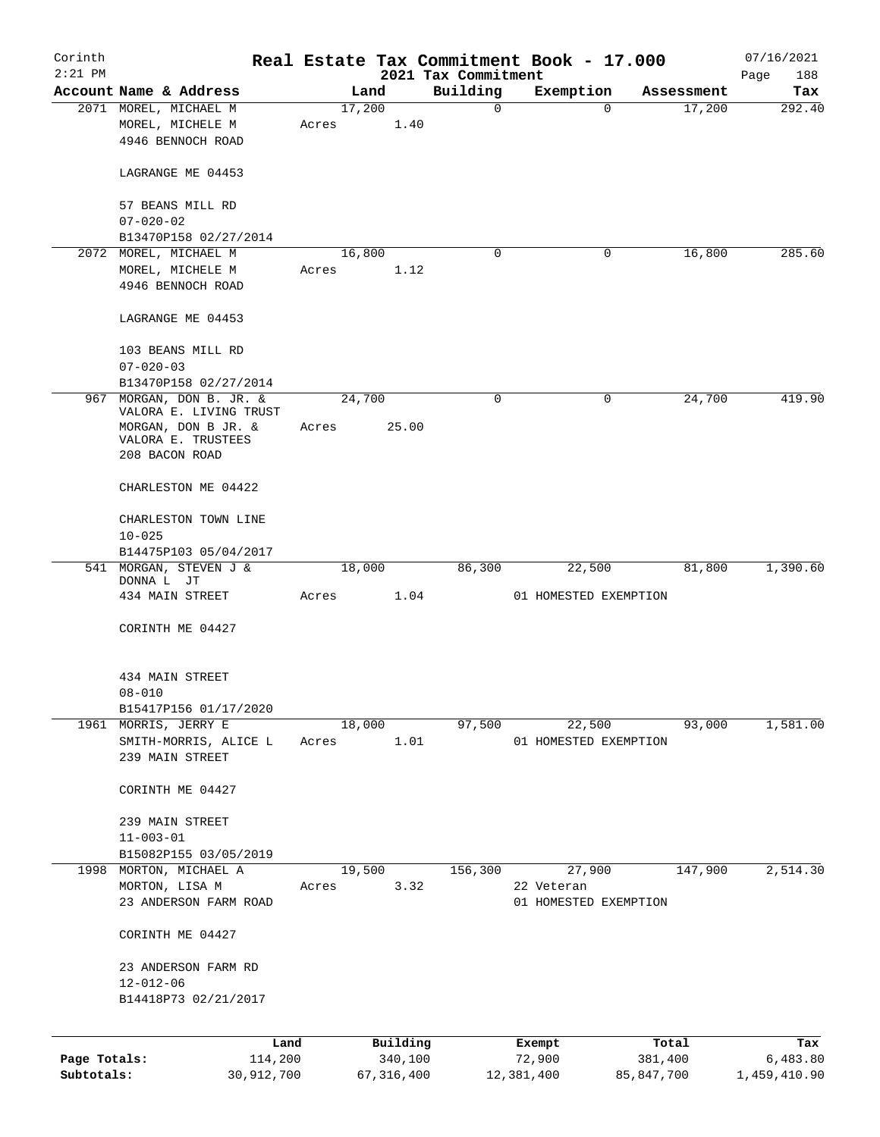| Corinth      |                                                                |       |                |                         | Real Estate Tax Commitment Book - 17.000 |                      | 07/16/2021    |
|--------------|----------------------------------------------------------------|-------|----------------|-------------------------|------------------------------------------|----------------------|---------------|
| $2:21$ PM    | Account Name & Address                                         |       |                | 2021 Tax Commitment     |                                          |                      | Page<br>188   |
|              |                                                                |       | Land<br>17,200 | Building<br>$\mathbf 0$ | Exemption<br>$\mathbf 0$                 | Assessment<br>17,200 | Tax<br>292.40 |
|              | 2071 MOREL, MICHAEL M<br>MOREL, MICHELE M<br>4946 BENNOCH ROAD | Acres | 1.40           |                         |                                          |                      |               |
|              | LAGRANGE ME 04453                                              |       |                |                         |                                          |                      |               |
|              | 57 BEANS MILL RD<br>$07 - 020 - 02$                            |       |                |                         |                                          |                      |               |
|              | B13470P158 02/27/2014                                          |       |                |                         |                                          |                      |               |
| 2072         | MOREL, MICHAEL M                                               |       | 16,800         | $\Omega$                | 0                                        | 16,800               | 285.60        |
|              | MOREL, MICHELE M<br>4946 BENNOCH ROAD                          | Acres | 1.12           |                         |                                          |                      |               |
|              | LAGRANGE ME 04453                                              |       |                |                         |                                          |                      |               |
|              | 103 BEANS MILL RD<br>$07 - 020 - 03$                           |       |                |                         |                                          |                      |               |
|              | B13470P158 02/27/2014                                          |       |                |                         |                                          |                      |               |
|              | 967 MORGAN, DON B. JR. &                                       |       | 24,700         | $\mathbf 0$             | $\mathbf 0$                              | 24,700               | 419.90        |
|              | VALORA E. LIVING TRUST                                         |       |                |                         |                                          |                      |               |
|              | MORGAN, DON B JR. &                                            | Acres | 25.00          |                         |                                          |                      |               |
|              | VALORA E. TRUSTEES<br>208 BACON ROAD                           |       |                |                         |                                          |                      |               |
|              | CHARLESTON ME 04422                                            |       |                |                         |                                          |                      |               |
|              | CHARLESTON TOWN LINE<br>$10 - 025$                             |       |                |                         |                                          |                      |               |
|              | B14475P103 05/04/2017                                          |       |                |                         |                                          |                      |               |
|              | 541 MORGAN, STEVEN J &                                         |       | 18,000         | 86,300                  | 22,500                                   | 81,800               | 1,390.60      |
|              | DONNA L JT                                                     |       |                |                         |                                          |                      |               |
|              | 434 MAIN STREET                                                | Acres | 1.04           |                         | 01 HOMESTED EXEMPTION                    |                      |               |
|              | CORINTH ME 04427                                               |       |                |                         |                                          |                      |               |
|              | 434 MAIN STREET                                                |       |                |                         |                                          |                      |               |
|              | $08 - 010$                                                     |       |                |                         |                                          |                      |               |
|              | B15417P156 01/17/2020<br>1961 MORRIS, JERRY E                  |       | 18,000         | 97,500                  | 22,500                                   | 93,000               | 1,581.00      |
|              | SMITH-MORRIS, ALICE L                                          | Acres | 1.01           |                         | 01 HOMESTED EXEMPTION                    |                      |               |
|              | 239 MAIN STREET                                                |       |                |                         |                                          |                      |               |
|              | CORINTH ME 04427                                               |       |                |                         |                                          |                      |               |
|              | 239 MAIN STREET                                                |       |                |                         |                                          |                      |               |
|              | $11 - 003 - 01$                                                |       |                |                         |                                          |                      |               |
|              | B15082P155 03/05/2019                                          |       |                |                         |                                          |                      |               |
|              | 1998 MORTON, MICHAEL A                                         |       | 19,500         | 156,300                 | 27,900                                   | 147,900              | 2,514.30      |
|              | MORTON, LISA M                                                 | Acres | 3.32           |                         | 22 Veteran                               |                      |               |
|              | 23 ANDERSON FARM ROAD                                          |       |                |                         | 01 HOMESTED EXEMPTION                    |                      |               |
|              | CORINTH ME 04427                                               |       |                |                         |                                          |                      |               |
|              | 23 ANDERSON FARM RD                                            |       |                |                         |                                          |                      |               |
|              | $12 - 012 - 06$                                                |       |                |                         |                                          |                      |               |
|              | B14418P73 02/21/2017                                           |       |                |                         |                                          |                      |               |
|              | Land                                                           |       | Building       |                         | Exempt                                   | Total                | Tax           |
| Page Totals: | 114,200                                                        |       | 340,100        |                         | 72,900                                   | 381,400              | 6,483.80      |
| Subtotals:   | 30,912,700                                                     |       | 67, 316, 400   |                         | 12,381,400                               | 85,847,700           | 1,459,410.90  |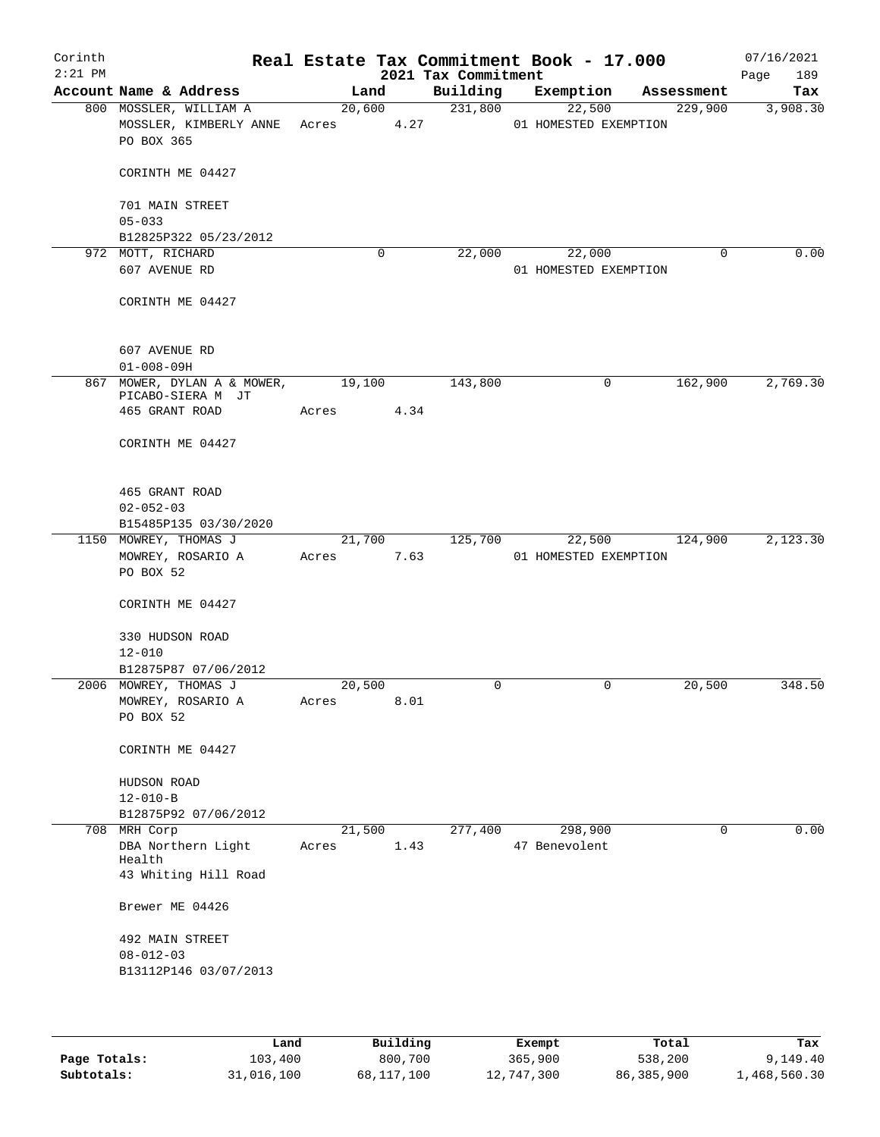| Corinth<br>$2:21$ PM |                   |                             |        |             | 2021 Tax Commitment | Real Estate Tax Commitment Book - 17.000 |   |             | 07/16/2021<br>189<br>Page |
|----------------------|-------------------|-----------------------------|--------|-------------|---------------------|------------------------------------------|---|-------------|---------------------------|
|                      |                   | Account Name & Address      |        | Land        | Building            | Exemption                                |   | Assessment  | Tax                       |
|                      |                   | 800 MOSSLER, WILLIAM A      |        | 20,600      | 231,800             | 22,500                                   |   | 229,900     | 3,908.30                  |
|                      |                   | MOSSLER, KIMBERLY ANNE      | Acres  | 4.27        |                     | 01 HOMESTED EXEMPTION                    |   |             |                           |
|                      | PO BOX 365        |                             |        |             |                     |                                          |   |             |                           |
|                      |                   | CORINTH ME 04427            |        |             |                     |                                          |   |             |                           |
|                      | 701 MAIN STREET   |                             |        |             |                     |                                          |   |             |                           |
|                      | $05 - 033$        |                             |        |             |                     |                                          |   |             |                           |
|                      |                   | B12825P322 05/23/2012       |        |             |                     |                                          |   |             |                           |
|                      | 972 MOTT, RICHARD |                             |        | $\mathbf 0$ | 22,000              | 22,000                                   |   | $\mathbf 0$ | 0.00                      |
|                      | 607 AVENUE RD     |                             |        |             |                     | 01 HOMESTED EXEMPTION                    |   |             |                           |
|                      |                   | CORINTH ME 04427            |        |             |                     |                                          |   |             |                           |
|                      | 607 AVENUE RD     |                             |        |             |                     |                                          |   |             |                           |
|                      | $01 - 008 - 09H$  |                             |        |             |                     |                                          |   |             |                           |
|                      |                   | 867 MOWER, DYLAN A & MOWER, | 19,100 |             | 143,800             |                                          | 0 | 162,900     | 2,769.30                  |
|                      |                   | PICABO-SIERA M JT           |        |             |                     |                                          |   |             |                           |
|                      | 465 GRANT ROAD    |                             | Acres  | 4.34        |                     |                                          |   |             |                           |
|                      |                   | CORINTH ME 04427            |        |             |                     |                                          |   |             |                           |
|                      | 465 GRANT ROAD    |                             |        |             |                     |                                          |   |             |                           |
|                      | $02 - 052 - 03$   |                             |        |             |                     |                                          |   |             |                           |
|                      |                   | B15485P135 03/30/2020       |        |             |                     |                                          |   |             |                           |
|                      |                   | 1150 MOWREY, THOMAS J       |        | 21,700      | 125,700             | 22,500                                   |   | 124,900     | 2,123.30                  |
|                      |                   | MOWREY, ROSARIO A           | Acres  | 7.63        |                     | 01 HOMESTED EXEMPTION                    |   |             |                           |
|                      | PO BOX 52         |                             |        |             |                     |                                          |   |             |                           |
|                      |                   | CORINTH ME 04427            |        |             |                     |                                          |   |             |                           |
|                      | 330 HUDSON ROAD   |                             |        |             |                     |                                          |   |             |                           |
|                      | $12 - 010$        |                             |        |             |                     |                                          |   |             |                           |
|                      |                   | B12875P87 07/06/2012        |        |             |                     |                                          |   |             |                           |
|                      |                   | 2006 MOWREY, THOMAS J       | 20,500 |             | 0                   |                                          | 0 | 20,500      | 348.50                    |
|                      |                   | MOWREY, ROSARIO A           | Acres  | 8.01        |                     |                                          |   |             |                           |
|                      | PO BOX 52         |                             |        |             |                     |                                          |   |             |                           |
|                      |                   | CORINTH ME 04427            |        |             |                     |                                          |   |             |                           |
|                      | HUDSON ROAD       |                             |        |             |                     |                                          |   |             |                           |
|                      | $12 - 010 - B$    |                             |        |             |                     |                                          |   |             |                           |
|                      |                   | B12875P92 07/06/2012        |        |             |                     |                                          |   |             |                           |
|                      | 708 MRH Corp      |                             | 21,500 |             | 277,400             | 298,900                                  |   | 0           | 0.00                      |
|                      |                   | DBA Northern Light          | Acres  | 1.43        |                     | 47 Benevolent                            |   |             |                           |
|                      | Health            | 43 Whiting Hill Road        |        |             |                     |                                          |   |             |                           |
|                      |                   |                             |        |             |                     |                                          |   |             |                           |
|                      | Brewer ME 04426   |                             |        |             |                     |                                          |   |             |                           |
|                      | 492 MAIN STREET   |                             |        |             |                     |                                          |   |             |                           |
|                      | $08 - 012 - 03$   |                             |        |             |                     |                                          |   |             |                           |
|                      |                   | B13112P146 03/07/2013       |        |             |                     |                                          |   |             |                           |
|                      |                   |                             |        |             |                     |                                          |   |             |                           |
|                      |                   |                             |        |             |                     |                                          |   |             |                           |

|              | Land       | Building   | Exempt     | Total      | Tax          |
|--------------|------------|------------|------------|------------|--------------|
| Page Totals: | 103,400    | 800,700    | 365,900    | 538,200    | 9,149.40     |
| Subtotals:   | 31,016,100 | 68,117,100 | 12,747,300 | 86,385,900 | 1,468,560.30 |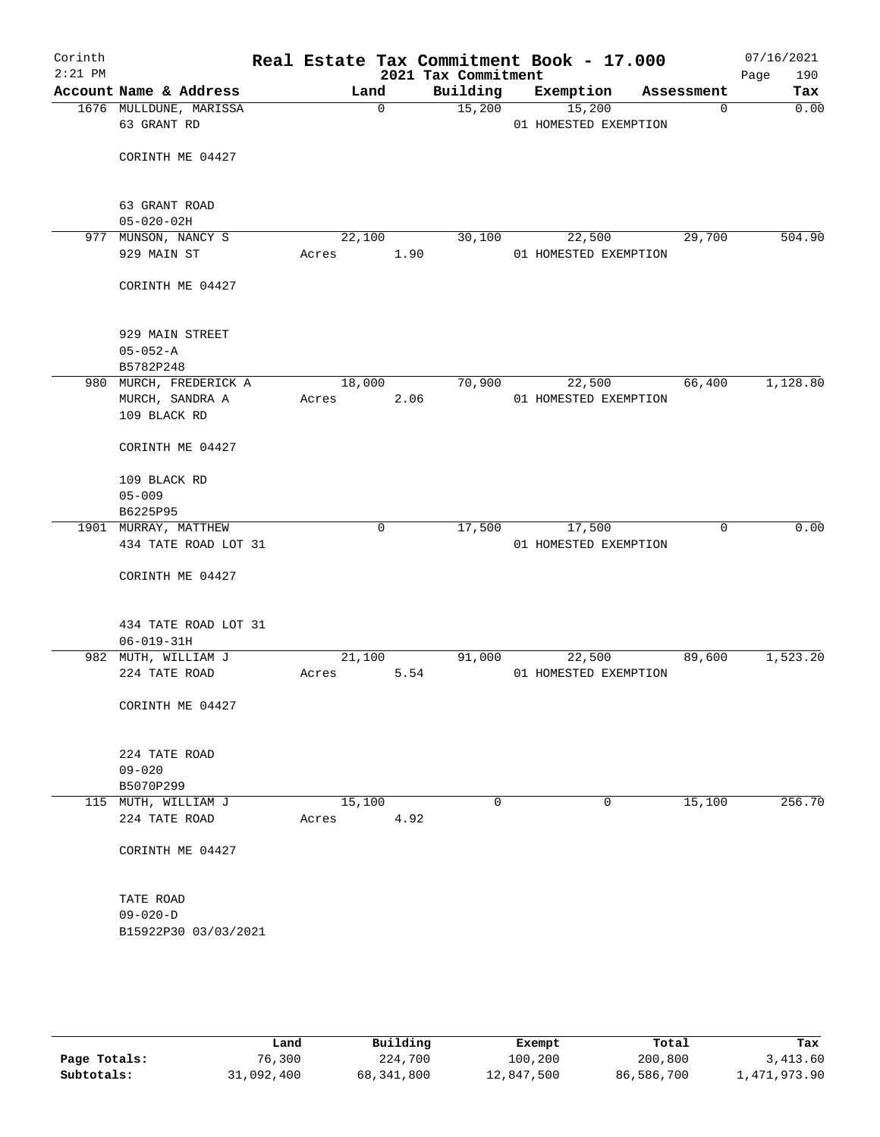| Corinth<br>$2:21$ PM |                                       |        |             | 2021 Tax Commitment | Real Estate Tax Commitment Book - 17.000 |             | 07/16/2021<br>Page<br>190 |
|----------------------|---------------------------------------|--------|-------------|---------------------|------------------------------------------|-------------|---------------------------|
|                      | Account Name & Address                | Land   |             | Building            | Exemption                                | Assessment  | Tax                       |
|                      | 1676 MULLDUNE, MARISSA<br>63 GRANT RD |        | $\mathbf 0$ | 15,200              | 15,200<br>01 HOMESTED EXEMPTION          | $\mathbf 0$ | 0.00                      |
|                      | CORINTH ME 04427                      |        |             |                     |                                          |             |                           |
|                      | 63 GRANT ROAD                         |        |             |                     |                                          |             |                           |
|                      | $05 - 020 - 02H$                      |        |             |                     |                                          |             |                           |
|                      | 977 MUNSON, NANCY S                   | 22,100 |             | 30,100              | 22,500                                   | 29,700      | 504.90                    |
|                      | 929 MAIN ST                           | Acres  | 1.90        |                     | 01 HOMESTED EXEMPTION                    |             |                           |
|                      | CORINTH ME 04427                      |        |             |                     |                                          |             |                           |
|                      | 929 MAIN STREET                       |        |             |                     |                                          |             |                           |
|                      | $05 - 052 - A$                        |        |             |                     |                                          |             |                           |
|                      | B5782P248                             |        |             |                     |                                          |             |                           |
|                      | 980 MURCH, FREDERICK A                | 18,000 |             | 70,900              | 22,500                                   | 66,400      | 1,128.80                  |
|                      | MURCH, SANDRA A<br>109 BLACK RD       | Acres  | 2.06        |                     | 01 HOMESTED EXEMPTION                    |             |                           |
|                      | CORINTH ME 04427                      |        |             |                     |                                          |             |                           |
|                      | 109 BLACK RD                          |        |             |                     |                                          |             |                           |
|                      | $05 - 009$                            |        |             |                     |                                          |             |                           |
|                      | B6225P95<br>1901 MURRAY, MATTHEW      |        | 0           | 17,500              | 17,500                                   | 0           | 0.00                      |
|                      | 434 TATE ROAD LOT 31                  |        |             |                     | 01 HOMESTED EXEMPTION                    |             |                           |
|                      |                                       |        |             |                     |                                          |             |                           |
|                      | CORINTH ME 04427                      |        |             |                     |                                          |             |                           |
|                      | 434 TATE ROAD LOT 31                  |        |             |                     |                                          |             |                           |
|                      | $06 - 019 - 31H$                      |        |             |                     |                                          |             |                           |
|                      | 982 MUTH, WILLIAM J                   | 21,100 |             | 91,000              | 22,500                                   | 89,600      | 1,523.20                  |
|                      | 224 TATE ROAD                         | Acres  | 5.54        |                     | 01 HOMESTED EXEMPTION                    |             |                           |
|                      | CORINTH ME 04427                      |        |             |                     |                                          |             |                           |
|                      | 224 TATE ROAD                         |        |             |                     |                                          |             |                           |
|                      | $09 - 020$                            |        |             |                     |                                          |             |                           |
|                      | B5070P299                             |        |             |                     |                                          |             |                           |
|                      | 115 MUTH, WILLIAM J                   | 15,100 |             | 0                   | 0                                        | 15,100      | 256.70                    |
|                      | 224 TATE ROAD                         | Acres  | 4.92        |                     |                                          |             |                           |
|                      | CORINTH ME 04427                      |        |             |                     |                                          |             |                           |
|                      | TATE ROAD                             |        |             |                     |                                          |             |                           |
|                      | $09 - 020 - D$                        |        |             |                     |                                          |             |                           |
|                      | B15922P30 03/03/2021                  |        |             |                     |                                          |             |                           |
|                      |                                       |        |             |                     |                                          |             |                           |

|              | Land       | Building   | Exempt     | Total      | Tax          |
|--------------|------------|------------|------------|------------|--------------|
| Page Totals: | 76,300     | 224,700    | 100,200    | 200,800    | 3,413.60     |
| Subtotals:   | 31,092,400 | 68,341,800 | 12,847,500 | 86,586,700 | 1,471,973.90 |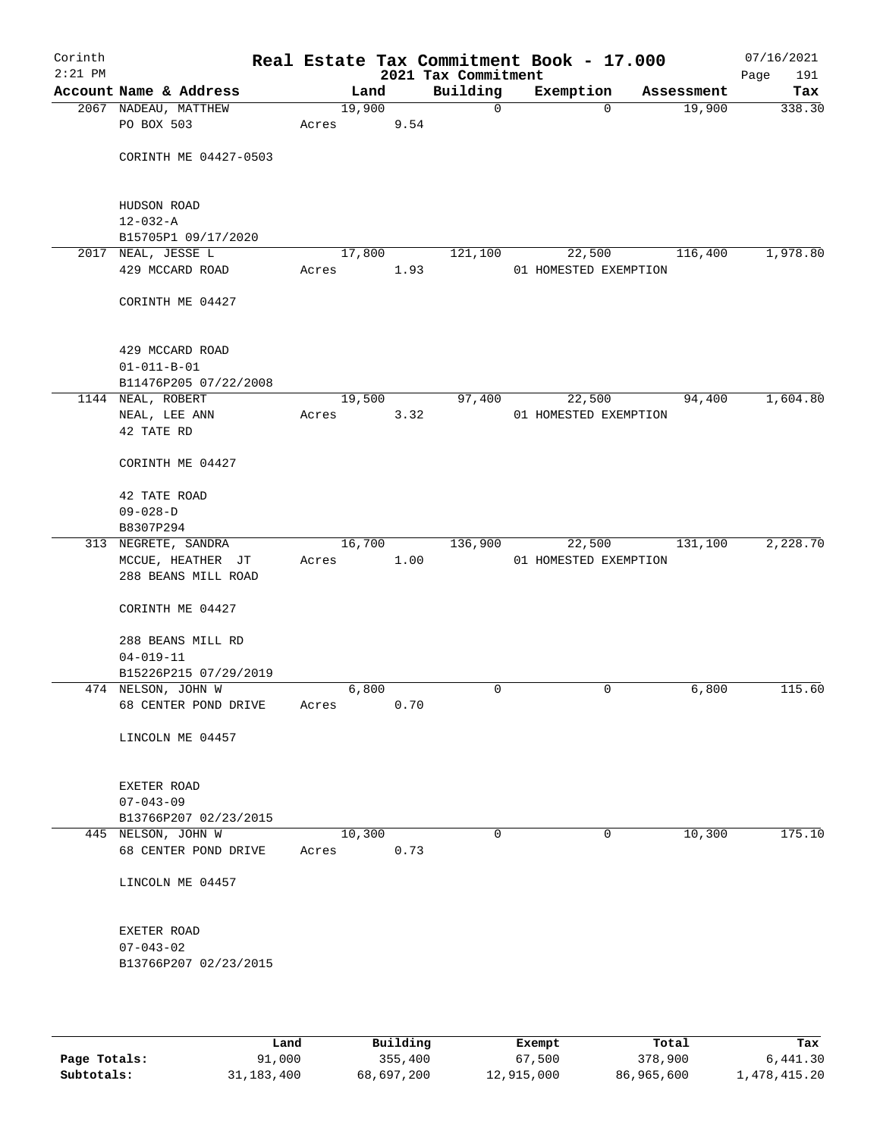| Building<br>Account Name & Address<br>Exemption<br>Land<br>Tax<br>Assessment<br>19,900<br>2067 NADEAU, MATTHEW<br>19,900<br>338.30<br>$\mathbf 0$<br>$\mathbf 0$<br>PO BOX 503<br>9.54<br>Acres<br>CORINTH ME 04427-0503<br>HUDSON ROAD<br>$12 - 032 - A$<br>B15705P1 09/17/2020<br>2017 NEAL, JESSE L<br>17,800<br>22,500<br>116,400<br>1,978.80<br>121,100<br>429 MCCARD ROAD<br>1.93<br>01 HOMESTED EXEMPTION<br>Acres<br>CORINTH ME 04427<br>429 MCCARD ROAD<br>$01 - 011 - B - 01$<br>B11476P205 07/22/2008<br>1,604.80<br>19,500<br>97,400<br>94,400<br>1144 NEAL, ROBERT<br>22,500<br>3.32<br>NEAL, LEE ANN<br>Acres<br>01 HOMESTED EXEMPTION<br>42 TATE RD<br>CORINTH ME 04427<br>42 TATE ROAD<br>$09 - 028 - D$<br>B8307P294<br>16,700<br>136,900<br>313 NEGRETE, SANDRA<br>22,500<br>131,100<br>MCCUE, HEATHER JT<br>1.00<br>01 HOMESTED EXEMPTION<br>Acres<br>288 BEANS MILL ROAD<br>CORINTH ME 04427<br>288 BEANS MILL RD<br>$04 - 019 - 11$<br>B15226P215 07/29/2019<br>474 NELSON, JOHN W<br>6,800<br>6,800<br>115.60<br>0<br>0<br>0.70<br>68 CENTER POND DRIVE<br>Acres<br>LINCOLN ME 04457<br>EXETER ROAD<br>$07 - 043 - 09$<br>B13766P207 02/23/2015<br>445 NELSON, JOHN W<br>0<br>10,300<br>10,300<br>0<br>0.73<br>68 CENTER POND DRIVE<br>Acres<br>LINCOLN ME 04457<br>EXETER ROAD<br>$07 - 043 - 02$<br>B13766P207 02/23/2015 | Corinth<br>$2:21$ PM |  |  | Real Estate Tax Commitment Book - 17.000<br>2021 Tax Commitment |  |  | 07/16/2021<br>191<br>Page |
|---------------------------------------------------------------------------------------------------------------------------------------------------------------------------------------------------------------------------------------------------------------------------------------------------------------------------------------------------------------------------------------------------------------------------------------------------------------------------------------------------------------------------------------------------------------------------------------------------------------------------------------------------------------------------------------------------------------------------------------------------------------------------------------------------------------------------------------------------------------------------------------------------------------------------------------------------------------------------------------------------------------------------------------------------------------------------------------------------------------------------------------------------------------------------------------------------------------------------------------------------------------------------------------------------------------------------------------------------|----------------------|--|--|-----------------------------------------------------------------|--|--|---------------------------|
|                                                                                                                                                                                                                                                                                                                                                                                                                                                                                                                                                                                                                                                                                                                                                                                                                                                                                                                                                                                                                                                                                                                                                                                                                                                                                                                                                   |                      |  |  |                                                                 |  |  |                           |
|                                                                                                                                                                                                                                                                                                                                                                                                                                                                                                                                                                                                                                                                                                                                                                                                                                                                                                                                                                                                                                                                                                                                                                                                                                                                                                                                                   |                      |  |  |                                                                 |  |  |                           |
|                                                                                                                                                                                                                                                                                                                                                                                                                                                                                                                                                                                                                                                                                                                                                                                                                                                                                                                                                                                                                                                                                                                                                                                                                                                                                                                                                   |                      |  |  |                                                                 |  |  |                           |
|                                                                                                                                                                                                                                                                                                                                                                                                                                                                                                                                                                                                                                                                                                                                                                                                                                                                                                                                                                                                                                                                                                                                                                                                                                                                                                                                                   |                      |  |  |                                                                 |  |  |                           |
|                                                                                                                                                                                                                                                                                                                                                                                                                                                                                                                                                                                                                                                                                                                                                                                                                                                                                                                                                                                                                                                                                                                                                                                                                                                                                                                                                   |                      |  |  |                                                                 |  |  |                           |
|                                                                                                                                                                                                                                                                                                                                                                                                                                                                                                                                                                                                                                                                                                                                                                                                                                                                                                                                                                                                                                                                                                                                                                                                                                                                                                                                                   |                      |  |  |                                                                 |  |  |                           |
|                                                                                                                                                                                                                                                                                                                                                                                                                                                                                                                                                                                                                                                                                                                                                                                                                                                                                                                                                                                                                                                                                                                                                                                                                                                                                                                                                   |                      |  |  |                                                                 |  |  |                           |
|                                                                                                                                                                                                                                                                                                                                                                                                                                                                                                                                                                                                                                                                                                                                                                                                                                                                                                                                                                                                                                                                                                                                                                                                                                                                                                                                                   |                      |  |  |                                                                 |  |  |                           |
|                                                                                                                                                                                                                                                                                                                                                                                                                                                                                                                                                                                                                                                                                                                                                                                                                                                                                                                                                                                                                                                                                                                                                                                                                                                                                                                                                   |                      |  |  |                                                                 |  |  |                           |
|                                                                                                                                                                                                                                                                                                                                                                                                                                                                                                                                                                                                                                                                                                                                                                                                                                                                                                                                                                                                                                                                                                                                                                                                                                                                                                                                                   |                      |  |  |                                                                 |  |  |                           |
|                                                                                                                                                                                                                                                                                                                                                                                                                                                                                                                                                                                                                                                                                                                                                                                                                                                                                                                                                                                                                                                                                                                                                                                                                                                                                                                                                   |                      |  |  |                                                                 |  |  |                           |
|                                                                                                                                                                                                                                                                                                                                                                                                                                                                                                                                                                                                                                                                                                                                                                                                                                                                                                                                                                                                                                                                                                                                                                                                                                                                                                                                                   |                      |  |  |                                                                 |  |  |                           |
|                                                                                                                                                                                                                                                                                                                                                                                                                                                                                                                                                                                                                                                                                                                                                                                                                                                                                                                                                                                                                                                                                                                                                                                                                                                                                                                                                   |                      |  |  |                                                                 |  |  |                           |
|                                                                                                                                                                                                                                                                                                                                                                                                                                                                                                                                                                                                                                                                                                                                                                                                                                                                                                                                                                                                                                                                                                                                                                                                                                                                                                                                                   |                      |  |  |                                                                 |  |  |                           |
|                                                                                                                                                                                                                                                                                                                                                                                                                                                                                                                                                                                                                                                                                                                                                                                                                                                                                                                                                                                                                                                                                                                                                                                                                                                                                                                                                   |                      |  |  |                                                                 |  |  |                           |
|                                                                                                                                                                                                                                                                                                                                                                                                                                                                                                                                                                                                                                                                                                                                                                                                                                                                                                                                                                                                                                                                                                                                                                                                                                                                                                                                                   |                      |  |  |                                                                 |  |  |                           |
|                                                                                                                                                                                                                                                                                                                                                                                                                                                                                                                                                                                                                                                                                                                                                                                                                                                                                                                                                                                                                                                                                                                                                                                                                                                                                                                                                   |                      |  |  |                                                                 |  |  |                           |
|                                                                                                                                                                                                                                                                                                                                                                                                                                                                                                                                                                                                                                                                                                                                                                                                                                                                                                                                                                                                                                                                                                                                                                                                                                                                                                                                                   |                      |  |  |                                                                 |  |  |                           |
|                                                                                                                                                                                                                                                                                                                                                                                                                                                                                                                                                                                                                                                                                                                                                                                                                                                                                                                                                                                                                                                                                                                                                                                                                                                                                                                                                   |                      |  |  |                                                                 |  |  |                           |
|                                                                                                                                                                                                                                                                                                                                                                                                                                                                                                                                                                                                                                                                                                                                                                                                                                                                                                                                                                                                                                                                                                                                                                                                                                                                                                                                                   |                      |  |  |                                                                 |  |  | 2,228.70                  |
|                                                                                                                                                                                                                                                                                                                                                                                                                                                                                                                                                                                                                                                                                                                                                                                                                                                                                                                                                                                                                                                                                                                                                                                                                                                                                                                                                   |                      |  |  |                                                                 |  |  |                           |
|                                                                                                                                                                                                                                                                                                                                                                                                                                                                                                                                                                                                                                                                                                                                                                                                                                                                                                                                                                                                                                                                                                                                                                                                                                                                                                                                                   |                      |  |  |                                                                 |  |  |                           |
|                                                                                                                                                                                                                                                                                                                                                                                                                                                                                                                                                                                                                                                                                                                                                                                                                                                                                                                                                                                                                                                                                                                                                                                                                                                                                                                                                   |                      |  |  |                                                                 |  |  |                           |
|                                                                                                                                                                                                                                                                                                                                                                                                                                                                                                                                                                                                                                                                                                                                                                                                                                                                                                                                                                                                                                                                                                                                                                                                                                                                                                                                                   |                      |  |  |                                                                 |  |  |                           |
|                                                                                                                                                                                                                                                                                                                                                                                                                                                                                                                                                                                                                                                                                                                                                                                                                                                                                                                                                                                                                                                                                                                                                                                                                                                                                                                                                   |                      |  |  |                                                                 |  |  |                           |
|                                                                                                                                                                                                                                                                                                                                                                                                                                                                                                                                                                                                                                                                                                                                                                                                                                                                                                                                                                                                                                                                                                                                                                                                                                                                                                                                                   |                      |  |  |                                                                 |  |  |                           |
|                                                                                                                                                                                                                                                                                                                                                                                                                                                                                                                                                                                                                                                                                                                                                                                                                                                                                                                                                                                                                                                                                                                                                                                                                                                                                                                                                   |                      |  |  |                                                                 |  |  |                           |
|                                                                                                                                                                                                                                                                                                                                                                                                                                                                                                                                                                                                                                                                                                                                                                                                                                                                                                                                                                                                                                                                                                                                                                                                                                                                                                                                                   |                      |  |  |                                                                 |  |  |                           |
|                                                                                                                                                                                                                                                                                                                                                                                                                                                                                                                                                                                                                                                                                                                                                                                                                                                                                                                                                                                                                                                                                                                                                                                                                                                                                                                                                   |                      |  |  |                                                                 |  |  |                           |
|                                                                                                                                                                                                                                                                                                                                                                                                                                                                                                                                                                                                                                                                                                                                                                                                                                                                                                                                                                                                                                                                                                                                                                                                                                                                                                                                                   |                      |  |  |                                                                 |  |  |                           |
|                                                                                                                                                                                                                                                                                                                                                                                                                                                                                                                                                                                                                                                                                                                                                                                                                                                                                                                                                                                                                                                                                                                                                                                                                                                                                                                                                   |                      |  |  |                                                                 |  |  | 175.10                    |
|                                                                                                                                                                                                                                                                                                                                                                                                                                                                                                                                                                                                                                                                                                                                                                                                                                                                                                                                                                                                                                                                                                                                                                                                                                                                                                                                                   |                      |  |  |                                                                 |  |  |                           |
|                                                                                                                                                                                                                                                                                                                                                                                                                                                                                                                                                                                                                                                                                                                                                                                                                                                                                                                                                                                                                                                                                                                                                                                                                                                                                                                                                   |                      |  |  |                                                                 |  |  |                           |
|                                                                                                                                                                                                                                                                                                                                                                                                                                                                                                                                                                                                                                                                                                                                                                                                                                                                                                                                                                                                                                                                                                                                                                                                                                                                                                                                                   |                      |  |  |                                                                 |  |  |                           |
|                                                                                                                                                                                                                                                                                                                                                                                                                                                                                                                                                                                                                                                                                                                                                                                                                                                                                                                                                                                                                                                                                                                                                                                                                                                                                                                                                   |                      |  |  |                                                                 |  |  |                           |
|                                                                                                                                                                                                                                                                                                                                                                                                                                                                                                                                                                                                                                                                                                                                                                                                                                                                                                                                                                                                                                                                                                                                                                                                                                                                                                                                                   |                      |  |  |                                                                 |  |  |                           |
|                                                                                                                                                                                                                                                                                                                                                                                                                                                                                                                                                                                                                                                                                                                                                                                                                                                                                                                                                                                                                                                                                                                                                                                                                                                                                                                                                   |                      |  |  |                                                                 |  |  |                           |

|              | Land       | Building   | Exempt     | Total      | Tax          |
|--------------|------------|------------|------------|------------|--------------|
| Page Totals: | 91,000     | 355,400    | 67,500     | 378,900    | 6,441.30     |
| Subtotals:   | 31,183,400 | 68,697,200 | 12,915,000 | 86,965,600 | 1,478,415.20 |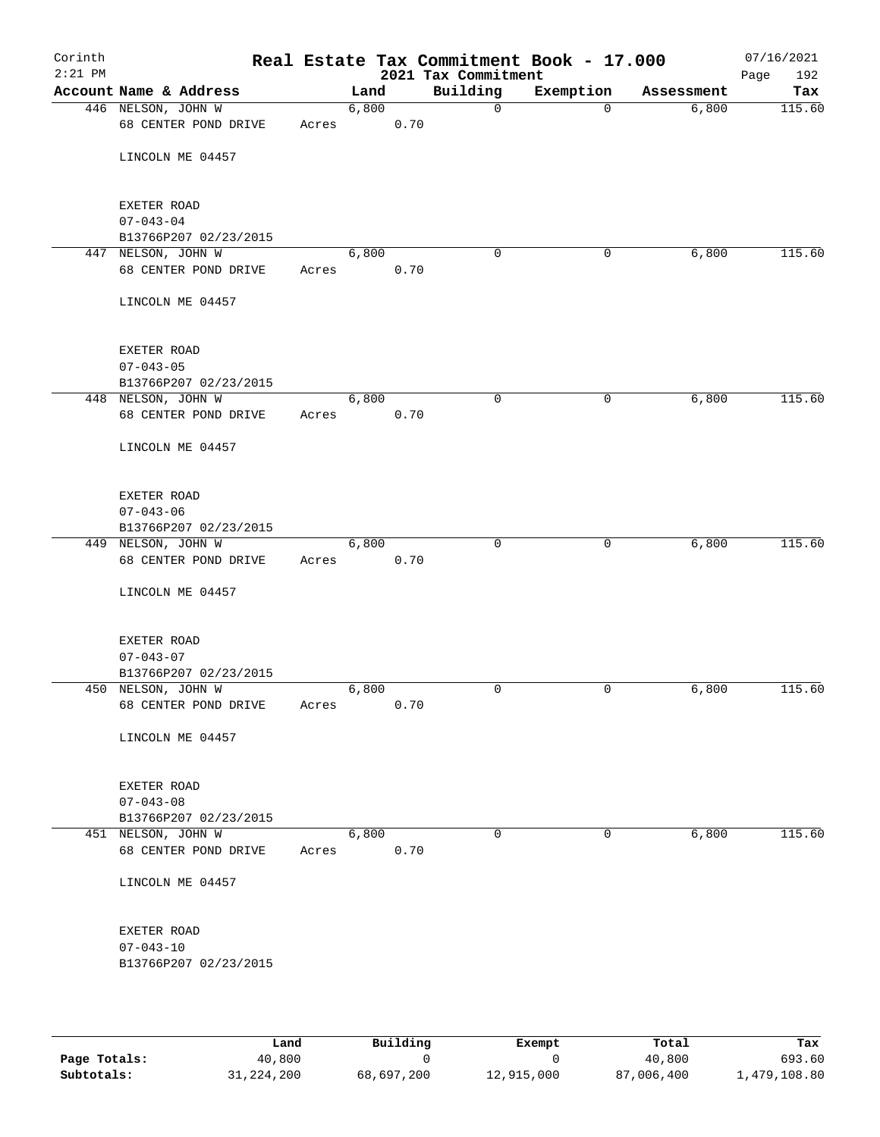| Corinth<br>$2:21$ PM |                                             |       |       |      | 2021 Tax Commitment | Real Estate Tax Commitment Book - 17.000 |            | 07/16/2021<br>192<br>Page |
|----------------------|---------------------------------------------|-------|-------|------|---------------------|------------------------------------------|------------|---------------------------|
|                      | Account Name & Address                      |       | Land  |      | Building            | Exemption                                | Assessment | Tax                       |
|                      | 446 NELSON, JOHN W<br>68 CENTER POND DRIVE  | Acres | 6,800 | 0.70 | 0                   | $\mathbf 0$                              | 6,800      | 115.60                    |
|                      | LINCOLN ME 04457                            |       |       |      |                     |                                          |            |                           |
|                      | EXETER ROAD<br>$07 - 043 - 04$              |       |       |      |                     |                                          |            |                           |
|                      | B13766P207 02/23/2015                       |       |       |      |                     |                                          |            |                           |
|                      | 447 NELSON, JOHN W                          |       | 6,800 |      | $\mathbf 0$         | 0                                        | 6,800      | 115.60                    |
|                      | 68 CENTER POND DRIVE                        | Acres |       | 0.70 |                     |                                          |            |                           |
|                      | LINCOLN ME 04457                            |       |       |      |                     |                                          |            |                           |
|                      | EXETER ROAD                                 |       |       |      |                     |                                          |            |                           |
|                      | $07 - 043 - 05$                             |       |       |      |                     |                                          |            |                           |
|                      | B13766P207 02/23/2015                       |       |       |      |                     |                                          |            |                           |
|                      | 448 NELSON, JOHN W<br>68 CENTER POND DRIVE  | Acres | 6,800 | 0.70 | $\mathbf 0$         | 0                                        | 6,800      | 115.60                    |
|                      | LINCOLN ME 04457                            |       |       |      |                     |                                          |            |                           |
|                      | EXETER ROAD                                 |       |       |      |                     |                                          |            |                           |
|                      | $07 - 043 - 06$                             |       |       |      |                     |                                          |            |                           |
|                      | B13766P207 02/23/2015                       |       |       |      |                     |                                          |            |                           |
|                      | 449 NELSON, JOHN W<br>68 CENTER POND DRIVE  | Acres | 6,800 | 0.70 | $\mathbf 0$         | 0                                        | 6,800      | 115.60                    |
|                      | LINCOLN ME 04457                            |       |       |      |                     |                                          |            |                           |
|                      | EXETER ROAD                                 |       |       |      |                     |                                          |            |                           |
|                      | $07 - 043 - 07$                             |       |       |      |                     |                                          |            |                           |
|                      | B13766P207 02/23/2015<br>450 NELSON, JOHN W |       | 6,800 |      | 0                   | 0                                        | 6,800      | 115.60                    |
|                      | 68 CENTER POND DRIVE                        | Acres |       | 0.70 |                     |                                          |            |                           |
|                      | LINCOLN ME 04457                            |       |       |      |                     |                                          |            |                           |
|                      | EXETER ROAD                                 |       |       |      |                     |                                          |            |                           |
|                      | $07 - 043 - 08$<br>B13766P207 02/23/2015    |       |       |      |                     |                                          |            |                           |
|                      | 451 NELSON, JOHN W                          |       | 6,800 |      | 0                   | 0                                        | 6,800      | 115.60                    |
|                      | 68 CENTER POND DRIVE                        | Acres |       | 0.70 |                     |                                          |            |                           |
|                      | LINCOLN ME 04457                            |       |       |      |                     |                                          |            |                           |
|                      | EXETER ROAD                                 |       |       |      |                     |                                          |            |                           |
|                      | $07 - 043 - 10$                             |       |       |      |                     |                                          |            |                           |
|                      | B13766P207 02/23/2015                       |       |       |      |                     |                                          |            |                           |
|                      |                                             |       |       |      |                     |                                          |            |                           |

|              | Land         | Building   | Exempt     | Total      | Tax        |
|--------------|--------------|------------|------------|------------|------------|
| Page Totals: | 40,800       |            |            | 40,800     | 693.60     |
| Subtotals:   | 31, 224, 200 | 68,697,200 | 12,915,000 | 87,006,400 | 479,108.80 |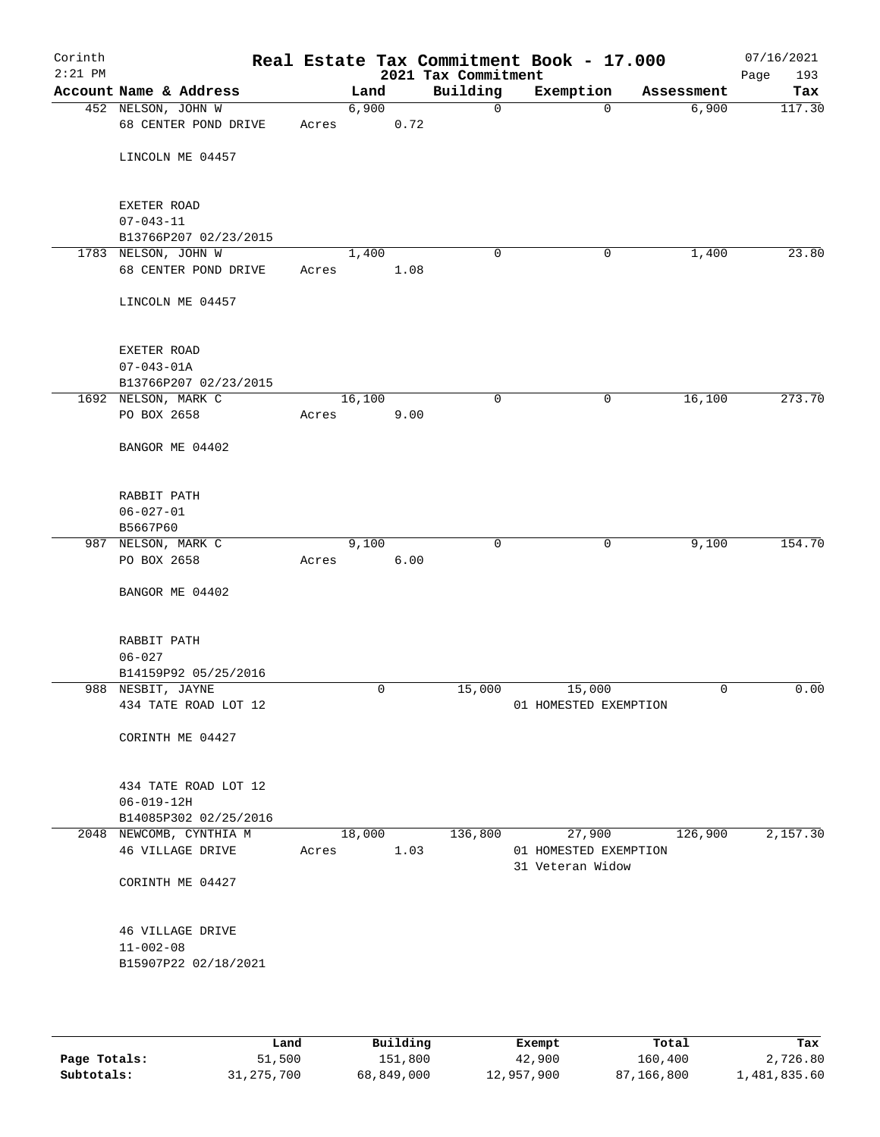| Corinth<br>$2:21$ PM |                                           |       |        |      | 2021 Tax Commitment | Real Estate Tax Commitment Book - 17.000  |            | 07/16/2021<br>Page<br>193 |
|----------------------|-------------------------------------------|-------|--------|------|---------------------|-------------------------------------------|------------|---------------------------|
|                      | Account Name & Address                    |       | Land   |      | Building            | Exemption                                 | Assessment | Tax                       |
|                      | 452 NELSON, JOHN W                        |       | 6,900  |      | $\mathbf 0$         | $\mathbf 0$                               | 6,900      | 117.30                    |
|                      | 68 CENTER POND DRIVE                      | Acres |        | 0.72 |                     |                                           |            |                           |
|                      | LINCOLN ME 04457                          |       |        |      |                     |                                           |            |                           |
|                      |                                           |       |        |      |                     |                                           |            |                           |
|                      | EXETER ROAD                               |       |        |      |                     |                                           |            |                           |
|                      | $07 - 043 - 11$                           |       |        |      |                     |                                           |            |                           |
|                      | B13766P207 02/23/2015                     |       |        |      |                     |                                           |            |                           |
|                      | 1783 NELSON, JOHN W                       |       | 1,400  |      | 0                   | 0                                         | 1,400      | 23.80                     |
|                      | 68 CENTER POND DRIVE                      | Acres |        | 1.08 |                     |                                           |            |                           |
|                      | LINCOLN ME 04457                          |       |        |      |                     |                                           |            |                           |
|                      | <b>EXETER ROAD</b>                        |       |        |      |                     |                                           |            |                           |
|                      | $07 - 043 - 01A$                          |       |        |      |                     |                                           |            |                           |
|                      | B13766P207 02/23/2015                     |       |        |      |                     |                                           |            |                           |
|                      | 1692 NELSON, MARK C                       |       | 16,100 |      | $\mathbf 0$         | $\mathbf 0$                               | 16,100     | 273.70                    |
|                      | PO BOX 2658                               | Acres |        | 9.00 |                     |                                           |            |                           |
|                      | BANGOR ME 04402                           |       |        |      |                     |                                           |            |                           |
|                      | RABBIT PATH                               |       |        |      |                     |                                           |            |                           |
|                      | $06 - 027 - 01$                           |       |        |      |                     |                                           |            |                           |
|                      | B5667P60                                  |       |        |      |                     |                                           |            |                           |
|                      | 987 NELSON, MARK C                        |       | 9,100  |      | $\mathbf 0$         | $\mathbf 0$                               | 9,100      | 154.70                    |
|                      | PO BOX 2658                               | Acres |        | 6.00 |                     |                                           |            |                           |
|                      | BANGOR ME 04402                           |       |        |      |                     |                                           |            |                           |
|                      | RABBIT PATH                               |       |        |      |                     |                                           |            |                           |
|                      | $06 - 027$                                |       |        |      |                     |                                           |            |                           |
|                      | B14159P92 05/25/2016                      |       |        |      |                     |                                           |            |                           |
|                      | 988 NESBIT, JAYNE<br>434 TATE ROAD LOT 12 |       |        | 0    | 15,000              | 15,000<br>01 HOMESTED EXEMPTION           | 0          | 0.00                      |
|                      |                                           |       |        |      |                     |                                           |            |                           |
|                      | CORINTH ME 04427                          |       |        |      |                     |                                           |            |                           |
|                      | 434 TATE ROAD LOT 12                      |       |        |      |                     |                                           |            |                           |
|                      | $06 - 019 - 12H$                          |       |        |      |                     |                                           |            |                           |
|                      | B14085P302 02/25/2016                     |       |        |      |                     |                                           |            |                           |
|                      | 2048 NEWCOMB, CYNTHIA M                   |       | 18,000 |      | 136,800             | 27,900                                    | 126,900    | 2,157.30                  |
|                      | 46 VILLAGE DRIVE                          | Acres |        | 1.03 |                     | 01 HOMESTED EXEMPTION<br>31 Veteran Widow |            |                           |
|                      | CORINTH ME 04427                          |       |        |      |                     |                                           |            |                           |
|                      | 46 VILLAGE DRIVE                          |       |        |      |                     |                                           |            |                           |
|                      | $11 - 002 - 08$                           |       |        |      |                     |                                           |            |                           |
|                      | B15907P22 02/18/2021                      |       |        |      |                     |                                           |            |                           |
|                      |                                           |       |        |      |                     |                                           |            |                           |
|                      |                                           |       |        |      |                     |                                           |            |                           |

|              | Land         | Building   | Exempt     | Total      | Tax          |
|--------------|--------------|------------|------------|------------|--------------|
| Page Totals: | 51,500       | 151,800    | 42,900     | 160,400    | 2,726.80     |
| Subtotals:   | 31, 275, 700 | 68,849,000 | 12,957,900 | 87,166,800 | 1,481,835.60 |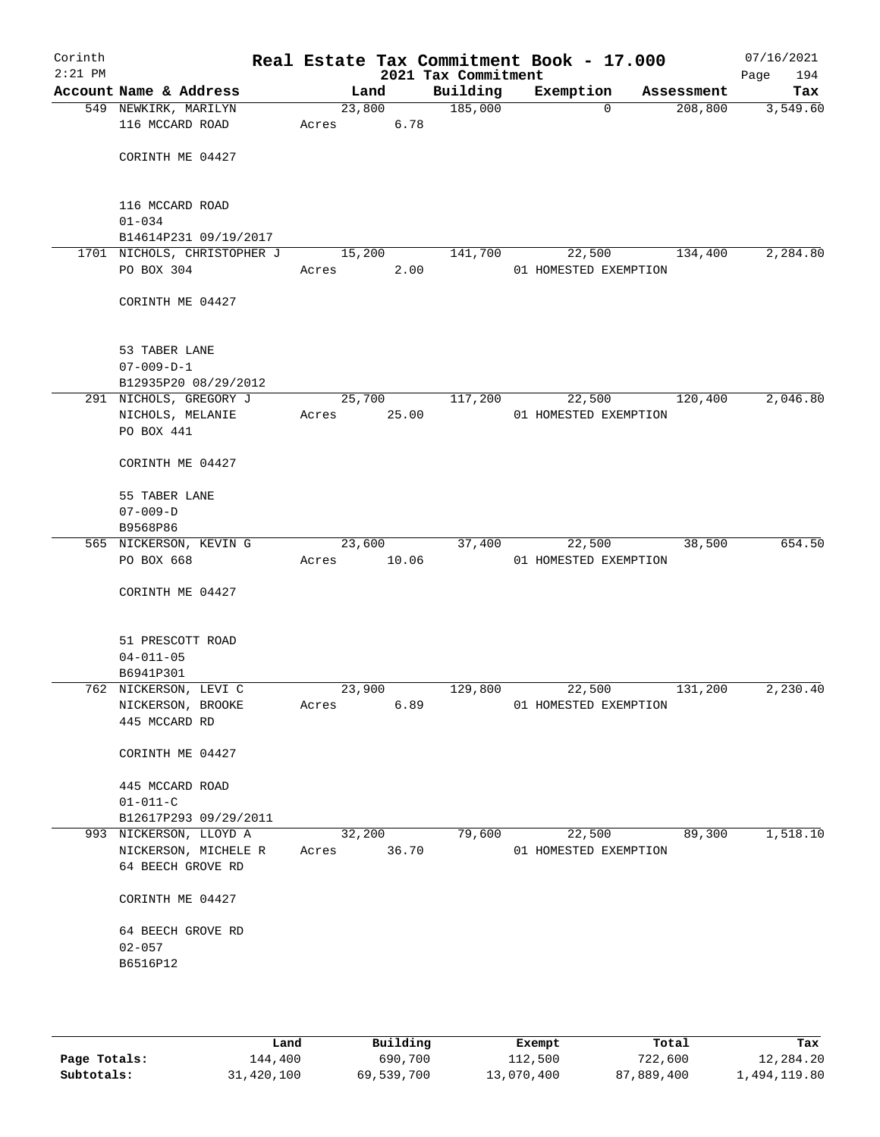| Corinth<br>$2:21$ PM |                                                |        |       | Real Estate Tax Commitment Book - 17.000<br>2021 Tax Commitment |                                 |            | 07/16/2021<br>194<br>Page |
|----------------------|------------------------------------------------|--------|-------|-----------------------------------------------------------------|---------------------------------|------------|---------------------------|
|                      | Account Name & Address                         |        | Land  | Building                                                        | Exemption                       | Assessment | Tax                       |
|                      | 549 NEWKIRK, MARILYN                           | 23,800 |       | 185,000                                                         | $\Omega$                        | 208,800    | 3,549.60                  |
|                      | 116 MCCARD ROAD                                | Acres  | 6.78  |                                                                 |                                 |            |                           |
|                      |                                                |        |       |                                                                 |                                 |            |                           |
|                      | CORINTH ME 04427                               |        |       |                                                                 |                                 |            |                           |
|                      |                                                |        |       |                                                                 |                                 |            |                           |
|                      |                                                |        |       |                                                                 |                                 |            |                           |
|                      | 116 MCCARD ROAD<br>$01 - 034$                  |        |       |                                                                 |                                 |            |                           |
|                      | B14614P231 09/19/2017                          |        |       |                                                                 |                                 |            |                           |
|                      | 1701 NICHOLS, CHRISTOPHER J                    | 15,200 |       | 141,700                                                         | 22,500                          | 134,400    | 2,284.80                  |
|                      | PO BOX 304                                     | Acres  | 2.00  |                                                                 | 01 HOMESTED EXEMPTION           |            |                           |
|                      |                                                |        |       |                                                                 |                                 |            |                           |
|                      | CORINTH ME 04427                               |        |       |                                                                 |                                 |            |                           |
|                      |                                                |        |       |                                                                 |                                 |            |                           |
|                      |                                                |        |       |                                                                 |                                 |            |                           |
|                      | 53 TABER LANE                                  |        |       |                                                                 |                                 |            |                           |
|                      | $07 - 009 - D - 1$                             |        |       |                                                                 |                                 |            |                           |
|                      | B12935P20 08/29/2012<br>291 NICHOLS, GREGORY J | 25,700 |       | 117,200                                                         | 22,500                          | 120,400    | 2,046.80                  |
|                      | NICHOLS, MELANIE                               | Acres  | 25.00 |                                                                 | 01 HOMESTED EXEMPTION           |            |                           |
|                      | PO BOX 441                                     |        |       |                                                                 |                                 |            |                           |
|                      |                                                |        |       |                                                                 |                                 |            |                           |
|                      | CORINTH ME 04427                               |        |       |                                                                 |                                 |            |                           |
|                      |                                                |        |       |                                                                 |                                 |            |                           |
|                      | 55 TABER LANE                                  |        |       |                                                                 |                                 |            |                           |
|                      | $07 - 009 - D$                                 |        |       |                                                                 |                                 |            |                           |
|                      | B9568P86                                       |        |       |                                                                 |                                 |            |                           |
|                      | 565 NICKERSON, KEVIN G<br>PO BOX 668           | 23,600 | 10.06 | 37,400                                                          | 22,500<br>01 HOMESTED EXEMPTION | 38,500     | 654.50                    |
|                      |                                                | Acres  |       |                                                                 |                                 |            |                           |
|                      | CORINTH ME 04427                               |        |       |                                                                 |                                 |            |                           |
|                      |                                                |        |       |                                                                 |                                 |            |                           |
|                      |                                                |        |       |                                                                 |                                 |            |                           |
|                      | 51 PRESCOTT ROAD                               |        |       |                                                                 |                                 |            |                           |
|                      | $04 - 011 - 05$                                |        |       |                                                                 |                                 |            |                           |
|                      | B6941P301                                      |        |       |                                                                 |                                 |            |                           |
|                      | 762 NICKERSON, LEVI C                          | 23,900 |       | 129,800                                                         | 22,500                          | 131,200    | 2,230.40                  |
|                      | NICKERSON, BROOKE<br>445 MCCARD RD             | Acres  | 6.89  |                                                                 | 01 HOMESTED EXEMPTION           |            |                           |
|                      |                                                |        |       |                                                                 |                                 |            |                           |
|                      | CORINTH ME 04427                               |        |       |                                                                 |                                 |            |                           |
|                      |                                                |        |       |                                                                 |                                 |            |                           |
|                      | 445 MCCARD ROAD                                |        |       |                                                                 |                                 |            |                           |
|                      | $01 - 011 - C$                                 |        |       |                                                                 |                                 |            |                           |
|                      | B12617P293 09/29/2011                          |        |       |                                                                 |                                 |            |                           |
|                      | 993 NICKERSON, LLOYD A                         | 32,200 |       | 79,600                                                          | 22,500                          | 89,300     | 1,518.10                  |
|                      | NICKERSON, MICHELE R                           | Acres  | 36.70 |                                                                 | 01 HOMESTED EXEMPTION           |            |                           |
|                      | 64 BEECH GROVE RD                              |        |       |                                                                 |                                 |            |                           |
|                      | CORINTH ME 04427                               |        |       |                                                                 |                                 |            |                           |
|                      |                                                |        |       |                                                                 |                                 |            |                           |
|                      | 64 BEECH GROVE RD                              |        |       |                                                                 |                                 |            |                           |
|                      | $02 - 057$                                     |        |       |                                                                 |                                 |            |                           |
|                      | B6516P12                                       |        |       |                                                                 |                                 |            |                           |
|                      |                                                |        |       |                                                                 |                                 |            |                           |
|                      |                                                |        |       |                                                                 |                                 |            |                           |
|                      |                                                |        |       |                                                                 |                                 |            |                           |

|              | Land       | Building   | Exempt     | Total      | Tax          |
|--------------|------------|------------|------------|------------|--------------|
| Page Totals: | 144,400    | 690,700    | 112,500    | 722,600    | 12,284.20    |
| Subtotals:   | 31,420,100 | 69,539,700 | 13,070,400 | 87,889,400 | l,494,119.80 |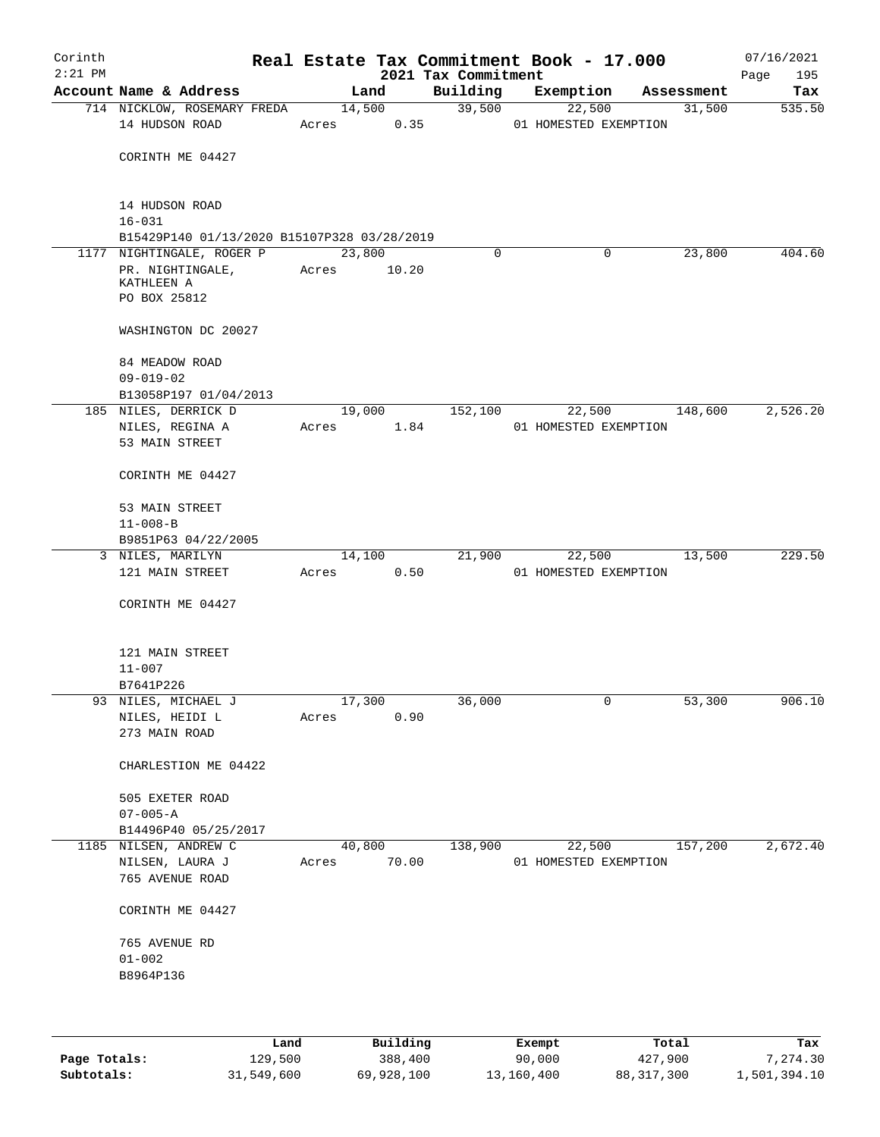| Account Name & Address<br>Building<br>Exemption<br>Land<br>Assessment<br>14,500<br>39,500<br>31,500<br>714 NICKLOW, ROSEMARY FREDA<br>22,500<br>14 HUDSON ROAD<br>0.35<br>01 HOMESTED EXEMPTION<br>Acres<br>CORINTH ME 04427<br>14 HUDSON ROAD<br>$16 - 031$<br>B15429P140 01/13/2020 B15107P328 03/28/2019<br>23,800<br>23,800<br>404.60<br>1177 NIGHTINGALE, ROGER P<br>0<br>0<br>PR. NIGHTINGALE,<br>Acres<br>10.20<br>KATHLEEN A<br>PO BOX 25812<br>WASHINGTON DC 20027<br>84 MEADOW ROAD<br>$09 - 019 - 02$<br>B13058P197 01/04/2013<br>19,000<br>152,100<br>148,600<br>185 NILES, DERRICK D<br>22,500<br>NILES, REGINA A<br>1.84<br>01 HOMESTED EXEMPTION<br>Acres<br>53 MAIN STREET<br>CORINTH ME 04427<br>53 MAIN STREET<br>$11 - 008 - B$<br>B9851P63 04/22/2005<br>21,900<br>13,500<br>3 NILES, MARILYN<br>14,100<br>22,500<br>121 MAIN STREET<br>0.50<br>Acres<br>01 HOMESTED EXEMPTION<br>CORINTH ME 04427<br>121 MAIN STREET<br>$11 - 007$<br>B7641P226<br>93 NILES, MICHAEL J<br>17,300<br>36,000<br>0<br>53,300<br>NILES, HEIDI L<br>0.90<br>Acres<br>273 MAIN ROAD<br>CHARLESTION ME 04422<br>505 EXETER ROAD<br>$07 - 005 - A$<br>B14496P40 05/25/2017<br>157,200<br>2,672.40<br>1185 NILSEN, ANDREW C<br>40,800<br>138,900<br>22,500<br>70.00<br>NILSEN, LAURA J<br>01 HOMESTED EXEMPTION<br>Acres<br>765 AVENUE ROAD<br>CORINTH ME 04427<br>765 AVENUE RD<br>$01 - 002$<br>B8964P136 | Corinth<br>$2:21$ PM |  |  |  | 2021 Tax Commitment | Real Estate Tax Commitment Book - 17.000 |  | 07/16/2021<br>195<br>Page |
|---------------------------------------------------------------------------------------------------------------------------------------------------------------------------------------------------------------------------------------------------------------------------------------------------------------------------------------------------------------------------------------------------------------------------------------------------------------------------------------------------------------------------------------------------------------------------------------------------------------------------------------------------------------------------------------------------------------------------------------------------------------------------------------------------------------------------------------------------------------------------------------------------------------------------------------------------------------------------------------------------------------------------------------------------------------------------------------------------------------------------------------------------------------------------------------------------------------------------------------------------------------------------------------------------------------------------------------------------------------------------------------------------------|----------------------|--|--|--|---------------------|------------------------------------------|--|---------------------------|
|                                                                                                                                                                                                                                                                                                                                                                                                                                                                                                                                                                                                                                                                                                                                                                                                                                                                                                                                                                                                                                                                                                                                                                                                                                                                                                                                                                                                         |                      |  |  |  |                     |                                          |  | Tax                       |
|                                                                                                                                                                                                                                                                                                                                                                                                                                                                                                                                                                                                                                                                                                                                                                                                                                                                                                                                                                                                                                                                                                                                                                                                                                                                                                                                                                                                         |                      |  |  |  |                     |                                          |  | 535.50                    |
|                                                                                                                                                                                                                                                                                                                                                                                                                                                                                                                                                                                                                                                                                                                                                                                                                                                                                                                                                                                                                                                                                                                                                                                                                                                                                                                                                                                                         |                      |  |  |  |                     |                                          |  |                           |
|                                                                                                                                                                                                                                                                                                                                                                                                                                                                                                                                                                                                                                                                                                                                                                                                                                                                                                                                                                                                                                                                                                                                                                                                                                                                                                                                                                                                         |                      |  |  |  |                     |                                          |  |                           |
|                                                                                                                                                                                                                                                                                                                                                                                                                                                                                                                                                                                                                                                                                                                                                                                                                                                                                                                                                                                                                                                                                                                                                                                                                                                                                                                                                                                                         |                      |  |  |  |                     |                                          |  |                           |
|                                                                                                                                                                                                                                                                                                                                                                                                                                                                                                                                                                                                                                                                                                                                                                                                                                                                                                                                                                                                                                                                                                                                                                                                                                                                                                                                                                                                         |                      |  |  |  |                     |                                          |  |                           |
|                                                                                                                                                                                                                                                                                                                                                                                                                                                                                                                                                                                                                                                                                                                                                                                                                                                                                                                                                                                                                                                                                                                                                                                                                                                                                                                                                                                                         |                      |  |  |  |                     |                                          |  |                           |
|                                                                                                                                                                                                                                                                                                                                                                                                                                                                                                                                                                                                                                                                                                                                                                                                                                                                                                                                                                                                                                                                                                                                                                                                                                                                                                                                                                                                         |                      |  |  |  |                     |                                          |  |                           |
|                                                                                                                                                                                                                                                                                                                                                                                                                                                                                                                                                                                                                                                                                                                                                                                                                                                                                                                                                                                                                                                                                                                                                                                                                                                                                                                                                                                                         |                      |  |  |  |                     |                                          |  |                           |
|                                                                                                                                                                                                                                                                                                                                                                                                                                                                                                                                                                                                                                                                                                                                                                                                                                                                                                                                                                                                                                                                                                                                                                                                                                                                                                                                                                                                         |                      |  |  |  |                     |                                          |  |                           |
|                                                                                                                                                                                                                                                                                                                                                                                                                                                                                                                                                                                                                                                                                                                                                                                                                                                                                                                                                                                                                                                                                                                                                                                                                                                                                                                                                                                                         |                      |  |  |  |                     |                                          |  |                           |
|                                                                                                                                                                                                                                                                                                                                                                                                                                                                                                                                                                                                                                                                                                                                                                                                                                                                                                                                                                                                                                                                                                                                                                                                                                                                                                                                                                                                         |                      |  |  |  |                     |                                          |  |                           |
|                                                                                                                                                                                                                                                                                                                                                                                                                                                                                                                                                                                                                                                                                                                                                                                                                                                                                                                                                                                                                                                                                                                                                                                                                                                                                                                                                                                                         |                      |  |  |  |                     |                                          |  |                           |
|                                                                                                                                                                                                                                                                                                                                                                                                                                                                                                                                                                                                                                                                                                                                                                                                                                                                                                                                                                                                                                                                                                                                                                                                                                                                                                                                                                                                         |                      |  |  |  |                     |                                          |  |                           |
|                                                                                                                                                                                                                                                                                                                                                                                                                                                                                                                                                                                                                                                                                                                                                                                                                                                                                                                                                                                                                                                                                                                                                                                                                                                                                                                                                                                                         |                      |  |  |  |                     |                                          |  |                           |
|                                                                                                                                                                                                                                                                                                                                                                                                                                                                                                                                                                                                                                                                                                                                                                                                                                                                                                                                                                                                                                                                                                                                                                                                                                                                                                                                                                                                         |                      |  |  |  |                     |                                          |  | 2,526.20                  |
|                                                                                                                                                                                                                                                                                                                                                                                                                                                                                                                                                                                                                                                                                                                                                                                                                                                                                                                                                                                                                                                                                                                                                                                                                                                                                                                                                                                                         |                      |  |  |  |                     |                                          |  |                           |
|                                                                                                                                                                                                                                                                                                                                                                                                                                                                                                                                                                                                                                                                                                                                                                                                                                                                                                                                                                                                                                                                                                                                                                                                                                                                                                                                                                                                         |                      |  |  |  |                     |                                          |  |                           |
|                                                                                                                                                                                                                                                                                                                                                                                                                                                                                                                                                                                                                                                                                                                                                                                                                                                                                                                                                                                                                                                                                                                                                                                                                                                                                                                                                                                                         |                      |  |  |  |                     |                                          |  |                           |
|                                                                                                                                                                                                                                                                                                                                                                                                                                                                                                                                                                                                                                                                                                                                                                                                                                                                                                                                                                                                                                                                                                                                                                                                                                                                                                                                                                                                         |                      |  |  |  |                     |                                          |  |                           |
|                                                                                                                                                                                                                                                                                                                                                                                                                                                                                                                                                                                                                                                                                                                                                                                                                                                                                                                                                                                                                                                                                                                                                                                                                                                                                                                                                                                                         |                      |  |  |  |                     |                                          |  |                           |
|                                                                                                                                                                                                                                                                                                                                                                                                                                                                                                                                                                                                                                                                                                                                                                                                                                                                                                                                                                                                                                                                                                                                                                                                                                                                                                                                                                                                         |                      |  |  |  |                     |                                          |  |                           |
|                                                                                                                                                                                                                                                                                                                                                                                                                                                                                                                                                                                                                                                                                                                                                                                                                                                                                                                                                                                                                                                                                                                                                                                                                                                                                                                                                                                                         |                      |  |  |  |                     |                                          |  | 229.50                    |
|                                                                                                                                                                                                                                                                                                                                                                                                                                                                                                                                                                                                                                                                                                                                                                                                                                                                                                                                                                                                                                                                                                                                                                                                                                                                                                                                                                                                         |                      |  |  |  |                     |                                          |  |                           |
|                                                                                                                                                                                                                                                                                                                                                                                                                                                                                                                                                                                                                                                                                                                                                                                                                                                                                                                                                                                                                                                                                                                                                                                                                                                                                                                                                                                                         |                      |  |  |  |                     |                                          |  |                           |
|                                                                                                                                                                                                                                                                                                                                                                                                                                                                                                                                                                                                                                                                                                                                                                                                                                                                                                                                                                                                                                                                                                                                                                                                                                                                                                                                                                                                         |                      |  |  |  |                     |                                          |  |                           |
|                                                                                                                                                                                                                                                                                                                                                                                                                                                                                                                                                                                                                                                                                                                                                                                                                                                                                                                                                                                                                                                                                                                                                                                                                                                                                                                                                                                                         |                      |  |  |  |                     |                                          |  |                           |
|                                                                                                                                                                                                                                                                                                                                                                                                                                                                                                                                                                                                                                                                                                                                                                                                                                                                                                                                                                                                                                                                                                                                                                                                                                                                                                                                                                                                         |                      |  |  |  |                     |                                          |  |                           |
|                                                                                                                                                                                                                                                                                                                                                                                                                                                                                                                                                                                                                                                                                                                                                                                                                                                                                                                                                                                                                                                                                                                                                                                                                                                                                                                                                                                                         |                      |  |  |  |                     |                                          |  | 906.10                    |
|                                                                                                                                                                                                                                                                                                                                                                                                                                                                                                                                                                                                                                                                                                                                                                                                                                                                                                                                                                                                                                                                                                                                                                                                                                                                                                                                                                                                         |                      |  |  |  |                     |                                          |  |                           |
|                                                                                                                                                                                                                                                                                                                                                                                                                                                                                                                                                                                                                                                                                                                                                                                                                                                                                                                                                                                                                                                                                                                                                                                                                                                                                                                                                                                                         |                      |  |  |  |                     |                                          |  |                           |
|                                                                                                                                                                                                                                                                                                                                                                                                                                                                                                                                                                                                                                                                                                                                                                                                                                                                                                                                                                                                                                                                                                                                                                                                                                                                                                                                                                                                         |                      |  |  |  |                     |                                          |  |                           |
|                                                                                                                                                                                                                                                                                                                                                                                                                                                                                                                                                                                                                                                                                                                                                                                                                                                                                                                                                                                                                                                                                                                                                                                                                                                                                                                                                                                                         |                      |  |  |  |                     |                                          |  |                           |
|                                                                                                                                                                                                                                                                                                                                                                                                                                                                                                                                                                                                                                                                                                                                                                                                                                                                                                                                                                                                                                                                                                                                                                                                                                                                                                                                                                                                         |                      |  |  |  |                     |                                          |  |                           |
|                                                                                                                                                                                                                                                                                                                                                                                                                                                                                                                                                                                                                                                                                                                                                                                                                                                                                                                                                                                                                                                                                                                                                                                                                                                                                                                                                                                                         |                      |  |  |  |                     |                                          |  |                           |
|                                                                                                                                                                                                                                                                                                                                                                                                                                                                                                                                                                                                                                                                                                                                                                                                                                                                                                                                                                                                                                                                                                                                                                                                                                                                                                                                                                                                         |                      |  |  |  |                     |                                          |  |                           |
|                                                                                                                                                                                                                                                                                                                                                                                                                                                                                                                                                                                                                                                                                                                                                                                                                                                                                                                                                                                                                                                                                                                                                                                                                                                                                                                                                                                                         |                      |  |  |  |                     |                                          |  |                           |
|                                                                                                                                                                                                                                                                                                                                                                                                                                                                                                                                                                                                                                                                                                                                                                                                                                                                                                                                                                                                                                                                                                                                                                                                                                                                                                                                                                                                         |                      |  |  |  |                     |                                          |  |                           |
|                                                                                                                                                                                                                                                                                                                                                                                                                                                                                                                                                                                                                                                                                                                                                                                                                                                                                                                                                                                                                                                                                                                                                                                                                                                                                                                                                                                                         |                      |  |  |  |                     |                                          |  |                           |
|                                                                                                                                                                                                                                                                                                                                                                                                                                                                                                                                                                                                                                                                                                                                                                                                                                                                                                                                                                                                                                                                                                                                                                                                                                                                                                                                                                                                         |                      |  |  |  |                     |                                          |  |                           |
|                                                                                                                                                                                                                                                                                                                                                                                                                                                                                                                                                                                                                                                                                                                                                                                                                                                                                                                                                                                                                                                                                                                                                                                                                                                                                                                                                                                                         |                      |  |  |  |                     |                                          |  |                           |
|                                                                                                                                                                                                                                                                                                                                                                                                                                                                                                                                                                                                                                                                                                                                                                                                                                                                                                                                                                                                                                                                                                                                                                                                                                                                                                                                                                                                         |                      |  |  |  |                     |                                          |  |                           |
|                                                                                                                                                                                                                                                                                                                                                                                                                                                                                                                                                                                                                                                                                                                                                                                                                                                                                                                                                                                                                                                                                                                                                                                                                                                                                                                                                                                                         |                      |  |  |  |                     |                                          |  |                           |
|                                                                                                                                                                                                                                                                                                                                                                                                                                                                                                                                                                                                                                                                                                                                                                                                                                                                                                                                                                                                                                                                                                                                                                                                                                                                                                                                                                                                         |                      |  |  |  |                     |                                          |  |                           |

|              | Land       | Building   | Exempt     | Total        | Tax          |
|--------------|------------|------------|------------|--------------|--------------|
| Page Totals: | 129,500    | 388,400    | 90,000     | 427,900      | 7,274.30     |
| Subtotals:   | 31,549,600 | 69,928,100 | 13,160,400 | 88, 317, 300 | 1,501,394.10 |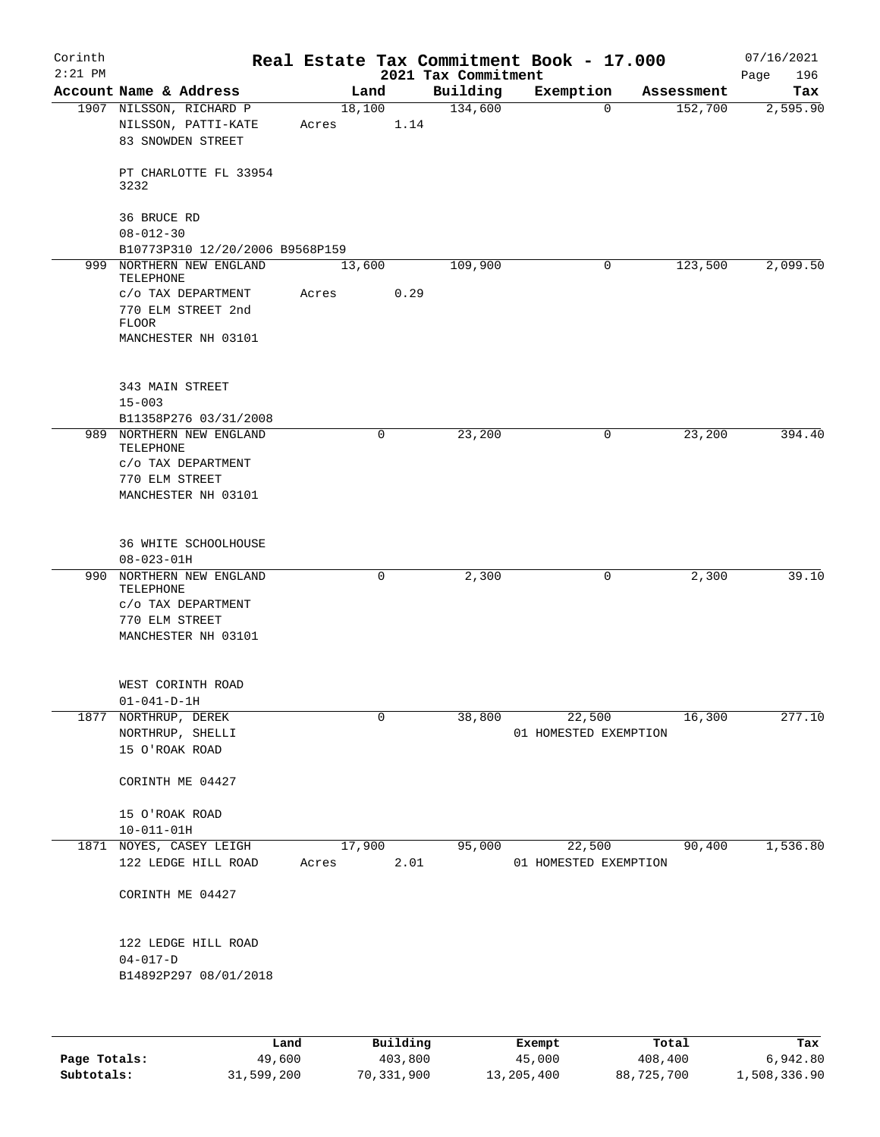| Corinth<br>$2:21$ PM |                                    |                                                                                                          |       |        |      | 2021 Tax Commitment | Real Estate Tax Commitment Book - 17.000 |            | 07/16/2021<br>196<br>Page |
|----------------------|------------------------------------|----------------------------------------------------------------------------------------------------------|-------|--------|------|---------------------|------------------------------------------|------------|---------------------------|
|                      |                                    | Account Name & Address                                                                                   |       | Land   |      | Building            | Exemption                                | Assessment | Tax                       |
|                      |                                    | 1907 NILSSON, RICHARD P<br>NILSSON, PATTI-KATE<br>83 SNOWDEN STREET                                      | Acres | 18,100 | 1.14 | 134,600             | $\mathbf 0$                              | 152,700    | 2,595.90                  |
|                      | 3232                               | PT CHARLOTTE FL 33954                                                                                    |       |        |      |                     |                                          |            |                           |
|                      | 36 BRUCE RD<br>$08 - 012 - 30$     |                                                                                                          |       |        |      |                     |                                          |            |                           |
|                      |                                    | B10773P310 12/20/2006 B9568P159                                                                          |       |        |      |                     |                                          |            |                           |
| 999                  | TELEPHONE<br><b>FLOOR</b>          | NORTHERN NEW ENGLAND<br>C/O TAX DEPARTMENT<br>770 ELM STREET 2nd<br>MANCHESTER NH 03101                  | Acres | 13,600 | 0.29 | 109,900             | 0                                        | 123,500    | 2,099.50                  |
|                      | 343 MAIN STREET<br>$15 - 003$      |                                                                                                          |       |        |      |                     |                                          |            |                           |
|                      | TELEPHONE<br>770 ELM STREET        | B11358P276 03/31/2008<br>989 NORTHERN NEW ENGLAND<br>$\rm c/\rm o$ TAX DEPARTMENT<br>MANCHESTER NH 03101 |       |        | 0    | 23,200              | 0                                        | 23,200     | 394.40                    |
|                      | $08 - 023 - 01H$                   | 36 WHITE SCHOOLHOUSE                                                                                     |       |        |      |                     |                                          |            |                           |
| 990                  | TELEPHONE<br>770 ELM STREET        | NORTHERN NEW ENGLAND<br>C/O TAX DEPARTMENT<br>MANCHESTER NH 03101                                        |       |        | 0    | 2,300               | 0                                        | 2,300      | 39.10                     |
|                      | $01 - 041 - D - 1H$                | WEST CORINTH ROAD                                                                                        |       |        |      |                     |                                          |            |                           |
| 1877                 | NORTHRUP, DEREK<br>15 O'ROAK ROAD  | NORTHRUP, SHELLI                                                                                         |       |        | 0    | 38,800              | 22,500<br>01 HOMESTED EXEMPTION          | 16,300     | 277.10                    |
|                      |                                    | CORINTH ME 04427                                                                                         |       |        |      |                     |                                          |            |                           |
|                      | 15 O'ROAK ROAD<br>$10 - 011 - 01H$ |                                                                                                          |       |        |      |                     |                                          |            |                           |
| 1871                 |                                    | NOYES, CASEY LEIGH<br>122 LEDGE HILL ROAD                                                                | Acres | 17,900 | 2.01 | 95,000              | 22,500<br>01 HOMESTED EXEMPTION          | 90,400     | 1,536.80                  |
|                      |                                    | CORINTH ME 04427                                                                                         |       |        |      |                     |                                          |            |                           |
|                      | $04 - 017 - D$                     | 122 LEDGE HILL ROAD<br>B14892P297 08/01/2018                                                             |       |        |      |                     |                                          |            |                           |
|                      |                                    |                                                                                                          |       |        |      |                     |                                          |            |                           |

|              | Land       | Building   | Exempt     | Total      | Tax          |
|--------------|------------|------------|------------|------------|--------------|
| Page Totals: | 49,600     | 403,800    | 45,000     | 408,400    | 6,942.80     |
| Subtotals:   | 31,599,200 | 70,331,900 | 13,205,400 | 88,725,700 | 1,508,336.90 |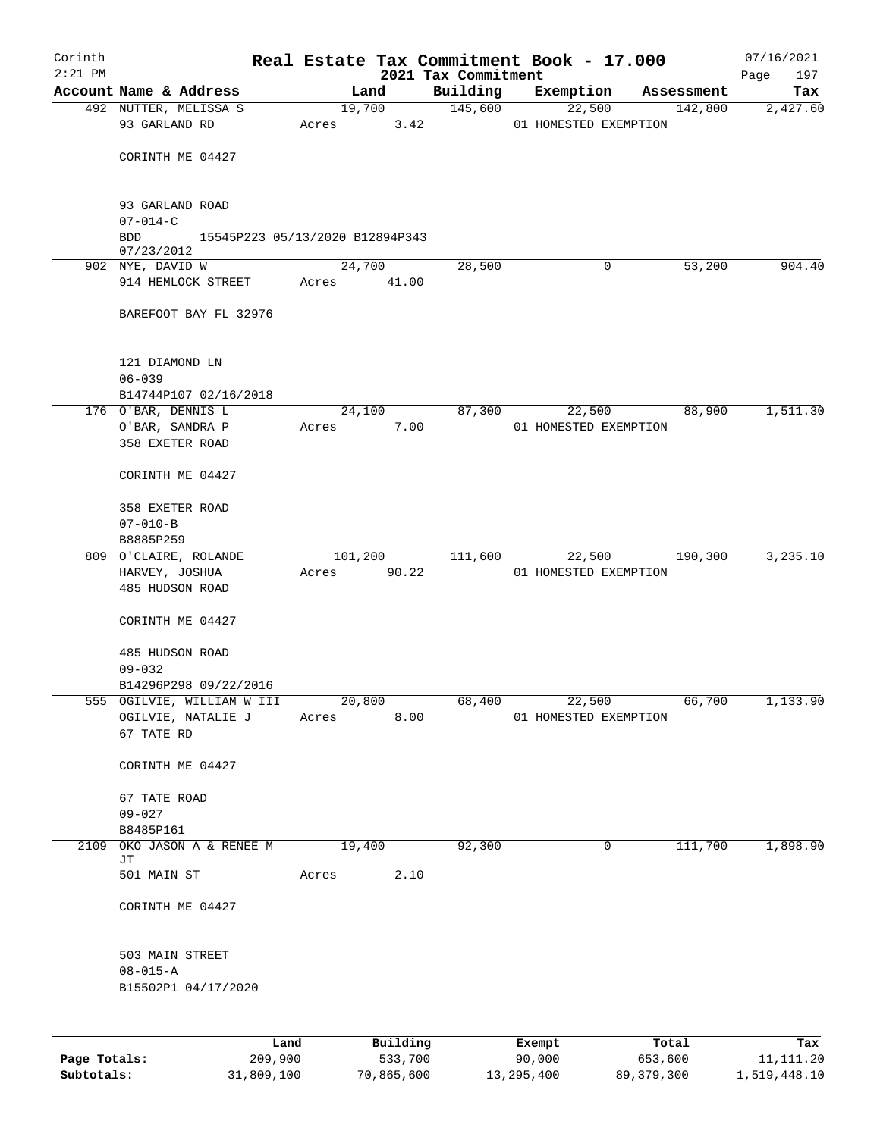| Corinth      |                                                  |             |          |                                 | Real Estate Tax Commitment Book - 17.000 |            | 07/16/2021         |
|--------------|--------------------------------------------------|-------------|----------|---------------------------------|------------------------------------------|------------|--------------------|
| $2:21$ PM    | Account Name & Address                           |             | Land     | 2021 Tax Commitment<br>Building | Exemption                                | Assessment | 197<br>Page<br>Tax |
|              | 492 NUTTER, MELISSA S                            |             | 19,700   | 145,600                         | 22,500                                   | 142,800    | 2,427.60           |
|              | 93 GARLAND RD                                    | Acres       | 3.42     |                                 | 01 HOMESTED EXEMPTION                    |            |                    |
|              |                                                  |             |          |                                 |                                          |            |                    |
|              | CORINTH ME 04427                                 |             |          |                                 |                                          |            |                    |
|              |                                                  |             |          |                                 |                                          |            |                    |
|              | 93 GARLAND ROAD                                  |             |          |                                 |                                          |            |                    |
|              | $07 - 014 - C$                                   |             |          |                                 |                                          |            |                    |
|              | <b>BDD</b><br>15545P223 05/13/2020 B12894P343    |             |          |                                 |                                          |            |                    |
|              | 07/23/2012<br>902 NYE, DAVID W                   |             | 24,700   | 28,500                          | 0                                        | 53,200     | 904.40             |
|              | 914 HEMLOCK STREET                               | Acres 41.00 |          |                                 |                                          |            |                    |
|              |                                                  |             |          |                                 |                                          |            |                    |
|              | BAREFOOT BAY FL 32976                            |             |          |                                 |                                          |            |                    |
|              |                                                  |             |          |                                 |                                          |            |                    |
|              | 121 DIAMOND LN                                   |             |          |                                 |                                          |            |                    |
|              | $06 - 039$                                       |             |          |                                 |                                          |            |                    |
|              | B14744P107 02/16/2018                            |             |          |                                 |                                          |            |                    |
|              | 176 O'BAR, DENNIS L                              |             | 24,100   | 87,300                          | 22,500                                   | 88,900     | 1,511.30           |
|              | O'BAR, SANDRA P<br>358 EXETER ROAD               | Acres       | 7.00     |                                 | 01 HOMESTED EXEMPTION                    |            |                    |
|              |                                                  |             |          |                                 |                                          |            |                    |
|              | CORINTH ME 04427                                 |             |          |                                 |                                          |            |                    |
|              |                                                  |             |          |                                 |                                          |            |                    |
|              | 358 EXETER ROAD                                  |             |          |                                 |                                          |            |                    |
|              | $07 - 010 - B$<br>B8885P259                      |             |          |                                 |                                          |            |                    |
|              | 809 O'CLAIRE, ROLANDE                            | 101,200     |          | 111,600                         | 22,500                                   | 190,300    | 3,235.10           |
|              | HARVEY, JOSHUA                                   | Acres       | 90.22    |                                 | 01 HOMESTED EXEMPTION                    |            |                    |
|              | 485 HUDSON ROAD                                  |             |          |                                 |                                          |            |                    |
|              | CORINTH ME 04427                                 |             |          |                                 |                                          |            |                    |
|              |                                                  |             |          |                                 |                                          |            |                    |
|              | 485 HUDSON ROAD                                  |             |          |                                 |                                          |            |                    |
|              | $09 - 032$                                       |             |          |                                 |                                          |            |                    |
|              | B14296P298 09/22/2016                            |             |          |                                 |                                          |            |                    |
|              | 555 OGILVIE, WILLIAM W III<br>OGILVIE, NATALIE J | 20,800      |          | 68,400                          | 22,500                                   | 66,700     | 1,133.90           |
|              | 67 TATE RD                                       | Acres       | 8.00     |                                 | 01 HOMESTED EXEMPTION                    |            |                    |
|              |                                                  |             |          |                                 |                                          |            |                    |
|              | CORINTH ME 04427                                 |             |          |                                 |                                          |            |                    |
|              |                                                  |             |          |                                 |                                          |            |                    |
|              | 67 TATE ROAD<br>$09 - 027$                       |             |          |                                 |                                          |            |                    |
|              | B8485P161                                        |             |          |                                 |                                          |            |                    |
|              | 2109 OKO JASON A & RENEE M                       | 19,400      |          | 92,300                          | $\mathbf 0$                              | 111,700    | 1,898.90           |
|              | JT<br>501 MAIN ST                                | Acres       | 2.10     |                                 |                                          |            |                    |
|              |                                                  |             |          |                                 |                                          |            |                    |
|              | CORINTH ME 04427                                 |             |          |                                 |                                          |            |                    |
|              |                                                  |             |          |                                 |                                          |            |                    |
|              | 503 MAIN STREET                                  |             |          |                                 |                                          |            |                    |
|              | $08 - 015 - A$                                   |             |          |                                 |                                          |            |                    |
|              | B15502P1 04/17/2020                              |             |          |                                 |                                          |            |                    |
|              |                                                  |             |          |                                 |                                          |            |                    |
|              |                                                  |             |          |                                 |                                          |            |                    |
|              | Land                                             |             | Building |                                 | Exempt                                   | Total      | Tax                |
| Page Totals: | 209,900                                          |             | 533,700  |                                 | 90,000                                   | 653,600    | 11, 111.20         |

**Subtotals:** 31,809,100 70,865,600 13,295,400 89,379,300 1,519,448.10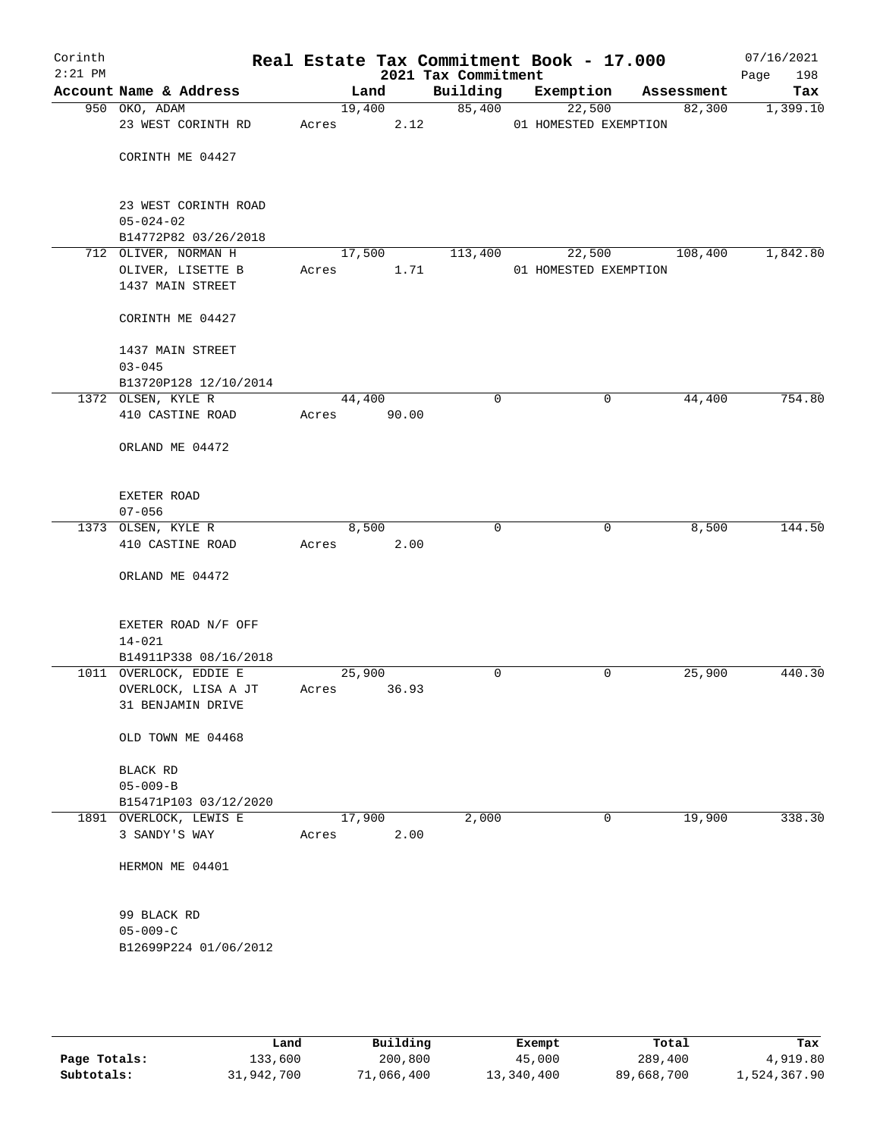| Corinth   |                                               |       |                 |                     | Real Estate Tax Commitment Book - 17.000 |            | 07/16/2021  |
|-----------|-----------------------------------------------|-------|-----------------|---------------------|------------------------------------------|------------|-------------|
| $2:21$ PM |                                               |       |                 | 2021 Tax Commitment |                                          |            | Page<br>198 |
|           | Account Name & Address                        |       | Land            | Building            | Exemption                                | Assessment | Tax         |
|           | 950 OKO, ADAM                                 |       | 19,400          | 85,400              | 22,500                                   | 82,300     | 1,399.10    |
|           | 23 WEST CORINTH RD                            | Acres |                 | 2.12                | 01 HOMESTED EXEMPTION                    |            |             |
|           | CORINTH ME 04427                              |       |                 |                     |                                          |            |             |
|           |                                               |       |                 |                     |                                          |            |             |
|           |                                               |       |                 |                     |                                          |            |             |
|           | 23 WEST CORINTH ROAD                          |       |                 |                     |                                          |            |             |
|           | $05 - 024 - 02$                               |       |                 |                     |                                          |            |             |
|           | B14772P82 03/26/2018<br>712 OLIVER, NORMAN H  |       |                 |                     | 22,500                                   |            |             |
|           | OLIVER, LISETTE B                             | Acres | 17,500<br>1.71  | 113,400             | 01 HOMESTED EXEMPTION                    | 108,400    | 1,842.80    |
|           | 1437 MAIN STREET                              |       |                 |                     |                                          |            |             |
|           |                                               |       |                 |                     |                                          |            |             |
|           | CORINTH ME 04427                              |       |                 |                     |                                          |            |             |
|           | 1437 MAIN STREET                              |       |                 |                     |                                          |            |             |
|           | $03 - 045$                                    |       |                 |                     |                                          |            |             |
|           | B13720P128 12/10/2014                         |       |                 |                     |                                          |            |             |
|           | 1372 OLSEN, KYLE R                            |       | 44,400          | $\mathbf 0$         | 0                                        | 44,400     | 754.80      |
|           | 410 CASTINE ROAD                              | Acres | 90.00           |                     |                                          |            |             |
|           | ORLAND ME 04472                               |       |                 |                     |                                          |            |             |
|           |                                               |       |                 |                     |                                          |            |             |
|           | EXETER ROAD                                   |       |                 |                     |                                          |            |             |
|           | $07 - 056$                                    |       |                 |                     |                                          |            |             |
|           | 1373 OLSEN, KYLE R                            |       | 8,500           | $\mathbf 0$         | 0                                        | 8,500      | 144.50      |
|           | 410 CASTINE ROAD                              | Acres | 2.00            |                     |                                          |            |             |
|           | ORLAND ME 04472                               |       |                 |                     |                                          |            |             |
|           |                                               |       |                 |                     |                                          |            |             |
|           | EXETER ROAD N/F OFF                           |       |                 |                     |                                          |            |             |
|           | $14 - 021$                                    |       |                 |                     |                                          |            |             |
|           | B14911P338 08/16/2018                         |       |                 |                     |                                          |            |             |
|           | 1011 OVERLOCK, EDDIE E<br>OVERLOCK, LISA A JT | Acres | 25,900<br>36.93 | 0                   | 0                                        | 25,900     | 440.30      |
|           | 31 BENJAMIN DRIVE                             |       |                 |                     |                                          |            |             |
|           |                                               |       |                 |                     |                                          |            |             |
|           | OLD TOWN ME 04468                             |       |                 |                     |                                          |            |             |
|           | <b>BLACK RD</b>                               |       |                 |                     |                                          |            |             |
|           | $05 - 009 - B$                                |       |                 |                     |                                          |            |             |
|           | B15471P103 03/12/2020                         |       |                 |                     |                                          |            |             |
|           | 1891 OVERLOCK, LEWIS E                        |       | 17,900          | 2,000               | 0                                        | 19,900     | 338.30      |
|           | 3 SANDY'S WAY                                 | Acres | 2.00            |                     |                                          |            |             |
|           | HERMON ME 04401                               |       |                 |                     |                                          |            |             |
|           |                                               |       |                 |                     |                                          |            |             |
|           | 99 BLACK RD                                   |       |                 |                     |                                          |            |             |
|           | $05 - 009 - C$                                |       |                 |                     |                                          |            |             |
|           | B12699P224 01/06/2012                         |       |                 |                     |                                          |            |             |
|           |                                               |       |                 |                     |                                          |            |             |
|           |                                               |       |                 |                     |                                          |            |             |
|           |                                               |       |                 |                     |                                          |            |             |

|              | Land       | Building   | Exempt     | Total      | Tax          |
|--------------|------------|------------|------------|------------|--------------|
| Page Totals: | 133,600    | 200,800    | 45,000     | 289,400    | 4,919.80     |
| Subtotals:   | 31,942,700 | 71,066,400 | 13,340,400 | 89,668,700 | 1,524,367.90 |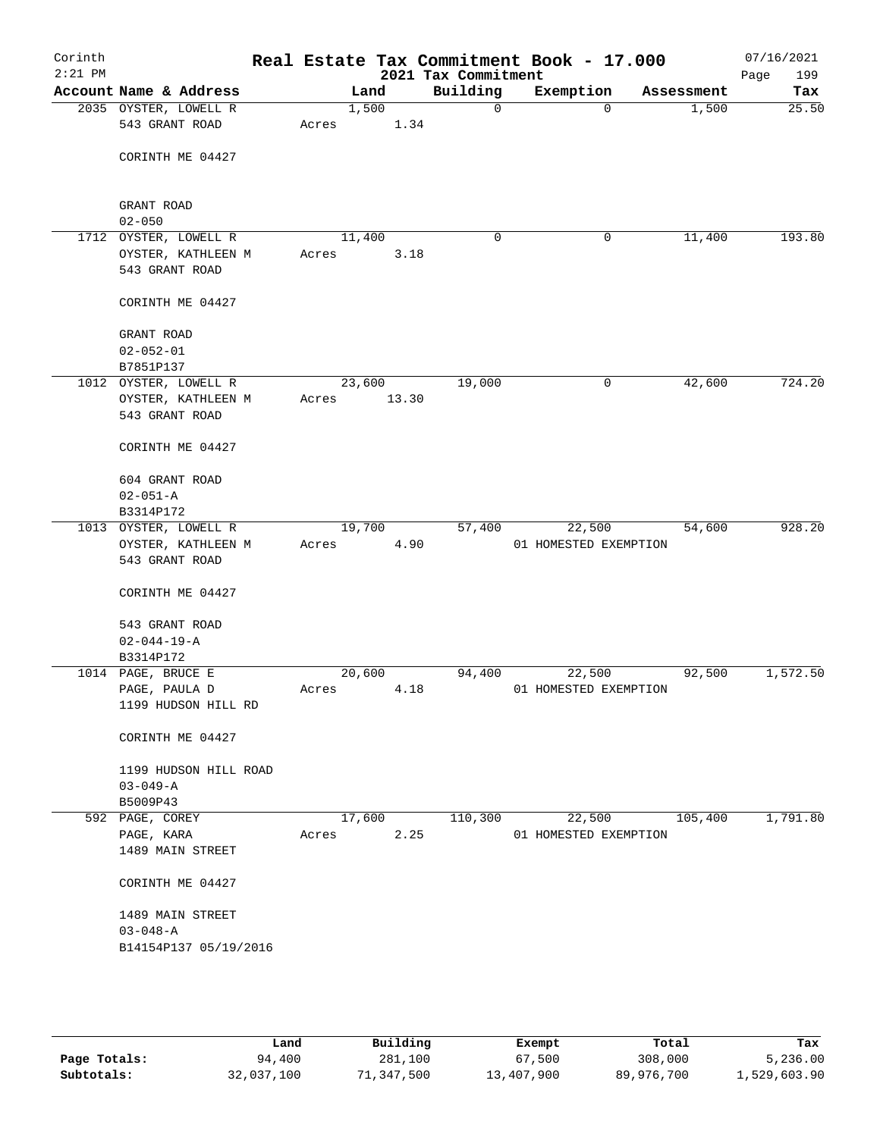| Corinth<br>$2:21$ PM |                                         |       |        |       | 2021 Tax Commitment | Real Estate Tax Commitment Book - 17.000 |            | 07/16/2021<br>Page<br>199 |
|----------------------|-----------------------------------------|-------|--------|-------|---------------------|------------------------------------------|------------|---------------------------|
|                      | Account Name & Address                  |       | Land   |       | Building            | Exemption                                | Assessment | Tax                       |
|                      | 2035 OYSTER, LOWELL R<br>543 GRANT ROAD | Acres | 1,500  | 1.34  | $\mathbf 0$         | $\Omega$                                 | 1,500      | 25.50                     |
|                      | CORINTH ME 04427                        |       |        |       |                     |                                          |            |                           |
|                      | GRANT ROAD<br>$02 - 050$                |       |        |       |                     |                                          |            |                           |
|                      | 1712 OYSTER, LOWELL R                   |       | 11,400 |       | 0                   | 0                                        | 11,400     | 193.80                    |
|                      | OYSTER, KATHLEEN M                      | Acres |        | 3.18  |                     |                                          |            |                           |
|                      | 543 GRANT ROAD                          |       |        |       |                     |                                          |            |                           |
|                      | CORINTH ME 04427                        |       |        |       |                     |                                          |            |                           |
|                      | GRANT ROAD                              |       |        |       |                     |                                          |            |                           |
|                      | $02 - 052 - 01$                         |       |        |       |                     |                                          |            |                           |
|                      | B7851P137                               |       |        |       |                     |                                          |            |                           |
|                      | 1012 OYSTER, LOWELL R                   |       | 23,600 |       | 19,000              | 0                                        | 42,600     | 724.20                    |
|                      | OYSTER, KATHLEEN M<br>543 GRANT ROAD    | Acres |        | 13.30 |                     |                                          |            |                           |
|                      | CORINTH ME 04427                        |       |        |       |                     |                                          |            |                           |
|                      | 604 GRANT ROAD                          |       |        |       |                     |                                          |            |                           |
|                      | $02 - 051 - A$                          |       |        |       |                     |                                          |            |                           |
|                      | B3314P172<br>1013 OYSTER, LOWELL R      |       | 19,700 |       | 57,400              | 22,500                                   | 54,600     | 928.20                    |
|                      | OYSTER, KATHLEEN M                      | Acres |        | 4.90  |                     | 01 HOMESTED EXEMPTION                    |            |                           |
|                      | 543 GRANT ROAD                          |       |        |       |                     |                                          |            |                           |
|                      | CORINTH ME 04427                        |       |        |       |                     |                                          |            |                           |
|                      | 543 GRANT ROAD                          |       |        |       |                     |                                          |            |                           |
|                      | $02 - 044 - 19 - A$                     |       |        |       |                     |                                          |            |                           |
|                      | B3314P172                               |       |        |       |                     |                                          |            |                           |
|                      | 1014 PAGE, BRUCE E                      |       | 20,600 |       | 94,400              | 22,500                                   | 92,500     | 1,572.50                  |
|                      | PAGE, PAULA D<br>1199 HUDSON HILL RD    | Acres |        | 4.18  |                     | 01 HOMESTED EXEMPTION                    |            |                           |
|                      | CORINTH ME 04427                        |       |        |       |                     |                                          |            |                           |
|                      | 1199 HUDSON HILL ROAD                   |       |        |       |                     |                                          |            |                           |
|                      | $03 - 049 - A$<br>B5009P43              |       |        |       |                     |                                          |            |                           |
|                      | 592 PAGE, COREY                         |       | 17,600 |       | 110,300             | 22,500                                   | 105,400    | 1,791.80                  |
|                      | PAGE, KARA                              | Acres |        | 2.25  |                     | 01 HOMESTED EXEMPTION                    |            |                           |
|                      | 1489 MAIN STREET                        |       |        |       |                     |                                          |            |                           |
|                      | CORINTH ME 04427                        |       |        |       |                     |                                          |            |                           |
|                      | 1489 MAIN STREET                        |       |        |       |                     |                                          |            |                           |
|                      | $03 - 048 - A$                          |       |        |       |                     |                                          |            |                           |
|                      | B14154P137 05/19/2016                   |       |        |       |                     |                                          |            |                           |
|                      |                                         |       |        |       |                     |                                          |            |                           |

|              | Land       | Building   | Exempt     | Total      | Tax          |
|--------------|------------|------------|------------|------------|--------------|
| Page Totals: | 94,400     | 281,100    | 67,500     | 308,000    | 5,236.00     |
| Subtotals:   | 32,037,100 | 71,347,500 | 13,407,900 | 89,976,700 | 1,529,603.90 |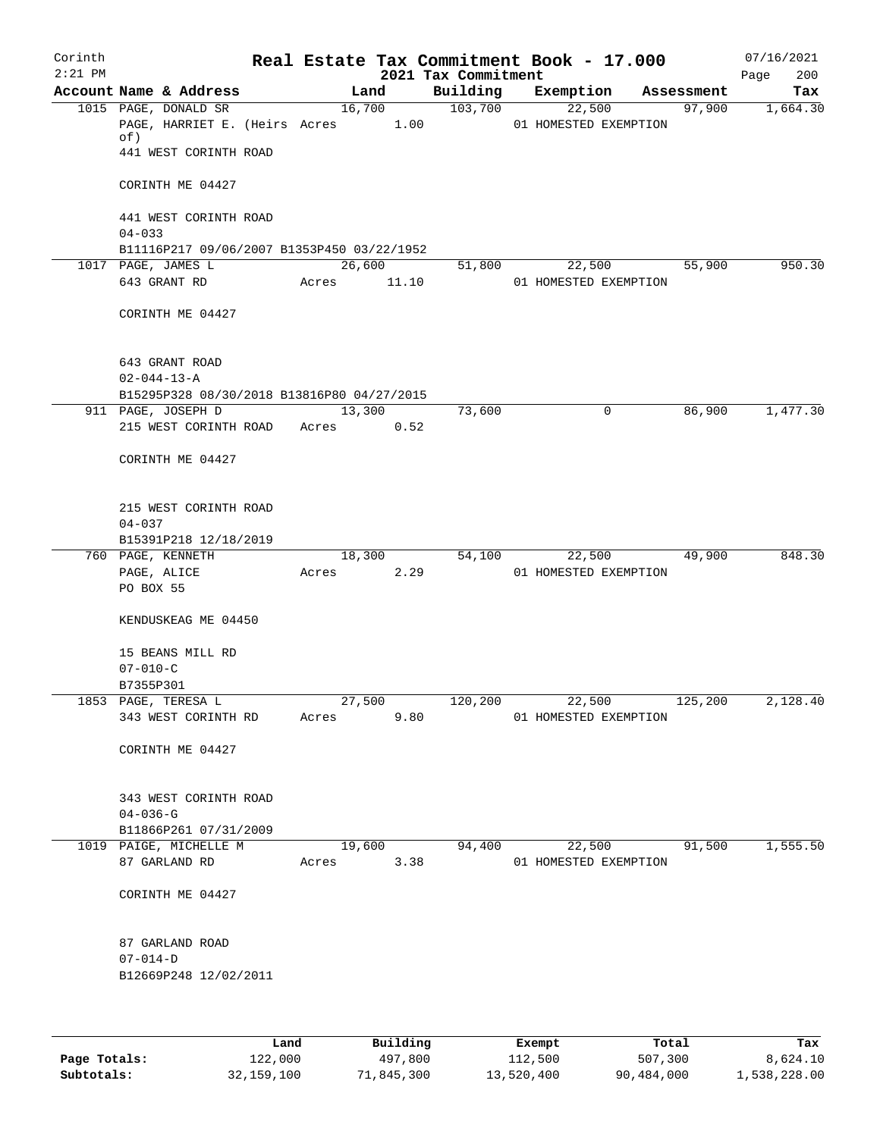| Corinth<br>$2:21$ PM |                                                            |       |            | 2021 Tax Commitment | Real Estate Tax Commitment Book - 17.000 |            | 07/16/2021<br>200<br>Page |
|----------------------|------------------------------------------------------------|-------|------------|---------------------|------------------------------------------|------------|---------------------------|
|                      | Account Name & Address                                     |       | Land       | Building            | Exemption                                | Assessment | Tax                       |
|                      | 1015 PAGE, DONALD SR<br>PAGE, HARRIET E. (Heirs Acres 1.00 |       | 16,700     | 103,700             | 22,500<br>01 HOMESTED EXEMPTION          | 97,900     | 1,664.30                  |
|                      | of)<br>441 WEST CORINTH ROAD                               |       |            |                     |                                          |            |                           |
|                      | CORINTH ME 04427                                           |       |            |                     |                                          |            |                           |
|                      | 441 WEST CORINTH ROAD<br>$04 - 033$                        |       |            |                     |                                          |            |                           |
|                      | B11116P217 09/06/2007 B1353P450 03/22/1952                 |       |            |                     |                                          |            |                           |
|                      | 1017 PAGE, JAMES L                                         |       | 26,600     | 51,800              | 22,500                                   | 55,900     | 950.30                    |
|                      | 643 GRANT RD                                               | Acres | 11.10      |                     | 01 HOMESTED EXEMPTION                    |            |                           |
|                      | CORINTH ME 04427                                           |       |            |                     |                                          |            |                           |
|                      | 643 GRANT ROAD                                             |       |            |                     |                                          |            |                           |
|                      | $02 - 044 - 13 - A$                                        |       |            |                     |                                          |            |                           |
|                      | B15295P328 08/30/2018 B13816P80 04/27/2015                 |       |            |                     |                                          |            |                           |
|                      | 911 PAGE, JOSEPH D                                         |       | 13,300     | 73,600              | 0                                        | 86,900     | 1,477.30                  |
|                      | 215 WEST CORINTH ROAD                                      | Acres | 0.52       |                     |                                          |            |                           |
|                      | CORINTH ME 04427                                           |       |            |                     |                                          |            |                           |
|                      | 215 WEST CORINTH ROAD<br>$04 - 037$                        |       |            |                     |                                          |            |                           |
|                      |                                                            |       |            |                     |                                          |            |                           |
|                      | B15391P218 12/18/2019                                      |       |            |                     |                                          |            | 848.30                    |
|                      | 760 PAGE, KENNETH                                          |       | 18,300     | 54,100              | 22,500                                   | 49,900     |                           |
|                      | PAGE, ALICE<br>PO BOX 55                                   | Acres | 2.29       |                     | 01 HOMESTED EXEMPTION                    |            |                           |
|                      | KENDUSKEAG ME 04450                                        |       |            |                     |                                          |            |                           |
|                      | 15 BEANS MILL RD                                           |       |            |                     |                                          |            |                           |
|                      | $07 - 010 - C$                                             |       |            |                     |                                          |            |                           |
|                      | B7355P301                                                  |       |            |                     |                                          |            |                           |
|                      | 1853 PAGE, TERESA L                                        |       | 27,500     | 120,200             | 22,500                                   | 125,200    | 2,128.40                  |
|                      | 343 WEST CORINTH RD                                        | Acres | 9.80       |                     | 01 HOMESTED EXEMPTION                    |            |                           |
|                      | CORINTH ME 04427                                           |       |            |                     |                                          |            |                           |
|                      | 343 WEST CORINTH ROAD                                      |       |            |                     |                                          |            |                           |
|                      | $04 - 036 - G$                                             |       |            |                     |                                          |            |                           |
|                      | B11866P261 07/31/2009<br>1019 PAIGE, MICHELLE M            |       | 19,600     | 94,400              | 22,500                                   | 91,500     | 1,555.50                  |
|                      | 87 GARLAND RD                                              |       | Acres 3.38 |                     | 01 HOMESTED EXEMPTION                    |            |                           |
|                      | CORINTH ME 04427                                           |       |            |                     |                                          |            |                           |
|                      | 87 GARLAND ROAD                                            |       |            |                     |                                          |            |                           |
|                      | $07 - 014 - D$                                             |       |            |                     |                                          |            |                           |
|                      | B12669P248 12/02/2011                                      |       |            |                     |                                          |            |                           |
|                      |                                                            |       |            |                     |                                          |            |                           |

|              | Land       | Building   | Exempt     | Total      | Tax          |
|--------------|------------|------------|------------|------------|--------------|
| Page Totals: | 122,000    | 497,800    | 112,500    | 507,300    | 8,624.10     |
| Subtotals:   | 32,159,100 | 71,845,300 | 13,520,400 | 90,484,000 | 1,538,228.00 |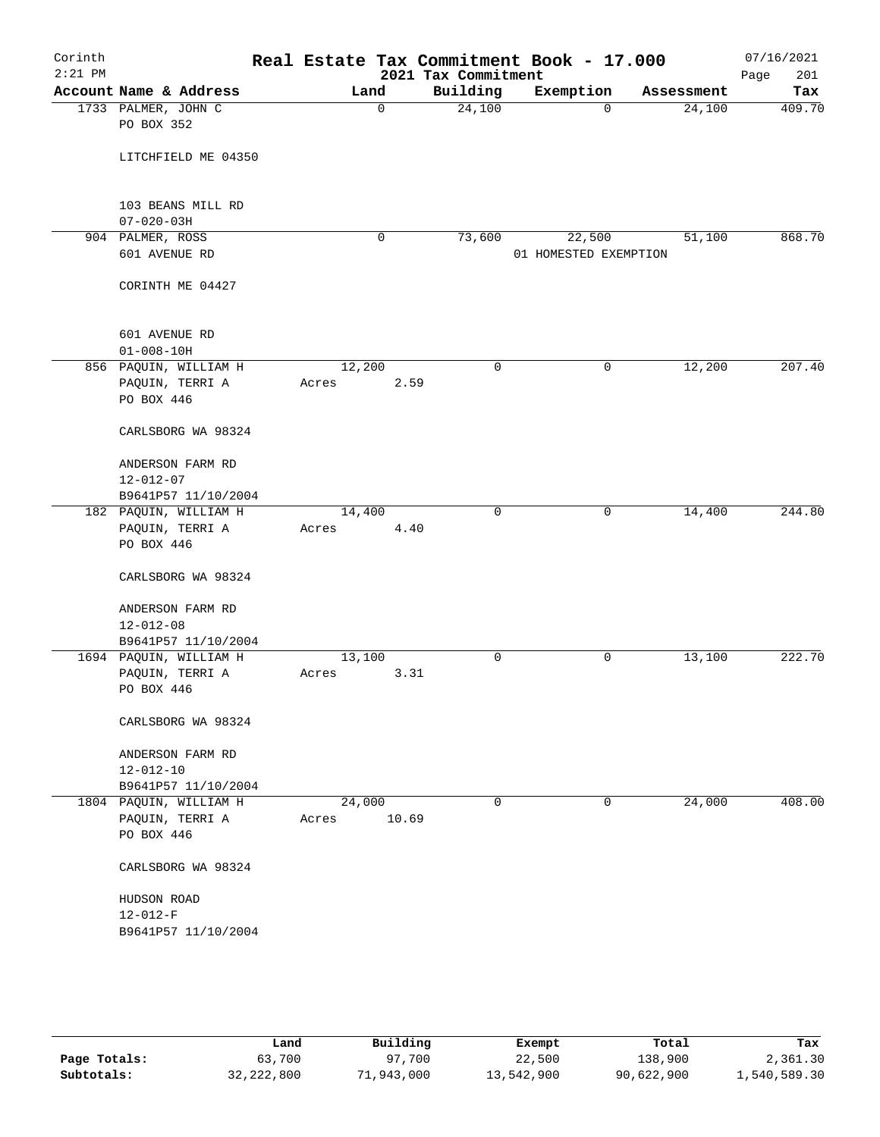| Corinth<br>$2:21$ PM |                                        |        |             | 2021 Tax Commitment | Real Estate Tax Commitment Book - 17.000 |                    | 07/16/2021<br>Page<br>201 |
|----------------------|----------------------------------------|--------|-------------|---------------------|------------------------------------------|--------------------|---------------------------|
|                      | Account Name & Address                 | Land   |             | Building            | Exemption                                | Assessment         | Tax                       |
|                      | 1733 PALMER, JOHN C<br>PO BOX 352      |        | $\mathbf 0$ | 24,100              |                                          | 24,100<br>$\Omega$ | 409.70                    |
|                      | LITCHFIELD ME 04350                    |        |             |                     |                                          |                    |                           |
|                      | 103 BEANS MILL RD<br>$07 - 020 - 03H$  |        |             |                     |                                          |                    |                           |
|                      | 904 PALMER, ROSS                       |        | 0           | 73,600              | 22,500                                   | 51,100             | 868.70                    |
|                      | 601 AVENUE RD                          |        |             |                     | 01 HOMESTED EXEMPTION                    |                    |                           |
|                      | CORINTH ME 04427                       |        |             |                     |                                          |                    |                           |
|                      | 601 AVENUE RD<br>$01 - 008 - 10H$      |        |             |                     |                                          |                    |                           |
|                      | 856 PAQUIN, WILLIAM H                  | 12,200 |             | 0                   |                                          | 0<br>12,200        | 207.40                    |
|                      | PAQUIN, TERRI A                        | Acres  | 2.59        |                     |                                          |                    |                           |
|                      | PO BOX 446                             |        |             |                     |                                          |                    |                           |
|                      | CARLSBORG WA 98324                     |        |             |                     |                                          |                    |                           |
|                      | ANDERSON FARM RD                       |        |             |                     |                                          |                    |                           |
|                      | $12 - 012 - 07$<br>B9641P57 11/10/2004 |        |             |                     |                                          |                    |                           |
|                      | 182 PAQUIN, WILLIAM H                  | 14,400 |             | $\mathbf 0$         |                                          | 14,400<br>0        | 244.80                    |
|                      | PAQUIN, TERRI A                        | Acres  | 4.40        |                     |                                          |                    |                           |
|                      | PO BOX 446                             |        |             |                     |                                          |                    |                           |
|                      | CARLSBORG WA 98324                     |        |             |                     |                                          |                    |                           |
|                      | ANDERSON FARM RD<br>$12 - 012 - 08$    |        |             |                     |                                          |                    |                           |
|                      | B9641P57 11/10/2004                    |        |             |                     |                                          |                    |                           |
|                      | 1694 PAQUIN, WILLIAM H                 | 13,100 |             | 0                   |                                          | 0<br>13,100        | 222.70                    |
|                      | PAQUIN, TERRI A<br>PO BOX 446          | Acres  | 3.31        |                     |                                          |                    |                           |
|                      | CARLSBORG WA 98324                     |        |             |                     |                                          |                    |                           |
|                      | ANDERSON FARM RD                       |        |             |                     |                                          |                    |                           |
|                      | $12 - 012 - 10$                        |        |             |                     |                                          |                    |                           |
|                      | B9641P57 11/10/2004                    |        |             |                     |                                          |                    |                           |
|                      | 1804 PAQUIN, WILLIAM H                 | 24,000 |             | $\mathbf 0$         |                                          | 24,000<br>0        | 408.00                    |
|                      | PAQUIN, TERRI A<br>PO BOX 446          | Acres  | 10.69       |                     |                                          |                    |                           |
|                      | CARLSBORG WA 98324                     |        |             |                     |                                          |                    |                           |
|                      | HUDSON ROAD<br>$12 - 012 - F$          |        |             |                     |                                          |                    |                           |
|                      | B9641P57 11/10/2004                    |        |             |                     |                                          |                    |                           |
|                      |                                        |        |             |                     |                                          |                    |                           |

|              | Land         | Building   | Exempt     | Total      | Tax          |
|--------------|--------------|------------|------------|------------|--------------|
| Page Totals: | 63,700       | 97,700     | 22,500     | 138,900    | 2,361.30     |
| Subtotals:   | 32, 222, 800 | 71,943,000 | 13,542,900 | 90,622,900 | 1,540,589.30 |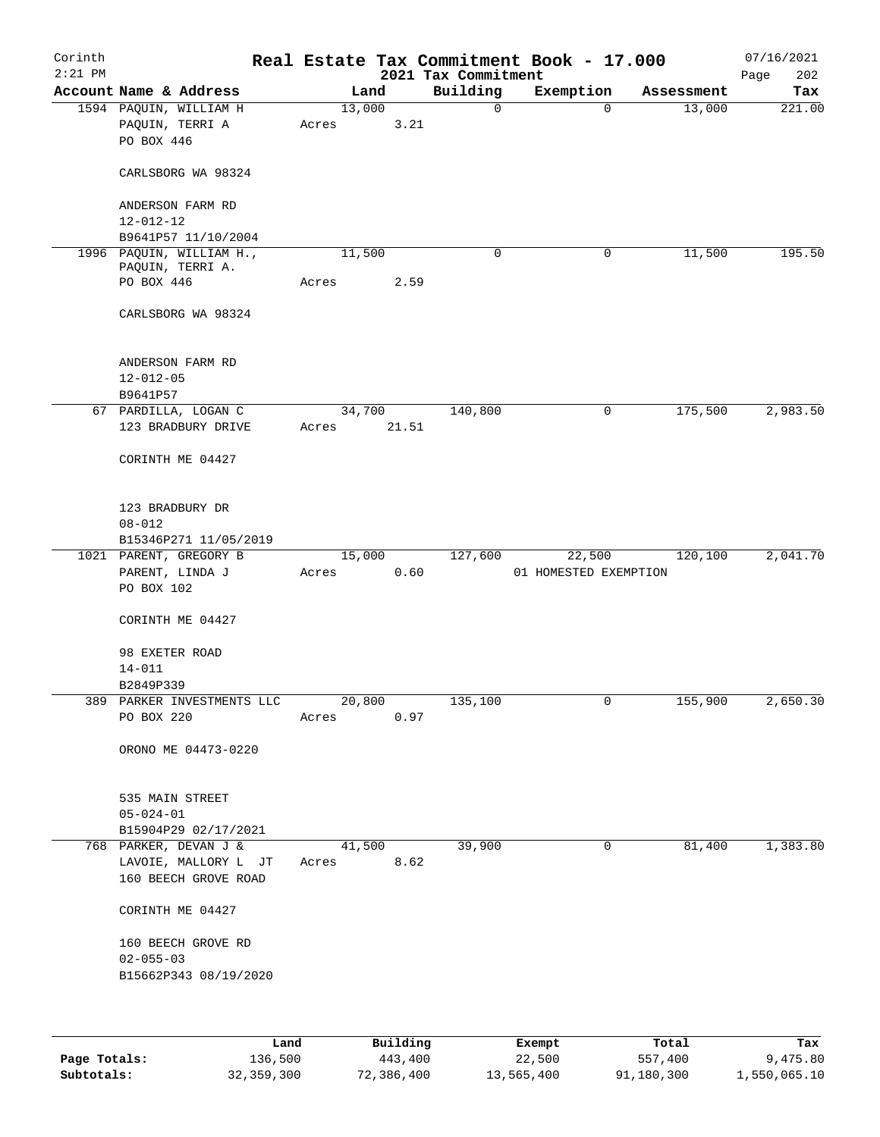| Corinth<br>$2:21$ PM |                                                            |       |                | 2021 Tax Commitment | Real Estate Tax Commitment Book - 17.000 |            | 07/16/2021<br>Page<br>202 |
|----------------------|------------------------------------------------------------|-------|----------------|---------------------|------------------------------------------|------------|---------------------------|
|                      | Account Name & Address                                     |       | Land           | Building            | Exemption                                | Assessment | Tax                       |
|                      | 1594 PAQUIN, WILLIAM H<br>PAQUIN, TERRI A<br>PO BOX 446    | Acres | 13,000<br>3.21 | $\mathbf 0$         | $\Omega$                                 | 13,000     | 221.00                    |
|                      | CARLSBORG WA 98324                                         |       |                |                     |                                          |            |                           |
|                      | ANDERSON FARM RD<br>$12 - 012 - 12$                        |       |                |                     |                                          |            |                           |
|                      | B9641P57 11/10/2004                                        |       |                |                     |                                          |            |                           |
|                      | 1996 PAQUIN, WILLIAM H.,<br>PAQUIN, TERRI A.<br>PO BOX 446 | Acres | 11,500<br>2.59 | 0                   | 0                                        | 11,500     | 195.50                    |
|                      | CARLSBORG WA 98324                                         |       |                |                     |                                          |            |                           |
|                      |                                                            |       |                |                     |                                          |            |                           |
|                      | ANDERSON FARM RD<br>$12 - 012 - 05$<br>B9641P57            |       |                |                     |                                          |            |                           |
|                      | 67 PARDILLA, LOGAN C                                       |       | 34,700         | 140,800             | 0                                        | 175,500    | 2,983.50                  |
|                      | 123 BRADBURY DRIVE                                         | Acres | 21.51          |                     |                                          |            |                           |
|                      | CORINTH ME 04427                                           |       |                |                     |                                          |            |                           |
|                      | 123 BRADBURY DR                                            |       |                |                     |                                          |            |                           |
|                      | $08 - 012$                                                 |       |                |                     |                                          |            |                           |
|                      | B15346P271 11/05/2019<br>1021 PARENT, GREGORY B            |       | 15,000         | 127,600             | 22,500                                   | 120,100    | 2,041.70                  |
|                      | PARENT, LINDA J<br>PO BOX 102                              | Acres | 0.60           |                     | 01 HOMESTED EXEMPTION                    |            |                           |
|                      | CORINTH ME 04427                                           |       |                |                     |                                          |            |                           |
|                      | 98 EXETER ROAD<br>$14 - 011$                               |       |                |                     |                                          |            |                           |
|                      | B2849P339                                                  |       |                |                     |                                          |            |                           |
|                      | 389 PARKER INVESTMENTS LLC                                 |       | 20,800         | 135,100             | 0                                        | 155,900    | 2,650.30                  |
|                      | PO BOX 220                                                 | Acres | 0.97           |                     |                                          |            |                           |
|                      | ORONO ME 04473-0220                                        |       |                |                     |                                          |            |                           |
|                      | 535 MAIN STREET                                            |       |                |                     |                                          |            |                           |
|                      | $05 - 024 - 01$                                            |       |                |                     |                                          |            |                           |
|                      | B15904P29 02/17/2021<br>768 PARKER, DEVAN J &              |       | 41,500         | 39,900              | $\overline{0}$                           | 81,400     | 1,383.80                  |
|                      | LAVOIE, MALLORY L JT<br>160 BEECH GROVE ROAD               | Acres | 8.62           |                     |                                          |            |                           |
|                      | CORINTH ME 04427                                           |       |                |                     |                                          |            |                           |
|                      | 160 BEECH GROVE RD<br>$02 - 055 - 03$                      |       |                |                     |                                          |            |                           |
|                      | B15662P343 08/19/2020                                      |       |                |                     |                                          |            |                           |
|                      |                                                            |       |                |                     |                                          |            |                           |
|                      | Land                                                       |       | Building       |                     | <b>Exempt</b>                            | Total      | Tax                       |

|              | Land       | Building   | Exempt     | Total      | Tax          |
|--------------|------------|------------|------------|------------|--------------|
| Page Totals: | 136,500    | 443,400    | 22,500     | 557,400    | 9,475.80     |
| Subtotals:   | 32,359,300 | 72,386,400 | 13,565,400 | 91,180,300 | 1,550,065.10 |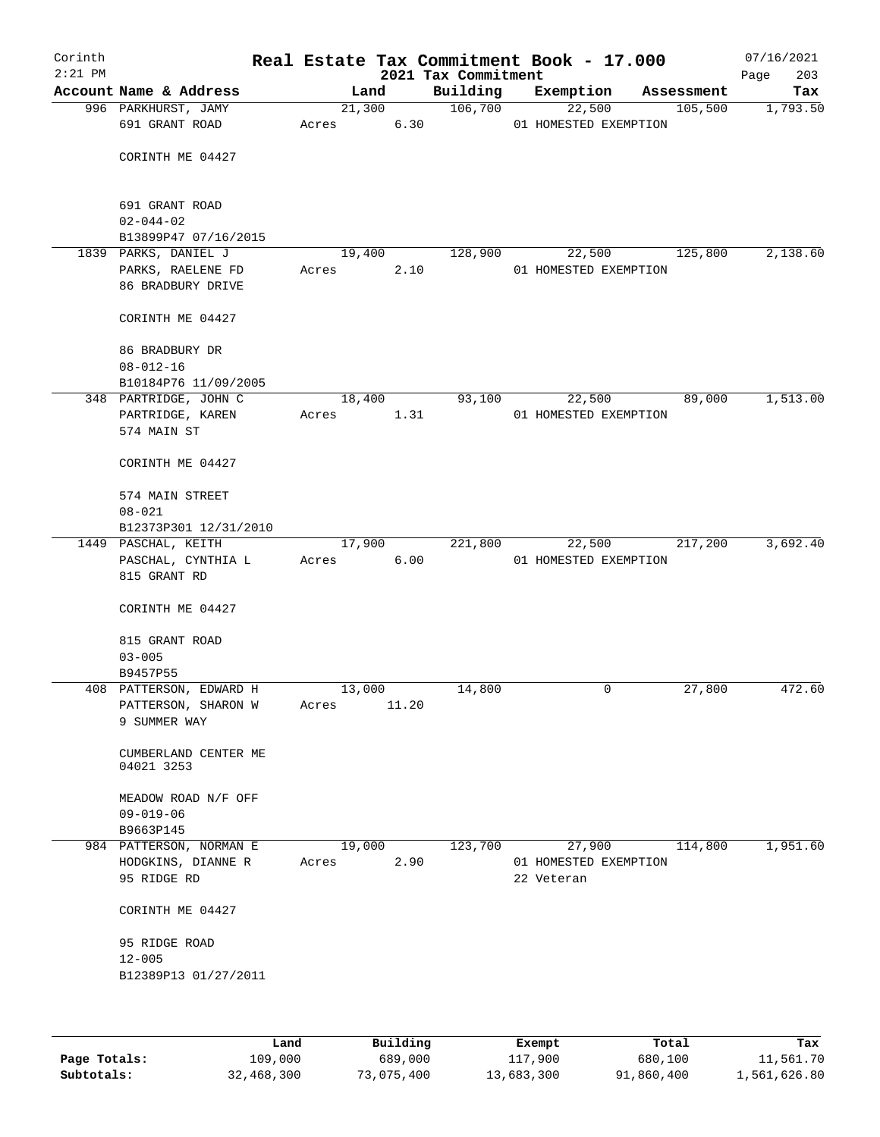| Corinth   |                                               |       |                |       | Real Estate Tax Commitment Book - 17.000 |            |                       |            | 07/16/2021      |
|-----------|-----------------------------------------------|-------|----------------|-------|------------------------------------------|------------|-----------------------|------------|-----------------|
| $2:21$ PM |                                               |       |                |       | 2021 Tax Commitment                      |            |                       |            | 203<br>Page     |
|           | Account Name & Address<br>996 PARKHURST, JAMY |       | Land<br>21,300 |       | Building<br>106,700                      | Exemption  |                       | Assessment | Tax<br>1,793.50 |
|           | 691 GRANT ROAD                                | Acres |                | 6.30  |                                          | 22,500     | 01 HOMESTED EXEMPTION | 105,500    |                 |
|           |                                               |       |                |       |                                          |            |                       |            |                 |
|           | CORINTH ME 04427                              |       |                |       |                                          |            |                       |            |                 |
|           |                                               |       |                |       |                                          |            |                       |            |                 |
|           |                                               |       |                |       |                                          |            |                       |            |                 |
|           | 691 GRANT ROAD                                |       |                |       |                                          |            |                       |            |                 |
|           | $02 - 044 - 02$                               |       |                |       |                                          |            |                       |            |                 |
|           | B13899P47 07/16/2015<br>1839 PARKS, DANIEL J  |       | 19,400         |       | 128,900                                  | 22,500     |                       | 125,800    | 2,138.60        |
|           | PARKS, RAELENE FD                             | Acres |                | 2.10  |                                          |            | 01 HOMESTED EXEMPTION |            |                 |
|           | 86 BRADBURY DRIVE                             |       |                |       |                                          |            |                       |            |                 |
|           |                                               |       |                |       |                                          |            |                       |            |                 |
|           | CORINTH ME 04427                              |       |                |       |                                          |            |                       |            |                 |
|           | 86 BRADBURY DR                                |       |                |       |                                          |            |                       |            |                 |
|           | $08 - 012 - 16$                               |       |                |       |                                          |            |                       |            |                 |
|           | B10184P76 11/09/2005                          |       |                |       |                                          |            |                       |            |                 |
|           | 348 PARTRIDGE, JOHN C                         |       | 18,400         |       | 93,100                                   | 22,500     |                       | 89,000     | 1,513.00        |
|           | PARTRIDGE, KAREN                              | Acres |                | 1.31  |                                          |            | 01 HOMESTED EXEMPTION |            |                 |
|           | 574 MAIN ST                                   |       |                |       |                                          |            |                       |            |                 |
|           |                                               |       |                |       |                                          |            |                       |            |                 |
|           | CORINTH ME 04427                              |       |                |       |                                          |            |                       |            |                 |
|           | 574 MAIN STREET                               |       |                |       |                                          |            |                       |            |                 |
|           | $08 - 021$                                    |       |                |       |                                          |            |                       |            |                 |
|           | B12373P301 12/31/2010                         |       |                |       |                                          |            |                       |            |                 |
|           | 1449 PASCHAL, KEITH                           |       | 17,900         |       | 221,800                                  | 22,500     |                       | 217,200    | 3,692.40        |
|           | PASCHAL, CYNTHIA L                            |       | Acres          | 6.00  |                                          |            | 01 HOMESTED EXEMPTION |            |                 |
|           | 815 GRANT RD                                  |       |                |       |                                          |            |                       |            |                 |
|           | CORINTH ME 04427                              |       |                |       |                                          |            |                       |            |                 |
|           |                                               |       |                |       |                                          |            |                       |            |                 |
|           | 815 GRANT ROAD                                |       |                |       |                                          |            |                       |            |                 |
|           | $03 - 005$                                    |       |                |       |                                          |            |                       |            |                 |
|           | B9457P55                                      |       |                |       |                                          |            |                       |            |                 |
|           | 408 PATTERSON, EDWARD H                       |       | 13,000         |       | 14,800                                   |            | 0                     | 27,800     | 472.60          |
|           | PATTERSON, SHARON W<br>9 SUMMER WAY           | Acres |                | 11.20 |                                          |            |                       |            |                 |
|           |                                               |       |                |       |                                          |            |                       |            |                 |
|           | CUMBERLAND CENTER ME                          |       |                |       |                                          |            |                       |            |                 |
|           | 04021 3253                                    |       |                |       |                                          |            |                       |            |                 |
|           |                                               |       |                |       |                                          |            |                       |            |                 |
|           | MEADOW ROAD N/F OFF<br>$09 - 019 - 06$        |       |                |       |                                          |            |                       |            |                 |
|           | B9663P145                                     |       |                |       |                                          |            |                       |            |                 |
|           | 984 PATTERSON, NORMAN E                       |       | 19,000         |       | 123,700                                  | 27,900     |                       | 114,800    | 1,951.60        |
|           | HODGKINS, DIANNE R                            | Acres |                | 2.90  |                                          |            | 01 HOMESTED EXEMPTION |            |                 |
|           | 95 RIDGE RD                                   |       |                |       |                                          | 22 Veteran |                       |            |                 |
|           |                                               |       |                |       |                                          |            |                       |            |                 |
|           | CORINTH ME 04427                              |       |                |       |                                          |            |                       |            |                 |
|           | 95 RIDGE ROAD                                 |       |                |       |                                          |            |                       |            |                 |
|           | $12 - 005$                                    |       |                |       |                                          |            |                       |            |                 |
|           | B12389P13 01/27/2011                          |       |                |       |                                          |            |                       |            |                 |
|           |                                               |       |                |       |                                          |            |                       |            |                 |
|           |                                               |       |                |       |                                          |            |                       |            |                 |
|           |                                               |       |                |       |                                          |            |                       |            |                 |

|              | Land       | Building   | Exempt     | Total      | Tax          |
|--------------|------------|------------|------------|------------|--------------|
| Page Totals: | 109,000    | 689,000    | 117,900    | 680,100    | 11,561.70    |
| Subtotals:   | 32,468,300 | 73,075,400 | 13,683,300 | 91,860,400 | 1,561,626.80 |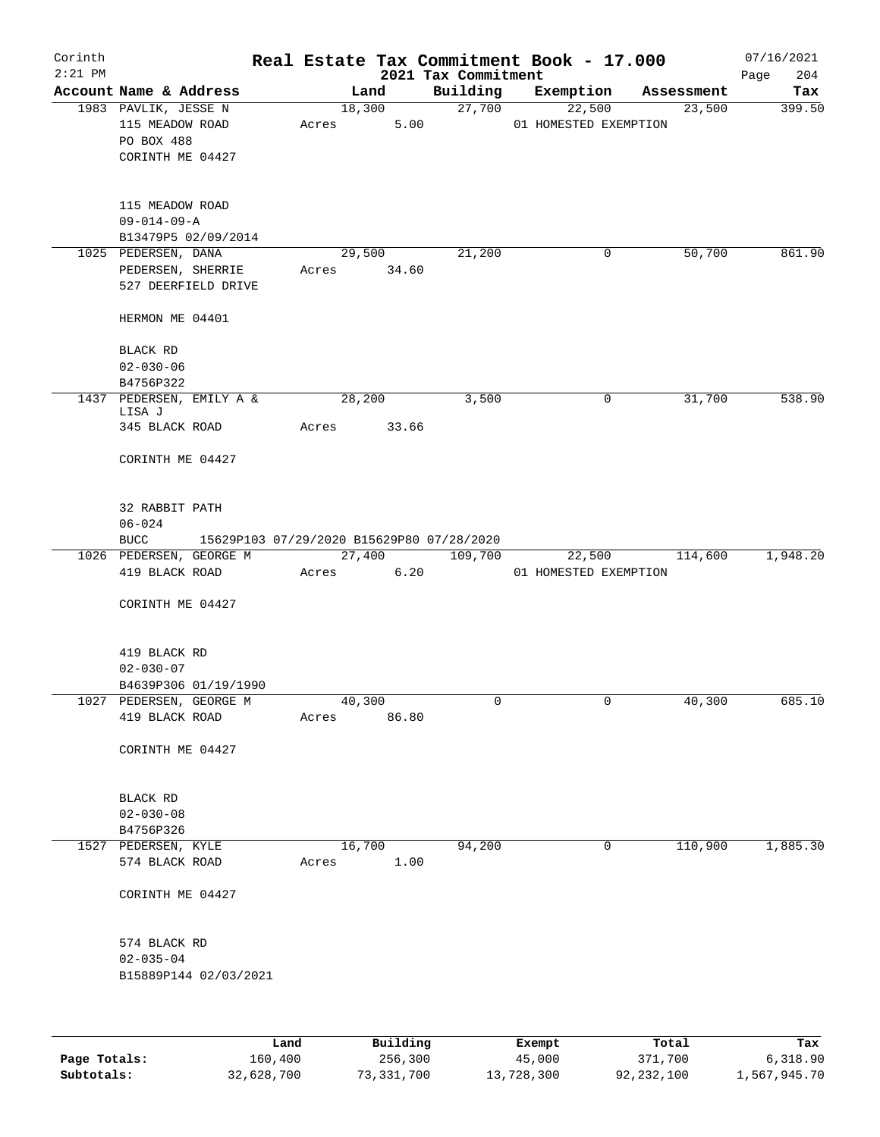| Corinth<br>$2:21$ PM |                                            |      |       |        |          | Real Estate Tax Commitment Book - 17.000<br>2021 Tax Commitment |                       |              |            | 07/16/2021<br>204<br>Page |
|----------------------|--------------------------------------------|------|-------|--------|----------|-----------------------------------------------------------------|-----------------------|--------------|------------|---------------------------|
|                      | Account Name & Address                     |      |       | Land   |          | Building                                                        | Exemption             |              | Assessment | Tax                       |
|                      | 1983 PAVLIK, JESSE N                       |      |       | 18,300 |          | 27,700                                                          |                       | 22,500       | 23,500     | 399.50                    |
|                      | 115 MEADOW ROAD                            |      | Acres |        | 5.00     |                                                                 | 01 HOMESTED EXEMPTION |              |            |                           |
|                      | PO BOX 488                                 |      |       |        |          |                                                                 |                       |              |            |                           |
|                      | CORINTH ME 04427                           |      |       |        |          |                                                                 |                       |              |            |                           |
|                      |                                            |      |       |        |          |                                                                 |                       |              |            |                           |
|                      |                                            |      |       |        |          |                                                                 |                       |              |            |                           |
|                      | 115 MEADOW ROAD                            |      |       |        |          |                                                                 |                       |              |            |                           |
|                      | $09 - 014 - 09 - A$                        |      |       |        |          |                                                                 |                       |              |            |                           |
|                      | B13479P5 02/09/2014<br>1025 PEDERSEN, DANA |      |       | 29,500 |          | 21,200                                                          |                       | 0            | 50,700     | 861.90                    |
|                      | PEDERSEN, SHERRIE                          |      | Acres |        | 34.60    |                                                                 |                       |              |            |                           |
|                      | 527 DEERFIELD DRIVE                        |      |       |        |          |                                                                 |                       |              |            |                           |
|                      |                                            |      |       |        |          |                                                                 |                       |              |            |                           |
|                      | HERMON ME 04401                            |      |       |        |          |                                                                 |                       |              |            |                           |
|                      |                                            |      |       |        |          |                                                                 |                       |              |            |                           |
|                      | BLACK RD                                   |      |       |        |          |                                                                 |                       |              |            |                           |
|                      | $02 - 030 - 06$                            |      |       |        |          |                                                                 |                       |              |            |                           |
|                      | B4756P322                                  |      |       |        |          |                                                                 |                       |              |            |                           |
|                      | 1437 PEDERSEN, EMILY A &<br>LISA J         |      |       | 28,200 |          | 3,500                                                           |                       | 0            | 31,700     | 538.90                    |
|                      | 345 BLACK ROAD                             |      | Acres |        | 33.66    |                                                                 |                       |              |            |                           |
|                      |                                            |      |       |        |          |                                                                 |                       |              |            |                           |
|                      | CORINTH ME 04427                           |      |       |        |          |                                                                 |                       |              |            |                           |
|                      |                                            |      |       |        |          |                                                                 |                       |              |            |                           |
|                      |                                            |      |       |        |          |                                                                 |                       |              |            |                           |
|                      | 32 RABBIT PATH                             |      |       |        |          |                                                                 |                       |              |            |                           |
|                      | $06 - 024$                                 |      |       |        |          |                                                                 |                       |              |            |                           |
|                      | <b>BUCC</b><br>1026 PEDERSEN, GEORGE M     |      |       | 27,400 |          | 15629P103 07/29/2020 B15629P80 07/28/2020<br>109,700            |                       | 22,500       | 114,600    | 1,948.20                  |
|                      | 419 BLACK ROAD                             |      | Acres |        | 6.20     |                                                                 | 01 HOMESTED EXEMPTION |              |            |                           |
|                      |                                            |      |       |        |          |                                                                 |                       |              |            |                           |
|                      | CORINTH ME 04427                           |      |       |        |          |                                                                 |                       |              |            |                           |
|                      |                                            |      |       |        |          |                                                                 |                       |              |            |                           |
|                      |                                            |      |       |        |          |                                                                 |                       |              |            |                           |
|                      | 419 BLACK RD                               |      |       |        |          |                                                                 |                       |              |            |                           |
|                      | $02 - 030 - 07$                            |      |       |        |          |                                                                 |                       |              |            |                           |
|                      | B4639P306 01/19/1990                       |      |       |        |          |                                                                 |                       |              |            |                           |
|                      | 1027 PEDERSEN, GEORGE M<br>419 BLACK ROAD  |      | Acres | 40,300 | 86.80    | 0                                                               |                       | 0            | 40,300     | 685.10                    |
|                      |                                            |      |       |        |          |                                                                 |                       |              |            |                           |
|                      | CORINTH ME 04427                           |      |       |        |          |                                                                 |                       |              |            |                           |
|                      |                                            |      |       |        |          |                                                                 |                       |              |            |                           |
|                      |                                            |      |       |        |          |                                                                 |                       |              |            |                           |
|                      | BLACK RD                                   |      |       |        |          |                                                                 |                       |              |            |                           |
|                      | $02 - 030 - 08$                            |      |       |        |          |                                                                 |                       |              |            |                           |
|                      | B4756P326                                  |      |       |        |          |                                                                 |                       |              |            |                           |
|                      | 1527 PEDERSEN, KYLE                        |      |       | 16,700 |          | 94,200                                                          |                       | $\mathsf{O}$ | 110,900    | 1,885.30                  |
|                      | 574 BLACK ROAD                             |      | Acres |        | 1.00     |                                                                 |                       |              |            |                           |
|                      | CORINTH ME 04427                           |      |       |        |          |                                                                 |                       |              |            |                           |
|                      |                                            |      |       |        |          |                                                                 |                       |              |            |                           |
|                      |                                            |      |       |        |          |                                                                 |                       |              |            |                           |
|                      | 574 BLACK RD                               |      |       |        |          |                                                                 |                       |              |            |                           |
|                      | $02 - 035 - 04$                            |      |       |        |          |                                                                 |                       |              |            |                           |
|                      | B15889P144 02/03/2021                      |      |       |        |          |                                                                 |                       |              |            |                           |
|                      |                                            |      |       |        |          |                                                                 |                       |              |            |                           |
|                      |                                            |      |       |        |          |                                                                 |                       |              |            |                           |
|                      |                                            |      |       |        |          |                                                                 |                       |              |            |                           |
|                      |                                            | Land |       |        | Building |                                                                 | Exempt.               |              | Total      | Tax                       |

|              | Land       | Building   | Exempt     | Total      | Tax          |
|--------------|------------|------------|------------|------------|--------------|
| Page Totals: | 160,400    | 256,300    | 45,000     | 371,700    | 6,318.90     |
| Subtotals:   | 32,628,700 | 73,331,700 | 13,728,300 | 92,232,100 | 1,567,945.70 |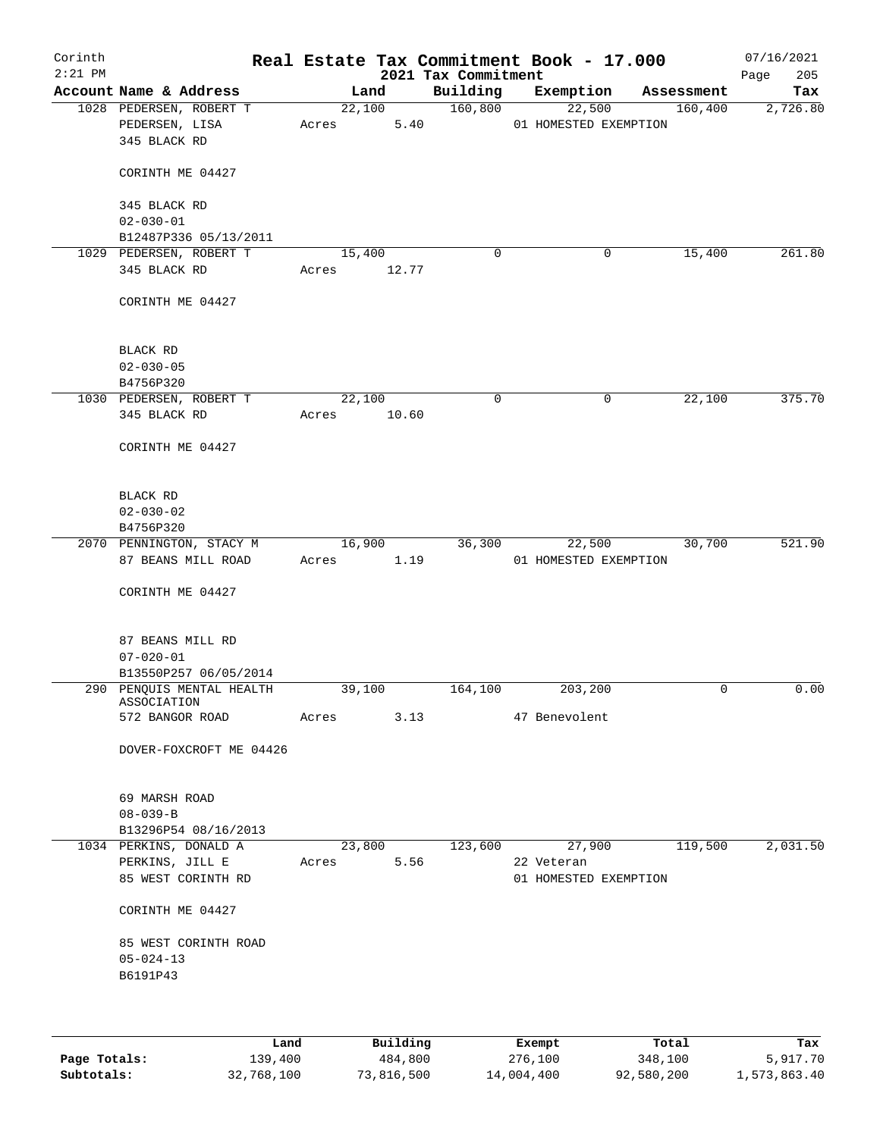| Corinth<br>$2:21$ PM |                                           |      |       |                 | 2021 Tax Commitment | Real Estate Tax Commitment Book - 17.000 |            | 07/16/2021<br>205<br>Page |
|----------------------|-------------------------------------------|------|-------|-----------------|---------------------|------------------------------------------|------------|---------------------------|
|                      | Account Name & Address                    |      |       | Land            | Building            | Exemption                                | Assessment | Tax                       |
|                      | 1028 PEDERSEN, ROBERT T<br>PEDERSEN, LISA |      | Acres | 22,100<br>5.40  | 160,800             | 22,500<br>01 HOMESTED EXEMPTION          | 160,400    | 2,726.80                  |
|                      | 345 BLACK RD                              |      |       |                 |                     |                                          |            |                           |
|                      | CORINTH ME 04427                          |      |       |                 |                     |                                          |            |                           |
|                      | 345 BLACK RD                              |      |       |                 |                     |                                          |            |                           |
|                      | $02 - 030 - 01$                           |      |       |                 |                     |                                          |            |                           |
|                      | B12487P336 05/13/2011                     |      |       |                 |                     |                                          |            |                           |
|                      | 1029 PEDERSEN, ROBERT T<br>345 BLACK RD   |      | Acres | 15,400<br>12.77 | 0                   | 0                                        | 15,400     | 261.80                    |
|                      |                                           |      |       |                 |                     |                                          |            |                           |
|                      | CORINTH ME 04427                          |      |       |                 |                     |                                          |            |                           |
|                      | BLACK RD                                  |      |       |                 |                     |                                          |            |                           |
|                      | $02 - 030 - 05$                           |      |       |                 |                     |                                          |            |                           |
|                      | B4756P320                                 |      |       |                 |                     |                                          |            |                           |
|                      | 1030 PEDERSEN, ROBERT T                   |      |       | 22,100          | 0                   | 0                                        | 22,100     | 375.70                    |
|                      | 345 BLACK RD                              |      | Acres | 10.60           |                     |                                          |            |                           |
|                      | CORINTH ME 04427                          |      |       |                 |                     |                                          |            |                           |
|                      | BLACK RD                                  |      |       |                 |                     |                                          |            |                           |
|                      | $02 - 030 - 02$                           |      |       |                 |                     |                                          |            |                           |
|                      | B4756P320                                 |      |       |                 |                     |                                          |            |                           |
|                      | 2070 PENNINGTON, STACY M                  |      |       | 16,900          | 36,300              | 22,500                                   | 30,700     | 521.90                    |
|                      | 87 BEANS MILL ROAD                        |      |       | Acres 1.19      |                     | 01 HOMESTED EXEMPTION                    |            |                           |
|                      | CORINTH ME 04427                          |      |       |                 |                     |                                          |            |                           |
|                      | 87 BEANS MILL RD                          |      |       |                 |                     |                                          |            |                           |
|                      | $07 - 020 - 01$                           |      |       |                 |                     |                                          |            |                           |
|                      | B13550P257 06/05/2014                     |      |       |                 |                     |                                          |            |                           |
|                      | 290 PENQUIS MENTAL HEALTH                 |      |       | 39,100          | 164, 100            | 203,200                                  | 0          | 0.00                      |
|                      | ASSOCIATION                               |      |       |                 |                     |                                          |            |                           |
|                      | 572 BANGOR ROAD                           |      | Acres | 3.13            |                     | 47 Benevolent                            |            |                           |
|                      | DOVER-FOXCROFT ME 04426                   |      |       |                 |                     |                                          |            |                           |
|                      | 69 MARSH ROAD                             |      |       |                 |                     |                                          |            |                           |
|                      | $08 - 039 - B$                            |      |       |                 |                     |                                          |            |                           |
|                      | B13296P54 08/16/2013                      |      |       |                 |                     |                                          |            |                           |
|                      | 1034 PERKINS, DONALD A                    |      |       | 23,800          | 123,600             | 27,900                                   | 119,500    | 2,031.50                  |
|                      | PERKINS, JILL E                           |      | Acres | 5.56            |                     | 22 Veteran                               |            |                           |
|                      | 85 WEST CORINTH RD                        |      |       |                 |                     | 01 HOMESTED EXEMPTION                    |            |                           |
|                      | CORINTH ME 04427                          |      |       |                 |                     |                                          |            |                           |
|                      | 85 WEST CORINTH ROAD                      |      |       |                 |                     |                                          |            |                           |
|                      | $05 - 024 - 13$                           |      |       |                 |                     |                                          |            |                           |
|                      | B6191P43                                  |      |       |                 |                     |                                          |            |                           |
|                      |                                           |      |       |                 |                     |                                          |            |                           |
|                      |                                           | Land |       | Building        |                     | Exempt                                   | Total      | Tax                       |

|              | Land       | Building   | Exempt     | Total      | Tax          |
|--------------|------------|------------|------------|------------|--------------|
| Page Totals: | 139,400    | 484,800    | 276,100    | 348,100    | 5,917.70     |
| Subtotals:   | 32,768,100 | 73,816,500 | 14,004,400 | 92,580,200 | 1,573,863.40 |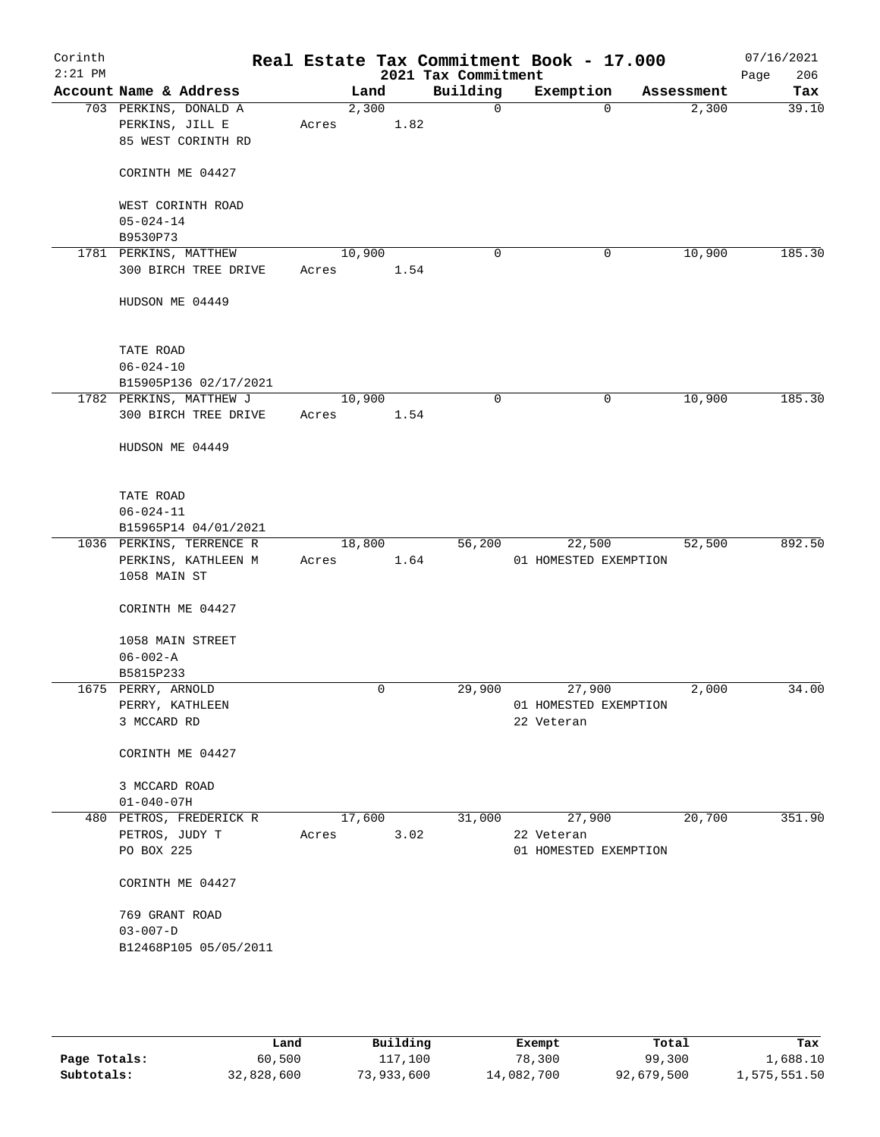| Corinth<br>$2:21$ PM |                                                                |       |                | 2021 Tax Commitment | Real Estate Tax Commitment Book - 17.000 |            | 07/16/2021<br>Page<br>206 |
|----------------------|----------------------------------------------------------------|-------|----------------|---------------------|------------------------------------------|------------|---------------------------|
|                      | Account Name & Address                                         |       | Land           | Building            | Exemption                                | Assessment | Tax                       |
|                      | 703 PERKINS, DONALD A<br>PERKINS, JILL E<br>85 WEST CORINTH RD | Acres | 2,300<br>1.82  | $\mathbf 0$         | $\Omega$                                 | 2,300      | 39.10                     |
|                      | CORINTH ME 04427                                               |       |                |                     |                                          |            |                           |
|                      | WEST CORINTH ROAD<br>$05 - 024 - 14$                           |       |                |                     |                                          |            |                           |
|                      | B9530P73                                                       |       |                |                     |                                          |            |                           |
|                      | 1781 PERKINS, MATTHEW<br>300 BIRCH TREE DRIVE                  | Acres | 10,900<br>1.54 | $\mathbf 0$         | 0                                        | 10,900     | 185.30                    |
|                      | HUDSON ME 04449                                                |       |                |                     |                                          |            |                           |
|                      | TATE ROAD                                                      |       |                |                     |                                          |            |                           |
|                      | $06 - 024 - 10$                                                |       |                |                     |                                          |            |                           |
|                      | B15905P136 02/17/2021                                          |       | 10,900         | 0                   | 0                                        | 10,900     | 185.30                    |
|                      | 1782 PERKINS, MATTHEW J<br>300 BIRCH TREE DRIVE                | Acres | 1.54           |                     |                                          |            |                           |
|                      | HUDSON ME 04449                                                |       |                |                     |                                          |            |                           |
|                      | TATE ROAD<br>$06 - 024 - 11$                                   |       |                |                     |                                          |            |                           |
|                      | B15965P14 04/01/2021                                           |       |                |                     |                                          |            |                           |
|                      | 1036 PERKINS, TERRENCE R                                       |       | 18,800         | 56,200              | 22,500                                   | 52,500     | 892.50                    |
|                      | PERKINS, KATHLEEN M<br>1058 MAIN ST                            | Acres | 1.64           |                     | 01 HOMESTED EXEMPTION                    |            |                           |
|                      | CORINTH ME 04427                                               |       |                |                     |                                          |            |                           |
|                      | 1058 MAIN STREET<br>$06 - 002 - A$                             |       |                |                     |                                          |            |                           |
|                      | B5815P233                                                      |       |                |                     |                                          |            |                           |
|                      | 1675 PERRY, ARNOLD                                             |       | 0              | 29,900              | 27,900                                   | 2,000      | 34.00                     |
|                      | PERRY, KATHLEEN                                                |       |                |                     | 01 HOMESTED EXEMPTION                    |            |                           |
|                      | 3 MCCARD RD                                                    |       |                |                     | 22 Veteran                               |            |                           |
|                      | CORINTH ME 04427                                               |       |                |                     |                                          |            |                           |
|                      | 3 MCCARD ROAD<br>$01 - 040 - 07H$                              |       |                |                     |                                          |            |                           |
|                      | 480 PETROS, FREDERICK R                                        |       | 17,600         | 31,000              | 27,900                                   | 20,700     | 351.90                    |
|                      | PETROS, JUDY T<br>PO BOX 225                                   | Acres | 3.02           |                     | 22 Veteran<br>01 HOMESTED EXEMPTION      |            |                           |
|                      | CORINTH ME 04427                                               |       |                |                     |                                          |            |                           |
|                      | 769 GRANT ROAD                                                 |       |                |                     |                                          |            |                           |
|                      | $03 - 007 - D$                                                 |       |                |                     |                                          |            |                           |
|                      | B12468P105 05/05/2011                                          |       |                |                     |                                          |            |                           |
|                      |                                                                |       |                |                     |                                          |            |                           |
|                      |                                                                |       |                |                     |                                          |            |                           |

|              | Land       | Building   | Exempt     | Total      | Tax          |
|--------------|------------|------------|------------|------------|--------------|
| Page Totals: | 60,500     | 117,100    | 78,300     | 99,300     | 1,688.10     |
| Subtotals:   | 32,828,600 | 73,933,600 | 14,082,700 | 92,679,500 | 1,575,551.50 |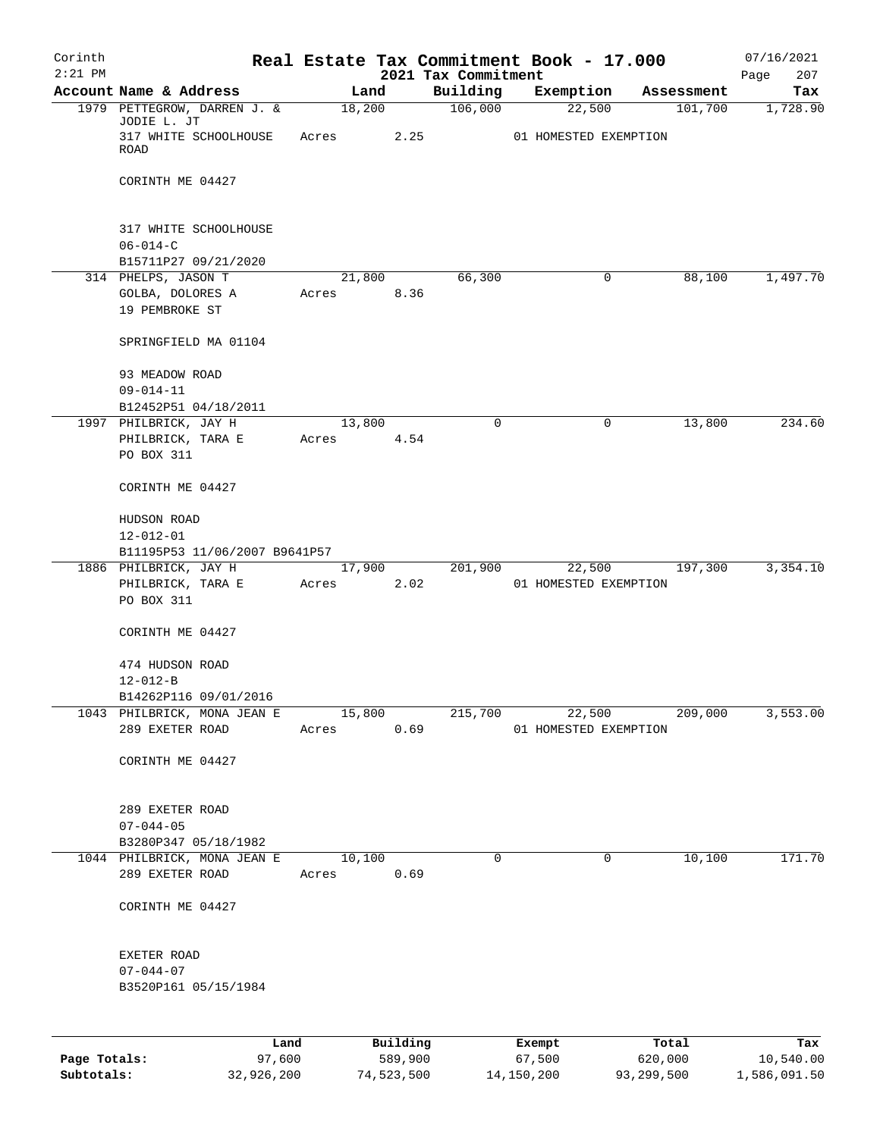| Corinth      |                                            |       |        |                     |                                 | Real Estate Tax Commitment Book - 17.000 |                  | 07/16/2021         |
|--------------|--------------------------------------------|-------|--------|---------------------|---------------------------------|------------------------------------------|------------------|--------------------|
| $2:21$ PM    | Account Name & Address                     |       | Land   |                     | 2021 Tax Commitment<br>Building | Exemption                                | Assessment       | 207<br>Page<br>Tax |
|              | 1979 PETTEGROW, DARREN J. &                |       |        | 18,200              | 106,000                         | 22,500                                   | 101,700          | 1,728.90           |
|              | JODIE L. JT                                |       |        |                     |                                 |                                          |                  |                    |
|              | 317 WHITE SCHOOLHOUSE<br>ROAD              | Acres |        | 2.25                |                                 | 01 HOMESTED EXEMPTION                    |                  |                    |
|              |                                            |       |        |                     |                                 |                                          |                  |                    |
|              | CORINTH ME 04427                           |       |        |                     |                                 |                                          |                  |                    |
|              |                                            |       |        |                     |                                 |                                          |                  |                    |
|              | 317 WHITE SCHOOLHOUSE                      |       |        |                     |                                 |                                          |                  |                    |
|              | $06 - 014 - C$                             |       |        |                     |                                 |                                          |                  |                    |
|              | B15711P27 09/21/2020                       |       |        |                     |                                 |                                          |                  |                    |
|              | 314 PHELPS, JASON T                        |       |        | 21,800              | 66,300                          | 0                                        | 88,100           | 1,497.70           |
|              | GOLBA, DOLORES A                           | Acres |        | 8.36                |                                 |                                          |                  |                    |
|              | 19 PEMBROKE ST                             |       |        |                     |                                 |                                          |                  |                    |
|              | SPRINGFIELD MA 01104                       |       |        |                     |                                 |                                          |                  |                    |
|              |                                            |       |        |                     |                                 |                                          |                  |                    |
|              | 93 MEADOW ROAD                             |       |        |                     |                                 |                                          |                  |                    |
|              | $09 - 014 - 11$                            |       |        |                     |                                 |                                          |                  |                    |
|              | B12452P51 04/18/2011                       |       |        |                     | $\Omega$                        |                                          |                  |                    |
|              | 1997 PHILBRICK, JAY H<br>PHILBRICK, TARA E | Acres | 13,800 | 4.54                |                                 | 0                                        | 13,800           | 234.60             |
|              | PO BOX 311                                 |       |        |                     |                                 |                                          |                  |                    |
|              |                                            |       |        |                     |                                 |                                          |                  |                    |
|              | CORINTH ME 04427                           |       |        |                     |                                 |                                          |                  |                    |
|              | HUDSON ROAD                                |       |        |                     |                                 |                                          |                  |                    |
|              | $12 - 012 - 01$                            |       |        |                     |                                 |                                          |                  |                    |
|              | B11195P53 11/06/2007 B9641P57              |       |        |                     |                                 |                                          |                  |                    |
|              | 1886 PHILBRICK, JAY H                      |       | 17,900 |                     | 201,900                         | 22,500                                   | 197,300          | 3,354.10           |
|              | PHILBRICK, TARA E                          | Acres |        | 2.02                |                                 | 01 HOMESTED EXEMPTION                    |                  |                    |
|              | PO BOX 311                                 |       |        |                     |                                 |                                          |                  |                    |
|              | CORINTH ME 04427                           |       |        |                     |                                 |                                          |                  |                    |
|              |                                            |       |        |                     |                                 |                                          |                  |                    |
|              | 474 HUDSON ROAD                            |       |        |                     |                                 |                                          |                  |                    |
|              | $12 - 012 - B$                             |       |        |                     |                                 |                                          |                  |                    |
|              | B14262P116 09/01/2016                      |       |        |                     |                                 |                                          |                  |                    |
|              | 1043 PHILBRICK, MONA JEAN E                |       | 15,800 |                     | 215,700                         | 22,500                                   | 209,000          | 3,553.00           |
|              | 289 EXETER ROAD                            | Acres |        | 0.69                |                                 | 01 HOMESTED EXEMPTION                    |                  |                    |
|              | CORINTH ME 04427                           |       |        |                     |                                 |                                          |                  |                    |
|              |                                            |       |        |                     |                                 |                                          |                  |                    |
|              |                                            |       |        |                     |                                 |                                          |                  |                    |
|              | 289 EXETER ROAD                            |       |        |                     |                                 |                                          |                  |                    |
|              | $07 - 044 - 05$<br>B3280P347 05/18/1982    |       |        |                     |                                 |                                          |                  |                    |
|              | 1044 PHILBRICK, MONA JEAN E                |       | 10,100 |                     | 0                               | 0                                        | 10,100           | 171.70             |
|              | 289 EXETER ROAD                            | Acres |        | 0.69                |                                 |                                          |                  |                    |
|              |                                            |       |        |                     |                                 |                                          |                  |                    |
|              | CORINTH ME 04427                           |       |        |                     |                                 |                                          |                  |                    |
|              |                                            |       |        |                     |                                 |                                          |                  |                    |
|              | EXETER ROAD                                |       |        |                     |                                 |                                          |                  |                    |
|              | $07 - 044 - 07$                            |       |        |                     |                                 |                                          |                  |                    |
|              | B3520P161 05/15/1984                       |       |        |                     |                                 |                                          |                  |                    |
|              |                                            |       |        |                     |                                 |                                          |                  |                    |
|              |                                            |       |        |                     |                                 |                                          |                  |                    |
| Page Totals: | Land<br>97,600                             |       |        | Building<br>589,900 |                                 | Exempt<br>67,500                         | Total<br>620,000 | Tax<br>10,540.00   |

**Subtotals:** 32,926,200 74,523,500 14,150,200 93,299,500 1,586,091.50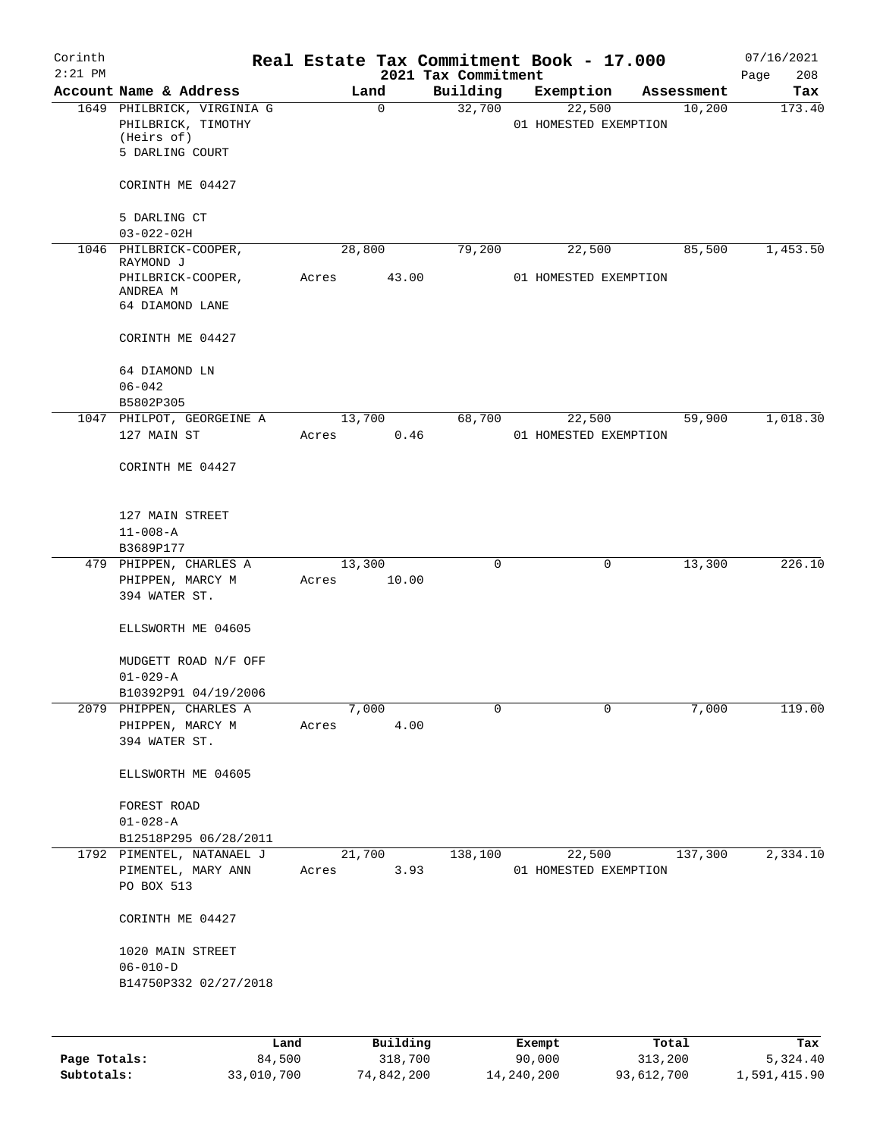| Corinth<br>$2:21$ PM |                                                                                   |       |                 | Real Estate Tax Commitment Book - 17.000<br>2021 Tax Commitment |        |                                 |            | 07/16/2021<br>208<br>Page |
|----------------------|-----------------------------------------------------------------------------------|-------|-----------------|-----------------------------------------------------------------|--------|---------------------------------|------------|---------------------------|
|                      | Account Name & Address                                                            |       | Land            | Building                                                        |        | Exemption                       | Assessment | Tax                       |
|                      | 1649 PHILBRICK, VIRGINIA G<br>PHILBRICK, TIMOTHY<br>(Heirs of)<br>5 DARLING COURT |       | $\Omega$        | 32,700                                                          |        | 22,500<br>01 HOMESTED EXEMPTION | 10,200     | 173.40                    |
|                      | CORINTH ME 04427                                                                  |       |                 |                                                                 |        |                                 |            |                           |
|                      | 5 DARLING CT<br>$03 - 022 - 02H$                                                  |       |                 |                                                                 |        |                                 |            |                           |
|                      | 1046 PHILBRICK-COOPER,                                                            |       | 28,800          | 79,200                                                          |        | 22,500                          | 85,500     | 1,453.50                  |
|                      | RAYMOND J                                                                         |       |                 |                                                                 |        |                                 |            |                           |
|                      | PHILBRICK-COOPER,<br>ANDREA M<br>64 DIAMOND LANE                                  | Acres | 43.00           |                                                                 |        | 01 HOMESTED EXEMPTION           |            |                           |
|                      | CORINTH ME 04427                                                                  |       |                 |                                                                 |        |                                 |            |                           |
|                      | 64 DIAMOND LN<br>$06 - 042$                                                       |       |                 |                                                                 |        |                                 |            |                           |
|                      | B5802P305                                                                         |       |                 |                                                                 |        |                                 |            |                           |
|                      | 1047 PHILPOT, GEORGEINE A                                                         |       | 13,700          | 68,700                                                          |        | 22,500                          | 59,900     | 1,018.30                  |
|                      | 127 MAIN ST<br>CORINTH ME 04427                                                   | Acres | 0.46            |                                                                 |        | 01 HOMESTED EXEMPTION           |            |                           |
|                      | 127 MAIN STREET<br>$11 - 008 - A$                                                 |       |                 |                                                                 |        |                                 |            |                           |
|                      | B3689P177                                                                         |       |                 |                                                                 |        |                                 |            |                           |
|                      | 479 PHIPPEN, CHARLES A<br>PHIPPEN, MARCY M<br>394 WATER ST.                       | Acres | 13,300<br>10.00 | 0                                                               |        | 0                               | 13,300     | 226.10                    |
|                      | ELLSWORTH ME 04605                                                                |       |                 |                                                                 |        |                                 |            |                           |
|                      | MUDGETT ROAD N/F OFF<br>$01 - 029 - A$                                            |       |                 |                                                                 |        |                                 |            |                           |
|                      | B10392P91 04/19/2006                                                              |       |                 |                                                                 |        |                                 |            |                           |
|                      | 2079 PHIPPEN, CHARLES A                                                           |       | 7,000           | $\mathbf 0$                                                     |        | $\mathbf 0$                     | 7,000      | 119.00                    |
|                      | PHIPPEN, MARCY M                                                                  | Acres | 4.00            |                                                                 |        |                                 |            |                           |
|                      | 394 WATER ST.                                                                     |       |                 |                                                                 |        |                                 |            |                           |
|                      | ELLSWORTH ME 04605                                                                |       |                 |                                                                 |        |                                 |            |                           |
|                      | FOREST ROAD<br>$01 - 028 - A$                                                     |       |                 |                                                                 |        |                                 |            |                           |
|                      | B12518P295 06/28/2011                                                             |       |                 |                                                                 |        |                                 |            |                           |
|                      | 1792 PIMENTEL, NATANAEL J                                                         |       | 21,700          | 138,100                                                         |        | 22,500                          | 137,300    | 2,334.10                  |
|                      | PIMENTEL, MARY ANN<br>PO BOX 513                                                  | Acres | 3.93            |                                                                 |        | 01 HOMESTED EXEMPTION           |            |                           |
|                      | CORINTH ME 04427                                                                  |       |                 |                                                                 |        |                                 |            |                           |
|                      | 1020 MAIN STREET<br>$06 - 010 - D$                                                |       |                 |                                                                 |        |                                 |            |                           |
|                      | B14750P332 02/27/2018                                                             |       |                 |                                                                 |        |                                 |            |                           |
|                      |                                                                                   |       |                 |                                                                 |        |                                 |            |                           |
|                      | Land                                                                              |       | Building        |                                                                 | Exempt |                                 | Total      | Tax                       |
| Page Totals:         | 84,500                                                                            |       | 318,700         |                                                                 | 90,000 |                                 | 313,200    | 5,324.40                  |

**Subtotals:** 33,010,700 74,842,200 14,240,200 93,612,700 1,591,415.90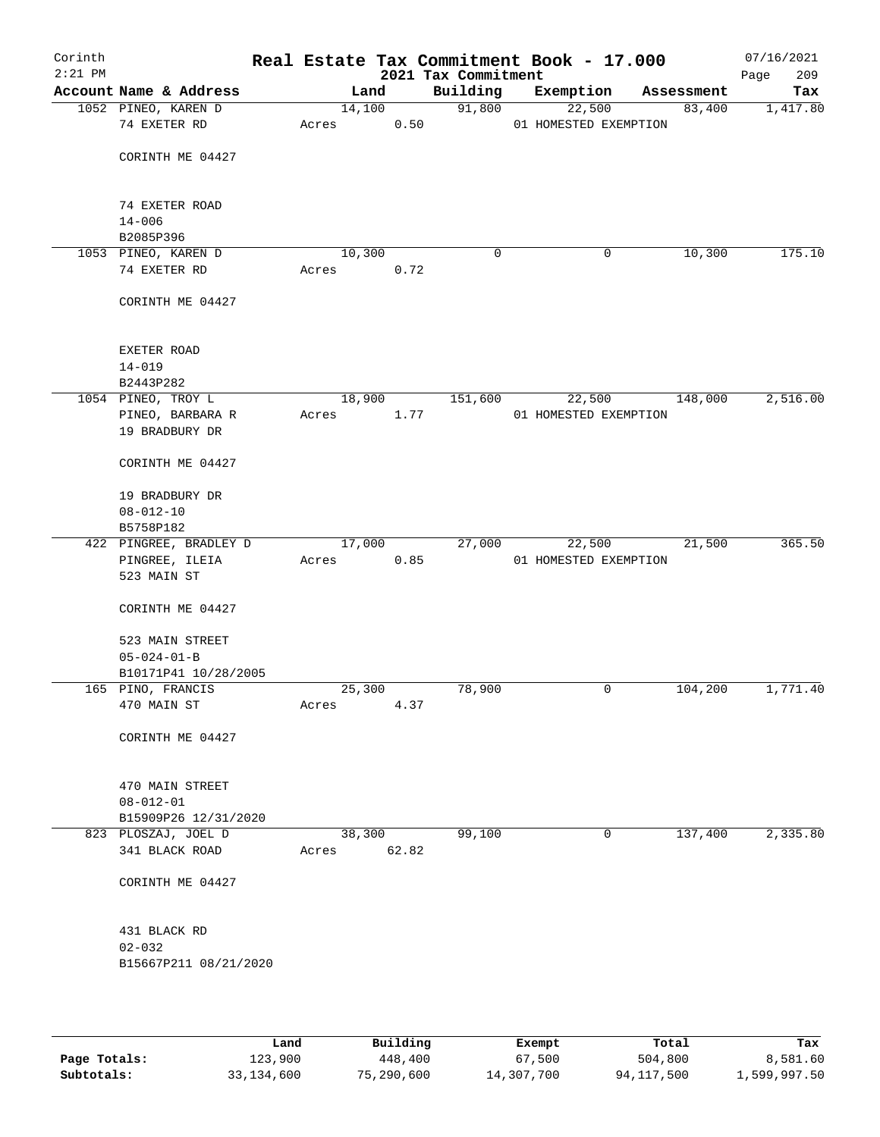| Corinth<br>$2:21$ PM |                        |       |        |       | Real Estate Tax Commitment Book - 17.000<br>2021 Tax Commitment |                       |   |            | 07/16/2021<br>209<br>Page |
|----------------------|------------------------|-------|--------|-------|-----------------------------------------------------------------|-----------------------|---|------------|---------------------------|
|                      | Account Name & Address |       | Land   |       | Building                                                        | Exemption             |   | Assessment | Tax                       |
|                      | 1052 PINEO, KAREN D    |       | 14,100 |       | 91,800                                                          | 22,500                |   | 83,400     | 1,417.80                  |
|                      | 74 EXETER RD           | Acres |        | 0.50  |                                                                 | 01 HOMESTED EXEMPTION |   |            |                           |
|                      |                        |       |        |       |                                                                 |                       |   |            |                           |
|                      | CORINTH ME 04427       |       |        |       |                                                                 |                       |   |            |                           |
|                      |                        |       |        |       |                                                                 |                       |   |            |                           |
|                      | 74 EXETER ROAD         |       |        |       |                                                                 |                       |   |            |                           |
|                      | $14 - 006$             |       |        |       |                                                                 |                       |   |            |                           |
|                      | B2085P396              |       |        |       |                                                                 |                       |   |            |                           |
|                      | 1053 PINEO, KAREN D    |       | 10,300 |       | 0                                                               |                       | 0 | 10,300     | 175.10                    |
|                      | 74 EXETER RD           | Acres |        | 0.72  |                                                                 |                       |   |            |                           |
|                      | CORINTH ME 04427       |       |        |       |                                                                 |                       |   |            |                           |
|                      |                        |       |        |       |                                                                 |                       |   |            |                           |
|                      | EXETER ROAD            |       |        |       |                                                                 |                       |   |            |                           |
|                      | $14 - 019$             |       |        |       |                                                                 |                       |   |            |                           |
|                      | B2443P282              |       |        |       |                                                                 |                       |   |            |                           |
|                      | 1054 PINEO, TROY L     |       | 18,900 |       | 151,600                                                         | 22,500                |   | 148,000    | 2,516.00                  |
|                      | PINEO, BARBARA R       | Acres |        | 1.77  |                                                                 | 01 HOMESTED EXEMPTION |   |            |                           |
|                      | 19 BRADBURY DR         |       |        |       |                                                                 |                       |   |            |                           |
|                      |                        |       |        |       |                                                                 |                       |   |            |                           |
|                      | CORINTH ME 04427       |       |        |       |                                                                 |                       |   |            |                           |
|                      | 19 BRADBURY DR         |       |        |       |                                                                 |                       |   |            |                           |
|                      | $08 - 012 - 10$        |       |        |       |                                                                 |                       |   |            |                           |
|                      | B5758P182              |       |        |       |                                                                 |                       |   |            |                           |
|                      | 422 PINGREE, BRADLEY D |       | 17,000 |       | 27,000                                                          | 22,500                |   | 21,500     | 365.50                    |
|                      | PINGREE, ILEIA         | Acres |        | 0.85  |                                                                 | 01 HOMESTED EXEMPTION |   |            |                           |
|                      | 523 MAIN ST            |       |        |       |                                                                 |                       |   |            |                           |
|                      | CORINTH ME 04427       |       |        |       |                                                                 |                       |   |            |                           |
|                      |                        |       |        |       |                                                                 |                       |   |            |                           |
|                      | 523 MAIN STREET        |       |        |       |                                                                 |                       |   |            |                           |
|                      | $05 - 024 - 01 - B$    |       |        |       |                                                                 |                       |   |            |                           |
|                      | B10171P41 10/28/2005   |       |        |       |                                                                 |                       |   |            |                           |
|                      | 165 PINO, FRANCIS      |       | 25,300 |       | 78,900                                                          |                       | 0 | 104,200    | 1,771.40                  |
|                      | 470 MAIN ST            | Acres |        | 4.37  |                                                                 |                       |   |            |                           |
|                      |                        |       |        |       |                                                                 |                       |   |            |                           |
|                      | CORINTH ME 04427       |       |        |       |                                                                 |                       |   |            |                           |
|                      |                        |       |        |       |                                                                 |                       |   |            |                           |
|                      | 470 MAIN STREET        |       |        |       |                                                                 |                       |   |            |                           |
|                      | $08 - 012 - 01$        |       |        |       |                                                                 |                       |   |            |                           |
|                      | B15909P26 12/31/2020   |       |        |       |                                                                 |                       |   |            |                           |
|                      | 823 PLOSZAJ, JOEL D    |       | 38,300 |       | 99,100                                                          |                       | 0 | 137,400    | 2,335.80                  |
|                      | 341 BLACK ROAD         | Acres |        | 62.82 |                                                                 |                       |   |            |                           |
|                      | CORINTH ME 04427       |       |        |       |                                                                 |                       |   |            |                           |
|                      |                        |       |        |       |                                                                 |                       |   |            |                           |
|                      | 431 BLACK RD           |       |        |       |                                                                 |                       |   |            |                           |
|                      | $02 - 032$             |       |        |       |                                                                 |                       |   |            |                           |
|                      | B15667P211 08/21/2020  |       |        |       |                                                                 |                       |   |            |                           |
|                      |                        |       |        |       |                                                                 |                       |   |            |                           |
|                      |                        |       |        |       |                                                                 |                       |   |            |                           |
|                      |                        |       |        |       |                                                                 |                       |   |            |                           |

|              | Land       | Building   | Exempt     | Total      | Tax          |
|--------------|------------|------------|------------|------------|--------------|
| Page Totals: | 123,900    | 448,400    | 67,500     | 504,800    | 8,581.60     |
| Subtotals:   | 33,134,600 | 75,290,600 | 14,307,700 | 94,117,500 | 1,599,997.50 |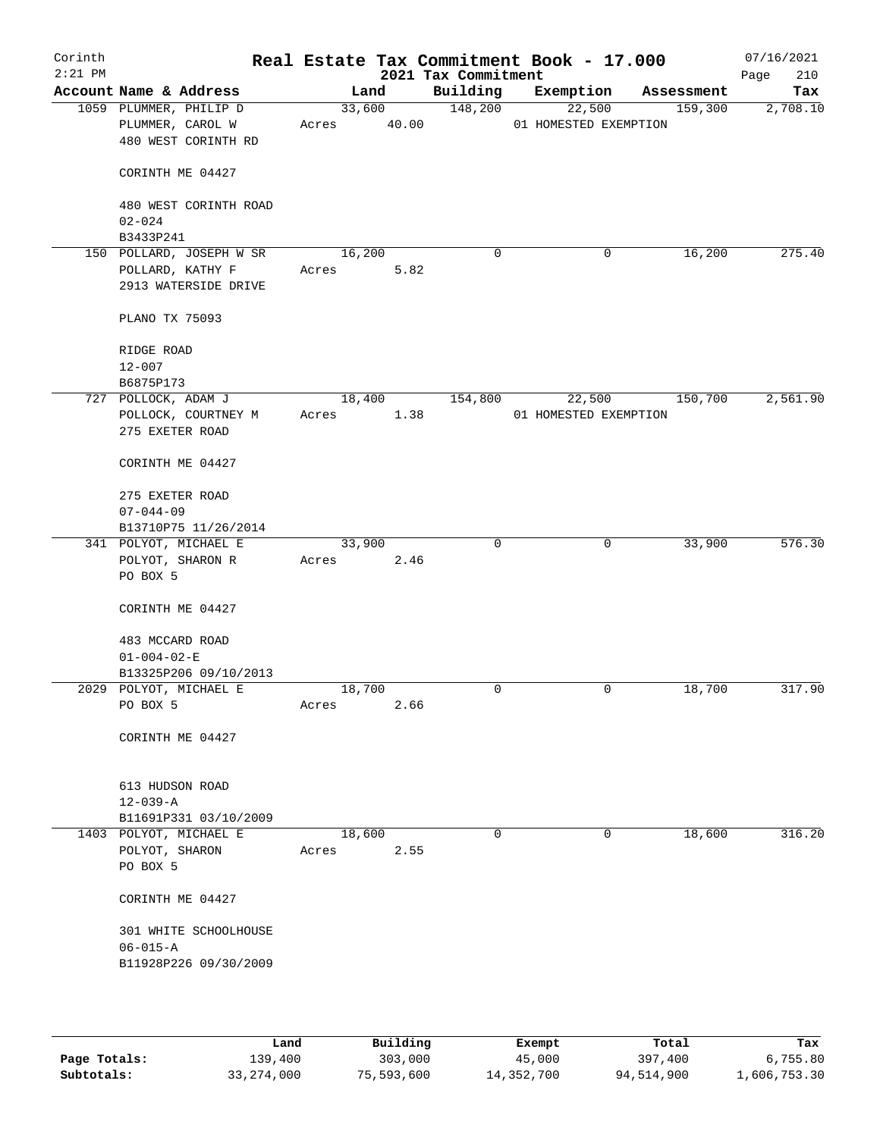| Corinth<br>$2:21$ PM |                                                                   | Real Estate Tax Commitment Book - 17.000 |                 | 2021 Tax Commitment |                                 |             |            | 07/16/2021<br>210<br>Page |
|----------------------|-------------------------------------------------------------------|------------------------------------------|-----------------|---------------------|---------------------------------|-------------|------------|---------------------------|
|                      | Account Name & Address                                            | Land                                     |                 | Building            | Exemption                       |             | Assessment | Tax                       |
|                      | 1059 PLUMMER, PHILIP D<br>PLUMMER, CAROL W<br>480 WEST CORINTH RD | Acres                                    | 33,600<br>40.00 | 148,200             | 22,500<br>01 HOMESTED EXEMPTION |             | 159,300    | 2,708.10                  |
|                      | CORINTH ME 04427                                                  |                                          |                 |                     |                                 |             |            |                           |
|                      | 480 WEST CORINTH ROAD<br>$02 - 024$                               |                                          |                 |                     |                                 |             |            |                           |
|                      | B3433P241                                                         |                                          |                 |                     |                                 |             |            |                           |
|                      | 150 POLLARD, JOSEPH W SR                                          | 16,200                                   |                 | 0                   |                                 | 0           | 16,200     | 275.40                    |
|                      | POLLARD, KATHY F<br>2913 WATERSIDE DRIVE                          | Acres                                    | 5.82            |                     |                                 |             |            |                           |
|                      | PLANO TX 75093                                                    |                                          |                 |                     |                                 |             |            |                           |
|                      | RIDGE ROAD                                                        |                                          |                 |                     |                                 |             |            |                           |
|                      | $12 - 007$<br>B6875P173                                           |                                          |                 |                     |                                 |             |            |                           |
|                      | 727 POLLOCK, ADAM J                                               |                                          | 18,400          | 154,800             | 22,500                          |             | 150,700    | 2,561.90                  |
|                      | POLLOCK, COURTNEY M                                               | Acres                                    | 1.38            |                     | 01 HOMESTED EXEMPTION           |             |            |                           |
|                      | 275 EXETER ROAD                                                   |                                          |                 |                     |                                 |             |            |                           |
|                      | CORINTH ME 04427                                                  |                                          |                 |                     |                                 |             |            |                           |
|                      | 275 EXETER ROAD                                                   |                                          |                 |                     |                                 |             |            |                           |
|                      | $07 - 044 - 09$                                                   |                                          |                 |                     |                                 |             |            |                           |
|                      | B13710P75 11/26/2014                                              |                                          |                 | 0                   |                                 | $\mathbf 0$ |            | 576.30                    |
|                      | 341 POLYOT, MICHAEL E<br>POLYOT, SHARON R                         | 33,900                                   |                 |                     |                                 |             | 33,900     |                           |
|                      | PO BOX 5                                                          | Acres 2.46                               |                 |                     |                                 |             |            |                           |
|                      | CORINTH ME 04427                                                  |                                          |                 |                     |                                 |             |            |                           |
|                      | 483 MCCARD ROAD                                                   |                                          |                 |                     |                                 |             |            |                           |
|                      | $01 - 004 - 02 - E$                                               |                                          |                 |                     |                                 |             |            |                           |
|                      | B13325P206 09/10/2013                                             |                                          |                 |                     |                                 |             |            |                           |
|                      | 2029 POLYOT, MICHAEL E                                            | 18,700                                   |                 | $\mathbf 0$         |                                 | $\mathbf 0$ | 18,700     | 317.90                    |
|                      | PO BOX 5                                                          | Acres                                    | 2.66            |                     |                                 |             |            |                           |
|                      | CORINTH ME 04427                                                  |                                          |                 |                     |                                 |             |            |                           |
|                      | 613 HUDSON ROAD                                                   |                                          |                 |                     |                                 |             |            |                           |
|                      | $12 - 039 - A$                                                    |                                          |                 |                     |                                 |             |            |                           |
|                      | B11691P331 03/10/2009                                             |                                          |                 |                     |                                 |             |            |                           |
|                      | 1403 POLYOT, MICHAEL E                                            | 18,600                                   |                 | 0                   |                                 | 0           | 18,600     | 316.20                    |
|                      | POLYOT, SHARON                                                    | Acres                                    | 2.55            |                     |                                 |             |            |                           |
|                      | PO BOX 5                                                          |                                          |                 |                     |                                 |             |            |                           |
|                      | CORINTH ME 04427                                                  |                                          |                 |                     |                                 |             |            |                           |
|                      | 301 WHITE SCHOOLHOUSE                                             |                                          |                 |                     |                                 |             |            |                           |
|                      | $06 - 015 - A$                                                    |                                          |                 |                     |                                 |             |            |                           |
|                      | B11928P226 09/30/2009                                             |                                          |                 |                     |                                 |             |            |                           |
|                      |                                                                   |                                          |                 |                     |                                 |             |            |                           |
|                      |                                                                   |                                          |                 |                     |                                 |             |            |                           |

|              | Land         | Building   | Exempt     | Total      | Tax          |
|--------------|--------------|------------|------------|------------|--------------|
| Page Totals: | 139,400      | 303,000    | 45,000     | 397,400    | 6.755.80     |
| Subtotals:   | 33, 274, 000 | 75,593,600 | 14,352,700 | 94,514,900 | 1,606,753.30 |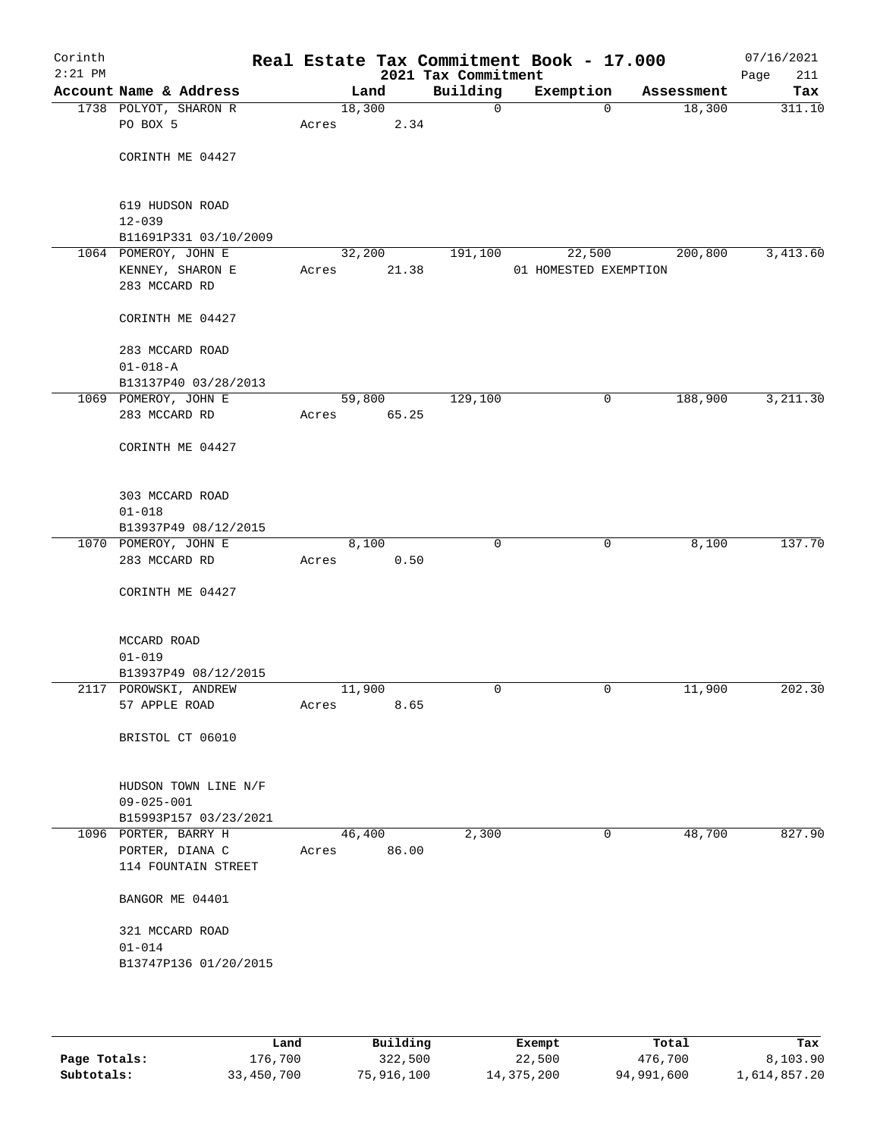| Corinth<br>$2:21$ PM |                                               |       |        |       | Real Estate Tax Commitment Book - 17.000<br>2021 Tax Commitment |                       |            | 07/16/2021<br>Page<br>211 |
|----------------------|-----------------------------------------------|-------|--------|-------|-----------------------------------------------------------------|-----------------------|------------|---------------------------|
|                      | Account Name & Address                        |       | Land   |       | Building                                                        | Exemption             | Assessment | Tax                       |
|                      | 1738 POLYOT, SHARON R                         |       | 18,300 |       | $\mathsf{O}$                                                    | $\Omega$              | 18,300     | 311.10                    |
|                      | PO BOX 5                                      | Acres |        | 2.34  |                                                                 |                       |            |                           |
|                      |                                               |       |        |       |                                                                 |                       |            |                           |
|                      | CORINTH ME 04427                              |       |        |       |                                                                 |                       |            |                           |
|                      |                                               |       |        |       |                                                                 |                       |            |                           |
|                      | 619 HUDSON ROAD                               |       |        |       |                                                                 |                       |            |                           |
|                      | $12 - 039$                                    |       |        |       |                                                                 |                       |            |                           |
|                      | B11691P331 03/10/2009                         |       |        |       |                                                                 |                       |            |                           |
|                      | 1064 POMEROY, JOHN E                          |       | 32,200 |       | 191,100                                                         | 22,500                | 200,800    | 3,413.60                  |
|                      | KENNEY, SHARON E                              | Acres |        | 21.38 |                                                                 | 01 HOMESTED EXEMPTION |            |                           |
|                      | 283 MCCARD RD                                 |       |        |       |                                                                 |                       |            |                           |
|                      |                                               |       |        |       |                                                                 |                       |            |                           |
|                      | CORINTH ME 04427                              |       |        |       |                                                                 |                       |            |                           |
|                      | 283 MCCARD ROAD                               |       |        |       |                                                                 |                       |            |                           |
|                      | $01 - 018 - A$                                |       |        |       |                                                                 |                       |            |                           |
|                      | B13137P40 03/28/2013                          |       |        |       |                                                                 |                       |            |                           |
|                      | 1069 POMEROY, JOHN E                          |       | 59,800 |       | 129,100                                                         | 0                     | 188,900    | 3,211.30                  |
|                      | 283 MCCARD RD                                 | Acres |        | 65.25 |                                                                 |                       |            |                           |
|                      |                                               |       |        |       |                                                                 |                       |            |                           |
|                      | CORINTH ME 04427                              |       |        |       |                                                                 |                       |            |                           |
|                      |                                               |       |        |       |                                                                 |                       |            |                           |
|                      |                                               |       |        |       |                                                                 |                       |            |                           |
|                      | 303 MCCARD ROAD                               |       |        |       |                                                                 |                       |            |                           |
|                      | $01 - 018$                                    |       |        |       |                                                                 |                       |            |                           |
|                      | B13937P49 08/12/2015<br>1070 POMEROY, JOHN E  |       | 8,100  |       | $\mathbf 0$                                                     | $\mathbf 0$           | 8,100      | 137.70                    |
|                      | 283 MCCARD RD                                 | Acres |        | 0.50  |                                                                 |                       |            |                           |
|                      |                                               |       |        |       |                                                                 |                       |            |                           |
|                      | CORINTH ME 04427                              |       |        |       |                                                                 |                       |            |                           |
|                      |                                               |       |        |       |                                                                 |                       |            |                           |
|                      |                                               |       |        |       |                                                                 |                       |            |                           |
|                      | MCCARD ROAD                                   |       |        |       |                                                                 |                       |            |                           |
|                      | $01 - 019$                                    |       |        |       |                                                                 |                       |            |                           |
|                      | B13937P49 08/12/2015<br>2117 POROWSKI, ANDREW |       | 11,900 |       | 0                                                               | 0                     | 11,900     | 202.30                    |
|                      | 57 APPLE ROAD                                 | Acres |        | 8.65  |                                                                 |                       |            |                           |
|                      |                                               |       |        |       |                                                                 |                       |            |                           |
|                      | BRISTOL CT 06010                              |       |        |       |                                                                 |                       |            |                           |
|                      |                                               |       |        |       |                                                                 |                       |            |                           |
|                      |                                               |       |        |       |                                                                 |                       |            |                           |
|                      | HUDSON TOWN LINE N/F                          |       |        |       |                                                                 |                       |            |                           |
|                      | 09-025-001                                    |       |        |       |                                                                 |                       |            |                           |
|                      | B15993P157 03/23/2021                         |       |        |       |                                                                 |                       |            |                           |
|                      | 1096 PORTER, BARRY H                          |       | 46,400 |       | 2,300                                                           | 0                     | 48,700     | 827.90                    |
|                      | PORTER, DIANA C                               | Acres |        | 86.00 |                                                                 |                       |            |                           |
|                      | 114 FOUNTAIN STREET                           |       |        |       |                                                                 |                       |            |                           |
|                      | BANGOR ME 04401                               |       |        |       |                                                                 |                       |            |                           |
|                      |                                               |       |        |       |                                                                 |                       |            |                           |
|                      | 321 MCCARD ROAD                               |       |        |       |                                                                 |                       |            |                           |
|                      | $01 - 014$                                    |       |        |       |                                                                 |                       |            |                           |
|                      | B13747P136 01/20/2015                         |       |        |       |                                                                 |                       |            |                           |
|                      |                                               |       |        |       |                                                                 |                       |            |                           |
|                      |                                               |       |        |       |                                                                 |                       |            |                           |

|              | Land       | Building   | Exempt     | Total      | Tax          |
|--------------|------------|------------|------------|------------|--------------|
| Page Totals: | 176,700    | 322,500    | 22,500     | 476,700    | 8,103.90     |
| Subtotals:   | 33,450,700 | 75,916,100 | 14,375,200 | 94,991,600 | 1,614,857.20 |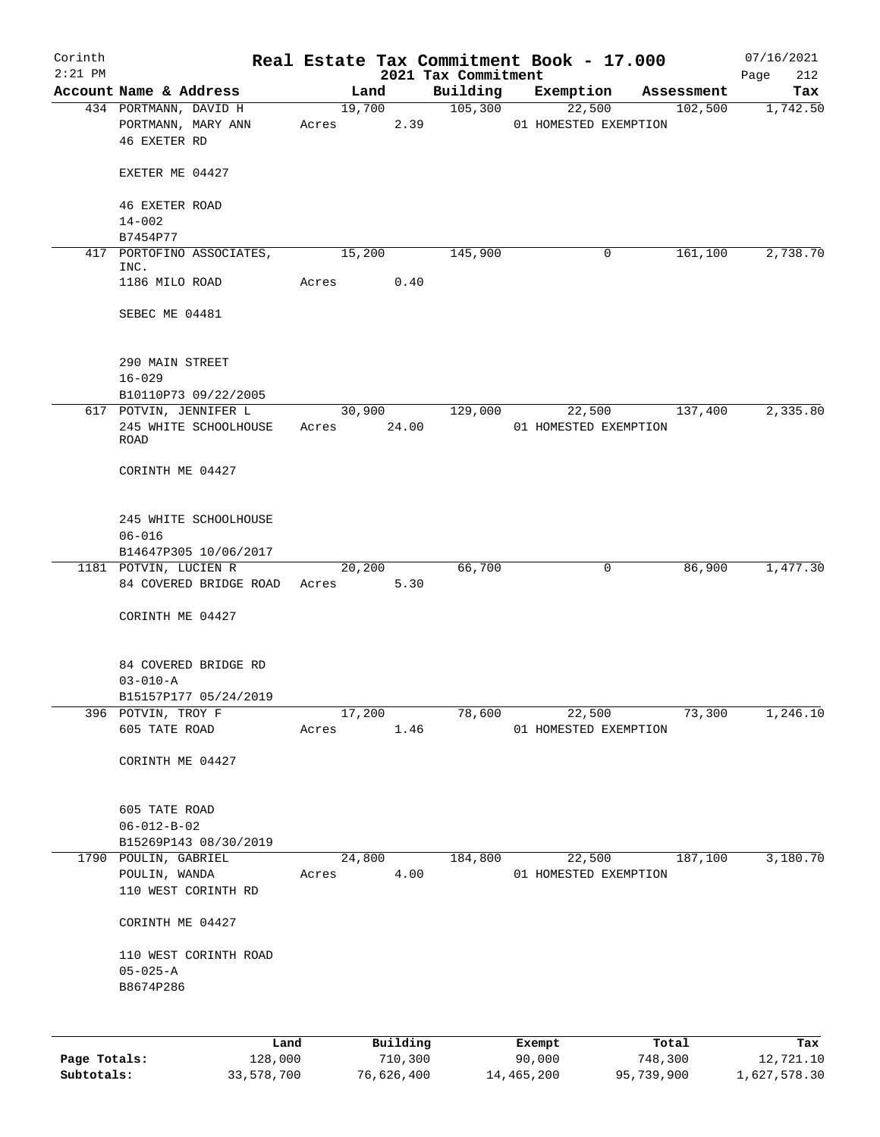| Corinth      |                                                         |                 |          |                                 | Real Estate Tax Commitment Book - 17.000 |                   | 07/16/2021         |
|--------------|---------------------------------------------------------|-----------------|----------|---------------------------------|------------------------------------------|-------------------|--------------------|
| $2:21$ PM    | Account Name & Address                                  |                 | Land     | 2021 Tax Commitment<br>Building | Exemption                                | Assessment        | 212<br>Page<br>Tax |
|              | 434 PORTMANN, DAVID H                                   |                 | 19,700   | 105,300                         |                                          | 22,500 102,500    | 1,742.50           |
|              | PORTMANN, MARY ANN<br><b>46 EXETER RD</b>               |                 |          | Acres 2.39                      | 01 HOMESTED EXEMPTION                    |                   |                    |
|              | EXETER ME 04427                                         |                 |          |                                 |                                          |                   |                    |
|              | <b>46 EXETER ROAD</b><br>$14 - 002$                     |                 |          |                                 |                                          |                   |                    |
|              | B7454P77                                                |                 |          |                                 |                                          |                   |                    |
|              | 417 PORTOFINO ASSOCIATES,<br>INC.                       | 15,200          |          | 145,900                         | 0                                        | 161, 100          | 2,738.70           |
|              | 1186 MILO ROAD                                          | Acres           | 0.40     |                                 |                                          |                   |                    |
|              | SEBEC ME 04481                                          |                 |          |                                 |                                          |                   |                    |
|              | 290 MAIN STREET<br>$16 - 029$                           |                 |          |                                 |                                          |                   |                    |
|              | B10110P73 09/22/2005                                    |                 |          |                                 |                                          |                   |                    |
|              | 617 POTVIN, JENNIFER L<br>245 WHITE SCHOOLHOUSE<br>ROAD | Acres 24.00     | 30,900   | 129,000                         | 01 HOMESTED EXEMPTION                    | 22,500<br>137,400 | 2,335.80           |
|              | CORINTH ME 04427                                        |                 |          |                                 |                                          |                   |                    |
|              | 245 WHITE SCHOOLHOUSE<br>$06 - 016$                     |                 |          |                                 |                                          |                   |                    |
|              | B14647P305 10/06/2017                                   |                 |          |                                 |                                          |                   |                    |
|              | 1181 POTVIN, LUCIEN R                                   |                 | 20,200   | 66,700                          | 0                                        | 86,900            | 1,477.30           |
|              | 84 COVERED BRIDGE ROAD Acres 5.30                       |                 |          |                                 |                                          |                   |                    |
|              | CORINTH ME 04427                                        |                 |          |                                 |                                          |                   |                    |
|              | 84 COVERED BRIDGE RD<br>$03 - 010 - A$                  |                 |          |                                 |                                          |                   |                    |
|              | B15157P177 05/24/2019                                   |                 |          |                                 |                                          |                   |                    |
|              | 396 POTVIN, TROY F                                      | 17,200          |          | 78,600                          | 22,500                                   | 73,300            | 1,246.10           |
|              | 605 TATE ROAD                                           | Acres           | 1.46     |                                 | 01 HOMESTED EXEMPTION                    |                   |                    |
|              | CORINTH ME 04427                                        |                 |          |                                 |                                          |                   |                    |
|              | 605 TATE ROAD<br>$06 - 012 - B - 02$                    |                 |          |                                 |                                          |                   |                    |
|              | B15269P143 08/30/2019                                   |                 |          |                                 |                                          |                   |                    |
|              | 1790 POULIN, GABRIEL<br>POULIN, WANDA                   | 24,800<br>Acres | 4.00     | 184,800                         | 22,500<br>01 HOMESTED EXEMPTION          | 187,100           | 3,180.70           |
|              | 110 WEST CORINTH RD                                     |                 |          |                                 |                                          |                   |                    |
|              | CORINTH ME 04427                                        |                 |          |                                 |                                          |                   |                    |
|              | 110 WEST CORINTH ROAD                                   |                 |          |                                 |                                          |                   |                    |
|              | $05 - 025 - A$<br>B8674P286                             |                 |          |                                 |                                          |                   |                    |
|              |                                                         |                 |          |                                 |                                          |                   |                    |
|              | Land                                                    |                 | Building |                                 | Exempt                                   | Total             | Tax                |
| Page Totals: | 128,000                                                 |                 | 710,300  |                                 | 90,000                                   | 748,300           | 12,721.10          |

**Subtotals:** 33,578,700 76,626,400 14,465,200 95,739,900 1,627,578.30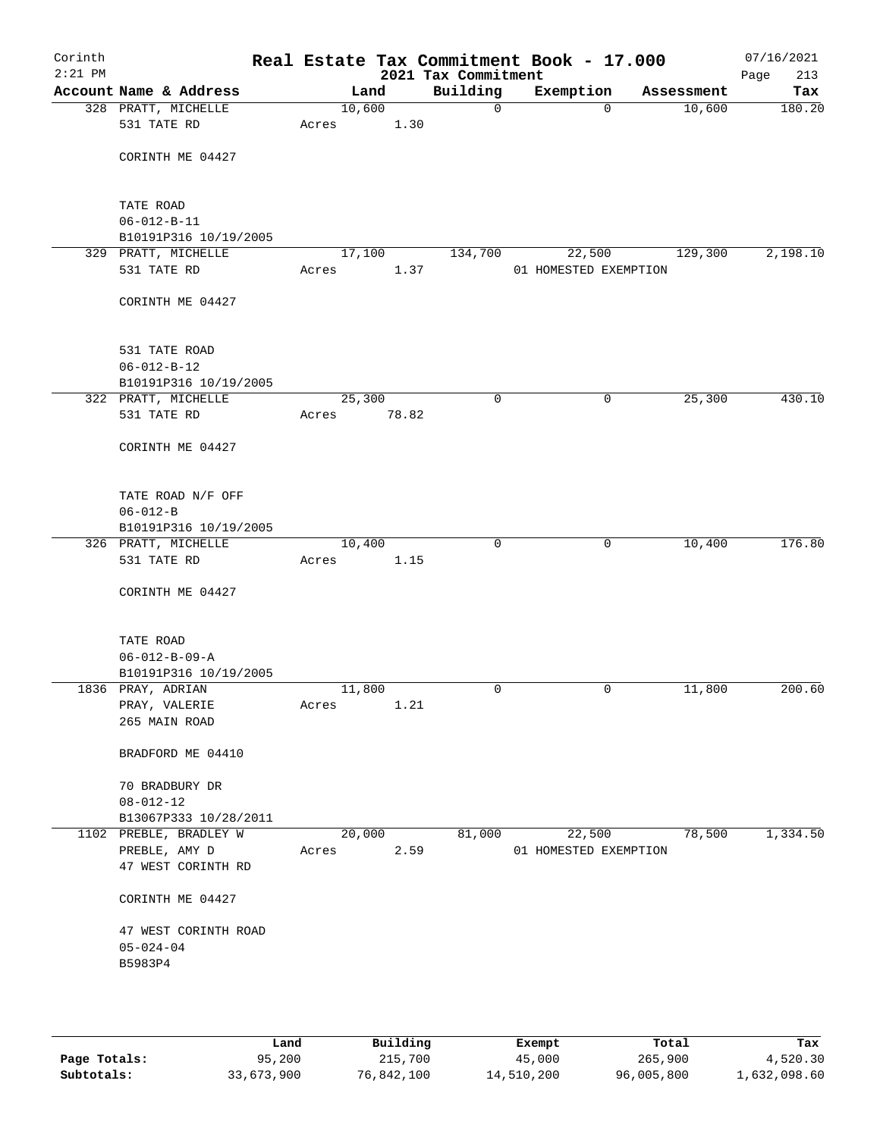| Corinth<br>$2:21$ PM |                                     |        |       | Real Estate Tax Commitment Book - 17.000<br>2021 Tax Commitment |                       |            | 07/16/2021<br>Page<br>213 |
|----------------------|-------------------------------------|--------|-------|-----------------------------------------------------------------|-----------------------|------------|---------------------------|
|                      | Account Name & Address              |        | Land  | Building                                                        | Exemption             | Assessment | Tax                       |
|                      | 328 PRATT, MICHELLE                 | 10,600 |       | $\mathsf{O}$                                                    | $\Omega$              | 10,600     | 180.20                    |
|                      | 531 TATE RD                         | Acres  | 1.30  |                                                                 |                       |            |                           |
|                      | CORINTH ME 04427                    |        |       |                                                                 |                       |            |                           |
|                      |                                     |        |       |                                                                 |                       |            |                           |
|                      | TATE ROAD<br>$06 - 012 - B - 11$    |        |       |                                                                 |                       |            |                           |
|                      | B10191P316 10/19/2005               |        |       |                                                                 |                       |            |                           |
|                      | 329 PRATT, MICHELLE                 | 17,100 |       | 134,700                                                         | 22,500                | 129,300    | 2,198.10                  |
|                      | 531 TATE RD                         | Acres  | 1.37  |                                                                 | 01 HOMESTED EXEMPTION |            |                           |
|                      | CORINTH ME 04427                    |        |       |                                                                 |                       |            |                           |
|                      | 531 TATE ROAD                       |        |       |                                                                 |                       |            |                           |
|                      | $06 - 012 - B - 12$                 |        |       |                                                                 |                       |            |                           |
|                      | B10191P316 10/19/2005               |        |       |                                                                 |                       |            |                           |
|                      | 322 PRATT, MICHELLE                 | 25,300 |       | $\mathbf 0$                                                     | $\mathbf 0$           | 25,300     | 430.10                    |
|                      | 531 TATE RD                         | Acres  | 78.82 |                                                                 |                       |            |                           |
|                      | CORINTH ME 04427                    |        |       |                                                                 |                       |            |                           |
|                      | TATE ROAD N/F OFF                   |        |       |                                                                 |                       |            |                           |
|                      | $06 - 012 - B$                      |        |       |                                                                 |                       |            |                           |
|                      | B10191P316 10/19/2005               |        |       |                                                                 |                       |            |                           |
|                      | 326 PRATT, MICHELLE                 | 10,400 |       | 0                                                               | 0                     | 10,400     | 176.80                    |
|                      | 531 TATE RD                         | Acres  | 1.15  |                                                                 |                       |            |                           |
|                      | CORINTH ME 04427                    |        |       |                                                                 |                       |            |                           |
|                      | TATE ROAD                           |        |       |                                                                 |                       |            |                           |
|                      | $06 - 012 - B - 09 - A$             |        |       |                                                                 |                       |            |                           |
|                      | B10191P316 10/19/2005               |        |       |                                                                 |                       |            |                           |
|                      | 1836 PRAY, ADRIAN                   | 11,800 |       | $\mathbf 0$                                                     | 0                     | 11,800     | 200.60                    |
|                      | PRAY, VALERIE<br>265 MAIN ROAD      | Acres  | 1.21  |                                                                 |                       |            |                           |
|                      |                                     |        |       |                                                                 |                       |            |                           |
|                      | BRADFORD ME 04410                   |        |       |                                                                 |                       |            |                           |
|                      | 70 BRADBURY DR                      |        |       |                                                                 |                       |            |                           |
|                      | $08 - 012 - 12$                     |        |       |                                                                 |                       |            |                           |
|                      | B13067P333 10/28/2011               |        |       |                                                                 |                       |            |                           |
|                      | 1102 PREBLE, BRADLEY W              | 20,000 |       | 81,000                                                          | 22,500                | 78,500     | 1,334.50                  |
|                      | PREBLE, AMY D<br>47 WEST CORINTH RD | Acres  | 2.59  |                                                                 | 01 HOMESTED EXEMPTION |            |                           |
|                      | CORINTH ME 04427                    |        |       |                                                                 |                       |            |                           |
|                      | 47 WEST CORINTH ROAD                |        |       |                                                                 |                       |            |                           |
|                      | $05 - 024 - 04$                     |        |       |                                                                 |                       |            |                           |
|                      | B5983P4                             |        |       |                                                                 |                       |            |                           |
|                      |                                     |        |       |                                                                 |                       |            |                           |
|                      |                                     |        |       |                                                                 |                       |            |                           |
|                      |                                     |        |       |                                                                 |                       |            |                           |

|              | Land       | Building   | Exempt     | Total      | Tax          |
|--------------|------------|------------|------------|------------|--------------|
| Page Totals: | 95,200     | 215,700    | 45,000     | 265,900    | 4,520.30     |
| Subtotals:   | 33,673,900 | 76,842,100 | 14,510,200 | 96,005,800 | 1,632,098.60 |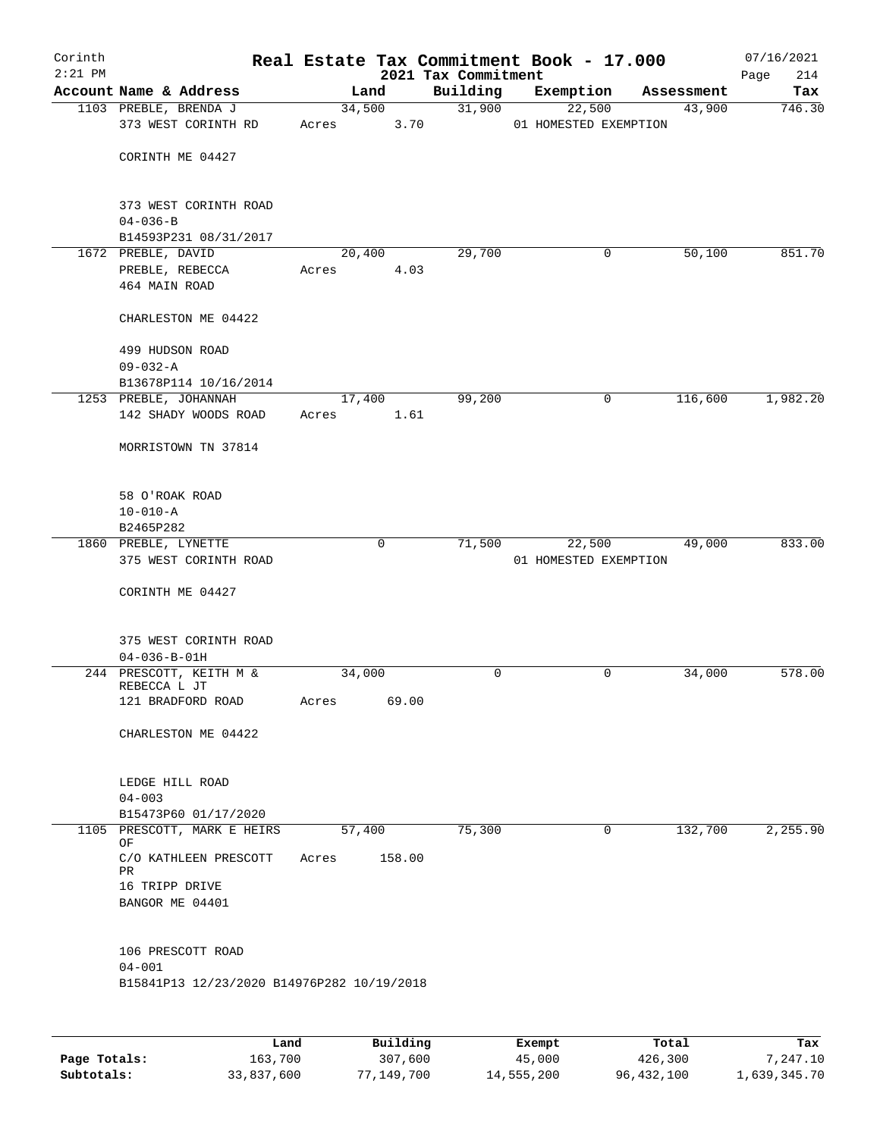| Corinth<br>$2:21$ PM |                                               |                 |             | 2021 Tax Commitment | Real Estate Tax Commitment Book - 17.000 |            | 07/16/2021<br>214<br>Page |
|----------------------|-----------------------------------------------|-----------------|-------------|---------------------|------------------------------------------|------------|---------------------------|
|                      | Account Name & Address                        |                 | Land        | Building            | Exemption                                | Assessment | Tax                       |
|                      | 1103 PREBLE, BRENDA J<br>373 WEST CORINTH RD  | 34,500<br>Acres | 3.70        | 31,900              | 22,500<br>01 HOMESTED EXEMPTION          | 43,900     | 746.30                    |
|                      | CORINTH ME 04427                              |                 |             |                     |                                          |            |                           |
|                      | 373 WEST CORINTH ROAD<br>$04 - 036 - B$       |                 |             |                     |                                          |            |                           |
|                      | B14593P231 08/31/2017                         |                 |             |                     |                                          |            |                           |
|                      | 1672 PREBLE, DAVID                            | 20,400          |             | 29,700              | 0                                        | 50,100     | 851.70                    |
|                      | PREBLE, REBECCA<br>464 MAIN ROAD              | Acres           | 4.03        |                     |                                          |            |                           |
|                      | CHARLESTON ME 04422                           |                 |             |                     |                                          |            |                           |
|                      | 499 HUDSON ROAD<br>$09 - 032 - A$             |                 |             |                     |                                          |            |                           |
|                      | B13678P114 10/16/2014                         |                 |             |                     |                                          |            |                           |
|                      | 1253 PREBLE, JOHANNAH<br>142 SHADY WOODS ROAD | 17,400          | 1.61        | 99,200              | 0                                        | 116,600    | 1,982.20                  |
|                      | MORRISTOWN TN 37814                           | Acres           |             |                     |                                          |            |                           |
|                      | 58 O'ROAK ROAD                                |                 |             |                     |                                          |            |                           |
|                      | $10 - 010 - A$<br>B2465P282                   |                 |             |                     |                                          |            |                           |
|                      | 1860 PREBLE, LYNETTE                          |                 | $\mathbf 0$ | 71,500              | 22,500                                   | 49,000     | 833.00                    |
|                      | 375 WEST CORINTH ROAD                         |                 |             |                     | 01 HOMESTED EXEMPTION                    |            |                           |
|                      | CORINTH ME 04427                              |                 |             |                     |                                          |            |                           |
|                      | 375 WEST CORINTH ROAD<br>$04 - 036 - B - 01H$ |                 |             |                     |                                          |            |                           |
|                      | 244 PRESCOTT, KEITH M &                       | 34,000          |             | 0                   | $\mathbf 0$                              | 34,000     | 578.00                    |
|                      | REBECCA L JT<br>121 BRADFORD ROAD             | Acres           | 69.00       |                     |                                          |            |                           |
|                      | CHARLESTON ME 04422                           |                 |             |                     |                                          |            |                           |
|                      | LEDGE HILL ROAD                               |                 |             |                     |                                          |            |                           |
|                      | $04 - 003$<br>B15473P60 01/17/2020            |                 |             |                     |                                          |            |                           |
|                      | 1105 PRESCOTT, MARK E HEIRS                   | 57,400          |             | 75,300              | 0                                        | 132,700    | 2,255.90                  |
|                      | OF                                            |                 | 158.00      |                     |                                          |            |                           |
|                      | C/O KATHLEEN PRESCOTT<br>PR                   | Acres           |             |                     |                                          |            |                           |
|                      | 16 TRIPP DRIVE<br>BANGOR ME 04401             |                 |             |                     |                                          |            |                           |
|                      | 106 PRESCOTT ROAD                             |                 |             |                     |                                          |            |                           |
|                      | $04 - 001$                                    |                 |             |                     |                                          |            |                           |
|                      | B15841P13 12/23/2020 B14976P282 10/19/2018    |                 |             |                     |                                          |            |                           |
|                      |                                               |                 |             |                     |                                          |            |                           |

|              | Land       | Building   | Exempt     | Total        | Tax          |
|--------------|------------|------------|------------|--------------|--------------|
| Page Totals: | 163,700    | 307,600    | 45,000     | 426,300      | 7,247.10     |
| Subtotals:   | 33,837,600 | 77,149,700 | 14,555,200 | 96, 432, 100 | 1,639,345.70 |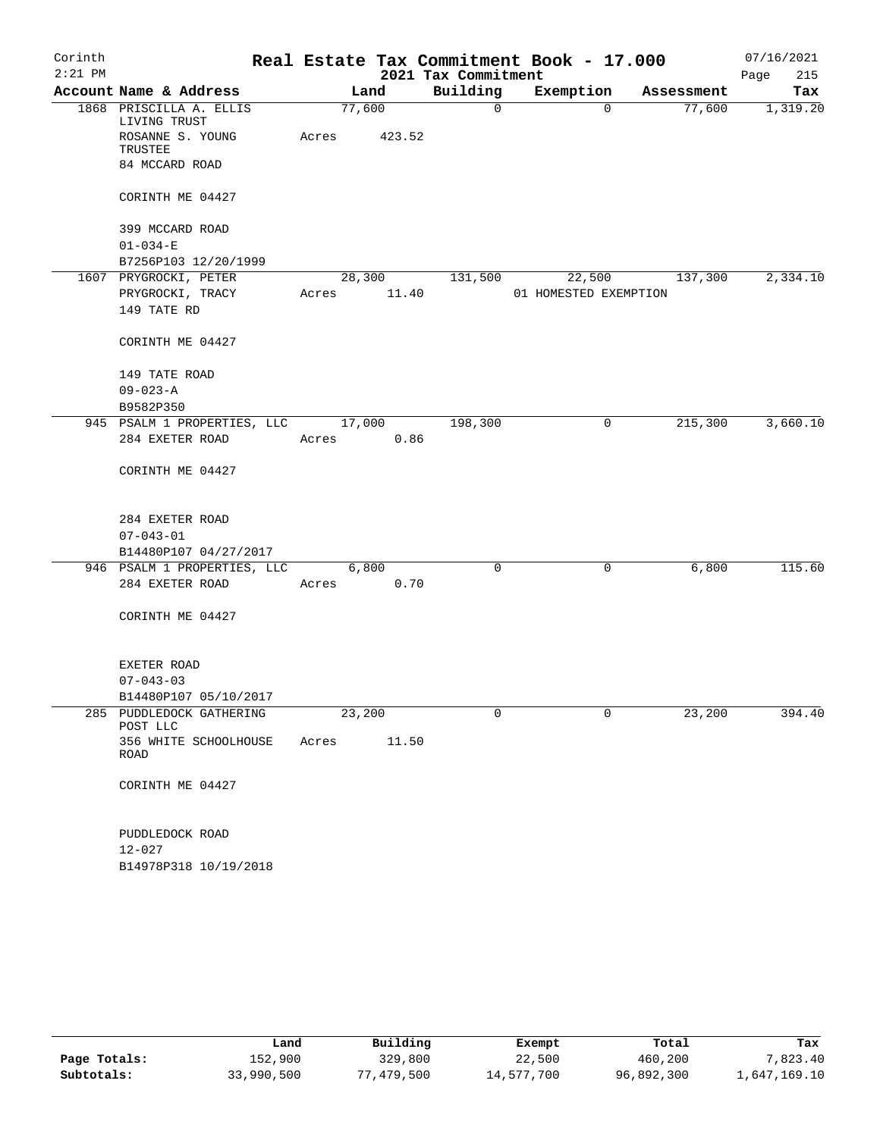| Corinth   |                                                   |        |        |                     | Real Estate Tax Commitment Book - 17.000 |            | 07/16/2021  |
|-----------|---------------------------------------------------|--------|--------|---------------------|------------------------------------------|------------|-------------|
| $2:21$ PM |                                                   |        |        | 2021 Tax Commitment |                                          |            | 215<br>Page |
|           | Account Name & Address                            |        | Land   | Building            | Exemption                                | Assessment | Tax         |
|           | 1868 PRISCILLA A. ELLIS<br>LIVING TRUST           | 77,600 |        | $\mathsf{O}$        | $\Omega$                                 | 77,600     | 1,319.20    |
|           | ROSANNE S. YOUNG<br>TRUSTEE                       | Acres  | 423.52 |                     |                                          |            |             |
|           | 84 MCCARD ROAD                                    |        |        |                     |                                          |            |             |
|           | CORINTH ME 04427                                  |        |        |                     |                                          |            |             |
|           | 399 MCCARD ROAD                                   |        |        |                     |                                          |            |             |
|           | $01 - 034 - E$                                    |        |        |                     |                                          |            |             |
|           | B7256P103 12/20/1999                              |        |        |                     |                                          |            |             |
|           | 1607 PRYGROCKI, PETER                             |        | 28,300 | 131,500             | 22,500                                   | 137,300    | 2,334.10    |
|           | PRYGROCKI, TRACY                                  | Acres  | 11.40  |                     | 01 HOMESTED EXEMPTION                    |            |             |
|           | 149 TATE RD                                       |        |        |                     |                                          |            |             |
|           | CORINTH ME 04427                                  |        |        |                     |                                          |            |             |
|           | 149 TATE ROAD                                     |        |        |                     |                                          |            |             |
|           | $09 - 023 - A$                                    |        |        |                     |                                          |            |             |
|           | B9582P350                                         |        |        |                     |                                          |            |             |
|           | 945 PSALM 1 PROPERTIES, LLC                       |        | 17,000 | 198,300             | 0                                        | 215,300    | 3,660.10    |
|           | 284 EXETER ROAD                                   | Acres  | 0.86   |                     |                                          |            |             |
|           | CORINTH ME 04427                                  |        |        |                     |                                          |            |             |
|           | 284 EXETER ROAD                                   |        |        |                     |                                          |            |             |
|           | $07 - 043 - 01$                                   |        |        |                     |                                          |            |             |
|           | B14480P107 04/27/2017                             |        |        |                     |                                          |            |             |
|           | 946 PSALM 1 PROPERTIES, LLC                       |        | 6,800  | $\mathbf 0$         | $\mathbf 0$                              | 6,800      | 115.60      |
|           | 284 EXETER ROAD                                   | Acres  | 0.70   |                     |                                          |            |             |
|           | CORINTH ME 04427                                  |        |        |                     |                                          |            |             |
|           |                                                   |        |        |                     |                                          |            |             |
|           | EXETER ROAD                                       |        |        |                     |                                          |            |             |
|           | $07 - 043 - 03$                                   |        |        |                     |                                          |            |             |
|           | B14480P107 05/10/2017<br>285 PUDDLEDOCK GATHERING | 23,200 |        | 0                   | $\mathbf 0$                              | 23,200     | 394.40      |
|           | POST LLC                                          |        |        |                     |                                          |            |             |
|           | 356 WHITE SCHOOLHOUSE<br>ROAD                     | Acres  | 11.50  |                     |                                          |            |             |
|           | CORINTH ME 04427                                  |        |        |                     |                                          |            |             |
|           | PUDDLEDOCK ROAD                                   |        |        |                     |                                          |            |             |
|           | $12 - 027$                                        |        |        |                     |                                          |            |             |
|           | B14978P318 10/19/2018                             |        |        |                     |                                          |            |             |
|           |                                                   |        |        |                     |                                          |            |             |

|              | Land       | Building   | Exempt     | Total      | Tax          |
|--------------|------------|------------|------------|------------|--------------|
| Page Totals: | 152,900    | 329,800    | 22,500     | 460,200    | 7,823.40     |
| Subtotals:   | 33,990,500 | 77,479,500 | 14,577,700 | 96,892,300 | l,647,169.10 |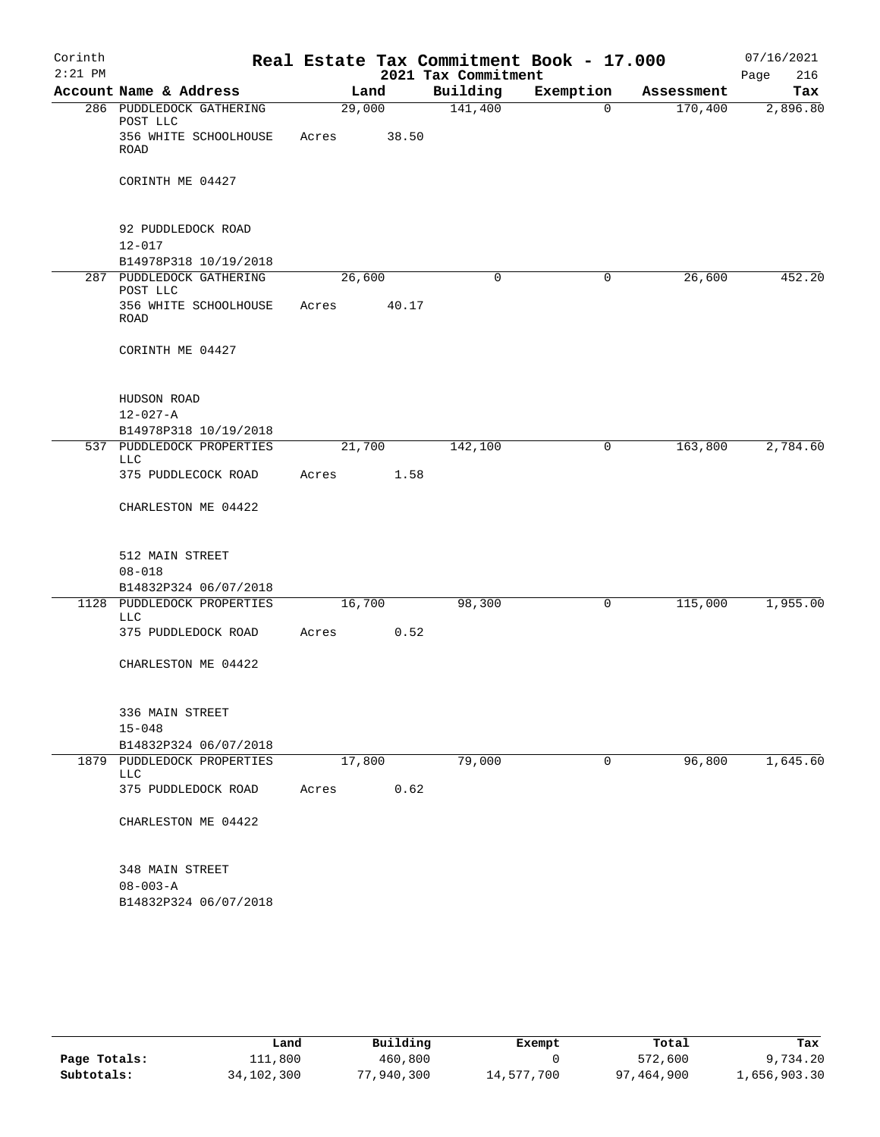| Corinth   |                                                    |        |       |                     | Real Estate Tax Commitment Book - 17.000 |                       | 07/16/2021      |
|-----------|----------------------------------------------------|--------|-------|---------------------|------------------------------------------|-----------------------|-----------------|
| $2:21$ PM |                                                    |        |       | 2021 Tax Commitment |                                          |                       | 216<br>Page     |
|           | Account Name & Address<br>286 PUDDLEDOCK GATHERING | 29,000 | Land  | Building<br>141,400 | Exemption<br>$\mathbf 0$                 | Assessment<br>170,400 | Tax<br>2,896.80 |
|           | POST LLC                                           |        |       |                     |                                          |                       |                 |
|           | 356 WHITE SCHOOLHOUSE<br><b>ROAD</b>               | Acres  | 38.50 |                     |                                          |                       |                 |
|           | CORINTH ME 04427                                   |        |       |                     |                                          |                       |                 |
|           | 92 PUDDLEDOCK ROAD                                 |        |       |                     |                                          |                       |                 |
|           | $12 - 017$<br>B14978P318 10/19/2018                |        |       |                     |                                          |                       |                 |
|           | 287 PUDDLEDOCK GATHERING                           | 26,600 |       | 0                   | 0                                        | 26,600                | 452.20          |
|           | POST LLC                                           |        |       |                     |                                          |                       |                 |
|           | 356 WHITE SCHOOLHOUSE<br>ROAD                      | Acres  | 40.17 |                     |                                          |                       |                 |
|           | CORINTH ME 04427                                   |        |       |                     |                                          |                       |                 |
|           | HUDSON ROAD                                        |        |       |                     |                                          |                       |                 |
|           | $12 - 027 - A$                                     |        |       |                     |                                          |                       |                 |
|           | B14978P318 10/19/2018<br>537 PUDDLEDOCK PROPERTIES |        |       |                     | 0                                        | 163,800               | 2,784.60        |
|           | LLC                                                | 21,700 |       | 142,100             |                                          |                       |                 |
|           | 375 PUDDLECOCK ROAD                                | Acres  | 1.58  |                     |                                          |                       |                 |
|           | CHARLESTON ME 04422                                |        |       |                     |                                          |                       |                 |
|           | 512 MAIN STREET                                    |        |       |                     |                                          |                       |                 |
|           | $08 - 018$                                         |        |       |                     |                                          |                       |                 |
|           | B14832P324 06/07/2018                              |        |       |                     |                                          |                       |                 |
|           | 1128 PUDDLEDOCK PROPERTIES<br>LLC                  | 16,700 |       | 98,300              | 0                                        | 115,000               | 1,955.00        |
|           | 375 PUDDLEDOCK ROAD                                | Acres  | 0.52  |                     |                                          |                       |                 |
|           | CHARLESTON ME 04422                                |        |       |                     |                                          |                       |                 |
|           | 336 MAIN STREET                                    |        |       |                     |                                          |                       |                 |
|           | $15 - 048$<br>B14832P324 06/07/2018                |        |       |                     |                                          |                       |                 |
|           | 1879 PUDDLEDOCK PROPERTIES<br>LLC                  | 17,800 |       | 79,000              | 0                                        | 96,800                | 1,645.60        |
|           | 375 PUDDLEDOCK ROAD                                | Acres  | 0.62  |                     |                                          |                       |                 |
|           | CHARLESTON ME 04422                                |        |       |                     |                                          |                       |                 |
|           | 348 MAIN STREET                                    |        |       |                     |                                          |                       |                 |
|           | $08 - 003 - A$                                     |        |       |                     |                                          |                       |                 |
|           | B14832P324 06/07/2018                              |        |       |                     |                                          |                       |                 |

|              | Land       | Building   | Exempt     | Total      | Tax          |
|--------------|------------|------------|------------|------------|--------------|
| Page Totals: | 111,800    | 460,800    |            | 572,600    | 9,734.20     |
| Subtotals:   | 34,102,300 | 77,940,300 | 14,577,700 | 97,464,900 | 1,656,903.30 |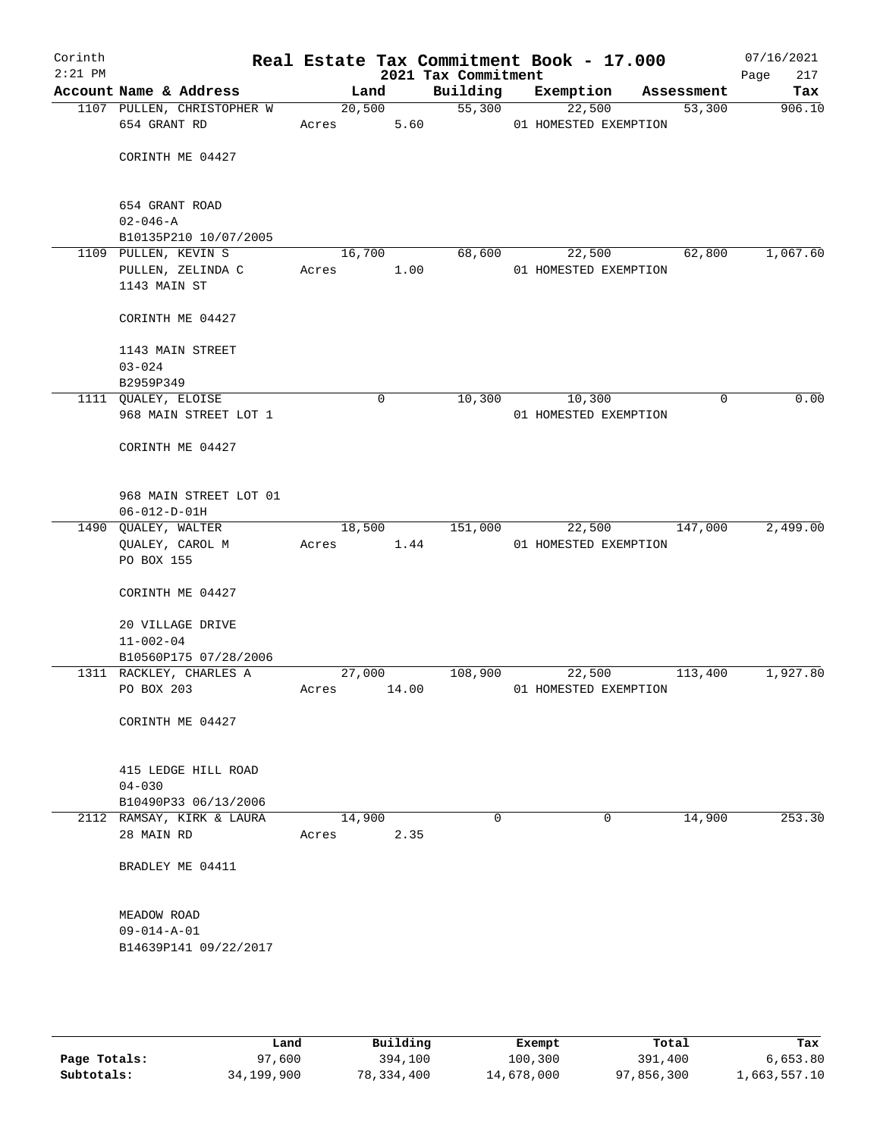| Corinth<br>$2:21$ PM |                                                                 |             |                | 2021 Tax Commitment | Real Estate Tax Commitment Book - 17.000 |             | 07/16/2021<br>Page<br>217 |
|----------------------|-----------------------------------------------------------------|-------------|----------------|---------------------|------------------------------------------|-------------|---------------------------|
|                      | Account Name & Address                                          |             | Land           | Building            | Exemption                                | Assessment  | Tax                       |
|                      | 1107 PULLEN, CHRISTOPHER W<br>654 GRANT RD                      | Acres       | 20,500         | 55,300<br>5.60      | 22,500<br>01 HOMESTED EXEMPTION          | 53,300      | 906.10                    |
|                      | CORINTH ME 04427                                                |             |                |                     |                                          |             |                           |
|                      | 654 GRANT ROAD<br>$02 - 046 - A$                                |             |                |                     |                                          |             |                           |
|                      | B10135P210 10/07/2005                                           |             |                |                     |                                          |             |                           |
|                      | 1109 PULLEN, KEVIN S<br>PULLEN, ZELINDA C Acres<br>1143 MAIN ST |             | 16,700<br>1.00 | 68,600              | 22,500<br>01 HOMESTED EXEMPTION          | 62,800      | 1,067.60                  |
|                      | CORINTH ME 04427                                                |             |                |                     |                                          |             |                           |
|                      | 1143 MAIN STREET<br>$03 - 024$<br>B2959P349                     |             |                |                     |                                          |             |                           |
|                      | 1111 QUALEY, ELOISE                                             |             | $\mathbf 0$    | 10,300              | 10,300                                   | $\mathbf 0$ | 0.00                      |
|                      | 968 MAIN STREET LOT 1                                           |             |                |                     | 01 HOMESTED EXEMPTION                    |             |                           |
|                      | CORINTH ME 04427                                                |             |                |                     |                                          |             |                           |
|                      | 968 MAIN STREET LOT 01<br>$06 - 012 - D - 01H$                  |             |                |                     |                                          |             |                           |
|                      | 1490 QUALEY, WALTER<br>QUALEY, CAROL M<br>PO BOX 155            | Acres       | 18,500<br>1.44 | 151,000             | 22,500<br>01 HOMESTED EXEMPTION          | 147,000     | 2,499.00                  |
|                      | CORINTH ME 04427                                                |             |                |                     |                                          |             |                           |
|                      | 20 VILLAGE DRIVE<br>$11 - 002 - 04$                             |             |                |                     |                                          |             |                           |
|                      | B10560P175 07/28/2006                                           |             |                |                     |                                          |             |                           |
|                      | 1311 RACKLEY, CHARLES A                                         |             | 27,000         | 108,900             | 22,500                                   | 113,400     | 1,927.80                  |
|                      | PO BOX 203                                                      | Acres 14.00 |                |                     | 01 HOMESTED EXEMPTION                    |             |                           |
|                      | CORINTH ME 04427                                                |             |                |                     |                                          |             |                           |
|                      | 415 LEDGE HILL ROAD<br>$04 - 030$                               |             |                |                     |                                          |             |                           |
|                      | B10490P33 06/13/2006                                            |             |                |                     |                                          |             |                           |
|                      | 2112 RAMSAY, KIRK & LAURA                                       | 14,900      |                | $\Omega$            | 0                                        | 14,900      | 253.30                    |
|                      | 28 MAIN RD                                                      | Acres       | 2.35           |                     |                                          |             |                           |
|                      | BRADLEY ME 04411                                                |             |                |                     |                                          |             |                           |
|                      | MEADOW ROAD<br>$09 - 014 - A - 01$                              |             |                |                     |                                          |             |                           |
|                      | B14639P141 09/22/2017                                           |             |                |                     |                                          |             |                           |
|                      |                                                                 |             |                |                     |                                          |             |                           |
|                      |                                                                 |             |                |                     |                                          |             |                           |

|              | Land       | Building     | Exempt     | Total      | Tax          |
|--------------|------------|--------------|------------|------------|--------------|
| Page Totals: | 97,600     | 394,100      | 100,300    | 391,400    | 6,653.80     |
| Subtotals:   | 34,199,900 | 78, 334, 400 | 14,678,000 | 97,856,300 | 1,663,557.10 |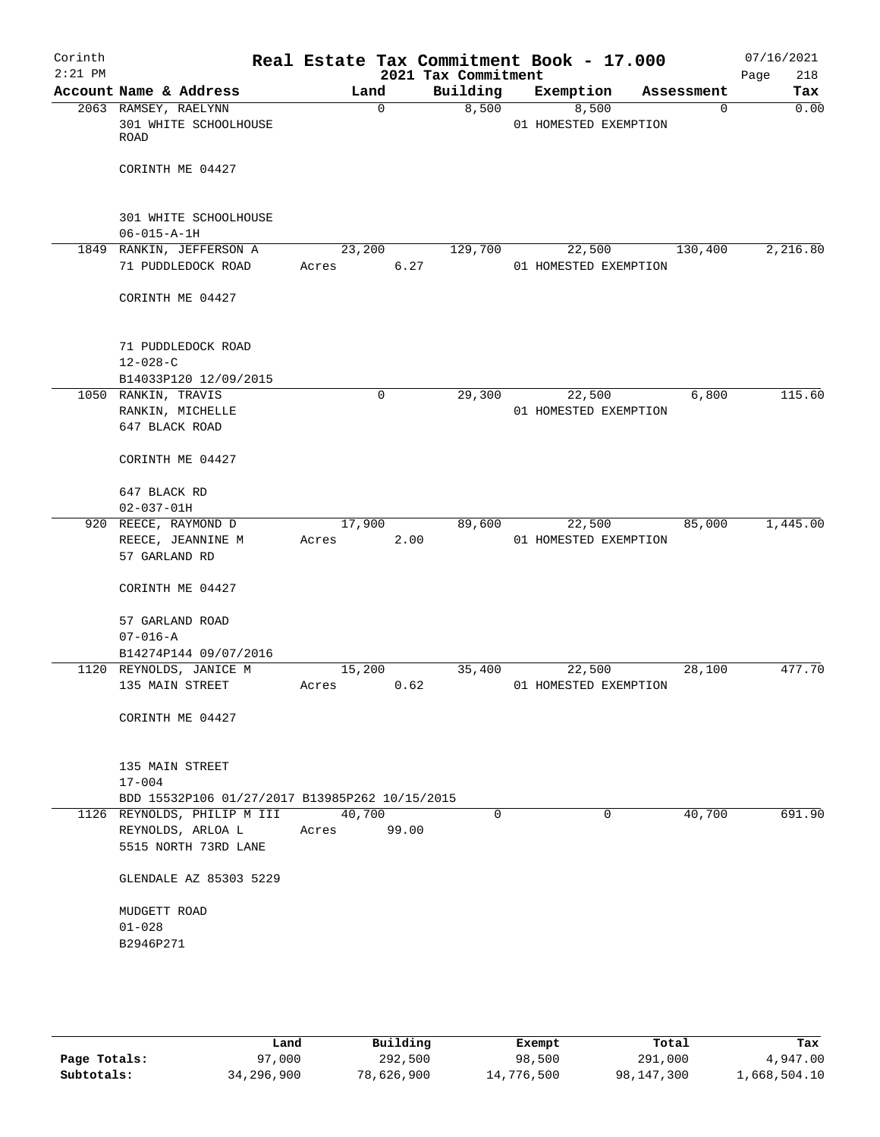| Corinth<br>$2:21$ PM |                                                                               |        |             | 2021 Tax Commitment | Real Estate Tax Commitment Book - 17.000 |            | 07/16/2021<br>218<br>Page |
|----------------------|-------------------------------------------------------------------------------|--------|-------------|---------------------|------------------------------------------|------------|---------------------------|
|                      | Account Name & Address                                                        | Land   |             | Building            | Exemption                                | Assessment | Tax                       |
|                      | 2063 RAMSEY, RAELYNN<br>301 WHITE SCHOOLHOUSE<br>ROAD                         |        | $\mathbf 0$ | 8,500               | 8,500<br>01 HOMESTED EXEMPTION           | $\Omega$   | 0.00                      |
|                      | CORINTH ME 04427                                                              |        |             |                     |                                          |            |                           |
|                      | 301 WHITE SCHOOLHOUSE<br>$06 - 015 - A - 1H$                                  |        |             |                     |                                          |            |                           |
|                      | 1849 RANKIN, JEFFERSON A                                                      | 23,200 |             | 129,700             | 22,500                                   | 130,400    | 2,216.80                  |
|                      | 71 PUDDLEDOCK ROAD                                                            | Acres  | 6.27        |                     | 01 HOMESTED EXEMPTION                    |            |                           |
|                      | CORINTH ME 04427                                                              |        |             |                     |                                          |            |                           |
|                      | 71 PUDDLEDOCK ROAD                                                            |        |             |                     |                                          |            |                           |
|                      | $12 - 028 - C$                                                                |        |             |                     |                                          |            |                           |
|                      | B14033P120 12/09/2015                                                         |        |             |                     |                                          |            |                           |
|                      | 1050 RANKIN, TRAVIS<br>RANKIN, MICHELLE                                       |        | 0           | 29,300              | 22,500<br>01 HOMESTED EXEMPTION          | 6,800      | 115.60                    |
|                      | 647 BLACK ROAD                                                                |        |             |                     |                                          |            |                           |
|                      | CORINTH ME 04427                                                              |        |             |                     |                                          |            |                           |
|                      | 647 BLACK RD                                                                  |        |             |                     |                                          |            |                           |
|                      | $02 - 037 - 01H$                                                              |        |             |                     |                                          |            |                           |
|                      | 920 REECE, RAYMOND D                                                          | 17,900 |             | 89,600              | 22,500                                   | 85,000     | 1,445.00                  |
|                      | REECE, JEANNINE M                                                             | Acres  | 2.00        |                     | 01 HOMESTED EXEMPTION                    |            |                           |
|                      | 57 GARLAND RD                                                                 |        |             |                     |                                          |            |                           |
|                      | CORINTH ME 04427                                                              |        |             |                     |                                          |            |                           |
|                      | 57 GARLAND ROAD                                                               |        |             |                     |                                          |            |                           |
|                      | $07 - 016 - A$                                                                |        |             |                     |                                          |            |                           |
|                      | B14274P144 09/07/2016                                                         |        |             |                     |                                          |            |                           |
|                      | 1120 REYNOLDS, JANICE M                                                       | 15,200 |             | 35,400              | 22,500                                   | 28,100     | 477.70                    |
|                      | 135 MAIN STREET                                                               | Acres  | 0.62        |                     | 01 HOMESTED EXEMPTION                    |            |                           |
|                      | CORINTH ME 04427                                                              |        |             |                     |                                          |            |                           |
|                      | 135 MAIN STREET                                                               |        |             |                     |                                          |            |                           |
|                      | $17 - 004$                                                                    |        |             |                     |                                          |            |                           |
|                      | BDD 15532P106 01/27/2017 B13985P262 10/15/2015<br>1126 REYNOLDS, PHILIP M III | 40,700 |             | $\Omega$            | $\Omega$                                 | 40,700     | 691.90                    |
|                      | REYNOLDS, ARLOA L                                                             | Acres  | 99.00       |                     |                                          |            |                           |
|                      | 5515 NORTH 73RD LANE                                                          |        |             |                     |                                          |            |                           |
|                      | GLENDALE AZ 85303 5229                                                        |        |             |                     |                                          |            |                           |
|                      | MUDGETT ROAD<br>$01 - 028$                                                    |        |             |                     |                                          |            |                           |
|                      | B2946P271                                                                     |        |             |                     |                                          |            |                           |
|                      |                                                                               |        |             |                     |                                          |            |                           |
|                      |                                                                               |        |             |                     |                                          |            |                           |
|                      |                                                                               |        |             |                     |                                          |            |                           |

|              | Land       | Building   | Exempt     | Total      | Tax          |
|--------------|------------|------------|------------|------------|--------------|
| Page Totals: | 97,000     | 292,500    | 98,500     | 291,000    | 4,947.00     |
| Subtotals:   | 34,296,900 | 78,626,900 | 14,776,500 | 98,147,300 | 1,668,504.10 |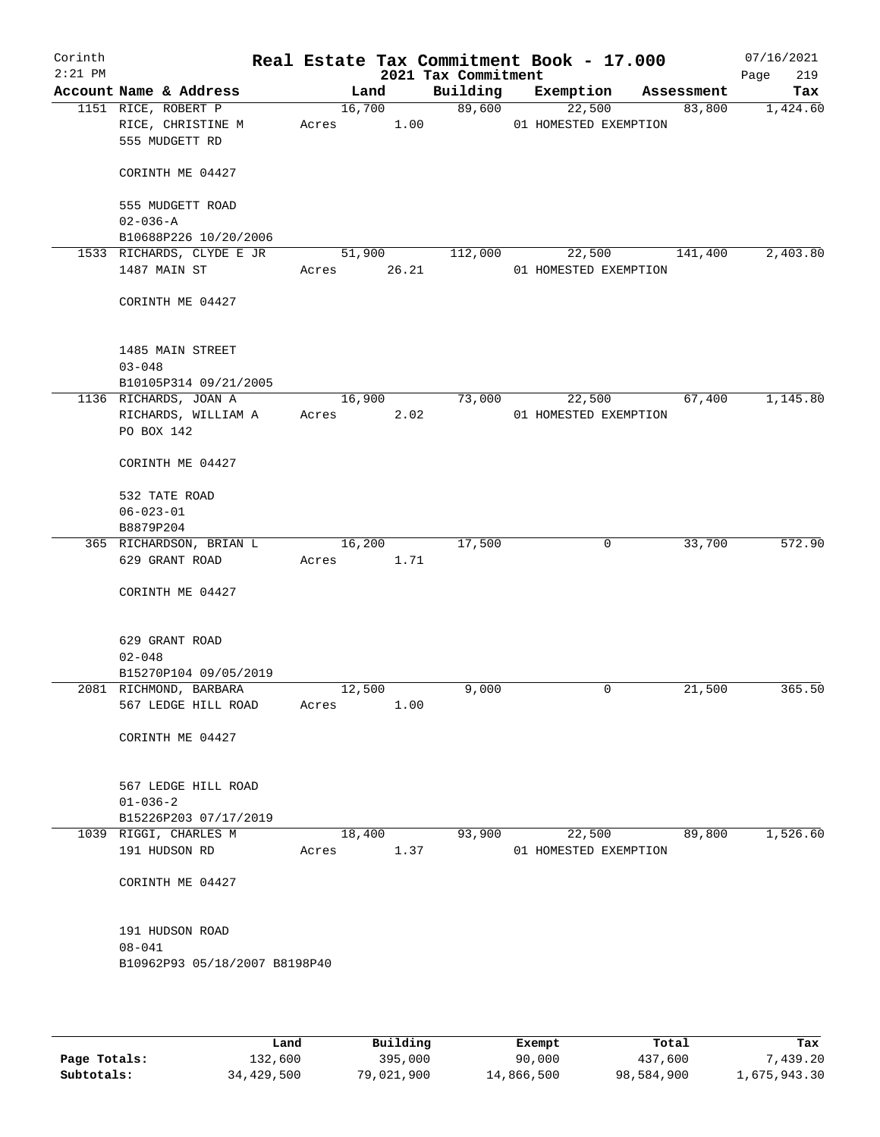| Corinth<br>$2:21$ PM |                                                            |                 |                | 2021 Tax Commitment | Real Estate Tax Commitment Book - 17.000 |            | 07/16/2021<br>219<br>Page |
|----------------------|------------------------------------------------------------|-----------------|----------------|---------------------|------------------------------------------|------------|---------------------------|
|                      | Account Name & Address                                     |                 | Land           | Building            | Exemption                                | Assessment | Tax                       |
|                      | 1151 RICE, ROBERT P<br>RICE, CHRISTINE M<br>555 MUDGETT RD | Acres           | 16,700<br>1.00 | 89,600              | 22,500<br>01 HOMESTED EXEMPTION          | 83,800     | 1,424.60                  |
|                      | CORINTH ME 04427                                           |                 |                |                     |                                          |            |                           |
|                      | 555 MUDGETT ROAD<br>$02 - 036 - A$                         |                 |                |                     |                                          |            |                           |
|                      | B10688P226 10/20/2006                                      |                 |                |                     |                                          |            |                           |
|                      | 1533 RICHARDS, CLYDE E JR                                  |                 | 51,900         | 112,000             | 22,500                                   | 141,400    | 2,403.80                  |
|                      | 1487 MAIN ST                                               | Acres           | 26.21          |                     | 01 HOMESTED EXEMPTION                    |            |                           |
|                      | CORINTH ME 04427                                           |                 |                |                     |                                          |            |                           |
|                      | 1485 MAIN STREET                                           |                 |                |                     |                                          |            |                           |
|                      | $03 - 048$                                                 |                 |                |                     |                                          |            |                           |
|                      | B10105P314 09/21/2005<br>1136 RICHARDS, JOAN A             |                 | 16,900         | 73,000              | 22,500                                   | 67,400     | 1,145.80                  |
|                      | RICHARDS, WILLIAM A                                        | Acres           | 2.02           |                     | 01 HOMESTED EXEMPTION                    |            |                           |
|                      | PO BOX 142                                                 |                 |                |                     |                                          |            |                           |
|                      | CORINTH ME 04427                                           |                 |                |                     |                                          |            |                           |
|                      | 532 TATE ROAD                                              |                 |                |                     |                                          |            |                           |
|                      | $06 - 023 - 01$                                            |                 |                |                     |                                          |            |                           |
|                      | B8879P204                                                  |                 |                |                     |                                          |            |                           |
|                      | 365 RICHARDSON, BRIAN L                                    |                 | 16,200         | 17,500              | 0                                        | 33,700     | 572.90                    |
|                      | 629 GRANT ROAD                                             | Acres           | 1.71           |                     |                                          |            |                           |
|                      | CORINTH ME 04427                                           |                 |                |                     |                                          |            |                           |
|                      | 629 GRANT ROAD                                             |                 |                |                     |                                          |            |                           |
|                      | $02 - 048$                                                 |                 |                |                     |                                          |            |                           |
|                      | B15270P104 09/05/2019                                      |                 |                |                     |                                          |            |                           |
|                      | 2081 RICHMOND, BARBARA<br>567 LEDGE HILL ROAD              | 12,500<br>Acres | 1.00           | 9,000               | 0                                        | 21,500     | 365.50                    |
|                      | CORINTH ME 04427                                           |                 |                |                     |                                          |            |                           |
|                      |                                                            |                 |                |                     |                                          |            |                           |
|                      | 567 LEDGE HILL ROAD<br>$01 - 036 - 2$                      |                 |                |                     |                                          |            |                           |
|                      | B15226P203 07/17/2019                                      |                 |                |                     |                                          |            |                           |
|                      | 1039 RIGGI, CHARLES M                                      |                 | 18,400         | 93,900              | 22,500                                   | 89,800     | 1,526.60                  |
|                      | 191 HUDSON RD                                              | Acres           | 1.37           |                     | 01 HOMESTED EXEMPTION                    |            |                           |
|                      | CORINTH ME 04427                                           |                 |                |                     |                                          |            |                           |
|                      | 191 HUDSON ROAD                                            |                 |                |                     |                                          |            |                           |
|                      | $08 - 041$                                                 |                 |                |                     |                                          |            |                           |
|                      | B10962P93 05/18/2007 B8198P40                              |                 |                |                     |                                          |            |                           |
|                      |                                                            |                 |                |                     |                                          |            |                           |

|              | Land       | Building   | Exempt     | Total      | Tax          |
|--------------|------------|------------|------------|------------|--------------|
| Page Totals: | 132,600    | 395,000    | 90,000     | 437,600    | 7,439.20     |
| Subtotals:   | 34,429,500 | 79,021,900 | 14,866,500 | 98,584,900 | 1,675,943.30 |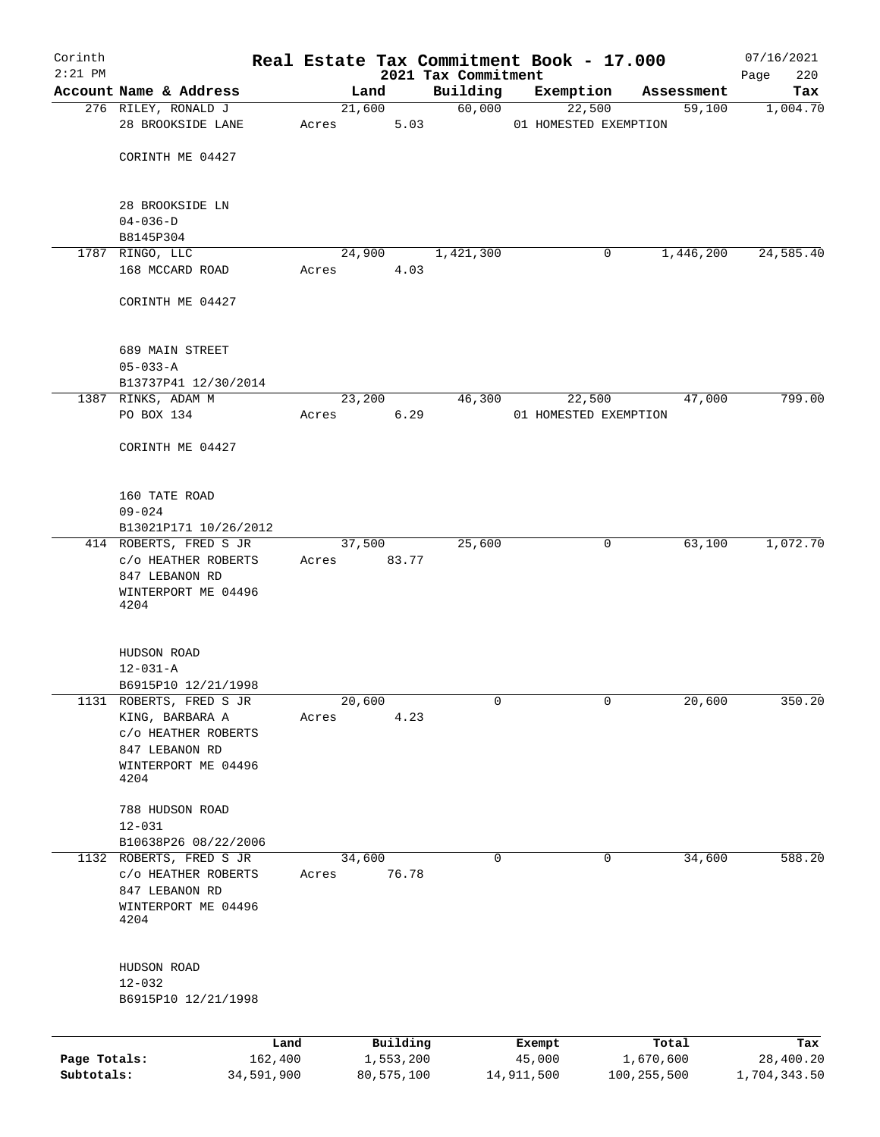| Corinth      |                                                                                                                    |                 |       |        |                       | Real Estate Tax Commitment Book - 17.000 |                       |               |                      | 07/16/2021         |
|--------------|--------------------------------------------------------------------------------------------------------------------|-----------------|-------|--------|-----------------------|------------------------------------------|-----------------------|---------------|----------------------|--------------------|
| $2:21$ PM    | Account Name & Address                                                                                             |                 |       | Land   |                       | 2021 Tax Commitment<br>Building          | Exemption             |               |                      | 220<br>Page<br>Tax |
|              | 276 RILEY, RONALD J                                                                                                |                 |       | 21,600 |                       | 60,000                                   | 22,500                |               | Assessment<br>59,100 | 1,004.70           |
|              | 28 BROOKSIDE LANE                                                                                                  |                 | Acres |        | 5.03                  |                                          | 01 HOMESTED EXEMPTION |               |                      |                    |
|              | CORINTH ME 04427                                                                                                   |                 |       |        |                       |                                          |                       |               |                      |                    |
|              | 28 BROOKSIDE LN                                                                                                    |                 |       |        |                       |                                          |                       |               |                      |                    |
|              | $04 - 036 - D$<br>B8145P304                                                                                        |                 |       |        |                       |                                          |                       |               |                      |                    |
|              | 1787 RINGO, LLC                                                                                                    |                 |       | 24,900 |                       | 1,421,300                                |                       | 0             | 1,446,200            | 24,585.40          |
|              | 168 MCCARD ROAD                                                                                                    |                 | Acres |        | 4.03                  |                                          |                       |               |                      |                    |
|              | CORINTH ME 04427                                                                                                   |                 |       |        |                       |                                          |                       |               |                      |                    |
|              | 689 MAIN STREET                                                                                                    |                 |       |        |                       |                                          |                       |               |                      |                    |
|              | $05 - 033 - A$<br>B13737P41 12/30/2014                                                                             |                 |       |        |                       |                                          |                       |               |                      |                    |
|              | 1387 RINKS, ADAM M                                                                                                 |                 |       | 23,200 |                       | 46,300                                   | 22,500                |               | 47,000               | 799.00             |
|              | PO BOX 134                                                                                                         |                 | Acres |        | 6.29                  |                                          | 01 HOMESTED EXEMPTION |               |                      |                    |
|              | CORINTH ME 04427                                                                                                   |                 |       |        |                       |                                          |                       |               |                      |                    |
|              | 160 TATE ROAD                                                                                                      |                 |       |        |                       |                                          |                       |               |                      |                    |
|              | $09 - 024$                                                                                                         |                 |       |        |                       |                                          |                       |               |                      |                    |
|              | B13021P171 10/26/2012<br>414 ROBERTS, FRED S JR                                                                    |                 |       | 37,500 |                       | 25,600                                   |                       | 0             | 63,100               | 1,072.70           |
|              | C/O HEATHER ROBERTS<br>847 LEBANON RD<br>WINTERPORT ME 04496<br>4204                                               |                 | Acres |        | 83.77                 |                                          |                       |               |                      |                    |
|              | HUDSON ROAD<br>$12 - 031 - A$<br>B6915P10 12/21/1998                                                               |                 |       |        |                       |                                          |                       |               |                      |                    |
|              | 1131 ROBERTS, FRED S JR<br>KING, BARBARA A<br>C/O HEATHER ROBERTS<br>847 LEBANON RD<br>WINTERPORT ME 04496<br>4204 |                 | Acres | 20,600 | 4.23                  | 0                                        |                       | 0             | 20,600               | 350.20             |
|              | 788 HUDSON ROAD<br>$12 - 031$                                                                                      |                 |       |        |                       |                                          |                       |               |                      |                    |
|              | B10638P26 08/22/2006<br>1132 ROBERTS, FRED S JR                                                                    |                 |       | 34,600 |                       | $\mathbf 0$                              |                       | 0             | 34,600               | 588.20             |
|              | C/O HEATHER ROBERTS<br>847 LEBANON RD<br>WINTERPORT ME 04496<br>4204                                               |                 | Acres |        | 76.78                 |                                          |                       |               |                      |                    |
|              | HUDSON ROAD<br>$12 - 032$<br>B6915P10 12/21/1998                                                                   |                 |       |        |                       |                                          |                       |               |                      |                    |
| Page Totals: |                                                                                                                    | Land<br>162,400 |       |        | Building<br>1,553,200 |                                          | Exempt<br>45,000      | 1,670,600     | Total                | Tax<br>28,400.20   |
| Subtotals:   |                                                                                                                    | 34,591,900      |       |        | 80,575,100            |                                          | 14,911,500            | 100, 255, 500 |                      | 1,704,343.50       |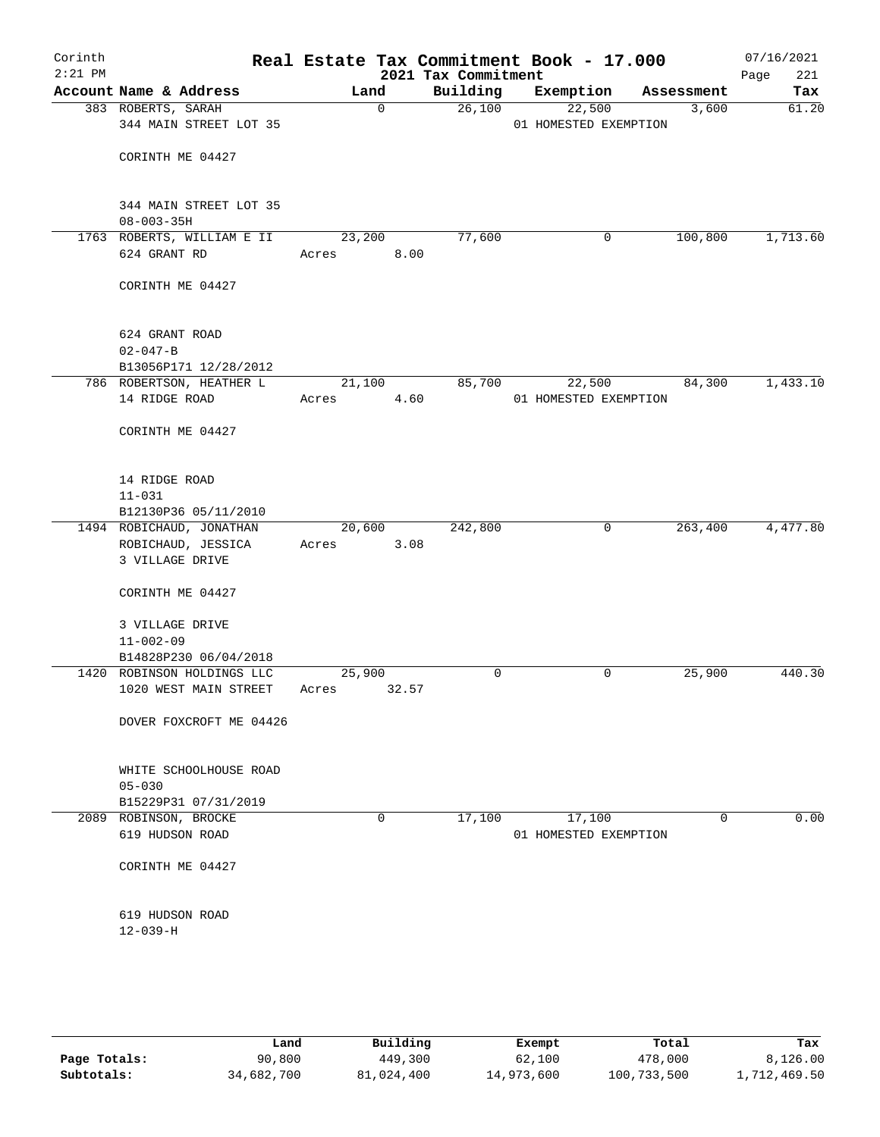| Corinth<br>$2:21$ PM |                                                     |                 |             |                                 | Real Estate Tax Commitment Book - 17.000 |   |             | 07/16/2021         |
|----------------------|-----------------------------------------------------|-----------------|-------------|---------------------------------|------------------------------------------|---|-------------|--------------------|
|                      | Account Name & Address                              | Land            |             | 2021 Tax Commitment<br>Building | Exemption                                |   | Assessment  | Page<br>221<br>Tax |
|                      | 383 ROBERTS, SARAH                                  |                 | $\mathbf 0$ | 26,100                          | 22,500                                   |   | 3,600       | 61.20              |
|                      | 344 MAIN STREET LOT 35                              |                 |             |                                 | 01 HOMESTED EXEMPTION                    |   |             |                    |
|                      |                                                     |                 |             |                                 |                                          |   |             |                    |
|                      | CORINTH ME 04427                                    |                 |             |                                 |                                          |   |             |                    |
|                      |                                                     |                 |             |                                 |                                          |   |             |                    |
|                      |                                                     |                 |             |                                 |                                          |   |             |                    |
|                      | 344 MAIN STREET LOT 35                              |                 |             |                                 |                                          |   |             |                    |
|                      | $08 - 003 - 35H$                                    |                 |             |                                 |                                          |   |             |                    |
|                      | 1763 ROBERTS, WILLIAM E II                          | 23,200          |             | 77,600                          |                                          | 0 | 100,800     | 1,713.60           |
|                      | 624 GRANT RD                                        | Acres           | 8.00        |                                 |                                          |   |             |                    |
|                      |                                                     |                 |             |                                 |                                          |   |             |                    |
|                      | CORINTH ME 04427                                    |                 |             |                                 |                                          |   |             |                    |
|                      |                                                     |                 |             |                                 |                                          |   |             |                    |
|                      | 624 GRANT ROAD                                      |                 |             |                                 |                                          |   |             |                    |
|                      | $02 - 047 - B$                                      |                 |             |                                 |                                          |   |             |                    |
|                      | B13056P171 12/28/2012                               |                 |             |                                 |                                          |   |             |                    |
|                      | 786 ROBERTSON, HEATHER L                            | 21,100          |             | 85,700                          | 22,500                                   |   | 84,300      | 1,433.10           |
|                      | 14 RIDGE ROAD                                       | Acres           | 4.60        |                                 | 01 HOMESTED EXEMPTION                    |   |             |                    |
|                      |                                                     |                 |             |                                 |                                          |   |             |                    |
|                      | CORINTH ME 04427                                    |                 |             |                                 |                                          |   |             |                    |
|                      |                                                     |                 |             |                                 |                                          |   |             |                    |
|                      |                                                     |                 |             |                                 |                                          |   |             |                    |
|                      | 14 RIDGE ROAD<br>$11 - 031$                         |                 |             |                                 |                                          |   |             |                    |
|                      | B12130P36 05/11/2010                                |                 |             |                                 |                                          |   |             |                    |
|                      | 1494 ROBICHAUD, JONATHAN                            | 20,600          |             | 242,800                         |                                          | 0 | 263,400     | 4,477.80           |
|                      | ROBICHAUD, JESSICA                                  | Acres           | 3.08        |                                 |                                          |   |             |                    |
|                      | 3 VILLAGE DRIVE                                     |                 |             |                                 |                                          |   |             |                    |
|                      |                                                     |                 |             |                                 |                                          |   |             |                    |
|                      | CORINTH ME 04427                                    |                 |             |                                 |                                          |   |             |                    |
|                      |                                                     |                 |             |                                 |                                          |   |             |                    |
|                      | 3 VILLAGE DRIVE                                     |                 |             |                                 |                                          |   |             |                    |
|                      | $11 - 002 - 09$                                     |                 |             |                                 |                                          |   |             |                    |
|                      | B14828P230 06/04/2018                               |                 |             |                                 |                                          |   |             |                    |
|                      | 1420 ROBINSON HOLDINGS LLC<br>1020 WEST MAIN STREET | 25,900<br>Acres | 32.57       | 0                               |                                          | 0 | 25,900      | 440.30             |
|                      |                                                     |                 |             |                                 |                                          |   |             |                    |
|                      | DOVER FOXCROFT ME 04426                             |                 |             |                                 |                                          |   |             |                    |
|                      |                                                     |                 |             |                                 |                                          |   |             |                    |
|                      |                                                     |                 |             |                                 |                                          |   |             |                    |
|                      | WHITE SCHOOLHOUSE ROAD                              |                 |             |                                 |                                          |   |             |                    |
|                      | $05 - 030$                                          |                 |             |                                 |                                          |   |             |                    |
|                      | B15229P31 07/31/2019                                |                 |             |                                 |                                          |   |             |                    |
|                      | 2089 ROBINSON, BROCKE                               |                 | 0           | 17,100                          | 17,100                                   |   | $\mathbf 0$ | 0.00               |
|                      | 619 HUDSON ROAD                                     |                 |             |                                 | 01 HOMESTED EXEMPTION                    |   |             |                    |
|                      | CORINTH ME 04427                                    |                 |             |                                 |                                          |   |             |                    |
|                      |                                                     |                 |             |                                 |                                          |   |             |                    |
|                      |                                                     |                 |             |                                 |                                          |   |             |                    |
|                      | 619 HUDSON ROAD                                     |                 |             |                                 |                                          |   |             |                    |
|                      | $12 - 039 - H$                                      |                 |             |                                 |                                          |   |             |                    |
|                      |                                                     |                 |             |                                 |                                          |   |             |                    |
|                      |                                                     |                 |             |                                 |                                          |   |             |                    |
|                      |                                                     |                 |             |                                 |                                          |   |             |                    |

|              | Land       | Building   | Exempt     | Total       | Tax          |
|--------------|------------|------------|------------|-------------|--------------|
| Page Totals: | 90,800     | 449,300    | 62,100     | 478,000     | 8,126.00     |
| Subtotals:   | 34,682,700 | 81,024,400 | 14,973,600 | 100,733,500 | 1,712,469.50 |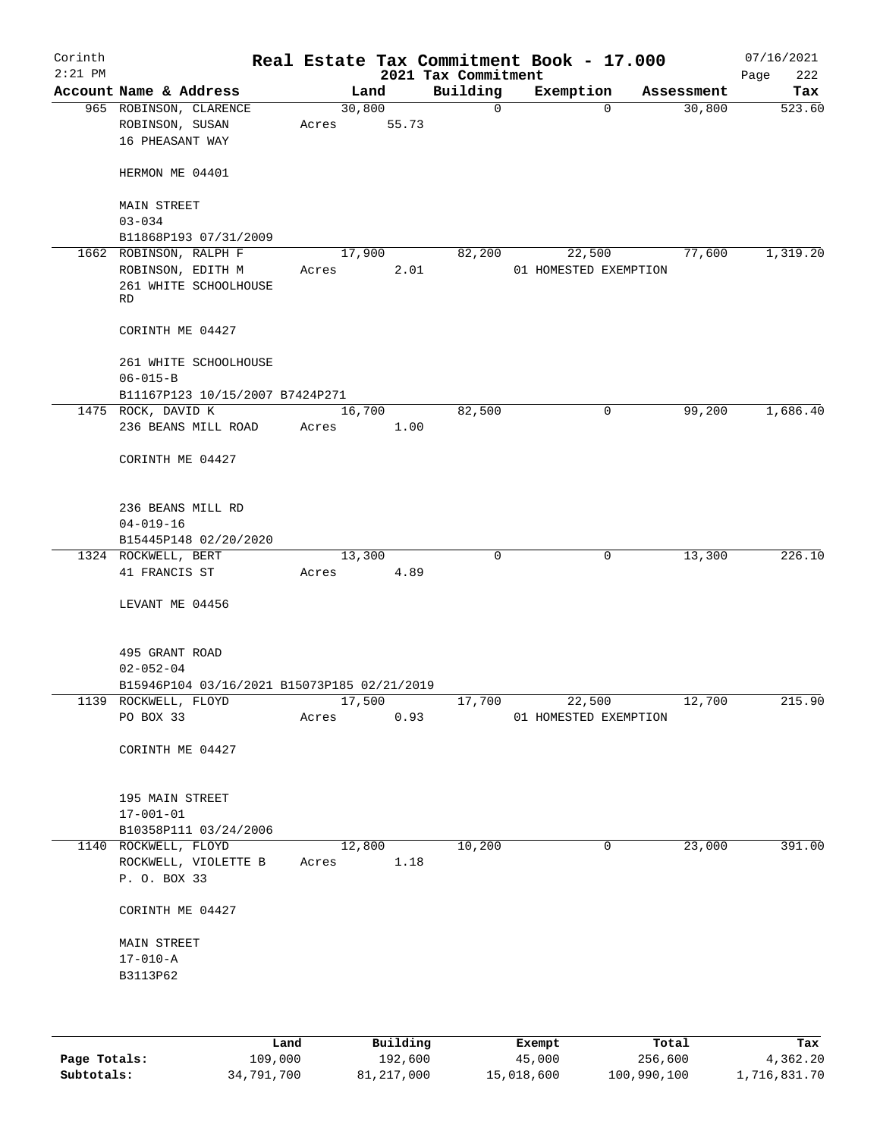| Corinth<br>$2:21$ PM |                                                              |       |                 | 2021 Tax Commitment | Real Estate Tax Commitment Book - 17.000 |            | 07/16/2021<br>222<br>Page |
|----------------------|--------------------------------------------------------------|-------|-----------------|---------------------|------------------------------------------|------------|---------------------------|
|                      | Account Name & Address                                       |       | Land            | Building            | Exemption                                | Assessment | Tax                       |
|                      | 965 ROBINSON, CLARENCE<br>ROBINSON, SUSAN<br>16 PHEASANT WAY | Acres | 30,800<br>55.73 | $\mathbf 0$         | $\mathbf 0$                              | 30,800     | 523.60                    |
|                      | HERMON ME 04401                                              |       |                 |                     |                                          |            |                           |
|                      | <b>MAIN STREET</b><br>$03 - 034$                             |       |                 |                     |                                          |            |                           |
|                      | B11868P193 07/31/2009                                        |       |                 |                     |                                          |            |                           |
|                      | 1662 ROBINSON, RALPH F                                       |       | 17,900          | 82,200              | 22,500                                   | 77,600     | 1,319.20                  |
|                      | ROBINSON, EDITH M<br>261 WHITE SCHOOLHOUSE<br>RD             | Acres | 2.01            |                     | 01 HOMESTED EXEMPTION                    |            |                           |
|                      | CORINTH ME 04427                                             |       |                 |                     |                                          |            |                           |
|                      | 261 WHITE SCHOOLHOUSE<br>$06 - 015 - B$                      |       |                 |                     |                                          |            |                           |
|                      | B11167P123 10/15/2007 B7424P271                              |       |                 |                     |                                          |            |                           |
|                      | 1475 ROCK, DAVID K                                           |       | 16,700          | 82,500              | $\mathsf{O}$                             | 99,200     | 1,686.40                  |
|                      | 236 BEANS MILL ROAD<br>CORINTH ME 04427                      | Acres | 1.00            |                     |                                          |            |                           |
|                      |                                                              |       |                 |                     |                                          |            |                           |
|                      | 236 BEANS MILL RD                                            |       |                 |                     |                                          |            |                           |
|                      | $04 - 019 - 16$                                              |       |                 |                     |                                          |            |                           |
|                      | B15445P148 02/20/2020                                        |       |                 |                     |                                          |            |                           |
|                      | 1324 ROCKWELL, BERT<br>41 FRANCIS ST                         | Acres | 13,300<br>4.89  | 0                   | 0                                        | 13,300     | 226.10                    |
|                      |                                                              |       |                 |                     |                                          |            |                           |
|                      | LEVANT ME 04456                                              |       |                 |                     |                                          |            |                           |
|                      | 495 GRANT ROAD<br>$02 - 052 - 04$                            |       |                 |                     |                                          |            |                           |
|                      | B15946P104 03/16/2021 B15073P185 02/21/2019                  |       |                 |                     |                                          |            |                           |
|                      | 1139 ROCKWELL, FLOYD                                         |       | 17,500          | 17,700              | 22,500                                   | 12,700     | 215.90                    |
|                      | PO BOX 33                                                    | Acres | 0.93            |                     | 01 HOMESTED EXEMPTION                    |            |                           |
|                      | CORINTH ME 04427                                             |       |                 |                     |                                          |            |                           |
|                      | 195 MAIN STREET                                              |       |                 |                     |                                          |            |                           |
|                      | $17 - 001 - 01$                                              |       |                 |                     |                                          |            |                           |
|                      | B10358P111 03/24/2006                                        |       |                 |                     |                                          |            |                           |
|                      | 1140 ROCKWELL, FLOYD                                         |       | 12,800          | 10,200              | 0                                        | 23,000     | 391.00                    |
|                      | ROCKWELL, VIOLETTE B<br>P. O. BOX 33                         | Acres | 1.18            |                     |                                          |            |                           |
|                      | CORINTH ME 04427                                             |       |                 |                     |                                          |            |                           |
|                      | <b>MAIN STREET</b>                                           |       |                 |                     |                                          |            |                           |
|                      | $17 - 010 - A$                                               |       |                 |                     |                                          |            |                           |
|                      | B3113P62                                                     |       |                 |                     |                                          |            |                           |
|                      |                                                              |       |                 |                     |                                          |            |                           |
|                      |                                                              | Land. | Building        |                     | <b>Fromnt</b>                            | $T$ ctal   | Tav                       |

|              | Land       | Building   | Exempt     | Total       | Tax          |
|--------------|------------|------------|------------|-------------|--------------|
| Page Totals: | 109,000    | 192,600    | 45,000     | 256,600     | 4,362.20     |
| Subtotals:   | 34,791,700 | 81,217,000 | 15,018,600 | 100,990,100 | 1,716,831.70 |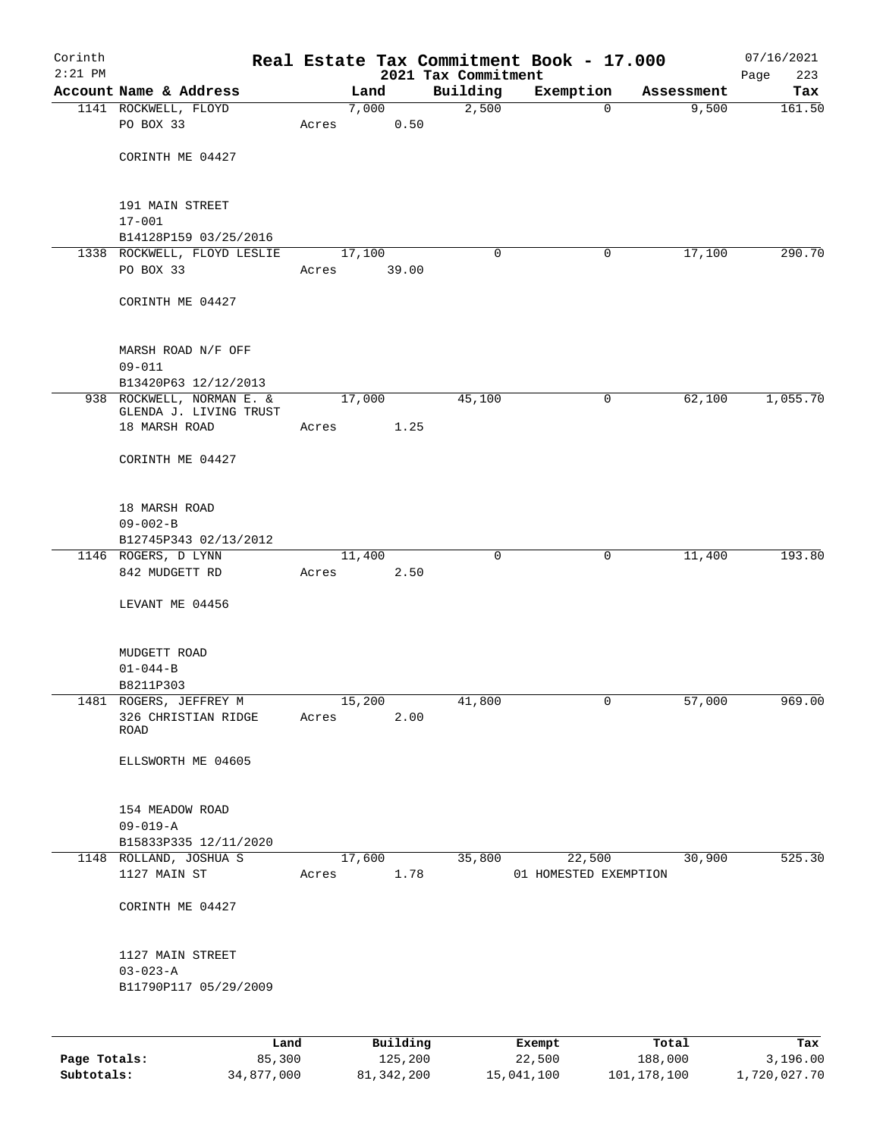| Corinth<br>$2:21$ PM |                                  |       |          | 2021 Tax Commitment | Real Estate Tax Commitment Book - 17.000 |            | 07/16/2021<br>223<br>Page |
|----------------------|----------------------------------|-------|----------|---------------------|------------------------------------------|------------|---------------------------|
|                      | Account Name & Address           |       | Land     | Building            | Exemption                                | Assessment | Tax                       |
|                      | 1141 ROCKWELL, FLOYD             |       | 7,000    | 2,500               | $\mathbf 0$                              | 9,500      | 161.50                    |
|                      | PO BOX 33                        | Acres | 0.50     |                     |                                          |            |                           |
|                      |                                  |       |          |                     |                                          |            |                           |
|                      | CORINTH ME 04427                 |       |          |                     |                                          |            |                           |
|                      | 191 MAIN STREET                  |       |          |                     |                                          |            |                           |
|                      | $17 - 001$                       |       |          |                     |                                          |            |                           |
|                      | B14128P159 03/25/2016            |       |          |                     |                                          |            |                           |
|                      | 1338 ROCKWELL, FLOYD LESLIE      |       | 17,100   | 0                   | 0                                        | 17,100     | 290.70                    |
|                      | PO BOX 33                        | Acres | 39.00    |                     |                                          |            |                           |
|                      | CORINTH ME 04427                 |       |          |                     |                                          |            |                           |
|                      | MARSH ROAD N/F OFF<br>$09 - 011$ |       |          |                     |                                          |            |                           |
|                      | B13420P63 12/12/2013             |       |          |                     |                                          |            |                           |
|                      | 938 ROCKWELL, NORMAN E. &        |       | 17,000   | 45,100              | 0                                        | 62,100     | 1,055.70                  |
|                      | GLENDA J. LIVING TRUST           |       |          |                     |                                          |            |                           |
|                      | 18 MARSH ROAD                    | Acres | 1.25     |                     |                                          |            |                           |
|                      | CORINTH ME 04427                 |       |          |                     |                                          |            |                           |
|                      | 18 MARSH ROAD                    |       |          |                     |                                          |            |                           |
|                      | $09 - 002 - B$                   |       |          |                     |                                          |            |                           |
|                      | B12745P343 02/13/2012            |       |          |                     |                                          |            |                           |
|                      | 1146 ROGERS, D LYNN              |       | 11,400   | $\mathbf 0$         | 0                                        | 11,400     | 193.80                    |
|                      | 842 MUDGETT RD                   | Acres | 2.50     |                     |                                          |            |                           |
|                      | LEVANT ME 04456                  |       |          |                     |                                          |            |                           |
|                      | MUDGETT ROAD                     |       |          |                     |                                          |            |                           |
|                      | $01 - 044 - B$                   |       |          |                     |                                          |            |                           |
|                      | B8211P303                        |       |          |                     |                                          |            |                           |
|                      | 1481 ROGERS, JEFFREY M           |       | 15,200   | 41,800              | 0                                        | 57,000     | 969.00                    |
|                      | 326 CHRISTIAN RIDGE<br>ROAD      | Acres | 2.00     |                     |                                          |            |                           |
|                      | ELLSWORTH ME 04605               |       |          |                     |                                          |            |                           |
|                      | 154 MEADOW ROAD                  |       |          |                     |                                          |            |                           |
|                      | $09 - 019 - A$                   |       |          |                     |                                          |            |                           |
|                      | B15833P335 12/11/2020            |       |          |                     |                                          |            |                           |
|                      | 1148 ROLLAND, JOSHUA S           |       | 17,600   | 35,800              | 22,500                                   | 30,900     | 525.30                    |
|                      | 1127 MAIN ST                     | Acres | 1.78     |                     | 01 HOMESTED EXEMPTION                    |            |                           |
|                      | CORINTH ME 04427                 |       |          |                     |                                          |            |                           |
|                      | 1127 MAIN STREET                 |       |          |                     |                                          |            |                           |
|                      | $03 - 023 - A$                   |       |          |                     |                                          |            |                           |
|                      | B11790P117 05/29/2009            |       |          |                     |                                          |            |                           |
|                      |                                  |       |          |                     |                                          |            |                           |
|                      |                                  | Land  | Building |                     | Exempt                                   | Total      | Tax                       |

**Page Totals:** 85,300 125,200 22,500 188,000 3,196.00 **Subtotals:** 34,877,000 81,342,200 15,041,100 101,178,100 1,720,027.70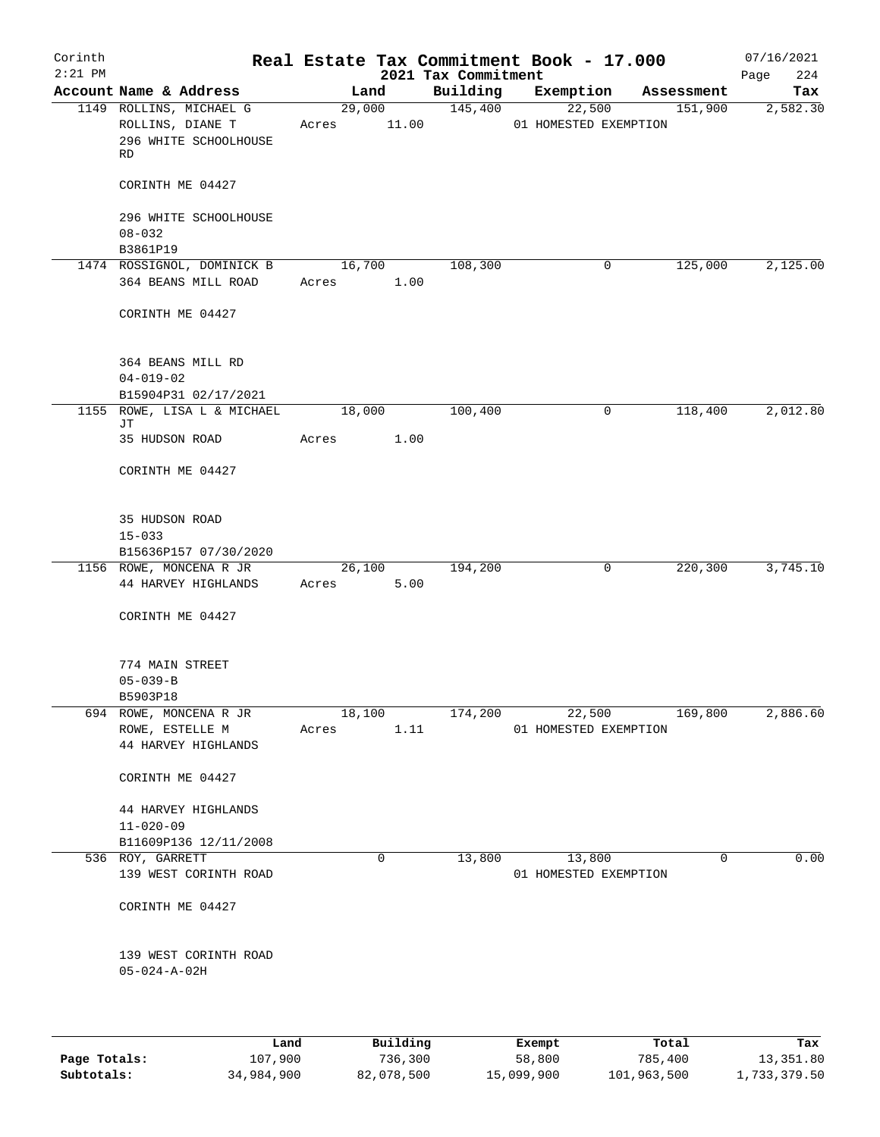| Corinth   |                                                   |       |                |                     | Real Estate Tax Commitment Book - 17.000 |                       | 07/16/2021      |
|-----------|---------------------------------------------------|-------|----------------|---------------------|------------------------------------------|-----------------------|-----------------|
| $2:21$ PM | Account Name & Address                            |       |                | 2021 Tax Commitment |                                          |                       | 224<br>Page     |
|           | 1149 ROLLINS, MICHAEL G                           |       | Land<br>29,000 | Building<br>145,400 | Exemption<br>22,500                      | Assessment<br>151,900 | Tax<br>2,582.30 |
|           | ROLLINS, DIANE T<br>296 WHITE SCHOOLHOUSE<br>RD   |       | Acres 11.00    |                     | 01 HOMESTED EXEMPTION                    |                       |                 |
|           | CORINTH ME 04427                                  |       |                |                     |                                          |                       |                 |
|           | 296 WHITE SCHOOLHOUSE<br>$08 - 032$               |       |                |                     |                                          |                       |                 |
|           | B3861P19                                          |       |                |                     |                                          |                       |                 |
|           | 1474 ROSSIGNOL, DOMINICK B<br>364 BEANS MILL ROAD | Acres | 16,700<br>1.00 | 108,300             | 0                                        | 125,000               | 2,125.00        |
|           | CORINTH ME 04427                                  |       |                |                     |                                          |                       |                 |
|           | 364 BEANS MILL RD                                 |       |                |                     |                                          |                       |                 |
|           | $04 - 019 - 02$<br>B15904P31 02/17/2021           |       |                |                     |                                          |                       |                 |
|           | 1155 ROWE, LISA L & MICHAEL                       |       | 18,000         | 100,400             | 0                                        | 118,400               | 2,012.80        |
|           | JТ<br>35 HUDSON ROAD                              | Acres | 1.00           |                     |                                          |                       |                 |
|           | CORINTH ME 04427                                  |       |                |                     |                                          |                       |                 |
|           | 35 HUDSON ROAD                                    |       |                |                     |                                          |                       |                 |
|           | $15 - 033$<br>B15636P157 07/30/2020               |       |                |                     |                                          |                       |                 |
|           | 1156 ROWE, MONCENA R JR                           |       | 26,100         | 194,200             | 0                                        | 220,300               | 3,745.10        |
|           | 44 HARVEY HIGHLANDS                               | Acres | 5.00           |                     |                                          |                       |                 |
|           | CORINTH ME 04427                                  |       |                |                     |                                          |                       |                 |
|           | 774 MAIN STREET<br>$05 - 039 - B$                 |       |                |                     |                                          |                       |                 |
|           | B5903P18<br>694 ROWE, MONCENA R JR                |       | 18,100         | 174,200             | 22,500                                   | 169,800               | 2,886.60        |
|           | ROWE, ESTELLE M<br>44 HARVEY HIGHLANDS            |       | Acres 1.11     |                     | 01 HOMESTED EXEMPTION                    |                       |                 |
|           | CORINTH ME 04427                                  |       |                |                     |                                          |                       |                 |
|           | 44 HARVEY HIGHLANDS<br>$11 - 020 - 09$            |       |                |                     |                                          |                       |                 |
|           | B11609P136 12/11/2008                             |       |                |                     |                                          |                       |                 |
|           | 536 ROY, GARRETT<br>139 WEST CORINTH ROAD         |       | $\mathsf{O}$   | 13,800              | 13,800<br>01 HOMESTED EXEMPTION          | 0                     | 0.00            |
|           | CORINTH ME 04427                                  |       |                |                     |                                          |                       |                 |
|           | 139 WEST CORINTH ROAD<br>$05 - 024 - A - 02H$     |       |                |                     |                                          |                       |                 |
|           |                                                   |       |                |                     |                                          |                       |                 |
|           | Land                                              |       | Building       |                     | Exempt                                   | Total                 | Tax             |

|              | ⊔ano       | Building   | Exempt     | тосат       | тах          |
|--------------|------------|------------|------------|-------------|--------------|
| Page Totals: | 107,900    | 736,300    | 58,800     | 785,400     | 13,351.80    |
| Subtotals:   | 34,984,900 | 82,078,500 | 15,099,900 | 101,963,500 | 1,733,379.50 |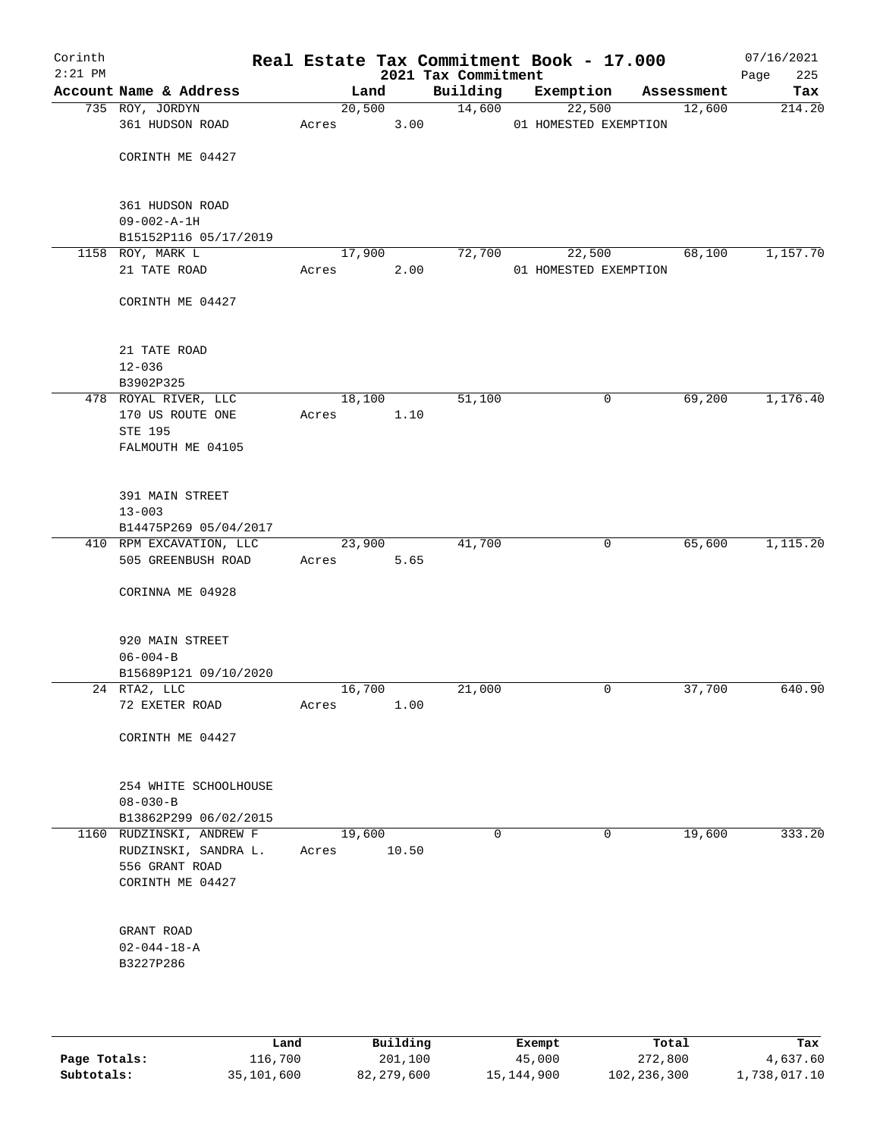| Corinth<br>$2:21$ PM |                                        |       |        |       | Real Estate Tax Commitment Book - 17.000<br>2021 Tax Commitment |           |                       |            | 07/16/2021<br>Page<br>225 |
|----------------------|----------------------------------------|-------|--------|-------|-----------------------------------------------------------------|-----------|-----------------------|------------|---------------------------|
|                      | Account Name & Address                 |       | Land   |       | Building                                                        | Exemption |                       | Assessment | Tax                       |
|                      | 735 ROY, JORDYN                        |       | 20,500 |       | 14,600                                                          | 22,500    |                       | 12,600     | 214.20                    |
|                      | 361 HUDSON ROAD                        | Acres |        | 3.00  |                                                                 |           | 01 HOMESTED EXEMPTION |            |                           |
|                      | CORINTH ME 04427                       |       |        |       |                                                                 |           |                       |            |                           |
|                      | 361 HUDSON ROAD<br>$09 - 002 - A - 1H$ |       |        |       |                                                                 |           |                       |            |                           |
|                      | B15152P116 05/17/2019                  |       |        |       |                                                                 |           |                       |            |                           |
|                      | 1158 ROY, MARK L                       |       | 17,900 |       | 72,700                                                          | 22,500    |                       | 68,100     | 1,157.70                  |
|                      | 21 TATE ROAD                           | Acres |        | 2.00  |                                                                 |           | 01 HOMESTED EXEMPTION |            |                           |
|                      | CORINTH ME 04427                       |       |        |       |                                                                 |           |                       |            |                           |
|                      | 21 TATE ROAD                           |       |        |       |                                                                 |           |                       |            |                           |
|                      | $12 - 036$                             |       |        |       |                                                                 |           |                       |            |                           |
|                      | B3902P325                              |       |        |       |                                                                 |           |                       |            |                           |
|                      | 478 ROYAL RIVER, LLC                   |       | 18,100 |       | 51,100                                                          |           | 0                     | 69,200     | 1,176.40                  |
|                      | 170 US ROUTE ONE                       | Acres |        | 1.10  |                                                                 |           |                       |            |                           |
|                      | <b>STE 195</b>                         |       |        |       |                                                                 |           |                       |            |                           |
|                      | FALMOUTH ME 04105                      |       |        |       |                                                                 |           |                       |            |                           |
|                      | 391 MAIN STREET                        |       |        |       |                                                                 |           |                       |            |                           |
|                      | $13 - 003$                             |       |        |       |                                                                 |           |                       |            |                           |
|                      | B14475P269 05/04/2017                  |       |        |       |                                                                 |           |                       |            |                           |
|                      | 410 RPM EXCAVATION, LLC                |       | 23,900 |       | 41,700                                                          |           | 0                     | 65,600     | 1,115.20                  |
|                      | 505 GREENBUSH ROAD                     | Acres |        | 5.65  |                                                                 |           |                       |            |                           |
|                      | CORINNA ME 04928                       |       |        |       |                                                                 |           |                       |            |                           |
|                      | 920 MAIN STREET                        |       |        |       |                                                                 |           |                       |            |                           |
|                      | $06 - 004 - B$                         |       |        |       |                                                                 |           |                       |            |                           |
|                      | B15689P121 09/10/2020                  |       |        |       |                                                                 |           |                       |            |                           |
|                      | 24 RTA2, LLC                           |       | 16,700 |       | 21,000                                                          |           | 0                     | 37,700     | 640.90                    |
|                      | 72 EXETER ROAD                         | Acres |        | 1.00  |                                                                 |           |                       |            |                           |
|                      | CORINTH ME 04427                       |       |        |       |                                                                 |           |                       |            |                           |
|                      | 254 WHITE SCHOOLHOUSE                  |       |        |       |                                                                 |           |                       |            |                           |
|                      | $08 - 030 - B$                         |       |        |       |                                                                 |           |                       |            |                           |
|                      | B13862P299 06/02/2015                  |       |        |       |                                                                 |           |                       |            |                           |
|                      | 1160 RUDZINSKI, ANDREW F               |       | 19,600 |       | 0                                                               |           | $\mathbf 0$           | 19,600     | 333.20                    |
|                      | RUDZINSKI, SANDRA L.                   | Acres |        | 10.50 |                                                                 |           |                       |            |                           |
|                      | 556 GRANT ROAD<br>CORINTH ME 04427     |       |        |       |                                                                 |           |                       |            |                           |
|                      |                                        |       |        |       |                                                                 |           |                       |            |                           |
|                      | GRANT ROAD                             |       |        |       |                                                                 |           |                       |            |                           |
|                      | $02 - 044 - 18 - A$                    |       |        |       |                                                                 |           |                       |            |                           |
|                      | B3227P286                              |       |        |       |                                                                 |           |                       |            |                           |
|                      |                                        |       |        |       |                                                                 |           |                       |            |                           |
|                      |                                        |       |        |       |                                                                 |           |                       |            |                           |
|                      |                                        |       |        |       |                                                                 |           |                       |            |                           |

|              | Land       | Building   | Exempt     | Total       | Tax          |
|--------------|------------|------------|------------|-------------|--------------|
| Page Totals: | 116,700    | 201,100    | 45,000     | 272,800     | 4,637.60     |
| Subtotals:   | 35,101,600 | 82,279,600 | 15,144,900 | 102,236,300 | 1,738,017.10 |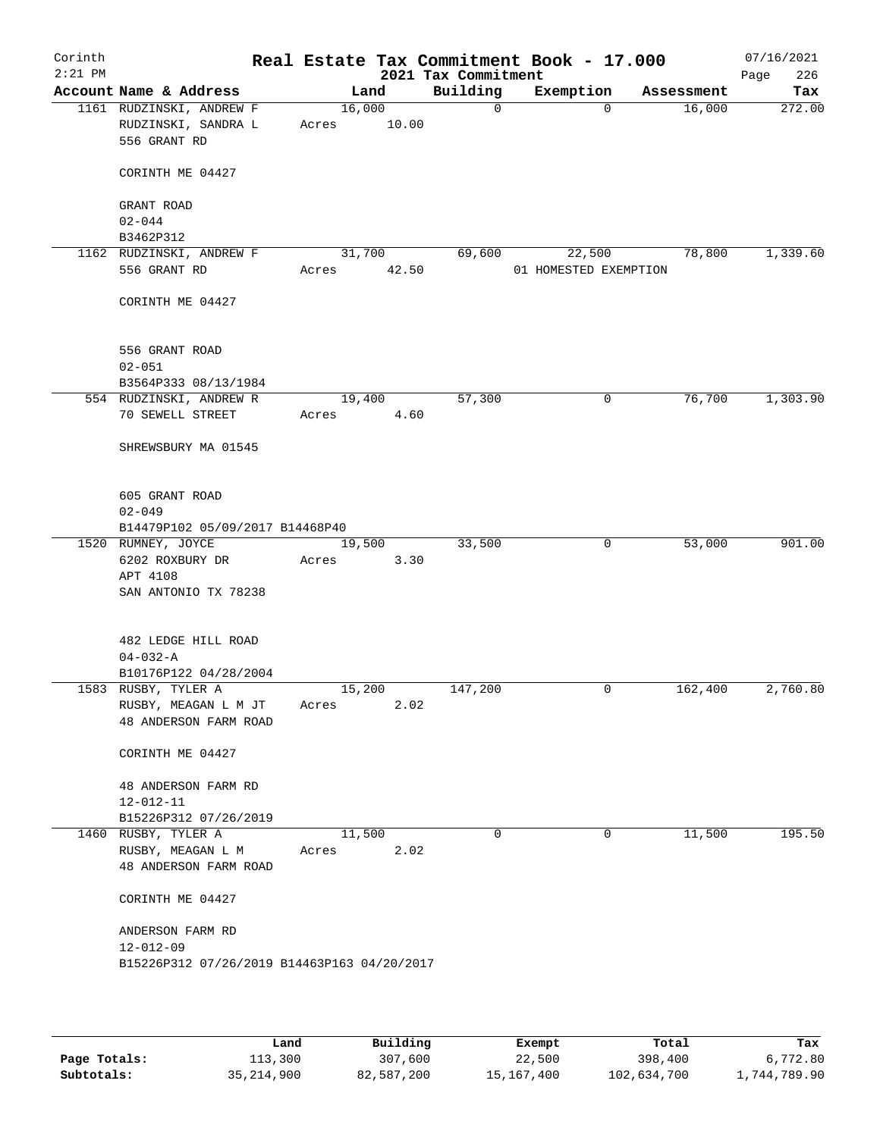| Corinth<br>$2:21$ PM |                                             |       |        | Real Estate Tax Commitment Book - 17.000<br>2021 Tax Commitment |                       |          |            | 07/16/2021<br>226<br>Page |
|----------------------|---------------------------------------------|-------|--------|-----------------------------------------------------------------|-----------------------|----------|------------|---------------------------|
|                      | Account Name & Address                      |       | Land   | Building                                                        | Exemption             |          | Assessment | Tax                       |
|                      | 1161 RUDZINSKI, ANDREW F                    |       | 16,000 | $\mathsf{O}$                                                    |                       | $\Omega$ | 16,000     | 272.00                    |
|                      | RUDZINSKI, SANDRA L                         | Acres | 10.00  |                                                                 |                       |          |            |                           |
|                      | 556 GRANT RD                                |       |        |                                                                 |                       |          |            |                           |
|                      | CORINTH ME 04427                            |       |        |                                                                 |                       |          |            |                           |
|                      | GRANT ROAD                                  |       |        |                                                                 |                       |          |            |                           |
|                      | $02 - 044$                                  |       |        |                                                                 |                       |          |            |                           |
|                      | B3462P312<br>1162 RUDZINSKI, ANDREW F       |       | 31,700 | 69,600                                                          | 22,500                |          | 78,800     | 1,339.60                  |
|                      | 556 GRANT RD                                | Acres | 42.50  |                                                                 | 01 HOMESTED EXEMPTION |          |            |                           |
|                      | CORINTH ME 04427                            |       |        |                                                                 |                       |          |            |                           |
|                      | 556 GRANT ROAD                              |       |        |                                                                 |                       |          |            |                           |
|                      | $02 - 051$                                  |       |        |                                                                 |                       |          |            |                           |
|                      | B3564P333 08/13/1984                        |       |        |                                                                 |                       |          |            |                           |
|                      | 554 RUDZINSKI, ANDREW R                     |       | 19,400 | 57,300                                                          |                       | 0        | 76,700     | 1,303.90                  |
|                      | 70 SEWELL STREET                            | Acres | 4.60   |                                                                 |                       |          |            |                           |
|                      | SHREWSBURY MA 01545                         |       |        |                                                                 |                       |          |            |                           |
|                      | 605 GRANT ROAD                              |       |        |                                                                 |                       |          |            |                           |
|                      | $02 - 049$                                  |       |        |                                                                 |                       |          |            |                           |
|                      | B14479P102 05/09/2017 B14468P40             |       |        |                                                                 |                       |          |            |                           |
|                      | 1520 RUMNEY, JOYCE                          |       | 19,500 | 33,500                                                          |                       | 0        | 53,000     | 901.00                    |
|                      | 6202 ROXBURY DR<br>APT 4108                 | Acres | 3.30   |                                                                 |                       |          |            |                           |
|                      | SAN ANTONIO TX 78238                        |       |        |                                                                 |                       |          |            |                           |
|                      |                                             |       |        |                                                                 |                       |          |            |                           |
|                      | 482 LEDGE HILL ROAD                         |       |        |                                                                 |                       |          |            |                           |
|                      | $04 - 032 - A$<br>B10176P122 04/28/2004     |       |        |                                                                 |                       |          |            |                           |
|                      | 1583 RUSBY, TYLER A                         |       | 15,200 | 147,200                                                         |                       | 0        | 162,400    | 2,760.80                  |
|                      | RUSBY, MEAGAN L M JT                        | Acres | 2.02   |                                                                 |                       |          |            |                           |
|                      | 48 ANDERSON FARM ROAD                       |       |        |                                                                 |                       |          |            |                           |
|                      | CORINTH ME 04427                            |       |        |                                                                 |                       |          |            |                           |
|                      | 48 ANDERSON FARM RD                         |       |        |                                                                 |                       |          |            |                           |
|                      | $12 - 012 - 11$                             |       |        |                                                                 |                       |          |            |                           |
|                      | B15226P312 07/26/2019                       |       |        |                                                                 |                       |          |            |                           |
|                      | 1460 RUSBY, TYLER A                         |       | 11,500 | $\Omega$                                                        |                       | 0        | 11,500     | 195.50                    |
|                      | RUSBY, MEAGAN L M                           | Acres | 2.02   |                                                                 |                       |          |            |                           |
|                      | 48 ANDERSON FARM ROAD                       |       |        |                                                                 |                       |          |            |                           |
|                      | CORINTH ME 04427                            |       |        |                                                                 |                       |          |            |                           |
|                      | ANDERSON FARM RD                            |       |        |                                                                 |                       |          |            |                           |
|                      | $12 - 012 - 09$                             |       |        |                                                                 |                       |          |            |                           |
|                      | B15226P312 07/26/2019 B14463P163 04/20/2017 |       |        |                                                                 |                       |          |            |                           |
|                      |                                             |       |        |                                                                 |                       |          |            |                           |
|                      |                                             |       |        |                                                                 |                       |          |            |                           |

|              | Land         | Building   | Exempt     | Total       | Tax          |
|--------------|--------------|------------|------------|-------------|--------------|
| Page Totals: | 113,300      | 307,600    | 22,500     | 398,400     | 6,772.80     |
| Subtotals:   | 35, 214, 900 | 82,587,200 | 15,167,400 | 102,634,700 | 1,744,789.90 |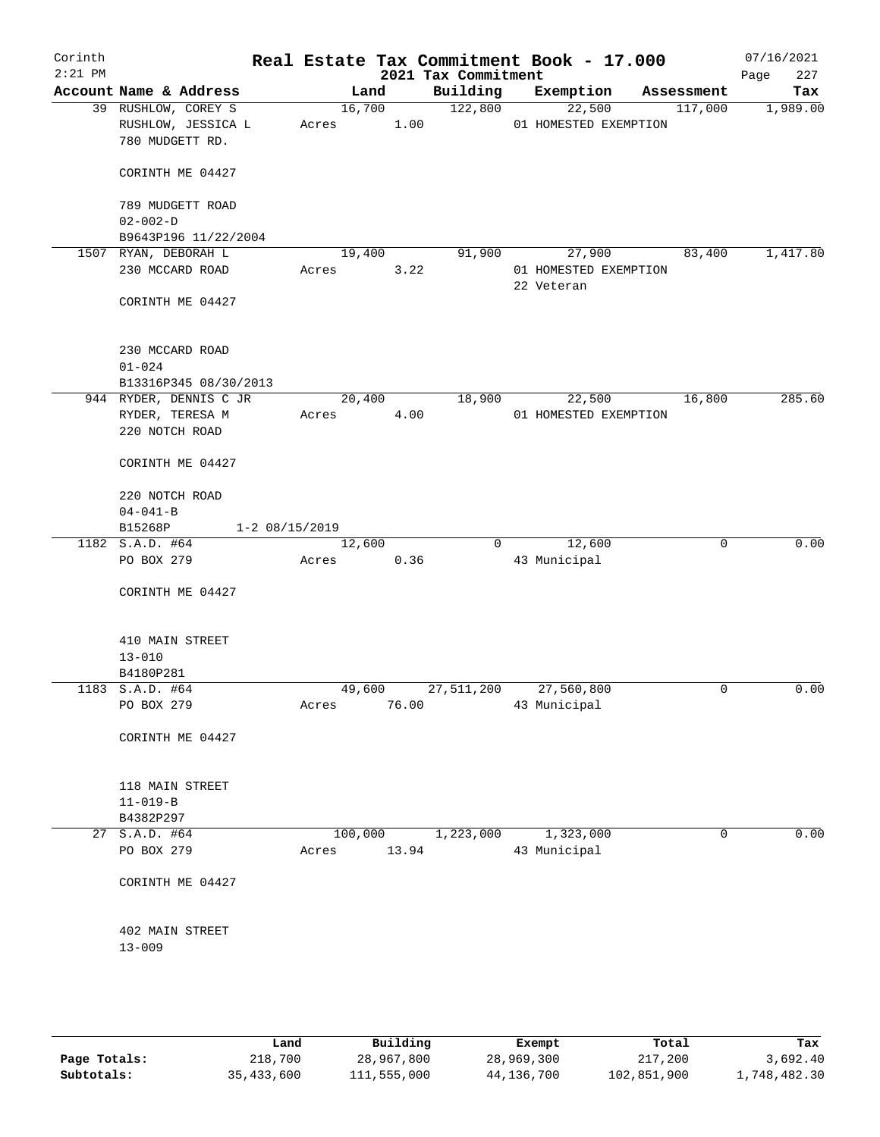| Corinth<br>$2:21$ PM |                                                              |                      |                 |         | 2021 Tax Commitment | Real Estate Tax Commitment Book - 17.000 |             | 07/16/2021<br>227<br>Page |
|----------------------|--------------------------------------------------------------|----------------------|-----------------|---------|---------------------|------------------------------------------|-------------|---------------------------|
|                      | Account Name & Address                                       |                      |                 | Land    | Building            | Exemption                                | Assessment  | Tax                       |
|                      | 39 RUSHLOW, COREY S<br>RUSHLOW, JESSICA L<br>780 MUDGETT RD. |                      | 16,700<br>Acres | 1.00    | 122,800             | 22,500<br>01 HOMESTED EXEMPTION          | 117,000     | 1,989.00                  |
|                      | CORINTH ME 04427                                             |                      |                 |         |                     |                                          |             |                           |
|                      | 789 MUDGETT ROAD<br>$02 - 002 - D$                           |                      |                 |         |                     |                                          |             |                           |
|                      | B9643P196 11/22/2004                                         |                      |                 |         |                     |                                          |             |                           |
|                      | 1507 RYAN, DEBORAH L                                         |                      | 19,400          |         | 91,900              | 27,900                                   | 83,400      | 1,417.80                  |
|                      | 230 MCCARD ROAD                                              |                      | Acres           | 3.22    |                     | 01 HOMESTED EXEMPTION<br>22 Veteran      |             |                           |
|                      | CORINTH ME 04427                                             |                      |                 |         |                     |                                          |             |                           |
|                      | 230 MCCARD ROAD                                              |                      |                 |         |                     |                                          |             |                           |
|                      | $01 - 024$                                                   |                      |                 |         |                     |                                          |             |                           |
|                      | B13316P345 08/30/2013                                        |                      |                 |         |                     |                                          |             |                           |
|                      | 944 RYDER, DENNIS C JR                                       |                      | 20,400          |         | 18,900              | 22,500                                   | 16,800      | 285.60                    |
|                      | RYDER, TERESA M                                              |                      | Acres           | 4.00    |                     | 01 HOMESTED EXEMPTION                    |             |                           |
|                      | 220 NOTCH ROAD                                               |                      |                 |         |                     |                                          |             |                           |
|                      | CORINTH ME 04427                                             |                      |                 |         |                     |                                          |             |                           |
|                      | 220 NOTCH ROAD                                               |                      |                 |         |                     |                                          |             |                           |
|                      | $04 - 041 - B$                                               |                      |                 |         |                     |                                          |             |                           |
|                      | B15268P                                                      | $1 - 2 \ 08/15/2019$ |                 |         |                     |                                          |             |                           |
|                      | 1182 S.A.D. #64                                              |                      | 12,600          |         | $\Omega$            | 12,600                                   | $\mathbf 0$ | 0.00                      |
|                      | PO BOX 279                                                   |                      | Acres           | 0.36    |                     | 43 Municipal                             |             |                           |
|                      | CORINTH ME 04427                                             |                      |                 |         |                     |                                          |             |                           |
|                      | 410 MAIN STREET                                              |                      |                 |         |                     |                                          |             |                           |
|                      | $13 - 010$                                                   |                      |                 |         |                     |                                          |             |                           |
|                      | B4180P281                                                    |                      |                 |         |                     |                                          |             |                           |
|                      | 1183 S.A.D. #64                                              |                      | 49,600          |         | 27,511,200          | 27,560,800                               | $\mathbf 0$ | 0.00                      |
|                      | PO BOX 279                                                   |                      | Acres           | 76.00   |                     | 43 Municipal                             |             |                           |
|                      | CORINTH ME 04427                                             |                      |                 |         |                     |                                          |             |                           |
|                      | 118 MAIN STREET                                              |                      |                 |         |                     |                                          |             |                           |
|                      | $11 - 019 - B$                                               |                      |                 |         |                     |                                          |             |                           |
|                      | B4382P297                                                    |                      |                 |         |                     |                                          |             |                           |
|                      | 27 S.A.D. #64                                                |                      |                 | 100,000 | 1,223,000           | 1,323,000                                | $\mathbf 0$ | 0.00                      |
|                      | PO BOX 279                                                   |                      | Acres           | 13.94   |                     | 43 Municipal                             |             |                           |
|                      | CORINTH ME 04427                                             |                      |                 |         |                     |                                          |             |                           |
|                      | 402 MAIN STREET                                              |                      |                 |         |                     |                                          |             |                           |
|                      | $13 - 009$                                                   |                      |                 |         |                     |                                          |             |                           |
|                      |                                                              |                      |                 |         |                     |                                          |             |                           |
|                      |                                                              |                      |                 |         |                     |                                          |             |                           |

|              | Land         | Building    | Exempt     | Total       | Tax          |
|--------------|--------------|-------------|------------|-------------|--------------|
| Page Totals: | 218,700      | 28,967,800  | 28,969,300 | 217,200     | 3,692.40     |
| Subtotals:   | 35, 433, 600 | 111,555,000 | 44,136,700 | 102,851,900 | 1,748,482.30 |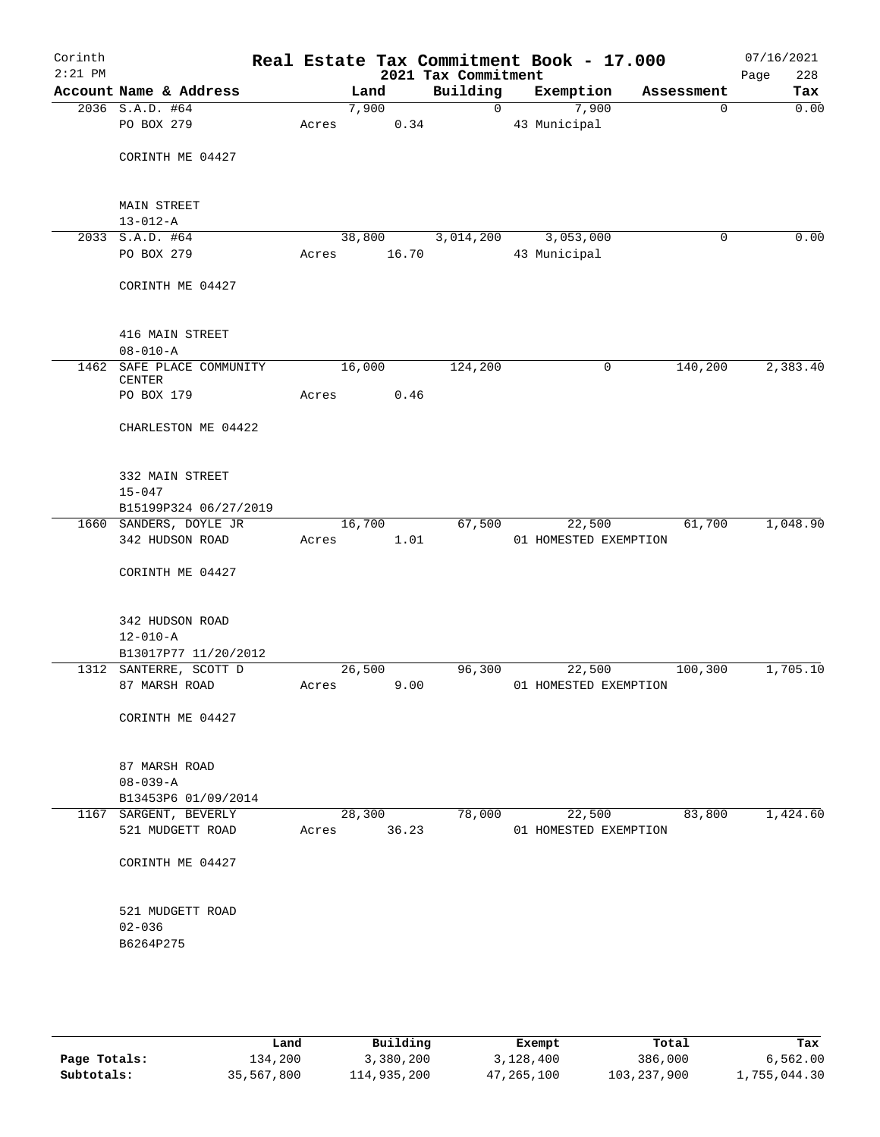| Corinth<br>$2:21$ PM |                                                           |       |        | 2021 Tax Commitment | Real Estate Tax Commitment Book - 17.000 |            | 07/16/2021<br>Page<br>228 |
|----------------------|-----------------------------------------------------------|-------|--------|---------------------|------------------------------------------|------------|---------------------------|
|                      | Account Name & Address                                    |       | Land   | Building            | Exemption                                | Assessment | Tax                       |
|                      | 2036 S.A.D. #64                                           |       | 7,900  | $\overline{0}$      | 7,900                                    | 0          | 0.00                      |
|                      | PO BOX 279                                                | Acres | 0.34   |                     | 43 Municipal                             |            |                           |
|                      | CORINTH ME 04427                                          |       |        |                     |                                          |            |                           |
|                      | <b>MAIN STREET</b><br>$13 - 012 - A$                      |       |        |                     |                                          |            |                           |
|                      | 2033 S.A.D. #64                                           |       | 38,800 | 3,014,200           | 3,053,000                                | 0          | 0.00                      |
|                      | PO BOX 279                                                | Acres | 16.70  |                     | 43 Municipal                             |            |                           |
|                      | CORINTH ME 04427                                          |       |        |                     |                                          |            |                           |
|                      | 416 MAIN STREET<br>$08 - 010 - A$                         |       |        |                     |                                          |            |                           |
| 1462                 | SAFE PLACE COMMUNITY<br><b>CENTER</b>                     |       | 16,000 | 124,200             | 0                                        | 140,200    | 2,383.40                  |
|                      | PO BOX 179                                                | Acres | 0.46   |                     |                                          |            |                           |
|                      | CHARLESTON ME 04422                                       |       |        |                     |                                          |            |                           |
|                      | 332 MAIN STREET<br>$15 - 047$                             |       |        |                     |                                          |            |                           |
|                      | B15199P324 06/27/2019                                     |       |        |                     |                                          |            |                           |
|                      | 1660 SANDERS, DOYLE JR                                    |       | 16,700 | 67,500              | 22,500                                   | 61,700     | 1,048.90                  |
|                      | 342 HUDSON ROAD                                           | Acres | 1.01   |                     | 01 HOMESTED EXEMPTION                    |            |                           |
|                      | CORINTH ME 04427                                          |       |        |                     |                                          |            |                           |
|                      | 342 HUDSON ROAD<br>$12 - 010 - A$<br>B13017P77 11/20/2012 |       |        |                     |                                          |            |                           |
|                      | 1312 SANTERRE, SCOTT D                                    |       | 26,500 | 96,300              | 22,500                                   | 100, 300   | 1,705.10                  |
|                      | 87 MARSH ROAD                                             | Acres | 9.00   |                     | 01 HOMESTED EXEMPTION                    |            |                           |
|                      | CORINTH ME 04427                                          |       |        |                     |                                          |            |                           |
|                      | 87 MARSH ROAD<br>$08 - 039 - A$                           |       |        |                     |                                          |            |                           |
|                      | B13453P6 01/09/2014                                       |       |        |                     |                                          |            |                           |
| 1167                 | SARGENT, BEVERLY                                          |       | 28,300 | 78,000              | 22,500                                   | 83,800     | 1,424.60                  |
|                      | 521 MUDGETT ROAD                                          | Acres | 36.23  |                     | 01 HOMESTED EXEMPTION                    |            |                           |
|                      | CORINTH ME 04427                                          |       |        |                     |                                          |            |                           |
|                      | 521 MUDGETT ROAD<br>$02 - 036$                            |       |        |                     |                                          |            |                           |
|                      | B6264P275                                                 |       |        |                     |                                          |            |                           |

|              | Land       | Building    | Exempt     | Total       | Tax          |
|--------------|------------|-------------|------------|-------------|--------------|
| Page Totals: | 134,200    | 3,380,200   | 3,128,400  | 386,000     | 6.562.00     |
| Subtotals:   | 35,567,800 | 114,935,200 | 47,265,100 | 103,237,900 | 1,755,044.30 |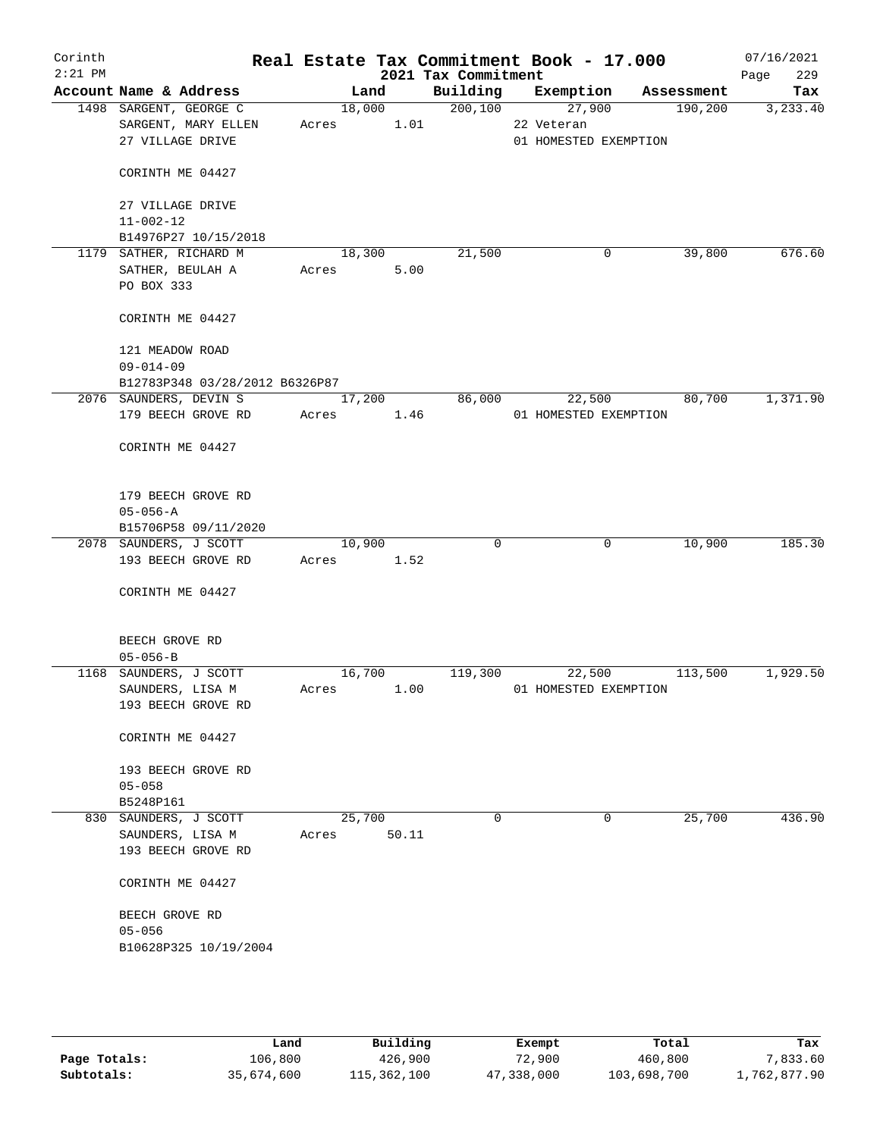| Corinth<br>$2:21$ PM |                                |            |        | 2021 Tax Commitment | Real Estate Tax Commitment Book - 17.000 |             |         | 07/16/2021<br>229<br>Page |
|----------------------|--------------------------------|------------|--------|---------------------|------------------------------------------|-------------|---------|---------------------------|
|                      | Account Name & Address         |            | Land   |                     | Building Exemption Assessment            |             |         | Tax                       |
|                      | 1498 SARGENT, GEORGE C         |            | 18,000 | 200, 100            | 27,900                                   |             | 190,200 | 3,233.40                  |
|                      | SARGENT, MARY ELLEN            | Acres      | 1.01   |                     | 22 Veteran                               |             |         |                           |
|                      | 27 VILLAGE DRIVE               |            |        |                     | 01 HOMESTED EXEMPTION                    |             |         |                           |
|                      | CORINTH ME 04427               |            |        |                     |                                          |             |         |                           |
|                      | 27 VILLAGE DRIVE               |            |        |                     |                                          |             |         |                           |
|                      | $11 - 002 - 12$                |            |        |                     |                                          |             |         |                           |
|                      | B14976P27 10/15/2018           |            |        |                     |                                          |             |         |                           |
|                      | 1179 SATHER, RICHARD M         |            | 18,300 | 21,500              |                                          | 0           | 39,800  | 676.60                    |
|                      | SATHER, BEULAH A               | Acres      | 5.00   |                     |                                          |             |         |                           |
|                      | PO BOX 333                     |            |        |                     |                                          |             |         |                           |
|                      | CORINTH ME 04427               |            |        |                     |                                          |             |         |                           |
|                      | 121 MEADOW ROAD                |            |        |                     |                                          |             |         |                           |
|                      | $09 - 014 - 09$                |            |        |                     |                                          |             |         |                           |
|                      | B12783P348 03/28/2012 B6326P87 |            |        |                     |                                          |             |         |                           |
|                      | 2076 SAUNDERS, DEVIN S         |            | 17,200 | 86,000              | 22,500                                   |             | 80,700  | 1,371.90                  |
|                      | 179 BEECH GROVE RD             | Acres 1.46 |        |                     | 01 HOMESTED EXEMPTION                    |             |         |                           |
|                      | CORINTH ME 04427               |            |        |                     |                                          |             |         |                           |
|                      | 179 BEECH GROVE RD             |            |        |                     |                                          |             |         |                           |
|                      | $05 - 056 - A$                 |            |        |                     |                                          |             |         |                           |
|                      | B15706P58 09/11/2020           |            |        |                     |                                          |             |         |                           |
|                      | 2078 SAUNDERS, J SCOTT         | 10,900     |        | $\Omega$            |                                          | $\mathbf 0$ | 10,900  | 185.30                    |
|                      | 193 BEECH GROVE RD             | Acres 1.52 |        |                     |                                          |             |         |                           |
|                      | CORINTH ME 04427               |            |        |                     |                                          |             |         |                           |
|                      | BEECH GROVE RD                 |            |        |                     |                                          |             |         |                           |
|                      | $05 - 056 - B$                 |            |        |                     |                                          |             |         |                           |
|                      | 1168 SAUNDERS, J SCOTT         | 16,700     |        | 119,300             | 22,500                                   |             | 113,500 | 1,929.50                  |
|                      | SAUNDERS, LISA M               | Acres      | 1.00   |                     | 01 HOMESTED EXEMPTION                    |             |         |                           |
|                      | 193 BEECH GROVE RD             |            |        |                     |                                          |             |         |                           |
|                      | CORINTH ME 04427               |            |        |                     |                                          |             |         |                           |
|                      | 193 BEECH GROVE RD             |            |        |                     |                                          |             |         |                           |
|                      | $05 - 058$                     |            |        |                     |                                          |             |         |                           |
|                      | B5248P161                      |            |        |                     |                                          |             |         |                           |
|                      | 830 SAUNDERS, J SCOTT          | 25,700     |        | 0                   |                                          | 0           | 25,700  | 436.90                    |
|                      | SAUNDERS, LISA M               | Acres      | 50.11  |                     |                                          |             |         |                           |
|                      | 193 BEECH GROVE RD             |            |        |                     |                                          |             |         |                           |
|                      | CORINTH ME 04427               |            |        |                     |                                          |             |         |                           |
|                      | BEECH GROVE RD                 |            |        |                     |                                          |             |         |                           |
|                      | $05 - 056$                     |            |        |                     |                                          |             |         |                           |
|                      | B10628P325 10/19/2004          |            |        |                     |                                          |             |         |                           |
|                      |                                |            |        |                     |                                          |             |         |                           |
|                      |                                |            |        |                     |                                          |             |         |                           |
|                      |                                |            |        |                     |                                          |             |         |                           |

|              | Land       | Building    | Exempt     | Total       | Tax          |
|--------------|------------|-------------|------------|-------------|--------------|
| Page Totals: | 106,800    | 426,900     | 72,900     | 460,800     | 7,833.60     |
| Subtotals:   | 35,674,600 | 115,362,100 | 47,338,000 | 103,698,700 | 1,762,877.90 |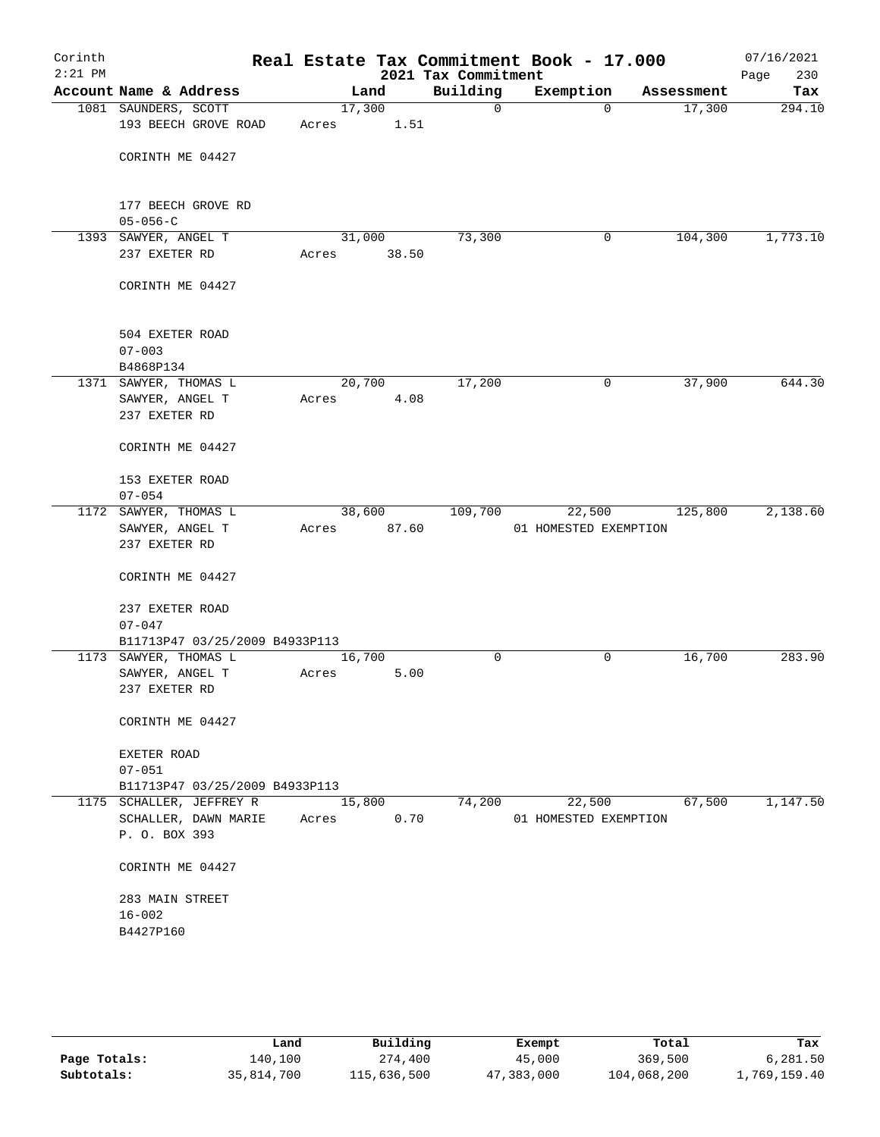| Corinth<br>$2:21$ PM |                                              |                 |                 | 2021 Tax Commitment | Real Estate Tax Commitment Book - 17.000 |            | 07/16/2021<br>Page<br>230 |
|----------------------|----------------------------------------------|-----------------|-----------------|---------------------|------------------------------------------|------------|---------------------------|
|                      | Account Name & Address                       |                 | Land            | Building            | Exemption                                | Assessment | Tax                       |
|                      | 1081 SAUNDERS, SCOTT<br>193 BEECH GROVE ROAD | 17,300<br>Acres | 1.51            | 0                   | $\mathbf 0$                              | 17,300     | 294.10                    |
|                      | CORINTH ME 04427                             |                 |                 |                     |                                          |            |                           |
|                      | 177 BEECH GROVE RD                           |                 |                 |                     |                                          |            |                           |
|                      | $05 - 056 - C$                               |                 |                 |                     |                                          |            |                           |
|                      | 1393 SAWYER, ANGEL T<br>237 EXETER RD        | Acres           | 31,000<br>38.50 | 73,300              | 0                                        | 104,300    | 1,773.10                  |
|                      | CORINTH ME 04427                             |                 |                 |                     |                                          |            |                           |
|                      | 504 EXETER ROAD<br>$07 - 003$                |                 |                 |                     |                                          |            |                           |
|                      | B4868P134                                    |                 |                 |                     |                                          |            |                           |
|                      | 1371 SAWYER, THOMAS L                        |                 | 20,700          | 17,200              | 0                                        | 37,900     | 644.30                    |
|                      | SAWYER, ANGEL T<br>237 EXETER RD             | Acres           | 4.08            |                     |                                          |            |                           |
|                      | CORINTH ME 04427                             |                 |                 |                     |                                          |            |                           |
|                      | 153 EXETER ROAD<br>$07 - 054$                |                 |                 |                     |                                          |            |                           |
|                      | 1172 SAWYER, THOMAS L                        |                 | 38,600          | 109,700             | 22,500                                   | 125,800    | 2,138.60                  |
|                      | SAWYER, ANGEL T                              | Acres           | 87.60           |                     | 01 HOMESTED EXEMPTION                    |            |                           |
|                      | 237 EXETER RD                                |                 |                 |                     |                                          |            |                           |
|                      | CORINTH ME 04427                             |                 |                 |                     |                                          |            |                           |
|                      | 237 EXETER ROAD                              |                 |                 |                     |                                          |            |                           |
|                      | $07 - 047$                                   |                 |                 |                     |                                          |            |                           |
|                      | B11713P47 03/25/2009 B4933P113               |                 |                 |                     |                                          |            |                           |
|                      | 1173 SAWYER, THOMAS L                        | 16,700          |                 | 0                   | 0                                        | 16,700     | 283.90                    |
|                      | SAWYER, ANGEL T<br>237 EXETER RD             | Acres           | 5.00            |                     |                                          |            |                           |
|                      | CORINTH ME 04427                             |                 |                 |                     |                                          |            |                           |
|                      | EXETER ROAD<br>$07 - 051$                    |                 |                 |                     |                                          |            |                           |
|                      | B11713P47 03/25/2009 B4933P113               |                 |                 |                     |                                          |            |                           |
|                      | 1175 SCHALLER, JEFFREY R                     |                 | 15,800          | 74,200              | 22,500                                   | 67,500     | 1,147.50                  |
|                      | SCHALLER, DAWN MARIE                         | Acres           | 0.70            |                     | 01 HOMESTED EXEMPTION                    |            |                           |
|                      | P. O. BOX 393                                |                 |                 |                     |                                          |            |                           |
|                      | CORINTH ME 04427                             |                 |                 |                     |                                          |            |                           |
|                      | 283 MAIN STREET                              |                 |                 |                     |                                          |            |                           |
|                      | $16 - 002$                                   |                 |                 |                     |                                          |            |                           |
|                      | B4427P160                                    |                 |                 |                     |                                          |            |                           |
|                      |                                              |                 |                 |                     |                                          |            |                           |

|              | Land       | Building    | Exempt     | Total       | Tax          |
|--------------|------------|-------------|------------|-------------|--------------|
| Page Totals: | 140,100    | 274,400     | 45,000     | 369,500     | 6,281.50     |
| Subtotals:   | 35,814,700 | 115,636,500 | 47,383,000 | 104,068,200 | 1,769,159.40 |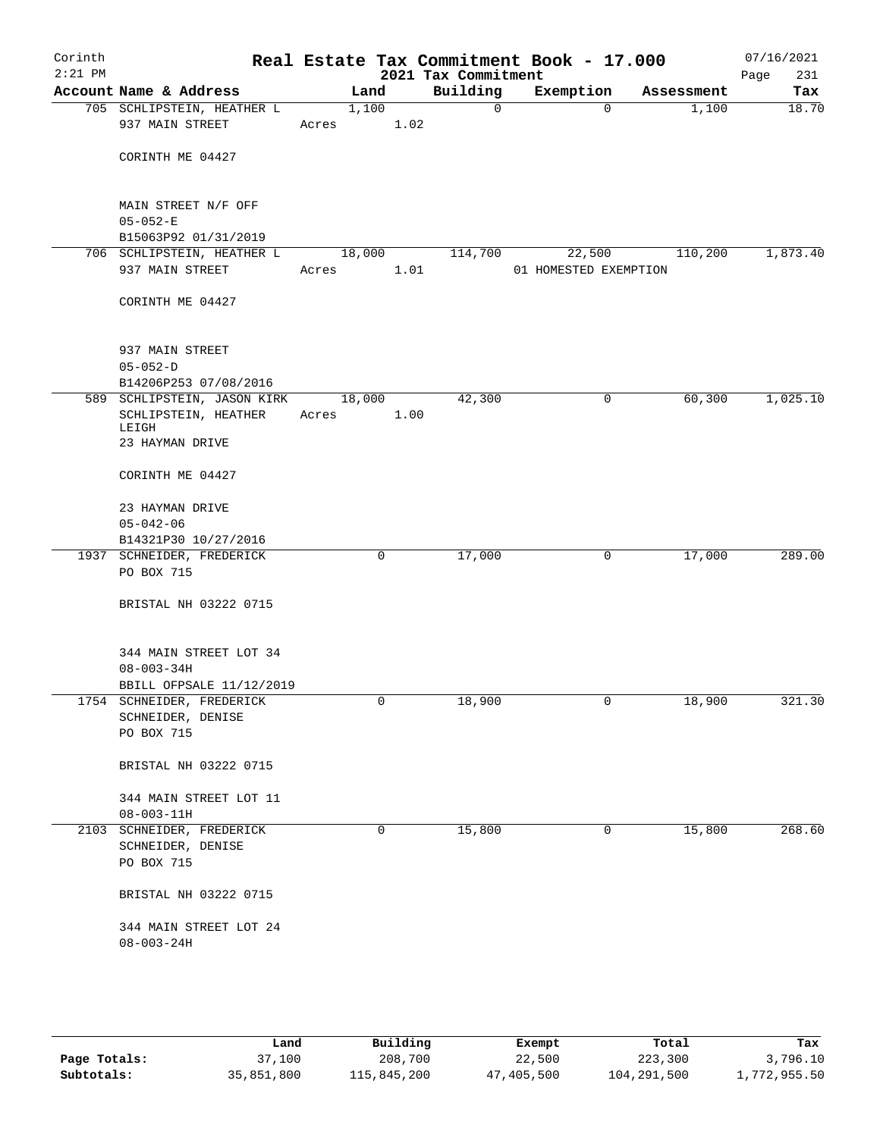| Corinth<br>$2:21$ PM |                                               |       |        | 2021 Tax Commitment | Real Estate Tax Commitment Book - 17.000 |          |            | 07/16/2021<br>Page<br>231 |
|----------------------|-----------------------------------------------|-------|--------|---------------------|------------------------------------------|----------|------------|---------------------------|
|                      | Account Name & Address                        |       | Land   | Building            | Exemption                                |          | Assessment | Tax                       |
|                      | 705 SCHLIPSTEIN, HEATHER L<br>937 MAIN STREET | Acres | 1,100  | 1.02                | $\mathbf 0$                              | $\Omega$ | 1,100      | 18.70                     |
|                      | CORINTH ME 04427                              |       |        |                     |                                          |          |            |                           |
|                      | MAIN STREET N/F OFF<br>$05 - 052 - E$         |       |        |                     |                                          |          |            |                           |
|                      | B15063P92 01/31/2019                          |       |        |                     |                                          |          |            |                           |
|                      | 706 SCHLIPSTEIN, HEATHER L                    |       | 18,000 | 114,700             |                                          | 22,500   | 110,200    | 1,873.40                  |
|                      | 937 MAIN STREET                               | Acres |        | 1.01                | 01 HOMESTED EXEMPTION                    |          |            |                           |
|                      | CORINTH ME 04427                              |       |        |                     |                                          |          |            |                           |
|                      | 937 MAIN STREET<br>$05 - 052 - D$             |       |        |                     |                                          |          |            |                           |
|                      | B14206P253 07/08/2016                         |       |        |                     |                                          |          |            |                           |
|                      | 589 SCHLIPSTEIN, JASON KIRK                   |       | 18,000 | 42,300              |                                          | 0        | 60,300     | 1,025.10                  |
|                      | SCHLIPSTEIN, HEATHER                          | Acres |        | 1.00                |                                          |          |            |                           |
|                      | LEIGH<br>23 HAYMAN DRIVE                      |       |        |                     |                                          |          |            |                           |
|                      | CORINTH ME 04427                              |       |        |                     |                                          |          |            |                           |
|                      | 23 HAYMAN DRIVE                               |       |        |                     |                                          |          |            |                           |
|                      | $05 - 042 - 06$                               |       |        |                     |                                          |          |            |                           |
|                      | B14321P30 10/27/2016                          |       |        |                     |                                          |          |            |                           |
|                      | 1937 SCHNEIDER, FREDERICK<br>PO BOX 715       |       | 0      | 17,000              |                                          | 0        | 17,000     | 289.00                    |
|                      |                                               |       |        |                     |                                          |          |            |                           |
|                      | BRISTAL NH 03222 0715                         |       |        |                     |                                          |          |            |                           |
|                      | 344 MAIN STREET LOT 34                        |       |        |                     |                                          |          |            |                           |
|                      | $08 - 003 - 34H$                              |       |        |                     |                                          |          |            |                           |
|                      | BBILL OFPSALE 11/12/2019                      |       |        |                     |                                          |          |            |                           |
|                      | 1754 SCHNEIDER, FREDERICK                     |       | 0      | 18,900              |                                          | 0        | 18,900     | 321.30                    |
|                      | SCHNEIDER, DENISE                             |       |        |                     |                                          |          |            |                           |
|                      | PO BOX 715                                    |       |        |                     |                                          |          |            |                           |
|                      | BRISTAL NH 03222 0715                         |       |        |                     |                                          |          |            |                           |
|                      | 344 MAIN STREET LOT 11                        |       |        |                     |                                          |          |            |                           |
|                      | $08 - 003 - 11H$                              |       |        |                     |                                          |          |            |                           |
|                      | 2103 SCHNEIDER, FREDERICK                     |       | 0      | 15,800              |                                          | 0        | 15,800     | 268.60                    |
|                      | SCHNEIDER, DENISE                             |       |        |                     |                                          |          |            |                           |
|                      | PO BOX 715                                    |       |        |                     |                                          |          |            |                           |
|                      | BRISTAL NH 03222 0715                         |       |        |                     |                                          |          |            |                           |
|                      | 344 MAIN STREET LOT 24                        |       |        |                     |                                          |          |            |                           |
|                      | $08 - 003 - 24H$                              |       |        |                     |                                          |          |            |                           |
|                      |                                               |       |        |                     |                                          |          |            |                           |
|                      |                                               |       |        |                     |                                          |          |            |                           |

|              | Land       | Building    | Exempt     | Total       | Tax          |
|--------------|------------|-------------|------------|-------------|--------------|
| Page Totals: | 37,100     | 208,700     | 22,500     | 223,300     | 3,796.10     |
| Subtotals:   | 35,851,800 | 115,845,200 | 47,405,500 | 104,291,500 | 1,772,955.50 |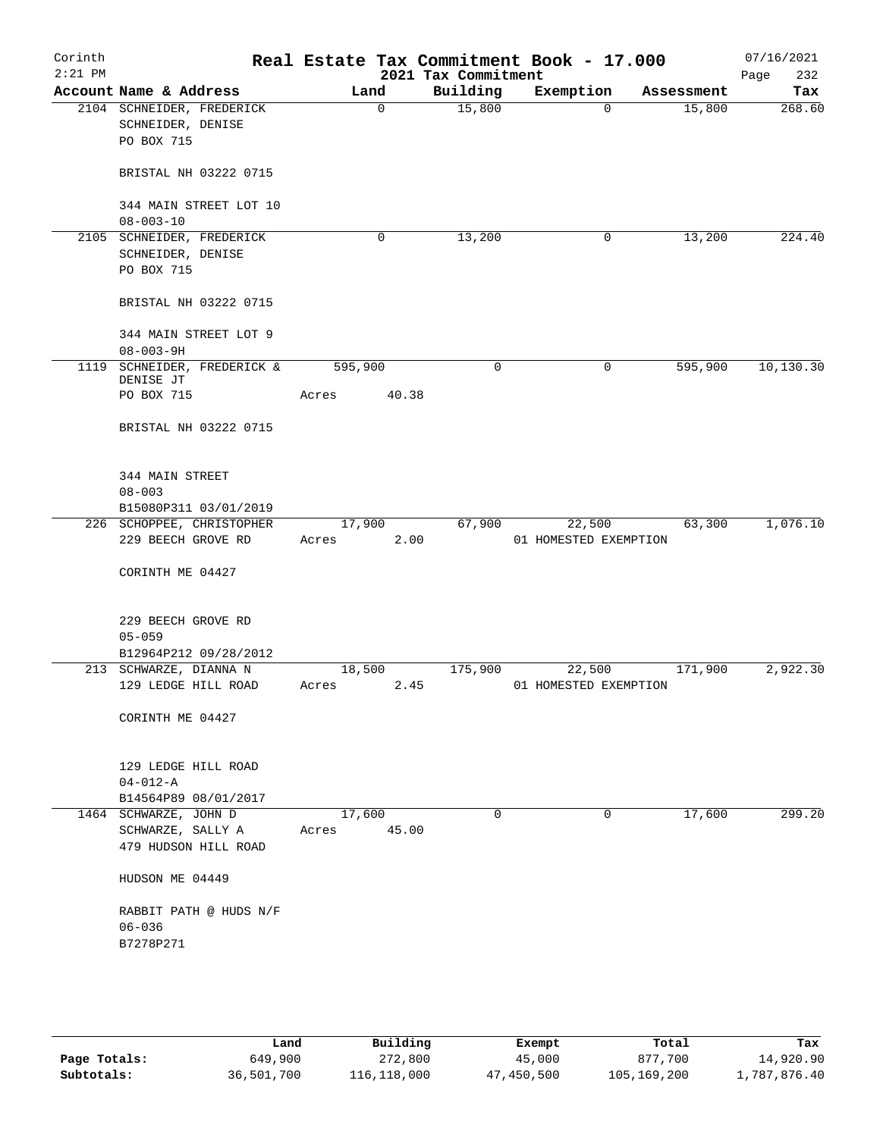| Corinth<br>$2:21$ PM |                                                                    |                 |       | 2021 Tax Commitment | Real Estate Tax Commitment Book - 17.000 |            | 07/16/2021<br>232<br>Page |
|----------------------|--------------------------------------------------------------------|-----------------|-------|---------------------|------------------------------------------|------------|---------------------------|
|                      | Account Name & Address                                             | Land            |       | Building            | Exemption                                | Assessment | Tax                       |
|                      | 2104 SCHNEIDER, FREDERICK<br>SCHNEIDER, DENISE<br>PO BOX 715       |                 | 0     | 15,800              | $\mathbf 0$                              | 15,800     | 268.60                    |
|                      | BRISTAL NH 03222 0715                                              |                 |       |                     |                                          |            |                           |
|                      | 344 MAIN STREET LOT 10<br>$08 - 003 - 10$                          |                 |       |                     |                                          |            |                           |
|                      | 2105 SCHNEIDER, FREDERICK                                          |                 | 0     | 13,200              | 0                                        | 13,200     | 224.40                    |
|                      | SCHNEIDER, DENISE                                                  |                 |       |                     |                                          |            |                           |
|                      | PO BOX 715                                                         |                 |       |                     |                                          |            |                           |
|                      | BRISTAL NH 03222 0715                                              |                 |       |                     |                                          |            |                           |
|                      | 344 MAIN STREET LOT 9<br>$08 - 003 - 9H$                           |                 |       |                     |                                          |            |                           |
|                      | 1119 SCHNEIDER, FREDERICK &                                        | 595,900         |       | $\mathbf 0$         | 0                                        | 595,900    | 10, 130.30                |
|                      | DENISE JT                                                          |                 |       |                     |                                          |            |                           |
|                      | PO BOX 715                                                         | Acres           | 40.38 |                     |                                          |            |                           |
|                      | BRISTAL NH 03222 0715                                              |                 |       |                     |                                          |            |                           |
|                      | 344 MAIN STREET                                                    |                 |       |                     |                                          |            |                           |
|                      | $08 - 003$                                                         |                 |       |                     |                                          |            |                           |
|                      | B15080P311 03/01/2019                                              |                 |       |                     |                                          |            |                           |
|                      | 226 SCHOPPEE, CHRISTOPHER                                          | 17,900          |       | 67,900              | 22,500                                   | 63,300     | 1,076.10                  |
|                      | 229 BEECH GROVE RD                                                 | Acres           | 2.00  |                     | 01 HOMESTED EXEMPTION                    |            |                           |
|                      | CORINTH ME 04427                                                   |                 |       |                     |                                          |            |                           |
|                      | 229 BEECH GROVE RD                                                 |                 |       |                     |                                          |            |                           |
|                      | $05 - 059$                                                         |                 |       |                     |                                          |            |                           |
|                      | B12964P212 09/28/2012                                              |                 |       |                     |                                          |            |                           |
|                      | 213 SCHWARZE, DIANNA N                                             | 18,500          |       | 175,900             | 22,500                                   | 171,900    | 2,922.30                  |
|                      | 129 LEDGE HILL ROAD                                                | Acres           | 2.45  |                     | 01 HOMESTED EXEMPTION                    |            |                           |
|                      | CORINTH ME 04427                                                   |                 |       |                     |                                          |            |                           |
|                      | 129 LEDGE HILL ROAD                                                |                 |       |                     |                                          |            |                           |
|                      | $04 - 012 - A$                                                     |                 |       |                     |                                          |            |                           |
|                      | B14564P89 08/01/2017                                               |                 |       |                     |                                          |            |                           |
|                      | 1464 SCHWARZE, JOHN D<br>SCHWARZE, SALLY A<br>479 HUDSON HILL ROAD | 17,600<br>Acres | 45.00 | $\mathbf 0$         | 0                                        | 17,600     | 299.20                    |
|                      | HUDSON ME 04449                                                    |                 |       |                     |                                          |            |                           |
|                      | RABBIT PATH @ HUDS N/F                                             |                 |       |                     |                                          |            |                           |
|                      | $06 - 036$                                                         |                 |       |                     |                                          |            |                           |
|                      | B7278P271                                                          |                 |       |                     |                                          |            |                           |
|                      |                                                                    |                 |       |                     |                                          |            |                           |
|                      |                                                                    |                 |       |                     |                                          |            |                           |
|                      |                                                                    |                 |       |                     |                                          |            |                           |

|              | Land       | Building    | Exempt     | Total       | Tax          |
|--------------|------------|-------------|------------|-------------|--------------|
| Page Totals: | 649,900    | 272,800     | 45,000     | 877.700     | 14,920.90    |
| Subtotals:   | 36,501,700 | 116,118,000 | 47,450,500 | 105,169,200 | 1,787,876.40 |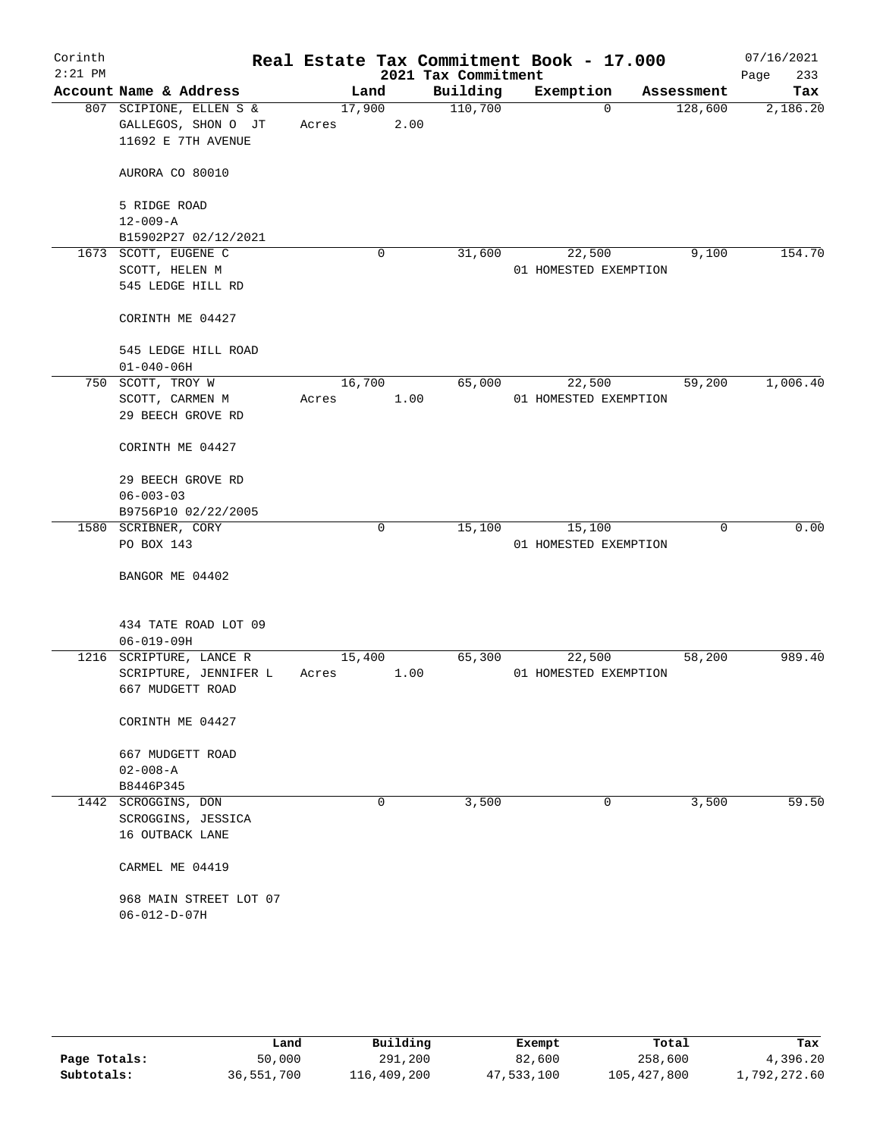| Corinth<br>$2:21$ PM |                                                                      |                 |      | 2021 Tax Commitment | Real Estate Tax Commitment Book - 17.000 |          |            | 07/16/2021<br>233<br>Page |
|----------------------|----------------------------------------------------------------------|-----------------|------|---------------------|------------------------------------------|----------|------------|---------------------------|
|                      | Account Name & Address                                               | Land            |      | Building            | Exemption                                |          | Assessment | Tax                       |
|                      | 807 SCIPIONE, ELLEN S &<br>GALLEGOS, SHON O JT<br>11692 E 7TH AVENUE | 17,900<br>Acres | 2.00 | 110,700             |                                          | $\Omega$ | 128,600    | 2,186.20                  |
|                      | AURORA CO 80010                                                      |                 |      |                     |                                          |          |            |                           |
|                      | 5 RIDGE ROAD<br>$12 - 009 - A$<br>B15902P27 02/12/2021               |                 |      |                     |                                          |          |            |                           |
|                      | 1673 SCOTT, EUGENE C                                                 |                 | 0    | 31,600              | 22,500                                   |          | 9,100      | 154.70                    |
|                      | SCOTT, HELEN M<br>545 LEDGE HILL RD                                  |                 |      |                     | 01 HOMESTED EXEMPTION                    |          |            |                           |
|                      | CORINTH ME 04427                                                     |                 |      |                     |                                          |          |            |                           |
|                      | 545 LEDGE HILL ROAD                                                  |                 |      |                     |                                          |          |            |                           |
|                      | $01 - 040 - 06H$                                                     |                 |      |                     |                                          |          |            |                           |
|                      | 750 SCOTT, TROY W<br>SCOTT, CARMEN M<br>29 BEECH GROVE RD            | 16,700<br>Acres | 1.00 | 65,000              | 22,500<br>01 HOMESTED EXEMPTION          |          | 59,200     | 1,006.40                  |
|                      | CORINTH ME 04427                                                     |                 |      |                     |                                          |          |            |                           |
|                      | 29 BEECH GROVE RD                                                    |                 |      |                     |                                          |          |            |                           |
|                      | $06 - 003 - 03$                                                      |                 |      |                     |                                          |          |            |                           |
|                      | B9756P10 02/22/2005                                                  |                 |      |                     |                                          |          |            |                           |
|                      | 1580 SCRIBNER, CORY                                                  |                 | 0    | 15,100              | 15,100                                   |          | 0          | 0.00                      |
|                      | PO BOX 143                                                           |                 |      |                     | 01 HOMESTED EXEMPTION                    |          |            |                           |
|                      | BANGOR ME 04402                                                      |                 |      |                     |                                          |          |            |                           |
|                      | 434 TATE ROAD LOT 09<br>$06 - 019 - 09H$                             |                 |      |                     |                                          |          |            |                           |
|                      | 1216 SCRIPTURE, LANCE R                                              | 15,400          |      | 65,300              | 22,500                                   |          | 58,200     | 989.40                    |
|                      | SCRIPTURE, JENNIFER L<br>667 MUDGETT ROAD                            | Acres           | 1.00 |                     | 01 HOMESTED EXEMPTION                    |          |            |                           |
|                      | CORINTH ME 04427                                                     |                 |      |                     |                                          |          |            |                           |
|                      | 667 MUDGETT ROAD                                                     |                 |      |                     |                                          |          |            |                           |
|                      | $02 - 008 - A$                                                       |                 |      |                     |                                          |          |            |                           |
|                      | B8446P345                                                            |                 |      |                     |                                          |          |            |                           |
|                      | 1442 SCROGGINS, DON                                                  |                 | 0    | 3,500               |                                          | 0        | 3,500      | 59.50                     |
|                      | SCROGGINS, JESSICA<br>16 OUTBACK LANE                                |                 |      |                     |                                          |          |            |                           |
|                      | CARMEL ME 04419                                                      |                 |      |                     |                                          |          |            |                           |
|                      | 968 MAIN STREET LOT 07<br>$06 - 012 - D - 07H$                       |                 |      |                     |                                          |          |            |                           |
|                      |                                                                      |                 |      |                     |                                          |          |            |                           |

|              | Land       | Building    | Exempt     | Total       | Tax          |
|--------------|------------|-------------|------------|-------------|--------------|
| Page Totals: | 50,000     | 291,200     | 82,600     | 258,600     | 4,396.20     |
| Subtotals:   | 36,551,700 | 116,409,200 | 47,533,100 | 105,427,800 | 1,792,272.60 |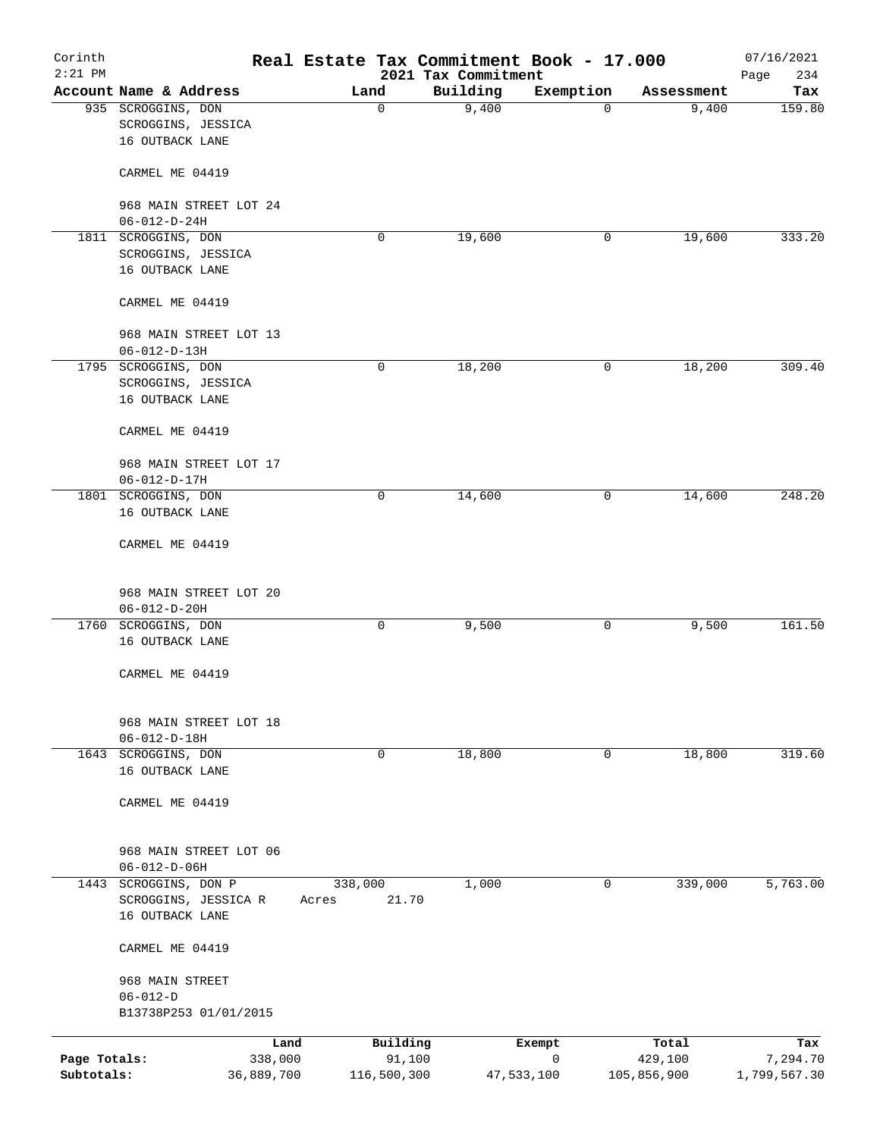| Corinth<br>$2:21$ PM |                                                             | Real Estate Tax Commitment Book - 17.000 | 2021 Tax Commitment |            |             | 07/16/2021<br>234<br>Page |
|----------------------|-------------------------------------------------------------|------------------------------------------|---------------------|------------|-------------|---------------------------|
|                      | Account Name & Address                                      | Land                                     | Building            | Exemption  | Assessment  | Tax                       |
|                      | 935 SCROGGINS, DON<br>SCROGGINS, JESSICA<br>16 OUTBACK LANE | 0                                        | 9,400               | 0          | 9,400       | 159.80                    |
|                      | CARMEL ME 04419                                             |                                          |                     |            |             |                           |
|                      | 968 MAIN STREET LOT 24<br>$06 - 012 - D - 24H$              |                                          |                     |            |             |                           |
|                      | 1811 SCROGGINS, DON                                         | 0                                        | 19,600              | 0          | 19,600      | 333.20                    |
|                      | SCROGGINS, JESSICA<br>16 OUTBACK LANE                       |                                          |                     |            |             |                           |
|                      | CARMEL ME 04419                                             |                                          |                     |            |             |                           |
|                      | 968 MAIN STREET LOT 13<br>$06 - 012 - D - 13H$              |                                          |                     |            |             |                           |
|                      | 1795 SCROGGINS, DON                                         | 0                                        | 18,200              | 0          | 18,200      | 309.40                    |
|                      | SCROGGINS, JESSICA                                          |                                          |                     |            |             |                           |
|                      | 16 OUTBACK LANE                                             |                                          |                     |            |             |                           |
|                      | CARMEL ME 04419                                             |                                          |                     |            |             |                           |
|                      | 968 MAIN STREET LOT 17                                      |                                          |                     |            |             |                           |
|                      | $06 - 012 - D - 17H$                                        |                                          |                     |            |             |                           |
|                      | 1801 SCROGGINS, DON<br>16 OUTBACK LANE                      | 0                                        | 14,600              | 0          | 14,600      | 248.20                    |
|                      | CARMEL ME 04419                                             |                                          |                     |            |             |                           |
|                      | 968 MAIN STREET LOT 20<br>$06 - 012 - D - 20H$              |                                          |                     |            |             |                           |
|                      | 1760 SCROGGINS, DON                                         | 0                                        | 9,500               | 0          | 9,500       | 161.50                    |
|                      | 16 OUTBACK LANE                                             |                                          |                     |            |             |                           |
|                      | CARMEL ME 04419                                             |                                          |                     |            |             |                           |
|                      | 968 MAIN STREET LOT 18<br>$06 - 012 - D - 18H$              |                                          |                     |            |             |                           |
|                      | 1643 SCROGGINS, DON                                         | 0                                        | 18,800              | 0          | 18,800      | 319.60                    |
|                      | 16 OUTBACK LANE                                             |                                          |                     |            |             |                           |
|                      | CARMEL ME 04419                                             |                                          |                     |            |             |                           |
|                      | 968 MAIN STREET LOT 06<br>$06 - 012 - D - 06H$              |                                          |                     |            |             |                           |
| 1443                 | SCROGGINS, DON P<br>SCROGGINS, JESSICA R<br>16 OUTBACK LANE | 338,000<br>21.70<br>Acres                | 1,000               | 0          | 339,000     | 5,763.00                  |
|                      | CARMEL ME 04419                                             |                                          |                     |            |             |                           |
|                      | 968 MAIN STREET                                             |                                          |                     |            |             |                           |
|                      | $06 - 012 - D$<br>B13738P253 01/01/2015                     |                                          |                     |            |             |                           |
|                      | Land                                                        | Building                                 |                     | Exempt     | Total       | Tax                       |
| Page Totals:         | 338,000                                                     | 91,100                                   |                     | 0          | 429,100     | 7,294.70                  |
| Subtotals:           | 36,889,700                                                  | 116,500,300                              |                     | 47,533,100 | 105,856,900 | 1,799,567.30              |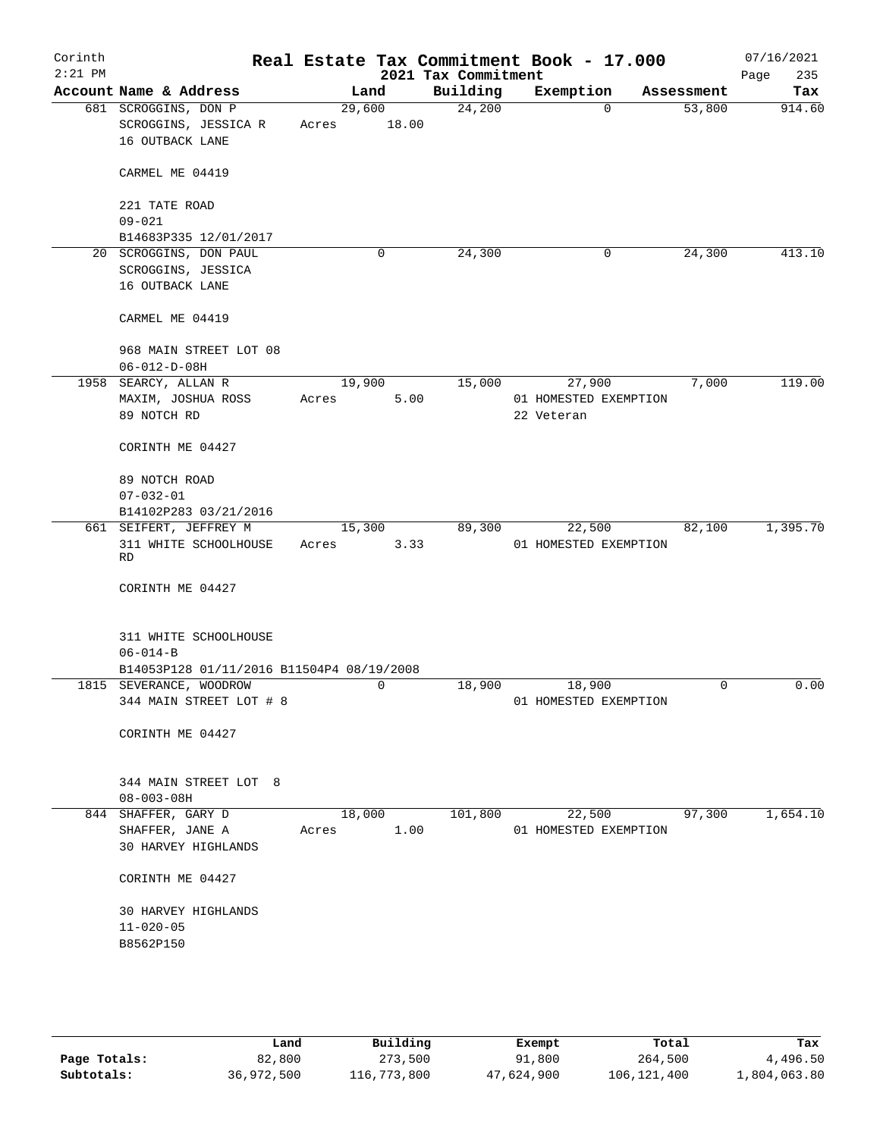| Corinth<br>$2:21$ PM |                                           |                |       | 2021 Tax Commitment | Real Estate Tax Commitment Book - 17.000 |                      | 07/16/2021    |
|----------------------|-------------------------------------------|----------------|-------|---------------------|------------------------------------------|----------------------|---------------|
|                      | Account Name & Address                    |                |       | Building            |                                          |                      | 235<br>Page   |
|                      | 681 SCROGGINS, DON P                      | Land<br>29,600 |       | 24,200              | Exemption<br>$\Omega$                    | Assessment<br>53,800 | Tax<br>914.60 |
|                      | SCROGGINS, JESSICA R                      | Acres          | 18.00 |                     |                                          |                      |               |
|                      | 16 OUTBACK LANE                           |                |       |                     |                                          |                      |               |
|                      |                                           |                |       |                     |                                          |                      |               |
|                      | CARMEL ME 04419                           |                |       |                     |                                          |                      |               |
|                      |                                           |                |       |                     |                                          |                      |               |
|                      | 221 TATE ROAD                             |                |       |                     |                                          |                      |               |
|                      | $09 - 021$                                |                |       |                     |                                          |                      |               |
|                      | B14683P335 12/01/2017                     |                |       |                     |                                          |                      |               |
|                      | 20 SCROGGINS, DON PAUL                    |                | 0     | 24,300              | 0                                        | 24,300               | 413.10        |
|                      | SCROGGINS, JESSICA                        |                |       |                     |                                          |                      |               |
|                      | 16 OUTBACK LANE                           |                |       |                     |                                          |                      |               |
|                      | CARMEL ME 04419                           |                |       |                     |                                          |                      |               |
|                      |                                           |                |       |                     |                                          |                      |               |
|                      | 968 MAIN STREET LOT 08                    |                |       |                     |                                          |                      |               |
|                      | $06 - 012 - D - 08H$                      |                |       |                     |                                          |                      |               |
|                      | 1958 SEARCY, ALLAN R                      | 19,900         |       | 15,000              | 27,900                                   | 7,000                | 119.00        |
|                      | MAXIM, JOSHUA ROSS                        | Acres          | 5.00  |                     | 01 HOMESTED EXEMPTION                    |                      |               |
|                      | 89 NOTCH RD                               |                |       |                     | 22 Veteran                               |                      |               |
|                      |                                           |                |       |                     |                                          |                      |               |
|                      | CORINTH ME 04427                          |                |       |                     |                                          |                      |               |
|                      | 89 NOTCH ROAD                             |                |       |                     |                                          |                      |               |
|                      | $07 - 032 - 01$                           |                |       |                     |                                          |                      |               |
|                      | B14102P283 03/21/2016                     |                |       |                     |                                          |                      |               |
|                      | 661 SEIFERT, JEFFREY M                    | 15,300         |       | 89,300              | 22,500                                   | 82,100               | 1,395.70      |
|                      | 311 WHITE SCHOOLHOUSE                     | Acres          | 3.33  |                     | 01 HOMESTED EXEMPTION                    |                      |               |
|                      | RD                                        |                |       |                     |                                          |                      |               |
|                      | CORINTH ME 04427                          |                |       |                     |                                          |                      |               |
|                      |                                           |                |       |                     |                                          |                      |               |
|                      |                                           |                |       |                     |                                          |                      |               |
|                      | 311 WHITE SCHOOLHOUSE                     |                |       |                     |                                          |                      |               |
|                      | $06 - 014 - B$                            |                |       |                     |                                          |                      |               |
|                      | B14053P128 01/11/2016 B11504P4 08/19/2008 |                |       |                     |                                          |                      |               |
|                      | 1815 SEVERANCE, WOODROW                   |                | 0     | 18,900              | 18,900                                   | $\mathbf 0$          | 0.00          |
|                      | 344 MAIN STREET LOT # 8                   |                |       |                     | 01 HOMESTED EXEMPTION                    |                      |               |
|                      | CORINTH ME 04427                          |                |       |                     |                                          |                      |               |
|                      |                                           |                |       |                     |                                          |                      |               |
|                      |                                           |                |       |                     |                                          |                      |               |
|                      | 344 MAIN STREET LOT 8                     |                |       |                     |                                          |                      |               |
|                      | $08 - 003 - 08H$                          |                |       |                     |                                          |                      |               |
|                      | 844 SHAFFER, GARY D                       | 18,000         |       | 101,800             | 22,500                                   | 97,300               | 1,654.10      |
|                      | SHAFFER, JANE A                           | Acres          | 1.00  |                     | 01 HOMESTED EXEMPTION                    |                      |               |
|                      | 30 HARVEY HIGHLANDS                       |                |       |                     |                                          |                      |               |
|                      | CORINTH ME 04427                          |                |       |                     |                                          |                      |               |
|                      |                                           |                |       |                     |                                          |                      |               |
|                      | 30 HARVEY HIGHLANDS                       |                |       |                     |                                          |                      |               |
|                      | $11 - 020 - 05$                           |                |       |                     |                                          |                      |               |
|                      | B8562P150                                 |                |       |                     |                                          |                      |               |
|                      |                                           |                |       |                     |                                          |                      |               |
|                      |                                           |                |       |                     |                                          |                      |               |
|                      |                                           |                |       |                     |                                          |                      |               |
|                      |                                           |                |       |                     |                                          |                      |               |

|              | Land       | Building    | Exempt     | Total       | Tax          |
|--------------|------------|-------------|------------|-------------|--------------|
| Page Totals: | 82,800     | 273,500     | 91,800     | 264,500     | 4,496.50     |
| Subtotals:   | 36,972,500 | 116,773,800 | 47,624,900 | 106,121,400 | 1,804,063.80 |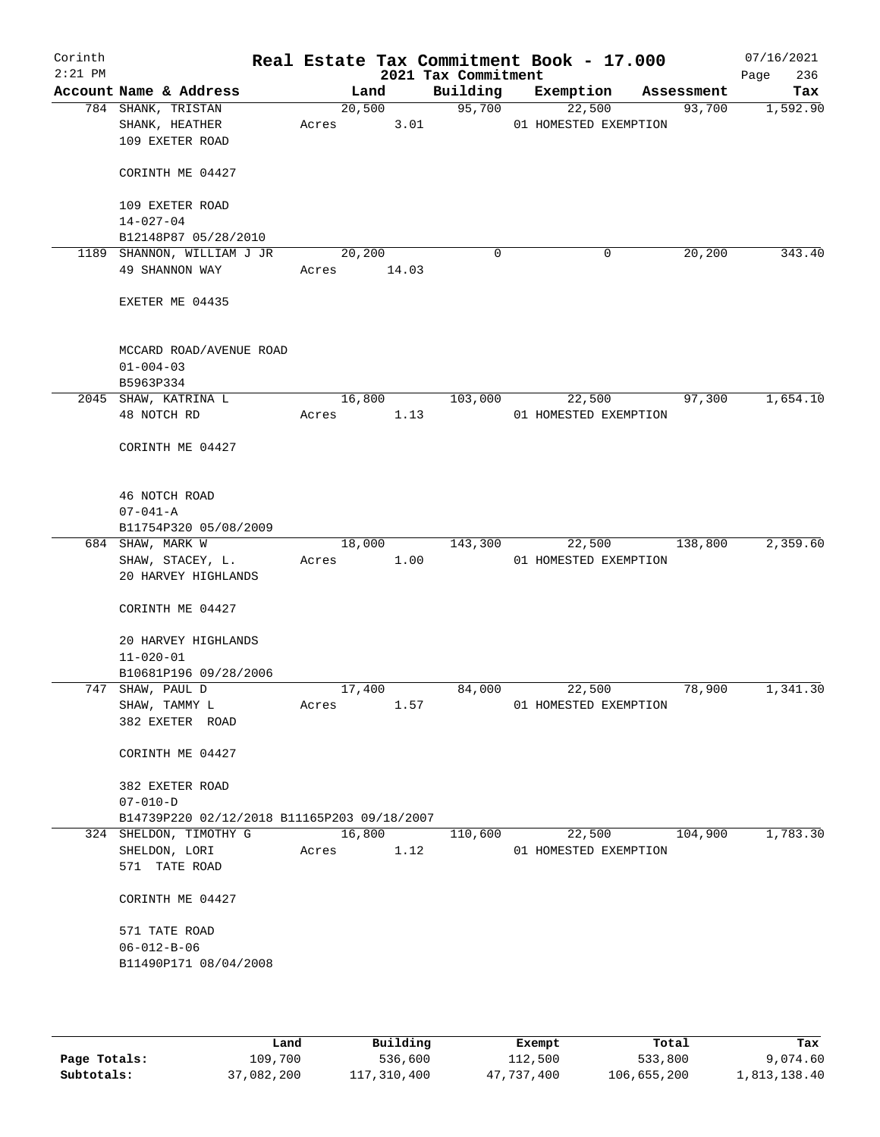| Corinth<br>$2:21$ PM |                                                               |                       |                | 2021 Tax Commitment | Real Estate Tax Commitment Book - 17.000 |            | 07/16/2021<br>236<br>Page |
|----------------------|---------------------------------------------------------------|-----------------------|----------------|---------------------|------------------------------------------|------------|---------------------------|
|                      | Account Name & Address                                        |                       | Land           | Building            | Exemption                                | Assessment | Tax                       |
|                      | 784 SHANK, TRISTAN<br>SHANK, HEATHER<br>109 EXETER ROAD       | Acres                 | 20,500<br>3.01 | 95,700              | 22,500<br>01 HOMESTED EXEMPTION          | 93,700     | 1,592.90                  |
|                      | CORINTH ME 04427                                              |                       |                |                     |                                          |            |                           |
|                      | 109 EXETER ROAD<br>$14 - 027 - 04$                            |                       |                |                     |                                          |            |                           |
|                      | B12148P87 05/28/2010                                          |                       |                |                     |                                          |            |                           |
|                      | 1189 SHANNON, WILLIAM J JR<br>49 SHANNON WAY                  | 20,200<br>Acres 14.03 |                | $\mathbf 0$         | 0                                        | 20,200     | 343.40                    |
|                      | EXETER ME 04435                                               |                       |                |                     |                                          |            |                           |
|                      | MCCARD ROAD/AVENUE ROAD<br>$01 - 004 - 03$                    |                       |                |                     |                                          |            |                           |
|                      | B5963P334<br>2045 SHAW, KATRINA L                             |                       | 16,800         | 103,000             |                                          |            | 1,654.10                  |
|                      | 48 NOTCH RD                                                   | Acres                 | 1.13           |                     | 22,500<br>01 HOMESTED EXEMPTION          | 97,300     |                           |
|                      | CORINTH ME 04427                                              |                       |                |                     |                                          |            |                           |
|                      | 46 NOTCH ROAD<br>$07 - 041 - A$                               |                       |                |                     |                                          |            |                           |
|                      | B11754P320 05/08/2009                                         |                       |                |                     |                                          |            |                           |
|                      | 684 SHAW, MARK W                                              | 18,000                |                | 143,300             | 22,500                                   | 138,800    | 2,359.60                  |
|                      | SHAW, STACEY, L.<br>20 HARVEY HIGHLANDS                       | Acres                 | 1.00           |                     | 01 HOMESTED EXEMPTION                    |            |                           |
|                      | CORINTH ME 04427<br>20 HARVEY HIGHLANDS<br>$11 - 020 - 01$    |                       |                |                     |                                          |            |                           |
|                      | B10681P196 09/28/2006                                         |                       |                |                     |                                          |            |                           |
|                      | 747 SHAW, PAUL D                                              | 17,400                |                | 84,000              | 22,500                                   | 78,900     | 1,341.30                  |
|                      | SHAW, TAMMY L<br>382 EXETER ROAD                              | Acres                 | 1.57           |                     | 01 HOMESTED EXEMPTION                    |            |                           |
|                      | CORINTH ME 04427                                              |                       |                |                     |                                          |            |                           |
|                      | 382 EXETER ROAD                                               |                       |                |                     |                                          |            |                           |
|                      | $07 - 010 - D$                                                |                       |                |                     |                                          |            |                           |
|                      | B14739P220 02/12/2018 B11165P203 09/18/2007                   |                       |                |                     |                                          |            |                           |
|                      | 324 SHELDON, TIMOTHY G<br>SHELDON, LORI<br>571 TATE ROAD      | Acres                 | 16,800<br>1.12 | 110,600             | 22,500<br>01 HOMESTED EXEMPTION          | 104,900    | 1,783.30                  |
|                      | CORINTH ME 04427                                              |                       |                |                     |                                          |            |                           |
|                      | 571 TATE ROAD<br>$06 - 012 - B - 06$<br>B11490P171 08/04/2008 |                       |                |                     |                                          |            |                           |
|                      |                                                               |                       |                |                     |                                          |            |                           |

|              | Land       | Building    | Exempt     | Total       | Tax          |
|--------------|------------|-------------|------------|-------------|--------------|
| Page Totals: | 109,700    | 536,600     | 112,500    | 533,800     | 9,074.60     |
| Subtotals:   | 37,082,200 | 117,310,400 | 47,737,400 | 106,655,200 | 1,813,138.40 |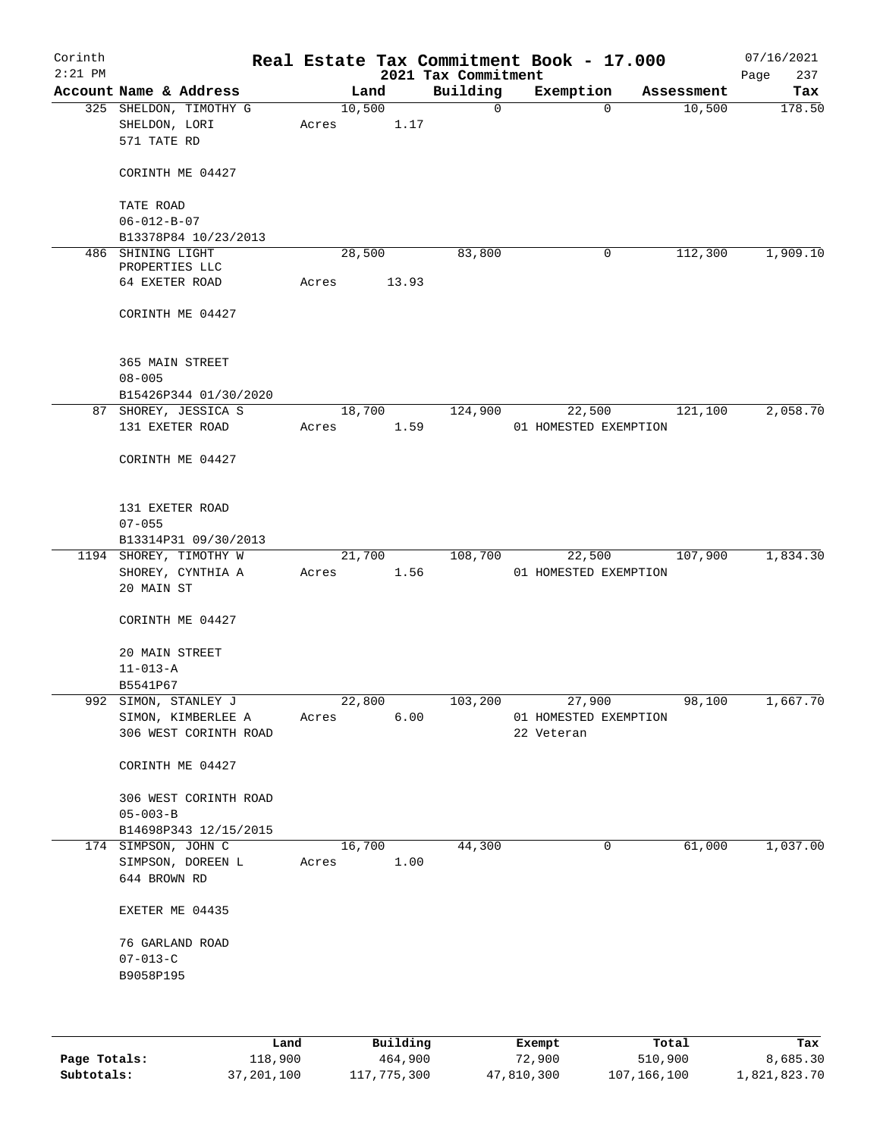| Corinth<br>$2:21$ PM |                                                        |       |        |       | 2021 Tax Commitment | Real Estate Tax Commitment Book - 17.000 |            | 07/16/2021<br>237<br>Page |
|----------------------|--------------------------------------------------------|-------|--------|-------|---------------------|------------------------------------------|------------|---------------------------|
|                      | Account Name & Address                                 |       | Land   |       | Building            | Exemption                                | Assessment | Tax                       |
|                      | 325 SHELDON, TIMOTHY G<br>SHELDON, LORI<br>571 TATE RD | Acres | 10,500 | 1.17  | $\mathsf{O}$        | 0                                        | 10,500     | 178.50                    |
|                      | CORINTH ME 04427                                       |       |        |       |                     |                                          |            |                           |
|                      | TATE ROAD                                              |       |        |       |                     |                                          |            |                           |
|                      | $06 - 012 - B - 07$                                    |       |        |       |                     |                                          |            |                           |
|                      | B13378P84 10/23/2013                                   |       |        |       |                     |                                          |            |                           |
|                      | 486 SHINING LIGHT<br>PROPERTIES LLC                    |       | 28,500 |       | 83,800              | 0                                        | 112,300    | 1,909.10                  |
|                      | 64 EXETER ROAD                                         | Acres |        | 13.93 |                     |                                          |            |                           |
|                      | CORINTH ME 04427                                       |       |        |       |                     |                                          |            |                           |
|                      | 365 MAIN STREET                                        |       |        |       |                     |                                          |            |                           |
|                      | $08 - 005$<br>B15426P344 01/30/2020                    |       |        |       |                     |                                          |            |                           |
|                      | 87 SHOREY, JESSICA S                                   |       | 18,700 |       | 124,900             | 22,500                                   | 121,100    | 2,058.70                  |
|                      | 131 EXETER ROAD                                        | Acres |        | 1.59  |                     | 01 HOMESTED EXEMPTION                    |            |                           |
|                      | CORINTH ME 04427                                       |       |        |       |                     |                                          |            |                           |
|                      | 131 EXETER ROAD<br>$07 - 055$                          |       |        |       |                     |                                          |            |                           |
|                      | B13314P31 09/30/2013                                   |       |        |       |                     |                                          |            |                           |
|                      | 1194 SHOREY, TIMOTHY W                                 |       | 21,700 |       | 108,700             | 22,500                                   | 107,900    | 1,834.30                  |
|                      | SHOREY, CYNTHIA A<br>20 MAIN ST                        | Acres |        | 1.56  |                     | 01 HOMESTED EXEMPTION                    |            |                           |
|                      | CORINTH ME 04427                                       |       |        |       |                     |                                          |            |                           |
|                      | 20 MAIN STREET<br>$11 - 013 - A$                       |       |        |       |                     |                                          |            |                           |
|                      | B5541P67                                               |       |        |       |                     |                                          |            |                           |
|                      | 992 SIMON, STANLEY J                                   |       | 22,800 |       | 103,200             | 27,900                                   | 98,100     | 1,667.70                  |
|                      | SIMON, KIMBERLEE A<br>306 WEST CORINTH ROAD            | Acres |        | 6.00  |                     | 01 HOMESTED EXEMPTION<br>22 Veteran      |            |                           |
|                      | CORINTH ME 04427                                       |       |        |       |                     |                                          |            |                           |
|                      | 306 WEST CORINTH ROAD<br>$05 - 003 - B$                |       |        |       |                     |                                          |            |                           |
|                      | B14698P343 12/15/2015                                  |       |        |       |                     |                                          |            |                           |
|                      | 174 SIMPSON, JOHN C                                    |       | 16,700 |       | 44,300              | 0                                        | 61,000     | 1,037.00                  |
|                      | SIMPSON, DOREEN L<br>644 BROWN RD                      | Acres |        | 1.00  |                     |                                          |            |                           |
|                      | EXETER ME 04435                                        |       |        |       |                     |                                          |            |                           |
|                      | 76 GARLAND ROAD<br>$07 - 013 - C$                      |       |        |       |                     |                                          |            |                           |
|                      | B9058P195                                              |       |        |       |                     |                                          |            |                           |
|                      |                                                        |       |        |       |                     |                                          |            |                           |
|                      |                                                        |       |        |       |                     |                                          |            |                           |

|              | Land       | Building    | Exempt     | Total       | Tax          |
|--------------|------------|-------------|------------|-------------|--------------|
| Page Totals: | 118,900    | 464,900     | 72,900     | 510,900     | 8,685.30     |
| Subtotals:   | 37,201,100 | 117,775,300 | 47,810,300 | 107,166,100 | 1,821,823.70 |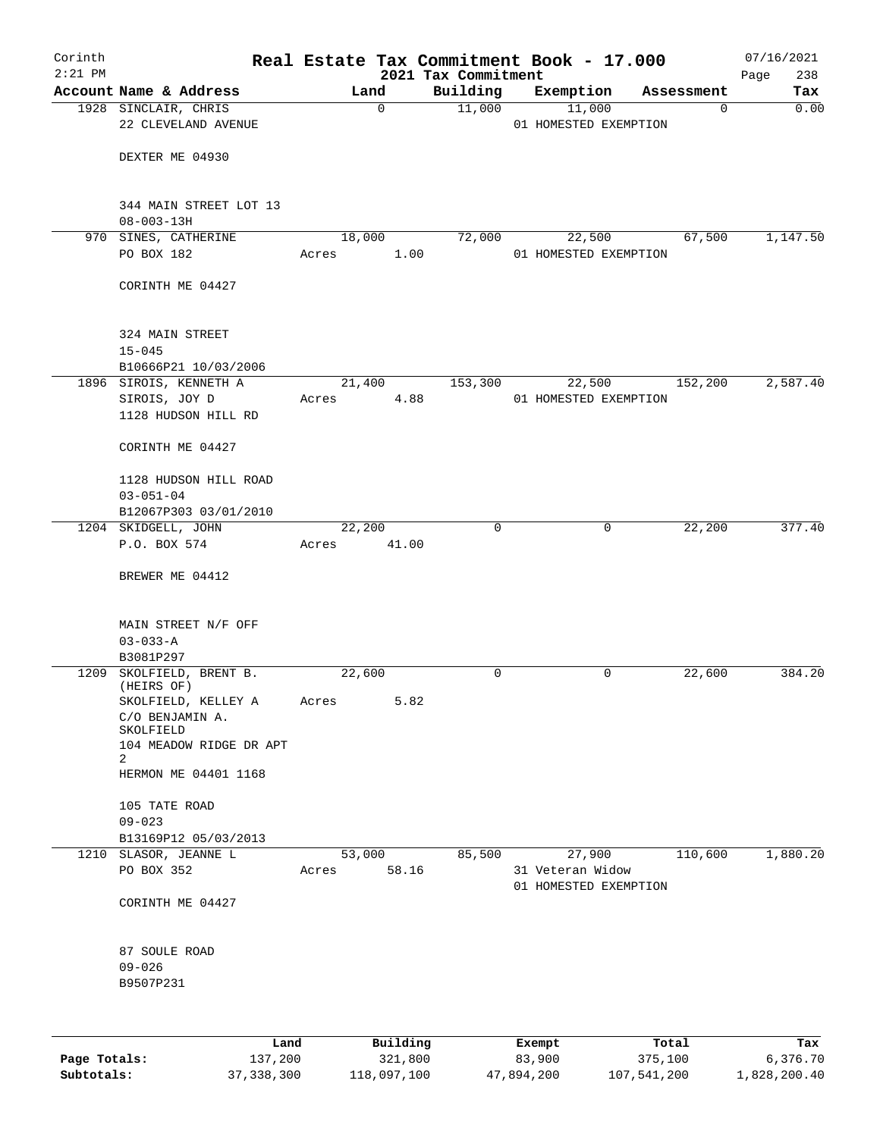| Corinth      |                                                                                                   |                 |                     |                                 | Real Estate Tax Commitment Book - 17.000  |                  |                      | 07/16/2021         |
|--------------|---------------------------------------------------------------------------------------------------|-----------------|---------------------|---------------------------------|-------------------------------------------|------------------|----------------------|--------------------|
| $2:21$ PM    | Account Name & Address                                                                            |                 | Land                | 2021 Tax Commitment<br>Building | Exemption                                 |                  | Assessment           | 238<br>Page<br>Tax |
|              | 1928 SINCLAIR, CHRIS                                                                              |                 | $\mathbf 0$         | 11,000                          | 11,000                                    |                  | 0                    | 0.00               |
|              | 22 CLEVELAND AVENUE                                                                               |                 |                     |                                 | 01 HOMESTED EXEMPTION                     |                  |                      |                    |
|              | DEXTER ME 04930                                                                                   |                 |                     |                                 |                                           |                  |                      |                    |
|              | 344 MAIN STREET LOT 13<br>$08 - 003 - 13H$                                                        |                 |                     |                                 |                                           |                  |                      |                    |
|              | 970 SINES, CATHERINE<br>PO BOX 182                                                                | 18,000<br>Acres | 1.00                | 72,000                          | 22,500<br>01 HOMESTED EXEMPTION           |                  | 67,500               | 1,147.50           |
|              | CORINTH ME 04427                                                                                  |                 |                     |                                 |                                           |                  |                      |                    |
|              | 324 MAIN STREET<br>$15 - 045$                                                                     |                 |                     |                                 |                                           |                  |                      |                    |
|              | B10666P21 10/03/2006<br>1896 SIROIS, KENNETH A                                                    | 21,400          |                     | 153,300                         | 22,500                                    |                  | $1\overline{52,200}$ | 2,587.40           |
|              | SIROIS, JOY D<br>1128 HUDSON HILL RD                                                              | Acres           | 4.88                |                                 | 01 HOMESTED EXEMPTION                     |                  |                      |                    |
|              | CORINTH ME 04427                                                                                  |                 |                     |                                 |                                           |                  |                      |                    |
|              | 1128 HUDSON HILL ROAD<br>$03 - 051 - 04$                                                          |                 |                     |                                 |                                           |                  |                      |                    |
|              | B12067P303 03/01/2010                                                                             |                 |                     |                                 |                                           |                  |                      |                    |
|              | 1204 SKIDGELL, JOHN<br>P.O. BOX 574                                                               | 22,200<br>Acres | 41.00               | 0                               |                                           | 0                | 22,200               | 377.40             |
|              | BREWER ME 04412                                                                                   |                 |                     |                                 |                                           |                  |                      |                    |
|              | MAIN STREET N/F OFF<br>$03 - 033 - A$                                                             |                 |                     |                                 |                                           |                  |                      |                    |
| 1209         | B3081P297<br>SKOLFIELD, BRENT B.                                                                  | 22,600          |                     | 0                               |                                           | 0                | 22,600               | 384.20             |
|              | (HEIRS OF)<br>SKOLFIELD, KELLEY A<br>C/O BENJAMIN A.<br>SKOLFIELD<br>104 MEADOW RIDGE DR APT<br>2 | Acres           | 5.82                |                                 |                                           |                  |                      |                    |
|              | HERMON ME 04401 1168<br>105 TATE ROAD                                                             |                 |                     |                                 |                                           |                  |                      |                    |
|              | $09 - 023$<br>B13169P12 05/03/2013                                                                |                 |                     |                                 |                                           |                  |                      |                    |
|              | 1210 SLASOR, JEANNE L                                                                             | 53,000          |                     | 85,500                          | 27,900                                    |                  | 110,600              | 1,880.20           |
|              | PO BOX 352                                                                                        | Acres           | 58.16               |                                 | 31 Veteran Widow<br>01 HOMESTED EXEMPTION |                  |                      |                    |
|              | CORINTH ME 04427                                                                                  |                 |                     |                                 |                                           |                  |                      |                    |
|              | 87 SOULE ROAD<br>$09 - 026$<br>B9507P231                                                          |                 |                     |                                 |                                           |                  |                      |                    |
|              |                                                                                                   |                 |                     |                                 |                                           |                  |                      |                    |
| Page Totals: | Land<br>137,200                                                                                   |                 | Building<br>321,800 |                                 | Exempt<br>83,900                          | Total<br>375,100 |                      | Tax<br>6,376.70    |

**Subtotals:** 37,338,300 118,097,100 47,894,200 107,541,200 1,828,200.40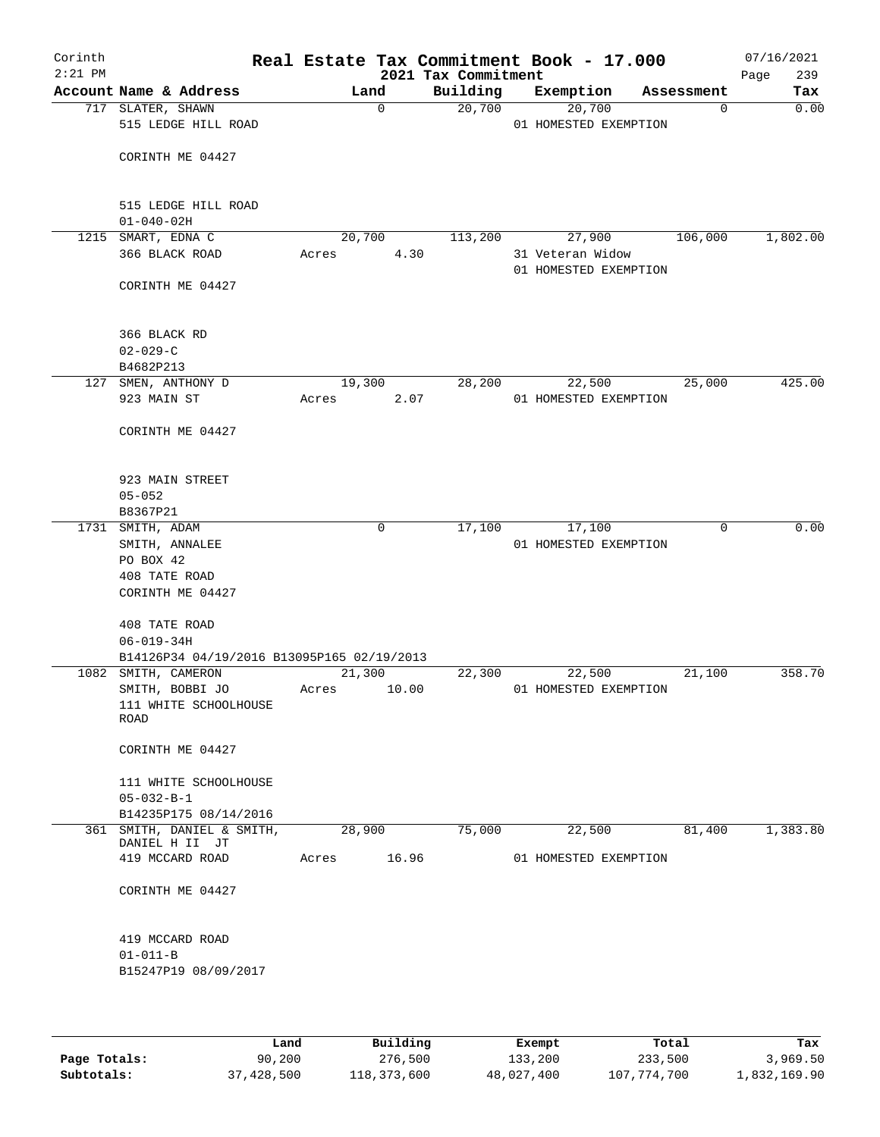| Corinth<br>$2:21$ PM |                                             |       |             |       | 2021 Tax Commitment | Real Estate Tax Commitment Book - 17.000  |            |             | 07/16/2021<br>239<br>Page |
|----------------------|---------------------------------------------|-------|-------------|-------|---------------------|-------------------------------------------|------------|-------------|---------------------------|
|                      | Account Name & Address                      |       | Land        |       | Building            | Exemption                                 | Assessment |             | Tax                       |
|                      | 717 SLATER, SHAWN<br>515 LEDGE HILL ROAD    |       | $\mathbf 0$ |       | 20,700              | 20,700<br>01 HOMESTED EXEMPTION           |            | 0           | 0.00                      |
|                      | CORINTH ME 04427                            |       |             |       |                     |                                           |            |             |                           |
|                      | 515 LEDGE HILL ROAD<br>$01 - 040 - 02H$     |       |             |       |                     |                                           |            |             |                           |
|                      | 1215 SMART, EDNA C                          |       | 20,700      |       | 113,200             | 27,900                                    |            | 106,000     | 1,802.00                  |
|                      | 366 BLACK ROAD                              | Acres |             | 4.30  |                     | 31 Veteran Widow<br>01 HOMESTED EXEMPTION |            |             |                           |
|                      | CORINTH ME 04427                            |       |             |       |                     |                                           |            |             |                           |
|                      | 366 BLACK RD                                |       |             |       |                     |                                           |            |             |                           |
|                      | $02 - 029 - C$<br>B4682P213                 |       |             |       |                     |                                           |            |             |                           |
|                      | 127 SMEN, ANTHONY D                         |       | 19,300      |       | 28,200              | 22,500                                    |            | 25,000      | 425.00                    |
|                      | 923 MAIN ST                                 | Acres |             | 2.07  |                     | 01 HOMESTED EXEMPTION                     |            |             |                           |
|                      | CORINTH ME 04427                            |       |             |       |                     |                                           |            |             |                           |
|                      | 923 MAIN STREET                             |       |             |       |                     |                                           |            |             |                           |
|                      | $05 - 052$<br>B8367P21                      |       |             |       |                     |                                           |            |             |                           |
|                      | 1731 SMITH, ADAM                            |       | 0           |       | 17,100              | 17,100                                    |            | $\mathbf 0$ | 0.00                      |
|                      | SMITH, ANNALEE<br>PO BOX 42                 |       |             |       |                     | 01 HOMESTED EXEMPTION                     |            |             |                           |
|                      | 408 TATE ROAD<br>CORINTH ME 04427           |       |             |       |                     |                                           |            |             |                           |
|                      | 408 TATE ROAD<br>$06 - 019 - 34H$           |       |             |       |                     |                                           |            |             |                           |
|                      | B14126P34 04/19/2016 B13095P165 02/19/2013  |       |             |       |                     |                                           |            |             |                           |
|                      | 1082 SMITH, CAMERON                         |       | 21,300      |       | 22,300              | 22,500                                    |            | 21,100      | 358.70                    |
|                      | SMITH, BOBBI JO                             | Acres |             | 10.00 |                     | 01 HOMESTED EXEMPTION                     |            |             |                           |
|                      | 111 WHITE SCHOOLHOUSE<br><b>ROAD</b>        |       |             |       |                     |                                           |            |             |                           |
|                      | CORINTH ME 04427                            |       |             |       |                     |                                           |            |             |                           |
|                      | 111 WHITE SCHOOLHOUSE<br>$05 - 032 - B - 1$ |       |             |       |                     |                                           |            |             |                           |
|                      | B14235P175 08/14/2016                       |       |             |       |                     |                                           |            |             |                           |
|                      | 361 SMITH, DANIEL & SMITH,                  |       | 28,900      |       | 75,000              | 22,500                                    |            | 81,400      | 1,383.80                  |
|                      | DANIEL H II JT                              |       |             |       |                     |                                           |            |             |                           |
|                      | 419 MCCARD ROAD                             | Acres |             | 16.96 |                     | 01 HOMESTED EXEMPTION                     |            |             |                           |
|                      | CORINTH ME 04427                            |       |             |       |                     |                                           |            |             |                           |
|                      | 419 MCCARD ROAD                             |       |             |       |                     |                                           |            |             |                           |
|                      | $01 - 011 - B$<br>B15247P19 08/09/2017      |       |             |       |                     |                                           |            |             |                           |
|                      |                                             |       |             |       |                     |                                           |            |             |                           |

|              | Land       | Building    | Exempt     | Total       | Tax          |
|--------------|------------|-------------|------------|-------------|--------------|
| Page Totals: | 90,200     | 276,500     | 133,200    | 233,500     | 3,969.50     |
| Subtotals:   | 37,428,500 | 118,373,600 | 48,027,400 | 107,774,700 | 1,832,169.90 |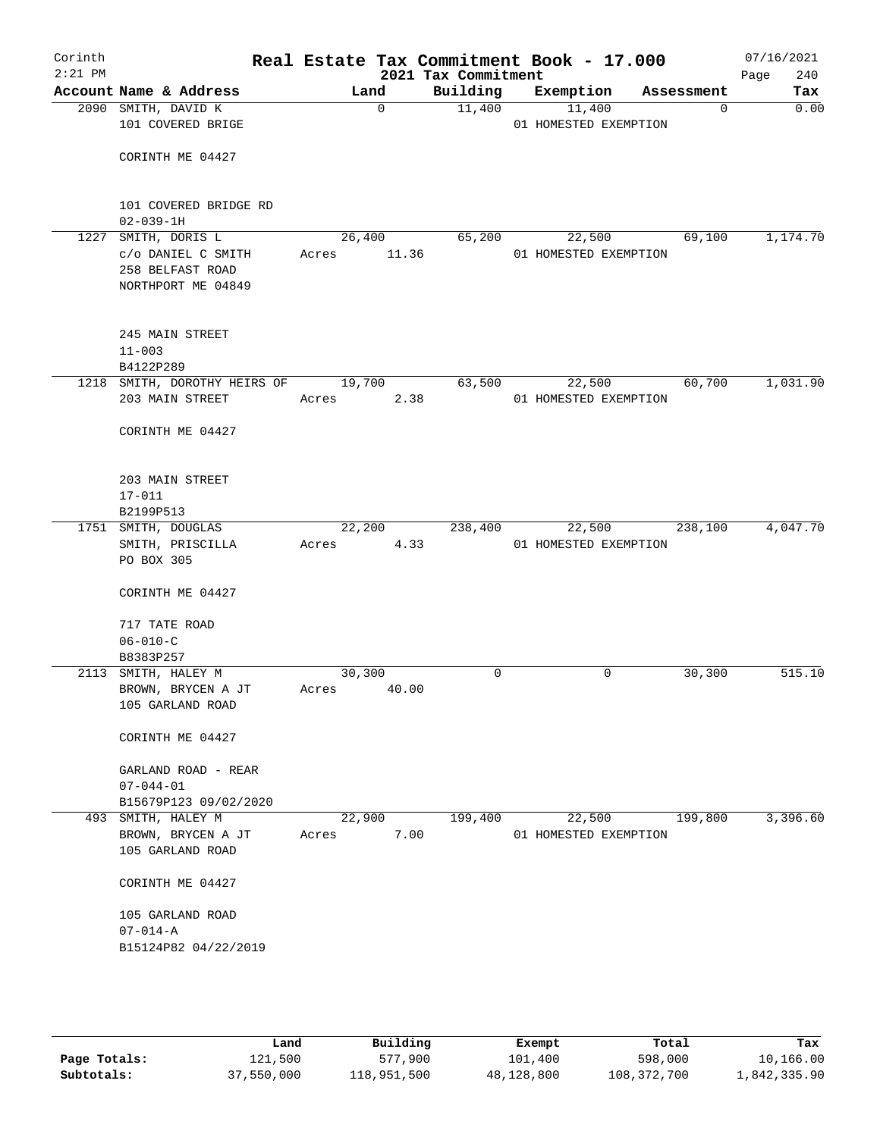| Corinth<br>$2:21$ PM |                                     |                | 2021 Tax Commitment | Real Estate Tax Commitment Book - 17.000 | Page       | 07/16/2021<br>240 |
|----------------------|-------------------------------------|----------------|---------------------|------------------------------------------|------------|-------------------|
|                      | Account Name & Address              | Land           | Building            | Exemption                                | Assessment | Tax               |
|                      | 2090 SMITH, DAVID K                 | $\Omega$       | 11,400              | 11,400                                   | 0          | 0.00              |
|                      | 101 COVERED BRIGE                   |                |                     | 01 HOMESTED EXEMPTION                    |            |                   |
|                      |                                     |                |                     |                                          |            |                   |
|                      | CORINTH ME 04427                    |                |                     |                                          |            |                   |
|                      |                                     |                |                     |                                          |            |                   |
|                      | 101 COVERED BRIDGE RD               |                |                     |                                          |            |                   |
|                      | $02 - 039 - 1H$                     |                |                     |                                          |            |                   |
|                      | 1227 SMITH, DORIS L                 | 26,400         | 65,200              | 22,500                                   | 69,100     | 1,174.70          |
|                      | c/o DANIEL C SMITH                  | 11.36<br>Acres |                     | 01 HOMESTED EXEMPTION                    |            |                   |
|                      | 258 BELFAST ROAD                    |                |                     |                                          |            |                   |
|                      | NORTHPORT ME 04849                  |                |                     |                                          |            |                   |
|                      |                                     |                |                     |                                          |            |                   |
|                      | 245 MAIN STREET                     |                |                     |                                          |            |                   |
|                      | $11 - 003$                          |                |                     |                                          |            |                   |
|                      | B4122P289                           |                |                     |                                          |            |                   |
|                      | 1218 SMITH, DOROTHY HEIRS OF 19,700 |                | 63,500              | 22,500                                   | 60,700     | 1,031.90          |
|                      | 203 MAIN STREET                     | 2.38<br>Acres  |                     | 01 HOMESTED EXEMPTION                    |            |                   |
|                      | CORINTH ME 04427                    |                |                     |                                          |            |                   |
|                      |                                     |                |                     |                                          |            |                   |
|                      |                                     |                |                     |                                          |            |                   |
|                      | 203 MAIN STREET                     |                |                     |                                          |            |                   |
|                      | $17 - 011$                          |                |                     |                                          |            |                   |
|                      | B2199P513<br>1751 SMITH, DOUGLAS    | 22,200         | 238,400             | 22,500                                   | 238,100    | 4,047.70          |
|                      | SMITH, PRISCILLA                    | 4.33<br>Acres  |                     | 01 HOMESTED EXEMPTION                    |            |                   |
|                      | PO BOX 305                          |                |                     |                                          |            |                   |
|                      |                                     |                |                     |                                          |            |                   |
|                      | CORINTH ME 04427                    |                |                     |                                          |            |                   |
|                      | 717 TATE ROAD                       |                |                     |                                          |            |                   |
|                      | $06 - 010 - C$                      |                |                     |                                          |            |                   |
|                      | B8383P257                           |                |                     |                                          |            |                   |
|                      | 2113 SMITH, HALEY M                 | 30,300         | 0                   | 0                                        | 30,300     | 515.10            |
|                      | BROWN, BRYCEN A JT                  | 40.00<br>Acres |                     |                                          |            |                   |
|                      | 105 GARLAND ROAD                    |                |                     |                                          |            |                   |
|                      | CORINTH ME 04427                    |                |                     |                                          |            |                   |
|                      |                                     |                |                     |                                          |            |                   |
|                      | GARLAND ROAD - REAR                 |                |                     |                                          |            |                   |
|                      | $07 - 044 - 01$                     |                |                     |                                          |            |                   |
|                      | B15679P123 09/02/2020               |                |                     |                                          |            |                   |
|                      | 493 SMITH, HALEY M                  | 22,900         | 199,400             | 22,500                                   | 199,800    | 3,396.60          |
|                      | BROWN, BRYCEN A JT                  | 7.00<br>Acres  |                     | 01 HOMESTED EXEMPTION                    |            |                   |
|                      | 105 GARLAND ROAD                    |                |                     |                                          |            |                   |
|                      | CORINTH ME 04427                    |                |                     |                                          |            |                   |
|                      |                                     |                |                     |                                          |            |                   |
|                      | 105 GARLAND ROAD<br>$07 - 014 - A$  |                |                     |                                          |            |                   |
|                      | B15124P82 04/22/2019                |                |                     |                                          |            |                   |
|                      |                                     |                |                     |                                          |            |                   |
|                      |                                     |                |                     |                                          |            |                   |
|                      |                                     |                |                     |                                          |            |                   |

|              | Land       | Building    | Exempt     | Total       | Tax          |
|--------------|------------|-------------|------------|-------------|--------------|
| Page Totals: | 121,500    | 577,900     | 101,400    | 598,000     | 10,166.00    |
| Subtotals:   | 37,550,000 | 118,951,500 | 48,128,800 | 108,372,700 | 1,842,335.90 |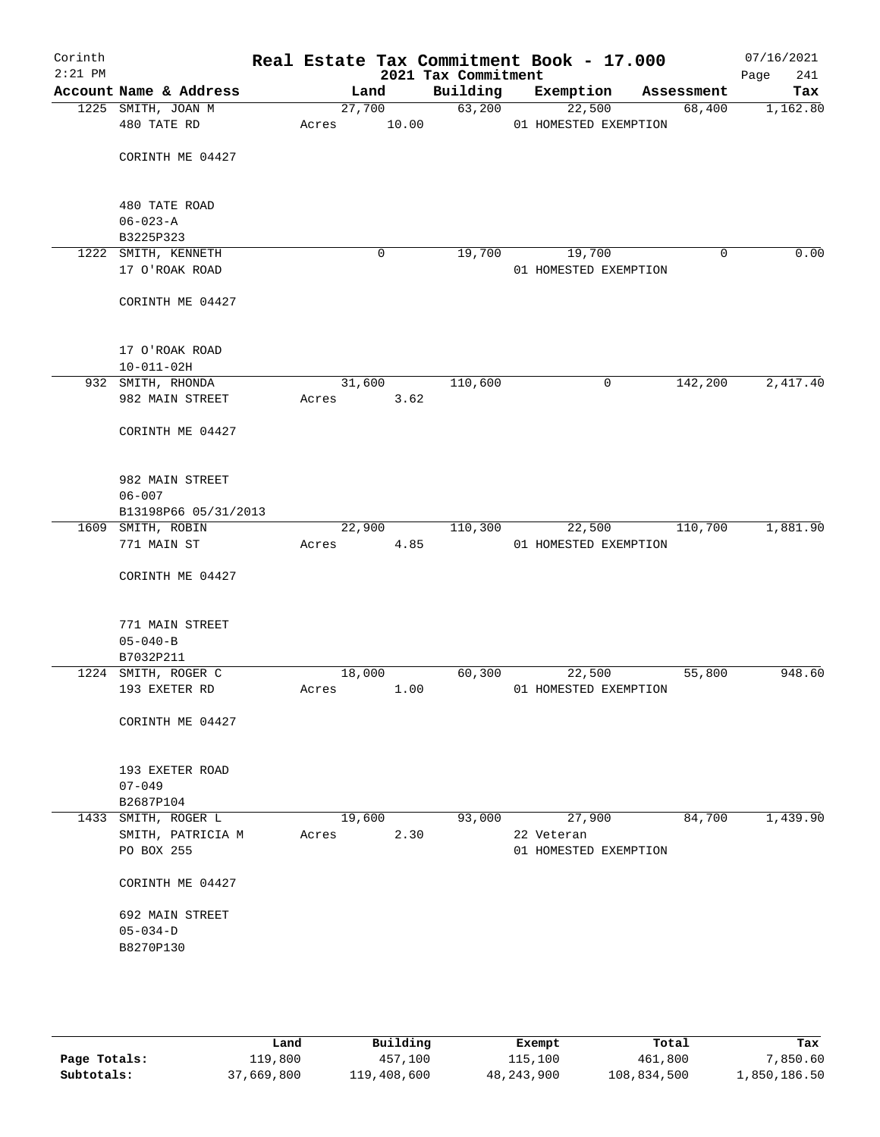| Corinth<br>$2:21$ PM |                                       |       |        | 2021 Tax Commitment | Real Estate Tax Commitment Book - 17.000 |             | 07/16/2021<br>Page<br>241 |
|----------------------|---------------------------------------|-------|--------|---------------------|------------------------------------------|-------------|---------------------------|
|                      | Account Name & Address                |       | Land   | Building            | Exemption                                | Assessment  | Tax                       |
|                      | 1225 SMITH, JOAN M                    |       | 27,700 | 63,200              | 22,500                                   | 68,400      | 1,162.80                  |
|                      | 480 TATE RD                           | Acres | 10.00  |                     | 01 HOMESTED EXEMPTION                    |             |                           |
|                      |                                       |       |        |                     |                                          |             |                           |
|                      | CORINTH ME 04427                      |       |        |                     |                                          |             |                           |
|                      |                                       |       |        |                     |                                          |             |                           |
|                      |                                       |       |        |                     |                                          |             |                           |
|                      | 480 TATE ROAD                         |       |        |                     |                                          |             |                           |
|                      | $06 - 023 - A$                        |       |        |                     |                                          |             |                           |
|                      | B3225P323                             |       | 0      | 19,700              |                                          | $\mathbf 0$ | 0.00                      |
|                      | 1222 SMITH, KENNETH<br>17 O'ROAK ROAD |       |        |                     | 19,700<br>01 HOMESTED EXEMPTION          |             |                           |
|                      |                                       |       |        |                     |                                          |             |                           |
|                      | CORINTH ME 04427                      |       |        |                     |                                          |             |                           |
|                      |                                       |       |        |                     |                                          |             |                           |
|                      |                                       |       |        |                     |                                          |             |                           |
|                      | 17 O'ROAK ROAD                        |       |        |                     |                                          |             |                           |
|                      | $10 - 011 - 02H$                      |       |        |                     |                                          |             |                           |
|                      | 932 SMITH, RHONDA                     |       | 31,600 | 110,600             | 0                                        | 142,200     | 2,417.40                  |
|                      | 982 MAIN STREET                       | Acres | 3.62   |                     |                                          |             |                           |
|                      |                                       |       |        |                     |                                          |             |                           |
|                      | CORINTH ME 04427                      |       |        |                     |                                          |             |                           |
|                      |                                       |       |        |                     |                                          |             |                           |
|                      |                                       |       |        |                     |                                          |             |                           |
|                      | 982 MAIN STREET<br>$06 - 007$         |       |        |                     |                                          |             |                           |
|                      | B13198P66 05/31/2013                  |       |        |                     |                                          |             |                           |
|                      | 1609 SMITH, ROBIN                     |       | 22,900 | 110,300             | 22,500                                   | 110,700     | 1,881.90                  |
|                      | 771 MAIN ST                           | Acres | 4.85   |                     | 01 HOMESTED EXEMPTION                    |             |                           |
|                      |                                       |       |        |                     |                                          |             |                           |
|                      | CORINTH ME 04427                      |       |        |                     |                                          |             |                           |
|                      |                                       |       |        |                     |                                          |             |                           |
|                      |                                       |       |        |                     |                                          |             |                           |
|                      | 771 MAIN STREET                       |       |        |                     |                                          |             |                           |
|                      | $05 - 040 - B$                        |       |        |                     |                                          |             |                           |
|                      | B7032P211                             |       |        |                     |                                          |             |                           |
|                      | 1224 SMITH, ROGER C                   |       | 18,000 | 60,300              | 22,500                                   | 55,800      | 948.60                    |
|                      | 193 EXETER RD                         | Acres | 1.00   |                     | 01 HOMESTED EXEMPTION                    |             |                           |
|                      | CORINTH ME 04427                      |       |        |                     |                                          |             |                           |
|                      |                                       |       |        |                     |                                          |             |                           |
|                      |                                       |       |        |                     |                                          |             |                           |
|                      | 193 EXETER ROAD                       |       |        |                     |                                          |             |                           |
|                      | $07 - 049$                            |       |        |                     |                                          |             |                           |
|                      | B2687P104                             |       |        |                     |                                          |             |                           |
|                      | 1433 SMITH, ROGER L                   |       | 19,600 | 93,000              | 27,900                                   | 84,700      | 1,439.90                  |
|                      | SMITH, PATRICIA M                     | Acres | 2.30   |                     | 22 Veteran                               |             |                           |
|                      | PO BOX 255                            |       |        |                     | 01 HOMESTED EXEMPTION                    |             |                           |
|                      |                                       |       |        |                     |                                          |             |                           |
|                      | CORINTH ME 04427                      |       |        |                     |                                          |             |                           |
|                      |                                       |       |        |                     |                                          |             |                           |
|                      | 692 MAIN STREET                       |       |        |                     |                                          |             |                           |
|                      | $05 - 034 - D$                        |       |        |                     |                                          |             |                           |
|                      | B8270P130                             |       |        |                     |                                          |             |                           |
|                      |                                       |       |        |                     |                                          |             |                           |
|                      |                                       |       |        |                     |                                          |             |                           |
|                      |                                       |       |        |                     |                                          |             |                           |
|                      |                                       |       |        |                     |                                          |             |                           |

|              | Land       | Building    | Exempt       | Total       | Tax          |
|--------------|------------|-------------|--------------|-------------|--------------|
| Page Totals: | 119,800    | 457,100     | 115,100      | 461,800     | , 850.60     |
| Subtotals:   | 37,669,800 | 119,408,600 | 48, 243, 900 | 108,834,500 | 1,850,186.50 |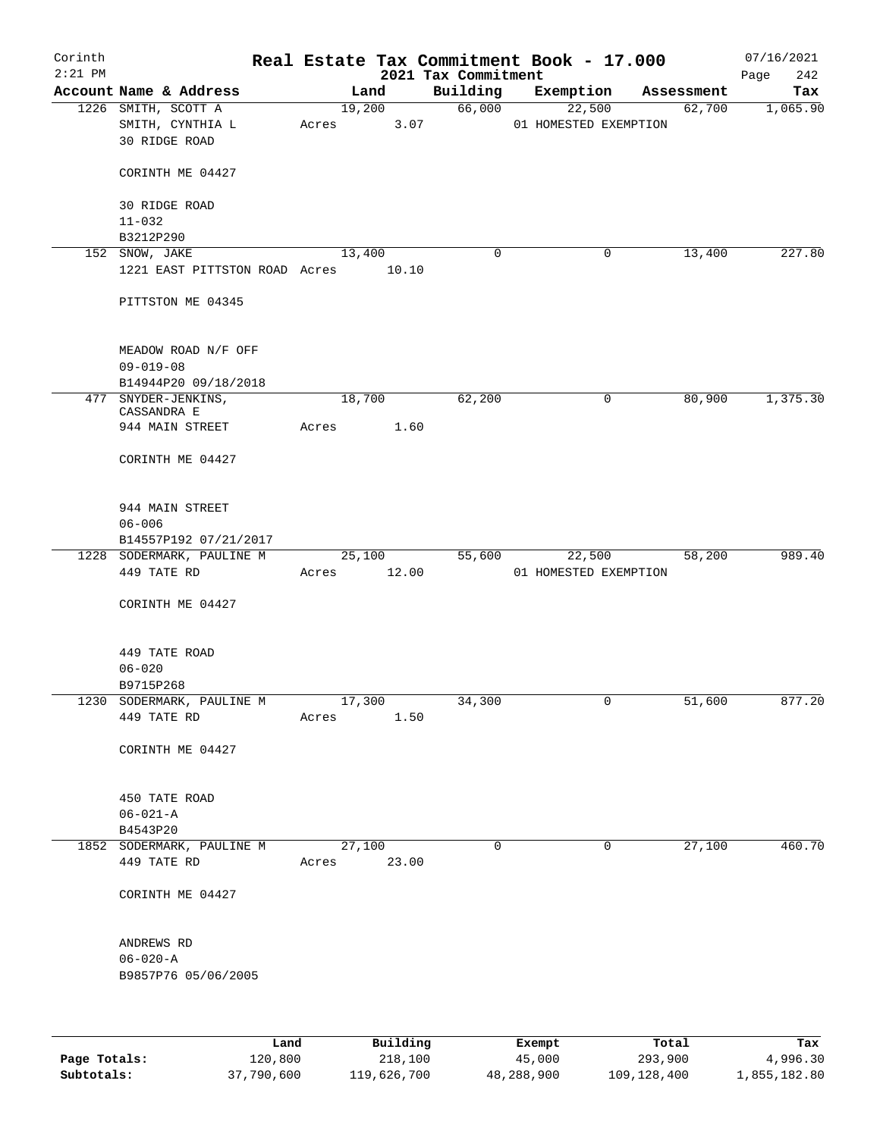| Corinth      |                                          |       |                       |                                 | Real Estate Tax Commitment Book - 17.000 |                      | 07/16/2021      |
|--------------|------------------------------------------|-------|-----------------------|---------------------------------|------------------------------------------|----------------------|-----------------|
| $2:21$ PM    | Account Name & Address                   |       | Land                  | 2021 Tax Commitment<br>Building |                                          |                      | 242<br>Page     |
|              | 1226 SMITH, SCOTT A                      |       | 19,200                | 66,000                          | Exemption<br>22,500                      | Assessment<br>62,700 | Tax<br>1,065.90 |
|              | SMITH, CYNTHIA L<br><b>30 RIDGE ROAD</b> | Acres | 3.07                  |                                 | 01 HOMESTED EXEMPTION                    |                      |                 |
|              | CORINTH ME 04427                         |       |                       |                                 |                                          |                      |                 |
|              | 30 RIDGE ROAD<br>$11 - 032$              |       |                       |                                 |                                          |                      |                 |
|              | B3212P290                                |       |                       |                                 |                                          |                      |                 |
|              | 152 SNOW, JAKE                           |       | 13,400                | 0                               | 0                                        | 13,400               | 227.80          |
|              | 1221 EAST PITTSTON ROAD Acres            |       | 10.10                 |                                 |                                          |                      |                 |
|              | PITTSTON ME 04345                        |       |                       |                                 |                                          |                      |                 |
|              | MEADOW ROAD N/F OFF<br>$09 - 019 - 08$   |       |                       |                                 |                                          |                      |                 |
|              | B14944P20 09/18/2018                     |       |                       |                                 |                                          |                      |                 |
|              | 477 SNYDER-JENKINS,<br>CASSANDRA E       |       | 18,700                | 62,200                          | 0                                        | 80,900               | 1,375.30        |
|              | 944 MAIN STREET                          | Acres | 1.60                  |                                 |                                          |                      |                 |
|              | CORINTH ME 04427                         |       |                       |                                 |                                          |                      |                 |
|              | 944 MAIN STREET                          |       |                       |                                 |                                          |                      |                 |
|              | $06 - 006$                               |       |                       |                                 |                                          |                      |                 |
|              | B14557P192 07/21/2017                    |       |                       |                                 |                                          |                      |                 |
|              | 1228 SODERMARK, PAULINE M<br>449 TATE RD |       | 25,100<br>Acres 12.00 | 55,600                          | 22,500<br>01 HOMESTED EXEMPTION          | 58,200               | 989.40          |
|              | CORINTH ME 04427                         |       |                       |                                 |                                          |                      |                 |
|              |                                          |       |                       |                                 |                                          |                      |                 |
|              | 449 TATE ROAD<br>$06 - 020$              |       |                       |                                 |                                          |                      |                 |
|              | B9715P268                                |       |                       |                                 |                                          |                      |                 |
|              | 1230 SODERMARK, PAULINE M                |       | 17,300                | 34,300                          | 0                                        | 51,600               | 877.20          |
|              | 449 TATE RD                              | Acres | 1.50                  |                                 |                                          |                      |                 |
|              | CORINTH ME 04427                         |       |                       |                                 |                                          |                      |                 |
|              | 450 TATE ROAD                            |       |                       |                                 |                                          |                      |                 |
|              | $06 - 021 - A$                           |       |                       |                                 |                                          |                      |                 |
|              | B4543P20                                 |       |                       |                                 |                                          |                      |                 |
|              | 1852 SODERMARK, PAULINE M<br>449 TATE RD | Acres | 27,100<br>23.00       | 0                               | $\mathbf 0$                              | 27,100               | 460.70          |
|              | CORINTH ME 04427                         |       |                       |                                 |                                          |                      |                 |
|              | ANDREWS RD                               |       |                       |                                 |                                          |                      |                 |
|              | $06 - 020 - A$                           |       |                       |                                 |                                          |                      |                 |
|              | B9857P76 05/06/2005                      |       |                       |                                 |                                          |                      |                 |
|              |                                          |       |                       |                                 |                                          |                      |                 |
|              | Land                                     |       | Building              |                                 | Exempt                                   | Total                | Tax             |
| Page Totals: | 120,800                                  |       | 218,100               |                                 | 45,000                                   | 293,900              | 4,996.30        |

**Subtotals:** 37,790,600 119,626,700 48,288,900 109,128,400 1,855,182.80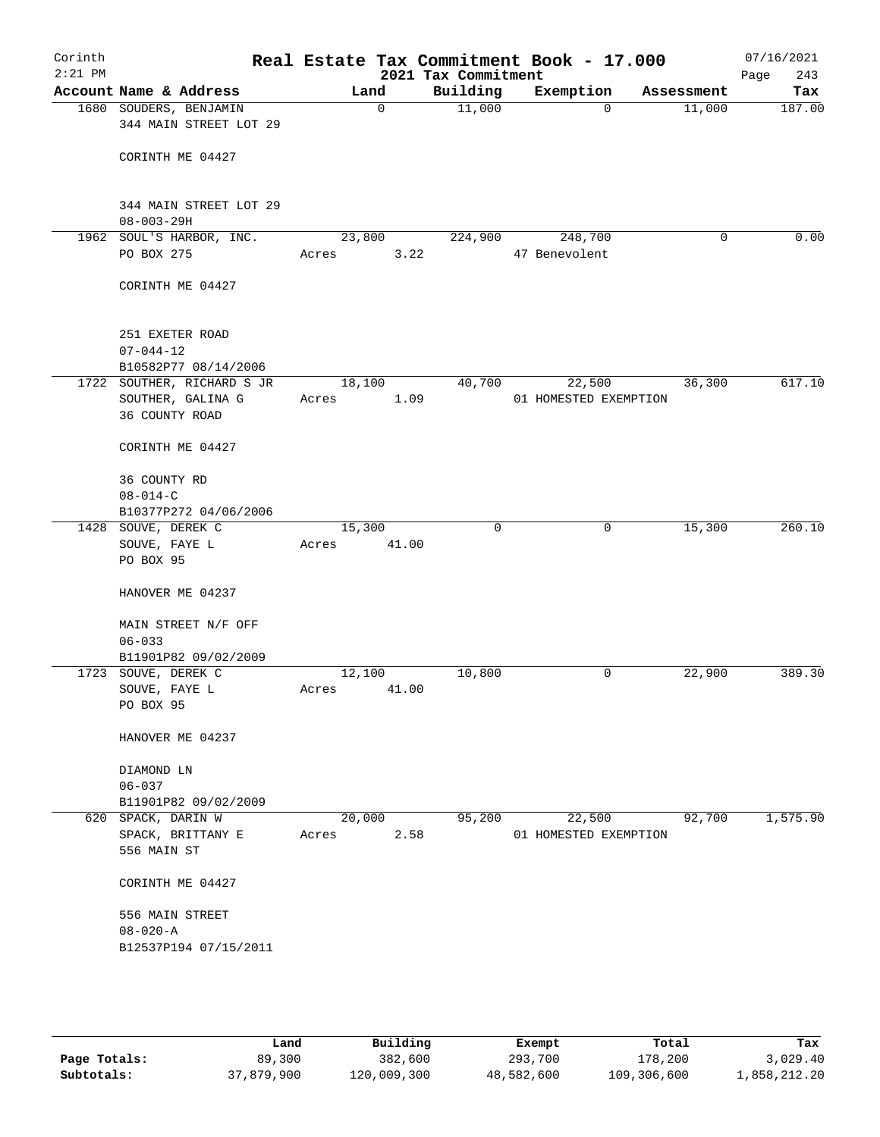| Corinth<br>$2:21$ PM |                                                            |                 |                | Real Estate Tax Commitment Book - 17.000<br>2021 Tax Commitment |               |                                 |            | 07/16/2021<br>Page<br>243 |
|----------------------|------------------------------------------------------------|-----------------|----------------|-----------------------------------------------------------------|---------------|---------------------------------|------------|---------------------------|
|                      | Account Name & Address                                     |                 | Land           | Building                                                        |               | Exemption                       | Assessment | Tax                       |
|                      | 1680 SOUDERS, BENJAMIN<br>344 MAIN STREET LOT 29           |                 | 0              | 11,000                                                          |               | $\Omega$                        | 11,000     | 187.00                    |
|                      | CORINTH ME 04427                                           |                 |                |                                                                 |               |                                 |            |                           |
|                      | 344 MAIN STREET LOT 29<br>$08 - 003 - 29H$                 |                 |                |                                                                 |               |                                 |            |                           |
|                      | 1962 SOUL'S HARBOR, INC.                                   |                 | 23,800         | 224,900                                                         |               | 248,700                         | 0          | 0.00                      |
|                      | PO BOX 275                                                 | Acres           | 3.22           |                                                                 | 47 Benevolent |                                 |            |                           |
|                      | CORINTH ME 04427                                           |                 |                |                                                                 |               |                                 |            |                           |
|                      | 251 EXETER ROAD<br>$07 - 044 - 12$<br>B10582P77 08/14/2006 |                 |                |                                                                 |               |                                 |            |                           |
|                      | 1722 SOUTHER, RICHARD S JR                                 |                 | 18,100         | 40,700                                                          |               | 22,500                          | 36,300     | 617.10                    |
|                      | SOUTHER, GALINA G<br>36 COUNTY ROAD                        | Acres           | 1.09           |                                                                 |               | 01 HOMESTED EXEMPTION           |            |                           |
|                      | CORINTH ME 04427                                           |                 |                |                                                                 |               |                                 |            |                           |
|                      | 36 COUNTY RD<br>$08 - 014 - C$                             |                 |                |                                                                 |               |                                 |            |                           |
|                      | B10377P272 04/06/2006                                      |                 |                |                                                                 |               |                                 |            |                           |
|                      | 1428 SOUVE, DEREK C                                        |                 | 15,300         | $\Omega$                                                        |               | $\mathbf 0$                     | 15,300     | 260.10                    |
|                      | SOUVE, FAYE L<br>PO BOX 95                                 | Acres           | 41.00          |                                                                 |               |                                 |            |                           |
|                      | HANOVER ME 04237                                           |                 |                |                                                                 |               |                                 |            |                           |
|                      | MAIN STREET N/F OFF                                        |                 |                |                                                                 |               |                                 |            |                           |
|                      | $06 - 033$                                                 |                 |                |                                                                 |               |                                 |            |                           |
|                      | B11901P82 09/02/2009                                       |                 |                |                                                                 |               | 0                               |            | 389.30                    |
|                      | 1723 SOUVE, DEREK C<br>SOUVE, FAYE L                       | 12,100<br>Acres | 41.00          | 10,800                                                          |               |                                 | 22,900     |                           |
|                      | PO BOX 95                                                  |                 |                |                                                                 |               |                                 |            |                           |
|                      | HANOVER ME 04237                                           |                 |                |                                                                 |               |                                 |            |                           |
|                      | DIAMOND LN                                                 |                 |                |                                                                 |               |                                 |            |                           |
|                      | $06 - 037$                                                 |                 |                |                                                                 |               |                                 |            |                           |
|                      | B11901P82 09/02/2009                                       |                 |                |                                                                 |               |                                 |            |                           |
|                      | 620 SPACK, DARIN W<br>SPACK, BRITTANY E<br>556 MAIN ST     | Acres           | 20,000<br>2.58 | 95,200                                                          |               | 22,500<br>01 HOMESTED EXEMPTION | 92,700     | 1,575.90                  |
|                      | CORINTH ME 04427                                           |                 |                |                                                                 |               |                                 |            |                           |
|                      | 556 MAIN STREET                                            |                 |                |                                                                 |               |                                 |            |                           |
|                      | $08 - 020 - A$                                             |                 |                |                                                                 |               |                                 |            |                           |
|                      | B12537P194 07/15/2011                                      |                 |                |                                                                 |               |                                 |            |                           |
|                      |                                                            |                 |                |                                                                 |               |                                 |            |                           |
|                      |                                                            |                 |                |                                                                 |               |                                 |            |                           |

|              | Land       | Building    | Exempt     | Total       | Tax          |
|--------------|------------|-------------|------------|-------------|--------------|
| Page Totals: | 89,300     | 382,600     | 293,700    | 178,200     | 3,029.40     |
| Subtotals:   | 37,879,900 | 120,009,300 | 48,582,600 | 109,306,600 | 1,858,212.20 |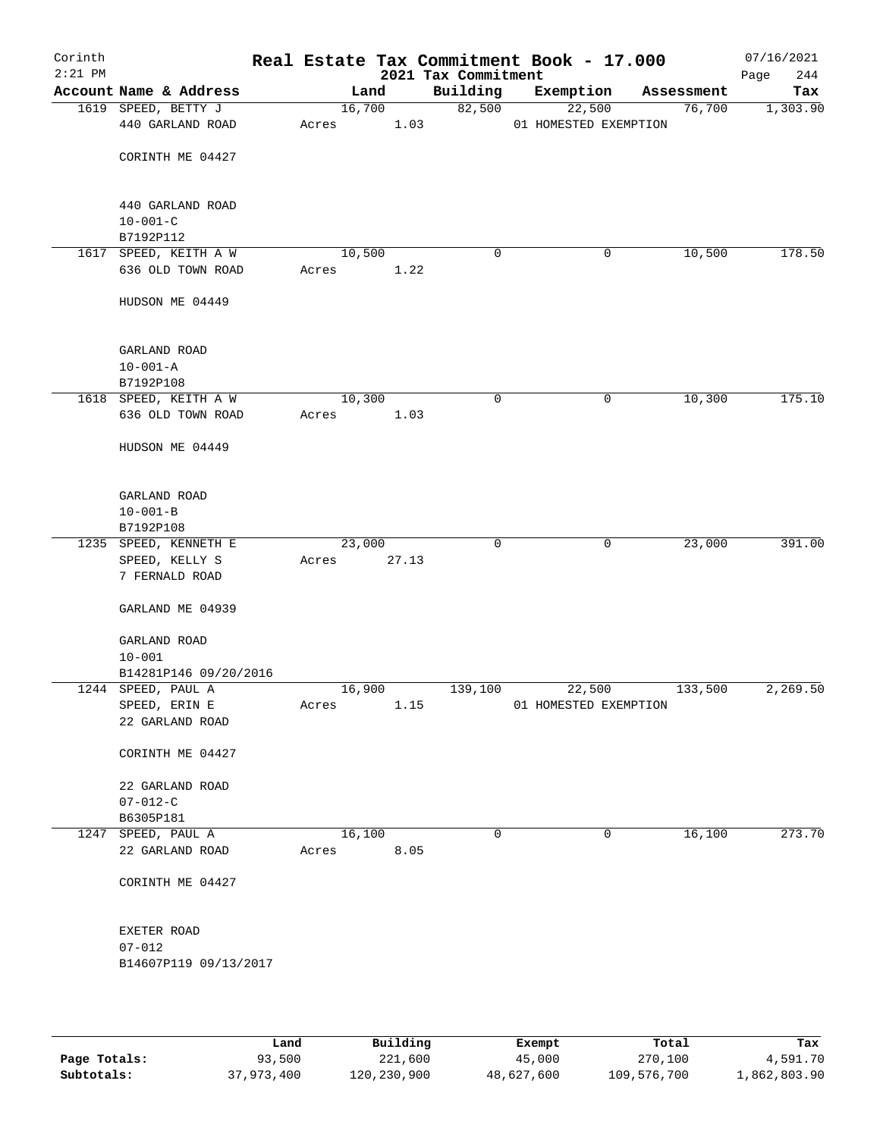| Corinth<br>$2:21$ PM |                             |        |       | 2021 Tax Commitment | Real Estate Tax Commitment Book - 17.000 |              |            | 07/16/2021<br>244<br>Page |
|----------------------|-----------------------------|--------|-------|---------------------|------------------------------------------|--------------|------------|---------------------------|
|                      | Account Name & Address      |        | Land  | Building            | Exemption                                |              | Assessment | Tax                       |
|                      | 1619 SPEED, BETTY J         | 16,700 |       | 82,500              | 22,500                                   |              | 76,700     | 1,303.90                  |
|                      | 440 GARLAND ROAD            | Acres  | 1.03  |                     | 01 HOMESTED EXEMPTION                    |              |            |                           |
|                      |                             |        |       |                     |                                          |              |            |                           |
|                      | CORINTH ME 04427            |        |       |                     |                                          |              |            |                           |
|                      | 440 GARLAND ROAD            |        |       |                     |                                          |              |            |                           |
|                      | $10 - 001 - C$              |        |       |                     |                                          |              |            |                           |
|                      | B7192P112                   |        |       |                     |                                          |              |            |                           |
|                      | 1617 SPEED, KEITH A W       | 10,500 |       | 0                   |                                          | 0            | 10,500     | 178.50                    |
|                      | 636 OLD TOWN ROAD           | Acres  | 1.22  |                     |                                          |              |            |                           |
|                      | HUDSON ME 04449             |        |       |                     |                                          |              |            |                           |
|                      | GARLAND ROAD                |        |       |                     |                                          |              |            |                           |
|                      | $10 - 001 - A$              |        |       |                     |                                          |              |            |                           |
|                      | B7192P108                   |        |       |                     |                                          |              |            |                           |
|                      | 1618 SPEED, KEITH A W       | 10,300 |       | $\mathbf 0$         |                                          | 0            | 10,300     | 175.10                    |
|                      | 636 OLD TOWN ROAD           | Acres  | 1.03  |                     |                                          |              |            |                           |
|                      | HUDSON ME 04449             |        |       |                     |                                          |              |            |                           |
|                      |                             |        |       |                     |                                          |              |            |                           |
|                      | GARLAND ROAD                |        |       |                     |                                          |              |            |                           |
|                      | $10 - 001 - B$<br>B7192P108 |        |       |                     |                                          |              |            |                           |
|                      | 1235 SPEED, KENNETH E       | 23,000 |       | $\mathbf 0$         |                                          | $\mathbf{0}$ | 23,000     | 391.00                    |
|                      | SPEED, KELLY S              | Acres  | 27.13 |                     |                                          |              |            |                           |
|                      | 7 FERNALD ROAD              |        |       |                     |                                          |              |            |                           |
|                      | GARLAND ME 04939            |        |       |                     |                                          |              |            |                           |
|                      | GARLAND ROAD                |        |       |                     |                                          |              |            |                           |
|                      | $10 - 001$                  |        |       |                     |                                          |              |            |                           |
|                      | B14281P146 09/20/2016       |        |       |                     |                                          |              |            |                           |
|                      | 1244 SPEED, PAUL A          | 16,900 |       | 139,100             | 22,500                                   |              | 133,500    | 2,269.50                  |
|                      | SPEED, ERIN E               | Acres  | 1.15  |                     | 01 HOMESTED EXEMPTION                    |              |            |                           |
|                      | 22 GARLAND ROAD             |        |       |                     |                                          |              |            |                           |
|                      | CORINTH ME 04427            |        |       |                     |                                          |              |            |                           |
|                      | 22 GARLAND ROAD             |        |       |                     |                                          |              |            |                           |
|                      | $07 - 012 - C$              |        |       |                     |                                          |              |            |                           |
|                      | B6305P181                   |        |       |                     |                                          |              |            |                           |
|                      | 1247 SPEED, PAUL A          | 16,100 |       | $\mathbf 0$         |                                          | 0            | 16,100     | 273.70                    |
|                      | 22 GARLAND ROAD             | Acres  | 8.05  |                     |                                          |              |            |                           |
|                      | CORINTH ME 04427            |        |       |                     |                                          |              |            |                           |
|                      | EXETER ROAD                 |        |       |                     |                                          |              |            |                           |
|                      | $07 - 012$                  |        |       |                     |                                          |              |            |                           |
|                      | B14607P119 09/13/2017       |        |       |                     |                                          |              |            |                           |
|                      |                             |        |       |                     |                                          |              |            |                           |
|                      |                             |        |       |                     |                                          |              |            |                           |

|              | Land       | Building    | Exempt     | Total       | Tax          |
|--------------|------------|-------------|------------|-------------|--------------|
| Page Totals: | 93,500     | 221,600     | 45,000     | 270,100     | 4,591.70     |
| Subtotals:   | 37,973,400 | 120,230,900 | 48,627,600 | 109,576,700 | 1,862,803.90 |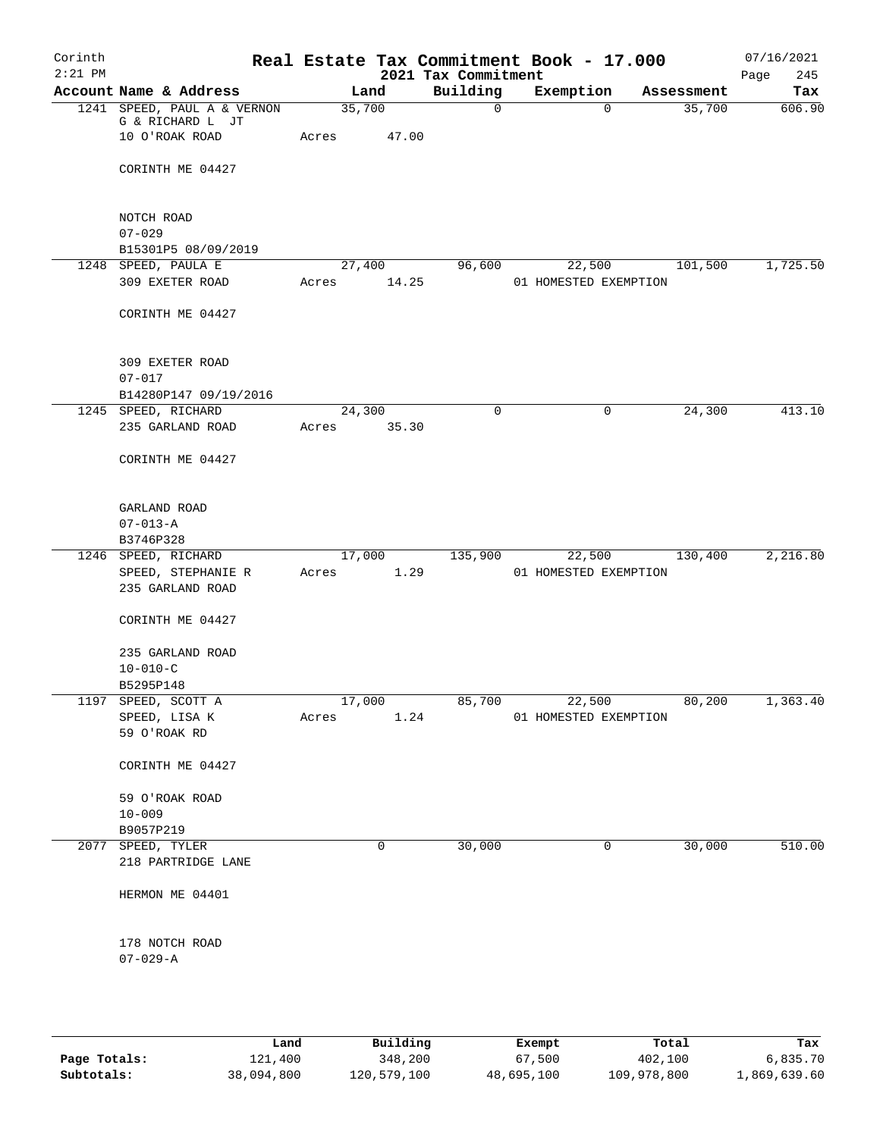| Corinth<br>$2:21$ PM |                                                                   |                 |       | 2021 Tax Commitment | Real Estate Tax Commitment Book - 17.000 |            | 07/16/2021<br>Page<br>245 |
|----------------------|-------------------------------------------------------------------|-----------------|-------|---------------------|------------------------------------------|------------|---------------------------|
|                      | Account Name & Address                                            |                 | Land  | Building            | Exemption                                | Assessment | Tax                       |
|                      | 1241 SPEED, PAUL A & VERNON<br>G & RICHARD L JT<br>10 O'ROAK ROAD | 35,700<br>Acres | 47.00 | 0                   | 0                                        | 35,700     | 606.90                    |
|                      | CORINTH ME 04427                                                  |                 |       |                     |                                          |            |                           |
|                      | NOTCH ROAD<br>$07 - 029$                                          |                 |       |                     |                                          |            |                           |
|                      | B15301P5 08/09/2019                                               |                 |       |                     |                                          |            |                           |
|                      | 1248 SPEED, PAULA E<br>309 EXETER ROAD                            | 27,400<br>Acres | 14.25 | 96,600              | 22,500<br>01 HOMESTED EXEMPTION          | 101,500    | 1,725.50                  |
|                      | CORINTH ME 04427                                                  |                 |       |                     |                                          |            |                           |
|                      | 309 EXETER ROAD<br>$07 - 017$                                     |                 |       |                     |                                          |            |                           |
|                      | B14280P147 09/19/2016                                             |                 |       |                     |                                          |            |                           |
|                      | 1245 SPEED, RICHARD<br>235 GARLAND ROAD                           | 24,300<br>Acres | 35.30 | $\mathbf 0$         | 0                                        | 24,300     | 413.10                    |
|                      | CORINTH ME 04427                                                  |                 |       |                     |                                          |            |                           |
|                      | GARLAND ROAD<br>$07 - 013 - A$                                    |                 |       |                     |                                          |            |                           |
|                      | B3746P328                                                         |                 |       |                     |                                          |            |                           |
|                      | 1246 SPEED, RICHARD                                               | 17,000          |       | 135,900             | 22,500                                   | 130,400    | 2,216.80                  |
|                      | SPEED, STEPHANIE R<br>235 GARLAND ROAD                            | Acres           | 1.29  |                     | 01 HOMESTED EXEMPTION                    |            |                           |
|                      | CORINTH ME 04427                                                  |                 |       |                     |                                          |            |                           |
|                      | 235 GARLAND ROAD<br>$10 - 010 - C$                                |                 |       |                     |                                          |            |                           |
|                      | B5295P148<br>1197 SPEED, SCOTT A                                  | 17,000          |       | 85,700              | 22,500                                   | 80,200     | 1,363.40                  |
|                      | SPEED, LISA K<br>59 O'ROAK RD                                     | Acres           | 1.24  |                     | 01 HOMESTED EXEMPTION                    |            |                           |
|                      | CORINTH ME 04427                                                  |                 |       |                     |                                          |            |                           |
|                      | 59 O'ROAK ROAD                                                    |                 |       |                     |                                          |            |                           |
|                      | $10 - 009$                                                        |                 |       |                     |                                          |            |                           |
|                      | B9057P219                                                         |                 |       |                     |                                          |            |                           |
|                      | 2077 SPEED, TYLER<br>218 PARTRIDGE LANE                           |                 | 0     | 30,000              | 0                                        | 30,000     | 510.00                    |
|                      | HERMON ME 04401                                                   |                 |       |                     |                                          |            |                           |
|                      | 178 NOTCH ROAD<br>$07 - 029 - A$                                  |                 |       |                     |                                          |            |                           |
|                      |                                                                   |                 |       |                     |                                          |            |                           |

|              | Land       | Building    | Exempt     | Total       | Tax          |
|--------------|------------|-------------|------------|-------------|--------------|
| Page Totals: | 121,400    | 348,200     | 67,500     | 402,100     | 6,835.70     |
| Subtotals:   | 38,094,800 | 120,579,100 | 48,695,100 | 109,978,800 | 1,869,639.60 |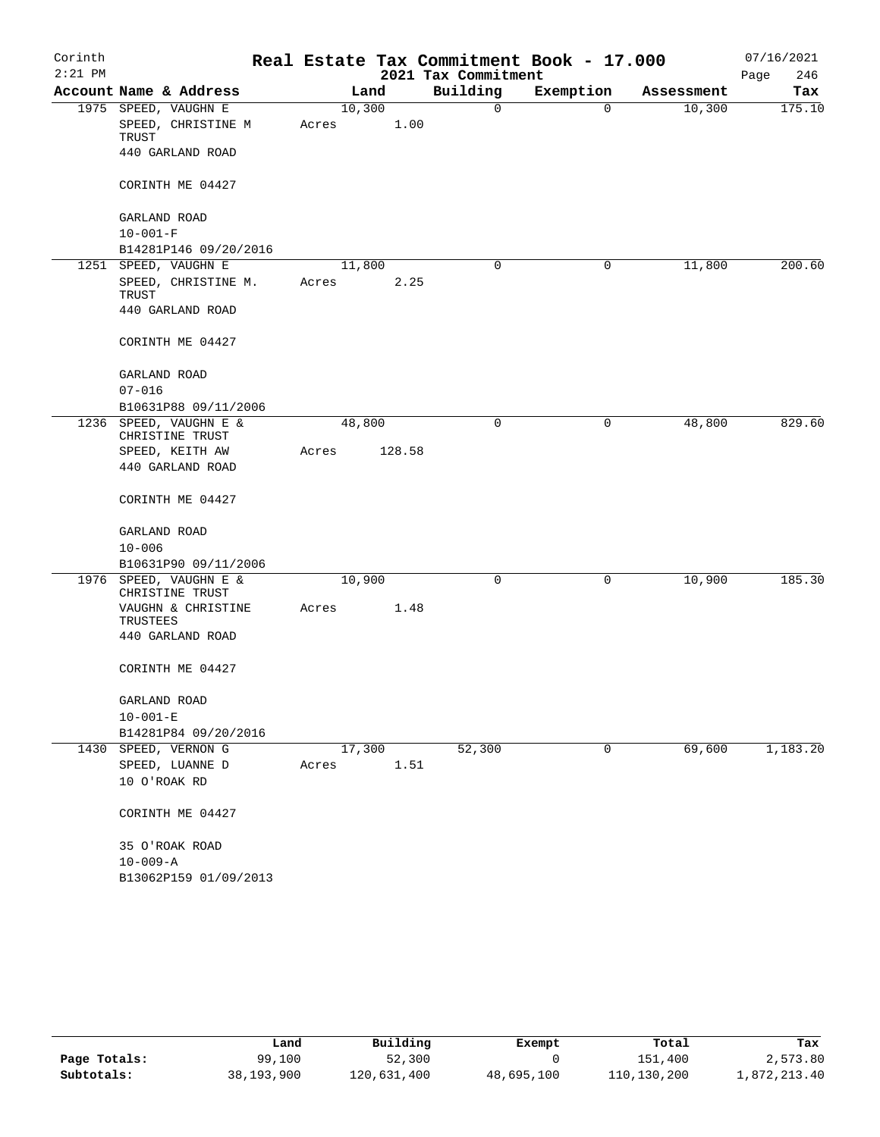| Corinth   |                                            |       |        |        |                     | Real Estate Tax Commitment Book - 17.000 |            | 07/16/2021  |
|-----------|--------------------------------------------|-------|--------|--------|---------------------|------------------------------------------|------------|-------------|
| $2:21$ PM |                                            |       |        |        | 2021 Tax Commitment |                                          |            | 246<br>Page |
|           | Account Name & Address                     |       |        | Land   | Building            | Exemption                                | Assessment | Tax         |
|           | 1975 SPEED, VAUGHN E<br>SPEED, CHRISTINE M | Acres | 10,300 | 1.00   | 0                   | 0                                        | 10,300     | 175.10      |
|           | TRUST<br>440 GARLAND ROAD                  |       |        |        |                     |                                          |            |             |
|           | CORINTH ME 04427                           |       |        |        |                     |                                          |            |             |
|           | GARLAND ROAD                               |       |        |        |                     |                                          |            |             |
|           | $10 - 001 - F$                             |       |        |        |                     |                                          |            |             |
|           | B14281P146 09/20/2016                      |       |        |        |                     |                                          |            |             |
|           | 1251 SPEED, VAUGHN E                       |       |        | 11,800 | 0                   | 0                                        | 11,800     | 200.60      |
|           | SPEED, CHRISTINE M.<br>TRUST               | Acres |        | 2.25   |                     |                                          |            |             |
|           | 440 GARLAND ROAD                           |       |        |        |                     |                                          |            |             |
|           | CORINTH ME 04427                           |       |        |        |                     |                                          |            |             |
|           | GARLAND ROAD                               |       |        |        |                     |                                          |            |             |
|           | $07 - 016$                                 |       |        |        |                     |                                          |            |             |
|           | B10631P88 09/11/2006                       |       |        |        |                     |                                          |            |             |
|           | 1236 SPEED, VAUGHN E &<br>CHRISTINE TRUST  |       | 48,800 |        | 0                   | 0                                        | 48,800     | 829.60      |
|           | SPEED, KEITH AW                            | Acres |        | 128.58 |                     |                                          |            |             |
|           | 440 GARLAND ROAD                           |       |        |        |                     |                                          |            |             |
|           | CORINTH ME 04427                           |       |        |        |                     |                                          |            |             |
|           | GARLAND ROAD                               |       |        |        |                     |                                          |            |             |
|           | $10 - 006$                                 |       |        |        |                     |                                          |            |             |
|           | B10631P90 09/11/2006                       |       |        |        |                     |                                          |            |             |
| 1976      | SPEED, VAUGHN E &<br>CHRISTINE TRUST       |       | 10,900 |        | 0                   | 0                                        | 10,900     | 185.30      |
|           | VAUGHN & CHRISTINE<br>TRUSTEES             | Acres |        | 1.48   |                     |                                          |            |             |
|           | 440 GARLAND ROAD                           |       |        |        |                     |                                          |            |             |
|           | CORINTH ME 04427                           |       |        |        |                     |                                          |            |             |
|           | GARLAND ROAD                               |       |        |        |                     |                                          |            |             |
|           | $10 - 001 - E$                             |       |        |        |                     |                                          |            |             |
|           | B14281P84 09/20/2016                       |       |        |        |                     |                                          |            |             |
|           | 1430 SPEED, VERNON G                       |       |        | 17,300 | 52,300              | 0                                        | 69,600     | 1,183.20    |
|           | ${\tt SPEED}$ , ${\tt LUANNE}$ ${\tt D}$   | Acres |        | 1.51   |                     |                                          |            |             |
|           | 10 O'ROAK RD                               |       |        |        |                     |                                          |            |             |
|           | CORINTH ME 04427                           |       |        |        |                     |                                          |            |             |
|           | 35 O'ROAK ROAD                             |       |        |        |                     |                                          |            |             |
|           | $10 - 009 - A$                             |       |        |        |                     |                                          |            |             |
|           | B13062P159 01/09/2013                      |       |        |        |                     |                                          |            |             |

|              | Land       | Building    | Exempt     | Total       | Tax          |
|--------------|------------|-------------|------------|-------------|--------------|
| Page Totals: | 99,100     | 52,300      |            | 151,400     | 2,573.80     |
| Subtotals:   | 38,193,900 | 120,631,400 | 48,695,100 | 110,130,200 | 1,872,213.40 |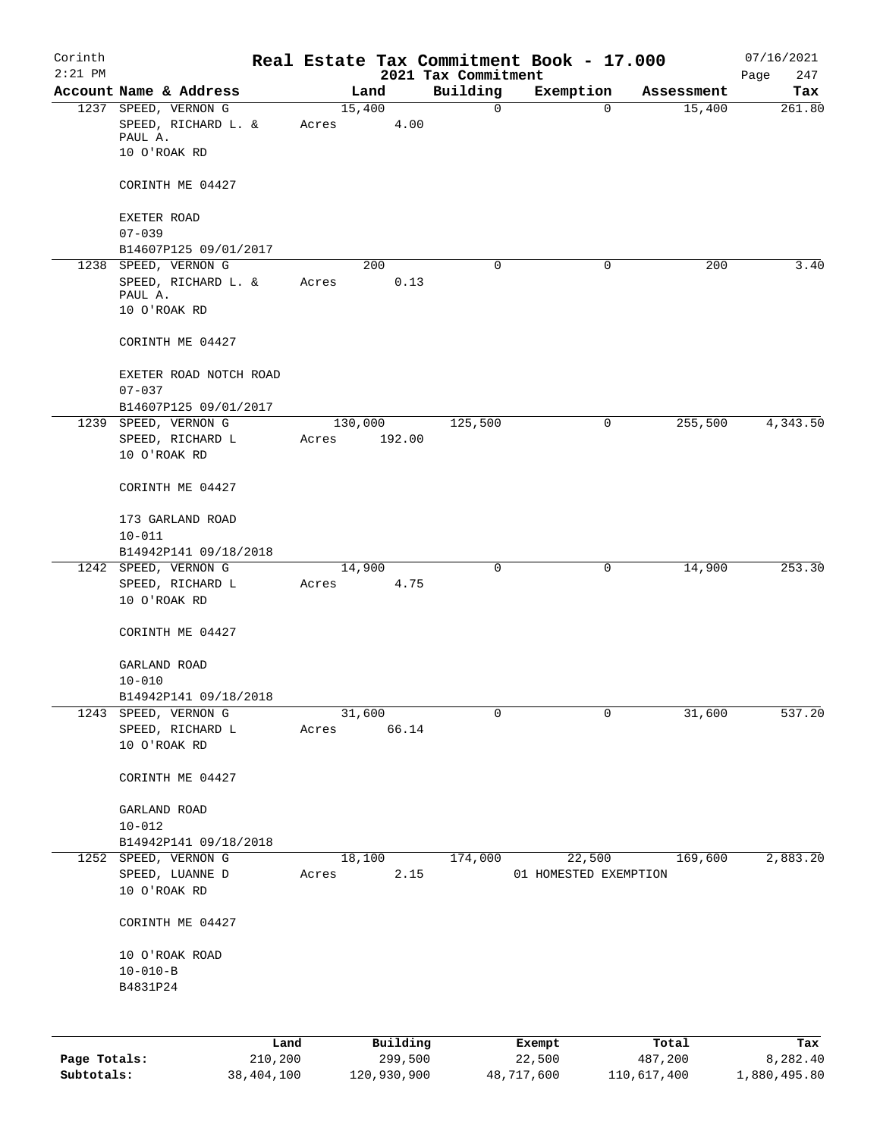| Corinth<br>$2:21$ PM |                                             |         |       |         |          | 2021 Tax Commitment | Real Estate Tax Commitment Book - 17.000 |            | 07/16/2021<br>247<br>Page |
|----------------------|---------------------------------------------|---------|-------|---------|----------|---------------------|------------------------------------------|------------|---------------------------|
|                      | Account Name & Address                      |         |       | Land    |          | Building            | Exemption                                | Assessment | Tax                       |
|                      | 1237 SPEED, VERNON G<br>SPEED, RICHARD L. & |         | Acres | 15,400  | 4.00     | $\mathsf{O}$        | $\mathbf 0$                              | 15,400     | 261.80                    |
|                      | PAUL A.<br>10 O'ROAK RD                     |         |       |         |          |                     |                                          |            |                           |
|                      | CORINTH ME 04427                            |         |       |         |          |                     |                                          |            |                           |
|                      | <b>EXETER ROAD</b>                          |         |       |         |          |                     |                                          |            |                           |
|                      | $07 - 039$<br>B14607P125 09/01/2017         |         |       |         |          |                     |                                          |            |                           |
|                      | 1238 SPEED, VERNON G                        |         |       | 200     |          | $\mathbf 0$         | $\mathbf 0$                              | 200        | 3.40                      |
|                      | SPEED, RICHARD L. &                         |         | Acres |         | 0.13     |                     |                                          |            |                           |
|                      | PAUL A.<br>10 O'ROAK RD                     |         |       |         |          |                     |                                          |            |                           |
|                      | CORINTH ME 04427                            |         |       |         |          |                     |                                          |            |                           |
|                      | EXETER ROAD NOTCH ROAD<br>$07 - 037$        |         |       |         |          |                     |                                          |            |                           |
|                      | B14607P125 09/01/2017                       |         |       |         |          |                     |                                          |            |                           |
|                      | 1239 SPEED, VERNON G                        |         |       | 130,000 |          | 125,500             | 0                                        | 255,500    | 4,343.50                  |
|                      | SPEED, RICHARD L<br>10 O'ROAK RD            |         | Acres |         | 192.00   |                     |                                          |            |                           |
|                      | CORINTH ME 04427                            |         |       |         |          |                     |                                          |            |                           |
|                      | 173 GARLAND ROAD<br>$10 - 011$              |         |       |         |          |                     |                                          |            |                           |
|                      | B14942P141 09/18/2018                       |         |       |         |          |                     |                                          |            |                           |
|                      | 1242 SPEED, VERNON G                        |         |       | 14,900  |          | 0                   | 0                                        | 14,900     | 253.30                    |
|                      | SPEED, RICHARD L<br>10 O'ROAK RD            |         | Acres |         | 4.75     |                     |                                          |            |                           |
|                      | CORINTH ME 04427                            |         |       |         |          |                     |                                          |            |                           |
|                      | GARLAND ROAD                                |         |       |         |          |                     |                                          |            |                           |
|                      | $10 - 010$                                  |         |       |         |          |                     |                                          |            |                           |
| 1243                 | B14942P141 09/18/2018<br>SPEED, VERNON G    |         |       | 31,600  |          | 0                   | 0                                        | 31,600     | 537.20                    |
|                      | SPEED, RICHARD L                            |         | Acres |         | 66.14    |                     |                                          |            |                           |
|                      | 10 O'ROAK RD                                |         |       |         |          |                     |                                          |            |                           |
|                      | CORINTH ME 04427                            |         |       |         |          |                     |                                          |            |                           |
|                      | GARLAND ROAD                                |         |       |         |          |                     |                                          |            |                           |
|                      | $10 - 012$                                  |         |       |         |          |                     |                                          |            |                           |
|                      | B14942P141 09/18/2018                       |         |       |         |          |                     |                                          |            |                           |
|                      | 1252 SPEED, VERNON G<br>SPEED, LUANNE D     |         | Acres | 18,100  | 2.15     | 174,000             | 22,500<br>01 HOMESTED EXEMPTION          | 169,600    | 2,883.20                  |
|                      | 10 O'ROAK RD                                |         |       |         |          |                     |                                          |            |                           |
|                      | CORINTH ME 04427                            |         |       |         |          |                     |                                          |            |                           |
|                      | 10 O'ROAK ROAD                              |         |       |         |          |                     |                                          |            |                           |
|                      | $10 - 010 - B$                              |         |       |         |          |                     |                                          |            |                           |
|                      | B4831P24                                    |         |       |         |          |                     |                                          |            |                           |
|                      |                                             |         |       |         |          |                     |                                          |            |                           |
|                      |                                             | Land    |       |         | Building |                     | Exempt                                   | Total      | Tax                       |
| Page Totals:         |                                             | 210,200 |       |         | 299,500  |                     | 22,500                                   | 487,200    | 8,282.40                  |

**Subtotals:** 38,404,100 120,930,900 48,717,600 110,617,400 1,880,495.80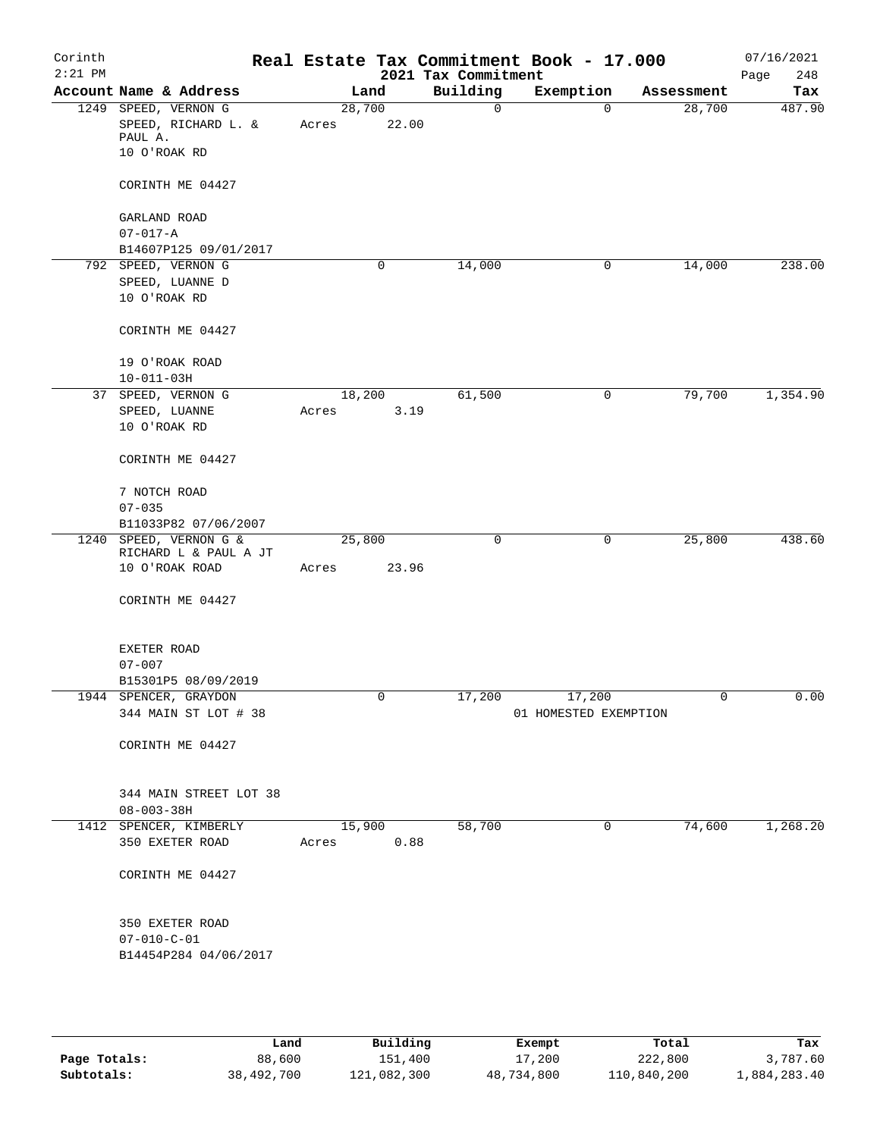| Corinth<br>$2:21$ PM |                                                                        |                 |       | 2021 Tax Commitment | Real Estate Tax Commitment Book - 17.000 |            | 07/16/2021<br>248<br>Page |
|----------------------|------------------------------------------------------------------------|-----------------|-------|---------------------|------------------------------------------|------------|---------------------------|
|                      | Account Name & Address                                                 | Land            |       | Building            | Exemption                                | Assessment | Tax                       |
|                      | 1249 SPEED, VERNON G<br>SPEED, RICHARD L. &<br>PAUL A.<br>10 O'ROAK RD | 28,700<br>Acres | 22.00 | $\mathbf 0$         | 0                                        | 28,700     | 487.90                    |
|                      | CORINTH ME 04427                                                       |                 |       |                     |                                          |            |                           |
|                      | GARLAND ROAD<br>$07 - 017 - A$                                         |                 |       |                     |                                          |            |                           |
|                      | B14607P125 09/01/2017<br>792 SPEED, VERNON G                           |                 | 0     | 14,000              | 0                                        | 14,000     | 238.00                    |
|                      | SPEED, LUANNE D<br>10 O'ROAK RD                                        |                 |       |                     |                                          |            |                           |
|                      | CORINTH ME 04427                                                       |                 |       |                     |                                          |            |                           |
|                      | 19 O'ROAK ROAD<br>$10 - 011 - 03H$                                     |                 |       |                     |                                          |            |                           |
|                      | 37 SPEED, VERNON G<br>SPEED, LUANNE<br>10 O'ROAK RD                    | 18,200<br>Acres | 3.19  | 61,500              | 0                                        | 79,700     | 1,354.90                  |
|                      | CORINTH ME 04427                                                       |                 |       |                     |                                          |            |                           |
|                      | 7 NOTCH ROAD<br>$07 - 035$<br>B11033P82 07/06/2007                     |                 |       |                     |                                          |            |                           |
|                      | 1240 SPEED, VERNON G &<br>RICHARD L & PAUL A JT<br>10 O'ROAK ROAD      | 25,800<br>Acres | 23.96 | 0                   | $\mathbf 0$                              | 25,800     | 438.60                    |
|                      | CORINTH ME 04427                                                       |                 |       |                     |                                          |            |                           |
|                      | EXETER ROAD<br>$07 - 007$                                              |                 |       |                     |                                          |            |                           |
|                      | B15301P5 08/09/2019                                                    |                 |       |                     |                                          |            |                           |
|                      | 1944 SPENCER, GRAYDON<br>344 MAIN ST LOT # 38                          |                 | 0     | 17,200              | 17,200<br>01 HOMESTED EXEMPTION          |            | 0.00                      |
|                      | CORINTH ME 04427                                                       |                 |       |                     |                                          |            |                           |
|                      | 344 MAIN STREET LOT 38<br>$08 - 003 - 38H$                             |                 |       |                     |                                          |            |                           |
|                      | 1412 SPENCER, KIMBERLY                                                 | 15,900          |       | 58,700              | 0                                        | 74,600     | 1,268.20                  |
|                      | 350 EXETER ROAD                                                        | Acres           | 0.88  |                     |                                          |            |                           |
|                      | CORINTH ME 04427                                                       |                 |       |                     |                                          |            |                           |
|                      | 350 EXETER ROAD<br>$07 - 010 - C - 01$<br>B14454P284 04/06/2017        |                 |       |                     |                                          |            |                           |
|                      |                                                                        |                 |       |                     |                                          |            |                           |

|              | Land       | Building    | Exempt     | Total       | Tax          |
|--------------|------------|-------------|------------|-------------|--------------|
| Page Totals: | 88,600     | 151,400     | 17,200     | 222,800     | 3,787.60     |
| Subtotals:   | 38,492,700 | 121,082,300 | 48,734,800 | 110,840,200 | 1,884,283.40 |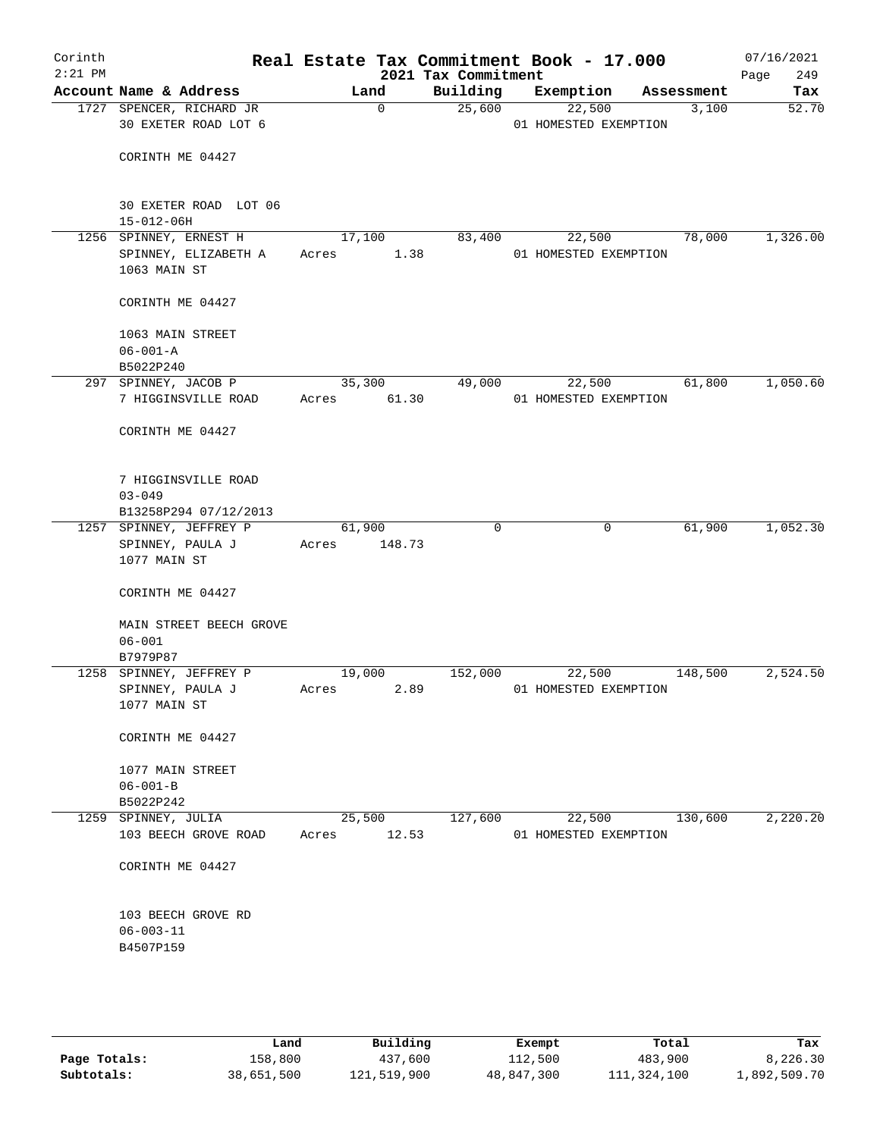| Corinth<br>$2:21$ PM |                                                                |                 |                | 2021 Tax Commitment | Real Estate Tax Commitment Book - 17.000 |            | 07/16/2021         |
|----------------------|----------------------------------------------------------------|-----------------|----------------|---------------------|------------------------------------------|------------|--------------------|
|                      | Account Name & Address                                         |                 | Land           | Building            | Exemption                                | Assessment | Page<br>249<br>Tax |
|                      | 1727 SPENCER, RICHARD JR                                       |                 | 0              | 25,600              | 22,500                                   | 3,100      | 52.70              |
|                      | 30 EXETER ROAD LOT 6                                           |                 |                |                     | 01 HOMESTED EXEMPTION                    |            |                    |
|                      | CORINTH ME 04427                                               |                 |                |                     |                                          |            |                    |
|                      | 30 EXETER ROAD LOT 06<br>$15 - 012 - 06H$                      |                 |                |                     |                                          |            |                    |
|                      | 1256 SPINNEY, ERNEST H<br>SPINNEY, ELIZABETH A<br>1063 MAIN ST | Acres           | 17,100<br>1.38 | 83,400              | 22,500<br>01 HOMESTED EXEMPTION          | 78,000     | 1,326.00           |
|                      | CORINTH ME 04427                                               |                 |                |                     |                                          |            |                    |
|                      | 1063 MAIN STREET<br>$06 - 001 - A$                             |                 |                |                     |                                          |            |                    |
|                      | B5022P240                                                      |                 |                |                     |                                          |            |                    |
|                      | 297 SPINNEY, JACOB P                                           |                 | 35,300         | 49,000              | 22,500                                   | 61,800     | 1,050.60           |
|                      | 7 HIGGINSVILLE ROAD                                            | Acres           | 61.30          |                     | 01 HOMESTED EXEMPTION                    |            |                    |
|                      | CORINTH ME 04427                                               |                 |                |                     |                                          |            |                    |
|                      | 7 HIGGINSVILLE ROAD<br>$03 - 049$                              |                 |                |                     |                                          |            |                    |
|                      | B13258P294 07/12/2013                                          |                 |                |                     |                                          |            |                    |
|                      | 1257 SPINNEY, JEFFREY P<br>SPINNEY, PAULA J<br>1077 MAIN ST    | 61,900<br>Acres | 148.73         | $\Omega$            | 0                                        | 61,900     | 1,052.30           |
|                      | CORINTH ME 04427                                               |                 |                |                     |                                          |            |                    |
|                      | MAIN STREET BEECH GROVE<br>$06 - 001$                          |                 |                |                     |                                          |            |                    |
|                      | B7979P87<br>1258 SPINNEY, JEFFREY P                            | 19,000          |                | 152,000             | 22,500                                   | 148,500    | 2,524.50           |
|                      | SPINNEY, PAULA J<br>1077 MAIN ST                               | Acres           | 2.89           |                     | 01 HOMESTED EXEMPTION                    |            |                    |
|                      | CORINTH ME 04427                                               |                 |                |                     |                                          |            |                    |
|                      | 1077 MAIN STREET<br>$06 - 001 - B$                             |                 |                |                     |                                          |            |                    |
|                      | B5022P242                                                      |                 |                |                     |                                          |            |                    |
|                      | 1259 SPINNEY, JULIA                                            |                 | 25,500         | 127,600             | 22,500                                   | 130,600    | 2,220.20           |
|                      | 103 BEECH GROVE ROAD                                           | Acres           | 12.53          |                     | 01 HOMESTED EXEMPTION                    |            |                    |
|                      | CORINTH ME 04427                                               |                 |                |                     |                                          |            |                    |
|                      | 103 BEECH GROVE RD<br>$06 - 003 - 11$<br>B4507P159             |                 |                |                     |                                          |            |                    |
|                      |                                                                |                 |                |                     |                                          |            |                    |

|              | Land       | Building    | Exempt     | Total       | Tax          |
|--------------|------------|-------------|------------|-------------|--------------|
| Page Totals: | 158,800    | 437,600     | 112,500    | 483,900     | 8,226.30     |
| Subtotals:   | 38,651,500 | 121,519,900 | 48,847,300 | 111,324,100 | 1,892,509.70 |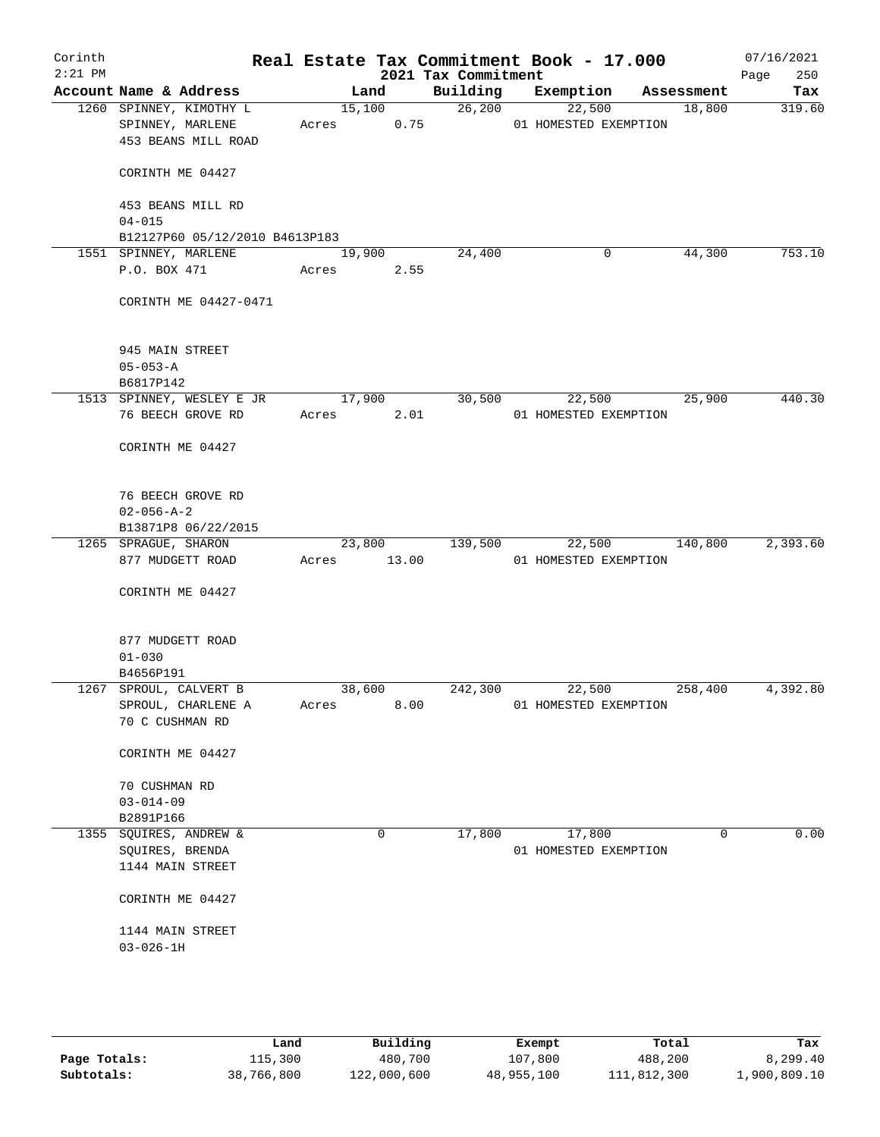| Corinth<br>$2:21$ PM |                                                                    |             |                | 2021 Tax Commitment | Real Estate Tax Commitment Book - 17.000 |             | 07/16/2021<br>Page<br>250 |
|----------------------|--------------------------------------------------------------------|-------------|----------------|---------------------|------------------------------------------|-------------|---------------------------|
|                      | Account Name & Address                                             |             | Land           | Building            | Exemption                                | Assessment  | Tax                       |
|                      | 1260 SPINNEY, KIMOTHY L<br>SPINNEY, MARLENE<br>453 BEANS MILL ROAD | Acres       | 15,100<br>0.75 | 26,200              | 22,500<br>01 HOMESTED EXEMPTION          | 18,800      | 319.60                    |
|                      | CORINTH ME 04427                                                   |             |                |                     |                                          |             |                           |
|                      | 453 BEANS MILL RD<br>$04 - 015$                                    |             |                |                     |                                          |             |                           |
|                      | B12127P60 05/12/2010 B4613P183                                     |             |                |                     |                                          |             |                           |
|                      | 1551 SPINNEY, MARLENE                                              |             | 19,900         | 24,400              | 0                                        | 44,300      | 753.10                    |
|                      | P.O. BOX 471 Acres                                                 |             | 2.55           |                     |                                          |             |                           |
|                      | CORINTH ME 04427-0471                                              |             |                |                     |                                          |             |                           |
|                      | 945 MAIN STREET                                                    |             |                |                     |                                          |             |                           |
|                      | $05 - 053 - A$                                                     |             |                |                     |                                          |             |                           |
|                      | B6817P142                                                          |             |                |                     |                                          |             |                           |
|                      | 1513 SPINNEY, WESLEY E JR 17,900                                   |             |                | 30,500              | 22,500                                   | 25,900      | 440.30                    |
|                      | 76 BEECH GROVE RD                                                  | Acres 2.01  |                |                     | 01 HOMESTED EXEMPTION                    |             |                           |
|                      | CORINTH ME 04427                                                   |             |                |                     |                                          |             |                           |
|                      | 76 BEECH GROVE RD                                                  |             |                |                     |                                          |             |                           |
|                      | $02 - 056 - A - 2$                                                 |             |                |                     |                                          |             |                           |
|                      | B13871P8 06/22/2015                                                |             |                |                     |                                          |             |                           |
|                      | 1265 SPRAGUE, SHARON                                               |             | 23,800         | 139,500             | 22,500                                   | 140,800     | 2,393.60                  |
|                      | 877 MUDGETT ROAD                                                   | Acres 13.00 |                |                     | 01 HOMESTED EXEMPTION                    |             |                           |
|                      | CORINTH ME 04427                                                   |             |                |                     |                                          |             |                           |
|                      | 877 MUDGETT ROAD                                                   |             |                |                     |                                          |             |                           |
|                      | $01 - 030$                                                         |             |                |                     |                                          |             |                           |
|                      | B4656P191                                                          |             |                |                     |                                          |             |                           |
|                      | 1267 SPROUL, CALVERT B                                             | 38,600      |                | 242,300             | 22,500                                   | 258,400     | 4,392.80                  |
|                      | SPROUL, CHARLENE A<br>70 C CUSHMAN RD                              | Acres       | 8.00           |                     | 01 HOMESTED EXEMPTION                    |             |                           |
|                      | CORINTH ME 04427                                                   |             |                |                     |                                          |             |                           |
|                      | 70 CUSHMAN RD                                                      |             |                |                     |                                          |             |                           |
|                      | $03 - 014 - 09$                                                    |             |                |                     |                                          |             |                           |
|                      | B2891P166                                                          |             |                |                     |                                          |             |                           |
|                      | 1355 SQUIRES, ANDREW &                                             |             | $\mathbf 0$    | 17,800              | 17,800                                   | $\mathbf 0$ | 0.00                      |
|                      | SQUIRES, BRENDA                                                    |             |                |                     | 01 HOMESTED EXEMPTION                    |             |                           |
|                      | 1144 MAIN STREET                                                   |             |                |                     |                                          |             |                           |
|                      | CORINTH ME 04427                                                   |             |                |                     |                                          |             |                           |
|                      | 1144 MAIN STREET                                                   |             |                |                     |                                          |             |                           |
|                      | $03 - 026 - 1H$                                                    |             |                |                     |                                          |             |                           |
|                      |                                                                    |             |                |                     |                                          |             |                           |
|                      |                                                                    |             |                |                     |                                          |             |                           |
|                      |                                                                    |             |                |                     |                                          |             |                           |

|              | Land       | Building    | Exempt     | Total       | Tax          |
|--------------|------------|-------------|------------|-------------|--------------|
| Page Totals: | 115,300    | 480,700     | 107,800    | 488,200     | 8,299.40     |
| Subtotals:   | 38,766,800 | 122,000,600 | 48,955,100 | 111,812,300 | 1,900,809.10 |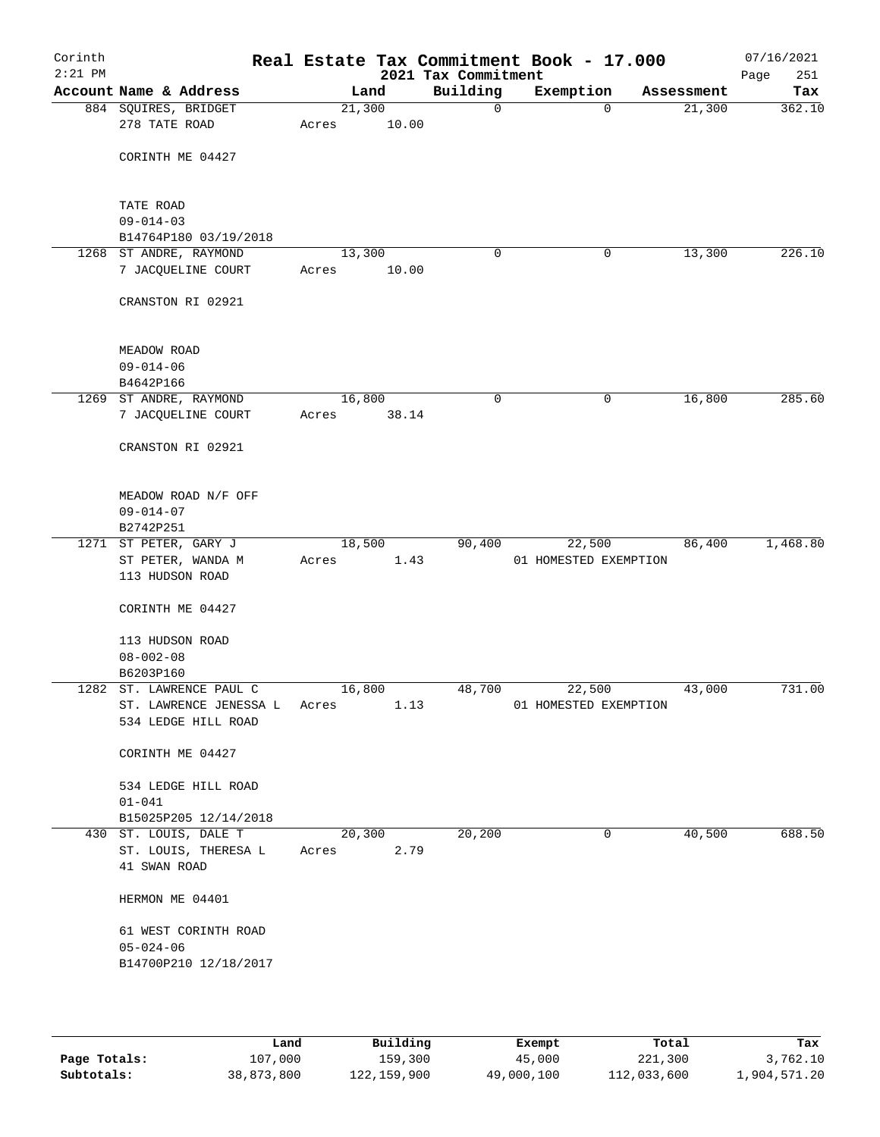| Corinth<br>$2:21$ PM |                                                               |                 |       | 2021 Tax Commitment | Real Estate Tax Commitment Book - 17.000 |            | 07/16/2021<br>Page<br>251 |
|----------------------|---------------------------------------------------------------|-----------------|-------|---------------------|------------------------------------------|------------|---------------------------|
|                      | Account Name & Address                                        |                 | Land  | Building            | Exemption                                | Assessment | Tax                       |
|                      | 884 SQUIRES, BRIDGET<br>278 TATE ROAD                         | 21,300<br>Acres | 10.00 | $\mathbf 0$         | $\Omega$                                 | 21,300     | 362.10                    |
|                      | CORINTH ME 04427                                              |                 |       |                     |                                          |            |                           |
|                      | TATE ROAD                                                     |                 |       |                     |                                          |            |                           |
|                      | $09 - 014 - 03$<br>B14764P180 03/19/2018                      |                 |       |                     |                                          |            |                           |
|                      | 1268 ST ANDRE, RAYMOND                                        | 13,300          |       | 0                   | 0                                        | 13,300     | 226.10                    |
|                      | 7 JACQUELINE COURT                                            | Acres           | 10.00 |                     |                                          |            |                           |
|                      | CRANSTON RI 02921                                             |                 |       |                     |                                          |            |                           |
|                      | MEADOW ROAD                                                   |                 |       |                     |                                          |            |                           |
|                      | $09 - 014 - 06$                                               |                 |       |                     |                                          |            |                           |
|                      | B4642P166                                                     |                 |       |                     |                                          |            |                           |
|                      | 1269 ST ANDRE, RAYMOND<br>7 JACQUELINE COURT                  | 16,800<br>Acres | 38.14 | 0                   | $\mathbf 0$                              | 16,800     | 285.60                    |
|                      | CRANSTON RI 02921                                             |                 |       |                     |                                          |            |                           |
|                      | MEADOW ROAD N/F OFF<br>$09 - 014 - 07$                        |                 |       |                     |                                          |            |                           |
|                      | B2742P251                                                     | 18,500          |       | 90,400              |                                          | 86,400     | 1,468.80                  |
|                      | 1271 ST PETER, GARY J<br>ST PETER, WANDA M<br>113 HUDSON ROAD | Acres           | 1.43  |                     | 22,500<br>01 HOMESTED EXEMPTION          |            |                           |
|                      | CORINTH ME 04427                                              |                 |       |                     |                                          |            |                           |
|                      | 113 HUDSON ROAD<br>$08 - 002 - 08$                            |                 |       |                     |                                          |            |                           |
|                      | B6203P160                                                     |                 |       |                     |                                          |            |                           |
|                      | 1282 ST. LAWRENCE PAUL C                                      | 16,800          |       | 48,700              | 22,500                                   | 43,000     | 731.00                    |
|                      | ST. LAWRENCE JENESSA L<br>534 LEDGE HILL ROAD                 | Acres           | 1.13  |                     | 01 HOMESTED EXEMPTION                    |            |                           |
|                      | CORINTH ME 04427                                              |                 |       |                     |                                          |            |                           |
|                      | 534 LEDGE HILL ROAD                                           |                 |       |                     |                                          |            |                           |
|                      | $01 - 041$                                                    |                 |       |                     |                                          |            |                           |
|                      | B15025P205 12/14/2018                                         |                 |       |                     |                                          |            |                           |
|                      | 430 ST. LOUIS, DALE T<br>ST. LOUIS, THERESA L                 | 20,300          | 2.79  | 20,200              | 0                                        | 40,500     | 688.50                    |
|                      | 41 SWAN ROAD                                                  | Acres           |       |                     |                                          |            |                           |
|                      | HERMON ME 04401                                               |                 |       |                     |                                          |            |                           |
|                      | 61 WEST CORINTH ROAD<br>$05 - 024 - 06$                       |                 |       |                     |                                          |            |                           |
|                      | B14700P210 12/18/2017                                         |                 |       |                     |                                          |            |                           |
|                      |                                                               |                 |       |                     |                                          |            |                           |

|              | Land       | Building    | Exempt     | Total       | Tax          |
|--------------|------------|-------------|------------|-------------|--------------|
| Page Totals: | 107,000    | 159,300     | 45,000     | 221,300     | 3,762.10     |
| Subtotals:   | 38,873,800 | 122,159,900 | 49,000,100 | 112,033,600 | 1,904,571.20 |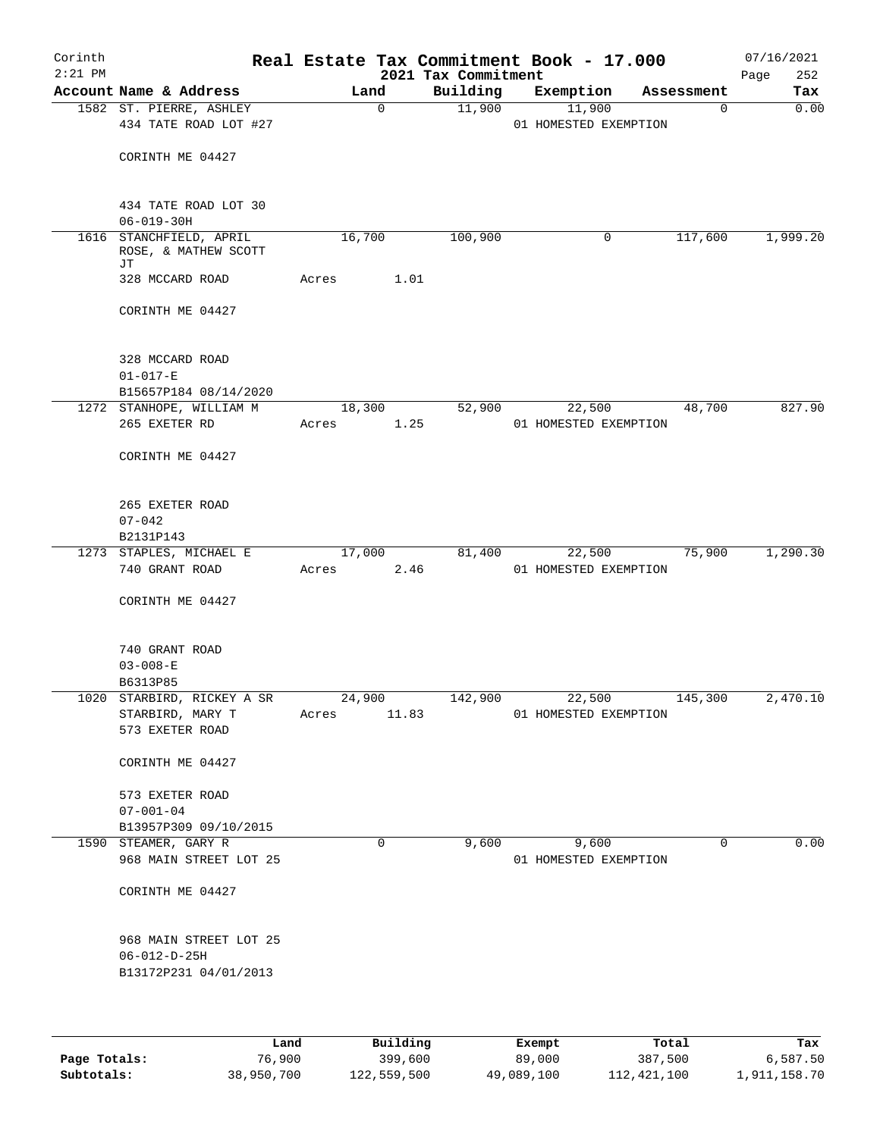| Corinth<br>$2:21$ PM |                                                            |       |             | 2021 Tax Commitment | Real Estate Tax Commitment Book - 17.000 |                | 07/16/2021<br>252<br>Page |
|----------------------|------------------------------------------------------------|-------|-------------|---------------------|------------------------------------------|----------------|---------------------------|
|                      | Account Name & Address                                     |       | Land        | Building            | Exemption                                | Assessment     | Tax                       |
|                      | 1582 ST. PIERRE, ASHLEY<br>434 TATE ROAD LOT #27           |       | $\mathbf 0$ | 11,900              | 11,900<br>01 HOMESTED EXEMPTION          | 0              | 0.00                      |
|                      | CORINTH ME 04427                                           |       |             |                     |                                          |                |                           |
|                      | 434 TATE ROAD LOT 30<br>$06 - 019 - 30H$                   |       |             |                     |                                          |                |                           |
|                      | 1616 STANCHFIELD, APRIL<br>ROSE, & MATHEW SCOTT<br>JΤ      |       | 16,700      | 100,900             | 0                                        | 117,600        | 1,999.20                  |
|                      | 328 MCCARD ROAD                                            | Acres | 1.01        |                     |                                          |                |                           |
|                      | CORINTH ME 04427                                           |       |             |                     |                                          |                |                           |
|                      | 328 MCCARD ROAD<br>$01 - 017 - E$<br>B15657P184 08/14/2020 |       |             |                     |                                          |                |                           |
|                      | 1272 STANHOPE, WILLIAM M                                   |       | 18,300      | 52,900              | 22,500                                   | 48,700         | 827.90                    |
|                      | 265 EXETER RD                                              | Acres | 1.25        |                     | 01 HOMESTED EXEMPTION                    |                |                           |
|                      | CORINTH ME 04427                                           |       |             |                     |                                          |                |                           |
|                      | 265 EXETER ROAD<br>$07 - 042$                              |       |             |                     |                                          |                |                           |
|                      | B2131P143                                                  |       |             |                     |                                          |                |                           |
|                      | 1273 STAPLES, MICHAEL E                                    |       | 17,000      | 81,400              | 22,500                                   | 75,900         | 1,290.30                  |
|                      | 740 GRANT ROAD                                             | Acres | 2.46        |                     | 01 HOMESTED EXEMPTION                    |                |                           |
|                      | CORINTH ME 04427                                           |       |             |                     |                                          |                |                           |
|                      | 740 GRANT ROAD<br>$03 - 008 - E$                           |       |             |                     |                                          |                |                           |
|                      | B6313P85                                                   |       |             |                     |                                          |                |                           |
|                      | 1020 STARBIRD, RICKEY A SR 24,900                          |       |             | 142,900             |                                          | 22,500 145,300 | 2,470.10                  |
|                      | STARBIRD, MARY T<br>573 EXETER ROAD                        | Acres | 11.83       |                     | 01 HOMESTED EXEMPTION                    |                |                           |
|                      | CORINTH ME 04427                                           |       |             |                     |                                          |                |                           |
|                      | 573 EXETER ROAD                                            |       |             |                     |                                          |                |                           |
|                      | $07 - 001 - 04$                                            |       |             |                     |                                          |                |                           |
|                      | B13957P309 09/10/2015                                      |       |             |                     |                                          |                |                           |
|                      | 1590 STEAMER, GARY R<br>968 MAIN STREET LOT 25             |       | $\Omega$    | 9,600               | 9,600<br>01 HOMESTED EXEMPTION           | $\Omega$       | 0.00                      |
|                      | CORINTH ME 04427                                           |       |             |                     |                                          |                |                           |
|                      | 968 MAIN STREET LOT 25                                     |       |             |                     |                                          |                |                           |
|                      | $06 - 012 - D - 25H$<br>B13172P231 04/01/2013              |       |             |                     |                                          |                |                           |
|                      |                                                            |       |             |                     |                                          |                |                           |

|              | Land       | Building    | Exempt     | Total       | Tax          |
|--------------|------------|-------------|------------|-------------|--------------|
| Page Totals: | 76,900     | 399,600     | 89,000     | 387,500     | 6,587.50     |
| Subtotals:   | 38,950,700 | 122,559,500 | 49,089,100 | 112,421,100 | 1,911,158.70 |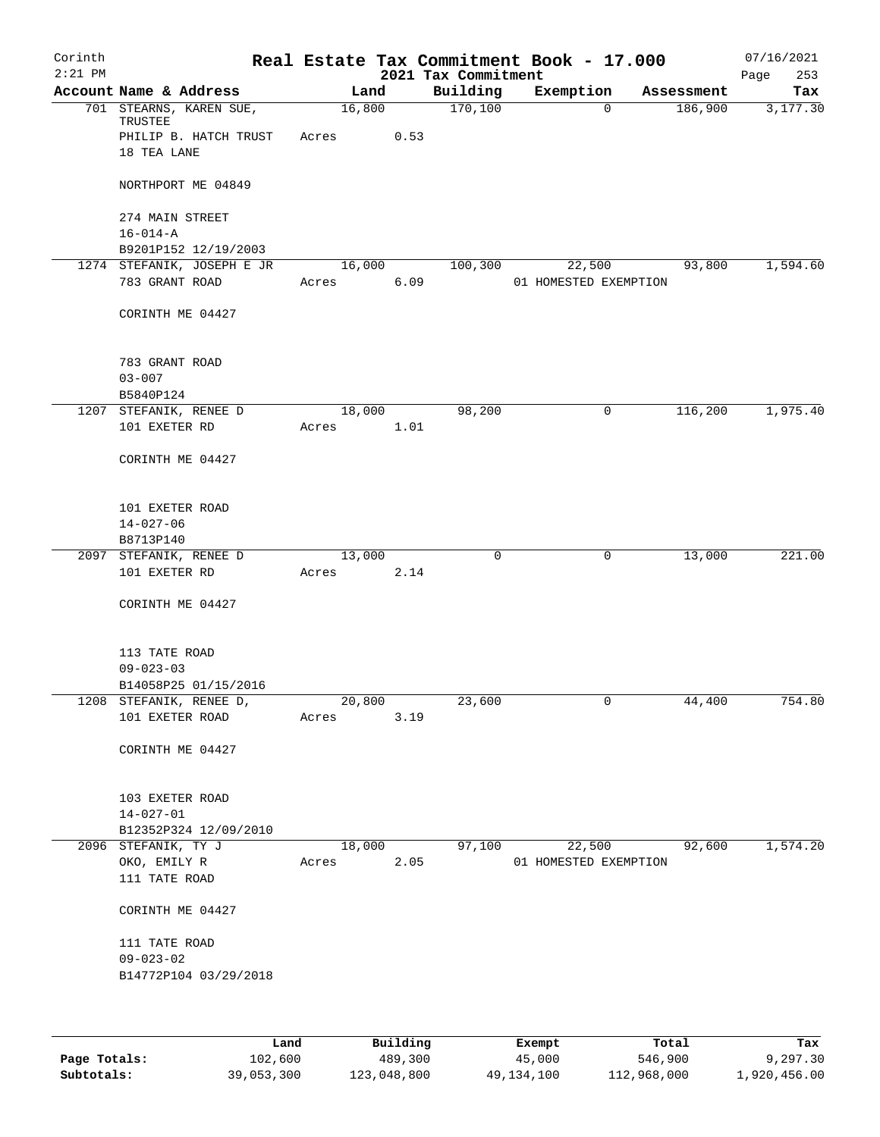| Corinth<br>$2:21$ PM |                                            |                 |        | 2021 Tax Commitment | Real Estate Tax Commitment Book - 17.000 |            | 07/16/2021<br>253<br>Page |
|----------------------|--------------------------------------------|-----------------|--------|---------------------|------------------------------------------|------------|---------------------------|
|                      | Account Name & Address                     |                 | Land   | Building            | Exemption                                | Assessment | Tax                       |
|                      | 701 STEARNS, KAREN SUE,<br>TRUSTEE         | 16,800          |        | 170,100             | $\mathbf 0$                              | 186,900    | 3,177.30                  |
|                      | PHILIP B. HATCH TRUST<br>18 TEA LANE       | Acres           | 0.53   |                     |                                          |            |                           |
|                      | NORTHPORT ME 04849                         |                 |        |                     |                                          |            |                           |
|                      | 274 MAIN STREET<br>$16 - 014 - A$          |                 |        |                     |                                          |            |                           |
|                      | B9201P152 12/19/2003                       |                 |        |                     |                                          |            |                           |
|                      | 1274 STEFANIK, JOSEPH E JR                 | 16,000          |        | 100,300             | 22,500                                   | 93,800     | 1,594.60                  |
|                      | 783 GRANT ROAD                             | Acres           | 6.09   |                     | 01 HOMESTED EXEMPTION                    |            |                           |
|                      | CORINTH ME 04427                           |                 |        |                     |                                          |            |                           |
|                      | 783 GRANT ROAD<br>$03 - 007$               |                 |        |                     |                                          |            |                           |
|                      | B5840P124                                  |                 |        |                     |                                          |            |                           |
| 1207                 | STEFANIK, RENEE D                          | 18,000          |        | 98,200              | 0                                        | 116,200    | 1,975.40                  |
|                      | 101 EXETER RD                              | Acres           | 1.01   |                     |                                          |            |                           |
|                      | CORINTH ME 04427                           |                 |        |                     |                                          |            |                           |
|                      | 101 EXETER ROAD                            |                 |        |                     |                                          |            |                           |
|                      | $14 - 027 - 06$                            |                 |        |                     |                                          |            |                           |
|                      | B8713P140                                  |                 |        |                     |                                          |            |                           |
|                      | 2097 STEFANIK, RENEE D<br>101 EXETER RD    | 13,000<br>Acres | 2.14   | 0                   | 0                                        | 13,000     | 221.00                    |
|                      | CORINTH ME 04427                           |                 |        |                     |                                          |            |                           |
|                      | 113 TATE ROAD                              |                 |        |                     |                                          |            |                           |
|                      | $09 - 023 - 03$                            |                 |        |                     |                                          |            |                           |
|                      | B14058P25 01/15/2016                       |                 |        |                     | $\overline{0}$                           |            | 754.80                    |
|                      | 1208 STEFANIK, RENEE D,<br>101 EXETER ROAD | 20,800<br>Acres | 3.19   | 23,600              |                                          | 44,400     |                           |
|                      | CORINTH ME 04427                           |                 |        |                     |                                          |            |                           |
|                      | 103 EXETER ROAD                            |                 |        |                     |                                          |            |                           |
|                      | $14 - 027 - 01$                            |                 |        |                     |                                          |            |                           |
|                      | B12352P324 12/09/2010                      |                 |        |                     |                                          |            |                           |
|                      | 2096 STEFANIK, TY J                        |                 | 18,000 | 97,100              | 22,500                                   | 92,600     | 1,574.20                  |
|                      | OKO, EMILY R<br>111 TATE ROAD              | Acres           | 2.05   |                     | 01 HOMESTED EXEMPTION                    |            |                           |
|                      | CORINTH ME 04427                           |                 |        |                     |                                          |            |                           |
|                      | 111 TATE ROAD<br>$09 - 023 - 02$           |                 |        |                     |                                          |            |                           |
|                      | B14772P104 03/29/2018                      |                 |        |                     |                                          |            |                           |
|                      |                                            |                 |        |                     |                                          |            |                           |

|              | Land       | Building    | Exempt     | Total       | Tax          |
|--------------|------------|-------------|------------|-------------|--------------|
| Page Totals: | 102,600    | 489,300     | 45,000     | 546,900     | 9,297.30     |
| Subtotals:   | 39,053,300 | 123,048,800 | 49,134,100 | 112,968,000 | 1,920,456.00 |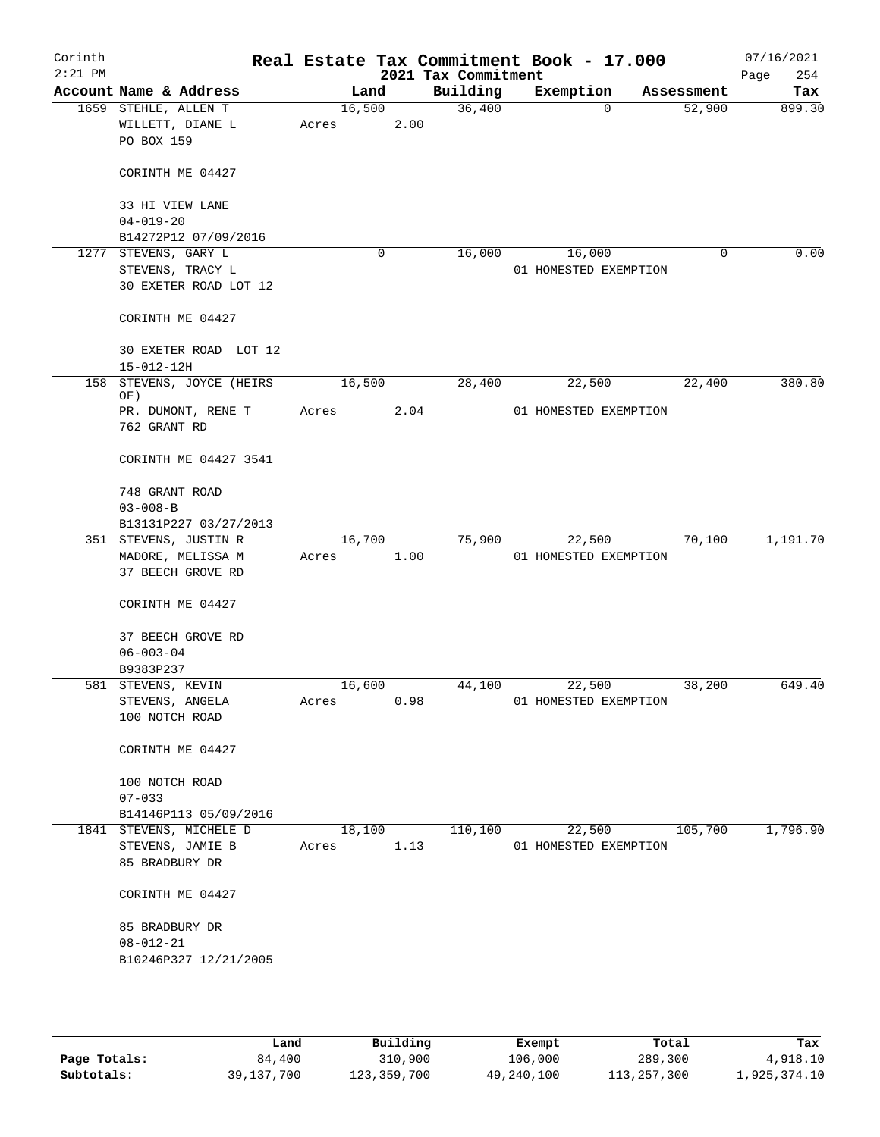| Corinth<br>$2:21$ PM |                                                            |                 |   |      | 2021 Tax Commitment | Real Estate Tax Commitment Book - 17.000 |             | 07/16/2021<br>254<br>Page |
|----------------------|------------------------------------------------------------|-----------------|---|------|---------------------|------------------------------------------|-------------|---------------------------|
|                      | Account Name & Address                                     | Land            |   |      | Building            | Exemption                                | Assessment  | Tax                       |
|                      | 1659 STEHLE, ALLEN T<br>WILLETT, DIANE L<br>PO BOX 159     | 16,500<br>Acres |   | 2.00 | 36,400              | $\mathbf 0$                              | 52,900      | 899.30                    |
|                      | CORINTH ME 04427                                           |                 |   |      |                     |                                          |             |                           |
|                      | 33 HI VIEW LANE<br>$04 - 019 - 20$                         |                 |   |      |                     |                                          |             |                           |
|                      | B14272P12 07/09/2016<br>1277 STEVENS, GARY L               |                 | 0 |      | 16,000              |                                          | $\mathbf 0$ | 0.00                      |
|                      | STEVENS, TRACY L<br>30 EXETER ROAD LOT 12                  |                 |   |      |                     | 16,000<br>01 HOMESTED EXEMPTION          |             |                           |
|                      | CORINTH ME 04427                                           |                 |   |      |                     |                                          |             |                           |
|                      | 30 EXETER ROAD LOT 12<br>15-012-12H                        |                 |   |      |                     |                                          |             |                           |
| 158                  | STEVENS, JOYCE (HEIRS                                      | 16,500          |   |      | 28,400              | 22,500                                   | 22,400      | 380.80                    |
|                      | OF)<br>PR. DUMONT, RENE T<br>762 GRANT RD                  | Acres           |   | 2.04 |                     | 01 HOMESTED EXEMPTION                    |             |                           |
|                      | CORINTH ME 04427 3541                                      |                 |   |      |                     |                                          |             |                           |
|                      | 748 GRANT ROAD<br>$03 - 008 - B$                           |                 |   |      |                     |                                          |             |                           |
|                      | B13131P227 03/27/2013                                      |                 |   |      |                     |                                          |             |                           |
|                      | 351 STEVENS, JUSTIN R                                      | 16,700          |   |      | 75,900              | 22,500                                   | 70,100      | 1,191.70                  |
|                      | MADORE, MELISSA M<br>37 BEECH GROVE RD                     | Acres           |   | 1.00 |                     | 01 HOMESTED EXEMPTION                    |             |                           |
|                      | CORINTH ME 04427                                           |                 |   |      |                     |                                          |             |                           |
|                      | 37 BEECH GROVE RD<br>$06 - 003 - 04$                       |                 |   |      |                     |                                          |             |                           |
|                      | B9383P237                                                  |                 |   |      |                     |                                          |             |                           |
|                      | 581 STEVENS, KEVIN                                         | 16,600          |   |      | 44,100              | 22,500                                   | 38,200      | 649.40                    |
|                      | STEVENS, ANGELA<br>100 NOTCH ROAD                          | Acres           |   | 0.98 |                     | 01 HOMESTED EXEMPTION                    |             |                           |
|                      | CORINTH ME 04427                                           |                 |   |      |                     |                                          |             |                           |
|                      | 100 NOTCH ROAD                                             |                 |   |      |                     |                                          |             |                           |
|                      | $07 - 033$                                                 |                 |   |      |                     |                                          |             |                           |
|                      | B14146P113 05/09/2016                                      |                 |   |      |                     |                                          |             |                           |
|                      | 1841 STEVENS, MICHELE D                                    | 18,100          |   |      | 110,100             | 22,500                                   | 105,700     | 1,796.90                  |
|                      | STEVENS, JAMIE B<br>85 BRADBURY DR                         | Acres           |   | 1.13 |                     | 01 HOMESTED EXEMPTION                    |             |                           |
|                      | CORINTH ME 04427                                           |                 |   |      |                     |                                          |             |                           |
|                      | 85 BRADBURY DR<br>$08 - 012 - 21$<br>B10246P327 12/21/2005 |                 |   |      |                     |                                          |             |                           |
|                      |                                                            |                 |   |      |                     |                                          |             |                           |

|              | Land         | Building    | Exempt     | Total       | Tax          |
|--------------|--------------|-------------|------------|-------------|--------------|
| Page Totals: | 84,400       | 310,900     | 106,000    | 289,300     | 4,918.10     |
| Subtotals:   | 39, 137, 700 | 123,359,700 | 49,240,100 | 113,257,300 | 1,925,374.10 |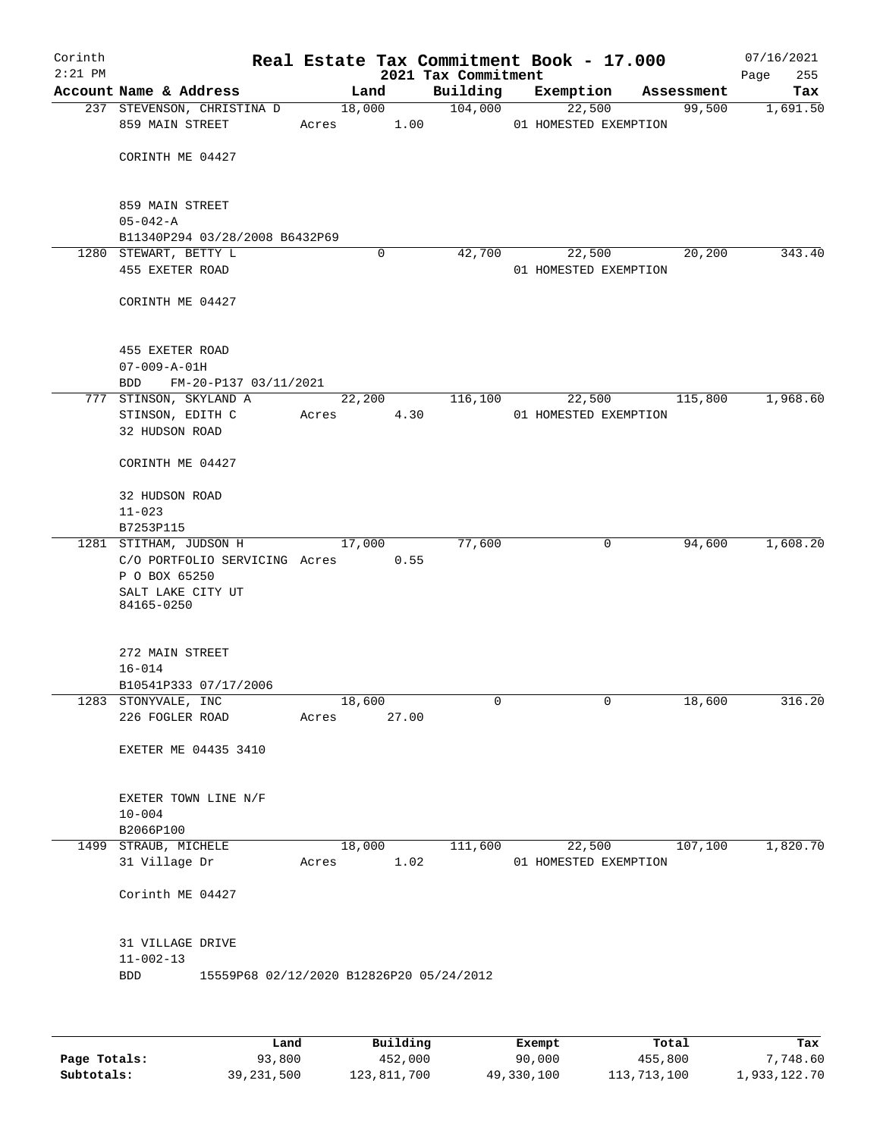| Corinth<br>$2:21$ PM |                                                |       |             |       | Real Estate Tax Commitment Book - 17.000<br>2021 Tax Commitment |                                 |                |            | 07/16/2021<br>255<br>Page |
|----------------------|------------------------------------------------|-------|-------------|-------|-----------------------------------------------------------------|---------------------------------|----------------|------------|---------------------------|
|                      | Account Name & Address                         |       | Land        |       | Building                                                        | Exemption                       |                | Assessment | Tax                       |
|                      | 237 STEVENSON, CHRISTINA D<br>859 MAIN STREET  | Acres | 18,000      | 1.00  | 104,000                                                         | 22,500<br>01 HOMESTED EXEMPTION |                | 99,500     | 1,691.50                  |
|                      | CORINTH ME 04427                               |       |             |       |                                                                 |                                 |                |            |                           |
|                      | 859 MAIN STREET<br>$05 - 042 - A$              |       |             |       |                                                                 |                                 |                |            |                           |
|                      | B11340P294 03/28/2008 B6432P69                 |       |             |       |                                                                 |                                 |                |            |                           |
|                      | 1280 STEWART, BETTY L                          |       | $\mathbf 0$ |       | 42,700                                                          | 22,500                          |                | 20,200     | 343.40                    |
|                      | 455 EXETER ROAD                                |       |             |       |                                                                 | 01 HOMESTED EXEMPTION           |                |            |                           |
|                      | CORINTH ME 04427                               |       |             |       |                                                                 |                                 |                |            |                           |
|                      | 455 EXETER ROAD<br>$07 - 009 - A - 01H$        |       |             |       |                                                                 |                                 |                |            |                           |
|                      | FM-20-P137 03/11/2021<br>BDD                   |       |             |       |                                                                 |                                 |                |            |                           |
|                      | 777 STINSON, SKYLAND A                         |       | 22,200      |       | 116,100                                                         | 22,500                          |                | 115,800    | 1,968.60                  |
|                      | STINSON, EDITH C                               | Acres |             | 4.30  |                                                                 | 01 HOMESTED EXEMPTION           |                |            |                           |
|                      | 32 HUDSON ROAD                                 |       |             |       |                                                                 |                                 |                |            |                           |
|                      | CORINTH ME 04427                               |       |             |       |                                                                 |                                 |                |            |                           |
|                      | 32 HUDSON ROAD                                 |       |             |       |                                                                 |                                 |                |            |                           |
|                      | $11 - 023$<br>B7253P115                        |       |             |       |                                                                 |                                 |                |            |                           |
|                      | 1281 STITHAM, JUDSON H                         |       | 17,000      |       | 77,600                                                          |                                 | $\mathbf 0$    | 94,600     | 1,608.20                  |
|                      | C/O PORTFOLIO SERVICING Acres<br>P O BOX 65250 |       |             | 0.55  |                                                                 |                                 |                |            |                           |
|                      | SALT LAKE CITY UT<br>84165-0250                |       |             |       |                                                                 |                                 |                |            |                           |
|                      | 272 MAIN STREET                                |       |             |       |                                                                 |                                 |                |            |                           |
|                      | $16 - 014$                                     |       |             |       |                                                                 |                                 |                |            |                           |
|                      | B10541P333 07/17/2006                          |       |             |       |                                                                 |                                 |                |            |                           |
|                      | 1283 STONYVALE, INC<br>226 FOGLER ROAD         |       | 18,600      | 27.00 | $\overline{0}$                                                  |                                 | $\overline{0}$ | 18,600     | 316.20                    |
|                      |                                                | Acres |             |       |                                                                 |                                 |                |            |                           |
|                      | EXETER ME 04435 3410                           |       |             |       |                                                                 |                                 |                |            |                           |
|                      | EXETER TOWN LINE N/F                           |       |             |       |                                                                 |                                 |                |            |                           |
|                      | $10 - 004$                                     |       |             |       |                                                                 |                                 |                |            |                           |
|                      | B2066P100                                      |       |             |       |                                                                 |                                 |                |            |                           |
|                      | 1499 STRAUB, MICHELE<br>31 Village Dr          | Acres | 18,000      | 1.02  | 111,600                                                         | 22,500<br>01 HOMESTED EXEMPTION |                | 107,100    | 1,820.70                  |
|                      |                                                |       |             |       |                                                                 |                                 |                |            |                           |
|                      | Corinth ME 04427                               |       |             |       |                                                                 |                                 |                |            |                           |
|                      | 31 VILLAGE DRIVE                               |       |             |       |                                                                 |                                 |                |            |                           |
|                      | $11 - 002 - 13$                                |       |             |       |                                                                 |                                 |                |            |                           |
|                      | <b>BDD</b>                                     |       |             |       | 15559P68 02/12/2020 B12826P20 05/24/2012                        |                                 |                |            |                           |
|                      |                                                |       |             |       |                                                                 |                                 |                |            |                           |
|                      |                                                |       |             |       |                                                                 |                                 |                |            |                           |

|              | Land       | Building    | Exempt     | Total       | Tax          |
|--------------|------------|-------------|------------|-------------|--------------|
| Page Totals: | 93,800     | 452,000     | 90,000     | 455,800     | 7,748.60     |
| Subtotals:   | 39,231,500 | 123,811,700 | 49,330,100 | 113,713,100 | 1,933,122.70 |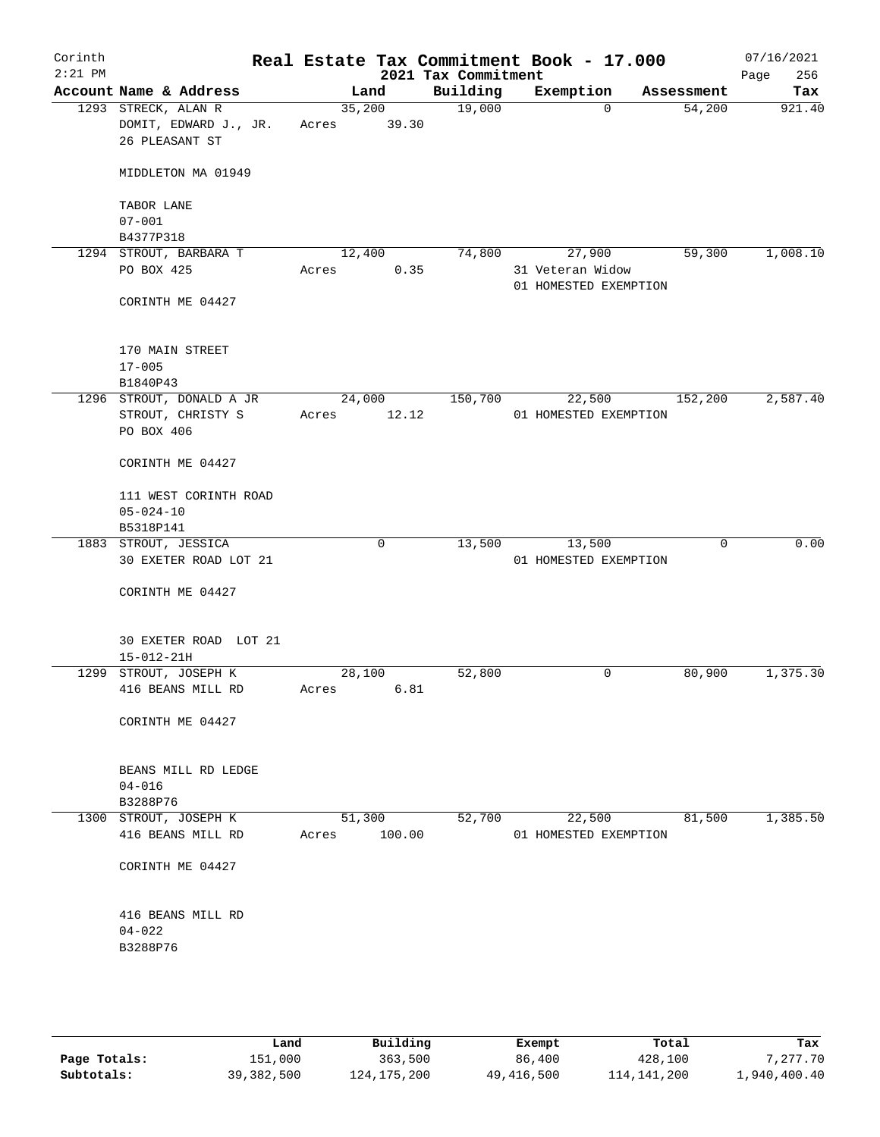| Corinth<br>$2:21$ PM |                                               |                 | 2021 Tax Commitment | Real Estate Tax Commitment Book - 17.000 |            | 07/16/2021<br>256<br>Page |
|----------------------|-----------------------------------------------|-----------------|---------------------|------------------------------------------|------------|---------------------------|
|                      | Account Name & Address                        | Land            | Building            | Exemption                                | Assessment | Tax                       |
|                      | 1293 STRECK, ALAN R                           | 35,200          | 19,000              | $\Omega$                                 | 54,200     | 921.40                    |
|                      | DOMIT, EDWARD J., JR.                         | 39.30<br>Acres  |                     |                                          |            |                           |
|                      | 26 PLEASANT ST                                |                 |                     |                                          |            |                           |
|                      |                                               |                 |                     |                                          |            |                           |
|                      | MIDDLETON MA 01949                            |                 |                     |                                          |            |                           |
|                      |                                               |                 |                     |                                          |            |                           |
|                      | TABOR LANE<br>$07 - 001$                      |                 |                     |                                          |            |                           |
|                      | B4377P318                                     |                 |                     |                                          |            |                           |
|                      | 1294 STROUT, BARBARA T                        | 12,400          | 74,800              | 27,900                                   | 59,300     | 1,008.10                  |
|                      | PO BOX 425                                    | 0.35<br>Acres   |                     | 31 Veteran Widow                         |            |                           |
|                      |                                               |                 |                     | 01 HOMESTED EXEMPTION                    |            |                           |
|                      | CORINTH ME 04427                              |                 |                     |                                          |            |                           |
|                      |                                               |                 |                     |                                          |            |                           |
|                      |                                               |                 |                     |                                          |            |                           |
|                      | 170 MAIN STREET                               |                 |                     |                                          |            |                           |
|                      | $17 - 005$                                    |                 |                     |                                          |            |                           |
|                      | B1840P43<br>1296 STROUT, DONALD A JR          | 24,000          | 150,700             | 22,500                                   | 152,200    | 2,587.40                  |
|                      | STROUT, CHRISTY S                             | 12.12<br>Acres  |                     | 01 HOMESTED EXEMPTION                    |            |                           |
|                      | PO BOX 406                                    |                 |                     |                                          |            |                           |
|                      |                                               |                 |                     |                                          |            |                           |
|                      | CORINTH ME 04427                              |                 |                     |                                          |            |                           |
|                      |                                               |                 |                     |                                          |            |                           |
|                      | 111 WEST CORINTH ROAD                         |                 |                     |                                          |            |                           |
|                      | $05 - 024 - 10$                               |                 |                     |                                          |            |                           |
|                      | B5318P141                                     |                 |                     |                                          |            | 0.00                      |
|                      | 1883 STROUT, JESSICA<br>30 EXETER ROAD LOT 21 | $\mathbf 0$     | 13,500              | 13,500<br>01 HOMESTED EXEMPTION          | 0          |                           |
|                      |                                               |                 |                     |                                          |            |                           |
|                      | CORINTH ME 04427                              |                 |                     |                                          |            |                           |
|                      |                                               |                 |                     |                                          |            |                           |
|                      |                                               |                 |                     |                                          |            |                           |
|                      | 30 EXETER ROAD LOT 21                         |                 |                     |                                          |            |                           |
|                      | $15 - 012 - 21H$                              |                 |                     |                                          |            |                           |
|                      | 1299 STROUT, JOSEPH K                         | 28,100          | 52,800              | 0                                        | 80,900     | 1,375.30                  |
|                      | 416 BEANS MILL RD                             | 6.81<br>Acres   |                     |                                          |            |                           |
|                      | CORINTH ME 04427                              |                 |                     |                                          |            |                           |
|                      |                                               |                 |                     |                                          |            |                           |
|                      |                                               |                 |                     |                                          |            |                           |
|                      | BEANS MILL RD LEDGE                           |                 |                     |                                          |            |                           |
|                      | $04 - 016$                                    |                 |                     |                                          |            |                           |
|                      | B3288P76                                      |                 |                     |                                          |            |                           |
|                      | 1300 STROUT, JOSEPH K<br>416 BEANS MILL RD    | 51,300          | 52,700              | 22,500                                   | 81,500     | 1,385.50                  |
|                      |                                               | 100.00<br>Acres |                     | 01 HOMESTED EXEMPTION                    |            |                           |
|                      | CORINTH ME 04427                              |                 |                     |                                          |            |                           |
|                      |                                               |                 |                     |                                          |            |                           |
|                      |                                               |                 |                     |                                          |            |                           |
|                      | 416 BEANS MILL RD                             |                 |                     |                                          |            |                           |
|                      | $04 - 022$                                    |                 |                     |                                          |            |                           |
|                      | B3288P76                                      |                 |                     |                                          |            |                           |
|                      |                                               |                 |                     |                                          |            |                           |
|                      |                                               |                 |                     |                                          |            |                           |
|                      |                                               |                 |                     |                                          |            |                           |
|                      |                                               |                 |                     |                                          |            |                           |

|              | úand       | Building    | Exempt     | Total       | Tax          |
|--------------|------------|-------------|------------|-------------|--------------|
| Page Totals: | 151,000    | 363,500     | 86,400     | 428,100     | 7.277.70     |
| Subtotals:   | 39,382,500 | 124,175,200 | 49,416,500 | 114,141,200 | 1,940,400.40 |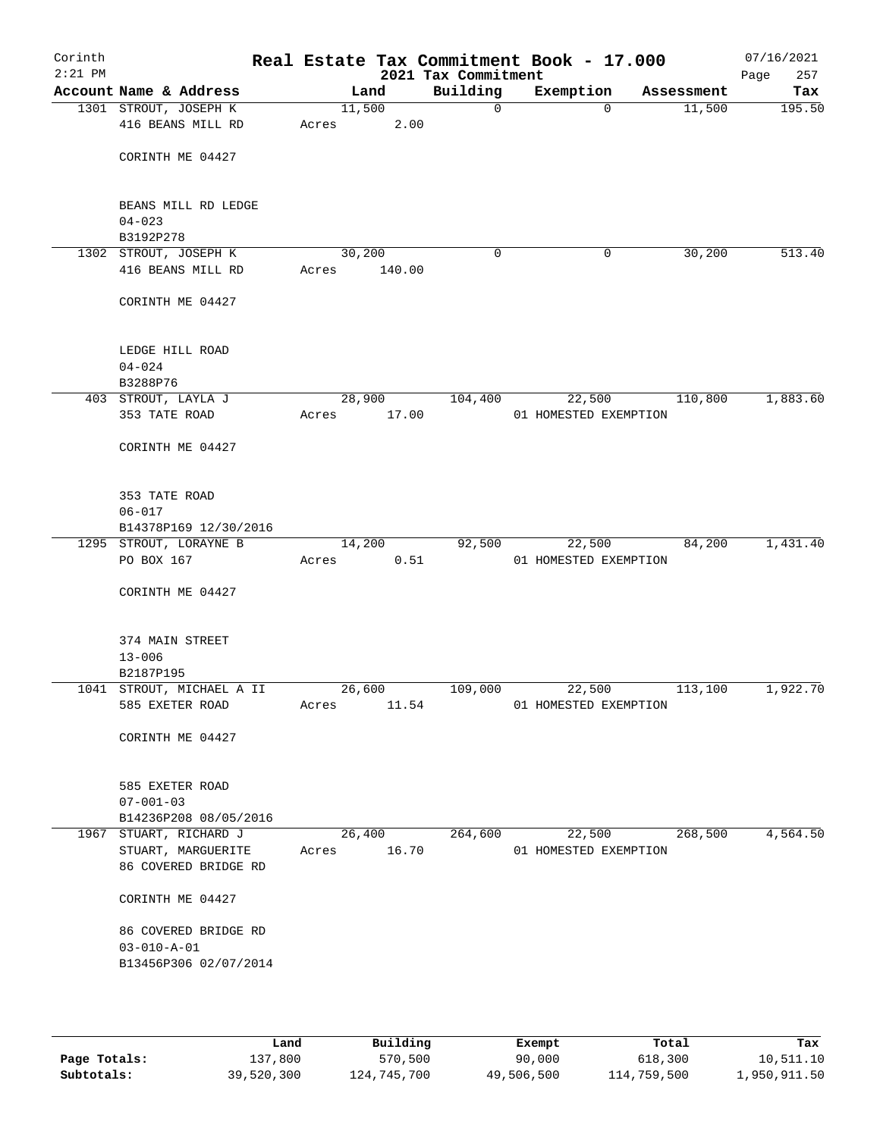| Corinth<br>$2:21$ PM |                                              |             |                  | 2021 Tax Commitment | Real Estate Tax Commitment Book - 17.000 |            | 07/16/2021<br>257<br>Page |
|----------------------|----------------------------------------------|-------------|------------------|---------------------|------------------------------------------|------------|---------------------------|
|                      | Account Name & Address                       |             | Land             | Building            | Exemption                                | Assessment | Tax                       |
|                      | 1301 STROUT, JOSEPH K<br>416 BEANS MILL RD   | Acres       | 11,500<br>2.00   | $\mathbf 0$         | $\Omega$                                 | 11,500     | 195.50                    |
|                      | CORINTH ME 04427                             |             |                  |                     |                                          |            |                           |
|                      | BEANS MILL RD LEDGE<br>$04 - 023$            |             |                  |                     |                                          |            |                           |
|                      | B3192P278                                    |             |                  |                     |                                          |            |                           |
|                      | 1302 STROUT, JOSEPH K<br>416 BEANS MILL RD   | Acres       | 30,200<br>140.00 | 0                   | 0                                        | 30,200     | 513.40                    |
|                      | CORINTH ME 04427                             |             |                  |                     |                                          |            |                           |
|                      | LEDGE HILL ROAD<br>$04 - 024$<br>B3288P76    |             |                  |                     |                                          |            |                           |
|                      | 403 STROUT, LAYLA J                          |             | 28,900           | 104,400             | 22,500                                   | 110,800    | 1,883.60                  |
|                      | 353 TATE ROAD                                | Acres       | 17.00            |                     | 01 HOMESTED EXEMPTION                    |            |                           |
|                      | CORINTH ME 04427                             |             |                  |                     |                                          |            |                           |
|                      | 353 TATE ROAD<br>$06 - 017$                  |             |                  |                     |                                          |            |                           |
|                      | B14378P169 12/30/2016                        |             |                  |                     |                                          |            |                           |
|                      | 1295 STROUT, LORAYNE B                       |             | 14,200           | 92,500              | 22,500                                   | 84,200     | 1,431.40                  |
|                      | PO BOX 167                                   | Acres       | 0.51             |                     | 01 HOMESTED EXEMPTION                    |            |                           |
|                      | CORINTH ME 04427                             |             |                  |                     |                                          |            |                           |
|                      | 374 MAIN STREET<br>$13 - 006$                |             |                  |                     |                                          |            |                           |
|                      | B2187P195                                    |             |                  |                     |                                          |            |                           |
|                      | 1041 STROUT, MICHAEL A II<br>585 EXETER ROAD | Acres       | 26,600<br>11.54  | 109,000             | 22,500<br>01 HOMESTED EXEMPTION          | 113,100    | 1,922.70                  |
|                      | CORINTH ME 04427                             |             |                  |                     |                                          |            |                           |
|                      | 585 EXETER ROAD<br>$07 - 001 - 03$           |             |                  |                     |                                          |            |                           |
|                      | B14236P208 08/05/2016                        |             |                  |                     |                                          |            |                           |
|                      | 1967 STUART, RICHARD J                       |             | 26,400           | 264,600             | 22,500                                   | 268,500    | 4,564.50                  |
|                      | STUART, MARGUERITE                           | Acres 16.70 |                  |                     | 01 HOMESTED EXEMPTION                    |            |                           |
|                      | 86 COVERED BRIDGE RD                         |             |                  |                     |                                          |            |                           |
|                      | CORINTH ME 04427                             |             |                  |                     |                                          |            |                           |
|                      | 86 COVERED BRIDGE RD                         |             |                  |                     |                                          |            |                           |
|                      | $03 - 010 - A - 01$                          |             |                  |                     |                                          |            |                           |
|                      | B13456P306 02/07/2014                        |             |                  |                     |                                          |            |                           |
|                      |                                              |             |                  |                     |                                          |            |                           |

|              | Land       | Building    | Exempt     | Total       | Tax          |
|--------------|------------|-------------|------------|-------------|--------------|
| Page Totals: | 137,800    | 570,500     | 90,000     | 618,300     | 10,511.10    |
| Subtotals:   | 39,520,300 | 124,745,700 | 49,506,500 | 114,759,500 | 1,950,911.50 |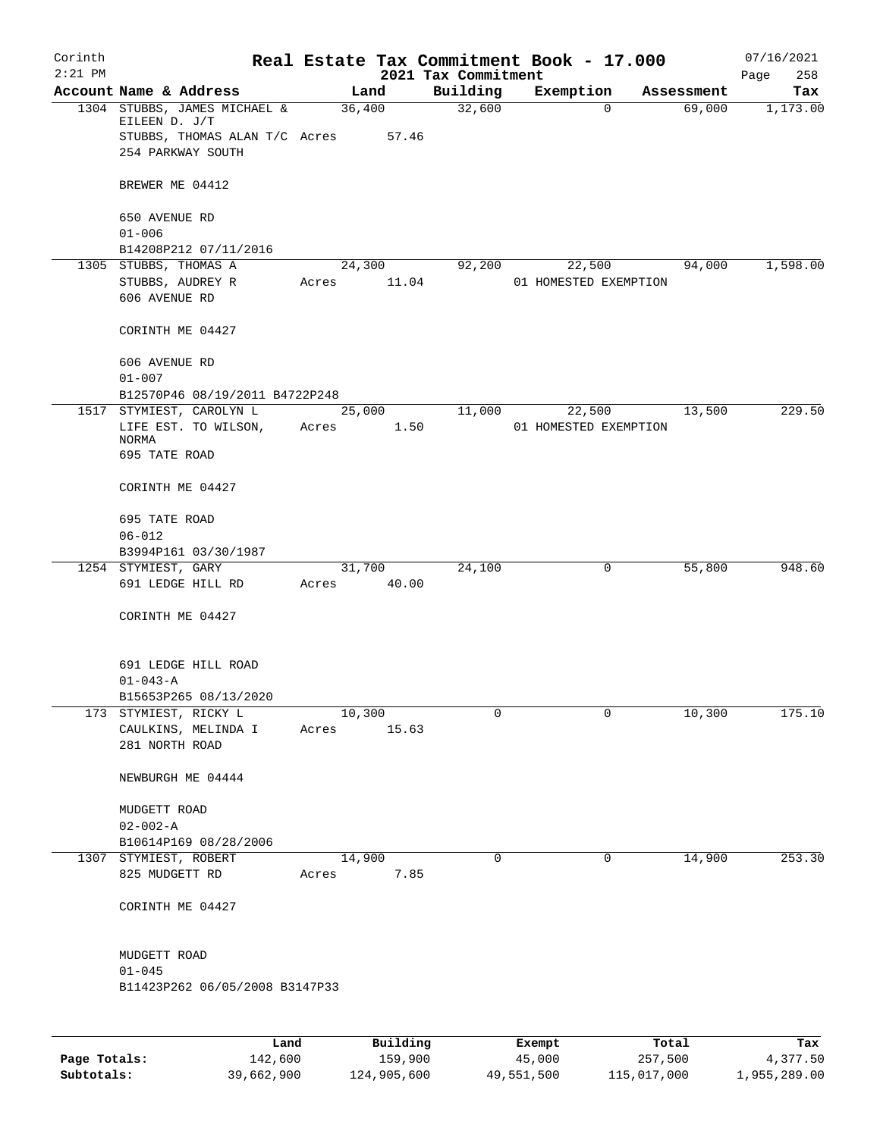| Corinth   |                                                    |                 |          |                     |        | Real Estate Tax Commitment Book - 17.000 |                      | 07/16/2021      |
|-----------|----------------------------------------------------|-----------------|----------|---------------------|--------|------------------------------------------|----------------------|-----------------|
| $2:21$ PM | Account Name & Address                             |                 |          | 2021 Tax Commitment |        |                                          |                      | 258<br>Page     |
|           | 1304 STUBBS, JAMES MICHAEL &<br>EILEEN D. J/T      | Land<br>36,400  |          | Building<br>32,600  |        | Exemption<br>$\mathbf 0$                 | Assessment<br>69,000 | Tax<br>1,173.00 |
|           | STUBBS, THOMAS ALAN T/C Acres<br>254 PARKWAY SOUTH |                 | 57.46    |                     |        |                                          |                      |                 |
|           | BREWER ME 04412                                    |                 |          |                     |        |                                          |                      |                 |
|           | 650 AVENUE RD<br>$01 - 006$                        |                 |          |                     |        |                                          |                      |                 |
|           | B14208P212 07/11/2016                              |                 |          |                     |        |                                          |                      |                 |
|           | 1305 STUBBS, THOMAS A                              | 24,300          |          | 92,200              |        | 22,500                                   | 94,000               | 1,598.00        |
|           | STUBBS, AUDREY R<br>606 AVENUE RD                  | Acres           | 11.04    |                     |        | 01 HOMESTED EXEMPTION                    |                      |                 |
|           | CORINTH ME 04427                                   |                 |          |                     |        |                                          |                      |                 |
|           | 606 AVENUE RD<br>$01 - 007$                        |                 |          |                     |        |                                          |                      |                 |
|           | B12570P46 08/19/2011 B4722P248                     |                 |          |                     |        |                                          |                      |                 |
|           | 1517 STYMIEST, CAROLYN L                           | 25,000          |          | 11,000              |        | 22,500                                   | 13,500               | 229.50          |
|           | LIFE EST. TO WILSON,                               | Acres           | 1.50     |                     |        | 01 HOMESTED EXEMPTION                    |                      |                 |
|           | <b>NORMA</b><br>695 TATE ROAD                      |                 |          |                     |        |                                          |                      |                 |
|           | CORINTH ME 04427                                   |                 |          |                     |        |                                          |                      |                 |
|           | 695 TATE ROAD                                      |                 |          |                     |        |                                          |                      |                 |
|           | $06 - 012$                                         |                 |          |                     |        |                                          |                      |                 |
|           | B3994P161 03/30/1987                               |                 |          |                     |        |                                          |                      |                 |
|           | 1254 STYMIEST, GARY<br>691 LEDGE HILL RD           | 31,700<br>Acres | 40.00    | 24,100              |        | 0                                        | 55,800               | 948.60          |
|           | CORINTH ME 04427                                   |                 |          |                     |        |                                          |                      |                 |
|           | 691 LEDGE HILL ROAD                                |                 |          |                     |        |                                          |                      |                 |
|           | $01 - 043 - A$                                     |                 |          |                     |        |                                          |                      |                 |
|           | B15653P265 08/13/2020                              |                 |          |                     |        |                                          |                      |                 |
|           | 173 STYMIEST, RICKY L                              | 10,300          |          | 0                   |        | 0                                        | 10,300               | 175.10          |
|           | CAULKINS, MELINDA I<br>281 NORTH ROAD              | Acres 15.63     |          |                     |        |                                          |                      |                 |
|           | NEWBURGH ME 04444                                  |                 |          |                     |        |                                          |                      |                 |
|           | MUDGETT ROAD                                       |                 |          |                     |        |                                          |                      |                 |
|           | $02 - 002 - A$                                     |                 |          |                     |        |                                          |                      |                 |
|           | B10614P169 08/28/2006                              |                 |          |                     |        |                                          |                      |                 |
|           | 1307 STYMIEST, ROBERT                              | 14,900          |          | 0                   |        | 0                                        | 14,900               | 253.30          |
|           | 825 MUDGETT RD                                     | Acres           | 7.85     |                     |        |                                          |                      |                 |
|           | CORINTH ME 04427                                   |                 |          |                     |        |                                          |                      |                 |
|           | MUDGETT ROAD                                       |                 |          |                     |        |                                          |                      |                 |
|           | $01 - 045$                                         |                 |          |                     |        |                                          |                      |                 |
|           | B11423P262 06/05/2008 B3147P33                     |                 |          |                     |        |                                          |                      |                 |
|           |                                                    |                 |          |                     |        |                                          |                      |                 |
|           | Land                                               |                 | Building |                     | Exempt |                                          | Total                | Tax             |

|              | Land       | Building    | Exempt     | Total       | Tax          |
|--------------|------------|-------------|------------|-------------|--------------|
| Page Totals: | 142,600    | 159,900     | 45,000     | 257,500     | 4,377.50     |
| Subtotals:   | 39,662,900 | 124,905,600 | 49,551,500 | 115,017,000 | 1,955,289.00 |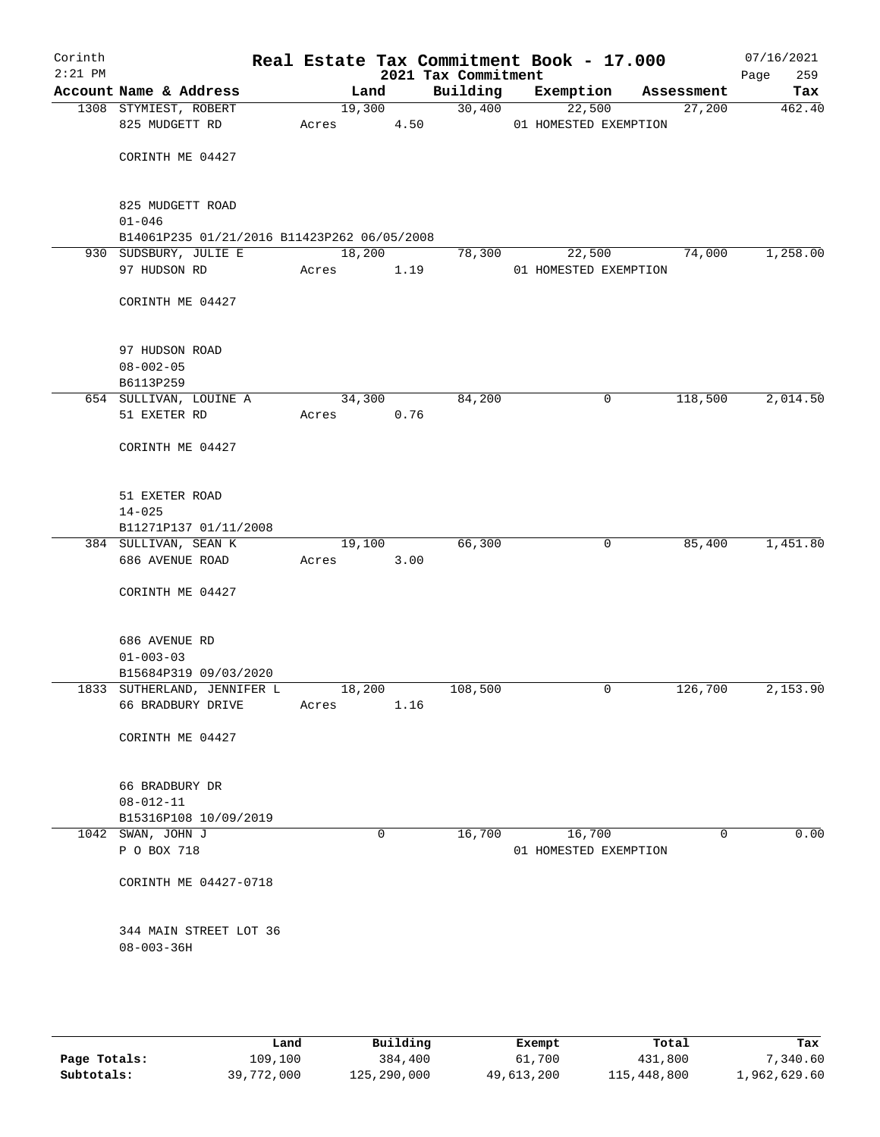| Corinth<br>$2:21$ PM |                                             |       |        |        | Real Estate Tax Commitment Book - 17.000<br>2021 Tax Commitment |           |                       |            | 07/16/2021<br>Page<br>259 |
|----------------------|---------------------------------------------|-------|--------|--------|-----------------------------------------------------------------|-----------|-----------------------|------------|---------------------------|
|                      | Account Name & Address                      |       | Land   |        | Building                                                        | Exemption |                       | Assessment | Tax                       |
|                      | 1308 STYMIEST, ROBERT                       |       |        | 19,300 | 30,400                                                          | 22,500    |                       | 27,200     | 462.40                    |
|                      | 825 MUDGETT RD                              | Acres |        | 4.50   |                                                                 |           | 01 HOMESTED EXEMPTION |            |                           |
|                      |                                             |       |        |        |                                                                 |           |                       |            |                           |
|                      | CORINTH ME 04427                            |       |        |        |                                                                 |           |                       |            |                           |
|                      |                                             |       |        |        |                                                                 |           |                       |            |                           |
|                      | 825 MUDGETT ROAD                            |       |        |        |                                                                 |           |                       |            |                           |
|                      | $01 - 046$                                  |       |        |        |                                                                 |           |                       |            |                           |
|                      | B14061P235 01/21/2016 B11423P262 06/05/2008 |       |        |        |                                                                 |           |                       |            |                           |
|                      | 930 SUDSBURY, JULIE E                       |       | 18,200 |        | 78,300                                                          | 22,500    |                       | 74,000     | 1,258.00                  |
|                      | 97 HUDSON RD                                | Acres |        | 1.19   |                                                                 |           | 01 HOMESTED EXEMPTION |            |                           |
|                      |                                             |       |        |        |                                                                 |           |                       |            |                           |
|                      | CORINTH ME 04427                            |       |        |        |                                                                 |           |                       |            |                           |
|                      |                                             |       |        |        |                                                                 |           |                       |            |                           |
|                      |                                             |       |        |        |                                                                 |           |                       |            |                           |
|                      | 97 HUDSON ROAD                              |       |        |        |                                                                 |           |                       |            |                           |
|                      | $08 - 002 - 05$                             |       |        |        |                                                                 |           |                       |            |                           |
|                      | B6113P259                                   |       |        |        |                                                                 |           |                       |            |                           |
|                      | 654 SULLIVAN, LOUINE A                      |       | 34,300 |        | 84,200                                                          |           | 0                     | 118,500    | 2,014.50                  |
|                      | 51 EXETER RD                                | Acres |        | 0.76   |                                                                 |           |                       |            |                           |
|                      | CORINTH ME 04427                            |       |        |        |                                                                 |           |                       |            |                           |
|                      |                                             |       |        |        |                                                                 |           |                       |            |                           |
|                      |                                             |       |        |        |                                                                 |           |                       |            |                           |
|                      | 51 EXETER ROAD                              |       |        |        |                                                                 |           |                       |            |                           |
|                      | $14 - 025$                                  |       |        |        |                                                                 |           |                       |            |                           |
|                      | B11271P137 01/11/2008                       |       |        |        |                                                                 |           |                       |            |                           |
|                      | 384 SULLIVAN, SEAN K                        |       | 19,100 |        | 66,300                                                          |           | 0                     | 85,400     | 1,451.80                  |
|                      | 686 AVENUE ROAD                             | Acres |        | 3.00   |                                                                 |           |                       |            |                           |
|                      |                                             |       |        |        |                                                                 |           |                       |            |                           |
|                      | CORINTH ME 04427                            |       |        |        |                                                                 |           |                       |            |                           |
|                      |                                             |       |        |        |                                                                 |           |                       |            |                           |
|                      | 686 AVENUE RD                               |       |        |        |                                                                 |           |                       |            |                           |
|                      | $01 - 003 - 03$                             |       |        |        |                                                                 |           |                       |            |                           |
|                      | B15684P319 09/03/2020                       |       |        |        |                                                                 |           |                       |            |                           |
|                      | 1833 SUTHERLAND, JENNIFER L                 |       | 18,200 |        | 108,500                                                         |           | 0                     | 126,700    | 2,153.90                  |
|                      | 66 BRADBURY DRIVE                           | Acres |        | 1.16   |                                                                 |           |                       |            |                           |
|                      |                                             |       |        |        |                                                                 |           |                       |            |                           |
|                      | CORINTH ME 04427                            |       |        |        |                                                                 |           |                       |            |                           |
|                      |                                             |       |        |        |                                                                 |           |                       |            |                           |
|                      |                                             |       |        |        |                                                                 |           |                       |            |                           |
|                      | 66 BRADBURY DR                              |       |        |        |                                                                 |           |                       |            |                           |
|                      | $08 - 012 - 11$<br>B15316P108 10/09/2019    |       |        |        |                                                                 |           |                       |            |                           |
|                      | 1042 SWAN, JOHN J                           |       |        | 0      | 16,700                                                          | 16,700    |                       | 0          | 0.00                      |
|                      | P O BOX 718                                 |       |        |        |                                                                 |           | 01 HOMESTED EXEMPTION |            |                           |
|                      |                                             |       |        |        |                                                                 |           |                       |            |                           |
|                      | CORINTH ME 04427-0718                       |       |        |        |                                                                 |           |                       |            |                           |
|                      |                                             |       |        |        |                                                                 |           |                       |            |                           |
|                      |                                             |       |        |        |                                                                 |           |                       |            |                           |
|                      | 344 MAIN STREET LOT 36                      |       |        |        |                                                                 |           |                       |            |                           |
|                      | $08 - 003 - 36H$                            |       |        |        |                                                                 |           |                       |            |                           |
|                      |                                             |       |        |        |                                                                 |           |                       |            |                           |
|                      |                                             |       |        |        |                                                                 |           |                       |            |                           |
|                      |                                             |       |        |        |                                                                 |           |                       |            |                           |

|              | Land       | Building    | Exempt     | Total       | Tax          |
|--------------|------------|-------------|------------|-------------|--------------|
| Page Totals: | 109,100    | 384,400     | 61,700     | 431,800     | 7,340.60     |
| Subtotals:   | 39,772,000 | 125,290,000 | 49,613,200 | 115,448,800 | 1,962,629.60 |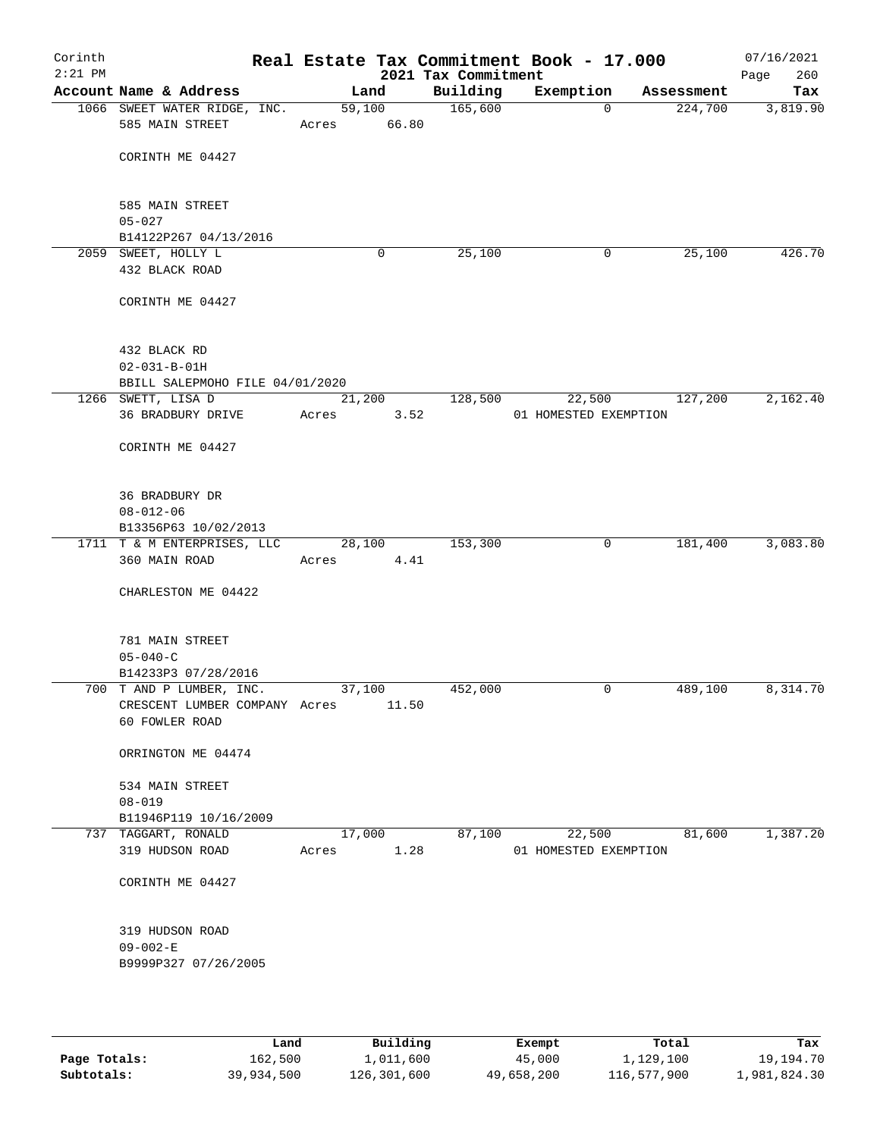| Corinth<br>$2:21$ PM |                                                           |       |                 | 2021 Tax Commitment | Real Estate Tax Commitment Book - 17.000 |             |            | 07/16/2021<br>Page<br>260 |
|----------------------|-----------------------------------------------------------|-------|-----------------|---------------------|------------------------------------------|-------------|------------|---------------------------|
|                      | Account Name & Address                                    |       | Land            | Building            | Exemption                                |             | Assessment | Tax                       |
|                      | 1066 SWEET WATER RIDGE, INC.<br>585 MAIN STREET           | Acres | 59,100<br>66.80 | 165,600             |                                          | $\Omega$    | 224,700    | 3,819.90                  |
|                      | CORINTH ME 04427                                          |       |                 |                     |                                          |             |            |                           |
|                      | 585 MAIN STREET<br>$05 - 027$                             |       |                 |                     |                                          |             |            |                           |
|                      | B14122P267 04/13/2016                                     |       |                 |                     |                                          |             |            |                           |
|                      | 2059 SWEET, HOLLY L                                       |       | 0               | 25,100              |                                          | 0           | 25,100     | 426.70                    |
|                      | 432 BLACK ROAD                                            |       |                 |                     |                                          |             |            |                           |
|                      | CORINTH ME 04427                                          |       |                 |                     |                                          |             |            |                           |
|                      | 432 BLACK RD                                              |       |                 |                     |                                          |             |            |                           |
|                      | $02 - 031 - B - 01H$                                      |       |                 |                     |                                          |             |            |                           |
|                      | BBILL SALEPMOHO FILE 04/01/2020                           |       |                 |                     |                                          |             |            |                           |
|                      | 1266 SWETT, LISA D<br>36 BRADBURY DRIVE                   | Acres | 21,200<br>3.52  | 128,500             | 22,500<br>01 HOMESTED EXEMPTION          |             | 127,200    | 2,162.40                  |
|                      | CORINTH ME 04427                                          |       |                 |                     |                                          |             |            |                           |
|                      |                                                           |       |                 |                     |                                          |             |            |                           |
|                      | 36 BRADBURY DR                                            |       |                 |                     |                                          |             |            |                           |
|                      | $08 - 012 - 06$<br>B13356P63 10/02/2013                   |       |                 |                     |                                          |             |            |                           |
|                      | 1711 T & M ENTERPRISES, LLC                               |       | 28,100          | 153,300             |                                          | $\mathbf 0$ | 181,400    | 3,083.80                  |
|                      | 360 MAIN ROAD                                             | Acres | 4.41            |                     |                                          |             |            |                           |
|                      | CHARLESTON ME 04422                                       |       |                 |                     |                                          |             |            |                           |
|                      | 781 MAIN STREET                                           |       |                 |                     |                                          |             |            |                           |
|                      | $05 - 040 - C$                                            |       |                 |                     |                                          |             |            |                           |
|                      | B14233P3 07/28/2016                                       |       |                 |                     |                                          |             |            |                           |
|                      | 700 T AND P LUMBER, INC.<br>CRESCENT LUMBER COMPANY Acres |       | 37,100<br>11.50 | 452,000             |                                          | 0           | 489,100    | 8,314.70                  |
|                      | 60 FOWLER ROAD                                            |       |                 |                     |                                          |             |            |                           |
|                      | ORRINGTON ME 04474                                        |       |                 |                     |                                          |             |            |                           |
|                      | 534 MAIN STREET                                           |       |                 |                     |                                          |             |            |                           |
|                      | $08 - 019$                                                |       |                 |                     |                                          |             |            |                           |
|                      | B11946P119 10/16/2009                                     |       |                 |                     |                                          |             |            |                           |
|                      | 737 TAGGART, RONALD                                       |       | 17,000          | 87,100              | 22,500                                   |             | 81,600     | 1,387.20                  |
|                      | 319 HUDSON ROAD                                           | Acres | 1.28            |                     | 01 HOMESTED EXEMPTION                    |             |            |                           |
|                      | CORINTH ME 04427                                          |       |                 |                     |                                          |             |            |                           |
|                      | 319 HUDSON ROAD                                           |       |                 |                     |                                          |             |            |                           |
|                      | $09 - 002 - E$                                            |       |                 |                     |                                          |             |            |                           |
|                      | B9999P327 07/26/2005                                      |       |                 |                     |                                          |             |            |                           |
|                      |                                                           |       |                 |                     |                                          |             |            |                           |
|                      |                                                           |       |                 |                     |                                          |             |            |                           |

|              | Land       | Building    | Exempt     | Total       | Tax          |
|--------------|------------|-------------|------------|-------------|--------------|
| Page Totals: | 162,500    | 1,011,600   | 45,000     | 1,129,100   | 19,194.70    |
| Subtotals:   | 39,934,500 | 126,301,600 | 49,658,200 | 116,577,900 | 1,981,824.30 |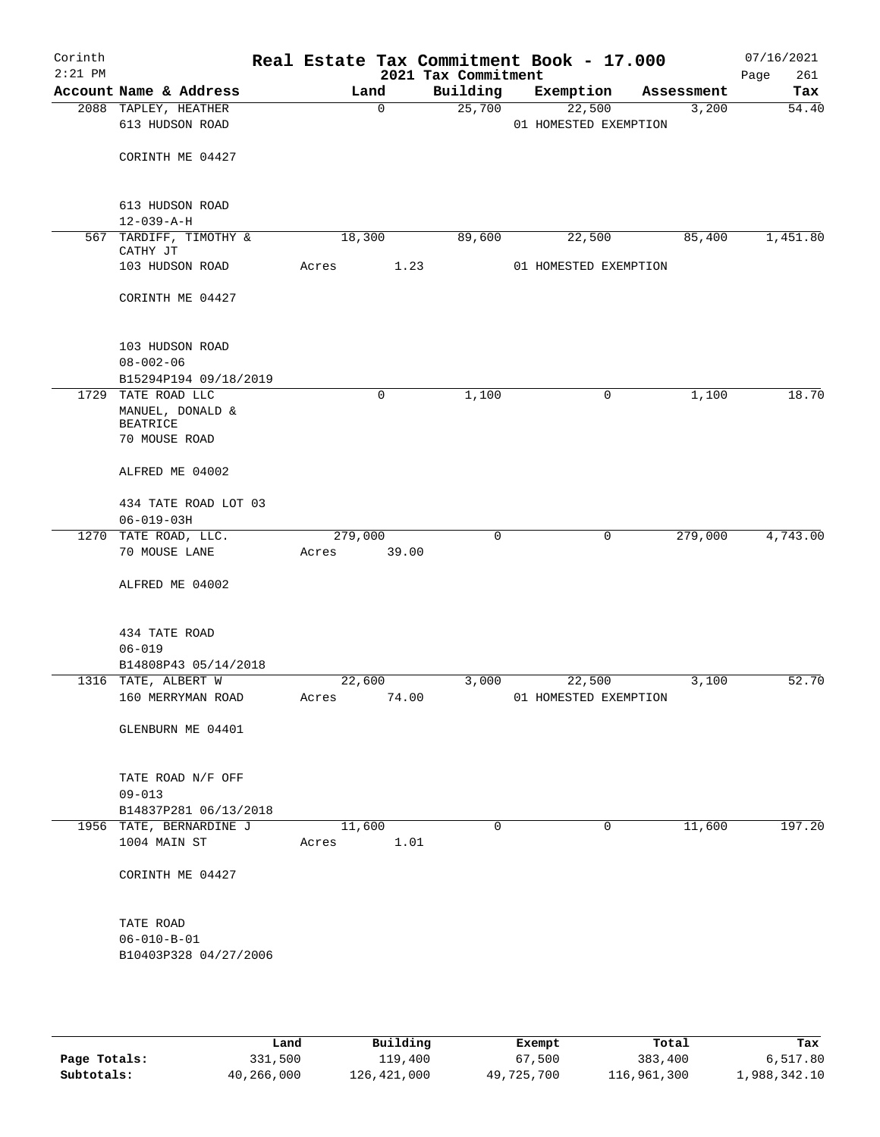| Corinth<br>$2:21$ PM |                                         |       |                 |             | 2021 Tax Commitment | Real Estate Tax Commitment Book - 17.000 |                    | 07/16/2021<br>Page<br>261 |
|----------------------|-----------------------------------------|-------|-----------------|-------------|---------------------|------------------------------------------|--------------------|---------------------------|
|                      | Account Name & Address                  |       |                 | Land        | Building            | Exemption                                | Assessment         | Tax                       |
|                      | 2088 TAPLEY, HEATHER                    |       |                 | $\mathbf 0$ | 25,700              | 22,500                                   | 3,200              | 54.40                     |
|                      | 613 HUDSON ROAD                         |       |                 |             |                     | 01 HOMESTED EXEMPTION                    |                    |                           |
|                      |                                         |       |                 |             |                     |                                          |                    |                           |
|                      | CORINTH ME 04427                        |       |                 |             |                     |                                          |                    |                           |
|                      |                                         |       |                 |             |                     |                                          |                    |                           |
|                      | 613 HUDSON ROAD                         |       |                 |             |                     |                                          |                    |                           |
|                      | $12 - 039 - A - H$                      |       |                 |             |                     |                                          |                    |                           |
|                      | 567 TARDIFF, TIMOTHY &<br>CATHY JT      |       | 18,300          |             | 89,600              | 22,500                                   | 85,400             | 1,451.80                  |
|                      | 103 HUDSON ROAD                         |       | Acres           | 1.23        |                     | 01 HOMESTED EXEMPTION                    |                    |                           |
|                      | CORINTH ME 04427                        |       |                 |             |                     |                                          |                    |                           |
|                      |                                         |       |                 |             |                     |                                          |                    |                           |
|                      | 103 HUDSON ROAD                         |       |                 |             |                     |                                          |                    |                           |
|                      | $08 - 002 - 06$                         |       |                 |             |                     |                                          |                    |                           |
|                      | B15294P194 09/18/2019                   |       |                 |             |                     |                                          |                    |                           |
|                      | 1729 TATE ROAD LLC                      |       |                 | 0           | 1,100               |                                          | 1,100<br>0         | 18.70                     |
|                      | MANUEL, DONALD &<br><b>BEATRICE</b>     |       |                 |             |                     |                                          |                    |                           |
|                      | 70 MOUSE ROAD                           |       |                 |             |                     |                                          |                    |                           |
|                      | ALFRED ME 04002                         |       |                 |             |                     |                                          |                    |                           |
|                      | 434 TATE ROAD LOT 03                    |       |                 |             |                     |                                          |                    |                           |
|                      | $06 - 019 - 03H$                        |       |                 |             |                     |                                          |                    |                           |
|                      | 1270 TATE ROAD, LLC.                    |       | 279,000         |             | $\mathbf 0$         |                                          | 0<br>279,000       | 4,743.00                  |
|                      | 70 MOUSE LANE                           |       | Acres           | 39.00       |                     |                                          |                    |                           |
|                      | ALFRED ME 04002                         |       |                 |             |                     |                                          |                    |                           |
|                      |                                         |       |                 |             |                     |                                          |                    |                           |
|                      | 434 TATE ROAD                           |       |                 |             |                     |                                          |                    |                           |
|                      | $06 - 019$<br>B14808P43 05/14/2018      |       |                 |             |                     |                                          |                    |                           |
|                      | 1316 TATE, ALBERT W                     |       | 22,600          |             | 3,000               | 22,500                                   | 3,100              | 52.70                     |
|                      | 160 MERRYMAN ROAD                       |       | Acres 74.00     |             |                     | 01 HOMESTED EXEMPTION                    |                    |                           |
|                      |                                         |       |                 |             |                     |                                          |                    |                           |
|                      | GLENBURN ME 04401                       |       |                 |             |                     |                                          |                    |                           |
|                      |                                         |       |                 |             |                     |                                          |                    |                           |
|                      | TATE ROAD N/F OFF                       |       |                 |             |                     |                                          |                    |                           |
|                      | $09 - 013$                              |       |                 |             |                     |                                          |                    |                           |
|                      | B14837P281 06/13/2018                   |       |                 |             |                     |                                          |                    |                           |
|                      | 1956 TATE, BERNARDINE J<br>1004 MAIN ST |       | 11,600<br>Acres | 1.01        | $\Omega$            |                                          | 11,600<br>$\Omega$ | 197.20                    |
|                      |                                         |       |                 |             |                     |                                          |                    |                           |
|                      | CORINTH ME 04427                        |       |                 |             |                     |                                          |                    |                           |
|                      | TATE ROAD                               |       |                 |             |                     |                                          |                    |                           |
|                      | $06 - 010 - B - 01$                     |       |                 |             |                     |                                          |                    |                           |
|                      | B10403P328 04/27/2006                   |       |                 |             |                     |                                          |                    |                           |
|                      |                                         |       |                 |             |                     |                                          |                    |                           |
|                      |                                         |       |                 |             |                     |                                          |                    |                           |
|                      |                                         |       |                 |             |                     |                                          |                    |                           |
|                      |                                         | Land, |                 | Building    |                     | <b>Exempt</b>                            | Total              | Tax                       |

|              | Land       | Building    | Exempt     | Total       | Tax          |
|--------------|------------|-------------|------------|-------------|--------------|
| Page Totals: | 331,500    | 119,400     | 67,500     | 383,400     | 6,517.80     |
| Subtotals:   | 40,266,000 | 126,421,000 | 49,725,700 | 116,961,300 | 1,988,342.10 |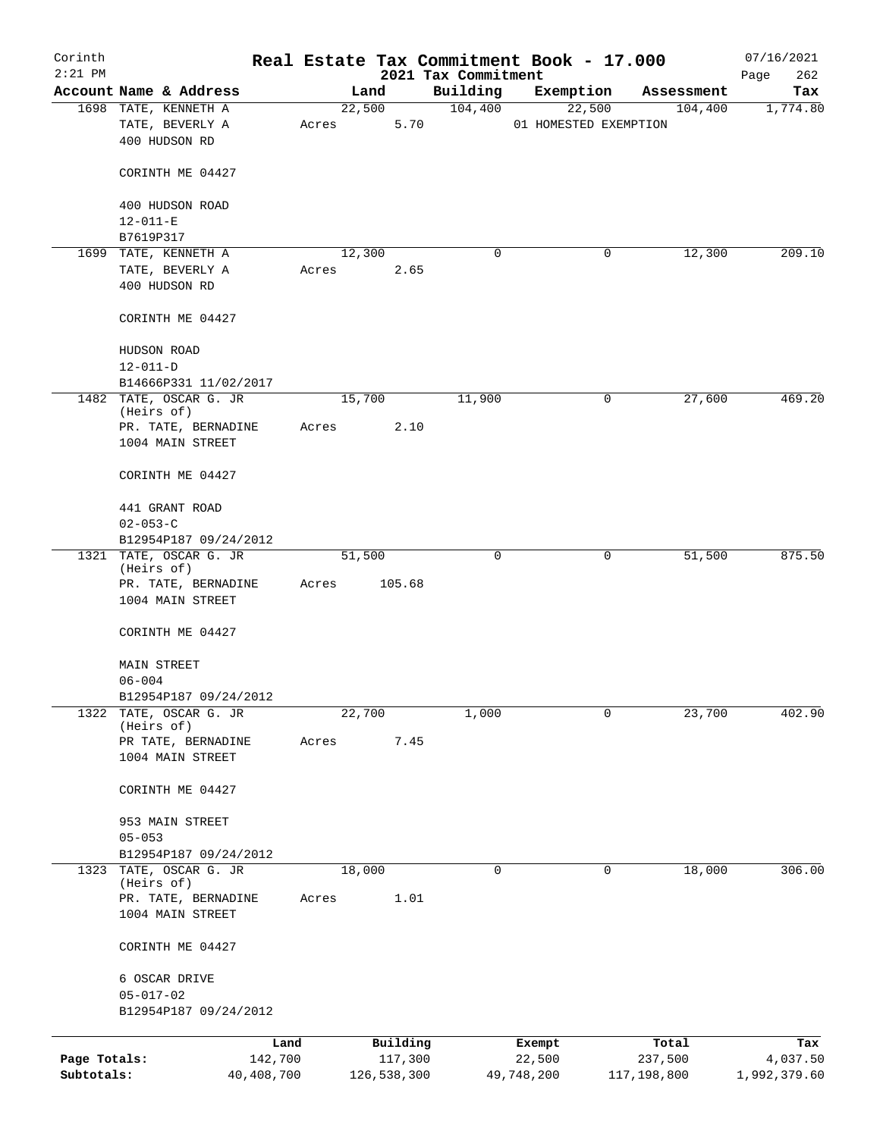| Corinth                    |                                                 |                         |       |        |                        |                                 | Real Estate Tax Commitment Book - 17.000 |                        | 07/16/2021               |
|----------------------------|-------------------------------------------------|-------------------------|-------|--------|------------------------|---------------------------------|------------------------------------------|------------------------|--------------------------|
| $2:21$ PM                  | Account Name & Address                          |                         |       | Land   |                        | 2021 Tax Commitment<br>Building | Exemption                                | Assessment             | 262<br>Page<br>Tax       |
|                            | 1698 TATE, KENNETH A                            |                         |       | 22,500 |                        | 104,400                         | 22,500                                   | 104,400                | 1,774.80                 |
|                            | TATE, BEVERLY A<br>400 HUDSON RD                |                         | Acres |        | 5.70                   |                                 | 01 HOMESTED EXEMPTION                    |                        |                          |
|                            | CORINTH ME 04427                                |                         |       |        |                        |                                 |                                          |                        |                          |
|                            | 400 HUDSON ROAD                                 |                         |       |        |                        |                                 |                                          |                        |                          |
|                            | $12 - 011 - E$<br>B7619P317                     |                         |       |        |                        |                                 |                                          |                        |                          |
|                            | 1699 TATE, KENNETH A                            |                         |       | 12,300 |                        | 0                               | 0                                        | 12,300                 | 209.10                   |
|                            | TATE, BEVERLY A                                 |                         | Acres |        | 2.65                   |                                 |                                          |                        |                          |
|                            | 400 HUDSON RD                                   |                         |       |        |                        |                                 |                                          |                        |                          |
|                            | CORINTH ME 04427                                |                         |       |        |                        |                                 |                                          |                        |                          |
|                            | HUDSON ROAD                                     |                         |       |        |                        |                                 |                                          |                        |                          |
|                            | $12 - 011 - D$                                  |                         |       |        |                        |                                 |                                          |                        |                          |
|                            | B14666P331 11/02/2017<br>1482 TATE, OSCAR G. JR |                         |       | 15,700 |                        | 11,900                          | 0                                        | 27,600                 | 469.20                   |
|                            | (Heirs of)                                      |                         |       |        |                        |                                 |                                          |                        |                          |
|                            | PR. TATE, BERNADINE                             |                         | Acres |        | 2.10                   |                                 |                                          |                        |                          |
|                            | 1004 MAIN STREET                                |                         |       |        |                        |                                 |                                          |                        |                          |
|                            | CORINTH ME 04427                                |                         |       |        |                        |                                 |                                          |                        |                          |
|                            | 441 GRANT ROAD                                  |                         |       |        |                        |                                 |                                          |                        |                          |
|                            | $02 - 053 - C$                                  |                         |       |        |                        |                                 |                                          |                        |                          |
|                            | B12954P187 09/24/2012<br>1321 TATE, OSCAR G. JR |                         |       | 51,500 |                        | 0                               | 0                                        | 51,500                 | 875.50                   |
|                            | (Heirs of)                                      |                         |       |        |                        |                                 |                                          |                        |                          |
|                            | PR. TATE, BERNADINE                             |                         | Acres |        | 105.68                 |                                 |                                          |                        |                          |
|                            | 1004 MAIN STREET                                |                         |       |        |                        |                                 |                                          |                        |                          |
|                            | CORINTH ME 04427                                |                         |       |        |                        |                                 |                                          |                        |                          |
|                            | <b>MAIN STREET</b>                              |                         |       |        |                        |                                 |                                          |                        |                          |
|                            | $06 - 004$                                      |                         |       |        |                        |                                 |                                          |                        |                          |
|                            | B12954P187 09/24/2012                           |                         |       |        |                        |                                 |                                          |                        |                          |
| 1322                       | TATE, OSCAR G. JR<br>(Heirs of)                 |                         |       | 22,700 |                        | 1,000                           | 0                                        | 23,700                 | 402.90                   |
|                            | PR TATE, BERNADINE                              |                         | Acres |        | 7.45                   |                                 |                                          |                        |                          |
|                            | 1004 MAIN STREET                                |                         |       |        |                        |                                 |                                          |                        |                          |
|                            | CORINTH ME 04427                                |                         |       |        |                        |                                 |                                          |                        |                          |
|                            | 953 MAIN STREET                                 |                         |       |        |                        |                                 |                                          |                        |                          |
|                            | $05 - 053$                                      |                         |       |        |                        |                                 |                                          |                        |                          |
|                            | B12954P187 09/24/2012                           |                         |       |        |                        |                                 |                                          |                        |                          |
|                            | 1323 TATE, OSCAR G. JR<br>(Heirs of)            |                         |       | 18,000 |                        | 0                               | 0                                        | 18,000                 | 306.00                   |
|                            | PR. TATE, BERNADINE                             |                         | Acres |        | 1.01                   |                                 |                                          |                        |                          |
|                            | 1004 MAIN STREET                                |                         |       |        |                        |                                 |                                          |                        |                          |
|                            | CORINTH ME 04427                                |                         |       |        |                        |                                 |                                          |                        |                          |
|                            | 6 OSCAR DRIVE                                   |                         |       |        |                        |                                 |                                          |                        |                          |
|                            | $05 - 017 - 02$                                 |                         |       |        |                        |                                 |                                          |                        |                          |
|                            | B12954P187 09/24/2012                           |                         |       |        |                        |                                 |                                          |                        |                          |
|                            |                                                 | Land                    |       |        | Building               |                                 | Exempt                                   | Total                  | Tax                      |
| Page Totals:<br>Subtotals: |                                                 | 142,700<br>40, 408, 700 |       |        | 117,300<br>126,538,300 |                                 | 22,500<br>49,748,200                     | 237,500<br>117,198,800 | 4,037.50<br>1,992,379.60 |
|                            |                                                 |                         |       |        |                        |                                 |                                          |                        |                          |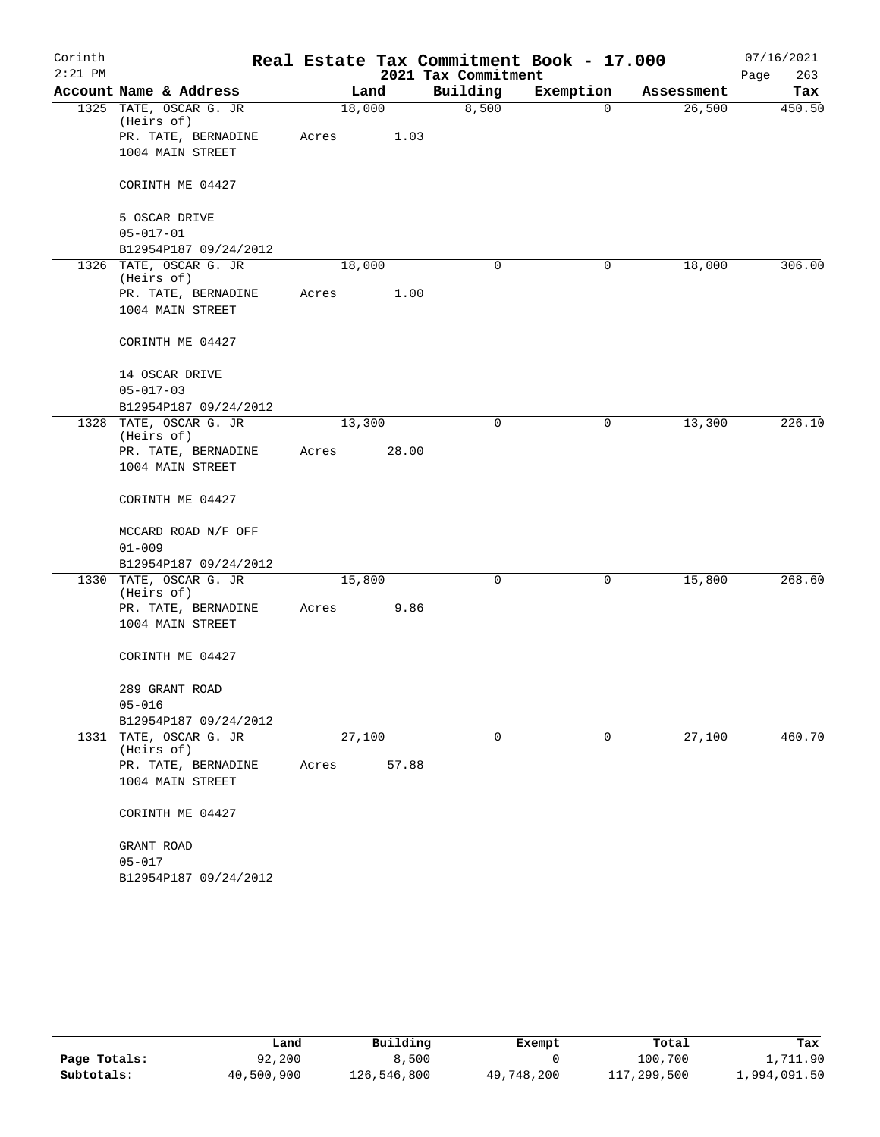| Corinth<br>$2:21$ PM |                                      |        |       | 2021 Tax Commitment | Real Estate Tax Commitment Book - 17.000 |            | 07/16/2021<br>263<br>Page |
|----------------------|--------------------------------------|--------|-------|---------------------|------------------------------------------|------------|---------------------------|
|                      | Account Name & Address               |        | Land  | Building            | Exemption                                | Assessment | Tax                       |
|                      | 1325 TATE, OSCAR G. JR<br>(Heirs of) | 18,000 |       | 8,500               | $\mathbf 0$                              | 26,500     | 450.50                    |
|                      | PR. TATE, BERNADINE                  | Acres  | 1.03  |                     |                                          |            |                           |
|                      | 1004 MAIN STREET                     |        |       |                     |                                          |            |                           |
|                      | CORINTH ME 04427                     |        |       |                     |                                          |            |                           |
|                      | 5 OSCAR DRIVE                        |        |       |                     |                                          |            |                           |
|                      | $05 - 017 - 01$                      |        |       |                     |                                          |            |                           |
|                      | B12954P187 09/24/2012                |        |       |                     |                                          |            |                           |
|                      | 1326 TATE, OSCAR G. JR<br>(Heirs of) | 18,000 |       | 0                   | 0                                        | 18,000     | 306.00                    |
|                      | PR. TATE, BERNADINE                  | Acres  | 1.00  |                     |                                          |            |                           |
|                      | 1004 MAIN STREET                     |        |       |                     |                                          |            |                           |
|                      | CORINTH ME 04427                     |        |       |                     |                                          |            |                           |
|                      | 14 OSCAR DRIVE                       |        |       |                     |                                          |            |                           |
|                      | $05 - 017 - 03$                      |        |       |                     |                                          |            |                           |
|                      | B12954P187 09/24/2012                |        |       |                     |                                          |            |                           |
|                      | 1328 TATE, OSCAR G. JR<br>(Heirs of) | 13,300 |       | 0                   | 0                                        | 13,300     | 226.10                    |
|                      | PR. TATE, BERNADINE                  | Acres  | 28.00 |                     |                                          |            |                           |
|                      | 1004 MAIN STREET                     |        |       |                     |                                          |            |                           |
|                      | CORINTH ME 04427                     |        |       |                     |                                          |            |                           |
|                      | MCCARD ROAD N/F OFF                  |        |       |                     |                                          |            |                           |
|                      | $01 - 009$                           |        |       |                     |                                          |            |                           |
|                      | B12954P187 09/24/2012                |        |       |                     |                                          |            |                           |
|                      | 1330 TATE, OSCAR G. JR<br>(Heirs of) | 15,800 |       | $\mathbf 0$         | 0                                        | 15,800     | 268.60                    |
|                      | PR. TATE, BERNADINE                  | Acres  | 9.86  |                     |                                          |            |                           |
|                      | 1004 MAIN STREET                     |        |       |                     |                                          |            |                           |
|                      | CORINTH ME 04427                     |        |       |                     |                                          |            |                           |
|                      | 289 GRANT ROAD                       |        |       |                     |                                          |            |                           |
|                      | $05 - 016$                           |        |       |                     |                                          |            |                           |
|                      | B12954P187 09/24/2012                |        |       |                     |                                          |            |                           |
|                      | 1331 TATE, OSCAR G. JR<br>(Heirs of) | 27,100 |       | 0                   | 0                                        | 27,100     | 460.70                    |
|                      | PR. TATE, BERNADINE                  | Acres  | 57.88 |                     |                                          |            |                           |
|                      | 1004 MAIN STREET                     |        |       |                     |                                          |            |                           |
|                      | CORINTH ME 04427                     |        |       |                     |                                          |            |                           |
|                      | GRANT ROAD                           |        |       |                     |                                          |            |                           |
|                      | $05 - 017$                           |        |       |                     |                                          |            |                           |
|                      | B12954P187 09/24/2012                |        |       |                     |                                          |            |                           |

|              | Land       | Building    | Exempt     | Total       | Tax          |
|--------------|------------|-------------|------------|-------------|--------------|
| Page Totals: | 92,200     | 8,500       |            | 100,700     | 1,711.90     |
| Subtotals:   | 40,500,900 | 126,546,800 | 49,748,200 | 117,299,500 | 1,994,091.50 |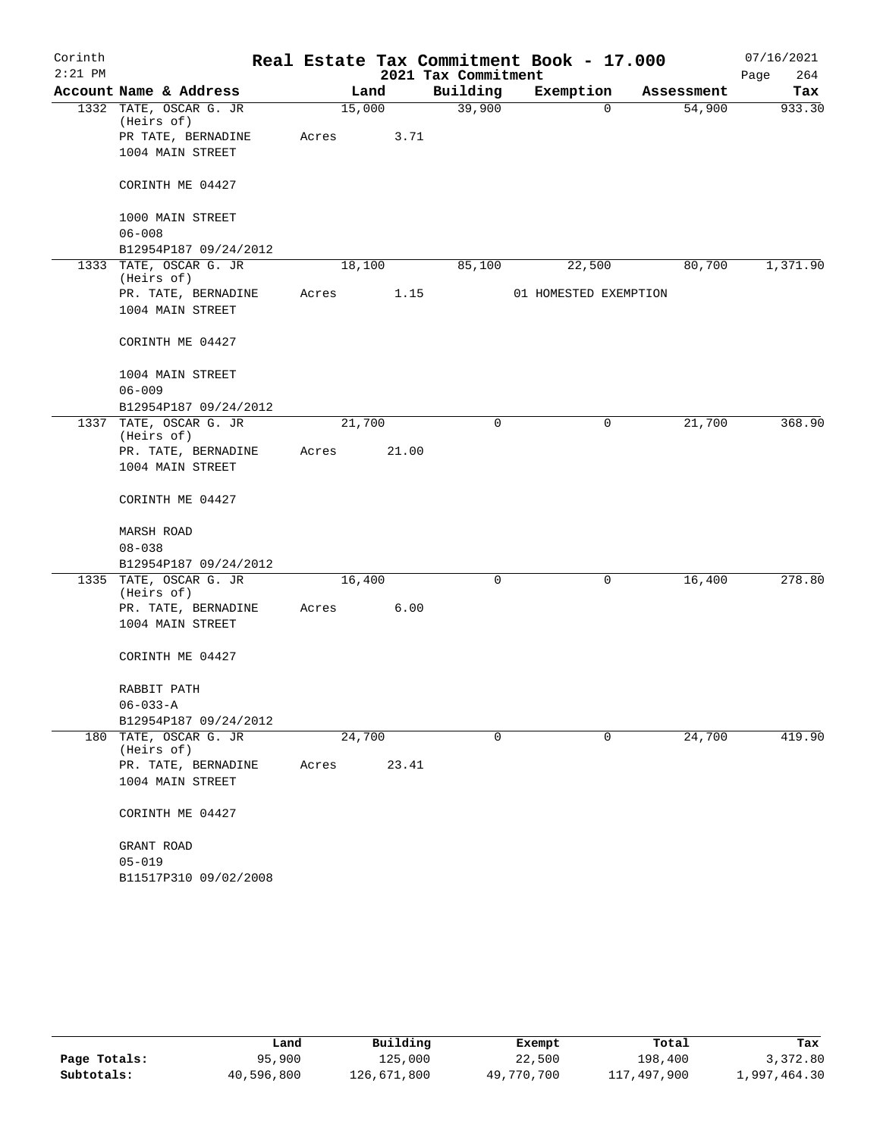| Corinth   |                                      |        |       |                     | Real Estate Tax Commitment Book - 17.000 |            | 07/16/2021  |
|-----------|--------------------------------------|--------|-------|---------------------|------------------------------------------|------------|-------------|
| $2:21$ PM |                                      |        |       | 2021 Tax Commitment |                                          |            | 264<br>Page |
|           | Account Name & Address               |        | Land  | Building            | Exemption                                | Assessment | Tax         |
|           | 1332 TATE, OSCAR G. JR<br>(Heirs of) | 15,000 |       | 39,900              | $\mathbf 0$                              | 54,900     | 933.30      |
|           | PR TATE, BERNADINE                   | Acres  | 3.71  |                     |                                          |            |             |
|           | 1004 MAIN STREET                     |        |       |                     |                                          |            |             |
|           | CORINTH ME 04427                     |        |       |                     |                                          |            |             |
|           | 1000 MAIN STREET                     |        |       |                     |                                          |            |             |
|           | $06 - 008$                           |        |       |                     |                                          |            |             |
|           | B12954P187 09/24/2012                |        |       |                     |                                          |            |             |
|           | 1333 TATE, OSCAR G. JR<br>(Heirs of) | 18,100 |       | 85,100              | 22,500                                   | 80,700     | 1,371.90    |
|           | PR. TATE, BERNADINE                  | Acres  | 1.15  |                     | 01 HOMESTED EXEMPTION                    |            |             |
|           | 1004 MAIN STREET                     |        |       |                     |                                          |            |             |
|           | CORINTH ME 04427                     |        |       |                     |                                          |            |             |
|           | 1004 MAIN STREET                     |        |       |                     |                                          |            |             |
|           | $06 - 009$                           |        |       |                     |                                          |            |             |
|           | B12954P187 09/24/2012                |        |       |                     |                                          |            |             |
|           | 1337 TATE, OSCAR G. JR<br>(Heirs of) | 21,700 |       | 0                   | 0                                        | 21,700     | 368.90      |
|           | PR. TATE, BERNADINE                  | Acres  | 21.00 |                     |                                          |            |             |
|           | 1004 MAIN STREET                     |        |       |                     |                                          |            |             |
|           | CORINTH ME 04427                     |        |       |                     |                                          |            |             |
|           | MARSH ROAD                           |        |       |                     |                                          |            |             |
|           | $08 - 038$                           |        |       |                     |                                          |            |             |
|           | B12954P187 09/24/2012                |        |       |                     |                                          |            |             |
|           | 1335 TATE, OSCAR G. JR<br>(Heirs of) | 16,400 |       | 0                   | 0                                        | 16,400     | 278.80      |
|           | PR. TATE, BERNADINE                  | Acres  | 6.00  |                     |                                          |            |             |
|           | 1004 MAIN STREET                     |        |       |                     |                                          |            |             |
|           | CORINTH ME 04427                     |        |       |                     |                                          |            |             |
|           | RABBIT PATH                          |        |       |                     |                                          |            |             |
|           | $06 - 033 - A$                       |        |       |                     |                                          |            |             |
|           | B12954P187 09/24/2012                |        |       |                     |                                          |            |             |
| 180       | TATE, OSCAR G. JR<br>(Heirs of)      | 24,700 |       | 0                   | 0                                        | 24,700     | 419.90      |
|           | PR. TATE, BERNADINE                  | Acres  | 23.41 |                     |                                          |            |             |
|           | 1004 MAIN STREET                     |        |       |                     |                                          |            |             |
|           | CORINTH ME 04427                     |        |       |                     |                                          |            |             |
|           | GRANT ROAD                           |        |       |                     |                                          |            |             |
|           | $05 - 019$                           |        |       |                     |                                          |            |             |
|           | B11517P310 09/02/2008                |        |       |                     |                                          |            |             |

|              | Land       | Building    | Exempt     | Total       | Tax          |
|--------------|------------|-------------|------------|-------------|--------------|
| Page Totals: | 95,900     | 125,000     | 22,500     | 198,400     | 3,372.80     |
| Subtotals:   | 40,596,800 | 126,671,800 | 49,770,700 | 117,497,900 | l,997,464.30 |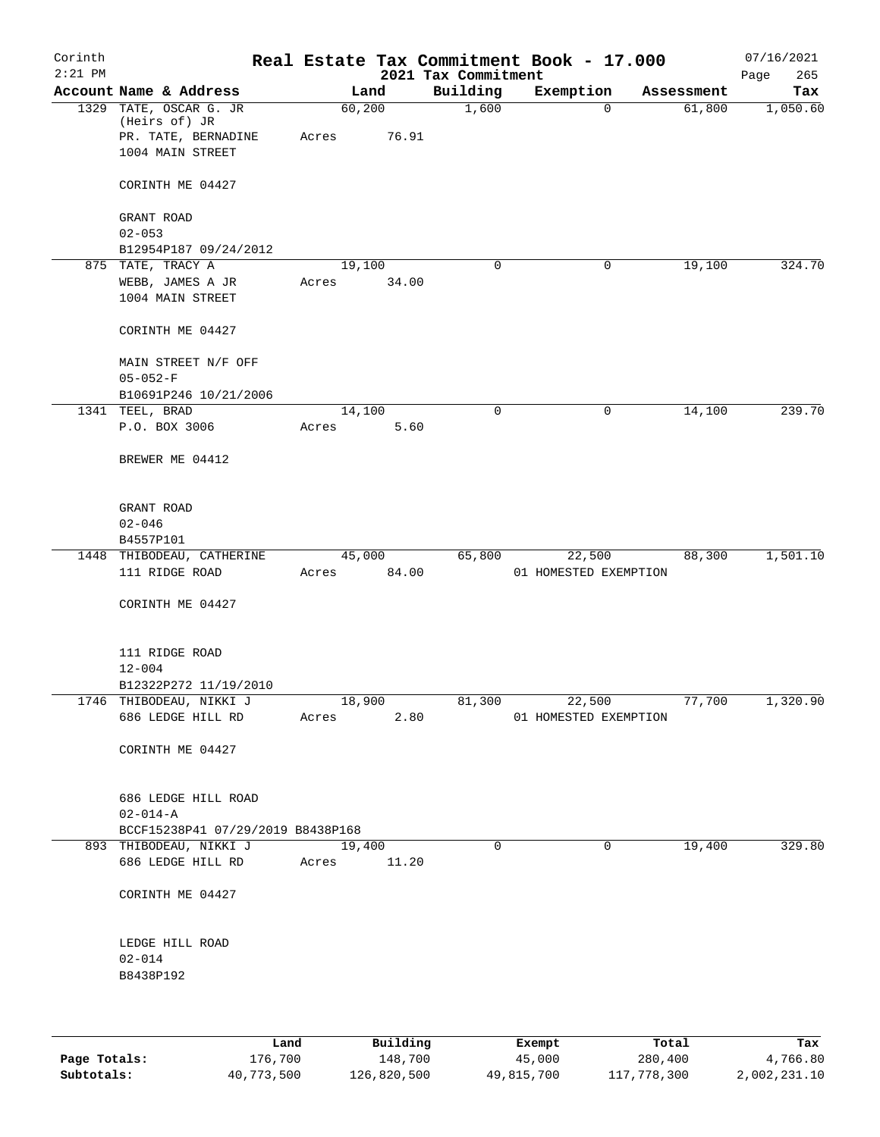| Corinth<br>$2:21$ PM |                                                                                    |                 |          | 2021 Tax Commitment | Real Estate Tax Commitment Book - 17.000 |            | 07/16/2021<br>265<br>Page |
|----------------------|------------------------------------------------------------------------------------|-----------------|----------|---------------------|------------------------------------------|------------|---------------------------|
|                      | Account Name & Address                                                             |                 | Land     | Building            | Exemption                                | Assessment | Tax                       |
|                      | 1329 TATE, OSCAR G. JR<br>(Heirs of) JR<br>PR. TATE, BERNADINE<br>1004 MAIN STREET | 60,200<br>Acres | 76.91    | 1,600               | $\Omega$                                 | 61,800     | 1,050.60                  |
|                      | CORINTH ME 04427                                                                   |                 |          |                     |                                          |            |                           |
|                      | GRANT ROAD<br>$02 - 053$                                                           |                 |          |                     |                                          |            |                           |
|                      | B12954P187 09/24/2012                                                              |                 |          |                     |                                          |            |                           |
|                      | 875 TATE, TRACY A                                                                  | 19,100          |          | $\mathbf 0$         | 0                                        | 19,100     | 324.70                    |
|                      | WEBB, JAMES A JR                                                                   | Acres           | 34.00    |                     |                                          |            |                           |
|                      | 1004 MAIN STREET                                                                   |                 |          |                     |                                          |            |                           |
|                      | CORINTH ME 04427                                                                   |                 |          |                     |                                          |            |                           |
|                      | MAIN STREET N/F OFF                                                                |                 |          |                     |                                          |            |                           |
|                      | $05 - 052 - F$<br>B10691P246 10/21/2006                                            |                 |          |                     |                                          |            |                           |
|                      | 1341 TEEL, BRAD                                                                    | 14,100          |          | $\mathbf 0$         | 0                                        | 14,100     | 239.70                    |
|                      | P.O. BOX 3006                                                                      | Acres           | 5.60     |                     |                                          |            |                           |
|                      | BREWER ME 04412                                                                    |                 |          |                     |                                          |            |                           |
|                      | GRANT ROAD                                                                         |                 |          |                     |                                          |            |                           |
|                      | $02 - 046$                                                                         |                 |          |                     |                                          |            |                           |
|                      | B4557P101                                                                          |                 |          |                     |                                          |            |                           |
|                      | 1448 THIBODEAU, CATHERINE                                                          | 45,000          |          | 65,800              | 22,500                                   | 88,300     | 1,501.10                  |
|                      | 111 RIDGE ROAD                                                                     | Acres           | 84.00    |                     | 01 HOMESTED EXEMPTION                    |            |                           |
|                      | CORINTH ME 04427                                                                   |                 |          |                     |                                          |            |                           |
|                      | 111 RIDGE ROAD                                                                     |                 |          |                     |                                          |            |                           |
|                      | $12 - 004$                                                                         |                 |          |                     |                                          |            |                           |
|                      | B12322P272 11/19/2010                                                              |                 |          |                     |                                          |            |                           |
|                      | 1746 THIBODEAU, NIKKI J                                                            | 18,900          |          | 81,300              | 22,500                                   | 77,700     | 1,320.90                  |
|                      | 686 LEDGE HILL RD                                                                  | Acres           | 2.80     |                     | 01 HOMESTED EXEMPTION                    |            |                           |
|                      | CORINTH ME 04427                                                                   |                 |          |                     |                                          |            |                           |
|                      | 686 LEDGE HILL ROAD                                                                |                 |          |                     |                                          |            |                           |
|                      | $02 - 014 - A$                                                                     |                 |          |                     |                                          |            |                           |
|                      | BCCF15238P41 07/29/2019 B8438P168                                                  |                 |          |                     |                                          |            |                           |
|                      | 893 THIBODEAU, NIKKI J<br>686 LEDGE HILL RD                                        | 19,400<br>Acres | 11.20    | $\Omega$            | $\mathbf 0$                              | 19,400     | 329.80                    |
|                      | CORINTH ME 04427                                                                   |                 |          |                     |                                          |            |                           |
|                      | LEDGE HILL ROAD                                                                    |                 |          |                     |                                          |            |                           |
|                      | $02 - 014$                                                                         |                 |          |                     |                                          |            |                           |
|                      | B8438P192                                                                          |                 |          |                     |                                          |            |                           |
|                      |                                                                                    |                 |          |                     |                                          |            |                           |
|                      | Land.                                                                              |                 | Building |                     | <b>Fromnt</b>                            | $T$ ctal   | Tov                       |

|              | Land       | Building    | Exempt     | Total       | Tax          |
|--------------|------------|-------------|------------|-------------|--------------|
| Page Totals: | 176,700    | 148,700     | 45,000     | 280,400     | 4,766.80     |
| Subtotals:   | 40,773,500 | 126,820,500 | 49,815,700 | 117,778,300 | 2,002,231.10 |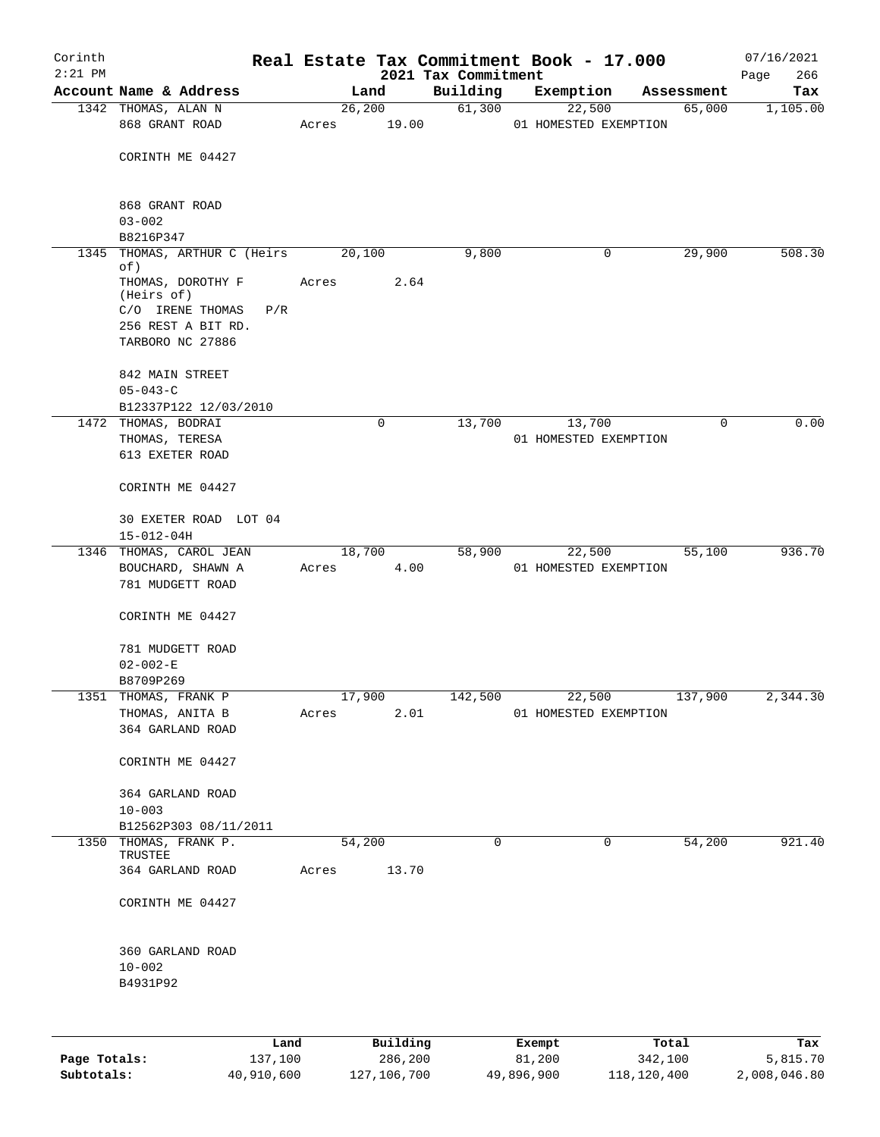| Corinth<br>$2:21$ PM |                                                |             |          | 2021 Tax Commitment | Real Estate Tax Commitment Book - 17.000 |             |            | 07/16/2021<br>266<br>Page |
|----------------------|------------------------------------------------|-------------|----------|---------------------|------------------------------------------|-------------|------------|---------------------------|
|                      | Account Name & Address                         |             | Land     | Building            | Exemption                                |             | Assessment | Tax                       |
|                      | 1342 THOMAS, ALAN N                            |             | 26, 200  | 61,300              | 22,500                                   |             | 65,000     | 1,105.00                  |
|                      | 868 GRANT ROAD                                 | Acres 19.00 |          |                     | 01 HOMESTED EXEMPTION                    |             |            |                           |
|                      | CORINTH ME 04427                               |             |          |                     |                                          |             |            |                           |
|                      | 868 GRANT ROAD                                 |             |          |                     |                                          |             |            |                           |
|                      | $03 - 002$                                     |             |          |                     |                                          |             |            |                           |
|                      | B8216P347<br>1345 THOMAS, ARTHUR C (Heirs      | 20,100      |          | 9,800               |                                          | 0           | 29,900     | 508.30                    |
|                      | of)                                            |             |          |                     |                                          |             |            |                           |
|                      | THOMAS, DOROTHY F<br>(Heirs of)                | Acres       | 2.64     |                     |                                          |             |            |                           |
|                      | C/O IRENE THOMAS<br>P/R                        |             |          |                     |                                          |             |            |                           |
|                      | 256 REST A BIT RD.                             |             |          |                     |                                          |             |            |                           |
|                      | TARBORO NC 27886                               |             |          |                     |                                          |             |            |                           |
|                      | 842 MAIN STREET                                |             |          |                     |                                          |             |            |                           |
|                      | $05 - 043 - C$<br>B12337P122 12/03/2010        |             |          |                     |                                          |             |            |                           |
|                      | 1472 THOMAS, BODRAI                            |             | $\Omega$ | 13,700              | 13,700                                   |             | $\Omega$   | 0.00                      |
|                      | THOMAS, TERESA                                 |             |          |                     | 01 HOMESTED EXEMPTION                    |             |            |                           |
|                      | 613 EXETER ROAD                                |             |          |                     |                                          |             |            |                           |
|                      | CORINTH ME 04427                               |             |          |                     |                                          |             |            |                           |
|                      | 30 EXETER ROAD LOT 04<br>$15 - 012 - 04H$      |             |          |                     |                                          |             |            |                           |
|                      | 1346 THOMAS, CAROL JEAN                        |             | 18,700   | 58,900              |                                          | 22,500      | 55,100     | 936.70                    |
|                      | BOUCHARD, SHAWN A<br>781 MUDGETT ROAD          | Acres       | 4.00     |                     | 01 HOMESTED EXEMPTION                    |             |            |                           |
|                      | CORINTH ME 04427                               |             |          |                     |                                          |             |            |                           |
|                      | 781 MUDGETT ROAD<br>$02 - 002 - E$             |             |          |                     |                                          |             |            |                           |
|                      | B8709P269                                      |             |          |                     |                                          |             |            |                           |
|                      | 1351 THOMAS, FRANK P                           | 17,900      |          | 142,500             |                                          | 22,500      | 137,900    | 2,344.30                  |
|                      | THOMAS, ANITA B                                | Acres       | 2.01     |                     | 01 HOMESTED EXEMPTION                    |             |            |                           |
|                      | 364 GARLAND ROAD                               |             |          |                     |                                          |             |            |                           |
|                      | CORINTH ME 04427                               |             |          |                     |                                          |             |            |                           |
|                      | 364 GARLAND ROAD                               |             |          |                     |                                          |             |            |                           |
|                      | $10 - 003$                                     |             |          |                     |                                          |             |            |                           |
|                      | B12562P303 08/11/2011<br>1350 THOMAS, FRANK P. |             | 54,200   | $\mathbf 0$         |                                          | $\mathbf 0$ | 54,200     | 921.40                    |
|                      | TRUSTEE                                        |             |          |                     |                                          |             |            |                           |
|                      | 364 GARLAND ROAD                               | Acres       | 13.70    |                     |                                          |             |            |                           |
|                      | CORINTH ME 04427                               |             |          |                     |                                          |             |            |                           |
|                      | 360 GARLAND ROAD                               |             |          |                     |                                          |             |            |                           |
|                      | $10 - 002$                                     |             |          |                     |                                          |             |            |                           |
|                      | B4931P92                                       |             |          |                     |                                          |             |            |                           |
|                      |                                                |             |          |                     |                                          |             |            |                           |
|                      | Land                                           |             | Building |                     | Exempt                                   |             | Total      | Tax                       |

|              | Lanu       | <b>Building</b> | вхешрс     | TOLAT       | 1ax.         |
|--------------|------------|-----------------|------------|-------------|--------------|
| Page Totals: | 137,100    | 286,200         | 81,200     | 342,100     | 5,815.70     |
| Subtotals:   | 40,910,600 | 127,106,700     | 49,896,900 | 118,120,400 | 2,008,046.80 |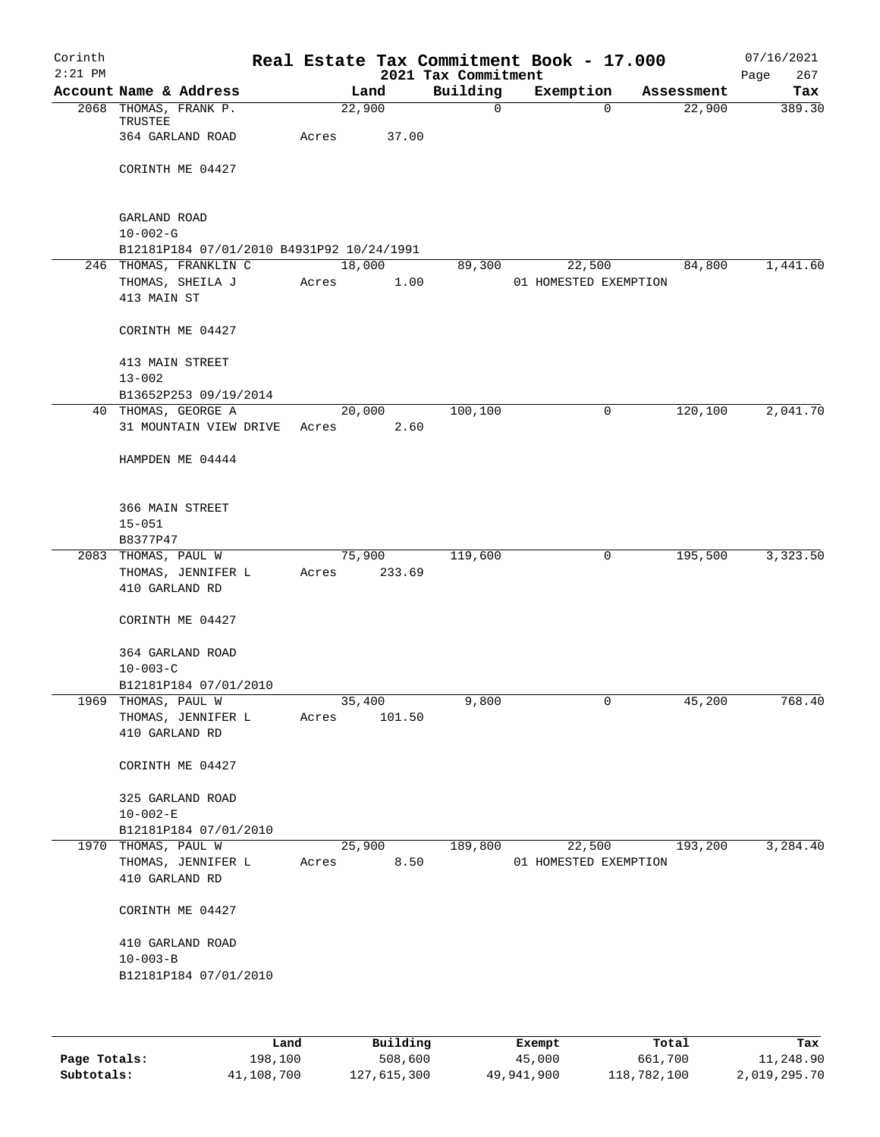| Corinth<br>$2:21$ PM |                                                             |       |        |        | 2021 Tax Commitment | Real Estate Tax Commitment Book - 17.000 |          |            | 07/16/2021<br>267<br>Page |
|----------------------|-------------------------------------------------------------|-------|--------|--------|---------------------|------------------------------------------|----------|------------|---------------------------|
|                      | Account Name & Address                                      |       | Land   |        | Building            | Exemption                                |          | Assessment | Tax                       |
|                      | 2068 THOMAS, FRANK P.<br>TRUSTEE                            |       | 22,900 |        | 0                   |                                          | $\Omega$ | 22,900     | 389.30                    |
|                      | 364 GARLAND ROAD                                            | Acres |        | 37.00  |                     |                                          |          |            |                           |
|                      | CORINTH ME 04427                                            |       |        |        |                     |                                          |          |            |                           |
|                      | GARLAND ROAD<br>$10 - 002 - G$                              |       |        |        |                     |                                          |          |            |                           |
|                      | B12181P184 07/01/2010 B4931P92 10/24/1991                   |       |        |        |                     |                                          |          |            |                           |
|                      | 246 THOMAS, FRANKLIN C                                      |       | 18,000 |        | 89,300              | 22,500                                   |          | 84,800     | 1,441.60                  |
|                      | THOMAS, SHEILA J<br>413 MAIN ST                             | Acres |        | 1.00   |                     | 01 HOMESTED EXEMPTION                    |          |            |                           |
|                      | CORINTH ME 04427                                            |       |        |        |                     |                                          |          |            |                           |
|                      | 413 MAIN STREET<br>$13 - 002$                               |       |        |        |                     |                                          |          |            |                           |
|                      | B13652P253 09/19/2014                                       |       |        |        |                     |                                          |          |            |                           |
|                      | 40 THOMAS, GEORGE A                                         |       | 20,000 |        | 100, 100            |                                          | 0        | 120,100    | 2,041.70                  |
|                      | 31 MOUNTAIN VIEW DRIVE                                      | Acres |        | 2.60   |                     |                                          |          |            |                           |
|                      | HAMPDEN ME 04444                                            |       |        |        |                     |                                          |          |            |                           |
|                      | 366 MAIN STREET                                             |       |        |        |                     |                                          |          |            |                           |
|                      | $15 - 051$                                                  |       |        |        |                     |                                          |          |            |                           |
|                      | B8377P47                                                    |       |        |        |                     |                                          |          |            |                           |
|                      | 2083 THOMAS, PAUL W<br>THOMAS, JENNIFER L<br>410 GARLAND RD | Acres | 75,900 | 233.69 | 119,600             |                                          | 0        | 195,500    | 3,323.50                  |
|                      | CORINTH ME 04427                                            |       |        |        |                     |                                          |          |            |                           |
|                      | 364 GARLAND ROAD<br>$10 - 003 - C$                          |       |        |        |                     |                                          |          |            |                           |
|                      | B12181P184 07/01/2010                                       |       |        |        |                     |                                          |          |            |                           |
| 1969                 | THOMAS, PAUL W                                              |       | 35,400 |        | 9,800               |                                          | 0        | 45,200     | 768.40                    |
|                      | THOMAS, JENNIFER L<br>410 GARLAND RD                        | Acres |        | 101.50 |                     |                                          |          |            |                           |
|                      | CORINTH ME 04427                                            |       |        |        |                     |                                          |          |            |                           |
|                      | 325 GARLAND ROAD                                            |       |        |        |                     |                                          |          |            |                           |
|                      | $10 - 002 - E$                                              |       |        |        |                     |                                          |          |            |                           |
|                      | B12181P184 07/01/2010<br>1970 THOMAS, PAUL W                |       | 25,900 |        | 189,800             | 22,500                                   |          | 193,200    | 3,284.40                  |
|                      | THOMAS, JENNIFER L                                          | Acres |        | 8.50   |                     | 01 HOMESTED EXEMPTION                    |          |            |                           |
|                      | 410 GARLAND RD                                              |       |        |        |                     |                                          |          |            |                           |
|                      | CORINTH ME 04427                                            |       |        |        |                     |                                          |          |            |                           |
|                      | 410 GARLAND ROAD<br>$10 - 003 - B$                          |       |        |        |                     |                                          |          |            |                           |
|                      | B12181P184 07/01/2010                                       |       |        |        |                     |                                          |          |            |                           |
|                      |                                                             |       |        |        |                     |                                          |          |            |                           |

|              | Land       | Building    | Exempt     | Total       | Tax          |
|--------------|------------|-------------|------------|-------------|--------------|
| Page Totals: | 198,100    | 508,600     | 45,000     | 661,700     | 11,248.90    |
| Subtotals:   | 41,108,700 | 127,615,300 | 49,941,900 | 118,782,100 | 2,019,295.70 |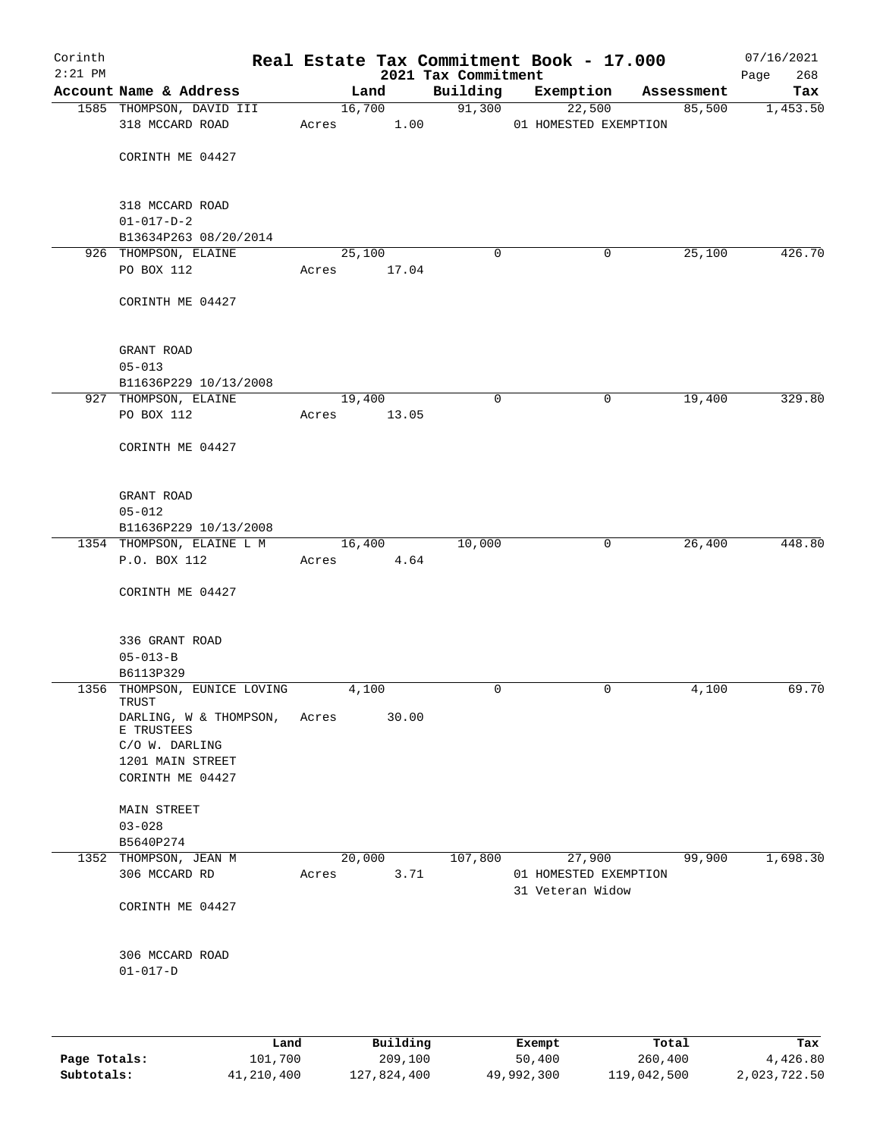| Corinth   |                                               |       |                |                     | Real Estate Tax Commitment Book - 17.000 |                      | 07/16/2021      |
|-----------|-----------------------------------------------|-------|----------------|---------------------|------------------------------------------|----------------------|-----------------|
| $2:21$ PM | Account Name & Address                        |       |                | 2021 Tax Commitment |                                          |                      | 268<br>Page     |
|           | 1585 THOMPSON, DAVID III                      |       | Land<br>16,700 | Building<br>91,300  | Exemption<br>22,500                      | Assessment<br>85,500 | Tax<br>1,453.50 |
|           | 318 MCCARD ROAD                               | Acres | 1.00           |                     | 01 HOMESTED EXEMPTION                    |                      |                 |
|           |                                               |       |                |                     |                                          |                      |                 |
|           | CORINTH ME 04427                              |       |                |                     |                                          |                      |                 |
|           |                                               |       |                |                     |                                          |                      |                 |
|           |                                               |       |                |                     |                                          |                      |                 |
|           | 318 MCCARD ROAD                               |       |                |                     |                                          |                      |                 |
|           | $01 - 017 - D - 2$                            |       |                |                     |                                          |                      |                 |
|           | B13634P263 08/20/2014<br>926 THOMPSON, ELAINE |       | 25,100         | 0                   | 0                                        | 25,100               | 426.70          |
|           | PO BOX 112                                    | Acres | 17.04          |                     |                                          |                      |                 |
|           |                                               |       |                |                     |                                          |                      |                 |
|           | CORINTH ME 04427                              |       |                |                     |                                          |                      |                 |
|           |                                               |       |                |                     |                                          |                      |                 |
|           |                                               |       |                |                     |                                          |                      |                 |
|           | GRANT ROAD<br>$05 - 013$                      |       |                |                     |                                          |                      |                 |
|           | B11636P229 10/13/2008                         |       |                |                     |                                          |                      |                 |
|           | 927 THOMPSON, ELAINE                          |       | 19,400         | $\mathbf 0$         | 0                                        | 19,400               | 329.80          |
|           | PO BOX 112                                    | Acres | 13.05          |                     |                                          |                      |                 |
|           |                                               |       |                |                     |                                          |                      |                 |
|           | CORINTH ME 04427                              |       |                |                     |                                          |                      |                 |
|           |                                               |       |                |                     |                                          |                      |                 |
|           | GRANT ROAD                                    |       |                |                     |                                          |                      |                 |
|           | $05 - 012$                                    |       |                |                     |                                          |                      |                 |
|           | B11636P229 10/13/2008                         |       |                |                     |                                          |                      |                 |
|           | 1354 THOMPSON, ELAINE L M                     |       | 16,400         | 10,000              | $\overline{0}$                           | 26,400               | 448.80          |
|           | P.O. BOX 112                                  | Acres | 4.64           |                     |                                          |                      |                 |
|           |                                               |       |                |                     |                                          |                      |                 |
|           | CORINTH ME 04427                              |       |                |                     |                                          |                      |                 |
|           |                                               |       |                |                     |                                          |                      |                 |
|           | 336 GRANT ROAD                                |       |                |                     |                                          |                      |                 |
|           | $05 - 013 - B$                                |       |                |                     |                                          |                      |                 |
|           | B6113P329                                     |       |                |                     |                                          |                      |                 |
|           | 1356 THOMPSON, EUNICE LOVING<br>TRUST         |       | 4,100          | 0                   | 0                                        | 4,100                | 69.70           |
|           | DARLING, W & THOMPSON,                        | Acres | 30.00          |                     |                                          |                      |                 |
|           | E TRUSTEES                                    |       |                |                     |                                          |                      |                 |
|           | C/O W. DARLING                                |       |                |                     |                                          |                      |                 |
|           | 1201 MAIN STREET                              |       |                |                     |                                          |                      |                 |
|           | CORINTH ME 04427                              |       |                |                     |                                          |                      |                 |
|           | <b>MAIN STREET</b>                            |       |                |                     |                                          |                      |                 |
|           | $03 - 028$                                    |       |                |                     |                                          |                      |                 |
|           | B5640P274                                     |       |                |                     |                                          |                      |                 |
|           | 1352 THOMPSON, JEAN M                         |       | 20,000         | 107,800             | 27,900                                   | 99,900               | 1,698.30        |
|           | 306 MCCARD RD                                 | Acres | 3.71           |                     | 01 HOMESTED EXEMPTION                    |                      |                 |
|           |                                               |       |                |                     | 31 Veteran Widow                         |                      |                 |
|           | CORINTH ME 04427                              |       |                |                     |                                          |                      |                 |
|           |                                               |       |                |                     |                                          |                      |                 |
|           | 306 MCCARD ROAD                               |       |                |                     |                                          |                      |                 |
|           | $01 - 017 - D$                                |       |                |                     |                                          |                      |                 |
|           |                                               |       |                |                     |                                          |                      |                 |
|           |                                               |       |                |                     |                                          |                      |                 |
|           | Land                                          |       | Building       |                     | Exempt                                   | Total                | Tax             |

|              | Land       | Building    | Exempt     | Total       | Tax          |
|--------------|------------|-------------|------------|-------------|--------------|
| Page Totals: | 101,700    | 209,100     | 50,400     | 260,400     | 4,426.80     |
| Subtotals:   | 41,210,400 | 127,824,400 | 49,992,300 | 119,042,500 | 2,023,722.50 |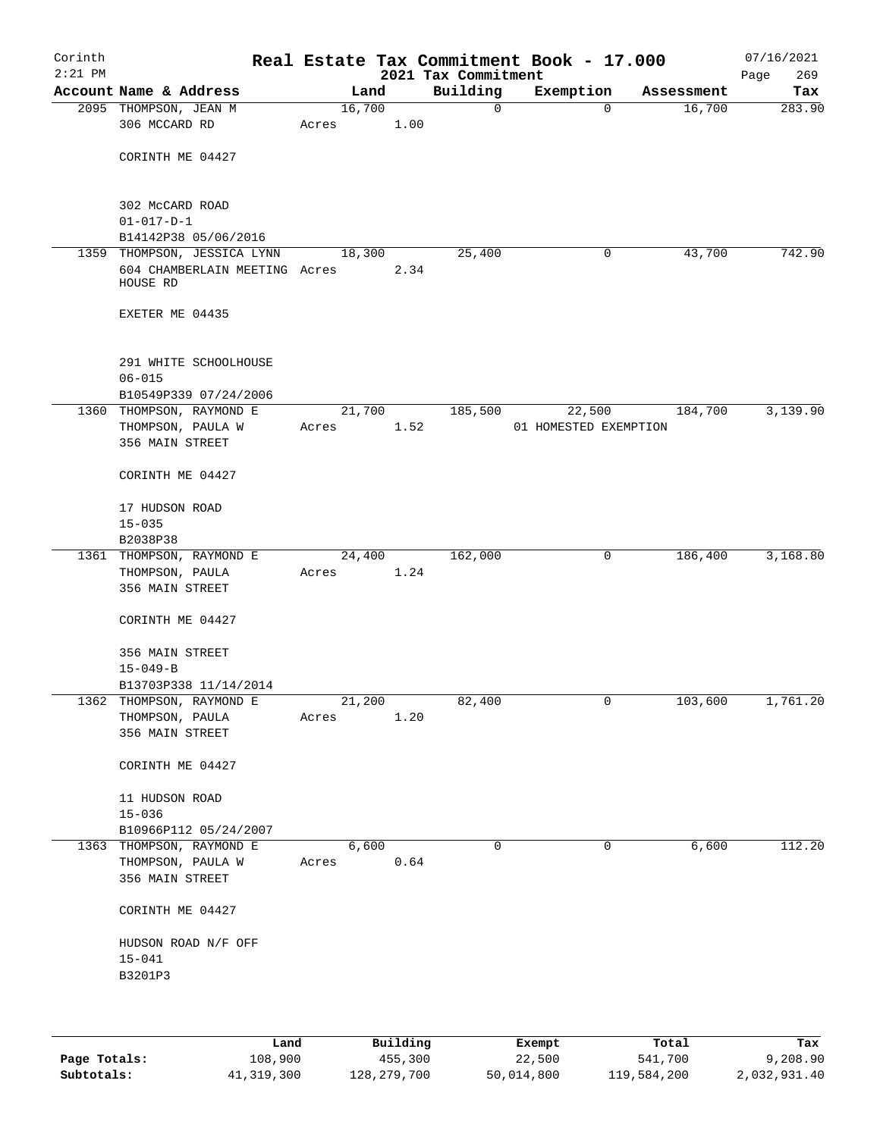| Corinth<br>$2:21$ PM |                                           |       |        |      | 2021 Tax Commitment | Real Estate Tax Commitment Book - 17.000 |            | 07/16/2021<br>Page<br>269 |
|----------------------|-------------------------------------------|-------|--------|------|---------------------|------------------------------------------|------------|---------------------------|
|                      | Account Name & Address                    |       | Land   |      | Building            | Exemption                                | Assessment | Tax                       |
|                      | 2095 THOMPSON, JEAN M<br>306 MCCARD RD    | Acres | 16,700 | 1.00 | 0                   | $\mathbf 0$                              | 16,700     | 283.90                    |
|                      | CORINTH ME 04427                          |       |        |      |                     |                                          |            |                           |
|                      |                                           |       |        |      |                     |                                          |            |                           |
|                      | 302 McCARD ROAD<br>$01 - 017 - D - 1$     |       |        |      |                     |                                          |            |                           |
|                      | B14142P38 05/06/2016                      |       |        |      |                     |                                          |            |                           |
|                      | 1359 THOMPSON, JESSICA LYNN               |       | 18,300 |      | 25,400              | 0                                        | 43,700     | 742.90                    |
|                      | 604 CHAMBERLAIN MEETING Acres<br>HOUSE RD |       |        | 2.34 |                     |                                          |            |                           |
|                      | EXETER ME 04435                           |       |        |      |                     |                                          |            |                           |
|                      | 291 WHITE SCHOOLHOUSE<br>$06 - 015$       |       |        |      |                     |                                          |            |                           |
|                      | B10549P339 07/24/2006                     |       |        |      |                     |                                          |            |                           |
|                      | 1360 THOMPSON, RAYMOND E                  |       | 21,700 |      | 185,500             | 22,500                                   | 184,700    | 3,139.90                  |
|                      | THOMPSON, PAULA W                         | Acres |        | 1.52 |                     | 01 HOMESTED EXEMPTION                    |            |                           |
|                      | 356 MAIN STREET                           |       |        |      |                     |                                          |            |                           |
|                      | CORINTH ME 04427                          |       |        |      |                     |                                          |            |                           |
|                      | 17 HUDSON ROAD                            |       |        |      |                     |                                          |            |                           |
|                      | $15 - 035$                                |       |        |      |                     |                                          |            |                           |
|                      | B2038P38                                  |       |        |      |                     |                                          |            |                           |
|                      | 1361 THOMPSON, RAYMOND E                  |       | 24,400 |      | 162,000             | 0                                        | 186,400    | 3,168.80                  |
|                      | THOMPSON, PAULA                           | Acres |        | 1.24 |                     |                                          |            |                           |
|                      | 356 MAIN STREET                           |       |        |      |                     |                                          |            |                           |
|                      | CORINTH ME 04427                          |       |        |      |                     |                                          |            |                           |
|                      | 356 MAIN STREET                           |       |        |      |                     |                                          |            |                           |
|                      | $15 - 049 - B$                            |       |        |      |                     |                                          |            |                           |
|                      | B13703P338 11/14/2014                     |       |        |      |                     |                                          |            |                           |
| 1362                 | THOMPSON, RAYMOND E                       |       | 21,200 |      | 82,400              | 0                                        | 103,600    | 1,761.20                  |
|                      | THOMPSON, PAULA                           | Acres |        | 1.20 |                     |                                          |            |                           |
|                      | 356 MAIN STREET                           |       |        |      |                     |                                          |            |                           |
|                      | CORINTH ME 04427                          |       |        |      |                     |                                          |            |                           |
|                      | 11 HUDSON ROAD<br>$15 - 036$              |       |        |      |                     |                                          |            |                           |
|                      | B10966P112 05/24/2007                     |       |        |      |                     |                                          |            |                           |
|                      | 1363 THOMPSON, RAYMOND E                  |       | 6,600  |      | 0                   | 0                                        | 6,600      | 112.20                    |
|                      | THOMPSON, PAULA W                         | Acres |        | 0.64 |                     |                                          |            |                           |
|                      | 356 MAIN STREET                           |       |        |      |                     |                                          |            |                           |
|                      | CORINTH ME 04427                          |       |        |      |                     |                                          |            |                           |
|                      | HUDSON ROAD N/F OFF                       |       |        |      |                     |                                          |            |                           |
|                      | $15 - 041$                                |       |        |      |                     |                                          |            |                           |
|                      | B3201P3                                   |       |        |      |                     |                                          |            |                           |
|                      |                                           |       |        |      |                     |                                          |            |                           |
|                      |                                           |       |        |      |                     |                                          |            |                           |
|                      |                                           |       |        |      |                     |                                          |            |                           |

|              | Land       | Building    | Exempt     | Total       | Tax          |
|--------------|------------|-------------|------------|-------------|--------------|
| Page Totals: | 108,900    | 455,300     | 22,500     | 541,700     | 9,208.90     |
| Subtotals:   | 41,319,300 | 128,279,700 | 50,014,800 | 119,584,200 | 2,032,931.40 |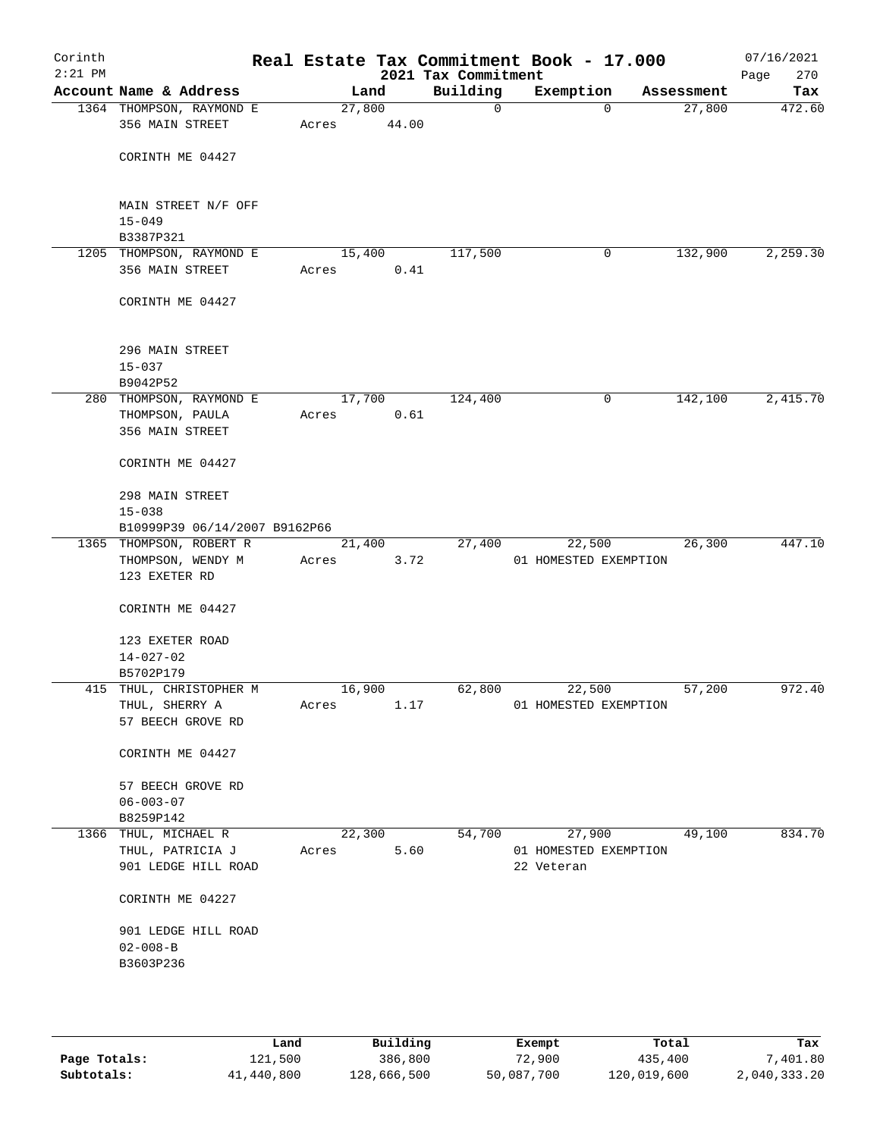| Corinth<br>$2:21$ PM |                                             |                 |        | 2021 Tax Commitment | Real Estate Tax Commitment Book - 17.000 |            | 07/16/2021<br>270<br>Page |
|----------------------|---------------------------------------------|-----------------|--------|---------------------|------------------------------------------|------------|---------------------------|
|                      | Account Name & Address                      |                 | Land   | Building            | Exemption                                | Assessment | Tax                       |
|                      | 1364 THOMPSON, RAYMOND E<br>356 MAIN STREET | 27,800<br>Acres | 44.00  | $\mathbf 0$         | $\mathbf{0}$                             | 27,800     | 472.60                    |
|                      | CORINTH ME 04427                            |                 |        |                     |                                          |            |                           |
|                      | MAIN STREET N/F OFF<br>$15 - 049$           |                 |        |                     |                                          |            |                           |
|                      | B3387P321                                   |                 |        |                     |                                          |            |                           |
|                      | 1205 THOMPSON, RAYMOND E                    | 15,400          |        | 117,500             | 0                                        | 132,900    | 2,259.30                  |
|                      | 356 MAIN STREET                             | Acres           | 0.41   |                     |                                          |            |                           |
|                      | CORINTH ME 04427                            |                 |        |                     |                                          |            |                           |
|                      | 296 MAIN STREET                             |                 |        |                     |                                          |            |                           |
|                      | $15 - 037$                                  |                 |        |                     |                                          |            |                           |
|                      | B9042P52                                    |                 |        |                     |                                          |            |                           |
|                      | 280 THOMPSON, RAYMOND E<br>THOMPSON, PAULA  | 17,700<br>Acres | 0.61   | 124,400             | 0                                        | 142,100    | 2,415.70                  |
|                      | 356 MAIN STREET                             |                 |        |                     |                                          |            |                           |
|                      | CORINTH ME 04427                            |                 |        |                     |                                          |            |                           |
|                      | 298 MAIN STREET                             |                 |        |                     |                                          |            |                           |
|                      | $15 - 038$                                  |                 |        |                     |                                          |            |                           |
|                      | B10999P39 06/14/2007 B9162P66               |                 |        |                     |                                          |            |                           |
|                      | 1365 THOMPSON, ROBERT R                     |                 | 21,400 | 27,400              | 22,500                                   | 26,300     | 447.10                    |
|                      | THOMPSON, WENDY M<br>123 EXETER RD          | Acres           | 3.72   |                     | 01 HOMESTED EXEMPTION                    |            |                           |
|                      | CORINTH ME 04427                            |                 |        |                     |                                          |            |                           |
|                      | 123 EXETER ROAD                             |                 |        |                     |                                          |            |                           |
|                      | $14 - 027 - 02$                             |                 |        |                     |                                          |            |                           |
|                      | B5702P179                                   |                 |        |                     |                                          |            |                           |
|                      | 415 THUL, CHRISTOPHER M                     | 16,900          |        | 62,800              | 22,500                                   | 57,200     | 972.40                    |
|                      | THUL, SHERRY A                              | Acres           | 1.17   |                     | 01 HOMESTED EXEMPTION                    |            |                           |
|                      | 57 BEECH GROVE RD                           |                 |        |                     |                                          |            |                           |
|                      | CORINTH ME 04427                            |                 |        |                     |                                          |            |                           |
|                      | 57 BEECH GROVE RD                           |                 |        |                     |                                          |            |                           |
|                      | $06 - 003 - 07$                             |                 |        |                     |                                          |            |                           |
|                      | B8259P142                                   |                 |        | 54,700              |                                          |            | 834.70                    |
|                      | 1366 THUL, MICHAEL R<br>THUL, PATRICIA J    | 22,300<br>Acres | 5.60   |                     | 27,900<br>01 HOMESTED EXEMPTION          | 49,100     |                           |
|                      | 901 LEDGE HILL ROAD                         |                 |        |                     | 22 Veteran                               |            |                           |
|                      |                                             |                 |        |                     |                                          |            |                           |
|                      | CORINTH ME 04227                            |                 |        |                     |                                          |            |                           |
|                      | 901 LEDGE HILL ROAD                         |                 |        |                     |                                          |            |                           |
|                      | $02 - 008 - B$                              |                 |        |                     |                                          |            |                           |
|                      | B3603P236                                   |                 |        |                     |                                          |            |                           |
|                      |                                             |                 |        |                     |                                          |            |                           |
|                      |                                             |                 |        |                     |                                          |            |                           |
|                      |                                             |                 |        |                     |                                          |            |                           |

|              | Land       | Building    | Exempt     | Total       | Tax          |
|--------------|------------|-------------|------------|-------------|--------------|
| Page Totals: | 121,500    | 386,800     | 72,900     | 435,400     | 7,401.80     |
| Subtotals:   | 41,440,800 | 128,666,500 | 50,087,700 | 120,019,600 | 2,040,333.20 |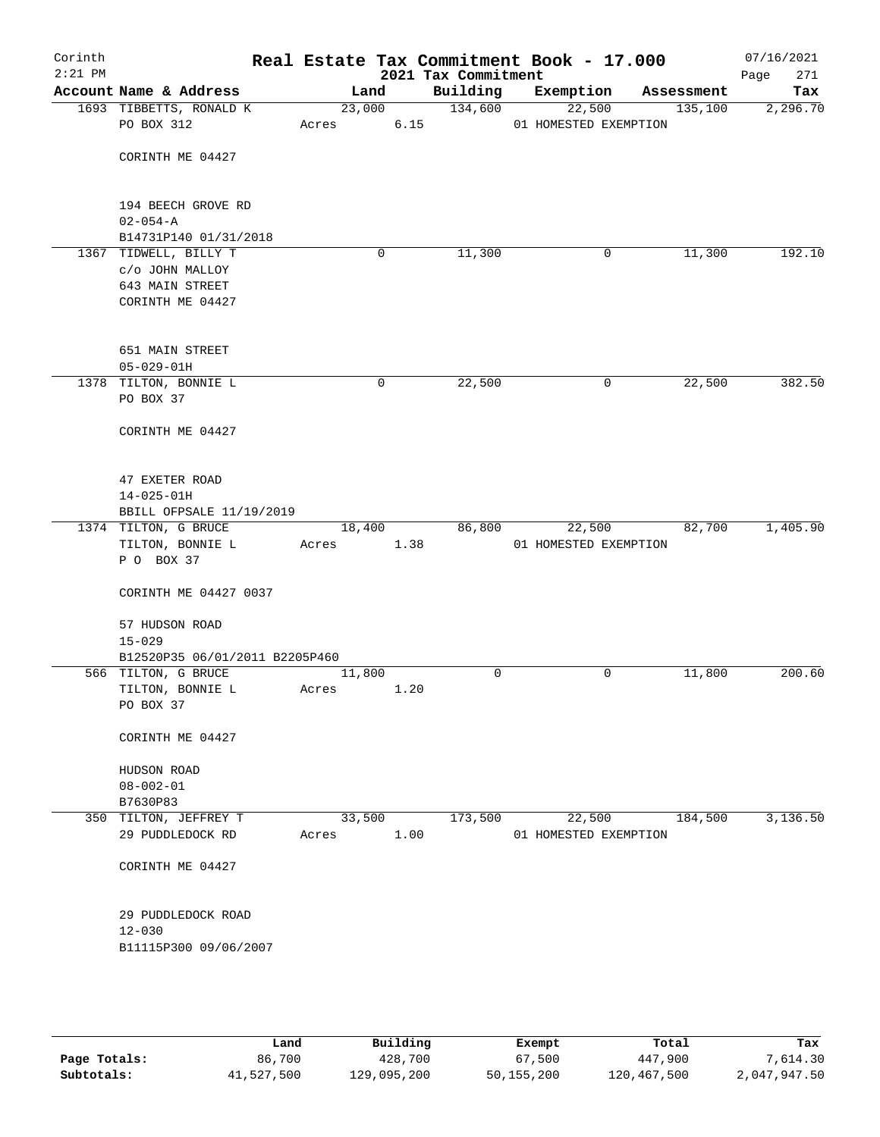| Corinth<br>$2:21$ PM |                                              |        |        |      | Real Estate Tax Commitment Book - 17.000<br>2021 Tax Commitment |                       |             |            | 07/16/2021<br>271<br>Page |
|----------------------|----------------------------------------------|--------|--------|------|-----------------------------------------------------------------|-----------------------|-------------|------------|---------------------------|
|                      | Account Name & Address                       | Land   |        |      | Building                                                        | Exemption             |             | Assessment | Tax                       |
|                      | 1693 TIBBETTS, RONALD K                      |        | 23,000 |      | 134,600                                                         |                       | 22,500      | 135,100    | 2,296.70                  |
|                      | PO BOX 312                                   | Acres  |        | 6.15 |                                                                 | 01 HOMESTED EXEMPTION |             |            |                           |
|                      | CORINTH ME 04427                             |        |        |      |                                                                 |                       |             |            |                           |
|                      |                                              |        |        |      |                                                                 |                       |             |            |                           |
|                      | 194 BEECH GROVE RD                           |        |        |      |                                                                 |                       |             |            |                           |
|                      | $02 - 054 - A$                               |        |        |      |                                                                 |                       |             |            |                           |
|                      | B14731P140 01/31/2018                        |        |        |      |                                                                 |                       |             |            |                           |
|                      | 1367 TIDWELL, BILLY T                        |        | 0      |      | 11,300                                                          |                       | 0           | 11,300     | 192.10                    |
|                      | c/o JOHN MALLOY<br>643 MAIN STREET           |        |        |      |                                                                 |                       |             |            |                           |
|                      | CORINTH ME 04427                             |        |        |      |                                                                 |                       |             |            |                           |
|                      |                                              |        |        |      |                                                                 |                       |             |            |                           |
|                      | 651 MAIN STREET                              |        |        |      |                                                                 |                       |             |            |                           |
|                      | $05 - 029 - 01H$                             |        |        |      |                                                                 |                       |             |            |                           |
|                      | 1378 TILTON, BONNIE L                        |        | 0      |      | 22,500                                                          |                       | 0           | 22,500     | 382.50                    |
|                      | PO BOX 37                                    |        |        |      |                                                                 |                       |             |            |                           |
|                      |                                              |        |        |      |                                                                 |                       |             |            |                           |
|                      | CORINTH ME 04427                             |        |        |      |                                                                 |                       |             |            |                           |
|                      |                                              |        |        |      |                                                                 |                       |             |            |                           |
|                      | 47 EXETER ROAD                               |        |        |      |                                                                 |                       |             |            |                           |
|                      | $14 - 025 - 01H$<br>BBILL OFPSALE 11/19/2019 |        |        |      |                                                                 |                       |             |            |                           |
|                      | 1374 TILTON, G BRUCE                         | 18,400 |        |      | 86,800                                                          |                       | 22,500      | 82,700     | 1,405.90                  |
|                      | TILTON, BONNIE L                             | Acres  |        | 1.38 |                                                                 | 01 HOMESTED EXEMPTION |             |            |                           |
|                      | P O BOX 37                                   |        |        |      |                                                                 |                       |             |            |                           |
|                      | CORINTH ME 04427 0037                        |        |        |      |                                                                 |                       |             |            |                           |
|                      | 57 HUDSON ROAD                               |        |        |      |                                                                 |                       |             |            |                           |
|                      | $15 - 029$                                   |        |        |      |                                                                 |                       |             |            |                           |
|                      | B12520P35 06/01/2011 B2205P460               |        |        |      |                                                                 |                       |             |            |                           |
|                      | 566 TILTON, G BRUCE                          | 11,800 |        |      | $\mathbf 0$                                                     |                       | $\mathbf 0$ | 11,800     | 200.60                    |
|                      | TILTON, BONNIE L                             | Acres  |        | 1.20 |                                                                 |                       |             |            |                           |
|                      | PO BOX 37                                    |        |        |      |                                                                 |                       |             |            |                           |
|                      | CORINTH ME 04427                             |        |        |      |                                                                 |                       |             |            |                           |
|                      | HUDSON ROAD                                  |        |        |      |                                                                 |                       |             |            |                           |
|                      | $08 - 002 - 01$                              |        |        |      |                                                                 |                       |             |            |                           |
|                      | B7630P83                                     |        |        |      |                                                                 |                       |             |            |                           |
|                      | 350 TILTON, JEFFREY T                        | 33,500 |        |      | 173,500                                                         |                       | 22,500      | 184,500    | 3,136.50                  |
|                      | 29 PUDDLEDOCK RD                             | Acres  |        | 1.00 |                                                                 | 01 HOMESTED EXEMPTION |             |            |                           |
|                      | CORINTH ME 04427                             |        |        |      |                                                                 |                       |             |            |                           |
|                      | 29 PUDDLEDOCK ROAD                           |        |        |      |                                                                 |                       |             |            |                           |
|                      | $12 - 030$                                   |        |        |      |                                                                 |                       |             |            |                           |
|                      | B11115P300 09/06/2007                        |        |        |      |                                                                 |                       |             |            |                           |
|                      |                                              |        |        |      |                                                                 |                       |             |            |                           |
|                      |                                              |        |        |      |                                                                 |                       |             |            |                           |
|                      |                                              |        |        |      |                                                                 |                       |             |            |                           |

|              | Land       | Building    | Exempt     | Total       | Tax          |
|--------------|------------|-------------|------------|-------------|--------------|
| Page Totals: | 86,700     | 428,700     | 67,500     | 447,900     | 7,614.30     |
| Subtotals:   | 41,527,500 | 129,095,200 | 50,155,200 | 120,467,500 | 2,047,947.50 |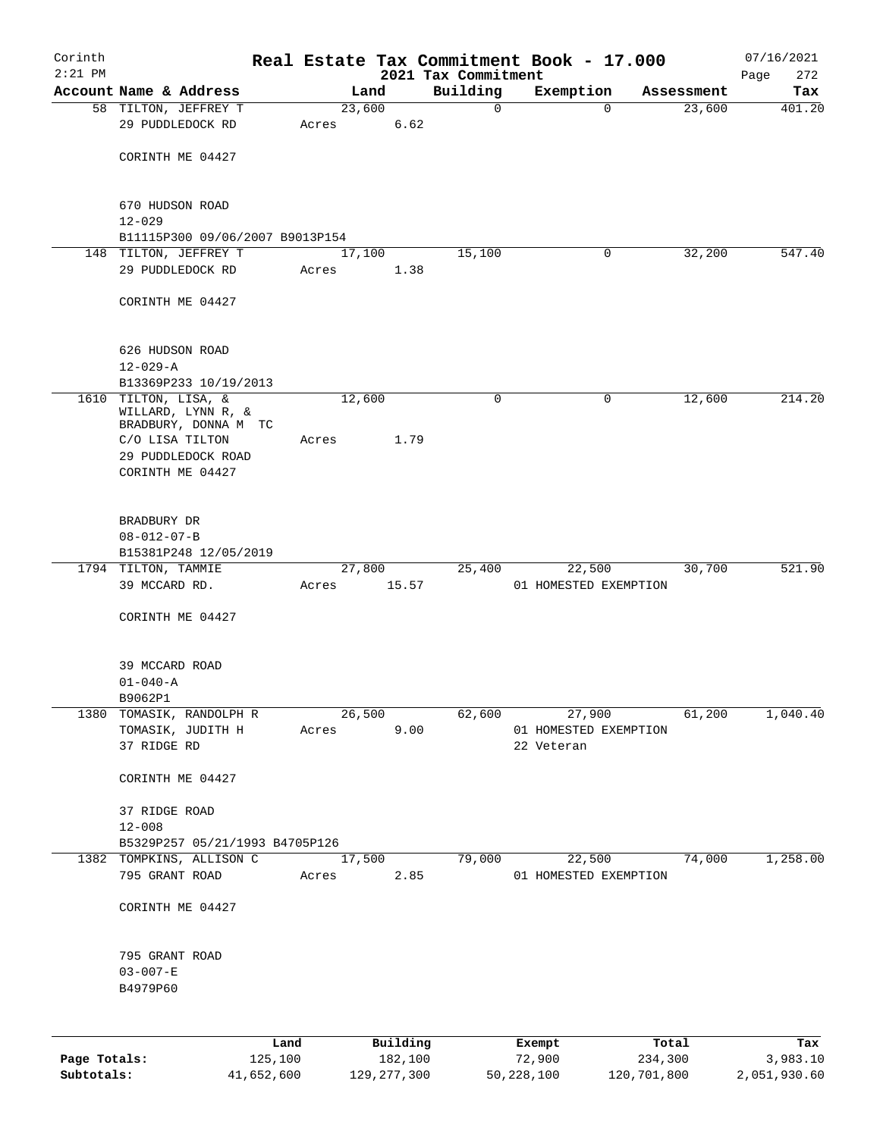| Corinth      |                                                |       |                |                     | Real Estate Tax Commitment Book - 17.000 |                      | 07/16/2021    |
|--------------|------------------------------------------------|-------|----------------|---------------------|------------------------------------------|----------------------|---------------|
| $2:21$ PM    |                                                |       |                | 2021 Tax Commitment |                                          |                      | Page<br>272   |
|              | Account Name & Address<br>58 TILTON, JEFFREY T |       | Land<br>23,600 | Building            | Exemption<br>0<br>$\mathbf 0$            | Assessment<br>23,600 | Tax<br>401.20 |
|              | 29 PUDDLEDOCK RD                               | Acres | 6.62           |                     |                                          |                      |               |
|              |                                                |       |                |                     |                                          |                      |               |
|              | CORINTH ME 04427                               |       |                |                     |                                          |                      |               |
|              |                                                |       |                |                     |                                          |                      |               |
|              |                                                |       |                |                     |                                          |                      |               |
|              | 670 HUDSON ROAD<br>$12 - 029$                  |       |                |                     |                                          |                      |               |
|              | B11115P300 09/06/2007 B9013P154                |       |                |                     |                                          |                      |               |
|              | 148 TILTON, JEFFREY T                          |       | 17,100         | 15,100              | 0                                        | 32,200               | 547.40        |
|              | 29 PUDDLEDOCK RD                               | Acres | 1.38           |                     |                                          |                      |               |
|              |                                                |       |                |                     |                                          |                      |               |
|              | CORINTH ME 04427                               |       |                |                     |                                          |                      |               |
|              |                                                |       |                |                     |                                          |                      |               |
|              | 626 HUDSON ROAD                                |       |                |                     |                                          |                      |               |
|              | $12 - 029 - A$                                 |       |                |                     |                                          |                      |               |
|              | B13369P233 10/19/2013                          |       |                |                     |                                          |                      |               |
|              | 1610 TILTON, LISA, &                           |       | 12,600         |                     | 0<br>0                                   | 12,600               | 214.20        |
|              | WILLARD, LYNN R, &<br>BRADBURY, DONNA M TC     |       |                |                     |                                          |                      |               |
|              | C/O LISA TILTON                                | Acres | 1.79           |                     |                                          |                      |               |
|              | 29 PUDDLEDOCK ROAD                             |       |                |                     |                                          |                      |               |
|              | CORINTH ME 04427                               |       |                |                     |                                          |                      |               |
|              |                                                |       |                |                     |                                          |                      |               |
|              | BRADBURY DR                                    |       |                |                     |                                          |                      |               |
|              | $08 - 012 - 07 - B$                            |       |                |                     |                                          |                      |               |
|              | B15381P248 12/05/2019                          |       |                |                     |                                          |                      |               |
|              | 1794 TILTON, TAMMIE                            |       | 27,800         | 25,400              | 22,500                                   | 30,700               | 521.90        |
|              | 39 MCCARD RD.                                  | Acres | 15.57          |                     | 01 HOMESTED EXEMPTION                    |                      |               |
|              | CORINTH ME 04427                               |       |                |                     |                                          |                      |               |
|              |                                                |       |                |                     |                                          |                      |               |
|              |                                                |       |                |                     |                                          |                      |               |
|              | 39 MCCARD ROAD                                 |       |                |                     |                                          |                      |               |
|              | $01 - 040 - A$                                 |       |                |                     |                                          |                      |               |
|              | B9062P1<br>1380 TOMASIK, RANDOLPH R            |       | 26,500         | 62,600              | 27,900                                   | 61,200               | 1,040.40      |
|              | TOMASIK, JUDITH H                              | Acres |                | 9.00                | 01 HOMESTED EXEMPTION                    |                      |               |
|              | 37 RIDGE RD                                    |       |                |                     | 22 Veteran                               |                      |               |
|              |                                                |       |                |                     |                                          |                      |               |
|              | CORINTH ME 04427                               |       |                |                     |                                          |                      |               |
|              | 37 RIDGE ROAD                                  |       |                |                     |                                          |                      |               |
|              | $12 - 008$                                     |       |                |                     |                                          |                      |               |
|              | B5329P257 05/21/1993 B4705P126                 |       |                |                     |                                          |                      |               |
|              | 1382 TOMPKINS, ALLISON C                       |       | 17,500         | 79,000              | 22,500                                   | 74,000               | 1,258.00      |
|              | 795 GRANT ROAD                                 | Acres |                | 2.85                | 01 HOMESTED EXEMPTION                    |                      |               |
|              |                                                |       |                |                     |                                          |                      |               |
|              | CORINTH ME 04427                               |       |                |                     |                                          |                      |               |
|              |                                                |       |                |                     |                                          |                      |               |
|              | 795 GRANT ROAD                                 |       |                |                     |                                          |                      |               |
|              | $03 - 007 - E$                                 |       |                |                     |                                          |                      |               |
|              | B4979P60                                       |       |                |                     |                                          |                      |               |
|              |                                                |       |                |                     |                                          |                      |               |
|              | Land                                           |       | Building       |                     | Exempt                                   | Total                | Tax           |
| Page Totals: | 125,100                                        |       | 182,100        |                     | 72,900                                   | 234,300              | 3,983.10      |

**Subtotals:** 41,652,600 129,277,300 50,228,100 120,701,800 2,051,930.60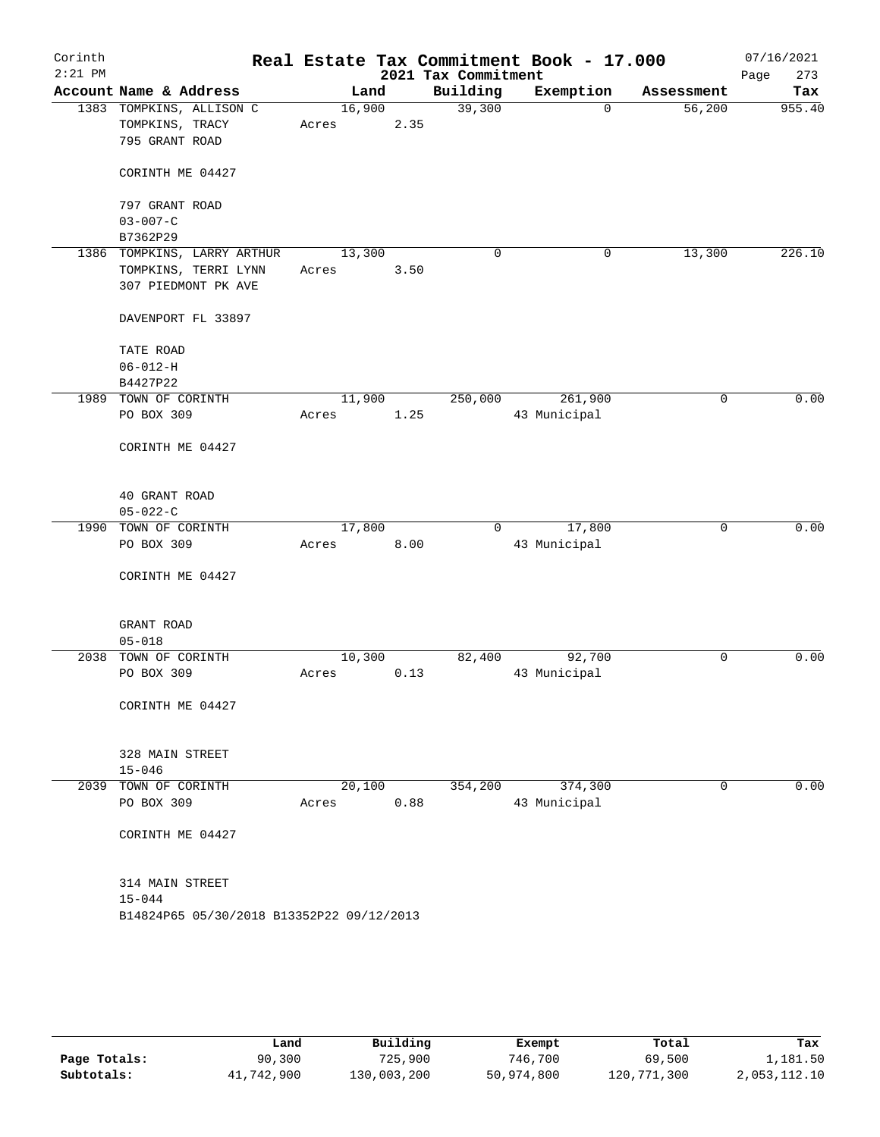| Corinth<br>$2:21$ PM |                                           |        |      | 2021 Tax Commitment | Real Estate Tax Commitment Book - 17.000 |            | 07/16/2021<br>Page<br>273 |
|----------------------|-------------------------------------------|--------|------|---------------------|------------------------------------------|------------|---------------------------|
|                      | Account Name & Address                    |        | Land | Building            | Exemption                                | Assessment | Tax                       |
|                      | 1383 TOMPKINS, ALLISON C                  | 16,900 |      | 39,300              | $\Omega$                                 | 56,200     | 955.40                    |
|                      | TOMPKINS, TRACY                           | Acres  | 2.35 |                     |                                          |            |                           |
|                      | 795 GRANT ROAD                            |        |      |                     |                                          |            |                           |
|                      | CORINTH ME 04427                          |        |      |                     |                                          |            |                           |
|                      | 797 GRANT ROAD                            |        |      |                     |                                          |            |                           |
|                      | $03 - 007 - C$                            |        |      |                     |                                          |            |                           |
|                      | B7362P29                                  |        |      |                     |                                          |            |                           |
|                      | 1386 TOMPKINS, LARRY ARTHUR               | 13,300 |      | $\mathbf 0$         | 0                                        | 13,300     | 226.10                    |
|                      | TOMPKINS, TERRI LYNN                      | Acres  | 3.50 |                     |                                          |            |                           |
|                      | 307 PIEDMONT PK AVE                       |        |      |                     |                                          |            |                           |
|                      | DAVENPORT FL 33897                        |        |      |                     |                                          |            |                           |
|                      | TATE ROAD                                 |        |      |                     |                                          |            |                           |
|                      | $06 - 012 - H$                            |        |      |                     |                                          |            |                           |
|                      | B4427P22                                  |        |      |                     |                                          |            |                           |
|                      | 1989 TOWN OF CORINTH                      | 11,900 |      | 250,000             | 261,900                                  | 0          | 0.00                      |
|                      | PO BOX 309                                | Acres  | 1.25 |                     | 43 Municipal                             |            |                           |
|                      | CORINTH ME 04427                          |        |      |                     |                                          |            |                           |
|                      | 40 GRANT ROAD<br>$05 - 022 - C$           |        |      |                     |                                          |            |                           |
|                      | 1990 TOWN OF CORINTH                      | 17,800 |      | $\overline{0}$      | 17,800                                   | 0          | 0.00                      |
|                      | PO BOX 309                                | Acres  | 8.00 |                     | 43 Municipal                             |            |                           |
|                      | CORINTH ME 04427                          |        |      |                     |                                          |            |                           |
|                      | GRANT ROAD                                |        |      |                     |                                          |            |                           |
|                      | $05 - 018$                                |        |      |                     |                                          |            |                           |
|                      | 2038 TOWN OF CORINTH                      | 10,300 |      | 82,400              | 92,700                                   | 0          | 0.00                      |
|                      | PO BOX 309                                | Acres  | 0.13 |                     | 43 Municipal                             |            |                           |
|                      | CORINTH ME 04427                          |        |      |                     |                                          |            |                           |
|                      | 328 MAIN STREET                           |        |      |                     |                                          |            |                           |
|                      | $15 - 046$                                |        |      |                     |                                          |            |                           |
|                      | 2039 TOWN OF CORINTH                      | 20,100 |      | 354,200             | 374,300                                  | 0          | 0.00                      |
|                      | PO BOX 309                                | Acres  | 0.88 |                     | 43 Municipal                             |            |                           |
|                      | CORINTH ME 04427                          |        |      |                     |                                          |            |                           |
|                      | 314 MAIN STREET                           |        |      |                     |                                          |            |                           |
|                      | $15 - 044$                                |        |      |                     |                                          |            |                           |
|                      | B14824P65 05/30/2018 B13352P22 09/12/2013 |        |      |                     |                                          |            |                           |
|                      |                                           |        |      |                     |                                          |            |                           |
|                      |                                           |        |      |                     |                                          |            |                           |
|                      |                                           |        |      |                     |                                          |            |                           |

|              | Land       | Building    | Exempt     | Total       | Tax          |
|--------------|------------|-------------|------------|-------------|--------------|
| Page Totals: | 90,300     | 725,900     | 746,700    | 69,500      | 1,181.50     |
| Subtotals:   | 41,742,900 | 130,003,200 | 50,974,800 | 120,771,300 | 2,053,112.10 |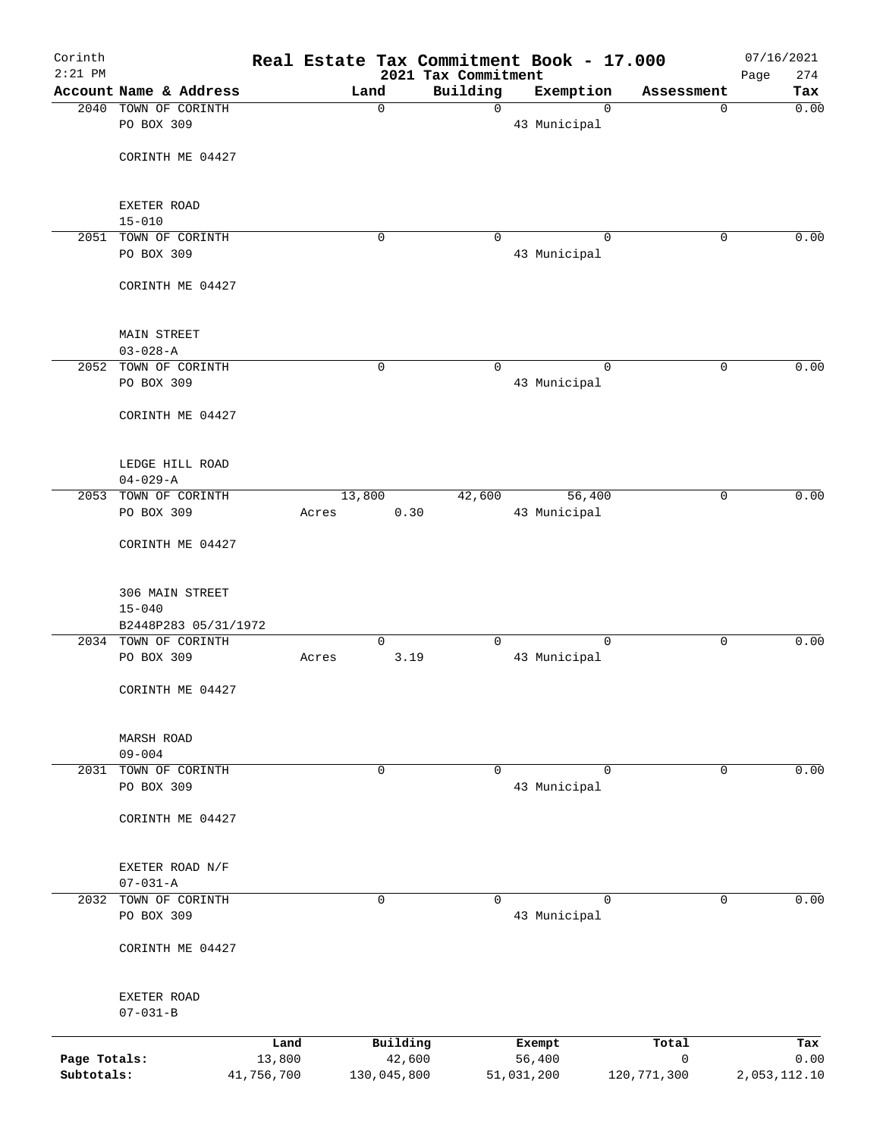| Corinth      |                               |            |        |             | Real Estate Tax Commitment Book - 17.000 |              |             |             | 07/16/2021         |
|--------------|-------------------------------|------------|--------|-------------|------------------------------------------|--------------|-------------|-------------|--------------------|
| $2:21$ PM    | Account Name & Address        |            |        | Land        | 2021 Tax Commitment<br>Building          | Exemption    |             | Assessment  | 274<br>Page<br>Tax |
| 2040         | TOWN OF CORINTH               |            |        | $\mathbf 0$ | $\mathsf{O}$                             |              | $\Omega$    | 0           | 0.00               |
|              | PO BOX 309                    |            |        |             |                                          | 43 Municipal |             |             |                    |
|              | CORINTH ME 04427              |            |        |             |                                          |              |             |             |                    |
|              | EXETER ROAD                   |            |        |             |                                          |              |             |             |                    |
|              | $15 - 010$                    |            |        |             |                                          |              |             |             |                    |
| 2051         | TOWN OF CORINTH               |            |        | $\mathbf 0$ | $\Omega$                                 |              | $\Omega$    | 0           | 0.00               |
|              | PO BOX 309                    |            |        |             |                                          | 43 Municipal |             |             |                    |
|              | CORINTH ME 04427              |            |        |             |                                          |              |             |             |                    |
|              | <b>MAIN STREET</b>            |            |        |             |                                          |              |             |             |                    |
|              | $03 - 028 - A$                |            |        |             |                                          |              |             |             |                    |
| 2052         | TOWN OF CORINTH               |            |        | $\mathbf 0$ | $\mathbf 0$                              |              | $\mathbf 0$ | $\mathbf 0$ | 0.00               |
|              | PO BOX 309                    |            |        |             |                                          | 43 Municipal |             |             |                    |
|              | CORINTH ME 04427              |            |        |             |                                          |              |             |             |                    |
|              | LEDGE HILL ROAD               |            |        |             |                                          |              |             |             |                    |
|              | $04 - 029 - A$                |            |        |             |                                          |              |             |             |                    |
| 2053         | TOWN OF CORINTH               |            | 13,800 |             | 42,600                                   |              | 56,400      | 0           | 0.00               |
|              | PO BOX 309                    |            | Acres  | 0.30        |                                          | 43 Municipal |             |             |                    |
|              | CORINTH ME 04427              |            |        |             |                                          |              |             |             |                    |
|              | 306 MAIN STREET               |            |        |             |                                          |              |             |             |                    |
|              | $15 - 040$                    |            |        |             |                                          |              |             |             |                    |
|              | B2448P283 05/31/1972          |            |        |             |                                          |              |             |             |                    |
|              | 2034 TOWN OF CORINTH          |            |        | 0           | $\Omega$                                 |              | $\mathbf 0$ | 0           | 0.00               |
|              | PO BOX 309                    |            | Acres  | 3.19        |                                          | 43 Municipal |             |             |                    |
|              | CORINTH ME 04427              |            |        |             |                                          |              |             |             |                    |
|              | MARSH ROAD                    |            |        |             |                                          |              |             |             |                    |
|              | $09 - 004$                    |            |        |             |                                          |              |             |             |                    |
| 2031         | TOWN OF CORINTH               |            |        | $\mathbf 0$ | $\mathbf 0$                              |              | $\mathbf 0$ | $\mathbf 0$ | 0.00               |
|              | PO BOX 309                    |            |        |             |                                          | 43 Municipal |             |             |                    |
|              | CORINTH ME 04427              |            |        |             |                                          |              |             |             |                    |
|              | EXETER ROAD N/F               |            |        |             |                                          |              |             |             |                    |
|              | $07 - 031 - A$                |            |        |             |                                          |              |             |             |                    |
| 2032         | TOWN OF CORINTH<br>PO BOX 309 |            |        | $\mathbf 0$ | $\Omega$                                 | 43 Municipal | $\Omega$    | 0           | 0.00               |
|              |                               |            |        |             |                                          |              |             |             |                    |
|              | CORINTH ME 04427              |            |        |             |                                          |              |             |             |                    |
|              | EXETER ROAD                   |            |        |             |                                          |              |             |             |                    |
|              | $07 - 031 - B$                |            |        |             |                                          |              |             |             |                    |
|              |                               | Land       |        | Building    |                                          | Exempt       |             | Total       | Tax                |
| Page Totals: |                               | 13,800     |        | 42,600      |                                          | 56,400       |             | 0           | 0.00               |
| Subtotals:   |                               | 41,756,700 |        | 130,045,800 |                                          | 51,031,200   |             | 120,771,300 | 2,053,112.10       |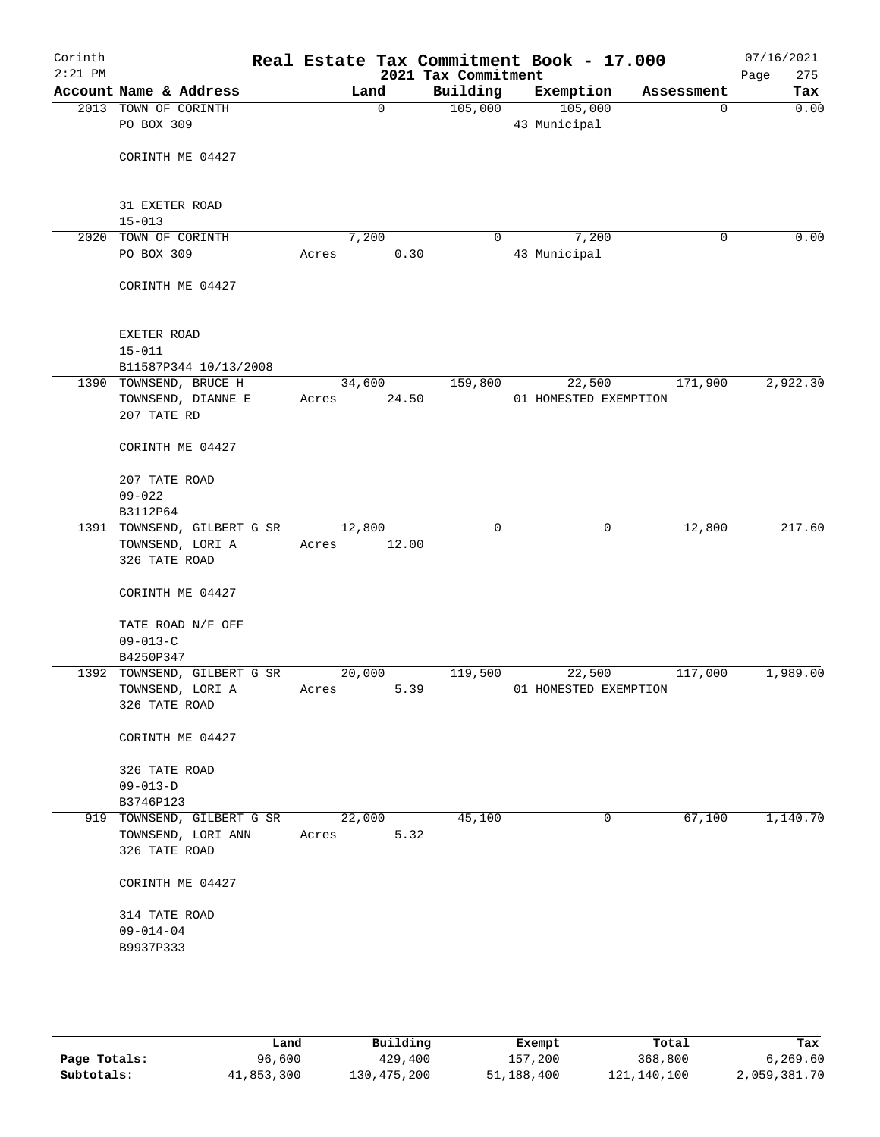| Corinth<br>$2:21$ PM |                                                             | Real Estate Tax Commitment Book - 17.000 | 2021 Tax Commitment |                                 |            | 07/16/2021<br>275<br>Page |
|----------------------|-------------------------------------------------------------|------------------------------------------|---------------------|---------------------------------|------------|---------------------------|
|                      | Account Name & Address                                      | Land                                     | Building            | Exemption                       | Assessment | Tax                       |
|                      | 2013 TOWN OF CORINTH<br>PO BOX 309                          | $\mathbf 0$                              | 105,000             | 105,000<br>43 Municipal         | 0          | 0.00                      |
|                      | CORINTH ME 04427                                            |                                          |                     |                                 |            |                           |
|                      | 31 EXETER ROAD<br>$15 - 013$                                |                                          |                     |                                 |            |                           |
|                      | 2020 TOWN OF CORINTH                                        | 7,200                                    | 0                   | 7,200                           | 0          | 0.00                      |
|                      | PO BOX 309                                                  | 0.30<br>Acres                            |                     | 43 Municipal                    |            |                           |
|                      | CORINTH ME 04427                                            |                                          |                     |                                 |            |                           |
|                      | EXETER ROAD<br>$15 - 011$                                   |                                          |                     |                                 |            |                           |
|                      | B11587P344 10/13/2008                                       |                                          |                     |                                 |            |                           |
|                      | 1390 TOWNSEND, BRUCE H<br>TOWNSEND, DIANNE E<br>207 TATE RD | 34,600<br>24.50<br>Acres                 | 159,800             | 22,500<br>01 HOMESTED EXEMPTION | 171,900    | 2,922.30                  |
|                      | CORINTH ME 04427                                            |                                          |                     |                                 |            |                           |
|                      | 207 TATE ROAD<br>$09 - 022$                                 |                                          |                     |                                 |            |                           |
|                      | B3112P64                                                    |                                          |                     |                                 |            |                           |
|                      | 1391 TOWNSEND, GILBERT G SR                                 | 12,800                                   | 0                   | 0                               | 12,800     | 217.60                    |
|                      | TOWNSEND, LORI A<br>326 TATE ROAD                           | 12.00<br>Acres                           |                     |                                 |            |                           |
|                      | CORINTH ME 04427                                            |                                          |                     |                                 |            |                           |
|                      | TATE ROAD N/F OFF<br>$09 - 013 - C$                         |                                          |                     |                                 |            |                           |
|                      | B4250P347                                                   |                                          |                     |                                 |            |                           |
|                      | 1392 TOWNSEND, GILBERT G SR                                 | 20,000                                   | 119,500             | 22,500                          | 117,000    | 1,989.00                  |
|                      | TOWNSEND, LORI A                                            | 5.39<br>Acres                            |                     | 01 HOMESTED EXEMPTION           |            |                           |
|                      | 326 TATE ROAD                                               |                                          |                     |                                 |            |                           |
|                      | CORINTH ME 04427                                            |                                          |                     |                                 |            |                           |
|                      | 326 TATE ROAD                                               |                                          |                     |                                 |            |                           |
|                      | $09 - 013 - D$                                              |                                          |                     |                                 |            |                           |
|                      | B3746P123                                                   |                                          |                     |                                 |            |                           |
|                      | 919 TOWNSEND, GILBERT G SR                                  | 22,000                                   | 45,100              | 0                               | 67,100     | 1,140.70                  |
|                      | TOWNSEND, LORI ANN<br>326 TATE ROAD                         | 5.32<br>Acres                            |                     |                                 |            |                           |
|                      | CORINTH ME 04427                                            |                                          |                     |                                 |            |                           |
|                      | 314 TATE ROAD                                               |                                          |                     |                                 |            |                           |
|                      | $09 - 014 - 04$                                             |                                          |                     |                                 |            |                           |
|                      | B9937P333                                                   |                                          |                     |                                 |            |                           |
|                      |                                                             |                                          |                     |                                 |            |                           |

|              | Land       | Building    | Exempt     | Total       | Tax          |
|--------------|------------|-------------|------------|-------------|--------------|
| Page Totals: | 96,600     | 429,400     | 157,200    | 368,800     | 6,269.60     |
| Subtotals:   | 41,853,300 | 130,475,200 | 51,188,400 | 121,140,100 | 2,059,381.70 |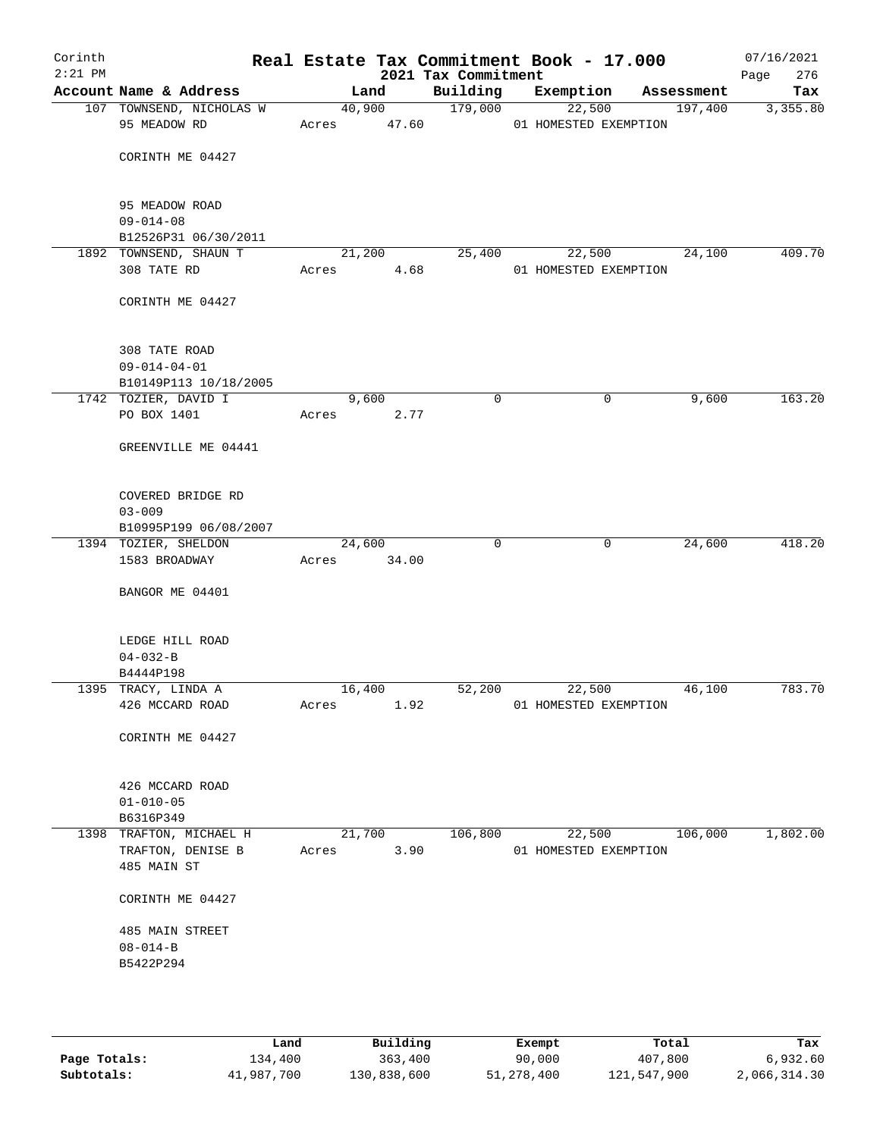| Corinth<br>$2:21$ PM |                                   |             |        | 2021 Tax Commitment | Real Estate Tax Commitment Book - 17.000 |             |            | 07/16/2021<br>276<br>Page |
|----------------------|-----------------------------------|-------------|--------|---------------------|------------------------------------------|-------------|------------|---------------------------|
|                      | Account Name & Address            |             | Land   | Building            | Exemption                                |             | Assessment | Tax                       |
|                      | 107 TOWNSEND, NICHOLAS W          |             | 40,900 | 179,000             | 22,500                                   |             | 197,400    | 3,355.80                  |
|                      | 95 MEADOW RD                      | Acres       | 47.60  |                     | 01 HOMESTED EXEMPTION                    |             |            |                           |
|                      |                                   |             |        |                     |                                          |             |            |                           |
|                      | CORINTH ME 04427                  |             |        |                     |                                          |             |            |                           |
|                      |                                   |             |        |                     |                                          |             |            |                           |
|                      | 95 MEADOW ROAD<br>$09 - 014 - 08$ |             |        |                     |                                          |             |            |                           |
|                      | B12526P31 06/30/2011              |             |        |                     |                                          |             |            |                           |
|                      | 1892 TOWNSEND, SHAUN T            |             | 21,200 | 25,400              | 22,500                                   |             | 24,100     | 409.70                    |
|                      | 308 TATE RD                       | Acres       | 4.68   |                     | 01 HOMESTED EXEMPTION                    |             |            |                           |
|                      |                                   |             |        |                     |                                          |             |            |                           |
|                      | CORINTH ME 04427                  |             |        |                     |                                          |             |            |                           |
|                      |                                   |             |        |                     |                                          |             |            |                           |
|                      | 308 TATE ROAD                     |             |        |                     |                                          |             |            |                           |
|                      | $09 - 014 - 04 - 01$              |             |        |                     |                                          |             |            |                           |
|                      | B10149P113 10/18/2005             |             |        |                     |                                          |             |            |                           |
|                      | 1742 TOZIER, DAVID I              |             | 9,600  | $\mathbf 0$         |                                          | $\mathbf 0$ | 9,600      | 163.20                    |
|                      | PO BOX 1401                       | Acres       | 2.77   |                     |                                          |             |            |                           |
|                      |                                   |             |        |                     |                                          |             |            |                           |
|                      | GREENVILLE ME 04441               |             |        |                     |                                          |             |            |                           |
|                      |                                   |             |        |                     |                                          |             |            |                           |
|                      | COVERED BRIDGE RD                 |             |        |                     |                                          |             |            |                           |
|                      | $03 - 009$                        |             |        |                     |                                          |             |            |                           |
|                      | B10995P199 06/08/2007             |             |        |                     |                                          |             |            |                           |
|                      | 1394 TOZIER, SHELDON              |             | 24,600 | $\Omega$            |                                          | $\mathbf 0$ | 24,600     | 418.20                    |
|                      | 1583 BROADWAY                     | Acres 34.00 |        |                     |                                          |             |            |                           |
|                      | BANGOR ME 04401                   |             |        |                     |                                          |             |            |                           |
|                      |                                   |             |        |                     |                                          |             |            |                           |
|                      |                                   |             |        |                     |                                          |             |            |                           |
|                      | LEDGE HILL ROAD<br>$04 - 032 - B$ |             |        |                     |                                          |             |            |                           |
|                      | B4444P198                         |             |        |                     |                                          |             |            |                           |
|                      | 1395 TRACY, LINDA A               | 16,400      |        | 52,200              | 22,500                                   |             | 46,100     | 783.70                    |
|                      | 426 MCCARD ROAD                   | Acres       | 1.92   |                     | 01 HOMESTED EXEMPTION                    |             |            |                           |
|                      |                                   |             |        |                     |                                          |             |            |                           |
|                      | CORINTH ME 04427                  |             |        |                     |                                          |             |            |                           |
|                      |                                   |             |        |                     |                                          |             |            |                           |
|                      | 426 MCCARD ROAD                   |             |        |                     |                                          |             |            |                           |
|                      | $01 - 010 - 05$                   |             |        |                     |                                          |             |            |                           |
|                      | B6316P349                         |             |        |                     |                                          |             |            |                           |
|                      | 1398 TRAFTON, MICHAEL H           |             | 21,700 | 106,800             | 22,500                                   |             | 106,000    | 1,802.00                  |
|                      | TRAFTON, DENISE B                 | Acres       | 3.90   |                     | 01 HOMESTED EXEMPTION                    |             |            |                           |
|                      | 485 MAIN ST                       |             |        |                     |                                          |             |            |                           |
|                      | CORINTH ME 04427                  |             |        |                     |                                          |             |            |                           |
|                      |                                   |             |        |                     |                                          |             |            |                           |
|                      | 485 MAIN STREET                   |             |        |                     |                                          |             |            |                           |
|                      | $08 - 014 - B$                    |             |        |                     |                                          |             |            |                           |
|                      | B5422P294                         |             |        |                     |                                          |             |            |                           |
|                      |                                   |             |        |                     |                                          |             |            |                           |
|                      |                                   |             |        |                     |                                          |             |            |                           |
|                      |                                   |             |        |                     |                                          |             |            |                           |

|              | Land       | Building    | Exempt     | Total       | Tax          |
|--------------|------------|-------------|------------|-------------|--------------|
| Page Totals: | 134,400    | 363,400     | 90,000     | 407,800     | 6,932.60     |
| Subtotals:   | 41,987,700 | 130,838,600 | 51,278,400 | 121,547,900 | 2,066,314.30 |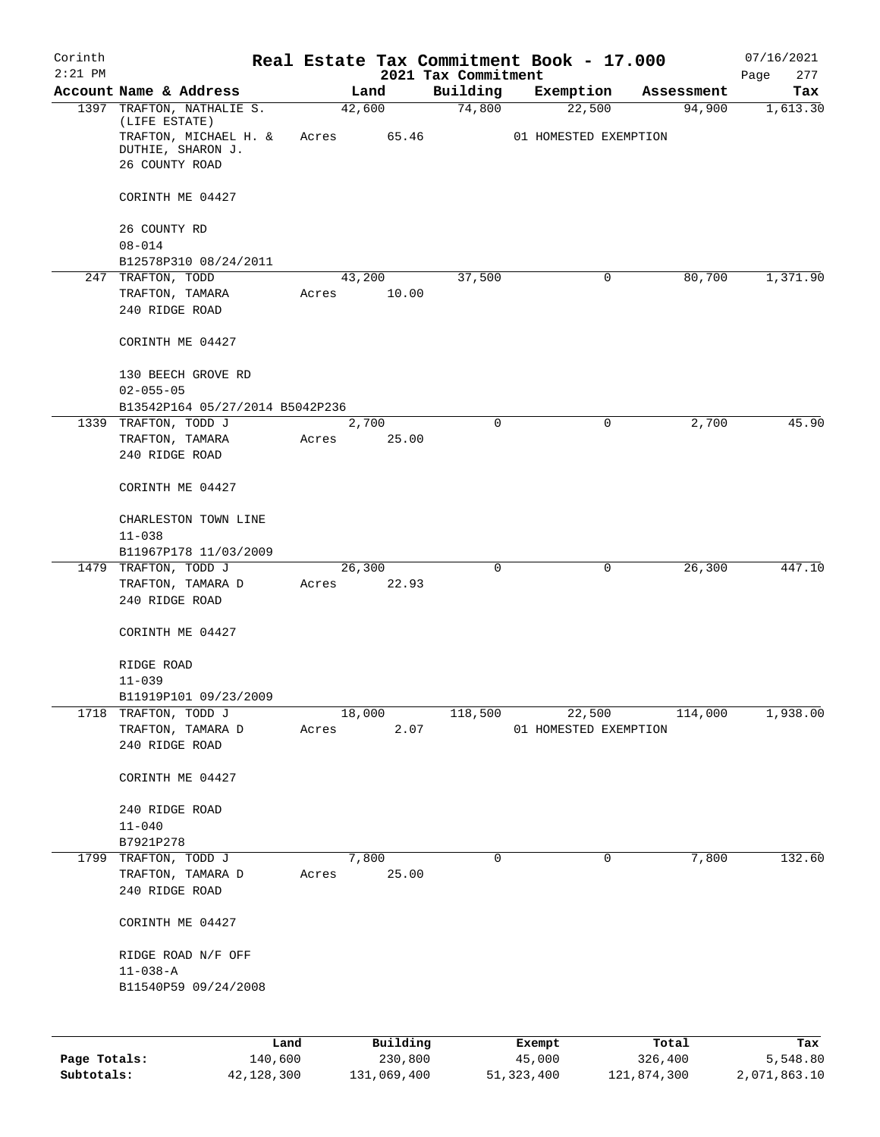| Corinth<br>$2:21$ PM |                                                              |            |                 | 2021 Tax Commitment | Real Estate Tax Commitment Book - 17.000 |             | 07/16/2021<br>277<br>Page |
|----------------------|--------------------------------------------------------------|------------|-----------------|---------------------|------------------------------------------|-------------|---------------------------|
|                      | Account Name & Address                                       |            | Land            | Building            | Exemption                                | Assessment  | Tax                       |
|                      | 1397 TRAFTON, NATHALIE S.<br>(LIFE ESTATE)                   |            | 42,600          | 74,800              | 22,500                                   | 94,900      | 1,613.30                  |
|                      | TRAFTON, MICHAEL H. &<br>DUTHIE, SHARON J.<br>26 COUNTY ROAD | Acres      | 65.46           |                     | 01 HOMESTED EXEMPTION                    |             |                           |
|                      | CORINTH ME 04427                                             |            |                 |                     |                                          |             |                           |
|                      |                                                              |            |                 |                     |                                          |             |                           |
|                      | 26 COUNTY RD<br>$08 - 014$                                   |            |                 |                     |                                          |             |                           |
|                      | B12578P310 08/24/2011                                        |            |                 |                     |                                          |             |                           |
|                      | 247 TRAFTON, TODD                                            |            | 43,200          | 37,500              | 0                                        | 80,700      | 1,371.90                  |
|                      | TRAFTON, TAMARA                                              | Acres      | 10.00           |                     |                                          |             |                           |
|                      | 240 RIDGE ROAD                                               |            |                 |                     |                                          |             |                           |
|                      | CORINTH ME 04427                                             |            |                 |                     |                                          |             |                           |
|                      | 130 BEECH GROVE RD                                           |            |                 |                     |                                          |             |                           |
|                      | $02 - 055 - 05$                                              |            |                 |                     |                                          |             |                           |
|                      | B13542P164 05/27/2014 B5042P236                              |            |                 |                     |                                          |             |                           |
|                      | 1339 TRAFTON, TODD J<br>TRAFTON, TAMARA                      | Acres      | 2,700<br>25.00  | $\Omega$            | 0                                        | 2,700       | 45.90                     |
|                      | 240 RIDGE ROAD                                               |            |                 |                     |                                          |             |                           |
|                      | CORINTH ME 04427                                             |            |                 |                     |                                          |             |                           |
|                      | CHARLESTON TOWN LINE                                         |            |                 |                     |                                          |             |                           |
|                      | $11 - 038$                                                   |            |                 |                     |                                          |             |                           |
|                      | B11967P178 11/03/2009                                        |            |                 |                     |                                          |             |                           |
|                      | 1479 TRAFTON, TODD J<br>TRAFTON, TAMARA D                    | Acres      | 26,300<br>22.93 | 0                   | 0                                        | 26,300      | 447.10                    |
|                      | 240 RIDGE ROAD                                               |            |                 |                     |                                          |             |                           |
|                      | CORINTH ME 04427                                             |            |                 |                     |                                          |             |                           |
|                      | RIDGE ROAD                                                   |            |                 |                     |                                          |             |                           |
|                      | $11 - 039$                                                   |            |                 |                     |                                          |             |                           |
|                      | B11919P101 09/23/2009                                        |            |                 |                     |                                          |             |                           |
|                      | 1718 TRAFTON, TODD J                                         |            | 18,000          | 118,500             | 22,500                                   | 114,000     | 1,938.00                  |
|                      | TRAFTON, TAMARA D<br>240 RIDGE ROAD                          | Acres      | 2.07            |                     | 01 HOMESTED EXEMPTION                    |             |                           |
|                      | CORINTH ME 04427                                             |            |                 |                     |                                          |             |                           |
|                      |                                                              |            |                 |                     |                                          |             |                           |
|                      | 240 RIDGE ROAD                                               |            |                 |                     |                                          |             |                           |
|                      | $11 - 040$                                                   |            |                 |                     |                                          |             |                           |
|                      | B7921P278<br>1799 TRAFTON, TODD J                            |            | 7,800           | $\mathbf 0$         | 0                                        | 7,800       | 132.60                    |
|                      | TRAFTON, TAMARA D                                            | Acres      | 25.00           |                     |                                          |             |                           |
|                      | 240 RIDGE ROAD                                               |            |                 |                     |                                          |             |                           |
|                      | CORINTH ME 04427                                             |            |                 |                     |                                          |             |                           |
|                      | RIDGE ROAD N/F OFF                                           |            |                 |                     |                                          |             |                           |
|                      | $11 - 038 - A$                                               |            |                 |                     |                                          |             |                           |
|                      | B11540P59 09/24/2008                                         |            |                 |                     |                                          |             |                           |
|                      |                                                              | Land       | Building        |                     | Exempt                                   | Total       | Tax                       |
| Page Totals:         |                                                              | 140,600    | 230,800         |                     | 45,000                                   | 326,400     | 5,548.80                  |
| Subtotals:           |                                                              | 42,128,300 | 131,069,400     |                     | 51,323,400                               | 121,874,300 | 2,071,863.10              |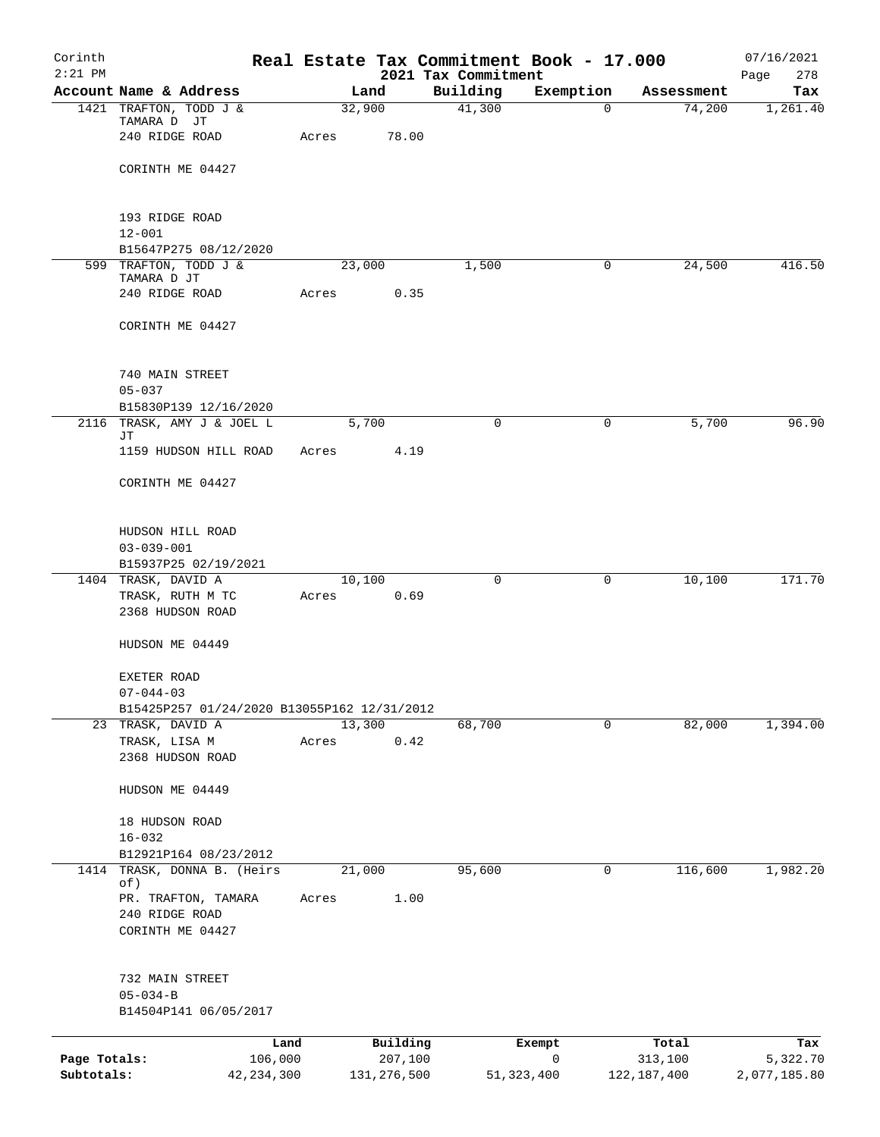| Corinth<br>$2:21$ PM       |                                                                |                 |                          |                                 | Real Estate Tax Commitment Book - 17.000 |                          | 07/16/2021               |
|----------------------------|----------------------------------------------------------------|-----------------|--------------------------|---------------------------------|------------------------------------------|--------------------------|--------------------------|
|                            | Account Name & Address                                         |                 | Land                     | 2021 Tax Commitment<br>Building | Exemption                                | Assessment               | Page<br>278<br>Tax       |
|                            | 1421 TRAFTON, TODD J &                                         |                 | 32,900                   | 41,300                          | $\Omega$                                 | 74,200                   | 1,261.40                 |
|                            | TAMARA D JT<br>240 RIDGE ROAD                                  | Acres           | 78.00                    |                                 |                                          |                          |                          |
|                            | CORINTH ME 04427                                               |                 |                          |                                 |                                          |                          |                          |
|                            | 193 RIDGE ROAD                                                 |                 |                          |                                 |                                          |                          |                          |
|                            | $12 - 001$                                                     |                 |                          |                                 |                                          |                          |                          |
|                            | B15647P275 08/12/2020<br>599 TRAFTON, TODD J &                 |                 | 23,000                   | 1,500                           | 0                                        | 24,500                   | 416.50                   |
|                            | TAMARA D JT                                                    |                 |                          |                                 |                                          |                          |                          |
|                            | 240 RIDGE ROAD                                                 | Acres           | 0.35                     |                                 |                                          |                          |                          |
|                            | CORINTH ME 04427                                               |                 |                          |                                 |                                          |                          |                          |
|                            | 740 MAIN STREET                                                |                 |                          |                                 |                                          |                          |                          |
|                            | $05 - 037$<br>B15830P139 12/16/2020                            |                 |                          |                                 |                                          |                          |                          |
|                            | 2116 TRASK, AMY J & JOEL L                                     |                 | 5,700                    | $\Omega$                        | 0                                        | 5,700                    | 96.90                    |
|                            | JТ<br>1159 HUDSON HILL ROAD                                    | Acres           | 4.19                     |                                 |                                          |                          |                          |
|                            | CORINTH ME 04427                                               |                 |                          |                                 |                                          |                          |                          |
|                            | HUDSON HILL ROAD                                               |                 |                          |                                 |                                          |                          |                          |
|                            | $03 - 039 - 001$                                               |                 |                          |                                 |                                          |                          |                          |
|                            | B15937P25 02/19/2021                                           |                 |                          |                                 |                                          |                          |                          |
|                            | 1404 TRASK, DAVID A<br>TRASK, RUTH M TC<br>2368 HUDSON ROAD    | 10,100<br>Acres | 0.69                     | 0                               | 0                                        | 10,100                   | 171.70                   |
|                            | HUDSON ME 04449                                                |                 |                          |                                 |                                          |                          |                          |
|                            | EXETER ROAD                                                    |                 |                          |                                 |                                          |                          |                          |
|                            | $07 - 044 - 03$<br>B15425P257 01/24/2020 B13055P162 12/31/2012 |                 |                          |                                 |                                          |                          |                          |
|                            | 23 TRASK, DAVID A                                              | 13,300          |                          | 68,700                          | 0                                        | 82,000                   | 1,394.00                 |
|                            | TRASK, LISA M                                                  | Acres           | 0.42                     |                                 |                                          |                          |                          |
|                            | 2368 HUDSON ROAD                                               |                 |                          |                                 |                                          |                          |                          |
|                            | HUDSON ME 04449                                                |                 |                          |                                 |                                          |                          |                          |
|                            | 18 HUDSON ROAD                                                 |                 |                          |                                 |                                          |                          |                          |
|                            | $16 - 032$                                                     |                 |                          |                                 |                                          |                          |                          |
|                            | B12921P164 08/23/2012<br>1414 TRASK, DONNA B. (Heirs           | 21,000          |                          | 95,600                          | 0                                        | 116,600                  | 1,982.20                 |
|                            | of)                                                            |                 |                          |                                 |                                          |                          |                          |
|                            | PR. TRAFTON, TAMARA<br>240 RIDGE ROAD                          | Acres           | 1.00                     |                                 |                                          |                          |                          |
|                            | CORINTH ME 04427                                               |                 |                          |                                 |                                          |                          |                          |
|                            | 732 MAIN STREET                                                |                 |                          |                                 |                                          |                          |                          |
|                            | $05 - 034 - B$                                                 |                 |                          |                                 |                                          |                          |                          |
|                            | B14504P141 06/05/2017                                          |                 |                          |                                 |                                          |                          |                          |
|                            | Land                                                           |                 | Building                 |                                 | Exempt                                   | Total                    | Tax                      |
| Page Totals:<br>Subtotals: | 106,000<br>42, 234, 300                                        |                 | 207,100<br>131, 276, 500 |                                 | 0<br>51,323,400                          | 313,100<br>122, 187, 400 | 5,322.70<br>2,077,185.80 |
|                            |                                                                |                 |                          |                                 |                                          |                          |                          |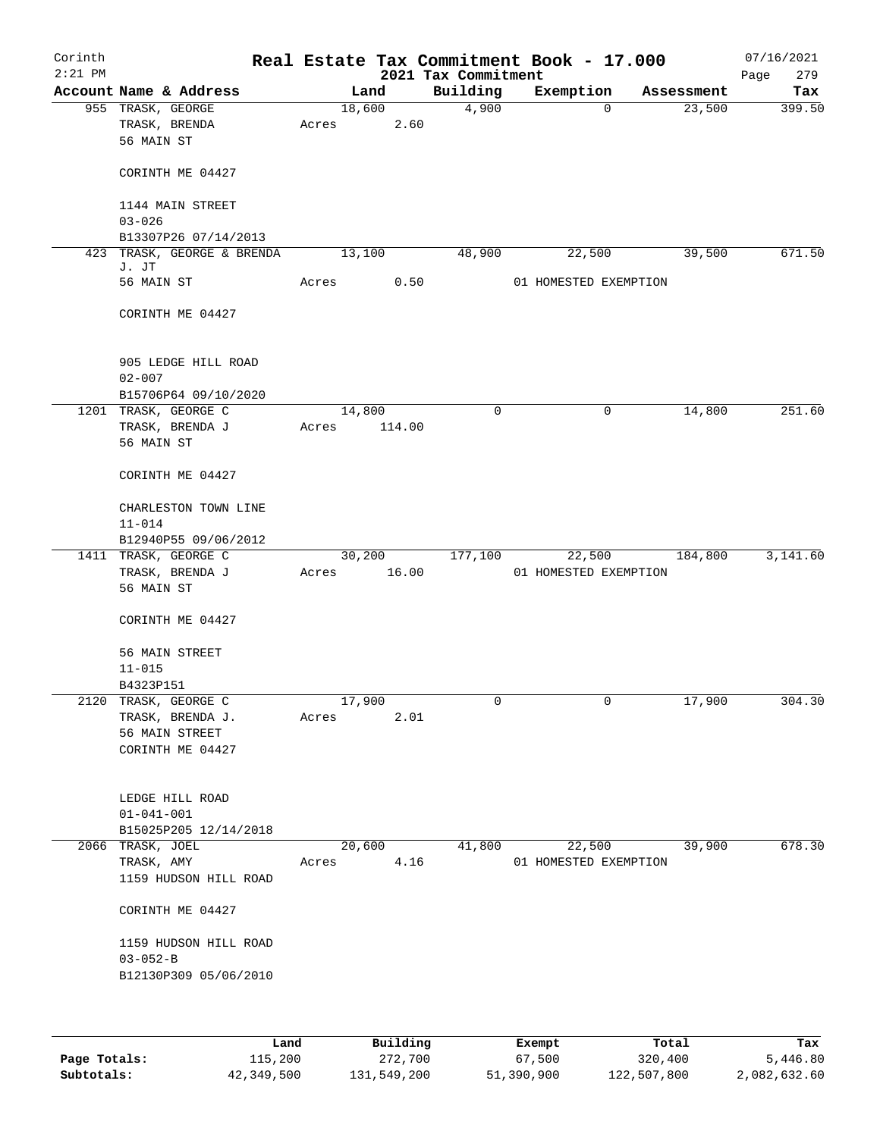| Corinth<br>$2:21$ PM |                                                           |       |                 | 2021 Tax Commitment | Real Estate Tax Commitment Book - 17.000 |            | 07/16/2021<br>279<br>Page |
|----------------------|-----------------------------------------------------------|-------|-----------------|---------------------|------------------------------------------|------------|---------------------------|
|                      | Account Name & Address                                    |       | Land            | Building            | Exemption                                | Assessment | Tax                       |
|                      | 955 TRASK, GEORGE<br>TRASK, BRENDA<br>56 MAIN ST          | Acres | 18,600<br>2.60  | 4,900               | 0                                        | 23,500     | 399.50                    |
|                      | CORINTH ME 04427                                          |       |                 |                     |                                          |            |                           |
|                      | 1144 MAIN STREET<br>$03 - 026$                            |       |                 |                     |                                          |            |                           |
|                      | B13307P26 07/14/2013                                      |       |                 |                     |                                          |            |                           |
|                      | 423 TRASK, GEORGE & BRENDA                                |       | 13,100          | 48,900              | 22,500                                   | 39,500     | 671.50                    |
|                      | J. JT<br>56 MAIN ST                                       | Acres | 0.50            |                     | 01 HOMESTED EXEMPTION                    |            |                           |
|                      | CORINTH ME 04427                                          |       |                 |                     |                                          |            |                           |
|                      | 905 LEDGE HILL ROAD<br>$02 - 007$<br>B15706P64 09/10/2020 |       |                 |                     |                                          |            |                           |
|                      | 1201 TRASK, GEORGE C                                      |       | 14,800          | 0                   | 0                                        | 14,800     | 251.60                    |
|                      | TRASK, BRENDA J<br>56 MAIN ST                             | Acres | 114.00          |                     |                                          |            |                           |
|                      | CORINTH ME 04427                                          |       |                 |                     |                                          |            |                           |
|                      | CHARLESTON TOWN LINE<br>$11 - 014$                        |       |                 |                     |                                          |            |                           |
|                      | B12940P55 09/06/2012                                      |       |                 |                     |                                          |            |                           |
|                      | 1411 TRASK, GEORGE C<br>TRASK, BRENDA J<br>56 MAIN ST     | Acres | 30,200<br>16.00 | 177,100             | 22,500<br>01 HOMESTED EXEMPTION          | 184,800    | 3,141.60                  |
|                      | CORINTH ME 04427                                          |       |                 |                     |                                          |            |                           |
|                      | 56 MAIN STREET<br>$11 - 015$                              |       |                 |                     |                                          |            |                           |
|                      | B4323P151                                                 |       |                 |                     |                                          |            |                           |
| 2120                 | TRASK, GEORGE C                                           |       | 17,900          | 0                   | 0                                        | 17,900     | 304.30                    |
|                      | TRASK, BRENDA J.<br>56 MAIN STREET<br>CORINTH ME 04427    | Acres | 2.01            |                     |                                          |            |                           |
|                      | LEDGE HILL ROAD<br>$01 - 041 - 001$                       |       |                 |                     |                                          |            |                           |
|                      | B15025P205 12/14/2018                                     |       |                 |                     |                                          |            |                           |
|                      | 2066 TRASK, JOEL                                          |       | 20,600          | 41,800              | 22,500                                   | 39,900     | 678.30                    |
|                      | TRASK, AMY<br>1159 HUDSON HILL ROAD                       | Acres | 4.16            |                     | 01 HOMESTED EXEMPTION                    |            |                           |
|                      | CORINTH ME 04427                                          |       |                 |                     |                                          |            |                           |
|                      | 1159 HUDSON HILL ROAD<br>$03 - 052 - B$                   |       |                 |                     |                                          |            |                           |
|                      | B12130P309 05/06/2010                                     |       |                 |                     |                                          |            |                           |
|                      |                                                           |       |                 |                     |                                          |            |                           |

|              | Land       | Building    | Exempt     | Total       | Tax          |
|--------------|------------|-------------|------------|-------------|--------------|
| Page Totals: | 115,200    | 272,700     | 67,500     | 320,400     | 5,446.80     |
| Subtotals:   | 42,349,500 | 131,549,200 | 51,390,900 | 122,507,800 | 2,082,632.60 |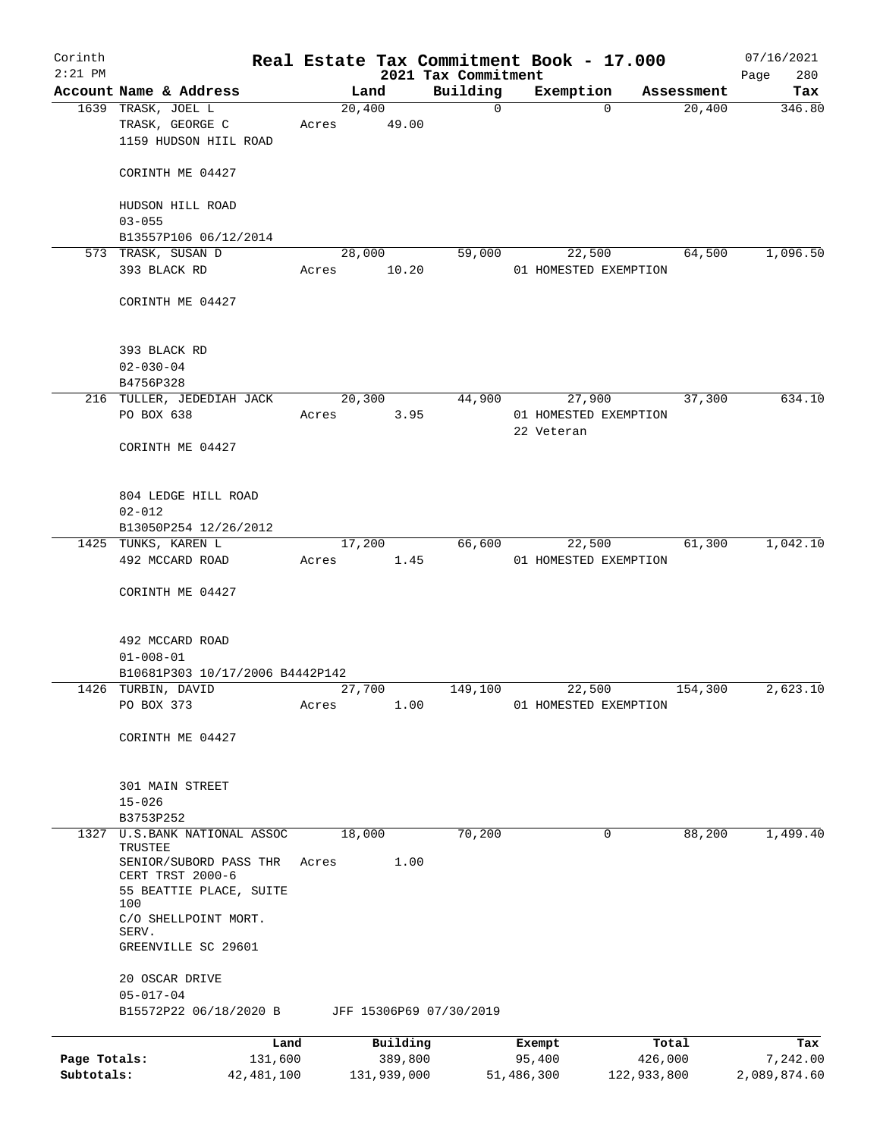| Corinth      |                                       |              |        |             |                         | Real Estate Tax Commitment Book - 17.000 |                      | 07/16/2021    |
|--------------|---------------------------------------|--------------|--------|-------------|-------------------------|------------------------------------------|----------------------|---------------|
| $2:21$ PM    | Account Name & Address                |              |        |             | 2021 Tax Commitment     |                                          |                      | 280<br>Page   |
|              | 1639 TRASK, JOEL L                    |              | 20,400 | Land        | Building<br>$\mathbf 0$ | Exemption<br>$\Omega$                    | Assessment<br>20,400 | Tax<br>346.80 |
|              | TRASK, GEORGE C                       |              | Acres  | 49.00       |                         |                                          |                      |               |
|              | 1159 HUDSON HIIL ROAD                 |              |        |             |                         |                                          |                      |               |
|              |                                       |              |        |             |                         |                                          |                      |               |
|              | CORINTH ME 04427                      |              |        |             |                         |                                          |                      |               |
|              |                                       |              |        |             |                         |                                          |                      |               |
|              | HUDSON HILL ROAD                      |              |        |             |                         |                                          |                      |               |
|              | $03 - 055$                            |              |        |             |                         |                                          |                      |               |
|              | B13557P106 06/12/2014                 |              |        |             |                         |                                          |                      |               |
|              | 573 TRASK, SUSAN D                    |              | 28,000 |             | 59,000                  | 22,500                                   | 64,500               | 1,096.50      |
|              | 393 BLACK RD                          |              | Acres  | 10.20       |                         | 01 HOMESTED EXEMPTION                    |                      |               |
|              |                                       |              |        |             |                         |                                          |                      |               |
|              | CORINTH ME 04427                      |              |        |             |                         |                                          |                      |               |
|              |                                       |              |        |             |                         |                                          |                      |               |
|              |                                       |              |        |             |                         |                                          |                      |               |
|              | 393 BLACK RD                          |              |        |             |                         |                                          |                      |               |
|              | $02 - 030 - 04$                       |              |        |             |                         |                                          |                      |               |
|              | B4756P328                             |              |        |             |                         |                                          |                      |               |
|              | 216 TULLER, JEDEDIAH JACK             |              |        | 20,300      | 44,900                  | 27,900                                   | 37,300               | 634.10        |
|              | PO BOX 638                            |              | Acres  | 3.95        |                         | 01 HOMESTED EXEMPTION                    |                      |               |
|              |                                       |              |        |             |                         | 22 Veteran                               |                      |               |
|              | CORINTH ME 04427                      |              |        |             |                         |                                          |                      |               |
|              |                                       |              |        |             |                         |                                          |                      |               |
|              |                                       |              |        |             |                         |                                          |                      |               |
|              | 804 LEDGE HILL ROAD                   |              |        |             |                         |                                          |                      |               |
|              | $02 - 012$                            |              |        |             |                         |                                          |                      |               |
|              | B13050P254 12/26/2012                 |              |        |             |                         |                                          |                      |               |
|              | 1425 TUNKS, KAREN L                   |              |        | 17,200      | 66,600                  | 22,500                                   | 61,300               | 1,042.10      |
|              | 492 MCCARD ROAD                       |              | Acres  | 1.45        |                         | 01 HOMESTED EXEMPTION                    |                      |               |
|              | CORINTH ME 04427                      |              |        |             |                         |                                          |                      |               |
|              |                                       |              |        |             |                         |                                          |                      |               |
|              |                                       |              |        |             |                         |                                          |                      |               |
|              | 492 MCCARD ROAD                       |              |        |             |                         |                                          |                      |               |
|              | $01 - 008 - 01$                       |              |        |             |                         |                                          |                      |               |
|              | B10681P303 10/17/2006 B4442P142       |              |        |             |                         |                                          |                      |               |
|              | 1426 TURBIN, DAVID                    |              | 27,700 |             | 149,100                 | 22,500                                   | 154,300              | 2,623.10      |
|              | PO BOX 373                            |              | Acres  | 1.00        |                         | 01 HOMESTED EXEMPTION                    |                      |               |
|              |                                       |              |        |             |                         |                                          |                      |               |
|              | CORINTH ME 04427                      |              |        |             |                         |                                          |                      |               |
|              |                                       |              |        |             |                         |                                          |                      |               |
|              |                                       |              |        |             |                         |                                          |                      |               |
|              | 301 MAIN STREET                       |              |        |             |                         |                                          |                      |               |
|              | $15 - 026$                            |              |        |             |                         |                                          |                      |               |
|              | B3753P252<br>U.S. BANK NATIONAL ASSOC |              | 18,000 |             |                         | 0                                        | 88,200               | 1,499.40      |
| 1327         | TRUSTEE                               |              |        |             | 70,200                  |                                          |                      |               |
|              | SENIOR/SUBORD PASS THR                |              | Acres  | 1.00        |                         |                                          |                      |               |
|              | CERT TRST 2000-6                      |              |        |             |                         |                                          |                      |               |
|              | 55 BEATTIE PLACE, SUITE               |              |        |             |                         |                                          |                      |               |
|              | 100                                   |              |        |             |                         |                                          |                      |               |
|              | C/O SHELLPOINT MORT.<br>SERV.         |              |        |             |                         |                                          |                      |               |
|              | GREENVILLE SC 29601                   |              |        |             |                         |                                          |                      |               |
|              |                                       |              |        |             |                         |                                          |                      |               |
|              | 20 OSCAR DRIVE                        |              |        |             |                         |                                          |                      |               |
|              | $05 - 017 - 04$                       |              |        |             |                         |                                          |                      |               |
|              | B15572P22 06/18/2020 B                |              |        |             | JFF 15306P69 07/30/2019 |                                          |                      |               |
|              |                                       |              |        |             |                         |                                          |                      |               |
|              |                                       | Land         |        | Building    |                         | Exempt                                   | Total                | Tax           |
| Page Totals: |                                       | 131,600      |        | 389,800     |                         | 95,400                                   | 426,000              | 7,242.00      |
| Subtotals:   |                                       | 42, 481, 100 |        | 131,939,000 |                         | 51,486,300                               | 122,933,800          | 2,089,874.60  |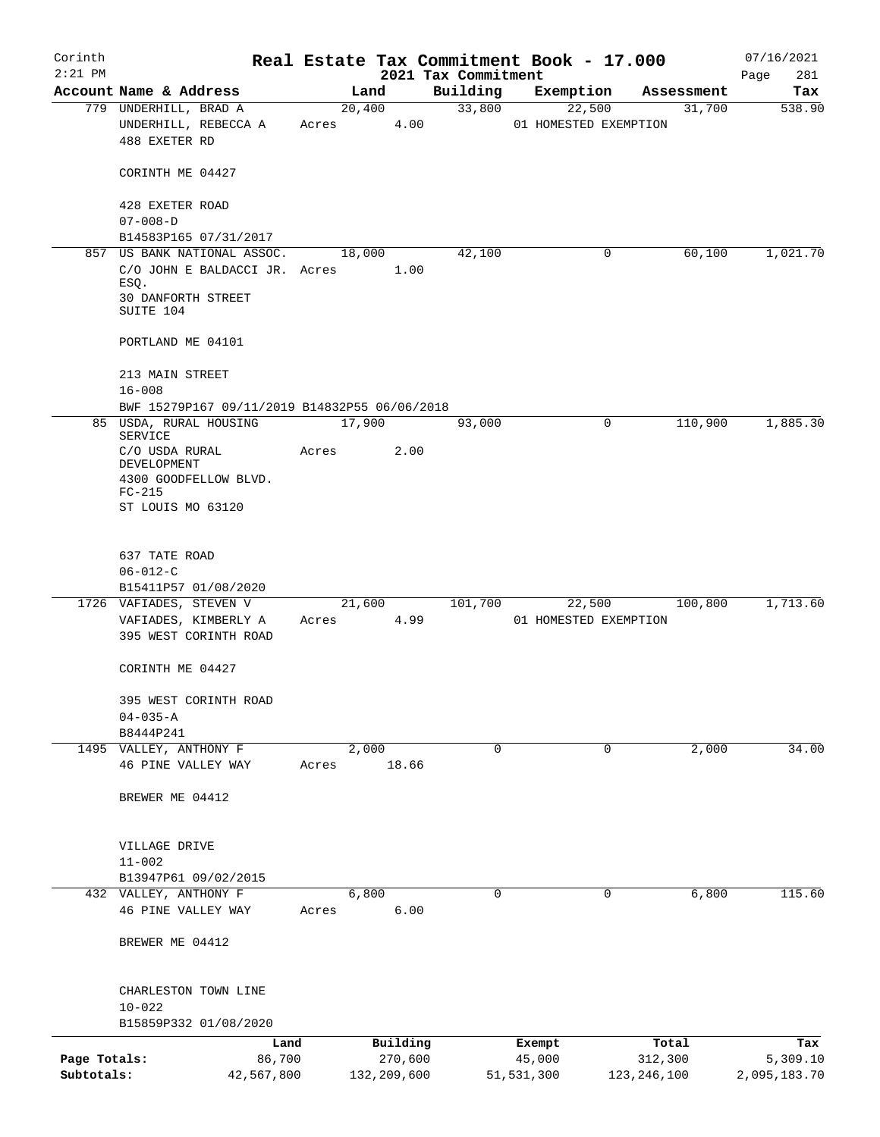| Corinth                    |                                                                         |       |                        |                                 | Real Estate Tax Commitment Book - 17.000 |                          | 07/16/2021               |
|----------------------------|-------------------------------------------------------------------------|-------|------------------------|---------------------------------|------------------------------------------|--------------------------|--------------------------|
| $2:21$ PM                  | Account Name & Address                                                  |       | Land                   | 2021 Tax Commitment<br>Building |                                          |                          | Page<br>281<br>Tax       |
|                            | 779 UNDERHILL, BRAD A                                                   |       | 20,400                 | 33,800                          | Exemption<br>22,500                      | Assessment<br>31,700     | 538.90                   |
|                            | UNDERHILL, REBECCA A<br>488 EXETER RD                                   | Acres | 4.00                   |                                 | 01 HOMESTED EXEMPTION                    |                          |                          |
|                            | CORINTH ME 04427                                                        |       |                        |                                 |                                          |                          |                          |
|                            | 428 EXETER ROAD<br>$07 - 008 - D$                                       |       |                        |                                 |                                          |                          |                          |
|                            | B14583P165 07/31/2017                                                   |       |                        |                                 |                                          |                          |                          |
|                            | 857 US BANK NATIONAL ASSOC.                                             |       | 18,000                 | 42,100                          | 0                                        | 60,100                   | 1,021.70                 |
|                            | C/O JOHN E BALDACCI JR. Acres                                           |       | 1.00                   |                                 |                                          |                          |                          |
|                            | ESQ.<br>30 DANFORTH STREET<br>SUITE 104                                 |       |                        |                                 |                                          |                          |                          |
|                            | PORTLAND ME 04101                                                       |       |                        |                                 |                                          |                          |                          |
|                            | 213 MAIN STREET                                                         |       |                        |                                 |                                          |                          |                          |
|                            | $16 - 008$                                                              |       |                        |                                 |                                          |                          |                          |
|                            | BWF 15279P167 09/11/2019 B14832P55 06/06/2018<br>85 USDA, RURAL HOUSING |       | 17,900                 | 93,000                          | 0                                        | 110,900                  | 1,885.30                 |
|                            | SERVICE                                                                 |       |                        |                                 |                                          |                          |                          |
|                            | C/O USDA RURAL<br>DEVELOPMENT                                           | Acres | 2.00                   |                                 |                                          |                          |                          |
|                            | 4300 GOODFELLOW BLVD.                                                   |       |                        |                                 |                                          |                          |                          |
|                            | $FC-215$                                                                |       |                        |                                 |                                          |                          |                          |
|                            | ST LOUIS MO 63120                                                       |       |                        |                                 |                                          |                          |                          |
|                            | 637 TATE ROAD                                                           |       |                        |                                 |                                          |                          |                          |
|                            | $06 - 012 - C$                                                          |       |                        |                                 |                                          |                          |                          |
|                            | B15411P57 01/08/2020                                                    |       |                        |                                 |                                          |                          |                          |
|                            | 1726 VAFIADES, STEVEN V                                                 |       | 21,600<br>Acres 4.99   | 101,700                         | 22,500                                   | 100,800                  | 1,713.60                 |
|                            | VAFIADES, KIMBERLY A<br>395 WEST CORINTH ROAD                           |       |                        |                                 | 01 HOMESTED EXEMPTION                    |                          |                          |
|                            | CORINTH ME 04427                                                        |       |                        |                                 |                                          |                          |                          |
|                            | 395 WEST CORINTH ROAD                                                   |       |                        |                                 |                                          |                          |                          |
|                            | $04 - 035 - A$                                                          |       |                        |                                 |                                          |                          |                          |
|                            | B8444P241                                                               |       |                        |                                 |                                          |                          |                          |
|                            | 1495 VALLEY, ANTHONY F<br>46 PINE VALLEY WAY                            | Acres | 2,000<br>18.66         | 0                               | 0                                        | 2,000                    | 34.00                    |
|                            | BREWER ME 04412                                                         |       |                        |                                 |                                          |                          |                          |
|                            |                                                                         |       |                        |                                 |                                          |                          |                          |
|                            | VILLAGE DRIVE                                                           |       |                        |                                 |                                          |                          |                          |
|                            | $11 - 002$                                                              |       |                        |                                 |                                          |                          |                          |
|                            | B13947P61 09/02/2015                                                    |       |                        |                                 |                                          |                          |                          |
|                            | 432 VALLEY, ANTHONY F                                                   |       | 6,800                  | 0                               | $\mathbf 0$                              | 6,800                    | 115.60                   |
|                            | 46 PINE VALLEY WAY                                                      | Acres | 6.00                   |                                 |                                          |                          |                          |
|                            | BREWER ME 04412                                                         |       |                        |                                 |                                          |                          |                          |
|                            | CHARLESTON TOWN LINE                                                    |       |                        |                                 |                                          |                          |                          |
|                            | $10 - 022$                                                              |       |                        |                                 |                                          |                          |                          |
|                            | B15859P332 01/08/2020                                                   |       |                        |                                 |                                          |                          |                          |
|                            | Land                                                                    |       | Building               |                                 | Exempt                                   | Total                    | Tax                      |
| Page Totals:<br>Subtotals: | 86,700<br>42,567,800                                                    |       | 270,600<br>132,209,600 |                                 | 45,000<br>51,531,300                     | 312,300<br>123, 246, 100 | 5,309.10<br>2,095,183.70 |
|                            |                                                                         |       |                        |                                 |                                          |                          |                          |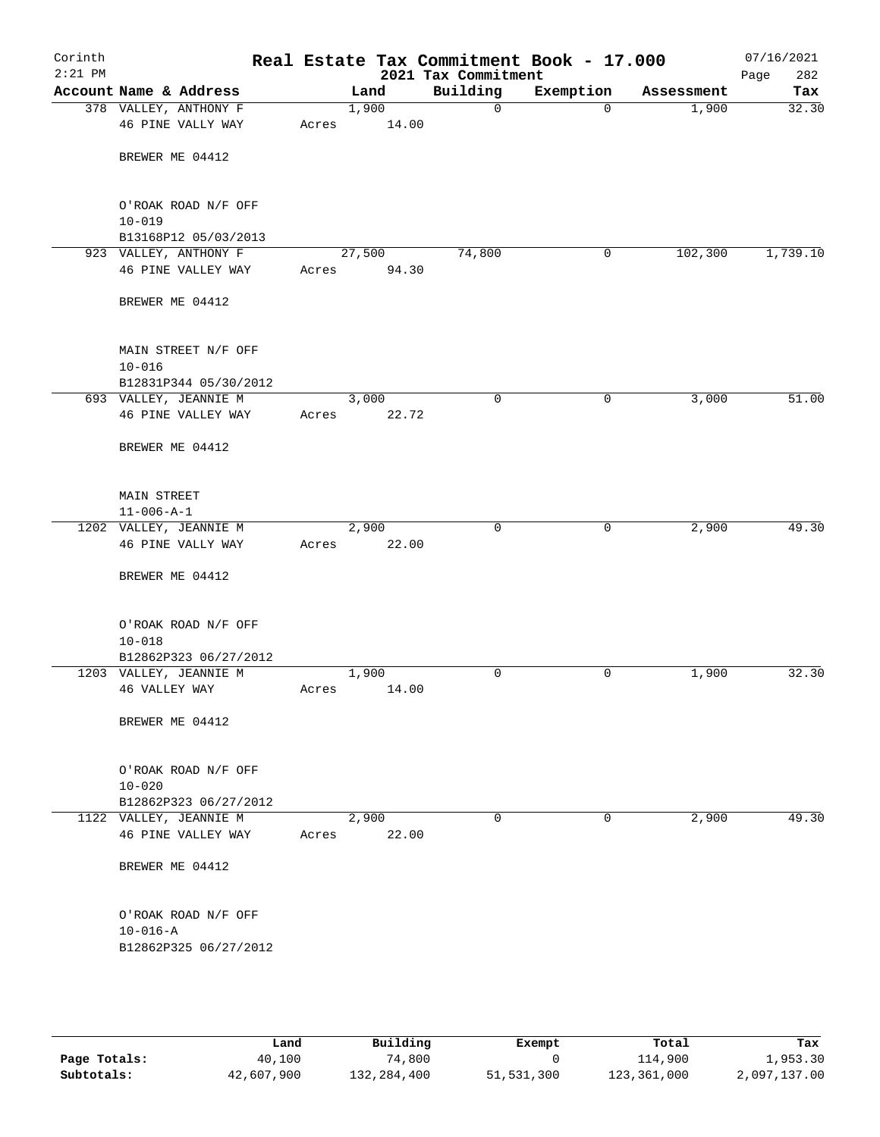| Corinth<br>$2:21$ PM |                                         |       |                | 2021 Tax Commitment | Real Estate Tax Commitment Book - 17.000 |            | 07/16/2021<br>Page<br>282 |
|----------------------|-----------------------------------------|-------|----------------|---------------------|------------------------------------------|------------|---------------------------|
|                      | Account Name & Address                  |       | Land           | Building            | Exemption                                | Assessment | Tax                       |
|                      | 378 VALLEY, ANTHONY F                   |       | 1,900          | $\mathsf{O}$        | $\mathbf 0$                              | 1,900      | 32.30                     |
|                      | 46 PINE VALLY WAY                       | Acres | 14.00          |                     |                                          |            |                           |
|                      | BREWER ME 04412                         |       |                |                     |                                          |            |                           |
|                      | O'ROAK ROAD N/F OFF                     |       |                |                     |                                          |            |                           |
|                      | $10 - 019$                              |       |                |                     |                                          |            |                           |
|                      | B13168P12 05/03/2013                    |       |                |                     |                                          |            |                           |
|                      | 923 VALLEY, ANTHONY F                   |       | 27,500         | 74,800              | 0                                        | 102,300    | 1,739.10                  |
|                      | 46 PINE VALLEY WAY                      | Acres | 94.30          |                     |                                          |            |                           |
|                      | BREWER ME 04412                         |       |                |                     |                                          |            |                           |
|                      | MAIN STREET N/F OFF<br>$10 - 016$       |       |                |                     |                                          |            |                           |
|                      | B12831P344 05/30/2012                   |       |                |                     |                                          |            |                           |
|                      | 693 VALLEY, JEANNIE M                   |       | 3,000          | 0                   | 0                                        | 3,000      | 51.00                     |
|                      | 46 PINE VALLEY WAY                      | Acres | 22.72          |                     |                                          |            |                           |
|                      | BREWER ME 04412                         |       |                |                     |                                          |            |                           |
|                      |                                         |       |                |                     |                                          |            |                           |
|                      | MAIN STREET                             |       |                |                     |                                          |            |                           |
|                      | $11 - 006 - A - 1$                      |       |                |                     |                                          |            |                           |
|                      | 1202 VALLEY, JEANNIE M                  |       | 2,900          | $\mathbf 0$         | 0                                        | 2,900      | 49.30                     |
|                      | 46 PINE VALLY WAY                       | Acres | 22.00          |                     |                                          |            |                           |
|                      | BREWER ME 04412                         |       |                |                     |                                          |            |                           |
|                      | O'ROAK ROAD N/F OFF                     |       |                |                     |                                          |            |                           |
|                      | $10 - 018$                              |       |                |                     |                                          |            |                           |
|                      | B12862P323 06/27/2012                   |       |                |                     |                                          |            |                           |
|                      | 1203 VALLEY, JEANNIE M<br>46 VALLEY WAY | Acres | 1,900<br>14.00 | 0                   | 0                                        | 1,900      | 32.30                     |
|                      |                                         |       |                |                     |                                          |            |                           |
|                      | BREWER ME 04412                         |       |                |                     |                                          |            |                           |
|                      | O'ROAK ROAD N/F OFF                     |       |                |                     |                                          |            |                           |
|                      | $10 - 020$                              |       |                |                     |                                          |            |                           |
|                      | B12862P323 06/27/2012                   |       |                |                     |                                          |            |                           |
|                      | 1122 VALLEY, JEANNIE M                  |       | 2,900          | 0                   | 0                                        | 2,900      | 49.30                     |
|                      | 46 PINE VALLEY WAY                      | Acres | 22.00          |                     |                                          |            |                           |
|                      | BREWER ME 04412                         |       |                |                     |                                          |            |                           |
|                      | O'ROAK ROAD N/F OFF                     |       |                |                     |                                          |            |                           |
|                      | $10 - 016 - A$                          |       |                |                     |                                          |            |                           |
|                      | B12862P325 06/27/2012                   |       |                |                     |                                          |            |                           |
|                      |                                         |       |                |                     |                                          |            |                           |
|                      |                                         |       |                |                     |                                          |            |                           |

|              | Land       | Building    | Exempt     | Total       | Tax          |
|--------------|------------|-------------|------------|-------------|--------------|
| Page Totals: | 40,100     | 74.800      |            | 114,900     | 1,953.30     |
| Subtotals:   | 42,607,900 | 132,284,400 | 51,531,300 | 123,361,000 | 2,097,137.00 |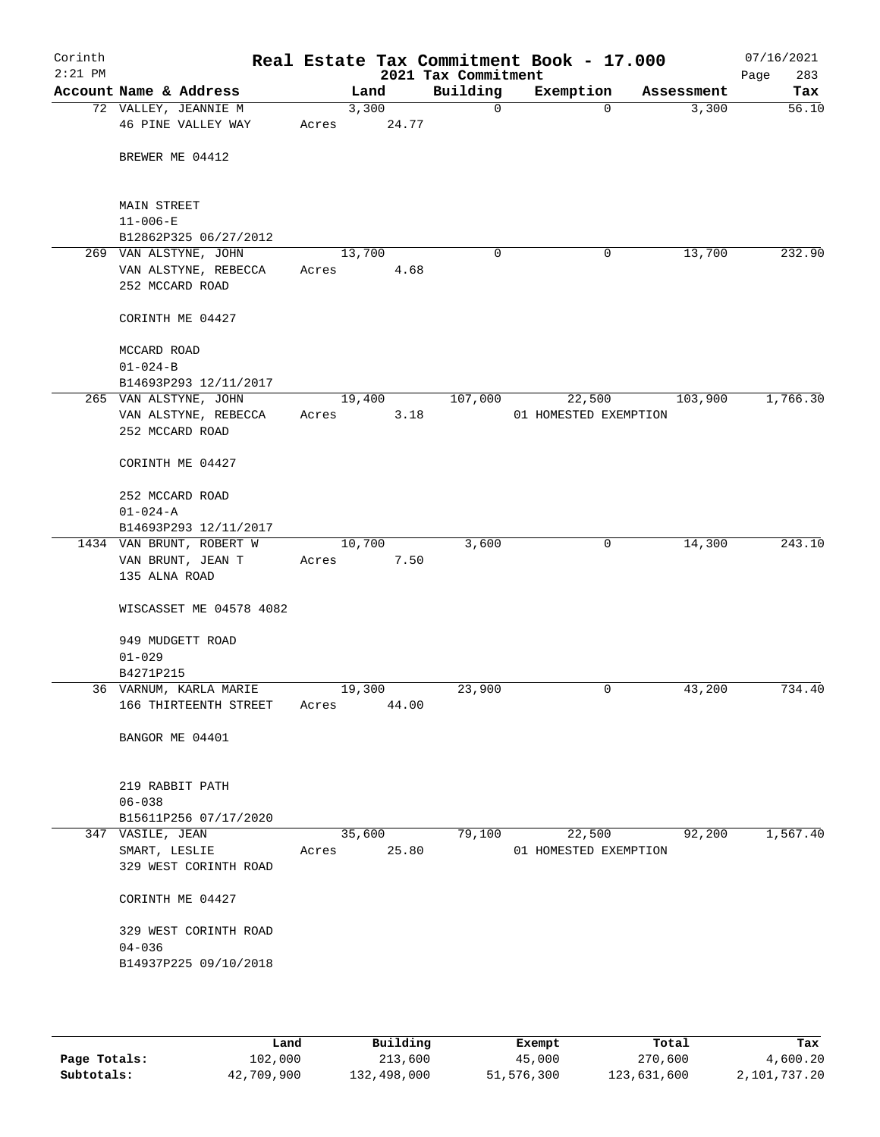| Corinth<br>$2:21$ PM |                                            |       |                | 2021 Tax Commitment | Real Estate Tax Commitment Book - 17.000 |            | 07/16/2021<br>283<br>Page |
|----------------------|--------------------------------------------|-------|----------------|---------------------|------------------------------------------|------------|---------------------------|
|                      | Account Name & Address                     |       | Land           | Building            | Exemption                                | Assessment | Tax                       |
|                      | 72 VALLEY, JEANNIE M<br>46 PINE VALLEY WAY | Acres | 3,300<br>24.77 | 0                   | $\Omega$                                 | 3,300      | 56.10                     |
|                      | BREWER ME 04412                            |       |                |                     |                                          |            |                           |
|                      | <b>MAIN STREET</b>                         |       |                |                     |                                          |            |                           |
|                      | $11 - 006 - E$                             |       |                |                     |                                          |            |                           |
|                      | B12862P325 06/27/2012                      |       |                |                     |                                          |            |                           |
|                      | 269 VAN ALSTYNE, JOHN                      |       | 13,700         | $\mathbf 0$         | 0                                        | 13,700     | 232.90                    |
|                      | VAN ALSTYNE, REBECCA                       | Acres | 4.68           |                     |                                          |            |                           |
|                      | 252 MCCARD ROAD                            |       |                |                     |                                          |            |                           |
|                      | CORINTH ME 04427                           |       |                |                     |                                          |            |                           |
|                      | MCCARD ROAD                                |       |                |                     |                                          |            |                           |
|                      | $01 - 024 - B$                             |       |                |                     |                                          |            |                           |
|                      | B14693P293 12/11/2017                      |       |                |                     |                                          |            |                           |
|                      | 265 VAN ALSTYNE, JOHN                      |       | 19,400         | 107,000             | 22,500                                   | 103,900    | 1,766.30                  |
|                      | VAN ALSTYNE, REBECCA                       | Acres | 3.18           |                     | 01 HOMESTED EXEMPTION                    |            |                           |
|                      | 252 MCCARD ROAD                            |       |                |                     |                                          |            |                           |
|                      | CORINTH ME 04427                           |       |                |                     |                                          |            |                           |
|                      | 252 MCCARD ROAD                            |       |                |                     |                                          |            |                           |
|                      |                                            |       |                |                     |                                          |            |                           |
|                      | $01 - 024 - A$                             |       |                |                     |                                          |            |                           |
|                      | B14693P293 12/11/2017                      |       |                |                     |                                          |            |                           |
|                      | 1434 VAN BRUNT, ROBERT W                   |       | 10,700         | 3,600               | 0                                        | 14,300     | 243.10                    |
|                      | VAN BRUNT, JEAN T                          | Acres | 7.50           |                     |                                          |            |                           |
|                      | 135 ALNA ROAD                              |       |                |                     |                                          |            |                           |
|                      | WISCASSET ME 04578 4082                    |       |                |                     |                                          |            |                           |
|                      | 949 MUDGETT ROAD                           |       |                |                     |                                          |            |                           |
|                      | $01 - 029$                                 |       |                |                     |                                          |            |                           |
|                      | B4271P215                                  |       |                |                     |                                          |            |                           |
|                      | 36 VARNUM, KARLA MARIE                     |       | 19,300         | 23,900              | 0                                        | 43,200     | 734.40                    |
|                      | 166 THIRTEENTH STREET                      | Acres | 44.00          |                     |                                          |            |                           |
|                      |                                            |       |                |                     |                                          |            |                           |
|                      | BANGOR ME 04401                            |       |                |                     |                                          |            |                           |
|                      | 219 RABBIT PATH                            |       |                |                     |                                          |            |                           |
|                      | $06 - 038$                                 |       |                |                     |                                          |            |                           |
|                      | B15611P256 07/17/2020                      |       |                |                     |                                          |            |                           |
|                      | 347 VASILE, JEAN                           |       | 35,600         | 79,100              | 22,500                                   | 92,200     | 1,567.40                  |
|                      |                                            |       | 25.80          |                     | 01 HOMESTED EXEMPTION                    |            |                           |
|                      | SMART, LESLIE                              | Acres |                |                     |                                          |            |                           |
|                      | 329 WEST CORINTH ROAD                      |       |                |                     |                                          |            |                           |
|                      | CORINTH ME 04427                           |       |                |                     |                                          |            |                           |
|                      | 329 WEST CORINTH ROAD                      |       |                |                     |                                          |            |                           |
|                      | $04 - 036$                                 |       |                |                     |                                          |            |                           |
|                      | B14937P225 09/10/2018                      |       |                |                     |                                          |            |                           |
|                      |                                            |       |                |                     |                                          |            |                           |
|                      |                                            |       |                |                     |                                          |            |                           |

|              | Land       | Building    | Exempt     | Total       | Tax          |
|--------------|------------|-------------|------------|-------------|--------------|
| Page Totals: | 102,000    | 213,600     | 45,000     | 270,600     | 4,600.20     |
| Subtotals:   | 42,709,900 | 132,498,000 | 51,576,300 | 123,631,600 | 2,101,737.20 |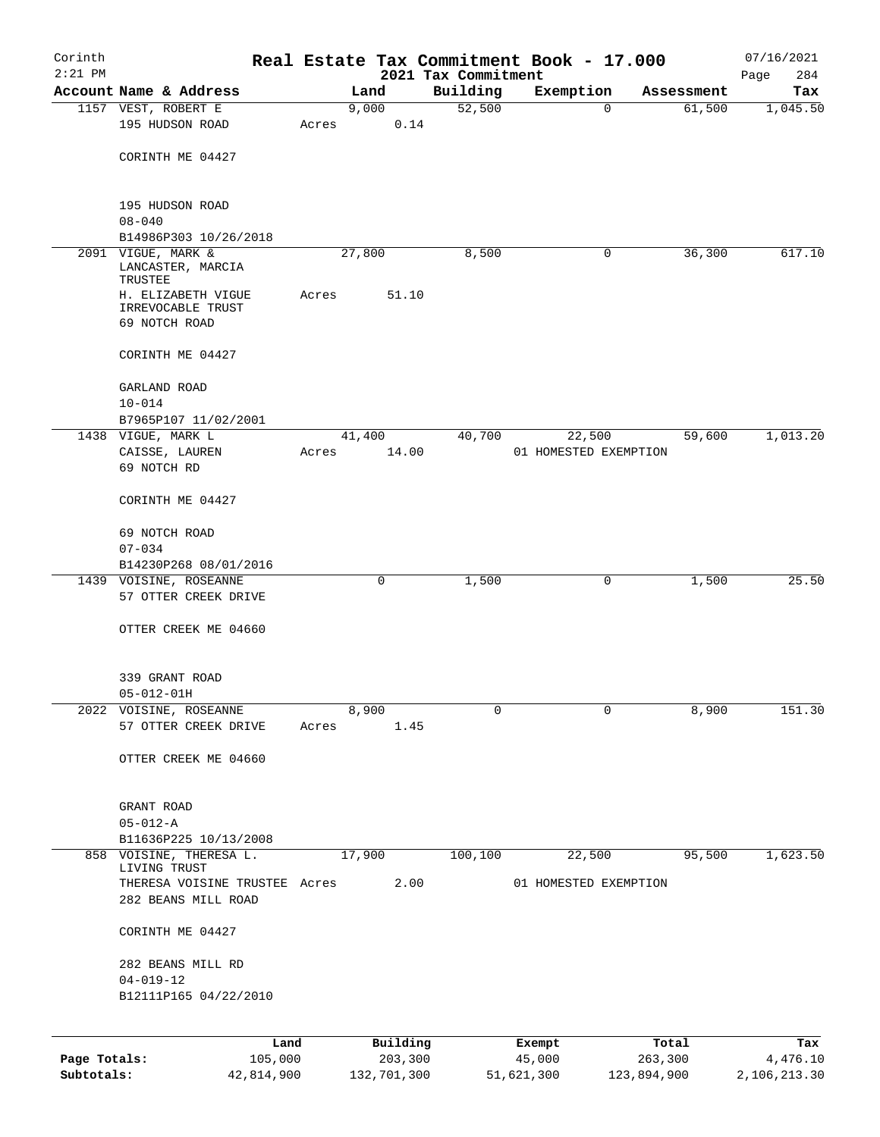| Corinth      |                                         |       |                 |                                 | Real Estate Tax Commitment Book - 17.000 |                      | 07/16/2021      |
|--------------|-----------------------------------------|-------|-----------------|---------------------------------|------------------------------------------|----------------------|-----------------|
| $2:21$ PM    | Account Name & Address                  |       | Land            | 2021 Tax Commitment<br>Building |                                          |                      | 284<br>Page     |
|              | 1157 VEST, ROBERT E                     |       | 9,000           | 52,500                          | Exemption<br>$\mathbf 0$                 | Assessment<br>61,500 | Tax<br>1,045.50 |
|              | 195 HUDSON ROAD                         | Acres |                 | 0.14                            |                                          |                      |                 |
|              |                                         |       |                 |                                 |                                          |                      |                 |
|              | CORINTH ME 04427                        |       |                 |                                 |                                          |                      |                 |
|              |                                         |       |                 |                                 |                                          |                      |                 |
|              |                                         |       |                 |                                 |                                          |                      |                 |
|              | 195 HUDSON ROAD                         |       |                 |                                 |                                          |                      |                 |
|              | $08 - 040$<br>B14986P303 10/26/2018     |       |                 |                                 |                                          |                      |                 |
|              | 2091 VIGUE, MARK &                      |       | 27,800          | 8,500                           | 0                                        | 36,300               | 617.10          |
|              | LANCASTER, MARCIA<br>TRUSTEE            |       |                 |                                 |                                          |                      |                 |
|              | H. ELIZABETH VIGUE                      | Acres | 51.10           |                                 |                                          |                      |                 |
|              | IRREVOCABLE TRUST                       |       |                 |                                 |                                          |                      |                 |
|              | 69 NOTCH ROAD                           |       |                 |                                 |                                          |                      |                 |
|              | CORINTH ME 04427                        |       |                 |                                 |                                          |                      |                 |
|              | GARLAND ROAD                            |       |                 |                                 |                                          |                      |                 |
|              | $10 - 014$                              |       |                 |                                 |                                          |                      |                 |
|              | B7965P107 11/02/2001                    |       |                 |                                 |                                          |                      |                 |
|              | 1438 VIGUE, MARK L<br>CAISSE, LAUREN    |       | 41,400<br>14.00 | 40,700                          | 22,500                                   | 59,600               | 1,013.20        |
|              | 69 NOTCH RD                             | Acres |                 |                                 | 01 HOMESTED EXEMPTION                    |                      |                 |
|              |                                         |       |                 |                                 |                                          |                      |                 |
|              | CORINTH ME 04427                        |       |                 |                                 |                                          |                      |                 |
|              | 69 NOTCH ROAD                           |       |                 |                                 |                                          |                      |                 |
|              | $07 - 034$                              |       |                 |                                 |                                          |                      |                 |
|              | B14230P268 08/01/2016                   |       |                 |                                 |                                          |                      |                 |
|              | 1439 VOISINE, ROSEANNE                  |       | 0               | 1,500                           | 0                                        | 1,500                | 25.50           |
|              | 57 OTTER CREEK DRIVE                    |       |                 |                                 |                                          |                      |                 |
|              | OTTER CREEK ME 04660                    |       |                 |                                 |                                          |                      |                 |
|              |                                         |       |                 |                                 |                                          |                      |                 |
|              |                                         |       |                 |                                 |                                          |                      |                 |
|              | 339 GRANT ROAD                          |       |                 |                                 |                                          |                      |                 |
|              | $05 - 012 - 01H$                        |       |                 |                                 |                                          |                      |                 |
|              | 2022 VOISINE, ROSEANNE                  |       | 8,900           | 0                               | $\mathbf 0$                              | 8,900                | 151.30          |
|              | 57 OTTER CREEK DRIVE                    | Acres | 1.45            |                                 |                                          |                      |                 |
|              | OTTER CREEK ME 04660                    |       |                 |                                 |                                          |                      |                 |
|              |                                         |       |                 |                                 |                                          |                      |                 |
|              |                                         |       |                 |                                 |                                          |                      |                 |
|              | GRANT ROAD                              |       |                 |                                 |                                          |                      |                 |
|              | $05 - 012 - A$                          |       |                 |                                 |                                          |                      |                 |
|              | B11636P225 10/13/2008                   |       |                 |                                 |                                          |                      |                 |
|              | 858 VOISINE, THERESA L.<br>LIVING TRUST |       | 17,900          | 100,100                         | 22,500                                   | 95,500               | 1,623.50        |
|              | THERESA VOISINE TRUSTEE Acres           |       | 2.00            |                                 | 01 HOMESTED EXEMPTION                    |                      |                 |
|              | 282 BEANS MILL ROAD                     |       |                 |                                 |                                          |                      |                 |
|              | CORINTH ME 04427                        |       |                 |                                 |                                          |                      |                 |
|              | 282 BEANS MILL RD                       |       |                 |                                 |                                          |                      |                 |
|              | $04 - 019 - 12$                         |       |                 |                                 |                                          |                      |                 |
|              | B12111P165 04/22/2010                   |       |                 |                                 |                                          |                      |                 |
|              |                                         |       |                 |                                 |                                          |                      |                 |
|              |                                         |       |                 |                                 |                                          |                      |                 |
|              | Land                                    |       | Building        |                                 | Exempt                                   | Total                | Tax             |
| Page Totals: | 105,000                                 |       | 203,300         |                                 | 45,000                                   | 263,300              | 4,476.10        |

**Subtotals:** 42,814,900 132,701,300 51,621,300 123,894,900 2,106,213.30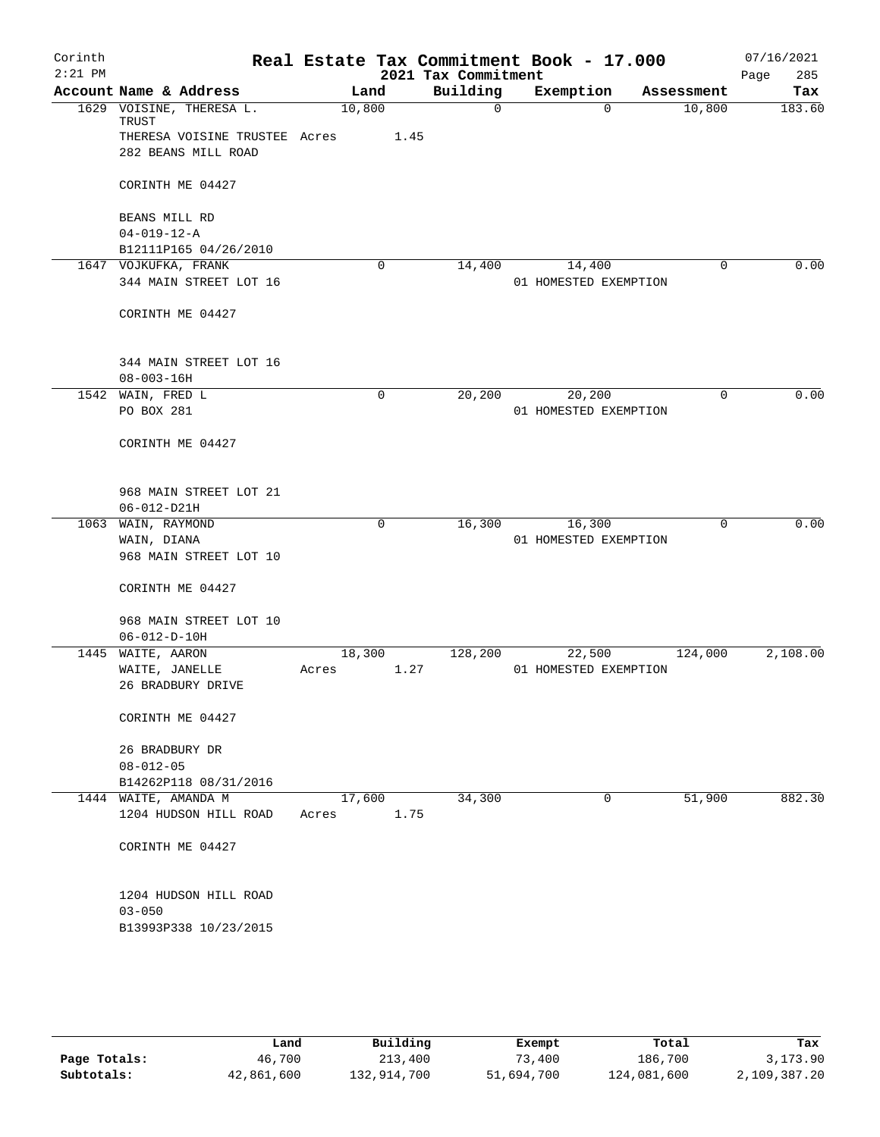| Corinth   |                      |                               |        |             | Real Estate Tax Commitment Book - 17.000 |                       |          |             | 07/16/2021  |
|-----------|----------------------|-------------------------------|--------|-------------|------------------------------------------|-----------------------|----------|-------------|-------------|
| $2:21$ PM |                      |                               |        |             | 2021 Tax Commitment                      |                       |          |             | Page<br>285 |
|           |                      | Account Name & Address        |        | Land        | Building                                 | Exemption             |          | Assessment  | Tax         |
|           | TRUST                | 1629 VOISINE, THERESA L.      | 10,800 |             | $\mathbf 0$                              |                       | $\Omega$ | 10,800      | 183.60      |
|           |                      | THERESA VOISINE TRUSTEE Acres |        | 1.45        |                                          |                       |          |             |             |
|           |                      | 282 BEANS MILL ROAD           |        |             |                                          |                       |          |             |             |
|           |                      | CORINTH ME 04427              |        |             |                                          |                       |          |             |             |
|           | BEANS MILL RD        |                               |        |             |                                          |                       |          |             |             |
|           | $04 - 019 - 12 - A$  | B12111P165 04/26/2010         |        |             |                                          |                       |          |             |             |
|           | 1647 VOJKUFKA, FRANK |                               |        | $\mathbf 0$ | 14,400                                   |                       | 14,400   | $\mathbf 0$ | 0.00        |
|           |                      | 344 MAIN STREET LOT 16        |        |             |                                          | 01 HOMESTED EXEMPTION |          |             |             |
|           |                      | CORINTH ME 04427              |        |             |                                          |                       |          |             |             |
|           |                      | 344 MAIN STREET LOT 16        |        |             |                                          |                       |          |             |             |
|           | $08 - 003 - 16H$     |                               |        | $\mathbf 0$ |                                          |                       |          | $\mathbf 0$ | 0.00        |
|           | 1542 WAIN, FRED L    |                               |        |             | 20,200                                   |                       | 20,200   |             |             |
|           | PO BOX 281           |                               |        |             |                                          | 01 HOMESTED EXEMPTION |          |             |             |
|           |                      | CORINTH ME 04427              |        |             |                                          |                       |          |             |             |
|           |                      | 968 MAIN STREET LOT 21        |        |             |                                          |                       |          |             |             |
|           | $06 - 012 - D21H$    |                               |        |             |                                          |                       |          |             |             |
|           | 1063 WAIN, RAYMOND   |                               |        | $\mathbf 0$ | 16,300                                   | 16,300                |          | $\Omega$    | 0.00        |
|           | WAIN, DIANA          |                               |        |             |                                          | 01 HOMESTED EXEMPTION |          |             |             |
|           |                      | 968 MAIN STREET LOT 10        |        |             |                                          |                       |          |             |             |
|           |                      | CORINTH ME 04427              |        |             |                                          |                       |          |             |             |
|           |                      | 968 MAIN STREET LOT 10        |        |             |                                          |                       |          |             |             |
|           | $06 - 012 - D - 10H$ |                               |        |             |                                          |                       |          |             |             |
|           | 1445 WAITE, AARON    |                               |        | 18,300      | 128,200                                  |                       | 22,500   | 124,000     | 2,108.00    |
|           | WAITE, JANELLE       |                               | Acres  |             | 1.27                                     | 01 HOMESTED EXEMPTION |          |             |             |
|           |                      | 26 BRADBURY DRIVE             |        |             |                                          |                       |          |             |             |
|           |                      | CORINTH ME 04427              |        |             |                                          |                       |          |             |             |
|           | 26 BRADBURY DR       |                               |        |             |                                          |                       |          |             |             |
|           | $08 - 012 - 05$      |                               |        |             |                                          |                       |          |             |             |
|           |                      | B14262P118 08/31/2016         |        |             |                                          |                       |          |             |             |
|           | 1444 WAITE, AMANDA M |                               |        | 17,600      | 34,300                                   |                       | 0        | 51,900      | 882.30      |
|           |                      | 1204 HUDSON HILL ROAD         | Acres  |             | 1.75                                     |                       |          |             |             |
|           |                      | CORINTH ME 04427              |        |             |                                          |                       |          |             |             |
|           |                      | 1204 HUDSON HILL ROAD         |        |             |                                          |                       |          |             |             |
|           | $03 - 050$           |                               |        |             |                                          |                       |          |             |             |
|           |                      | B13993P338 10/23/2015         |        |             |                                          |                       |          |             |             |
|           |                      |                               |        |             |                                          |                       |          |             |             |
|           |                      |                               |        |             |                                          |                       |          |             |             |
|           |                      |                               |        |             |                                          |                       |          |             |             |

|              | Land       | Building    | Exempt     | Total       | Tax          |
|--------------|------------|-------------|------------|-------------|--------------|
| Page Totals: | 46,700     | 213,400     | 73,400     | 186,700     | 3,173.90     |
| Subtotals:   | 42,861,600 | 132,914,700 | 51,694,700 | 124,081,600 | 2,109,387.20 |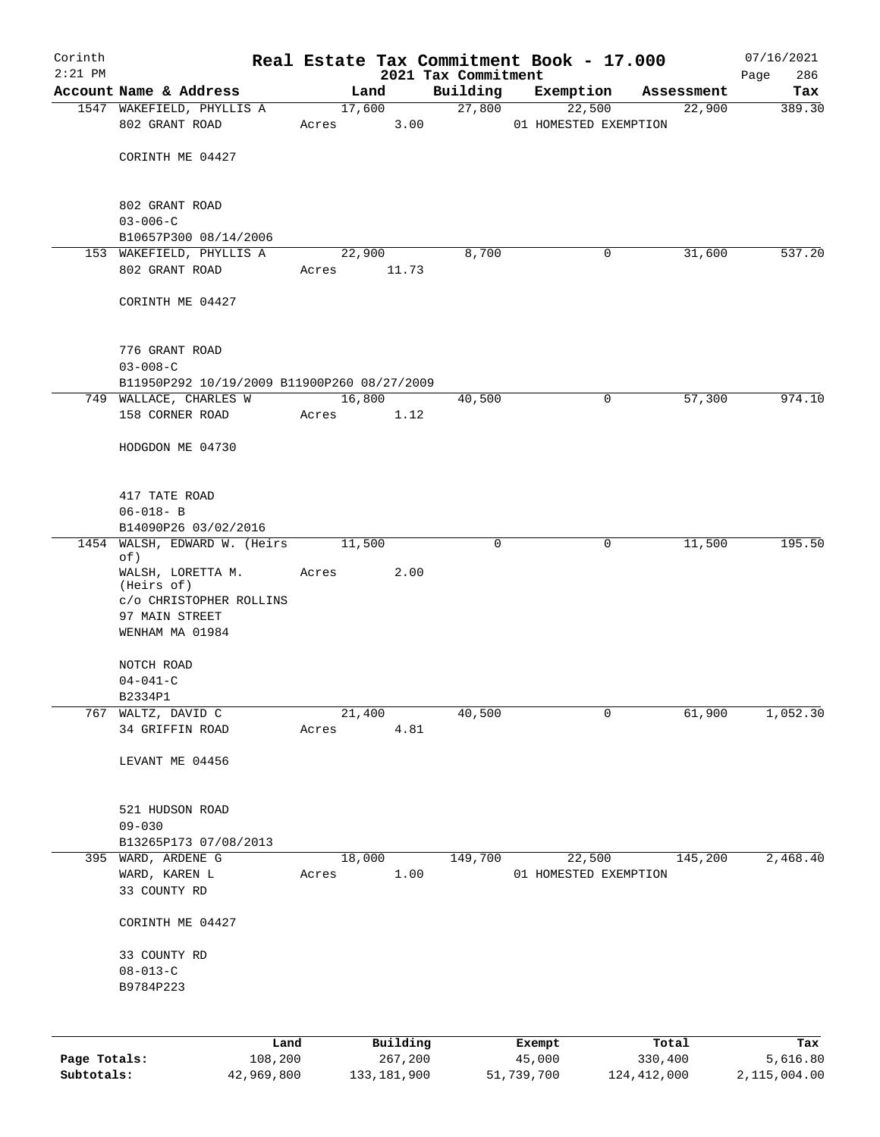| Corinth      |                                                                       |                 |                 |                     |                     | Real Estate Tax Commitment Book - 17.000 |                      | 07/16/2021      |
|--------------|-----------------------------------------------------------------------|-----------------|-----------------|---------------------|---------------------|------------------------------------------|----------------------|-----------------|
| $2:21$ PM    |                                                                       |                 |                 |                     | 2021 Tax Commitment |                                          |                      | 286<br>Page     |
|              | Account Name & Address<br>1547 WAKEFIELD, PHYLLIS A                   |                 |                 | Land<br>17,600      | Building<br>27,800  | Exemption<br>22,500                      | Assessment<br>22,900 | Tax<br>389.30   |
|              | 802 GRANT ROAD                                                        |                 | Acres           | 3.00                |                     | 01 HOMESTED EXEMPTION                    |                      |                 |
|              | CORINTH ME 04427                                                      |                 |                 |                     |                     |                                          |                      |                 |
|              | 802 GRANT ROAD                                                        |                 |                 |                     |                     |                                          |                      |                 |
|              | $03 - 006 - C$<br>B10657P300 08/14/2006                               |                 |                 |                     |                     |                                          |                      |                 |
|              | 153 WAKEFIELD, PHYLLIS A                                              |                 |                 | 22,900              | 8,700               | 0                                        | 31,600               | 537.20          |
|              | 802 GRANT ROAD                                                        |                 | Acres           | 11.73               |                     |                                          |                      |                 |
|              | CORINTH ME 04427                                                      |                 |                 |                     |                     |                                          |                      |                 |
|              | 776 GRANT ROAD                                                        |                 |                 |                     |                     |                                          |                      |                 |
|              | $03 - 008 - C$                                                        |                 |                 |                     |                     |                                          |                      |                 |
|              | B11950P292 10/19/2009 B11900P260 08/27/2009<br>749 WALLACE, CHARLES W |                 |                 | 16,800              | 40,500              | 0                                        | 57,300               | 974.10          |
|              | 158 CORNER ROAD                                                       |                 | Acres           | 1.12                |                     |                                          |                      |                 |
|              | HODGDON ME 04730                                                      |                 |                 |                     |                     |                                          |                      |                 |
|              | 417 TATE ROAD                                                         |                 |                 |                     |                     |                                          |                      |                 |
|              | $06 - 018 - B$                                                        |                 |                 |                     |                     |                                          |                      |                 |
|              | B14090P26 03/02/2016                                                  |                 |                 |                     |                     |                                          |                      |                 |
|              | 1454 WALSH, EDWARD W. (Heirs<br>of)<br>WALSH, LORETTA M.              |                 | 11,500<br>Acres | 2.00                | $\Omega$            | 0                                        | 11,500               | 195.50          |
|              | (Heirs of)<br>C/O CHRISTOPHER ROLLINS                                 |                 |                 |                     |                     |                                          |                      |                 |
|              | 97 MAIN STREET<br>WENHAM MA 01984                                     |                 |                 |                     |                     |                                          |                      |                 |
|              | NOTCH ROAD                                                            |                 |                 |                     |                     |                                          |                      |                 |
|              | $04 - 041 - C$                                                        |                 |                 |                     |                     |                                          |                      |                 |
|              | B2334P1                                                               |                 |                 |                     |                     |                                          |                      |                 |
| 767          | WALTZ, DAVID C<br>34 GRIFFIN ROAD                                     |                 | Acres           | 21,400<br>4.81      | 40,500              | 0                                        | 61,900               | 1,052.30        |
|              | LEVANT ME 04456                                                       |                 |                 |                     |                     |                                          |                      |                 |
|              | 521 HUDSON ROAD                                                       |                 |                 |                     |                     |                                          |                      |                 |
|              | $09 - 030$                                                            |                 |                 |                     |                     |                                          |                      |                 |
|              | B13265P173 07/08/2013                                                 |                 |                 |                     |                     |                                          |                      |                 |
|              | 395 WARD, ARDENE G                                                    |                 |                 | 18,000              | 149,700             | 22,500                                   | 145,200              | 2,468.40        |
|              | WARD, KAREN L<br>33 COUNTY RD                                         |                 | Acres           | 1.00                |                     | 01 HOMESTED EXEMPTION                    |                      |                 |
|              | CORINTH ME 04427                                                      |                 |                 |                     |                     |                                          |                      |                 |
|              | 33 COUNTY RD<br>$08 - 013 - C$                                        |                 |                 |                     |                     |                                          |                      |                 |
|              | B9784P223                                                             |                 |                 |                     |                     |                                          |                      |                 |
|              |                                                                       |                 |                 |                     |                     |                                          |                      |                 |
| Page Totals: |                                                                       | Land<br>108,200 |                 | Building<br>267,200 |                     | Exempt<br>45,000                         | Total<br>330,400     | Tax<br>5,616.80 |
| Subtotals:   |                                                                       | 42,969,800      |                 | 133, 181, 900       |                     | 51,739,700                               | 124, 412, 000        | 2,115,004.00    |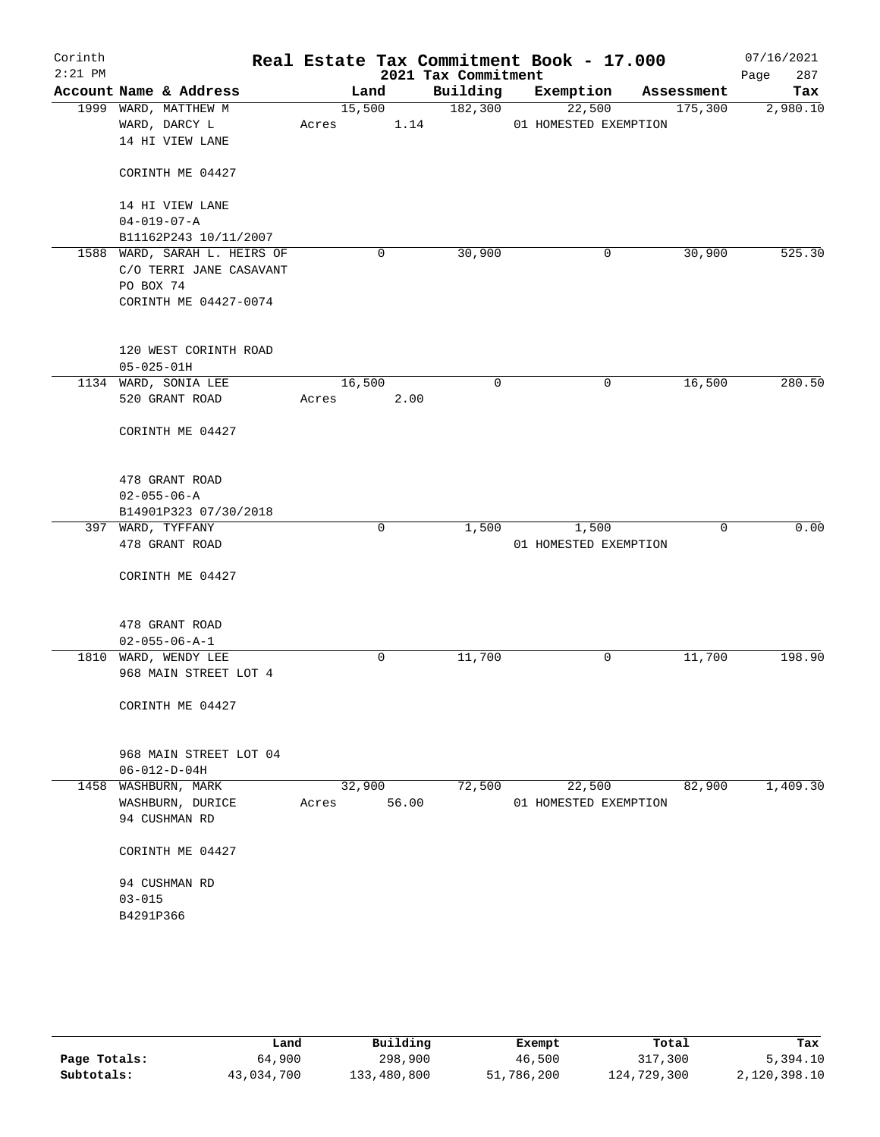| Corinth<br>$2:21$ PM |                                                                                               |                 |       | 2021 Tax Commitment | Real Estate Tax Commitment Book - 17.000 |            | 07/16/2021<br>287<br>Page |
|----------------------|-----------------------------------------------------------------------------------------------|-----------------|-------|---------------------|------------------------------------------|------------|---------------------------|
|                      | Account Name & Address                                                                        | Land            |       | Building            | Exemption                                | Assessment | Tax                       |
|                      | 1999 WARD, MATTHEW M<br>WARD, DARCY L<br>14 HI VIEW LANE                                      | 15,500<br>Acres | 1.14  | 182,300             | 22,500<br>01 HOMESTED EXEMPTION          | 175,300    | 2,980.10                  |
|                      | CORINTH ME 04427                                                                              |                 |       |                     |                                          |            |                           |
|                      | 14 HI VIEW LANE<br>$04 - 019 - 07 - A$<br>B11162P243 10/11/2007                               |                 |       |                     |                                          |            |                           |
|                      | 1588 WARD, SARAH L. HEIRS OF<br>C/O TERRI JANE CASAVANT<br>PO BOX 74<br>CORINTH ME 04427-0074 |                 | 0     | 30,900              | 0                                        | 30,900     | 525.30                    |
|                      | 120 WEST CORINTH ROAD<br>$05 - 025 - 01H$                                                     |                 |       |                     |                                          |            |                           |
|                      | 1134 WARD, SONIA LEE                                                                          | 16,500          |       | 0                   | 0                                        | 16,500     | 280.50                    |
|                      | 520 GRANT ROAD                                                                                | Acres           | 2.00  |                     |                                          |            |                           |
|                      | CORINTH ME 04427                                                                              |                 |       |                     |                                          |            |                           |
|                      | 478 GRANT ROAD<br>$02 - 055 - 06 - A$                                                         |                 |       |                     |                                          |            |                           |
|                      | B14901P323 07/30/2018                                                                         |                 |       |                     |                                          |            |                           |
|                      | 397 WARD, TYFFANY<br>478 GRANT ROAD                                                           |                 | 0     | 1,500               | 1,500<br>01 HOMESTED EXEMPTION           | 0          | 0.00                      |
|                      | CORINTH ME 04427                                                                              |                 |       |                     |                                          |            |                           |
|                      | 478 GRANT ROAD                                                                                |                 |       |                     |                                          |            |                           |
|                      | $02 - 055 - 06 - A - 1$<br>1810 WARD, WENDY LEE                                               |                 | 0     | 11,700              | 0                                        | 11,700     | 198.90                    |
|                      | 968 MAIN STREET LOT 4                                                                         |                 |       |                     |                                          |            |                           |
|                      | CORINTH ME 04427                                                                              |                 |       |                     |                                          |            |                           |
|                      | 968 MAIN STREET LOT 04<br>$06 - 012 - D - 04H$                                                |                 |       |                     |                                          |            |                           |
| 1458                 | WASHBURN, MARK                                                                                | 32,900          |       | 72,500              | 22,500                                   | 82,900     | 1,409.30                  |
|                      | WASHBURN, DURICE<br>94 CUSHMAN RD                                                             | Acres           | 56.00 |                     | 01 HOMESTED EXEMPTION                    |            |                           |
|                      | CORINTH ME 04427                                                                              |                 |       |                     |                                          |            |                           |
|                      | 94 CUSHMAN RD<br>$03 - 015$<br>B4291P366                                                      |                 |       |                     |                                          |            |                           |
|                      |                                                                                               |                 |       |                     |                                          |            |                           |

|              | Land       | Building    | Exempt     | Total       | Tax          |
|--------------|------------|-------------|------------|-------------|--------------|
| Page Totals: | 64,900     | 298,900     | 46,500     | 317,300     | 5,394.10     |
| Subtotals:   | 43,034,700 | 133,480,800 | 51,786,200 | 124,729,300 | 2,120,398.10 |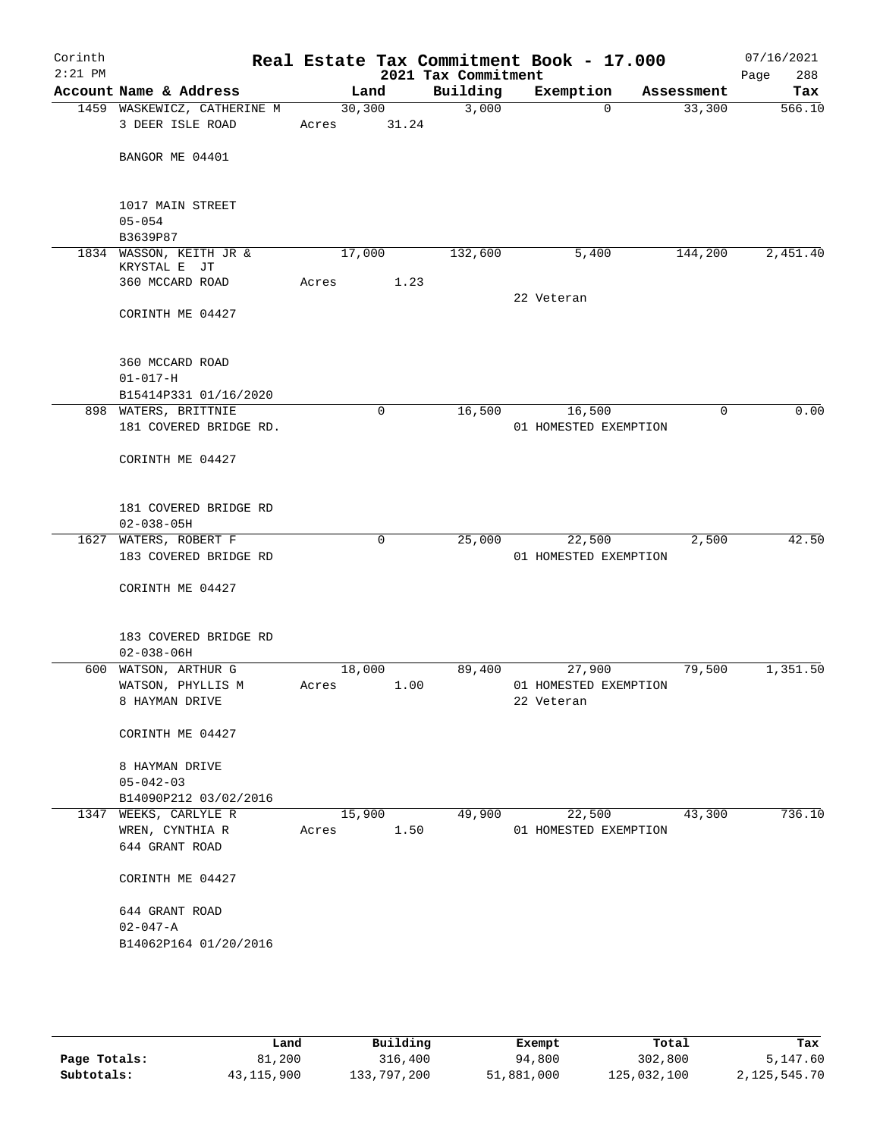| Corinth<br>$2:21$ PM |                                                |        |        | 2021 Tax Commitment | Real Estate Tax Commitment Book - 17.000 |            | 07/16/2021<br>Page<br>288 |
|----------------------|------------------------------------------------|--------|--------|---------------------|------------------------------------------|------------|---------------------------|
|                      | Account Name & Address                         |        | Land   | Building            | Exemption                                | Assessment | Tax                       |
|                      | 1459 WASKEWICZ, CATHERINE M                    |        | 30,300 | 3,000               | $\Omega$                                 | 33,300     | 566.10                    |
|                      | 3 DEER ISLE ROAD                               | Acres  | 31.24  |                     |                                          |            |                           |
|                      |                                                |        |        |                     |                                          |            |                           |
|                      | BANGOR ME 04401                                |        |        |                     |                                          |            |                           |
|                      |                                                |        |        |                     |                                          |            |                           |
|                      | 1017 MAIN STREET                               |        |        |                     |                                          |            |                           |
|                      | $05 - 054$                                     |        |        |                     |                                          |            |                           |
|                      | B3639P87                                       |        |        |                     |                                          |            |                           |
|                      | 1834 WASSON, KEITH JR &                        | 17,000 |        | 132,600             | 5,400                                    | 144,200    | 2,451.40                  |
|                      | KRYSTAL E JT<br>360 MCCARD ROAD                | Acres  | 1.23   |                     |                                          |            |                           |
|                      |                                                |        |        |                     | 22 Veteran                               |            |                           |
|                      | CORINTH ME 04427                               |        |        |                     |                                          |            |                           |
|                      |                                                |        |        |                     |                                          |            |                           |
|                      |                                                |        |        |                     |                                          |            |                           |
|                      | 360 MCCARD ROAD                                |        |        |                     |                                          |            |                           |
|                      | $01 - 017 - H$<br>B15414P331 01/16/2020        |        |        |                     |                                          |            |                           |
|                      | 898 WATERS, BRITTNIE                           |        | 0      | 16,500              | 16,500                                   | 0          | 0.00                      |
|                      | 181 COVERED BRIDGE RD.                         |        |        |                     | 01 HOMESTED EXEMPTION                    |            |                           |
|                      |                                                |        |        |                     |                                          |            |                           |
|                      | CORINTH ME 04427                               |        |        |                     |                                          |            |                           |
|                      |                                                |        |        |                     |                                          |            |                           |
|                      | 181 COVERED BRIDGE RD                          |        |        |                     |                                          |            |                           |
|                      | $02 - 038 - 05H$                               |        |        |                     |                                          |            |                           |
|                      | 1627 WATERS, ROBERT F                          |        | 0      | 25,000              | 22,500                                   | 2,500      | 42.50                     |
|                      | 183 COVERED BRIDGE RD                          |        |        |                     | 01 HOMESTED EXEMPTION                    |            |                           |
|                      |                                                |        |        |                     |                                          |            |                           |
|                      | CORINTH ME 04427                               |        |        |                     |                                          |            |                           |
|                      |                                                |        |        |                     |                                          |            |                           |
|                      | 183 COVERED BRIDGE RD                          |        |        |                     |                                          |            |                           |
|                      | $02 - 038 - 06H$                               |        |        |                     |                                          |            |                           |
|                      | 600 WATSON, ARTHUR G                           | 18,000 |        | 89,400              | 27,900                                   | 79,500     | 1,351.50                  |
|                      | WATSON, PHYLLIS M                              | Acres  | 1.00   |                     | 01 HOMESTED EXEMPTION                    |            |                           |
|                      | 8 HAYMAN DRIVE                                 |        |        |                     | 22 Veteran                               |            |                           |
|                      | CORINTH ME 04427                               |        |        |                     |                                          |            |                           |
|                      |                                                |        |        |                     |                                          |            |                           |
|                      | 8 HAYMAN DRIVE                                 |        |        |                     |                                          |            |                           |
|                      | $05 - 042 - 03$                                |        |        |                     |                                          |            |                           |
|                      | B14090P212 03/02/2016<br>1347 WEEKS, CARLYLE R | 15,900 |        | 49,900              | 22,500                                   | 43,300     | 736.10                    |
|                      | WREN, CYNTHIA R                                | Acres  | 1.50   |                     | 01 HOMESTED EXEMPTION                    |            |                           |
|                      | 644 GRANT ROAD                                 |        |        |                     |                                          |            |                           |
|                      |                                                |        |        |                     |                                          |            |                           |
|                      | CORINTH ME 04427                               |        |        |                     |                                          |            |                           |
|                      |                                                |        |        |                     |                                          |            |                           |
|                      | 644 GRANT ROAD<br>$02 - 047 - A$               |        |        |                     |                                          |            |                           |
|                      | B14062P164 01/20/2016                          |        |        |                     |                                          |            |                           |
|                      |                                                |        |        |                     |                                          |            |                           |
|                      |                                                |        |        |                     |                                          |            |                           |
|                      |                                                |        |        |                     |                                          |            |                           |

|              | Land         | Building    | Exempt     | Total       | Tax          |
|--------------|--------------|-------------|------------|-------------|--------------|
| Page Totals: | 81,200       | 316,400     | 94,800     | 302,800     | 5,147.60     |
| Subtotals:   | 43, 115, 900 | 133,797,200 | 51,881,000 | 125,032,100 | 2,125,545.70 |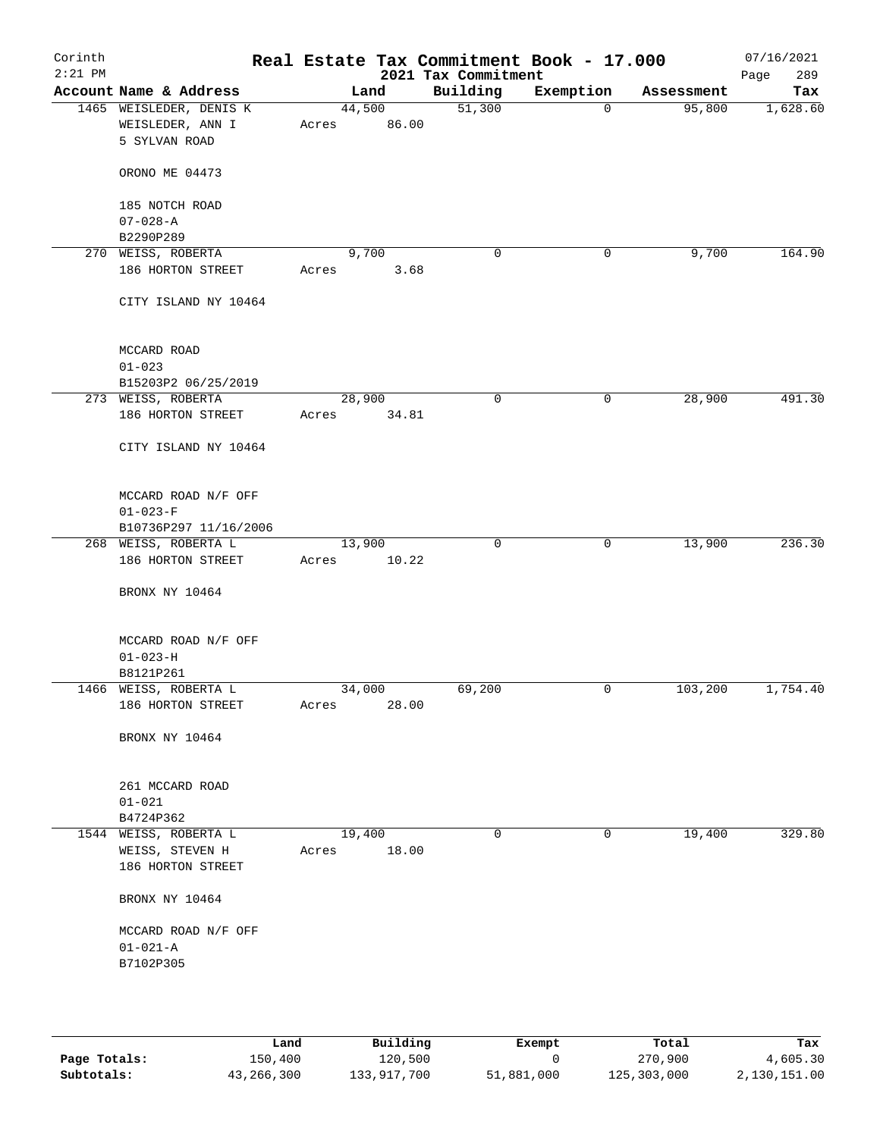| Corinth<br>$2:21$ PM |                                                               | Real Estate Tax Commitment Book - 17.000 | 2021 Tax Commitment |           |            | 07/16/2021<br>289<br>Page |
|----------------------|---------------------------------------------------------------|------------------------------------------|---------------------|-----------|------------|---------------------------|
|                      | Account Name & Address                                        | Land                                     | Building            | Exemption | Assessment | Tax                       |
|                      | 1465 WEISLEDER, DENIS K<br>WEISLEDER, ANN I<br>5 SYLVAN ROAD  | 44,500<br>86.00<br>Acres                 | 51,300              | 0         | 95,800     | 1,628.60                  |
|                      | ORONO ME 04473                                                |                                          |                     |           |            |                           |
|                      | 185 NOTCH ROAD<br>$07 - 028 - A$                              |                                          |                     |           |            |                           |
|                      | B2290P289                                                     |                                          |                     |           |            |                           |
|                      | 270 WEISS, ROBERTA                                            | 9,700                                    | 0                   | 0         | 9,700      | 164.90                    |
|                      | 186 HORTON STREET                                             | Acres<br>3.68                            |                     |           |            |                           |
|                      | CITY ISLAND NY 10464                                          |                                          |                     |           |            |                           |
|                      | MCCARD ROAD                                                   |                                          |                     |           |            |                           |
|                      | $01 - 023$                                                    |                                          |                     |           |            |                           |
|                      | B15203P2 06/25/2019                                           |                                          |                     |           |            |                           |
|                      | 273 WEISS, ROBERTA                                            | 28,900                                   | 0                   | 0         | 28,900     | 491.30                    |
|                      | 186 HORTON STREET                                             | 34.81<br>Acres                           |                     |           |            |                           |
|                      | CITY ISLAND NY 10464                                          |                                          |                     |           |            |                           |
|                      | MCCARD ROAD N/F OFF                                           |                                          |                     |           |            |                           |
|                      | $01 - 023 - F$                                                |                                          |                     |           |            |                           |
|                      | B10736P297 11/16/2006                                         |                                          |                     |           |            |                           |
|                      | 268 WEISS, ROBERTA L                                          | 13,900                                   | 0                   | 0         | 13,900     | 236.30                    |
|                      | 186 HORTON STREET                                             | 10.22<br>Acres                           |                     |           |            |                           |
|                      | BRONX NY 10464                                                |                                          |                     |           |            |                           |
|                      | MCCARD ROAD N/F OFF                                           |                                          |                     |           |            |                           |
|                      | $01 - 023 - H$                                                |                                          |                     |           |            |                           |
|                      | B8121P261                                                     |                                          |                     |           |            |                           |
|                      | 1466 WEISS, ROBERTA L<br>186 HORTON STREET                    | 34,000<br>28.00<br>Acres                 | 69,200              | 0         | 103,200    | 1,754.40                  |
|                      | BRONX NY 10464                                                |                                          |                     |           |            |                           |
|                      | 261 MCCARD ROAD                                               |                                          |                     |           |            |                           |
|                      | $01 - 021$                                                    |                                          |                     |           |            |                           |
|                      | B4724P362                                                     |                                          |                     |           |            |                           |
|                      | 1544 WEISS, ROBERTA L<br>WEISS, STEVEN H<br>186 HORTON STREET | 19,400<br>18.00<br>Acres                 | $\mathbf 0$         | 0         | 19,400     | 329.80                    |
|                      | BRONX NY 10464                                                |                                          |                     |           |            |                           |
|                      | MCCARD ROAD N/F OFF                                           |                                          |                     |           |            |                           |
|                      | $01 - 021 - A$                                                |                                          |                     |           |            |                           |
|                      | B7102P305                                                     |                                          |                     |           |            |                           |
|                      |                                                               |                                          |                     |           |            |                           |
|                      |                                                               |                                          |                     |           |            |                           |

|              | Land       | Building    | Exempt     | Total       | Tax          |
|--------------|------------|-------------|------------|-------------|--------------|
| Page Totals: | 150,400    | 120,500     |            | 270,900     | 4,605.30     |
| Subtotals:   | 43,266,300 | 133,917,700 | 51,881,000 | 125,303,000 | 2,130,151.00 |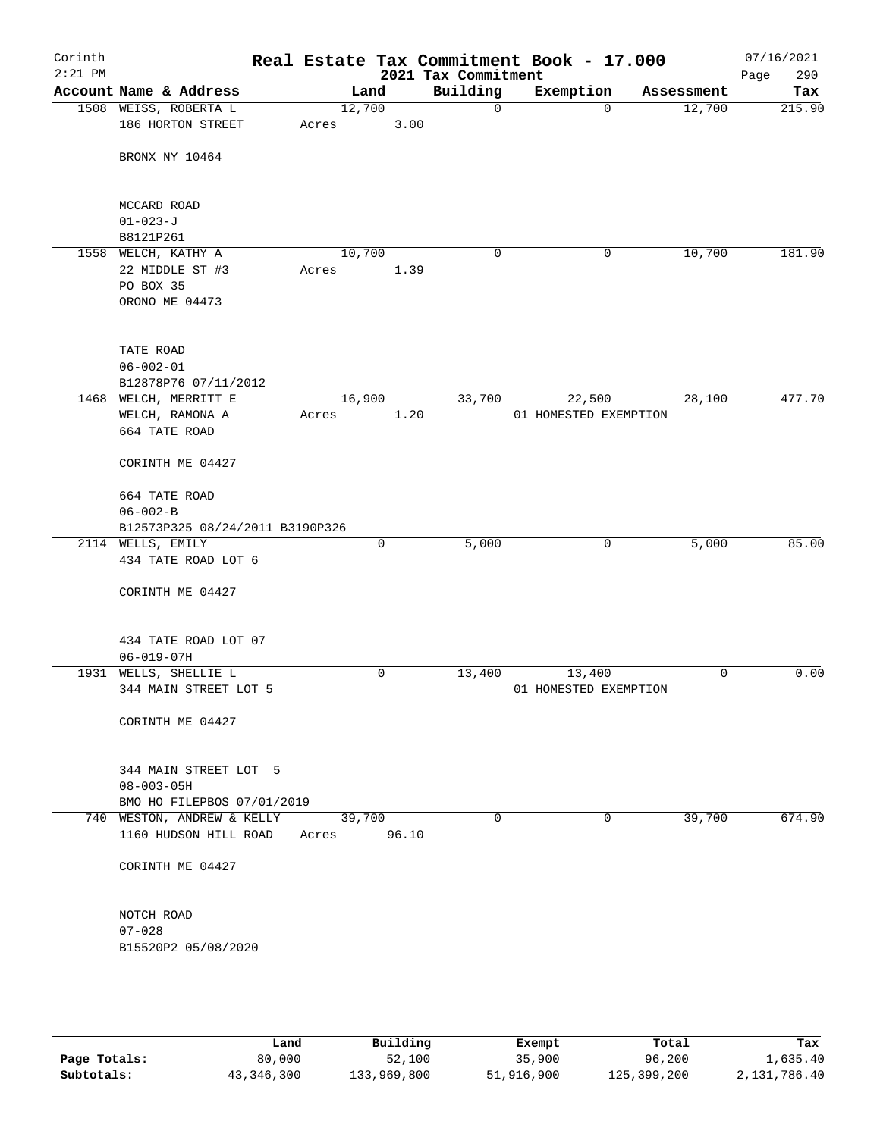| Corinth<br>$2:21$ PM |                                                          |       |        |       | 2021 Tax Commitment | Real Estate Tax Commitment Book - 17.000 |            | 07/16/2021<br>Page<br>290 |
|----------------------|----------------------------------------------------------|-------|--------|-------|---------------------|------------------------------------------|------------|---------------------------|
|                      | Account Name & Address                                   |       | Land   |       | Building            | Exemption                                | Assessment | Tax                       |
|                      | 1508 WEISS, ROBERTA L                                    |       | 12,700 |       | $\mathbf 0$         | 0                                        | 12,700     | 215.90                    |
|                      | 186 HORTON STREET                                        | Acres |        | 3.00  |                     |                                          |            |                           |
|                      | BRONX NY 10464                                           |       |        |       |                     |                                          |            |                           |
|                      | MCCARD ROAD                                              |       |        |       |                     |                                          |            |                           |
|                      | $01 - 023 - J$                                           |       |        |       |                     |                                          |            |                           |
|                      | B8121P261                                                |       |        |       |                     |                                          |            |                           |
|                      | 1558 WELCH, KATHY A<br>22 MIDDLE ST #3                   | Acres | 10,700 | 1.39  | 0                   | 0                                        | 10,700     | 181.90                    |
|                      | PO BOX 35                                                |       |        |       |                     |                                          |            |                           |
|                      | ORONO ME 04473                                           |       |        |       |                     |                                          |            |                           |
|                      | TATE ROAD                                                |       |        |       |                     |                                          |            |                           |
|                      | $06 - 002 - 01$                                          |       |        |       |                     |                                          |            |                           |
|                      | B12878P76 07/11/2012                                     |       |        |       |                     |                                          |            |                           |
|                      | 1468 WELCH, MERRITT E                                    |       | 16,900 |       | 33,700              | 22,500                                   | 28,100     | 477.70                    |
|                      | WELCH, RAMONA A                                          | Acres |        | 1.20  |                     | 01 HOMESTED EXEMPTION                    |            |                           |
|                      | 664 TATE ROAD                                            |       |        |       |                     |                                          |            |                           |
|                      | CORINTH ME 04427                                         |       |        |       |                     |                                          |            |                           |
|                      | 664 TATE ROAD                                            |       |        |       |                     |                                          |            |                           |
|                      | $06 - 002 - B$                                           |       |        |       |                     |                                          |            |                           |
|                      | B12573P325 08/24/2011 B3190P326                          |       |        |       |                     |                                          |            |                           |
|                      | 2114 WELLS, EMILY                                        |       | 0      |       | 5,000               | $\mathbf 0$                              | 5,000      | 85.00                     |
|                      | 434 TATE ROAD LOT 6                                      |       |        |       |                     |                                          |            |                           |
|                      | CORINTH ME 04427                                         |       |        |       |                     |                                          |            |                           |
|                      | 434 TATE ROAD LOT 07                                     |       |        |       |                     |                                          |            |                           |
|                      | $06 - 019 - 07H$                                         |       |        |       |                     |                                          |            |                           |
|                      | 1931 WELLS, SHELLIE L                                    |       | 0      |       | 13,400              | 13,400                                   | 0          | 0.00                      |
|                      | 344 MAIN STREET LOT 5                                    |       |        |       |                     | 01 HOMESTED EXEMPTION                    |            |                           |
|                      | CORINTH ME 04427                                         |       |        |       |                     |                                          |            |                           |
|                      |                                                          |       |        |       |                     |                                          |            |                           |
|                      | 344 MAIN STREET LOT 5                                    |       |        |       |                     |                                          |            |                           |
|                      | $08 - 003 - 05H$                                         |       |        |       |                     |                                          |            |                           |
|                      | BMO HO FILEPBOS 07/01/2019<br>740 WESTON, ANDREW & KELLY |       | 39,700 |       | $\Omega$            | 0                                        | 39,700     | 674.90                    |
|                      | 1160 HUDSON HILL ROAD                                    | Acres |        | 96.10 |                     |                                          |            |                           |
|                      | CORINTH ME 04427                                         |       |        |       |                     |                                          |            |                           |
|                      | NOTCH ROAD                                               |       |        |       |                     |                                          |            |                           |
|                      | $07 - 028$                                               |       |        |       |                     |                                          |            |                           |
|                      | B15520P2 05/08/2020                                      |       |        |       |                     |                                          |            |                           |
|                      |                                                          |       |        |       |                     |                                          |            |                           |
|                      |                                                          |       |        |       |                     |                                          |            |                           |

|              | Land       | Building    | Exempt     | Total       | Tax          |
|--------------|------------|-------------|------------|-------------|--------------|
| Page Totals: | 80,000     | 52,100      | 35,900     | 96,200      | 1,635.40     |
| Subtotals:   | 43,346,300 | 133,969,800 | 51,916,900 | 125,399,200 | 2,131,786.40 |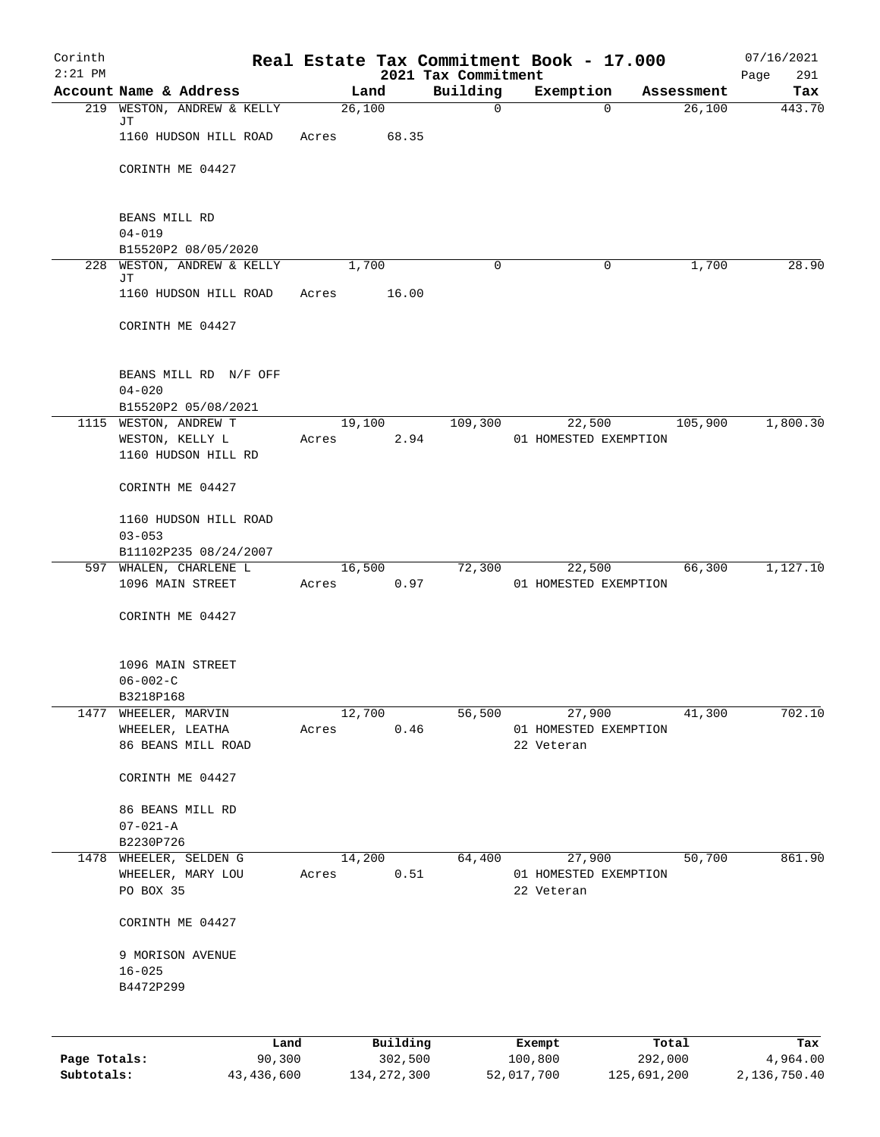| Corinth<br>$2:21$ PM |                                                   |        |                 |          | 2021 Tax Commitment | Real Estate Tax Commitment Book - 17.000 |                  | 07/16/2021<br>Page<br>291 |
|----------------------|---------------------------------------------------|--------|-----------------|----------|---------------------|------------------------------------------|------------------|---------------------------|
|                      | Account Name & Address                            |        |                 | Land     | Building            | Exemption                                | Assessment       | Tax                       |
|                      | 219 WESTON, ANDREW & KELLY                        |        |                 | 26,100   | $\mathsf{O}$        | $\Omega$                                 | 26,100           | 443.70                    |
|                      | JΤ<br>1160 HUDSON HILL ROAD                       |        | Acres           | 68.35    |                     |                                          |                  |                           |
|                      | CORINTH ME 04427                                  |        |                 |          |                     |                                          |                  |                           |
|                      | BEANS MILL RD                                     |        |                 |          |                     |                                          |                  |                           |
|                      | $04 - 019$                                        |        |                 |          |                     |                                          |                  |                           |
|                      | B15520P2 08/05/2020<br>228 WESTON, ANDREW & KELLY |        |                 | 1,700    | 0                   | 0                                        | 1,700            | 28.90                     |
|                      | JΤ                                                |        |                 |          |                     |                                          |                  |                           |
|                      | 1160 HUDSON HILL ROAD                             |        | Acres           | 16.00    |                     |                                          |                  |                           |
|                      | CORINTH ME 04427                                  |        |                 |          |                     |                                          |                  |                           |
|                      | BEANS MILL RD N/F OFF<br>$04 - 020$               |        |                 |          |                     |                                          |                  |                           |
|                      | B15520P2 05/08/2021<br>1115 WESTON, ANDREW T      |        |                 | 19,100   | 109,300             | 22,500                                   | 105,900          | 1,800.30                  |
|                      | WESTON, KELLY L                                   |        | Acres           | 2.94     |                     | 01 HOMESTED EXEMPTION                    |                  |                           |
|                      | 1160 HUDSON HILL RD                               |        |                 |          |                     |                                          |                  |                           |
|                      | CORINTH ME 04427                                  |        |                 |          |                     |                                          |                  |                           |
|                      | 1160 HUDSON HILL ROAD<br>$03 - 053$               |        |                 |          |                     |                                          |                  |                           |
|                      | B11102P235 08/24/2007                             |        |                 |          |                     |                                          |                  |                           |
|                      | 597 WHALEN, CHARLENE L                            |        |                 | 16,500   | 72,300              |                                          | 22,500<br>66,300 | 1,127.10                  |
|                      | 1096 MAIN STREET                                  |        | Acres           | 0.97     |                     | 01 HOMESTED EXEMPTION                    |                  |                           |
|                      | CORINTH ME 04427                                  |        |                 |          |                     |                                          |                  |                           |
|                      | 1096 MAIN STREET                                  |        |                 |          |                     |                                          |                  |                           |
|                      | $06 - 002 - C$                                    |        |                 |          |                     |                                          |                  |                           |
| 1477                 | B3218P168<br>WHEELER, MARVIN                      |        | 12,700          |          | 56,500              | 27,900                                   | 41,300           | 702.10                    |
|                      | WHEELER, LEATHA                                   |        | Acres           | 0.46     |                     | 01 HOMESTED EXEMPTION                    |                  |                           |
|                      | 86 BEANS MILL ROAD                                |        |                 |          |                     | 22 Veteran                               |                  |                           |
|                      | CORINTH ME 04427                                  |        |                 |          |                     |                                          |                  |                           |
|                      | 86 BEANS MILL RD                                  |        |                 |          |                     |                                          |                  |                           |
|                      | $07 - 021 - A$                                    |        |                 |          |                     |                                          |                  |                           |
|                      | B2230P726                                         |        |                 |          |                     |                                          |                  | 861.90                    |
|                      | 1478 WHEELER, SELDEN G<br>WHEELER, MARY LOU       |        | 14,200<br>Acres | 0.51     | 64,400              | 27,900<br>01 HOMESTED EXEMPTION          | 50,700           |                           |
|                      | PO BOX 35                                         |        |                 |          |                     | 22 Veteran                               |                  |                           |
|                      |                                                   |        |                 |          |                     |                                          |                  |                           |
|                      | CORINTH ME 04427                                  |        |                 |          |                     |                                          |                  |                           |
|                      | 9 MORISON AVENUE                                  |        |                 |          |                     |                                          |                  |                           |
|                      | $16 - 025$                                        |        |                 |          |                     |                                          |                  |                           |
|                      | B4472P299                                         |        |                 |          |                     |                                          |                  |                           |
|                      |                                                   |        |                 |          |                     |                                          |                  |                           |
|                      |                                                   | Land   |                 | Building |                     | Exempt                                   | Total            | Tax                       |
| Page Totals:         |                                                   | 90,300 |                 | 302,500  |                     | 100,800                                  | 292,000          | 4,964.00                  |

**Subtotals:** 43,436,600 134,272,300 52,017,700 125,691,200 2,136,750.40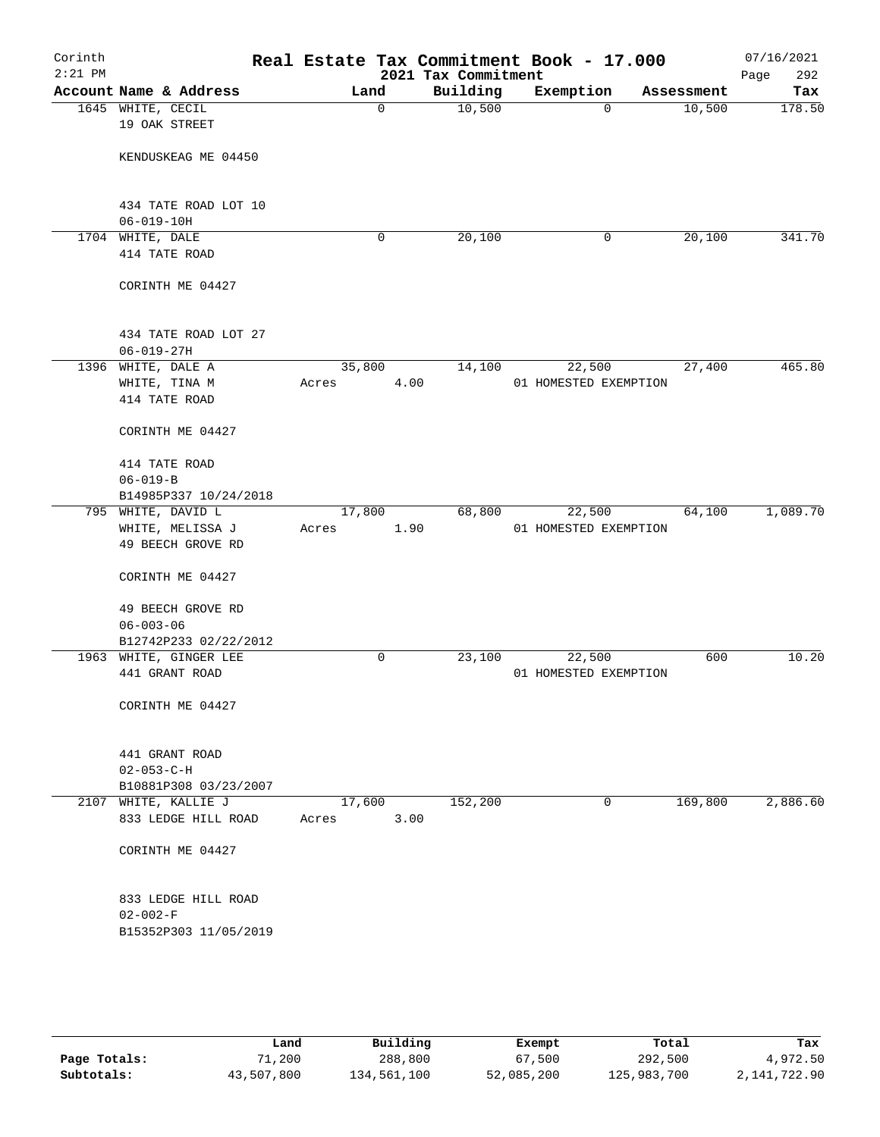| Corinth<br>$2:21$ PM |                                          |        |      | Real Estate Tax Commitment Book - 17.000<br>2021 Tax Commitment |                       |            | 07/16/2021<br>Page<br>292 |
|----------------------|------------------------------------------|--------|------|-----------------------------------------------------------------|-----------------------|------------|---------------------------|
|                      | Account Name & Address                   |        | Land | Building                                                        | Exemption             | Assessment | Tax                       |
|                      | 1645 WHITE, CECIL<br>19 OAK STREET       |        | 0    | 10,500                                                          | $\mathbf 0$           | 10,500     | 178.50                    |
|                      | KENDUSKEAG ME 04450                      |        |      |                                                                 |                       |            |                           |
|                      | 434 TATE ROAD LOT 10<br>$06 - 019 - 10H$ |        |      |                                                                 |                       |            |                           |
|                      | 1704 WHITE, DALE                         |        | 0    | 20,100                                                          | 0                     | 20,100     | 341.70                    |
|                      | 414 TATE ROAD                            |        |      |                                                                 |                       |            |                           |
|                      | CORINTH ME 04427                         |        |      |                                                                 |                       |            |                           |
|                      | 434 TATE ROAD LOT 27<br>$06 - 019 - 27H$ |        |      |                                                                 |                       |            |                           |
|                      | 1396 WHITE, DALE A                       | 35,800 |      | 14,100                                                          | 22,500                | 27,400     | 465.80                    |
|                      | WHITE, TINA M                            | Acres  |      | 4.00                                                            | 01 HOMESTED EXEMPTION |            |                           |
|                      | 414 TATE ROAD                            |        |      |                                                                 |                       |            |                           |
|                      | CORINTH ME 04427                         |        |      |                                                                 |                       |            |                           |
|                      | 414 TATE ROAD                            |        |      |                                                                 |                       |            |                           |
|                      | $06 - 019 - B$                           |        |      |                                                                 |                       |            |                           |
|                      | B14985P337 10/24/2018                    |        |      |                                                                 |                       |            |                           |
|                      | 795 WHITE, DAVID L                       | 17,800 |      | 68,800                                                          | 22,500                | 64,100     | 1,089.70                  |
|                      | WHITE, MELISSA J                         | Acres  |      | 1.90                                                            | 01 HOMESTED EXEMPTION |            |                           |
|                      | 49 BEECH GROVE RD                        |        |      |                                                                 |                       |            |                           |
|                      | CORINTH ME 04427                         |        |      |                                                                 |                       |            |                           |
|                      | 49 BEECH GROVE RD                        |        |      |                                                                 |                       |            |                           |
|                      | $06 - 003 - 06$                          |        |      |                                                                 |                       |            |                           |
|                      | B12742P233 02/22/2012                    |        |      |                                                                 |                       |            |                           |
|                      | 1963 WHITE, GINGER LEE                   |        | 0    | 23,100                                                          | 22,500                | 600        | 10.20                     |
|                      | 441 GRANT ROAD                           |        |      |                                                                 | 01 HOMESTED EXEMPTION |            |                           |
|                      | CORINTH ME 04427                         |        |      |                                                                 |                       |            |                           |
|                      | 441 GRANT ROAD                           |        |      |                                                                 |                       |            |                           |
|                      | $02 - 053 - C - H$                       |        |      |                                                                 |                       |            |                           |
|                      | B10881P308 03/23/2007                    |        |      |                                                                 |                       |            |                           |
|                      | 2107 WHITE, KALLIE J                     | 17,600 |      | 152,200                                                         | 0                     | 169,800    | 2,886.60                  |
|                      | 833 LEDGE HILL ROAD                      | Acres  |      | 3.00                                                            |                       |            |                           |
|                      | CORINTH ME 04427                         |        |      |                                                                 |                       |            |                           |
|                      | 833 LEDGE HILL ROAD                      |        |      |                                                                 |                       |            |                           |
|                      | $02 - 002 - F$                           |        |      |                                                                 |                       |            |                           |
|                      | B15352P303 11/05/2019                    |        |      |                                                                 |                       |            |                           |
|                      |                                          |        |      |                                                                 |                       |            |                           |
|                      |                                          |        |      |                                                                 |                       |            |                           |

|              | Land       | Building    | Exempt     | Total       | Tax            |
|--------------|------------|-------------|------------|-------------|----------------|
| Page Totals: | 71,200     | 288,800     | 67,500     | 292,500     | 4,972.50       |
| Subtotals:   | 43,507,800 | 134,561,100 | 52,085,200 | 125,983,700 | 2, 141, 722.90 |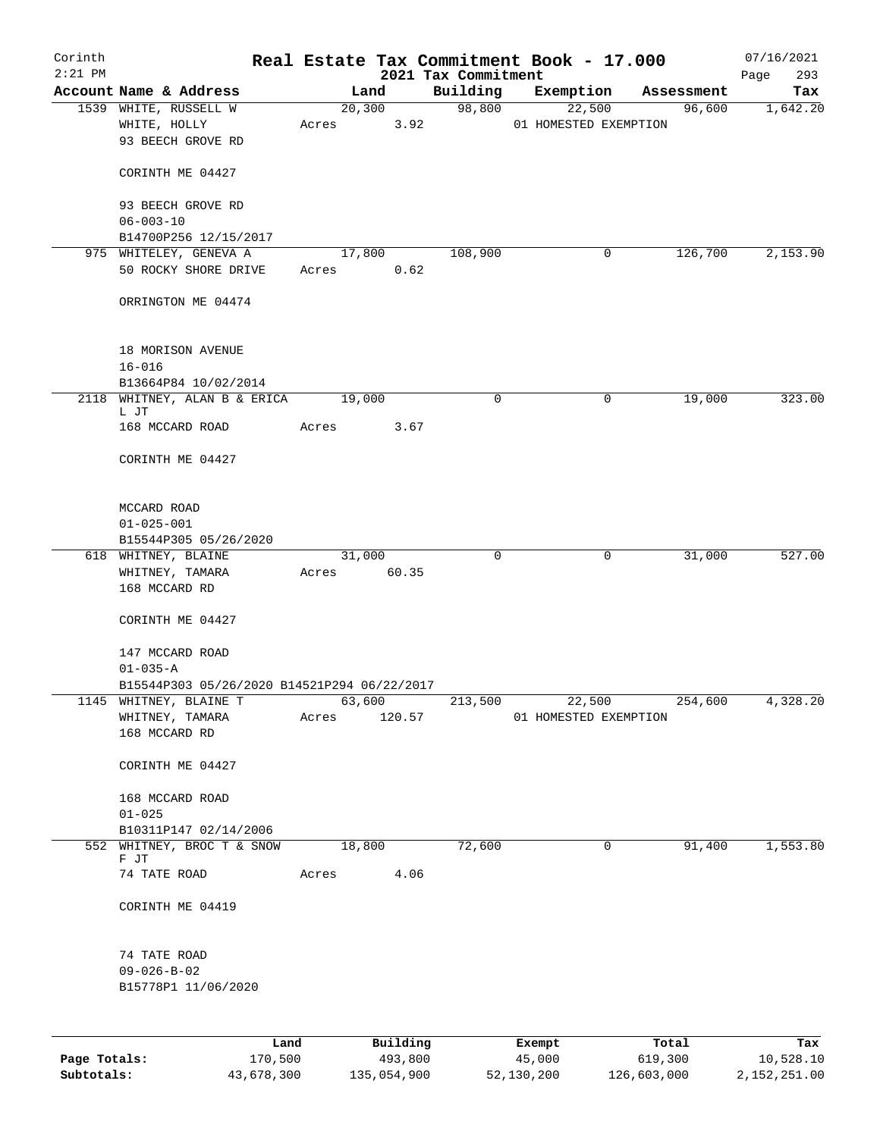| Corinth      |                                                            |        |                |                                 | Real Estate Tax Commitment Book - 17.000 |                      | 07/16/2021      |
|--------------|------------------------------------------------------------|--------|----------------|---------------------------------|------------------------------------------|----------------------|-----------------|
| $2:21$ PM    | Account Name & Address                                     |        | Land           | 2021 Tax Commitment<br>Building |                                          |                      | 293<br>Page     |
|              | 1539 WHITE, RUSSELL W                                      |        | 20,300         | 98,800                          | Exemption<br>22,500                      | Assessment<br>96,600 | Tax<br>1,642.20 |
|              | WHITE, HOLLY<br>93 BEECH GROVE RD                          | Acres  | 3.92           |                                 | 01 HOMESTED EXEMPTION                    |                      |                 |
|              | CORINTH ME 04427                                           |        |                |                                 |                                          |                      |                 |
|              | 93 BEECH GROVE RD<br>$06 - 003 - 10$                       |        |                |                                 |                                          |                      |                 |
|              | B14700P256 12/15/2017                                      |        |                |                                 |                                          |                      |                 |
|              | 975 WHITELEY, GENEVA A<br>50 ROCKY SHORE DRIVE             | Acres  | 17,800<br>0.62 | 108,900                         | $\mathbf 0$                              | 126,700              | 2,153.90        |
|              | ORRINGTON ME 04474                                         |        |                |                                 |                                          |                      |                 |
|              | 18 MORISON AVENUE<br>$16 - 016$                            |        |                |                                 |                                          |                      |                 |
|              | B13664P84 10/02/2014                                       |        |                |                                 |                                          |                      |                 |
|              | 2118 WHITNEY, ALAN B & ERICA<br>L JT                       | 19,000 |                | $\mathbf 0$                     | 0                                        | 19,000               | 323.00          |
|              | 168 MCCARD ROAD                                            | Acres  | 3.67           |                                 |                                          |                      |                 |
|              | CORINTH ME 04427                                           |        |                |                                 |                                          |                      |                 |
|              | MCCARD ROAD                                                |        |                |                                 |                                          |                      |                 |
|              | $01 - 025 - 001$                                           |        |                |                                 |                                          |                      |                 |
|              | B15544P305 05/26/2020<br>618 WHITNEY, BLAINE               |        | 31,000         | $\mathbf 0$                     | 0                                        | 31,000               | 527.00          |
|              | WHITNEY, TAMARA                                            | Acres  | 60.35          |                                 |                                          |                      |                 |
|              | 168 MCCARD RD                                              |        |                |                                 |                                          |                      |                 |
|              | CORINTH ME 04427                                           |        |                |                                 |                                          |                      |                 |
|              | 147 MCCARD ROAD<br>$01 - 035 - A$                          |        |                |                                 |                                          |                      |                 |
|              | B15544P303 05/26/2020 B14521P294 06/22/2017                |        |                |                                 |                                          |                      |                 |
| 1145         | WHITNEY, BLAINE T                                          |        | 63,600         | 213,500                         | 22,500                                   | 254,600              | 4,328.20        |
|              | WHITNEY, TAMARA<br>168 MCCARD RD                           | Acres  | 120.57         |                                 | 01 HOMESTED EXEMPTION                    |                      |                 |
|              | CORINTH ME 04427                                           |        |                |                                 |                                          |                      |                 |
|              | 168 MCCARD ROAD<br>$01 - 025$                              |        |                |                                 |                                          |                      |                 |
|              | B10311P147 02/14/2006                                      |        |                |                                 |                                          |                      |                 |
|              | 552 WHITNEY, BROC T & SNOW                                 |        | 18,800         | 72,600                          | 0                                        | 91,400               | 1,553.80        |
|              | F JT<br>74 TATE ROAD                                       | Acres  | 4.06           |                                 |                                          |                      |                 |
|              | CORINTH ME 04419                                           |        |                |                                 |                                          |                      |                 |
|              | 74 TATE ROAD<br>$09 - 026 - B - 02$<br>B15778P1 11/06/2020 |        |                |                                 |                                          |                      |                 |
|              |                                                            |        |                |                                 |                                          |                      |                 |
|              | Land                                                       |        | Building       |                                 | Exempt                                   | Total                | Tax             |
| Page Totals: | 170,500                                                    |        | 493,800        |                                 | 45,000                                   | 619,300              | 10,528.10       |

**Subtotals:** 43,678,300 135,054,900 52,130,200 126,603,000 2,152,251.00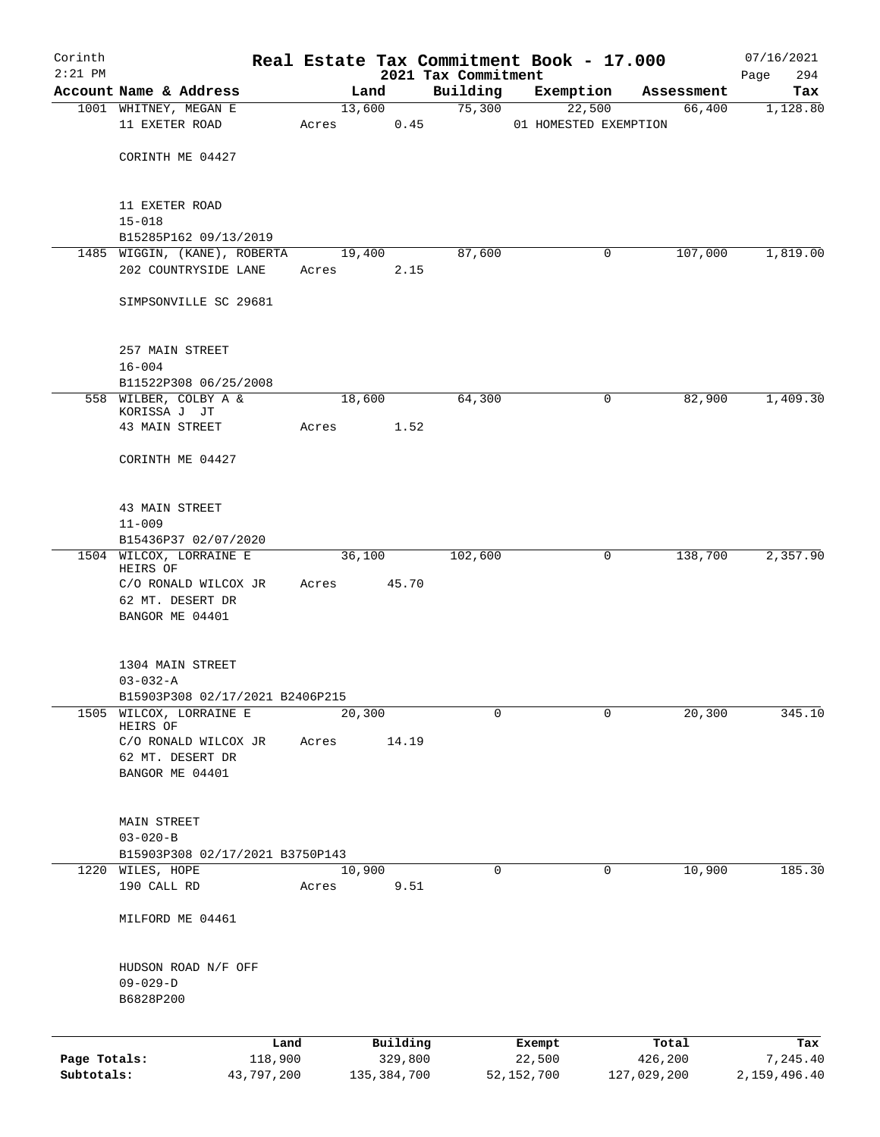| Corinth      |                                                       |            |       |                |               |                     | Real Estate Tax Commitment Book - 17.000 |   |                      | 07/16/2021      |
|--------------|-------------------------------------------------------|------------|-------|----------------|---------------|---------------------|------------------------------------------|---|----------------------|-----------------|
| $2:21$ PM    | Account Name & Address                                |            |       |                |               | 2021 Tax Commitment |                                          |   |                      | 294<br>Page     |
|              | 1001 WHITNEY, MEGAN E                                 |            |       | Land<br>13,600 |               | Building<br>75,300  | Exemption<br>22,500                      |   | Assessment<br>66,400 | Tax<br>1,128.80 |
|              | 11 EXETER ROAD                                        |            | Acres |                | 0.45          |                     | 01 HOMESTED EXEMPTION                    |   |                      |                 |
|              | CORINTH ME 04427                                      |            |       |                |               |                     |                                          |   |                      |                 |
|              | 11 EXETER ROAD<br>$15 - 018$                          |            |       |                |               |                     |                                          |   |                      |                 |
|              | B15285P162 09/13/2019                                 |            |       |                |               |                     |                                          |   |                      |                 |
|              | 1485 WIGGIN, (KANE), ROBERTA                          |            |       | 19,400         |               | 87,600              |                                          | 0 | 107,000              | 1,819.00        |
|              | 202 COUNTRYSIDE LANE                                  |            | Acres |                | 2.15          |                     |                                          |   |                      |                 |
|              | SIMPSONVILLE SC 29681                                 |            |       |                |               |                     |                                          |   |                      |                 |
|              | 257 MAIN STREET<br>$16 - 004$                         |            |       |                |               |                     |                                          |   |                      |                 |
|              | B11522P308 06/25/2008                                 |            |       |                |               |                     |                                          |   |                      |                 |
|              | 558 WILBER, COLBY A &<br>KORISSA J JT                 |            |       | 18,600         |               | 64,300              |                                          | 0 | 82,900               | 1,409.30        |
|              | 43 MAIN STREET                                        |            | Acres |                | 1.52          |                     |                                          |   |                      |                 |
|              | CORINTH ME 04427                                      |            |       |                |               |                     |                                          |   |                      |                 |
|              | 43 MAIN STREET                                        |            |       |                |               |                     |                                          |   |                      |                 |
|              | $11 - 009$                                            |            |       |                |               |                     |                                          |   |                      |                 |
|              | B15436P37 02/07/2020                                  |            |       |                |               |                     |                                          |   |                      |                 |
|              | 1504 WILCOX, LORRAINE E<br>HEIRS OF                   |            |       | 36,100         |               | 102,600             |                                          | 0 | 138,700              | 2,357.90        |
|              | C/O RONALD WILCOX JR<br>62 MT. DESERT DR              |            | Acres |                | 45.70         |                     |                                          |   |                      |                 |
|              | BANGOR ME 04401                                       |            |       |                |               |                     |                                          |   |                      |                 |
|              | 1304 MAIN STREET                                      |            |       |                |               |                     |                                          |   |                      |                 |
|              | $03 - 032 - A$                                        |            |       |                |               |                     |                                          |   |                      |                 |
|              | B15903P308 02/17/2021 B2406P215<br>WILCOX, LORRAINE E |            |       |                |               |                     |                                          |   |                      |                 |
| 1505         | HEIRS OF                                              |            |       | 20,300         |               | 0                   |                                          | 0 | 20,300               | 345.10          |
|              | C/O RONALD WILCOX JR                                  |            | Acres |                | 14.19         |                     |                                          |   |                      |                 |
|              | 62 MT. DESERT DR                                      |            |       |                |               |                     |                                          |   |                      |                 |
|              | BANGOR ME 04401                                       |            |       |                |               |                     |                                          |   |                      |                 |
|              | <b>MAIN STREET</b>                                    |            |       |                |               |                     |                                          |   |                      |                 |
|              | $03 - 020 - B$                                        |            |       |                |               |                     |                                          |   |                      |                 |
|              | B15903P308 02/17/2021 B3750P143                       |            |       |                |               |                     |                                          |   |                      |                 |
|              | 1220 WILES, HOPE                                      |            |       | 10,900         |               | 0                   |                                          | 0 | 10,900               | 185.30          |
|              | 190 CALL RD                                           |            | Acres |                | 9.51          |                     |                                          |   |                      |                 |
|              | MILFORD ME 04461                                      |            |       |                |               |                     |                                          |   |                      |                 |
|              | HUDSON ROAD N/F OFF                                   |            |       |                |               |                     |                                          |   |                      |                 |
|              | $09 - 029 - D$                                        |            |       |                |               |                     |                                          |   |                      |                 |
|              | B6828P200                                             |            |       |                |               |                     |                                          |   |                      |                 |
|              |                                                       | Land       |       |                | Building      |                     | Exempt                                   |   | Total                | Tax             |
| Page Totals: |                                                       | 118,900    |       |                | 329,800       |                     | 22,500                                   |   | 426,200              | 7,245.40        |
| Subtotals:   |                                                       | 43,797,200 |       |                | 135, 384, 700 |                     | 52, 152, 700                             |   | 127,029,200          | 2,159,496.40    |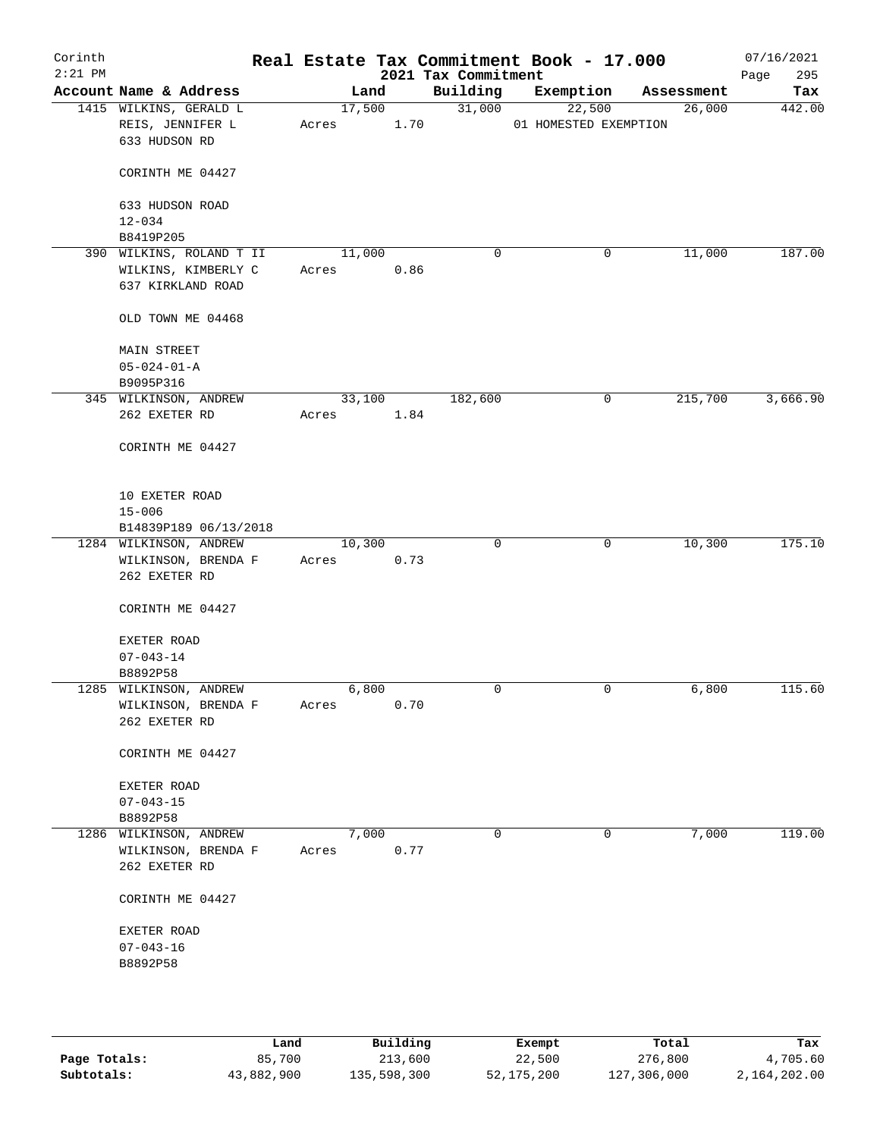| Corinth<br>$2:21$ PM |                                                             |       |        |            | 2021 Tax Commitment | Real Estate Tax Commitment Book - 17.000 |            | 07/16/2021<br>295<br>Page |
|----------------------|-------------------------------------------------------------|-------|--------|------------|---------------------|------------------------------------------|------------|---------------------------|
|                      | Account Name & Address                                      |       | Land   |            | Building            | Exemption                                | Assessment | Tax                       |
|                      | 1415 WILKINS, GERALD L<br>REIS, JENNIFER L<br>633 HUDSON RD | Acres | 17,500 | 1.70       | 31,000              | 22,500<br>01 HOMESTED EXEMPTION          | 26,000     | 442.00                    |
|                      | CORINTH ME 04427                                            |       |        |            |                     |                                          |            |                           |
|                      | 633 HUDSON ROAD<br>$12 - 034$                               |       |        |            |                     |                                          |            |                           |
|                      | B8419P205                                                   |       |        |            |                     |                                          |            |                           |
|                      | 390 WILKINS, ROLAND T II                                    |       | 11,000 |            | $\mathbf 0$         | 0                                        | 11,000     | 187.00                    |
|                      | WILKINS, KIMBERLY C                                         | Acres |        | 0.86       |                     |                                          |            |                           |
|                      | 637 KIRKLAND ROAD                                           |       |        |            |                     |                                          |            |                           |
|                      | OLD TOWN ME 04468                                           |       |        |            |                     |                                          |            |                           |
|                      | <b>MAIN STREET</b>                                          |       |        |            |                     |                                          |            |                           |
|                      | $05 - 024 - 01 - A$                                         |       |        |            |                     |                                          |            |                           |
|                      | B9095P316                                                   |       |        |            |                     |                                          |            |                           |
|                      | 345 WILKINSON, ANDREW                                       |       | 33,100 |            | 182,600             | 0                                        | 215,700    | 3,666.90                  |
|                      | 262 EXETER RD                                               | Acres |        | 1.84       |                     |                                          |            |                           |
|                      | CORINTH ME 04427                                            |       |        |            |                     |                                          |            |                           |
|                      | 10 EXETER ROAD                                              |       |        |            |                     |                                          |            |                           |
|                      | $15 - 006$                                                  |       |        |            |                     |                                          |            |                           |
|                      | B14839P189 06/13/2018                                       |       |        |            |                     |                                          |            |                           |
|                      | 1284 WILKINSON, ANDREW                                      |       | 10,300 |            | $\mathbf 0$         | 0                                        | 10,300     | 175.10                    |
|                      | WILKINSON, BRENDA F                                         | Acres |        | 0.73       |                     |                                          |            |                           |
|                      | 262 EXETER RD                                               |       |        |            |                     |                                          |            |                           |
|                      | CORINTH ME 04427                                            |       |        |            |                     |                                          |            |                           |
|                      | EXETER ROAD                                                 |       |        |            |                     |                                          |            |                           |
|                      | $07 - 043 - 14$                                             |       |        |            |                     |                                          |            |                           |
|                      | B8892P58                                                    |       |        |            |                     |                                          |            |                           |
|                      | 1285 WILKINSON, ANDREW                                      |       | 6,800  |            | $\mathbf 0$         | 0                                        | 6,800      | 115.60                    |
|                      | WILKINSON, BRENDA F                                         | Acres |        | $0\,.\,70$ |                     |                                          |            |                           |
|                      | 262 EXETER RD                                               |       |        |            |                     |                                          |            |                           |
|                      | CORINTH ME 04427                                            |       |        |            |                     |                                          |            |                           |
|                      | EXETER ROAD                                                 |       |        |            |                     |                                          |            |                           |
|                      | $07 - 043 - 15$                                             |       |        |            |                     |                                          |            |                           |
|                      | B8892P58                                                    |       |        |            |                     |                                          |            |                           |
|                      | 1286 WILKINSON, ANDREW                                      |       | 7,000  |            | $\mathbf 0$         | 0                                        | 7,000      | 119.00                    |
|                      | WILKINSON, BRENDA F                                         | Acres |        | 0.77       |                     |                                          |            |                           |
|                      | 262 EXETER RD                                               |       |        |            |                     |                                          |            |                           |
|                      | CORINTH ME 04427                                            |       |        |            |                     |                                          |            |                           |
|                      | EXETER ROAD                                                 |       |        |            |                     |                                          |            |                           |
|                      | $07 - 043 - 16$                                             |       |        |            |                     |                                          |            |                           |
|                      | B8892P58                                                    |       |        |            |                     |                                          |            |                           |
|                      |                                                             |       |        |            |                     |                                          |            |                           |
|                      |                                                             |       |        |            |                     |                                          |            |                           |

|              | Land       | Building    | Exempt     | Total       | Tax          |
|--------------|------------|-------------|------------|-------------|--------------|
| Page Totals: | 85,700     | 213,600     | 22,500     | 276,800     | 4,705.60     |
| Subtotals:   | 43,882,900 | 135,598,300 | 52,175,200 | 127,306,000 | 2,164,202.00 |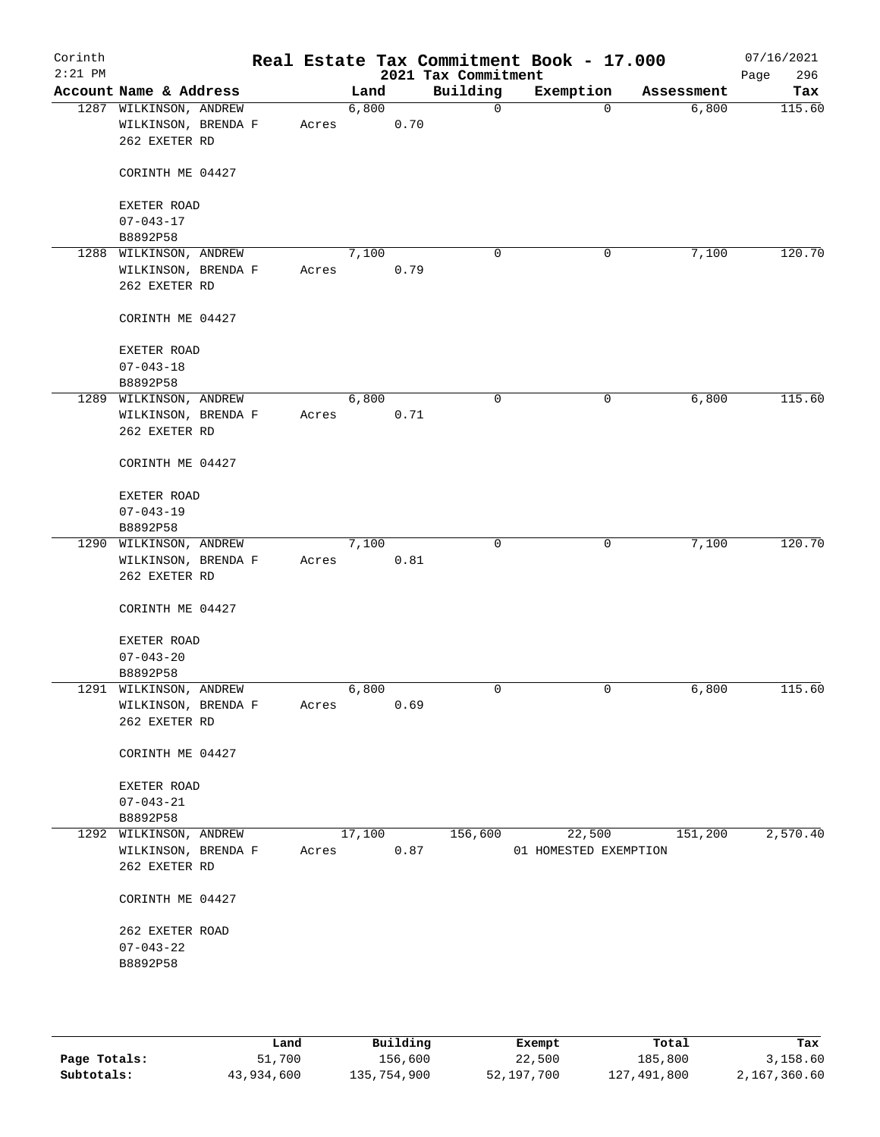| Corinth<br>$2:21$ PM |                                                                |  |       |        |      | 2021 Tax Commitment | Real Estate Tax Commitment Book - 17.000 |            | 07/16/2021<br>296<br>Page |
|----------------------|----------------------------------------------------------------|--|-------|--------|------|---------------------|------------------------------------------|------------|---------------------------|
|                      | Account Name & Address                                         |  |       | Land   |      | Building            | Exemption                                | Assessment | Tax                       |
|                      | 1287 WILKINSON, ANDREW<br>WILKINSON, BRENDA F<br>262 EXETER RD |  | Acres | 6,800  | 0.70 | $\mathsf{O}$        | $\mathbf 0$                              | 6,800      | 115.60                    |
|                      | CORINTH ME 04427                                               |  |       |        |      |                     |                                          |            |                           |
|                      | EXETER ROAD<br>$07 - 043 - 17$                                 |  |       |        |      |                     |                                          |            |                           |
|                      | B8892P58                                                       |  |       |        |      |                     |                                          |            |                           |
| 1288                 | WILKINSON, ANDREW                                              |  |       | 7,100  |      | $\mathbf 0$         | 0                                        | 7,100      | 120.70                    |
|                      | WILKINSON, BRENDA F                                            |  | Acres |        | 0.79 |                     |                                          |            |                           |
|                      | 262 EXETER RD                                                  |  |       |        |      |                     |                                          |            |                           |
|                      | CORINTH ME 04427                                               |  |       |        |      |                     |                                          |            |                           |
|                      | EXETER ROAD                                                    |  |       |        |      |                     |                                          |            |                           |
|                      | $07 - 043 - 18$                                                |  |       |        |      |                     |                                          |            |                           |
|                      | B8892P58                                                       |  |       |        |      |                     |                                          |            |                           |
|                      | 1289 WILKINSON, ANDREW                                         |  |       | 6,800  |      | 0                   | 0                                        | 6,800      | 115.60                    |
|                      | WILKINSON, BRENDA F                                            |  | Acres |        | 0.71 |                     |                                          |            |                           |
|                      | 262 EXETER RD                                                  |  |       |        |      |                     |                                          |            |                           |
|                      | CORINTH ME 04427                                               |  |       |        |      |                     |                                          |            |                           |
|                      | EXETER ROAD                                                    |  |       |        |      |                     |                                          |            |                           |
|                      | $07 - 043 - 19$                                                |  |       |        |      |                     |                                          |            |                           |
|                      | B8892P58                                                       |  |       |        |      |                     |                                          |            |                           |
|                      | 1290 WILKINSON, ANDREW                                         |  |       | 7,100  |      | $\mathbf 0$         | 0                                        | 7,100      | 120.70                    |
|                      | WILKINSON, BRENDA F                                            |  | Acres |        | 0.81 |                     |                                          |            |                           |
|                      | 262 EXETER RD                                                  |  |       |        |      |                     |                                          |            |                           |
|                      | CORINTH ME 04427                                               |  |       |        |      |                     |                                          |            |                           |
|                      | EXETER ROAD                                                    |  |       |        |      |                     |                                          |            |                           |
|                      | $07 - 043 - 20$                                                |  |       |        |      |                     |                                          |            |                           |
|                      | B8892P58                                                       |  |       |        |      |                     |                                          |            |                           |
|                      | 1291 WILKINSON, ANDREW                                         |  |       | 6,800  |      | 0                   | 0                                        | 6,800      | 115.60                    |
|                      | WILKINSON, BRENDA F                                            |  | Acres |        | 0.69 |                     |                                          |            |                           |
|                      | 262 EXETER RD                                                  |  |       |        |      |                     |                                          |            |                           |
|                      | CORINTH ME 04427                                               |  |       |        |      |                     |                                          |            |                           |
|                      |                                                                |  |       |        |      |                     |                                          |            |                           |
|                      | EXETER ROAD                                                    |  |       |        |      |                     |                                          |            |                           |
|                      | $07 - 043 - 21$                                                |  |       |        |      |                     |                                          |            |                           |
|                      | B8892P58                                                       |  |       |        |      |                     |                                          |            |                           |
|                      | 1292 WILKINSON, ANDREW                                         |  |       | 17,100 |      | 156,600             | 22,500                                   | 151,200    | 2,570.40                  |
|                      | WILKINSON, BRENDA F                                            |  | Acres |        | 0.87 |                     | 01 HOMESTED EXEMPTION                    |            |                           |
|                      | 262 EXETER RD                                                  |  |       |        |      |                     |                                          |            |                           |
|                      | CORINTH ME 04427                                               |  |       |        |      |                     |                                          |            |                           |
|                      | 262 EXETER ROAD                                                |  |       |        |      |                     |                                          |            |                           |
|                      | $07 - 043 - 22$                                                |  |       |        |      |                     |                                          |            |                           |
|                      | B8892P58                                                       |  |       |        |      |                     |                                          |            |                           |
|                      |                                                                |  |       |        |      |                     |                                          |            |                           |
|                      |                                                                |  |       |        |      |                     |                                          |            |                           |
|                      |                                                                |  |       |        |      |                     |                                          |            |                           |

|              | Land       | Building    | Exempt     | Total       | Tax          |
|--------------|------------|-------------|------------|-------------|--------------|
| Page Totals: | 51,700     | 156,600     | 22,500     | 185,800     | 3,158.60     |
| Subtotals:   | 43,934,600 | 135,754,900 | 52,197,700 | 127,491,800 | 2,167,360.60 |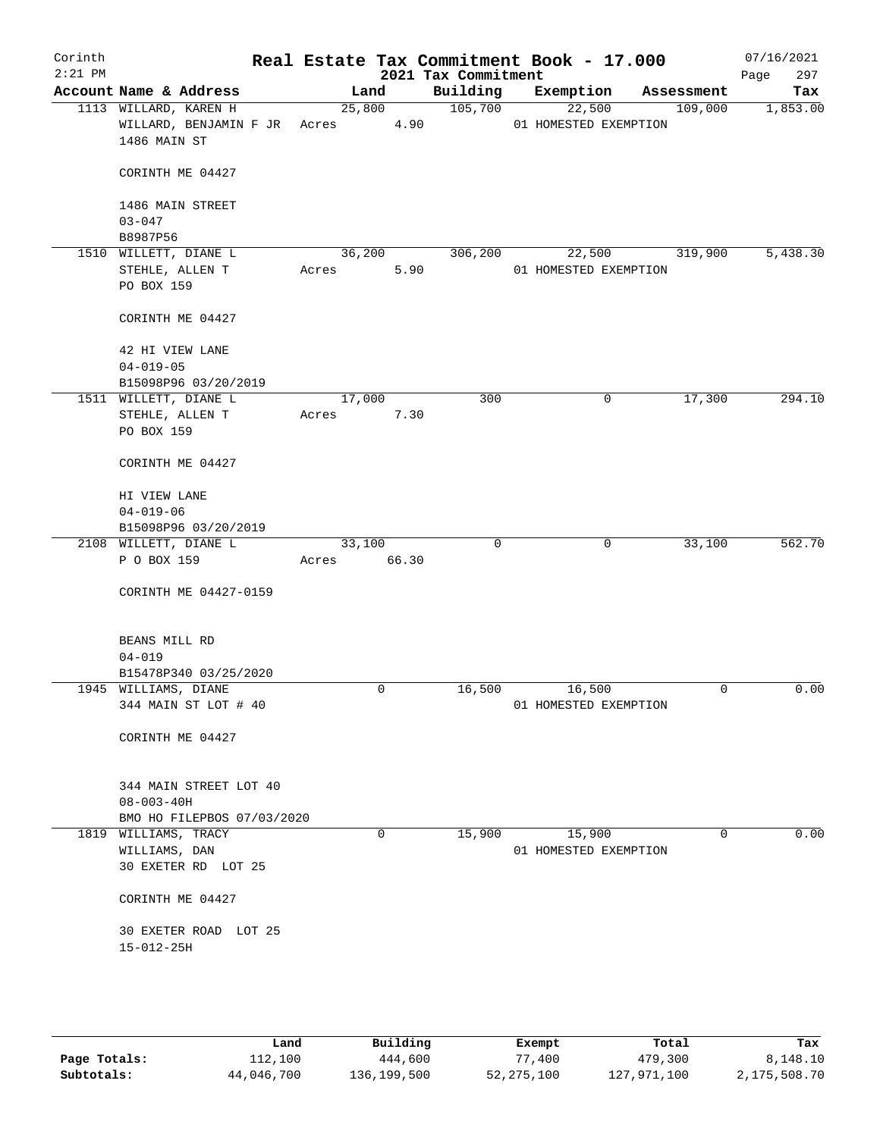| Corinth<br>$2:21$ PM |                                                                            |        |             | Real Estate Tax Commitment Book - 17.000<br>2021 Tax Commitment |                                 |             | 07/16/2021<br>297<br>Page |
|----------------------|----------------------------------------------------------------------------|--------|-------------|-----------------------------------------------------------------|---------------------------------|-------------|---------------------------|
|                      | Account Name & Address                                                     |        | Land        | Building                                                        | Exemption                       | Assessment  | Tax                       |
|                      | 1113 WILLARD, KAREN H<br>WILLARD, BENJAMIN F JR Acres 4.90<br>1486 MAIN ST |        | 25,800      | 105,700                                                         | 22,500<br>01 HOMESTED EXEMPTION | 109,000     | 1,853.00                  |
|                      | CORINTH ME 04427                                                           |        |             |                                                                 |                                 |             |                           |
|                      | 1486 MAIN STREET                                                           |        |             |                                                                 |                                 |             |                           |
|                      | $03 - 047$<br>B8987P56                                                     |        |             |                                                                 |                                 |             |                           |
|                      | 1510 WILLETT, DIANE L                                                      |        | 36,200      | 306,200                                                         | 22,500                          | 319,900     | 5,438.30                  |
|                      | STEHLE, ALLEN T<br>PO BOX 159                                              | Acres  | 5.90        |                                                                 | 01 HOMESTED EXEMPTION           |             |                           |
|                      | CORINTH ME 04427                                                           |        |             |                                                                 |                                 |             |                           |
|                      | 42 HI VIEW LANE<br>$04 - 019 - 05$                                         |        |             |                                                                 |                                 |             |                           |
|                      | B15098P96 03/20/2019                                                       |        |             |                                                                 |                                 |             |                           |
|                      | 1511 WILLETT, DIANE L                                                      | 17,000 |             | 300                                                             | 0                               | 17,300      | 294.10                    |
|                      | STEHLE, ALLEN T<br>PO BOX 159                                              | Acres  | 7.30        |                                                                 |                                 |             |                           |
|                      | CORINTH ME 04427                                                           |        |             |                                                                 |                                 |             |                           |
|                      | HI VIEW LANE                                                               |        |             |                                                                 |                                 |             |                           |
|                      | $04 - 019 - 06$                                                            |        |             |                                                                 |                                 |             |                           |
|                      | B15098P96 03/20/2019                                                       |        |             |                                                                 |                                 |             |                           |
|                      | 2108 WILLETT, DIANE L                                                      | 33,100 |             | 0                                                               | 0                               | 33,100      | 562.70                    |
|                      | P O BOX 159                                                                | Acres  | 66.30       |                                                                 |                                 |             |                           |
|                      | CORINTH ME 04427-0159                                                      |        |             |                                                                 |                                 |             |                           |
|                      | BEANS MILL RD                                                              |        |             |                                                                 |                                 |             |                           |
|                      | $04 - 019$<br>B15478P340 03/25/2020                                        |        |             |                                                                 |                                 |             |                           |
|                      | 1945 WILLIAMS, DIANE                                                       |        | $\mathbf 0$ | 16,500                                                          | 16,500                          | $\mathbf 0$ | 0.00                      |
|                      | 344 MAIN ST LOT # 40                                                       |        |             |                                                                 | 01 HOMESTED EXEMPTION           |             |                           |
|                      | CORINTH ME 04427                                                           |        |             |                                                                 |                                 |             |                           |
|                      | 344 MAIN STREET LOT 40<br>$08 - 003 - 40H$                                 |        |             |                                                                 |                                 |             |                           |
|                      | BMO HO FILEPBOS 07/03/2020                                                 |        |             |                                                                 |                                 |             |                           |
|                      | 1819 WILLIAMS, TRACY                                                       |        | $\Omega$    | 15,900                                                          | 15,900                          | $\Omega$    | 0.00                      |
|                      | WILLIAMS, DAN                                                              |        |             |                                                                 | 01 HOMESTED EXEMPTION           |             |                           |
|                      | 30 EXETER RD LOT 25                                                        |        |             |                                                                 |                                 |             |                           |
|                      | CORINTH ME 04427                                                           |        |             |                                                                 |                                 |             |                           |
|                      | 30 EXETER ROAD LOT 25                                                      |        |             |                                                                 |                                 |             |                           |
|                      | $15 - 012 - 25H$                                                           |        |             |                                                                 |                                 |             |                           |
|                      |                                                                            |        |             |                                                                 |                                 |             |                           |
|                      |                                                                            |        |             |                                                                 |                                 |             |                           |

|              | Land       | Building    | Exempt       | Total       | Tax          |
|--------------|------------|-------------|--------------|-------------|--------------|
| Page Totals: | 112,100    | 444,600     | 77,400       | 479,300     | 8,148.10     |
| Subtotals:   | 44,046,700 | 136,199,500 | 52, 275, 100 | 127,971,100 | 2,175,508.70 |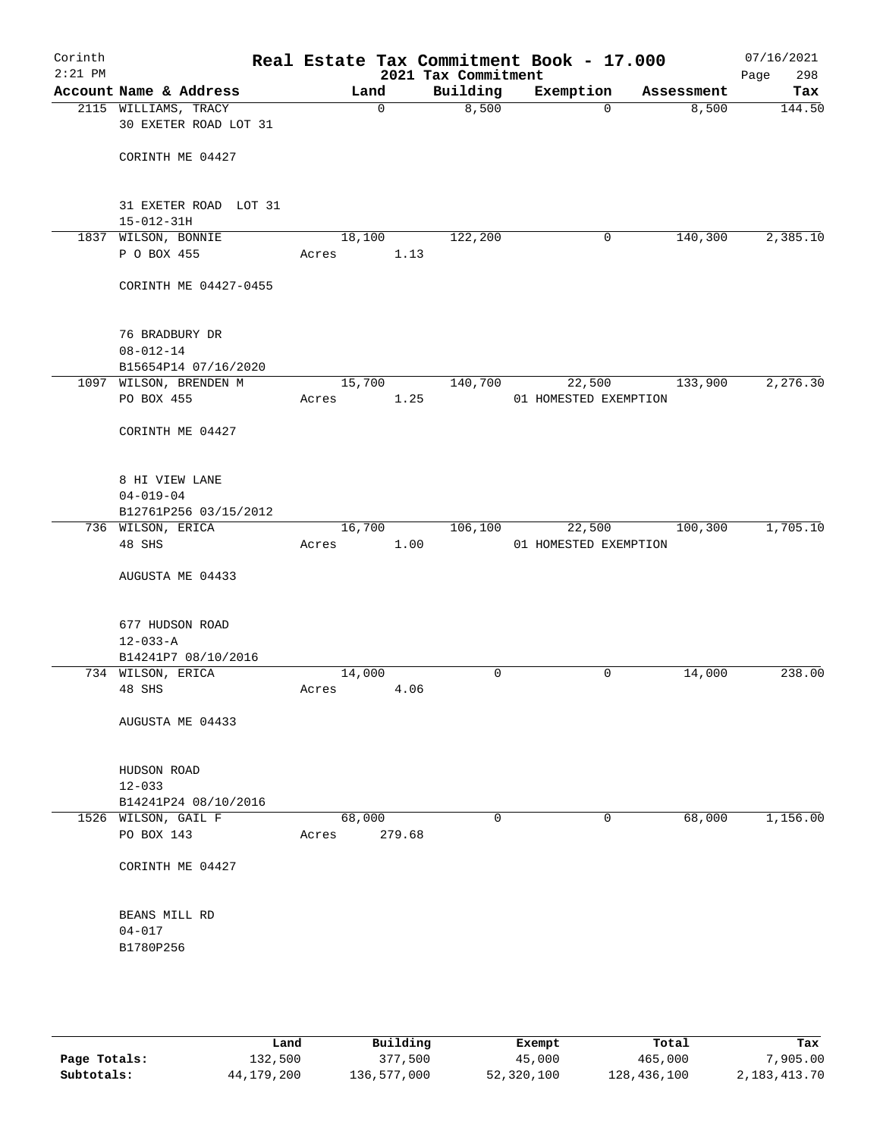| Corinth<br>$2:21$ PM |                                               |                 |             | 2021 Tax Commitment | Real Estate Tax Commitment Book - 17.000 |            | 07/16/2021<br>Page<br>298 |
|----------------------|-----------------------------------------------|-----------------|-------------|---------------------|------------------------------------------|------------|---------------------------|
|                      | Account Name & Address                        |                 | Land        | Building            | Exemption                                | Assessment | Tax                       |
|                      | 2115 WILLIAMS, TRACY<br>30 EXETER ROAD LOT 31 |                 | $\mathbf 0$ | 8,500               | 0                                        | 8,500      | 144.50                    |
|                      | CORINTH ME 04427                              |                 |             |                     |                                          |            |                           |
|                      | 31 EXETER ROAD LOT 31<br>$15 - 012 - 31H$     |                 |             |                     |                                          |            |                           |
|                      | 1837 WILSON, BONNIE                           | 18,100          |             | 122,200             | 0                                        | 140,300    | 2,385.10                  |
|                      | P O BOX 455                                   | Acres           | 1.13        |                     |                                          |            |                           |
|                      | CORINTH ME 04427-0455                         |                 |             |                     |                                          |            |                           |
|                      | 76 BRADBURY DR<br>$08 - 012 - 14$             |                 |             |                     |                                          |            |                           |
|                      | B15654P14 07/16/2020                          |                 |             |                     |                                          |            |                           |
|                      | 1097 WILSON, BRENDEN M                        | 15,700          |             | 140,700             | 22,500                                   | 133,900    | 2, 276.30                 |
|                      | PO BOX 455                                    | Acres           | 1.25        |                     | 01 HOMESTED EXEMPTION                    |            |                           |
|                      | CORINTH ME 04427                              |                 |             |                     |                                          |            |                           |
|                      | 8 HI VIEW LANE<br>$04 - 019 - 04$             |                 |             |                     |                                          |            |                           |
|                      | B12761P256 03/15/2012                         |                 |             |                     |                                          |            |                           |
|                      | 736 WILSON, ERICA                             | 16,700          |             | 106,100             | 22,500                                   | 100,300    | 1,705.10                  |
|                      | 48 SHS                                        | Acres           | 1.00        |                     | 01 HOMESTED EXEMPTION                    |            |                           |
|                      | AUGUSTA ME 04433                              |                 |             |                     |                                          |            |                           |
|                      | 677 HUDSON ROAD                               |                 |             |                     |                                          |            |                           |
|                      | $12 - 033 - A$                                |                 |             |                     |                                          |            |                           |
|                      | B14241P7 08/10/2016                           |                 |             |                     |                                          |            |                           |
|                      | 734 WILSON, ERICA                             | 14,000          |             | 0                   | 0                                        | 14,000     | 238.00                    |
|                      | 48 SHS                                        | Acres           | 4.06        |                     |                                          |            |                           |
|                      | AUGUSTA ME 04433                              |                 |             |                     |                                          |            |                           |
|                      | HUDSON ROAD                                   |                 |             |                     |                                          |            |                           |
|                      | $12 - 033$                                    |                 |             |                     |                                          |            |                           |
|                      | B14241P24 08/10/2016                          |                 |             |                     |                                          |            |                           |
|                      | 1526 WILSON, GAIL F<br>PO BOX 143             | 68,000<br>Acres | 279.68      | 0                   | 0                                        | 68,000     | 1,156.00                  |
|                      |                                               |                 |             |                     |                                          |            |                           |
|                      | CORINTH ME 04427                              |                 |             |                     |                                          |            |                           |
|                      | BEANS MILL RD                                 |                 |             |                     |                                          |            |                           |
|                      | $04 - 017$                                    |                 |             |                     |                                          |            |                           |
|                      | B1780P256                                     |                 |             |                     |                                          |            |                           |
|                      |                                               |                 |             |                     |                                          |            |                           |
|                      |                                               |                 |             |                     |                                          |            |                           |
|                      |                                               |                 |             |                     |                                          |            |                           |

|              | Land       | Building    | Exempt     | Total       | Tax          |
|--------------|------------|-------------|------------|-------------|--------------|
| Page Totals: | 132,500    | 377,500     | 45,000     | 465,000     | 7,905.00     |
| Subtotals:   | 44,179,200 | 136,577,000 | 52,320,100 | 128,436,100 | 2,183,413.70 |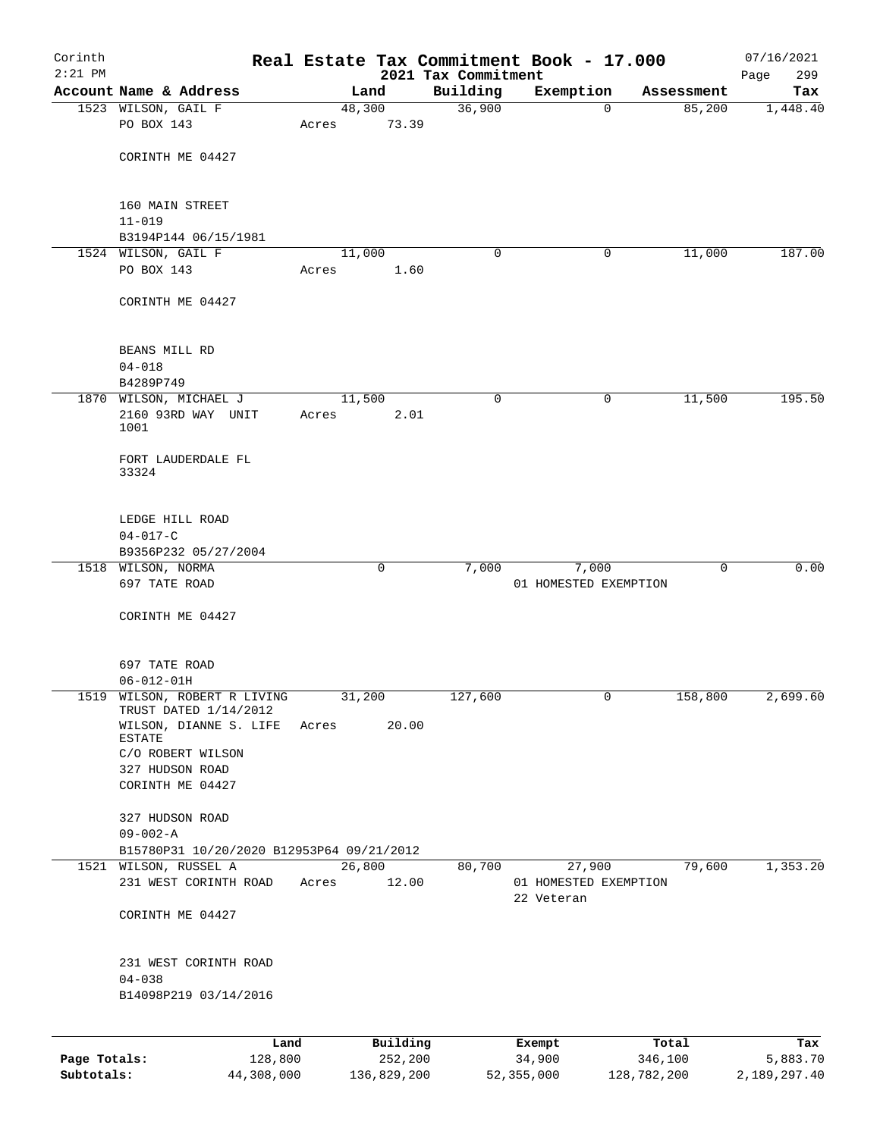| Corinth<br>$2:21$ PM |                                                |       |                 | 2021 Tax Commitment | Real Estate Tax Commitment Book - 17.000 |             | 07/16/2021<br>Page<br>299 |
|----------------------|------------------------------------------------|-------|-----------------|---------------------|------------------------------------------|-------------|---------------------------|
|                      | Account Name & Address                         |       | Land            | Building            | Exemption                                | Assessment  | Tax                       |
|                      | 1523 WILSON, GAIL F                            |       | 48,300          | 36,900              | $\mathbf 0$                              | 85,200      | 1,448.40                  |
|                      | PO BOX 143                                     | Acres | 73.39           |                     |                                          |             |                           |
|                      |                                                |       |                 |                     |                                          |             |                           |
|                      | CORINTH ME 04427                               |       |                 |                     |                                          |             |                           |
|                      |                                                |       |                 |                     |                                          |             |                           |
|                      |                                                |       |                 |                     |                                          |             |                           |
|                      | 160 MAIN STREET<br>$11 - 019$                  |       |                 |                     |                                          |             |                           |
|                      | B3194P144 06/15/1981                           |       |                 |                     |                                          |             |                           |
|                      | 1524 WILSON, GAIL F                            |       | 11,000          | 0                   | 0                                        | 11,000      | 187.00                    |
|                      | PO BOX 143                                     | Acres | 1.60            |                     |                                          |             |                           |
|                      |                                                |       |                 |                     |                                          |             |                           |
|                      | CORINTH ME 04427                               |       |                 |                     |                                          |             |                           |
|                      |                                                |       |                 |                     |                                          |             |                           |
|                      | BEANS MILL RD                                  |       |                 |                     |                                          |             |                           |
|                      | $04 - 018$                                     |       |                 |                     |                                          |             |                           |
|                      | B4289P749                                      |       |                 |                     |                                          |             |                           |
|                      | 1870 WILSON, MICHAEL J                         |       | 11,500          | 0                   | 0                                        | 11,500      | 195.50                    |
|                      | 2160 93RD WAY UNIT                             | Acres | 2.01            |                     |                                          |             |                           |
|                      | 1001                                           |       |                 |                     |                                          |             |                           |
|                      |                                                |       |                 |                     |                                          |             |                           |
|                      | FORT LAUDERDALE FL<br>33324                    |       |                 |                     |                                          |             |                           |
|                      |                                                |       |                 |                     |                                          |             |                           |
|                      |                                                |       |                 |                     |                                          |             |                           |
|                      | LEDGE HILL ROAD                                |       |                 |                     |                                          |             |                           |
|                      | $04 - 017 - C$<br>B9356P232 05/27/2004         |       |                 |                     |                                          |             |                           |
|                      | 1518 WILSON, NORMA                             |       | 0               | 7,000               | 7,000                                    | $\mathbf 0$ | 0.00                      |
|                      | 697 TATE ROAD                                  |       |                 |                     | 01 HOMESTED EXEMPTION                    |             |                           |
|                      |                                                |       |                 |                     |                                          |             |                           |
|                      | CORINTH ME 04427                               |       |                 |                     |                                          |             |                           |
|                      |                                                |       |                 |                     |                                          |             |                           |
|                      |                                                |       |                 |                     |                                          |             |                           |
|                      | 697 TATE ROAD<br>$06 - 012 - 01H$              |       |                 |                     |                                          |             |                           |
|                      | 1519 WILSON, ROBERT R LIVING                   |       | 31,200          | 127,600             | 0                                        | 158,800     | 2,699.60                  |
|                      | TRUST DATED 1/14/2012                          |       |                 |                     |                                          |             |                           |
|                      | WILSON, DIANNE S. LIFE                         | Acres | 20.00           |                     |                                          |             |                           |
|                      | ESTATE<br>C/O ROBERT WILSON                    |       |                 |                     |                                          |             |                           |
|                      | 327 HUDSON ROAD                                |       |                 |                     |                                          |             |                           |
|                      | CORINTH ME 04427                               |       |                 |                     |                                          |             |                           |
|                      |                                                |       |                 |                     |                                          |             |                           |
|                      | 327 HUDSON ROAD                                |       |                 |                     |                                          |             |                           |
|                      | $09 - 002 - A$                                 |       |                 |                     |                                          |             |                           |
|                      | B15780P31 10/20/2020 B12953P64 09/21/2012      |       |                 |                     |                                          |             |                           |
|                      | 1521 WILSON, RUSSEL A<br>231 WEST CORINTH ROAD | Acres | 26,800<br>12.00 | 80,700              | 27,900<br>01 HOMESTED EXEMPTION          | 79,600      | 1,353.20                  |
|                      |                                                |       |                 |                     | 22 Veteran                               |             |                           |
|                      | CORINTH ME 04427                               |       |                 |                     |                                          |             |                           |
|                      |                                                |       |                 |                     |                                          |             |                           |
|                      |                                                |       |                 |                     |                                          |             |                           |
|                      | 231 WEST CORINTH ROAD                          |       |                 |                     |                                          |             |                           |
|                      | $04 - 038$<br>B14098P219 03/14/2016            |       |                 |                     |                                          |             |                           |
|                      |                                                |       |                 |                     |                                          |             |                           |
|                      |                                                |       |                 |                     |                                          |             |                           |
|                      |                                                | Land  | Building        |                     | Exempt                                   | Total       | Tax                       |
| Page Totals:         | 128,800                                        |       | 252,200         |                     | 34,900                                   | 346,100     | 5,883.70                  |

**Subtotals:** 44,308,000 136,829,200 52,355,000 128,782,200 2,189,297.40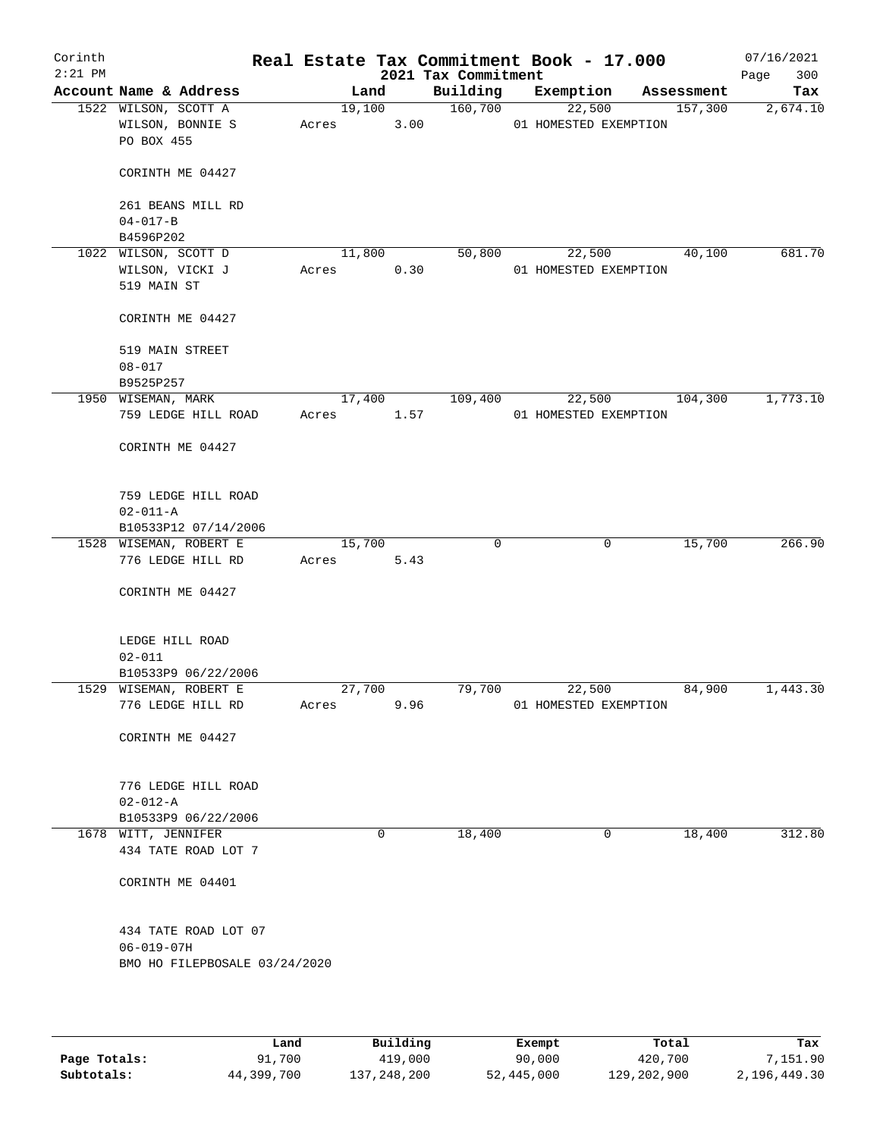| Corinth<br>$2:21$ PM |                                                        |            |        |      | Real Estate Tax Commitment Book - 17.000<br>2021 Tax Commitment |                                 |              |            | 07/16/2021<br>300<br>Page |
|----------------------|--------------------------------------------------------|------------|--------|------|-----------------------------------------------------------------|---------------------------------|--------------|------------|---------------------------|
|                      | Account Name & Address                                 |            | Land   |      | Building                                                        | Exemption                       |              | Assessment | Tax                       |
|                      | 1522 WILSON, SCOTT A<br>WILSON, BONNIE S<br>PO BOX 455 | Acres      | 19,100 | 3.00 | 160,700                                                         | 22,500<br>01 HOMESTED EXEMPTION |              | 157,300    | 2,674.10                  |
|                      | CORINTH ME 04427                                       |            |        |      |                                                                 |                                 |              |            |                           |
|                      | 261 BEANS MILL RD                                      |            |        |      |                                                                 |                                 |              |            |                           |
|                      | $04 - 017 - B$<br>B4596P202                            |            |        |      |                                                                 |                                 |              |            |                           |
|                      | 1022 WILSON, SCOTT D                                   |            | 11,800 |      | 50,800                                                          |                                 | 22,500       | 40,100     | 681.70                    |
|                      | WILSON, VICKI J<br>519 MAIN ST                         | Acres      |        | 0.30 |                                                                 | 01 HOMESTED EXEMPTION           |              |            |                           |
|                      | CORINTH ME 04427                                       |            |        |      |                                                                 |                                 |              |            |                           |
|                      | 519 MAIN STREET<br>$08 - 017$                          |            |        |      |                                                                 |                                 |              |            |                           |
|                      | B9525P257                                              |            |        |      |                                                                 |                                 |              |            |                           |
|                      | 1950 WISEMAN, MARK<br>759 LEDGE HILL ROAD              | Acres 1.57 | 17,400 |      | 109,400                                                         | 22,500<br>01 HOMESTED EXEMPTION |              | 104,300    | 1,773.10                  |
|                      | CORINTH ME 04427                                       |            |        |      |                                                                 |                                 |              |            |                           |
|                      | 759 LEDGE HILL ROAD<br>$02 - 011 - A$                  |            |        |      |                                                                 |                                 |              |            |                           |
|                      | B10533P12 07/14/2006                                   |            |        |      |                                                                 |                                 |              |            |                           |
|                      | 1528 WISEMAN, ROBERT E                                 |            | 15,700 |      | $\mathbf 0$                                                     |                                 | $\mathbf 0$  | 15,700     | 266.90                    |
|                      | 776 LEDGE HILL RD                                      | Acres      |        | 5.43 |                                                                 |                                 |              |            |                           |
|                      | CORINTH ME 04427                                       |            |        |      |                                                                 |                                 |              |            |                           |
|                      | LEDGE HILL ROAD                                        |            |        |      |                                                                 |                                 |              |            |                           |
|                      | $02 - 011$<br>B10533P9 06/22/2006                      |            |        |      |                                                                 |                                 |              |            |                           |
|                      | 1529 WISEMAN, ROBERT E                                 |            | 27,700 |      | 79,700                                                          | 22,500                          |              | 84,900     | 1,443.30                  |
|                      | 776 LEDGE HILL RD                                      | Acres      |        | 9.96 |                                                                 | 01 HOMESTED EXEMPTION           |              |            |                           |
|                      | CORINTH ME 04427                                       |            |        |      |                                                                 |                                 |              |            |                           |
|                      | 776 LEDGE HILL ROAD                                    |            |        |      |                                                                 |                                 |              |            |                           |
|                      | $02 - 012 - A$<br>B10533P9 06/22/2006                  |            |        |      |                                                                 |                                 |              |            |                           |
|                      | 1678 WITT, JENNIFER                                    |            | 0      |      | 18,400                                                          |                                 | $\mathbf{0}$ | 18,400     | 312.80                    |
|                      | 434 TATE ROAD LOT 7                                    |            |        |      |                                                                 |                                 |              |            |                           |
|                      | CORINTH ME 04401                                       |            |        |      |                                                                 |                                 |              |            |                           |
|                      | 434 TATE ROAD LOT 07                                   |            |        |      |                                                                 |                                 |              |            |                           |
|                      | $06 - 019 - 07H$                                       |            |        |      |                                                                 |                                 |              |            |                           |
|                      | BMO HO FILEPBOSALE 03/24/2020                          |            |        |      |                                                                 |                                 |              |            |                           |
|                      |                                                        |            |        |      |                                                                 |                                 |              |            |                           |

|              | Land       | Building    | Exempt     | Total       | Tax          |
|--------------|------------|-------------|------------|-------------|--------------|
| Page Totals: | 91,700     | 419,000     | 90,000     | 420,700     | 7,151.90     |
| Subtotals:   | 44,399,700 | 137,248,200 | 52,445,000 | 129,202,900 | 2,196,449.30 |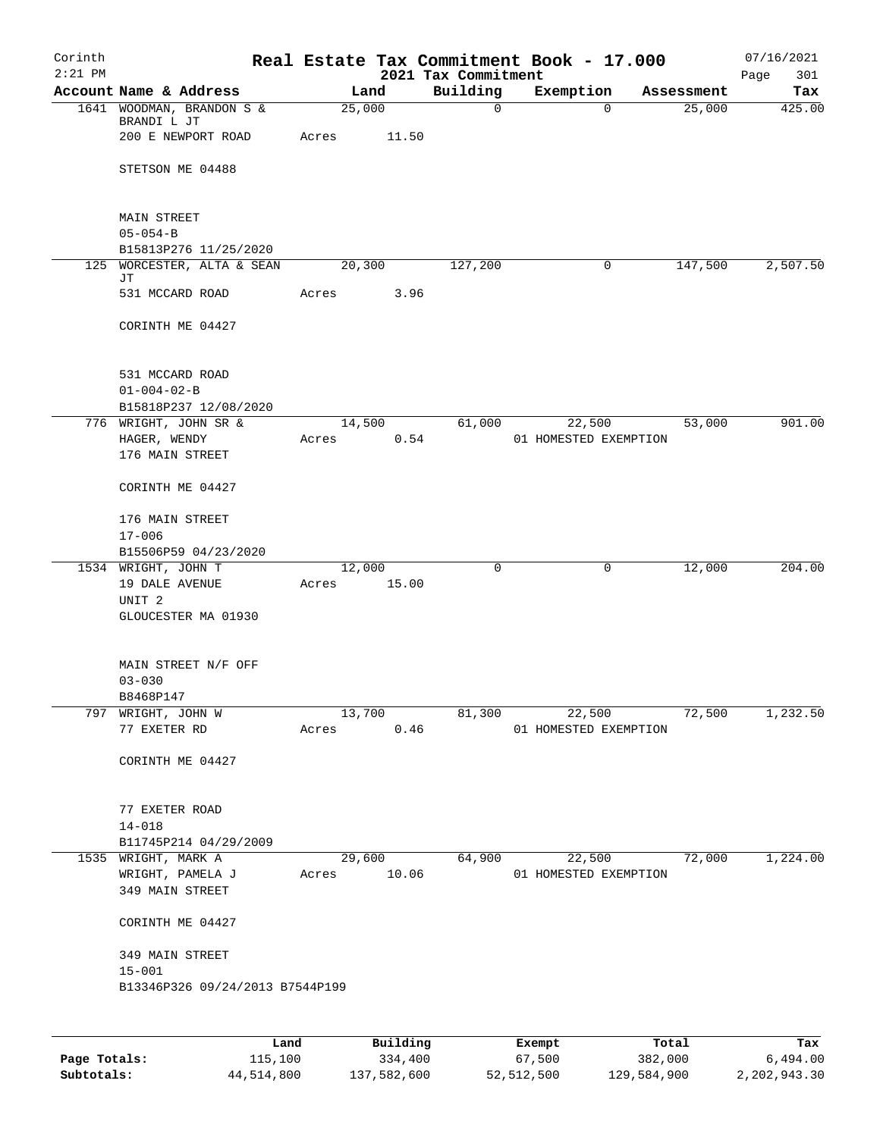| Corinth   |                                             |                 |          |                                 | Real Estate Tax Commitment Book - 17.000 |                      | 07/16/2021         |
|-----------|---------------------------------------------|-----------------|----------|---------------------------------|------------------------------------------|----------------------|--------------------|
| $2:21$ PM | Account Name & Address                      |                 | Land     | 2021 Tax Commitment<br>Building | Exemption                                |                      | 301<br>Page<br>Tax |
|           | 1641 WOODMAN, BRANDON S &                   | 25,000          |          | $\mathbf 0$                     | $\Omega$                                 | Assessment<br>25,000 | 425.00             |
|           | BRANDI L JT                                 |                 |          |                                 |                                          |                      |                    |
|           | 200 E NEWPORT ROAD                          | Acres           | 11.50    |                                 |                                          |                      |                    |
|           |                                             |                 |          |                                 |                                          |                      |                    |
|           | STETSON ME 04488                            |                 |          |                                 |                                          |                      |                    |
|           |                                             |                 |          |                                 |                                          |                      |                    |
|           | <b>MAIN STREET</b>                          |                 |          |                                 |                                          |                      |                    |
|           | $05 - 054 - B$                              |                 |          |                                 |                                          |                      |                    |
|           | B15813P276 11/25/2020                       |                 |          |                                 |                                          |                      |                    |
|           | 125 WORCESTER, ALTA & SEAN                  | 20,300          |          | 127,200                         | 0                                        | 147,500              | 2,507.50           |
|           | JТ<br>531 MCCARD ROAD                       |                 | 3.96     |                                 |                                          |                      |                    |
|           |                                             | Acres           |          |                                 |                                          |                      |                    |
|           | CORINTH ME 04427                            |                 |          |                                 |                                          |                      |                    |
|           |                                             |                 |          |                                 |                                          |                      |                    |
|           |                                             |                 |          |                                 |                                          |                      |                    |
|           | 531 MCCARD ROAD                             |                 |          |                                 |                                          |                      |                    |
|           | $01 - 004 - 02 - B$                         |                 |          |                                 |                                          |                      |                    |
|           | B15818P237 12/08/2020                       |                 |          |                                 |                                          |                      |                    |
|           | 776 WRIGHT, JOHN SR &<br>HAGER, WENDY       | 14,500<br>Acres | 0.54     | 61,000                          | 22,500<br>01 HOMESTED EXEMPTION          | 53,000               | 901.00             |
|           | 176 MAIN STREET                             |                 |          |                                 |                                          |                      |                    |
|           |                                             |                 |          |                                 |                                          |                      |                    |
|           | CORINTH ME 04427                            |                 |          |                                 |                                          |                      |                    |
|           |                                             |                 |          |                                 |                                          |                      |                    |
|           | 176 MAIN STREET                             |                 |          |                                 |                                          |                      |                    |
|           | $17 - 006$                                  |                 |          |                                 |                                          |                      |                    |
|           | B15506P59 04/23/2020<br>1534 WRIGHT, JOHN T | 12,000          |          | $\mathbf 0$                     | 0                                        | 12,000               | 204.00             |
|           | 19 DALE AVENUE                              | Acres           | 15.00    |                                 |                                          |                      |                    |
|           | UNIT <sub>2</sub>                           |                 |          |                                 |                                          |                      |                    |
|           | GLOUCESTER MA 01930                         |                 |          |                                 |                                          |                      |                    |
|           |                                             |                 |          |                                 |                                          |                      |                    |
|           |                                             |                 |          |                                 |                                          |                      |                    |
|           | MAIN STREET N/F OFF<br>$03 - 030$           |                 |          |                                 |                                          |                      |                    |
|           | B8468P147                                   |                 |          |                                 |                                          |                      |                    |
|           | 797 WRIGHT, JOHN W                          |                 | 13,700   | 81,300                          | 22,500                                   | 72,500               | 1,232.50           |
|           | 77 EXETER RD                                | Acres           | 0.46     |                                 | 01 HOMESTED EXEMPTION                    |                      |                    |
|           |                                             |                 |          |                                 |                                          |                      |                    |
|           | CORINTH ME 04427                            |                 |          |                                 |                                          |                      |                    |
|           |                                             |                 |          |                                 |                                          |                      |                    |
|           | 77 EXETER ROAD                              |                 |          |                                 |                                          |                      |                    |
|           | $14 - 018$                                  |                 |          |                                 |                                          |                      |                    |
|           | B11745P214 04/29/2009                       |                 |          |                                 |                                          |                      |                    |
|           | 1535 WRIGHT, MARK A                         |                 | 29,600   | 64,900                          |                                          | 22,500<br>72,000     | 1,224.00           |
|           | WRIGHT, PAMELA J                            | Acres 10.06     |          |                                 | 01 HOMESTED EXEMPTION                    |                      |                    |
|           | 349 MAIN STREET                             |                 |          |                                 |                                          |                      |                    |
|           |                                             |                 |          |                                 |                                          |                      |                    |
|           | CORINTH ME 04427                            |                 |          |                                 |                                          |                      |                    |
|           | 349 MAIN STREET                             |                 |          |                                 |                                          |                      |                    |
|           | $15 - 001$                                  |                 |          |                                 |                                          |                      |                    |
|           | B13346P326 09/24/2013 B7544P199             |                 |          |                                 |                                          |                      |                    |
|           |                                             |                 |          |                                 |                                          |                      |                    |
|           |                                             |                 |          |                                 |                                          |                      |                    |
|           | Land                                        |                 | Building |                                 | Exempt                                   | Total                | Tax                |

|              | Land       | Building    | Exempt     | Total       | Tax          |
|--------------|------------|-------------|------------|-------------|--------------|
| Page Totals: | 115,100    | 334,400     | 67,500     | 382,000     | 6,494.00     |
| Subtotals:   | 44,514,800 | 137,582,600 | 52,512,500 | 129,584,900 | 2,202,943.30 |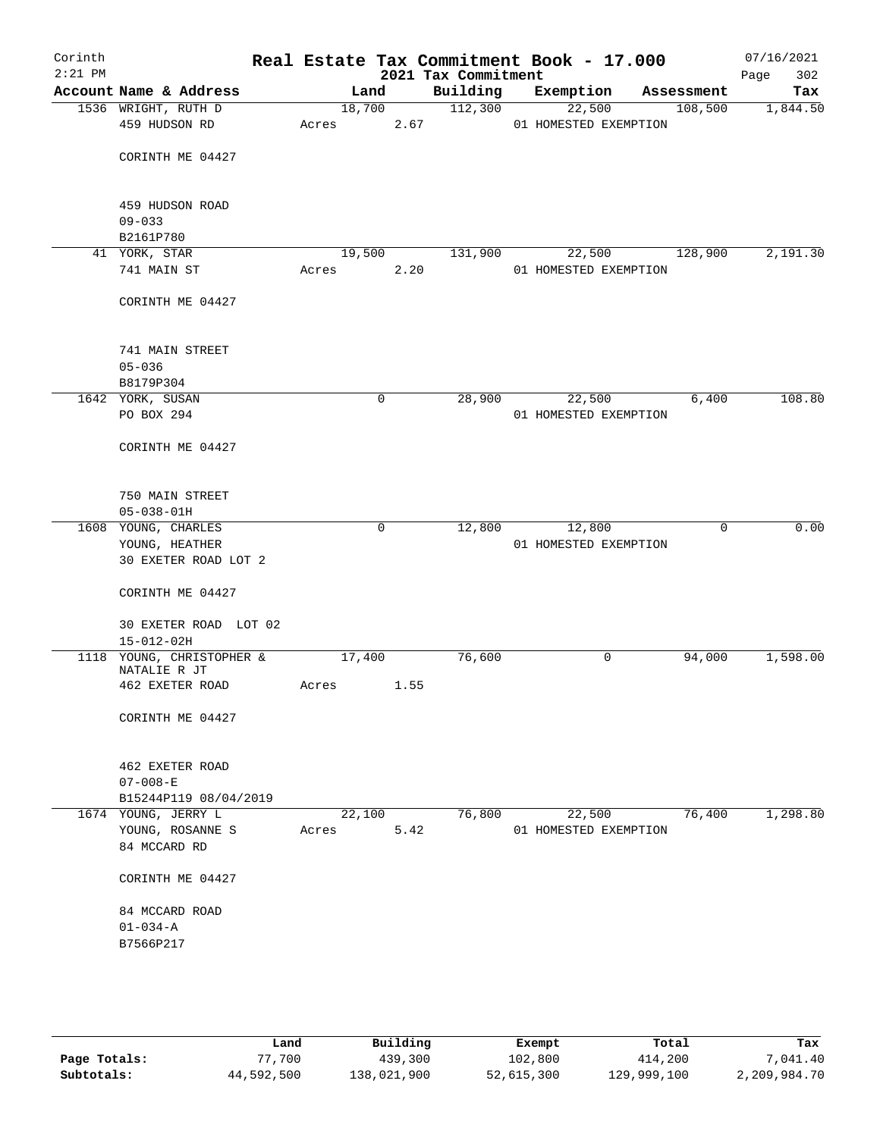| Corinth<br>$2:21$ PM |                                               |        |             |      | 2021 Tax Commitment | Real Estate Tax Commitment Book - 17.000 |            | 07/16/2021<br>Page<br>302 |
|----------------------|-----------------------------------------------|--------|-------------|------|---------------------|------------------------------------------|------------|---------------------------|
|                      | Account Name & Address                        |        | Land        |      | Building            | Exemption                                | Assessment | Tax                       |
|                      | 1536 WRIGHT, RUTH D                           | 18,700 |             |      | 112,300             | 22,500                                   | 108,500    | 1,844.50                  |
|                      | 459 HUDSON RD                                 | Acres  |             | 2.67 |                     | 01 HOMESTED EXEMPTION                    |            |                           |
|                      |                                               |        |             |      |                     |                                          |            |                           |
|                      | CORINTH ME 04427                              |        |             |      |                     |                                          |            |                           |
|                      |                                               |        |             |      |                     |                                          |            |                           |
|                      | 459 HUDSON ROAD                               |        |             |      |                     |                                          |            |                           |
|                      | $09 - 033$                                    |        |             |      |                     |                                          |            |                           |
|                      | B2161P780                                     |        |             |      |                     |                                          |            |                           |
|                      | 41 YORK, STAR                                 | 19,500 |             |      | 131,900             | 22,500                                   | 128,900    | 2,191.30                  |
|                      | 741 MAIN ST                                   | Acres  |             | 2.20 |                     | 01 HOMESTED EXEMPTION                    |            |                           |
|                      |                                               |        |             |      |                     |                                          |            |                           |
|                      | CORINTH ME 04427                              |        |             |      |                     |                                          |            |                           |
|                      |                                               |        |             |      |                     |                                          |            |                           |
|                      |                                               |        |             |      |                     |                                          |            |                           |
|                      | 741 MAIN STREET<br>$05 - 036$                 |        |             |      |                     |                                          |            |                           |
|                      | B8179P304                                     |        |             |      |                     |                                          |            |                           |
|                      | 1642 YORK, SUSAN                              |        | 0           |      | 28,900              | 22,500                                   | 6,400      | 108.80                    |
|                      | PO BOX 294                                    |        |             |      |                     | 01 HOMESTED EXEMPTION                    |            |                           |
|                      |                                               |        |             |      |                     |                                          |            |                           |
|                      | CORINTH ME 04427                              |        |             |      |                     |                                          |            |                           |
|                      |                                               |        |             |      |                     |                                          |            |                           |
|                      |                                               |        |             |      |                     |                                          |            |                           |
|                      | 750 MAIN STREET<br>$05 - 038 - 01H$           |        |             |      |                     |                                          |            |                           |
|                      | 1608 YOUNG, CHARLES                           |        | $\mathbf 0$ |      | 12,800              | 12,800                                   | 0          | 0.00                      |
|                      | YOUNG, HEATHER                                |        |             |      |                     | 01 HOMESTED EXEMPTION                    |            |                           |
|                      | 30 EXETER ROAD LOT 2                          |        |             |      |                     |                                          |            |                           |
|                      |                                               |        |             |      |                     |                                          |            |                           |
|                      | CORINTH ME 04427                              |        |             |      |                     |                                          |            |                           |
|                      |                                               |        |             |      |                     |                                          |            |                           |
|                      | 30 EXETER ROAD LOT 02                         |        |             |      |                     |                                          |            |                           |
|                      | $15 - 012 - 02H$<br>1118 YOUNG, CHRISTOPHER & | 17,400 |             |      |                     | 0                                        |            | 1,598.00                  |
|                      | NATALIE R JT                                  |        |             |      | 76,600              |                                          | 94,000     |                           |
|                      | 462 EXETER ROAD                               | Acres  |             | 1.55 |                     |                                          |            |                           |
|                      |                                               |        |             |      |                     |                                          |            |                           |
|                      | CORINTH ME 04427                              |        |             |      |                     |                                          |            |                           |
|                      |                                               |        |             |      |                     |                                          |            |                           |
|                      | 462 EXETER ROAD                               |        |             |      |                     |                                          |            |                           |
|                      | $07 - 008 - E$                                |        |             |      |                     |                                          |            |                           |
|                      | B15244P119 08/04/2019                         |        |             |      |                     |                                          |            |                           |
|                      | 1674 YOUNG, JERRY L                           | 22,100 |             |      | 76,800              | 22,500                                   | 76,400     | 1,298.80                  |
|                      | YOUNG, ROSANNE S                              | Acres  |             | 5.42 |                     | 01 HOMESTED EXEMPTION                    |            |                           |
|                      | 84 MCCARD RD                                  |        |             |      |                     |                                          |            |                           |
|                      |                                               |        |             |      |                     |                                          |            |                           |
|                      | CORINTH ME 04427                              |        |             |      |                     |                                          |            |                           |
|                      | 84 MCCARD ROAD                                |        |             |      |                     |                                          |            |                           |
|                      | $01 - 034 - A$                                |        |             |      |                     |                                          |            |                           |
|                      | B7566P217                                     |        |             |      |                     |                                          |            |                           |
|                      |                                               |        |             |      |                     |                                          |            |                           |
|                      |                                               |        |             |      |                     |                                          |            |                           |
|                      |                                               |        |             |      |                     |                                          |            |                           |
|                      |                                               |        |             |      |                     |                                          |            |                           |

|              | Land       | Building    | Exempt     | Total       | Tax          |
|--------------|------------|-------------|------------|-------------|--------------|
| Page Totals: | 77,700     | 439,300     | 102,800    | 414,200     | 7,041.40     |
| Subtotals:   | 44,592,500 | 138,021,900 | 52,615,300 | 129,999,100 | 2,209,984.70 |